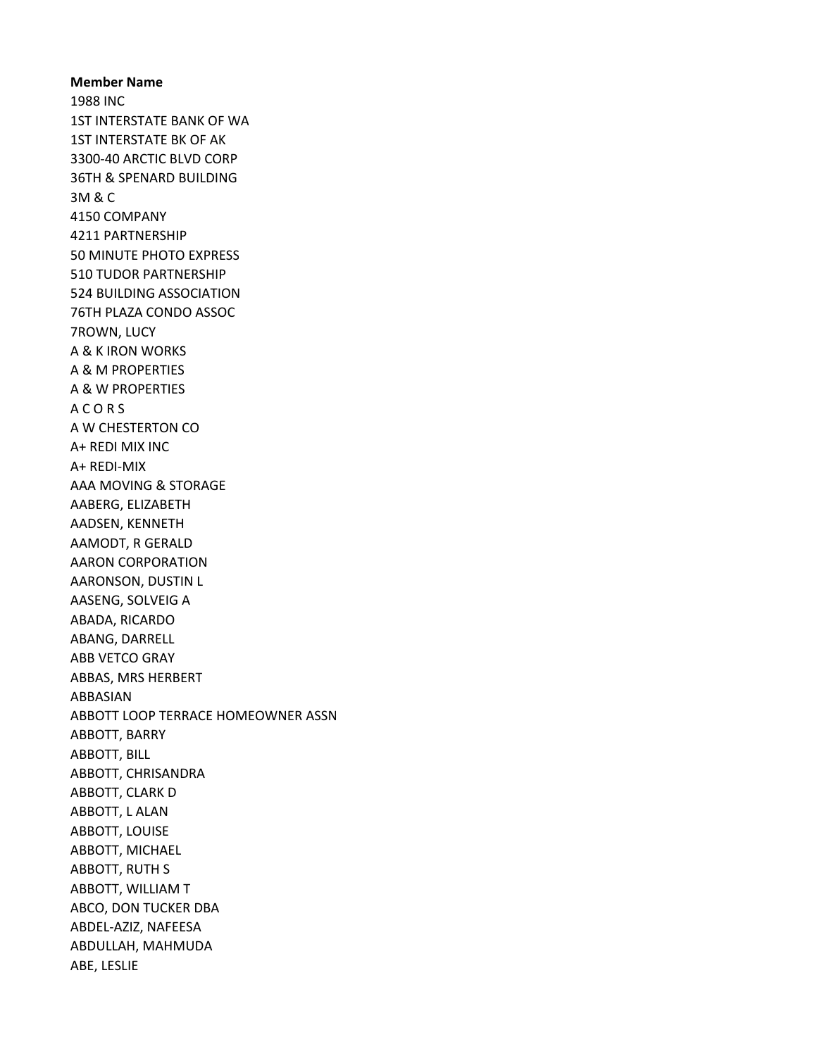Member Name 1988 INC 1ST INTERSTATE BANK OF WA 1ST INTERSTATE BK OF AK 3300-40 ARCTIC BLVD CORP 36TH & SPENARD BUILDING 3M & C 4150 COMPANY 4211 PARTNERSHIP 50 MINUTE PHOTO EXPRESS 510 TUDOR PARTNERSHIP 524 BUILDING ASSOCIATION 76TH PLAZA CONDO ASSOC 7ROWN, LUCY A & K IRON WORKS A & M PROPERTIES A & W PROPERTIES A C O R S A W CHESTERTON CO A+ REDI MIX INC A+ REDI-MIX AAA MOVING & STORAGE AABERG, ELIZABETH AADSEN, KENNETH AAMODT, R GERALD AARON CORPORATION AARONSON, DUSTIN L AASENG, SOLVEIG A ABADA, RICARDO ABANG, DARRELL ABB VETCO GRAY ABBAS, MRS HERBERT ABBASIAN ABBOTT LOOP TERRACE HOMEOWNER ASSN ABBOTT, BARRY ABBOTT, BILL ABBOTT, CHRISANDRA ABBOTT, CLARK D ABBOTT, L ALAN ABBOTT, LOUISE ABBOTT, MICHAEL ABBOTT, RUTH S ABBOTT, WILLIAM T ABCO, DON TUCKER DBA ABDEL-AZIZ, NAFEESA ABDULLAH, MAHMUDA ABE, LESLIE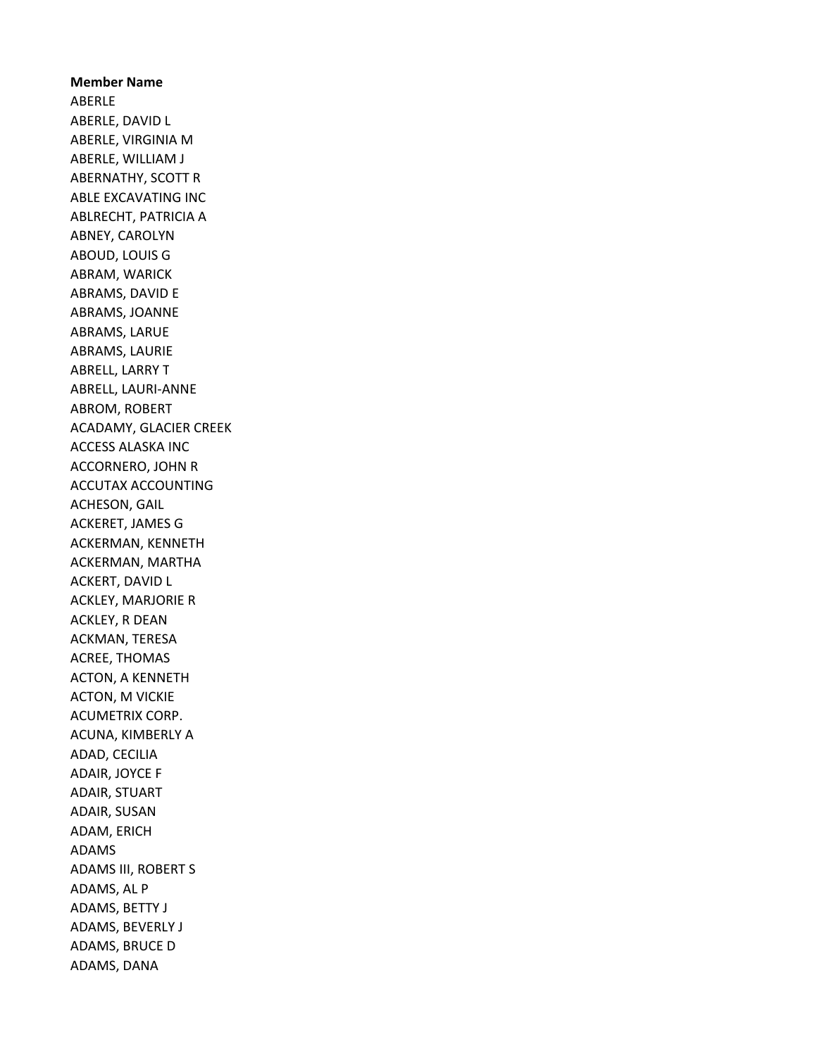Member Name ABERLE ABERLE, DAVID L ABERLE, VIRGINIA M ABERLE, WILLIAM J ABERNATHY, SCOTT R ABLE EXCAVATING INC ABLRECHT, PATRICIA A ABNEY, CAROLYN ABOUD, LOUIS G ABRAM, WARICK ABRAMS, DAVID E ABRAMS, JOANNE ABRAMS, LARUE ABRAMS, LAURIE ABRELL, LARRY T ABRELL, LAURI-ANNE ABROM, ROBERT ACADAMY, GLACIER CREEK ACCESS ALASKA INC ACCORNERO, JOHN R ACCUTAX ACCOUNTING ACHESON, GAIL ACKERET, JAMES G ACKERMAN, KENNETH ACKERMAN, MARTHA ACKERT, DAVID L ACKLEY, MARJORIE R ACKLEY, R DEAN ACKMAN, TERESA ACREE, THOMAS ACTON, A KENNETH ACTON, M VICKIE ACUMETRIX CORP. ACUNA, KIMBERLY A ADAD, CECILIA ADAIR, JOYCE F ADAIR, STUART ADAIR, SUSAN ADAM, ERICH ADAMS ADAMS III, ROBERT S ADAMS, AL P ADAMS, BETTY J ADAMS, BEVERLY J ADAMS, BRUCE D ADAMS, DANA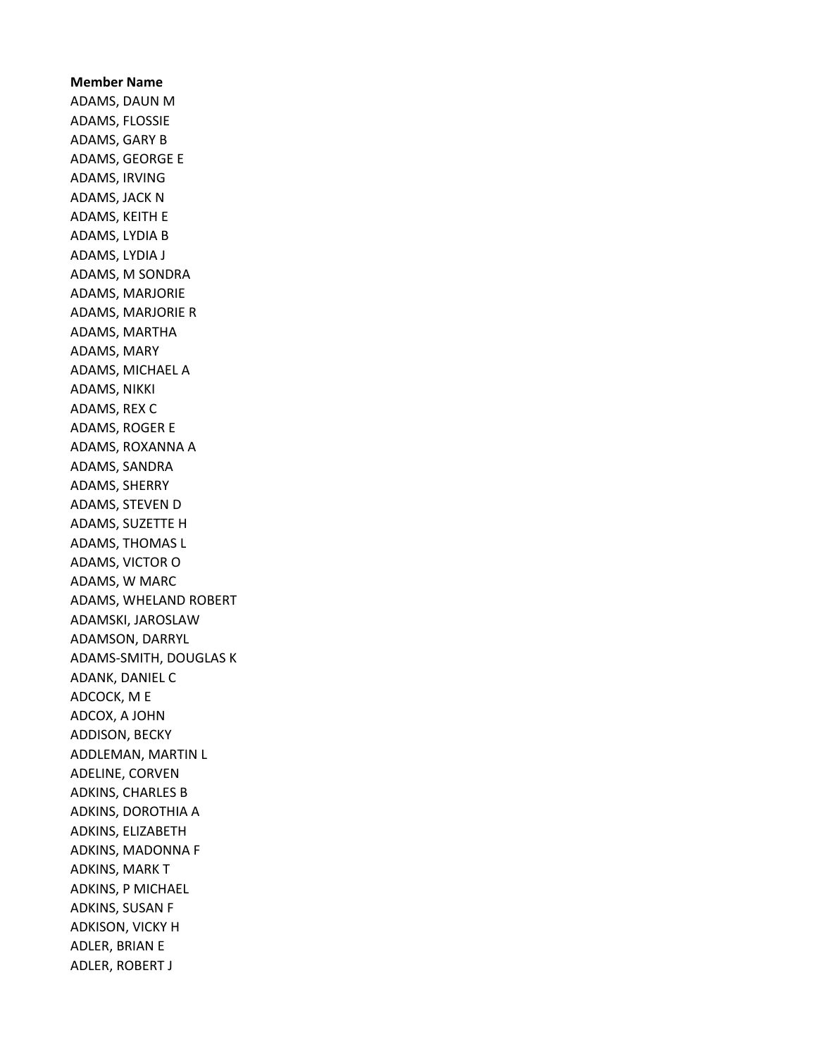Member Name ADAMS, DAUN M ADAMS, FLOSSIE ADAMS, GARY B ADAMS, GEORGE E ADAMS, IRVING ADAMS, JACK N ADAMS, KEITH E ADAMS, LYDIA B ADAMS, LYDIA J ADAMS, M SONDRA ADAMS, MARJORIE ADAMS, MARJORIE R ADAMS, MARTHA ADAMS, MARY ADAMS, MICHAEL A ADAMS, NIKKI ADAMS, REX C ADAMS, ROGER E ADAMS, ROXANNA A ADAMS, SANDRA ADAMS, SHERRY ADAMS, STEVEN D ADAMS, SUZETTE H ADAMS, THOMAS L ADAMS, VICTOR O ADAMS, W MARC ADAMS, WHELAND ROBERT ADAMSKI, JAROSLAW ADAMSON, DARRYL ADAMS-SMITH, DOUGLAS K ADANK, DANIEL C ADCOCK, M E ADCOX, A JOHN ADDISON, BECKY ADDLEMAN, MARTIN L ADELINE, CORVEN ADKINS, CHARLES B ADKINS, DOROTHIA A ADKINS, ELIZABETH ADKINS, MADONNA F ADKINS, MARK T ADKINS, P MICHAEL ADKINS, SUSAN F ADKISON, VICKY H ADLER, BRIAN E ADLER, ROBERT J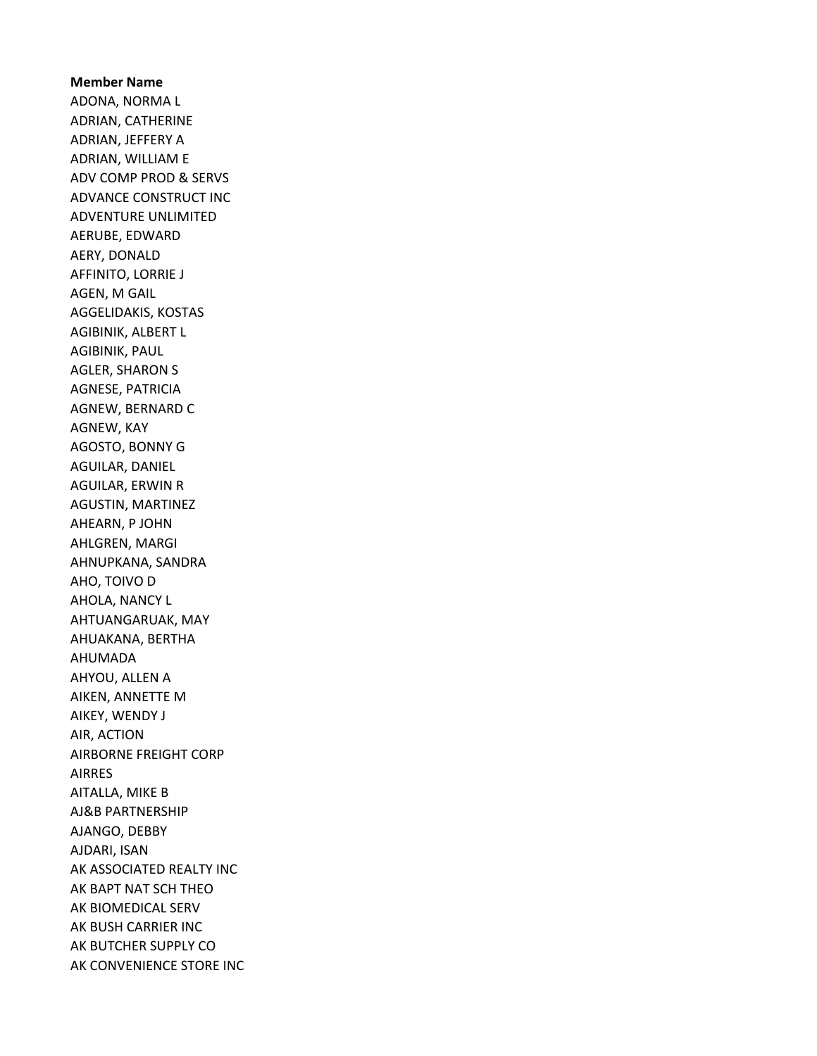Member Name ADONA, NORMA L ADRIAN, CATHERINE ADRIAN, JEFFERY A ADRIAN, WILLIAM E ADV COMP PROD & SERVS ADVANCE CONSTRUCT INC ADVENTURE UNLIMITED AERUBE, EDWARD AERY, DONALD AFFINITO, LORRIE J AGEN, M GAIL AGGELIDAKIS, KOSTAS AGIBINIK, ALBERT L AGIBINIK, PAUL AGLER, SHARON S AGNESE, PATRICIA AGNEW, BERNARD C AGNEW, KAY AGOSTO, BONNY G AGUILAR, DANIEL AGUILAR, ERWIN R AGUSTIN, MARTINEZ AHEARN, P JOHN AHLGREN, MARGI AHNUPKANA, SANDRA AHO, TOIVO D AHOLA, NANCY L AHTUANGARUAK, MAY AHUAKANA, BERTHA AHUMADA AHYOU, ALLEN A AIKEN, ANNETTE M AIKEY, WENDY J AIR, ACTION AIRBORNE FREIGHT CORP AIRRES AITALLA, MIKE B AJ&B PARTNERSHIP AJANGO, DEBBY AJDARI, ISAN AK ASSOCIATED REALTY INC AK BAPT NAT SCH THEO AK BIOMEDICAL SERV AK BUSH CARRIER INC AK BUTCHER SUPPLY CO AK CONVENIENCE STORE INC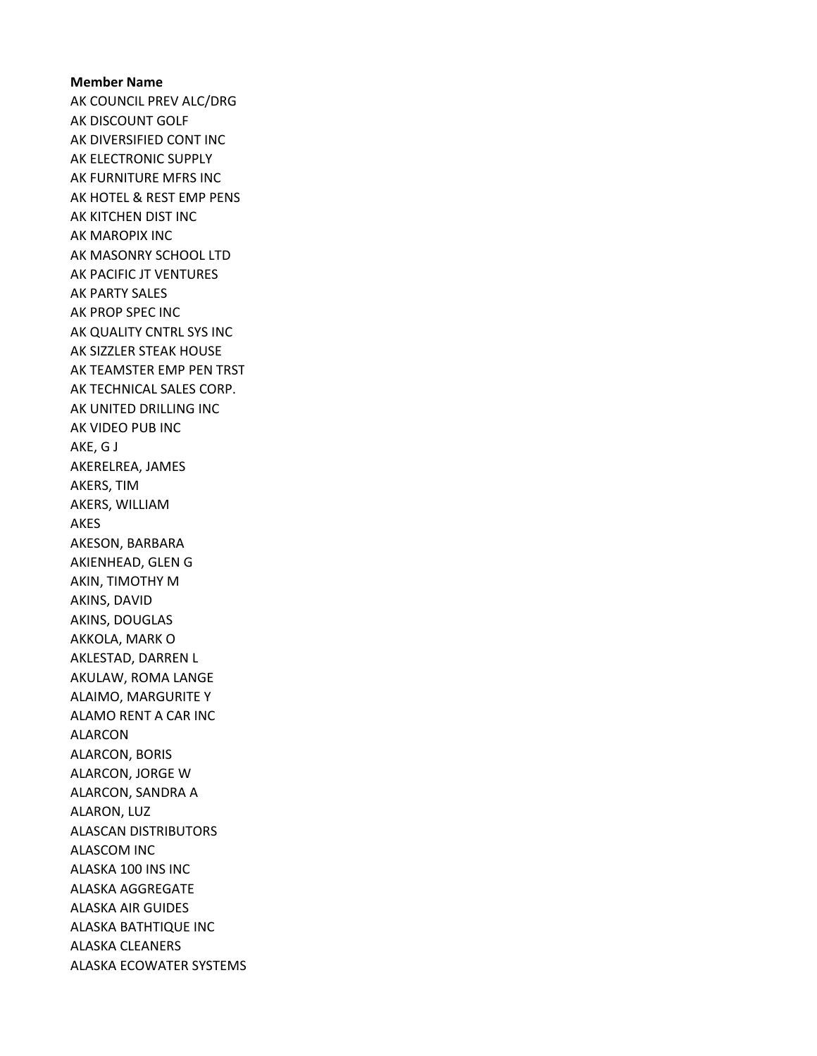## Member Name AK COUNCIL PREV ALC/DRG AK DISCOUNT GOLF AK DIVERSIFIED CONT INC AK ELECTRONIC SUPPLY AK FURNITURE MFRS INC AK HOTEL & REST EMP PENS AK KITCHEN DIST INC AK MAROPIX INC AK MASONRY SCHOOL LTD AK PACIFIC JT VENTURES AK PARTY SALES AK PROP SPEC INC AK QUALITY CNTRL SYS INC AK SIZZLER STEAK HOUSE AK TEAMSTER EMP PEN TRST AK TECHNICAL SALES CORP. AK UNITED DRILLING INC AK VIDEO PUB INC AKE, G J AKERELREA, JAMES AKERS, TIM AKERS, WILLIAM AKES AKESON, BARBARA AKIENHEAD, GLEN G AKIN, TIMOTHY M AKINS, DAVID AKINS, DOUGLAS AKKOLA, MARK O AKLESTAD, DARREN L AKULAW, ROMA LANGE ALAIMO, MARGURITE Y ALAMO RENT A CAR INC ALARCON ALARCON, BORIS ALARCON, JORGE W ALARCON, SANDRA A ALARON, LUZ ALASCAN DISTRIBUTORS ALASCOM INC ALASKA 100 INS INC ALASKA AGGREGATE ALASKA AIR GUIDES ALASKA BATHTIQUE INC ALASKA CLEANERS ALASKA ECOWATER SYSTEMS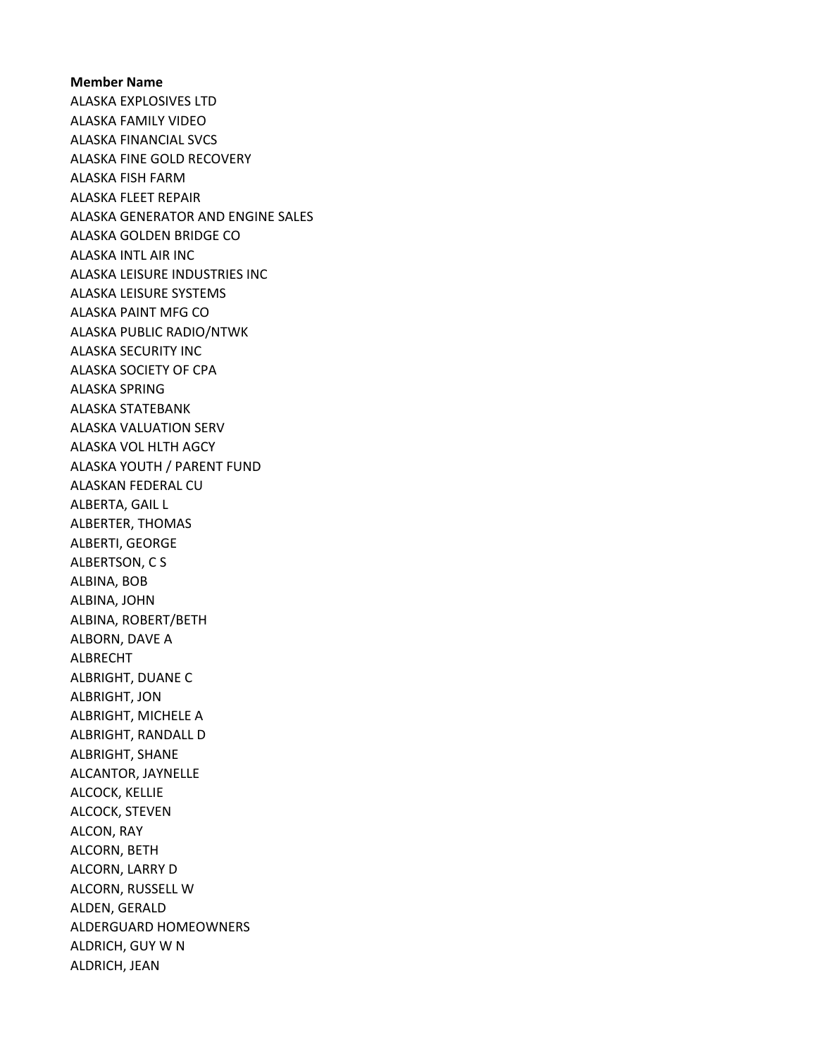Member Name ALASKA EXPLOSIVES LTD ALASKA FAMILY VIDEO ALASKA FINANCIAL SVCS ALASKA FINE GOLD RECOVERY ALASKA FISH FARM ALASKA FLEET REPAIR ALASKA GENERATOR AND ENGINE SALES ALASKA GOLDEN BRIDGE CO ALASKA INTL AIR INC ALASKA LEISURE INDUSTRIES INC ALASKA LEISURE SYSTEMS ALASKA PAINT MFG CO ALASKA PUBLIC RADIO/NTWK ALASKA SECURITY INC ALASKA SOCIETY OF CPA ALASKA SPRING ALASKA STATEBANK ALASKA VALUATION SERV ALASKA VOL HLTH AGCY ALASKA YOUTH / PARENT FUND ALASKAN FEDERAL CU ALBERTA, GAIL L ALBERTER, THOMAS ALBERTI, GEORGE ALBERTSON, C S ALBINA, BOB ALBINA, JOHN ALBINA, ROBERT/BETH ALBORN, DAVE A ALBRECHT ALBRIGHT, DUANE C ALBRIGHT, JON ALBRIGHT, MICHELE A ALBRIGHT, RANDALL D ALBRIGHT, SHANE ALCANTOR, JAYNELLE ALCOCK, KELLIE ALCOCK, STEVEN ALCON, RAY ALCORN, BETH ALCORN, LARRY D ALCORN, RUSSELL W ALDEN, GERALD ALDERGUARD HOMEOWNERS ALDRICH, GUY W N ALDRICH, JEAN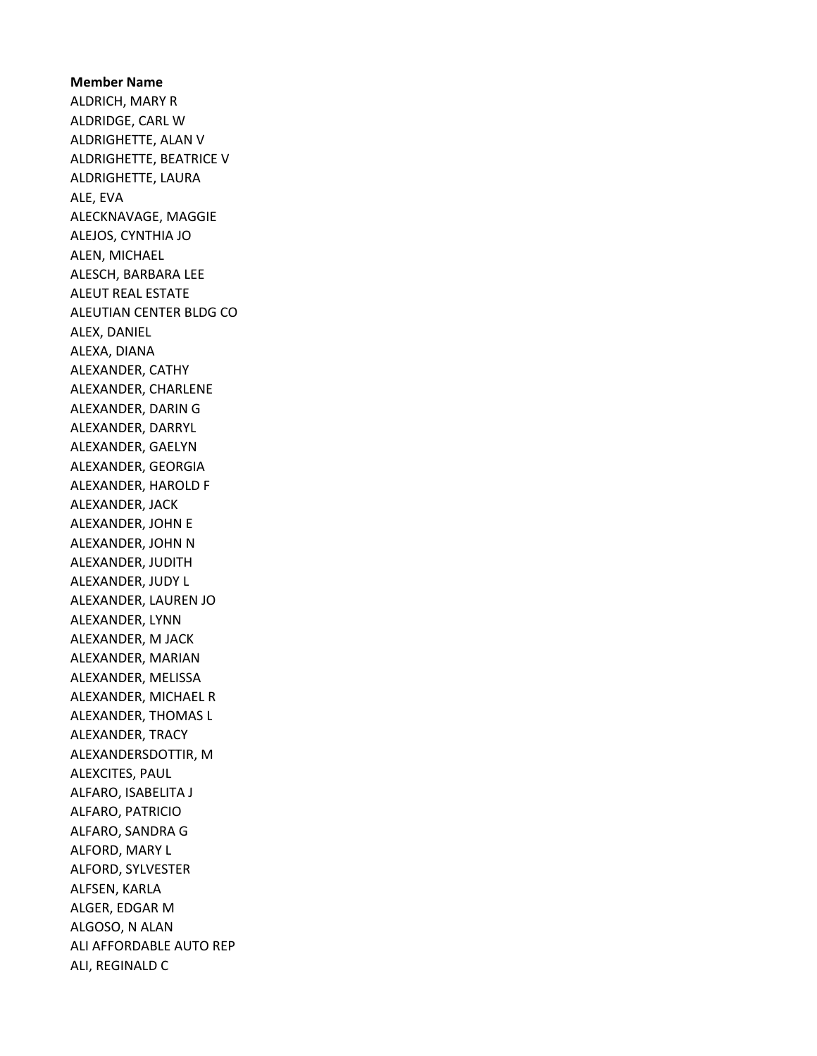Member Name ALDRICH, MARY R ALDRIDGE, CARL W ALDRIGHETTE, ALAN V ALDRIGHETTE, BEATRICE V ALDRIGHETTE, LAURA ALE, EVA ALECKNAVAGE, MAGGIE ALEJOS, CYNTHIA JO ALEN, MICHAEL ALESCH, BARBARA LEE ALEUT REAL ESTATE ALEUTIAN CENTER BLDG CO ALEX, DANIEL ALEXA, DIANA ALEXANDER, CATHY ALEXANDER, CHARLENE ALEXANDER, DARIN G ALEXANDER, DARRYL ALEXANDER, GAELYN ALEXANDER, GEORGIA ALEXANDER, HAROLD F ALEXANDER, JACK ALEXANDER, JOHN E ALEXANDER, JOHN N ALEXANDER, JUDITH ALEXANDER, JUDY L ALEXANDER, LAUREN JO ALEXANDER, LYNN ALEXANDER, M JACK ALEXANDER, MARIAN ALEXANDER, MELISSA ALEXANDER, MICHAEL R ALEXANDER, THOMAS L ALEXANDER, TRACY ALEXANDERSDOTTIR, M ALEXCITES, PAUL ALFARO, ISABELITA J ALFARO, PATRICIO ALFARO, SANDRA G ALFORD, MARY L ALFORD, SYLVESTER ALFSEN, KARLA ALGER, EDGAR M ALGOSO, N ALAN ALI AFFORDABLE AUTO REP ALI, REGINALD C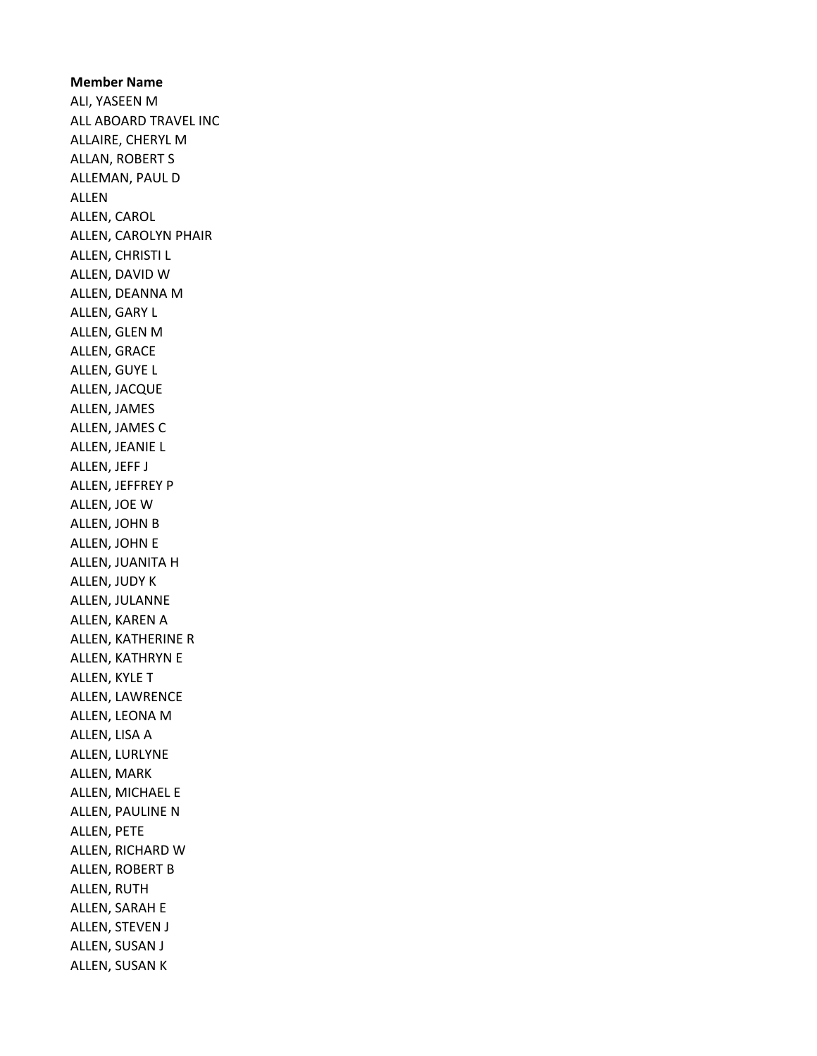Member Name ALI, YASEEN M ALL ABOARD TRAVEL INC ALLAIRE, CHERYL M ALLAN, ROBERT S ALLEMAN, PAUL D ALLEN ALLEN, CAROL ALLEN, CAROLYN PHAIR ALLEN, CHRISTI L ALLEN, DAVID W ALLEN, DEANNA M ALLEN, GARY L ALLEN, GLEN M ALLEN, GRACE ALLEN, GUYE L ALLEN, JACQUE ALLEN, JAMES ALLEN, JAMES C ALLEN, JEANIE L ALLEN, JEFF J ALLEN, JEFFREY P ALLEN, JOE W ALLEN, JOHN B ALLEN, JOHN E ALLEN, JUANITA H ALLEN, JUDY K ALLEN, JULANNE ALLEN, KAREN A ALLEN, KATHERINE R ALLEN, KATHRYN E ALLEN, KYLE T ALLEN, LAWRENCE ALLEN, LEONA M ALLEN, LISA A ALLEN, LURLYNE ALLEN, MARK ALLEN, MICHAEL E ALLEN, PAULINE N ALLEN, PETE ALLEN, RICHARD W ALLEN, ROBERT B ALLEN, RUTH ALLEN, SARAH E ALLEN, STEVEN J ALLEN, SUSAN J ALLEN, SUSAN K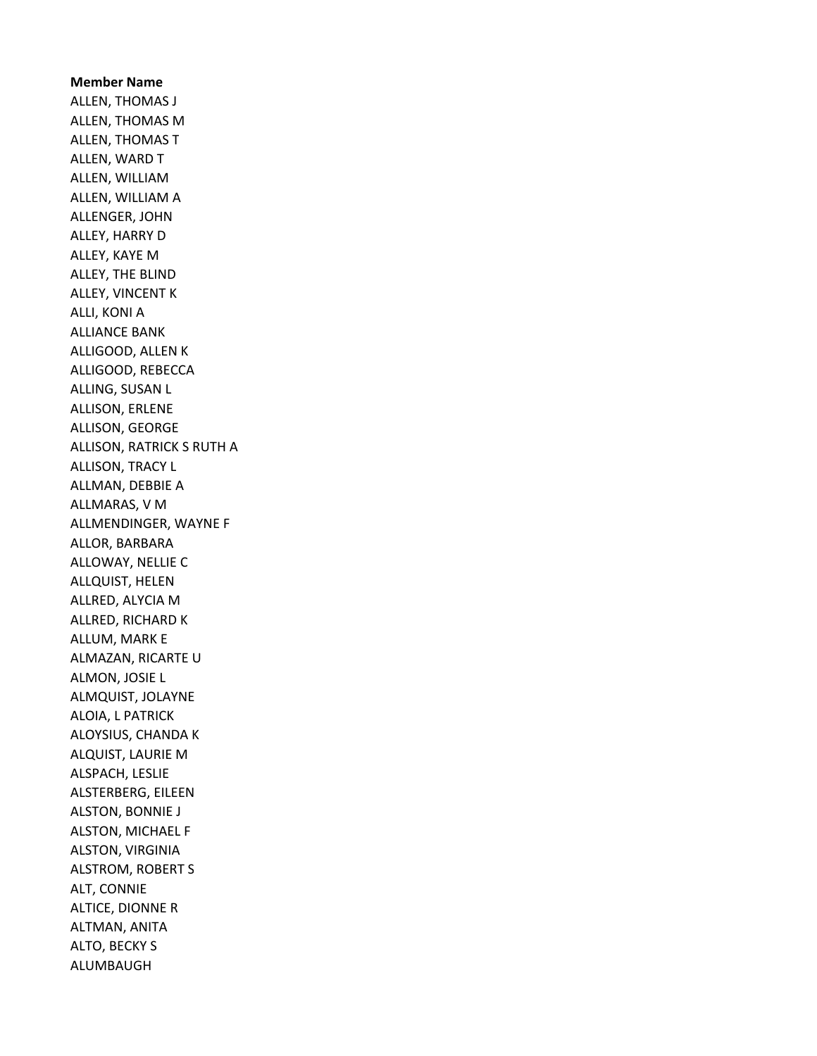Member Name ALLEN, THOMAS J ALLEN, THOMAS M ALLEN, THOMAS T ALLEN, WARD T ALLEN, WILLIAM ALLEN, WILLIAM A ALLENGER, JOHN ALLEY, HARRY D ALLEY, KAYE M ALLEY, THE BLIND ALLEY, VINCENT K ALLI, KONI A ALLIANCE BANK ALLIGOOD, ALLEN K ALLIGOOD, REBECCA ALLING, SUSAN L ALLISON, ERLENE ALLISON, GEORGE ALLISON, RATRICK S RUTH A ALLISON, TRACY L ALLMAN, DEBBIE A ALLMARAS, V M ALLMENDINGER, WAYNE F ALLOR, BARBARA ALLOWAY, NELLIE C ALLQUIST, HELEN ALLRED, ALYCIA M ALLRED, RICHARD K ALLUM, MARK E ALMAZAN, RICARTE U ALMON, JOSIE L ALMQUIST, JOLAYNE ALOIA, L PATRICK ALOYSIUS, CHANDA K ALQUIST, LAURIE M ALSPACH, LESLIE ALSTERBERG, EILEEN ALSTON, BONNIE J ALSTON, MICHAEL F ALSTON, VIRGINIA ALSTROM, ROBERT S ALT, CONNIE ALTICE, DIONNE R ALTMAN, ANITA ALTO, BECKY S ALUMBAUGH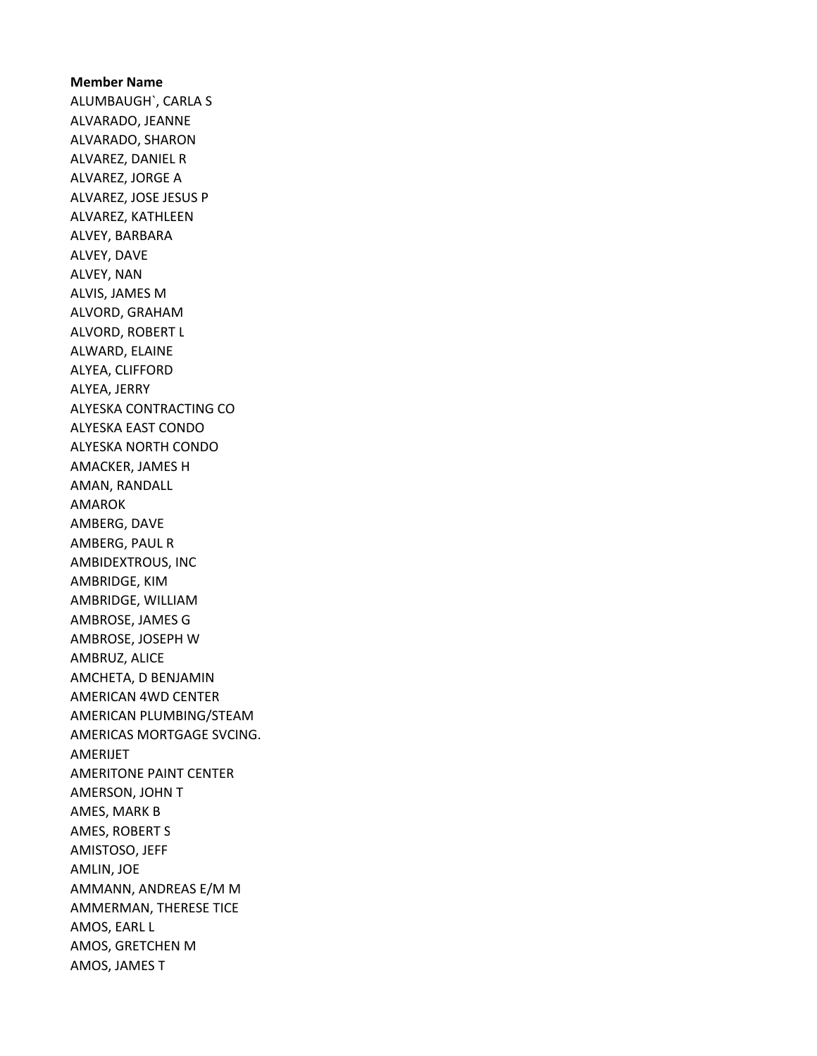Member Name ALUMBAUGH`, CARLA S ALVARADO, JEANNE ALVARADO, SHARON ALVAREZ, DANIEL R ALVAREZ, JORGE A ALVAREZ, JOSE JESUS P ALVAREZ, KATHLEEN ALVEY, BARBARA ALVEY, DAVE ALVEY, NAN ALVIS, JAMES M ALVORD, GRAHAM ALVORD, ROBERT L ALWARD, ELAINE ALYEA, CLIFFORD ALYEA, JERRY ALYESKA CONTRACTING CO ALYESKA EAST CONDO ALYESKA NORTH CONDO AMACKER, JAMES H AMAN, RANDALL AMAROK AMBERG, DAVE AMBERG, PAUL R AMBIDEXTROUS, INC AMBRIDGE, KIM AMBRIDGE, WILLIAM AMBROSE, JAMES G AMBROSE, JOSEPH W AMBRUZ, ALICE AMCHETA, D BENJAMIN AMERICAN 4WD CENTER AMERICAN PLUMBING/STEAM AMERICAS MORTGAGE SVCING. AMERIJET AMERITONE PAINT CENTER AMERSON, JOHN T AMES, MARK B AMES, ROBERT S AMISTOSO, JEFF AMLIN, JOE AMMANN, ANDREAS E/M M AMMERMAN, THERESE TICE AMOS, EARL L AMOS, GRETCHEN M AMOS, JAMES T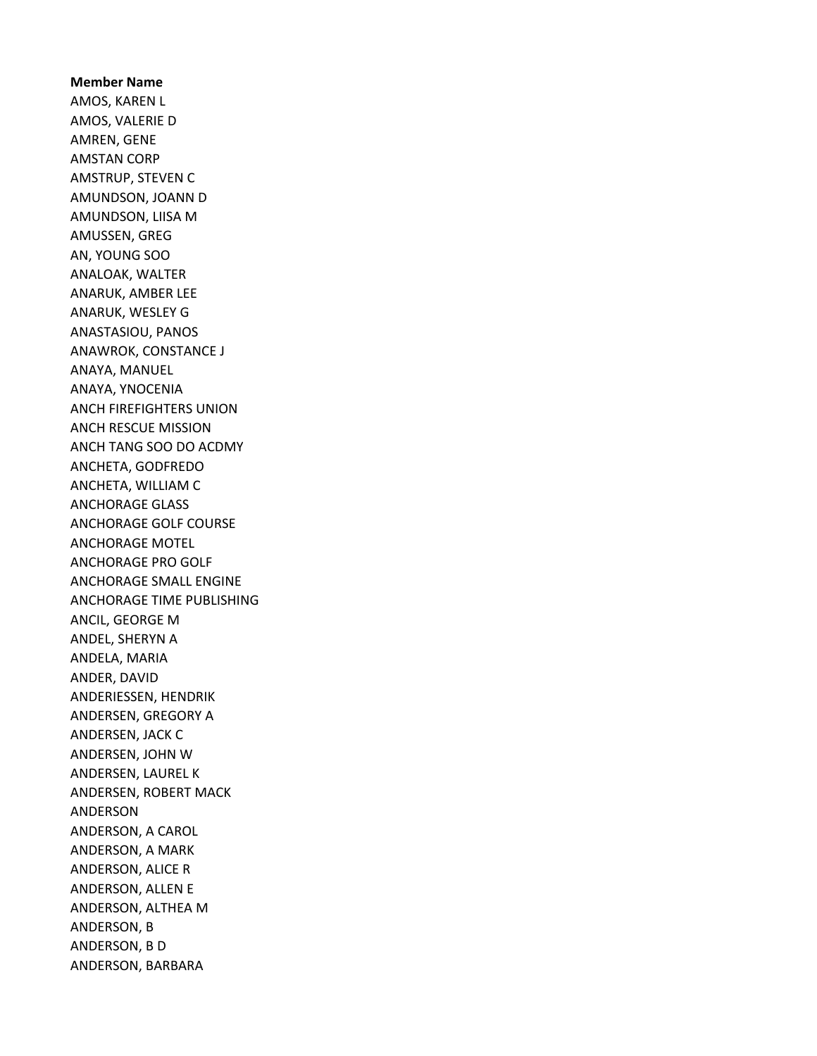Member Name AMOS, KAREN L AMOS, VALERIE D AMREN, GENE AMSTAN CORP AMSTRUP, STEVEN C AMUNDSON, JOANN D AMUNDSON, LIISA M AMUSSEN, GREG AN, YOUNG SOO ANALOAK, WALTER ANARUK, AMBER LEE ANARUK, WESLEY G ANASTASIOU, PANOS ANAWROK, CONSTANCE J ANAYA, MANUEL ANAYA, YNOCENIA ANCH FIREFIGHTERS UNION ANCH RESCUE MISSION ANCH TANG SOO DO ACDMY ANCHETA, GODFREDO ANCHETA, WILLIAM C ANCHORAGE GLASS ANCHORAGE GOLF COURSE ANCHORAGE MOTEL ANCHORAGE PRO GOLF ANCHORAGE SMALL ENGINE ANCHORAGE TIME PUBLISHING ANCIL, GEORGE M ANDEL, SHERYN A ANDELA, MARIA ANDER, DAVID ANDERIESSEN, HENDRIK ANDERSEN, GREGORY A ANDERSEN, JACK C ANDERSEN, JOHN W ANDERSEN, LAUREL K ANDERSEN, ROBERT MACK ANDERSON ANDERSON, A CAROL ANDERSON, A MARK ANDERSON, ALICE R ANDERSON, ALLEN E ANDERSON, ALTHEA M ANDERSON, B ANDERSON, B D ANDERSON, BARBARA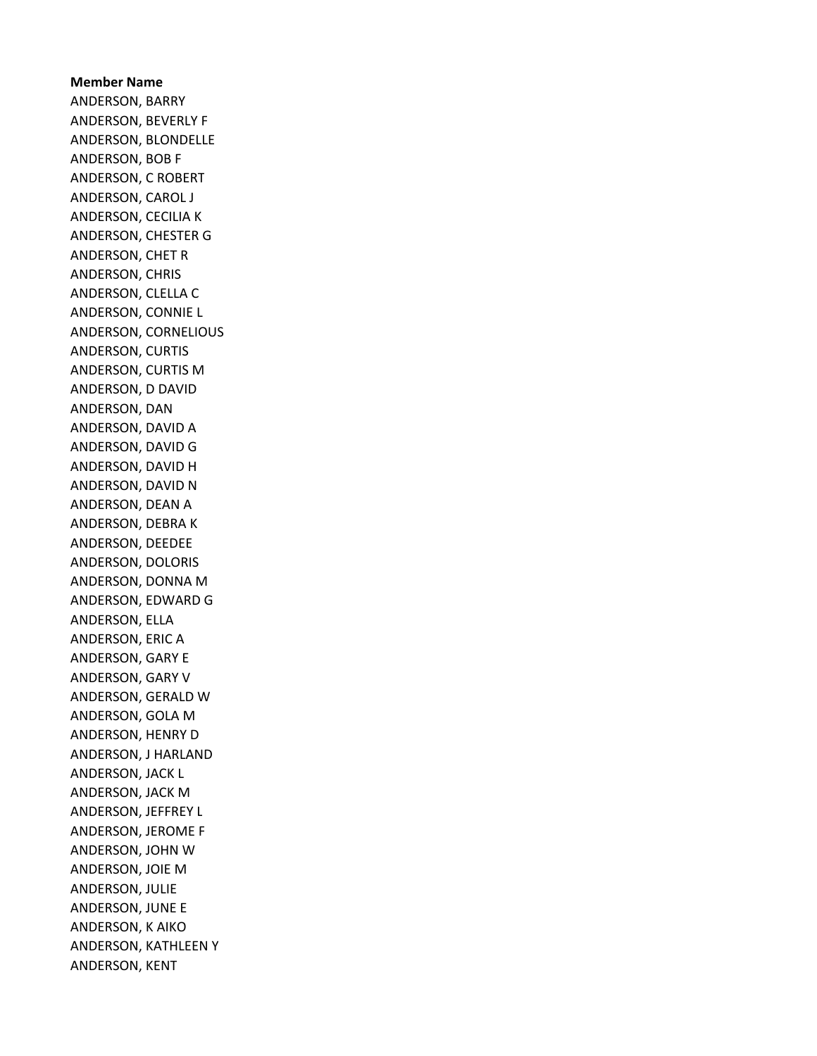## Member Name ANDERSON, BARRY ANDERSON, BEVERLY F ANDERSON, BLONDELLE ANDERSON, BOB F ANDERSON, C ROBERT ANDERSON, CAROL J ANDERSON, CECILIA K ANDERSON, CHESTER G ANDERSON, CHET R ANDERSON, CHRIS ANDERSON, CLELLA C ANDERSON, CONNIE L ANDERSON, CORNELIOUS ANDERSON, CURTIS ANDERSON, CURTIS M ANDERSON, D DAVID ANDERSON, DAN ANDERSON, DAVID A ANDERSON, DAVID G ANDERSON, DAVID H ANDERSON, DAVID N ANDERSON, DEAN A ANDERSON, DEBRA K ANDERSON, DEEDEE ANDERSON, DOLORIS ANDERSON, DONNA M ANDERSON, EDWARD G ANDERSON, ELLA ANDERSON, ERIC A ANDERSON, GARY E ANDERSON, GARY V ANDERSON, GERALD W ANDERSON, GOLA M ANDERSON, HENRY D ANDERSON, J HARLAND ANDERSON, JACK L ANDERSON, JACK M ANDERSON, JEFFREY L ANDERSON, JEROME F ANDERSON, JOHN W ANDERSON, JOIE M ANDERSON, JULIE ANDERSON, JUNE E ANDERSON, K AIKO ANDERSON, KATHLEEN Y ANDERSON, KENT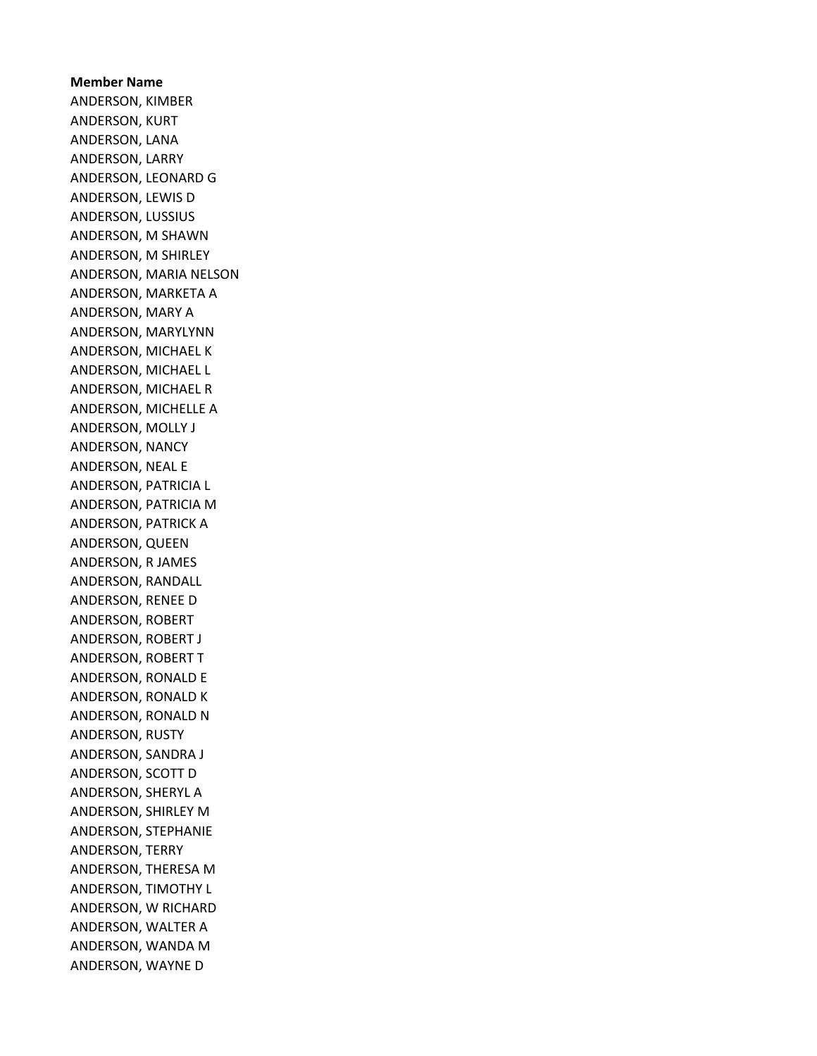Member Name ANDERSON, KIMBER ANDERSON, KURT ANDERSON, LANA ANDERSON, LARRY ANDERSON, LEONARD G ANDERSON, LEWIS D ANDERSON, LUSSIUS ANDERSON, M SHAWN ANDERSON, M SHIRLEY ANDERSON, MARIA NELSON ANDERSON, MARKETA A ANDERSON, MARY A ANDERSON, MARYLYNN ANDERSON, MICHAEL K ANDERSON, MICHAEL L ANDERSON, MICHAEL R ANDERSON, MICHELLE A ANDERSON, MOLLY J ANDERSON, NANCY ANDERSON, NEAL E ANDERSON, PATRICIA L ANDERSON, PATRICIA M ANDERSON, PATRICK A ANDERSON, QUEEN ANDERSON, R JAMES ANDERSON, RANDALL ANDERSON, RENEE D ANDERSON, ROBERT ANDERSON, ROBERT J ANDERSON, ROBERT T ANDERSON, RONALD E ANDERSON, RONALD K ANDERSON, RONALD N ANDERSON, RUSTY ANDERSON, SANDRA J ANDERSON, SCOTT D ANDERSON, SHERYL A ANDERSON, SHIRLEY M ANDERSON, STEPHANIE ANDERSON, TERRY ANDERSON, THERESA M ANDERSON, TIMOTHY L ANDERSON, W RICHARD ANDERSON, WALTER A ANDERSON, WANDA M ANDERSON, WAYNE D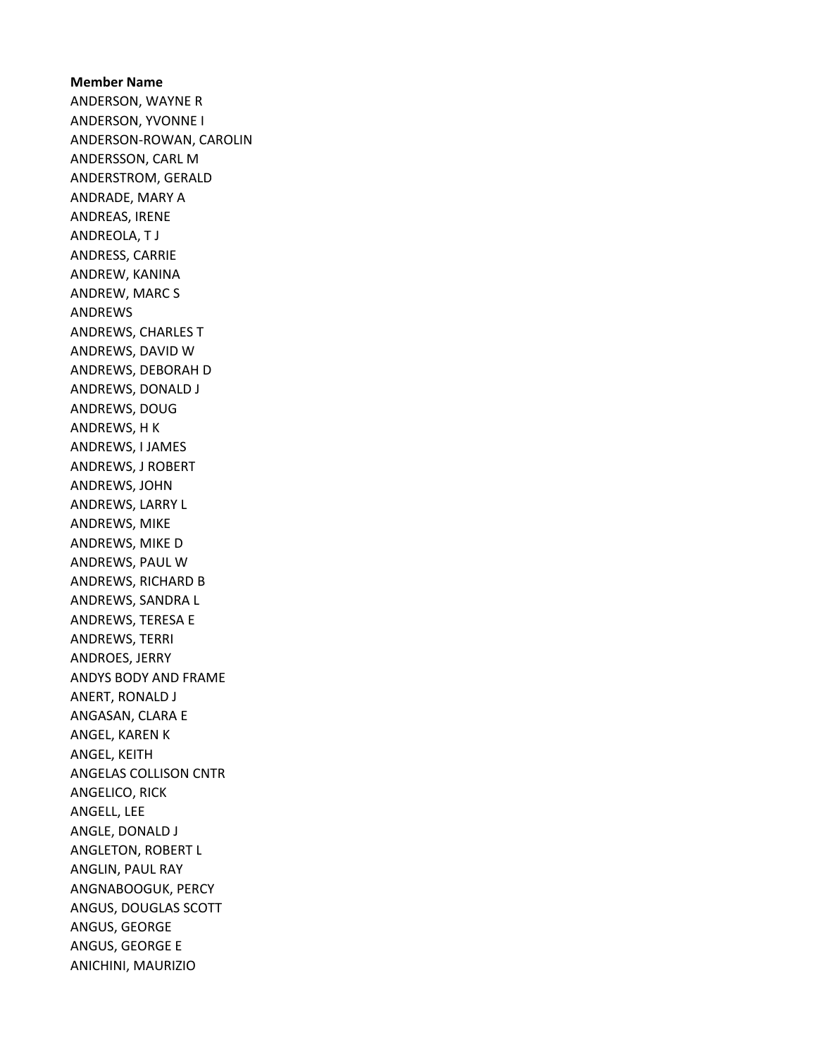Member Name ANDERSON, WAYNE R ANDERSON, YVONNE I ANDERSON-ROWAN, CAROLIN ANDERSSON, CARL M ANDERSTROM, GERALD ANDRADE, MARY A ANDREAS, IRENE ANDREOLA, T J ANDRESS, CARRIE ANDREW, KANINA ANDREW, MARC S ANDREWS ANDREWS, CHARLES T ANDREWS, DAVID W ANDREWS, DEBORAH D ANDREWS, DONALD J ANDREWS, DOUG ANDREWS, H K ANDREWS, I JAMES ANDREWS, J ROBERT ANDREWS, JOHN ANDREWS, LARRY L ANDREWS, MIKE ANDREWS, MIKE D ANDREWS, PAUL W ANDREWS, RICHARD B ANDREWS, SANDRA L ANDREWS, TERESA E ANDREWS, TERRI ANDROES, JERRY ANDYS BODY AND FRAME ANERT, RONALD J ANGASAN, CLARA E ANGEL, KAREN K ANGEL, KEITH ANGELAS COLLISON CNTR ANGELICO, RICK ANGELL, LEE ANGLE, DONALD J ANGLETON, ROBERT L ANGLIN, PAUL RAY ANGNABOOGUK, PERCY ANGUS, DOUGLAS SCOTT ANGUS, GEORGE ANGUS, GEORGE E ANICHINI, MAURIZIO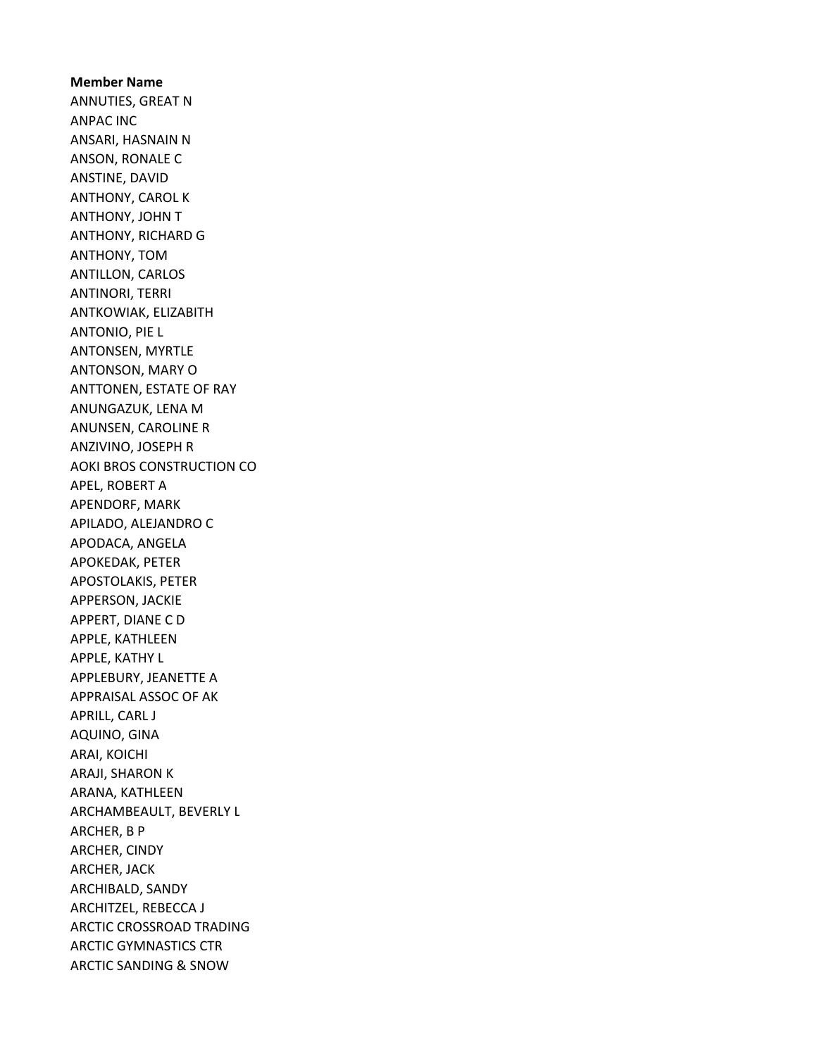Member Name ANNUTIES, GREAT N ANPAC INC ANSARI, HASNAIN N ANSON, RONALE C ANSTINE, DAVID ANTHONY, CAROL K ANTHONY, JOHN T ANTHONY, RICHARD G ANTHONY, TOM ANTILLON, CARLOS ANTINORI, TERRI ANTKOWIAK, ELIZABITH ANTONIO, PIE L ANTONSEN, MYRTLE ANTONSON, MARY O ANTTONEN, ESTATE OF RAY ANUNGAZUK, LENA M ANUNSEN, CAROLINE R ANZIVINO, JOSEPH R AOKI BROS CONSTRUCTION CO APEL, ROBERT A APENDORF, MARK APILADO, ALEJANDRO C APODACA, ANGELA APOKEDAK, PETER APOSTOLAKIS, PETER APPERSON, JACKIE APPERT, DIANE C D APPLE, KATHLEEN APPLE, KATHY L APPLEBURY, JEANETTE A APPRAISAL ASSOC OF AK APRILL, CARL J AQUINO, GINA ARAI, KOICHI ARAJI, SHARON K ARANA, KATHLEEN ARCHAMBEAULT, BEVERLY L ARCHER, B P ARCHER, CINDY ARCHER, JACK ARCHIBALD, SANDY ARCHITZEL, REBECCA J ARCTIC CROSSROAD TRADING ARCTIC GYMNASTICS CTR ARCTIC SANDING & SNOW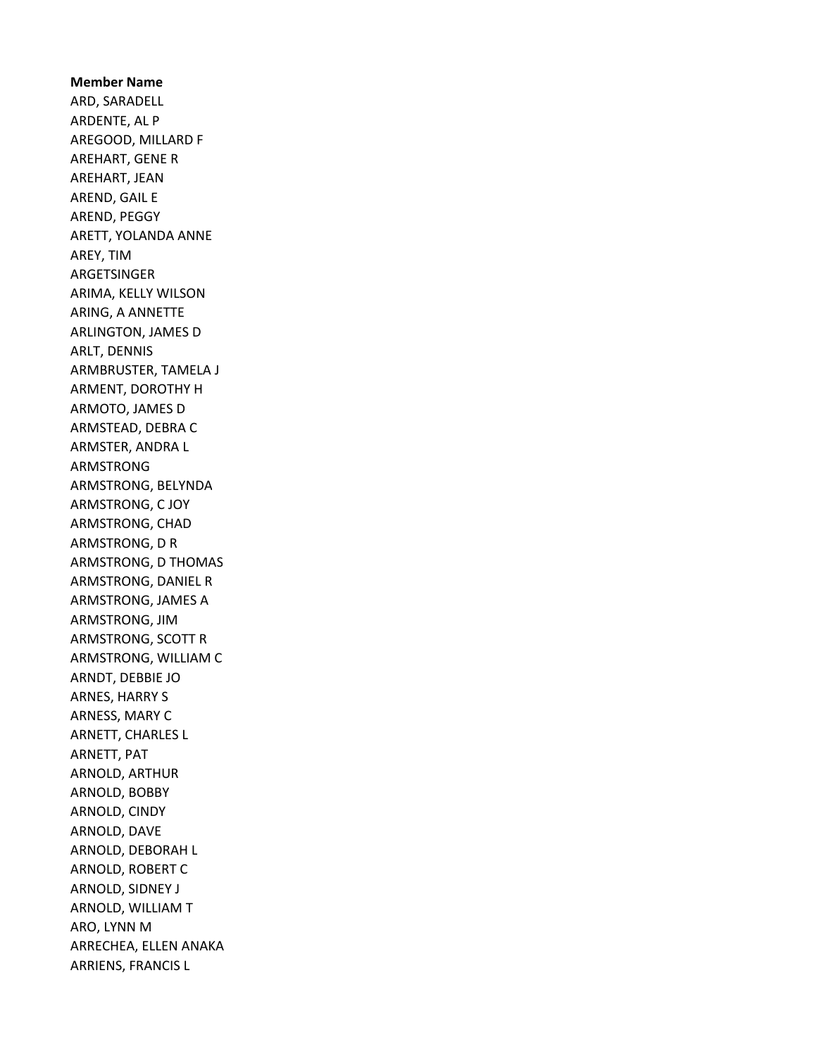Member Name ARD, SARADELL ARDENTE, AL P AREGOOD, MILLARD F AREHART, GENE R AREHART, JEAN AREND, GAIL E AREND, PEGGY ARETT, YOLANDA ANNE AREY, TIM ARGETSINGER ARIMA, KELLY WILSON ARING, A ANNETTE ARLINGTON, JAMES D ARLT, DENNIS ARMBRUSTER, TAMELA J ARMENT, DOROTHY H ARMOTO, JAMES D ARMSTEAD, DEBRA C ARMSTER, ANDRA L ARMSTRONG ARMSTRONG, BELYNDA ARMSTRONG, C JOY ARMSTRONG, CHAD ARMSTRONG, D R ARMSTRONG, D THOMAS ARMSTRONG, DANIEL R ARMSTRONG, JAMES A ARMSTRONG, JIM ARMSTRONG, SCOTT R ARMSTRONG, WILLIAM C ARNDT, DEBBIE JO ARNES, HARRY S ARNESS, MARY C ARNETT, CHARLES L ARNETT, PAT ARNOLD, ARTHUR ARNOLD, BOBBY ARNOLD, CINDY ARNOLD, DAVE ARNOLD, DEBORAH L ARNOLD, ROBERT C ARNOLD, SIDNEY J ARNOLD, WILLIAM T ARO, LYNN M ARRECHEA, ELLEN ANAKA ARRIENS, FRANCIS L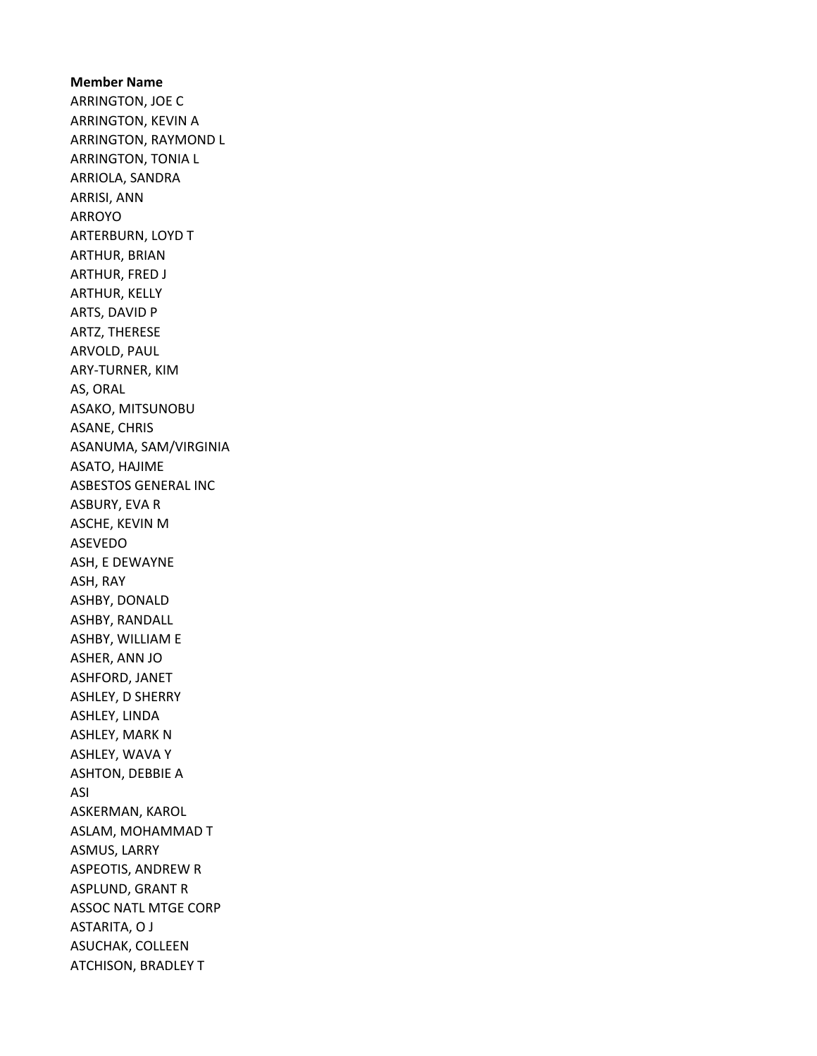Member Name ARRINGTON, JOE C ARRINGTON, KEVIN A ARRINGTON, RAYMOND L ARRINGTON, TONIA L ARRIOLA, SANDRA ARRISI, ANN ARROYO ARTERBURN, LOYD T ARTHUR, BRIAN ARTHUR, FRED J ARTHUR, KELLY ARTS, DAVID P ARTZ, THERESE ARVOLD, PAUL ARY-TURNER, KIM AS, ORAL ASAKO, MITSUNOBU ASANE, CHRIS ASANUMA, SAM/VIRGINIA ASATO, HAJIME ASBESTOS GENERAL INC ASBURY, EVA R ASCHE, KEVIN M ASEVEDO ASH, E DEWAYNE ASH, RAY ASHBY, DONALD ASHBY, RANDALL ASHBY, WILLIAM E ASHER, ANN JO ASHFORD, JANET ASHLEY, D SHERRY ASHLEY, LINDA ASHLEY, MARK N ASHLEY, WAVA Y ASHTON, DEBBIE A ASI ASKERMAN, KAROL ASLAM, MOHAMMAD T ASMUS, LARRY ASPEOTIS, ANDREW R ASPLUND, GRANT R ASSOC NATL MTGE CORP ASTARITA, O J ASUCHAK, COLLEEN ATCHISON, BRADLEY T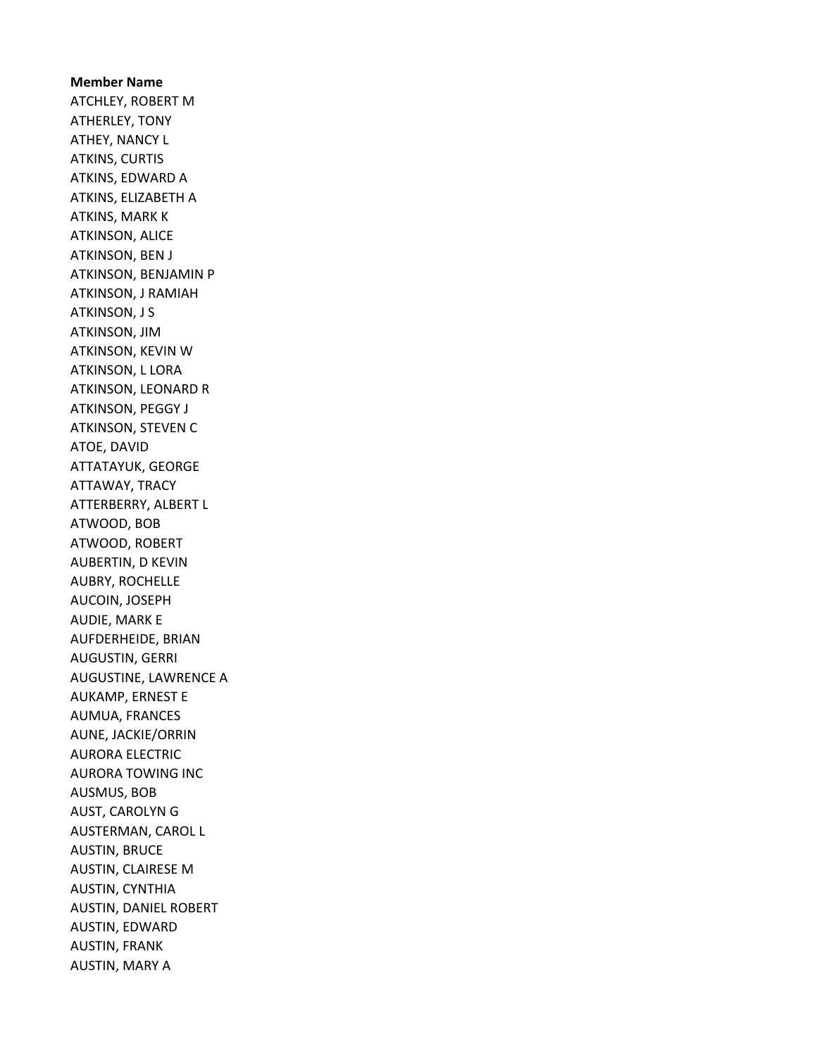Member Name ATCHLEY, ROBERT M ATHERLEY, TONY ATHEY, NANCY L ATKINS, CURTIS ATKINS, EDWARD A ATKINS, ELIZABETH A ATKINS, MARK K ATKINSON, ALICE ATKINSON, BEN J ATKINSON, BENJAMIN P ATKINSON, J RAMIAH ATKINSON, J S ATKINSON, JIM ATKINSON, KEVIN W ATKINSON, L LORA ATKINSON, LEONARD R ATKINSON, PEGGY J ATKINSON, STEVEN C ATOE, DAVID ATTATAYUK, GEORGE ATTAWAY, TRACY ATTERBERRY, ALBERT L ATWOOD, BOB ATWOOD, ROBERT AUBERTIN, D KEVIN AUBRY, ROCHELLE AUCOIN, JOSEPH AUDIE, MARK E AUFDERHEIDE, BRIAN AUGUSTIN, GERRI AUGUSTINE, LAWRENCE A AUKAMP, ERNEST E AUMUA, FRANCES AUNE, JACKIE/ORRIN AURORA ELECTRIC AURORA TOWING INC AUSMUS, BOB AUST, CAROLYN G AUSTERMAN, CAROL L AUSTIN, BRUCE AUSTIN, CLAIRESE M AUSTIN, CYNTHIA AUSTIN, DANIEL ROBERT AUSTIN, EDWARD AUSTIN, FRANK AUSTIN, MARY A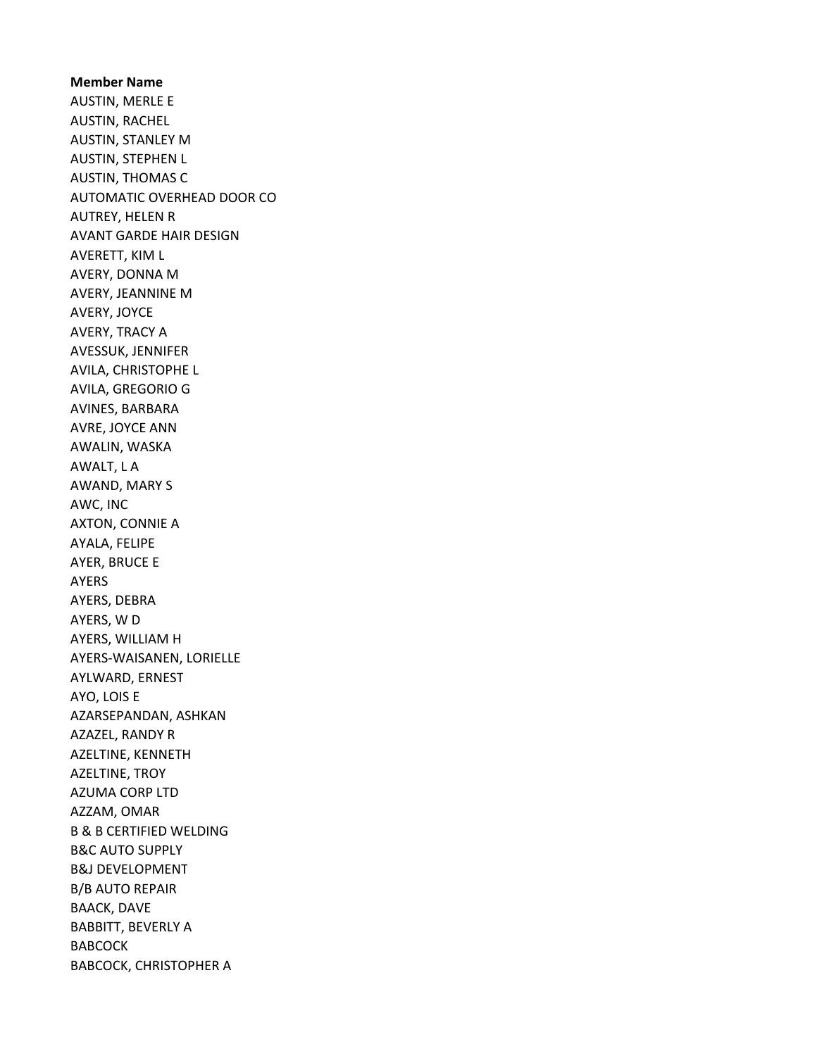Member Name AUSTIN, MERLE E AUSTIN, RACHEL AUSTIN, STANLEY M AUSTIN, STEPHEN L AUSTIN, THOMAS C AUTOMATIC OVERHEAD DOOR CO AUTREY, HELEN R AVANT GARDE HAIR DESIGN AVERETT, KIM L AVERY, DONNA M AVERY, JEANNINE M AVERY, JOYCE AVERY, TRACY A AVESSUK, JENNIFER AVILA, CHRISTOPHE L AVILA, GREGORIO G AVINES, BARBARA AVRE, JOYCE ANN AWALIN, WASKA AWALT, L A AWAND, MARY S AWC, INC AXTON, CONNIE A AYALA, FELIPE AYER, BRUCE E AYERS AYERS, DEBRA AYERS, W D AYERS, WILLIAM H AYERS-WAISANEN, LORIELLE AYLWARD, ERNEST AYO, LOIS E AZARSEPANDAN, ASHKAN AZAZEL, RANDY R AZELTINE, KENNETH AZELTINE, TROY AZUMA CORP LTD AZZAM, OMAR B & B CERTIFIED WELDING B&C AUTO SUPPLY B&J DEVELOPMENT B/B AUTO REPAIR BAACK, DAVE BABBITT, BEVERLY A **BABCOCK** BABCOCK, CHRISTOPHER A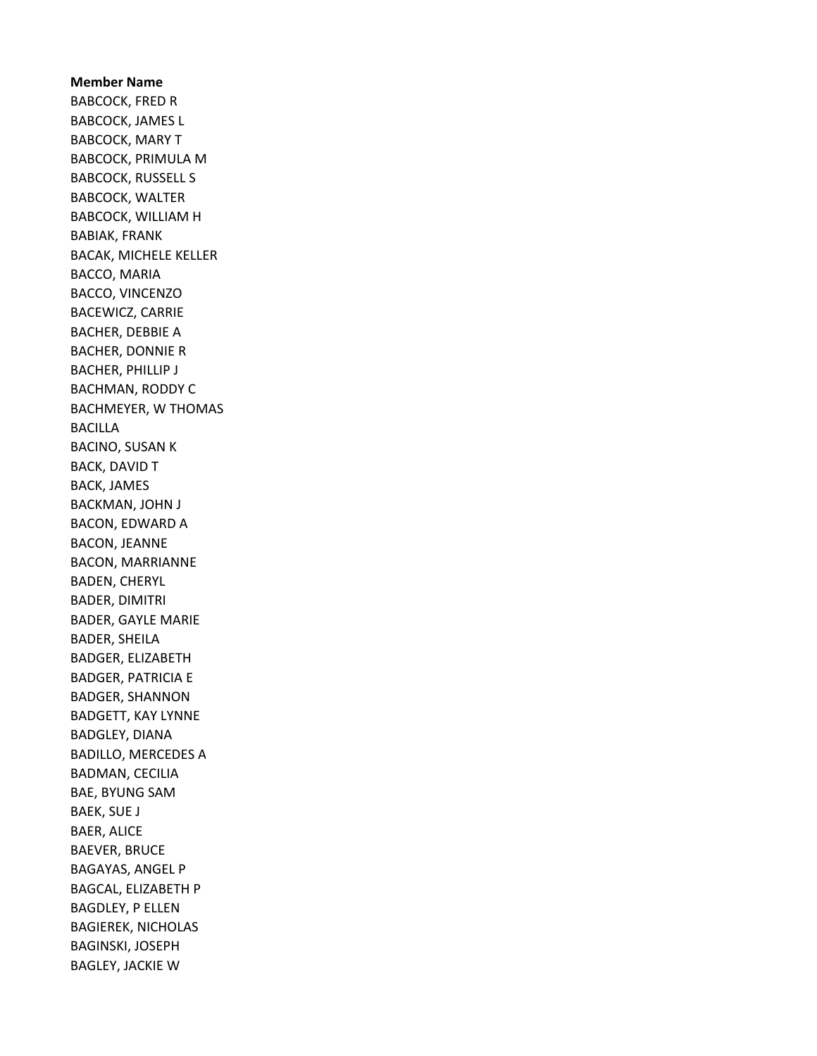Member Name BABCOCK, FRED R BABCOCK, JAMES L BABCOCK, MARY T BABCOCK, PRIMULA M BABCOCK, RUSSELL S BABCOCK, WALTER BABCOCK, WILLIAM H BABIAK, FRANK BACAK, MICHELE KELLER BACCO, MARIA BACCO, VINCENZO BACEWICZ, CARRIE BACHER, DEBBIE A BACHER, DONNIE R BACHER, PHILLIP J BACHMAN, RODDY C BACHMEYER, W THOMAS BACILLA BACINO, SUSAN K BACK, DAVID T BACK, JAMES BACKMAN, JOHN J BACON, EDWARD A BACON, JEANNE BACON, MARRIANNE BADEN, CHERYL BADER, DIMITRI BADER, GAYLE MARIE BADER, SHEILA BADGER, ELIZABETH BADGER, PATRICIA E BADGER, SHANNON BADGETT, KAY LYNNE BADGLEY, DIANA BADILLO, MERCEDES A BADMAN, CECILIA BAE, BYUNG SAM BAEK, SUE J BAER, ALICE BAEVER, BRUCE BAGAYAS, ANGEL P BAGCAL, ELIZABETH P BAGDLEY, P ELLEN BAGIEREK, NICHOLAS BAGINSKI, JOSEPH BAGLEY, JACKIE W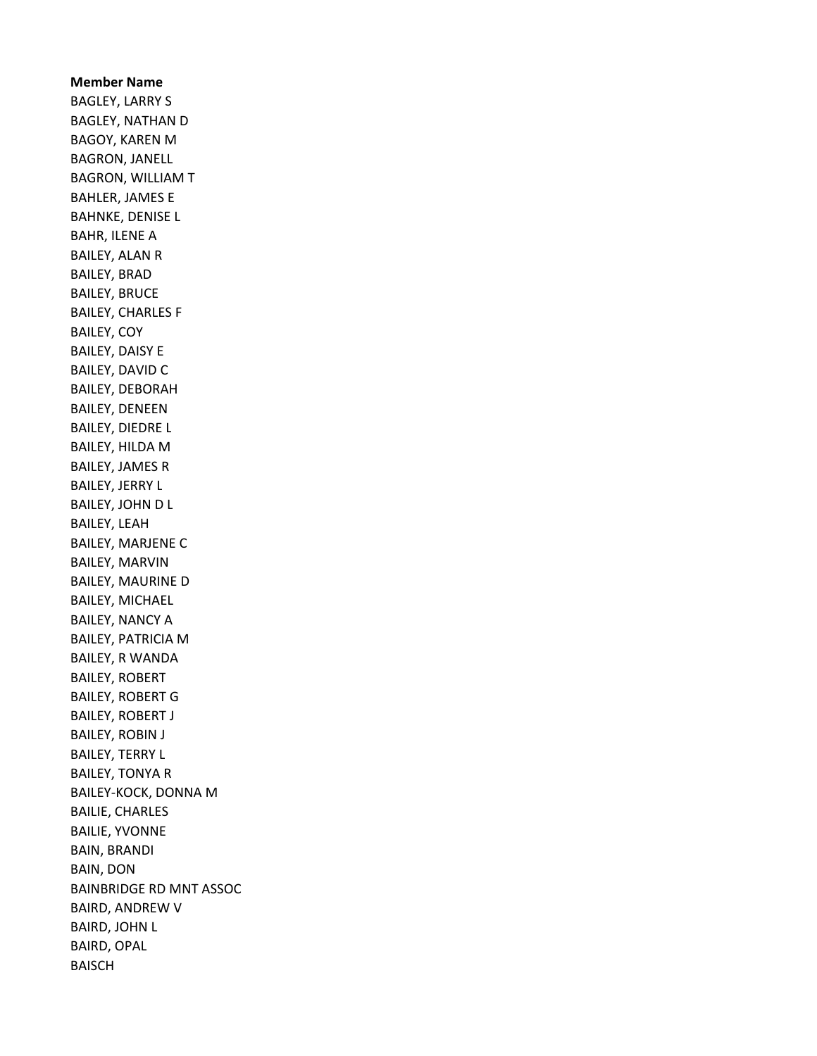Member Name BAGLEY, LARRY S BAGLEY, NATHAN D BAGOY, KAREN M BAGRON, JANELL BAGRON, WILLIAM T BAHLER, JAMES E BAHNKE, DENISE L BAHR, ILENE A BAILEY, ALAN R BAILEY, BRAD BAILEY, BRUCE BAILEY, CHARLES F BAILEY, COY BAILEY, DAISY E BAILEY, DAVID C BAILEY, DEBORAH BAILEY, DENEEN BAILEY, DIEDRE L BAILEY, HILDA M BAILEY, JAMES R BAILEY, JERRY L BAILEY, JOHN D L BAILEY, LEAH BAILEY, MARJENE C BAILEY, MARVIN BAILEY, MAURINE D BAILEY, MICHAEL BAILEY, NANCY A BAILEY, PATRICIA M BAILEY, R WANDA BAILEY, ROBERT BAILEY, ROBERT G BAILEY, ROBERT J BAILEY, ROBIN J BAILEY, TERRY L BAILEY, TONYA R BAILEY-KOCK, DONNA M BAILIE, CHARLES BAILIE, YVONNE BAIN, BRANDI BAIN, DON BAINBRIDGE RD MNT ASSOC BAIRD, ANDREW V BAIRD, JOHN L BAIRD, OPAL BAISCH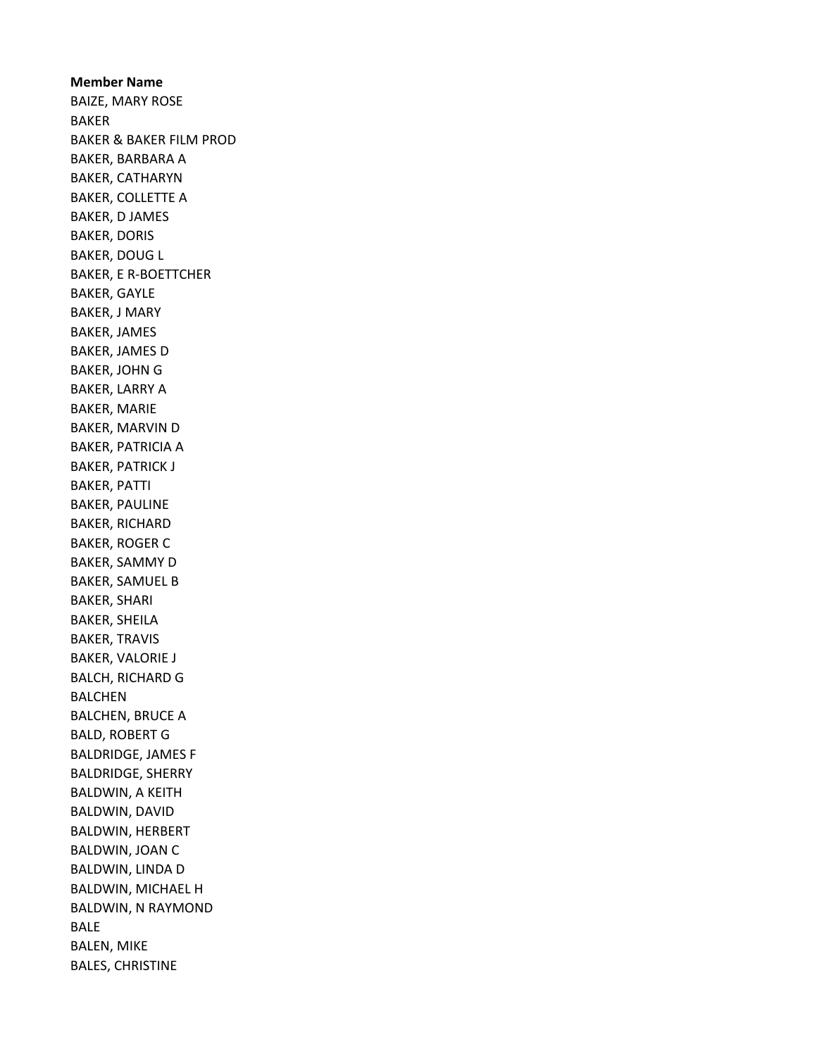Member Name BAIZE, MARY ROSE BAKER BAKER & BAKER FILM PROD BAKER, BARBARA A BAKER, CATHARYN BAKER, COLLETTE A BAKER, D JAMES BAKER, DORIS BAKER, DOUG L BAKER, E R-BOETTCHER BAKER, GAYLE BAKER, J MARY BAKER, JAMES BAKER, JAMES D BAKER, JOHN G BAKER, LARRY A BAKER, MARIE BAKER, MARVIN D BAKER, PATRICIA A BAKER, PATRICK J BAKER, PATTI BAKER, PAULINE BAKER, RICHARD BAKER, ROGER C BAKER, SAMMY D BAKER, SAMUEL B BAKER, SHARI BAKER, SHEILA BAKER, TRAVIS BAKER, VALORIE J BALCH, RICHARD G BALCHEN BALCHEN, BRUCE A BALD, ROBERT G BALDRIDGE, JAMES F BALDRIDGE, SHERRY BALDWIN, A KEITH BALDWIN, DAVID BALDWIN, HERBERT BALDWIN, JOAN C BALDWIN, LINDA D BALDWIN, MICHAEL H BALDWIN, N RAYMOND BALE BALEN, MIKE BALES, CHRISTINE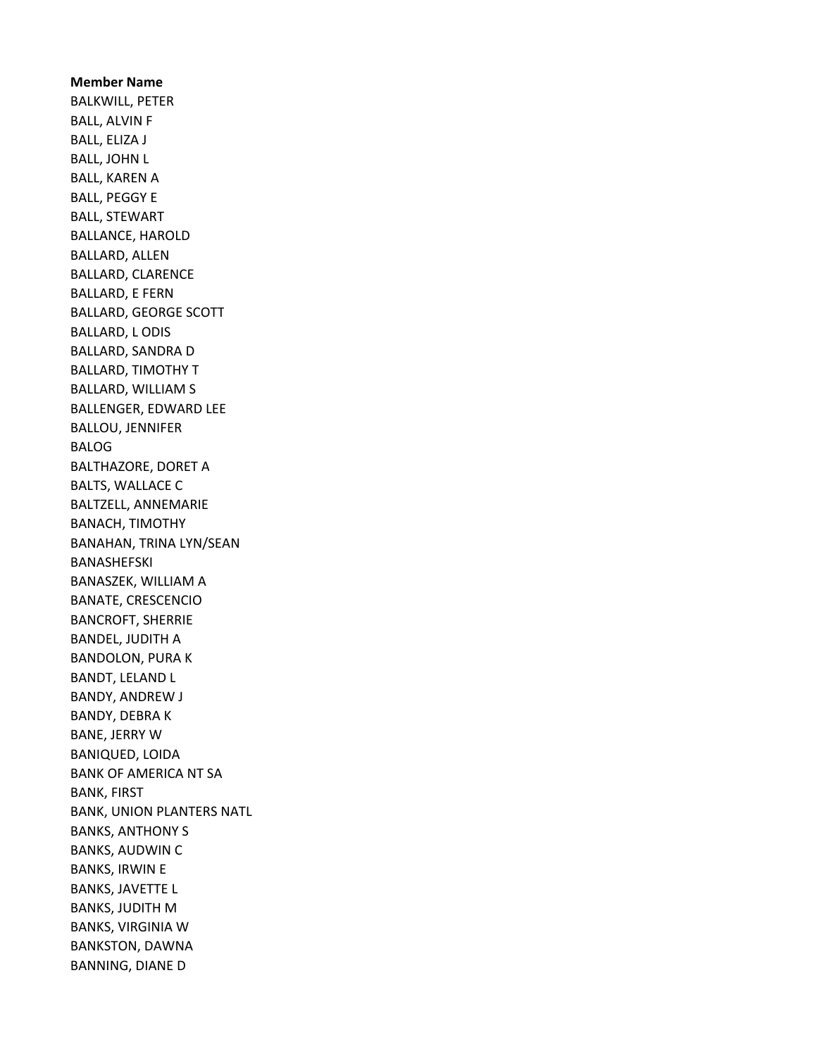Member Name BALKWILL, PETER BALL, ALVIN F BALL, ELIZA J BALL, JOHN L BALL, KAREN A BALL, PEGGY E BALL, STEWART BALLANCE, HAROLD BALLARD, ALLEN BALLARD, CLARENCE BALLARD, E FERN BALLARD, GEORGE SCOTT BALLARD, L ODIS BALLARD, SANDRA D BALLARD, TIMOTHY T BALLARD, WILLIAM S BALLENGER, EDWARD LEE BALLOU, JENNIFER BALOG BALTHAZORE, DORET A BALTS, WALLACE C BALTZELL, ANNEMARIE BANACH, TIMOTHY BANAHAN, TRINA LYN/SEAN BANASHEFSKI BANASZEK, WILLIAM A BANATE, CRESCENCIO BANCROFT, SHERRIE BANDEL, JUDITH A BANDOLON, PURA K BANDT, LELAND L BANDY, ANDREW J BANDY, DEBRA K BANE, JERRY W BANIQUED, LOIDA BANK OF AMERICA NT SA BANK, FIRST BANK, UNION PLANTERS NATL BANKS, ANTHONY S BANKS, AUDWIN C BANKS, IRWIN E BANKS, JAVETTE L BANKS, JUDITH M BANKS, VIRGINIA W BANKSTON, DAWNA BANNING, DIANE D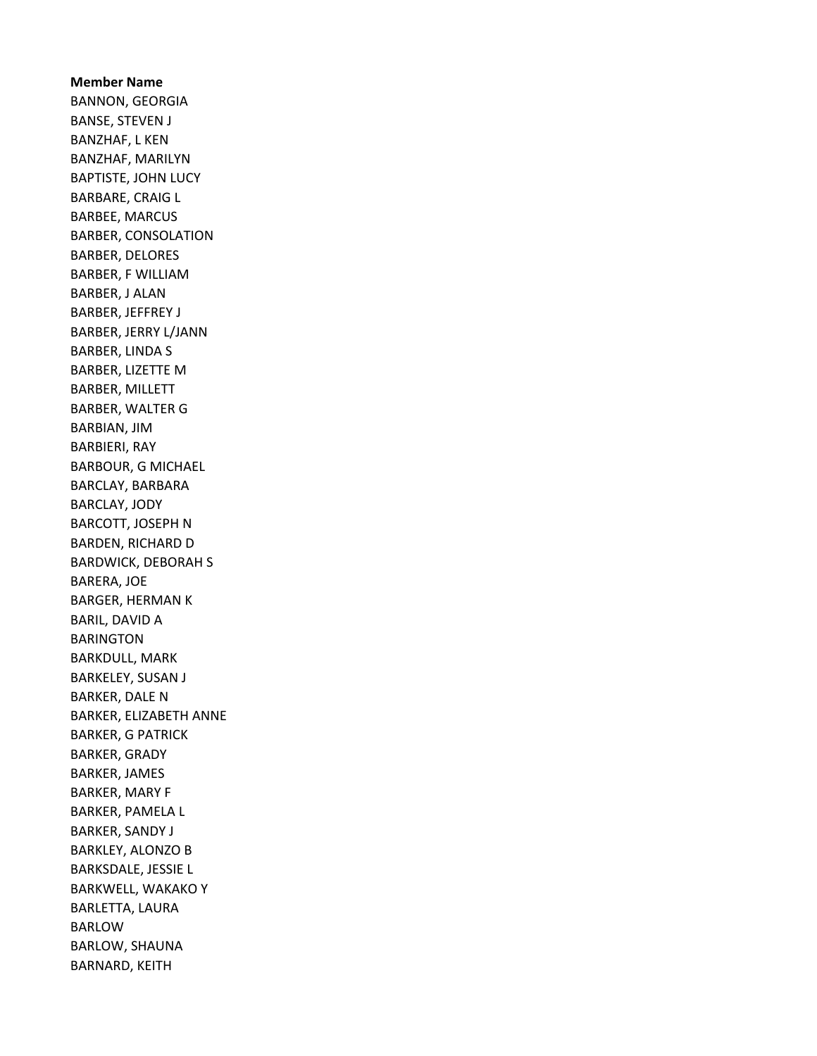Member Name BANNON, GEORGIA BANSE, STEVEN J BANZHAF, L KEN BANZHAF, MARILYN BAPTISTE, JOHN LUCY BARBARE, CRAIG L BARBEE, MARCUS BARBER, CONSOLATION BARBER, DELORES BARBER, F WILLIAM BARBER, J ALAN BARBER, JEFFREY J BARBER, JERRY L/JANN BARBER, LINDA S BARBER, LIZETTE M BARBER, MILLETT BARBER, WALTER G BARBIAN, JIM BARBIERI, RAY BARBOUR, G MICHAEL BARCLAY, BARBARA BARCLAY, JODY BARCOTT, JOSEPH N BARDEN, RICHARD D BARDWICK, DEBORAH S BARERA, JOE BARGER, HERMAN K BARIL, DAVID A BARINGTON BARKDULL, MARK BARKELEY, SUSAN J BARKER, DALE N BARKER, ELIZABETH ANNE BARKER, G PATRICK BARKER, GRADY BARKER, JAMES BARKER, MARY F BARKER, PAMELA L BARKER, SANDY J BARKLEY, ALONZO B BARKSDALE, JESSIE L BARKWELL, WAKAKO Y BARLETTA, LAURA BARLOW BARLOW, SHAUNA BARNARD, KEITH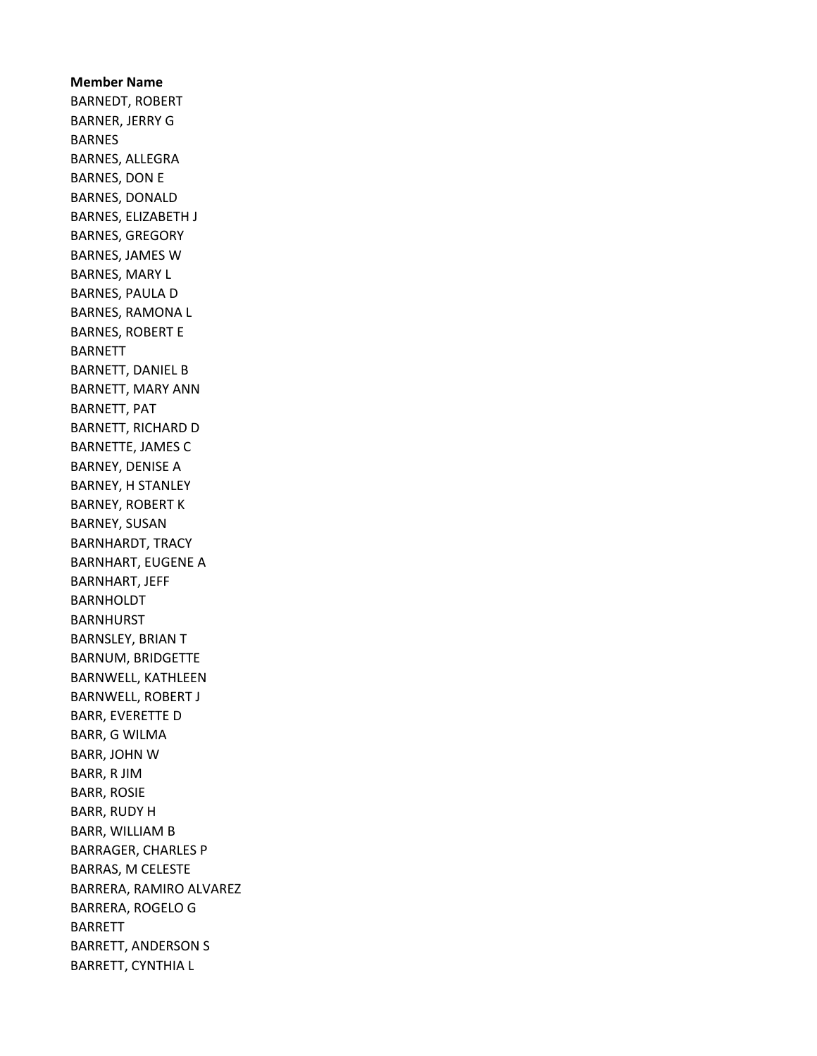Member Name BARNEDT, ROBERT BARNER, JERRY G BARNES BARNES, ALLEGRA BARNES, DON E BARNES, DONALD BARNES, ELIZABETH J BARNES, GREGORY BARNES, JAMES W BARNES, MARY L BARNES, PAULA D BARNES, RAMONA L BARNES, ROBERT E BARNETT BARNETT, DANIEL B BARNETT, MARY ANN BARNETT, PAT BARNETT, RICHARD D BARNETTE, JAMES C BARNEY, DENISE A BARNEY, H STANLEY BARNEY, ROBERT K BARNEY, SUSAN BARNHARDT, TRACY BARNHART, EUGENE A BARNHART, JEFF BARNHOLDT BARNHURST BARNSLEY, BRIAN T BARNUM, BRIDGETTE BARNWELL, KATHLEEN BARNWELL, ROBERT J BARR, EVERETTE D BARR, G WILMA BARR, JOHN W BARR, R JIM BARR, ROSIE BARR, RUDY H BARR, WILLIAM B BARRAGER, CHARLES P BARRAS, M CELESTE BARRERA, RAMIRO ALVAREZ BARRERA, ROGELO G BARRETT BARRETT, ANDERSON S BARRETT, CYNTHIA L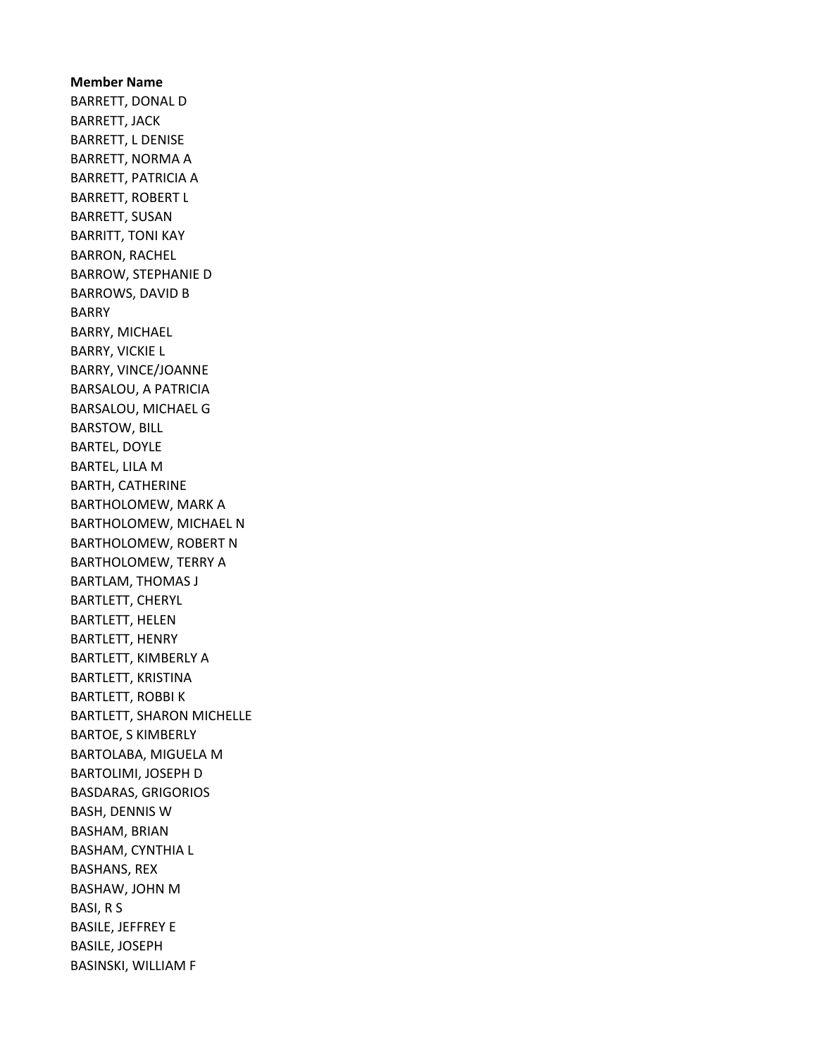Member Name BARRETT, DONAL D BARRETT, JACK BARRETT, L DENISE BARRETT, NORMA A BARRETT, PATRICIA A BARRETT, ROBERT L BARRETT, SUSAN BARRITT, TONI KAY BARRON, RACHEL BARROW, STEPHANIE D BARROWS, DAVID B BARRY BARRY, MICHAEL BARRY, VICKIE L BARRY, VINCE/JOANNE BARSALOU, A PATRICIA BARSALOU, MICHAEL G BARSTOW, BILL BARTEL, DOYLE BARTEL, LILA M BARTH, CATHERINE BARTHOLOMEW, MARK A BARTHOLOMEW, MICHAEL N BARTHOLOMEW, ROBERT N BARTHOLOMEW, TERRY A BARTLAM, THOMAS J BARTLETT, CHERYL BARTLETT, HELEN BARTLETT, HENRY BARTLETT, KIMBERLY A BARTLETT, KRISTINA BARTLETT, ROBBI K BARTLETT, SHARON MICHELLE BARTOE, S KIMBERLY BARTOLABA, MIGUELA M BARTOLIMI, JOSEPH D BASDARAS, GRIGORIOS BASH, DENNIS W BASHAM, BRIAN BASHAM, CYNTHIA L BASHANS, REX BASHAW, JOHN M BASI, R S BASILE, JEFFREY E BASILE, JOSEPH BASINSKI, WILLIAM F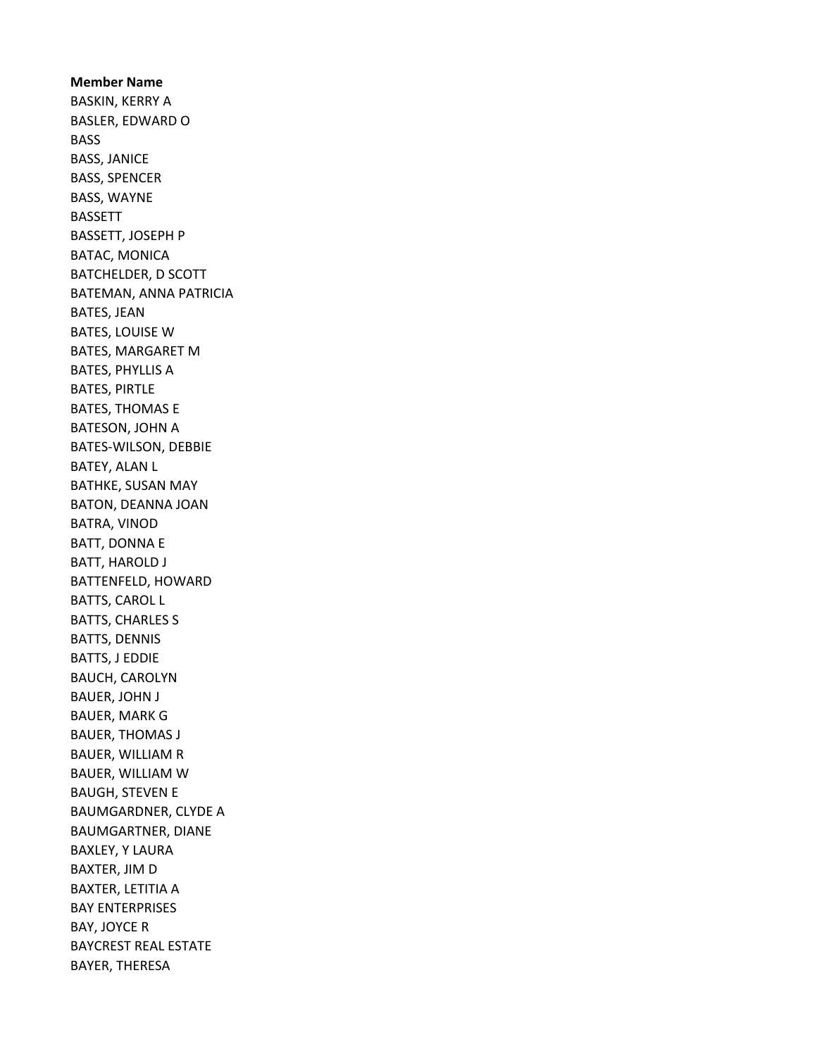Member Name BASKIN, KERRY A BASLER, EDWARD O BASS BASS, JANICE BASS, SPENCER BASS, WAYNE BASSETT BASSETT, JOSEPH P BATAC, MONICA BATCHELDER, D SCOTT BATEMAN, ANNA PATRICIA BATES, JEAN BATES, LOUISE W BATES, MARGARET M BATES, PHYLLIS A BATES, PIRTLE BATES, THOMAS E BATESON, JOHN A BATES-WILSON, DEBBIE BATEY, ALAN L BATHKE, SUSAN MAY BATON, DEANNA JOAN BATRA, VINOD BATT, DONNA E BATT, HAROLD J BATTENFELD, HOWARD BATTS, CAROL L BATTS, CHARLES S BATTS, DENNIS BATTS, J EDDIE BAUCH, CAROLYN BAUER, JOHN J BAUER, MARK G BAUER, THOMAS J BAUER, WILLIAM R BAUER, WILLIAM W BAUGH, STEVEN E BAUMGARDNER, CLYDE A BAUMGARTNER, DIANE BAXLEY, Y LAURA BAXTER, JIM D BAXTER, LETITIA A BAY ENTERPRISES BAY, JOYCE R BAYCREST REAL ESTATE BAYER, THERESA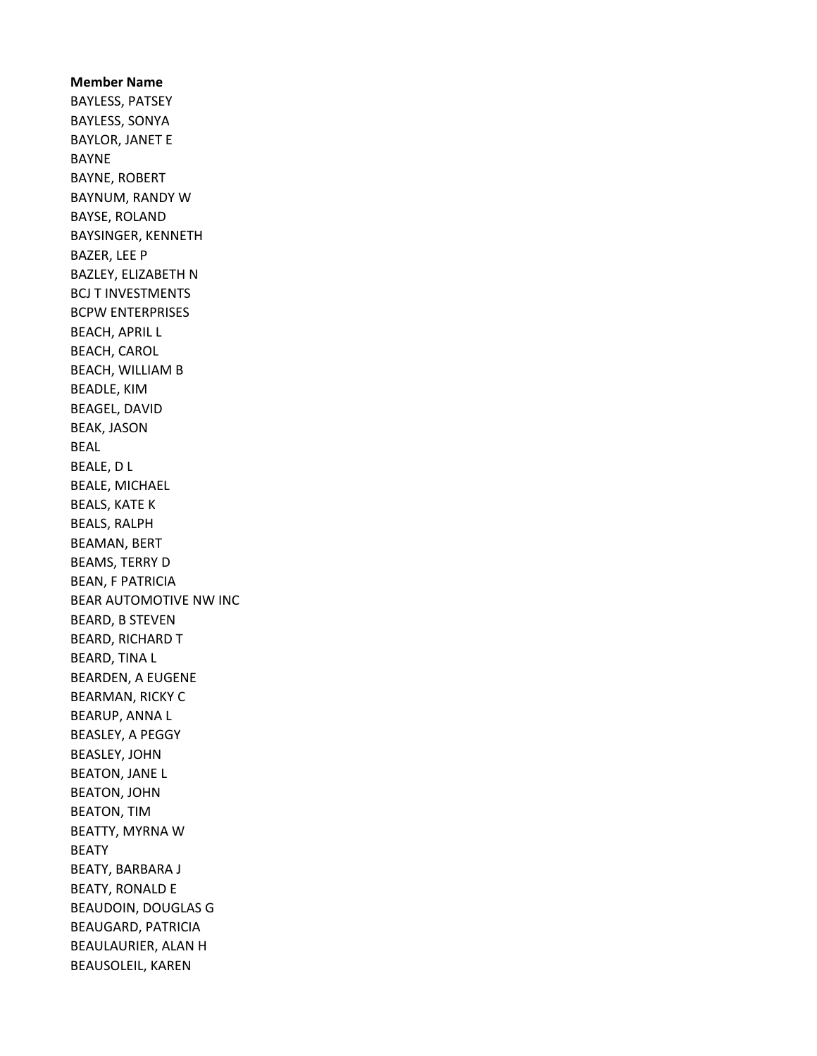Member Name BAYLESS, PATSEY BAYLESS, SONYA BAYLOR, JANET E BAYNE BAYNE, ROBERT BAYNUM, RANDY W BAYSE, ROLAND BAYSINGER, KENNETH BAZER, LEE P BAZLEY, ELIZABETH N BCJ T INVESTMENTS BCPW ENTERPRISES BEACH, APRIL L BEACH, CAROL BEACH, WILLIAM B BEADLE, KIM BEAGEL, DAVID BEAK, JASON BEAL BEALE, D L BEALE, MICHAEL BEALS, KATE K BEALS, RALPH BEAMAN, BERT BEAMS, TERRY D BEAN, F PATRICIA BEAR AUTOMOTIVE NW INC BEARD, B STEVEN BEARD, RICHARD T BEARD, TINA L BEARDEN, A EUGENE BEARMAN, RICKY C BEARUP, ANNA L BEASLEY, A PEGGY BEASLEY, JOHN BEATON, JANE L BEATON, JOHN BEATON, TIM BEATTY, MYRNA W BEATY BEATY, BARBARA J BEATY, RONALD E BEAUDOIN, DOUGLAS G BEAUGARD, PATRICIA BEAULAURIER, ALAN H BEAUSOLEIL, KAREN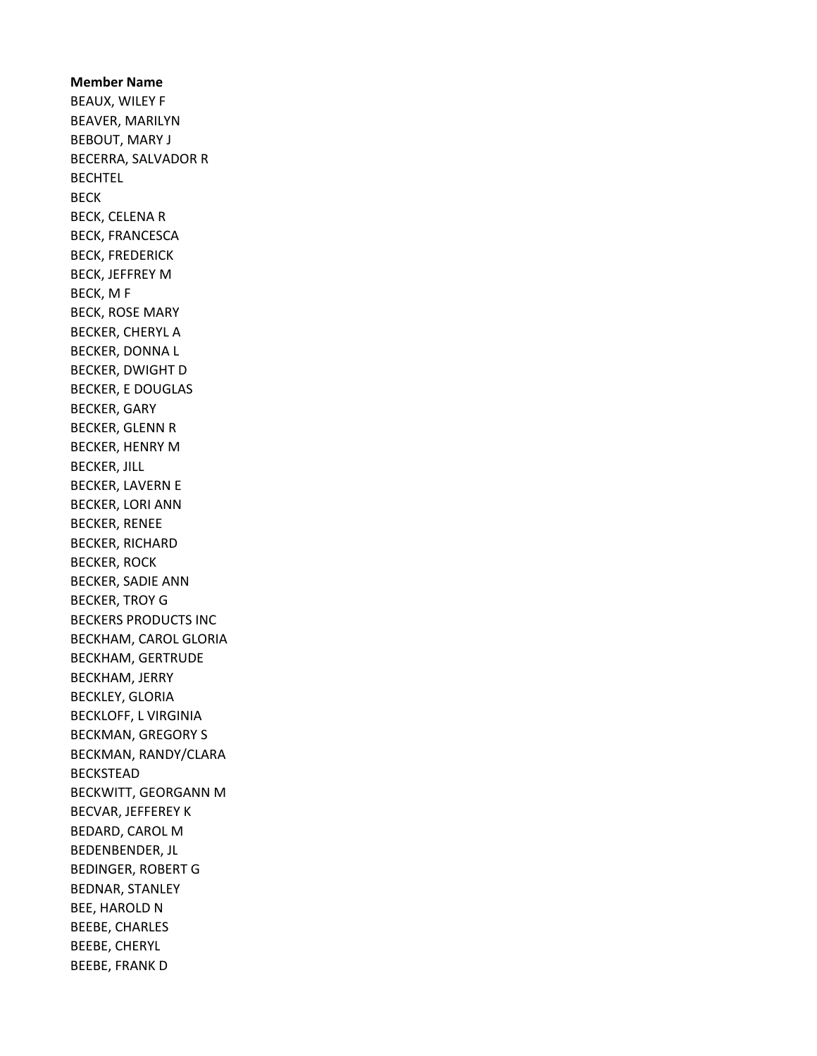Member Name BEAUX, WILEY F BEAVER, MARILYN BEBOUT, MARY J BECERRA, SALVADOR R BECHTEL BECK BECK, CELENA R BECK, FRANCESCA BECK, FREDERICK BECK, JEFFREY M BECK, M F BECK, ROSE MARY BECKER, CHERYL A BECKER, DONNA L BECKER, DWIGHT D BECKER, E DOUGLAS BECKER, GARY BECKER, GLENN R BECKER, HENRY M BECKER, JILL BECKER, LAVERN E BECKER, LORI ANN BECKER, RENEE BECKER, RICHARD BECKER, ROCK BECKER, SADIE ANN BECKER, TROY G BECKERS PRODUCTS INC BECKHAM, CAROL GLORIA BECKHAM, GERTRUDE BECKHAM, JERRY BECKLEY, GLORIA BECKLOFF, L VIRGINIA BECKMAN, GREGORY S BECKMAN, RANDY/CLARA BECKSTEAD BECKWITT, GEORGANN M BECVAR, JEFFEREY K BEDARD, CAROL M BEDENBENDER, JL BEDINGER, ROBERT G BEDNAR, STANLEY BEE, HAROLD N BEEBE, CHARLES BEEBE, CHERYL BEEBE, FRANK D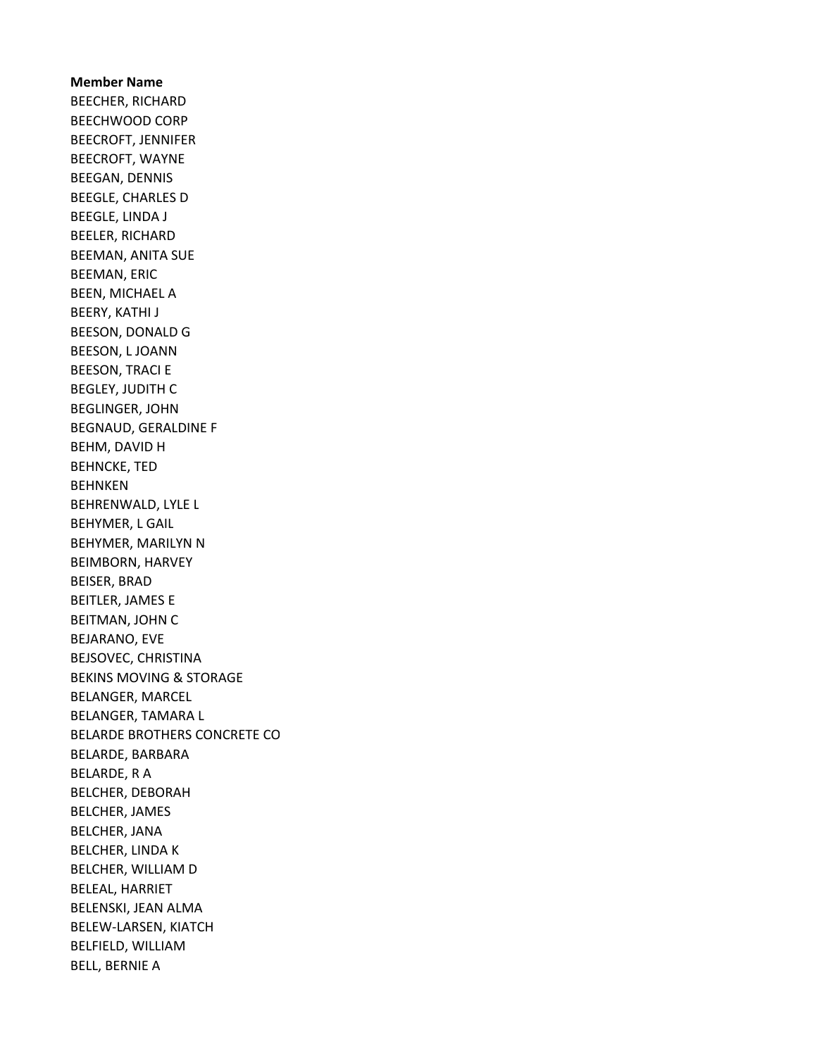Member Name BEECHER, RICHARD BEECHWOOD CORP BEECROFT, JENNIFER BEECROFT, WAYNE BEEGAN, DENNIS BEEGLE, CHARLES D BEEGLE, LINDA J BEELER, RICHARD BEEMAN, ANITA SUE BEEMAN, ERIC BEEN, MICHAEL A BEERY, KATHI J BEESON, DONALD G BEESON, L JOANN BEESON, TRACI E BEGLEY, JUDITH C BEGLINGER, JOHN BEGNAUD, GERALDINE F BEHM, DAVID H BEHNCKE, TED BEHNKEN BEHRENWALD, LYLE L BEHYMER, L GAIL BEHYMER, MARILYN N BEIMBORN, HARVEY BEISER, BRAD BEITLER, JAMES E BEITMAN, JOHN C BEJARANO, EVE BEJSOVEC, CHRISTINA BEKINS MOVING & STORAGE BELANGER, MARCEL BELANGER, TAMARA L BELARDE BROTHERS CONCRETE CO BELARDE, BARBARA BELARDE, R A BELCHER, DEBORAH BELCHER, JAMES BELCHER, JANA BELCHER, LINDA K BELCHER, WILLIAM D BELEAL, HARRIET BELENSKI, JEAN ALMA BELEW-LARSEN, KIATCH BELFIELD, WILLIAM BELL, BERNIE A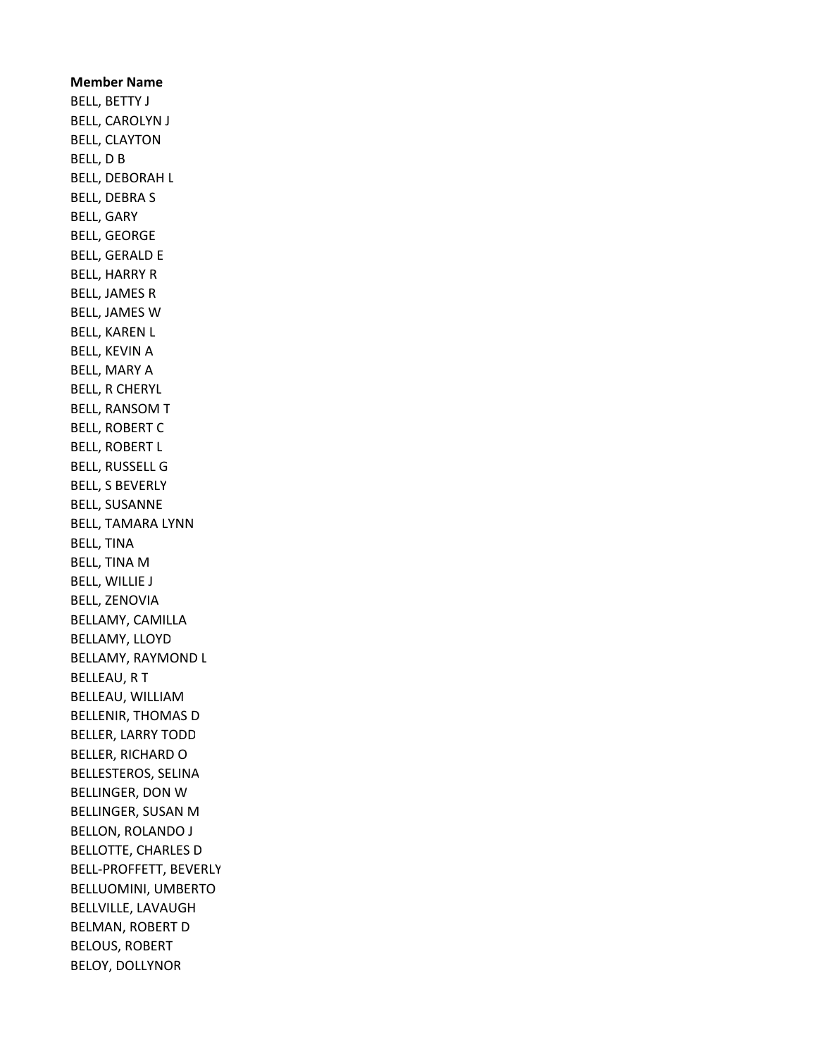Member Name BELL, BETTY J BELL, CAROLYN J BELL, CLAYTON BELL, D B BELL, DEBORAH L BELL, DEBRA S BELL, GARY BELL, GEORGE BELL, GERALD E BELL, HARRY R BELL, JAMES R BELL, JAMES W BELL, KAREN L BELL, KEVIN A BELL, MARY A BELL, R CHERYL BELL, RANSOM T BELL, ROBERT C BELL, ROBERT L BELL, RUSSELL G BELL, S BEVERLY BELL, SUSANNE BELL, TAMARA LYNN BELL, TINA BELL, TINA M BELL, WILLIE J BELL, ZENOVIA BELLAMY, CAMILLA BELLAMY, LLOYD BELLAMY, RAYMOND L BELLEAU, R T BELLEAU, WILLIAM BELLENIR, THOMAS D BELLER, LARRY TODD BELLER, RICHARD O BELLESTEROS, SELINA BELLINGER, DON W BELLINGER, SUSAN M BELLON, ROLANDO J BELLOTTE, CHARLES D BELL-PROFFETT, BEVERLY BELLUOMINI, UMBERTO BELLVILLE, LAVAUGH BELMAN, ROBERT D BELOUS, ROBERT BELOY, DOLLYNOR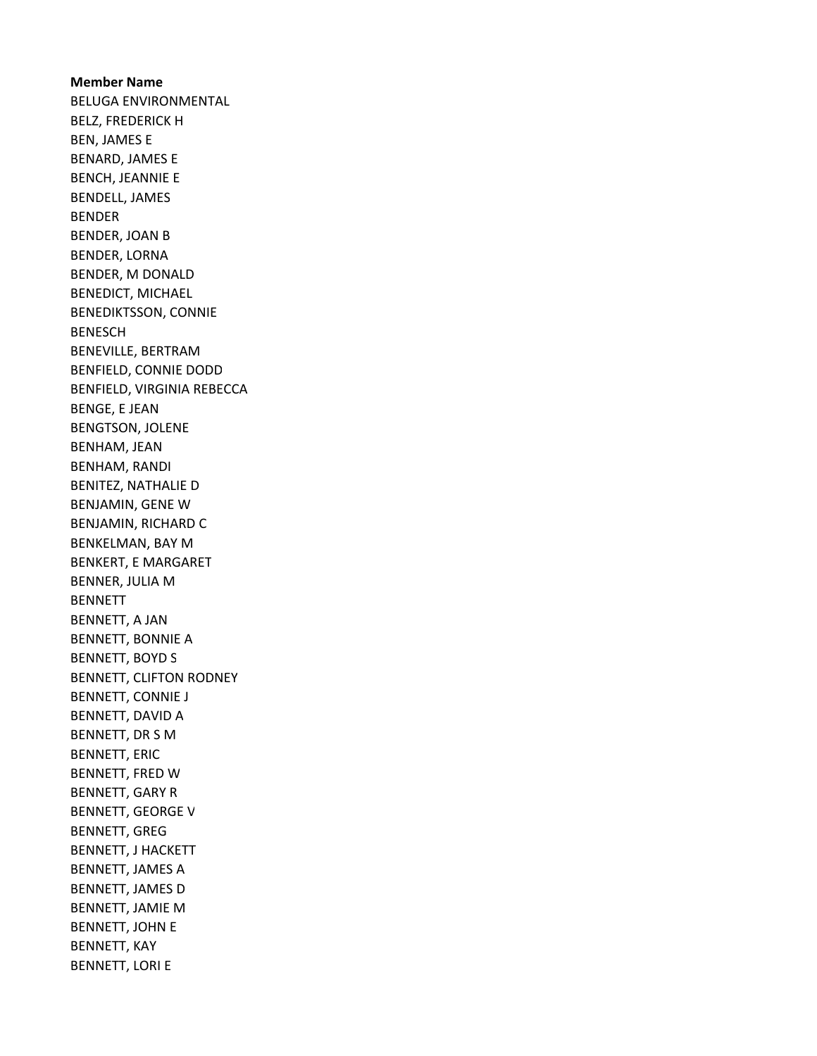Member Name BELUGA ENVIRONMENTAL BELZ, FREDERICK H BEN, JAMES E BENARD, JAMES E BENCH, JEANNIE E BENDELL, JAMES BENDER BENDER, JOAN B BENDER, LORNA BENDER, M DONALD BENEDICT, MICHAEL BENEDIKTSSON, CONNIE BENESCH BENEVILLE, BERTRAM BENFIELD, CONNIE DODD BENFIELD, VIRGINIA REBECCA BENGE, E JEAN BENGTSON, JOLENE BENHAM, JEAN BENHAM, RANDI BENITEZ, NATHALIE D BENJAMIN, GENE W BENJAMIN, RICHARD C BENKELMAN, BAY M BENKERT, E MARGARET BENNER, JULIA M BENNETT BENNETT, A JAN BENNETT, BONNIE A BENNETT, BOYD S BENNETT, CLIFTON RODNEY BENNETT, CONNIE J BENNETT, DAVID A BENNETT, DR S M BENNETT, ERIC BENNETT, FRED W BENNETT, GARY R BENNETT, GEORGE V BENNETT, GREG BENNETT, J HACKETT BENNETT, JAMES A BENNETT, JAMES D BENNETT, JAMIE M BENNETT, JOHN E BENNETT, KAY BENNETT, LORI E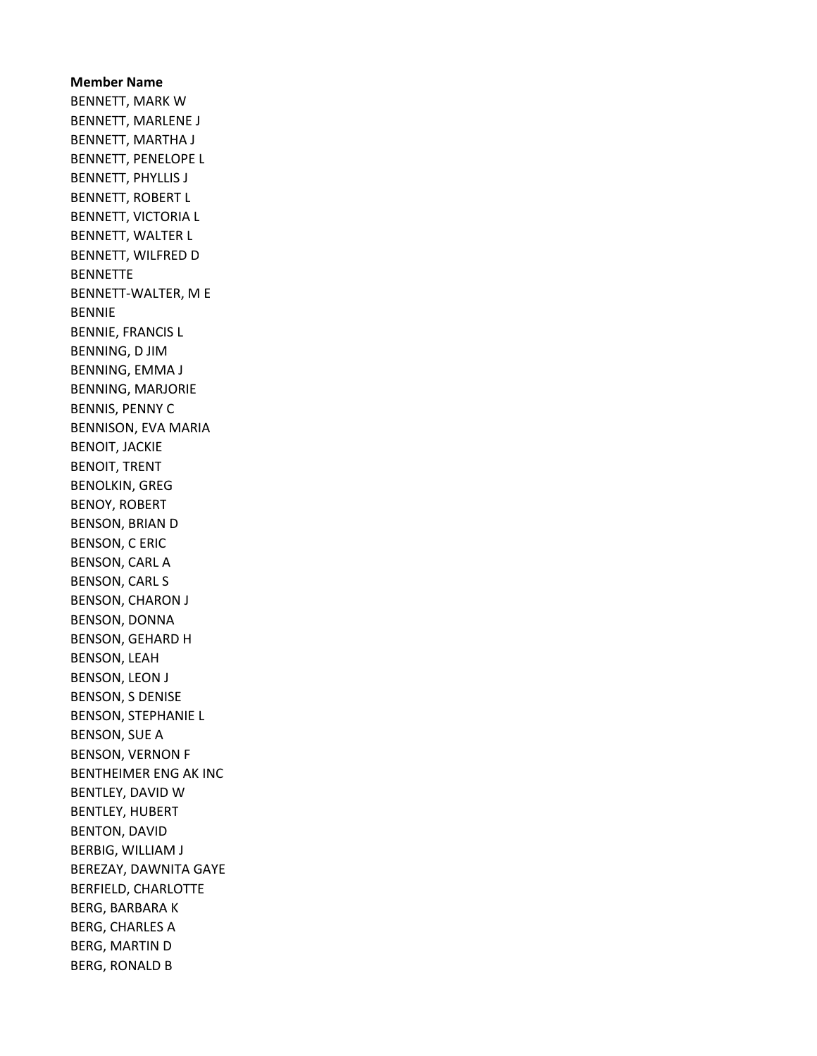Member Name BENNETT, MARK W BENNETT, MARLENE J BENNETT, MARTHA J BENNETT, PENELOPE L BENNETT, PHYLLIS J BENNETT, ROBERT L BENNETT, VICTORIA L BENNETT, WALTER L BENNETT, WILFRED D **BENNETTE** BENNETT-WALTER, M E BENNIE BENNIE, FRANCIS L BENNING, D JIM BENNING, EMMA J BENNING, MARJORIE BENNIS, PENNY C BENNISON, EVA MARIA BENOIT, JACKIE BENOIT, TRENT BENOLKIN, GREG BENOY, ROBERT BENSON, BRIAN D BENSON, C ERIC BENSON, CARL A BENSON, CARL S BENSON, CHARON J BENSON, DONNA BENSON, GEHARD H BENSON, LEAH BENSON, LEON J BENSON, S DENISE BENSON, STEPHANIE L BENSON, SUE A BENSON, VERNON F BENTHEIMER ENG AK INC BENTLEY, DAVID W BENTLEY, HUBERT BENTON, DAVID BERBIG, WILLIAM J BEREZAY, DAWNITA GAYE BERFIELD, CHARLOTTE BERG, BARBARA K BERG, CHARLES A BERG, MARTIN D BERG, RONALD B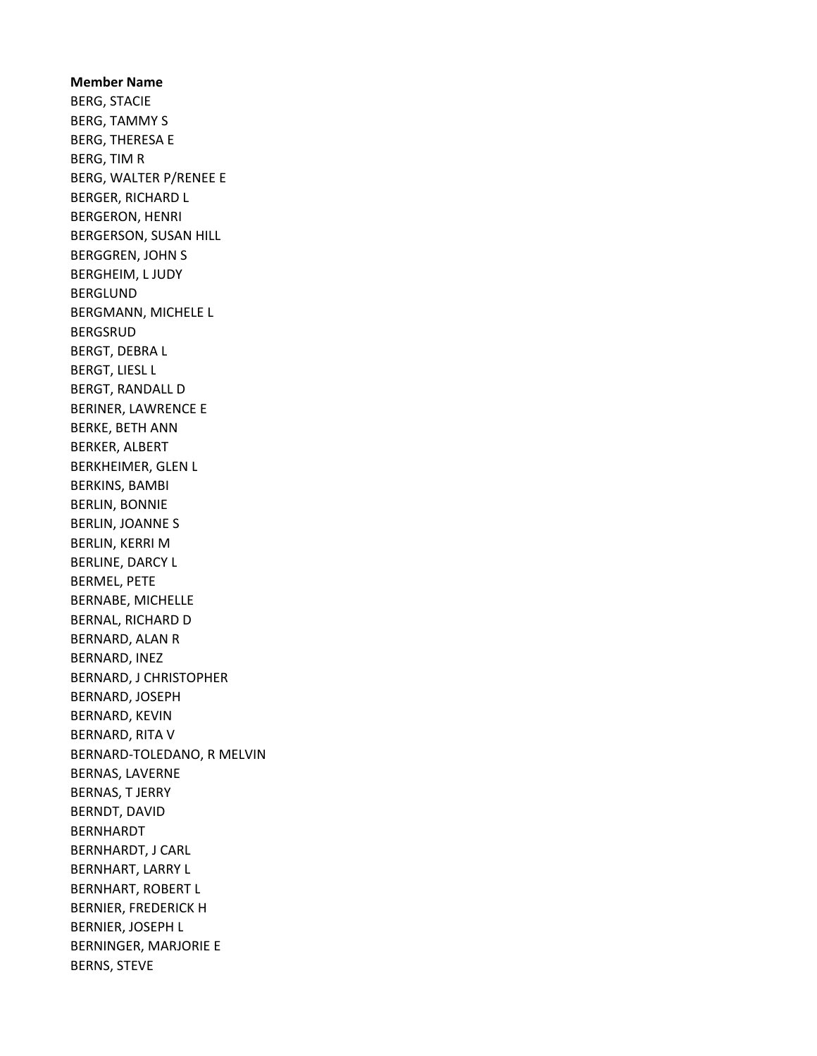Member Name BERG, STACIE BERG, TAMMY S BERG, THERESA E BERG, TIM R BERG, WALTER P/RENEE E BERGER, RICHARD L BERGERON, HENRI BERGERSON, SUSAN HILL BERGGREN, JOHN S BERGHEIM, L JUDY BERGLUND BERGMANN, MICHELE L BERGSRUD BERGT, DEBRA L BERGT, LIESL L BERGT, RANDALL D BERINER, LAWRENCE E BERKE, BETH ANN BERKER, ALBERT BERKHEIMER, GLEN L BERKINS, BAMBI BERLIN, BONNIE BERLIN, JOANNE S BERLIN, KERRI M BERLINE, DARCY L BERMEL, PETE BERNABE, MICHELLE BERNAL, RICHARD D BERNARD, ALAN R BERNARD, INEZ BERNARD, J CHRISTOPHER BERNARD, JOSEPH BERNARD, KEVIN BERNARD, RITA V BERNARD-TOLEDANO, R MELVIN BERNAS, LAVERNE BERNAS, T JERRY BERNDT, DAVID BERNHARDT BERNHARDT, J CARL BERNHART, LARRY L BERNHART, ROBERT L BERNIER, FREDERICK H BERNIER, JOSEPH L BERNINGER, MARJORIE E BERNS, STEVE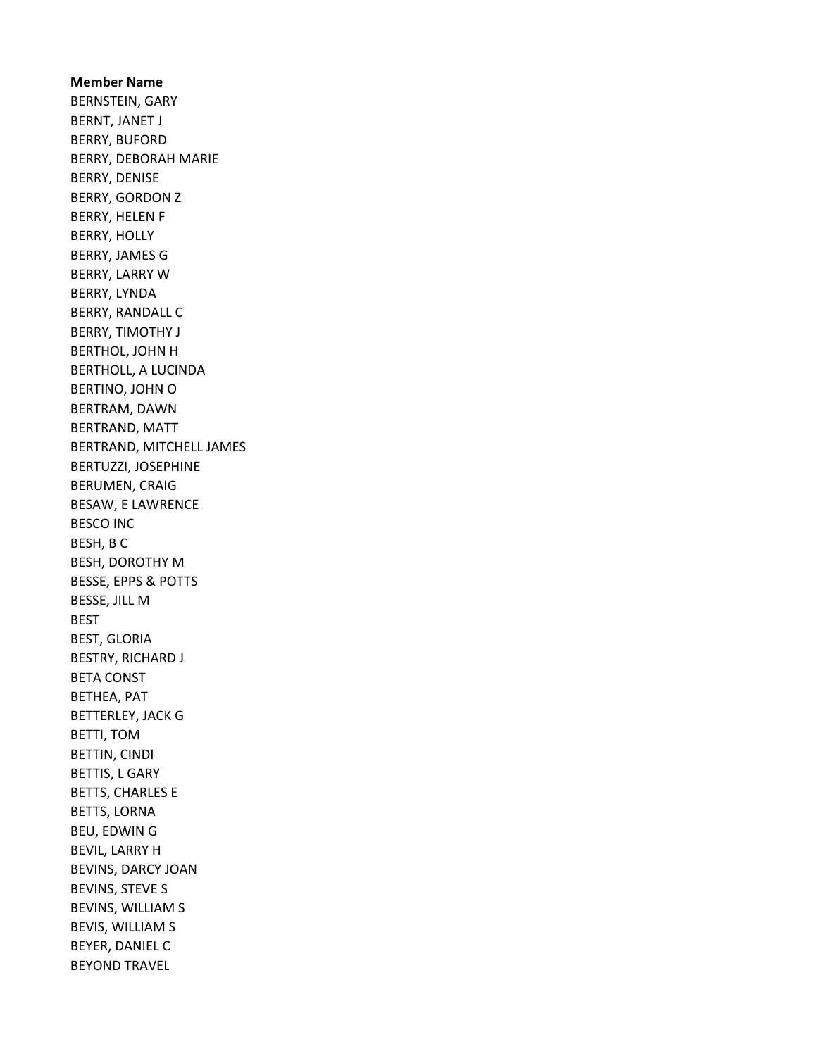Member Name BERNSTEIN, GARY BERNT, JANET J BERRY, BUFORD BERRY, DEBORAH MARIE BERRY, DENISE BERRY, GORDON Z BERRY, HELEN F BERRY, HOLLY BERRY, JAMES G BERRY, LARRY W BERRY, LYNDA BERRY, RANDALL C BERRY, TIMOTHY J BERTHOL, JOHN H BERTHOLL, A LUCINDA BERTINO, JOHN O BERTRAM, DAWN BERTRAND, MATT BERTRAND, MITCHELL JAMES BERTUZZI, JOSEPHINE BERUMEN, CRAIG BESAW, E LAWRENCE BESCO INC BESH, B C BESH, DOROTHY M BESSE, EPPS & POTTS BESSE, JILL M BEST BEST, GLORIA BESTRY, RICHARD J BETA CONST BETHEA, PAT BETTERLEY, JACK G BETTI, TOM BETTIN, CINDI BETTIS, L GARY BETTS, CHARLES E BETTS, LORNA BEU, EDWIN G BEVIL, LARRY H BEVINS, DARCY JOAN BEVINS, STEVE S BEVINS, WILLIAM S BEVIS, WILLIAM S BEYER, DANIEL C BEYOND TRAVEL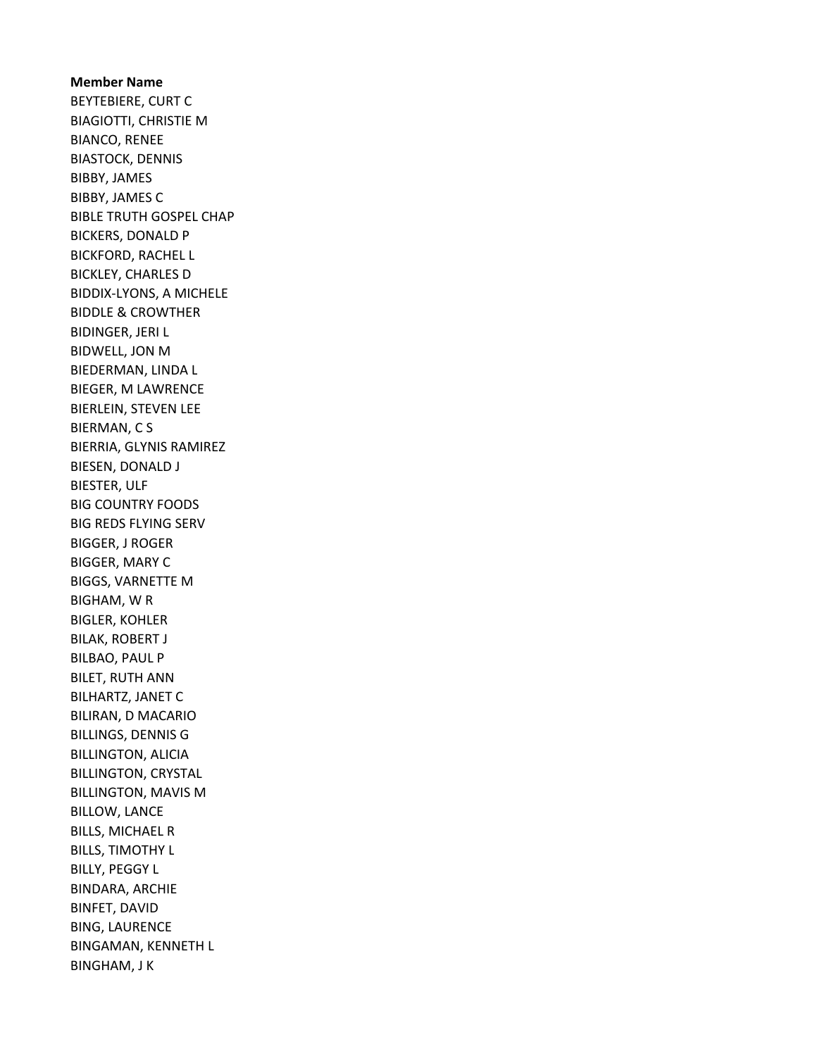Member Name BEYTEBIERE, CURT C BIAGIOTTI, CHRISTIE M BIANCO, RENEE BIASTOCK, DENNIS BIBBY, JAMES BIBBY, JAMES C BIBLE TRUTH GOSPEL CHAP BICKERS, DONALD P BICKFORD, RACHEL L BICKLEY, CHARLES D BIDDIX-LYONS, A MICHELE BIDDLE & CROWTHER BIDINGER, JERI L BIDWELL, JON M BIEDERMAN, LINDA L BIEGER, M LAWRENCE BIERLEIN, STEVEN LEE BIERMAN, C S BIERRIA, GLYNIS RAMIREZ BIESEN, DONALD J BIESTER, ULF BIG COUNTRY FOODS BIG REDS FLYING SERV BIGGER, J ROGER BIGGER, MARY C BIGGS, VARNETTE M BIGHAM, W R BIGLER, KOHLER BILAK, ROBERT J BILBAO, PAUL P BILET, RUTH ANN BILHARTZ, JANET C BILIRAN, D MACARIO BILLINGS, DENNIS G BILLINGTON, ALICIA BILLINGTON, CRYSTAL BILLINGTON, MAVIS M BILLOW, LANCE BILLS, MICHAEL R BILLS, TIMOTHY L BILLY, PEGGY L BINDARA, ARCHIE BINFET, DAVID BING, LAURENCE BINGAMAN, KENNETH L BINGHAM, J K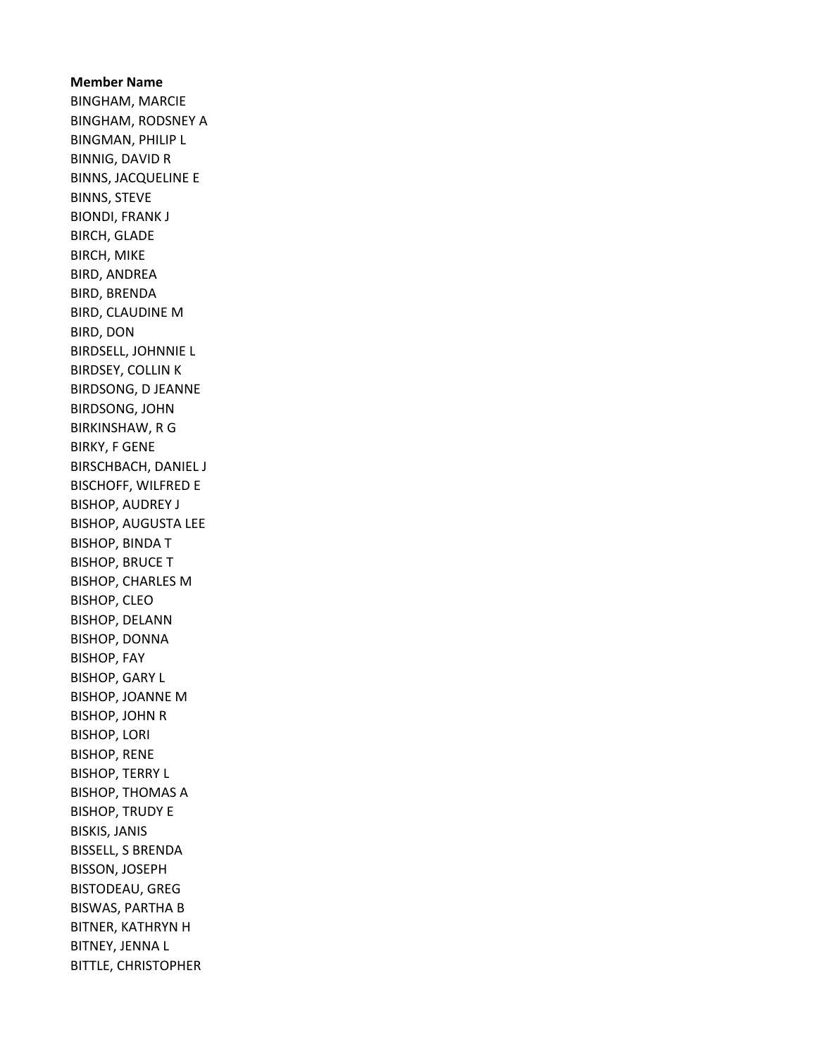Member Name BINGHAM, MARCIE BINGHAM, RODSNEY A BINGMAN, PHILIP L BINNIG, DAVID R BINNS, JACQUELINE E BINNS, STEVE BIONDI, FRANK J BIRCH, GLADE BIRCH, MIKE BIRD, ANDREA BIRD, BRENDA BIRD, CLAUDINE M BIRD, DON BIRDSELL, JOHNNIE L BIRDSEY, COLLIN K BIRDSONG, D JEANNE BIRDSONG, JOHN BIRKINSHAW, R G BIRKY, F GENE BIRSCHBACH, DANIEL J BISCHOFF, WILFRED E BISHOP, AUDREY J BISHOP, AUGUSTA LEE BISHOP, BINDA T BISHOP, BRUCE T BISHOP, CHARLES M BISHOP, CLEO BISHOP, DELANN BISHOP, DONNA BISHOP, FAY BISHOP, GARY L BISHOP, JOANNE M BISHOP, JOHN R BISHOP, LORI BISHOP, RENE BISHOP, TERRY L BISHOP, THOMAS A BISHOP, TRUDY E BISKIS, JANIS BISSELL, S BRENDA BISSON, JOSEPH BISTODEAU, GREG BISWAS, PARTHA B BITNER, KATHRYN H BITNEY, JENNA L BITTLE, CHRISTOPHER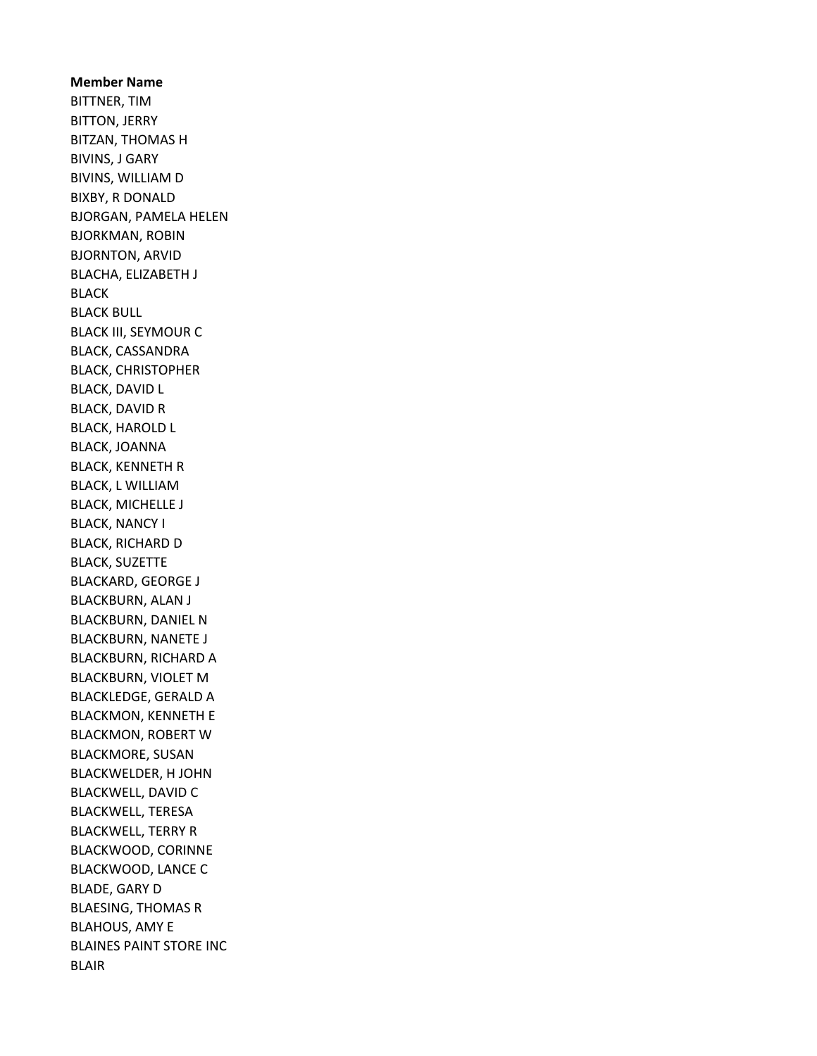Member Name BITTNER, TIM BITTON, JERRY BITZAN, THOMAS H BIVINS, J GARY BIVINS, WILLIAM D BIXBY, R DONALD BJORGAN, PAMELA HELEN BJORKMAN, ROBIN BJORNTON, ARVID BLACHA, ELIZABETH J BLACK BLACK BULL BLACK III, SEYMOUR C BLACK, CASSANDRA BLACK, CHRISTOPHER BLACK, DAVID L BLACK, DAVID R BLACK, HAROLD L BLACK, JOANNA BLACK, KENNETH R BLACK, L WILLIAM BLACK, MICHELLE J BLACK, NANCY I BLACK, RICHARD D BLACK, SUZETTE BLACKARD, GEORGE J BLACKBURN, ALAN J BLACKBURN, DANIEL N BLACKBURN, NANETE J BLACKBURN, RICHARD A BLACKBURN, VIOLET M BLACKLEDGE, GERALD A BLACKMON, KENNETH E BLACKMON, ROBERT W BLACKMORE, SUSAN BLACKWELDER, H JOHN BLACKWELL, DAVID C BLACKWELL, TERESA BLACKWELL, TERRY R BLACKWOOD, CORINNE BLACKWOOD, LANCE C BLADE, GARY D BLAESING, THOMAS R BLAHOUS, AMY E BLAINES PAINT STORE INC BLAIR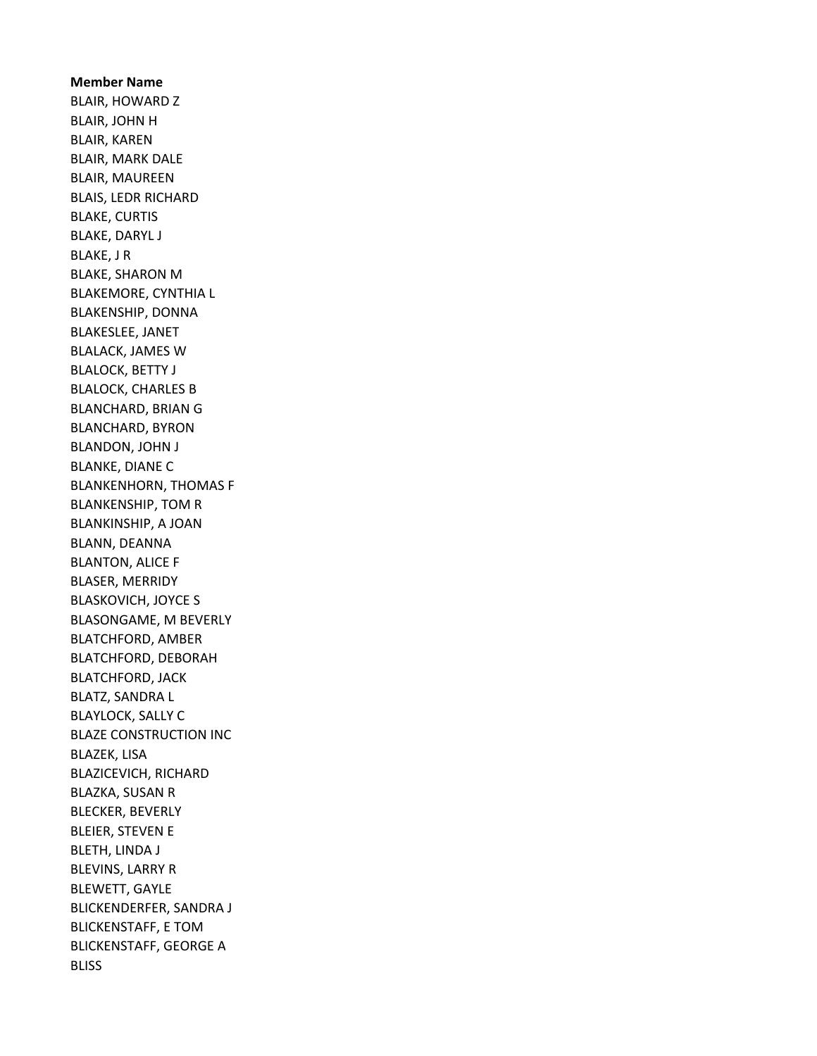Member Name BLAIR, HOWARD Z BLAIR, JOHN H BLAIR, KAREN BLAIR, MARK DALE BLAIR, MAUREEN BLAIS, LEDR RICHARD BLAKE, CURTIS BLAKE, DARYL J BLAKE, J R BLAKE, SHARON M BLAKEMORE, CYNTHIA L BLAKENSHIP, DONNA BLAKESLEE, JANET BLALACK, JAMES W BLALOCK, BETTY J BLALOCK, CHARLES B BLANCHARD, BRIAN G BLANCHARD, BYRON BLANDON, JOHN J BLANKE, DIANE C BLANKENHORN, THOMAS F BLANKENSHIP, TOM R BLANKINSHIP, A JOAN BLANN, DEANNA BLANTON, ALICE F BLASER, MERRIDY BLASKOVICH, JOYCE S BLASONGAME, M BEVERLY BLATCHFORD, AMBER BLATCHFORD, DEBORAH BLATCHFORD, JACK BLATZ, SANDRA L BLAYLOCK, SALLY C BLAZE CONSTRUCTION INC BLAZEK, LISA BLAZICEVICH, RICHARD BLAZKA, SUSAN R BLECKER, BEVERLY BLEIER, STEVEN E BLETH, LINDA J BLEVINS, LARRY R BLEWETT, GAYLE BLICKENDERFER, SANDRA J BLICKENSTAFF, E TOM BLICKENSTAFF, GEORGE A **BLISS**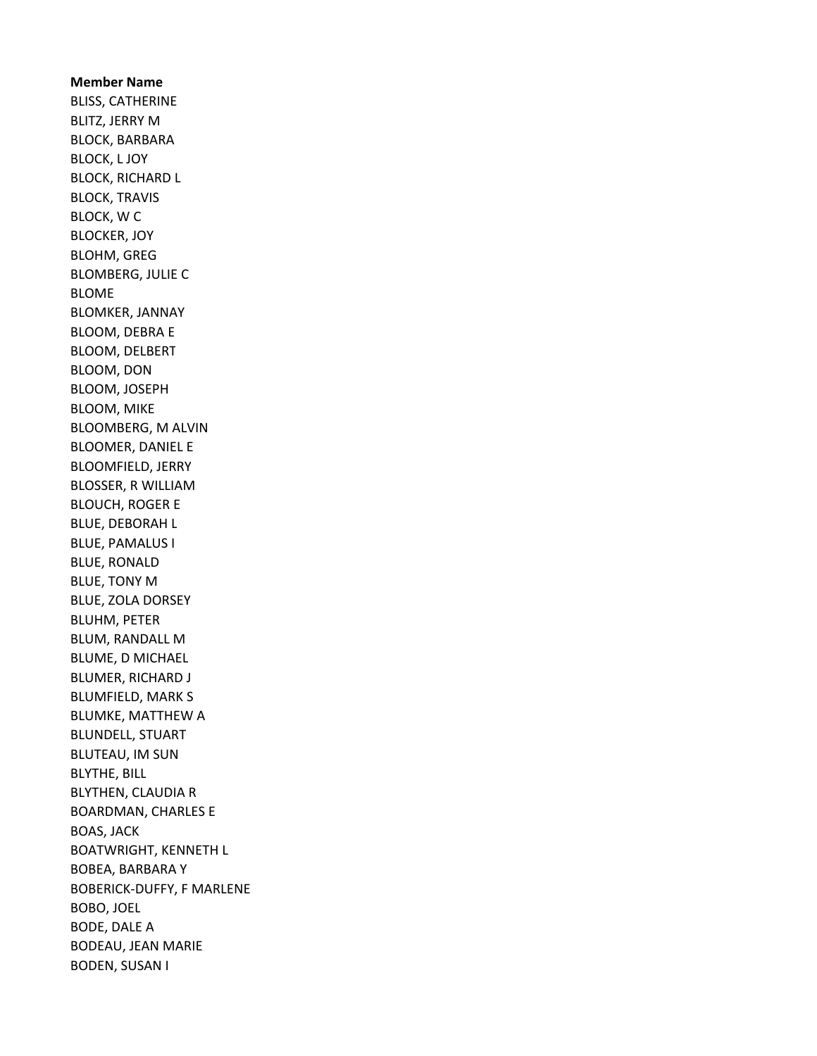Member Name BLISS, CATHERINE BLITZ, JERRY M BLOCK, BARBARA BLOCK, L JOY BLOCK, RICHARD L BLOCK, TRAVIS BLOCK, W C BLOCKER, JOY BLOHM, GREG BLOMBERG, JULIE C BLOME BLOMKER, JANNAY BLOOM, DEBRA E BLOOM, DELBERT BLOOM, DON BLOOM, JOSEPH BLOOM, MIKE BLOOMBERG, M ALVIN BLOOMER, DANIEL E BLOOMFIELD, JERRY BLOSSER, R WILLIAM BLOUCH, ROGER E BLUE, DEBORAH L BLUE, PAMALUS I BLUE, RONALD BLUE, TONY M BLUE, ZOLA DORSEY BLUHM, PETER BLUM, RANDALL M BLUME, D MICHAEL BLUMER, RICHARD J BLUMFIELD, MARK S BLUMKE, MATTHEW A BLUNDELL, STUART BLUTEAU, IM SUN BLYTHE, BILL BLYTHEN, CLAUDIA R BOARDMAN, CHARLES E BOAS, JACK BOATWRIGHT, KENNETH L BOBEA, BARBARA Y BOBERICK-DUFFY, F MARLENE BOBO, JOEL BODE, DALE A BODEAU, JEAN MARIE BODEN, SUSAN I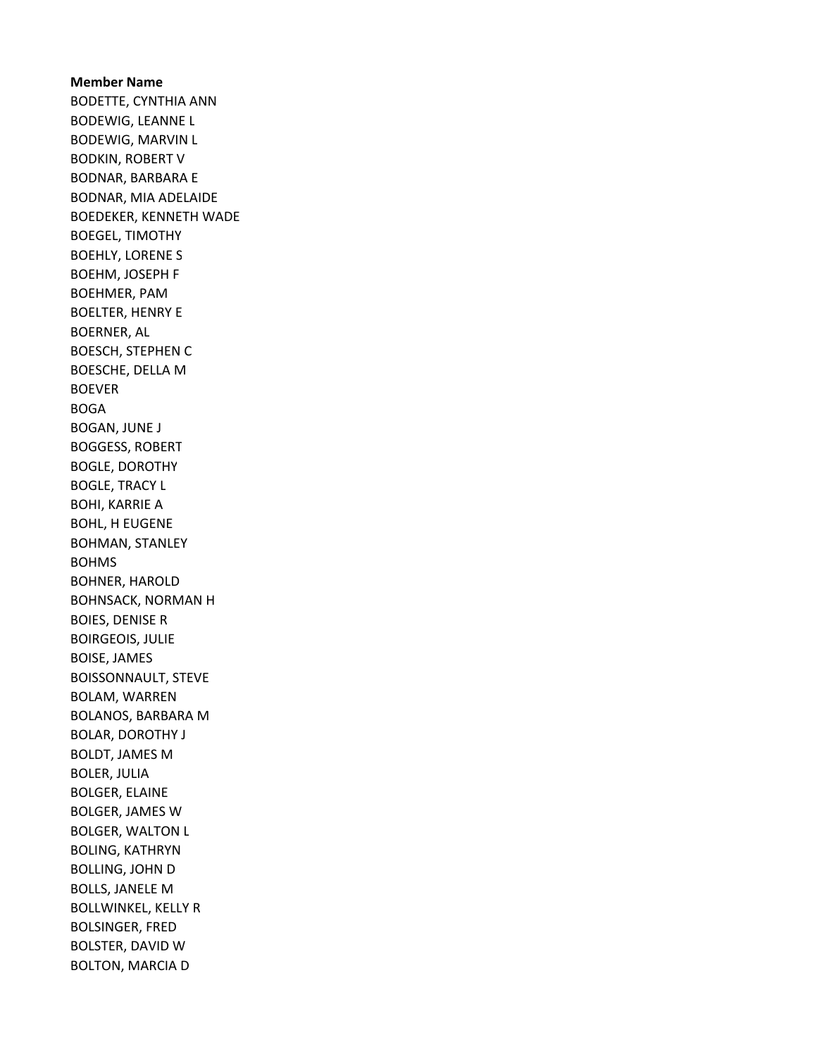Member Name BODETTE, CYNTHIA ANN BODEWIG, LEANNE L BODEWIG, MARVIN L BODKIN, ROBERT V BODNAR, BARBARA E BODNAR, MIA ADELAIDE BOEDEKER, KENNETH WADE BOEGEL, TIMOTHY BOEHLY, LORENE S BOEHM, JOSEPH F BOEHMER, PAM BOELTER, HENRY E BOERNER, AL BOESCH, STEPHEN C BOESCHE, DELLA M BOEVER BOGA BOGAN, JUNE J BOGGESS, ROBERT BOGLE, DOROTHY BOGLE, TRACY L BOHI, KARRIE A BOHL, H EUGENE BOHMAN, STANLEY BOHMS BOHNER, HAROLD BOHNSACK, NORMAN H BOIES, DENISE R BOIRGEOIS, JULIE BOISE, JAMES BOISSONNAULT, STEVE BOLAM, WARREN BOLANOS, BARBARA M BOLAR, DOROTHY J BOLDT, JAMES M BOLER, JULIA BOLGER, ELAINE BOLGER, JAMES W BOLGER, WALTON L BOLING, KATHRYN BOLLING, JOHN D BOLLS, JANELE M BOLLWINKEL, KELLY R BOLSINGER, FRED BOLSTER, DAVID W BOLTON, MARCIA D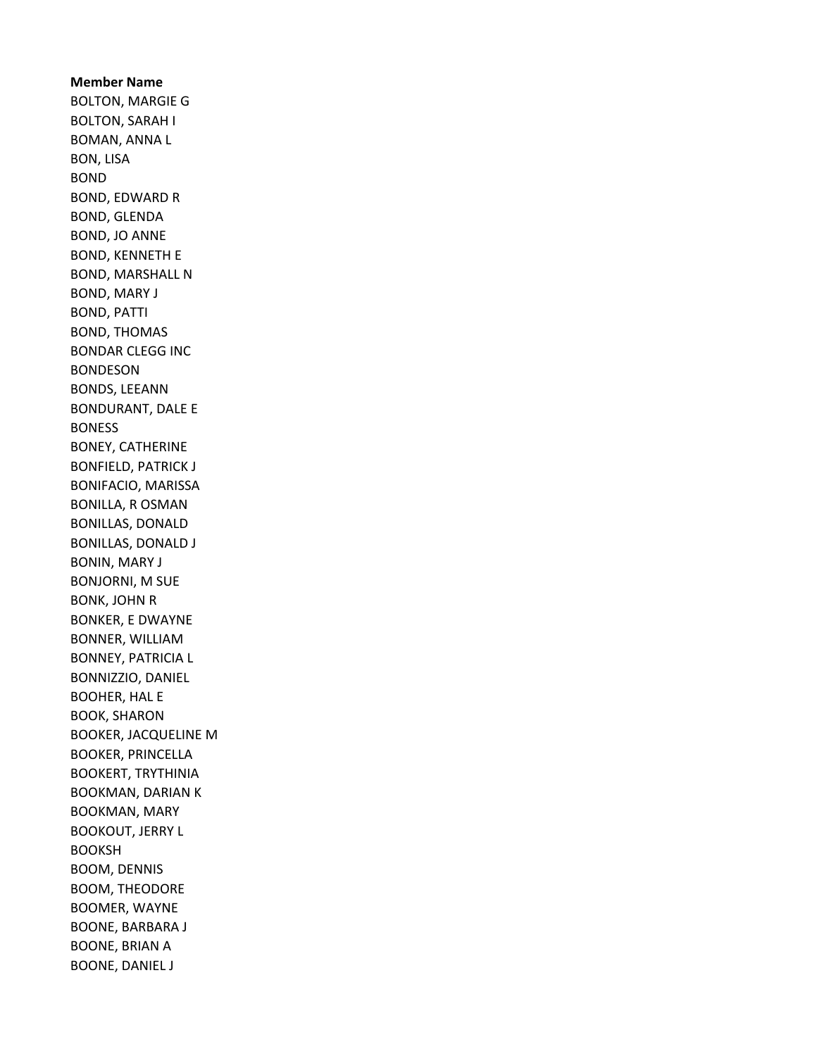Member Name BOLTON, MARGIE G BOLTON, SARAH I BOMAN, ANNA L BON, LISA BOND BOND, EDWARD R BOND, GLENDA BOND, JO ANNE BOND, KENNETH E BOND, MARSHALL N BOND, MARY J BOND, PATTI BOND, THOMAS BONDAR CLEGG INC BONDESON BONDS, LEEANN BONDURANT, DALE E BONESS BONEY, CATHERINE BONFIELD, PATRICK J BONIFACIO, MARISSA BONILLA, R OSMAN BONILLAS, DONALD BONILLAS, DONALD J BONIN, MARY J BONJORNI, M SUE BONK, JOHN R BONKER, E DWAYNE BONNER, WILLIAM BONNEY, PATRICIA L BONNIZZIO, DANIEL BOOHER, HAL E BOOK, SHARON BOOKER, JACQUELINE M BOOKER, PRINCELLA BOOKERT, TRYTHINIA BOOKMAN, DARIAN K BOOKMAN, MARY BOOKOUT, JERRY L BOOKSH BOOM, DENNIS BOOM, THEODORE BOOMER, WAYNE BOONE, BARBARA J BOONE, BRIAN A BOONE, DANIEL J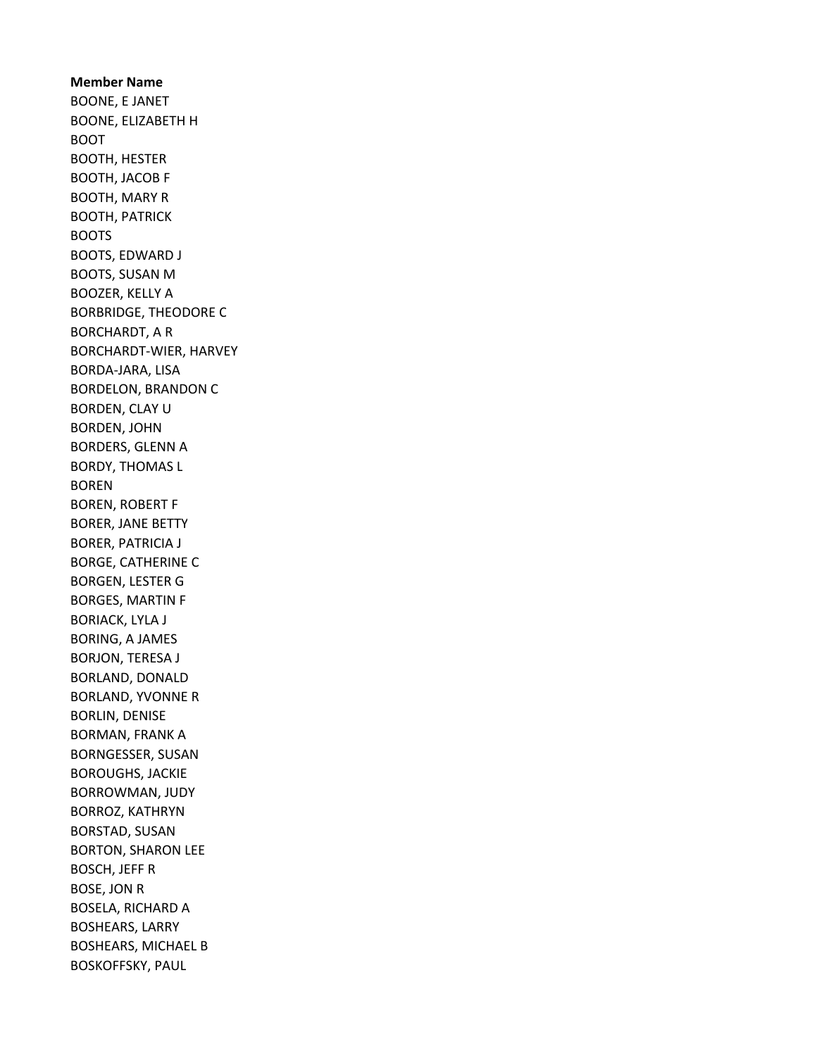Member Name BOONE, E JANET BOONE, ELIZABETH H BOOT BOOTH, HESTER BOOTH, JACOB F BOOTH, MARY R BOOTH, PATRICK BOOTS BOOTS, EDWARD J BOOTS, SUSAN M BOOZER, KELLY A BORBRIDGE, THEODORE C BORCHARDT, A R BORCHARDT-WIER, HARVEY BORDA-JARA, LISA BORDELON, BRANDON C BORDEN, CLAY U BORDEN, JOHN BORDERS, GLENN A BORDY, THOMAS L BOREN BOREN, ROBERT F BORER, JANE BETTY BORER, PATRICIA J BORGE, CATHERINE C BORGEN, LESTER G BORGES, MARTIN F BORIACK, LYLA J BORING, A JAMES BORJON, TERESA J BORLAND, DONALD BORLAND, YVONNE R BORLIN, DENISE BORMAN, FRANK A BORNGESSER, SUSAN BOROUGHS, JACKIE BORROWMAN, JUDY BORROZ, KATHRYN BORSTAD, SUSAN BORTON, SHARON LEE BOSCH, JEFF R BOSE, JON R BOSELA, RICHARD A BOSHEARS, LARRY BOSHEARS, MICHAEL B BOSKOFFSKY, PAUL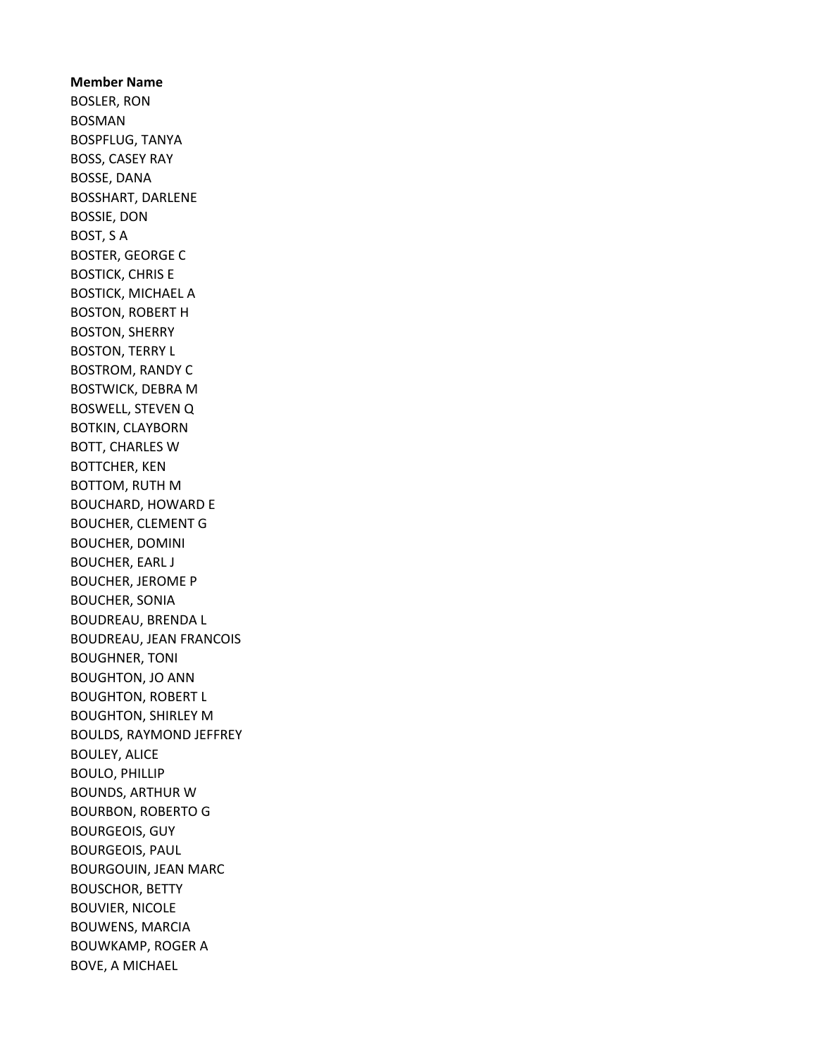Member Name BOSLER, RON BOSMAN BOSPFLUG, TANYA BOSS, CASEY RAY BOSSE, DANA BOSSHART, DARLENE BOSSIE, DON BOST, S A BOSTER, GEORGE C BOSTICK, CHRIS E BOSTICK, MICHAEL A BOSTON, ROBERT H BOSTON, SHERRY BOSTON, TERRY L BOSTROM, RANDY C BOSTWICK, DEBRA M BOSWELL, STEVEN Q BOTKIN, CLAYBORN BOTT, CHARLES W BOTTCHER, KEN BOTTOM, RUTH M BOUCHARD, HOWARD E BOUCHER, CLEMENT G BOUCHER, DOMINI BOUCHER, EARL J BOUCHER, JEROME P BOUCHER, SONIA BOUDREAU, BRENDA L BOUDREAU, JEAN FRANCOIS BOUGHNER, TONI BOUGHTON, JO ANN BOUGHTON, ROBERT L BOUGHTON, SHIRLEY M BOULDS, RAYMOND JEFFREY BOULEY, ALICE BOULO, PHILLIP BOUNDS, ARTHUR W BOURBON, ROBERTO G BOURGEOIS, GUY BOURGEOIS, PAUL BOURGOUIN, JEAN MARC BOUSCHOR, BETTY BOUVIER, NICOLE BOUWENS, MARCIA BOUWKAMP, ROGER A BOVE, A MICHAEL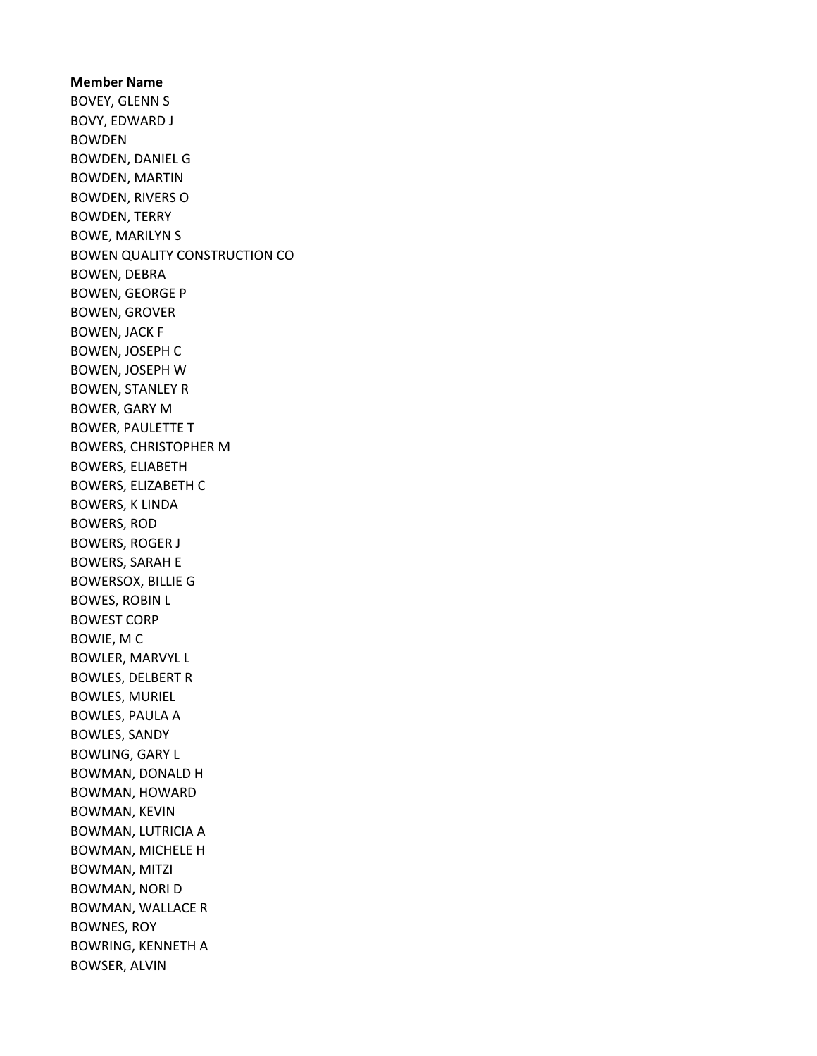Member Name BOVEY, GLENN S BOVY, EDWARD J BOWDEN BOWDEN, DANIEL G BOWDEN, MARTIN BOWDEN, RIVERS O BOWDEN, TERRY BOWE, MARILYN S BOWEN QUALITY CONSTRUCTION CO BOWEN, DEBRA BOWEN, GEORGE P BOWEN, GROVER BOWEN, JACK F BOWEN, JOSEPH C BOWEN, JOSEPH W BOWEN, STANLEY R BOWER, GARY M BOWER, PAULETTE T BOWERS, CHRISTOPHER M BOWERS, ELIABETH BOWERS, ELIZABETH C BOWERS, K LINDA BOWERS, ROD BOWERS, ROGER J BOWERS, SARAH E BOWERSOX, BILLIE G BOWES, ROBIN L BOWEST CORP BOWIE, M C BOWLER, MARVYL L BOWLES, DELBERT R BOWLES, MURIEL BOWLES, PAULA A BOWLES, SANDY BOWLING, GARY L BOWMAN, DONALD H BOWMAN, HOWARD BOWMAN, KEVIN BOWMAN, LUTRICIA A BOWMAN, MICHELE H BOWMAN, MITZI BOWMAN, NORI D BOWMAN, WALLACE R BOWNES, ROY BOWRING, KENNETH A BOWSER, ALVIN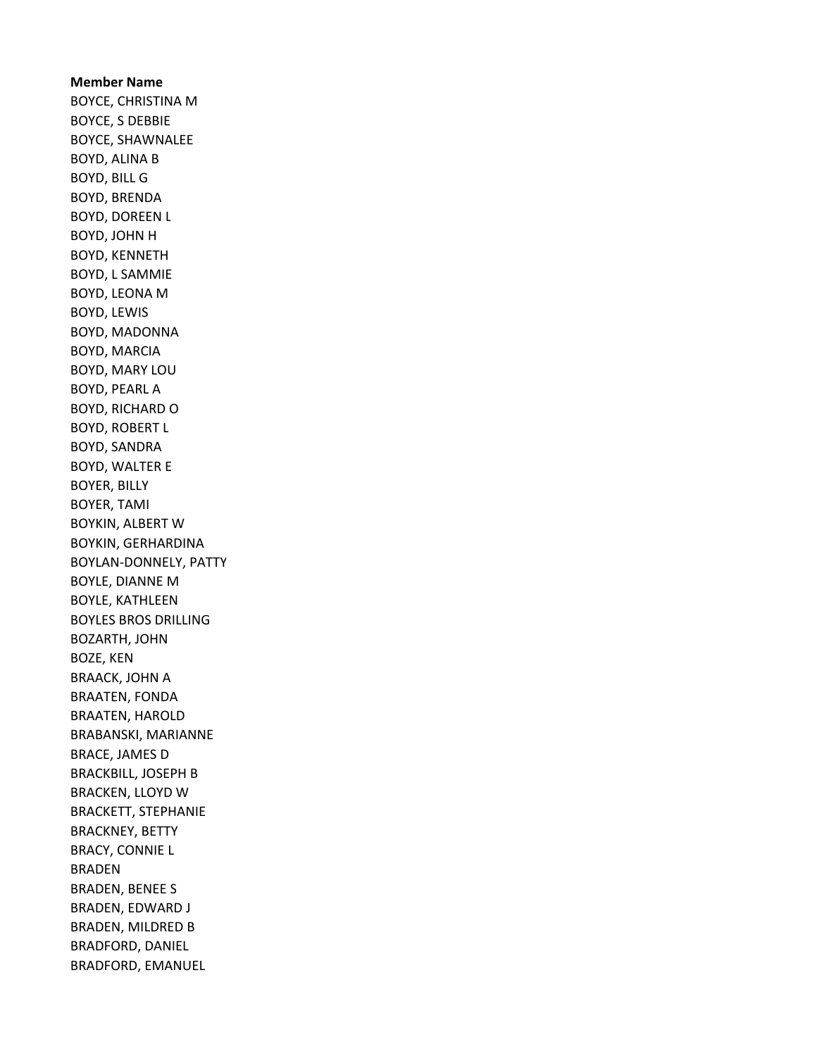Member Name BOYCE, CHRISTINA M BOYCE, S DEBBIE BOYCE, SHAWNALEE BOYD, ALINA B BOYD, BILL G BOYD, BRENDA BOYD, DOREEN L BOYD, JOHN H BOYD, KENNETH BOYD, L SAMMIE BOYD, LEONA M BOYD, LEWIS BOYD, MADONNA BOYD, MARCIA BOYD, MARY LOU BOYD, PEARL A BOYD, RICHARD O BOYD, ROBERT L BOYD, SANDRA BOYD, WALTER E BOYER, BILLY BOYER, TAMI BOYKIN, ALBERT W BOYKIN, GERHARDINA BOYLAN-DONNELY, PATTY BOYLE, DIANNE M BOYLE, KATHLEEN BOYLES BROS DRILLING BOZARTH, JOHN BOZE, KEN BRAACK, JOHN A BRAATEN, FONDA BRAATEN, HAROLD BRABANSKI, MARIANNE BRACE, JAMES D BRACKBILL, JOSEPH B BRACKEN, LLOYD W BRACKETT, STEPHANIE BRACKNEY, BETTY BRACY, CONNIE L BRADEN BRADEN, BENEE S BRADEN, EDWARD J BRADEN, MILDRED B BRADFORD, DANIEL BRADFORD, EMANUEL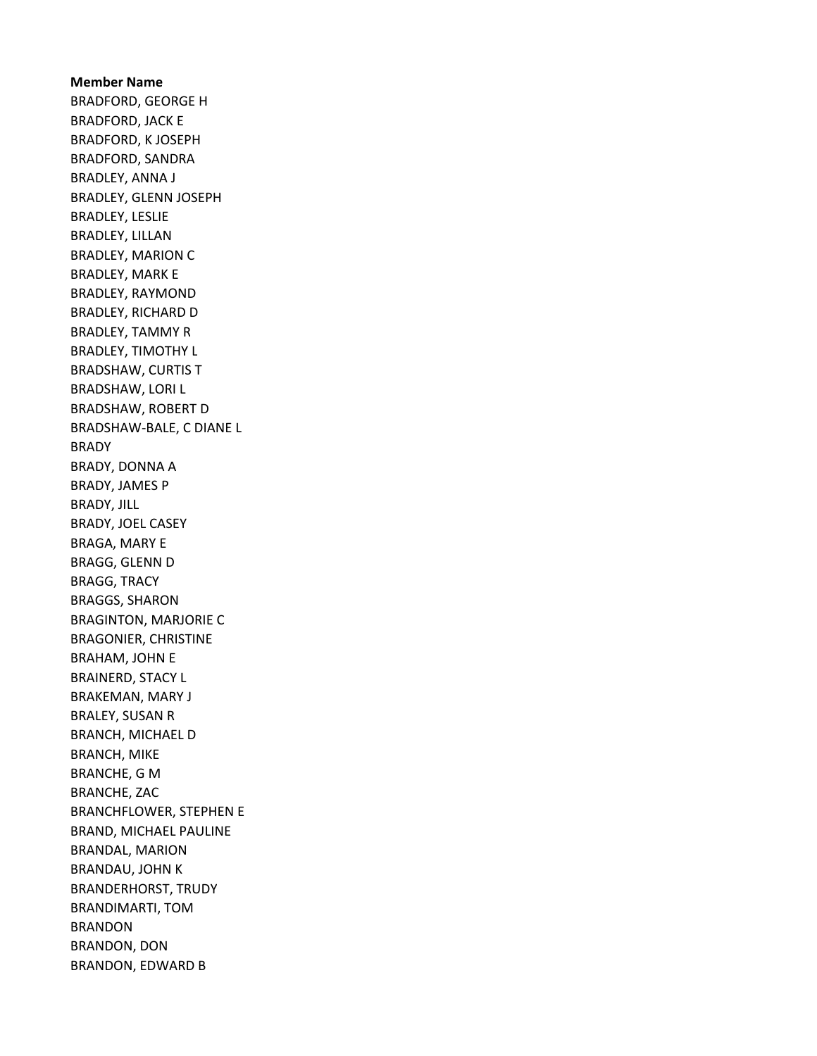Member Name BRADFORD, GEORGE H BRADFORD, JACK E BRADFORD, K JOSEPH BRADFORD, SANDRA BRADLEY, ANNA J BRADLEY, GLENN JOSEPH BRADLEY, LESLIE BRADLEY, LILLAN BRADLEY, MARION C BRADLEY, MARK E BRADLEY, RAYMOND BRADLEY, RICHARD D BRADLEY, TAMMY R BRADLEY, TIMOTHY L BRADSHAW, CURTIS T BRADSHAW, LORI L BRADSHAW, ROBERT D BRADSHAW-BALE, C DIANE L BRADY BRADY, DONNA A BRADY, JAMES P BRADY, JILL BRADY, JOEL CASEY BRAGA, MARY E BRAGG, GLENN D BRAGG, TRACY BRAGGS, SHARON BRAGINTON, MARJORIE C BRAGONIER, CHRISTINE BRAHAM, JOHN E BRAINERD, STACY L BRAKEMAN, MARY J BRALEY, SUSAN R BRANCH, MICHAEL D BRANCH, MIKE BRANCHE, G M BRANCHE, ZAC BRANCHFLOWER, STEPHEN E BRAND, MICHAEL PAULINE BRANDAL, MARION BRANDAU, JOHN K BRANDERHORST, TRUDY BRANDIMARTI, TOM BRANDON BRANDON, DON BRANDON, EDWARD B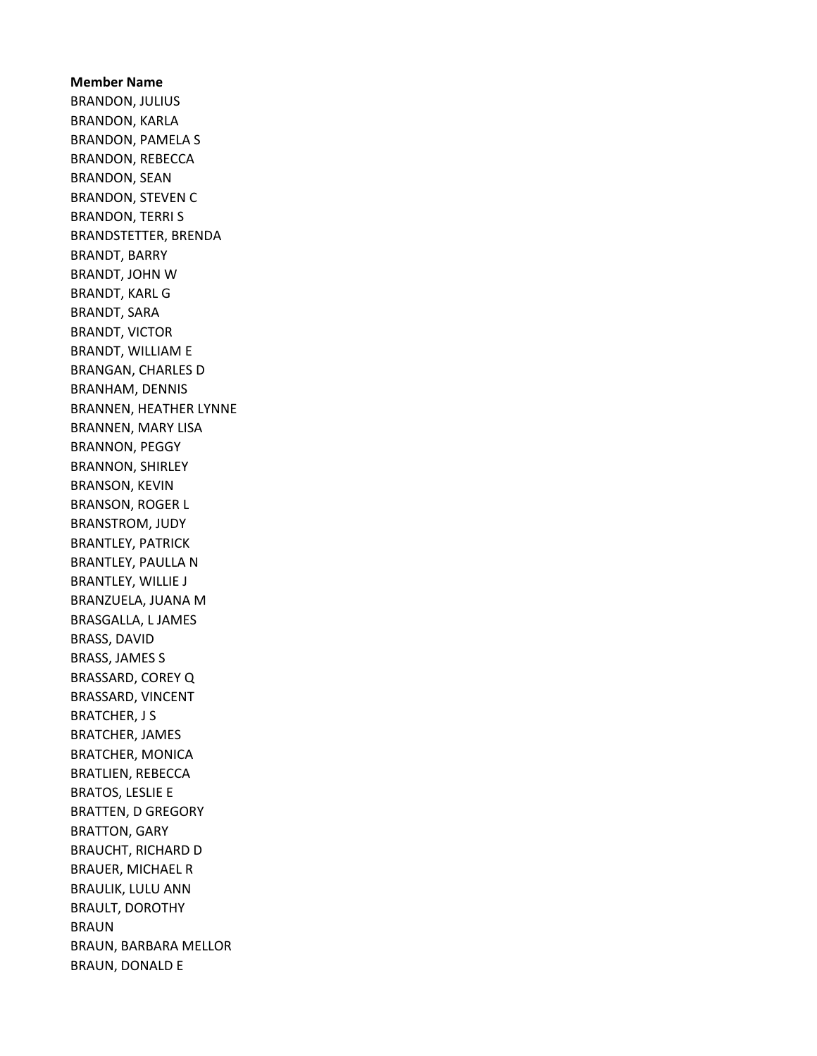Member Name BRANDON, JULIUS BRANDON, KARLA BRANDON, PAMELA S BRANDON, REBECCA BRANDON, SEAN BRANDON, STEVEN C BRANDON, TERRI S BRANDSTETTER, BRENDA BRANDT, BARRY BRANDT, JOHN W BRANDT, KARL G BRANDT, SARA BRANDT, VICTOR BRANDT, WILLIAM E BRANGAN, CHARLES D BRANHAM, DENNIS BRANNEN, HEATHER LYNNE BRANNEN, MARY LISA BRANNON, PEGGY BRANNON, SHIRLEY BRANSON, KEVIN BRANSON, ROGER L BRANSTROM, JUDY BRANTLEY, PATRICK BRANTLEY, PAULLA N BRANTLEY, WILLIE J BRANZUELA, JUANA M BRASGALLA, L JAMES BRASS, DAVID BRASS, JAMES S BRASSARD, COREY Q BRASSARD, VINCENT BRATCHER, J S BRATCHER, JAMES BRATCHER, MONICA BRATLIEN, REBECCA BRATOS, LESLIE E BRATTEN, D GREGORY BRATTON, GARY BRAUCHT, RICHARD D BRAUER, MICHAEL R BRAULIK, LULU ANN BRAULT, DOROTHY BRAUN BRAUN, BARBARA MELLOR BRAUN, DONALD E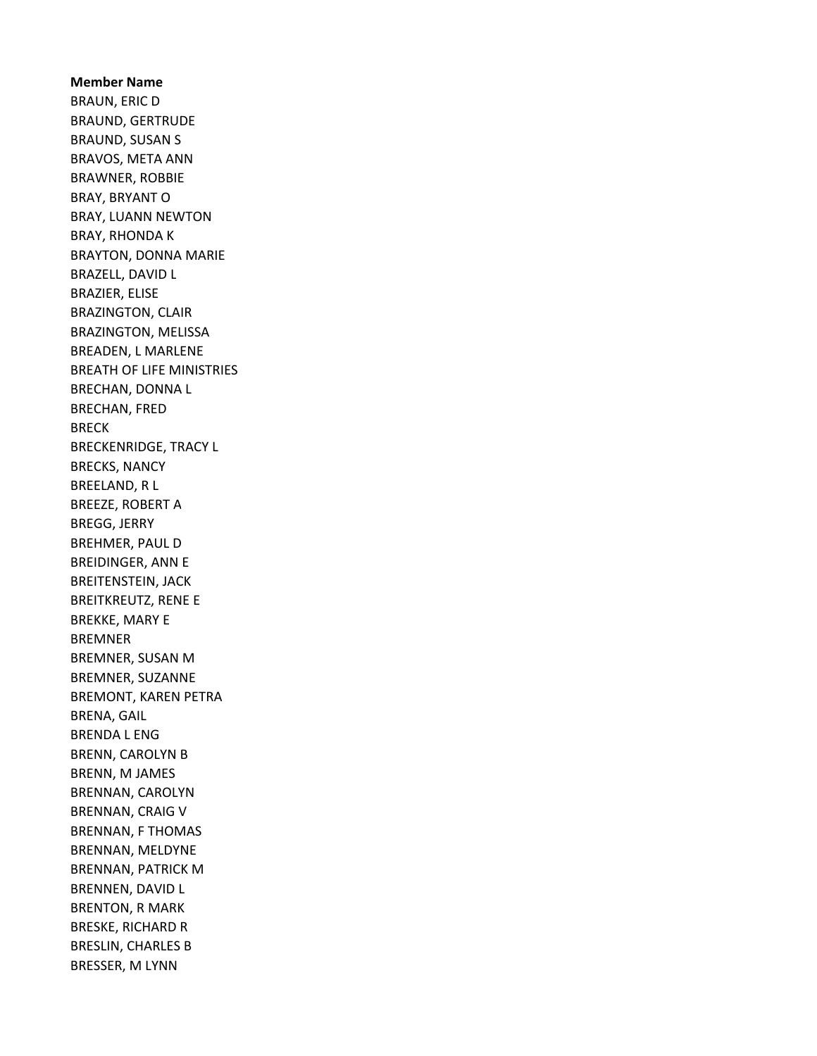Member Name BRAUN, ERIC D BRAUND, GERTRUDE BRAUND, SUSAN S BRAVOS, META ANN BRAWNER, ROBBIE BRAY, BRYANT O BRAY, LUANN NEWTON BRAY, RHONDA K BRAYTON, DONNA MARIE BRAZELL, DAVID L BRAZIER, ELISE BRAZINGTON, CLAIR BRAZINGTON, MELISSA BREADEN, L MARLENE BREATH OF LIFE MINISTRIES BRECHAN, DONNA L BRECHAN, FRED BRECK BRECKENRIDGE, TRACY L BRECKS, NANCY BREELAND, R L BREEZE, ROBERT A BREGG, JERRY BREHMER, PAUL D BREIDINGER, ANN E BREITENSTEIN, JACK BREITKREUTZ, RENE E BREKKE, MARY E BREMNER BREMNER, SUSAN M BREMNER, SUZANNE BREMONT, KAREN PETRA BRENA, GAIL BRENDA L ENG BRENN, CAROLYN B BRENN, M JAMES BRENNAN, CAROLYN BRENNAN, CRAIG V BRENNAN, F THOMAS BRENNAN, MELDYNE BRENNAN, PATRICK M BRENNEN, DAVID L BRENTON, R MARK BRESKE, RICHARD R BRESLIN, CHARLES B BRESSER, M LYNN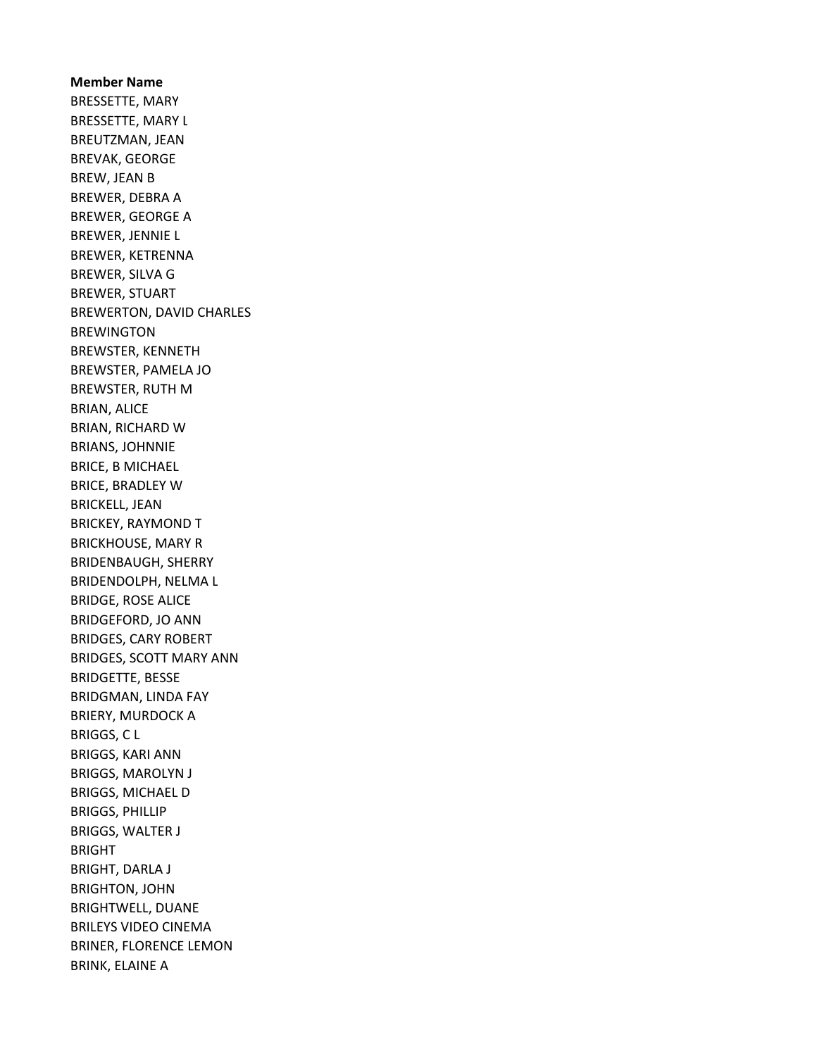Member Name BRESSETTE, MARY BRESSETTE, MARY L BREUTZMAN, JEAN BREVAK, GEORGE BREW, JEAN B BREWER, DEBRA A BREWER, GEORGE A BREWER, JENNIE L BREWER, KETRENNA BREWER, SILVA G BREWER, STUART BREWERTON, DAVID CHARLES BREWINGTON BREWSTER, KENNETH BREWSTER, PAMELA JO BREWSTER, RUTH M BRIAN, ALICE BRIAN, RICHARD W BRIANS, JOHNNIE BRICE, B MICHAEL BRICE, BRADLEY W BRICKELL, JEAN BRICKEY, RAYMOND T BRICKHOUSE, MARY R BRIDENBAUGH, SHERRY BRIDENDOLPH, NELMA L BRIDGE, ROSE ALICE BRIDGEFORD, JO ANN BRIDGES, CARY ROBERT BRIDGES, SCOTT MARY ANN BRIDGETTE, BESSE BRIDGMAN, LINDA FAY BRIERY, MURDOCK A BRIGGS, C L BRIGGS, KARI ANN BRIGGS, MAROLYN J BRIGGS, MICHAEL D BRIGGS, PHILLIP BRIGGS, WALTER J BRIGHT BRIGHT, DARLA J BRIGHTON, JOHN BRIGHTWELL, DUANE BRILEYS VIDEO CINEMA BRINER, FLORENCE LEMON BRINK, ELAINE A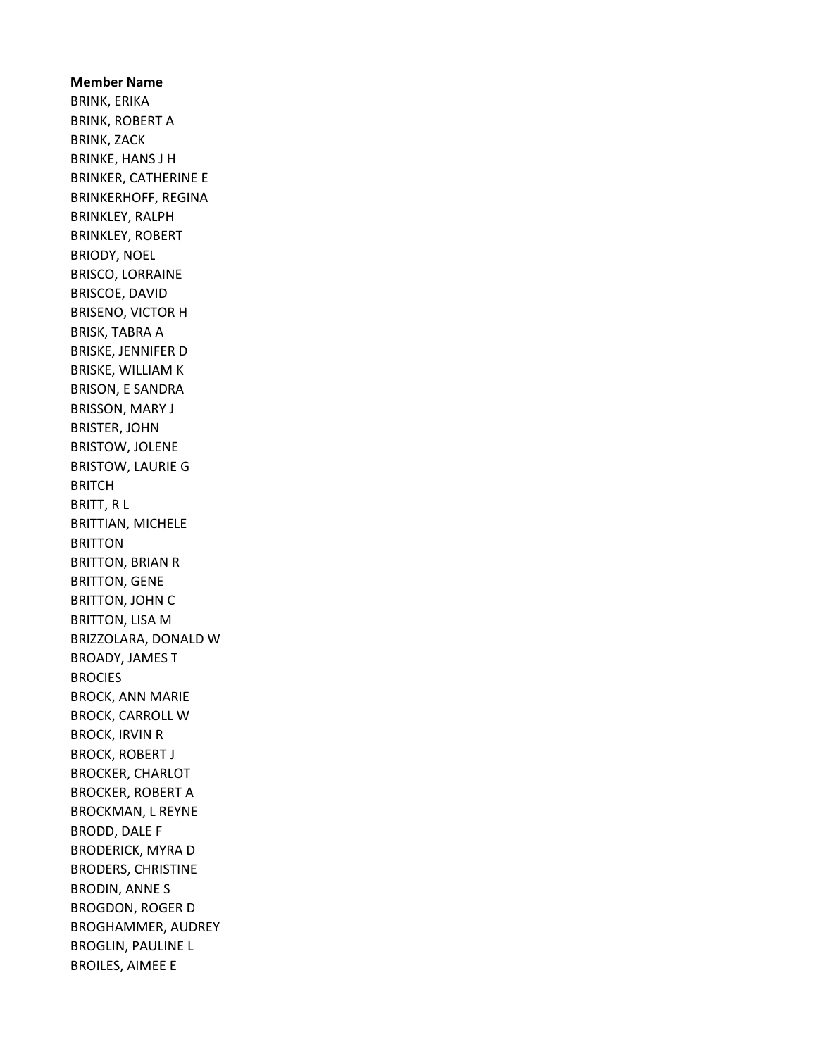Member Name BRINK, ERIKA BRINK, ROBERT A BRINK, ZACK BRINKE, HANS J H BRINKER, CATHERINE E BRINKERHOFF, REGINA BRINKLEY, RALPH BRINKLEY, ROBERT BRIODY, NOEL BRISCO, LORRAINE BRISCOE, DAVID BRISENO, VICTOR H BRISK, TABRA A BRISKE, JENNIFER D BRISKE, WILLIAM K BRISON, E SANDRA BRISSON, MARY J BRISTER, JOHN BRISTOW, JOLENE BRISTOW, LAURIE G BRITCH BRITT, R L BRITTIAN, MICHELE BRITTON BRITTON, BRIAN R BRITTON, GENE BRITTON, JOHN C BRITTON, LISA M BRIZZOLARA, DONALD W BROADY, JAMES T BROCIES BROCK, ANN MARIE BROCK, CARROLL W BROCK, IRVIN R BROCK, ROBERT J BROCKER, CHARLOT BROCKER, ROBERT A BROCKMAN, L REYNE BRODD, DALE F BRODERICK, MYRA D BRODERS, CHRISTINE BRODIN, ANNE S BROGDON, ROGER D BROGHAMMER, AUDREY BROGLIN, PAULINE L BROILES, AIMEE E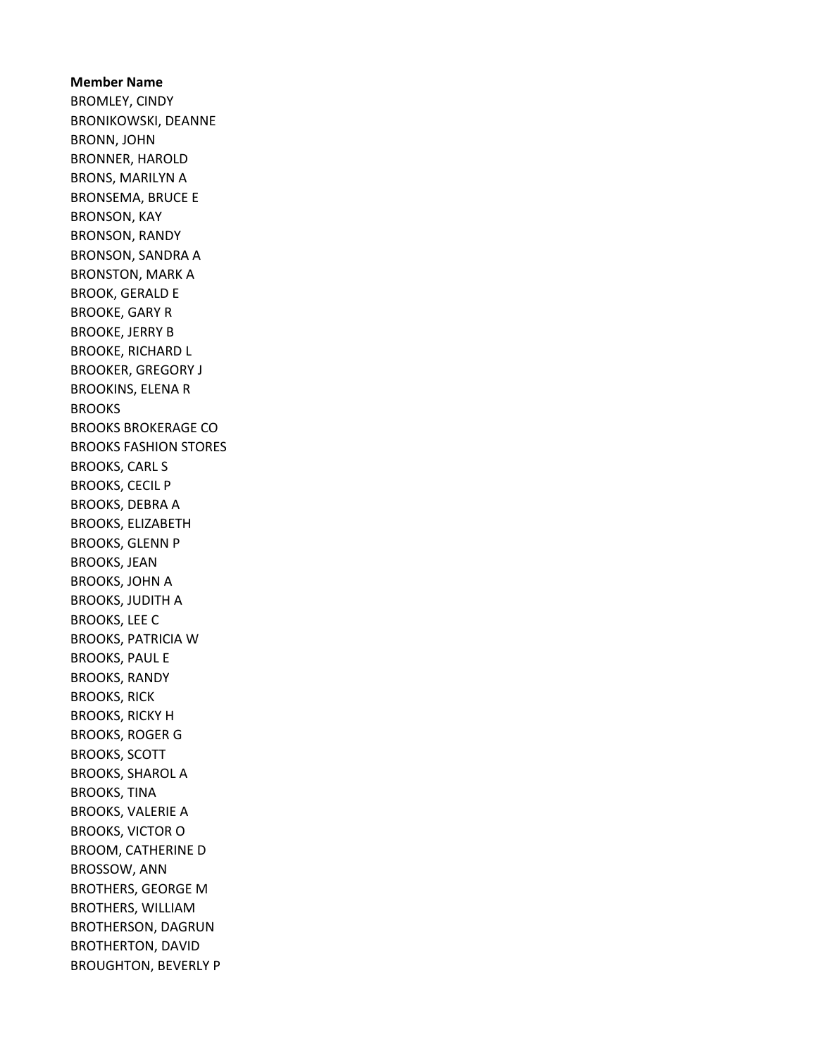Member Name BROMLEY, CINDY BRONIKOWSKI, DEANNE BRONN, JOHN BRONNER, HAROLD BRONS, MARILYN A BRONSEMA, BRUCE E BRONSON, KAY BRONSON, RANDY BRONSON, SANDRA A BRONSTON, MARK A BROOK, GERALD E BROOKE, GARY R BROOKE, JERRY B BROOKE, RICHARD L BROOKER, GREGORY J BROOKINS, ELENA R **BROOKS** BROOKS BROKERAGE CO BROOKS FASHION STORES BROOKS, CARL S BROOKS, CECIL P BROOKS, DEBRA A BROOKS, ELIZABETH BROOKS, GLENN P BROOKS, JEAN BROOKS, JOHN A BROOKS, JUDITH A BROOKS, LEE C BROOKS, PATRICIA W BROOKS, PAUL E BROOKS, RANDY BROOKS, RICK BROOKS, RICKY H BROOKS, ROGER G BROOKS, SCOTT BROOKS, SHAROL A BROOKS, TINA BROOKS, VALERIE A BROOKS, VICTOR O BROOM, CATHERINE D BROSSOW, ANN BROTHERS, GEORGE M BROTHERS, WILLIAM BROTHERSON, DAGRUN BROTHERTON, DAVID BROUGHTON, BEVERLY P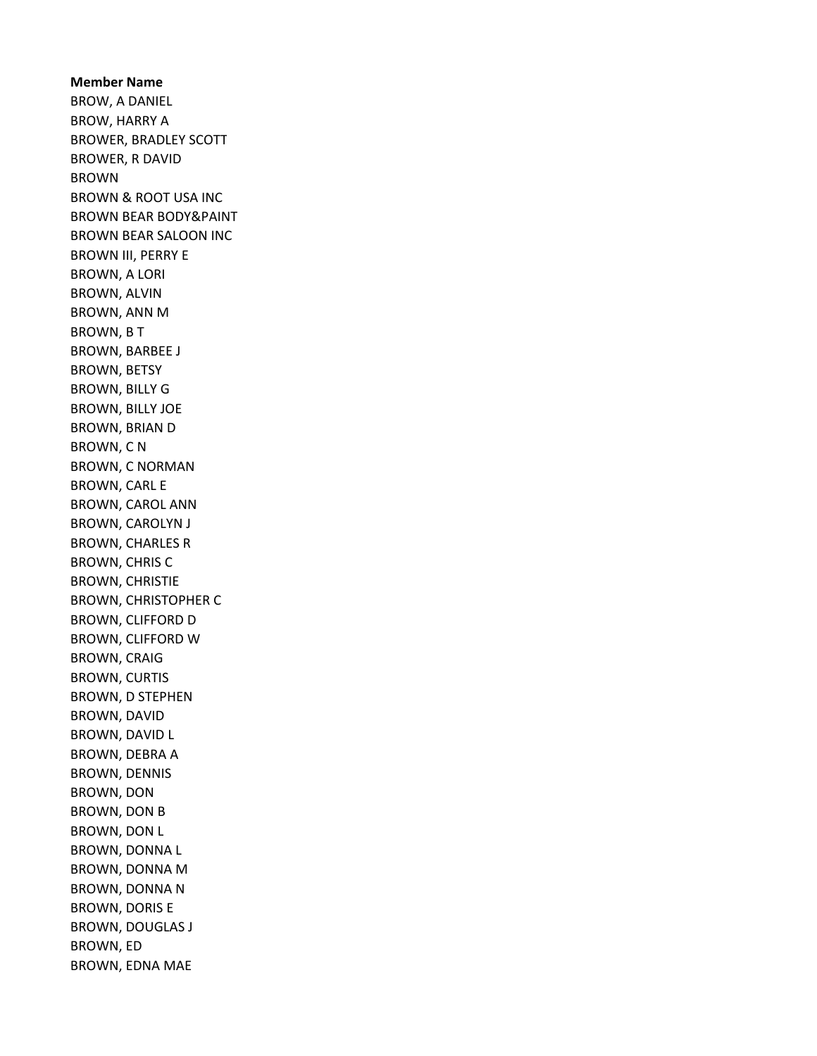Member Name BROW, A DANIEL BROW, HARRY A BROWER, BRADLEY SCOTT BROWER, R DAVID BROWN BROWN & ROOT USA INC BROWN BEAR BODY&PAINT BROWN BEAR SALOON INC BROWN III, PERRY E BROWN, A LORI BROWN, ALVIN BROWN, ANN M BROWN, B T BROWN, BARBEE J BROWN, BETSY BROWN, BILLY G BROWN, BILLY JOE BROWN, BRIAN D BROWN, C N BROWN, C NORMAN BROWN, CARL E BROWN, CAROL ANN BROWN, CAROLYN J BROWN, CHARLES R BROWN, CHRIS C BROWN, CHRISTIE BROWN, CHRISTOPHER C BROWN, CLIFFORD D BROWN, CLIFFORD W BROWN, CRAIG BROWN, CURTIS BROWN, D STEPHEN BROWN, DAVID BROWN, DAVID L BROWN, DEBRA A BROWN, DENNIS BROWN, DON BROWN, DON B BROWN, DON L BROWN, DONNA L BROWN, DONNA M BROWN, DONNA N BROWN, DORIS E BROWN, DOUGLAS J BROWN, ED BROWN, EDNA MAE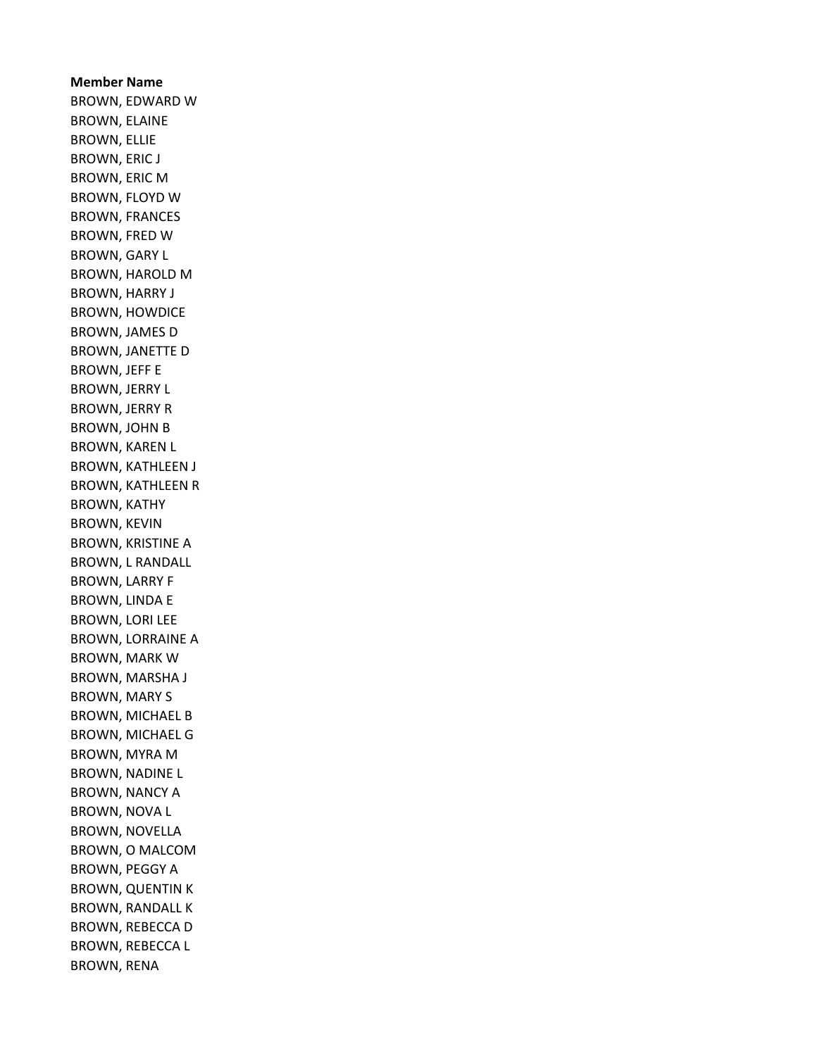Member Name BROWN, EDWARD W BROWN, ELAINE BROWN, ELLIE BROWN, ERIC J BROWN, ERIC M BROWN, FLOYD W BROWN, FRANCES BROWN, FRED W BROWN, GARY L BROWN, HAROLD M BROWN, HARRY J BROWN, HOWDICE BROWN, JAMES D BROWN, JANETTE D BROWN, JEFF E BROWN, JERRY L BROWN, JERRY R BROWN, JOHN B BROWN, KAREN L BROWN, KATHLEEN J BROWN, KATHLEEN R BROWN, KATHY BROWN, KEVIN BROWN, KRISTINE A BROWN, L RANDALL BROWN, LARRY F BROWN, LINDA E BROWN, LORI LEE BROWN, LORRAINE A BROWN, MARK W BROWN, MARSHA J BROWN, MARY S BROWN, MICHAEL B BROWN, MICHAEL G BROWN, MYRA M BROWN, NADINE L BROWN, NANCY A BROWN, NOVA L BROWN, NOVELLA BROWN, O MALCOM BROWN, PEGGY A BROWN, QUENTIN K BROWN, RANDALL K BROWN, REBECCA D BROWN, REBECCA L BROWN, RENA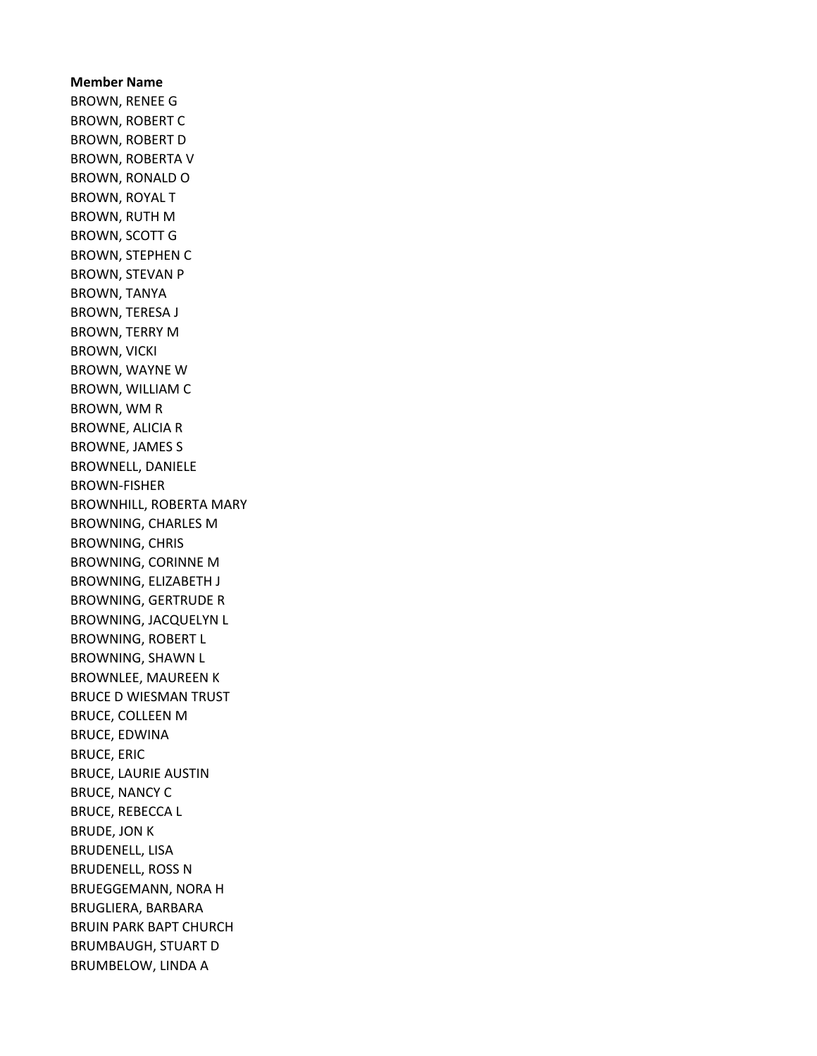Member Name BROWN, RENEE G BROWN, ROBERT C BROWN, ROBERT D BROWN, ROBERTA V BROWN, RONALD O BROWN, ROYAL T BROWN, RUTH M BROWN, SCOTT G BROWN, STEPHEN C BROWN, STEVAN P BROWN, TANYA BROWN, TERESA J BROWN, TERRY M BROWN, VICKI BROWN, WAYNE W BROWN, WILLIAM C BROWN, WM R BROWNE, ALICIA R BROWNE, JAMES S BROWNELL, DANIELE BROWN-FISHER BROWNHILL, ROBERTA MARY BROWNING, CHARLES M BROWNING, CHRIS BROWNING, CORINNE M BROWNING, ELIZABETH J BROWNING, GERTRUDE R BROWNING, JACQUELYN L BROWNING, ROBERT L BROWNING, SHAWN L BROWNLEE, MAUREEN K BRUCE D WIESMAN TRUST BRUCE, COLLEEN M BRUCE, EDWINA BRUCE, ERIC BRUCE, LAURIE AUSTIN BRUCE, NANCY C BRUCE, REBECCA L BRUDE, JON K BRUDENELL, LISA BRUDENELL, ROSS N BRUEGGEMANN, NORA H BRUGLIERA, BARBARA BRUIN PARK BAPT CHURCH BRUMBAUGH, STUART D BRUMBELOW, LINDA A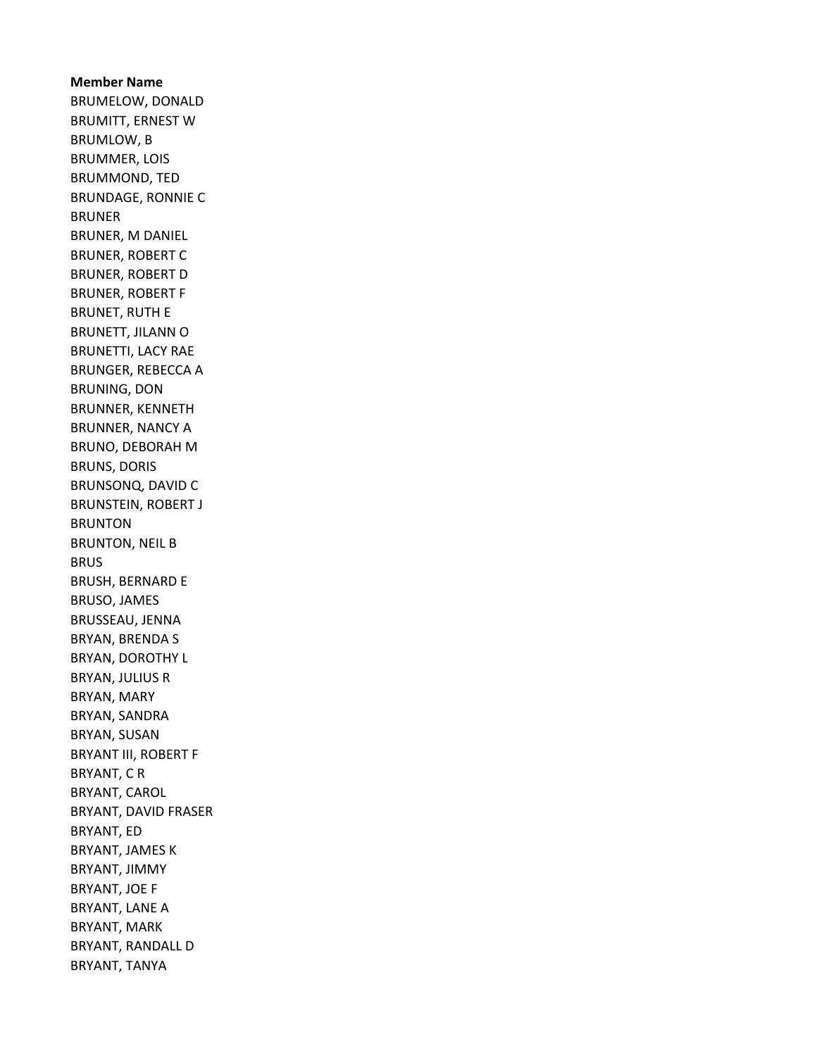Member Name BRUMELOW, DONALD BRUMITT, ERNEST W BRUMLOW, B BRUMMER, LOIS BRUMMOND, TED BRUNDAGE, RONNIE C BRUNER BRUNER, M DANIEL BRUNER, ROBERT C BRUNER, ROBERT D BRUNER, ROBERT F BRUNET, RUTH E BRUNETT, JILANN O BRUNETTI, LACY RAE BRUNGER, REBECCA A BRUNING, DON BRUNNER, KENNETH BRUNNER, NANCY A BRUNO, DEBORAH M BRUNS, DORIS BRUNSONQ, DAVID C BRUNSTEIN, ROBERT J BRUNTON BRUNTON, NEIL B BRUS BRUSH, BERNARD E BRUSO, JAMES BRUSSEAU, JENNA BRYAN, BRENDA S BRYAN, DOROTHY L BRYAN, JULIUS R BRYAN, MARY BRYAN, SANDRA BRYAN, SUSAN BRYANT III, ROBERT F BRYANT, C R BRYANT, CAROL BRYANT, DAVID FRASER BRYANT, ED BRYANT, JAMES K BRYANT, JIMMY BRYANT, JOE F BRYANT, LANE A BRYANT, MARK BRYANT, RANDALL D BRYANT, TANYA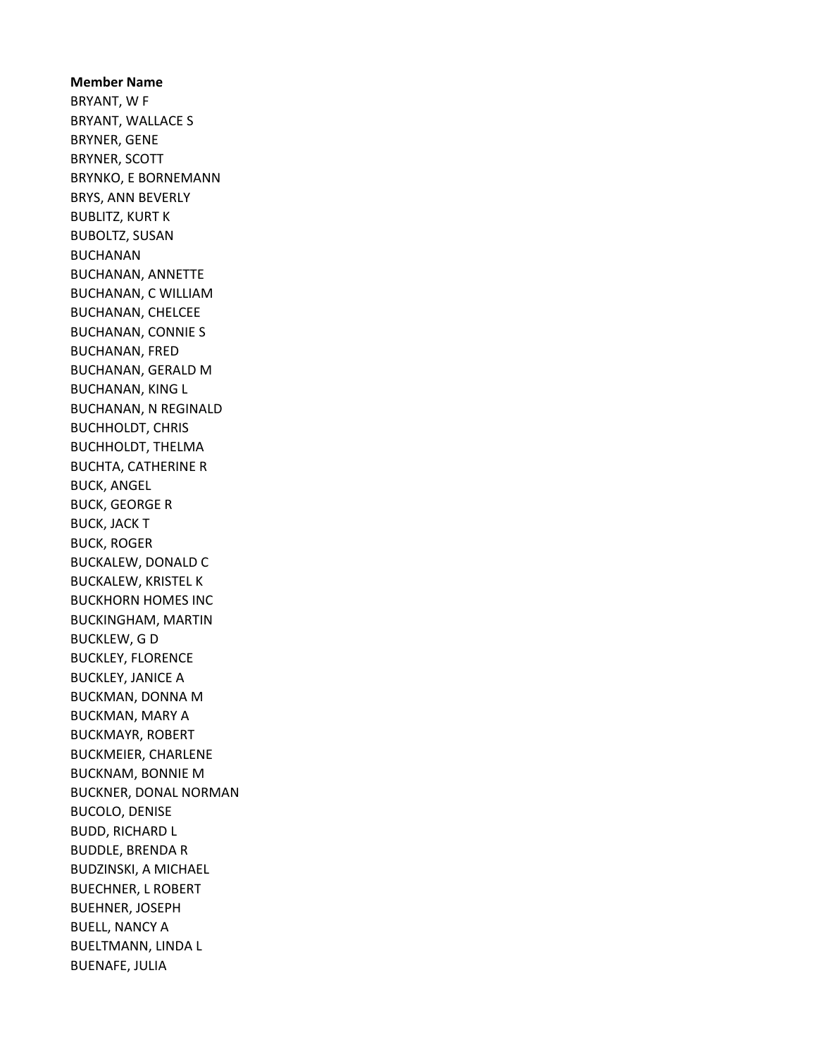Member Name BRYANT, W F BRYANT, WALLACE S BRYNER, GENE BRYNER, SCOTT BRYNKO, E BORNEMANN BRYS, ANN BEVERLY BUBLITZ, KURT K BUBOLTZ, SUSAN BUCHANAN BUCHANAN, ANNETTE BUCHANAN, C WILLIAM BUCHANAN, CHELCEE BUCHANAN, CONNIE S BUCHANAN, FRED BUCHANAN, GERALD M BUCHANAN, KING L BUCHANAN, N REGINALD BUCHHOLDT, CHRIS BUCHHOLDT, THELMA BUCHTA, CATHERINE R BUCK, ANGEL BUCK, GEORGE R BUCK, JACK T BUCK, ROGER BUCKALEW, DONALD C BUCKALEW, KRISTEL K BUCKHORN HOMES INC BUCKINGHAM, MARTIN BUCKLEW, G D BUCKLEY, FLORENCE BUCKLEY, JANICE A BUCKMAN, DONNA M BUCKMAN, MARY A BUCKMAYR, ROBERT BUCKMEIER, CHARLENE BUCKNAM, BONNIE M BUCKNER, DONAL NORMAN BUCOLO, DENISE BUDD, RICHARD L BUDDLE, BRENDA R BUDZINSKI, A MICHAEL BUECHNER, L ROBERT BUEHNER, JOSEPH BUELL, NANCY A BUELTMANN, LINDA L BUENAFE, JULIA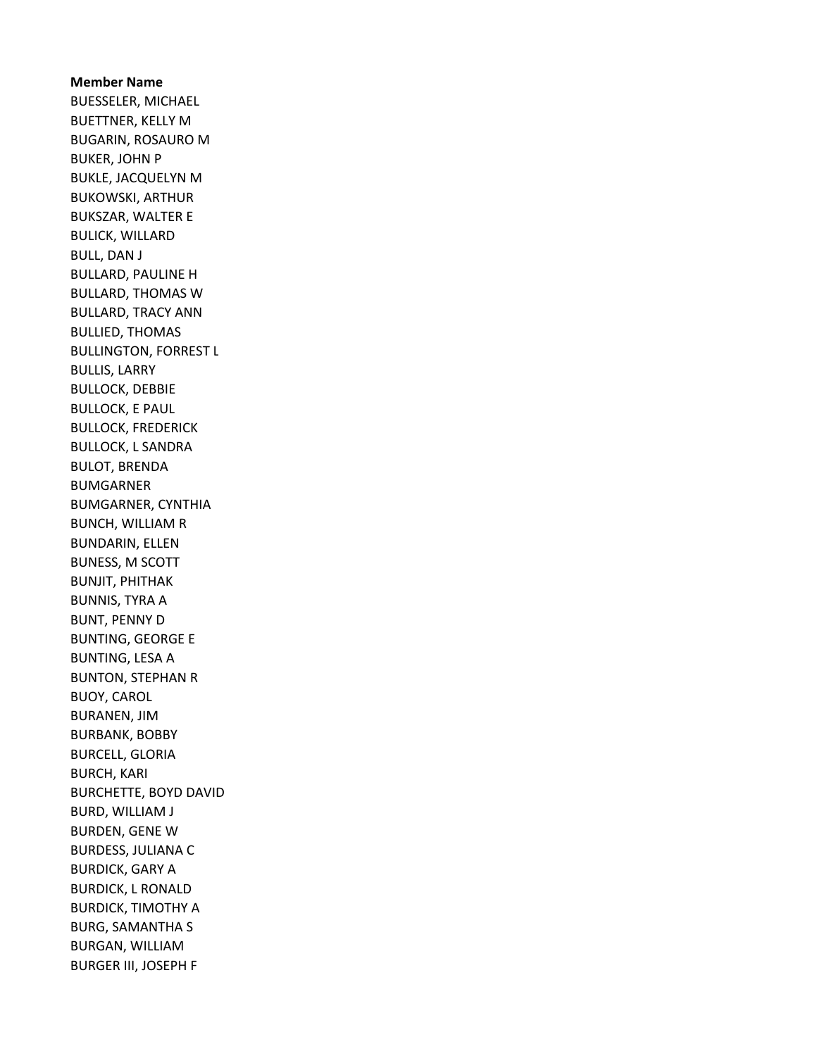Member Name BUESSELER, MICHAEL BUETTNER, KELLY M BUGARIN, ROSAURO M BUKER, JOHN P BUKLE, JACQUELYN M BUKOWSKI, ARTHUR BUKSZAR, WALTER E BULICK, WILLARD BULL, DAN J BULLARD, PAULINE H BULLARD, THOMAS W BULLARD, TRACY ANN BULLIED, THOMAS BULLINGTON, FORREST L BULLIS, LARRY BULLOCK, DEBBIE BULLOCK, E PAUL BULLOCK, FREDERICK BULLOCK, L SANDRA BULOT, BRENDA BUMGARNER BUMGARNER, CYNTHIA BUNCH, WILLIAM R BUNDARIN, ELLEN BUNESS, M SCOTT BUNJIT, PHITHAK BUNNIS, TYRA A BUNT, PENNY D BUNTING, GEORGE E BUNTING, LESA A BUNTON, STEPHAN R BUOY, CAROL BURANEN, JIM BURBANK, BOBBY BURCELL, GLORIA BURCH, KARI BURCHETTE, BOYD DAVID BURD, WILLIAM J BURDEN, GENE W BURDESS, JULIANA C BURDICK, GARY A BURDICK, L RONALD BURDICK, TIMOTHY A BURG, SAMANTHA S BURGAN, WILLIAM BURGER III, JOSEPH F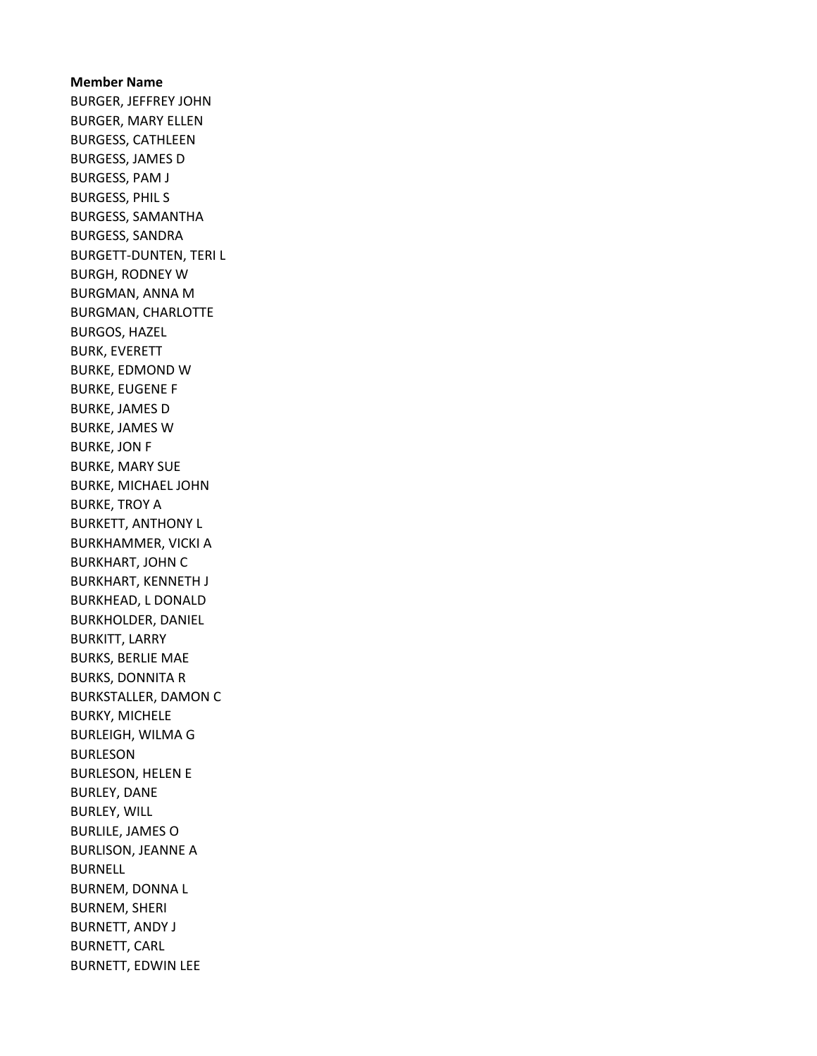Member Name BURGER, JEFFREY JOHN BURGER, MARY ELLEN BURGESS, CATHLEEN BURGESS, JAMES D BURGESS, PAM J BURGESS, PHIL S BURGESS, SAMANTHA BURGESS, SANDRA BURGETT-DUNTEN, TERI L BURGH, RODNEY W BURGMAN, ANNA M BURGMAN, CHARLOTTE BURGOS, HAZEL BURK, EVERETT BURKE, EDMOND W BURKE, EUGENE F BURKE, JAMES D BURKE, JAMES W BURKE, JON F BURKE, MARY SUE BURKE, MICHAEL JOHN BURKE, TROY A BURKETT, ANTHONY L BURKHAMMER, VICKI A BURKHART, JOHN C BURKHART, KENNETH J BURKHEAD, L DONALD BURKHOLDER, DANIEL BURKITT, LARRY BURKS, BERLIE MAE BURKS, DONNITA R BURKSTALLER, DAMON C BURKY, MICHELE BURLEIGH, WILMA G BURLESON BURLESON, HELEN E BURLEY, DANE BURLEY, WILL BURLILE, JAMES O BURLISON, JEANNE A BURNELL BURNEM, DONNA L BURNEM, SHERI BURNETT, ANDY J BURNETT, CARL BURNETT, EDWIN LEE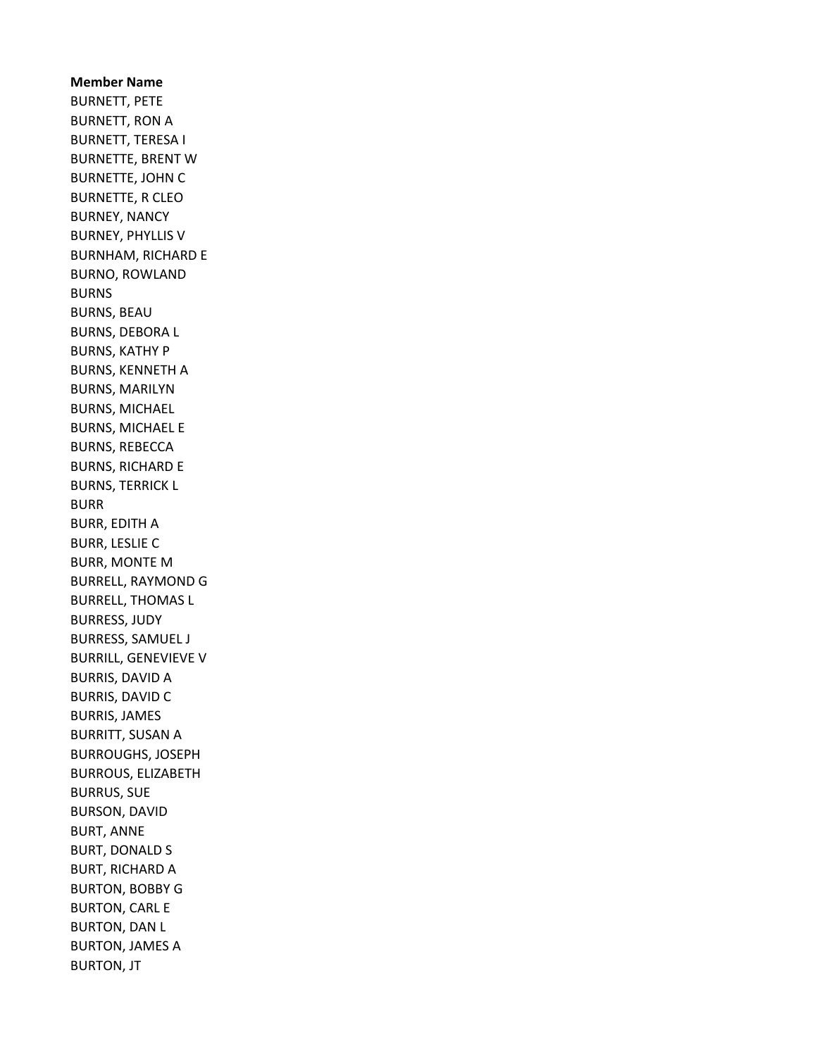Member Name BURNETT, PETE BURNETT, RON A BURNETT, TERESA I BURNETTE, BRENT W BURNETTE, JOHN C BURNETTE, R CLEO BURNEY, NANCY BURNEY, PHYLLIS V BURNHAM, RICHARD E BURNO, ROWLAND BURNS BURNS, BEAU BURNS, DEBORA L BURNS, KATHY P BURNS, KENNETH A BURNS, MARILYN BURNS, MICHAEL BURNS, MICHAEL E BURNS, REBECCA BURNS, RICHARD E BURNS, TERRICK L BURR BURR, EDITH A BURR, LESLIE C BURR, MONTE M BURRELL, RAYMOND G BURRELL, THOMAS L BURRESS, JUDY BURRESS, SAMUEL J BURRILL, GENEVIEVE V BURRIS, DAVID A BURRIS, DAVID C BURRIS, JAMES BURRITT, SUSAN A BURROUGHS, JOSEPH BURROUS, ELIZABETH BURRUS, SUE BURSON, DAVID BURT, ANNE BURT, DONALD S BURT, RICHARD A BURTON, BOBBY G BURTON, CARL E BURTON, DAN L BURTON, JAMES A BURTON, JT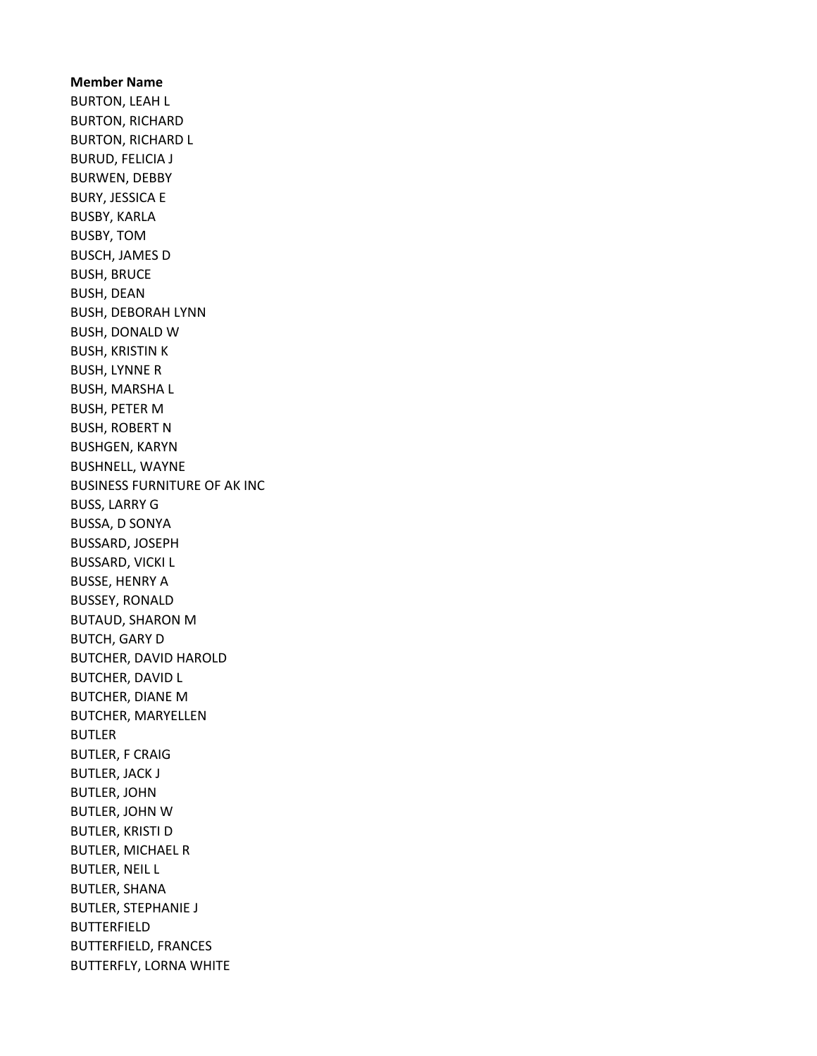Member Name BURTON, LEAH L BURTON, RICHARD BURTON, RICHARD L BURUD, FELICIA J BURWEN, DEBBY BURY, JESSICA E BUSBY, KARLA BUSBY, TOM BUSCH, JAMES D BUSH, BRUCE BUSH, DEAN BUSH, DEBORAH LYNN BUSH, DONALD W BUSH, KRISTIN K BUSH, LYNNE R BUSH, MARSHA L BUSH, PETER M BUSH, ROBERT N BUSHGEN, KARYN BUSHNELL, WAYNE BUSINESS FURNITURE OF AK INC BUSS, LARRY G BUSSA, D SONYA BUSSARD, JOSEPH BUSSARD, VICKI L BUSSE, HENRY A BUSSEY, RONALD BUTAUD, SHARON M BUTCH, GARY D BUTCHER, DAVID HAROLD BUTCHER, DAVID L BUTCHER, DIANE M BUTCHER, MARYELLEN BUTLER BUTLER, F CRAIG BUTLER, JACK J BUTLER, JOHN BUTLER, JOHN W BUTLER, KRISTI D BUTLER, MICHAEL R BUTLER, NEIL L BUTLER, SHANA BUTLER, STEPHANIE J BUTTERFIELD BUTTERFIELD, FRANCES BUTTERFLY, LORNA WHITE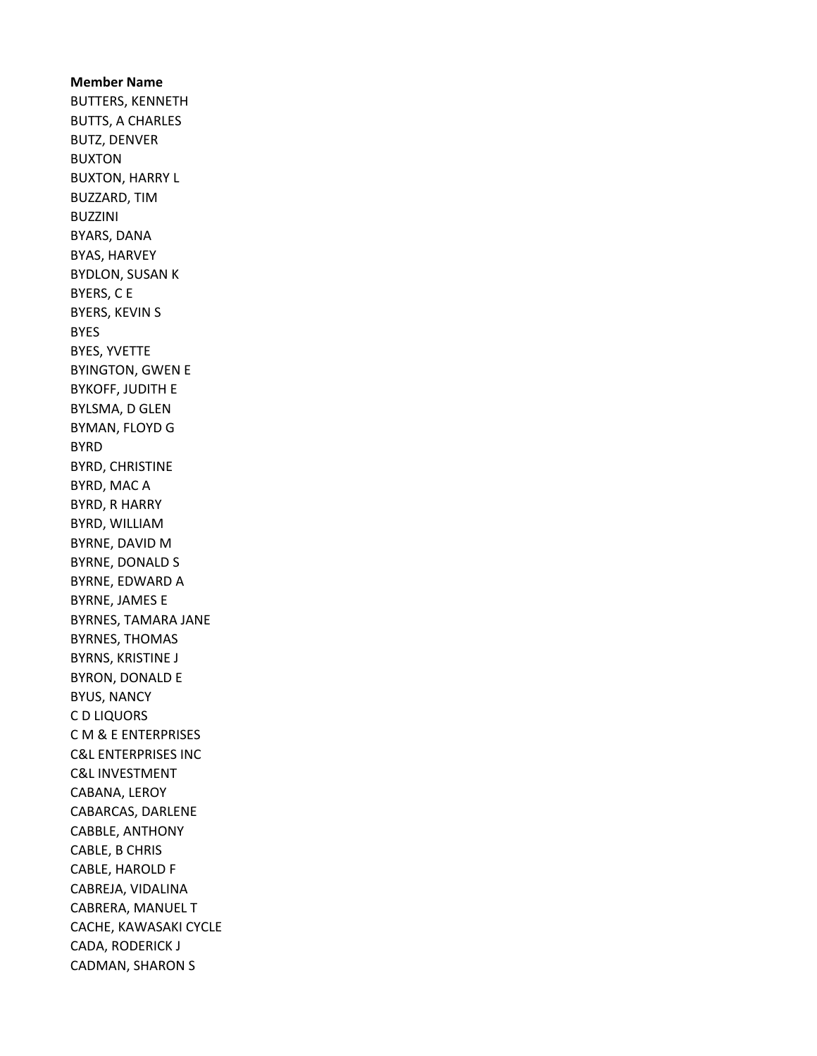Member Name BUTTERS, KENNETH BUTTS, A CHARLES BUTZ, DENVER BUXTON BUXTON, HARRY L BUZZARD, TIM BUZZINI BYARS, DANA BYAS, HARVEY BYDLON, SUSAN K BYERS, C E BYERS, KEVIN S BYES BYES, YVETTE BYINGTON, GWEN E BYKOFF, JUDITH E BYLSMA, D GLEN BYMAN, FLOYD G BYRD BYRD, CHRISTINE BYRD, MAC A BYRD, R HARRY BYRD, WILLIAM BYRNE, DAVID M BYRNE, DONALD S BYRNE, EDWARD A BYRNE, JAMES E BYRNES, TAMARA JANE BYRNES, THOMAS BYRNS, KRISTINE J BYRON, DONALD E BYUS, NANCY C D LIQUORS C M & E ENTERPRISES C&L ENTERPRISES INC C&L INVESTMENT CABANA, LEROY CABARCAS, DARLENE CABBLE, ANTHONY CABLE, B CHRIS CABLE, HAROLD F CABREJA, VIDALINA CABRERA, MANUEL T CACHE, KAWASAKI CYCLE CADA, RODERICK J CADMAN, SHARON S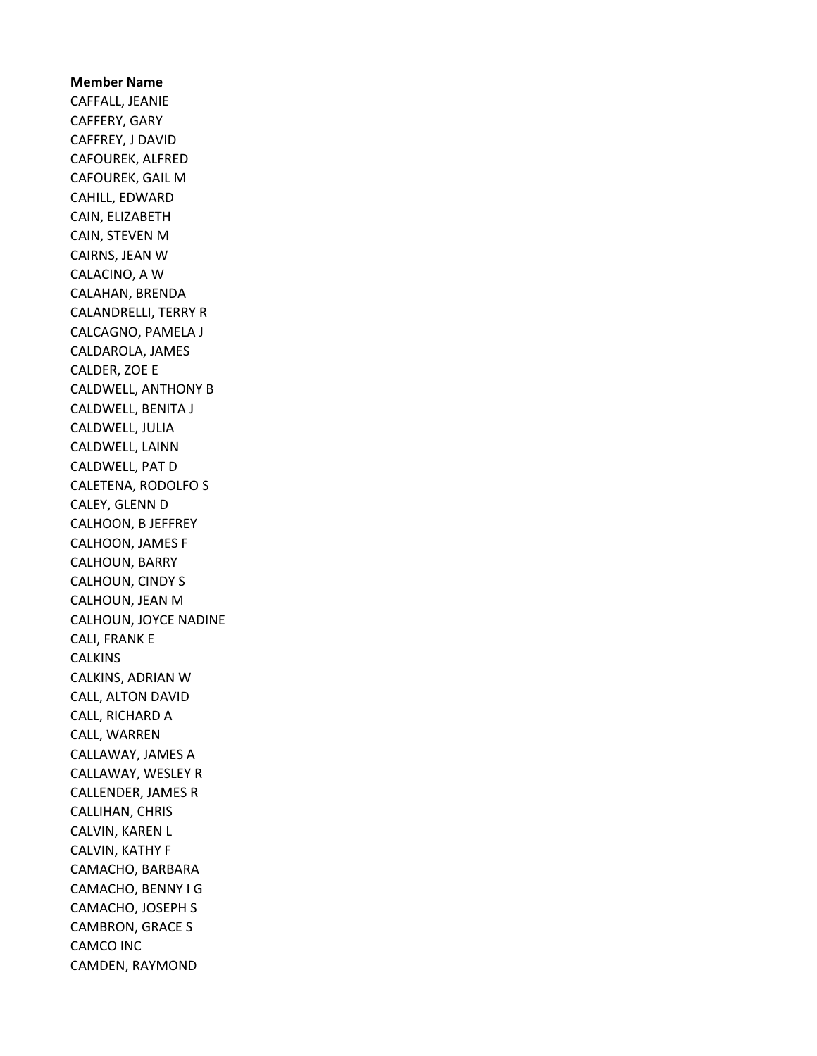Member Name CAFFALL, JEANIE CAFFERY, GARY CAFFREY, J DAVID CAFOUREK, ALFRED CAFOUREK, GAIL M CAHILL, EDWARD CAIN, ELIZABETH CAIN, STEVEN M CAIRNS, JEAN W CALACINO, A W CALAHAN, BRENDA CALANDRELLI, TERRY R CALCAGNO, PAMELA J CALDAROLA, JAMES CALDER, ZOE E CALDWELL, ANTHONY B CALDWELL, BENITA J CALDWELL, JULIA CALDWELL, LAINN CALDWELL, PAT D CALETENA, RODOLFO S CALEY, GLENN D CALHOON, B JEFFREY CALHOON, JAMES F CALHOUN, BARRY CALHOUN, CINDY S CALHOUN, JEAN M CALHOUN, JOYCE NADINE CALI, FRANK E **CALKINS** CALKINS, ADRIAN W CALL, ALTON DAVID CALL, RICHARD A CALL, WARREN CALLAWAY, JAMES A CALLAWAY, WESLEY R CALLENDER, JAMES R CALLIHAN, CHRIS CALVIN, KAREN L CALVIN, KATHY F CAMACHO, BARBARA CAMACHO, BENNY I G CAMACHO, JOSEPH S CAMBRON, GRACE S CAMCO INC CAMDEN, RAYMOND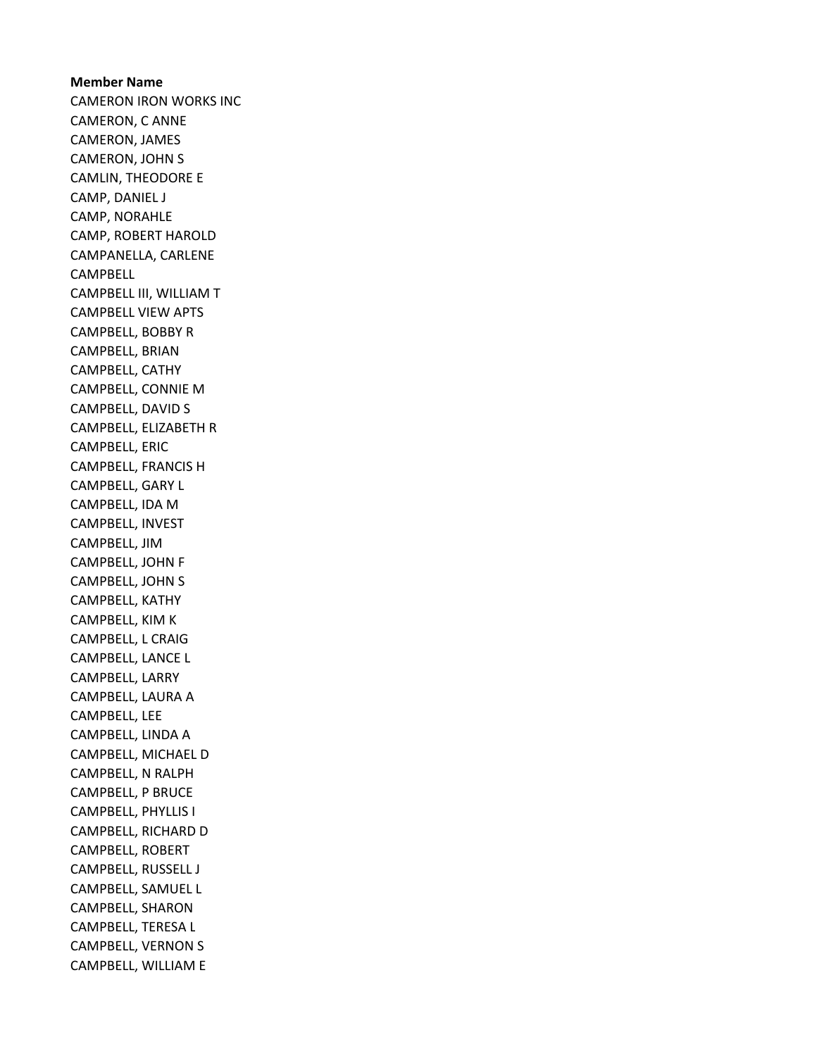Member Name CAMERON IRON WORKS INC CAMERON, C ANNE CAMERON, JAMES CAMERON, JOHN S CAMLIN, THEODORE E CAMP, DANIEL J CAMP, NORAHLE CAMP, ROBERT HAROLD CAMPANELLA, CARLENE CAMPBELL CAMPBELL III, WILLIAM T CAMPBELL VIEW APTS CAMPBELL, BOBBY R CAMPBELL, BRIAN CAMPBELL, CATHY CAMPBELL, CONNIE M CAMPBELL, DAVID S CAMPBELL, ELIZABETH R CAMPBELL, ERIC CAMPBELL, FRANCIS H CAMPBELL, GARY L CAMPBELL, IDA M CAMPBELL, INVEST CAMPBELL, JIM CAMPBELL, JOHN F CAMPBELL, JOHN S CAMPBELL, KATHY CAMPBELL, KIM K CAMPBELL, L CRAIG CAMPBELL, LANCE L CAMPBELL, LARRY CAMPBELL, LAURA A CAMPBELL, LEE CAMPBELL, LINDA A CAMPBELL, MICHAEL D CAMPBELL, N RALPH CAMPBELL, P BRUCE CAMPBELL, PHYLLIS I CAMPBELL, RICHARD D CAMPBELL, ROBERT CAMPBELL, RUSSELL J CAMPBELL, SAMUEL L CAMPBELL, SHARON CAMPBELL, TERESA L CAMPBELL, VERNON S CAMPBELL, WILLIAM E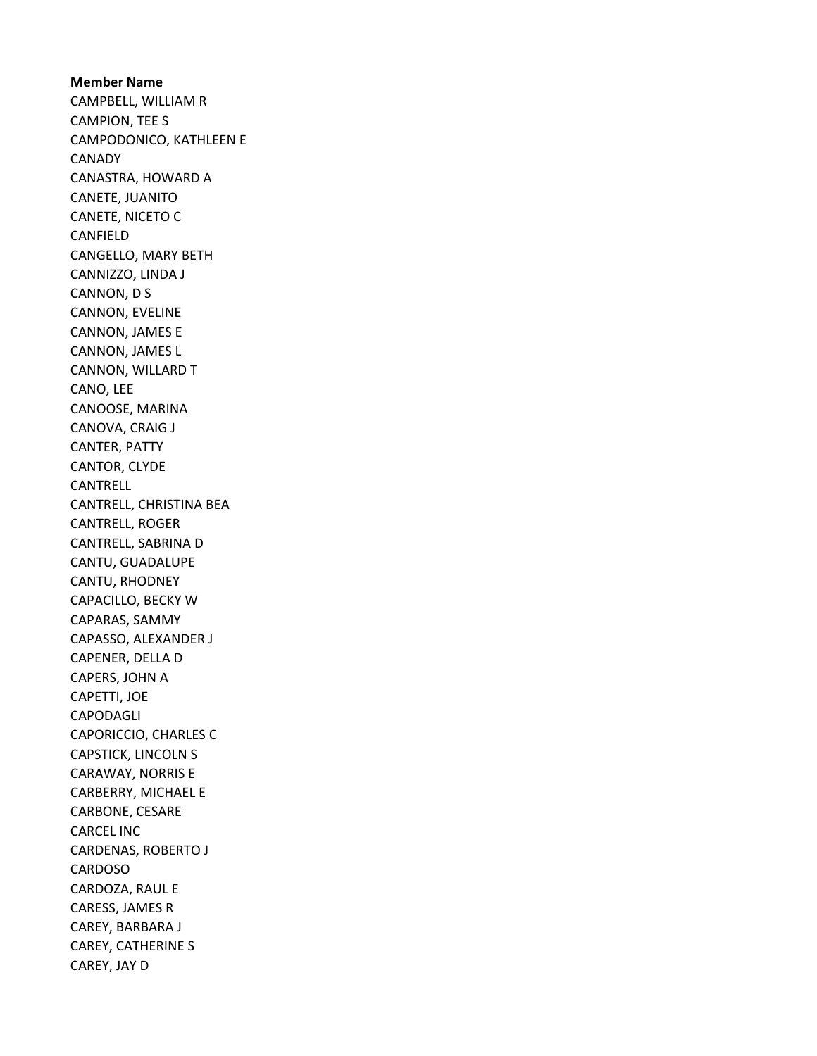Member Name CAMPBELL, WILLIAM R CAMPION, TEE S CAMPODONICO, KATHLEEN E CANADY CANASTRA, HOWARD A CANETE, JUANITO CANETE, NICETO C CANFIELD CANGELLO, MARY BETH CANNIZZO, LINDA J CANNON, D S CANNON, EVELINE CANNON, JAMES E CANNON, JAMES L CANNON, WILLARD T CANO, LEE CANOOSE, MARINA CANOVA, CRAIG J CANTER, PATTY CANTOR, CLYDE CANTRELL CANTRELL, CHRISTINA BEA CANTRELL, ROGER CANTRELL, SABRINA D CANTU, GUADALUPE CANTU, RHODNEY CAPACILLO, BECKY W CAPARAS, SAMMY CAPASSO, ALEXANDER J CAPENER, DELLA D CAPERS, JOHN A CAPETTI, JOE CAPODAGLI CAPORICCIO, CHARLES C CAPSTICK, LINCOLN S CARAWAY, NORRIS E CARBERRY, MICHAEL E CARBONE, CESARE CARCEL INC CARDENAS, ROBERTO J CARDOSO CARDOZA, RAUL E CARESS, JAMES R CAREY, BARBARA J CAREY, CATHERINE S CAREY, JAY D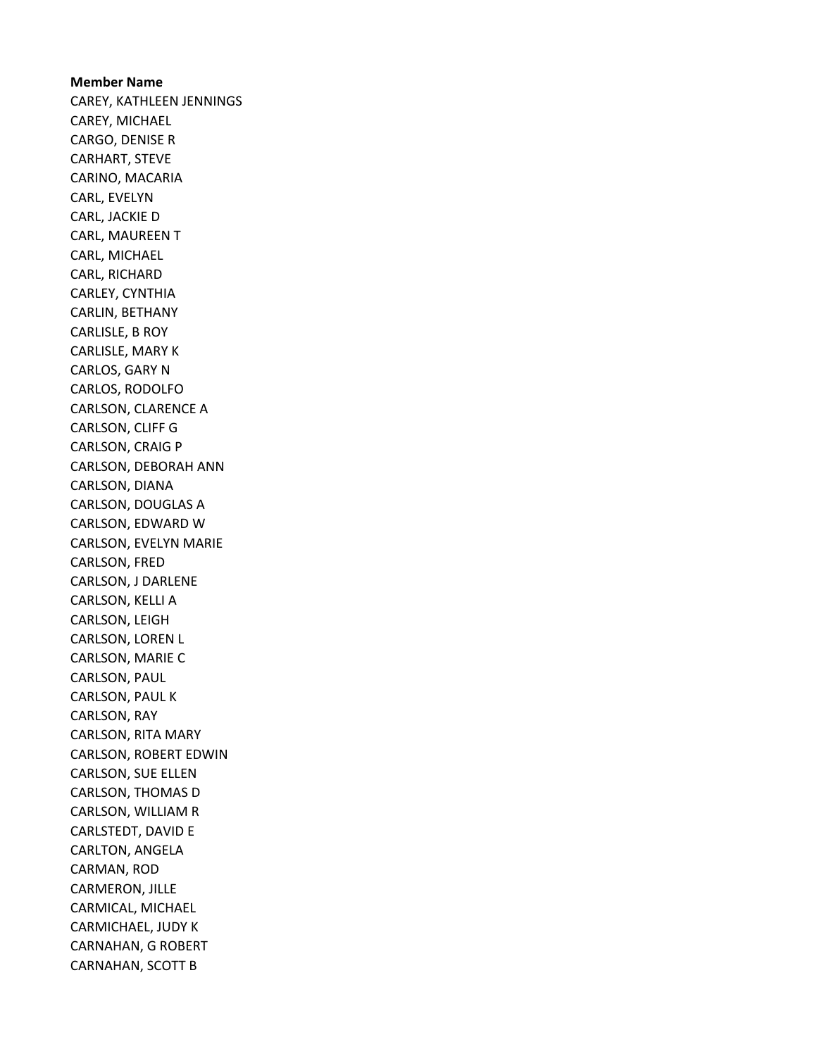Member Name CAREY, KATHLEEN JENNINGS CAREY, MICHAEL CARGO, DENISE R CARHART, STEVE CARINO, MACARIA CARL, EVELYN CARL, JACKIE D CARL, MAUREEN T CARL, MICHAEL CARL, RICHARD CARLEY, CYNTHIA CARLIN, BETHANY CARLISLE, B ROY CARLISLE, MARY K CARLOS, GARY N CARLOS, RODOLFO CARLSON, CLARENCE A CARLSON, CLIFF G CARLSON, CRAIG P CARLSON, DEBORAH ANN CARLSON, DIANA CARLSON, DOUGLAS A CARLSON, EDWARD W CARLSON, EVELYN MARIE CARLSON, FRED CARLSON, J DARLENE CARLSON, KELLI A CARLSON, LEIGH CARLSON, LOREN L CARLSON, MARIE C CARLSON, PAUL CARLSON, PAUL K CARLSON, RAY CARLSON, RITA MARY CARLSON, ROBERT EDWIN CARLSON, SUE ELLEN CARLSON, THOMAS D CARLSON, WILLIAM R CARLSTEDT, DAVID E CARLTON, ANGELA CARMAN, ROD CARMERON, JILLE CARMICAL, MICHAEL CARMICHAEL, JUDY K CARNAHAN, G ROBERT CARNAHAN, SCOTT B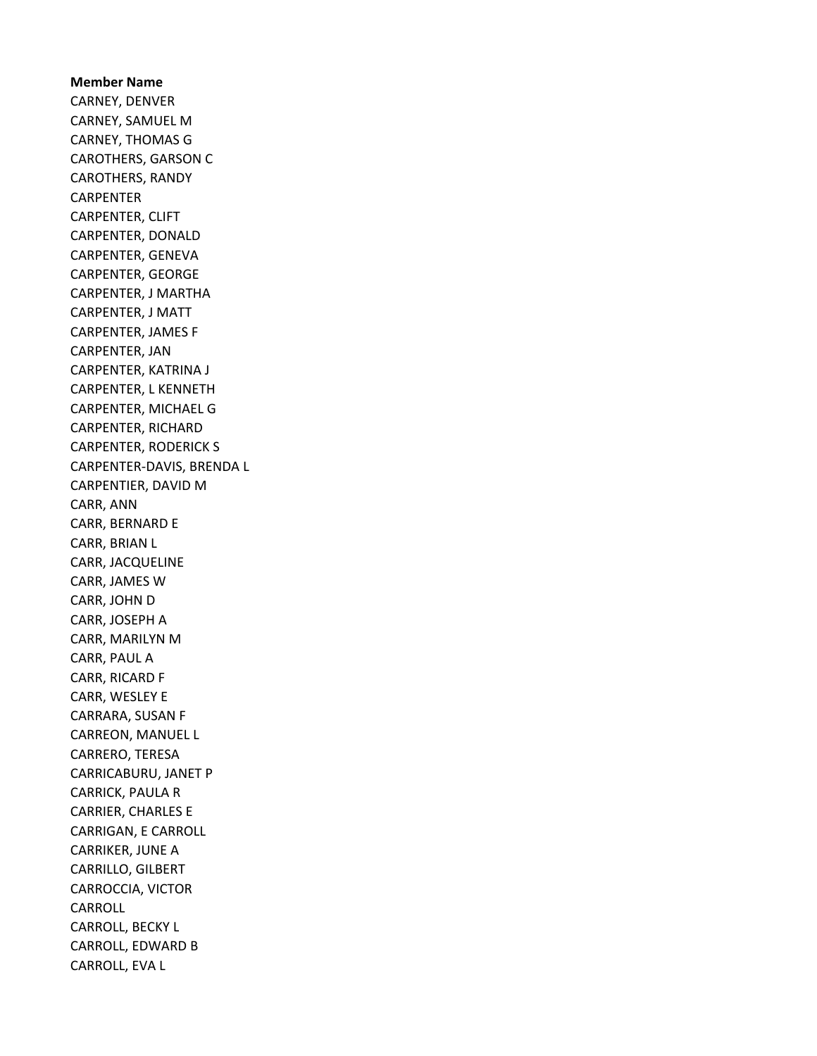Member Name CARNEY, DENVER CARNEY, SAMUEL M CARNEY, THOMAS G CAROTHERS, GARSON C CAROTHERS, RANDY CARPENTER CARPENTER, CLIFT CARPENTER, DONALD CARPENTER, GENEVA CARPENTER, GEORGE CARPENTER, J MARTHA CARPENTER, J MATT CARPENTER, JAMES F CARPENTER, JAN CARPENTER, KATRINA J CARPENTER, L KENNETH CARPENTER, MICHAEL G CARPENTER, RICHARD CARPENTER, RODERICK S CARPENTER-DAVIS, BRENDA L CARPENTIER, DAVID M CARR, ANN CARR, BERNARD E CARR, BRIAN L CARR, JACQUELINE CARR, JAMES W CARR, JOHN D CARR, JOSEPH A CARR, MARILYN M CARR, PAUL A CARR, RICARD F CARR, WESLEY E CARRARA, SUSAN F CARREON, MANUEL L CARRERO, TERESA CARRICABURU, JANET P CARRICK, PAULA R CARRIER, CHARLES E CARRIGAN, E CARROLL CARRIKER, JUNE A CARRILLO, GILBERT CARROCCIA, VICTOR CARROLL CARROLL, BECKY L CARROLL, EDWARD B CARROLL, EVA L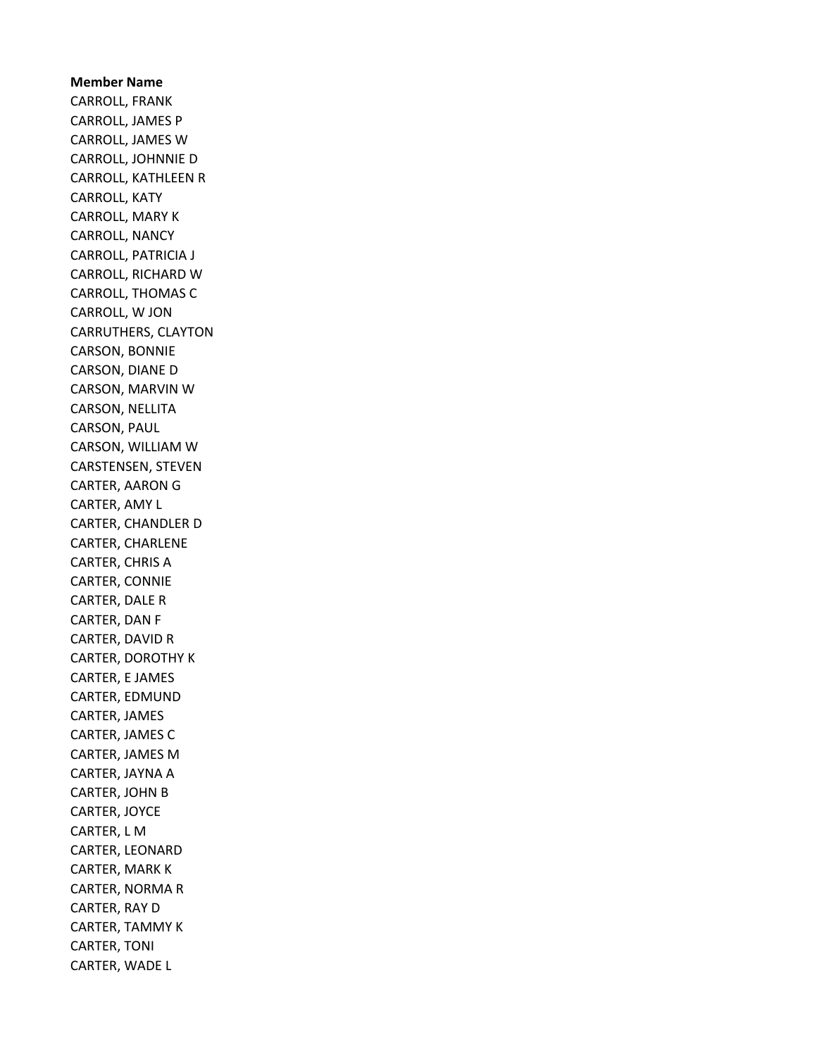## Member Name CARROLL, FRANK CARROLL, JAMES P CARROLL, JAMES W CARROLL, JOHNNIE D CARROLL, KATHLEEN R CARROLL, KATY CARROLL, MARY K CARROLL, NANCY CARROLL, PATRICIA J CARROLL, RICHARD W CARROLL, THOMAS C CARROLL, W JON CARRUTHERS, CLAYTON CARSON, BONNIE CARSON, DIANE D CARSON, MARVIN W CARSON, NELLITA CARSON, PAUL CARSON, WILLIAM W CARSTENSEN, STEVEN CARTER, AARON G CARTER, AMY L CARTER, CHANDLER D CARTER, CHARLENE CARTER, CHRIS A CARTER, CONNIE CARTER, DALE R CARTER, DAN F CARTER, DAVID R CARTER, DOROTHY K CARTER, E JAMES CARTER, EDMUND CARTER, JAMES CARTER, JAMES C CARTER, JAMES M CARTER, JAYNA A CARTER, JOHN B CARTER, JOYCE CARTER, L M CARTER, LEONARD CARTER, MARK K CARTER, NORMA R CARTER, RAY D CARTER, TAMMY K CARTER, TONI CARTER, WADE L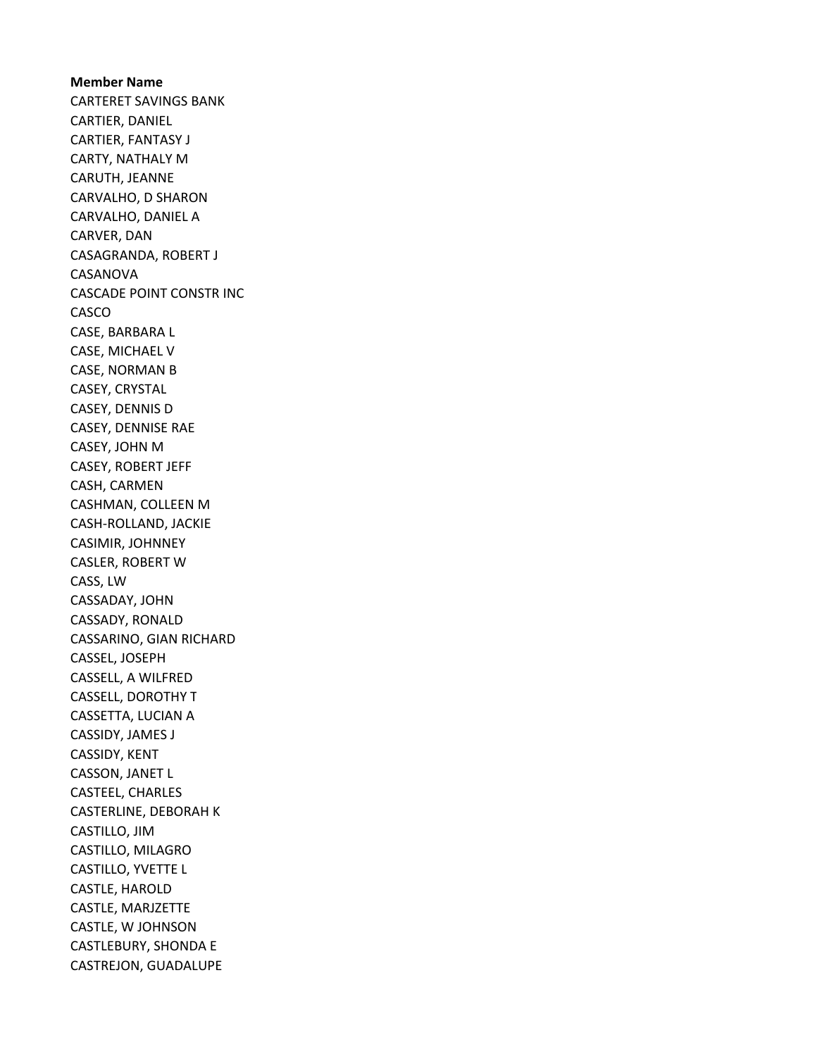Member Name CARTERET SAVINGS BANK CARTIER, DANIEL CARTIER, FANTASY J CARTY, NATHALY M CARUTH, JEANNE CARVALHO, D SHARON CARVALHO, DANIEL A CARVER, DAN CASAGRANDA, ROBERT J CASANOVA CASCADE POINT CONSTR INC CASCO CASE, BARBARA L CASE, MICHAEL V CASE, NORMAN B CASEY, CRYSTAL CASEY, DENNIS D CASEY, DENNISE RAE CASEY, JOHN M CASEY, ROBERT JEFF CASH, CARMEN CASHMAN, COLLEEN M CASH-ROLLAND, JACKIE CASIMIR, JOHNNEY CASLER, ROBERT W CASS, LW CASSADAY, JOHN CASSADY, RONALD CASSARINO, GIAN RICHARD CASSEL, JOSEPH CASSELL, A WILFRED CASSELL, DOROTHY T CASSETTA, LUCIAN A CASSIDY, JAMES J CASSIDY, KENT CASSON, JANET L CASTEEL, CHARLES CASTERLINE, DEBORAH K CASTILLO, JIM CASTILLO, MILAGRO CASTILLO, YVETTE L CASTLE, HAROLD CASTLE, MARJZETTE CASTLE, W JOHNSON CASTLEBURY, SHONDA E CASTREJON, GUADALUPE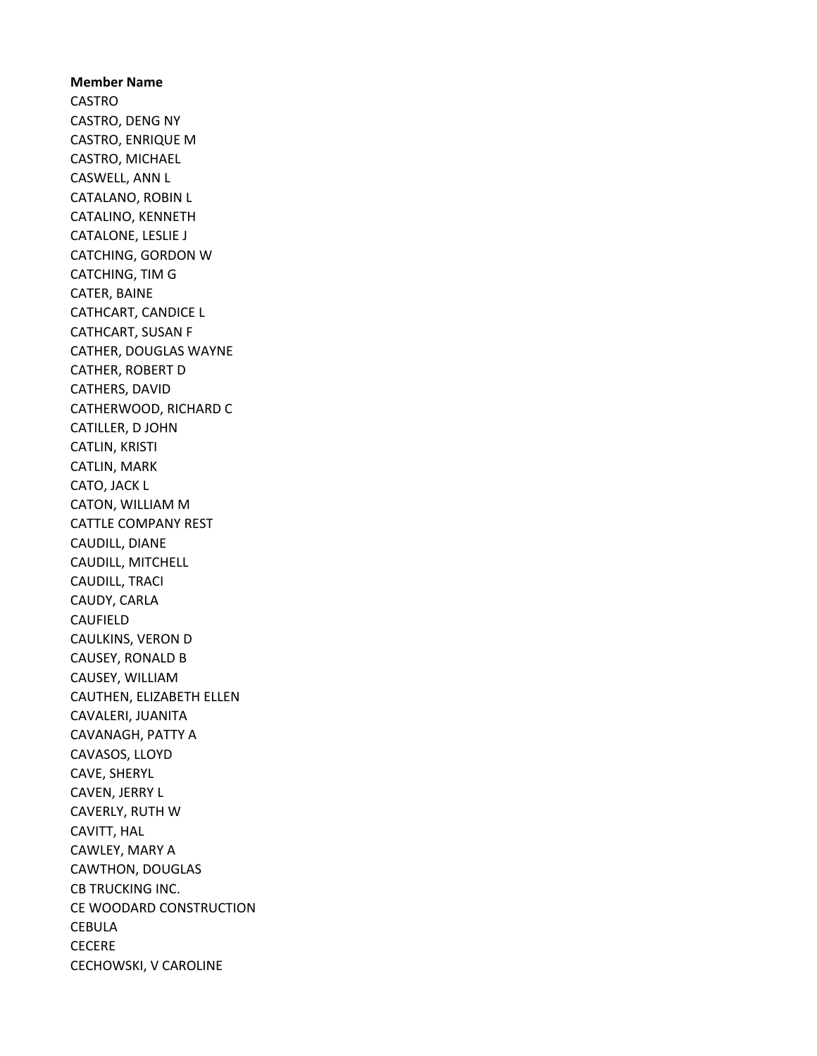Member Name CASTRO CASTRO, DENG NY CASTRO, ENRIQUE M CASTRO, MICHAEL CASWELL, ANN L CATALANO, ROBIN L CATALINO, KENNETH CATALONE, LESLIE J CATCHING, GORDON W CATCHING, TIM G CATER, BAINE CATHCART, CANDICE L CATHCART, SUSAN F CATHER, DOUGLAS WAYNE CATHER, ROBERT D CATHERS, DAVID CATHERWOOD, RICHARD C CATILLER, D JOHN CATLIN, KRISTI CATLIN, MARK CATO, JACK L CATON, WILLIAM M CATTLE COMPANY REST CAUDILL, DIANE CAUDILL, MITCHELL CAUDILL, TRACI CAUDY, CARLA CAUFIELD CAULKINS, VERON D CAUSEY, RONALD B CAUSEY, WILLIAM CAUTHEN, ELIZABETH ELLEN CAVALERI, JUANITA CAVANAGH, PATTY A CAVASOS, LLOYD CAVE, SHERYL CAVEN, JERRY L CAVERLY, RUTH W CAVITT, HAL CAWLEY, MARY A CAWTHON, DOUGLAS CB TRUCKING INC. CE WOODARD CONSTRUCTION **CEBULA CECERE** CECHOWSKI, V CAROLINE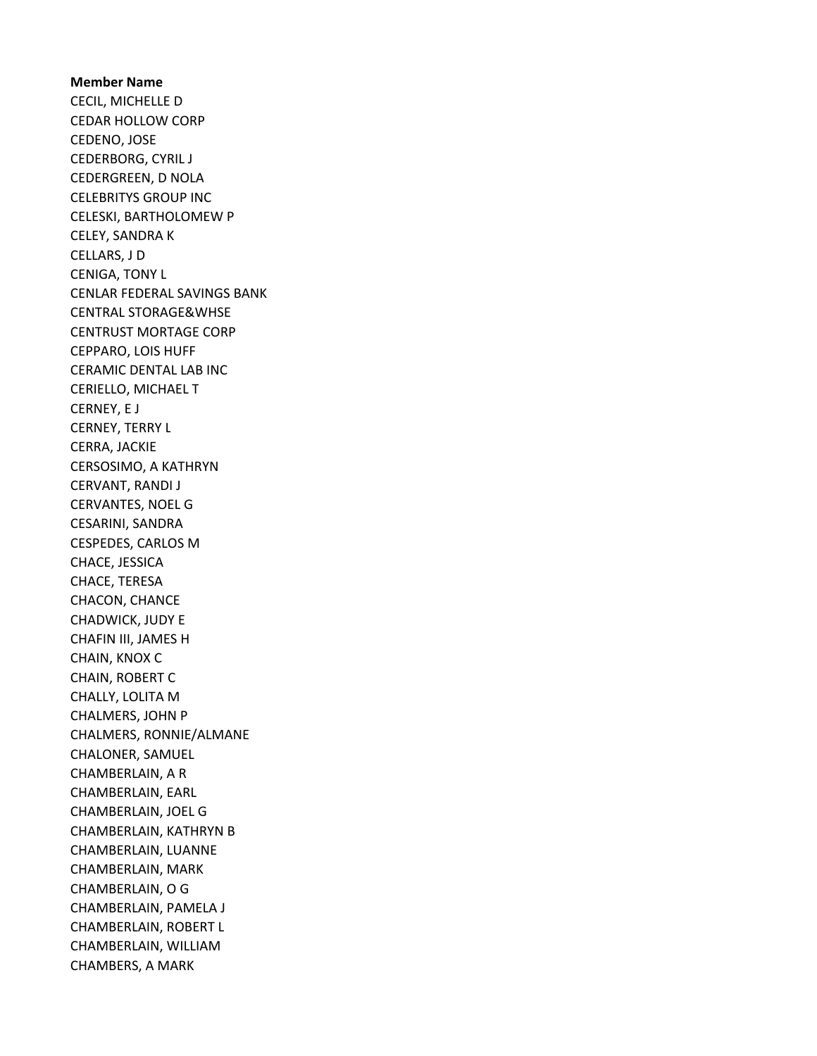Member Name CECIL, MICHELLE D CEDAR HOLLOW CORP CEDENO, JOSE CEDERBORG, CYRIL J CEDERGREEN, D NOLA CELEBRITYS GROUP INC CELESKI, BARTHOLOMEW P CELEY, SANDRA K CELLARS, J D CENIGA, TONY L CENLAR FEDERAL SAVINGS BANK CENTRAL STORAGE&WHSE CENTRUST MORTAGE CORP CEPPARO, LOIS HUFF CERAMIC DENTAL LAB INC CERIELLO, MICHAEL T CERNEY, E J CERNEY, TERRY L CERRA, JACKIE CERSOSIMO, A KATHRYN CERVANT, RANDI J CERVANTES, NOEL G CESARINI, SANDRA CESPEDES, CARLOS M CHACE, JESSICA CHACE, TERESA CHACON, CHANCE CHADWICK, JUDY E CHAFIN III, JAMES H CHAIN, KNOX C CHAIN, ROBERT C CHALLY, LOLITA M CHALMERS, JOHN P CHALMERS, RONNIE/ALMANE CHALONER, SAMUEL CHAMBERLAIN, A R CHAMBERLAIN, EARL CHAMBERLAIN, JOEL G CHAMBERLAIN, KATHRYN B CHAMBERLAIN, LUANNE CHAMBERLAIN, MARK CHAMBERLAIN, O G CHAMBERLAIN, PAMELA J CHAMBERLAIN, ROBERT L CHAMBERLAIN, WILLIAM CHAMBERS, A MARK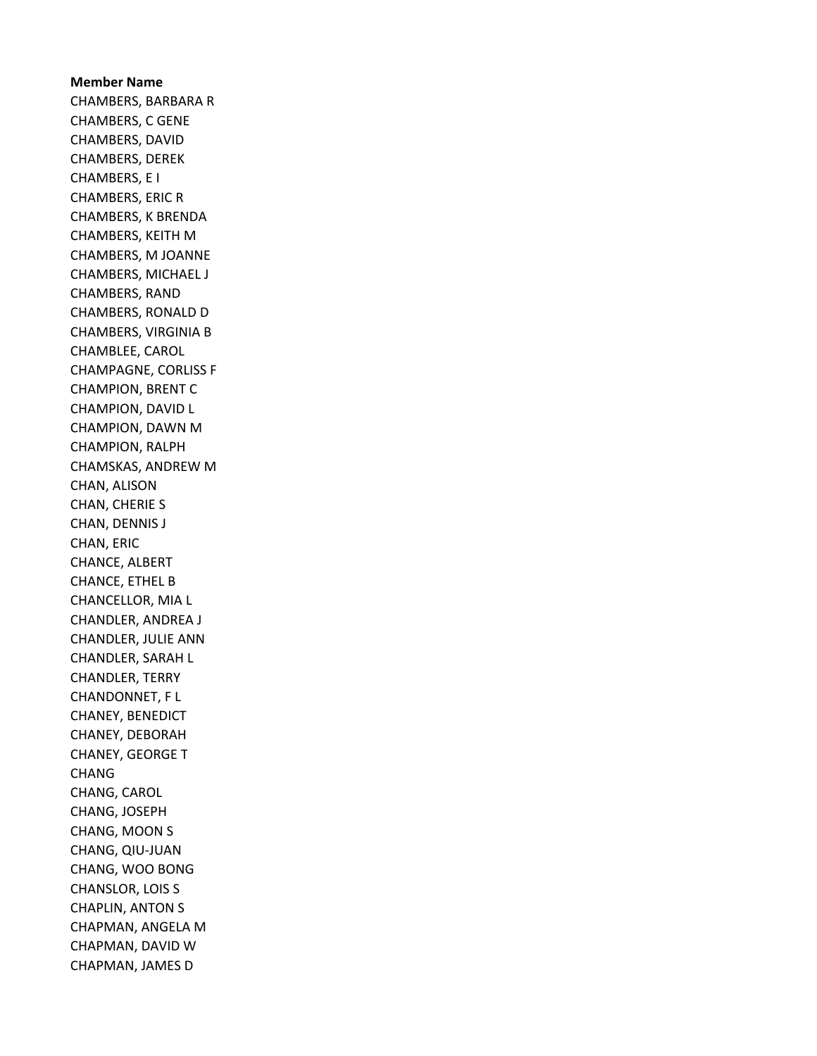Member Name CHAMBERS, BARBARA R CHAMBERS, C GENE CHAMBERS, DAVID CHAMBERS, DEREK CHAMBERS, E I CHAMBERS, ERIC R CHAMBERS, K BRENDA CHAMBERS, KEITH M CHAMBERS, M JOANNE CHAMBERS, MICHAEL J CHAMBERS, RAND CHAMBERS, RONALD D CHAMBERS, VIRGINIA B CHAMBLEE, CAROL CHAMPAGNE, CORLISS F CHAMPION, BRENT C CHAMPION, DAVID L CHAMPION, DAWN M CHAMPION, RALPH CHAMSKAS, ANDREW M CHAN, ALISON CHAN, CHERIE S CHAN, DENNIS J CHAN, ERIC CHANCE, ALBERT CHANCE, ETHEL B CHANCELLOR, MIA L CHANDLER, ANDREA J CHANDLER, JULIE ANN CHANDLER, SARAH L CHANDLER, TERRY CHANDONNET, F L CHANEY, BENEDICT CHANEY, DEBORAH CHANEY, GEORGE T CHANG CHANG, CAROL CHANG, JOSEPH CHANG, MOON S CHANG, QIU-JUAN CHANG, WOO BONG CHANSLOR, LOIS S CHAPLIN, ANTON S CHAPMAN, ANGELA M CHAPMAN, DAVID W CHAPMAN, JAMES D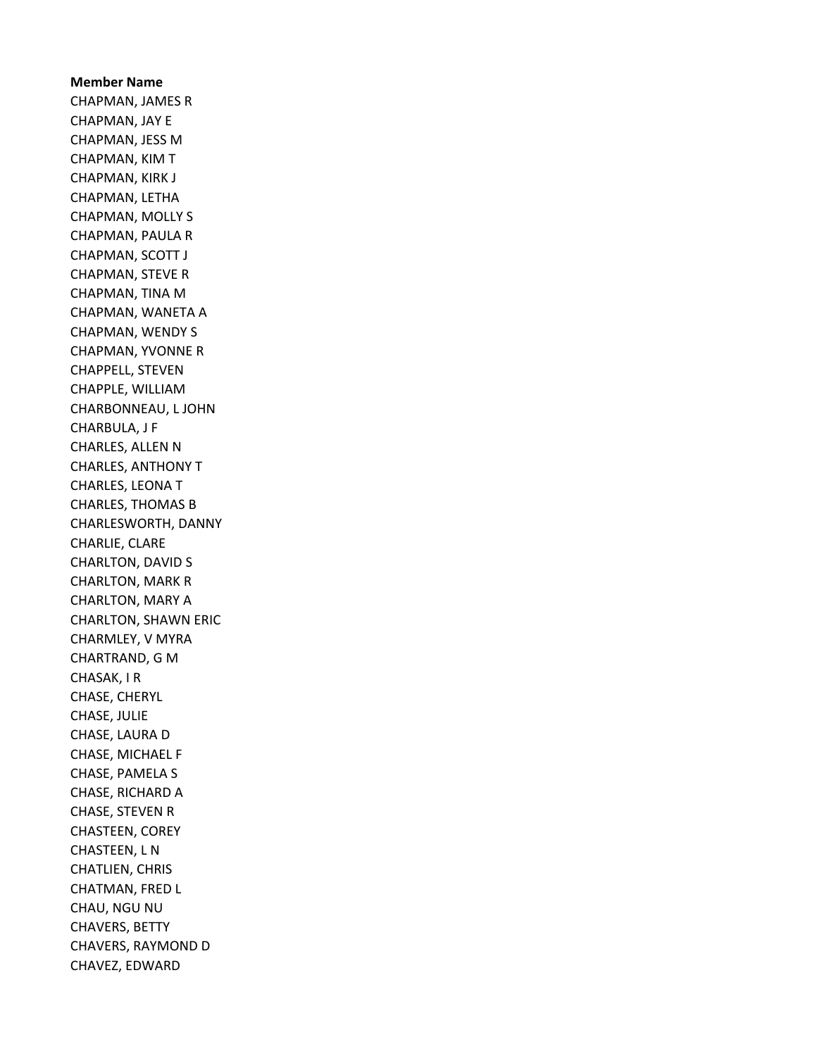Member Name CHAPMAN, JAMES R CHAPMAN, JAY E CHAPMAN, JESS M CHAPMAN, KIM T CHAPMAN, KIRK J CHAPMAN, LETHA CHAPMAN, MOLLY S CHAPMAN, PAULA R CHAPMAN, SCOTT J CHAPMAN, STEVE R CHAPMAN, TINA M CHAPMAN, WANETA A CHAPMAN, WENDY S CHAPMAN, YVONNE R CHAPPELL, STEVEN CHAPPLE, WILLIAM CHARBONNEAU, L JOHN CHARBULA, J F CHARLES, ALLEN N CHARLES, ANTHONY T CHARLES, LEONA T CHARLES, THOMAS B CHARLESWORTH, DANNY CHARLIE, CLARE CHARLTON, DAVID S CHARLTON, MARK R CHARLTON, MARY A CHARLTON, SHAWN ERIC CHARMLEY, V MYRA CHARTRAND, G M CHASAK, I R CHASE, CHERYL CHASE, JULIE CHASE, LAURA D CHASE, MICHAEL F CHASE, PAMELA S CHASE, RICHARD A CHASE, STEVEN R CHASTEEN, COREY CHASTEEN, L N CHATLIEN, CHRIS CHATMAN, FRED L CHAU, NGU NU CHAVERS, BETTY CHAVERS, RAYMOND D CHAVEZ, EDWARD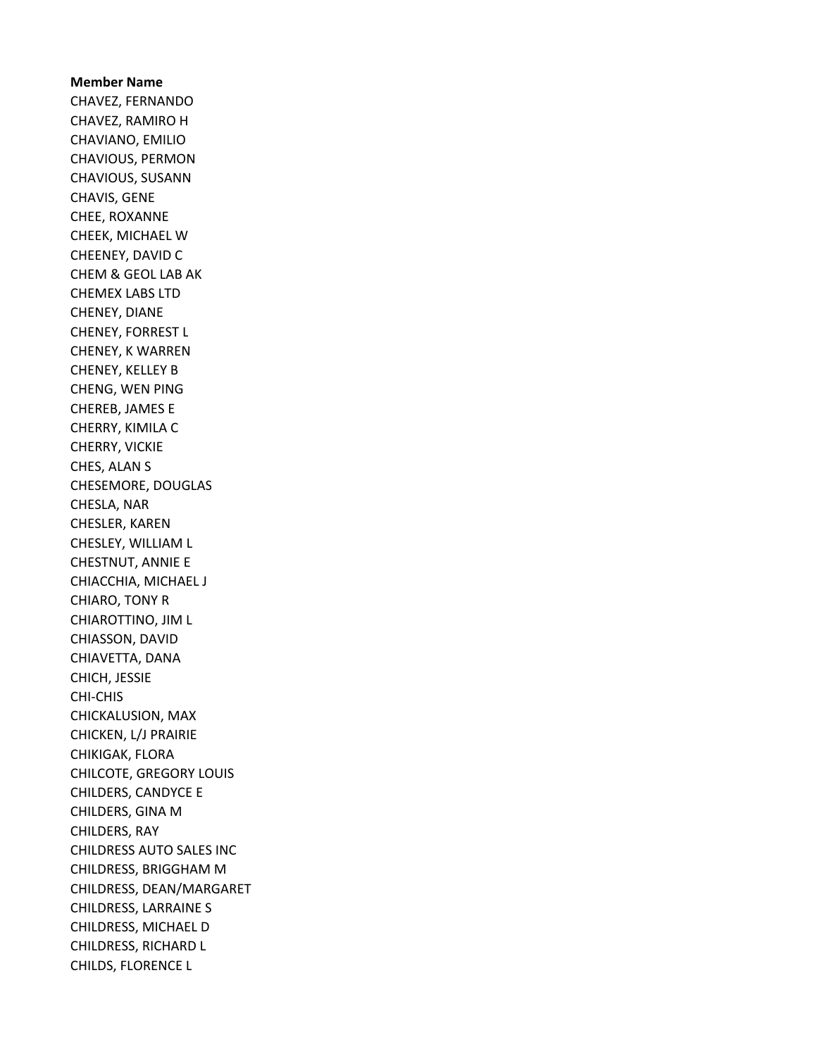Member Name CHAVEZ, FERNANDO CHAVEZ, RAMIRO H CHAVIANO, EMILIO CHAVIOUS, PERMON CHAVIOUS, SUSANN CHAVIS, GENE CHEE, ROXANNE CHEEK, MICHAEL W CHEENEY, DAVID C CHEM & GEOL LAB AK CHEMEX LABS LTD CHENEY, DIANE CHENEY, FORREST L CHENEY, K WARREN CHENEY, KELLEY B CHENG, WEN PING CHEREB, JAMES E CHERRY, KIMILA C CHERRY, VICKIE CHES, ALAN S CHESEMORE, DOUGLAS CHESLA, NAR CHESLER, KAREN CHESLEY, WILLIAM L CHESTNUT, ANNIE E CHIACCHIA, MICHAEL J CHIARO, TONY R CHIAROTTINO, JIM L CHIASSON, DAVID CHIAVETTA, DANA CHICH, JESSIE CHI-CHIS CHICKALUSION, MAX CHICKEN, L/J PRAIRIE CHIKIGAK, FLORA CHILCOTE, GREGORY LOUIS CHILDERS, CANDYCE E CHILDERS, GINA M CHILDERS, RAY CHILDRESS AUTO SALES INC CHILDRESS, BRIGGHAM M CHILDRESS, DEAN/MARGARET CHILDRESS, LARRAINE S CHILDRESS, MICHAEL D CHILDRESS, RICHARD L CHILDS, FLORENCE L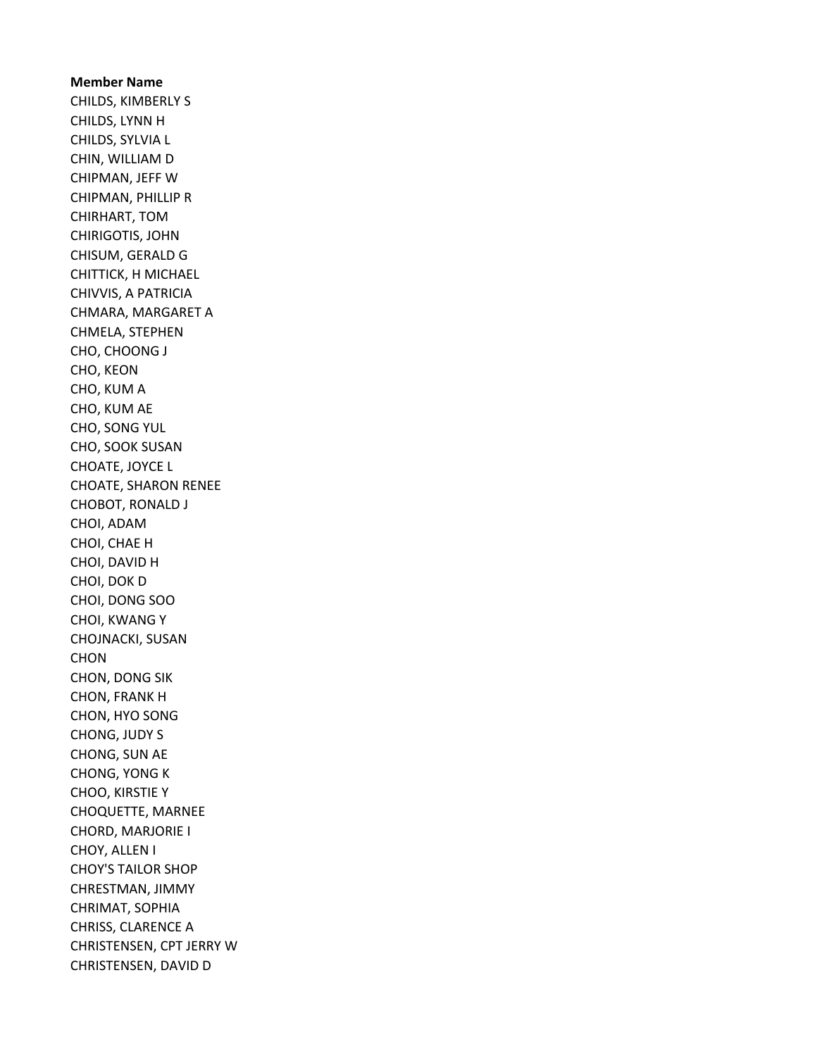Member Name CHILDS, KIMBERLY S CHILDS, LYNN H CHILDS, SYLVIA L CHIN, WILLIAM D CHIPMAN, JEFF W CHIPMAN, PHILLIP R CHIRHART, TOM CHIRIGOTIS, JOHN CHISUM, GERALD G CHITTICK, H MICHAEL CHIVVIS, A PATRICIA CHMARA, MARGARET A CHMELA, STEPHEN CHO, CHOONG J CHO, KEON CHO, KUM A CHO, KUM AE CHO, SONG YUL CHO, SOOK SUSAN CHOATE, JOYCE L CHOATE, SHARON RENEE CHOBOT, RONALD J CHOI, ADAM CHOI, CHAE H CHOI, DAVID H CHOI, DOK D CHOI, DONG SOO CHOI, KWANG Y CHOJNACKI, SUSAN CHON CHON, DONG SIK CHON, FRANK H CHON, HYO SONG CHONG, JUDY S CHONG, SUN AE CHONG, YONG K CHOO, KIRSTIE Y CHOQUETTE, MARNEE CHORD, MARJORIE I CHOY, ALLEN I CHOY'S TAILOR SHOP CHRESTMAN, JIMMY CHRIMAT, SOPHIA CHRISS, CLARENCE A CHRISTENSEN, CPT JERRY W CHRISTENSEN, DAVID D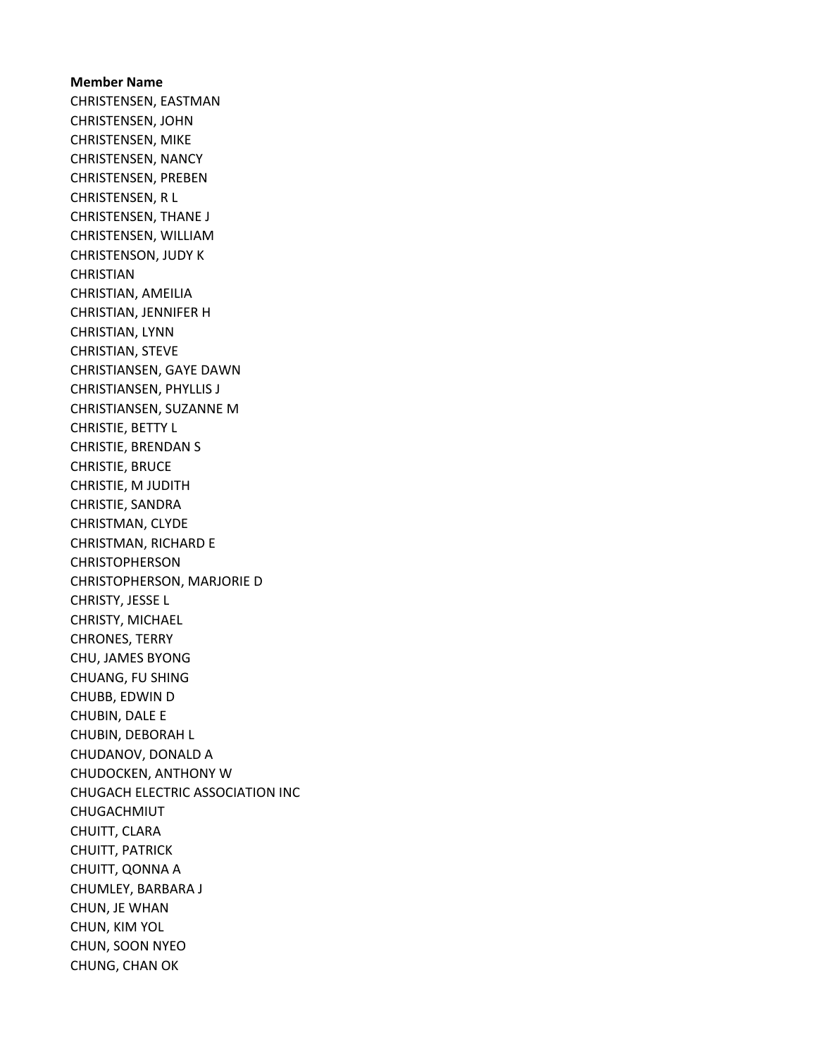Member Name CHRISTENSEN, EASTMAN CHRISTENSEN, JOHN CHRISTENSEN, MIKE CHRISTENSEN, NANCY CHRISTENSEN, PREBEN CHRISTENSEN, R L CHRISTENSEN, THANE J CHRISTENSEN, WILLIAM CHRISTENSON, JUDY K **CHRISTIAN** CHRISTIAN, AMEILIA CHRISTIAN, JENNIFER H CHRISTIAN, LYNN CHRISTIAN, STEVE CHRISTIANSEN, GAYE DAWN CHRISTIANSEN, PHYLLIS J CHRISTIANSEN, SUZANNE M CHRISTIE, BETTY L CHRISTIE, BRENDAN S CHRISTIE, BRUCE CHRISTIE, M JUDITH CHRISTIE, SANDRA CHRISTMAN, CLYDE CHRISTMAN, RICHARD E CHRISTOPHERSON CHRISTOPHERSON, MARJORIE D CHRISTY, JESSE L CHRISTY, MICHAEL CHRONES, TERRY CHU, JAMES BYONG CHUANG, FU SHING CHUBB, EDWIN D CHUBIN, DALE E CHUBIN, DEBORAH L CHUDANOV, DONALD A CHUDOCKEN, ANTHONY W CHUGACH ELECTRIC ASSOCIATION INC CHUGACHMIUT CHUITT, CLARA CHUITT, PATRICK CHUITT, QONNA A CHUMLEY, BARBARA J CHUN, JE WHAN CHUN, KIM YOL CHUN, SOON NYEO CHUNG, CHAN OK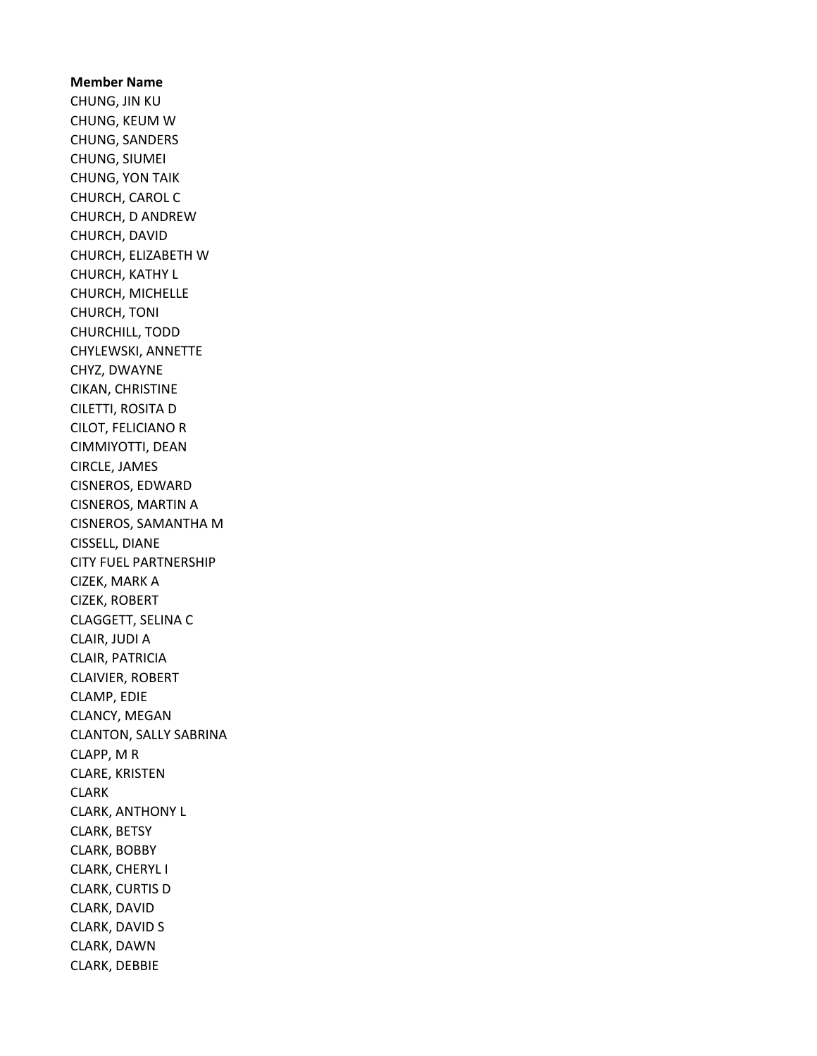Member Name CHUNG, JIN KU CHUNG, KEUM W CHUNG, SANDERS CHUNG, SIUMEI CHUNG, YON TAIK CHURCH, CAROL C CHURCH, D ANDREW CHURCH, DAVID CHURCH, ELIZABETH W CHURCH, KATHY L CHURCH, MICHELLE CHURCH, TONI CHURCHILL, TODD CHYLEWSKI, ANNETTE CHYZ, DWAYNE CIKAN, CHRISTINE CILETTI, ROSITA D CILOT, FELICIANO R CIMMIYOTTI, DEAN CIRCLE, JAMES CISNEROS, EDWARD CISNEROS, MARTIN A CISNEROS, SAMANTHA M CISSELL, DIANE CITY FUEL PARTNERSHIP CIZEK, MARK A CIZEK, ROBERT CLAGGETT, SELINA C CLAIR, JUDI A CLAIR, PATRICIA CLAIVIER, ROBERT CLAMP, EDIE CLANCY, MEGAN CLANTON, SALLY SABRINA CLAPP, M R CLARE, KRISTEN CLARK CLARK, ANTHONY L CLARK, BETSY CLARK, BOBBY CLARK, CHERYL I CLARK, CURTIS D CLARK, DAVID CLARK, DAVID S CLARK, DAWN CLARK, DEBBIE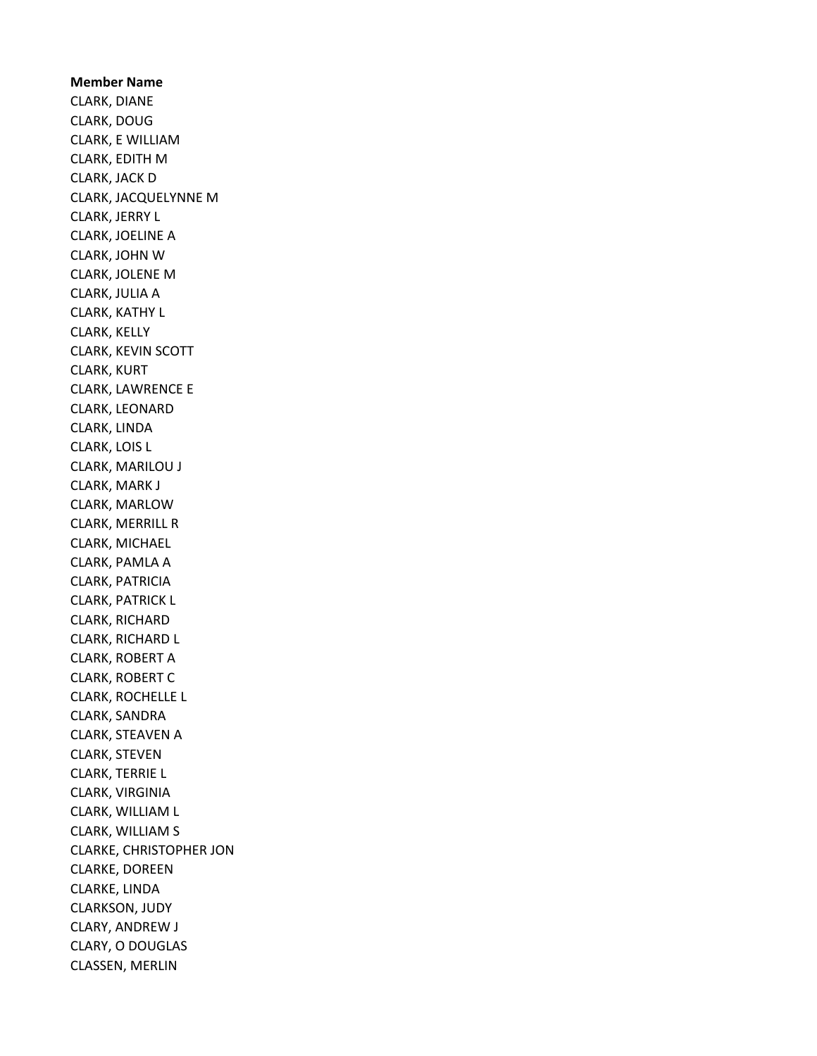Member Name CLARK, DIANE CLARK, DOUG CLARK, E WILLIAM CLARK, EDITH M CLARK, JACK D CLARK, JACQUELYNNE M CLARK, JERRY L CLARK, JOELINE A CLARK, JOHN W CLARK, JOLENE M CLARK, JULIA A CLARK, KATHY L CLARK, KELLY CLARK, KEVIN SCOTT CLARK, KURT CLARK, LAWRENCE E CLARK, LEONARD CLARK, LINDA CLARK, LOIS L CLARK, MARILOU J CLARK, MARK J CLARK, MARLOW CLARK, MERRILL R CLARK, MICHAEL CLARK, PAMLA A CLARK, PATRICIA CLARK, PATRICK L CLARK, RICHARD CLARK, RICHARD L CLARK, ROBERT A CLARK, ROBERT C CLARK, ROCHELLE L CLARK, SANDRA CLARK, STEAVEN A CLARK, STEVEN CLARK, TERRIE L CLARK, VIRGINIA CLARK, WILLIAM L CLARK, WILLIAM S CLARKE, CHRISTOPHER JON CLARKE, DOREEN CLARKE, LINDA CLARKSON, JUDY CLARY, ANDREW J CLARY, O DOUGLAS CLASSEN, MERLIN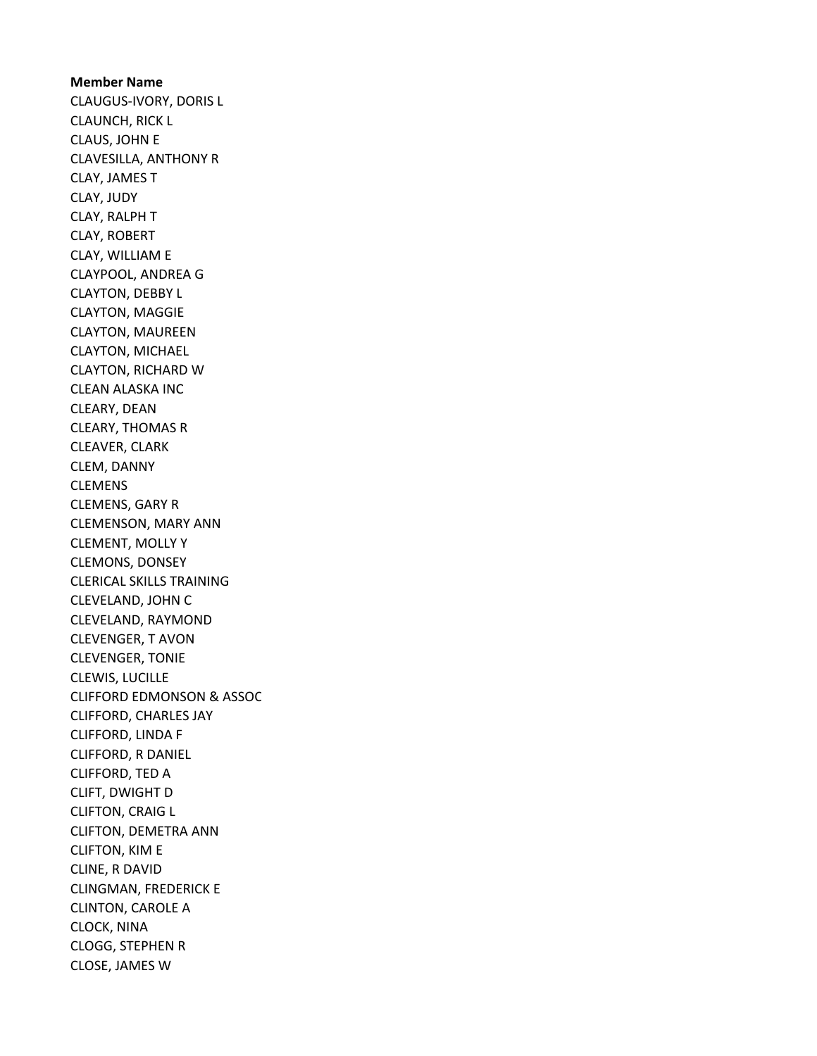Member Name CLAUGUS-IVORY, DORIS L CLAUNCH, RICK L CLAUS, JOHN E CLAVESILLA, ANTHONY R CLAY, JAMES T CLAY, JUDY CLAY, RALPH T CLAY, ROBERT CLAY, WILLIAM E CLAYPOOL, ANDREA G CLAYTON, DEBBY L CLAYTON, MAGGIE CLAYTON, MAUREEN CLAYTON, MICHAEL CLAYTON, RICHARD W CLEAN ALASKA INC CLEARY, DEAN CLEARY, THOMAS R CLEAVER, CLARK CLEM, DANNY CLEMENS CLEMENS, GARY R CLEMENSON, MARY ANN CLEMENT, MOLLY Y CLEMONS, DONSEY CLERICAL SKILLS TRAINING CLEVELAND, JOHN C CLEVELAND, RAYMOND CLEVENGER, T AVON CLEVENGER, TONIE CLEWIS, LUCILLE CLIFFORD EDMONSON & ASSOC CLIFFORD, CHARLES JAY CLIFFORD, LINDA F CLIFFORD, R DANIEL CLIFFORD, TED A CLIFT, DWIGHT D CLIFTON, CRAIG L CLIFTON, DEMETRA ANN CLIFTON, KIM E CLINE, R DAVID CLINGMAN, FREDERICK E CLINTON, CAROLE A CLOCK, NINA CLOGG, STEPHEN R CLOSE, JAMES W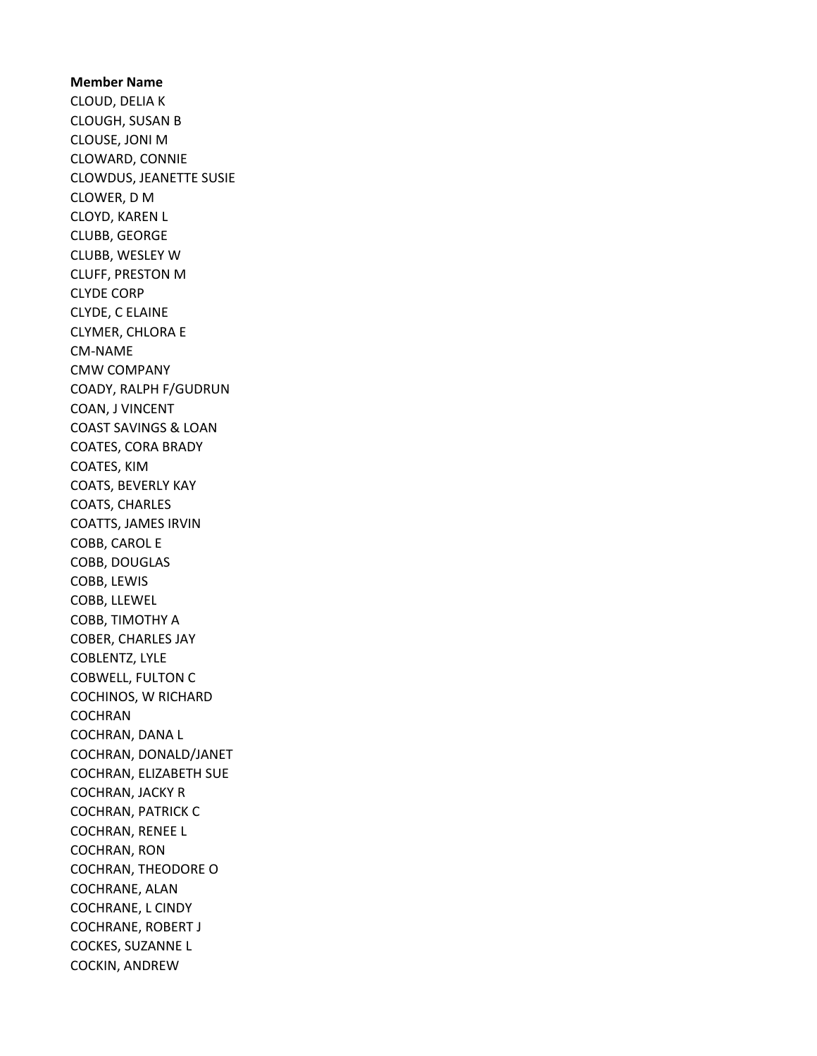## Member Name CLOUD, DELIA K CLOUGH, SUSAN B CLOUSE, JONI M CLOWARD, CONNIE CLOWDUS, JEANETTE SUSIE CLOWER, D M CLOYD, KAREN L CLUBB, GEORGE CLUBB, WESLEY W CLUFF, PRESTON M CLYDE CORP CLYDE, C ELAINE CLYMER, CHLORA E CM-NAME CMW COMPANY COADY, RALPH F/GUDRUN COAN, J VINCENT COAST SAVINGS & LOAN COATES, CORA BRADY COATES, KIM COATS, BEVERLY KAY COATS, CHARLES COATTS, JAMES IRVIN COBB, CAROL E COBB, DOUGLAS COBB, LEWIS COBB, LLEWEL COBB, TIMOTHY A COBER, CHARLES JAY COBLENTZ, LYLE COBWELL, FULTON C COCHINOS, W RICHARD **COCHRAN** COCHRAN, DANA L COCHRAN, DONALD/JANET COCHRAN, ELIZABETH SUE COCHRAN, JACKY R COCHRAN, PATRICK C COCHRAN, RENEE L COCHRAN, RON COCHRAN, THEODORE O COCHRANE, ALAN COCHRANE, L CINDY COCHRANE, ROBERT J COCKES, SUZANNE L COCKIN, ANDREW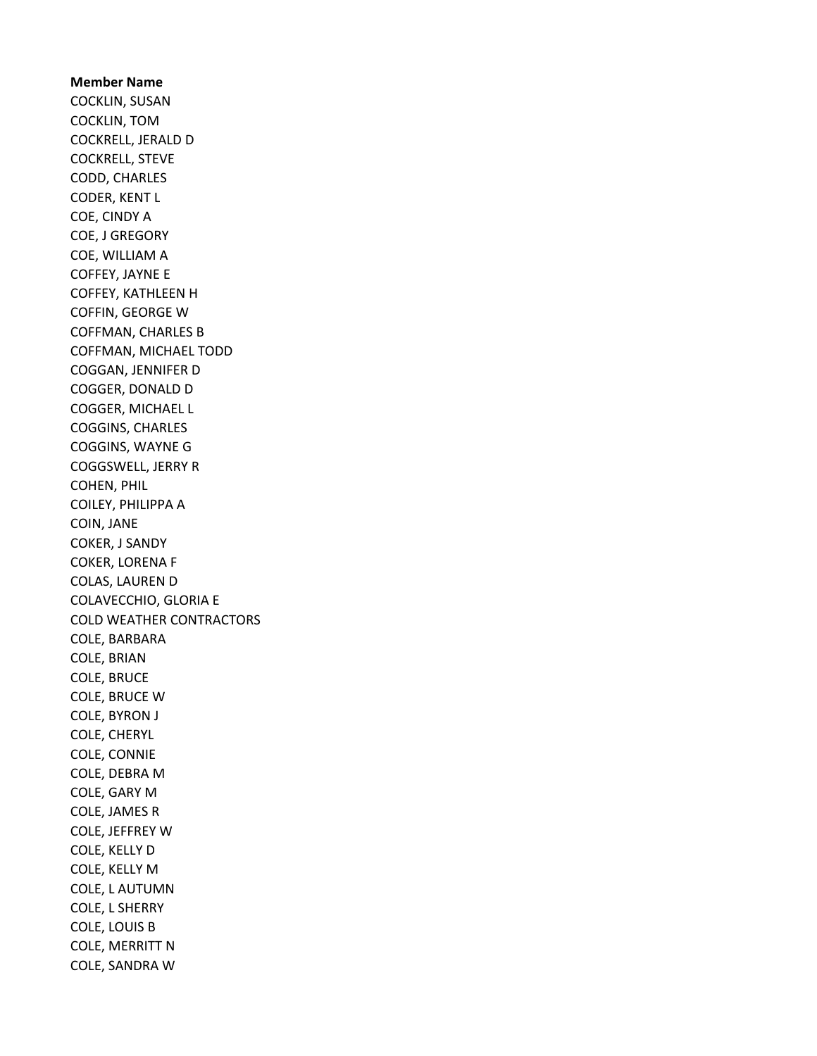Member Name COCKLIN, SUSAN COCKLIN, TOM COCKRELL, JERALD D COCKRELL, STEVE CODD, CHARLES CODER, KENT L COE, CINDY A COE, J GREGORY COE, WILLIAM A COFFEY, JAYNE E COFFEY, KATHLEEN H COFFIN, GEORGE W COFFMAN, CHARLES B COFFMAN, MICHAEL TODD COGGAN, JENNIFER D COGGER, DONALD D COGGER, MICHAEL L COGGINS, CHARLES COGGINS, WAYNE G COGGSWELL, JERRY R COHEN, PHIL COILEY, PHILIPPA A COIN, JANE COKER, J SANDY COKER, LORENA F COLAS, LAUREN D COLAVECCHIO, GLORIA E COLD WEATHER CONTRACTORS COLE, BARBARA COLE, BRIAN COLE, BRUCE COLE, BRUCE W COLE, BYRON J COLE, CHERYL COLE, CONNIE COLE, DEBRA M COLE, GARY M COLE, JAMES R COLE, JEFFREY W COLE, KELLY D COLE, KELLY M COLE, L AUTUMN COLE, L SHERRY COLE, LOUIS B COLE, MERRITT N COLE, SANDRA W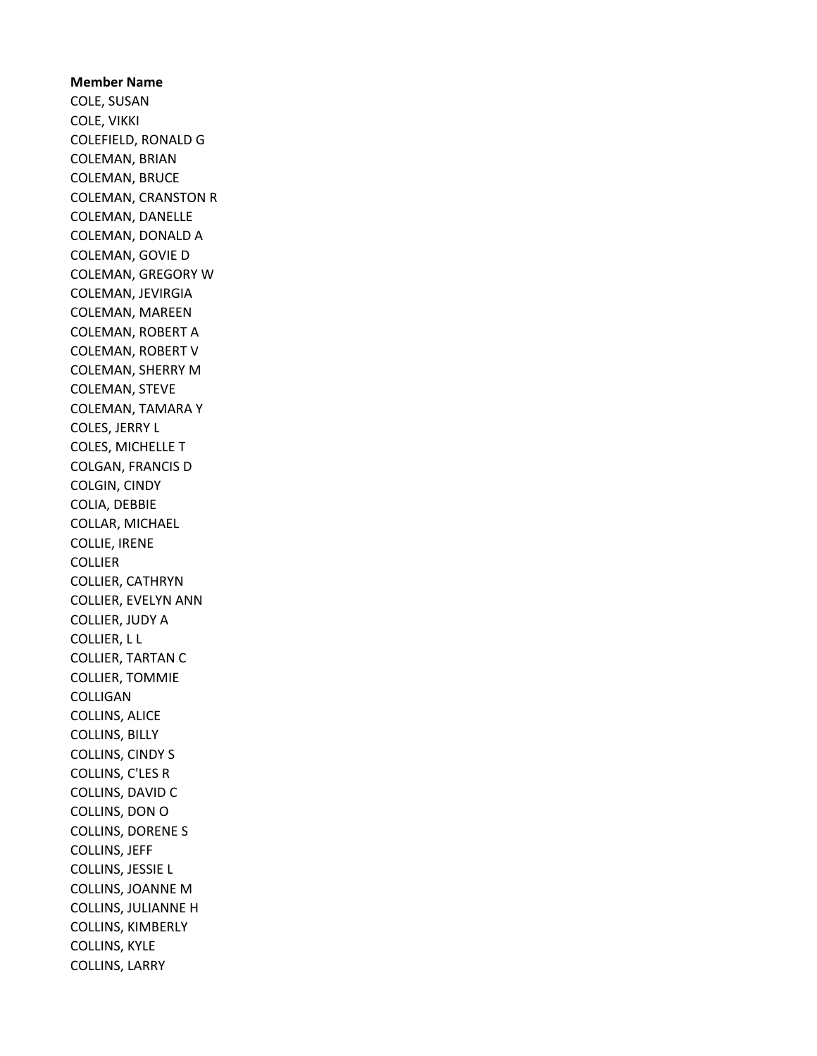Member Name COLE, SUSAN COLE, VIKKI COLEFIELD, RONALD G COLEMAN, BRIAN COLEMAN, BRUCE COLEMAN, CRANSTON R COLEMAN, DANELLE COLEMAN, DONALD A COLEMAN, GOVIE D COLEMAN, GREGORY W COLEMAN, JEVIRGIA COLEMAN, MAREEN COLEMAN, ROBERT A COLEMAN, ROBERT V COLEMAN, SHERRY M COLEMAN, STEVE COLEMAN, TAMARA Y COLES, JERRY L COLES, MICHELLE T COLGAN, FRANCIS D COLGIN, CINDY COLIA, DEBBIE COLLAR, MICHAEL COLLIE, IRENE COLLIER COLLIER, CATHRYN COLLIER, EVELYN ANN COLLIER, JUDY A COLLIER, L L COLLIER, TARTAN C COLLIER, TOMMIE COLLIGAN COLLINS, ALICE COLLINS, BILLY COLLINS, CINDY S COLLINS, C'LES R COLLINS, DAVID C COLLINS, DON O COLLINS, DORENE S COLLINS, JEFF COLLINS, JESSIE L COLLINS, JOANNE M COLLINS, JULIANNE H COLLINS, KIMBERLY COLLINS, KYLE COLLINS, LARRY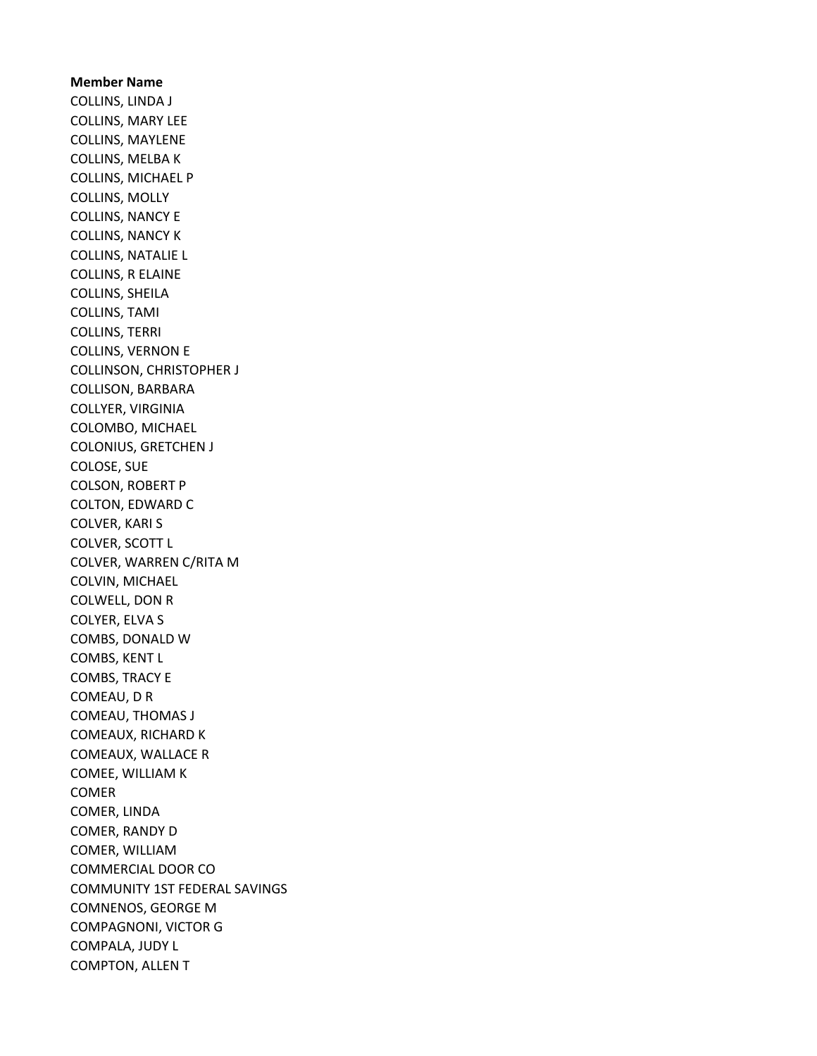Member Name COLLINS, LINDA J COLLINS, MARY LEE COLLINS, MAYLENE COLLINS, MELBA K COLLINS, MICHAEL P COLLINS, MOLLY COLLINS, NANCY E COLLINS, NANCY K COLLINS, NATALIE L COLLINS, R ELAINE COLLINS, SHEILA COLLINS, TAMI COLLINS, TERRI COLLINS, VERNON E COLLINSON, CHRISTOPHER J COLLISON, BARBARA COLLYER, VIRGINIA COLOMBO, MICHAEL COLONIUS, GRETCHEN J COLOSE, SUE COLSON, ROBERT P COLTON, EDWARD C COLVER, KARI S COLVER, SCOTT L COLVER, WARREN C/RITA M COLVIN, MICHAEL COLWELL, DON R COLYER, ELVA S COMBS, DONALD W COMBS, KENT L COMBS, TRACY E COMEAU, D R COMEAU, THOMAS J COMEAUX, RICHARD K COMEAUX, WALLACE R COMEE, WILLIAM K **COMER** COMER, LINDA COMER, RANDY D COMER, WILLIAM COMMERCIAL DOOR CO COMMUNITY 1ST FEDERAL SAVINGS COMNENOS, GEORGE M COMPAGNONI, VICTOR G COMPALA, JUDY L COMPTON, ALLEN T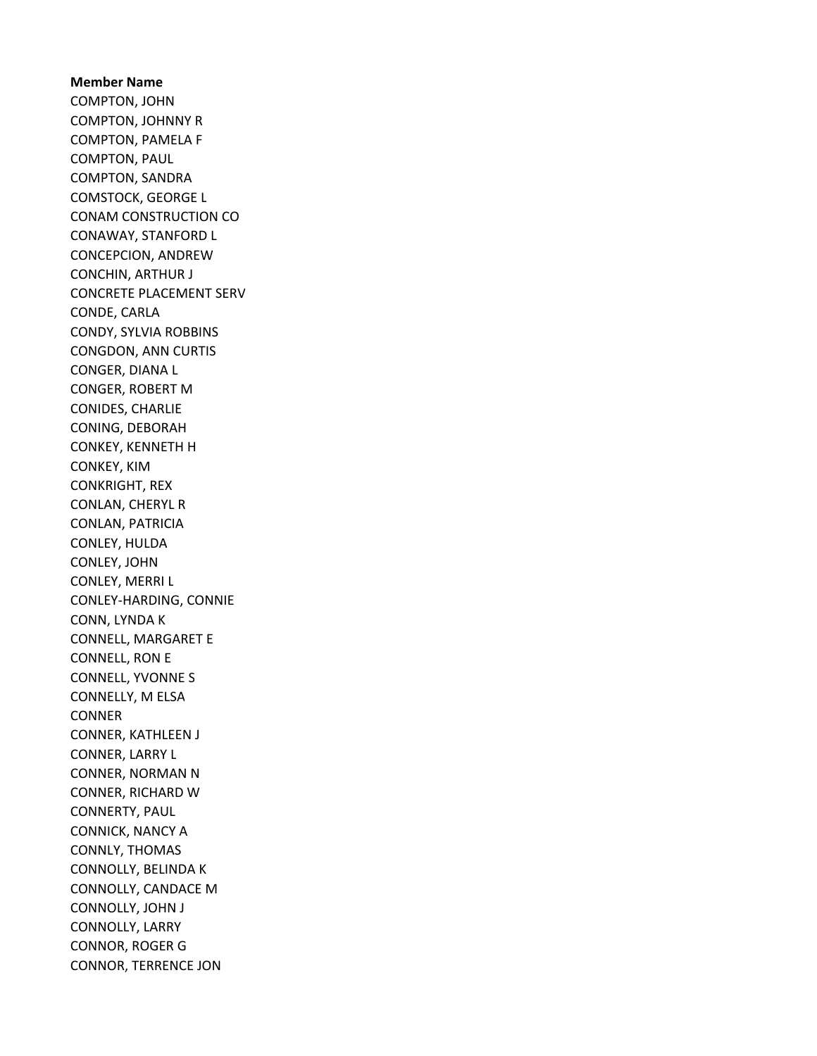Member Name COMPTON, JOHN COMPTON, JOHNNY R COMPTON, PAMELA F COMPTON, PAUL COMPTON, SANDRA COMSTOCK, GEORGE L CONAM CONSTRUCTION CO CONAWAY, STANFORD L CONCEPCION, ANDREW CONCHIN, ARTHUR J CONCRETE PLACEMENT SERV CONDE, CARLA CONDY, SYLVIA ROBBINS CONGDON, ANN CURTIS CONGER, DIANA L CONGER, ROBERT M CONIDES, CHARLIE CONING, DEBORAH CONKEY, KENNETH H CONKEY, KIM CONKRIGHT, REX CONLAN, CHERYL R CONLAN, PATRICIA CONLEY, HULDA CONLEY, JOHN CONLEY, MERRI L CONLEY-HARDING, CONNIE CONN, LYNDA K CONNELL, MARGARET E CONNELL, RON E CONNELL, YVONNE S CONNELLY, M ELSA **CONNER** CONNER, KATHLEEN J CONNER, LARRY L CONNER, NORMAN N CONNER, RICHARD W CONNERTY, PAUL CONNICK, NANCY A CONNLY, THOMAS CONNOLLY, BELINDA K CONNOLLY, CANDACE M CONNOLLY, JOHN J CONNOLLY, LARRY CONNOR, ROGER G CONNOR, TERRENCE JON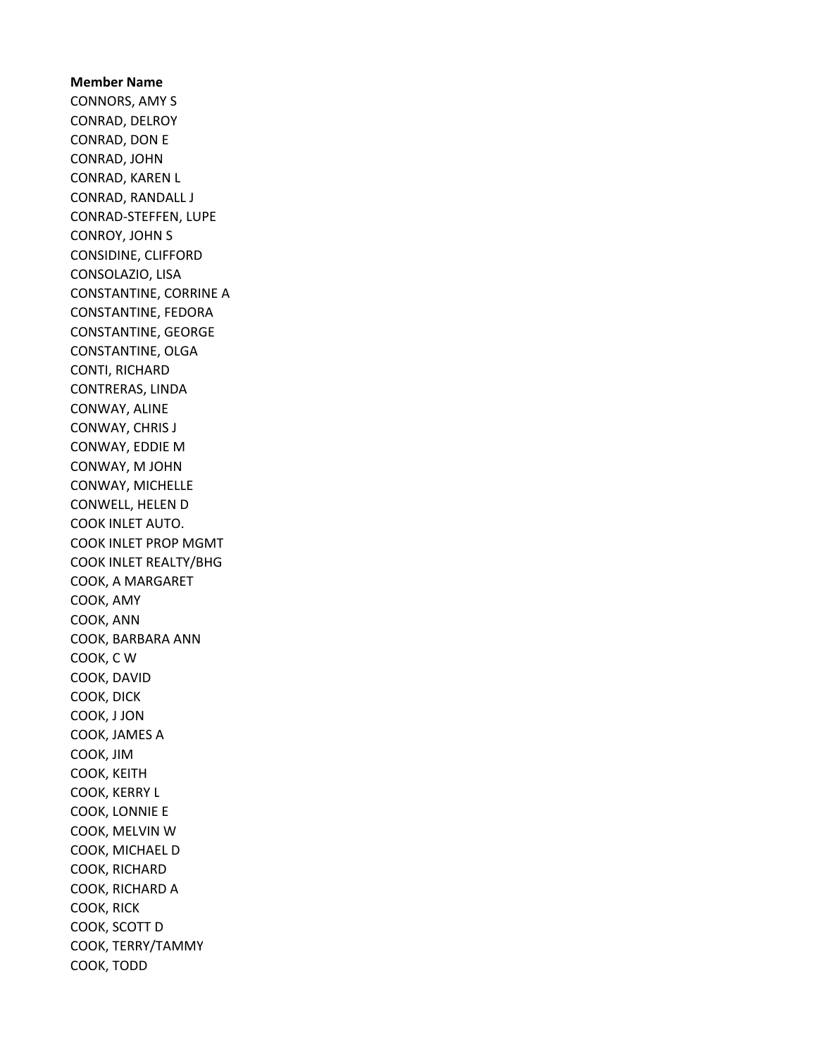Member Name CONNORS, AMY S CONRAD, DELROY CONRAD, DON E CONRAD, JOHN CONRAD, KAREN L CONRAD, RANDALL J CONRAD-STEFFEN, LUPE CONROY, JOHN S CONSIDINE, CLIFFORD CONSOLAZIO, LISA CONSTANTINE, CORRINE A CONSTANTINE, FEDORA CONSTANTINE, GEORGE CONSTANTINE, OLGA CONTI, RICHARD CONTRERAS, LINDA CONWAY, ALINE CONWAY, CHRIS J CONWAY, EDDIE M CONWAY, M JOHN CONWAY, MICHELLE CONWELL, HELEN D COOK INLET AUTO. COOK INLET PROP MGMT COOK INLET REALTY/BHG COOK, A MARGARET COOK, AMY COOK, ANN COOK, BARBARA ANN COOK, C W COOK, DAVID COOK, DICK COOK, J JON COOK, JAMES A COOK, JIM COOK, KEITH COOK, KERRY L COOK, LONNIE E COOK, MELVIN W COOK, MICHAEL D COOK, RICHARD COOK, RICHARD A COOK, RICK COOK, SCOTT D COOK, TERRY/TAMMY COOK, TODD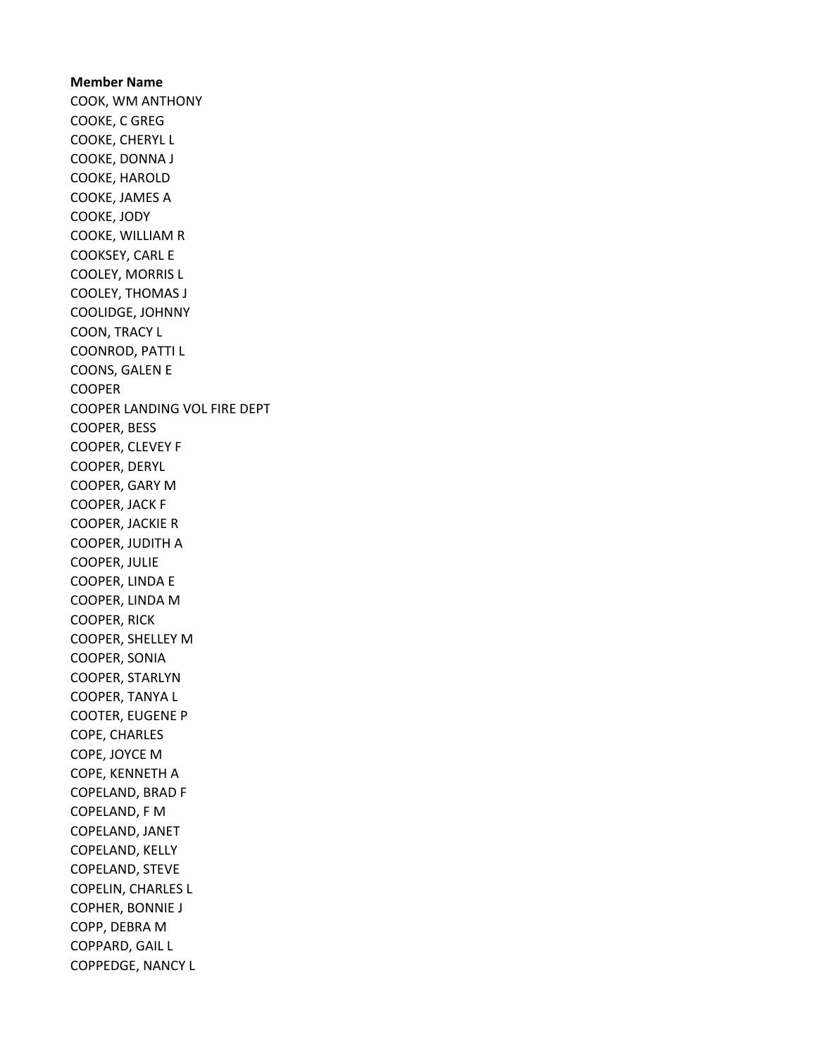Member Name COOK, WM ANTHONY COOKE, C GREG COOKE, CHERYL L COOKE, DONNA J COOKE, HAROLD COOKE, JAMES A COOKE, JODY COOKE, WILLIAM R COOKSEY, CARL E COOLEY, MORRIS L COOLEY, THOMAS J COOLIDGE, JOHNNY COON, TRACY L COONROD, PATTI L COONS, GALEN E COOPER COOPER LANDING VOL FIRE DEPT COOPER, BESS COOPER, CLEVEY F COOPER, DERYL COOPER, GARY M COOPER, JACK F COOPER, JACKIE R COOPER, JUDITH A COOPER, JULIE COOPER, LINDA E COOPER, LINDA M COOPER, RICK COOPER, SHELLEY M COOPER, SONIA COOPER, STARLYN COOPER, TANYA L COOTER, EUGENE P COPE, CHARLES COPE, JOYCE M COPE, KENNETH A COPELAND, BRAD F COPELAND, F M COPELAND, JANET COPELAND, KELLY COPELAND, STEVE COPELIN, CHARLES L COPHER, BONNIE J COPP, DEBRA M COPPARD, GAIL L COPPEDGE, NANCY L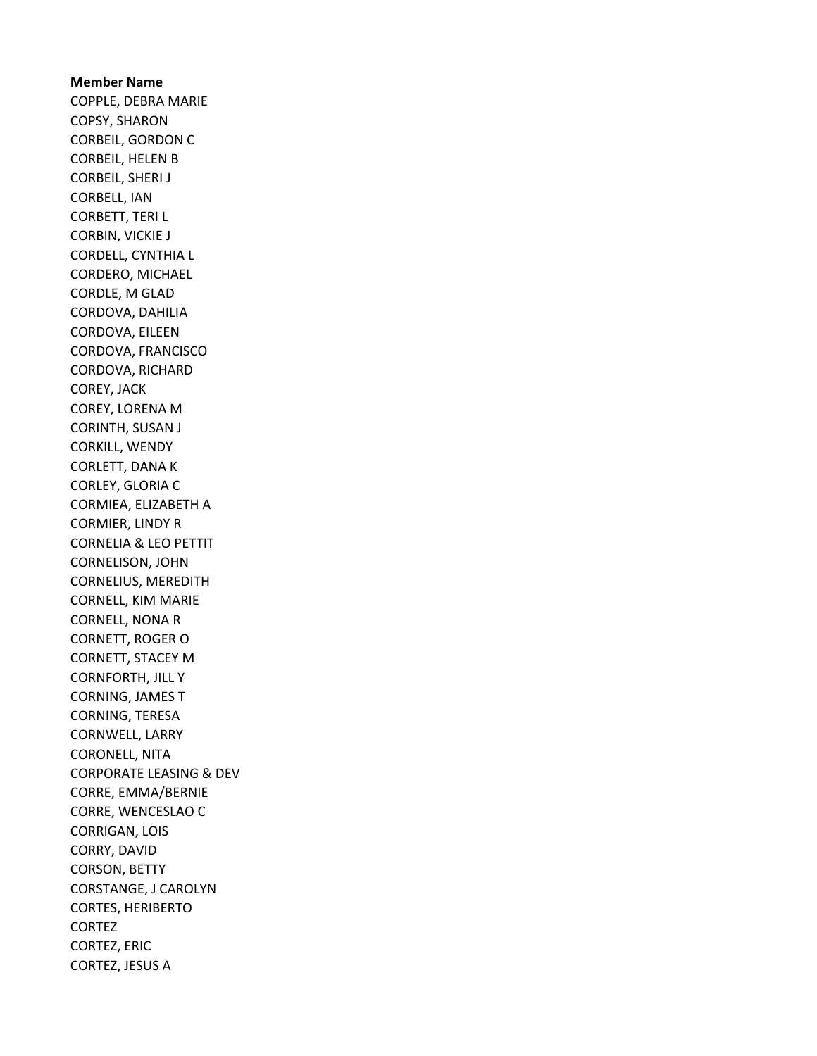Member Name COPPLE, DEBRA MARIE COPSY, SHARON CORBEIL, GORDON C CORBEIL, HELEN B CORBEIL, SHERI J CORBELL, IAN CORBETT, TERI L CORBIN, VICKIE J CORDELL, CYNTHIA L CORDERO, MICHAEL CORDLE, M GLAD CORDOVA, DAHILIA CORDOVA, EILEEN CORDOVA, FRANCISCO CORDOVA, RICHARD COREY, JACK COREY, LORENA M CORINTH, SUSAN J CORKILL, WENDY CORLETT, DANA K CORLEY, GLORIA C CORMIEA, ELIZABETH A CORMIER, LINDY R CORNELIA & LEO PETTIT CORNELISON, JOHN CORNELIUS, MEREDITH CORNELL, KIM MARIE CORNELL, NONA R CORNETT, ROGER O CORNETT, STACEY M CORNFORTH, JILL Y CORNING, JAMES T CORNING, TERESA CORNWELL, LARRY CORONELL, NITA CORPORATE LEASING & DEV CORRE, EMMA/BERNIE CORRE, WENCESLAO C CORRIGAN, LOIS CORRY, DAVID CORSON, BETTY CORSTANGE, J CAROLYN CORTES, HERIBERTO CORTEZ CORTEZ, ERIC CORTEZ, JESUS A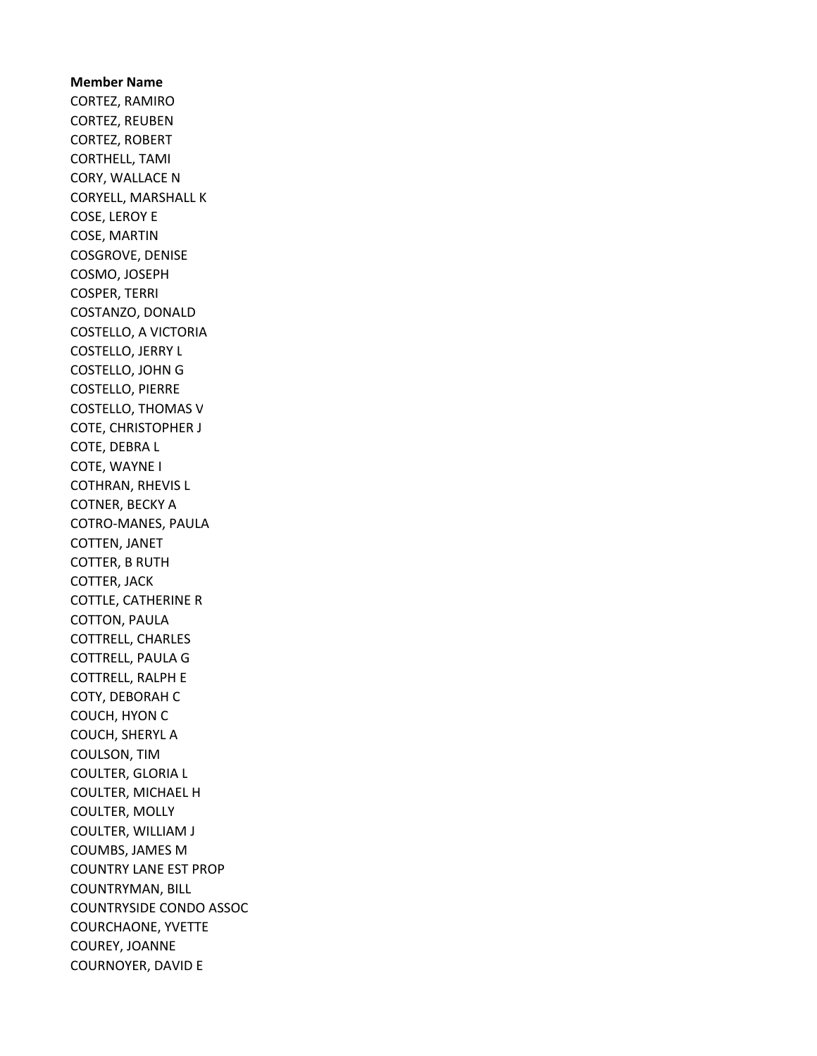Member Name CORTEZ, RAMIRO CORTEZ, REUBEN CORTEZ, ROBERT CORTHELL, TAMI CORY, WALLACE N CORYELL, MARSHALL K COSE, LEROY E COSE, MARTIN COSGROVE, DENISE COSMO, JOSEPH COSPER, TERRI COSTANZO, DONALD COSTELLO, A VICTORIA COSTELLO, JERRY L COSTELLO, JOHN G COSTELLO, PIERRE COSTELLO, THOMAS V COTE, CHRISTOPHER J COTE, DEBRA L COTE, WAYNE I COTHRAN, RHEVIS L COTNER, BECKY A COTRO-MANES, PAULA COTTEN, JANET COTTER, B RUTH COTTER, JACK COTTLE, CATHERINE R COTTON, PAULA COTTRELL, CHARLES COTTRELL, PAULA G COTTRELL, RALPH E COTY, DEBORAH C COUCH, HYON C COUCH, SHERYL A COULSON, TIM COULTER, GLORIA L COULTER, MICHAEL H COULTER, MOLLY COULTER, WILLIAM J COUMBS, JAMES M COUNTRY LANE EST PROP COUNTRYMAN, BILL COUNTRYSIDE CONDO ASSOC COURCHAONE, YVETTE COUREY, JOANNE COURNOYER, DAVID E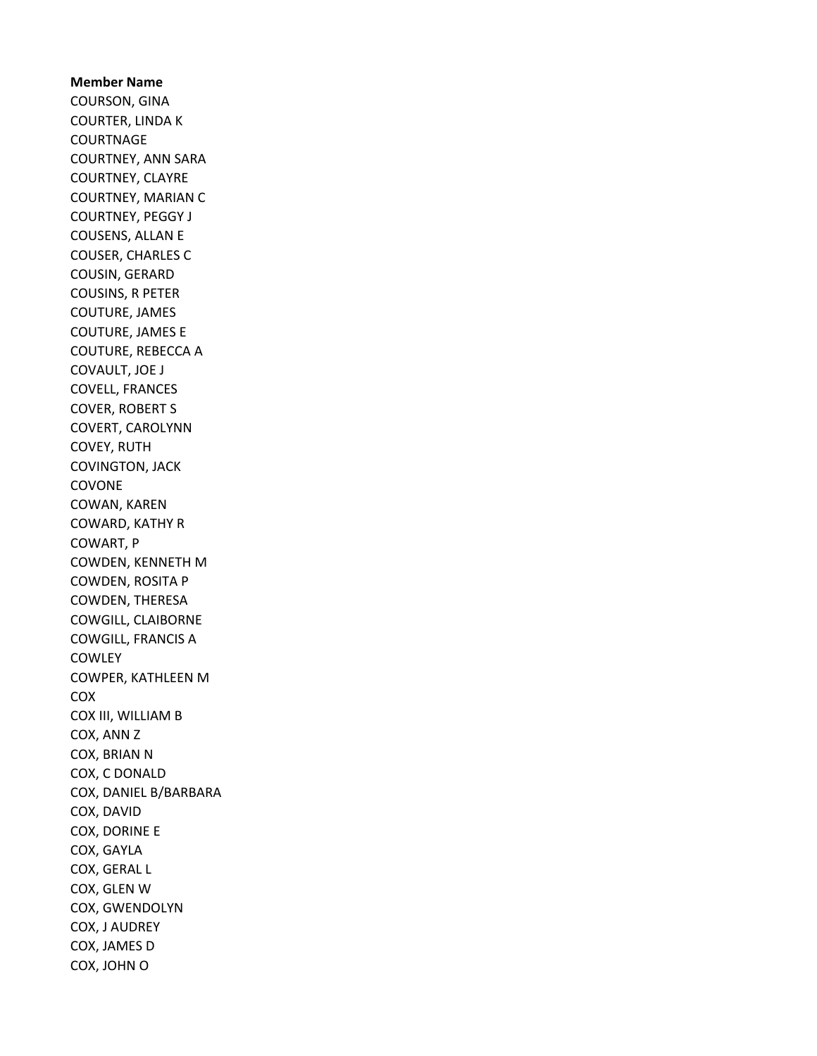Member Name COURSON, GINA COURTER, LINDA K **COURTNAGE** COURTNEY, ANN SARA COURTNEY, CLAYRE COURTNEY, MARIAN C COURTNEY, PEGGY J COUSENS, ALLAN E COUSER, CHARLES C COUSIN, GERARD COUSINS, R PETER COUTURE, JAMES COUTURE, JAMES E COUTURE, REBECCA A COVAULT, JOE J COVELL, FRANCES COVER, ROBERT S COVERT, CAROLYNN COVEY, RUTH COVINGTON, JACK COVONE COWAN, KAREN COWARD, KATHY R COWART, P COWDEN, KENNETH M COWDEN, ROSITA P COWDEN, THERESA COWGILL, CLAIBORNE COWGILL, FRANCIS A **COWLEY** COWPER, KATHLEEN M COX COX III, WILLIAM B COX, ANN Z COX, BRIAN N COX, C DONALD COX, DANIEL B/BARBARA COX, DAVID COX, DORINE E COX, GAYLA COX, GERAL L COX, GLEN W COX, GWENDOLYN COX, J AUDREY COX, JAMES D COX, JOHN O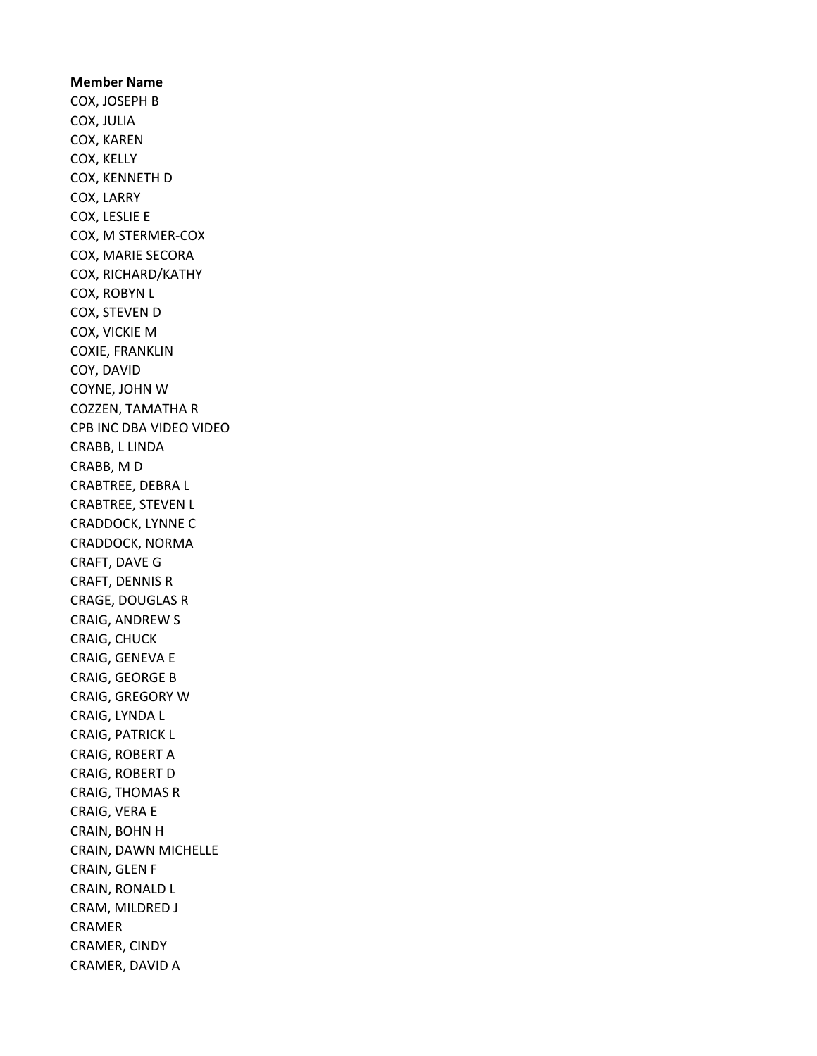Member Name COX, JOSEPH B COX, JULIA COX, KAREN COX, KELLY COX, KENNETH D COX, LARRY COX, LESLIE E COX, M STERMER-COX COX, MARIE SECORA COX, RICHARD/KATHY COX, ROBYN L COX, STEVEN D COX, VICKIE M COXIE, FRANKLIN COY, DAVID COYNE, JOHN W COZZEN, TAMATHA R CPB INC DBA VIDEO VIDEO CRABB, L LINDA CRABB, M D CRABTREE, DEBRA L CRABTREE, STEVEN L CRADDOCK, LYNNE C CRADDOCK, NORMA CRAFT, DAVE G CRAFT, DENNIS R CRAGE, DOUGLAS R CRAIG, ANDREW S CRAIG, CHUCK CRAIG, GENEVA E CRAIG, GEORGE B CRAIG, GREGORY W CRAIG, LYNDA L CRAIG, PATRICK L CRAIG, ROBERT A CRAIG, ROBERT D CRAIG, THOMAS R CRAIG, VERA E CRAIN, BOHN H CRAIN, DAWN MICHELLE CRAIN, GLEN F CRAIN, RONALD L CRAM, MILDRED J CRAMER CRAMER, CINDY CRAMER, DAVID A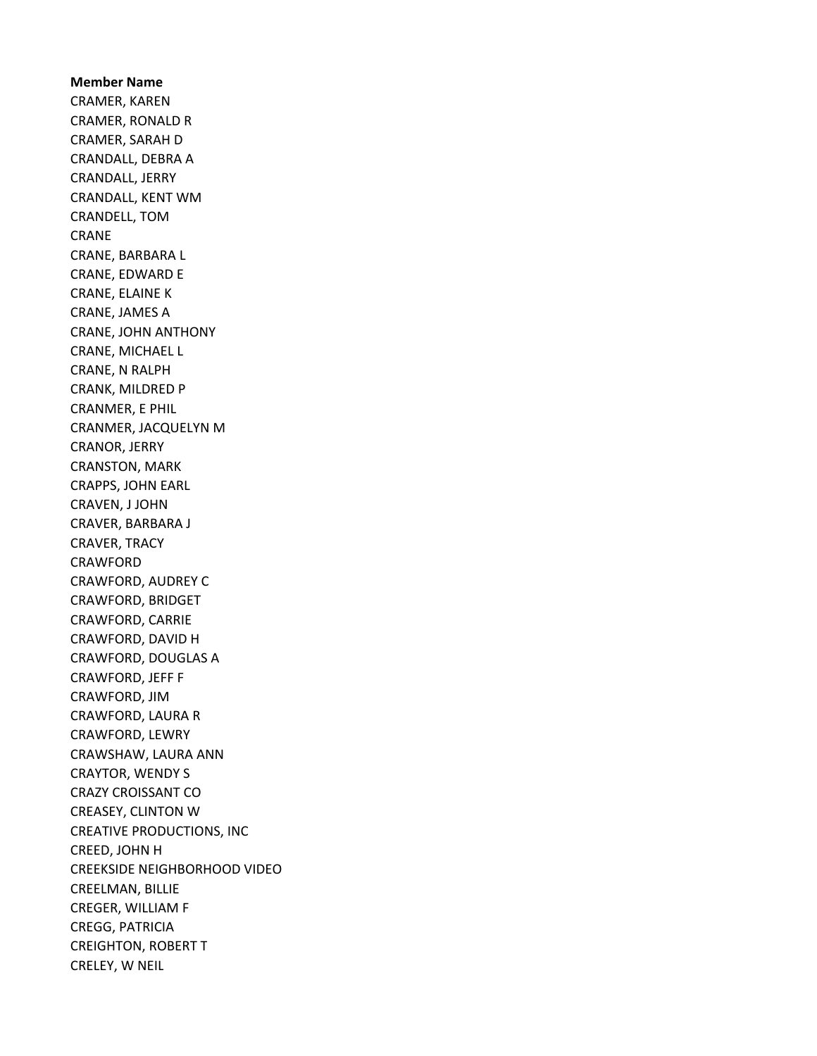Member Name CRAMER, KAREN CRAMER, RONALD R CRAMER, SARAH D CRANDALL, DEBRA A CRANDALL, JERRY CRANDALL, KENT WM CRANDELL, TOM CRANE CRANE, BARBARA L CRANE, EDWARD E CRANE, ELAINE K CRANE, JAMES A CRANE, JOHN ANTHONY CRANE, MICHAEL L CRANE, N RALPH CRANK, MILDRED P CRANMER, E PHIL CRANMER, JACQUELYN M CRANOR, JERRY CRANSTON, MARK CRAPPS, JOHN EARL CRAVEN, J JOHN CRAVER, BARBARA J CRAVER, TRACY CRAWFORD CRAWFORD, AUDREY C CRAWFORD, BRIDGET CRAWFORD, CARRIE CRAWFORD, DAVID H CRAWFORD, DOUGLAS A CRAWFORD, JEFF F CRAWFORD, JIM CRAWFORD, LAURA R CRAWFORD, LEWRY CRAWSHAW, LAURA ANN CRAYTOR, WENDY S CRAZY CROISSANT CO CREASEY, CLINTON W CREATIVE PRODUCTIONS, INC CREED, JOHN H CREEKSIDE NEIGHBORHOOD VIDEO CREELMAN, BILLIE CREGER, WILLIAM F CREGG, PATRICIA CREIGHTON, ROBERT T CRELEY, W NEIL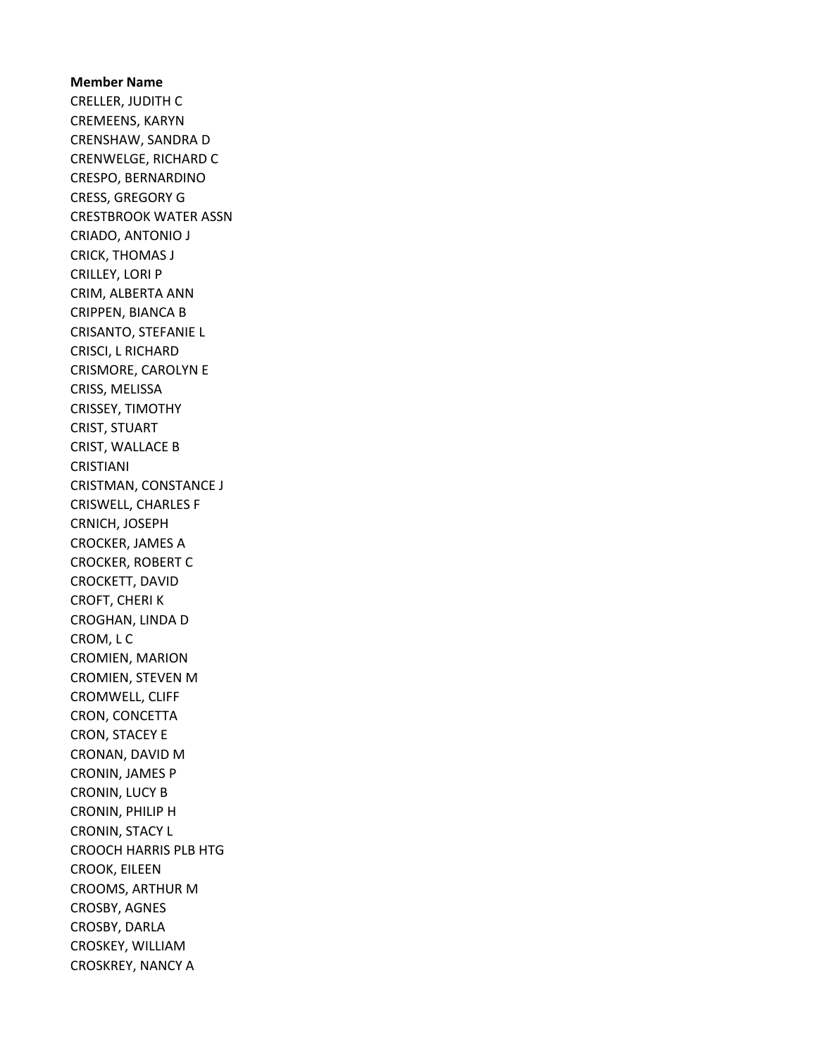Member Name CRELLER, JUDITH C CREMEENS, KARYN CRENSHAW, SANDRA D CRENWELGE, RICHARD C CRESPO, BERNARDINO CRESS, GREGORY G CRESTBROOK WATER ASSN CRIADO, ANTONIO J CRICK, THOMAS J CRILLEY, LORI P CRIM, ALBERTA ANN CRIPPEN, BIANCA B CRISANTO, STEFANIE L CRISCI, L RICHARD CRISMORE, CAROLYN E CRISS, MELISSA CRISSEY, TIMOTHY CRIST, STUART CRIST, WALLACE B CRISTIANI CRISTMAN, CONSTANCE J CRISWELL, CHARLES F CRNICH, JOSEPH CROCKER, JAMES A CROCKER, ROBERT C CROCKETT, DAVID CROFT, CHERI K CROGHAN, LINDA D CROM, L C CROMIEN, MARION CROMIEN, STEVEN M CROMWELL, CLIFF CRON, CONCETTA CRON, STACEY E CRONAN, DAVID M CRONIN, JAMES P CRONIN, LUCY B CRONIN, PHILIP H CRONIN, STACY L CROOCH HARRIS PLB HTG CROOK, EILEEN CROOMS, ARTHUR M CROSBY, AGNES CROSBY, DARLA CROSKEY, WILLIAM CROSKREY, NANCY A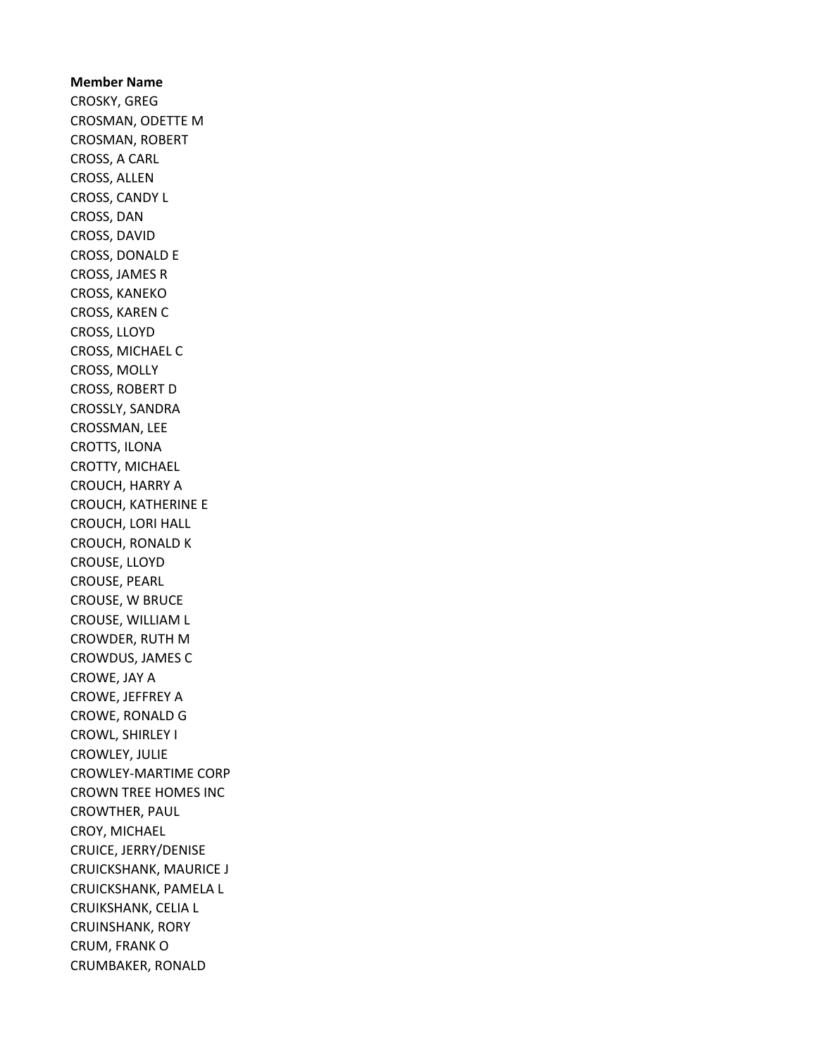Member Name CROSKY, GREG CROSMAN, ODETTE M CROSMAN, ROBERT CROSS, A CARL CROSS, ALLEN CROSS, CANDY L CROSS, DAN CROSS, DAVID CROSS, DONALD E CROSS, JAMES R CROSS, KANEKO CROSS, KAREN C CROSS, LLOYD CROSS, MICHAEL C CROSS, MOLLY CROSS, ROBERT D CROSSLY, SANDRA CROSSMAN, LEE CROTTS, ILONA CROTTY, MICHAEL CROUCH, HARRY A CROUCH, KATHERINE E CROUCH, LORI HALL CROUCH, RONALD K CROUSE, LLOYD CROUSE, PEARL CROUSE, W BRUCE CROUSE, WILLIAM L CROWDER, RUTH M CROWDUS, JAMES C CROWE, JAY A CROWE, JEFFREY A CROWE, RONALD G CROWL, SHIRLEY I CROWLEY, JULIE CROWLEY-MARTIME CORP CROWN TREE HOMES INC CROWTHER, PAUL CROY, MICHAEL CRUICE, JERRY/DENISE CRUICKSHANK, MAURICE J CRUICKSHANK, PAMELA L CRUIKSHANK, CELIA L CRUINSHANK, RORY CRUM, FRANK O CRUMBAKER, RONALD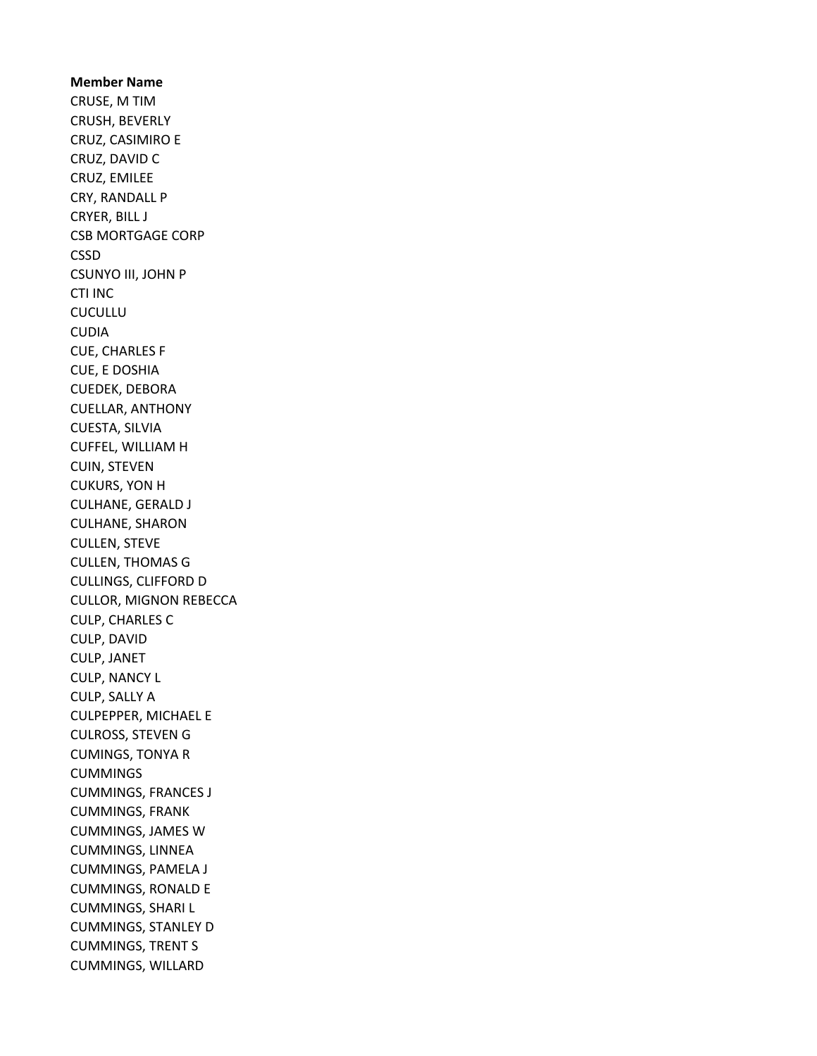Member Name CRUSE, M TIM CRUSH, BEVERLY CRUZ, CASIMIRO E CRUZ, DAVID C CRUZ, EMILEE CRY, RANDALL P CRYER, BILL J CSB MORTGAGE CORP CSSD CSUNYO III, JOHN P CTI INC CUCULLU CUDIA CUE, CHARLES F CUE, E DOSHIA CUEDEK, DEBORA CUELLAR, ANTHONY CUESTA, SILVIA CUFFEL, WILLIAM H CUIN, STEVEN CUKURS, YON H CULHANE, GERALD J CULHANE, SHARON CULLEN, STEVE CULLEN, THOMAS G CULLINGS, CLIFFORD D CULLOR, MIGNON REBECCA CULP, CHARLES C CULP, DAVID CULP, JANET CULP, NANCY L CULP, SALLY A CULPEPPER, MICHAEL E CULROSS, STEVEN G CUMINGS, TONYA R CUMMINGS CUMMINGS, FRANCES J CUMMINGS, FRANK CUMMINGS, JAMES W CUMMINGS, LINNEA CUMMINGS, PAMELA J CUMMINGS, RONALD E CUMMINGS, SHARI L CUMMINGS, STANLEY D CUMMINGS, TRENT S CUMMINGS, WILLARD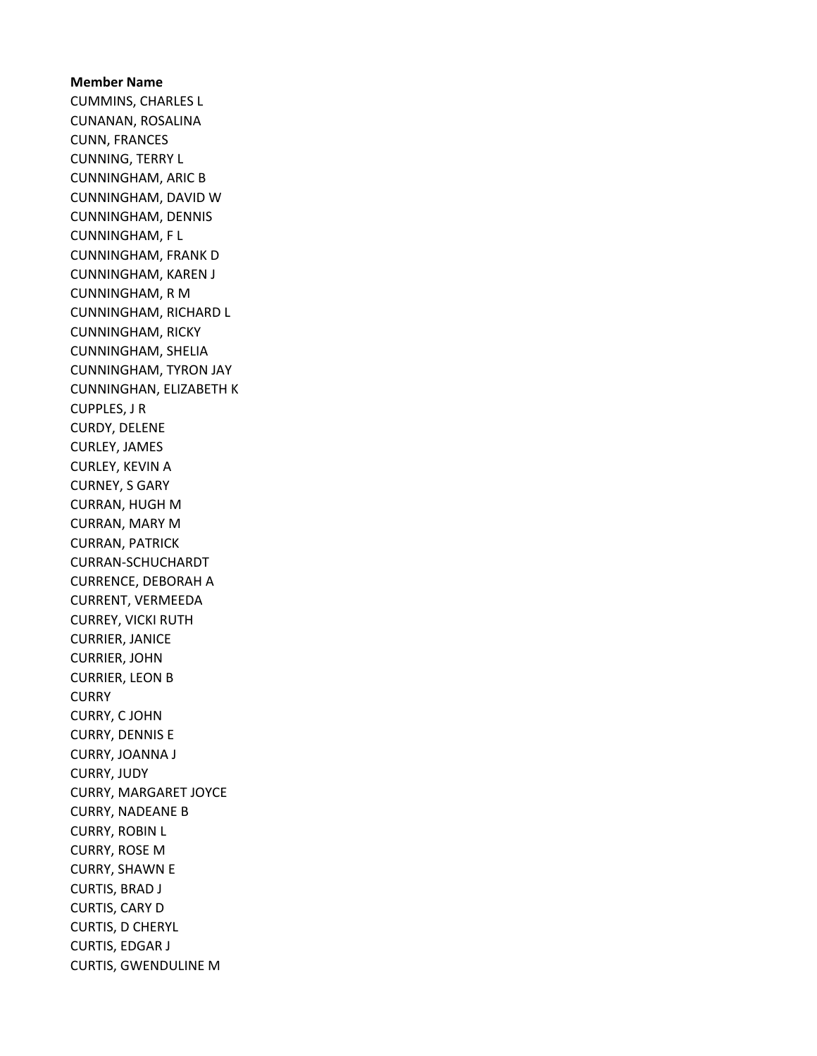Member Name CUMMINS, CHARLES L CUNANAN, ROSALINA CUNN, FRANCES CUNNING, TERRY L CUNNINGHAM, ARIC B CUNNINGHAM, DAVID W CUNNINGHAM, DENNIS CUNNINGHAM, F L CUNNINGHAM, FRANK D CUNNINGHAM, KAREN J CUNNINGHAM, R M CUNNINGHAM, RICHARD L CUNNINGHAM, RICKY CUNNINGHAM, SHELIA CUNNINGHAM, TYRON JAY CUNNINGHAN, ELIZABETH K CUPPLES, J R CURDY, DELENE CURLEY, JAMES CURLEY, KEVIN A CURNEY, S GARY CURRAN, HUGH M CURRAN, MARY M CURRAN, PATRICK CURRAN-SCHUCHARDT CURRENCE, DEBORAH A CURRENT, VERMEEDA CURREY, VICKI RUTH CURRIER, JANICE CURRIER, JOHN CURRIER, LEON B **CURRY** CURRY, C JOHN CURRY, DENNIS E CURRY, JOANNA J CURRY, JUDY CURRY, MARGARET JOYCE CURRY, NADEANE B CURRY, ROBIN L CURRY, ROSE M CURRY, SHAWN E CURTIS, BRAD J CURTIS, CARY D CURTIS, D CHERYL CURTIS, EDGAR J CURTIS, GWENDULINE M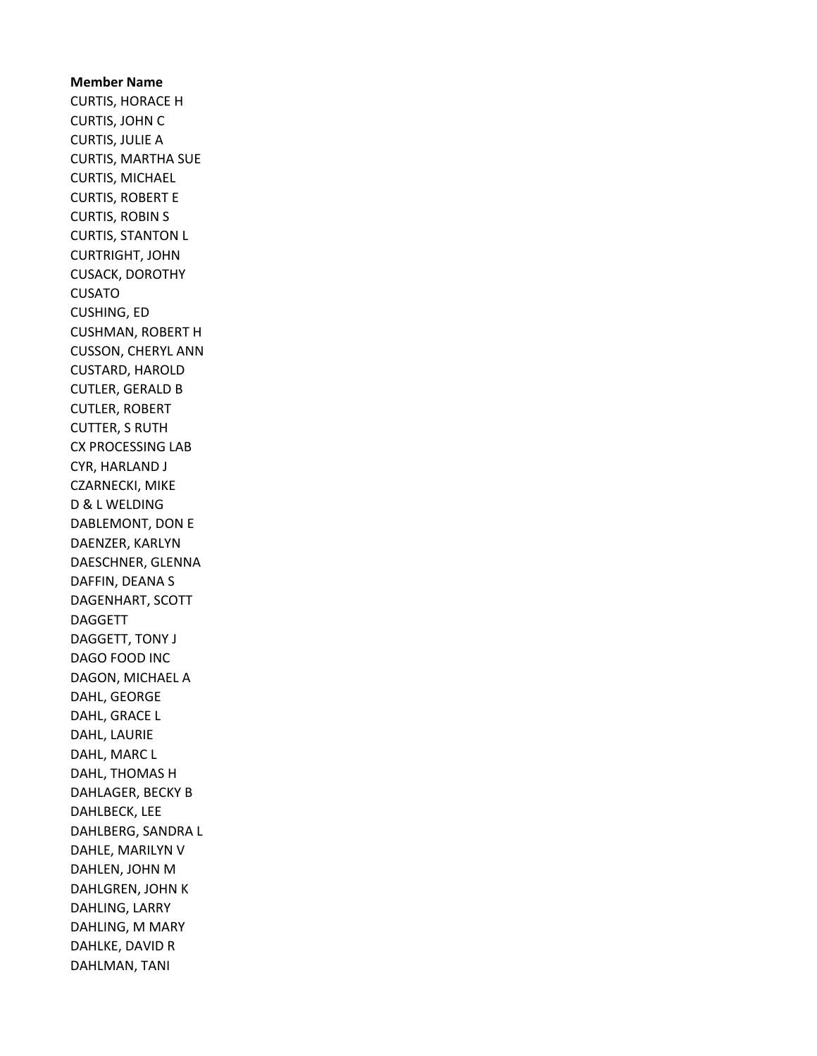Member Name CURTIS, HORACE H CURTIS, JOHN C CURTIS, JULIE A CURTIS, MARTHA SUE CURTIS, MICHAEL CURTIS, ROBERT E CURTIS, ROBIN S CURTIS, STANTON L CURTRIGHT, JOHN CUSACK, DOROTHY CUSATO CUSHING, ED CUSHMAN, ROBERT H CUSSON, CHERYL ANN CUSTARD, HAROLD CUTLER, GERALD B CUTLER, ROBERT CUTTER, S RUTH CX PROCESSING LAB CYR, HARLAND J CZARNECKI, MIKE D & L WELDING DABLEMONT, DON E DAENZER, KARLYN DAESCHNER, GLENNA DAFFIN, DEANA S DAGENHART, SCOTT DAGGETT DAGGETT, TONY J DAGO FOOD INC DAGON, MICHAEL A DAHL, GEORGE DAHL, GRACE L DAHL, LAURIE DAHL, MARC L DAHL, THOMAS H DAHLAGER, BECKY B DAHLBECK, LEE DAHLBERG, SANDRA L DAHLE, MARILYN V DAHLEN, JOHN M DAHLGREN, JOHN K DAHLING, LARRY DAHLING, M MARY DAHLKE, DAVID R DAHLMAN, TANI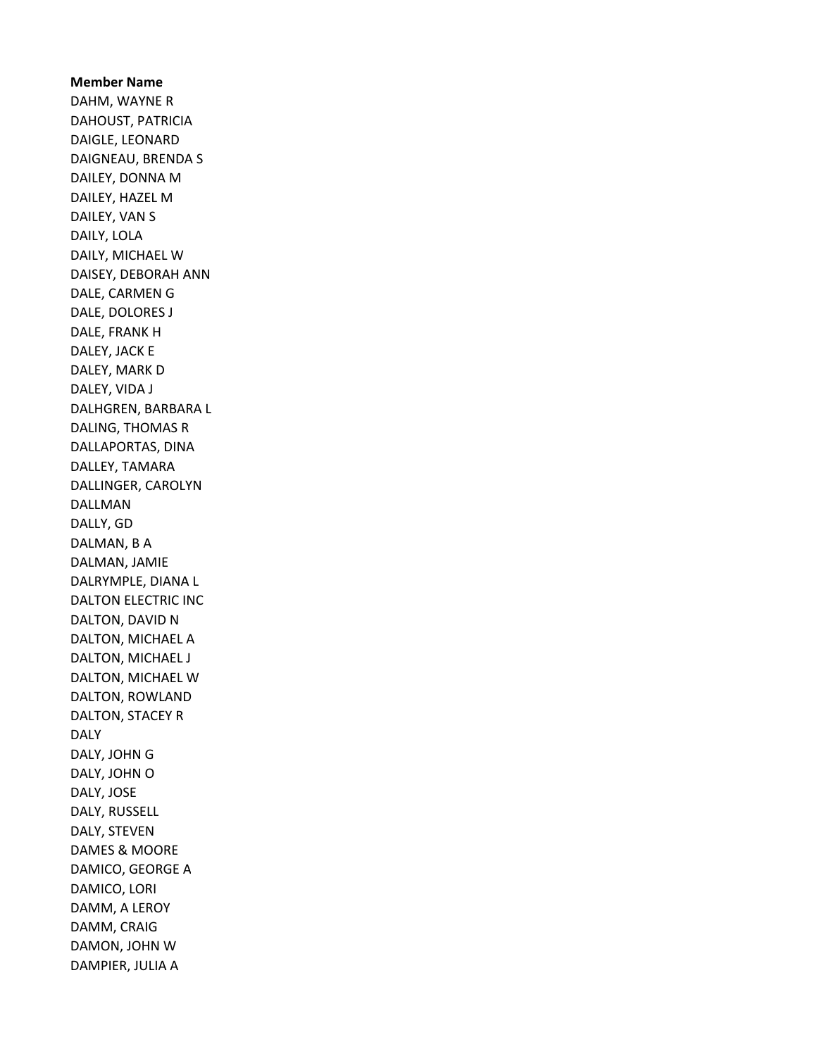Member Name DAHM, WAYNE R DAHOUST, PATRICIA DAIGLE, LEONARD DAIGNEAU, BRENDA S DAILEY, DONNA M DAILEY, HAZEL M DAILEY, VAN S DAILY, LOLA DAILY, MICHAEL W DAISEY, DEBORAH ANN DALE, CARMEN G DALE, DOLORES J DALE, FRANK H DALEY, JACK E DALEY, MARK D DALEY, VIDA J DALHGREN, BARBARA L DALING, THOMAS R DALLAPORTAS, DINA DALLEY, TAMARA DALLINGER, CAROLYN DALLMAN DALLY, GD DALMAN, B A DALMAN, JAMIE DALRYMPLE, DIANA L DALTON ELECTRIC INC DALTON, DAVID N DALTON, MICHAEL A DALTON, MICHAEL J DALTON, MICHAEL W DALTON, ROWLAND DALTON, STACEY R DALY DALY, JOHN G DALY, JOHN O DALY, JOSE DALY, RUSSELL DALY, STEVEN DAMES & MOORE DAMICO, GEORGE A DAMICO, LORI DAMM, A LEROY DAMM, CRAIG DAMON, JOHN W DAMPIER, JULIA A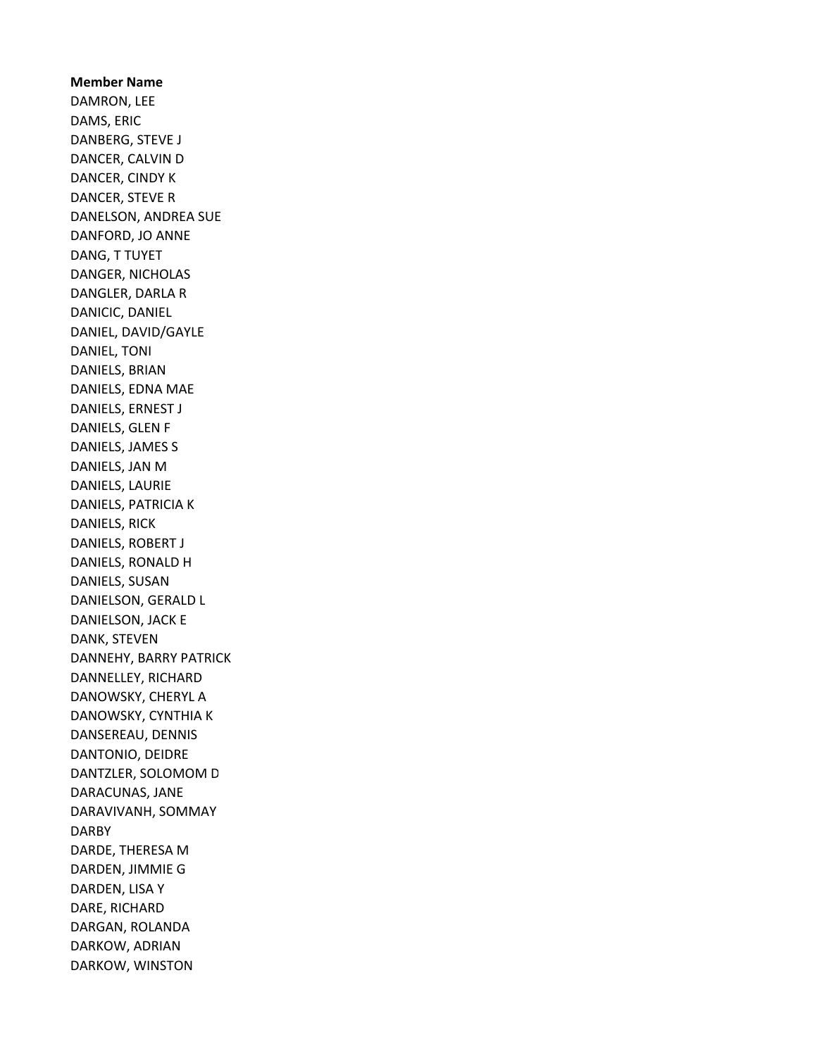Member Name DAMRON, LEE DAMS, ERIC DANBERG, STEVE J DANCER, CALVIN D DANCER, CINDY K DANCER, STEVE R DANELSON, ANDREA SUE DANFORD, JO ANNE DANG, T TUYET DANGER, NICHOLAS DANGLER, DARLA R DANICIC, DANIEL DANIEL, DAVID/GAYLE DANIEL, TONI DANIELS, BRIAN DANIELS, EDNA MAE DANIELS, ERNEST J DANIELS, GLEN F DANIELS, JAMES S DANIELS, JAN M DANIELS, LAURIE DANIELS, PATRICIA K DANIELS, RICK DANIELS, ROBERT J DANIELS, RONALD H DANIELS, SUSAN DANIELSON, GERALD L DANIELSON, JACK E DANK, STEVEN DANNEHY, BARRY PATRICK DANNELLEY, RICHARD DANOWSKY, CHERYL A DANOWSKY, CYNTHIA K DANSEREAU, DENNIS DANTONIO, DEIDRE DANTZLER, SOLOMOM D DARACUNAS, JANE DARAVIVANH, SOMMAY DARBY DARDE, THERESA M DARDEN, JIMMIE G DARDEN, LISA Y DARE, RICHARD DARGAN, ROLANDA DARKOW, ADRIAN DARKOW, WINSTON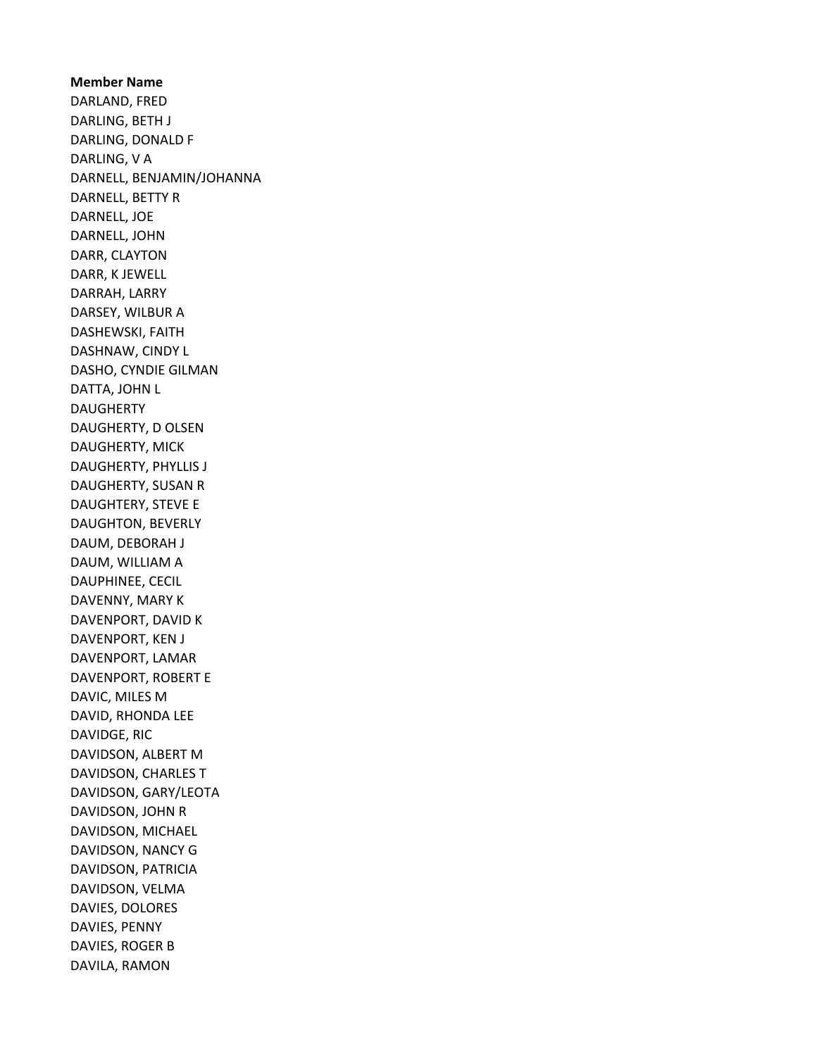Member Name DARLAND, FRED DARLING, BETH J DARLING, DONALD F DARLING, V A DARNELL, BENJAMIN/JOHANNA DARNELL, BETTY R DARNELL, JOE DARNELL, JOHN DARR, CLAYTON DARR, K JEWELL DARRAH, LARRY DARSEY, WILBUR A DASHEWSKI, FAITH DASHNAW, CINDY L DASHO, CYNDIE GILMAN DATTA, JOHN L DAUGHERTY DAUGHERTY, D OLSEN DAUGHERTY, MICK DAUGHERTY, PHYLLIS J DAUGHERTY, SUSAN R DAUGHTERY, STEVE E DAUGHTON, BEVERLY DAUM, DEBORAH J DAUM, WILLIAM A DAUPHINEE, CECIL DAVENNY, MARY K DAVENPORT, DAVID K DAVENPORT, KEN J DAVENPORT, LAMAR DAVENPORT, ROBERT E DAVIC, MILES M DAVID, RHONDA LEE DAVIDGE, RIC DAVIDSON, ALBERT M DAVIDSON, CHARLES T DAVIDSON, GARY/LEOTA DAVIDSON, JOHN R DAVIDSON, MICHAEL DAVIDSON, NANCY G DAVIDSON, PATRICIA DAVIDSON, VELMA DAVIES, DOLORES DAVIES, PENNY DAVIES, ROGER B DAVILA, RAMON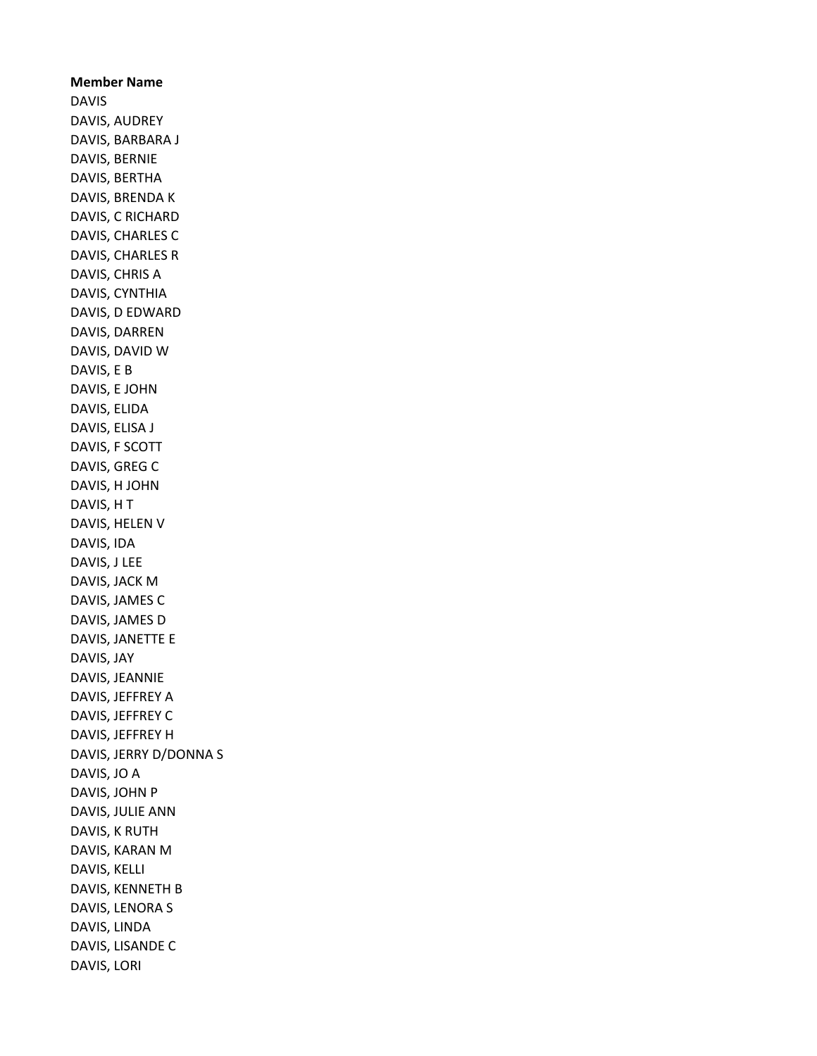Member Name DAVIS DAVIS, AUDREY DAVIS, BARBARA J DAVIS, BERNIE DAVIS, BERTHA DAVIS, BRENDA K DAVIS, C RICHARD DAVIS, CHARLES C DAVIS, CHARLES R DAVIS, CHRIS A DAVIS, CYNTHIA DAVIS, D EDWARD DAVIS, DARREN DAVIS, DAVID W DAVIS, E B DAVIS, E JOHN DAVIS, ELIDA DAVIS, ELISA J DAVIS, F SCOTT DAVIS, GREG C DAVIS, H JOHN DAVIS, H T DAVIS, HELEN V DAVIS, IDA DAVIS, J LEE DAVIS, JACK M DAVIS, JAMES C DAVIS, JAMES D DAVIS, JANETTE E DAVIS, JAY DAVIS, JEANNIE DAVIS, JEFFREY A DAVIS, JEFFREY C DAVIS, JEFFREY H DAVIS, JERRY D/DONNA S DAVIS, JO A DAVIS, JOHN P DAVIS, JULIE ANN DAVIS, K RUTH DAVIS, KARAN M DAVIS, KELLI DAVIS, KENNETH B DAVIS, LENORA S DAVIS, LINDA DAVIS, LISANDE C DAVIS, LORI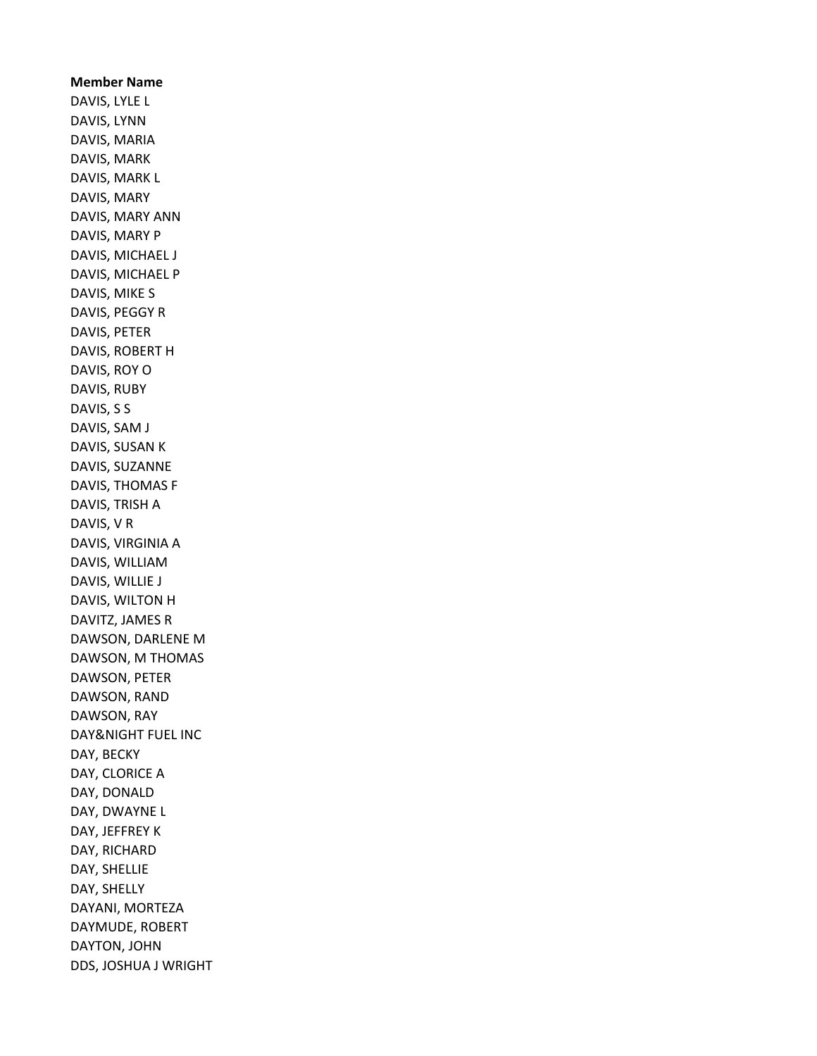Member Name DAVIS, LYLE L DAVIS, LYNN DAVIS, MARIA DAVIS, MARK DAVIS, MARK L DAVIS, MARY DAVIS, MARY ANN DAVIS, MARY P DAVIS, MICHAEL J DAVIS, MICHAEL P DAVIS, MIKE S DAVIS, PEGGY R DAVIS, PETER DAVIS, ROBERT H DAVIS, ROY O DAVIS, RUBY DAVIS, S S DAVIS, SAM J DAVIS, SUSAN K DAVIS, SUZANNE DAVIS, THOMAS F DAVIS, TRISH A DAVIS, V R DAVIS, VIRGINIA A DAVIS, WILLIAM DAVIS, WILLIE J DAVIS, WILTON H DAVITZ, JAMES R DAWSON, DARLENE M DAWSON, M THOMAS DAWSON, PETER DAWSON, RAND DAWSON, RAY DAY&NIGHT FUEL INC DAY, BECKY DAY, CLORICE A DAY, DONALD DAY, DWAYNE L DAY, JEFFREY K DAY, RICHARD DAY, SHELLIE DAY, SHELLY DAYANI, MORTEZA DAYMUDE, ROBERT DAYTON, JOHN DDS, JOSHUA J WRIGHT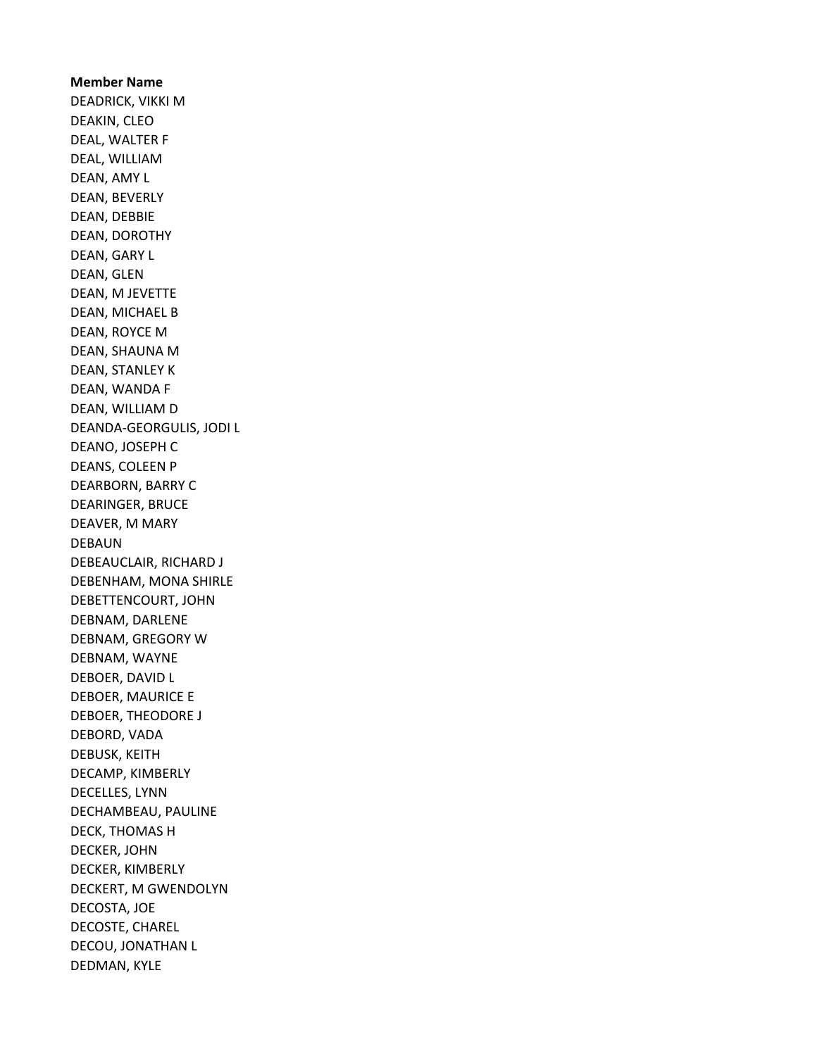Member Name DEADRICK, VIKKI M DEAKIN, CLEO DEAL, WALTER F DEAL, WILLIAM DEAN, AMY L DEAN, BEVERLY DEAN, DEBBIE DEAN, DOROTHY DEAN, GARY L DEAN, GLEN DEAN, M JEVETTE DEAN, MICHAEL B DEAN, ROYCE M DEAN, SHAUNA M DEAN, STANLEY K DEAN, WANDA F DEAN, WILLIAM D DEANDA-GEORGULIS, JODI L DEANO, JOSEPH C DEANS, COLEEN P DEARBORN, BARRY C DEARINGER, BRUCE DEAVER, M MARY DEBAUN DEBEAUCLAIR, RICHARD J DEBENHAM, MONA SHIRLE DEBETTENCOURT, JOHN DEBNAM, DARLENE DEBNAM, GREGORY W DEBNAM, WAYNE DEBOER, DAVID L DEBOER, MAURICE E DEBOER, THEODORE J DEBORD, VADA DEBUSK, KEITH DECAMP, KIMBERLY DECELLES, LYNN DECHAMBEAU, PAULINE DECK, THOMAS H DECKER, JOHN DECKER, KIMBERLY DECKERT, M GWENDOLYN DECOSTA, JOE DECOSTE, CHAREL DECOU, JONATHAN L DEDMAN, KYLE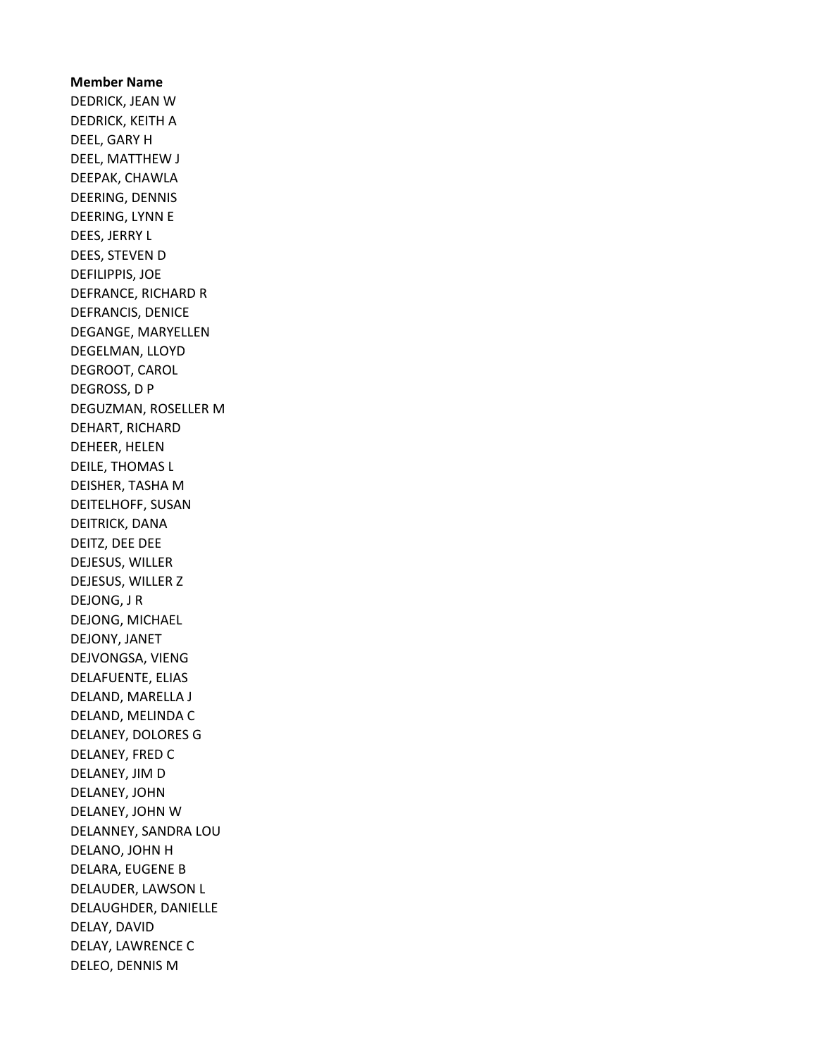Member Name DEDRICK, JEAN W DEDRICK, KEITH A DEEL, GARY H DEEL, MATTHEW J DEEPAK, CHAWLA DEERING, DENNIS DEERING, LYNN E DEES, JERRY L DEES, STEVEN D DEFILIPPIS, JOE DEFRANCE, RICHARD R DEFRANCIS, DENICE DEGANGE, MARYELLEN DEGELMAN, LLOYD DEGROOT, CAROL DEGROSS, D P DEGUZMAN, ROSELLER M DEHART, RICHARD DEHEER, HELEN DEILE, THOMAS L DEISHER, TASHA M DEITELHOFF, SUSAN DEITRICK, DANA DEITZ, DEE DEE DEJESUS, WILLER DEJESUS, WILLER Z DEJONG, J R DEJONG, MICHAEL DEJONY, JANET DEJVONGSA, VIENG DELAFUENTE, ELIAS DELAND, MARELLA J DELAND, MELINDA C DELANEY, DOLORES G DELANEY, FRED C DELANEY, JIM D DELANEY, JOHN DELANEY, JOHN W DELANNEY, SANDRA LOU DELANO, JOHN H DELARA, EUGENE B DELAUDER, LAWSON L DELAUGHDER, DANIELLE DELAY, DAVID DELAY, LAWRENCE C DELEO, DENNIS M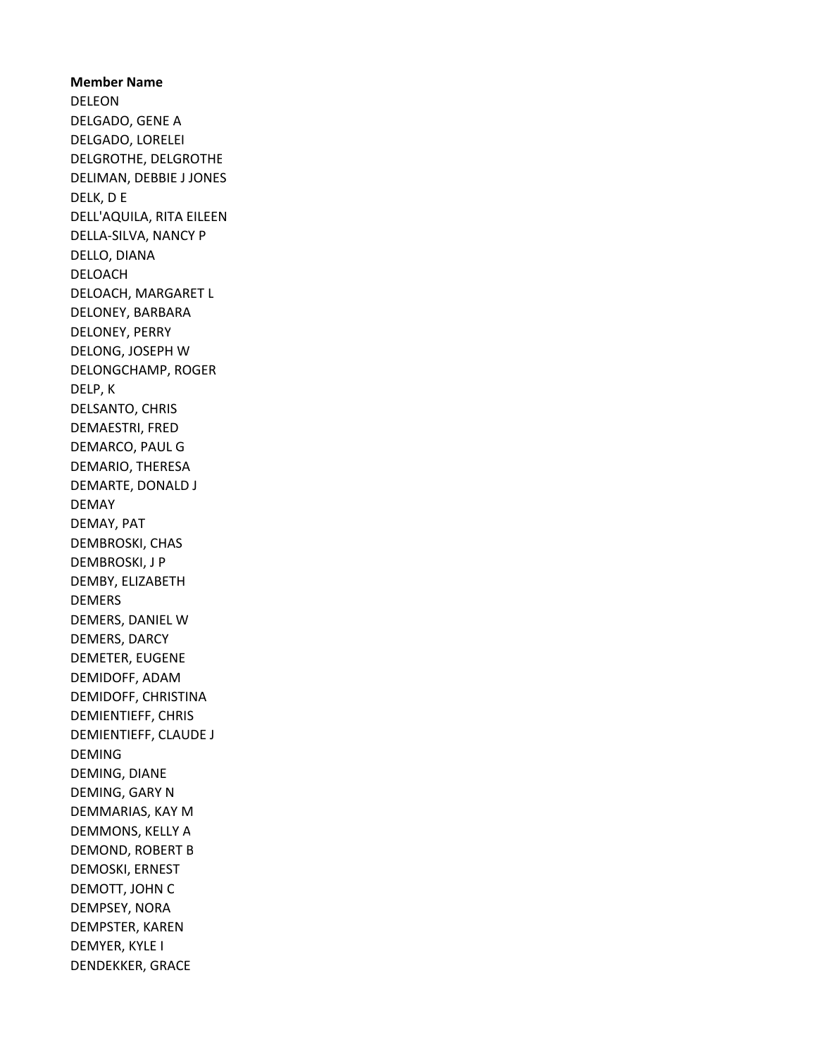Member Name DELEON DELGADO, GENE A DELGADO, LORELEI DELGROTHE, DELGROTHE DELIMAN, DEBBIE J JONES DELK, D E DELL'AQUILA, RITA EILEEN DELLA-SILVA, NANCY P DELLO, DIANA DELOACH DELOACH, MARGARET L DELONEY, BARBARA DELONEY, PERRY DELONG, JOSEPH W DELONGCHAMP, ROGER DELP, K DELSANTO, CHRIS DEMAESTRI, FRED DEMARCO, PAUL G DEMARIO, THERESA DEMARTE, DONALD J DEMAY DEMAY, PAT DEMBROSKI, CHAS DEMBROSKI, J P DEMBY, ELIZABETH DEMERS DEMERS, DANIEL W DEMERS, DARCY DEMETER, EUGENE DEMIDOFF, ADAM DEMIDOFF, CHRISTINA DEMIENTIEFF, CHRIS DEMIENTIEFF, CLAUDE J DEMING DEMING, DIANE DEMING, GARY N DEMMARIAS, KAY M DEMMONS, KELLY A DEMOND, ROBERT B DEMOSKI, ERNEST DEMOTT, JOHN C DEMPSEY, NORA DEMPSTER, KAREN DEMYER, KYLE I DENDEKKER, GRACE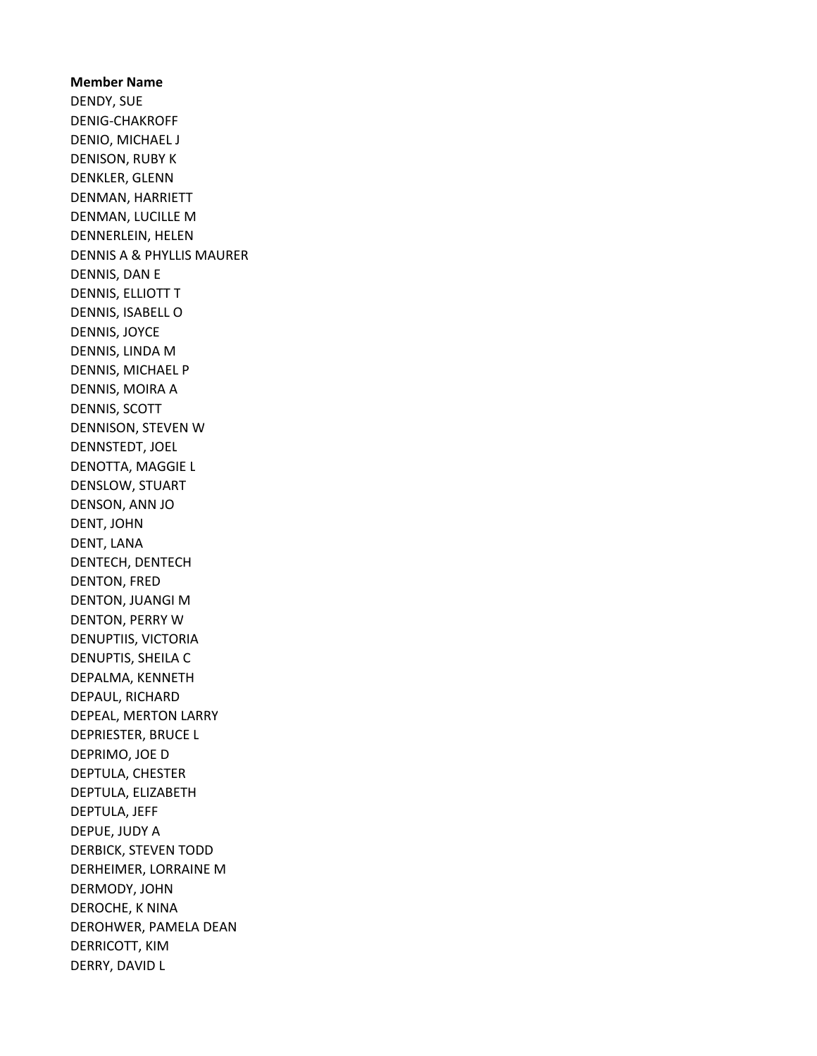Member Name DENDY, SUE DENIG-CHAKROFF DENIO, MICHAEL J DENISON, RUBY K DENKLER, GLENN DENMAN, HARRIETT DENMAN, LUCILLE M DENNERLEIN, HELEN DENNIS A & PHYLLIS MAURER DENNIS, DAN E DENNIS, ELLIOTT T DENNIS, ISABELL O DENNIS, JOYCE DENNIS, LINDA M DENNIS, MICHAEL P DENNIS, MOIRA A DENNIS, SCOTT DENNISON, STEVEN W DENNSTEDT, JOEL DENOTTA, MAGGIE L DENSLOW, STUART DENSON, ANN JO DENT, JOHN DENT, LANA DENTECH, DENTECH DENTON, FRED DENTON, JUANGI M DENTON, PERRY W DENUPTIIS, VICTORIA DENUPTIS, SHEILA C DEPALMA, KENNETH DEPAUL, RICHARD DEPEAL, MERTON LARRY DEPRIESTER, BRUCE L DEPRIMO, JOE D DEPTULA, CHESTER DEPTULA, ELIZABETH DEPTULA, JEFF DEPUE, JUDY A DERBICK, STEVEN TODD DERHEIMER, LORRAINE M DERMODY, JOHN DEROCHE, K NINA DEROHWER, PAMELA DEAN DERRICOTT, KIM DERRY, DAVID L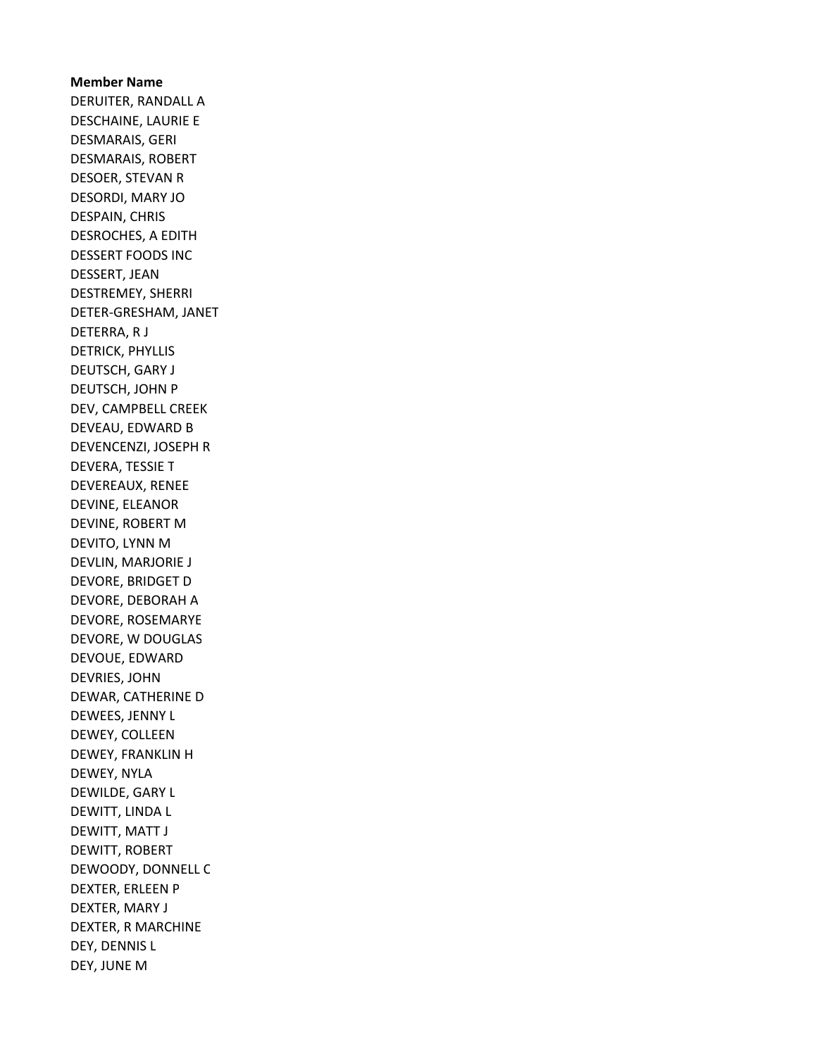Member Name DERUITER, RANDALL A DESCHAINE, LAURIE E DESMARAIS, GERI DESMARAIS, ROBERT DESOER, STEVAN R DESORDI, MARY JO DESPAIN, CHRIS DESROCHES, A EDITH DESSERT FOODS INC DESSERT, JEAN DESTREMEY, SHERRI DETER-GRESHAM, JANET DETERRA, R J DETRICK, PHYLLIS DEUTSCH, GARY J DEUTSCH, JOHN P DEV, CAMPBELL CREEK DEVEAU, EDWARD B DEVENCENZI, JOSEPH R DEVERA, TESSIE T DEVEREAUX, RENEE DEVINE, ELEANOR DEVINE, ROBERT M DEVITO, LYNN M DEVLIN, MARJORIE J DEVORE, BRIDGET D DEVORE, DEBORAH A DEVORE, ROSEMARYE DEVORE, W DOUGLAS DEVOUE, EDWARD DEVRIES, JOHN DEWAR, CATHERINE D DEWEES, JENNY L DEWEY, COLLEEN DEWEY, FRANKLIN H DEWEY, NYLA DEWILDE, GARY L DEWITT, LINDA L DEWITT, MATT J DEWITT, ROBERT DEWOODY, DONNELL C DEXTER, ERLEEN P DEXTER, MARY J DEXTER, R MARCHINE DEY, DENNIS L DEY, JUNE M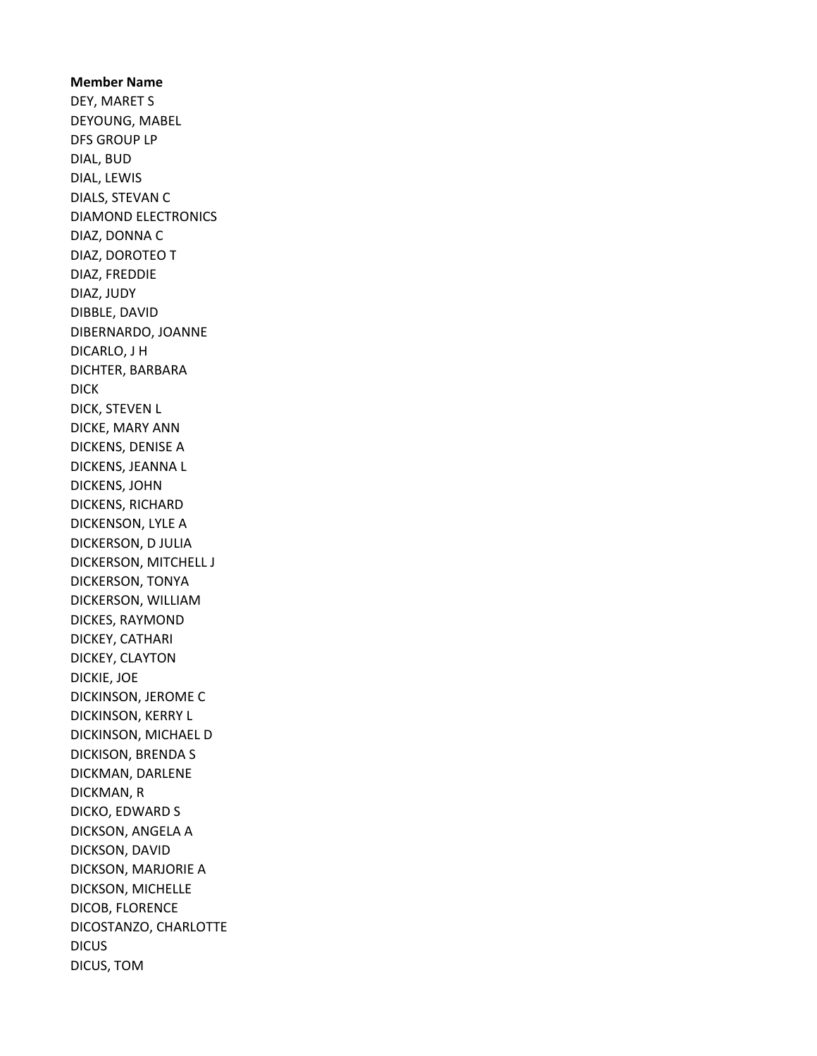Member Name DEY, MARET S DEYOUNG, MABEL DFS GROUP LP DIAL, BUD DIAL, LEWIS DIALS, STEVAN C DIAMOND ELECTRONICS DIAZ, DONNA C DIAZ, DOROTEO T DIAZ, FREDDIE DIAZ, JUDY DIBBLE, DAVID DIBERNARDO, JOANNE DICARLO, J H DICHTER, BARBARA DICK DICK, STEVEN L DICKE, MARY ANN DICKENS, DENISE A DICKENS, JEANNA L DICKENS, JOHN DICKENS, RICHARD DICKENSON, LYLE A DICKERSON, D JULIA DICKERSON, MITCHELL J DICKERSON, TONYA DICKERSON, WILLIAM DICKES, RAYMOND DICKEY, CATHARI DICKEY, CLAYTON DICKIE, JOE DICKINSON, JEROME C DICKINSON, KERRY L DICKINSON, MICHAEL D DICKISON, BRENDA S DICKMAN, DARLENE DICKMAN, R DICKO, EDWARD S DICKSON, ANGELA A DICKSON, DAVID DICKSON, MARJORIE A DICKSON, MICHELLE DICOB, FLORENCE DICOSTANZO, CHARLOTTE **DICUS** DICUS, TOM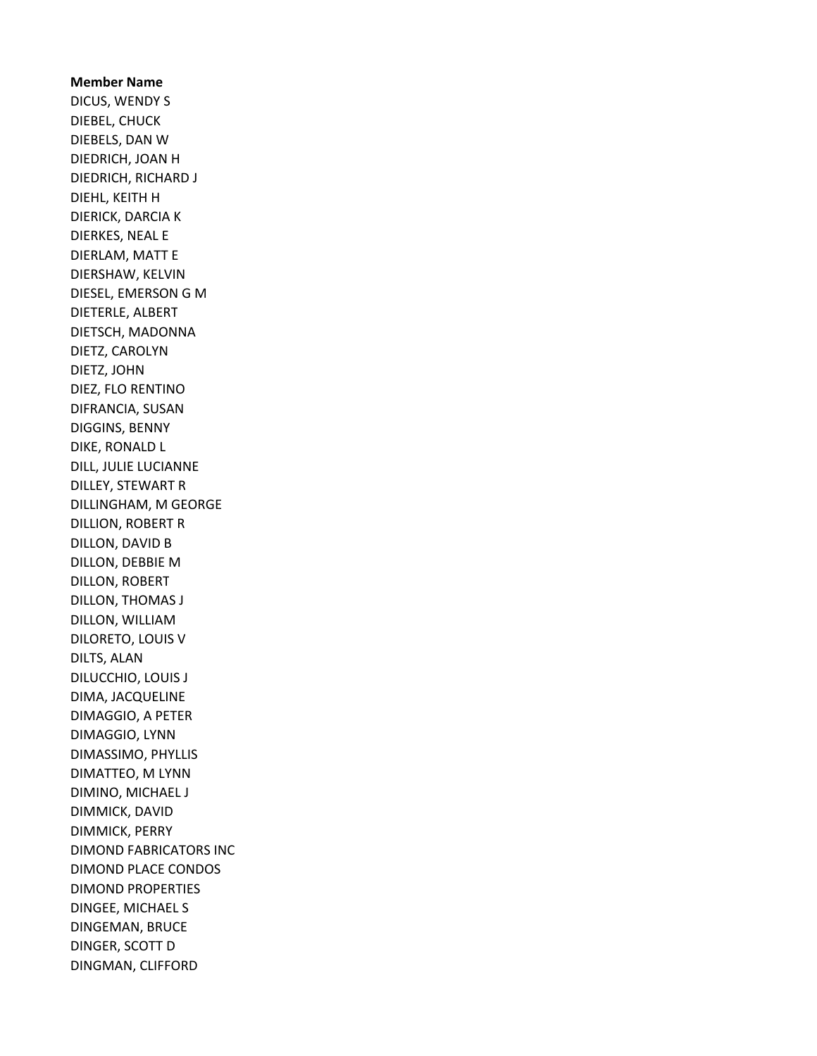## Member Name DICUS, WENDY S DIEBEL, CHUCK DIEBELS, DAN W DIEDRICH, JOAN H DIEDRICH, RICHARD J DIEHL, KEITH H DIERICK, DARCIA K DIERKES, NEAL E DIERLAM, MATT E DIERSHAW, KELVIN DIESEL, EMERSON G M DIETERLE, ALBERT DIETSCH, MADONNA DIETZ, CAROLYN DIETZ, JOHN DIEZ, FLO RENTINO DIFRANCIA, SUSAN DIGGINS, BENNY DIKE, RONALD L DILL, JULIE LUCIANNE DILLEY, STEWART R DILLINGHAM, M GEORGE DILLION, ROBERT R DILLON, DAVID B DILLON, DEBBIE M DILLON, ROBERT DILLON, THOMAS J DILLON, WILLIAM DILORETO, LOUIS V DILTS, ALAN DILUCCHIO, LOUIS J DIMA, JACQUELINE DIMAGGIO, A PETER DIMAGGIO, LYNN DIMASSIMO, PHYLLIS DIMATTEO, M LYNN DIMINO, MICHAEL J DIMMICK, DAVID DIMMICK, PERRY DIMOND FABRICATORS INC DIMOND PLACE CONDOS DIMOND PROPERTIES DINGEE, MICHAEL S DINGEMAN, BRUCE DINGER, SCOTT D DINGMAN, CLIFFORD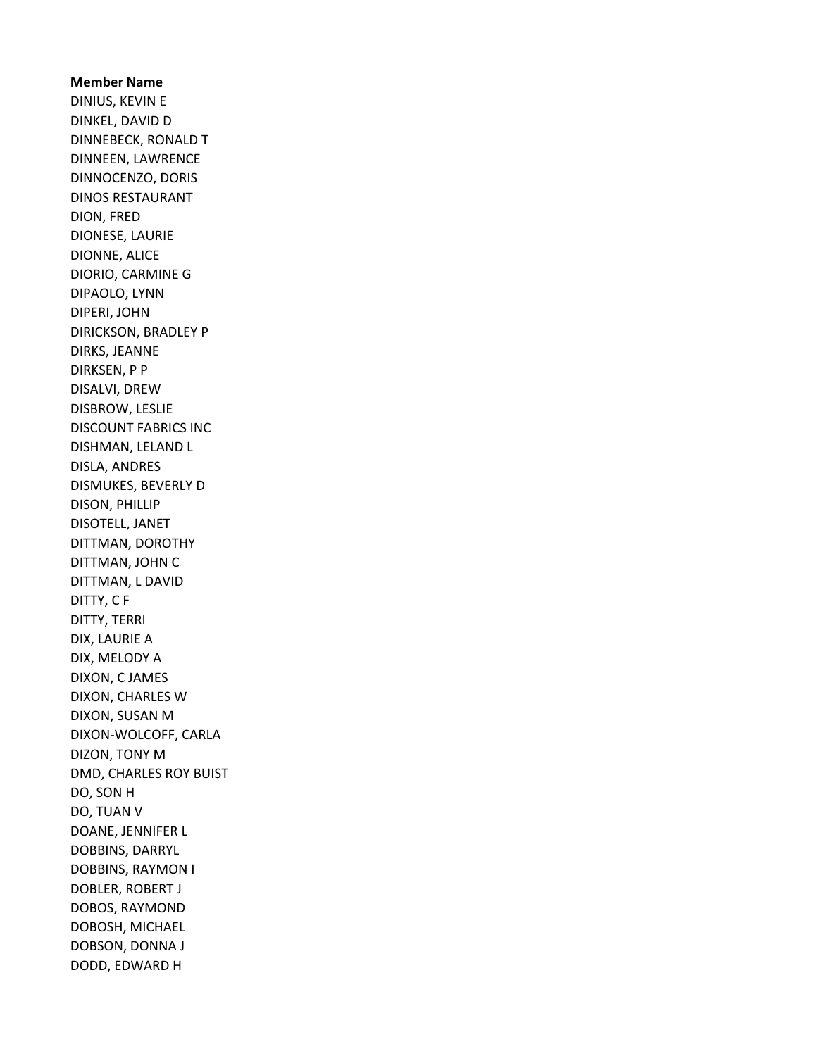Member Name DINIUS, KEVIN E DINKEL, DAVID D DINNEBECK, RONALD T DINNEEN, LAWRENCE DINNOCENZO, DORIS DINOS RESTAURANT DION, FRED DIONESE, LAURIE DIONNE, ALICE DIORIO, CARMINE G DIPAOLO, LYNN DIPERI, JOHN DIRICKSON, BRADLEY P DIRKS, JEANNE DIRKSEN, P P DISALVI, DREW DISBROW, LESLIE DISCOUNT FABRICS INC DISHMAN, LELAND L DISLA, ANDRES DISMUKES, BEVERLY D DISON, PHILLIP DISOTELL, JANET DITTMAN, DOROTHY DITTMAN, JOHN C DITTMAN, L DAVID DITTY, C F DITTY, TERRI DIX, LAURIE A DIX, MELODY A DIXON, C JAMES DIXON, CHARLES W DIXON, SUSAN M DIXON-WOLCOFF, CARLA DIZON, TONY M DMD, CHARLES ROY BUIST DO, SON H DO, TUAN V DOANE, JENNIFER L DOBBINS, DARRYL DOBBINS, RAYMON I DOBLER, ROBERT J DOBOS, RAYMOND DOBOSH, MICHAEL DOBSON, DONNA J DODD, EDWARD H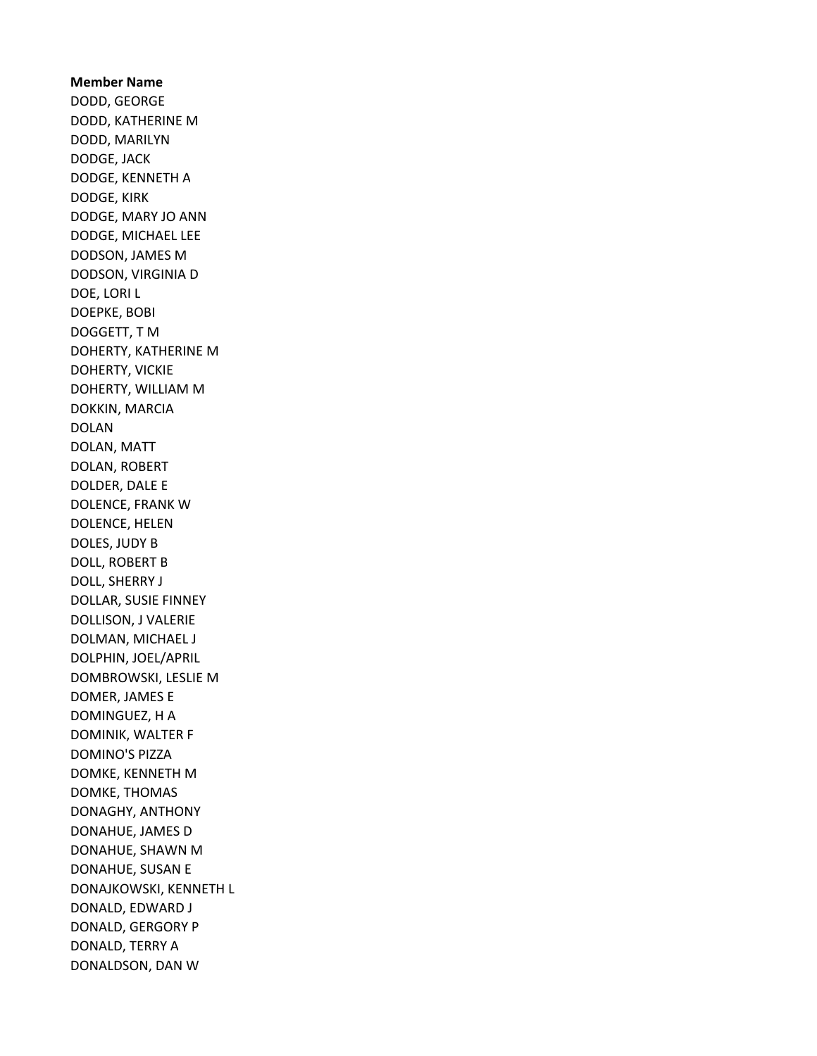# Member Name DODD, GEORGE DODD, KATHERINE M DODD, MARILYN DODGE, JACK DODGE, KENNETH A DODGE, KIRK DODGE, MARY JO ANN DODGE, MICHAEL LEE DODSON, JAMES M DODSON, VIRGINIA D DOE, LORI L DOEPKE, BOBI DOGGETT, T M DOHERTY, KATHERINE M DOHERTY, VICKIE DOHERTY, WILLIAM M DOKKIN, MARCIA DOLAN DOLAN, MATT DOLAN, ROBERT DOLDER, DALE E DOLENCE, FRANK W DOLENCE, HELEN DOLES, JUDY B DOLL, ROBERT B DOLL, SHERRY J DOLLAR, SUSIE FINNEY DOLLISON, J VALERIE DOLMAN, MICHAEL J DOLPHIN, JOEL/APRIL DOMBROWSKI, LESLIE M DOMER, JAMES E DOMINGUEZ, H A DOMINIK, WALTER F DOMINO'S PIZZA DOMKE, KENNETH M DOMKE, THOMAS DONAGHY, ANTHONY DONAHUE, JAMES D DONAHUE, SHAWN M DONAHUE, SUSAN E DONAJKOWSKI, KENNETH L DONALD, EDWARD J DONALD, GERGORY P DONALD, TERRY A DONALDSON, DAN W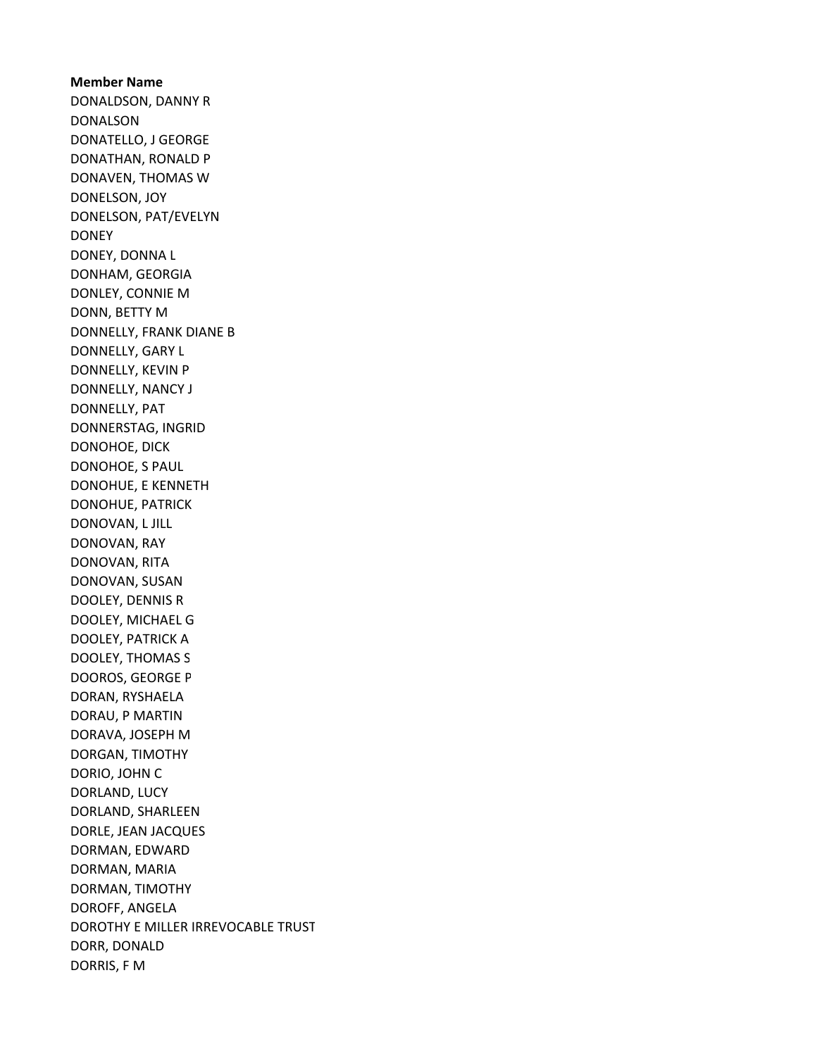Member Name DONALDSON, DANNY R DONALSON DONATELLO, J GEORGE DONATHAN, RONALD P DONAVEN, THOMAS W DONELSON, JOY DONELSON, PAT/EVELYN DONEY DONEY, DONNA L DONHAM, GEORGIA DONLEY, CONNIE M DONN, BETTY M DONNELLY, FRANK DIANE B DONNELLY, GARY L DONNELLY, KEVIN P DONNELLY, NANCY J DONNELLY, PAT DONNERSTAG, INGRID DONOHOE, DICK DONOHOE, S PAUL DONOHUE, E KENNETH DONOHUE, PATRICK DONOVAN, L JILL DONOVAN, RAY DONOVAN, RITA DONOVAN, SUSAN DOOLEY, DENNIS R DOOLEY, MICHAEL G DOOLEY, PATRICK A DOOLEY, THOMAS S DOOROS, GEORGE P DORAN, RYSHAELA DORAU, P MARTIN DORAVA, JOSEPH M DORGAN, TIMOTHY DORIO, JOHN C DORLAND, LUCY DORLAND, SHARLEEN DORLE, JEAN JACQUES DORMAN, EDWARD DORMAN, MARIA DORMAN, TIMOTHY DOROFF, ANGELA DOROTHY E MILLER IRREVOCABLE TRUST DORR, DONALD DORRIS, F M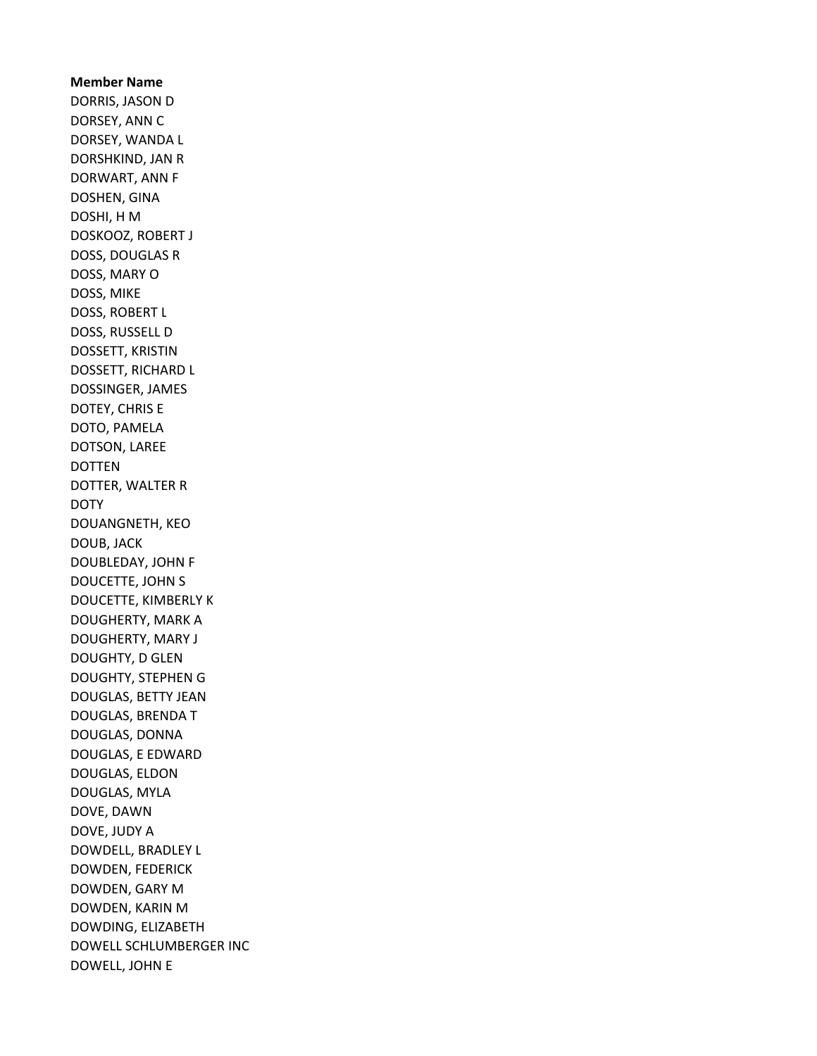Member Name DORRIS, JASON D DORSEY, ANN C DORSEY, WANDA L DORSHKIND, JAN R DORWART, ANN F DOSHEN, GINA DOSHI, H M DOSKOOZ, ROBERT J DOSS, DOUGLAS R DOSS, MARY O DOSS, MIKE DOSS, ROBERT L DOSS, RUSSELL D DOSSETT, KRISTIN DOSSETT, RICHARD L DOSSINGER, JAMES DOTEY, CHRIS E DOTO, PAMELA DOTSON, LAREE DOTTEN DOTTER, WALTER R **DOTY** DOUANGNETH, KEO DOUB, JACK DOUBLEDAY, JOHN F DOUCETTE, JOHN S DOUCETTE, KIMBERLY K DOUGHERTY, MARK A DOUGHERTY, MARY J DOUGHTY, D GLEN DOUGHTY, STEPHEN G DOUGLAS, BETTY JEAN DOUGLAS, BRENDA T DOUGLAS, DONNA DOUGLAS, E EDWARD DOUGLAS, ELDON DOUGLAS, MYLA DOVE, DAWN DOVE, JUDY A DOWDELL, BRADLEY L DOWDEN, FEDERICK DOWDEN, GARY M DOWDEN, KARIN M DOWDING, ELIZABETH DOWELL SCHLUMBERGER INC DOWELL, JOHN E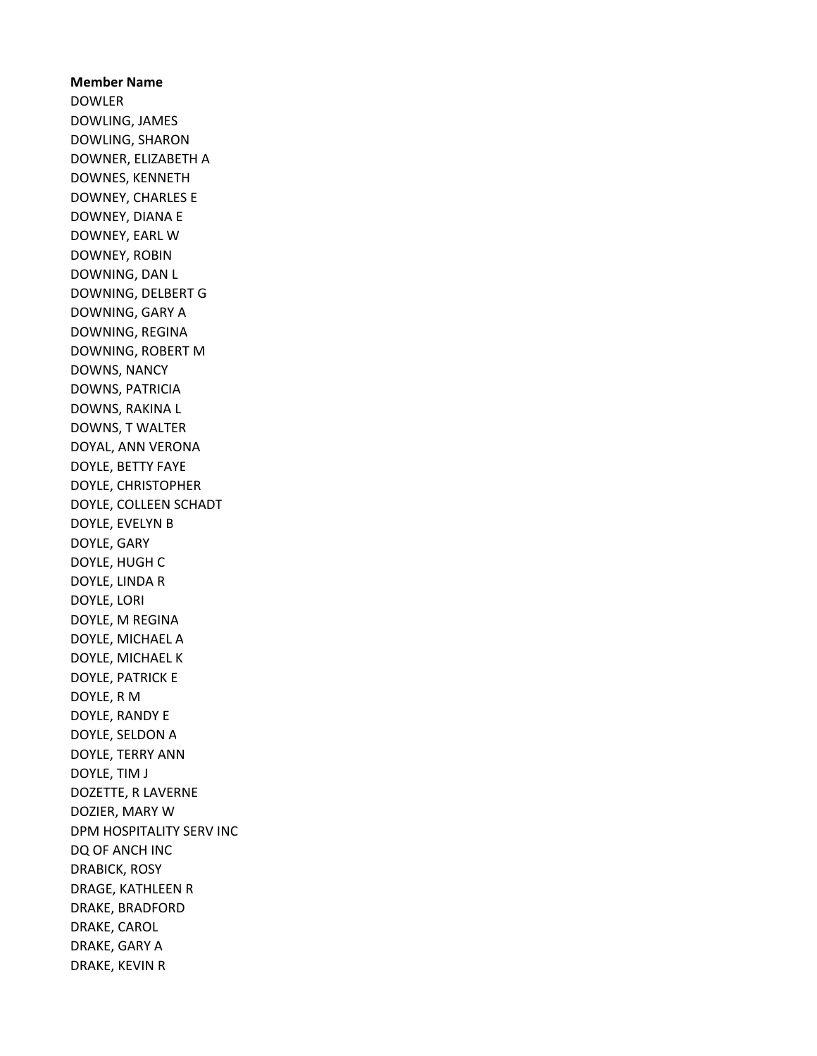Member Name DOWLER DOWLING, JAMES DOWLING, SHARON DOWNER, ELIZABETH A DOWNES, KENNETH DOWNEY, CHARLES E DOWNEY, DIANA E DOWNEY, EARL W DOWNEY, ROBIN DOWNING, DAN L DOWNING, DELBERT G DOWNING, GARY A DOWNING, REGINA DOWNING, ROBERT M DOWNS, NANCY DOWNS, PATRICIA DOWNS, RAKINA L DOWNS, T WALTER DOYAL, ANN VERONA DOYLE, BETTY FAYE DOYLE, CHRISTOPHER DOYLE, COLLEEN SCHADT DOYLE, EVELYN B DOYLE, GARY DOYLE, HUGH C DOYLE, LINDA R DOYLE, LORI DOYLE, M REGINA DOYLE, MICHAEL A DOYLE, MICHAEL K DOYLE, PATRICK E DOYLE, R M DOYLE, RANDY E DOYLE, SELDON A DOYLE, TERRY ANN DOYLE, TIM J DOZETTE, R LAVERNE DOZIER, MARY W DPM HOSPITALITY SERV INC DQ OF ANCH INC DRABICK, ROSY DRAGE, KATHLEEN R DRAKE, BRADFORD DRAKE, CAROL DRAKE, GARY A DRAKE, KEVIN R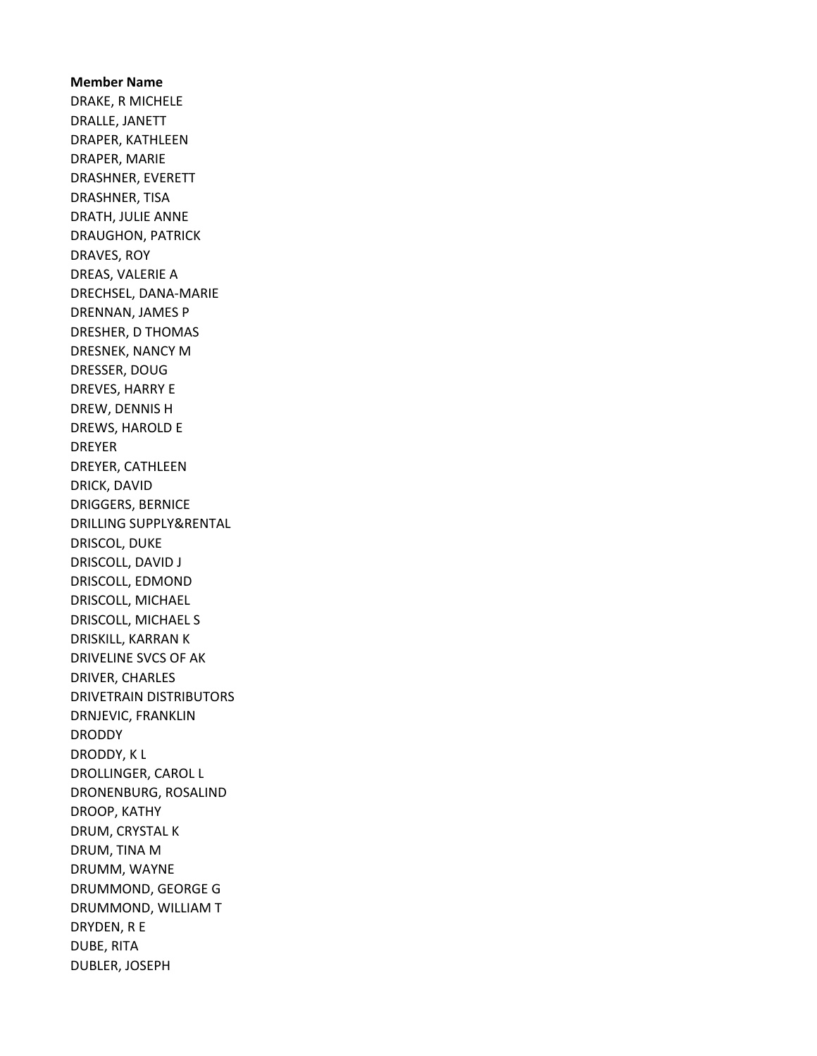Member Name DRAKE, R MICHELE DRALLE, JANETT DRAPER, KATHLEEN DRAPER, MARIE DRASHNER, EVERETT DRASHNER, TISA DRATH, JULIE ANNE DRAUGHON, PATRICK DRAVES, ROY DREAS, VALERIE A DRECHSEL, DANA-MARIE DRENNAN, JAMES P DRESHER, D THOMAS DRESNEK, NANCY M DRESSER, DOUG DREVES, HARRY E DREW, DENNIS H DREWS, HAROLD E DREYER DREYER, CATHLEEN DRICK, DAVID DRIGGERS, BERNICE DRILLING SUPPLY&RENTAL DRISCOL, DUKE DRISCOLL, DAVID J DRISCOLL, EDMOND DRISCOLL, MICHAEL DRISCOLL, MICHAEL S DRISKILL, KARRAN K DRIVELINE SVCS OF AK DRIVER, CHARLES DRIVETRAIN DISTRIBUTORS DRNJEVIC, FRANKLIN **DRODDY** DRODDY, K L DROLLINGER, CAROL L DRONENBURG, ROSALIND DROOP, KATHY DRUM, CRYSTAL K DRUM, TINA M DRUMM, WAYNE DRUMMOND, GEORGE G DRUMMOND, WILLIAM T DRYDEN, R E DUBE, RITA DUBLER, JOSEPH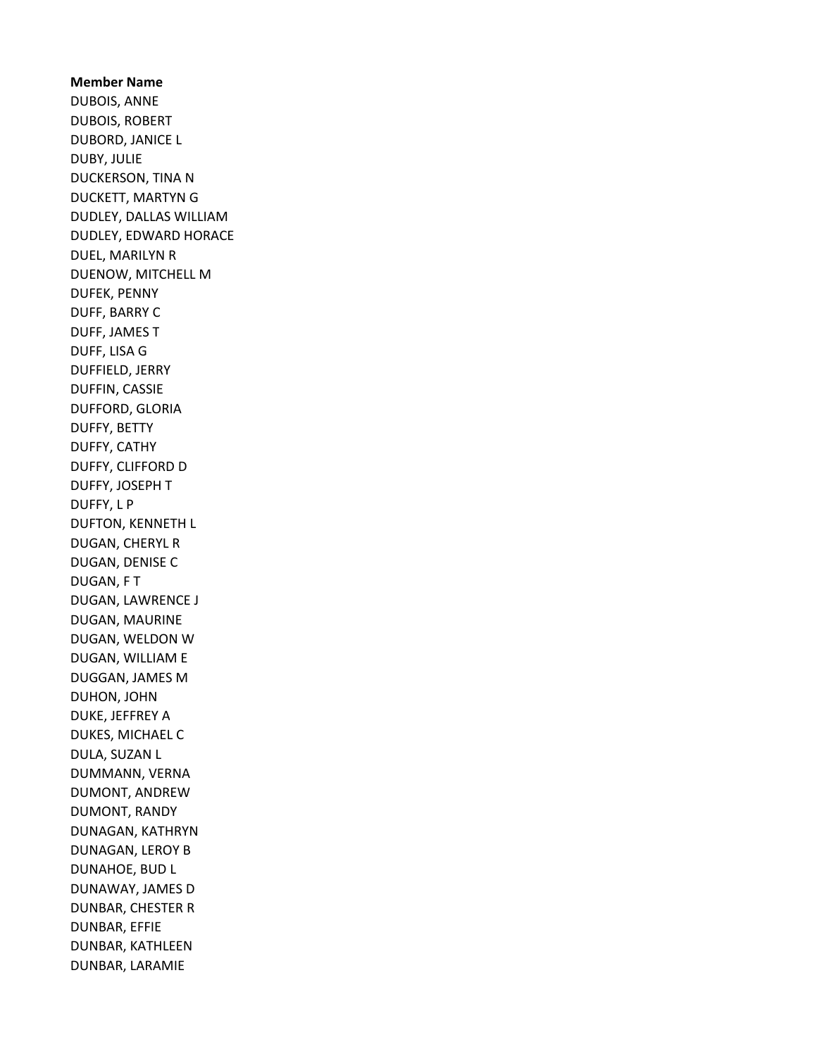Member Name DUBOIS, ANNE DUBOIS, ROBERT DUBORD, JANICE L DUBY, JULIE DUCKERSON, TINA N DUCKETT, MARTYN G DUDLEY, DALLAS WILLIAM DUDLEY, EDWARD HORACE DUEL, MARILYN R DUENOW, MITCHELL M DUFEK, PENNY DUFF, BARRY C DUFF, JAMES T DUFF, LISA G DUFFIELD, JERRY DUFFIN, CASSIE DUFFORD, GLORIA DUFFY, BETTY DUFFY, CATHY DUFFY, CLIFFORD D DUFFY, JOSEPH T DUFFY, L P DUFTON, KENNETH L DUGAN, CHERYL R DUGAN, DENISE C DUGAN, F T DUGAN, LAWRENCE J DUGAN, MAURINE DUGAN, WELDON W DUGAN, WILLIAM E DUGGAN, JAMES M DUHON, JOHN DUKE, JEFFREY A DUKES, MICHAEL C DULA, SUZAN L DUMMANN, VERNA DUMONT, ANDREW DUMONT, RANDY DUNAGAN, KATHRYN DUNAGAN, LEROY B DUNAHOE, BUD L DUNAWAY, JAMES D DUNBAR, CHESTER R DUNBAR, EFFIE DUNBAR, KATHLEEN DUNBAR, LARAMIE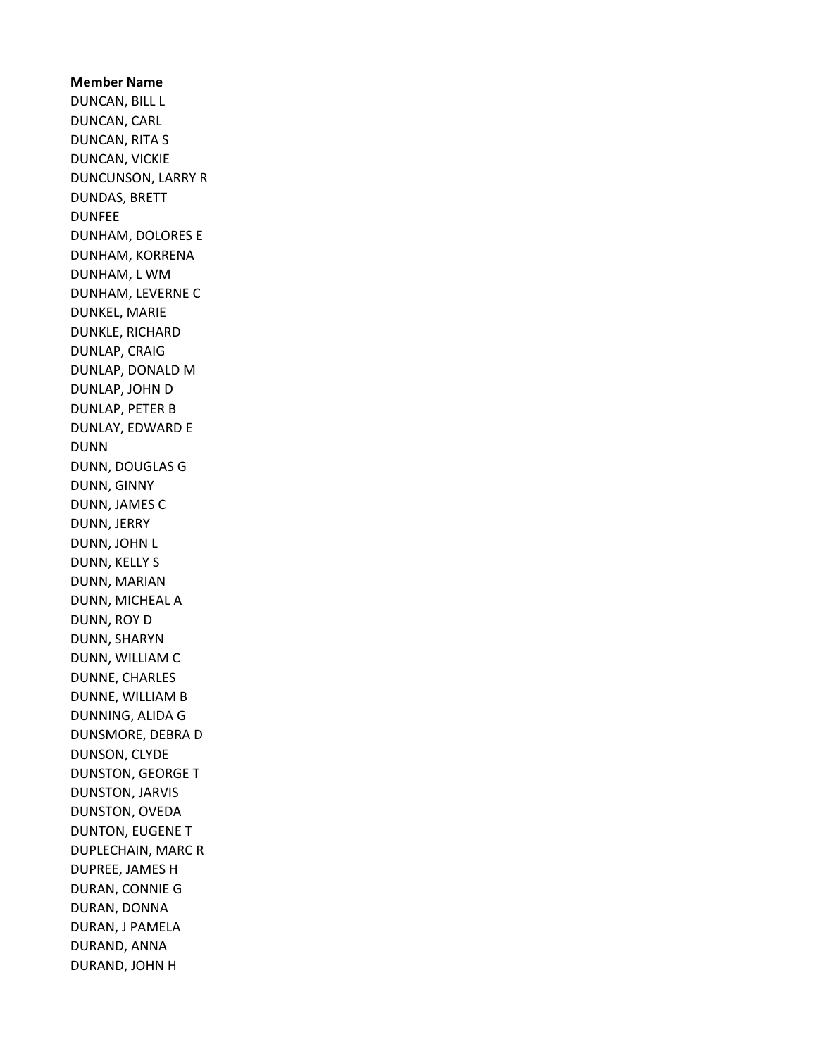Member Name DUNCAN, BILL L DUNCAN, CARL DUNCAN, RITA S DUNCAN, VICKIE DUNCUNSON, LARRY R DUNDAS, BRETT DUNFEE DUNHAM, DOLORES E DUNHAM, KORRENA DUNHAM, L WM DUNHAM, LEVERNE C DUNKEL, MARIE DUNKLE, RICHARD DUNLAP, CRAIG DUNLAP, DONALD M DUNLAP, JOHN D DUNLAP, PETER B DUNLAY, EDWARD E DUNN DUNN, DOUGLAS G DUNN, GINNY DUNN, JAMES C DUNN, JERRY DUNN, JOHN L DUNN, KELLY S DUNN, MARIAN DUNN, MICHEAL A DUNN, ROY D DUNN, SHARYN DUNN, WILLIAM C DUNNE, CHARLES DUNNE, WILLIAM B DUNNING, ALIDA G DUNSMORE, DEBRA D DUNSON, CLYDE DUNSTON, GEORGE T DUNSTON, JARVIS DUNSTON, OVEDA DUNTON, EUGENE T DUPLECHAIN, MARC R DUPREE, JAMES H DURAN, CONNIE G DURAN, DONNA DURAN, J PAMELA DURAND, ANNA DURAND, JOHN H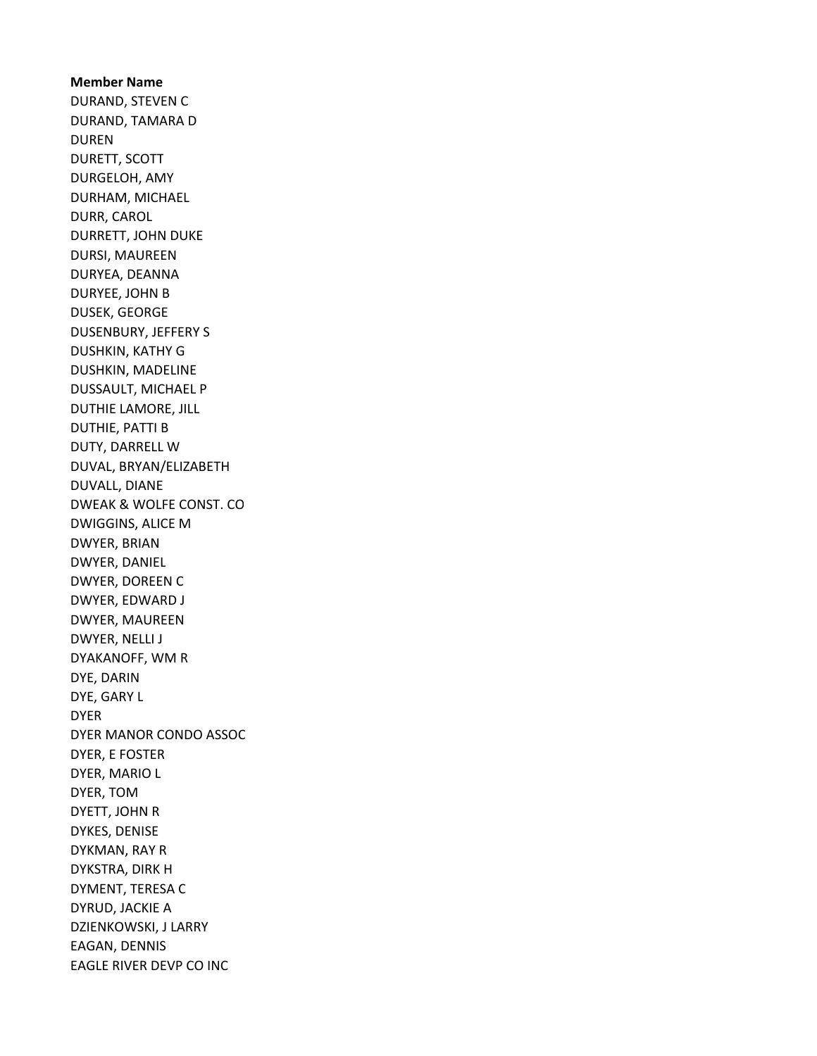Member Name DURAND, STEVEN C DURAND, TAMARA D DUREN DURETT, SCOTT DURGELOH, AMY DURHAM, MICHAEL DURR, CAROL DURRETT, JOHN DUKE DURSI, MAUREEN DURYEA, DEANNA DURYEE, JOHN B DUSEK, GEORGE DUSENBURY, JEFFERY S DUSHKIN, KATHY G DUSHKIN, MADELINE DUSSAULT, MICHAEL P DUTHIE LAMORE, JILL DUTHIE, PATTI B DUTY, DARRELL W DUVAL, BRYAN/ELIZABETH DUVALL, DIANE DWEAK & WOLFE CONST. CO DWIGGINS, ALICE M DWYER, BRIAN DWYER, DANIEL DWYER, DOREEN C DWYER, EDWARD J DWYER, MAUREEN DWYER, NELLI J DYAKANOFF, WM R DYE, DARIN DYE, GARY L DYER DYER MANOR CONDO ASSOC DYER, E FOSTER DYER, MARIO L DYER, TOM DYETT, JOHN R DYKES, DENISE DYKMAN, RAY R DYKSTRA, DIRK H DYMENT, TERESA C DYRUD, JACKIE A DZIENKOWSKI, J LARRY EAGAN, DENNIS EAGLE RIVER DEVP CO INC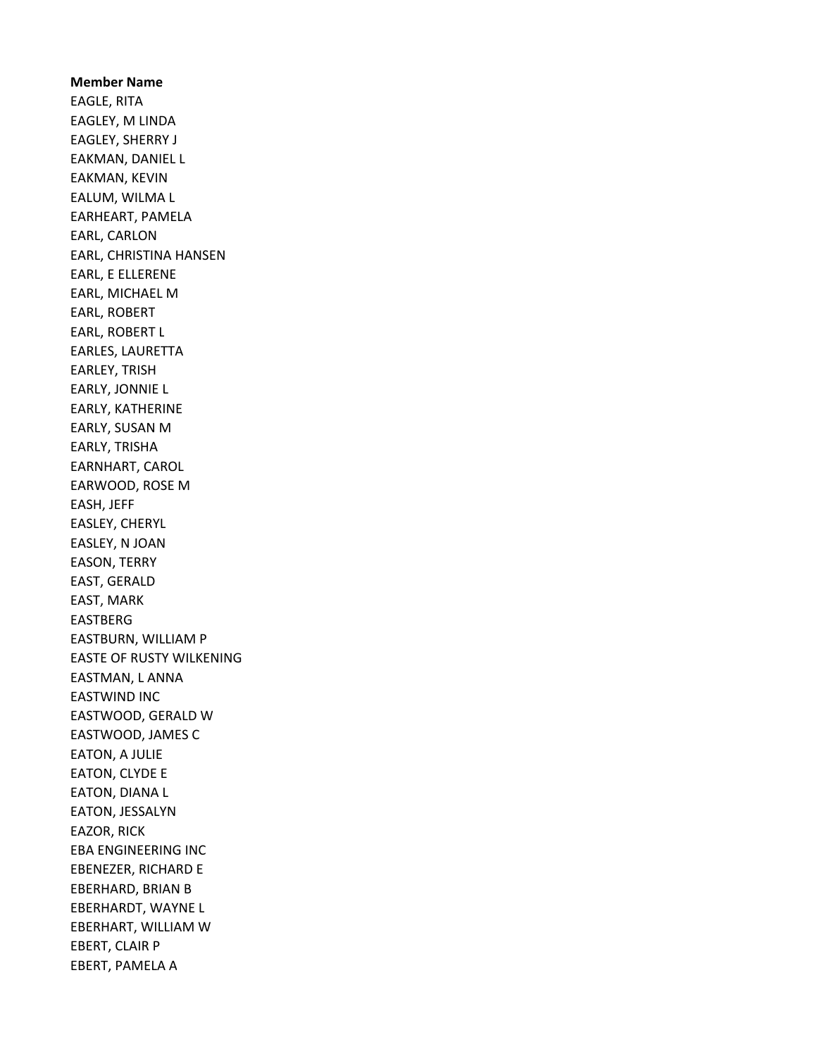Member Name EAGLE, RITA EAGLEY, M LINDA EAGLEY, SHERRY J EAKMAN, DANIEL L EAKMAN, KEVIN EALUM, WILMA L EARHEART, PAMELA EARL, CARLON EARL, CHRISTINA HANSEN EARL, E ELLERENE EARL, MICHAEL M EARL, ROBERT EARL, ROBERT L EARLES, LAURETTA EARLEY, TRISH EARLY, JONNIE L EARLY, KATHERINE EARLY, SUSAN M EARLY, TRISHA EARNHART, CAROL EARWOOD, ROSE M EASH, JEFF EASLEY, CHERYL EASLEY, N JOAN EASON, TERRY EAST, GERALD EAST, MARK EASTBERG EASTBURN, WILLIAM P EASTE OF RUSTY WILKENING EASTMAN, L ANNA EASTWIND INC EASTWOOD, GERALD W EASTWOOD, JAMES C EATON, A JULIE EATON, CLYDE E EATON, DIANA L EATON, JESSALYN EAZOR, RICK EBA ENGINEERING INC EBENEZER, RICHARD E EBERHARD, BRIAN B EBERHARDT, WAYNE L EBERHART, WILLIAM W EBERT, CLAIR P EBERT, PAMELA A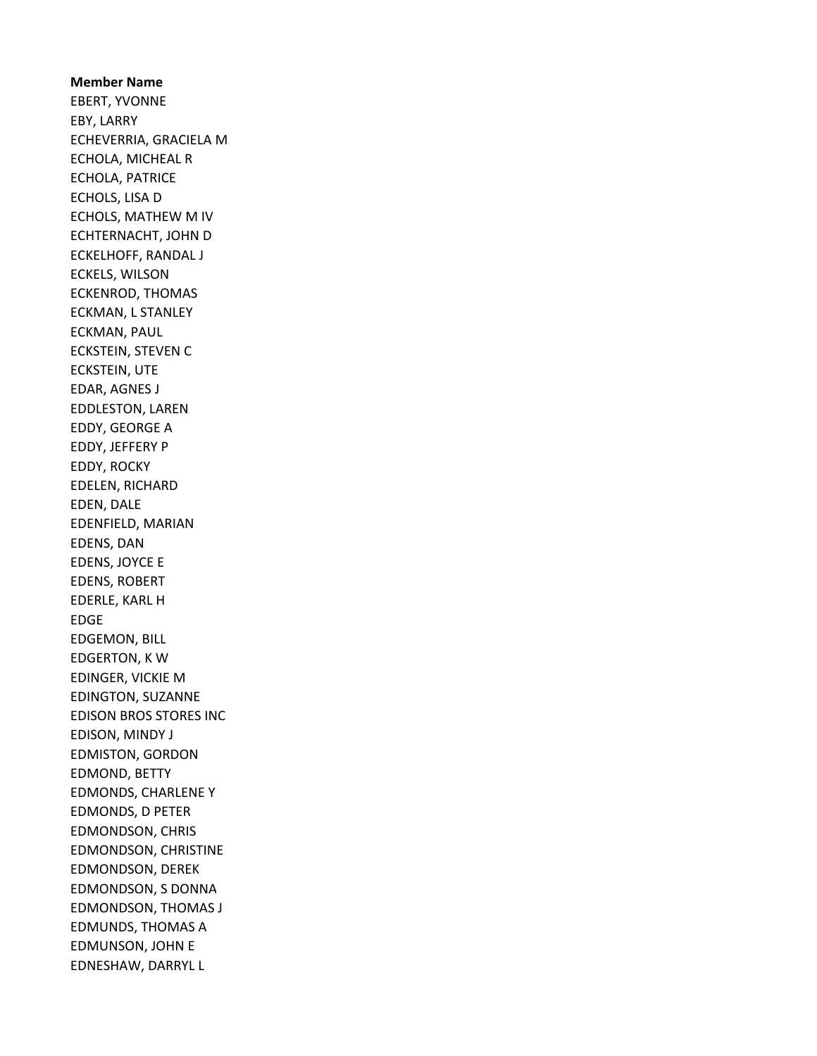EBERT, YVONNE EBY, LARRY ECHEVERRIA, GRACIELA M ECHOLA, MICHEAL R ECHOLA, PATRICE ECHOLS, LISA D ECHOLS, MATHEW M IV ECHTERNACHT, JOHN D ECKELHOFF, RANDAL J ECKELS, WILSON ECKENROD, THOMAS ECKMAN, L STANLEY ECKMAN, PAUL ECKSTEIN, STEVEN C ECKSTEIN, UTE EDAR, AGNES J EDDLESTON, LAREN EDDY, GEORGE A EDDY, JEFFERY P EDDY, ROCKY EDELEN, RICHARD EDEN, DALE EDENFIELD, MARIAN EDENS, DAN EDENS, JOYCE E EDENS, ROBERT EDERLE, KARL H EDGE EDGEMON, BILL EDGERTON, K W EDINGER, VICKIE M EDINGTON, SUZANNE EDISON BROS STORES INC EDISON, MINDY J EDMISTON, GORDON EDMOND, BETTY EDMONDS, CHARLENE Y EDMONDS, D PETER EDMONDSON, CHRIS EDMONDSON, CHRISTINE EDMONDSON, DEREK EDMONDSON, S DONNA EDMONDSON, THOMAS J EDMUNDS, THOMAS A EDMUNSON, JOHN E EDNESHAW, DARRYL L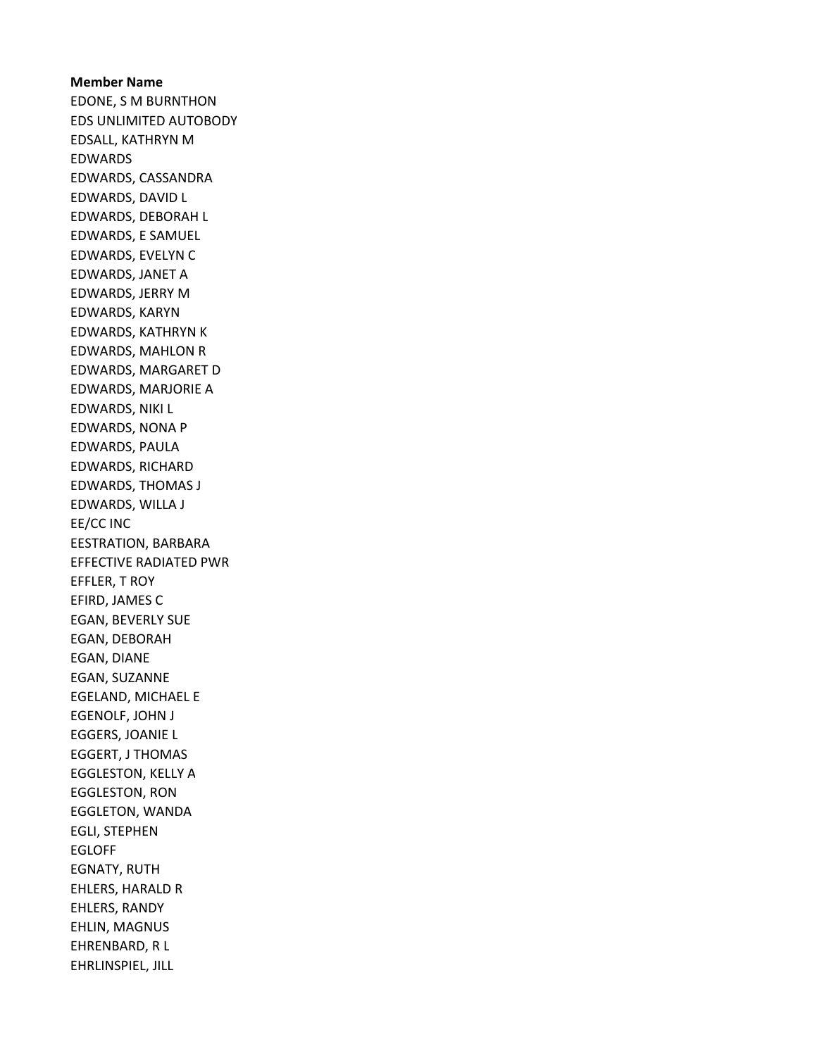# Member Name EDONE, S M BURNTHON EDS UNLIMITED AUTOBODY EDSALL, KATHRYN M EDWARDS EDWARDS, CASSANDRA EDWARDS, DAVID L EDWARDS, DEBORAH L EDWARDS, E SAMUEL EDWARDS, EVELYN C EDWARDS, JANET A EDWARDS, JERRY M EDWARDS, KARYN EDWARDS, KATHRYN K EDWARDS, MAHLON R EDWARDS, MARGARET D EDWARDS, MARJORIE A EDWARDS, NIKI L EDWARDS, NONA P EDWARDS, PAULA EDWARDS, RICHARD EDWARDS, THOMAS J EDWARDS, WILLA J EE/CC INC EESTRATION, BARBARA EFFECTIVE RADIATED PWR EFFLER, T ROY EFIRD, JAMES C EGAN, BEVERLY SUE EGAN, DEBORAH EGAN, DIANE EGAN, SUZANNE EGELAND, MICHAEL E EGENOLF, JOHN J EGGERS, JOANIE L EGGERT, J THOMAS EGGLESTON, KELLY A EGGLESTON, RON EGGLETON, WANDA EGLI, STEPHEN EGLOFF EGNATY, RUTH EHLERS, HARALD R EHLERS, RANDY EHLIN, MAGNUS EHRENBARD, R L EHRLINSPIEL, JILL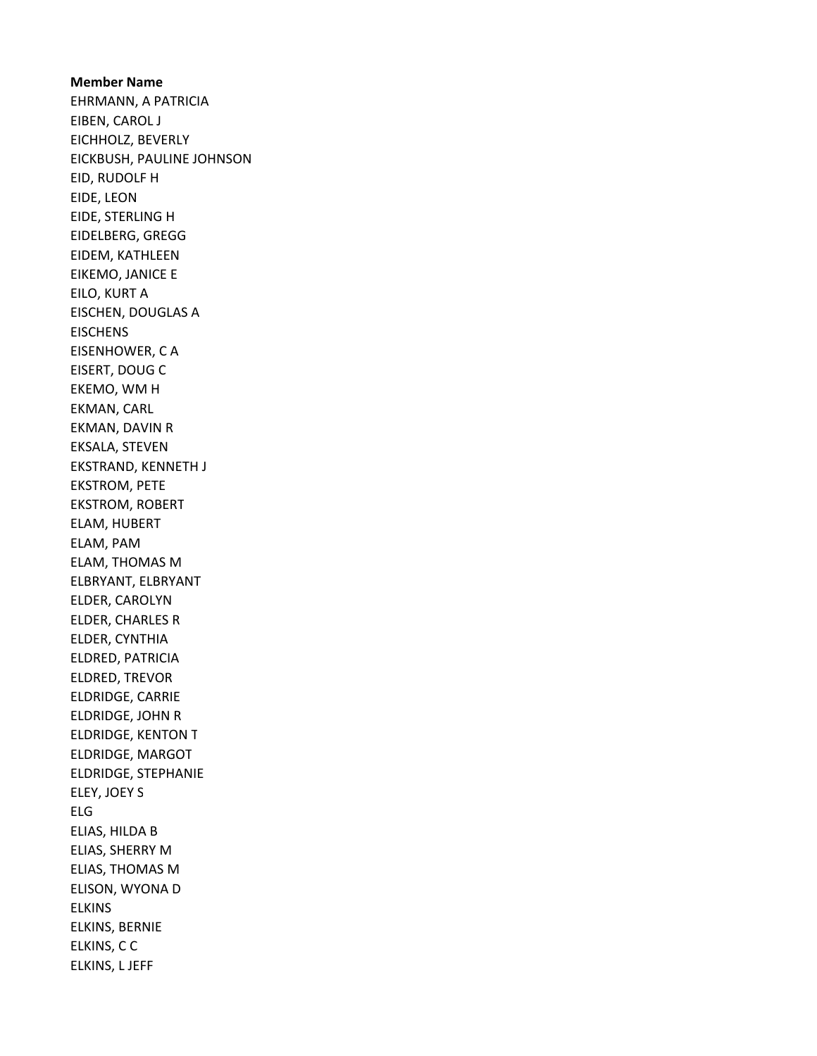Member Name EHRMANN, A PATRICIA EIBEN, CAROL J EICHHOLZ, BEVERLY EICKBUSH, PAULINE JOHNSON EID, RUDOLF H EIDE, LEON EIDE, STERLING H EIDELBERG, GREGG EIDEM, KATHLEEN EIKEMO, JANICE E EILO, KURT A EISCHEN, DOUGLAS A **EISCHENS** EISENHOWER, C A EISERT, DOUG C EKEMO, WM H EKMAN, CARL EKMAN, DAVIN R EKSALA, STEVEN EKSTRAND, KENNETH J EKSTROM, PETE EKSTROM, ROBERT ELAM, HUBERT ELAM, PAM ELAM, THOMAS M ELBRYANT, ELBRYANT ELDER, CAROLYN ELDER, CHARLES R ELDER, CYNTHIA ELDRED, PATRICIA ELDRED, TREVOR ELDRIDGE, CARRIE ELDRIDGE, JOHN R ELDRIDGE, KENTON T ELDRIDGE, MARGOT ELDRIDGE, STEPHANIE ELEY, JOEY S ELG ELIAS, HILDA B ELIAS, SHERRY M ELIAS, THOMAS M ELISON, WYONA D ELKINS ELKINS, BERNIE ELKINS, C C ELKINS, L JEFF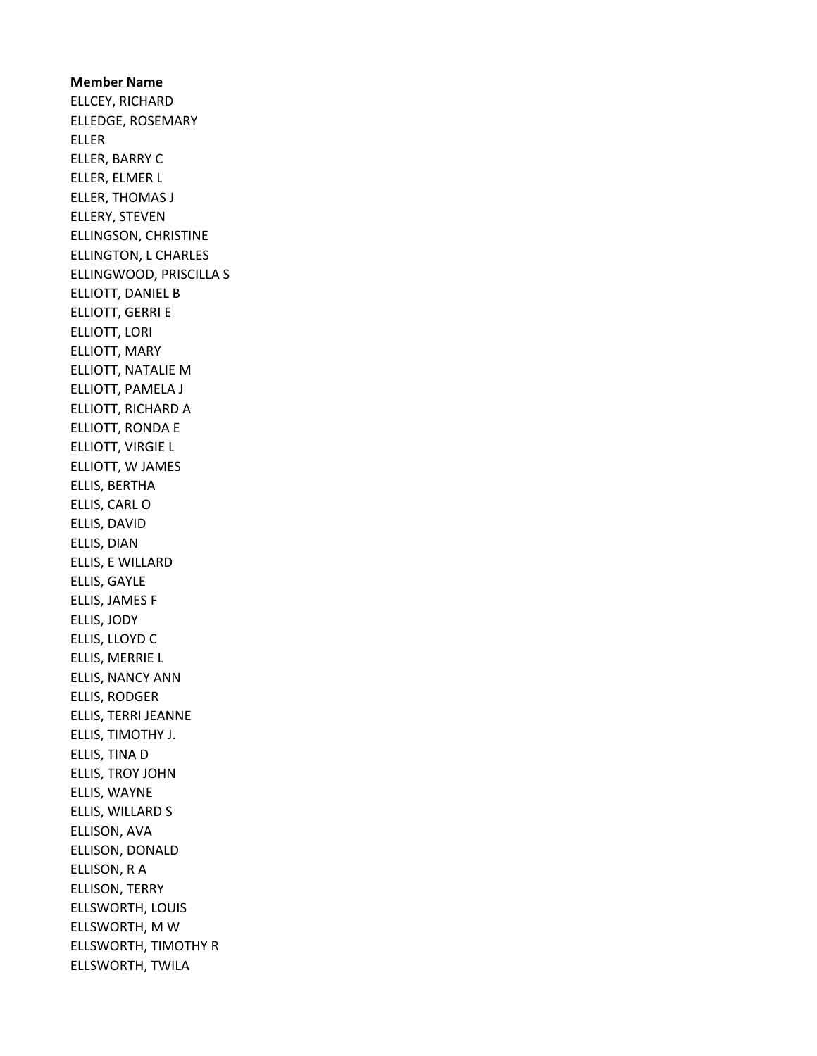Member Name ELLCEY, RICHARD ELLEDGE, ROSEMARY ELLER ELLER, BARRY C ELLER, ELMER L ELLER, THOMAS J ELLERY, STEVEN ELLINGSON, CHRISTINE ELLINGTON, L CHARLES ELLINGWOOD, PRISCILLA S ELLIOTT, DANIEL B ELLIOTT, GERRI E ELLIOTT, LORI ELLIOTT, MARY ELLIOTT, NATALIE M ELLIOTT, PAMELA J ELLIOTT, RICHARD A ELLIOTT, RONDA E ELLIOTT, VIRGIE L ELLIOTT, W JAMES ELLIS, BERTHA ELLIS, CARL O ELLIS, DAVID ELLIS, DIAN ELLIS, E WILLARD ELLIS, GAYLE ELLIS, JAMES F ELLIS, JODY ELLIS, LLOYD C ELLIS, MERRIE L ELLIS, NANCY ANN ELLIS, RODGER ELLIS, TERRI JEANNE ELLIS, TIMOTHY J. ELLIS, TINA D ELLIS, TROY JOHN ELLIS, WAYNE ELLIS, WILLARD S ELLISON, AVA ELLISON, DONALD ELLISON, R A ELLISON, TERRY ELLSWORTH, LOUIS ELLSWORTH, M W ELLSWORTH, TIMOTHY R ELLSWORTH, TWILA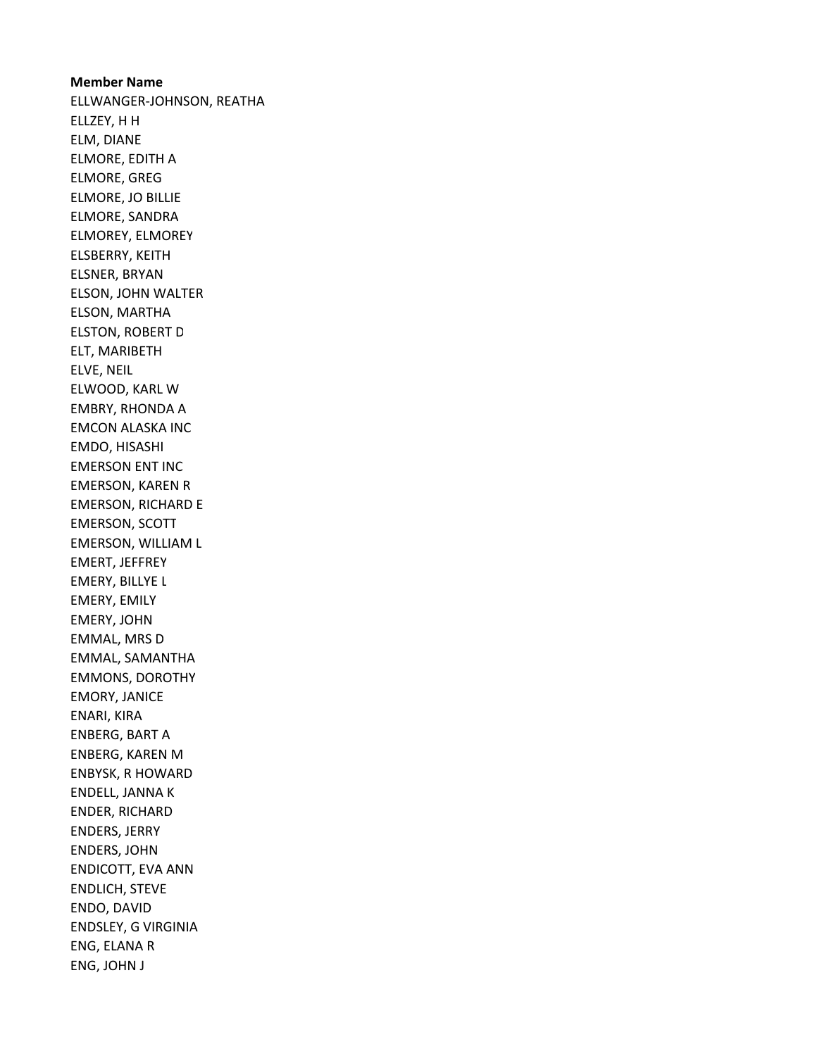# Member Name ELLWANGER-JOHNSON, REATHA ELLZEY, H H ELM, DIANE ELMORE, EDITH A ELMORE, GREG ELMORE, JO BILLIE ELMORE, SANDRA ELMOREY, ELMOREY ELSBERRY, KEITH ELSNER, BRYAN ELSON, JOHN WALTER ELSON, MARTHA ELSTON, ROBERT D ELT, MARIBETH ELVE, NEIL ELWOOD, KARL W EMBRY, RHONDA A EMCON ALASKA INC EMDO, HISASHI EMERSON ENT INC EMERSON, KAREN R EMERSON, RICHARD E EMERSON, SCOTT EMERSON, WILLIAM L EMERT, JEFFREY EMERY, BILLYE L EMERY, EMILY EMERY, JOHN EMMAL, MRS D EMMAL, SAMANTHA EMMONS, DOROTHY EMORY, JANICE ENARI, KIRA ENBERG, BART A ENBERG, KAREN M ENBYSK, R HOWARD ENDELL, JANNA K ENDER, RICHARD ENDERS, JERRY ENDERS, JOHN ENDICOTT, EVA ANN ENDLICH, STEVE ENDO, DAVID ENDSLEY, G VIRGINIA ENG, ELANA R ENG, JOHN J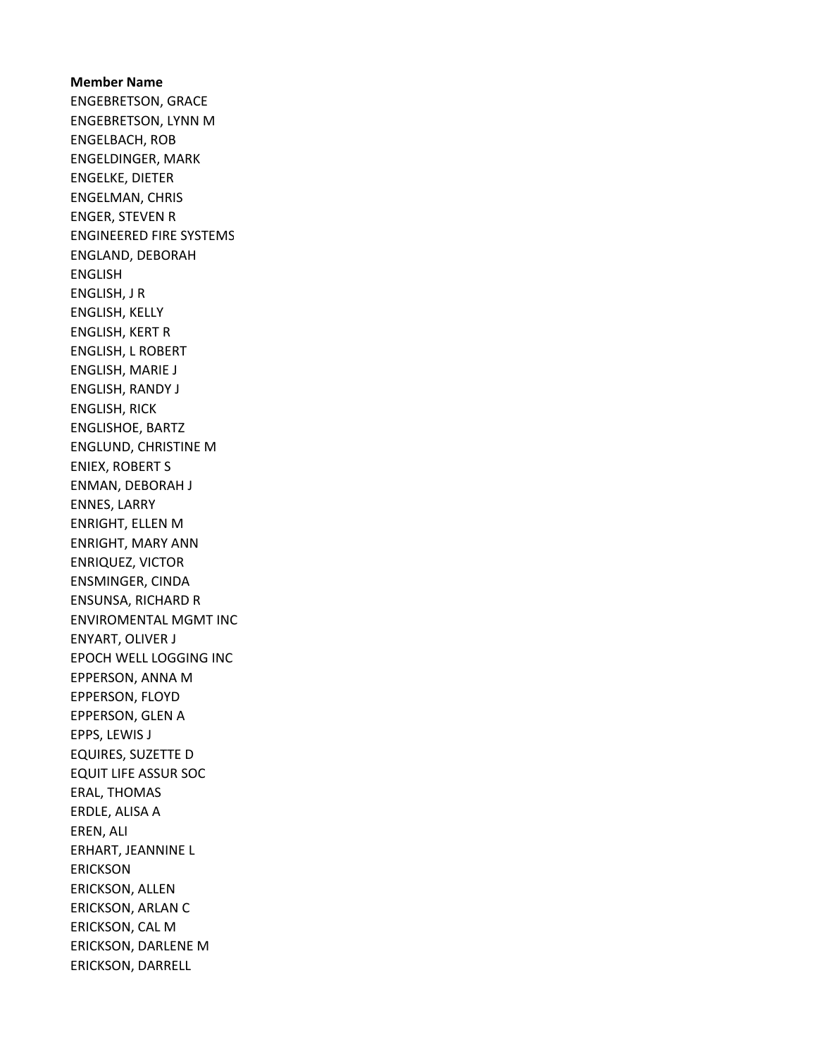Member Name ENGEBRETSON, GRACE ENGEBRETSON, LYNN M ENGELBACH, ROB ENGELDINGER, MARK ENGELKE, DIETER ENGELMAN, CHRIS ENGER, STEVEN R ENGINEERED FIRE SYSTEMS ENGLAND, DEBORAH ENGLISH ENGLISH, J R ENGLISH, KELLY ENGLISH, KERT R ENGLISH, L ROBERT ENGLISH, MARIE J ENGLISH, RANDY J ENGLISH, RICK ENGLISHOE, BARTZ ENGLUND, CHRISTINE M ENIEX, ROBERT S ENMAN, DEBORAH J ENNES, LARRY ENRIGHT, ELLEN M ENRIGHT, MARY ANN ENRIQUEZ, VICTOR ENSMINGER, CINDA ENSUNSA, RICHARD R ENVIROMENTAL MGMT INC ENYART, OLIVER J EPOCH WELL LOGGING INC EPPERSON, ANNA M EPPERSON, FLOYD EPPERSON, GLEN A EPPS, LEWIS J EQUIRES, SUZETTE D EQUIT LIFE ASSUR SOC ERAL, THOMAS ERDLE, ALISA A EREN, ALI ERHART, JEANNINE L ERICKSON ERICKSON, ALLEN ERICKSON, ARLAN C ERICKSON, CAL M ERICKSON, DARLENE M ERICKSON, DARRELL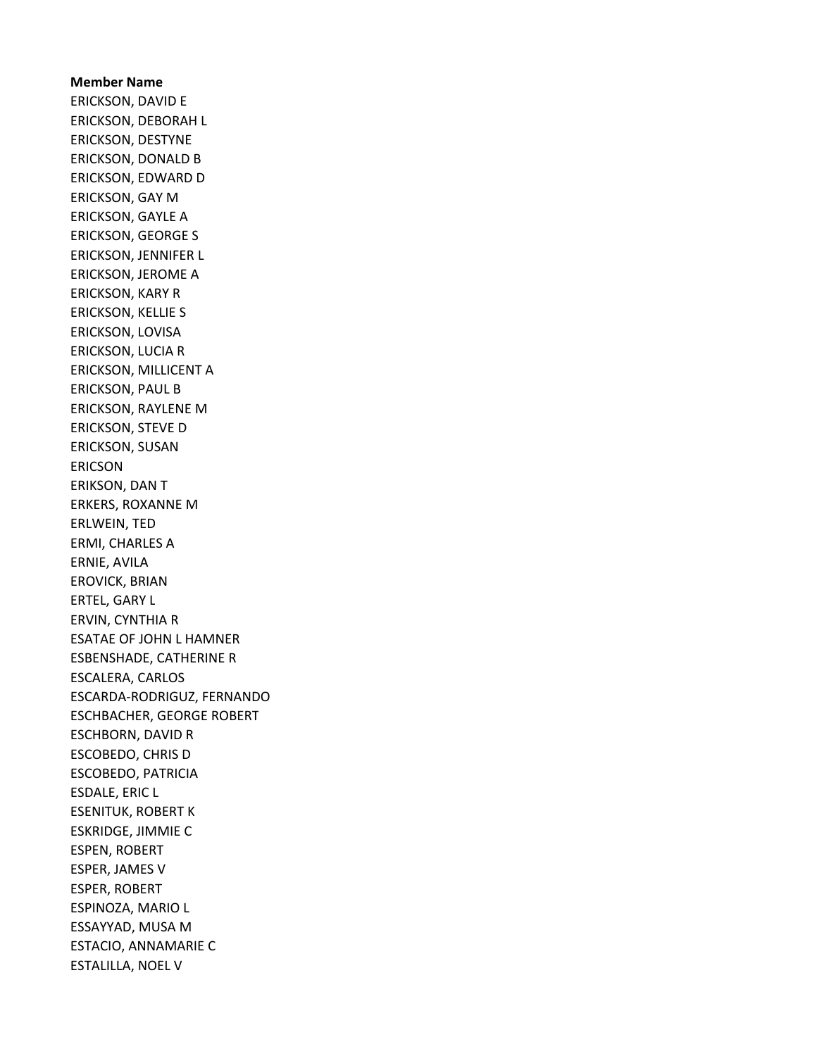# Member Name ERICKSON, DAVID E ERICKSON, DEBORAH L ERICKSON, DESTYNE ERICKSON, DONALD B ERICKSON, EDWARD D ERICKSON, GAY M ERICKSON, GAYLE A ERICKSON, GEORGE S ERICKSON, JENNIFER L ERICKSON, JEROME A ERICKSON, KARY R ERICKSON, KELLIE S ERICKSON, LOVISA ERICKSON, LUCIA R ERICKSON, MILLICENT A ERICKSON, PAUL B ERICKSON, RAYLENE M ERICKSON, STEVE D ERICKSON, SUSAN ERICSON ERIKSON, DAN T ERKERS, ROXANNE M ERLWEIN, TED ERMI, CHARLES A ERNIE, AVILA EROVICK, BRIAN ERTEL, GARY L ERVIN, CYNTHIA R ESATAE OF JOHN L HAMNER ESBENSHADE, CATHERINE R ESCALERA, CARLOS ESCARDA-RODRIGUZ, FERNANDO ESCHBACHER, GEORGE ROBERT ESCHBORN, DAVID R ESCOBEDO, CHRIS D ESCOBEDO, PATRICIA ESDALE, ERIC L ESENITUK, ROBERT K ESKRIDGE, JIMMIE C ESPEN, ROBERT ESPER, JAMES V ESPER, ROBERT ESPINOZA, MARIO L ESSAYYAD, MUSA M ESTACIO, ANNAMARIE C ESTALILLA, NOEL V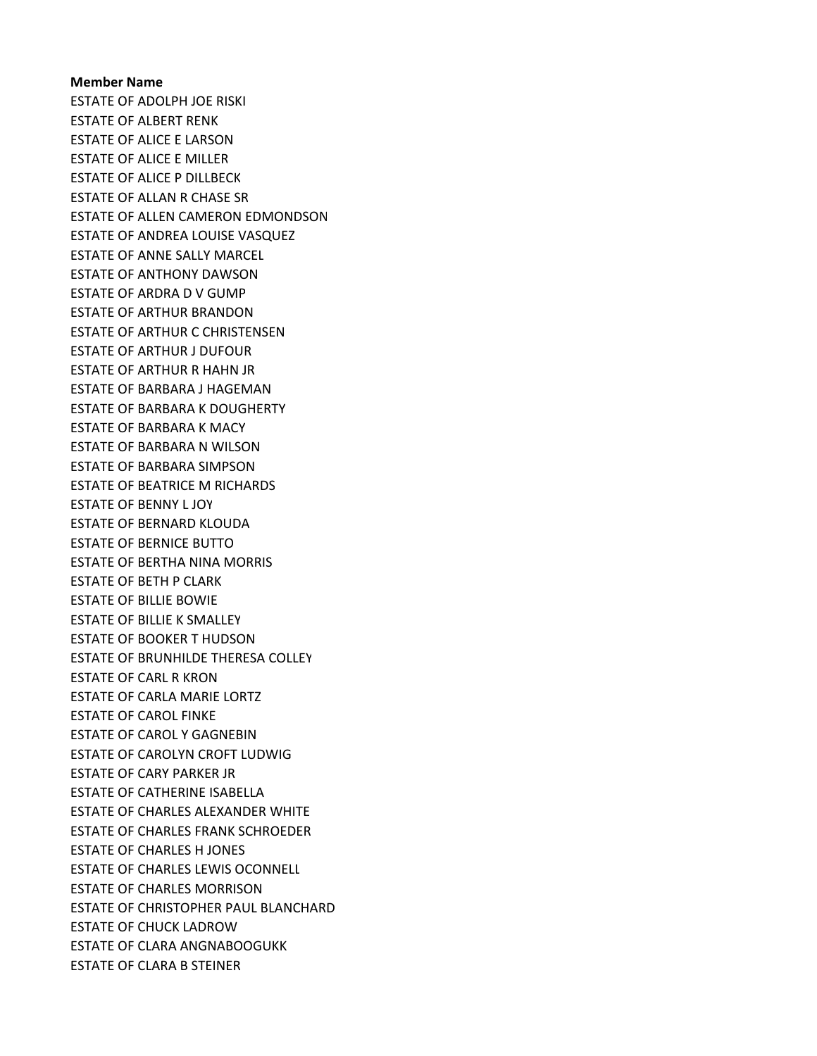ESTATE OF ADOLPH JOE RISKI ESTATE OF ALBERT RENK ESTATE OF ALICE E LARSON ESTATE OF ALICE E MILLER ESTATE OF ALICE P DILLBECK ESTATE OF ALLAN R CHASE SR ESTATE OF ALLEN CAMERON EDMONDSON ESTATE OF ANDREA LOUISE VASQUEZ ESTATE OF ANNE SALLY MARCEL ESTATE OF ANTHONY DAWSON ESTATE OF ARDRA D V GUMP ESTATE OF ARTHUR BRANDON ESTATE OF ARTHUR C CHRISTENSEN ESTATE OF ARTHUR J DUFOUR ESTATE OF ARTHUR R HAHN JR ESTATE OF BARBARA J HAGEMAN ESTATE OF BARBARA K DOUGHERTY ESTATE OF BARBARA K MACY ESTATE OF BARBARA N WILSON ESTATE OF BARBARA SIMPSON ESTATE OF BEATRICE M RICHARDS ESTATE OF BENNY L JOY ESTATE OF BERNARD KLOUDA ESTATE OF BERNICE BUTTO ESTATE OF BERTHA NINA MORRIS ESTATE OF BETH P CLARK ESTATE OF BILLIE BOWIE ESTATE OF BILLIE K SMALLEY ESTATE OF BOOKER T HUDSON ESTATE OF BRUNHILDE THERESA COLLEY ESTATE OF CARL R KRON ESTATE OF CARLA MARIE LORTZ ESTATE OF CAROL FINKE ESTATE OF CAROL Y GAGNEBIN ESTATE OF CAROLYN CROFT LUDWIG ESTATE OF CARY PARKER JR ESTATE OF CATHERINE ISABELLA ESTATE OF CHARLES ALEXANDER WHITE ESTATE OF CHARLES FRANK SCHROEDER ESTATE OF CHARLES H JONES ESTATE OF CHARLES LEWIS OCONNELL ESTATE OF CHARLES MORRISON ESTATE OF CHRISTOPHER PAUL BLANCHARD ESTATE OF CHUCK LADROW ESTATE OF CLARA ANGNABOOGUKK ESTATE OF CLARA B STEINER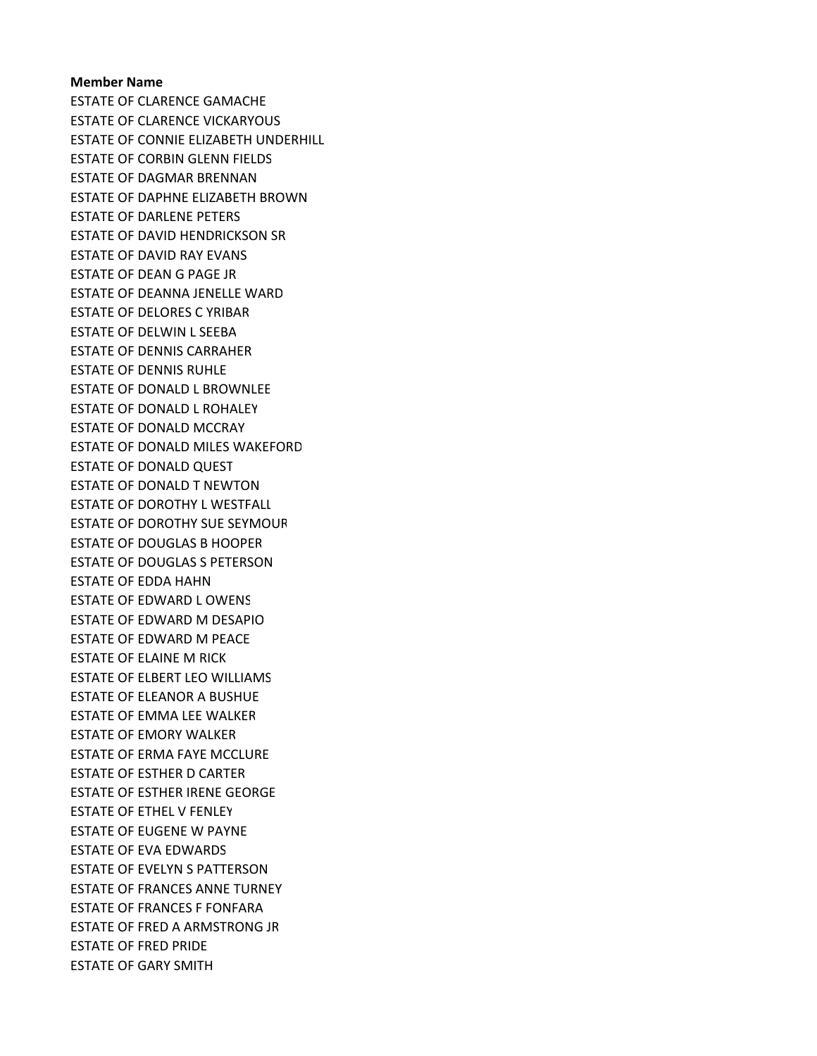ESTATE OF CLARENCE GAMACHE ESTATE OF CLARENCE VICKARYOUS ESTATE OF CONNIE ELIZABETH UNDERHILL ESTATE OF CORBIN GLENN FIELDS ESTATE OF DAGMAR BRENNAN ESTATE OF DAPHNE ELIZABETH BROWN ESTATE OF DARLENE PETERS ESTATE OF DAVID HENDRICKSON SR ESTATE OF DAVID RAY EVANS ESTATE OF DEAN G PAGE JR ESTATE OF DEANNA JENELLE WARD ESTATE OF DELORES C YRIBAR ESTATE OF DELWIN L SEEBA ESTATE OF DENNIS CARRAHER ESTATE OF DENNIS RUHLE ESTATE OF DONALD L BROWNLEE ESTATE OF DONALD L ROHALEY ESTATE OF DONALD MCCRAY ESTATE OF DONALD MILES WAKEFORD ESTATE OF DONALD QUEST ESTATE OF DONALD T NEWTON ESTATE OF DOROTHY L WESTFALL ESTATE OF DOROTHY SUE SEYMOUR ESTATE OF DOUGLAS B HOOPER ESTATE OF DOUGLAS S PETERSON ESTATE OF EDDA HAHN ESTATE OF EDWARD L OWENS ESTATE OF EDWARD M DESAPIO ESTATE OF EDWARD M PEACE ESTATE OF ELAINE M RICK ESTATE OF ELBERT LEO WILLIAMS ESTATE OF ELEANOR A BUSHUE ESTATE OF EMMA LEE WALKER ESTATE OF EMORY WALKER ESTATE OF ERMA FAYE MCCLURE ESTATE OF ESTHER D CARTER ESTATE OF ESTHER IRENE GEORGE ESTATE OF ETHEL V FENLEY ESTATE OF EUGENE W PAYNE ESTATE OF EVA EDWARDS ESTATE OF EVELYN S PATTERSON ESTATE OF FRANCES ANNE TURNEY ESTATE OF FRANCES F FONFARA ESTATE OF FRED A ARMSTRONG JR ESTATE OF FRED PRIDE ESTATE OF GARY SMITH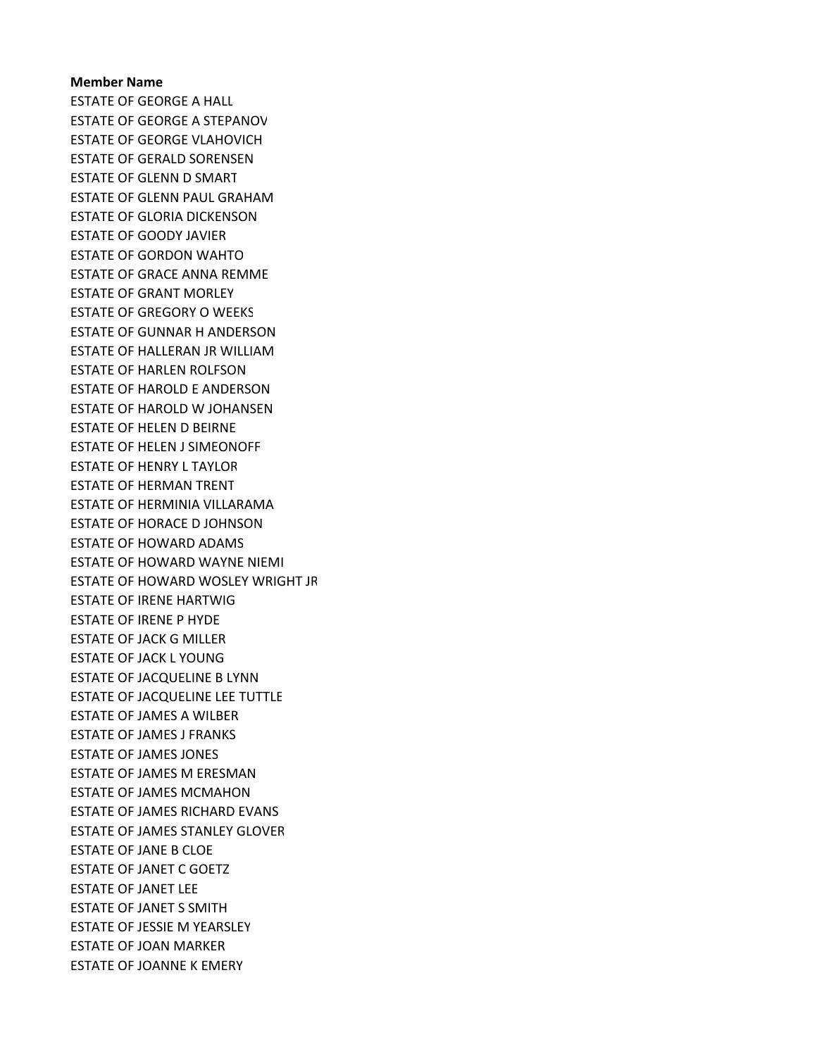ESTATE OF GEORGE A HALL ESTATE OF GEORGE A STEPANOV ESTATE OF GEORGE VLAHOVICH ESTATE OF GERALD SORENSEN ESTATE OF GLENN D SMART ESTATE OF GLENN PAUL GRAHAM ESTATE OF GLORIA DICKENSON ESTATE OF GOODY JAVIER ESTATE OF GORDON WAHTO ESTATE OF GRACE ANNA REMME ESTATE OF GRANT MORLEY ESTATE OF GREGORY O WEEKS ESTATE OF GUNNAR H ANDERSON ESTATE OF HALLERAN JR WILLIAM ESTATE OF HARLEN ROLFSON ESTATE OF HAROLD E ANDERSON ESTATE OF HAROLD W JOHANSEN ESTATE OF HELEN D BEIRNE ESTATE OF HELEN J SIMEONOFF ESTATE OF HENRY L TAYLOR ESTATE OF HERMAN TRENT ESTATE OF HERMINIA VILLARAMA ESTATE OF HORACE D JOHNSON ESTATE OF HOWARD ADAMS ESTATE OF HOWARD WAYNE NIEMI ESTATE OF HOWARD WOSLEY WRIGHT JR ESTATE OF IRENE HARTWIG ESTATE OF IRENE P HYDE ESTATE OF JACK G MILLER ESTATE OF JACK L YOUNG ESTATE OF JACQUELINE B LYNN ESTATE OF JACQUELINE LEE TUTTLE ESTATE OF JAMES A WILBER ESTATE OF JAMES J FRANKS ESTATE OF JAMES JONES ESTATE OF JAMES M ERESMAN ESTATE OF JAMES MCMAHON ESTATE OF JAMES RICHARD EVANS ESTATE OF JAMES STANLEY GLOVER ESTATE OF JANE B CLOE ESTATE OF JANET C GOETZ ESTATE OF JANET LEE ESTATE OF JANET S SMITH ESTATE OF JESSIE M YEARSLEY ESTATE OF JOAN MARKER ESTATE OF JOANNE K EMERY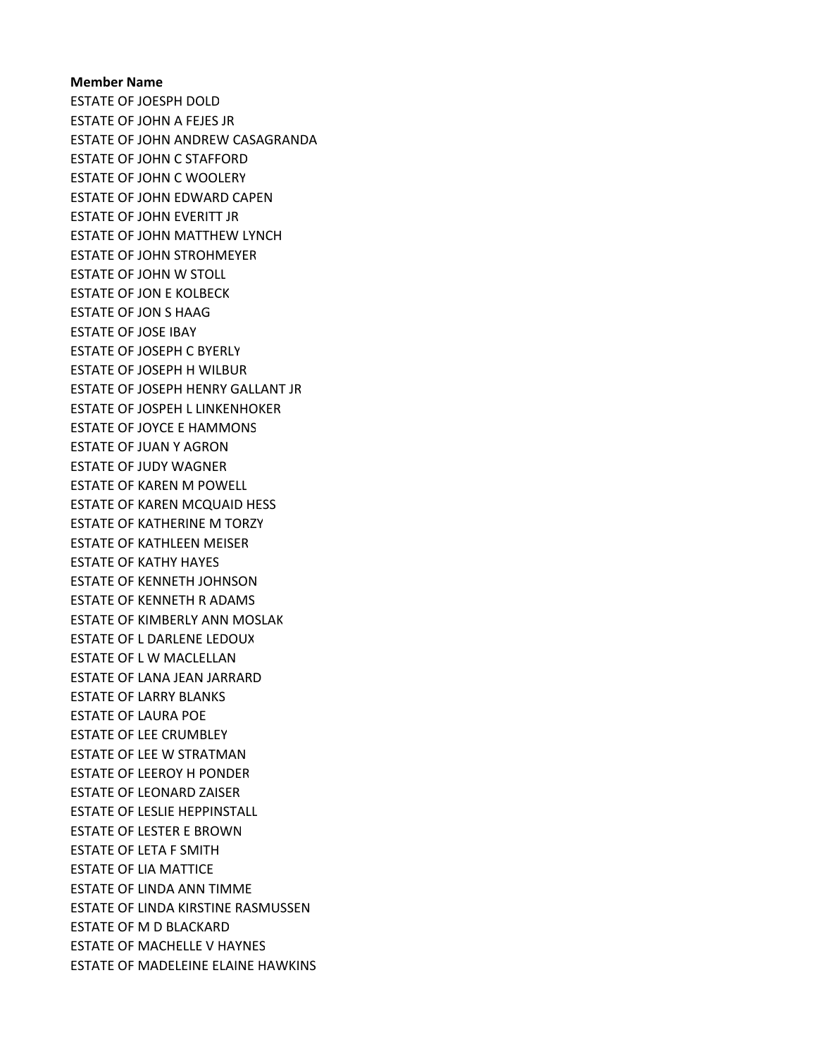# Member Name ESTATE OF JOESPH DOLD ESTATE OF JOHN A FEJES JR ESTATE OF JOHN ANDREW CASAGRANDA ESTATE OF JOHN C STAFFORD ESTATE OF JOHN C WOOLERY ESTATE OF JOHN EDWARD CAPEN ESTATE OF JOHN EVERITT JR ESTATE OF JOHN MATTHEW LYNCH ESTATE OF JOHN STROHMEYER ESTATE OF JOHN W STOLL ESTATE OF JON E KOLBECK ESTATE OF JON S HAAG ESTATE OF JOSE IBAY ESTATE OF JOSEPH C BYERLY ESTATE OF JOSEPH H WILBUR ESTATE OF JOSEPH HENRY GALLANT JR ESTATE OF JOSPEH L LINKENHOKER ESTATE OF JOYCE E HAMMONS ESTATE OF JUAN Y AGRON ESTATE OF JUDY WAGNER ESTATE OF KAREN M POWELL ESTATE OF KAREN MCQUAID HESS ESTATE OF KATHERINE M TORZY ESTATE OF KATHLEEN MEISER ESTATE OF KATHY HAYES ESTATE OF KENNETH JOHNSON ESTATE OF KENNETH R ADAMS ESTATE OF KIMBERLY ANN MOSLAK ESTATE OF L DARLENE LEDOUX ESTATE OF L W MACLELLAN ESTATE OF LANA JEAN JARRARD ESTATE OF LARRY BLANKS ESTATE OF LAURA POE ESTATE OF LEE CRUMBLEY ESTATE OF LEE W STRATMAN ESTATE OF LEEROY H PONDER ESTATE OF LEONARD ZAISER ESTATE OF LESLIE HEPPINSTALL ESTATE OF LESTER E BROWN ESTATE OF LETA F SMITH ESTATE OF LIA MATTICE ESTATE OF LINDA ANN TIMME ESTATE OF LINDA KIRSTINE RASMUSSEN ESTATE OF M D BLACKARD ESTATE OF MACHELLE V HAYNES ESTATE OF MADELEINE ELAINE HAWKINS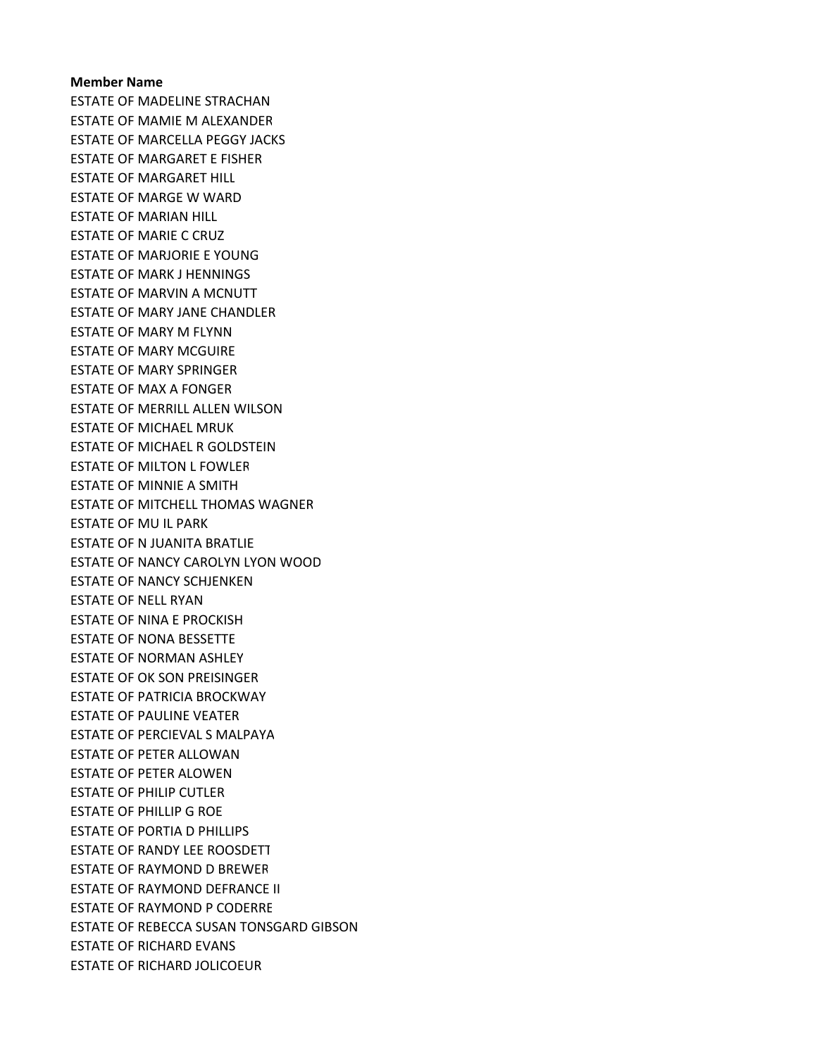ESTATE OF MADELINE STRACHAN ESTATE OF MAMIE M ALEXANDER ESTATE OF MARCELLA PEGGY JACKS ESTATE OF MARGARET E FISHER ESTATE OF MARGARET HILL ESTATE OF MARGE W WARD ESTATE OF MARIAN HILL ESTATE OF MARIE C CRUZ ESTATE OF MARJORIE E YOUNG ESTATE OF MARK J HENNINGS ESTATE OF MARVIN A MCNUTT ESTATE OF MARY JANE CHANDLER ESTATE OF MARY M FLYNN ESTATE OF MARY MCGUIRE ESTATE OF MARY SPRINGER ESTATE OF MAX A FONGER ESTATE OF MERRILL ALLEN WILSON ESTATE OF MICHAEL MRUK ESTATE OF MICHAEL R GOLDSTEIN ESTATE OF MILTON L FOWLER ESTATE OF MINNIE A SMITH ESTATE OF MITCHELL THOMAS WAGNER ESTATE OF MU IL PARK ESTATE OF N JUANITA BRATLIE ESTATE OF NANCY CAROLYN LYON WOOD ESTATE OF NANCY SCHJENKEN ESTATE OF NELL RYAN ESTATE OF NINA E PROCKISH ESTATE OF NONA BESSETTE ESTATE OF NORMAN ASHLEY ESTATE OF OK SON PREISINGER ESTATE OF PATRICIA BROCKWAY ESTATE OF PAULINE VEATER ESTATE OF PERCIEVAL S MALPAYA ESTATE OF PETER ALLOWAN ESTATE OF PETER ALOWEN ESTATE OF PHILIP CUTLER ESTATE OF PHILLIP G ROE ESTATE OF PORTIA D PHILLIPS ESTATE OF RANDY LEE ROOSDETT ESTATE OF RAYMOND D BREWER ESTATE OF RAYMOND DEFRANCE II ESTATE OF RAYMOND P CODERRE ESTATE OF REBECCA SUSAN TONSGARD GIBSON ESTATE OF RICHARD EVANS ESTATE OF RICHARD JOLICOEUR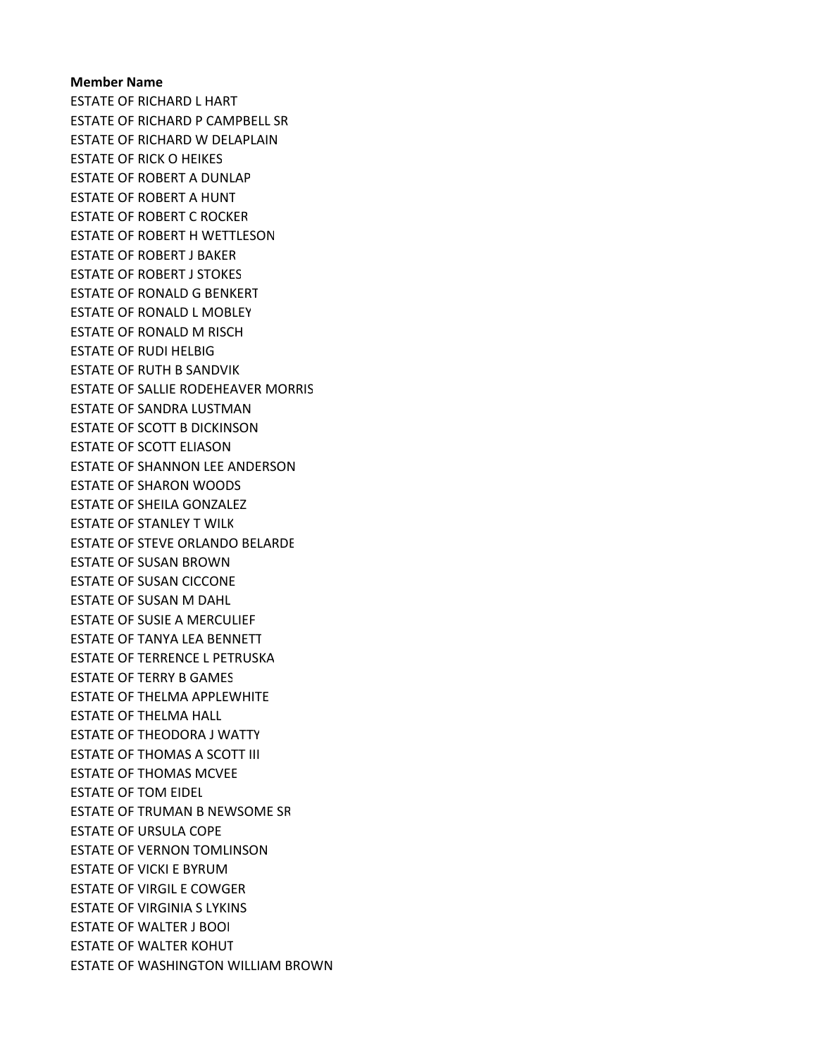# Member Name ESTATE OF RICHARD L HART ESTATE OF RICHARD P CAMPBELL SR ESTATE OF RICHARD W DELAPLAIN ESTATE OF RICK O HEIKES ESTATE OF ROBERT A DUNLAP ESTATE OF ROBERT A HUNT ESTATE OF ROBERT C ROCKER ESTATE OF ROBERT H WETTLESON ESTATE OF ROBERT J BAKER ESTATE OF ROBERT J STOKES ESTATE OF RONALD G BENKERT ESTATE OF RONALD L MOBLEY ESTATE OF RONALD M RISCH ESTATE OF RUDI HELBIG ESTATE OF RUTH B SANDVIK ESTATE OF SALLIE RODEHEAVER MORRIS ESTATE OF SANDRA LUSTMAN ESTATE OF SCOTT B DICKINSON ESTATE OF SCOTT ELIASON ESTATE OF SHANNON LEE ANDERSON ESTATE OF SHARON WOODS ESTATE OF SHEILA GONZALEZ ESTATE OF STANLEY T WILK ESTATE OF STEVE ORLANDO BELARDE ESTATE OF SUSAN BROWN ESTATE OF SUSAN CICCONE ESTATE OF SUSAN M DAHL ESTATE OF SUSIE A MERCULIEF ESTATE OF TANYA LEA BENNETT ESTATE OF TERRENCE L PETRUSKA ESTATE OF TERRY B GAMES ESTATE OF THELMA APPLEWHITE ESTATE OF THELMA HALL ESTATE OF THEODORA J WATTY ESTATE OF THOMAS A SCOTT III ESTATE OF THOMAS MCVEE ESTATE OF TOM EIDEL ESTATE OF TRUMAN B NEWSOME SR ESTATE OF URSULA COPE ESTATE OF VERNON TOMLINSON ESTATE OF VICKI E BYRUM ESTATE OF VIRGIL E COWGER ESTATE OF VIRGINIA S LYKINS ESTATE OF WALTER J BOOI ESTATE OF WALTER KOHUT ESTATE OF WASHINGTON WILLIAM BROWN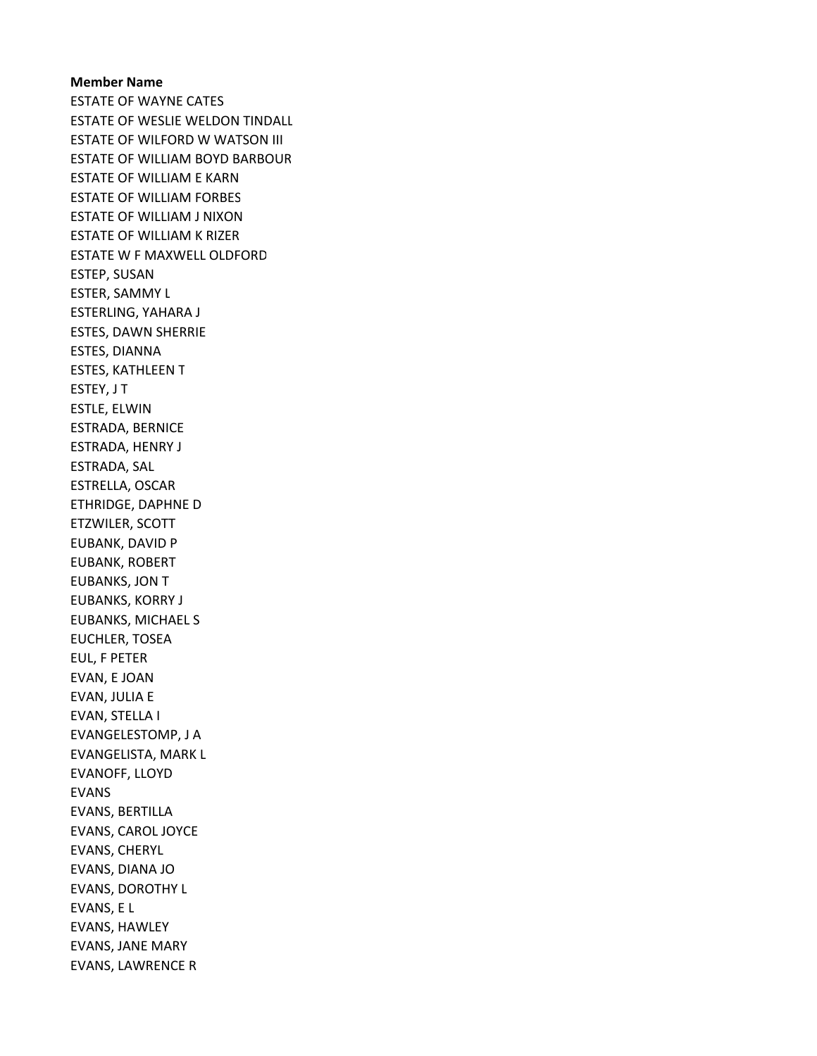# Member Name ESTATE OF WAYNE CATES ESTATE OF WESLIE WELDON TINDALL ESTATE OF WILFORD W WATSON III ESTATE OF WILLIAM BOYD BARBOUR ESTATE OF WILLIAM E KARN ESTATE OF WILLIAM FORBES ESTATE OF WILLIAM J NIXON ESTATE OF WILLIAM K RIZER ESTATE W F MAXWELL OLDFORD ESTEP, SUSAN ESTER, SAMMY L ESTERLING, YAHARA J ESTES, DAWN SHERRIE ESTES, DIANNA ESTES, KATHLEEN T ESTEY, J T ESTLE, ELWIN ESTRADA, BERNICE ESTRADA, HENRY J ESTRADA, SAL ESTRELLA, OSCAR ETHRIDGE, DAPHNE D ETZWILER, SCOTT EUBANK, DAVID P EUBANK, ROBERT EUBANKS, JON T EUBANKS, KORRY J EUBANKS, MICHAEL S EUCHLER, TOSEA EUL, F PETER EVAN, E JOAN EVAN, JULIA E EVAN, STELLA I EVANGELESTOMP, J A EVANGELISTA, MARK L EVANOFF, LLOYD EVANS EVANS, BERTILLA EVANS, CAROL JOYCE EVANS, CHERYL EVANS, DIANA JO EVANS, DOROTHY L EVANS, E L EVANS, HAWLEY EVANS, JANE MARY EVANS, LAWRENCE R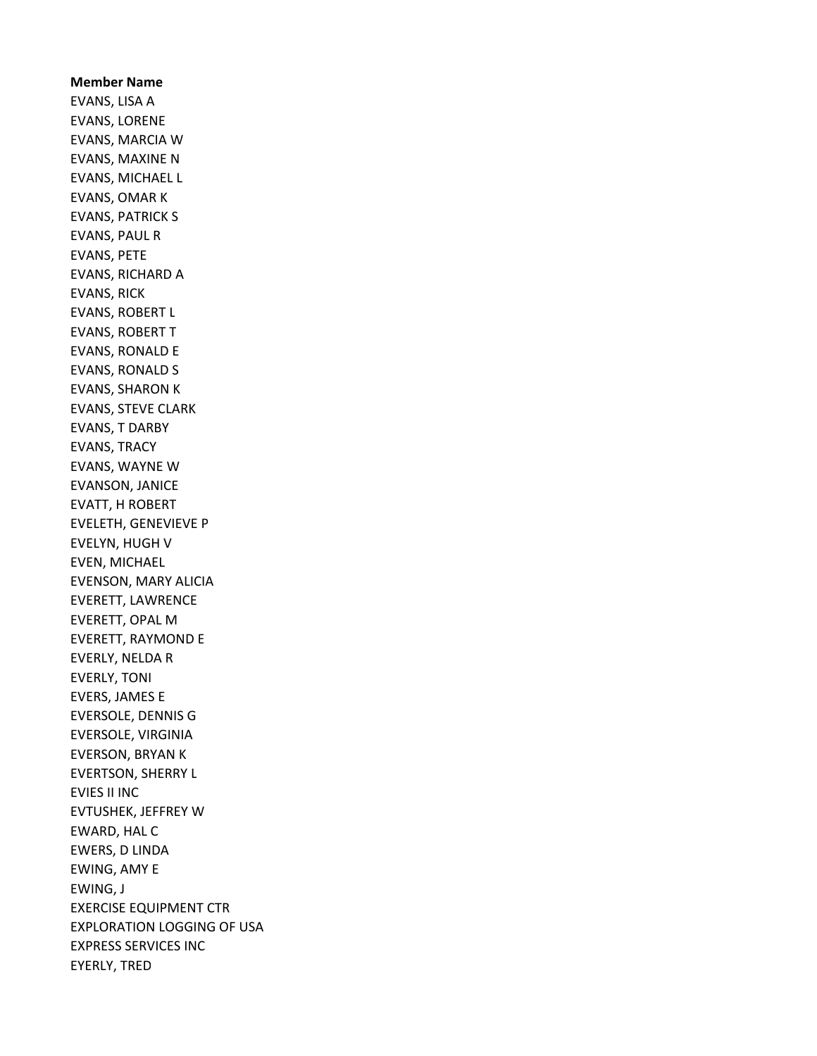Member Name EVANS, LISA A EVANS, LORENE EVANS, MARCIA W EVANS, MAXINE N EVANS, MICHAEL L EVANS, OMAR K EVANS, PATRICK S EVANS, PAUL R EVANS, PETE EVANS, RICHARD A EVANS, RICK EVANS, ROBERT L EVANS, ROBERT T EVANS, RONALD E EVANS, RONALD S EVANS, SHARON K EVANS, STEVE CLARK EVANS, T DARBY EVANS, TRACY EVANS, WAYNE W EVANSON, JANICE EVATT, H ROBERT EVELETH, GENEVIEVE P EVELYN, HUGH V EVEN, MICHAEL EVENSON, MARY ALICIA EVERETT, LAWRENCE EVERETT, OPAL M EVERETT, RAYMOND E EVERLY, NELDA R EVERLY, TONI EVERS, JAMES E EVERSOLE, DENNIS G EVERSOLE, VIRGINIA EVERSON, BRYAN K EVERTSON, SHERRY L EVIES II INC EVTUSHEK, JEFFREY W EWARD, HAL C EWERS, D LINDA EWING, AMY E EWING, J EXERCISE EQUIPMENT CTR EXPLORATION LOGGING OF USA EXPRESS SERVICES INC EYERLY, TRED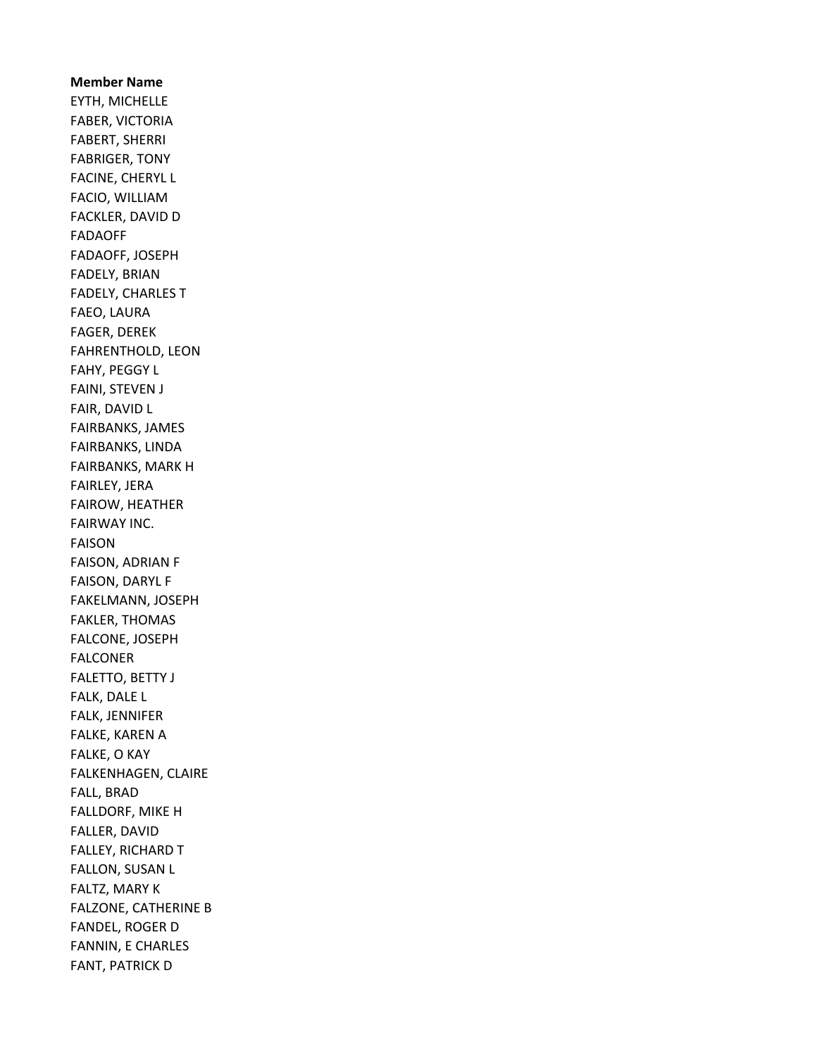Member Name EYTH, MICHELLE FABER, VICTORIA FABERT, SHERRI FABRIGER, TONY FACINE, CHERYL L FACIO, WILLIAM FACKLER, DAVID D FADAOFF FADAOFF, JOSEPH FADELY, BRIAN FADELY, CHARLES T FAEO, LAURA FAGER, DEREK FAHRENTHOLD, LEON FAHY, PEGGY L FAINI, STEVEN J FAIR, DAVID L FAIRBANKS, JAMES FAIRBANKS, LINDA FAIRBANKS, MARK H FAIRLEY, JERA FAIROW, HEATHER FAIRWAY INC. FAISON FAISON, ADRIAN F FAISON, DARYL F FAKELMANN, JOSEPH FAKLER, THOMAS FALCONE, JOSEPH FALCONER FALETTO, BETTY J FALK, DALE L FALK, JENNIFER FALKE, KAREN A FALKE, O KAY FALKENHAGEN, CLAIRE FALL, BRAD FALLDORF, MIKE H FALLER, DAVID FALLEY, RICHARD T FALLON, SUSAN L FALTZ, MARY K FALZONE, CATHERINE B FANDEL, ROGER D FANNIN, E CHARLES FANT, PATRICK D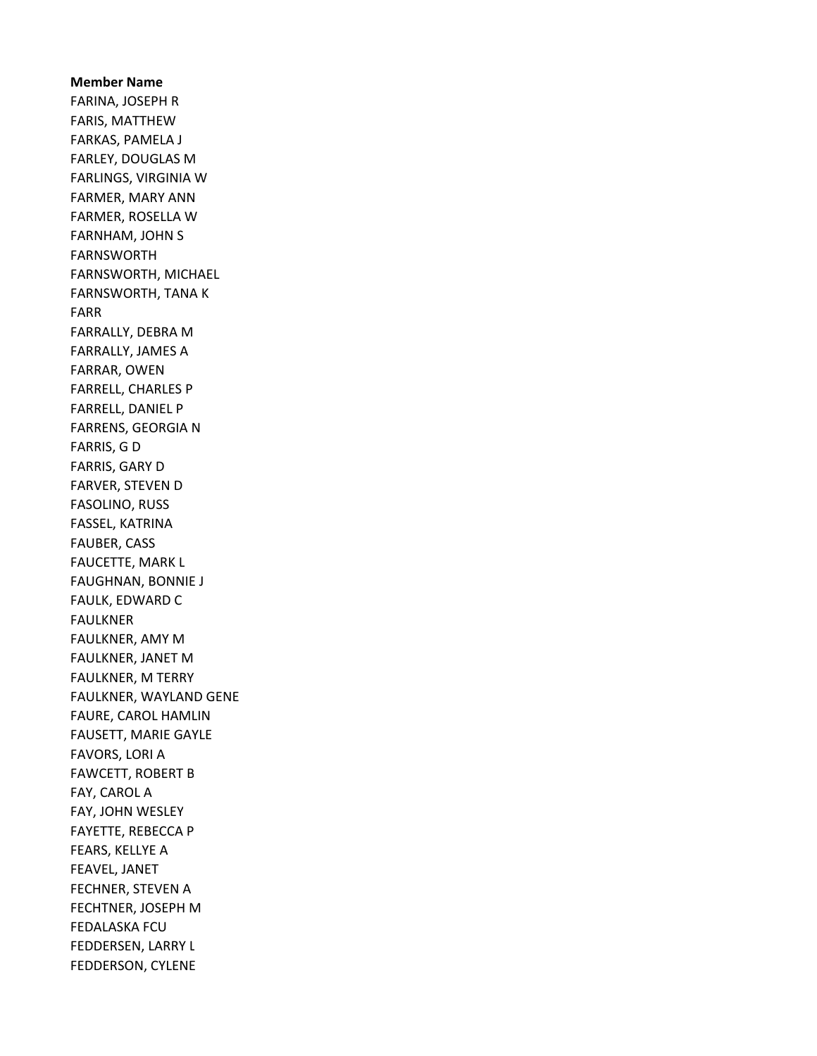# Member Name FARINA, JOSEPH R FARIS, MATTHEW FARKAS, PAMELA J FARLEY, DOUGLAS M FARLINGS, VIRGINIA W FARMER, MARY ANN FARMER, ROSELLA W FARNHAM, JOHN S FARNSWORTH FARNSWORTH, MICHAEL FARNSWORTH, TANA K FARR FARRALLY, DEBRA M FARRALLY, JAMES A FARRAR, OWEN FARRELL, CHARLES P FARRELL, DANIEL P FARRENS, GEORGIA N FARRIS, G D FARRIS, GARY D FARVER, STEVEN D FASOLINO, RUSS FASSEL, KATRINA FAUBER, CASS FAUCETTE, MARK L FAUGHNAN, BONNIE J FAULK, EDWARD C FAULKNER FAULKNER, AMY M FAULKNER, JANET M FAULKNER, M TERRY FAULKNER, WAYLAND GENE FAURE, CAROL HAMLIN FAUSETT, MARIE GAYLE FAVORS, LORI A FAWCETT, ROBERT B FAY, CAROL A FAY, JOHN WESLEY FAYETTE, REBECCA P FEARS, KELLYE A FEAVEL, JANET FECHNER, STEVEN A FECHTNER, JOSEPH M FEDALASKA FCU FEDDERSEN, LARRY L FEDDERSON, CYLENE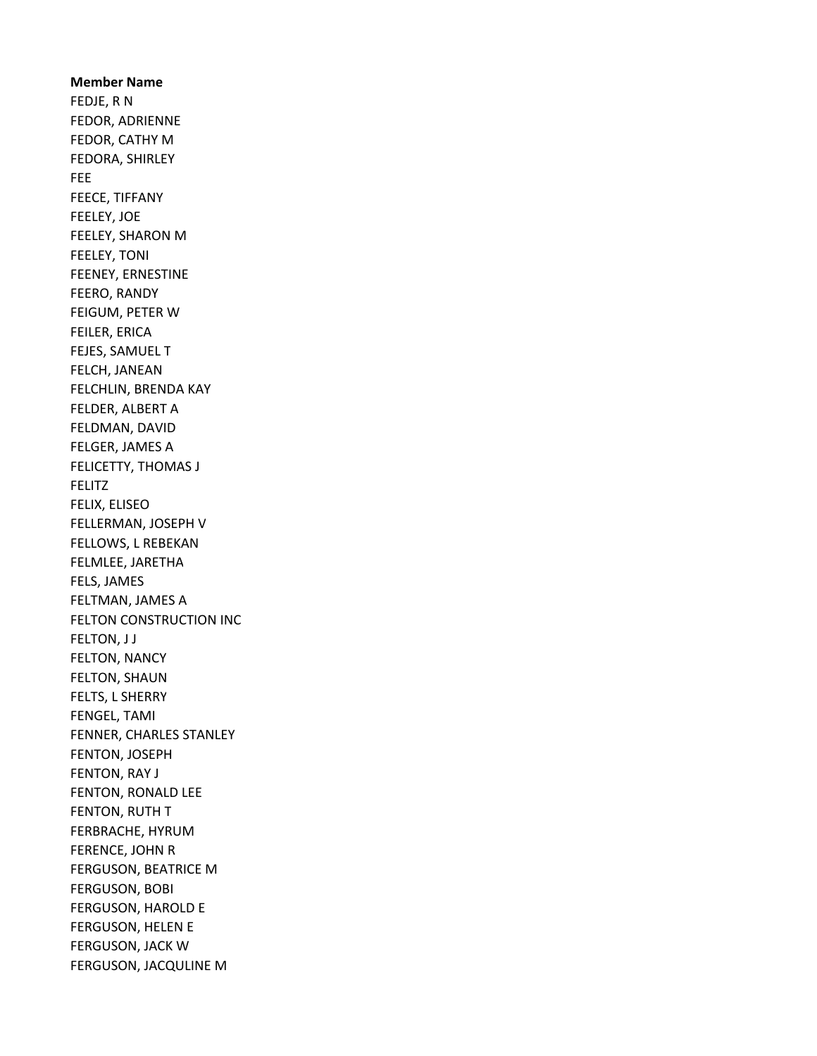Member Name FEDJE, R N FEDOR, ADRIENNE FEDOR, CATHY M FEDORA, SHIRLEY FEE FEECE, TIFFANY FEELEY, JOE FEELEY, SHARON M FEELEY, TONI FEENEY, ERNESTINE FEERO, RANDY FEIGUM, PETER W FEILER, ERICA FEJES, SAMUEL T FELCH, JANEAN FELCHLIN, BRENDA KAY FELDER, ALBERT A FELDMAN, DAVID FELGER, JAMES A FELICETTY, THOMAS J FELITZ FELIX, ELISEO FELLERMAN, JOSEPH V FELLOWS, L REBEKAN FELMLEE, JARETHA FELS, JAMES FELTMAN, JAMES A FELTON CONSTRUCTION INC FELTON, J J FELTON, NANCY FELTON, SHAUN FELTS, L SHERRY FENGEL, TAMI FENNER, CHARLES STANLEY FENTON, JOSEPH FENTON, RAY J FENTON, RONALD LEE FENTON, RUTH T FERBRACHE, HYRUM FERENCE, JOHN R FERGUSON, BEATRICE M FERGUSON, BOBI FERGUSON, HAROLD E FERGUSON, HELEN E FERGUSON, JACK W FERGUSON, JACQULINE M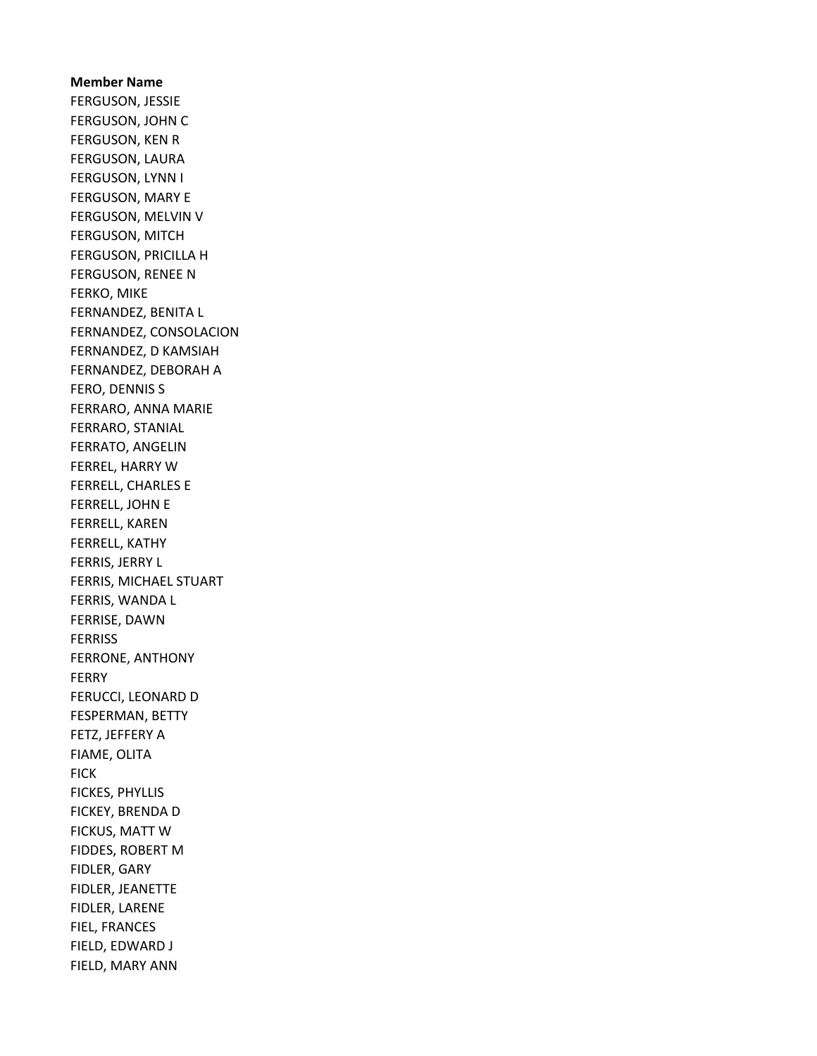Member Name FERGUSON, JESSIE FERGUSON, JOHN C FERGUSON, KEN R FERGUSON, LAURA FERGUSON, LYNN I FERGUSON, MARY E FERGUSON, MELVIN V FERGUSON, MITCH FERGUSON, PRICILLA H FERGUSON, RENEE N FERKO, MIKE FERNANDEZ, BENITA L FERNANDEZ, CONSOLACION FERNANDEZ, D KAMSIAH FERNANDEZ, DEBORAH A FERO, DENNIS S FERRARO, ANNA MARIE FERRARO, STANIAL FERRATO, ANGELIN FERREL, HARRY W FERRELL, CHARLES E FERRELL, JOHN E FERRELL, KAREN FERRELL, KATHY FERRIS, JERRY L FERRIS, MICHAEL STUART FERRIS, WANDA L FERRISE, DAWN FERRISS FERRONE, ANTHONY FERRY FERUCCI, LEONARD D FESPERMAN, BETTY FETZ, JEFFERY A FIAME, OLITA **FICK** FICKES, PHYLLIS FICKEY, BRENDA D FICKUS, MATT W FIDDES, ROBERT M FIDLER, GARY FIDLER, JEANETTE FIDLER, LARENE FIEL, FRANCES FIELD, EDWARD J FIELD, MARY ANN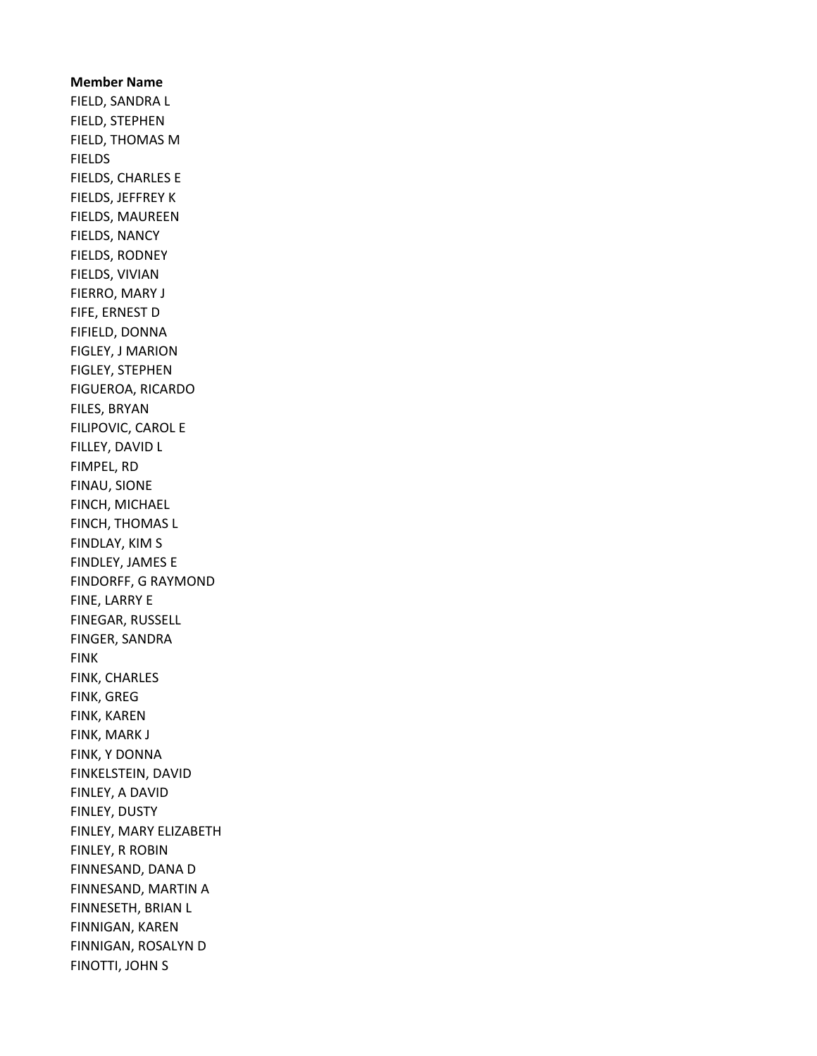Member Name FIELD, SANDRA L FIELD, STEPHEN FIELD, THOMAS M FIELDS FIELDS, CHARLES E FIELDS, JEFFREY K FIELDS, MAUREEN FIELDS, NANCY FIELDS, RODNEY FIELDS, VIVIAN FIERRO, MARY J FIFE, ERNEST D FIFIELD, DONNA FIGLEY, J MARION FIGLEY, STEPHEN FIGUEROA, RICARDO FILES, BRYAN FILIPOVIC, CAROL E FILLEY, DAVID L FIMPEL, RD FINAU, SIONE FINCH, MICHAEL FINCH, THOMAS L FINDLAY, KIM S FINDLEY, JAMES E FINDORFF, G RAYMOND FINE, LARRY E FINEGAR, RUSSELL FINGER, SANDRA FINK FINK, CHARLES FINK, GREG FINK, KAREN FINK, MARK J FINK, Y DONNA FINKELSTEIN, DAVID FINLEY, A DAVID FINLEY, DUSTY FINLEY, MARY ELIZABETH FINLEY, R ROBIN FINNESAND, DANA D FINNESAND, MARTIN A FINNESETH, BRIAN L FINNIGAN, KAREN FINNIGAN, ROSALYN D FINOTTI, JOHN S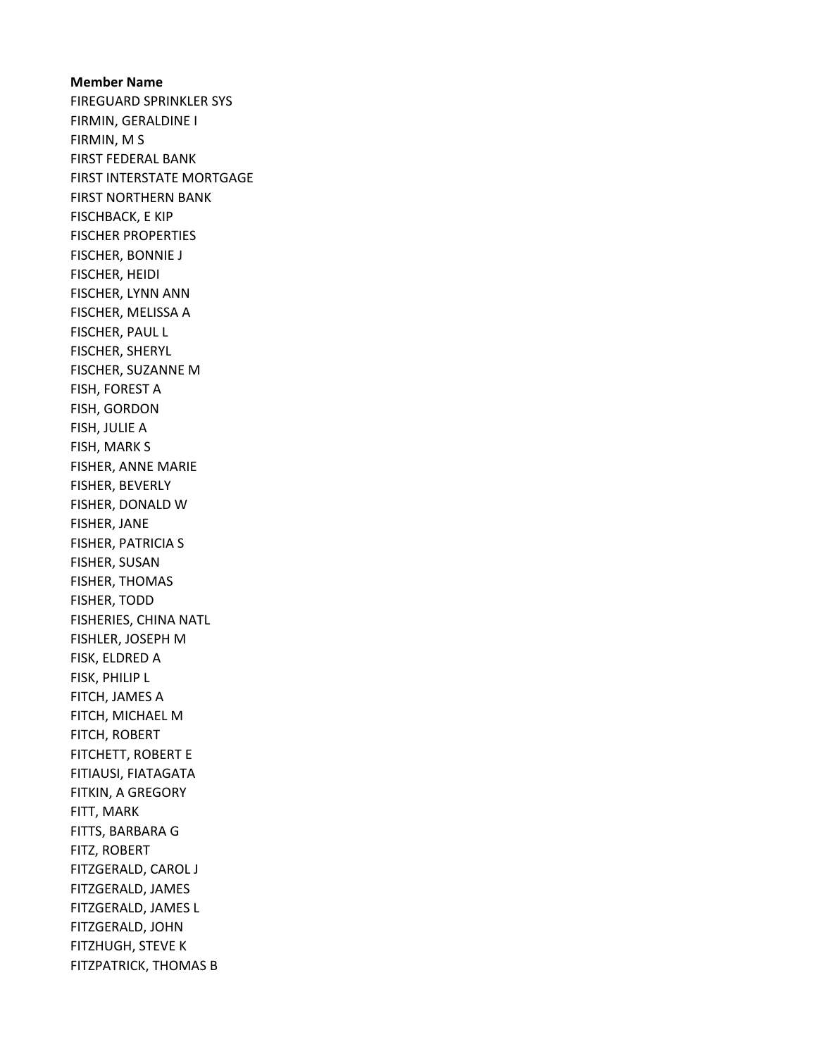Member Name FIREGUARD SPRINKLER SYS FIRMIN, GERALDINE I FIRMIN, M S FIRST FEDERAL BANK FIRST INTERSTATE MORTGAGE FIRST NORTHERN BANK FISCHBACK, E KIP FISCHER PROPERTIES FISCHER, BONNIE J FISCHER, HEIDI FISCHER, LYNN ANN FISCHER, MELISSA A FISCHER, PAUL L FISCHER, SHERYL FISCHER, SUZANNE M FISH, FOREST A FISH, GORDON FISH, JULIE A FISH, MARK S FISHER, ANNE MARIE FISHER, BEVERLY FISHER, DONALD W FISHER, JANE FISHER, PATRICIA S FISHER, SUSAN FISHER, THOMAS FISHER, TODD FISHERIES, CHINA NATL FISHLER, JOSEPH M FISK, ELDRED A FISK, PHILIP L FITCH, JAMES A FITCH, MICHAEL M FITCH, ROBERT FITCHETT, ROBERT E FITIAUSI, FIATAGATA FITKIN, A GREGORY FITT, MARK FITTS, BARBARA G FITZ, ROBERT FITZGERALD, CAROL J FITZGERALD, JAMES FITZGERALD, JAMES L FITZGERALD, JOHN FITZHUGH, STEVE K FITZPATRICK, THOMAS B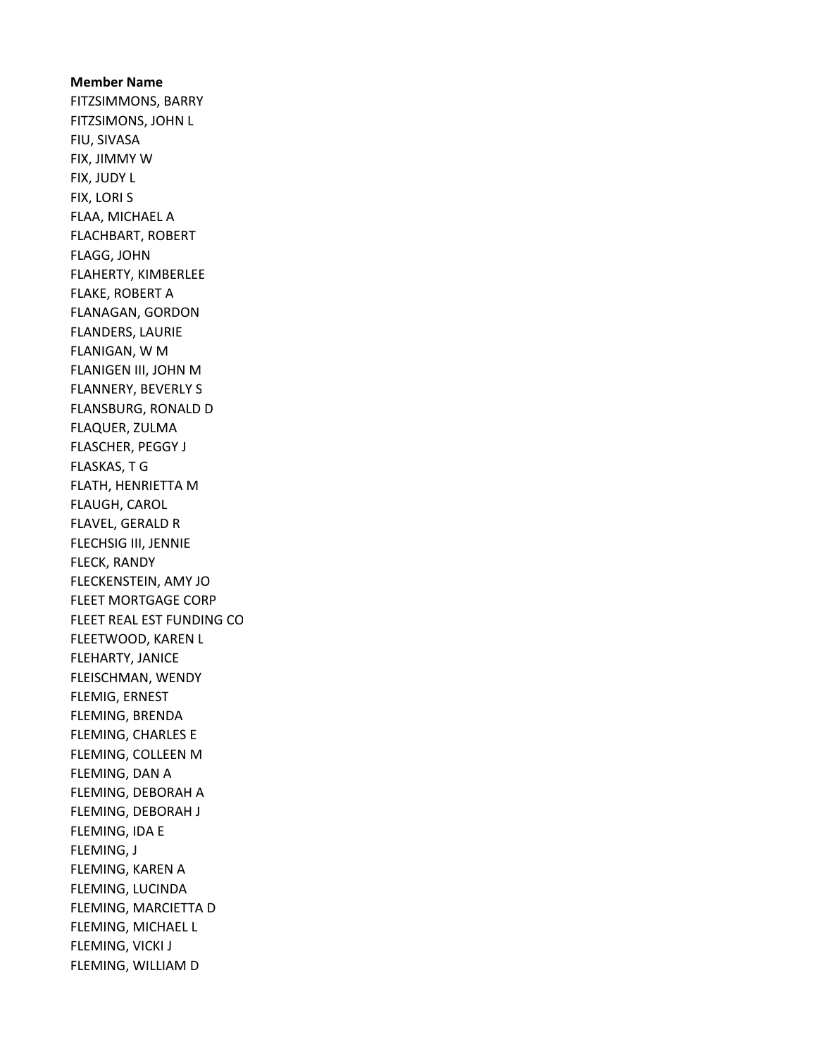Member Name FITZSIMMONS, BARRY FITZSIMONS, JOHN L FIU, SIVASA FIX, JIMMY W FIX, JUDY L FIX, LORI S FLAA, MICHAEL A FLACHBART, ROBERT FLAGG, JOHN FLAHERTY, KIMBERLEE FLAKE, ROBERT A FLANAGAN, GORDON FLANDERS, LAURIE FLANIGAN, W M FLANIGEN III, JOHN M FLANNERY, BEVERLY S FLANSBURG, RONALD D FLAQUER, ZULMA FLASCHER, PEGGY J FLASKAS, T G FLATH, HENRIETTA M FLAUGH, CAROL FLAVEL, GERALD R FLECHSIG III, JENNIE FLECK, RANDY FLECKENSTEIN, AMY JO FLEET MORTGAGE CORP FLEET REAL EST FUNDING CO FLEETWOOD, KAREN L FLEHARTY, JANICE FLEISCHMAN, WENDY FLEMIG, ERNEST FLEMING, BRENDA FLEMING, CHARLES E FLEMING, COLLEEN M FLEMING, DAN A FLEMING, DEBORAH A FLEMING, DEBORAH J FLEMING, IDA E FLEMING, J FLEMING, KAREN A FLEMING, LUCINDA FLEMING, MARCIETTA D FLEMING, MICHAEL L FLEMING, VICKI J FLEMING, WILLIAM D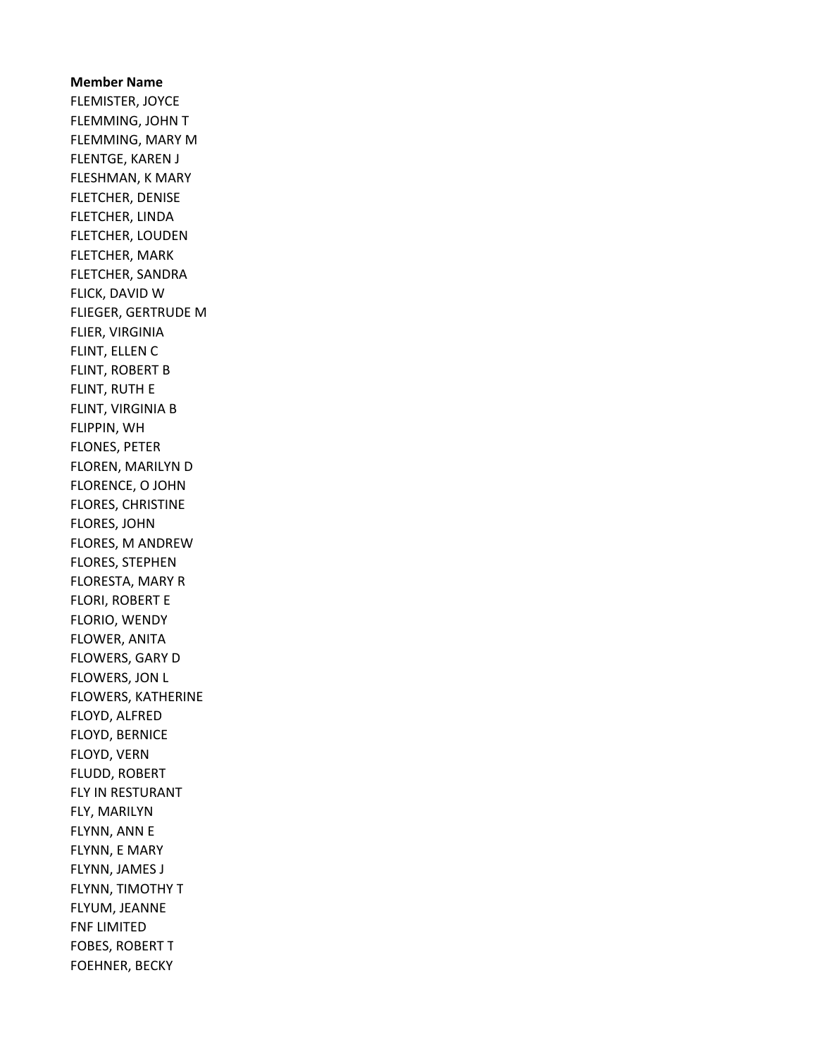Member Name FLEMISTER, JOYCE FLEMMING, JOHN T FLEMMING, MARY M FLENTGE, KAREN J FLESHMAN, K MARY FLETCHER, DENISE FLETCHER, LINDA FLETCHER, LOUDEN FLETCHER, MARK FLETCHER, SANDRA FLICK, DAVID W FLIEGER, GERTRUDE M FLIER, VIRGINIA FLINT, ELLEN C FLINT, ROBERT B FLINT, RUTH E FLINT, VIRGINIA B FLIPPIN, WH FLONES, PETER FLOREN, MARILYN D FLORENCE, O JOHN FLORES, CHRISTINE FLORES, JOHN FLORES, M ANDREW FLORES, STEPHEN FLORESTA, MARY R FLORI, ROBERT E FLORIO, WENDY FLOWER, ANITA FLOWERS, GARY D FLOWERS, JON L FLOWERS, KATHERINE FLOYD, ALFRED FLOYD, BERNICE FLOYD, VERN FLUDD, ROBERT FLY IN RESTURANT FLY, MARILYN FLYNN, ANN E FLYNN, E MARY FLYNN, JAMES J FLYNN, TIMOTHY T FLYUM, JEANNE FNF LIMITED FOBES, ROBERT T FOEHNER, BECKY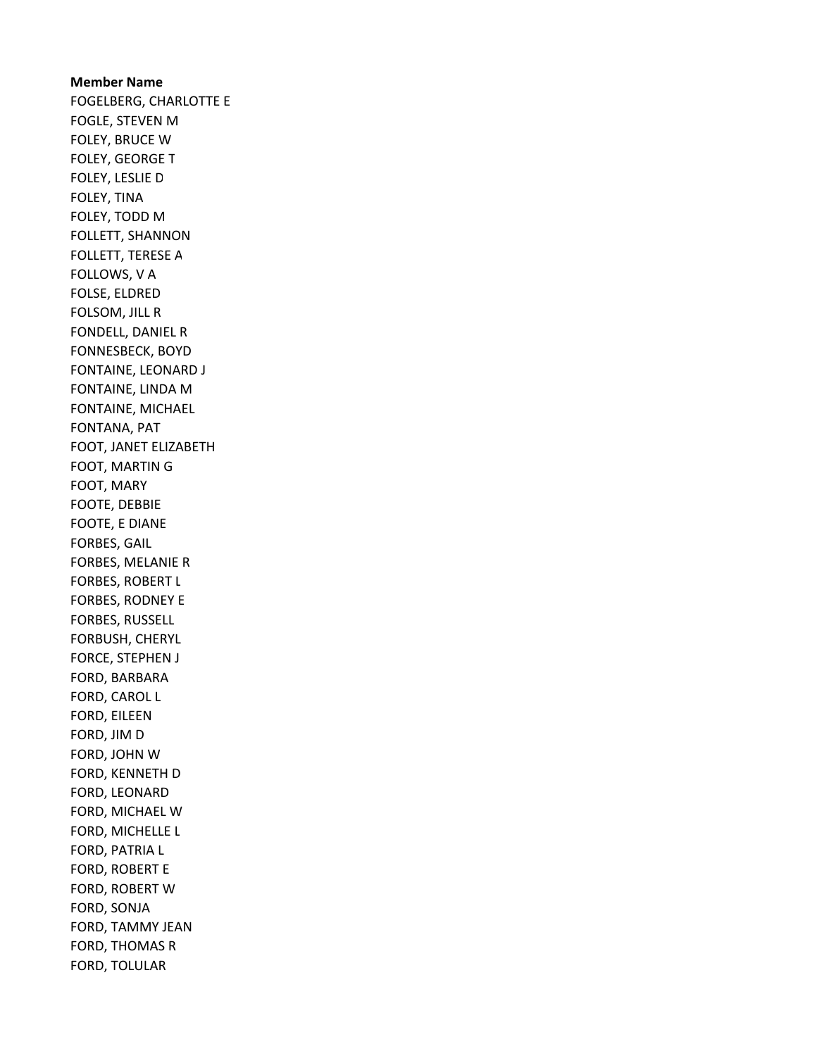Member Name FOGELBERG, CHARLOTTE E FOGLE, STEVEN M FOLEY, BRUCE W FOLEY, GEORGE T FOLEY, LESLIE D FOLEY, TINA FOLEY, TODD M FOLLETT, SHANNON FOLLETT, TERESE A FOLLOWS, V A FOLSE, ELDRED FOLSOM, JILL R FONDELL, DANIEL R FONNESBECK, BOYD FONTAINE, LEONARD J FONTAINE, LINDA M FONTAINE, MICHAEL FONTANA, PAT FOOT, JANET ELIZABETH FOOT, MARTIN G FOOT, MARY FOOTE, DEBBIE FOOTE, E DIANE FORBES, GAIL FORBES, MELANIE R FORBES, ROBERT L FORBES, RODNEY E FORBES, RUSSELL FORBUSH, CHERYL FORCE, STEPHEN J FORD, BARBARA FORD, CAROL L FORD, EILEEN FORD, JIM D FORD, JOHN W FORD, KENNETH D FORD, LEONARD FORD, MICHAEL W FORD, MICHELLE L FORD, PATRIA L FORD, ROBERT E FORD, ROBERT W FORD, SONJA FORD, TAMMY JEAN FORD, THOMAS R FORD, TOLULAR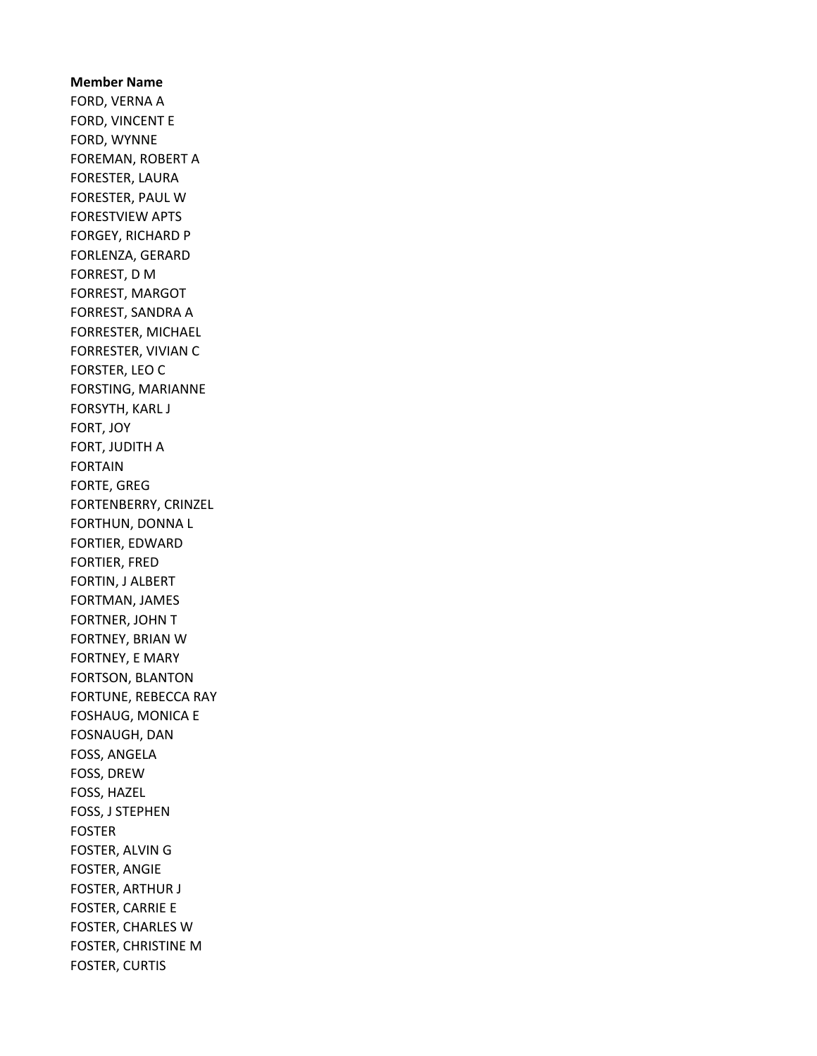# Member Name FORD, VERNA A FORD, VINCENT E FORD, WYNNE FOREMAN, ROBERT A FORESTER, LAURA FORESTER, PAUL W FORESTVIEW APTS FORGEY, RICHARD P FORLENZA, GERARD FORREST, D M FORREST, MARGOT FORREST, SANDRA A FORRESTER, MICHAEL FORRESTER, VIVIAN C FORSTER, LEO C FORSTING, MARIANNE FORSYTH, KARL J FORT, JOY FORT, JUDITH A FORTAIN FORTE, GREG FORTENBERRY, CRINZEL FORTHUN, DONNA L FORTIER, EDWARD FORTIER, FRED FORTIN, J ALBERT FORTMAN, JAMES FORTNER, JOHN T FORTNEY, BRIAN W FORTNEY, E MARY FORTSON, BLANTON FORTUNE, REBECCA RAY FOSHAUG, MONICA E FOSNAUGH, DAN FOSS, ANGELA FOSS, DREW FOSS, HAZEL FOSS, J STEPHEN FOSTER FOSTER, ALVIN G FOSTER, ANGIE FOSTER, ARTHUR J FOSTER, CARRIE E FOSTER, CHARLES W FOSTER, CHRISTINE M FOSTER, CURTIS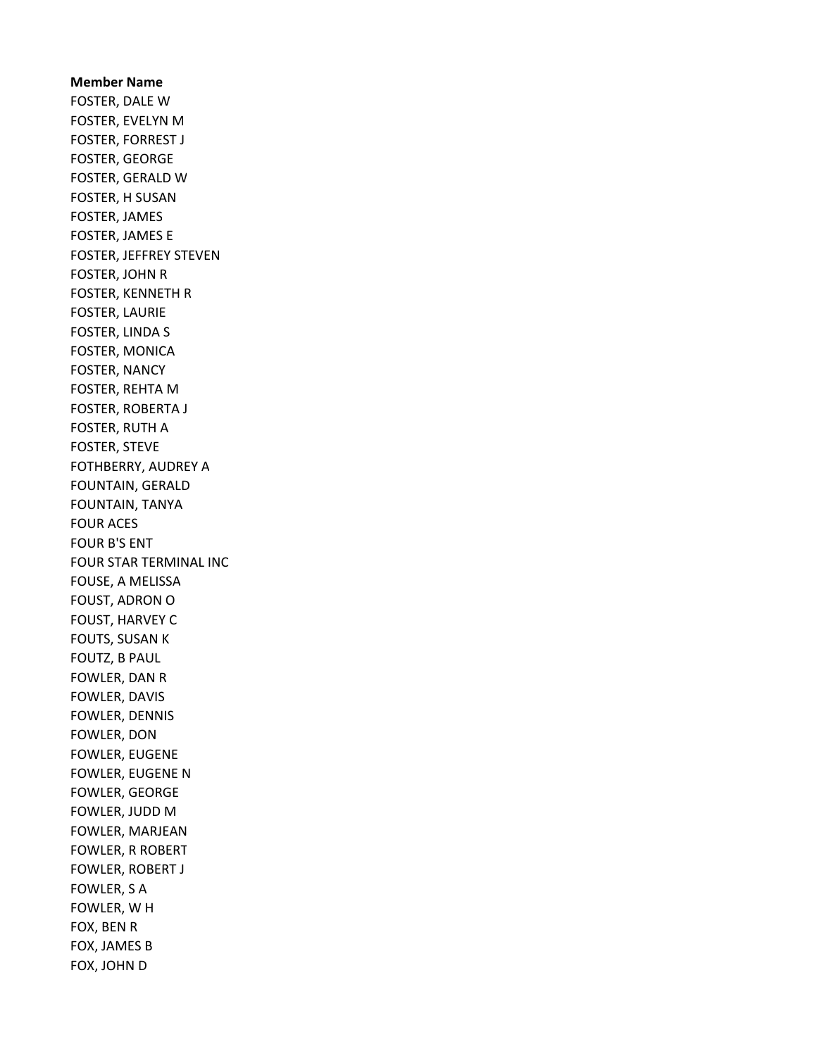Member Name FOSTER, DALE W FOSTER, EVELYN M FOSTER, FORREST J FOSTER, GEORGE FOSTER, GERALD W FOSTER, H SUSAN FOSTER, JAMES FOSTER, JAMES E FOSTER, JEFFREY STEVEN FOSTER, JOHN R FOSTER, KENNETH R FOSTER, LAURIE FOSTER, LINDA S FOSTER, MONICA FOSTER, NANCY FOSTER, REHTA M FOSTER, ROBERTA J FOSTER, RUTH A FOSTER, STEVE FOTHBERRY, AUDREY A FOUNTAIN, GERALD FOUNTAIN, TANYA FOUR ACES FOUR B'S ENT FOUR STAR TERMINAL INC FOUSE, A MELISSA FOUST, ADRON O FOUST, HARVEY C FOUTS, SUSAN K FOUTZ, B PAUL FOWLER, DAN R FOWLER, DAVIS FOWLER, DENNIS FOWLER, DON FOWLER, EUGENE FOWLER, EUGENE N FOWLER, GEORGE FOWLER, JUDD M FOWLER, MARJEAN FOWLER, R ROBERT FOWLER, ROBERT J FOWLER, S A FOWLER, W H FOX, BEN R FOX, JAMES B FOX, JOHN D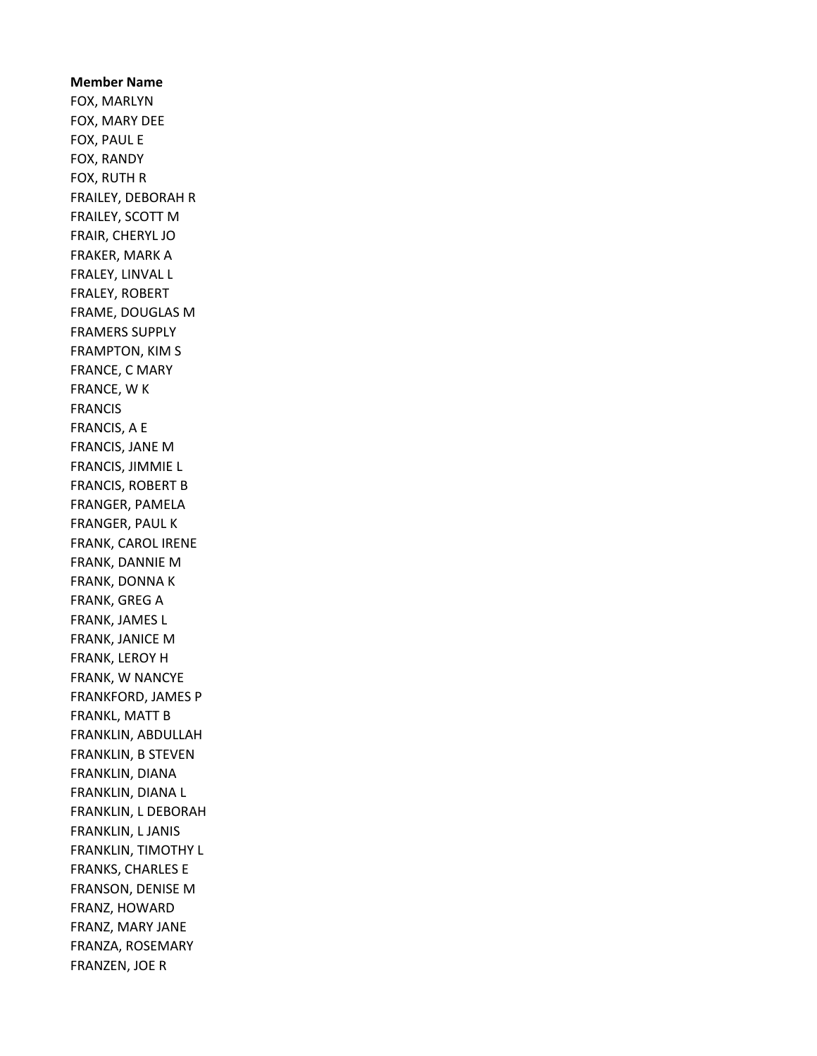Member Name FOX, MARLYN FOX, MARY DEE FOX, PAUL E FOX, RANDY FOX, RUTH R FRAILEY, DEBORAH R FRAILEY, SCOTT M FRAIR, CHERYL JO FRAKER, MARK A FRALEY, LINVAL L FRALEY, ROBERT FRAME, DOUGLAS M FRAMERS SUPPLY FRAMPTON, KIM S FRANCE, C MARY FRANCE, W K FRANCIS FRANCIS, A E FRANCIS, JANE M FRANCIS, JIMMIE L FRANCIS, ROBERT B FRANGER, PAMELA FRANGER, PAUL K FRANK, CAROL IRENE FRANK, DANNIE M FRANK, DONNA K FRANK, GREG A FRANK, JAMES L FRANK, JANICE M FRANK, LEROY H FRANK, W NANCYE FRANKFORD, JAMES P FRANKL, MATT B FRANKLIN, ABDULLAH FRANKLIN, B STEVEN FRANKLIN, DIANA FRANKLIN, DIANA L FRANKLIN, L DEBORAH FRANKLIN, L JANIS FRANKLIN, TIMOTHY L FRANKS, CHARLES E FRANSON, DENISE M FRANZ, HOWARD FRANZ, MARY JANE FRANZA, ROSEMARY FRANZEN, JOE R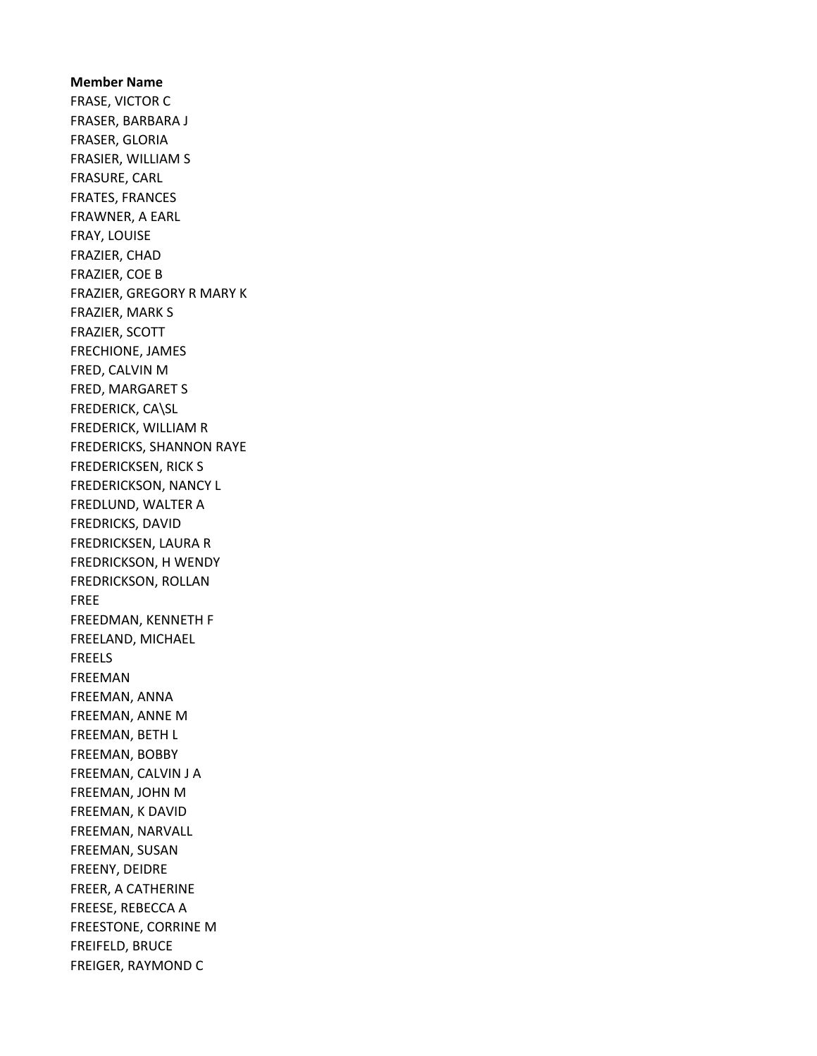Member Name FRASE, VICTOR C FRASER, BARBARA J FRASER, GLORIA FRASIER, WILLIAM S FRASURE, CARL FRATES, FRANCES FRAWNER, A EARL FRAY, LOUISE FRAZIER, CHAD FRAZIER, COE B FRAZIER, GREGORY R MARY K FRAZIER, MARK S FRAZIER, SCOTT FRECHIONE, JAMES FRED, CALVIN M FRED, MARGARET S FREDERICK, CA\SL FREDERICK, WILLIAM R FREDERICKS, SHANNON RAYE FREDERICKSEN, RICK S FREDERICKSON, NANCY L FREDLUND, WALTER A FREDRICKS, DAVID FREDRICKSEN, LAURA R FREDRICKSON, H WENDY FREDRICKSON, ROLLAN FREE FREEDMAN, KENNETH F FREELAND, MICHAEL FREELS FREEMAN FREEMAN, ANNA FREEMAN, ANNE M FREEMAN, BETH L FREEMAN, BOBBY FREEMAN, CALVIN J A FREEMAN, JOHN M FREEMAN, K DAVID FREEMAN, NARVALL FREEMAN, SUSAN FREENY, DEIDRE FREER, A CATHERINE FREESE, REBECCA A FREESTONE, CORRINE M FREIFELD, BRUCE FREIGER, RAYMOND C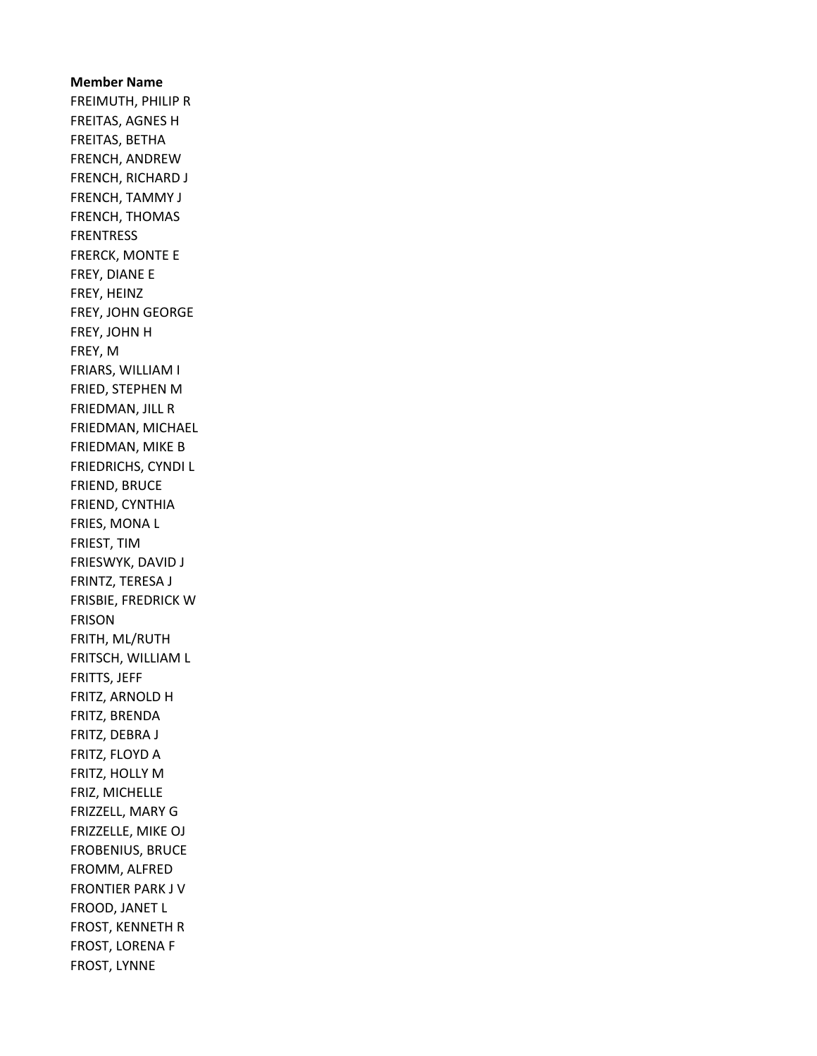Member Name FREIMUTH, PHILIP R FREITAS, AGNES H FREITAS, BETHA FRENCH, ANDREW FRENCH, RICHARD J FRENCH, TAMMY J FRENCH, THOMAS FRENTRESS FRERCK, MONTE E FREY, DIANE E FREY, HEINZ FREY, JOHN GEORGE FREY, JOHN H FREY, M FRIARS, WILLIAM I FRIED, STEPHEN M FRIEDMAN, JILL R FRIEDMAN, MICHAEL FRIEDMAN, MIKE B FRIEDRICHS, CYNDI L FRIEND, BRUCE FRIEND, CYNTHIA FRIES, MONA L FRIEST, TIM FRIESWYK, DAVID J FRINTZ, TERESA J FRISBIE, FREDRICK W FRISON FRITH, ML/RUTH FRITSCH, WILLIAM L FRITTS, JEFF FRITZ, ARNOLD H FRITZ, BRENDA FRITZ, DEBRA J FRITZ, FLOYD A FRITZ, HOLLY M FRIZ, MICHELLE FRIZZELL, MARY G FRIZZELLE, MIKE OJ FROBENIUS, BRUCE FROMM, ALFRED FRONTIER PARK J V FROOD, JANET L FROST, KENNETH R FROST, LORENA F FROST, LYNNE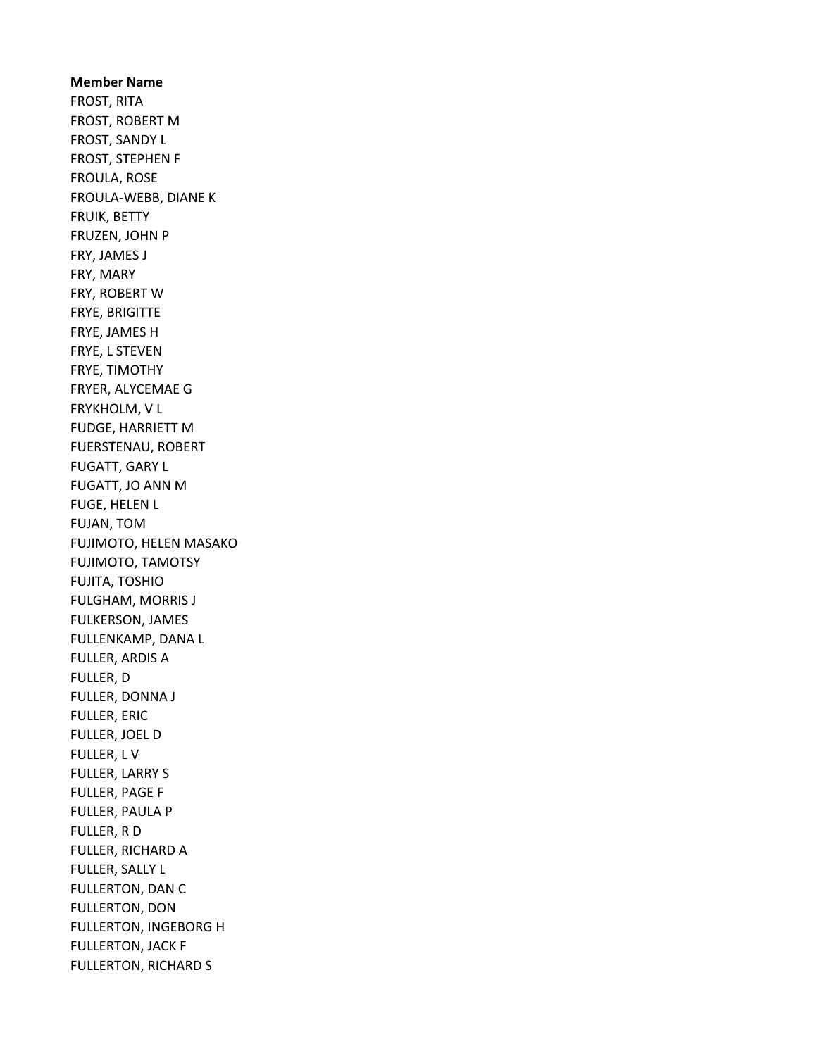Member Name FROST, RITA FROST, ROBERT M FROST, SANDY L FROST, STEPHEN F FROULA, ROSE FROULA-WEBB, DIANE K FRUIK, BETTY FRUZEN, JOHN P FRY, JAMES J FRY, MARY FRY, ROBERT W FRYE, BRIGITTE FRYE, JAMES H FRYE, L STEVEN FRYE, TIMOTHY FRYER, ALYCEMAE G FRYKHOLM, V L FUDGE, HARRIETT M FUERSTENAU, ROBERT FUGATT, GARY L FUGATT, JO ANN M FUGE, HELEN L FUJAN, TOM FUJIMOTO, HELEN MASAKO FUJIMOTO, TAMOTSY FUJITA, TOSHIO FULGHAM, MORRIS J FULKERSON, JAMES FULLENKAMP, DANA L FULLER, ARDIS A FULLER, D FULLER, DONNA J FULLER, ERIC FULLER, JOEL D FULLER, L V FULLER, LARRY S FULLER, PAGE F FULLER, PAULA P FULLER, R D FULLER, RICHARD A FULLER, SALLY L FULLERTON, DAN C FULLERTON, DON FULLERTON, INGEBORG H FULLERTON, JACK F FULLERTON, RICHARD S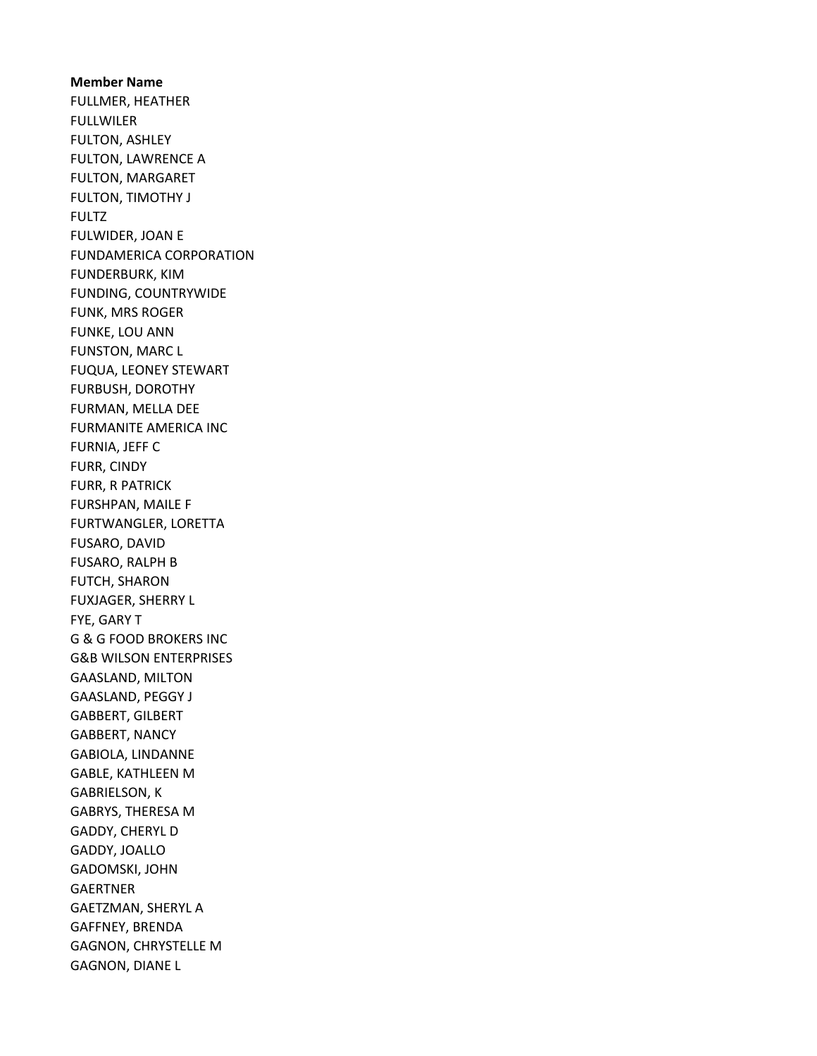Member Name FULLMER, HEATHER FULLWILER FULTON, ASHLEY FULTON, LAWRENCE A FULTON, MARGARET FULTON, TIMOTHY J FULTZ FULWIDER, JOAN E FUNDAMERICA CORPORATION FUNDERBURK, KIM FUNDING, COUNTRYWIDE FUNK, MRS ROGER FUNKE, LOU ANN FUNSTON, MARC L FUQUA, LEONEY STEWART FURBUSH, DOROTHY FURMAN, MELLA DEE FURMANITE AMERICA INC FURNIA, JEFF C FURR, CINDY FURR, R PATRICK FURSHPAN, MAILE F FURTWANGLER, LORETTA FUSARO, DAVID FUSARO, RALPH B FUTCH, SHARON FUXJAGER, SHERRY L FYE, GARY T G & G FOOD BROKERS INC G&B WILSON ENTERPRISES GAASLAND, MILTON GAASLAND, PEGGY J GABBERT, GILBERT GABBERT, NANCY GABIOLA, LINDANNE GABLE, KATHLEEN M GABRIELSON, K GABRYS, THERESA M GADDY, CHERYL D GADDY, JOALLO GADOMSKI, JOHN **GAERTNER** GAETZMAN, SHERYL A GAFFNEY, BRENDA GAGNON, CHRYSTELLE M GAGNON, DIANE L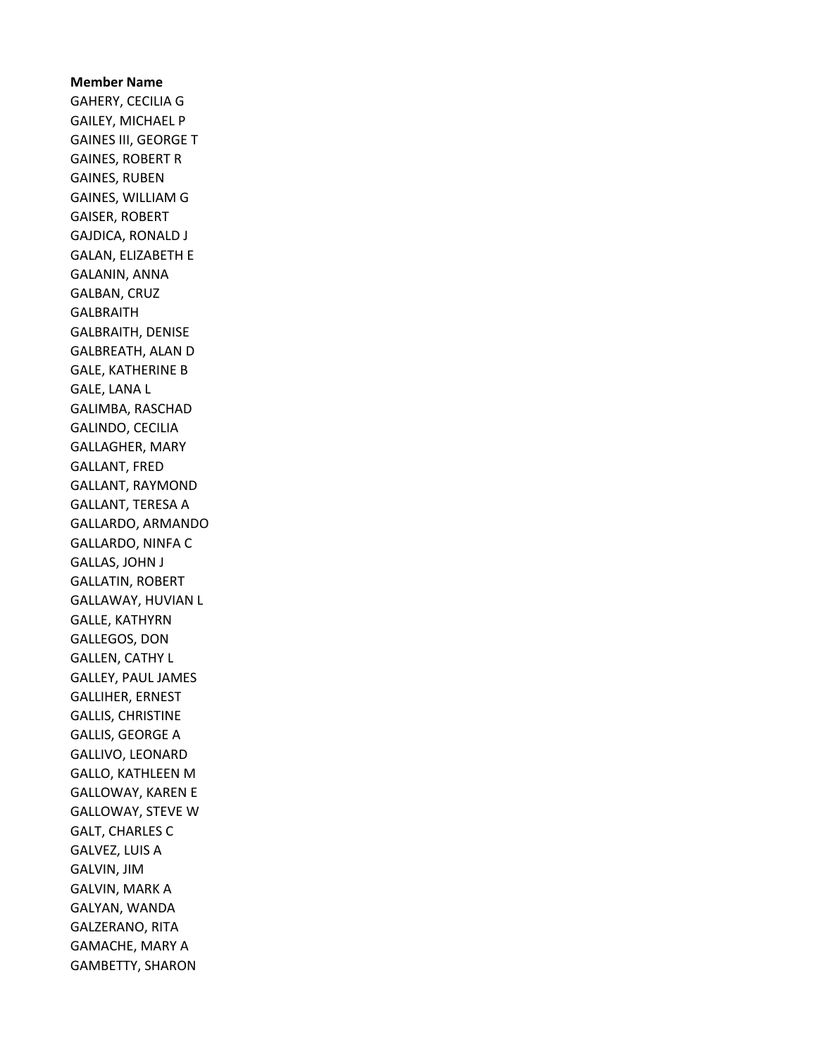Member Name GAHERY, CECILIA G GAILEY, MICHAEL P GAINES III, GEORGE T GAINES, ROBERT R GAINES, RUBEN GAINES, WILLIAM G GAISER, ROBERT GAJDICA, RONALD J GALAN, ELIZABETH E GALANIN, ANNA GALBAN, CRUZ GALBRAITH GALBRAITH, DENISE GALBREATH, ALAN D GALE, KATHERINE B GALE, LANA L GALIMBA, RASCHAD GALINDO, CECILIA GALLAGHER, MARY GALLANT, FRED GALLANT, RAYMOND GALLANT, TERESA A GALLARDO, ARMANDO GALLARDO, NINFA C GALLAS, JOHN J GALLATIN, ROBERT GALLAWAY, HUVIAN L GALLE, KATHYRN GALLEGOS, DON GALLEN, CATHY L GALLEY, PAUL JAMES GALLIHER, ERNEST GALLIS, CHRISTINE GALLIS, GEORGE A GALLIVO, LEONARD GALLO, KATHLEEN M GALLOWAY, KAREN E GALLOWAY, STEVE W GALT, CHARLES C GALVEZ, LUIS A GALVIN, JIM GALVIN, MARK A GALYAN, WANDA GALZERANO, RITA GAMACHE, MARY A GAMBETTY, SHARON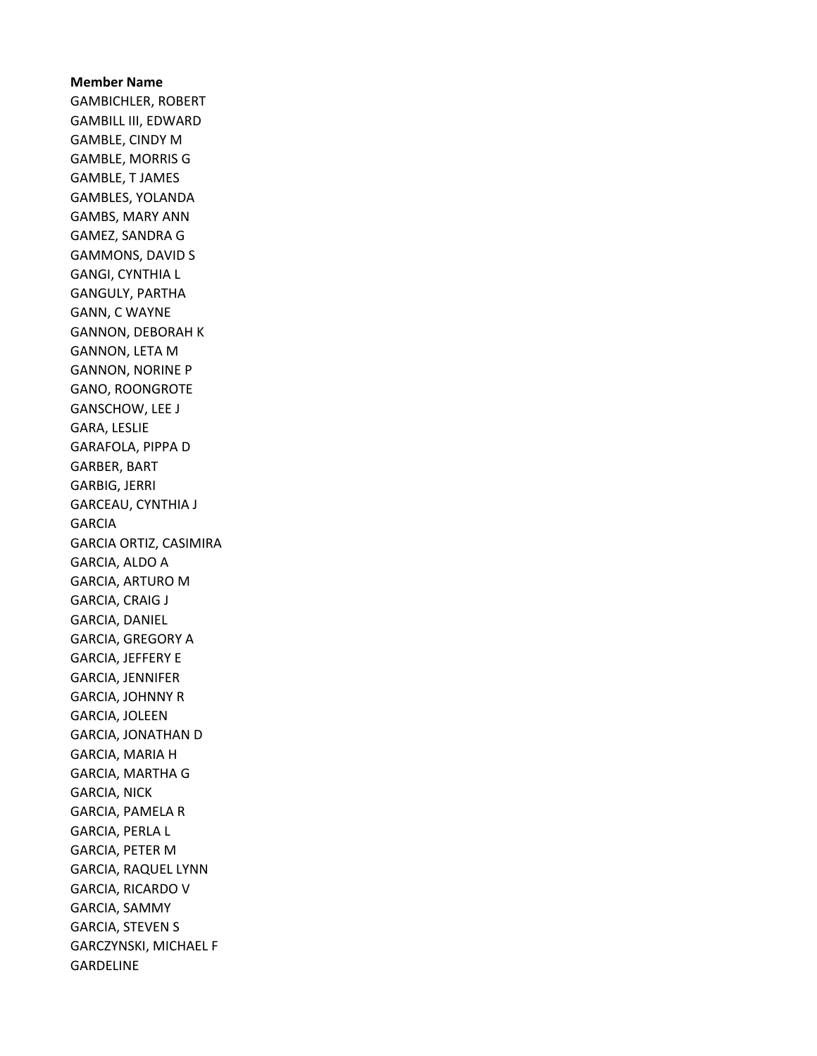## Member Name

GAMBICHLER, ROBERT GAMBILL III, EDWARD GAMBLE, CINDY M GAMBLE, MORRIS G GAMBLE, T JAMES GAMBLES, YOLANDA GAMBS, MARY ANN GAMEZ, SANDRA G GAMMONS, DAVID S GANGI, CYNTHIA L GANGULY, PARTHA GANN, C WAYNE GANNON, DEBORAH K GANNON, LETA M GANNON, NORINE P GANO, ROONGROTE GANSCHOW, LEE J GARA, LESLIE GARAFOLA, PIPPA D GARBER, BART GARBIG, JERRI GARCEAU, CYNTHIA J GARCIA GARCIA ORTIZ, CASIMIRA GARCIA, ALDO A GARCIA, ARTURO M GARCIA, CRAIG J GARCIA, DANIEL GARCIA, GREGORY A GARCIA, JEFFERY E GARCIA, JENNIFER GARCIA, JOHNNY R GARCIA, JOLEEN GARCIA, JONATHAN D GARCIA, MARIA H GARCIA, MARTHA G GARCIA, NICK GARCIA, PAMELA R GARCIA, PERLA L GARCIA, PETER M GARCIA, RAQUEL LYNN GARCIA, RICARDO V GARCIA, SAMMY GARCIA, STEVEN S GARCZYNSKI, MICHAEL F GARDELINE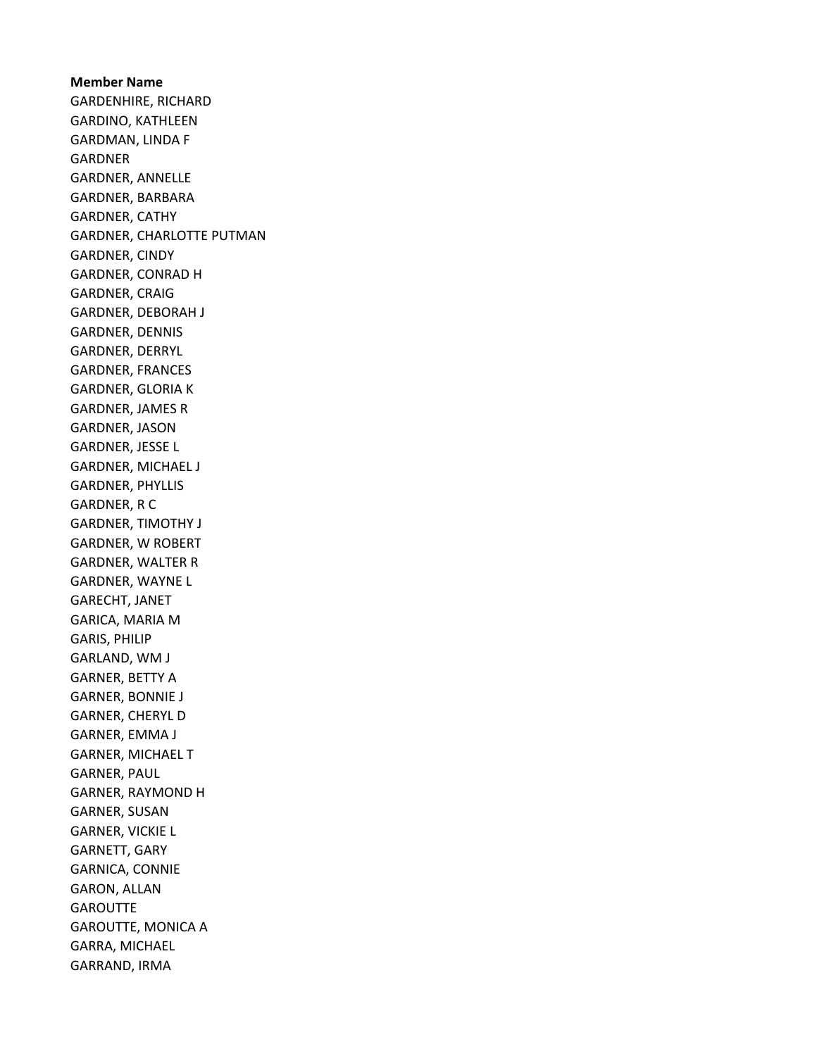Member Name GARDENHIRE, RICHARD GARDINO, KATHLEEN GARDMAN, LINDA F GARDNER GARDNER, ANNELLE GARDNER, BARBARA GARDNER, CATHY GARDNER, CHARLOTTE PUTMAN GARDNER, CINDY GARDNER, CONRAD H GARDNER, CRAIG GARDNER, DEBORAH J GARDNER, DENNIS GARDNER, DERRYL GARDNER, FRANCES GARDNER, GLORIA K GARDNER, JAMES R GARDNER, JASON GARDNER, JESSE L GARDNER, MICHAEL J GARDNER, PHYLLIS GARDNER, R C GARDNER, TIMOTHY J GARDNER, W ROBERT GARDNER, WALTER R GARDNER, WAYNE L GARECHT, JANET GARICA, MARIA M GARIS, PHILIP GARLAND, WM J GARNER, BETTY A GARNER, BONNIE J GARNER, CHERYL D GARNER, EMMA J GARNER, MICHAEL T GARNER, PAUL GARNER, RAYMOND H GARNER, SUSAN GARNER, VICKIE L GARNETT, GARY GARNICA, CONNIE GARON, ALLAN **GAROUTTE** GAROUTTE, MONICA A GARRA, MICHAEL GARRAND, IRMA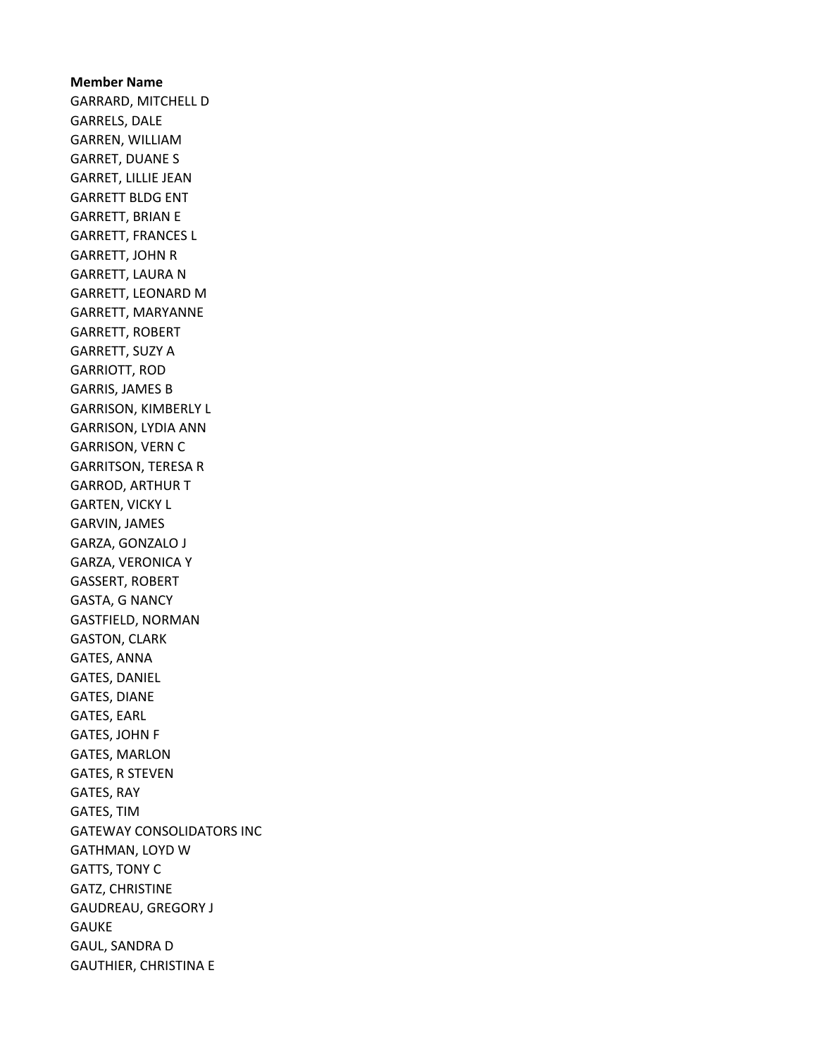Member Name GARRARD, MITCHELL D GARRELS, DALE GARREN, WILLIAM GARRET, DUANE S GARRET, LILLIE JEAN GARRETT BLDG ENT GARRETT, BRIAN E GARRETT, FRANCES L GARRETT, JOHN R GARRETT, LAURA N GARRETT, LEONARD M GARRETT, MARYANNE GARRETT, ROBERT GARRETT, SUZY A GARRIOTT, ROD GARRIS, JAMES B GARRISON, KIMBERLY L GARRISON, LYDIA ANN GARRISON, VERN C GARRITSON, TERESA R GARROD, ARTHUR T GARTEN, VICKY L GARVIN, JAMES GARZA, GONZALO J GARZA, VERONICA Y GASSERT, ROBERT GASTA, G NANCY GASTFIELD, NORMAN GASTON, CLARK GATES, ANNA GATES, DANIEL GATES, DIANE GATES, EARL GATES, JOHN F GATES, MARLON GATES, R STEVEN GATES, RAY GATES, TIM GATEWAY CONSOLIDATORS INC GATHMAN, LOYD W GATTS, TONY C GATZ, CHRISTINE GAUDREAU, GREGORY J GAUKE GAUL, SANDRA D GAUTHIER, CHRISTINA E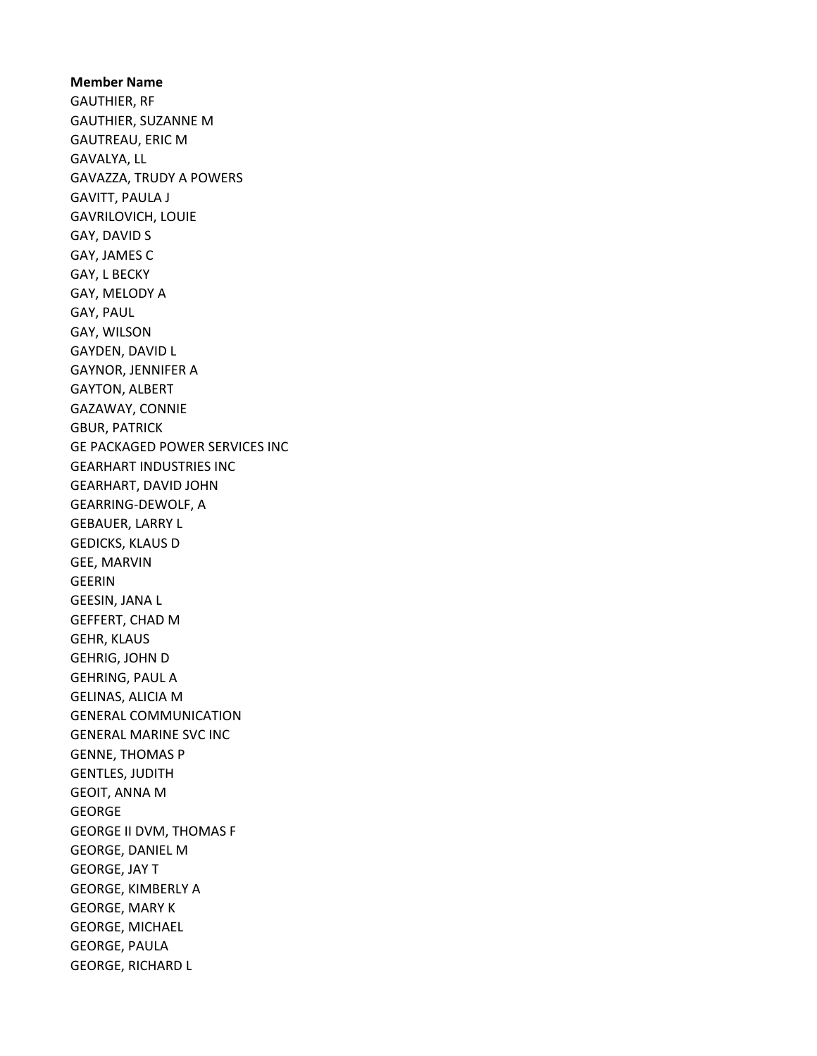Member Name GAUTHIER, RF GAUTHIER, SUZANNE M GAUTREAU, ERIC M GAVALYA, LL GAVAZZA, TRUDY A POWERS GAVITT, PAULA J GAVRILOVICH, LOUIE GAY, DAVID S GAY, JAMES C GAY, L BECKY GAY, MELODY A GAY, PAUL GAY, WILSON GAYDEN, DAVID L GAYNOR, JENNIFER A GAYTON, ALBERT GAZAWAY, CONNIE GBUR, PATRICK GE PACKAGED POWER SERVICES INC GEARHART INDUSTRIES INC GEARHART, DAVID JOHN GEARRING-DEWOLF, A GEBAUER, LARRY L GEDICKS, KLAUS D GEE, MARVIN GEERIN GEESIN, JANA L GEFFERT, CHAD M GEHR, KLAUS GEHRIG, JOHN D GEHRING, PAUL A GELINAS, ALICIA M GENERAL COMMUNICATION GENERAL MARINE SVC INC GENNE, THOMAS P GENTLES, JUDITH GEOIT, ANNA M GEORGE GEORGE II DVM, THOMAS F GEORGE, DANIEL M GEORGE, JAY T GEORGE, KIMBERLY A GEORGE, MARY K GEORGE, MICHAEL GEORGE, PAULA GEORGE, RICHARD L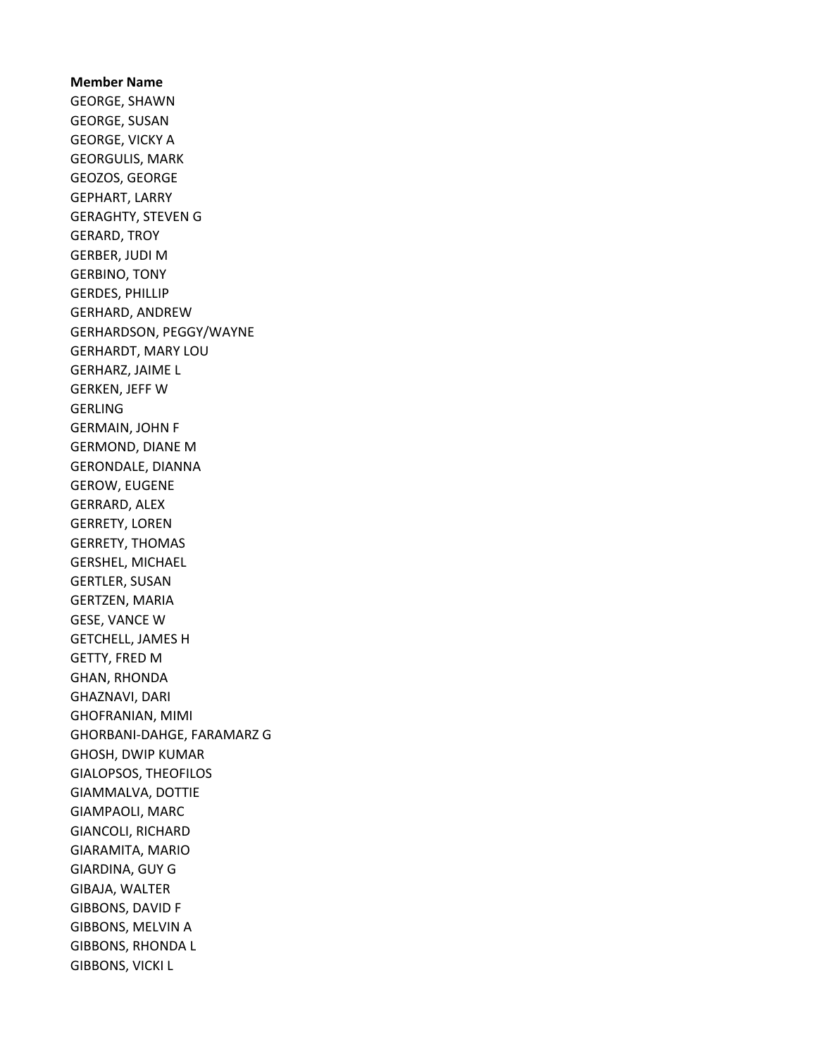Member Name GEORGE, SHAWN GEORGE, SUSAN GEORGE, VICKY A GEORGULIS, MARK GEOZOS, GEORGE GEPHART, LARRY GERAGHTY, STEVEN G GERARD, TROY GERBER, JUDI M GERBINO, TONY GERDES, PHILLIP GERHARD, ANDREW GERHARDSON, PEGGY/WAYNE GERHARDT, MARY LOU GERHARZ, JAIME L GERKEN, JEFF W GERLING GERMAIN, JOHN F GERMOND, DIANE M GERONDALE, DIANNA GEROW, EUGENE GERRARD, ALEX GERRETY, LOREN GERRETY, THOMAS GERSHEL, MICHAEL GERTLER, SUSAN GERTZEN, MARIA GESE, VANCE W GETCHELL, JAMES H GETTY, FRED M GHAN, RHONDA GHAZNAVI, DARI GHOFRANIAN, MIMI GHORBANI-DAHGE, FARAMARZ G GHOSH, DWIP KUMAR GIALOPSOS, THEOFILOS GIAMMALVA, DOTTIE GIAMPAOLI, MARC GIANCOLI, RICHARD GIARAMITA, MARIO GIARDINA, GUY G GIBAJA, WALTER GIBBONS, DAVID F GIBBONS, MELVIN A GIBBONS, RHONDA L GIBBONS, VICKI L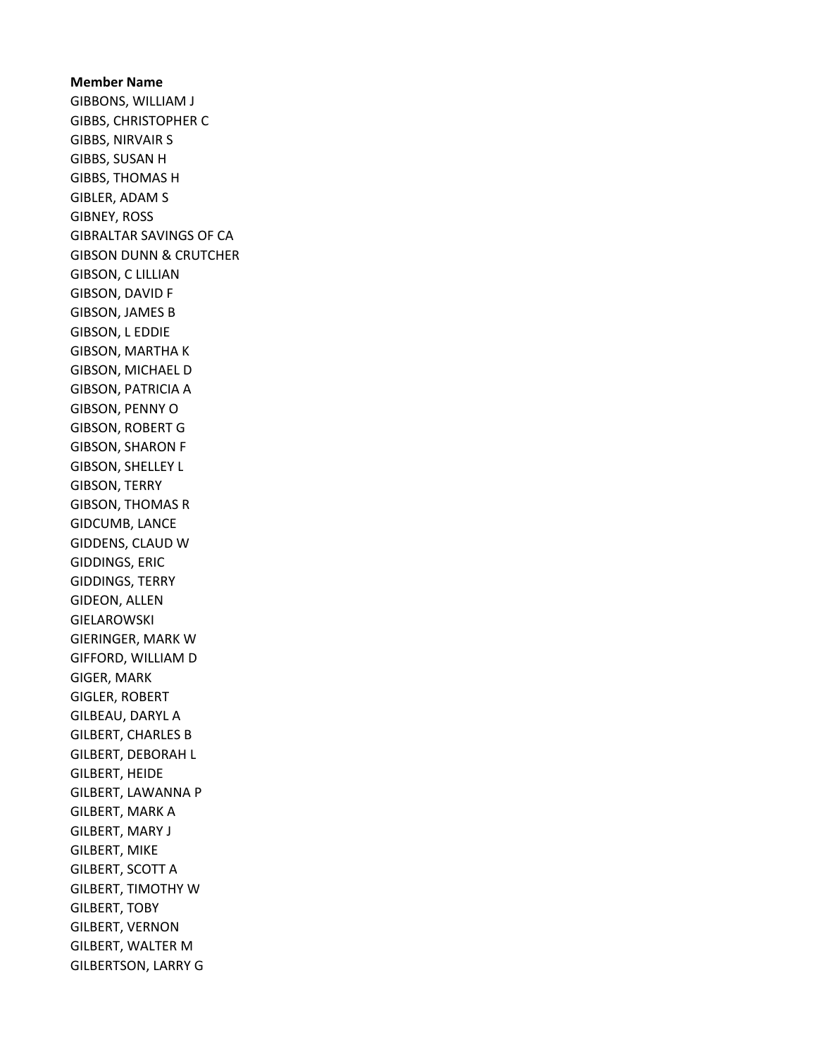Member Name GIBBONS, WILLIAM J GIBBS, CHRISTOPHER C GIBBS, NIRVAIR S GIBBS, SUSAN H GIBBS, THOMAS H GIBLER, ADAM S GIBNEY, ROSS GIBRALTAR SAVINGS OF CA GIBSON DUNN & CRUTCHER GIBSON, C LILLIAN GIBSON, DAVID F GIBSON, JAMES B GIBSON, L EDDIE GIBSON, MARTHA K GIBSON, MICHAEL D GIBSON, PATRICIA A GIBSON, PENNY O GIBSON, ROBERT G GIBSON, SHARON F GIBSON, SHELLEY L GIBSON, TERRY GIBSON, THOMAS R GIDCUMB, LANCE GIDDENS, CLAUD W GIDDINGS, ERIC GIDDINGS, TERRY GIDEON, ALLEN GIELAROWSKI GIERINGER, MARK W GIFFORD, WILLIAM D GIGER, MARK GIGLER, ROBERT GILBEAU, DARYL A GILBERT, CHARLES B GILBERT, DEBORAH L GILBERT, HEIDE GILBERT, LAWANNA P GILBERT, MARK A GILBERT, MARY J GILBERT, MIKE GILBERT, SCOTT A GILBERT, TIMOTHY W GILBERT, TOBY GILBERT, VERNON GILBERT, WALTER M GILBERTSON, LARRY G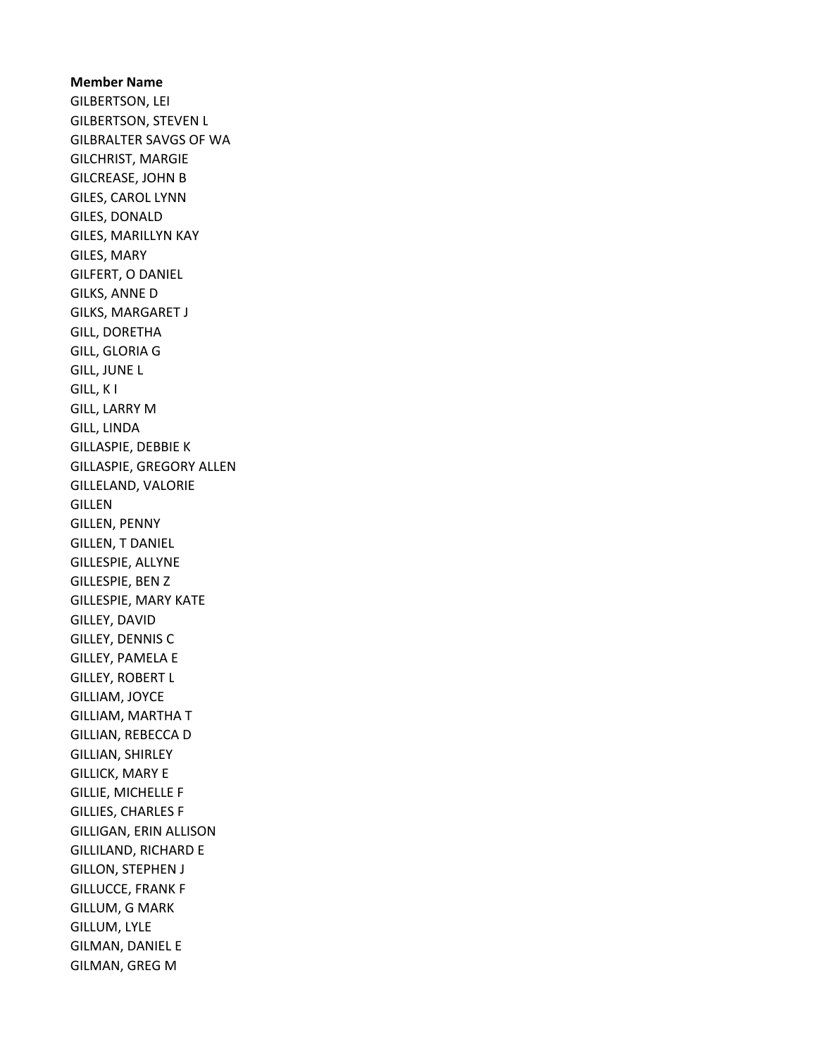Member Name GILBERTSON, LEI GILBERTSON, STEVEN L GILBRALTER SAVGS OF WA GILCHRIST, MARGIE GILCREASE, JOHN B GILES, CAROL LYNN GILES, DONALD GILES, MARILLYN KAY GILES, MARY GILFERT, O DANIEL GILKS, ANNE D GILKS, MARGARET J GILL, DORETHA GILL, GLORIA G GILL, JUNE L GILL, K I GILL, LARRY M GILL, LINDA GILLASPIE, DEBBIE K GILLASPIE, GREGORY ALLEN GILLELAND, VALORIE GILLEN GILLEN, PENNY GILLEN, T DANIEL GILLESPIE, ALLYNE GILLESPIE, BEN Z GILLESPIE, MARY KATE GILLEY, DAVID GILLEY, DENNIS C GILLEY, PAMELA E GILLEY, ROBERT L GILLIAM, JOYCE GILLIAM, MARTHA T GILLIAN, REBECCA D GILLIAN, SHIRLEY GILLICK, MARY E GILLIE, MICHELLE F GILLIES, CHARLES F GILLIGAN, ERIN ALLISON GILLILAND, RICHARD E GILLON, STEPHEN J GILLUCCE, FRANK F GILLUM, G MARK GILLUM, LYLE GILMAN, DANIEL E GILMAN, GREG M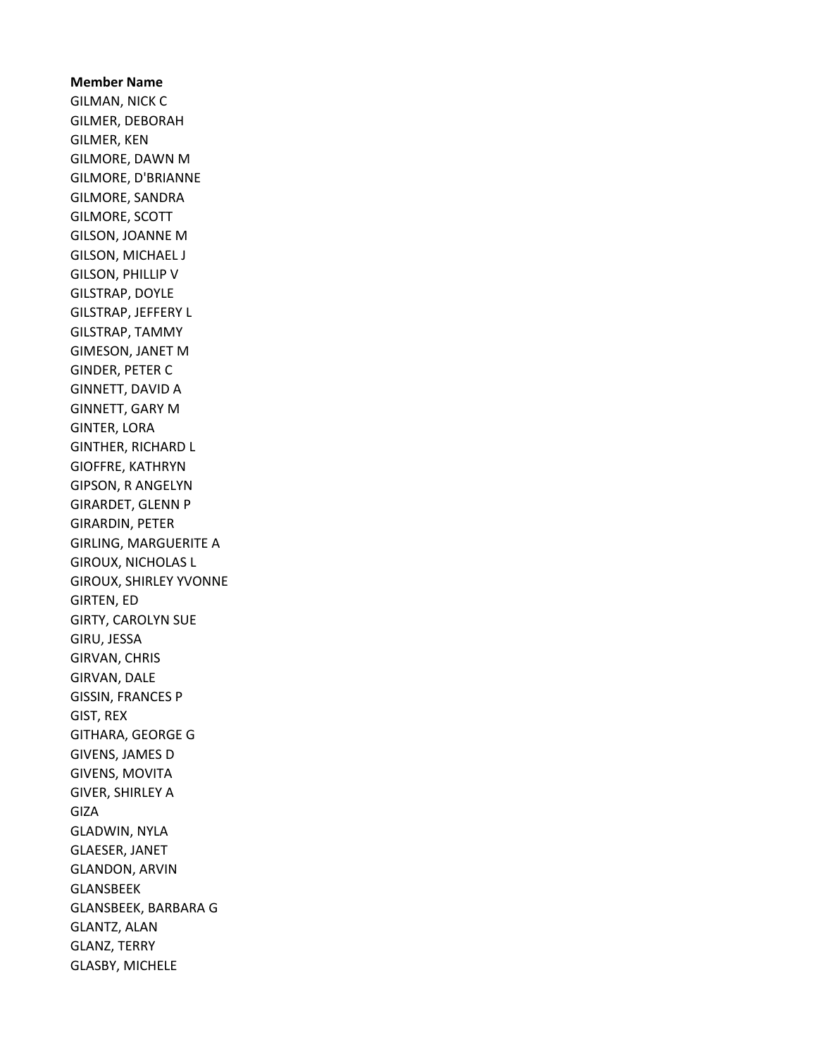Member Name GILMAN, NICK C GILMER, DEBORAH GILMER, KEN GILMORE, DAWN M GILMORE, D'BRIANNE GILMORE, SANDRA GILMORE, SCOTT GILSON, JOANNE M GILSON, MICHAEL J GILSON, PHILLIP V GILSTRAP, DOYLE GILSTRAP, JEFFERY L GILSTRAP, TAMMY GIMESON, JANET M GINDER, PETER C GINNETT, DAVID A GINNETT, GARY M GINTER, LORA GINTHER, RICHARD L GIOFFRE, KATHRYN GIPSON, R ANGELYN GIRARDET, GLENN P GIRARDIN, PETER GIRLING, MARGUERITE A GIROUX, NICHOLAS L GIROUX, SHIRLEY YVONNE GIRTEN, ED GIRTY, CAROLYN SUE GIRU, JESSA GIRVAN, CHRIS GIRVAN, DALE GISSIN, FRANCES P GIST, REX GITHARA, GEORGE G GIVENS, JAMES D GIVENS, MOVITA GIVER, SHIRLEY A GIZA GLADWIN, NYLA GLAESER, JANET GLANDON, ARVIN GLANSBEEK GLANSBEEK, BARBARA G GLANTZ, ALAN GLANZ, TERRY GLASBY, MICHELE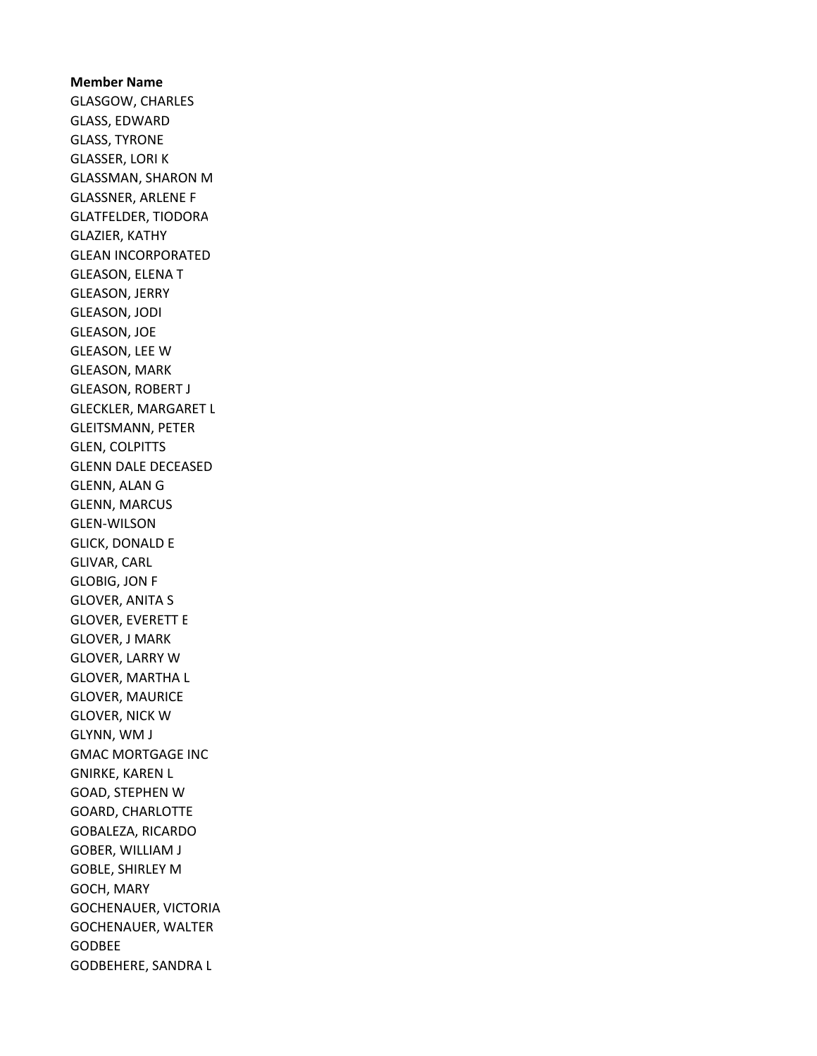Member Name GLASGOW, CHARLES GLASS, EDWARD GLASS, TYRONE GLASSER, LORI K GLASSMAN, SHARON M GLASSNER, ARLENE F GLATFELDER, TIODORA GLAZIER, KATHY GLEAN INCORPORATED GLEASON, ELENA T GLEASON, JERRY GLEASON, JODI GLEASON, JOE GLEASON, LEE W GLEASON, MARK GLEASON, ROBERT J GLECKLER, MARGARET L GLEITSMANN, PETER GLEN, COLPITTS GLENN DALE DECEASED GLENN, ALAN G GLENN, MARCUS GLEN-WILSON GLICK, DONALD E GLIVAR, CARL GLOBIG, JON F GLOVER, ANITA S GLOVER, EVERETT E GLOVER, J MARK GLOVER, LARRY W GLOVER, MARTHA L GLOVER, MAURICE GLOVER, NICK W GLYNN, WM J GMAC MORTGAGE INC GNIRKE, KAREN L GOAD, STEPHEN W GOARD, CHARLOTTE GOBALEZA, RICARDO GOBER, WILLIAM J GOBLE, SHIRLEY M GOCH, MARY GOCHENAUER, VICTORIA GOCHENAUER, WALTER GODBEE GODBEHERE, SANDRA L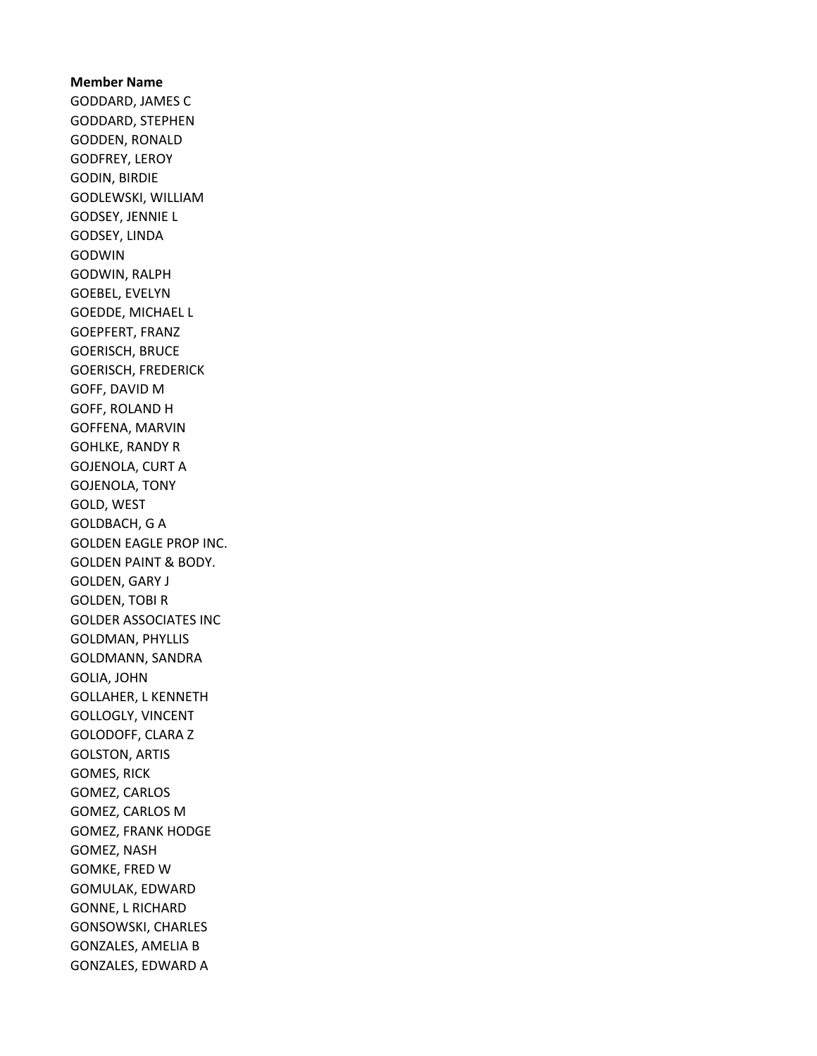## Member Name GODDARD, JAMES C GODDARD, STEPHEN GODDEN, RONALD GODFREY, LEROY GODIN, BIRDIE GODLEWSKI, WILLIAM GODSEY, JENNIE L GODSEY, LINDA GODWIN GODWIN, RALPH GOEBEL, EVELYN GOEDDE, MICHAEL L GOEPFERT, FRANZ GOERISCH, BRUCE GOERISCH, FREDERICK GOFF, DAVID M GOFF, ROLAND H GOFFENA, MARVIN GOHLKE, RANDY R GOJENOLA, CURT A GOJENOLA, TONY GOLD, WEST GOLDBACH, G A GOLDEN EAGLE PROP INC. GOLDEN PAINT & BODY. GOLDEN, GARY J GOLDEN, TOBI R GOLDER ASSOCIATES INC GOLDMAN, PHYLLIS GOLDMANN, SANDRA GOLIA, JOHN GOLLAHER, L KENNETH GOLLOGLY, VINCENT GOLODOFF, CLARA Z GOLSTON, ARTIS GOMES, RICK GOMEZ, CARLOS GOMEZ, CARLOS M GOMEZ, FRANK HODGE GOMEZ, NASH GOMKE, FRED W GOMULAK, EDWARD GONNE, L RICHARD GONSOWSKI, CHARLES GONZALES, AMELIA B GONZALES, EDWARD A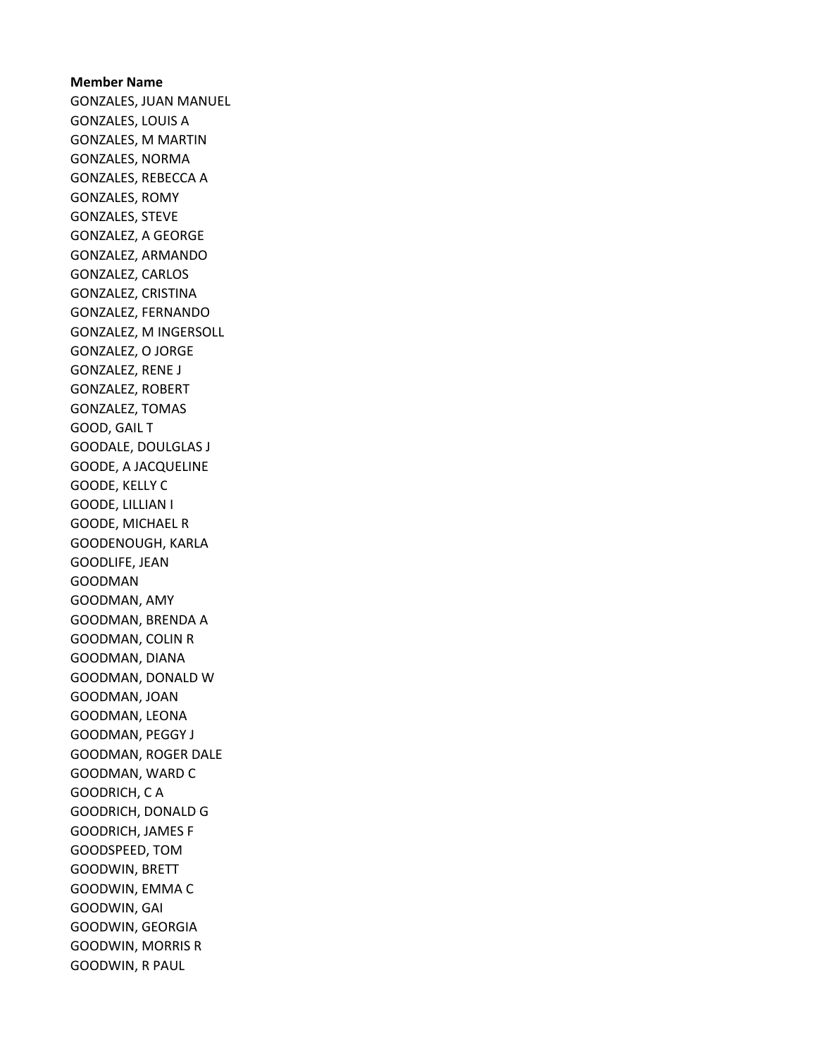Member Name GONZALES, JUAN MANUEL GONZALES, LOUIS A GONZALES, M MARTIN GONZALES, NORMA GONZALES, REBECCA A GONZALES, ROMY GONZALES, STEVE GONZALEZ, A GEORGE GONZALEZ, ARMANDO GONZALEZ, CARLOS GONZALEZ, CRISTINA GONZALEZ, FERNANDO GONZALEZ, M INGERSOLL GONZALEZ, O JORGE GONZALEZ, RENE J GONZALEZ, ROBERT GONZALEZ, TOMAS GOOD, GAIL T GOODALE, DOULGLAS J GOODE, A JACQUELINE GOODE, KELLY C GOODE, LILLIAN I GOODE, MICHAEL R GOODENOUGH, KARLA GOODLIFE, JEAN GOODMAN GOODMAN, AMY GOODMAN, BRENDA A GOODMAN, COLIN R GOODMAN, DIANA GOODMAN, DONALD W GOODMAN, JOAN GOODMAN, LEONA GOODMAN, PEGGY J GOODMAN, ROGER DALE GOODMAN, WARD C GOODRICH, C A GOODRICH, DONALD G GOODRICH, JAMES F GOODSPEED, TOM GOODWIN, BRETT GOODWIN, EMMA C GOODWIN, GAI GOODWIN, GEORGIA GOODWIN, MORRIS R GOODWIN, R PAUL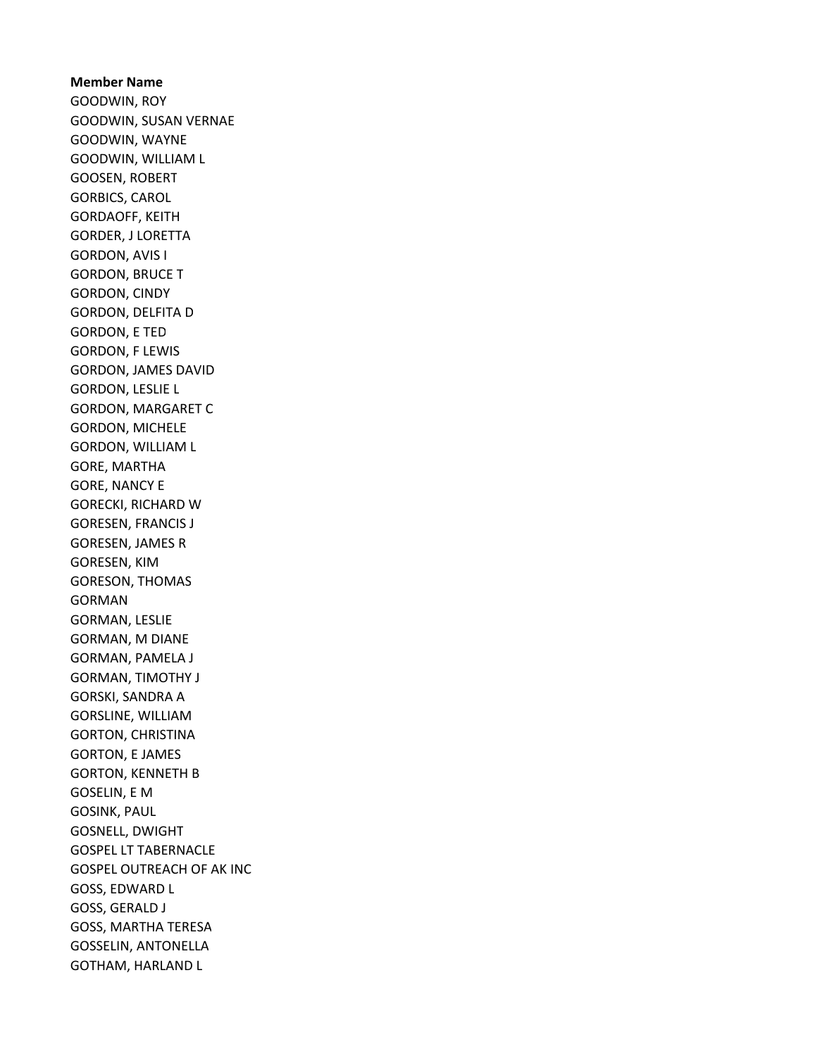Member Name GOODWIN, ROY GOODWIN, SUSAN VERNAE GOODWIN, WAYNE GOODWIN, WILLIAM L GOOSEN, ROBERT GORBICS, CAROL GORDAOFF, KEITH GORDER, J LORETTA GORDON, AVIS I GORDON, BRUCE T GORDON, CINDY GORDON, DELFITA D GORDON, E TED GORDON, F LEWIS GORDON, JAMES DAVID GORDON, LESLIE L GORDON, MARGARET C GORDON, MICHELE GORDON, WILLIAM L GORE, MARTHA GORE, NANCY E GORECKI, RICHARD W GORESEN, FRANCIS J GORESEN, JAMES R GORESEN, KIM GORESON, THOMAS GORMAN GORMAN, LESLIE GORMAN, M DIANE GORMAN, PAMELA J GORMAN, TIMOTHY J GORSKI, SANDRA A GORSLINE, WILLIAM GORTON, CHRISTINA GORTON, E JAMES GORTON, KENNETH B GOSELIN, E M GOSINK, PAUL GOSNELL, DWIGHT GOSPEL LT TABERNACLE GOSPEL OUTREACH OF AK INC GOSS, EDWARD L GOSS, GERALD J GOSS, MARTHA TERESA GOSSELIN, ANTONELLA GOTHAM, HARLAND L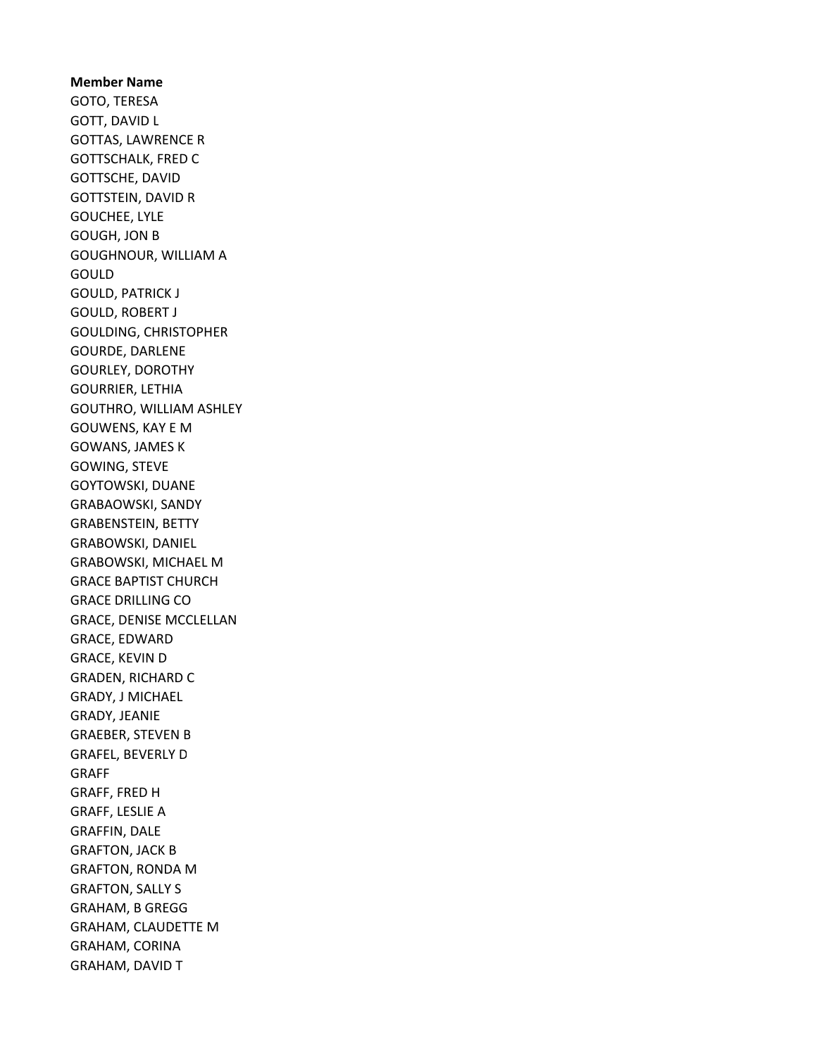Member Name GOTO, TERESA GOTT, DAVID L GOTTAS, LAWRENCE R GOTTSCHALK, FRED C GOTTSCHE, DAVID GOTTSTEIN, DAVID R GOUCHEE, LYLE GOUGH, JON B GOUGHNOUR, WILLIAM A GOULD GOULD, PATRICK J GOULD, ROBERT J GOULDING, CHRISTOPHER GOURDE, DARLENE GOURLEY, DOROTHY GOURRIER, LETHIA GOUTHRO, WILLIAM ASHLEY GOUWENS, KAY E M GOWANS, JAMES K GOWING, STEVE GOYTOWSKI, DUANE GRABAOWSKI, SANDY GRABENSTEIN, BETTY GRABOWSKI, DANIEL GRABOWSKI, MICHAEL M GRACE BAPTIST CHURCH GRACE DRILLING CO GRACE, DENISE MCCLELLAN GRACE, EDWARD GRACE, KEVIN D GRADEN, RICHARD C GRADY, J MICHAEL GRADY, JEANIE GRAEBER, STEVEN B GRAFEL, BEVERLY D GRAFF GRAFF, FRED H GRAFF, LESLIE A GRAFFIN, DALE GRAFTON, JACK B GRAFTON, RONDA M GRAFTON, SALLY S GRAHAM, B GREGG GRAHAM, CLAUDETTE M GRAHAM, CORINA GRAHAM, DAVID T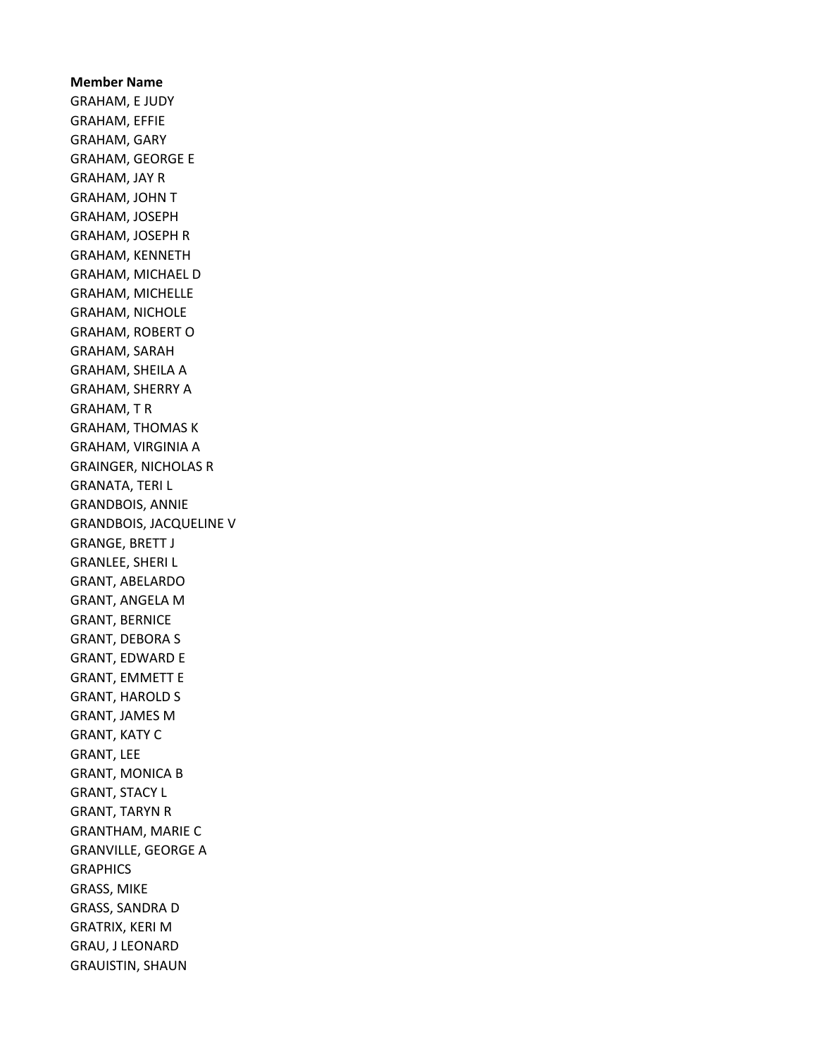Member Name GRAHAM, E JUDY GRAHAM, EFFIE GRAHAM, GARY GRAHAM, GEORGE E GRAHAM, JAY R GRAHAM, JOHN T GRAHAM, JOSEPH GRAHAM, JOSEPH R GRAHAM, KENNETH GRAHAM, MICHAEL D GRAHAM, MICHELLE GRAHAM, NICHOLE GRAHAM, ROBERT O GRAHAM, SARAH GRAHAM, SHEILA A GRAHAM, SHERRY A GRAHAM, T R GRAHAM, THOMAS K GRAHAM, VIRGINIA A GRAINGER, NICHOLAS R GRANATA, TERI L GRANDBOIS, ANNIE GRANDBOIS, JACQUELINE V GRANGE, BRETT J GRANLEE, SHERI L GRANT, ABELARDO GRANT, ANGELA M GRANT, BERNICE GRANT, DEBORA S GRANT, EDWARD E GRANT, EMMETT E GRANT, HAROLD S GRANT, JAMES M GRANT, KATY C GRANT, LEE GRANT, MONICA B GRANT, STACY L GRANT, TARYN R GRANTHAM, MARIE C GRANVILLE, GEORGE A **GRAPHICS** GRASS, MIKE GRASS, SANDRA D GRATRIX, KERI M GRAU, J LEONARD GRAUISTIN, SHAUN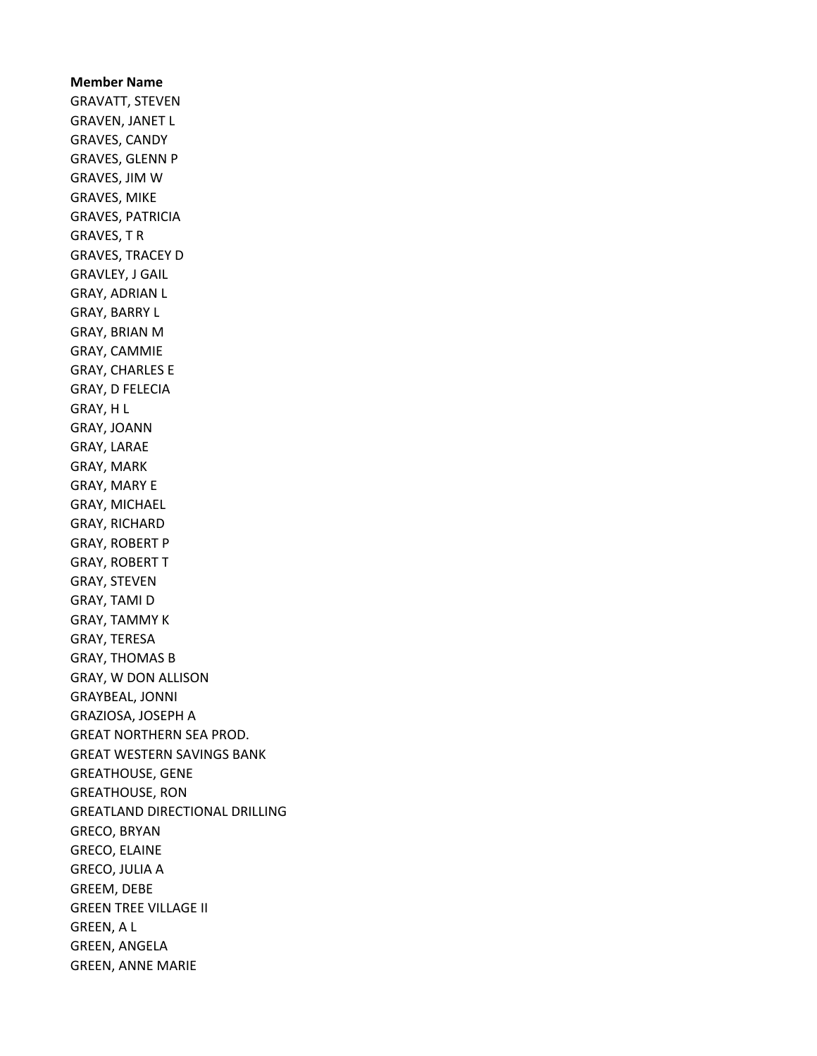Member Name GRAVATT, STEVEN GRAVEN, JANET L GRAVES, CANDY GRAVES, GLENN P GRAVES, JIM W GRAVES, MIKE GRAVES, PATRICIA GRAVES, T R GRAVES, TRACEY D GRAVLEY, J GAIL GRAY, ADRIAN L GRAY, BARRY L GRAY, BRIAN M GRAY, CAMMIE GRAY, CHARLES E GRAY, D FELECIA GRAY, H L GRAY, JOANN GRAY, LARAE GRAY, MARK GRAY, MARY E GRAY, MICHAEL GRAY, RICHARD GRAY, ROBERT P GRAY, ROBERT T GRAY, STEVEN GRAY, TAMI D GRAY, TAMMY K GRAY, TERESA GRAY, THOMAS B GRAY, W DON ALLISON GRAYBEAL, JONNI GRAZIOSA, JOSEPH A GREAT NORTHERN SEA PROD. GREAT WESTERN SAVINGS BANK GREATHOUSE, GENE GREATHOUSE, RON GREATLAND DIRECTIONAL DRILLING GRECO, BRYAN GRECO, ELAINE GRECO, JULIA A GREEM, DEBE GREEN TREE VILLAGE II GREEN, A L GREEN, ANGELA GREEN, ANNE MARIE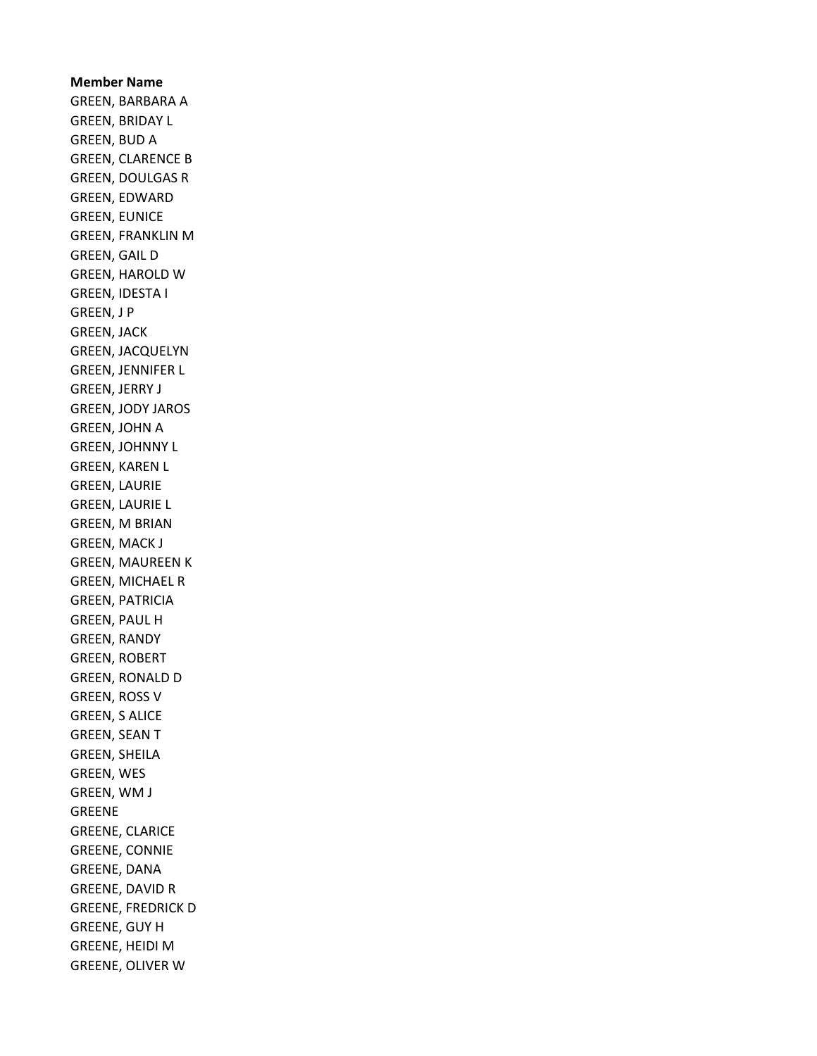Member Name GREEN, BARBARA A GREEN, BRIDAY L GREEN, BUD A GREEN, CLARENCE B GREEN, DOULGAS R GREEN, EDWARD GREEN, EUNICE GREEN, FRANKLIN M GREEN, GAIL D GREEN, HAROLD W GREEN, IDESTA I GREEN, J P GREEN, JACK GREEN, JACQUELYN GREEN, JENNIFER L GREEN, JERRY J GREEN, JODY JAROS GREEN, JOHN A GREEN, JOHNNY L GREEN, KAREN L GREEN, LAURIE GREEN, LAURIE L GREEN, M BRIAN GREEN, MACK J GREEN, MAUREEN K GREEN, MICHAEL R GREEN, PATRICIA GREEN, PAUL H GREEN, RANDY GREEN, ROBERT GREEN, RONALD D GREEN, ROSS V GREEN, S ALICE GREEN, SEAN T GREEN, SHEILA GREEN, WES GREEN, WM J GREENE GREENE, CLARICE GREENE, CONNIE GREENE, DANA GREENE, DAVID R GREENE, FREDRICK D GREENE, GUY H GREENE, HEIDI M GREENE, OLIVER W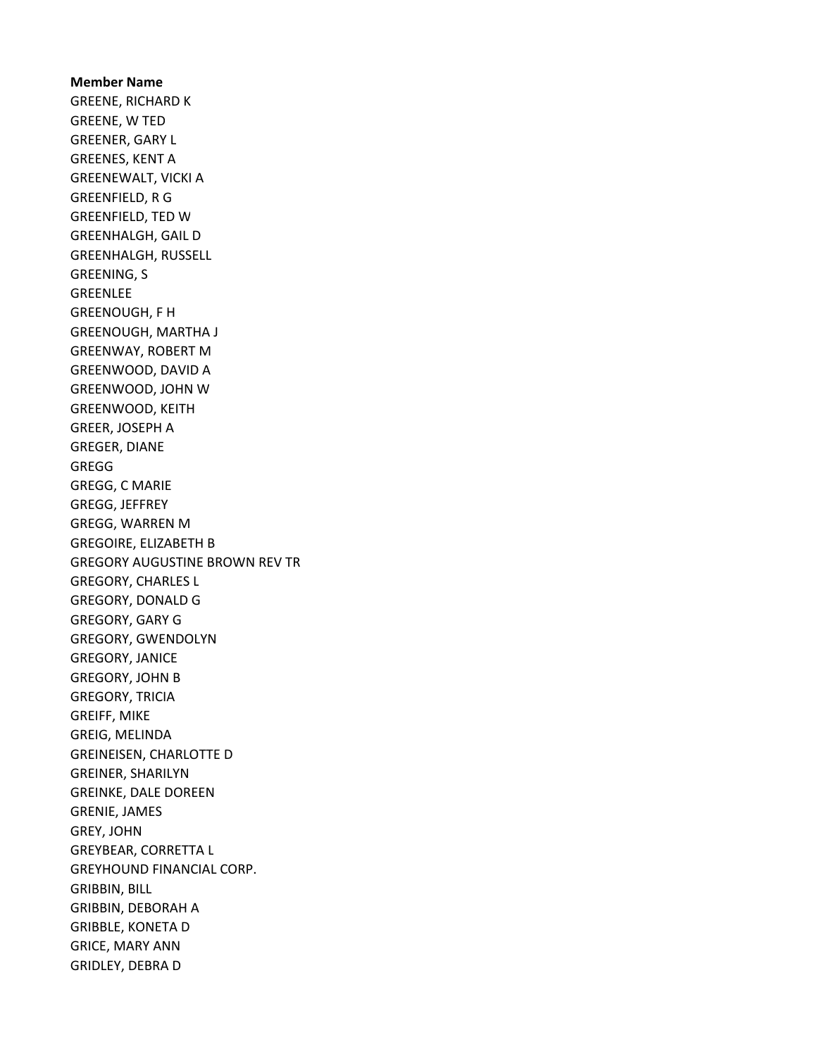Member Name GREENE, RICHARD K GREENE, W TED GREENER, GARY L GREENES, KENT A GREENEWALT, VICKI A GREENFIELD, R G GREENFIELD, TED W GREENHALGH, GAIL D GREENHALGH, RUSSELL GREENING, S GREENLEE GREENOUGH, F H GREENOUGH, MARTHA J GREENWAY, ROBERT M GREENWOOD, DAVID A GREENWOOD, JOHN W GREENWOOD, KEITH GREER, JOSEPH A GREGER, DIANE GREGG GREGG, C MARIE GREGG, JEFFREY GREGG, WARREN M GREGOIRE, ELIZABETH B GREGORY AUGUSTINE BROWN REV TR GREGORY, CHARLES L GREGORY, DONALD G GREGORY, GARY G GREGORY, GWENDOLYN GREGORY, JANICE GREGORY, JOHN B GREGORY, TRICIA GREIFF, MIKE GREIG, MELINDA GREINEISEN, CHARLOTTE D GREINER, SHARILYN GREINKE, DALE DOREEN GRENIE, JAMES GREY, JOHN GREYBEAR, CORRETTA L GREYHOUND FINANCIAL CORP. GRIBBIN, BILL GRIBBIN, DEBORAH A GRIBBLE, KONETA D GRICE, MARY ANN GRIDLEY, DEBRA D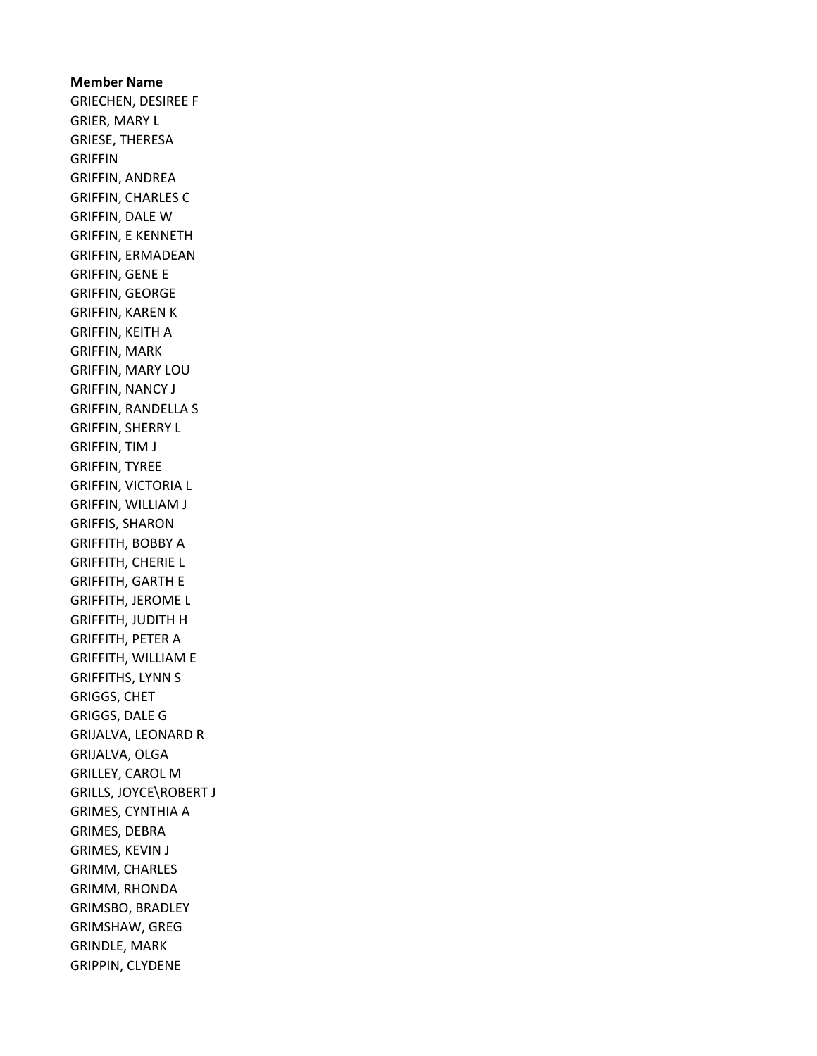Member Name GRIECHEN, DESIREE F GRIER, MARY L GRIESE, THERESA GRIFFIN GRIFFIN, ANDREA GRIFFIN, CHARLES C GRIFFIN, DALE W GRIFFIN, E KENNETH GRIFFIN, ERMADEAN GRIFFIN, GENE E GRIFFIN, GEORGE GRIFFIN, KAREN K GRIFFIN, KEITH A GRIFFIN, MARK GRIFFIN, MARY LOU GRIFFIN, NANCY J GRIFFIN, RANDELLA S GRIFFIN, SHERRY L GRIFFIN, TIM J GRIFFIN, TYREE GRIFFIN, VICTORIA L GRIFFIN, WILLIAM J GRIFFIS, SHARON GRIFFITH, BOBBY A GRIFFITH, CHERIE L GRIFFITH, GARTH E GRIFFITH, JEROME L GRIFFITH, JUDITH H GRIFFITH, PETER A GRIFFITH, WILLIAM E GRIFFITHS, LYNN S GRIGGS, CHET GRIGGS, DALE G GRIJALVA, LEONARD R GRIJALVA, OLGA GRILLEY, CAROL M GRILLS, JOYCE\ROBERT J GRIMES, CYNTHIA A GRIMES, DEBRA GRIMES, KEVIN J GRIMM, CHARLES GRIMM, RHONDA GRIMSBO, BRADLEY GRIMSHAW, GREG GRINDLE, MARK GRIPPIN, CLYDENE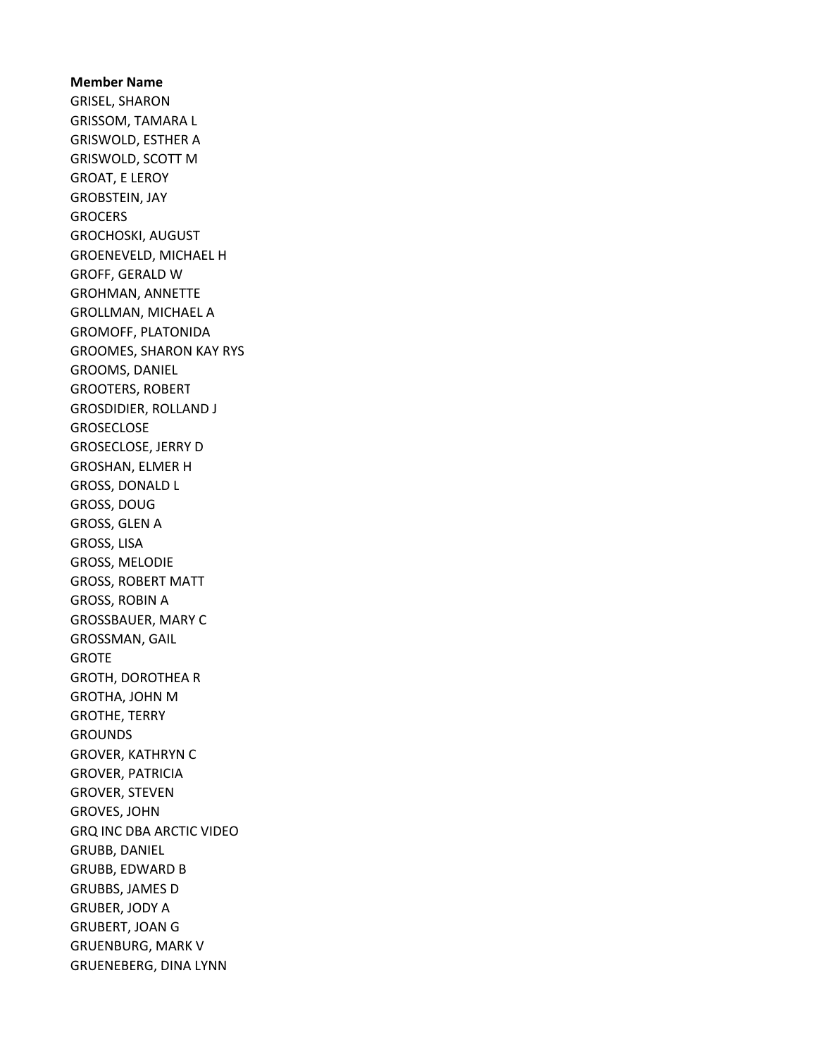Member Name GRISEL, SHARON GRISSOM, TAMARA L GRISWOLD, ESTHER A GRISWOLD, SCOTT M GROAT, E LEROY GROBSTEIN, JAY **GROCERS** GROCHOSKI, AUGUST GROENEVELD, MICHAEL H GROFF, GERALD W GROHMAN, ANNETTE GROLLMAN, MICHAEL A GROMOFF, PLATONIDA GROOMES, SHARON KAY RYS GROOMS, DANIEL GROOTERS, ROBERT GROSDIDIER, ROLLAND J **GROSECLOSE** GROSECLOSE, JERRY D GROSHAN, ELMER H GROSS, DONALD L GROSS, DOUG GROSS, GLEN A GROSS, LISA GROSS, MELODIE GROSS, ROBERT MATT GROSS, ROBIN A GROSSBAUER, MARY C GROSSMAN, GAIL GROTE GROTH, DOROTHEA R GROTHA, JOHN M GROTHE, TERRY **GROUNDS** GROVER, KATHRYN C GROVER, PATRICIA GROVER, STEVEN GROVES, JOHN GRQ INC DBA ARCTIC VIDEO GRUBB, DANIEL GRUBB, EDWARD B GRUBBS, JAMES D GRUBER, JODY A GRUBERT, JOAN G GRUENBURG, MARK V GRUENEBERG, DINA LYNN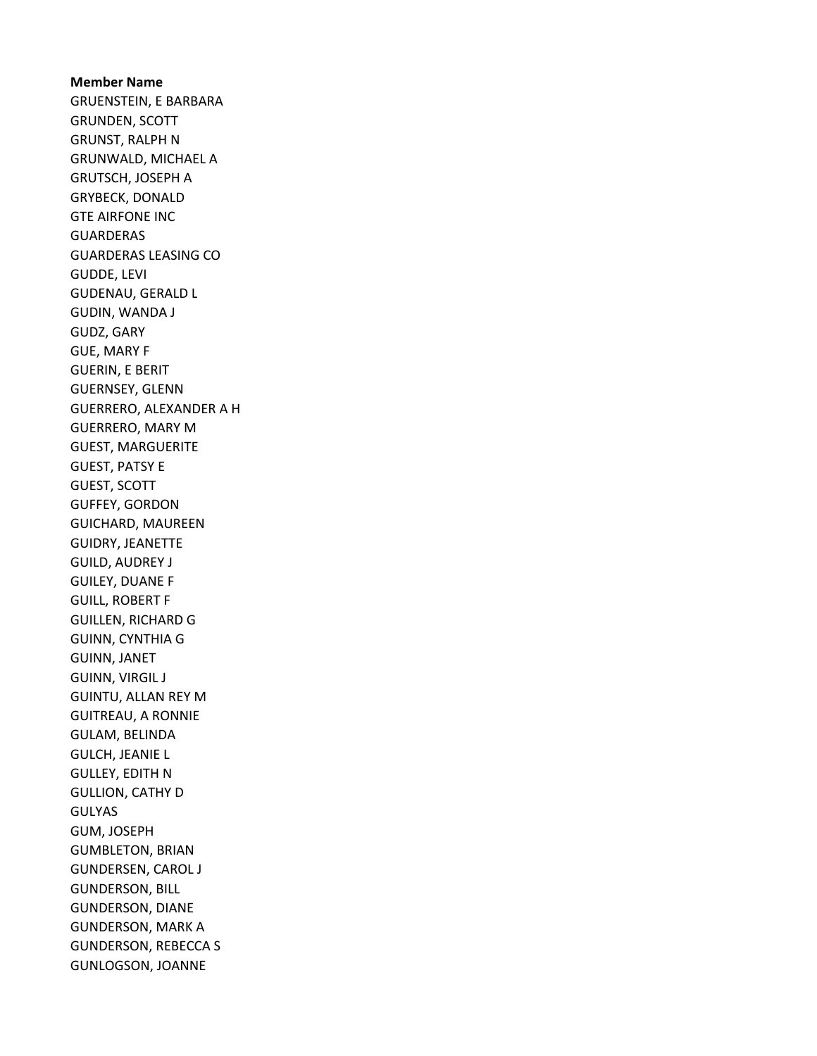Member Name GRUENSTEIN, E BARBARA GRUNDEN, SCOTT GRUNST, RALPH N GRUNWALD, MICHAEL A GRUTSCH, JOSEPH A GRYBECK, DONALD GTE AIRFONE INC GUARDERAS GUARDERAS LEASING CO GUDDE, LEVI GUDENAU, GERALD L GUDIN, WANDA J GUDZ, GARY GUE, MARY F GUERIN, E BERIT GUERNSEY, GLENN GUERRERO, ALEXANDER A H GUERRERO, MARY M GUEST, MARGUERITE GUEST, PATSY E GUEST, SCOTT GUFFEY, GORDON GUICHARD, MAUREEN GUIDRY, JEANETTE GUILD, AUDREY J GUILEY, DUANE F GUILL, ROBERT F GUILLEN, RICHARD G GUINN, CYNTHIA G GUINN, JANET GUINN, VIRGIL J GUINTU, ALLAN REY M GUITREAU, A RONNIE GULAM, BELINDA GULCH, JEANIE L GULLEY, EDITH N GULLION, CATHY D GULYAS GUM, JOSEPH GUMBLETON, BRIAN GUNDERSEN, CAROL J GUNDERSON, BILL GUNDERSON, DIANE GUNDERSON, MARK A GUNDERSON, REBECCA S GUNLOGSON, JOANNE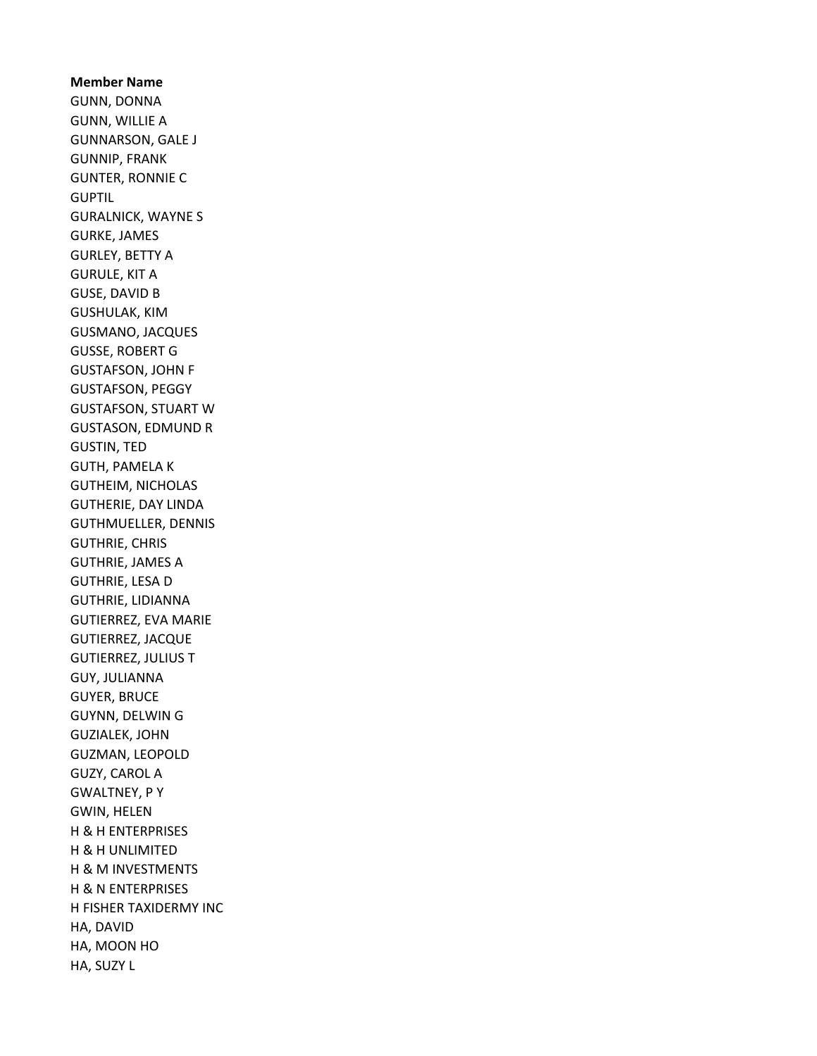Member Name GUNN, DONNA GUNN, WILLIE A GUNNARSON, GALE J GUNNIP, FRANK GUNTER, RONNIE C **GUPTIL** GURALNICK, WAYNE S GURKE, JAMES GURLEY, BETTY A GURULE, KIT A GUSE, DAVID B GUSHULAK, KIM GUSMANO, JACQUES GUSSE, ROBERT G GUSTAFSON, JOHN F GUSTAFSON, PEGGY GUSTAFSON, STUART W GUSTASON, EDMUND R GUSTIN, TED GUTH, PAMELA K GUTHEIM, NICHOLAS GUTHERIE, DAY LINDA GUTHMUELLER, DENNIS GUTHRIE, CHRIS GUTHRIE, JAMES A GUTHRIE, LESA D GUTHRIE, LIDIANNA GUTIERREZ, EVA MARIE GUTIERREZ, JACQUE GUTIERREZ, JULIUS T GUY, JULIANNA GUYER, BRUCE GUYNN, DELWIN G GUZIALEK, JOHN GUZMAN, LEOPOLD GUZY, CAROL A GWALTNEY, P Y GWIN, HELEN H & H ENTERPRISES H & H UNLIMITED H & M INVESTMENTS H & N ENTERPRISES H FISHER TAXIDERMY INC HA, DAVID HA, MOON HO HA, SUZY L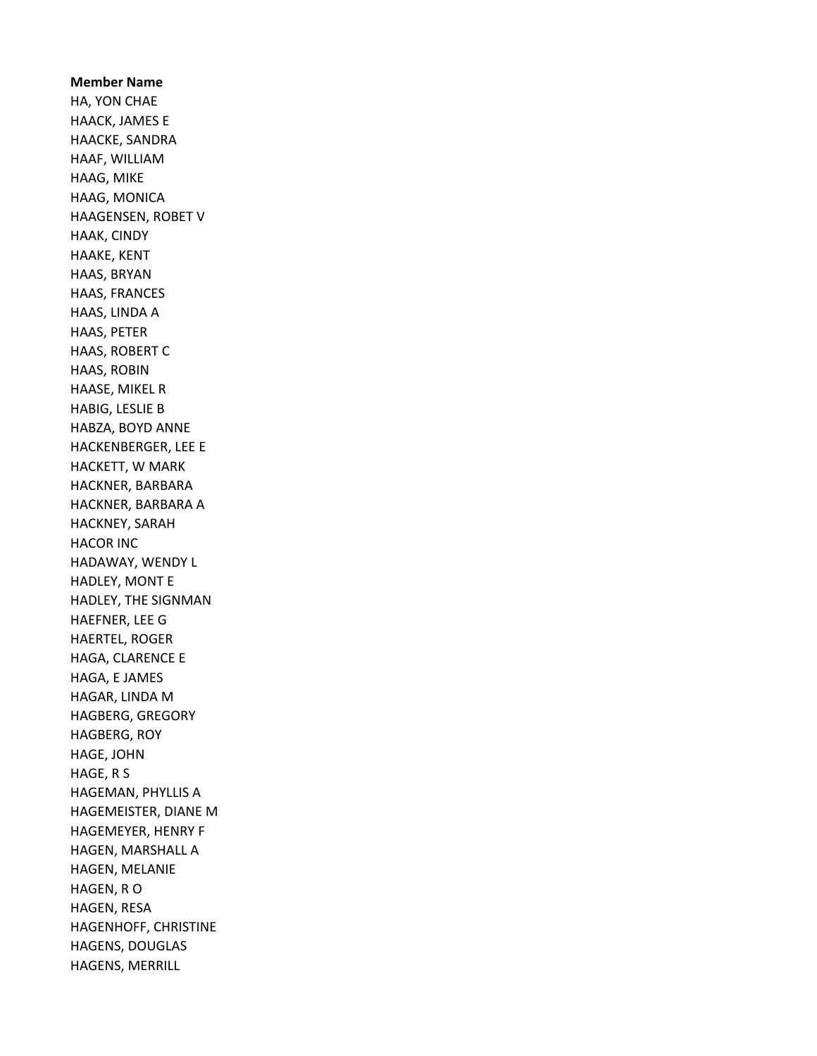Member Name HA, YON CHAE HAACK, JAMES E HAACKE, SANDRA HAAF, WILLIAM HAAG, MIKE HAAG, MONICA HAAGENSEN, ROBET V HAAK, CINDY HAAKE, KENT HAAS, BRYAN HAAS, FRANCES HAAS, LINDA A HAAS, PETER HAAS, ROBERT C HAAS, ROBIN HAASE, MIKEL R HABIG, LESLIE B HABZA, BOYD ANNE HACKENBERGER, LEE E HACKETT, W MARK HACKNER, BARBARA HACKNER, BARBARA A HACKNEY, SARAH HACOR INC HADAWAY, WENDY L HADLEY, MONT E HADLEY, THE SIGNMAN HAEFNER, LEE G HAERTEL, ROGER HAGA, CLARENCE E HAGA, E JAMES HAGAR, LINDA M HAGBERG, GREGORY HAGBERG, ROY HAGE, JOHN HAGE, R S HAGEMAN, PHYLLIS A HAGEMEISTER, DIANE M HAGEMEYER, HENRY F HAGEN, MARSHALL A HAGEN, MELANIE HAGEN, R O HAGEN, RESA HAGENHOFF, CHRISTINE HAGENS, DOUGLAS HAGENS, MERRILL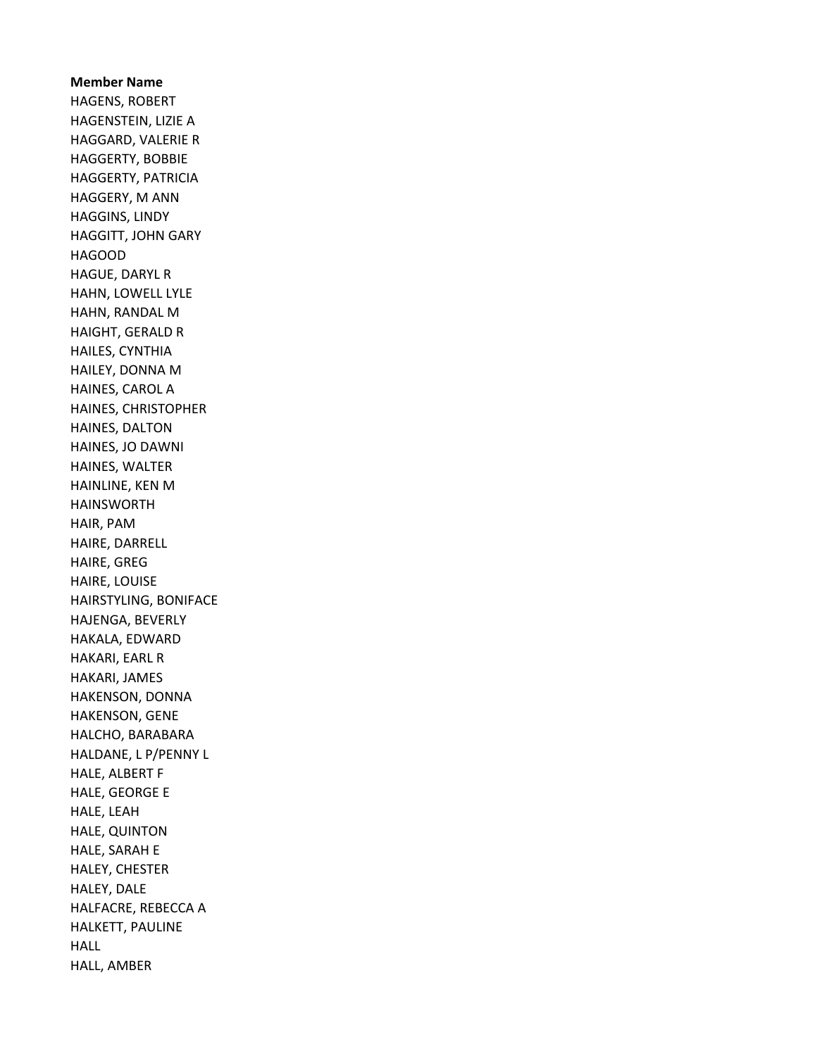Member Name HAGENS, ROBERT HAGENSTEIN, LIZIE A HAGGARD, VALERIE R HAGGERTY, BOBBIE HAGGERTY, PATRICIA HAGGERY, M ANN HAGGINS, LINDY HAGGITT, JOHN GARY HAGOOD HAGUE, DARYL R HAHN, LOWELL LYLE HAHN, RANDAL M HAIGHT, GERALD R HAILES, CYNTHIA HAILEY, DONNA M HAINES, CAROL A HAINES, CHRISTOPHER HAINES, DALTON HAINES, JO DAWNI HAINES, WALTER HAINLINE, KEN M HAINSWORTH HAIR, PAM HAIRE, DARRELL HAIRE, GREG HAIRE, LOUISE HAIRSTYLING, BONIFACE HAJENGA, BEVERLY HAKALA, EDWARD HAKARI, EARL R HAKARI, JAMES HAKENSON, DONNA HAKENSON, GENE HALCHO, BARABARA HALDANE, L P/PENNY L HALE, ALBERT F HALE, GEORGE E HALE, LEAH HALE, QUINTON HALE, SARAH E HALEY, CHESTER HALEY, DALE HALFACRE, REBECCA A HALKETT, PAULINE HALL HALL, AMBER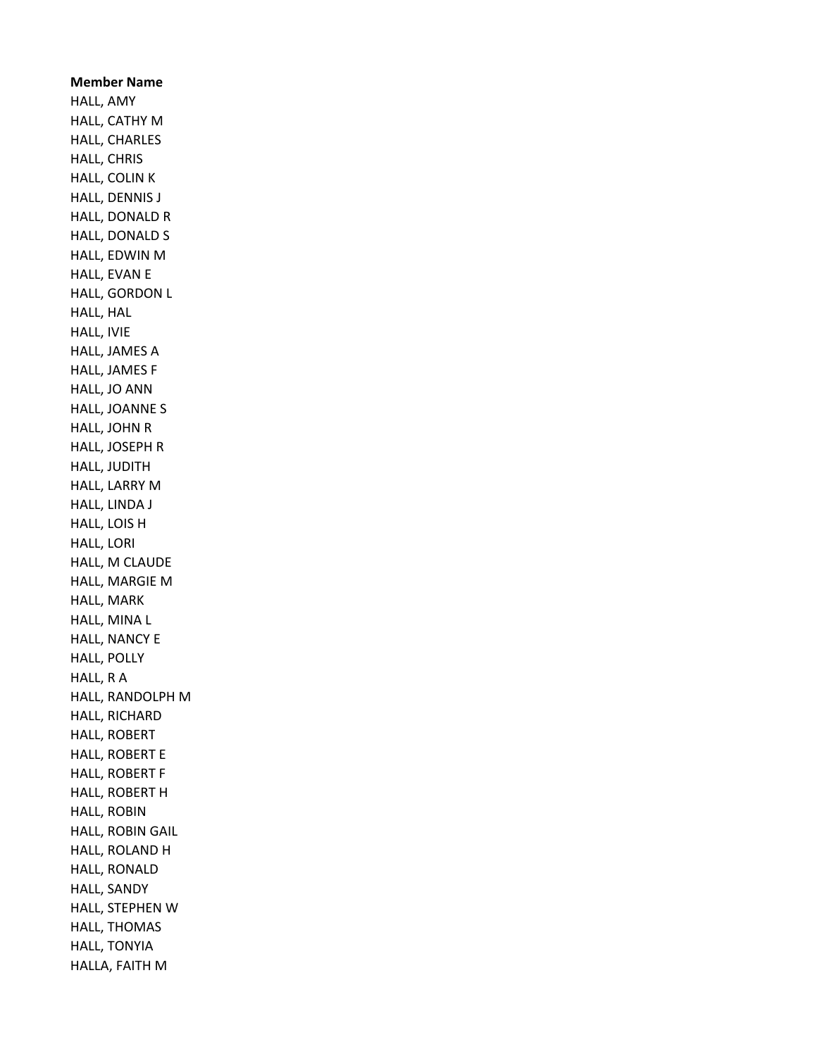Member Name HALL, AMY HALL, CATHY M HALL, CHARLES HALL, CHRIS HALL, COLIN K HALL, DENNIS J HALL, DONALD R HALL, DONALD S HALL, EDWIN M HALL, EVAN E HALL, GORDON L HALL, HAL HALL, IVIE HALL, JAMES A HALL, JAMES F HALL, JO ANN HALL, JOANNE S HALL, JOHN R HALL, JOSEPH R HALL, JUDITH HALL, LARRY M HALL, LINDA J HALL, LOIS H HALL, LORI HALL, M CLAUDE HALL, MARGIE M HALL, MARK HALL, MINA L HALL, NANCY E HALL, POLLY HALL, R A HALL, RANDOLPH M HALL, RICHARD HALL, ROBERT HALL, ROBERT E HALL, ROBERT F HALL, ROBERT H HALL, ROBIN HALL, ROBIN GAIL HALL, ROLAND H HALL, RONALD HALL, SANDY HALL, STEPHEN W HALL, THOMAS HALL, TONYIA HALLA, FAITH M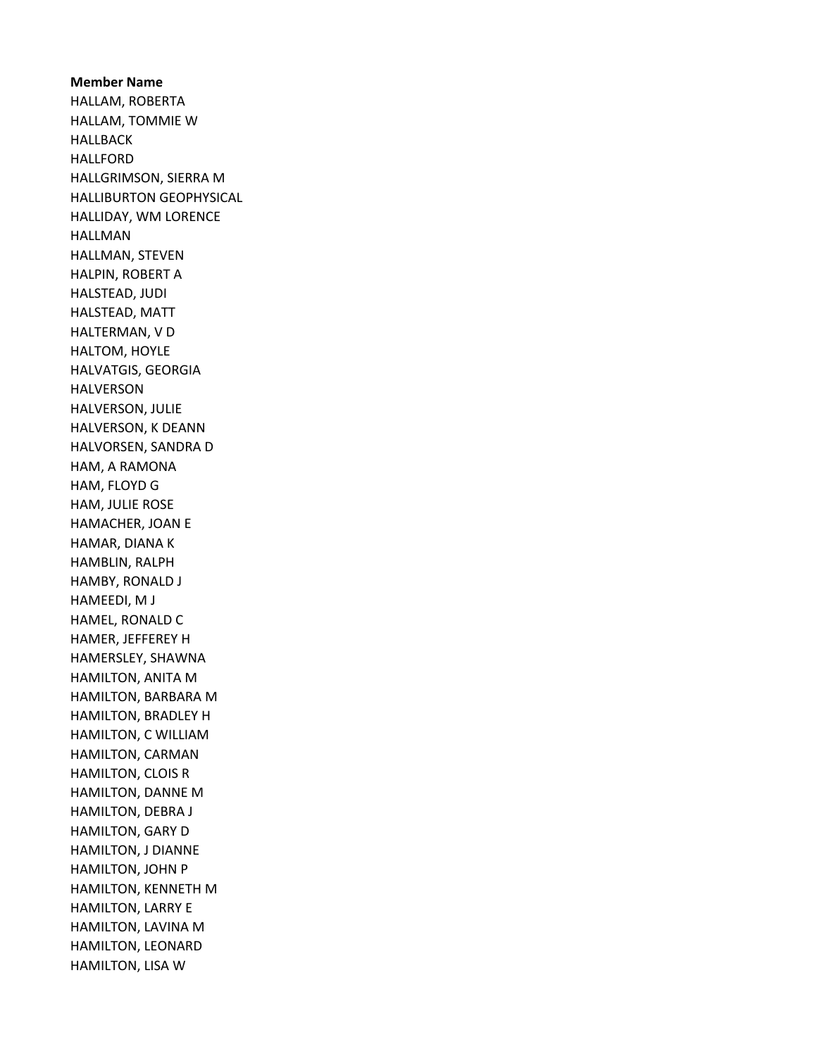Member Name HALLAM, ROBERTA HALLAM, TOMMIE W HALLBACK HALLFORD HALLGRIMSON, SIERRA M HALLIBURTON GEOPHYSICAL HALLIDAY, WM LORENCE HALLMAN HALLMAN, STEVEN HALPIN, ROBERT A HALSTEAD, JUDI HALSTEAD, MATT HALTERMAN, V D HALTOM, HOYLE HALVATGIS, GEORGIA HALVERSON HALVERSON, JULIE HALVERSON, K DEANN HALVORSEN, SANDRA D HAM, A RAMONA HAM, FLOYD G HAM, JULIE ROSE HAMACHER, JOAN E HAMAR, DIANA K HAMBLIN, RALPH HAMBY, RONALD J HAMEEDI, M J HAMEL, RONALD C HAMER, JEFFEREY H HAMERSLEY, SHAWNA HAMILTON, ANITA M HAMILTON, BARBARA M HAMILTON, BRADLEY H HAMILTON, C WILLIAM HAMILTON, CARMAN HAMILTON, CLOIS R HAMILTON, DANNE M HAMILTON, DEBRA J HAMILTON, GARY D HAMILTON, J DIANNE HAMILTON, JOHN P HAMILTON, KENNETH M HAMILTON, LARRY E HAMILTON, LAVINA M HAMILTON, LEONARD HAMILTON, LISA W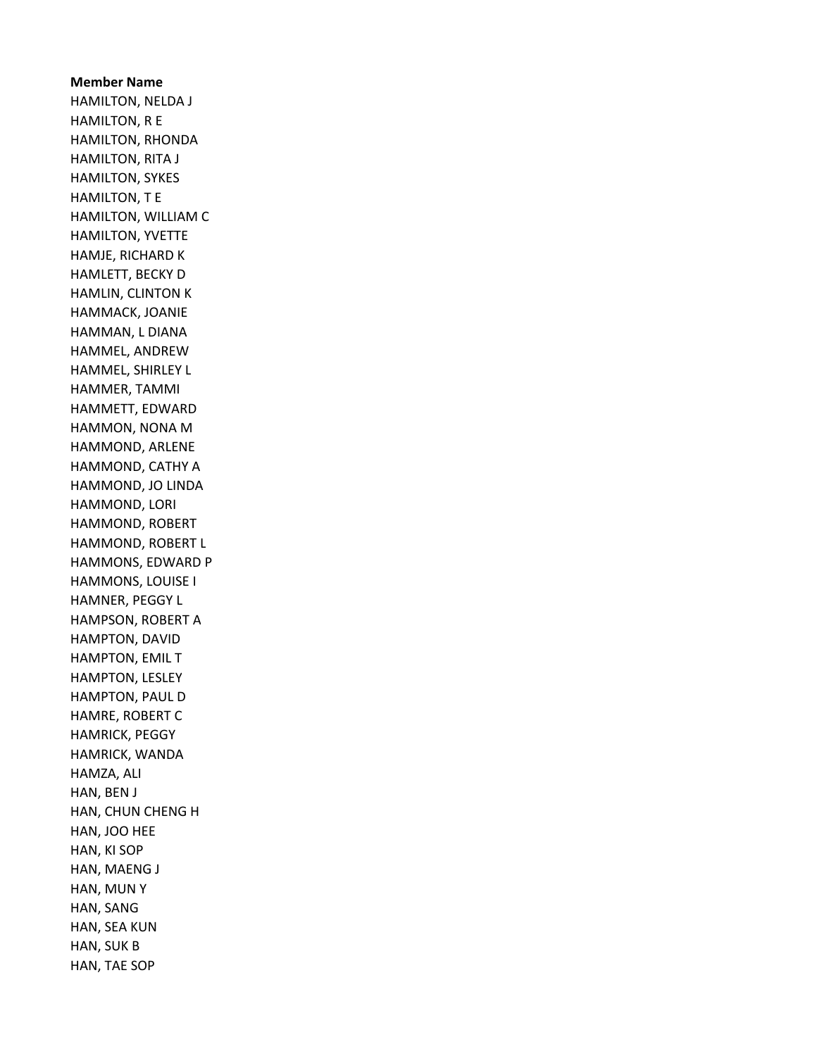Member Name HAMILTON, NELDA J HAMILTON, R E HAMILTON, RHONDA HAMILTON, RITA J HAMILTON, SYKES HAMILTON, T E HAMILTON, WILLIAM C HAMILTON, YVETTE HAMJE, RICHARD K HAMLETT, BECKY D HAMLIN, CLINTON K HAMMACK, JOANIE HAMMAN, L DIANA HAMMEL, ANDREW HAMMEL, SHIRLEY L HAMMER, TAMMI HAMMETT, EDWARD HAMMON, NONA M HAMMOND, ARLENE HAMMOND, CATHY A HAMMOND, JO LINDA HAMMOND, LORI HAMMOND, ROBERT HAMMOND, ROBERT L HAMMONS, EDWARD P HAMMONS, LOUISE I HAMNER, PEGGY L HAMPSON, ROBERT A HAMPTON, DAVID HAMPTON, EMIL T HAMPTON, LESLEY HAMPTON, PAUL D HAMRE, ROBERT C HAMRICK, PEGGY HAMRICK, WANDA HAMZA, ALI HAN, BEN J HAN, CHUN CHENG H HAN, JOO HEE HAN, KI SOP HAN, MAENG J HAN, MUN Y HAN, SANG HAN, SEA KUN HAN, SUK B HAN, TAE SOP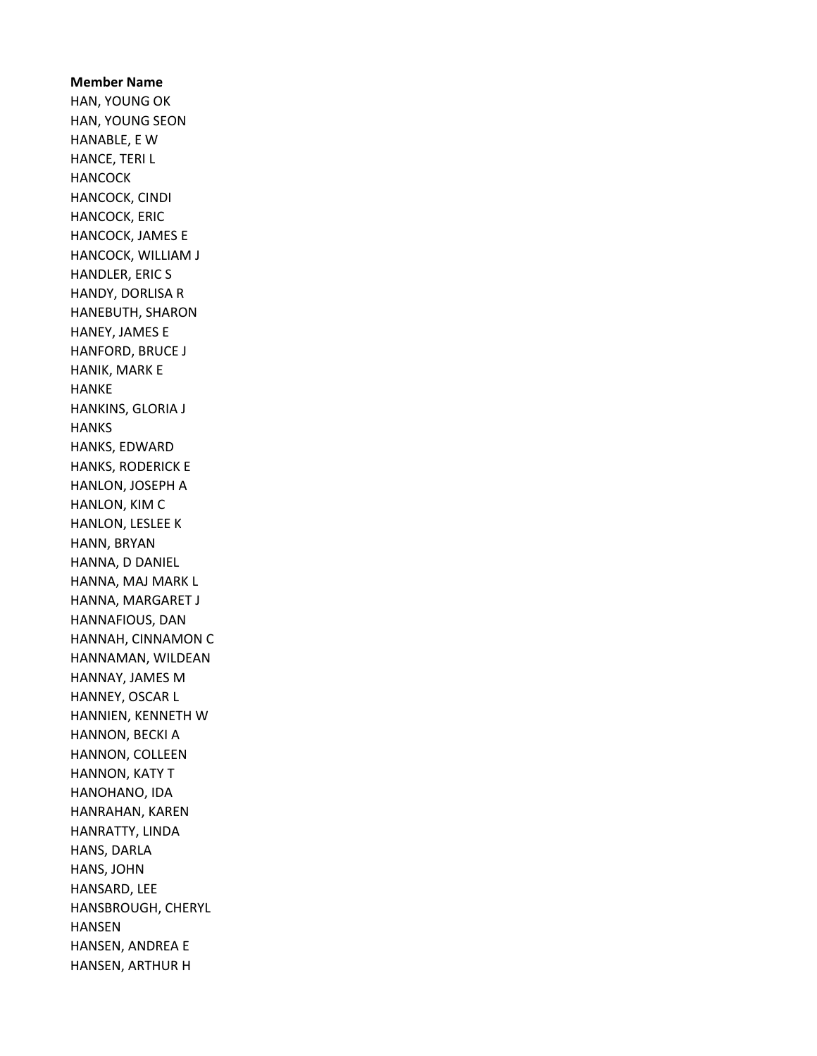Member Name HAN, YOUNG OK HAN, YOUNG SEON HANABLE, E W HANCE, TERI L **HANCOCK** HANCOCK, CINDI HANCOCK, ERIC HANCOCK, JAMES E HANCOCK, WILLIAM J HANDLER, ERIC S HANDY, DORLISA R HANEBUTH, SHARON HANEY, JAMES E HANFORD, BRUCE J HANIK, MARK E HANKE HANKINS, GLORIA J **HANKS** HANKS, EDWARD HANKS, RODERICK E HANLON, JOSEPH A HANLON, KIM C HANLON, LESLEE K HANN, BRYAN HANNA, D DANIEL HANNA, MAJ MARK L HANNA, MARGARET J HANNAFIOUS, DAN HANNAH, CINNAMON C HANNAMAN, WILDEAN HANNAY, JAMES M HANNEY, OSCAR L HANNIEN, KENNETH W HANNON, BECKI A HANNON, COLLEEN HANNON, KATY T HANOHANO, IDA HANRAHAN, KAREN HANRATTY, LINDA HANS, DARLA HANS, JOHN HANSARD, LEE HANSBROUGH, CHERYL HANSEN HANSEN, ANDREA E HANSEN, ARTHUR H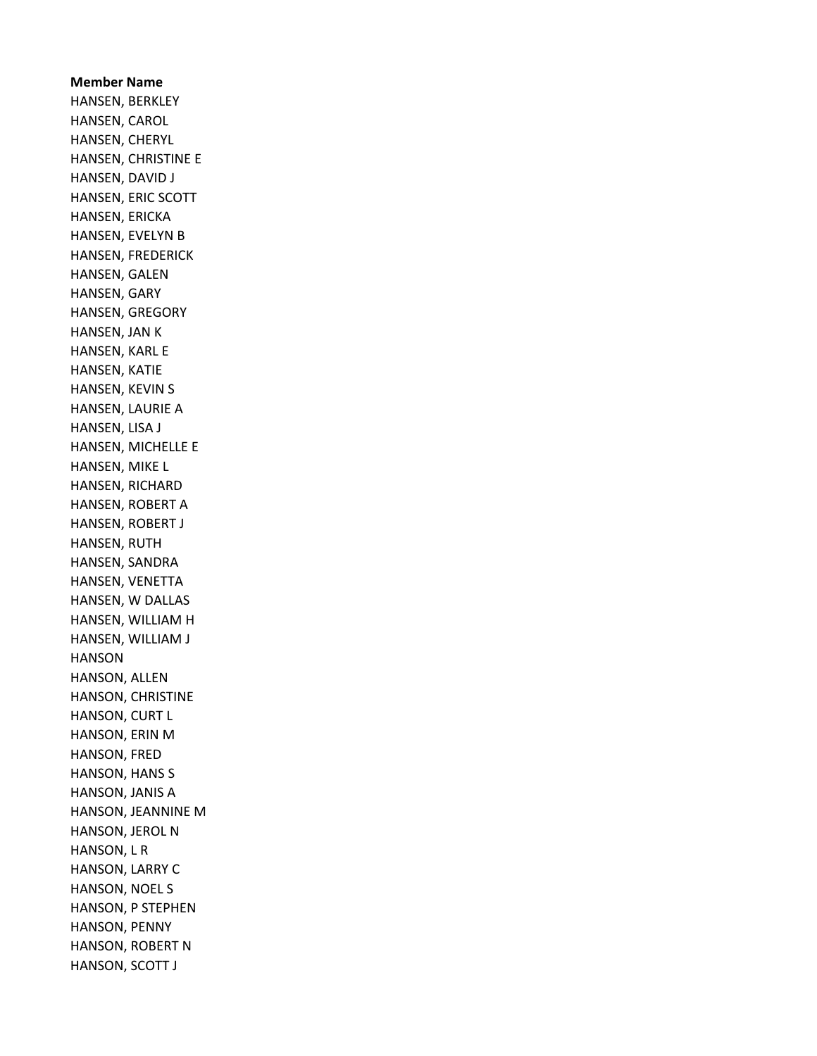Member Name HANSEN, BERKLEY HANSEN, CAROL HANSEN, CHERYL HANSEN, CHRISTINE E HANSEN, DAVID J HANSEN, ERIC SCOTT HANSEN, ERICKA HANSEN, EVELYN B HANSEN, FREDERICK HANSEN, GALEN HANSEN, GARY HANSEN, GREGORY HANSEN, JAN K HANSEN, KARL E HANSEN, KATIE HANSEN, KEVIN S HANSEN, LAURIE A HANSEN, LISA J HANSEN, MICHELLE E HANSEN, MIKE L HANSEN, RICHARD HANSEN, ROBERT A HANSEN, ROBERT J HANSEN, RUTH HANSEN, SANDRA HANSEN, VENETTA HANSEN, W DALLAS HANSEN, WILLIAM H HANSEN, WILLIAM J HANSON HANSON, ALLEN HANSON, CHRISTINE HANSON, CURT L HANSON, ERIN M HANSON, FRED HANSON, HANS S HANSON, JANIS A HANSON, JEANNINE M HANSON, JEROL N HANSON, L R HANSON, LARRY C HANSON, NOEL S HANSON, P STEPHEN HANSON, PENNY HANSON, ROBERT N HANSON, SCOTT J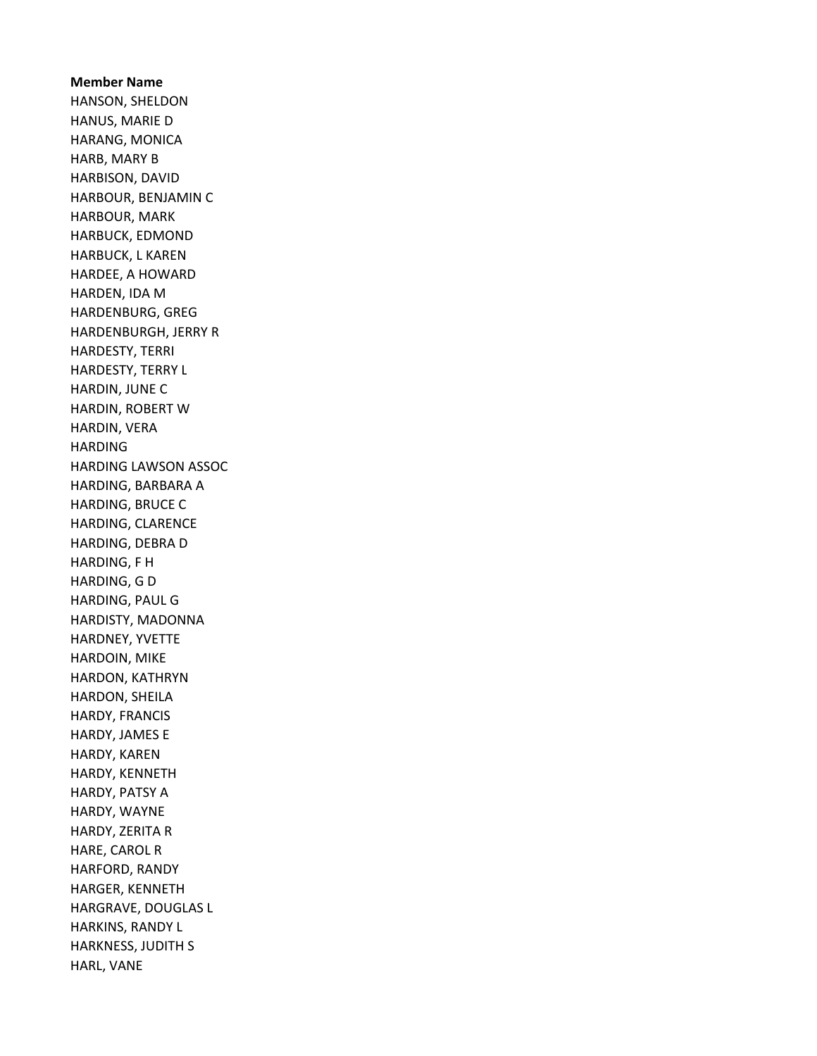Member Name HANSON, SHELDON HANUS, MARIE D HARANG, MONICA HARB, MARY B HARBISON, DAVID HARBOUR, BENJAMIN C HARBOUR, MARK HARBUCK, EDMOND HARBUCK, L KAREN HARDEE, A HOWARD HARDEN, IDA M HARDENBURG, GREG HARDENBURGH, JERRY R HARDESTY, TERRI HARDESTY, TERRY L HARDIN, JUNE C HARDIN, ROBERT W HARDIN, VERA HARDING HARDING LAWSON ASSOC HARDING, BARBARA A HARDING, BRUCE C HARDING, CLARENCE HARDING, DEBRA D HARDING, F H HARDING, G D HARDING, PAUL G HARDISTY, MADONNA HARDNEY, YVETTE HARDOIN, MIKE HARDON, KATHRYN HARDON, SHEILA HARDY, FRANCIS HARDY, JAMES E HARDY, KAREN HARDY, KENNETH HARDY, PATSY A HARDY, WAYNE HARDY, ZERITA R HARE, CAROL R HARFORD, RANDY HARGER, KENNETH HARGRAVE, DOUGLAS L HARKINS, RANDY L HARKNESS, JUDITH S HARL, VANE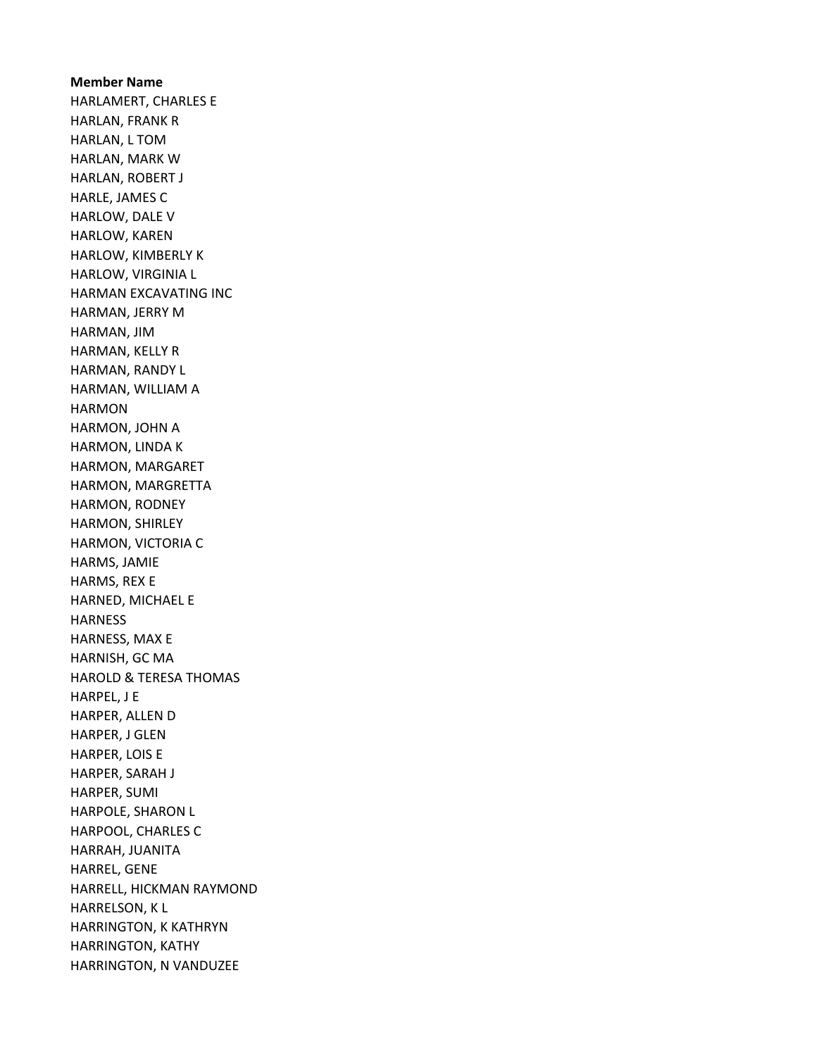Member Name HARLAMERT, CHARLES E HARLAN, FRANK R HARLAN, L TOM HARLAN, MARK W HARLAN, ROBERT J HARLE, JAMES C HARLOW, DALE V HARLOW, KAREN HARLOW, KIMBERLY K HARLOW, VIRGINIA L HARMAN EXCAVATING INC HARMAN, JERRY M HARMAN, JIM HARMAN, KELLY R HARMAN, RANDY L HARMAN, WILLIAM A HARMON HARMON, JOHN A HARMON, LINDA K HARMON, MARGARET HARMON, MARGRETTA HARMON, RODNEY HARMON, SHIRLEY HARMON, VICTORIA C HARMS, JAMIE HARMS, REX E HARNED, MICHAEL E HARNESS HARNESS, MAX E HARNISH, GC MA HAROLD & TERESA THOMAS HARPEL, J E HARPER, ALLEN D HARPER, J GLEN HARPER, LOIS E HARPER, SARAH J HARPER, SUMI HARPOLE, SHARON L HARPOOL, CHARLES C HARRAH, JUANITA HARREL, GENE HARRELL, HICKMAN RAYMOND HARRELSON, K L HARRINGTON, K KATHRYN HARRINGTON, KATHY HARRINGTON, N VANDUZEE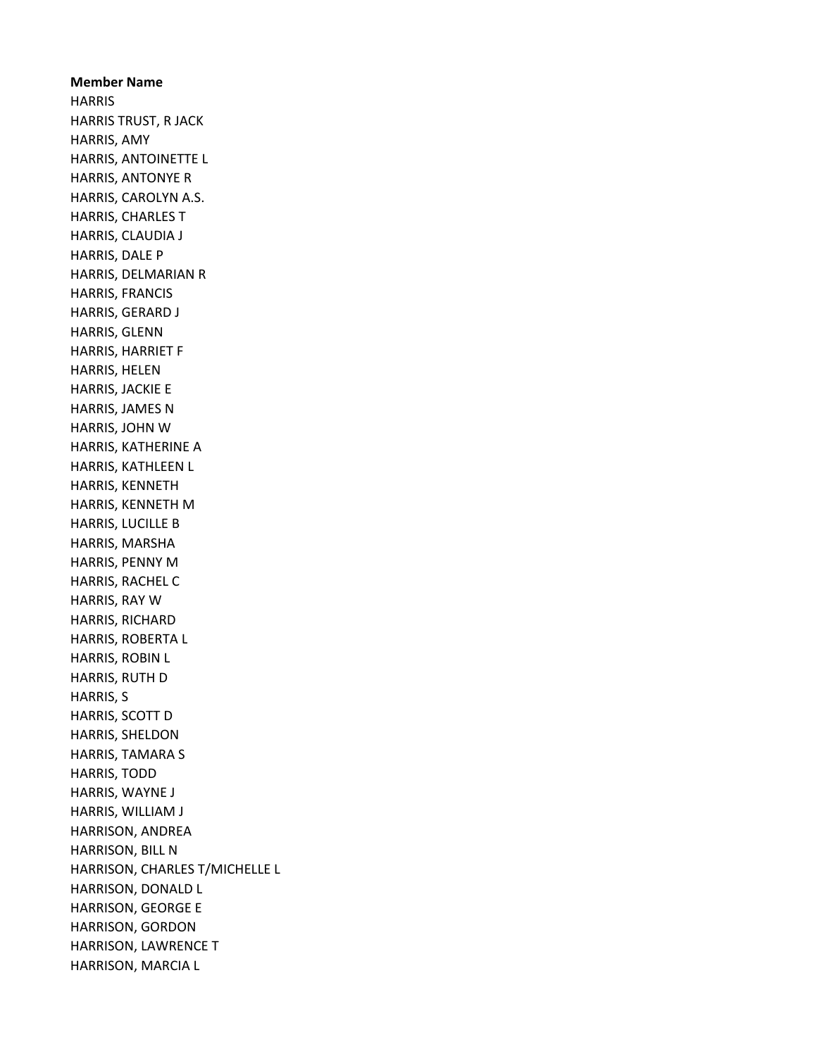Member Name **HARRIS** HARRIS TRUST, R JACK HARRIS, AMY HARRIS, ANTOINETTE L HARRIS, ANTONYE R HARRIS, CAROLYN A.S. HARRIS, CHARLES T HARRIS, CLAUDIA J HARRIS, DALE P HARRIS, DELMARIAN R HARRIS, FRANCIS HARRIS, GERARD J HARRIS, GLENN HARRIS, HARRIET F HARRIS, HELEN HARRIS, JACKIE E HARRIS, JAMES N HARRIS, JOHN W HARRIS, KATHERINE A HARRIS, KATHLEEN L HARRIS, KENNETH HARRIS, KENNETH M HARRIS, LUCILLE B HARRIS, MARSHA HARRIS, PENNY M HARRIS, RACHEL C HARRIS, RAY W HARRIS, RICHARD HARRIS, ROBERTA L HARRIS, ROBIN L HARRIS, RUTH D HARRIS, S HARRIS, SCOTT D HARRIS, SHELDON HARRIS, TAMARA S HARRIS, TODD HARRIS, WAYNE J HARRIS, WILLIAM J HARRISON, ANDREA HARRISON, BILL N HARRISON, CHARLES T/MICHELLE L HARRISON, DONALD L HARRISON, GEORGE E HARRISON, GORDON HARRISON, LAWRENCE T HARRISON, MARCIA L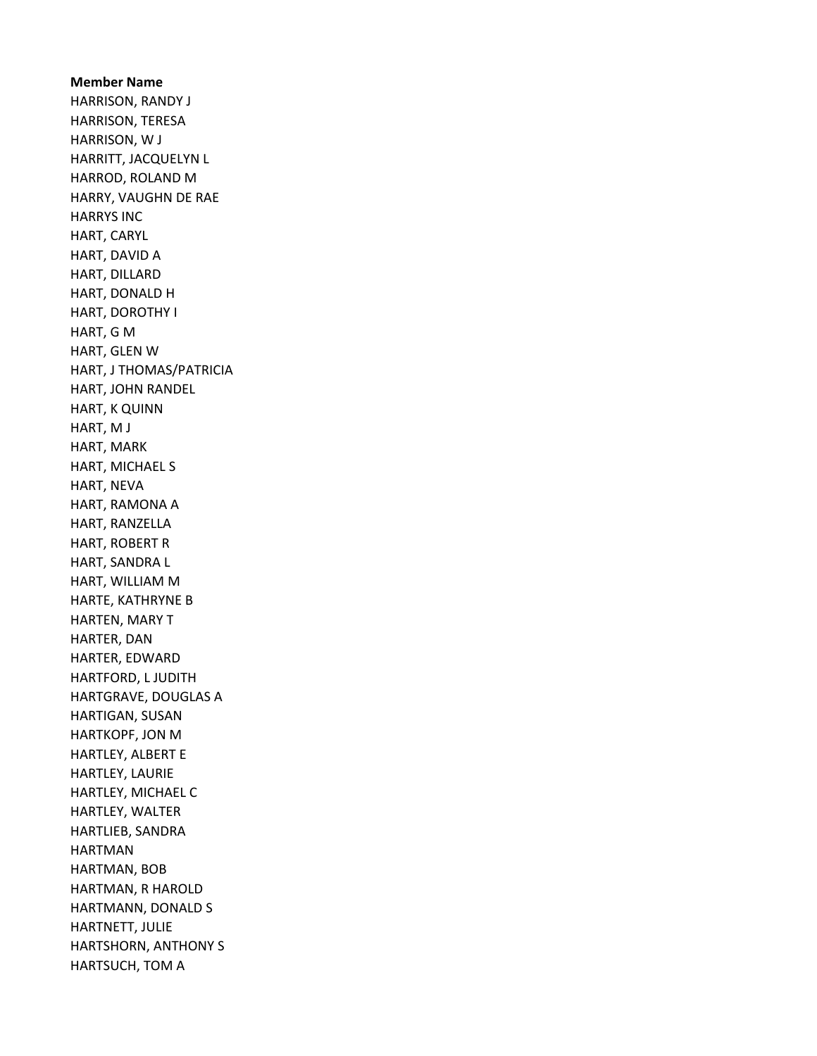Member Name HARRISON, RANDY J HARRISON, TERESA HARRISON, W J HARRITT, JACQUELYN L HARROD, ROLAND M HARRY, VAUGHN DE RAE HARRYS INC HART, CARYL HART, DAVID A HART, DILLARD HART, DONALD H HART, DOROTHY I HART, G M HART, GLEN W HART, J THOMAS/PATRICIA HART, JOHN RANDEL HART, K QUINN HART, M J HART, MARK HART, MICHAEL S HART, NEVA HART, RAMONA A HART, RANZELLA HART, ROBERT R HART, SANDRA L HART, WILLIAM M HARTE, KATHRYNE B HARTEN, MARY T HARTER, DAN HARTER, EDWARD HARTFORD, L JUDITH HARTGRAVE, DOUGLAS A HARTIGAN, SUSAN HARTKOPF, JON M HARTLEY, ALBERT E HARTLEY, LAURIE HARTLEY, MICHAEL C HARTLEY, WALTER HARTLIEB, SANDRA HARTMAN HARTMAN, BOB HARTMAN, R HAROLD HARTMANN, DONALD S HARTNETT, JULIE HARTSHORN, ANTHONY S HARTSUCH, TOM A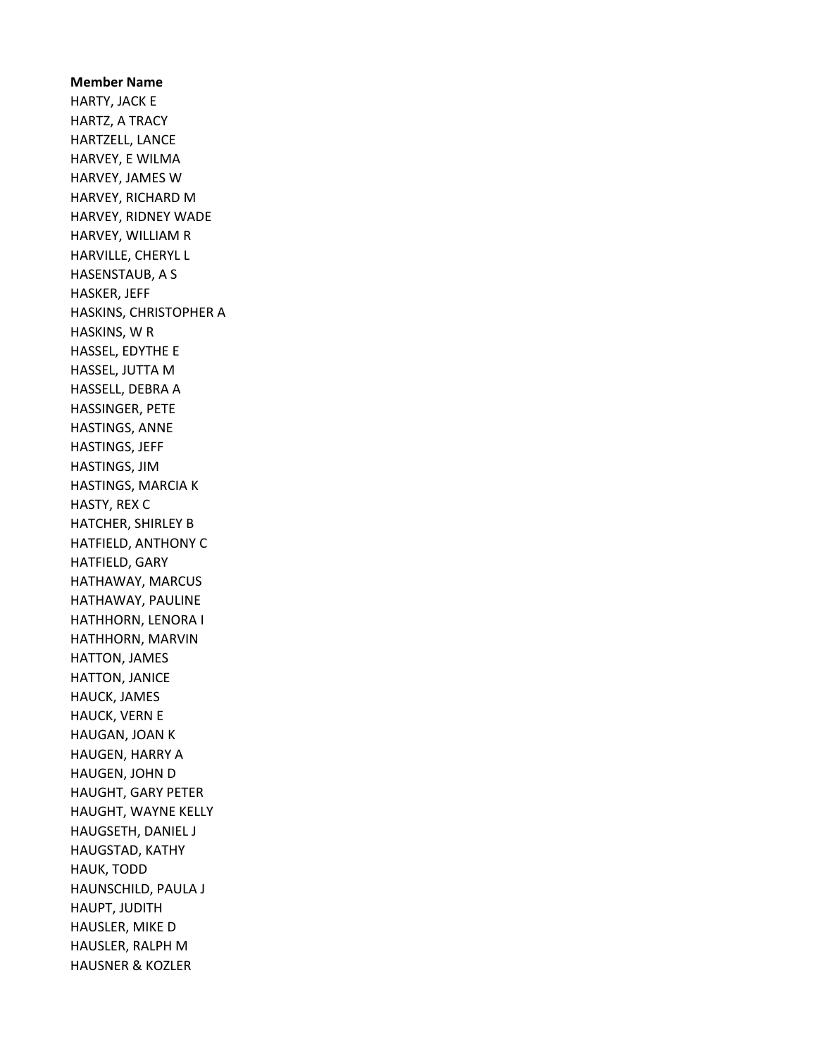Member Name HARTY, JACK E HARTZ, A TRACY HARTZELL, LANCE HARVEY, E WILMA HARVEY, JAMES W HARVEY, RICHARD M HARVEY, RIDNEY WADE HARVEY, WILLIAM R HARVILLE, CHERYL L HASENSTAUB, A S HASKER, JEFF HASKINS, CHRISTOPHER A HASKINS, W R HASSEL, EDYTHE E HASSEL, JUTTA M HASSELL, DEBRA A HASSINGER, PETE HASTINGS, ANNE HASTINGS, JEFF HASTINGS, JIM HASTINGS, MARCIA K HASTY, REX C HATCHER, SHIRLEY B HATFIELD, ANTHONY C HATFIELD, GARY HATHAWAY, MARCUS HATHAWAY, PAULINE HATHHORN, LENORA I HATHHORN, MARVIN HATTON, JAMES HATTON, JANICE HAUCK, JAMES HAUCK, VERN E HAUGAN, JOAN K HAUGEN, HARRY A HAUGEN, JOHN D HAUGHT, GARY PETER HAUGHT, WAYNE KELLY HAUGSETH, DANIEL J HAUGSTAD, KATHY HAUK, TODD HAUNSCHILD, PAULA J HAUPT, JUDITH HAUSLER, MIKE D HAUSLER, RALPH M HAUSNER & KOZLER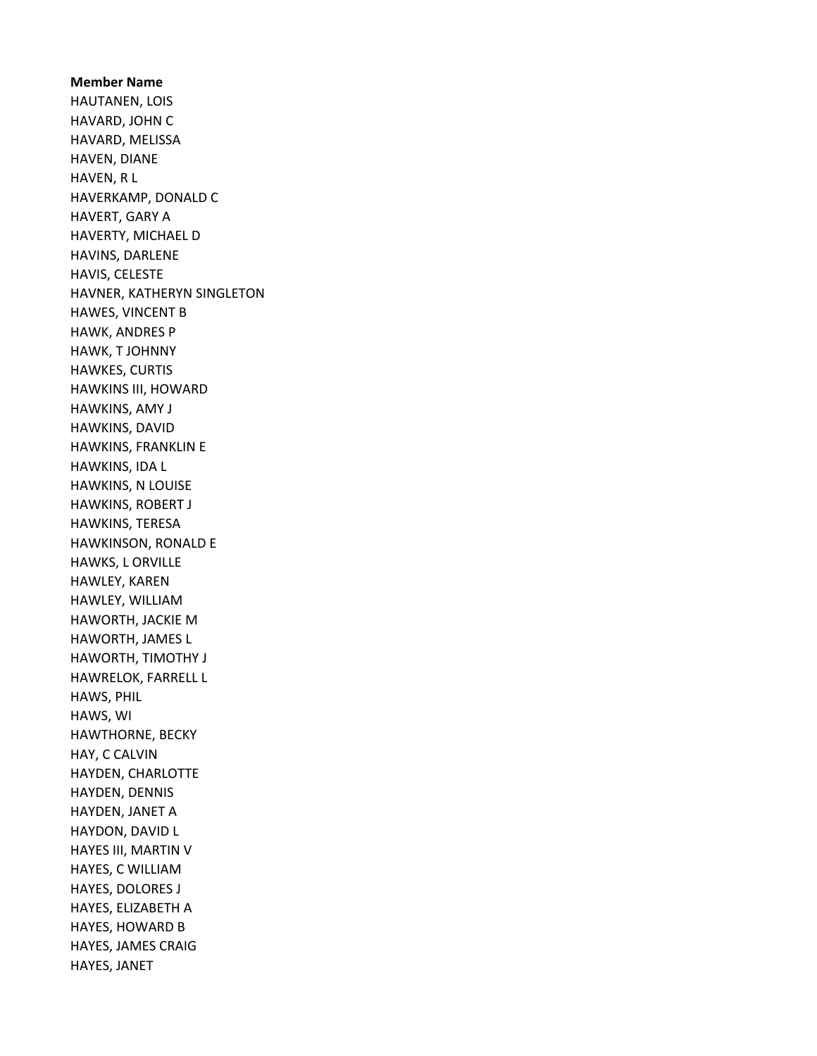Member Name HAUTANEN, LOIS HAVARD, JOHN C HAVARD, MELISSA HAVEN, DIANE HAVEN, R L HAVERKAMP, DONALD C HAVERT, GARY A HAVERTY, MICHAEL D HAVINS, DARLENE HAVIS, CELESTE HAVNER, KATHERYN SINGLETON HAWES, VINCENT B HAWK, ANDRES P HAWK, T JOHNNY HAWKES, CURTIS HAWKINS III, HOWARD HAWKINS, AMY J HAWKINS, DAVID HAWKINS, FRANKLIN E HAWKINS, IDA L HAWKINS, N LOUISE HAWKINS, ROBERT J HAWKINS, TERESA HAWKINSON, RONALD E HAWKS, L ORVILLE HAWLEY, KAREN HAWLEY, WILLIAM HAWORTH, JACKIE M HAWORTH, JAMES L HAWORTH, TIMOTHY J HAWRELOK, FARRELL L HAWS, PHIL HAWS, WI HAWTHORNE, BECKY HAY, C CALVIN HAYDEN, CHARLOTTE HAYDEN, DENNIS HAYDEN, JANET A HAYDON, DAVID L HAYES III, MARTIN V HAYES, C WILLIAM HAYES, DOLORES J HAYES, ELIZABETH A HAYES, HOWARD B HAYES, JAMES CRAIG HAYES, JANET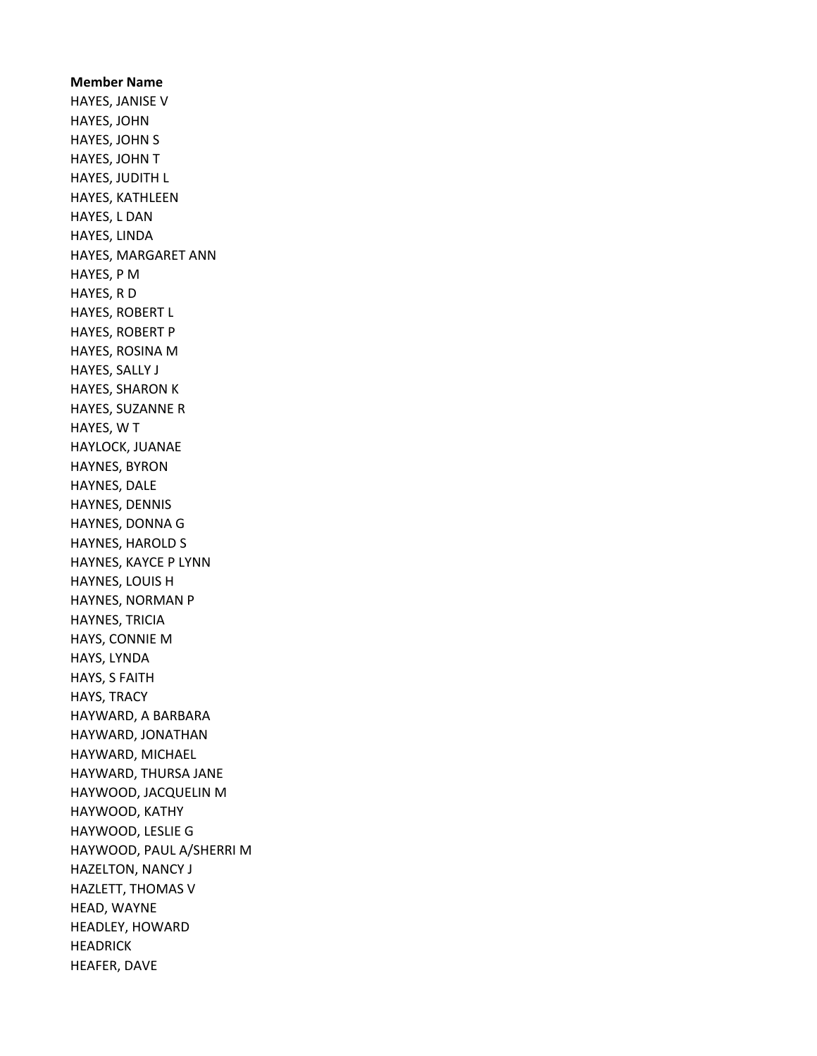Member Name HAYES, JANISE V HAYES, JOHN HAYES, JOHN S HAYES, JOHN T HAYES, JUDITH L HAYES, KATHLEEN HAYES, L DAN HAYES, LINDA HAYES, MARGARET ANN HAYES, P M HAYES, R D HAYES, ROBERT L HAYES, ROBERT P HAYES, ROSINA M HAYES, SALLY J HAYES, SHARON K HAYES, SUZANNE R HAYES, W T HAYLOCK, JUANAE HAYNES, BYRON HAYNES, DALE HAYNES, DENNIS HAYNES, DONNA G HAYNES, HAROLD S HAYNES, KAYCE P LYNN HAYNES, LOUIS H HAYNES, NORMAN P HAYNES, TRICIA HAYS, CONNIE M HAYS, LYNDA HAYS, S FAITH HAYS, TRACY HAYWARD, A BARBARA HAYWARD, JONATHAN HAYWARD, MICHAEL HAYWARD, THURSA JANE HAYWOOD, JACQUELIN M HAYWOOD, KATHY HAYWOOD, LESLIE G HAYWOOD, PAUL A/SHERRI M HAZELTON, NANCY J HAZLETT, THOMAS V HEAD, WAYNE HEADLEY, HOWARD HEADRICK HEAFER, DAVE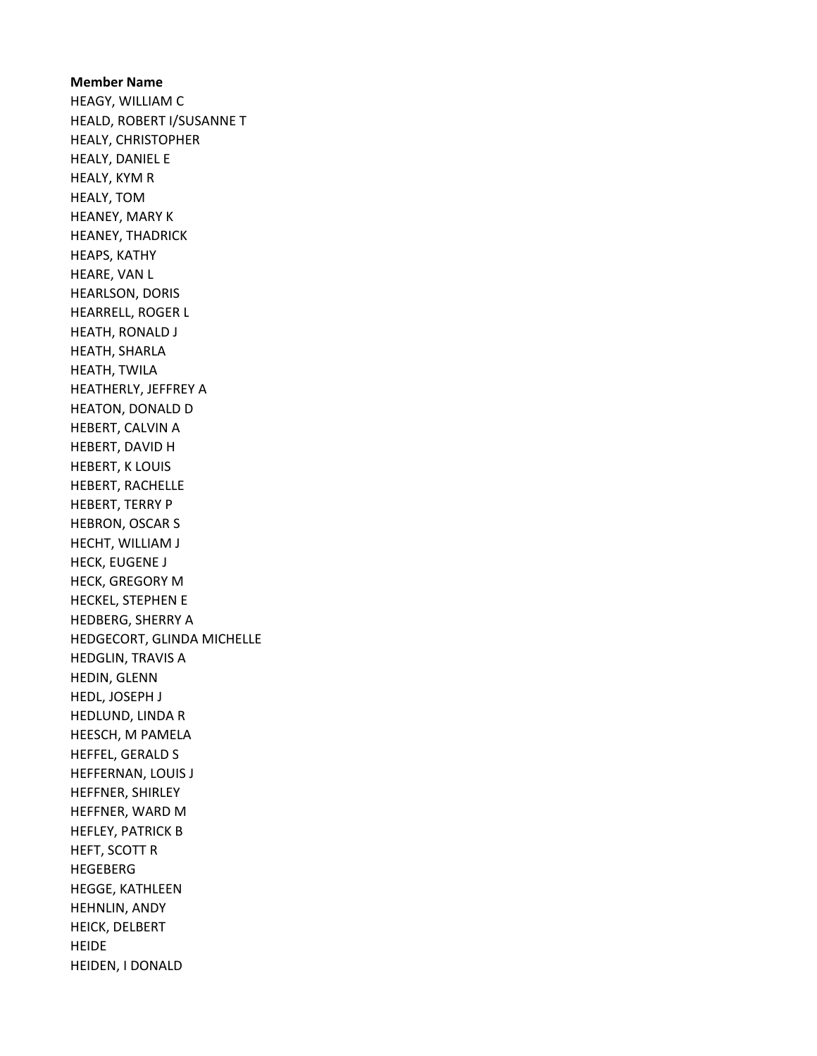Member Name HEAGY, WILLIAM C HEALD, ROBERT I/SUSANNE T HEALY, CHRISTOPHER HEALY, DANIEL E HEALY, KYM R HEALY, TOM HEANEY, MARY K HEANEY, THADRICK HEAPS, KATHY HEARE, VAN L HEARLSON, DORIS HEARRELL, ROGER L HEATH, RONALD J HEATH, SHARLA HEATH, TWILA HEATHERLY, JEFFREY A HEATON, DONALD D HEBERT, CALVIN A HEBERT, DAVID H HEBERT, K LOUIS HEBERT, RACHELLE HEBERT, TERRY P HEBRON, OSCAR S HECHT, WILLIAM J HECK, EUGENE J HECK, GREGORY M HECKEL, STEPHEN E HEDBERG, SHERRY A HEDGECORT, GLINDA MICHELLE HEDGLIN, TRAVIS A HEDIN, GLENN HEDL, JOSEPH J HEDLUND, LINDA R HEESCH, M PAMELA HEFFEL, GERALD S HEFFERNAN, LOUIS J HEFFNER, SHIRLEY HEFFNER, WARD M HEFLEY, PATRICK B HEFT, SCOTT R HEGEBERG HEGGE, KATHLEEN HEHNLIN, ANDY HEICK, DELBERT HEIDE HEIDEN, I DONALD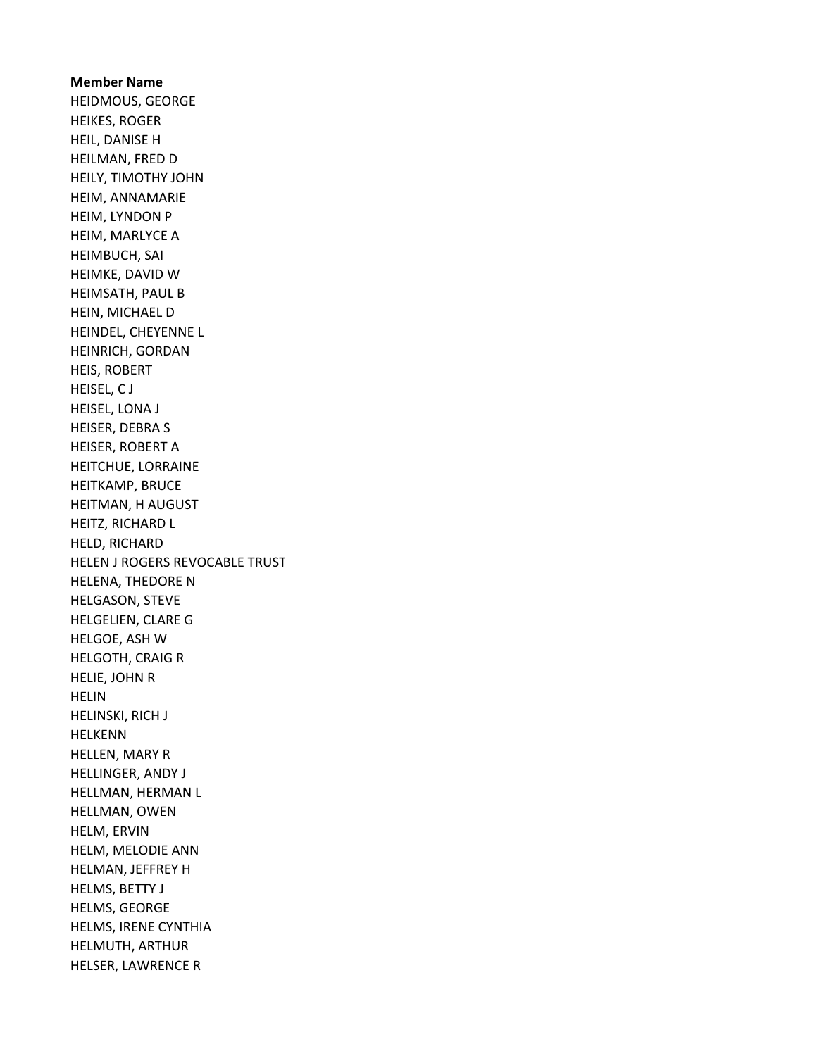Member Name HEIDMOUS, GEORGE HEIKES, ROGER HEIL, DANISE H HEILMAN, FRED D HEILY, TIMOTHY JOHN HEIM, ANNAMARIE HEIM, LYNDON P HEIM, MARLYCE A HEIMBUCH, SAI HEIMKE, DAVID W HEIMSATH, PAUL B HEIN, MICHAEL D HEINDEL, CHEYENNE L HEINRICH, GORDAN HEIS, ROBERT HEISEL, C J HEISEL, LONA J HEISER, DEBRA S HEISER, ROBERT A HEITCHUE, LORRAINE HEITKAMP, BRUCE HEITMAN, H AUGUST HEITZ, RICHARD L HELD, RICHARD HELEN J ROGERS REVOCABLE TRUST HELENA, THEDORE N HELGASON, STEVE HELGELIEN, CLARE G HELGOE, ASH W HELGOTH, CRAIG R HELIE, JOHN R HELIN HELINSKI, RICH J HELKENN HELLEN, MARY R HELLINGER, ANDY J HELLMAN, HERMAN L HELLMAN, OWEN HELM, ERVIN HELM, MELODIE ANN HELMAN, JEFFREY H HELMS, BETTY J HELMS, GEORGE HELMS, IRENE CYNTHIA HELMUTH, ARTHUR HELSER, LAWRENCE R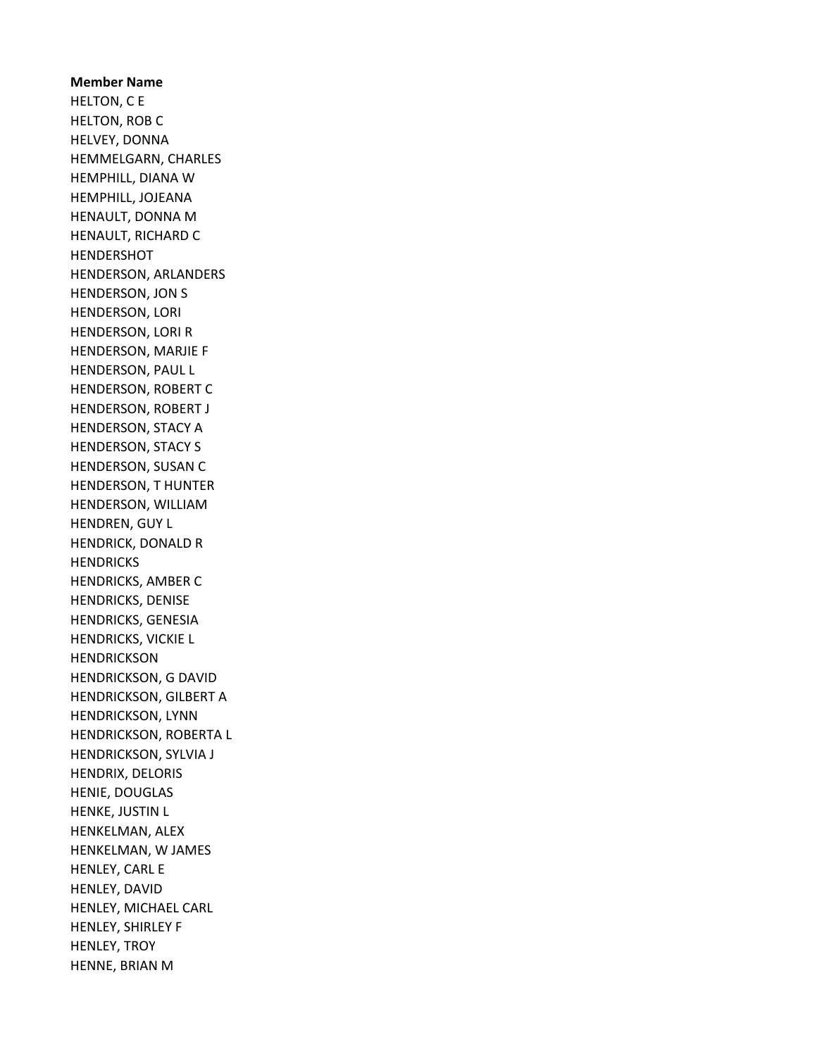Member Name HELTON, C E HELTON, ROB C HELVEY, DONNA HEMMELGARN, CHARLES HEMPHILL, DIANA W HEMPHILL, JOJEANA HENAULT, DONNA M HENAULT, RICHARD C HENDERSHOT HENDERSON, ARLANDERS HENDERSON, JON S HENDERSON, LORI HENDERSON, LORI R HENDERSON, MARJIE F HENDERSON, PAUL L HENDERSON, ROBERT C HENDERSON, ROBERT J HENDERSON, STACY A HENDERSON, STACY S HENDERSON, SUSAN C HENDERSON, T HUNTER HENDERSON, WILLIAM HENDREN, GUY L HENDRICK, DONALD R **HENDRICKS** HENDRICKS, AMBER C HENDRICKS, DENISE HENDRICKS, GENESIA HENDRICKS, VICKIE L **HENDRICKSON** HENDRICKSON, G DAVID HENDRICKSON, GILBERT A HENDRICKSON, LYNN HENDRICKSON, ROBERTA L HENDRICKSON, SYLVIA J HENDRIX, DELORIS HENIE, DOUGLAS HENKE, JUSTIN L HENKELMAN, ALEX HENKELMAN, W JAMES HENLEY, CARL E HENLEY, DAVID HENLEY, MICHAEL CARL HENLEY, SHIRLEY F HENLEY, TROY HENNE, BRIAN M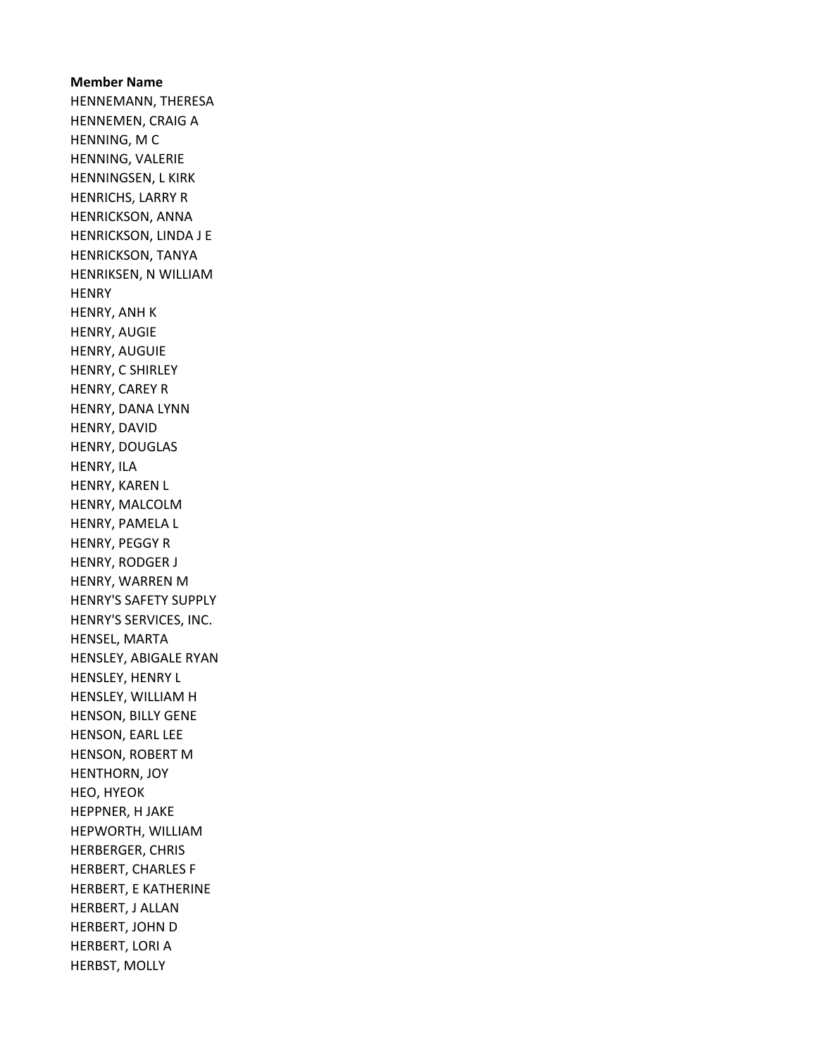Member Name HENNEMANN, THERESA HENNEMEN, CRAIG A HENNING, M C HENNING, VALERIE HENNINGSEN, L KIRK HENRICHS, LARRY R HENRICKSON, ANNA HENRICKSON, LINDA J E HENRICKSON, TANYA HENRIKSEN, N WILLIAM **HENRY** HENRY, ANH K HENRY, AUGIE HENRY, AUGUIE HENRY, C SHIRLEY HENRY, CAREY R HENRY, DANA LYNN HENRY, DAVID HENRY, DOUGLAS HENRY, ILA HENRY, KAREN L HENRY, MALCOLM HENRY, PAMELA L HENRY, PEGGY R HENRY, RODGER J HENRY, WARREN M HENRY'S SAFETY SUPPLY HENRY'S SERVICES, INC. HENSEL, MARTA HENSLEY, ABIGALE RYAN HENSLEY, HENRY L HENSLEY, WILLIAM H HENSON, BILLY GENE HENSON, EARL LEE HENSON, ROBERT M HENTHORN, JOY HEO, HYEOK HEPPNER, H JAKE HEPWORTH, WILLIAM HERBERGER, CHRIS HERBERT, CHARLES F HERBERT, E KATHERINE HERBERT, J ALLAN HERBERT, JOHN D HERBERT, LORI A HERBST, MOLLY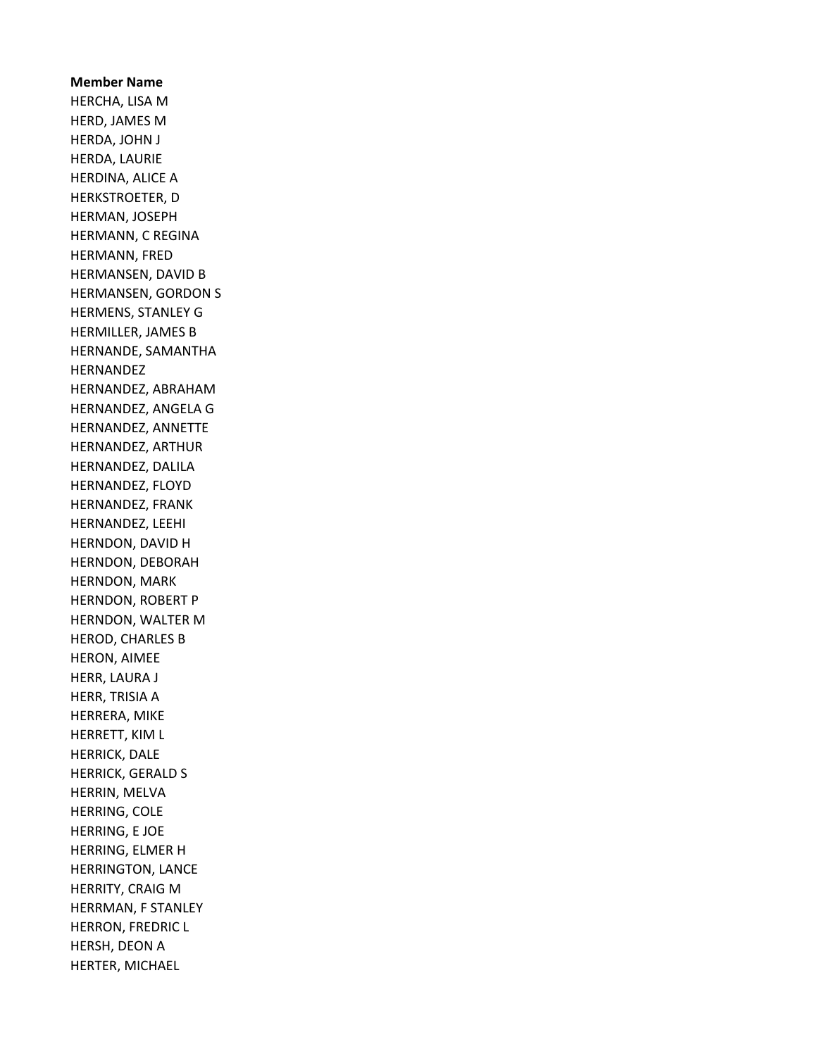Member Name HERCHA, LISA M HERD, JAMES M HERDA, JOHN J HERDA, LAURIE HERDINA, ALICE A HERKSTROETER, D HERMAN, JOSEPH HERMANN, C REGINA HERMANN, FRED HERMANSEN, DAVID B HERMANSEN, GORDON S HERMENS, STANLEY G HERMILLER, JAMES B HERNANDE, SAMANTHA HERNANDEZ HERNANDEZ, ABRAHAM HERNANDEZ, ANGELA G HERNANDEZ, ANNETTE HERNANDEZ, ARTHUR HERNANDEZ, DALILA HERNANDEZ, FLOYD HERNANDEZ, FRANK HERNANDEZ, LEEHI HERNDON, DAVID H HERNDON, DEBORAH HERNDON, MARK HERNDON, ROBERT P HERNDON, WALTER M HEROD, CHARLES B HERON, AIMEE HERR, LAURA J HERR, TRISIA A HERRERA, MIKE HERRETT, KIM L HERRICK, DALE HERRICK, GERALD S HERRIN, MELVA HERRING, COLE HERRING, E JOE HERRING, ELMER H HERRINGTON, LANCE HERRITY, CRAIG M HERRMAN, F STANLEY HERRON, FREDRIC L HERSH, DEON A HERTER, MICHAEL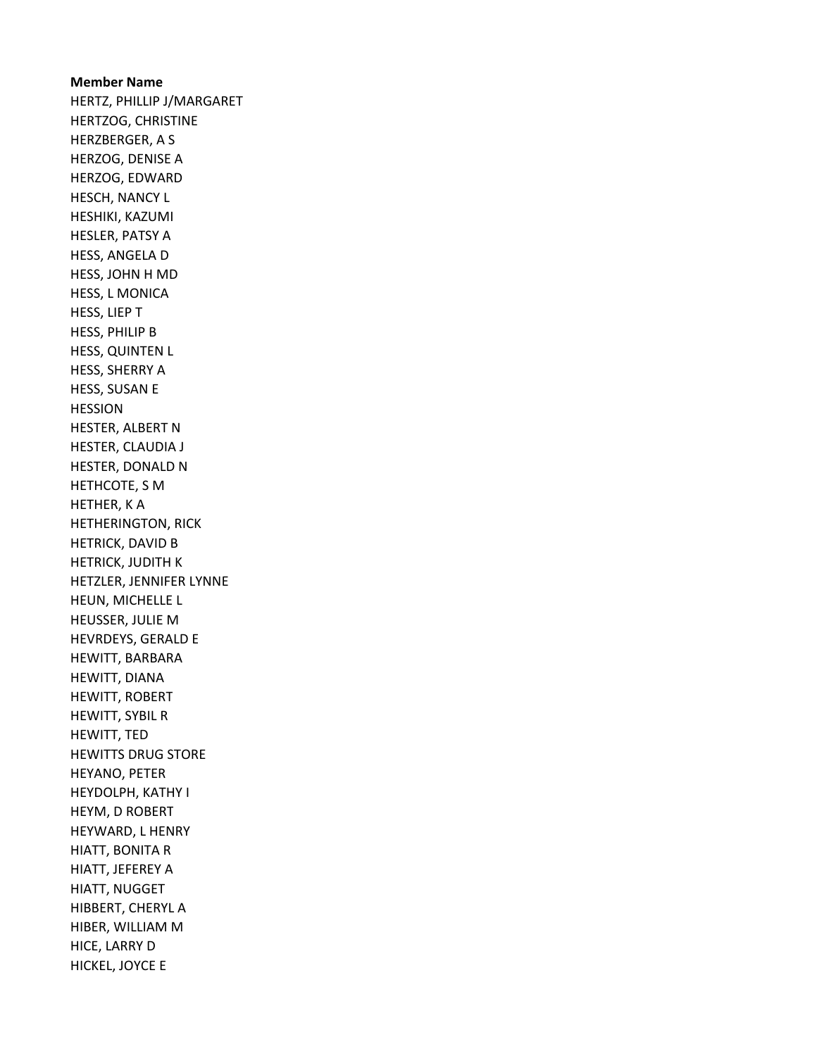## Member Name HERTZ, PHILLIP J/MARGARET HERTZOG, CHRISTINE HERZBERGER, A S HERZOG, DENISE A HERZOG, EDWARD HESCH, NANCY L HESHIKI, KAZUMI HESLER, PATSY A HESS, ANGELA D HESS, JOHN H MD HESS, L MONICA HESS, LIEP T HESS, PHILIP B HESS, QUINTEN L HESS, SHERRY A HESS, SUSAN E HESSION HESTER, ALBERT N HESTER, CLAUDIA J HESTER, DONALD N HETHCOTE, S M HETHER, K A HETHERINGTON, RICK HETRICK, DAVID B HETRICK, JUDITH K HETZLER, JENNIFER LYNNE HEUN, MICHELLE L HEUSSER, JULIE M HEVRDEYS, GERALD E HEWITT, BARBARA HEWITT, DIANA HEWITT, ROBERT HEWITT, SYBIL R HEWITT, TED HEWITTS DRUG STORE HEYANO, PETER HEYDOLPH, KATHY I HEYM, D ROBERT HEYWARD, L HENRY HIATT, BONITA R HIATT, JEFEREY A HIATT, NUGGET HIBBERT, CHERYL A HIBER, WILLIAM M HICE, LARRY D HICKEL, JOYCE E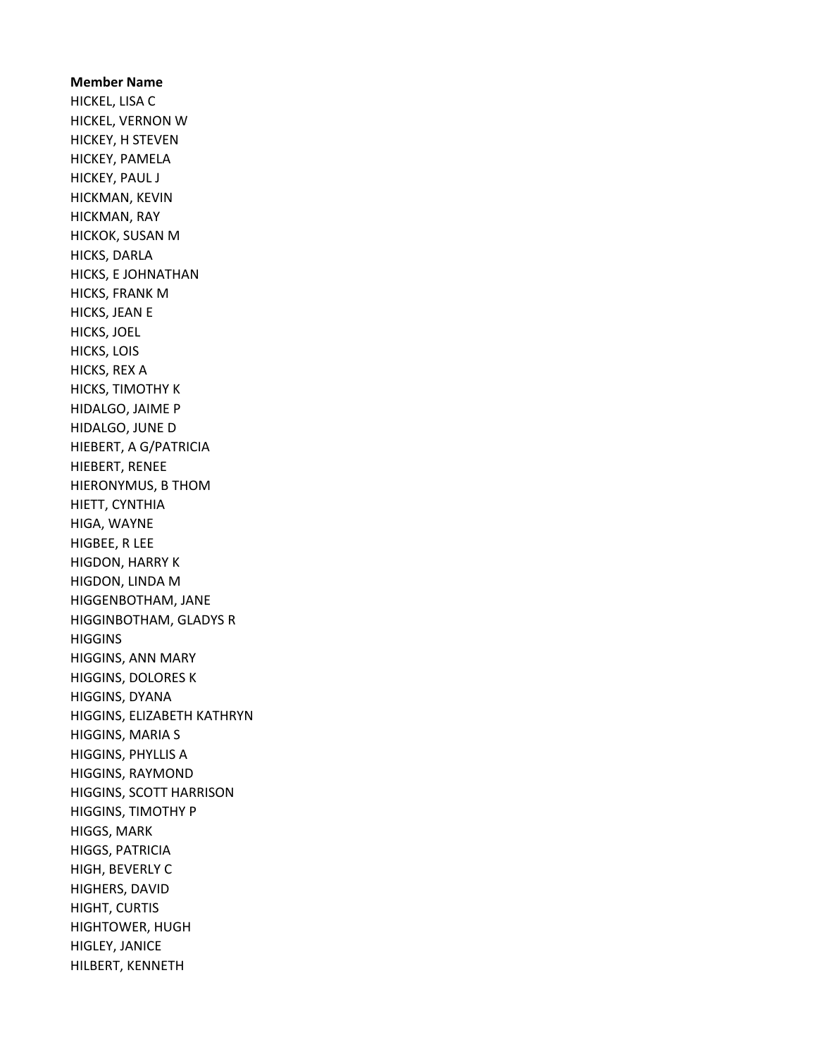Member Name HICKEL, LISA C HICKEL, VERNON W HICKEY, H STEVEN HICKEY, PAMELA HICKEY, PAUL J HICKMAN, KEVIN HICKMAN, RAY HICKOK, SUSAN M HICKS, DARLA HICKS, E JOHNATHAN HICKS, FRANK M HICKS, JEAN E HICKS, JOEL HICKS, LOIS HICKS, REX A HICKS, TIMOTHY K HIDALGO, JAIME P HIDALGO, JUNE D HIEBERT, A G/PATRICIA HIEBERT, RENEE HIERONYMUS, B THOM HIETT, CYNTHIA HIGA, WAYNE HIGBEE, R LEE HIGDON, HARRY K HIGDON, LINDA M HIGGENBOTHAM, JANE HIGGINBOTHAM, GLADYS R **HIGGINS** HIGGINS, ANN MARY HIGGINS, DOLORES K HIGGINS, DYANA HIGGINS, ELIZABETH KATHRYN HIGGINS, MARIA S HIGGINS, PHYLLIS A HIGGINS, RAYMOND HIGGINS, SCOTT HARRISON HIGGINS, TIMOTHY P HIGGS, MARK HIGGS, PATRICIA HIGH, BEVERLY C HIGHERS, DAVID HIGHT, CURTIS HIGHTOWER, HUGH HIGLEY, JANICE HILBERT, KENNETH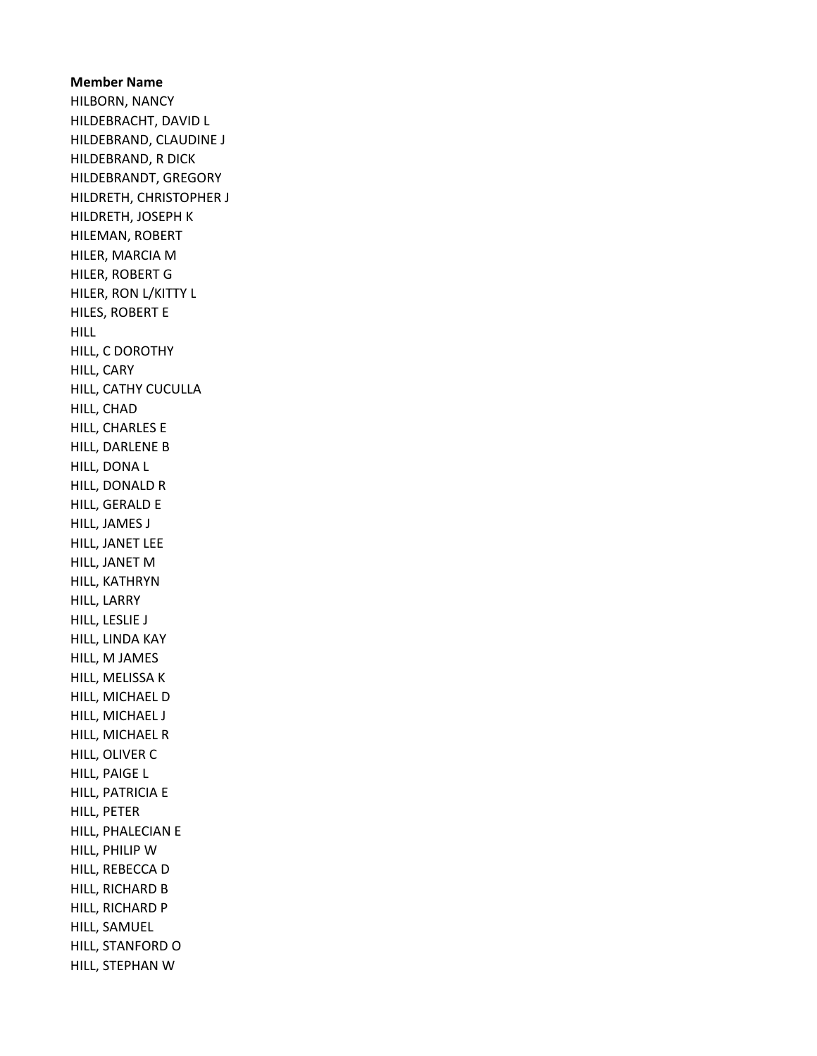Member Name HILBORN, NANCY HILDEBRACHT, DAVID L HILDEBRAND, CLAUDINE J HILDEBRAND, R DICK HILDEBRANDT, GREGORY HILDRETH, CHRISTOPHER J HILDRETH, JOSEPH K HILEMAN, ROBERT HILER, MARCIA M HILER, ROBERT G HILER, RON L/KITTY L HILES, ROBERT E HILL HILL, C DOROTHY HILL, CARY HILL, CATHY CUCULLA HILL, CHAD HILL, CHARLES E HILL, DARLENE B HILL, DONA L HILL, DONALD R HILL, GERALD E HILL, JAMES J HILL, JANET LEE HILL, JANET M HILL, KATHRYN HILL, LARRY HILL, LESLIE J HILL, LINDA KAY HILL, M JAMES HILL, MELISSA K HILL, MICHAEL D HILL, MICHAEL J HILL, MICHAEL R HILL, OLIVER C HILL, PAIGE L HILL, PATRICIA E HILL, PETER HILL, PHALECIAN E HILL, PHILIP W HILL, REBECCA D HILL, RICHARD B HILL, RICHARD P HILL, SAMUEL HILL, STANFORD O HILL, STEPHAN W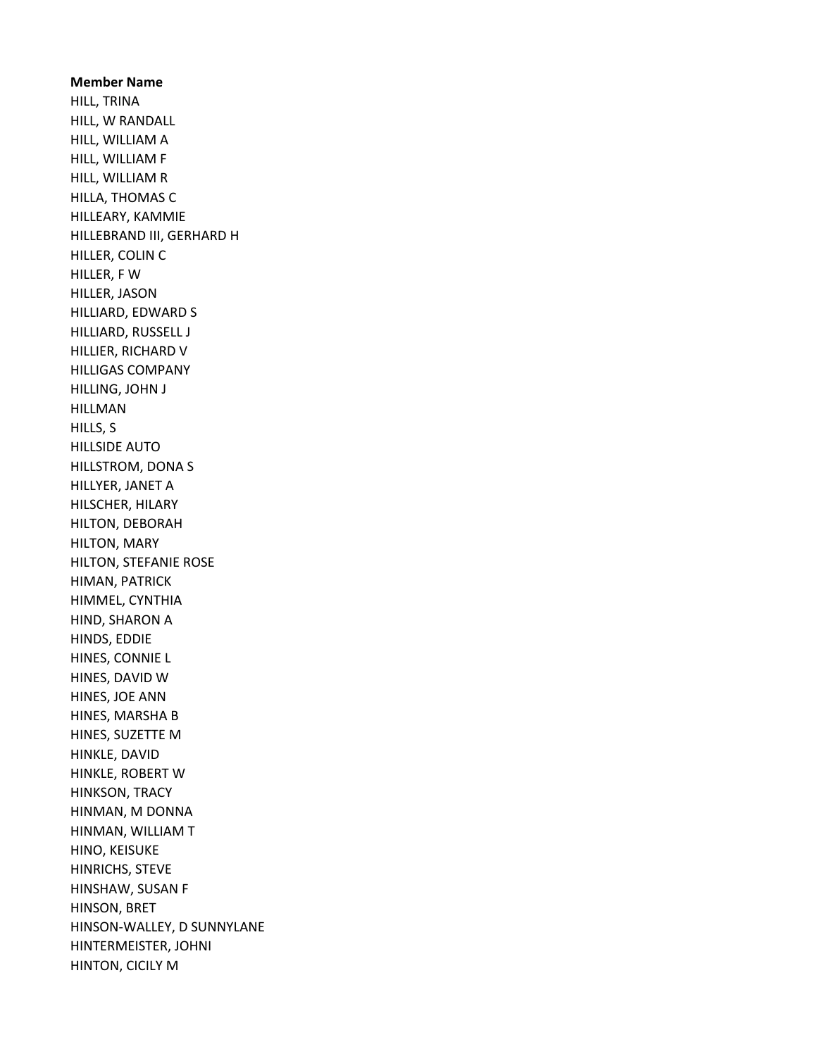Member Name HILL, TRINA HILL, W RANDALL HILL, WILLIAM A HILL, WILLIAM F HILL, WILLIAM R HILLA, THOMAS C HILLEARY, KAMMIE HILLEBRAND III, GERHARD H HILLER, COLIN C HILLER, F W HILLER, JASON HILLIARD, EDWARD S HILLIARD, RUSSELL J HILLIER, RICHARD V HILLIGAS COMPANY HILLING, JOHN J HILLMAN HILLS, S HILLSIDE AUTO HILLSTROM, DONA S HILLYER, JANET A HILSCHER, HILARY HILTON, DEBORAH HILTON, MARY HILTON, STEFANIE ROSE HIMAN, PATRICK HIMMEL, CYNTHIA HIND, SHARON A HINDS, EDDIE HINES, CONNIE L HINES, DAVID W HINES, JOE ANN HINES, MARSHA B HINES, SUZETTE M HINKLE, DAVID HINKLE, ROBERT W HINKSON, TRACY HINMAN, M DONNA HINMAN, WILLIAM T HINO, KEISUKE HINRICHS, STEVE HINSHAW, SUSAN F HINSON, BRET HINSON-WALLEY, D SUNNYLANE HINTERMEISTER, JOHNI HINTON, CICILY M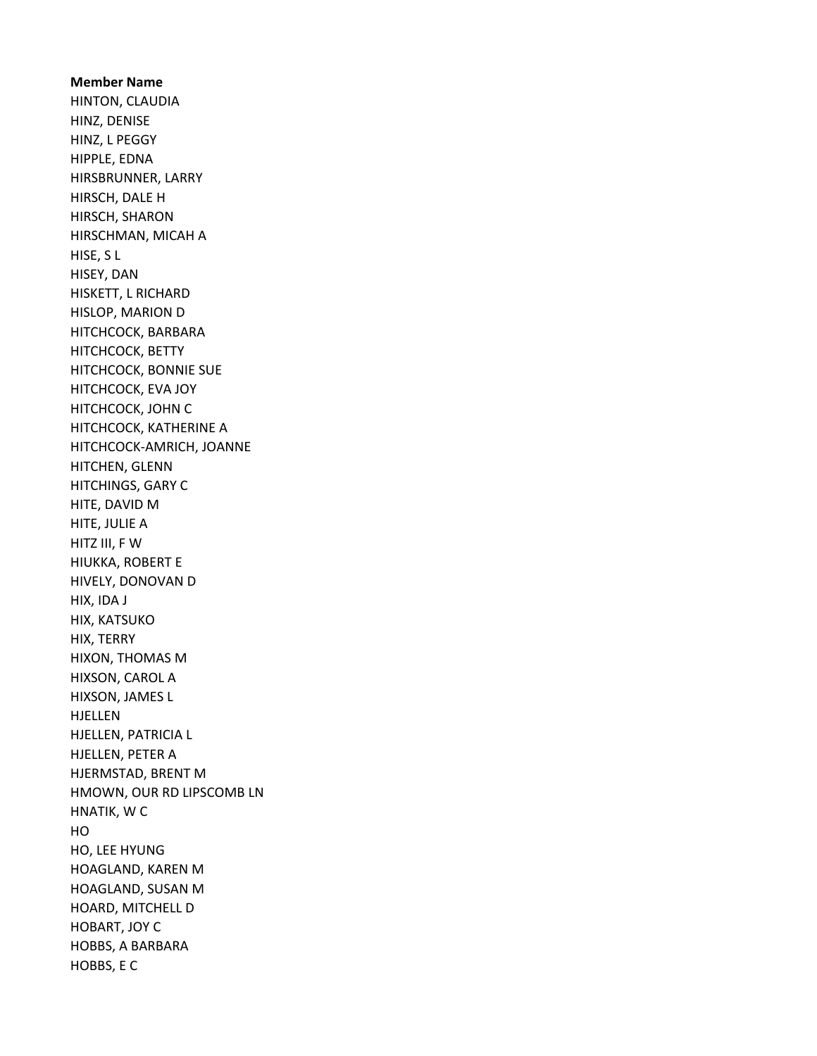Member Name HINTON, CLAUDIA HINZ, DENISE HINZ, L PEGGY HIPPLE, EDNA HIRSBRUNNER, LARRY HIRSCH, DALE H HIRSCH, SHARON HIRSCHMAN, MICAH A HISE, S L HISEY, DAN HISKETT, L RICHARD HISLOP, MARION D HITCHCOCK, BARBARA HITCHCOCK, BETTY HITCHCOCK, BONNIE SUE HITCHCOCK, EVA JOY HITCHCOCK, JOHN C HITCHCOCK, KATHERINE A HITCHCOCK-AMRICH, JOANNE HITCHEN, GLENN HITCHINGS, GARY C HITE, DAVID M HITE, JULIE A HITZ III, F W HIUKKA, ROBERT E HIVELY, DONOVAN D HIX, IDA J HIX, KATSUKO HIX, TERRY HIXON, THOMAS M HIXSON, CAROL A HIXSON, JAMES L HJELLEN HJELLEN, PATRICIA L HJELLEN, PETER A HJERMSTAD, BRENT M HMOWN, OUR RD LIPSCOMB LN HNATIK, W C HO HO, LEE HYUNG HOAGLAND, KAREN M HOAGLAND, SUSAN M HOARD, MITCHELL D HOBART, JOY C HOBBS, A BARBARA HOBBS, E C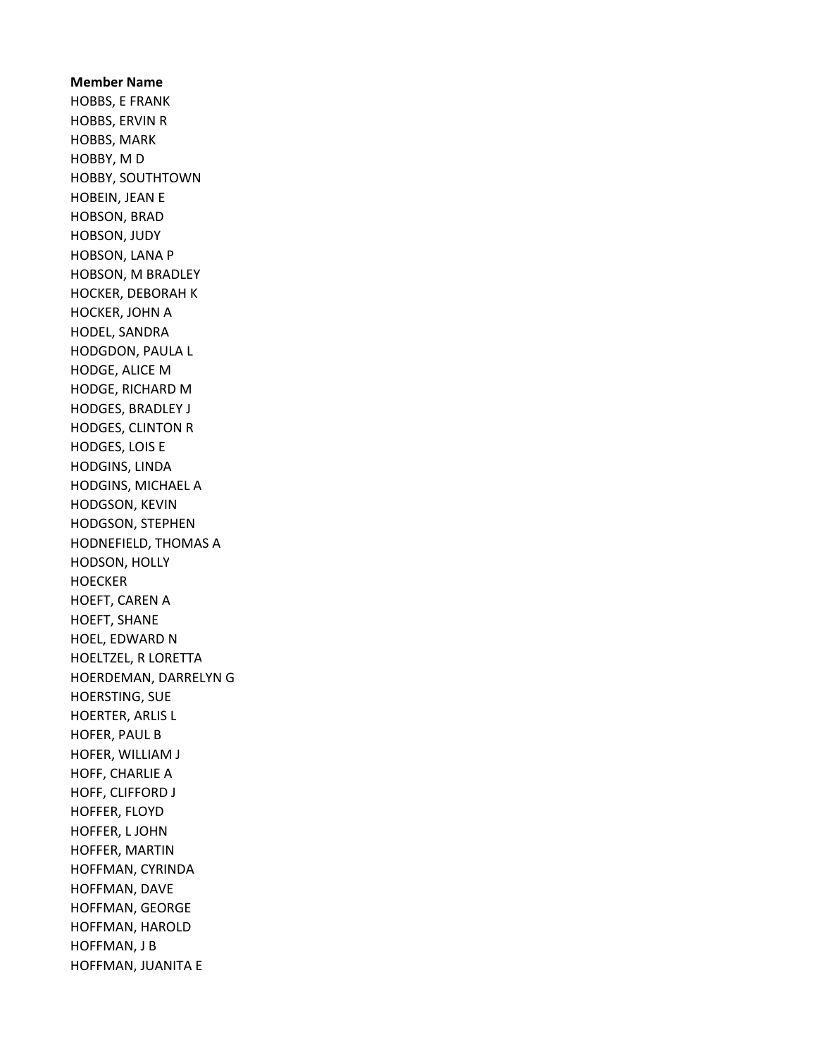Member Name HOBBS, E FRANK HOBBS, ERVIN R HOBBS, MARK HOBBY, M D HOBBY, SOUTHTOWN HOBEIN, JEAN E HOBSON, BRAD HOBSON, JUDY HOBSON, LANA P HOBSON, M BRADLEY HOCKER, DEBORAH K HOCKER, JOHN A HODEL, SANDRA HODGDON, PAULA L HODGE, ALICE M HODGE, RICHARD M HODGES, BRADLEY J HODGES, CLINTON R HODGES, LOIS E HODGINS, LINDA HODGINS, MICHAEL A HODGSON, KEVIN HODGSON, STEPHEN HODNEFIELD, THOMAS A HODSON, HOLLY **HOECKER** HOEFT, CAREN A HOEFT, SHANE HOEL, EDWARD N HOELTZEL, R LORETTA HOERDEMAN, DARRELYN G HOERSTING, SUE HOERTER, ARLIS L HOFER, PAUL B HOFER, WILLIAM J HOFF, CHARLIE A HOFF, CLIFFORD J HOFFER, FLOYD HOFFER, L JOHN HOFFER, MARTIN HOFFMAN, CYRINDA HOFFMAN, DAVE HOFFMAN, GEORGE HOFFMAN, HAROLD HOFFMAN, J B HOFFMAN, JUANITA E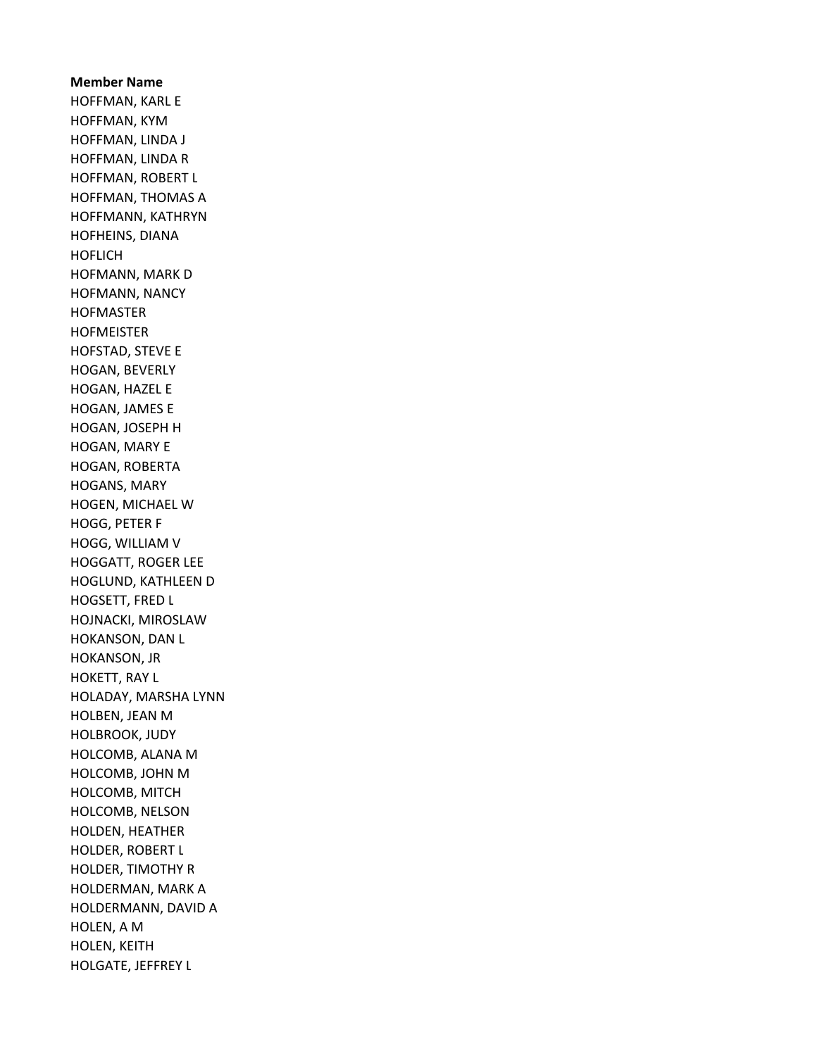Member Name HOFFMAN, KARL E HOFFMAN, KYM HOFFMAN, LINDA J HOFFMAN, LINDA R HOFFMAN, ROBERT L HOFFMAN, THOMAS A HOFFMANN, KATHRYN HOFHEINS, DIANA HOFLICH HOFMANN, MARK D HOFMANN, NANCY HOFMASTER HOFMEISTER HOFSTAD, STEVE E HOGAN, BEVERLY HOGAN, HAZEL E HOGAN, JAMES E HOGAN, JOSEPH H HOGAN, MARY E HOGAN, ROBERTA HOGANS, MARY HOGEN, MICHAEL W HOGG, PETER F HOGG, WILLIAM V HOGGATT, ROGER LEE HOGLUND, KATHLEEN D HOGSETT, FRED L HOJNACKI, MIROSLAW HOKANSON, DAN L HOKANSON, JR HOKETT, RAY L HOLADAY, MARSHA LYNN HOLBEN, JEAN M HOLBROOK, JUDY HOLCOMB, ALANA M HOLCOMB, JOHN M HOLCOMB, MITCH HOLCOMB, NELSON HOLDEN, HEATHER HOLDER, ROBERT L HOLDER, TIMOTHY R HOLDERMAN, MARK A HOLDERMANN, DAVID A HOLEN, A M HOLEN, KEITH HOLGATE, JEFFREY L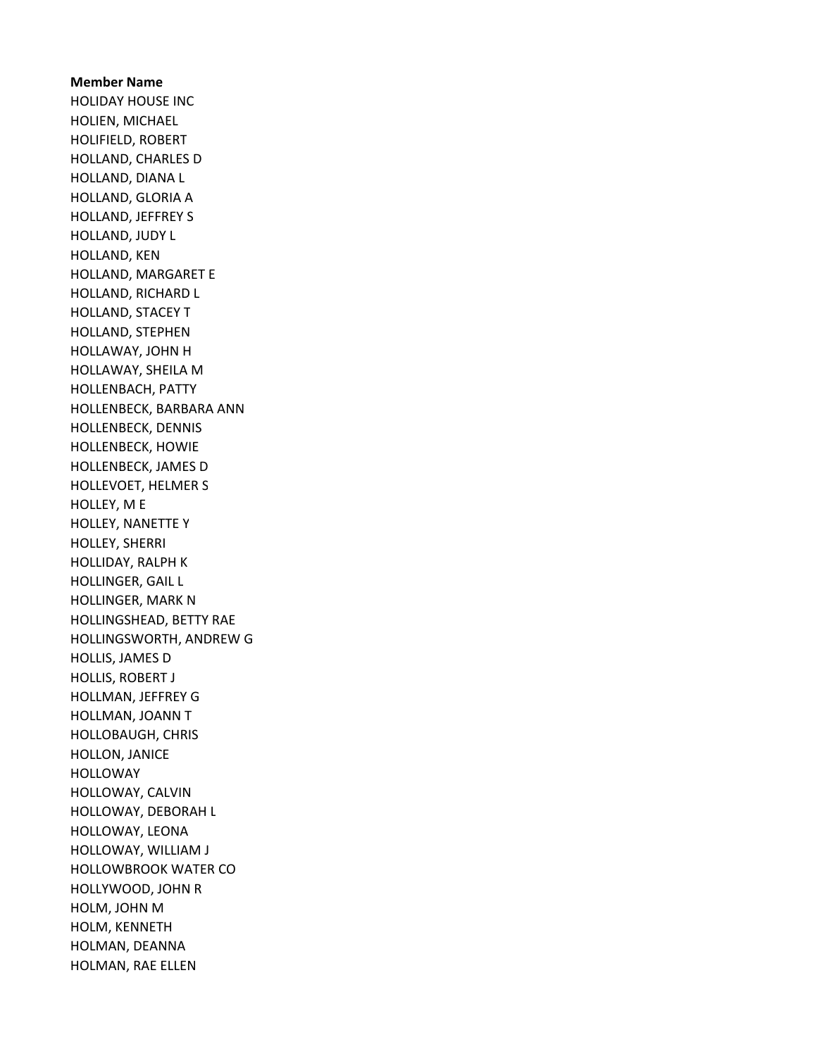Member Name HOLIDAY HOUSE INC HOLIEN, MICHAEL HOLIFIELD, ROBERT HOLLAND, CHARLES D HOLLAND, DIANA L HOLLAND, GLORIA A HOLLAND, JEFFREY S HOLLAND, JUDY L HOLLAND, KEN HOLLAND, MARGARET E HOLLAND, RICHARD L HOLLAND, STACEY T HOLLAND, STEPHEN HOLLAWAY, JOHN H HOLLAWAY, SHEILA M HOLLENBACH, PATTY HOLLENBECK, BARBARA ANN HOLLENBECK, DENNIS HOLLENBECK, HOWIE HOLLENBECK, JAMES D HOLLEVOET, HELMER S HOLLEY, M E HOLLEY, NANETTE Y HOLLEY, SHERRI HOLLIDAY, RALPH K HOLLINGER, GAIL L HOLLINGER, MARK N HOLLINGSHEAD, BETTY RAE HOLLINGSWORTH, ANDREW G HOLLIS, JAMES D HOLLIS, ROBERT J HOLLMAN, JEFFREY G HOLLMAN, JOANN T HOLLOBAUGH, CHRIS HOLLON, JANICE HOLLOWAY HOLLOWAY, CALVIN HOLLOWAY, DEBORAH L HOLLOWAY, LEONA HOLLOWAY, WILLIAM J HOLLOWBROOK WATER CO HOLLYWOOD, JOHN R HOLM, JOHN M HOLM, KENNETH HOLMAN, DEANNA HOLMAN, RAE ELLEN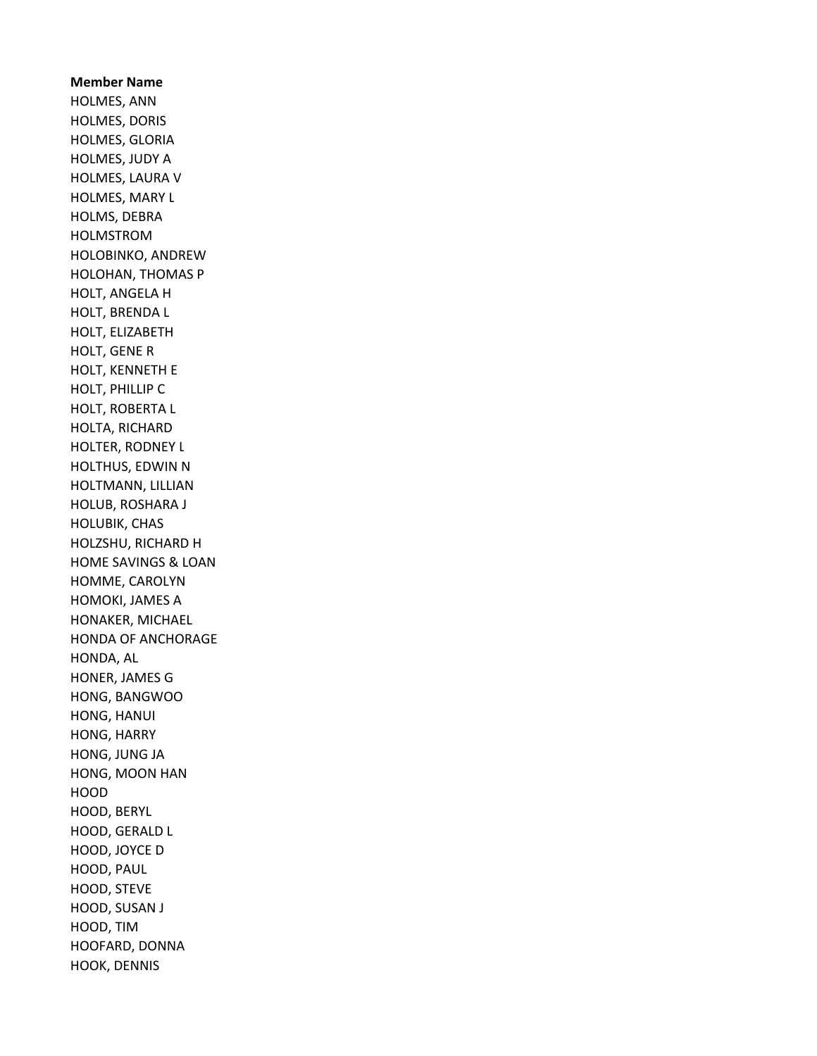Member Name HOLMES, ANN HOLMES, DORIS HOLMES, GLORIA HOLMES, JUDY A HOLMES, LAURA V HOLMES, MARY L HOLMS, DEBRA HOLMSTROM HOLOBINKO, ANDREW HOLOHAN, THOMAS P HOLT, ANGELA H HOLT, BRENDA L HOLT, ELIZABETH HOLT, GENE R HOLT, KENNETH E HOLT, PHILLIP C HOLT, ROBERTA L HOLTA, RICHARD HOLTER, RODNEY L HOLTHUS, EDWIN N HOLTMANN, LILLIAN HOLUB, ROSHARA J HOLUBIK, CHAS HOLZSHU, RICHARD H HOME SAVINGS & LOAN HOMME, CAROLYN HOMOKI, JAMES A HONAKER, MICHAEL HONDA OF ANCHORAGE HONDA, AL HONER, JAMES G HONG, BANGWOO HONG, HANUI HONG, HARRY HONG, JUNG JA HONG, MOON HAN HOOD HOOD, BERYL HOOD, GERALD L HOOD, JOYCE D HOOD, PAUL HOOD, STEVE HOOD, SUSAN J HOOD, TIM HOOFARD, DONNA HOOK, DENNIS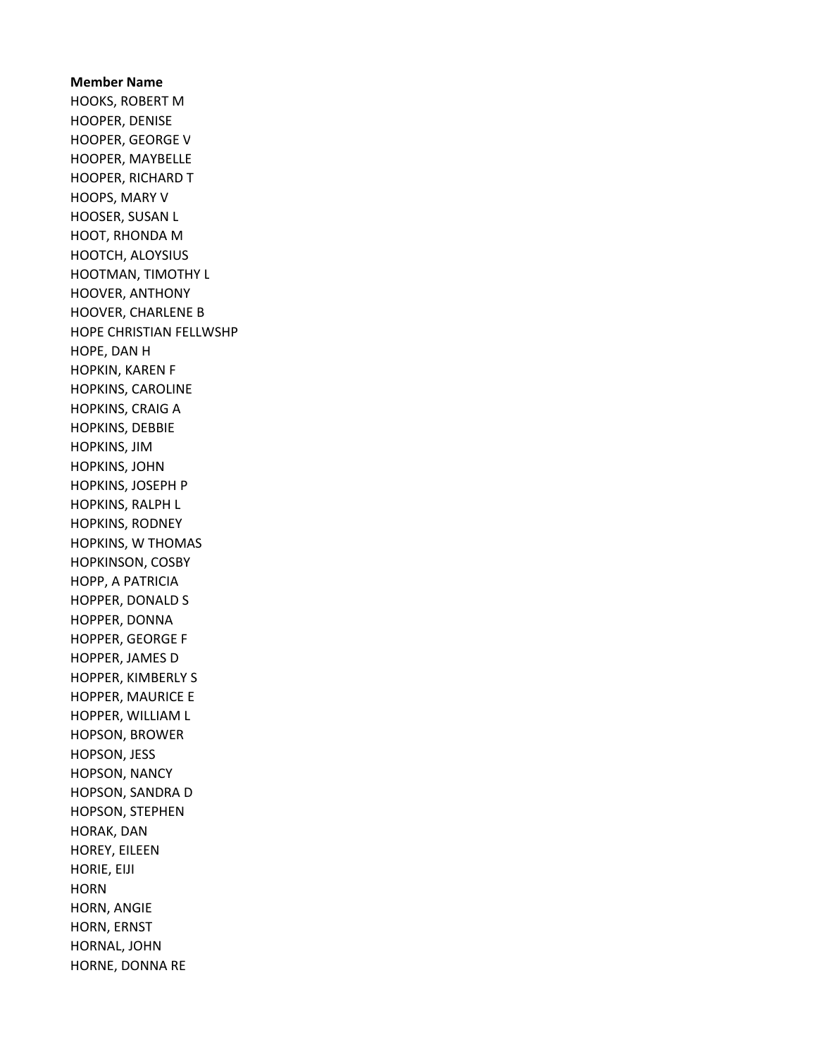Member Name HOOKS, ROBERT M HOOPER, DENISE HOOPER, GEORGE V HOOPER, MAYBELLE HOOPER, RICHARD T HOOPS, MARY V HOOSER, SUSAN L HOOT, RHONDA M HOOTCH, ALOYSIUS HOOTMAN, TIMOTHY L HOOVER, ANTHONY HOOVER, CHARLENE B HOPE CHRISTIAN FELLWSHP HOPE, DAN H HOPKIN, KAREN F HOPKINS, CAROLINE HOPKINS, CRAIG A HOPKINS, DEBBIE HOPKINS, JIM HOPKINS, JOHN HOPKINS, JOSEPH P HOPKINS, RALPH L HOPKINS, RODNEY HOPKINS, W THOMAS HOPKINSON, COSBY HOPP, A PATRICIA HOPPER, DONALD S HOPPER, DONNA HOPPER, GEORGE F HOPPER, JAMES D HOPPER, KIMBERLY S HOPPER, MAURICE E HOPPER, WILLIAM L HOPSON, BROWER HOPSON, JESS HOPSON, NANCY HOPSON, SANDRA D HOPSON, STEPHEN HORAK, DAN HOREY, EILEEN HORIE, EIJI **HORN** HORN, ANGIE HORN, ERNST HORNAL, JOHN HORNE, DONNA RE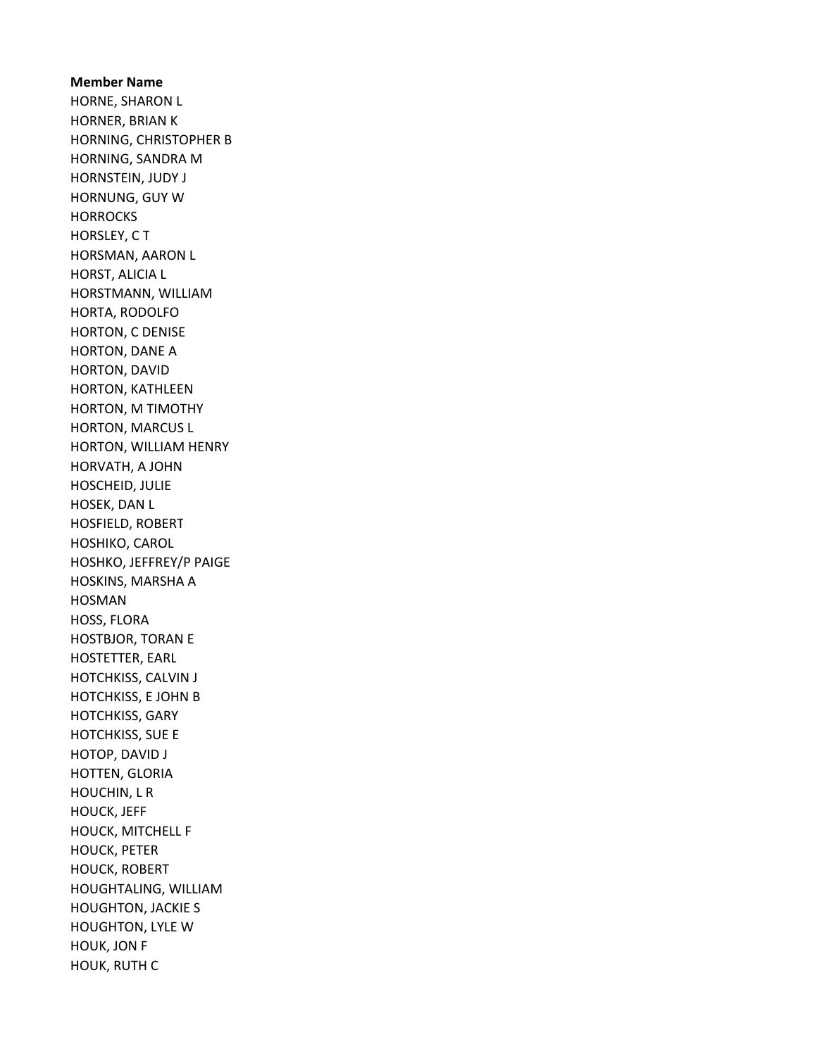Member Name HORNE, SHARON L HORNER, BRIAN K HORNING, CHRISTOPHER B HORNING, SANDRA M HORNSTEIN, JUDY J HORNUNG, GUY W **HORROCKS** HORSLEY, C T HORSMAN, AARON L HORST, ALICIA L HORSTMANN, WILLIAM HORTA, RODOLFO HORTON, C DENISE HORTON, DANE A HORTON, DAVID HORTON, KATHLEEN HORTON, M TIMOTHY HORTON, MARCUS L HORTON, WILLIAM HENRY HORVATH, A JOHN HOSCHEID, JULIE HOSEK, DAN L HOSFIELD, ROBERT HOSHIKO, CAROL HOSHKO, JEFFREY/P PAIGE HOSKINS, MARSHA A HOSMAN HOSS, FLORA HOSTBJOR, TORAN E HOSTETTER, EARL HOTCHKISS, CALVIN J HOTCHKISS, E JOHN B HOTCHKISS, GARY HOTCHKISS, SUE E HOTOP, DAVID J HOTTEN, GLORIA HOUCHIN, L R HOUCK, JEFF HOUCK, MITCHELL F HOUCK, PETER HOUCK, ROBERT HOUGHTALING, WILLIAM HOUGHTON, JACKIE S HOUGHTON, LYLE W HOUK, JON F HOUK, RUTH C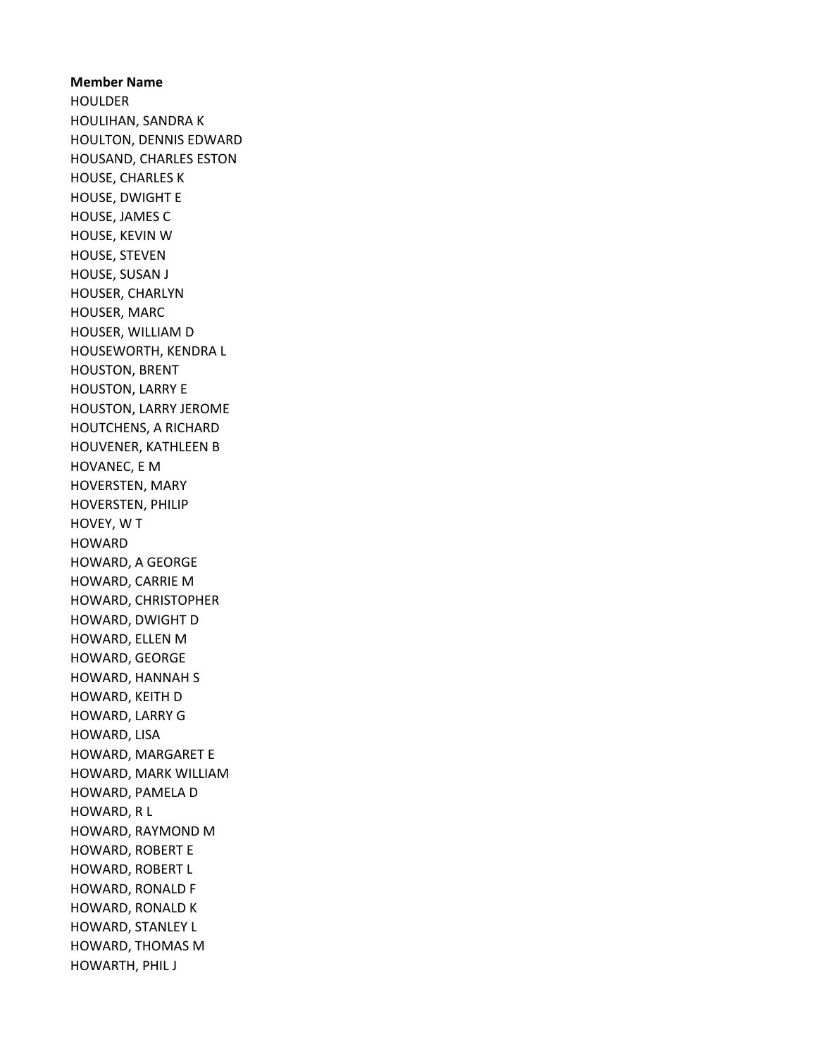Member Name HOULDER HOULIHAN, SANDRA K HOULTON, DENNIS EDWARD HOUSAND, CHARLES ESTON HOUSE, CHARLES K HOUSE, DWIGHT E HOUSE, JAMES C HOUSE, KEVIN W HOUSE, STEVEN HOUSE, SUSAN J HOUSER, CHARLYN HOUSER, MARC HOUSER, WILLIAM D HOUSEWORTH, KENDRA L HOUSTON, BRENT HOUSTON, LARRY E HOUSTON, LARRY JEROME HOUTCHENS, A RICHARD HOUVENER, KATHLEEN B HOVANEC, E M HOVERSTEN, MARY HOVERSTEN, PHILIP HOVEY, W T **HOWARD** HOWARD, A GEORGE HOWARD, CARRIE M HOWARD, CHRISTOPHER HOWARD, DWIGHT D HOWARD, ELLEN M HOWARD, GEORGE HOWARD, HANNAH S HOWARD, KEITH D HOWARD, LARRY G HOWARD, LISA HOWARD, MARGARET E HOWARD, MARK WILLIAM HOWARD, PAMELA D HOWARD, R L HOWARD, RAYMOND M HOWARD, ROBERT E HOWARD, ROBERT L HOWARD, RONALD F HOWARD, RONALD K HOWARD, STANLEY L HOWARD, THOMAS M HOWARTH, PHIL J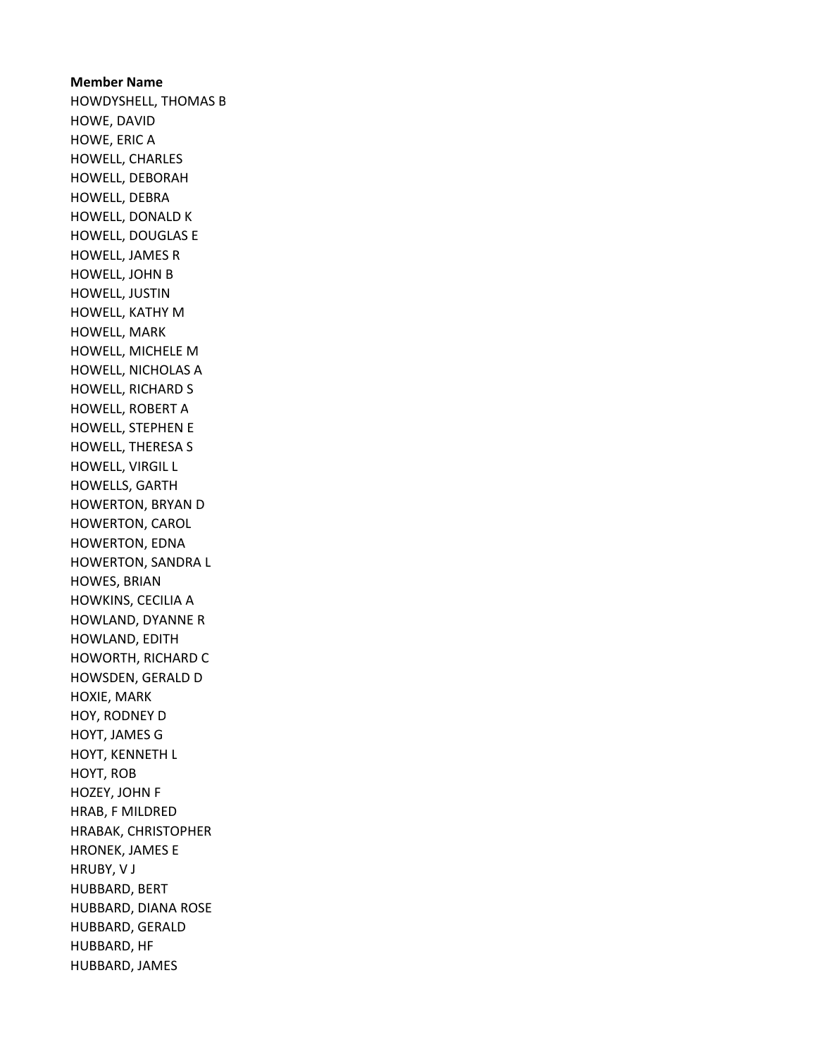Member Name HOWDYSHELL, THOMAS B HOWE, DAVID HOWE, ERIC A HOWELL, CHARLES HOWELL, DEBORAH HOWELL, DEBRA HOWELL, DONALD K HOWELL, DOUGLAS E HOWELL, JAMES R HOWELL, JOHN B HOWELL, JUSTIN HOWELL, KATHY M HOWELL, MARK HOWELL, MICHELE M HOWELL, NICHOLAS A HOWELL, RICHARD S HOWELL, ROBERT A HOWELL, STEPHEN E HOWELL, THERESA S HOWELL, VIRGIL L HOWELLS, GARTH HOWERTON, BRYAN D HOWERTON, CAROL HOWERTON, EDNA HOWERTON, SANDRA L HOWES, BRIAN HOWKINS, CECILIA A HOWLAND, DYANNE R HOWLAND, EDITH HOWORTH, RICHARD C HOWSDEN, GERALD D HOXIE, MARK HOY, RODNEY D HOYT, JAMES G HOYT, KENNETH L HOYT, ROB HOZEY, JOHN F HRAB, F MILDRED HRABAK, CHRISTOPHER HRONEK, JAMES E HRUBY, V J HUBBARD, BERT HUBBARD, DIANA ROSE HUBBARD, GERALD HUBBARD, HF HUBBARD, JAMES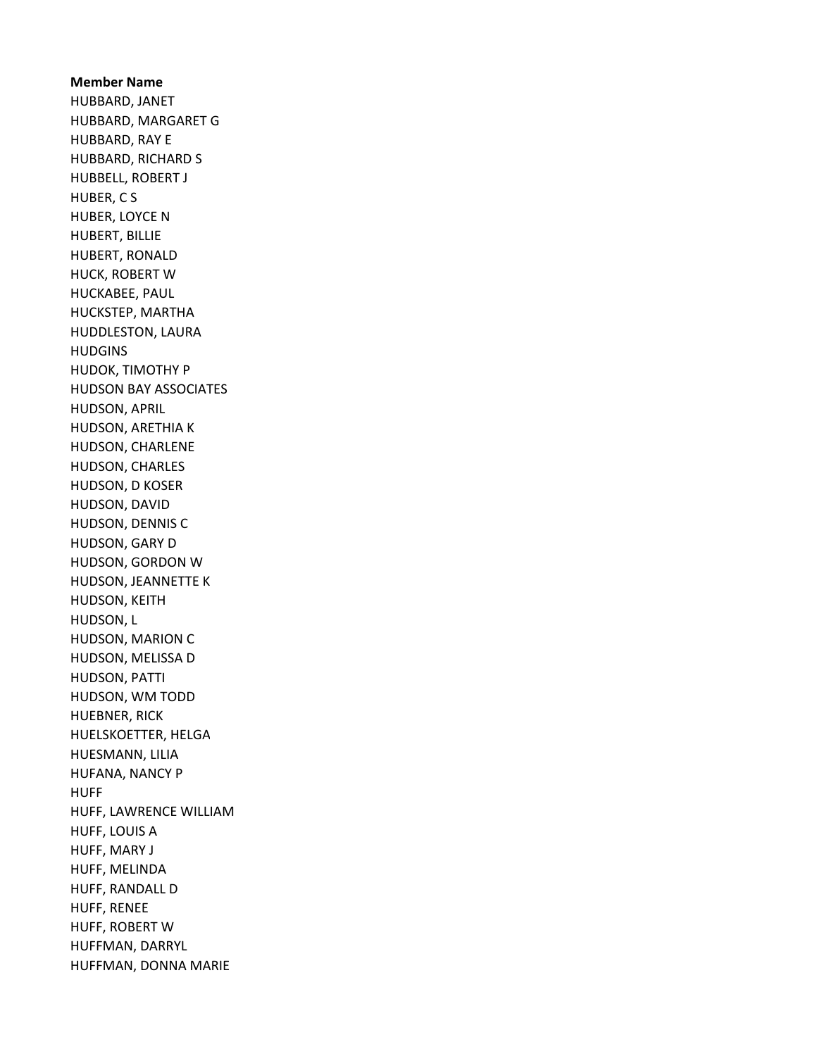Member Name HUBBARD, JANET HUBBARD, MARGARET G HUBBARD, RAY E HUBBARD, RICHARD S HUBBELL, ROBERT J HUBER, C S HUBER, LOYCE N HUBERT, BILLIE HUBERT, RONALD HUCK, ROBERT W HUCKABEE, PAUL HUCKSTEP, MARTHA HUDDLESTON, LAURA HUDGINS HUDOK, TIMOTHY P HUDSON BAY ASSOCIATES HUDSON, APRIL HUDSON, ARETHIA K HUDSON, CHARLENE HUDSON, CHARLES HUDSON, D KOSER HUDSON, DAVID HUDSON, DENNIS C HUDSON, GARY D HUDSON, GORDON W HUDSON, JEANNETTE K HUDSON, KEITH HUDSON, L HUDSON, MARION C HUDSON, MELISSA D HUDSON, PATTI HUDSON, WM TODD HUEBNER, RICK HUELSKOETTER, HELGA HUESMANN, LILIA HUFANA, NANCY P HUFF HUFF, LAWRENCE WILLIAM HUFF, LOUIS A HUFF, MARY J HUFF, MELINDA HUFF, RANDALL D HUFF, RENEE HUFF, ROBERT W HUFFMAN, DARRYL HUFFMAN, DONNA MARIE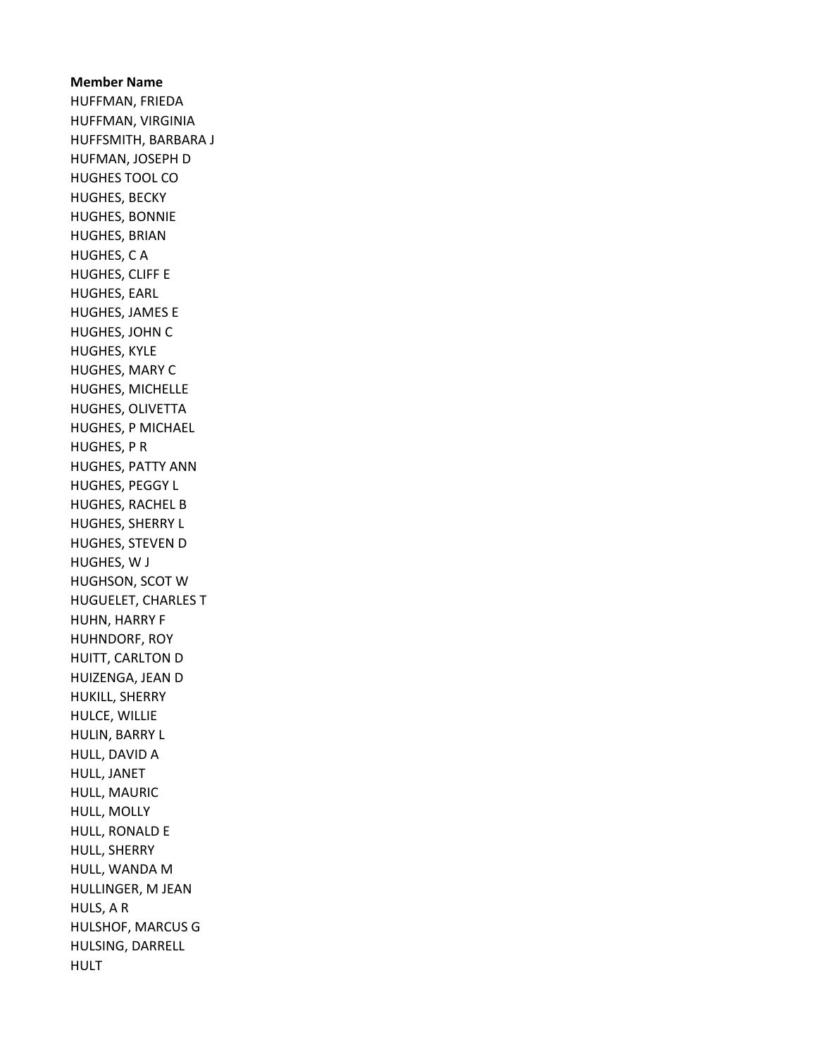## Member Name HUFFMAN, FRIEDA HUFFMAN, VIRGINIA HUFFSMITH, BARBARA J HUFMAN, JOSEPH D HUGHES TOOL CO HUGHES, BECKY HUGHES, BONNIE HUGHES, BRIAN HUGHES, C A HUGHES, CLIFF E HUGHES, EARL HUGHES, JAMES E HUGHES, JOHN C HUGHES, KYLE HUGHES, MARY C HUGHES, MICHELLE HUGHES, OLIVETTA HUGHES, P MICHAEL HUGHES, P R HUGHES, PATTY ANN HUGHES, PEGGY L HUGHES, RACHEL B HUGHES, SHERRY L HUGHES, STEVEN D HUGHES, W J HUGHSON, SCOT W HUGUELET, CHARLES T HUHN, HARRY F HUHNDORF, ROY HUITT, CARLTON D HUIZENGA, JEAN D HUKILL, SHERRY HULCE, WILLIE HULIN, BARRY L HULL, DAVID A HULL, JANET HULL, MAURIC HULL, MOLLY HULL, RONALD E HULL, SHERRY HULL, WANDA M HULLINGER, M JEAN HULS, A R HULSHOF, MARCUS G HULSING, DARRELL HULT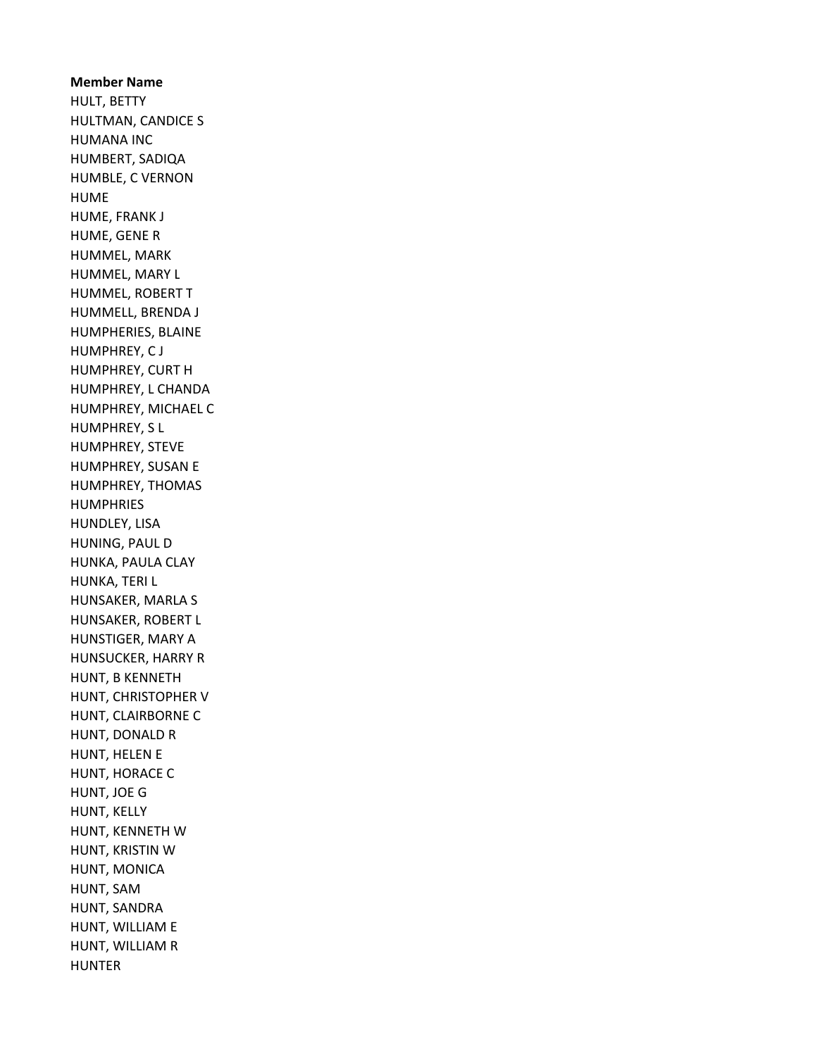Member Name HULT, BETTY HULTMAN, CANDICE S HUMANA INC HUMBERT, SADIQA HUMBLE, C VERNON HUME HUME, FRANK J HUME, GENE R HUMMEL, MARK HUMMEL, MARY L HUMMEL, ROBERT T HUMMELL, BRENDA J HUMPHERIES, BLAINE HUMPHREY, C J HUMPHREY, CURT H HUMPHREY, L CHANDA HUMPHREY, MICHAEL C HUMPHREY, S L HUMPHREY, STEVE HUMPHREY, SUSAN E HUMPHREY, THOMAS HUMPHRIES HUNDLEY, LISA HUNING, PAUL D HUNKA, PAULA CLAY HUNKA, TERI L HUNSAKER, MARLA S HUNSAKER, ROBERT L HUNSTIGER, MARY A HUNSUCKER, HARRY R HUNT, B KENNETH HUNT, CHRISTOPHER V HUNT, CLAIRBORNE C HUNT, DONALD R HUNT, HELEN E HUNT, HORACE C HUNT, JOE G HUNT, KELLY HUNT, KENNETH W HUNT, KRISTIN W HUNT, MONICA HUNT, SAM HUNT, SANDRA HUNT, WILLIAM E HUNT, WILLIAM R HUNTER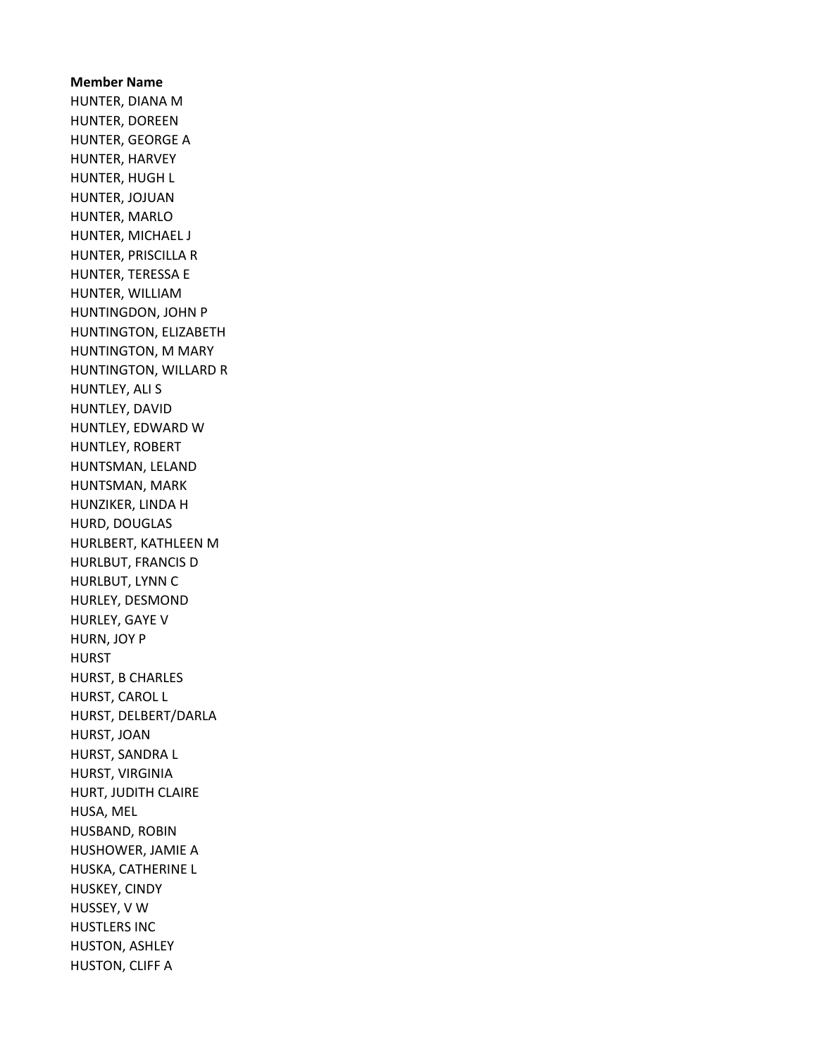Member Name HUNTER, DIANA M HUNTER, DOREEN HUNTER, GEORGE A HUNTER, HARVEY HUNTER, HUGH L HUNTER, JOJUAN HUNTER, MARLO HUNTER, MICHAEL J HUNTER, PRISCILLA R HUNTER, TERESSA E HUNTER, WILLIAM HUNTINGDON, JOHN P HUNTINGTON, ELIZABETH HUNTINGTON, M MARY HUNTINGTON, WILLARD R HUNTLEY, ALI S HUNTLEY, DAVID HUNTLEY, EDWARD W HUNTLEY, ROBERT HUNTSMAN, LELAND HUNTSMAN, MARK HUNZIKER, LINDA H HURD, DOUGLAS HURLBERT, KATHLEEN M HURLBUT, FRANCIS D HURLBUT, LYNN C HURLEY, DESMOND HURLEY, GAYE V HURN, JOY P **HURST** HURST, B CHARLES HURST, CAROL L HURST, DELBERT/DARLA HURST, JOAN HURST, SANDRA L HURST, VIRGINIA HURT, JUDITH CLAIRE HUSA, MEL HUSBAND, ROBIN HUSHOWER, JAMIE A HUSKA, CATHERINE L HUSKEY, CINDY HUSSEY, V W HUSTLERS INC HUSTON, ASHLEY HUSTON, CLIFF A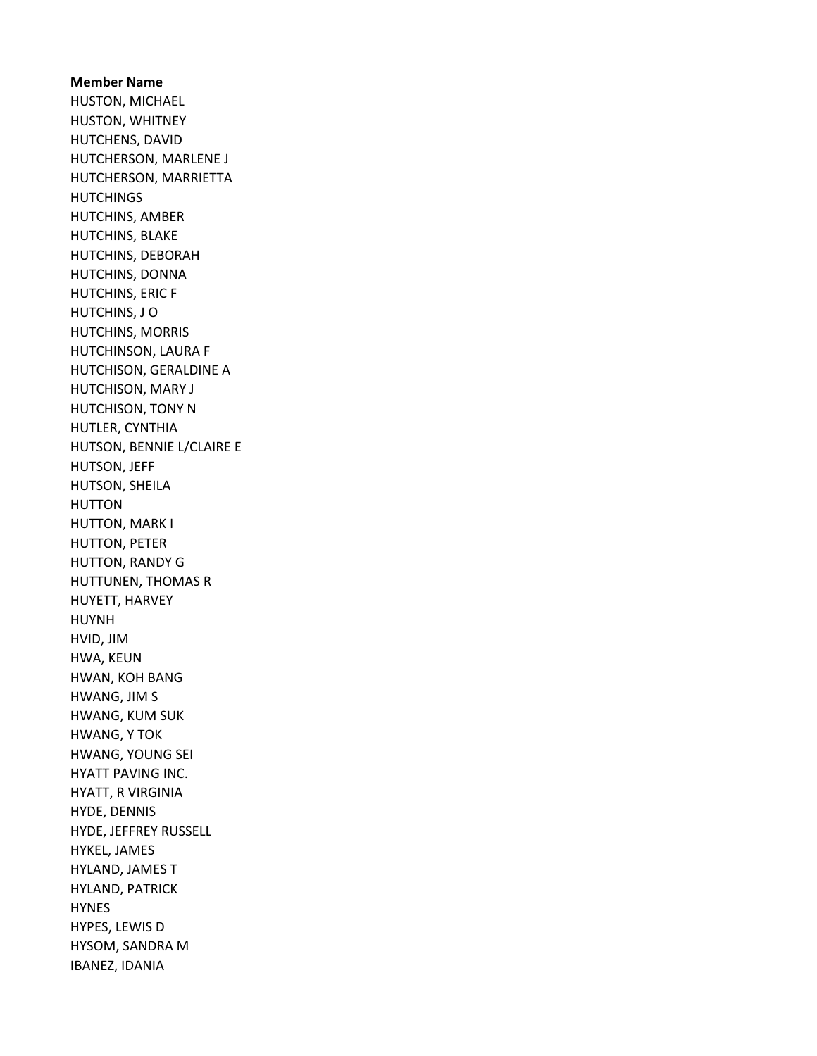Member Name HUSTON, MICHAEL HUSTON, WHITNEY HUTCHENS, DAVID HUTCHERSON, MARLENE J HUTCHERSON, MARRIETTA **HUTCHINGS** HUTCHINS, AMBER HUTCHINS, BLAKE HUTCHINS, DEBORAH HUTCHINS, DONNA HUTCHINS, ERIC F HUTCHINS, J O HUTCHINS, MORRIS HUTCHINSON, LAURA F HUTCHISON, GERALDINE A HUTCHISON, MARY J HUTCHISON, TONY N HUTLER, CYNTHIA HUTSON, BENNIE L/CLAIRE E HUTSON, JEFF HUTSON, SHEILA HUTTON HUTTON, MARK I HUTTON, PETER HUTTON, RANDY G HUTTUNEN, THOMAS R HUYETT, HARVEY HUYNH HVID, JIM HWA, KEUN HWAN, KOH BANG HWANG, JIM S HWANG, KUM SUK HWANG, Y TOK HWANG, YOUNG SEI HYATT PAVING INC. HYATT, R VIRGINIA HYDE, DENNIS HYDE, JEFFREY RUSSELL HYKEL, JAMES HYLAND, JAMES T HYLAND, PATRICK HYNES HYPES, LEWIS D HYSOM, SANDRA M IBANEZ, IDANIA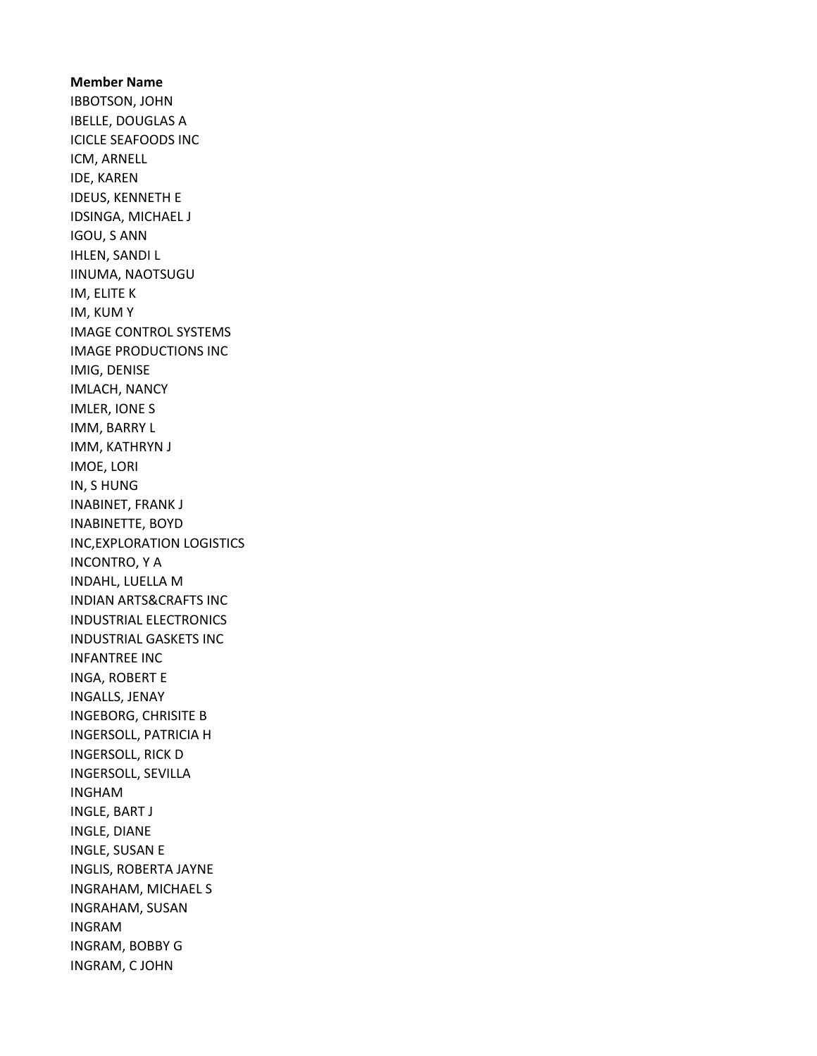Member Name IBBOTSON, JOHN IBELLE, DOUGLAS A ICICLE SEAFOODS INC ICM, ARNELL IDE, KAREN IDEUS, KENNETH E IDSINGA, MICHAEL J IGOU, S ANN IHLEN, SANDI L IINUMA, NAOTSUGU IM, ELITE K IM, KUM Y IMAGE CONTROL SYSTEMS IMAGE PRODUCTIONS INC IMIG, DENISE IMLACH, NANCY IMLER, IONE S IMM, BARRY L IMM, KATHRYN J IMOE, LORI IN, S HUNG INABINET, FRANK J INABINETTE, BOYD INC,EXPLORATION LOGISTICS INCONTRO, Y A INDAHL, LUELLA M INDIAN ARTS&CRAFTS INC INDUSTRIAL ELECTRONICS INDUSTRIAL GASKETS INC INFANTREE INC INGA, ROBERT E INGALLS, JENAY INGEBORG, CHRISITE B INGERSOLL, PATRICIA H INGERSOLL, RICK D INGERSOLL, SEVILLA INGHAM INGLE, BART J INGLE, DIANE INGLE, SUSAN E INGLIS, ROBERTA JAYNE INGRAHAM, MICHAEL S INGRAHAM, SUSAN INGRAM INGRAM, BOBBY G INGRAM, C JOHN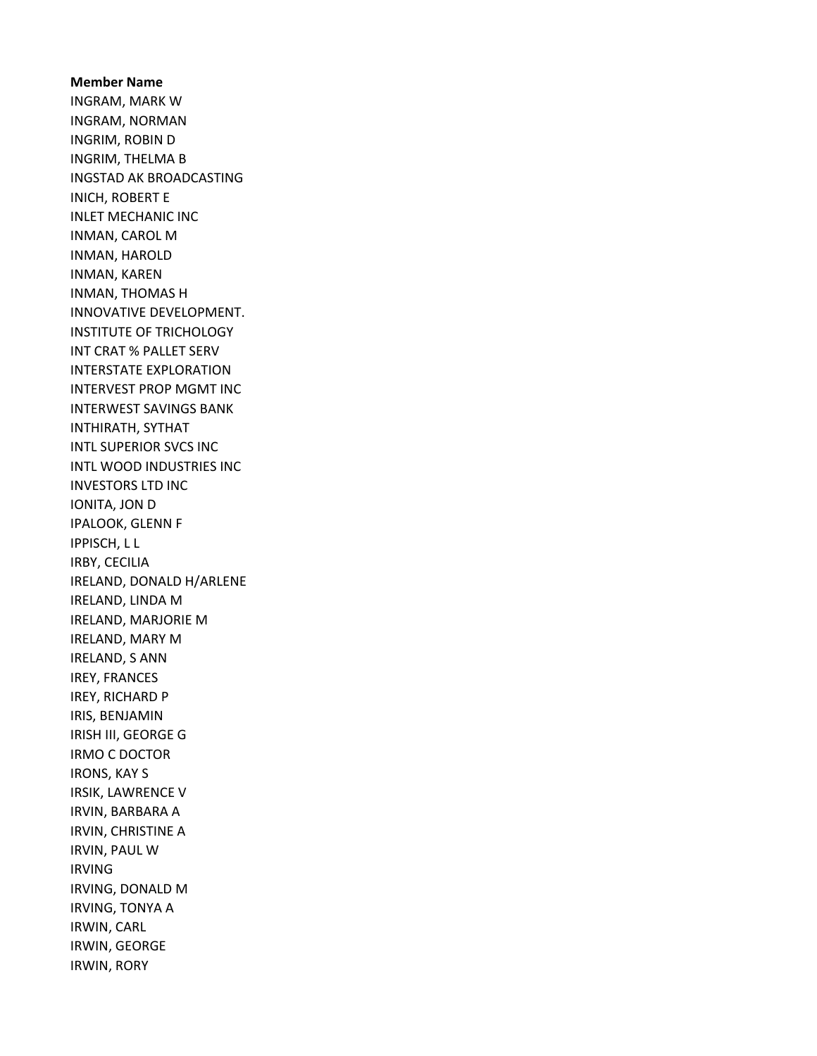## Member Name INGRAM, MARK W INGRAM, NORMAN INGRIM, ROBIN D INGRIM, THELMA B INGSTAD AK BROADCASTING INICH, ROBERT E INLET MECHANIC INC INMAN, CAROL M INMAN, HAROLD INMAN, KAREN INMAN, THOMAS H INNOVATIVE DEVELOPMENT. INSTITUTE OF TRICHOLOGY INT CRAT % PALLET SERV INTERSTATE EXPLORATION INTERVEST PROP MGMT INC INTERWEST SAVINGS BANK INTHIRATH, SYTHAT INTL SUPERIOR SVCS INC INTL WOOD INDUSTRIES INC INVESTORS LTD INC IONITA, JON D IPALOOK, GLENN F IPPISCH, L L IRBY, CECILIA IRELAND, DONALD H/ARLENE IRELAND, LINDA M IRELAND, MARJORIE M IRELAND, MARY M IRELAND, S ANN IREY, FRANCES IREY, RICHARD P IRIS, BENJAMIN IRISH III, GEORGE G IRMO C DOCTOR IRONS, KAY S IRSIK, LAWRENCE V IRVIN, BARBARA A IRVIN, CHRISTINE A IRVIN, PAUL W IRVING IRVING, DONALD M IRVING, TONYA A IRWIN, CARL IRWIN, GEORGE IRWIN, RORY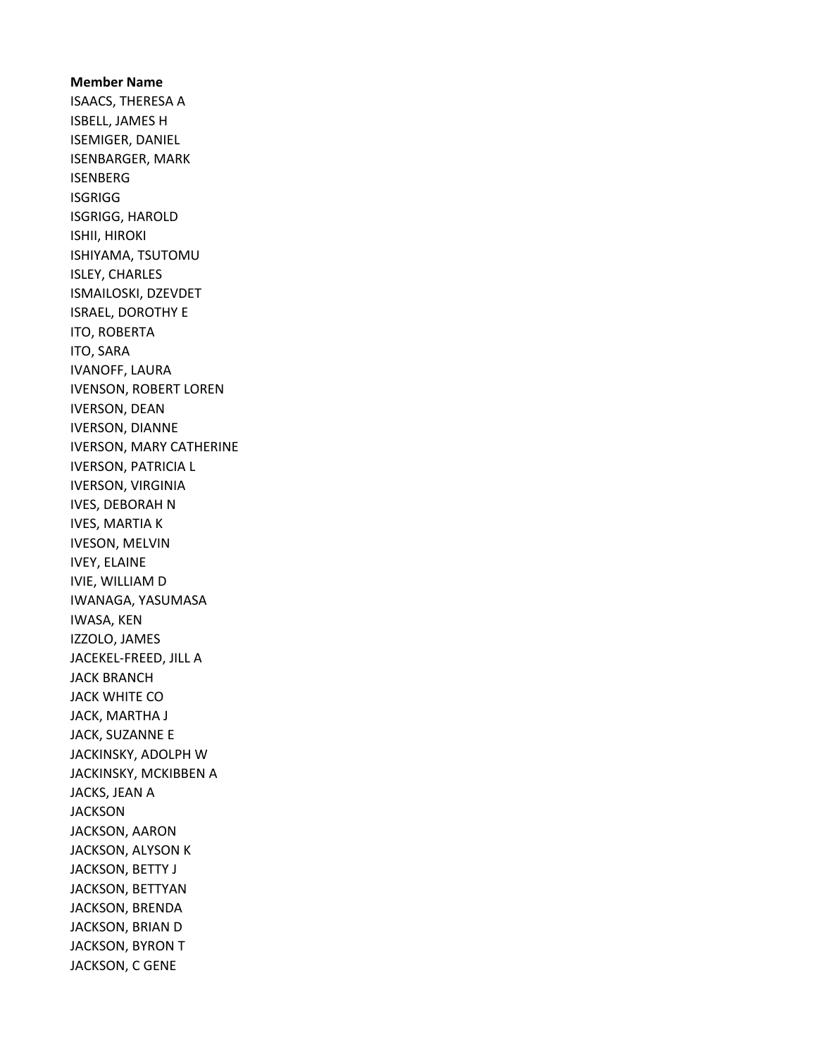Member Name ISAACS, THERESA A ISBELL, JAMES H ISEMIGER, DANIEL ISENBARGER, MARK ISENBERG **ISGRIGG** ISGRIGG, HAROLD ISHII, HIROKI ISHIYAMA, TSUTOMU ISLEY, CHARLES ISMAILOSKI, DZEVDET ISRAEL, DOROTHY E ITO, ROBERTA ITO, SARA IVANOFF, LAURA IVENSON, ROBERT LOREN IVERSON, DEAN IVERSON, DIANNE IVERSON, MARY CATHERINE IVERSON, PATRICIA L IVERSON, VIRGINIA IVES, DEBORAH N IVES, MARTIA K IVESON, MELVIN IVEY, ELAINE IVIE, WILLIAM D IWANAGA, YASUMASA IWASA, KEN IZZOLO, JAMES JACEKEL-FREED, JILL A JACK BRANCH JACK WHITE CO JACK, MARTHA J JACK, SUZANNE E JACKINSKY, ADOLPH W JACKINSKY, MCKIBBEN A JACKS, JEAN A JACKSON JACKSON, AARON JACKSON, ALYSON K JACKSON, BETTY J JACKSON, BETTYAN JACKSON, BRENDA JACKSON, BRIAN D JACKSON, BYRON T JACKSON, C GENE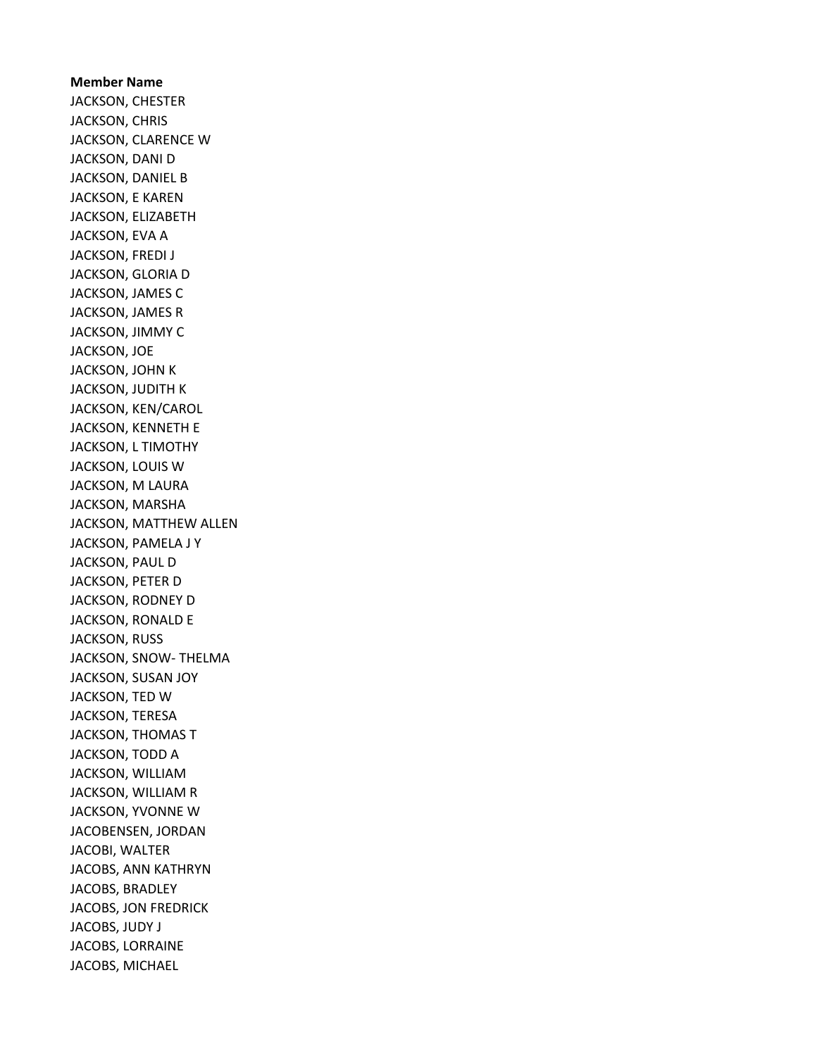Member Name JACKSON, CHESTER JACKSON, CHRIS JACKSON, CLARENCE W JACKSON, DANI D JACKSON, DANIEL B JACKSON, E KAREN JACKSON, ELIZABETH JACKSON, EVA A JACKSON, FREDI J JACKSON, GLORIA D JACKSON, JAMES C JACKSON, JAMES R JACKSON, JIMMY C JACKSON, JOE JACKSON, JOHN K JACKSON, JUDITH K JACKSON, KEN/CAROL JACKSON, KENNETH E JACKSON, L TIMOTHY JACKSON, LOUIS W JACKSON, M LAURA JACKSON, MARSHA JACKSON, MATTHEW ALLEN JACKSON, PAMELA J Y JACKSON, PAUL D JACKSON, PETER D JACKSON, RODNEY D JACKSON, RONALD E JACKSON, RUSS JACKSON, SNOW- THELMA JACKSON, SUSAN JOY JACKSON, TED W JACKSON, TERESA JACKSON, THOMAS T JACKSON, TODD A JACKSON, WILLIAM JACKSON, WILLIAM R JACKSON, YVONNE W JACOBENSEN, JORDAN JACOBI, WALTER JACOBS, ANN KATHRYN JACOBS, BRADLEY JACOBS, JON FREDRICK JACOBS, JUDY J JACOBS, LORRAINE JACOBS, MICHAEL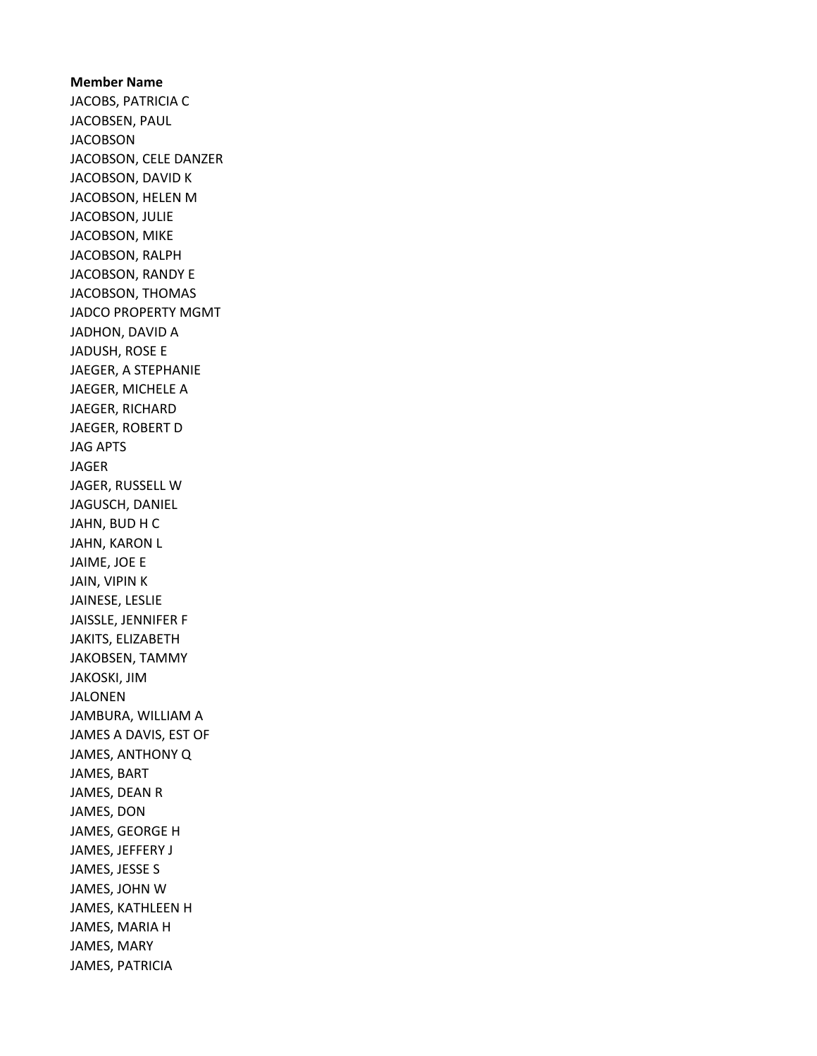Member Name JACOBS, PATRICIA C JACOBSEN, PAUL JACOBSON JACOBSON, CELE DANZER JACOBSON, DAVID K JACOBSON, HELEN M JACOBSON, JULIE JACOBSON, MIKE JACOBSON, RALPH JACOBSON, RANDY E JACOBSON, THOMAS JADCO PROPERTY MGMT JADHON, DAVID A JADUSH, ROSE E JAEGER, A STEPHANIE JAEGER, MICHELE A JAEGER, RICHARD JAEGER, ROBERT D JAG APTS JAGER JAGER, RUSSELL W JAGUSCH, DANIEL JAHN, BUD H C JAHN, KARON L JAIME, JOE E JAIN, VIPIN K JAINESE, LESLIE JAISSLE, JENNIFER F JAKITS, ELIZABETH JAKOBSEN, TAMMY JAKOSKI, JIM JALONEN JAMBURA, WILLIAM A JAMES A DAVIS, EST OF JAMES, ANTHONY Q JAMES, BART JAMES, DEAN R JAMES, DON JAMES, GEORGE H JAMES, JEFFERY J JAMES, JESSE S JAMES, JOHN W JAMES, KATHLEEN H JAMES, MARIA H JAMES, MARY JAMES, PATRICIA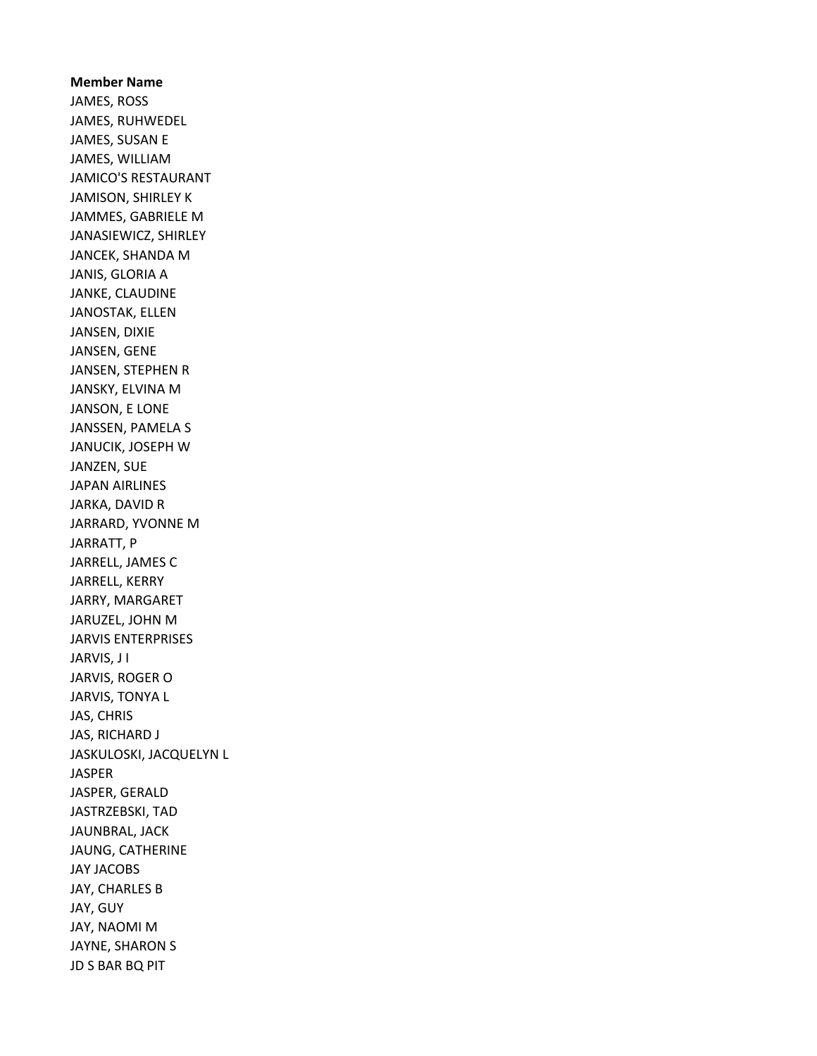Member Name JAMES, ROSS JAMES, RUHWEDEL JAMES, SUSAN E JAMES, WILLIAM JAMICO'S RESTAURANT JAMISON, SHIRLEY K JAMMES, GABRIELE M JANASIEWICZ, SHIRLEY JANCEK, SHANDA M JANIS, GLORIA A JANKE, CLAUDINE JANOSTAK, ELLEN JANSEN, DIXIE JANSEN, GENE JANSEN, STEPHEN R JANSKY, ELVINA M JANSON, E LONE JANSSEN, PAMELA S JANUCIK, JOSEPH W JANZEN, SUE JAPAN AIRLINES JARKA, DAVID R JARRARD, YVONNE M JARRATT, P JARRELL, JAMES C JARRELL, KERRY JARRY, MARGARET JARUZEL, JOHN M JARVIS ENTERPRISES JARVIS, J I JARVIS, ROGER O JARVIS, TONYA L JAS, CHRIS JAS, RICHARD J JASKULOSKI, JACQUELYN L JASPER JASPER, GERALD JASTRZEBSKI, TAD JAUNBRAL, JACK JAUNG, CATHERINE JAY JACOBS JAY, CHARLES B JAY, GUY JAY, NAOMI M JAYNE, SHARON S JD S BAR BQ PIT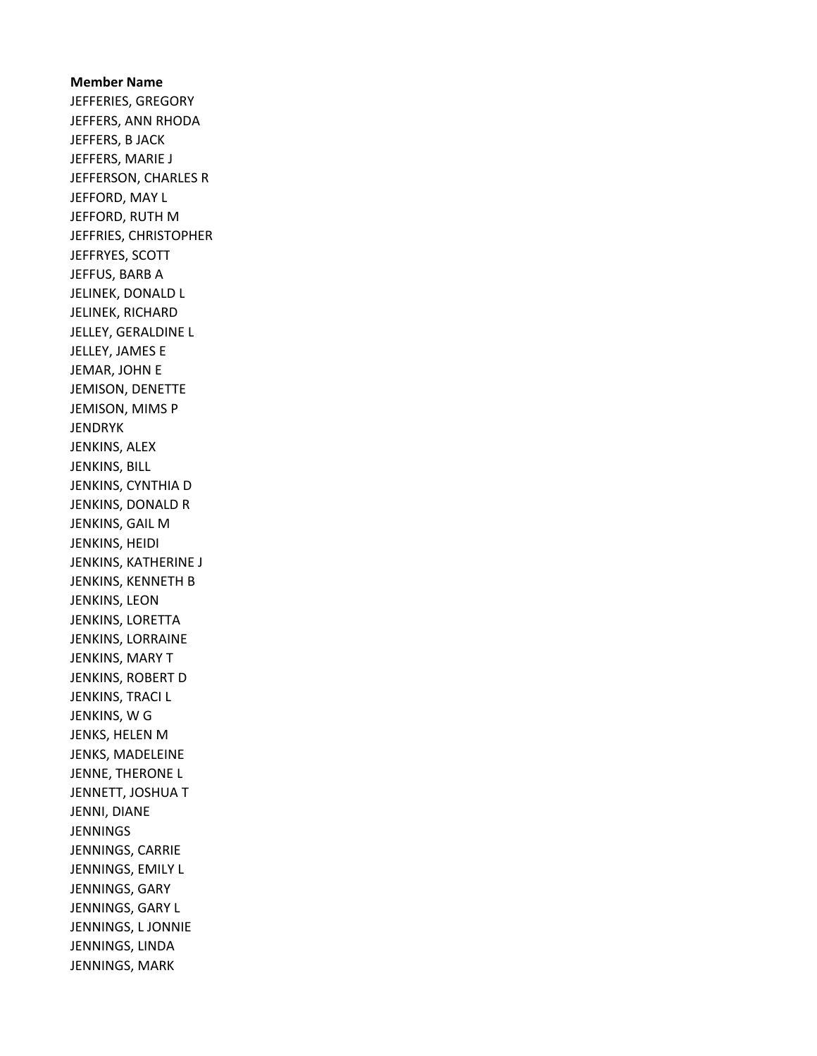## Member Name JEFFERIES, GREGORY JEFFERS, ANN RHODA JEFFERS, B JACK JEFFERS, MARIE J JEFFERSON, CHARLES R JEFFORD, MAY L JEFFORD, RUTH M JEFFRIES, CHRISTOPHER JEFFRYES, SCOTT JEFFUS, BARB A JELINEK, DONALD L JELINEK, RICHARD JELLEY, GERALDINE L JELLEY, JAMES E JEMAR, JOHN E JEMISON, DENETTE JEMISON, MIMS P JENDRYK JENKINS, ALEX JENKINS, BILL JENKINS, CYNTHIA D JENKINS, DONALD R JENKINS, GAIL M JENKINS, HEIDI JENKINS, KATHERINE J JENKINS, KENNETH B JENKINS, LEON JENKINS, LORETTA JENKINS, LORRAINE JENKINS, MARY T JENKINS, ROBERT D JENKINS, TRACI L JENKINS, W G JENKS, HELEN M JENKS, MADELEINE JENNE, THERONE L JENNETT, JOSHUA T JENNI, DIANE **JENNINGS** JENNINGS, CARRIE JENNINGS, EMILY L JENNINGS, GARY JENNINGS, GARY L JENNINGS, L JONNIE JENNINGS, LINDA JENNINGS, MARK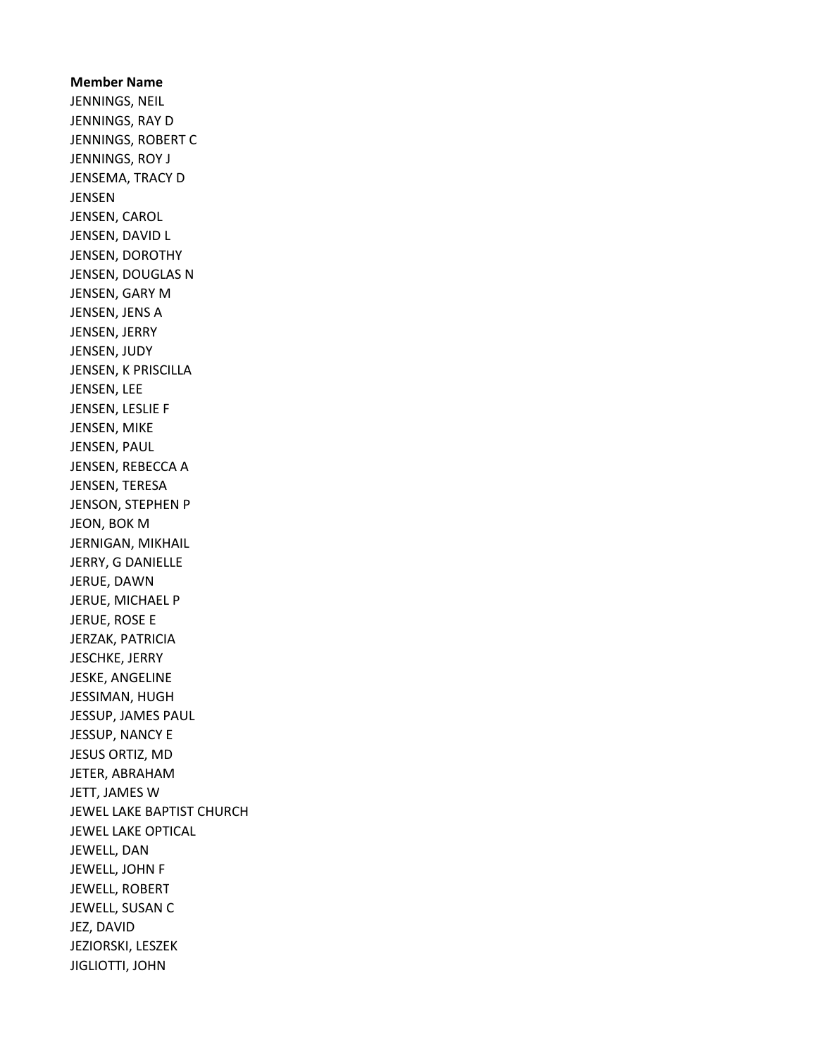Member Name JENNINGS, NEIL JENNINGS, RAY D JENNINGS, ROBERT C JENNINGS, ROY J JENSEMA, TRACY D JENSEN JENSEN, CAROL JENSEN, DAVID L JENSEN, DOROTHY JENSEN, DOUGLAS N JENSEN, GARY M JENSEN, JENS A JENSEN, JERRY JENSEN, JUDY JENSEN, K PRISCILLA JENSEN, LEE JENSEN, LESLIE F JENSEN, MIKE JENSEN, PAUL JENSEN, REBECCA A JENSEN, TERESA JENSON, STEPHEN P JEON, BOK M JERNIGAN, MIKHAIL JERRY, G DANIELLE JERUE, DAWN JERUE, MICHAEL P JERUE, ROSE E JERZAK, PATRICIA JESCHKE, JERRY JESKE, ANGELINE JESSIMAN, HUGH JESSUP, JAMES PAUL JESSUP, NANCY E JESUS ORTIZ, MD JETER, ABRAHAM JETT, JAMES W JEWEL LAKE BAPTIST CHURCH JEWEL LAKE OPTICAL JEWELL, DAN JEWELL, JOHN F JEWELL, ROBERT JEWELL, SUSAN C JEZ, DAVID JEZIORSKI, LESZEK JIGLIOTTI, JOHN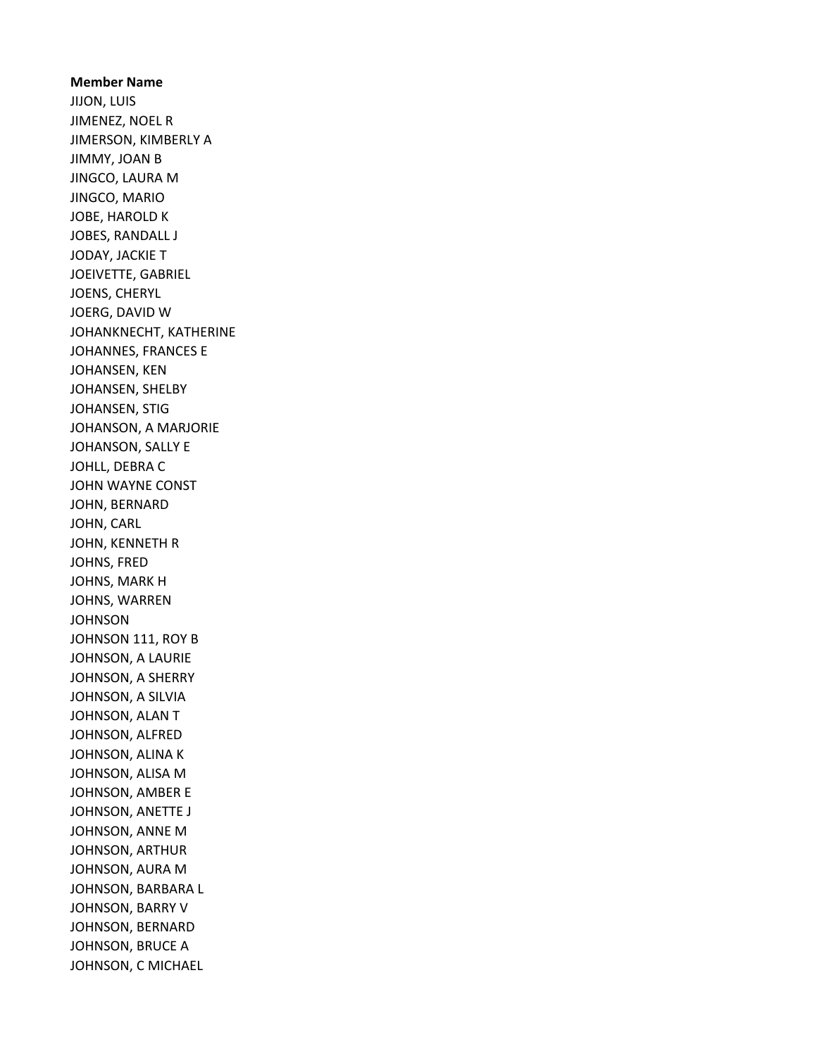Member Name JIJON, LUIS JIMENEZ, NOEL R JIMERSON, KIMBERLY A JIMMY, JOAN B JINGCO, LAURA M JINGCO, MARIO JOBE, HAROLD K JOBES, RANDALL J JODAY, JACKIE T JOEIVETTE, GABRIEL JOENS, CHERYL JOERG, DAVID W JOHANKNECHT, KATHERINE JOHANNES, FRANCES E JOHANSEN, KEN JOHANSEN, SHELBY JOHANSEN, STIG JOHANSON, A MARJORIE JOHANSON, SALLY E JOHLL, DEBRA C JOHN WAYNE CONST JOHN, BERNARD JOHN, CARL JOHN, KENNETH R JOHNS, FRED JOHNS, MARK H JOHNS, WARREN **JOHNSON** JOHNSON 111, ROY B JOHNSON, A LAURIE JOHNSON, A SHERRY JOHNSON, A SILVIA JOHNSON, ALAN T JOHNSON, ALFRED JOHNSON, ALINA K JOHNSON, ALISA M JOHNSON, AMBER E JOHNSON, ANETTE J JOHNSON, ANNE M JOHNSON, ARTHUR JOHNSON, AURA M JOHNSON, BARBARA L JOHNSON, BARRY V JOHNSON, BERNARD JOHNSON, BRUCE A JOHNSON, C MICHAEL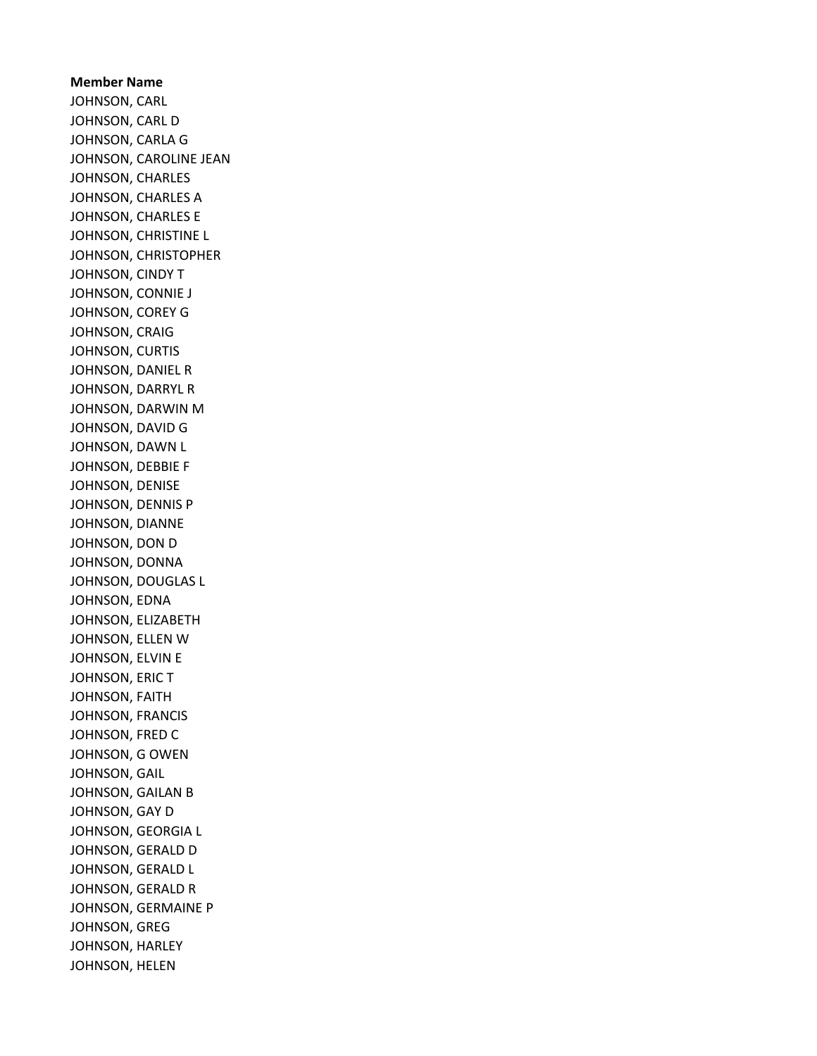## Member Name JOHNSON, CARL JOHNSON, CARL D JOHNSON, CARLA G JOHNSON, CAROLINE JEAN JOHNSON, CHARLES JOHNSON, CHARLES A JOHNSON, CHARLES E JOHNSON, CHRISTINE L JOHNSON, CHRISTOPHER JOHNSON, CINDY T JOHNSON, CONNIE J JOHNSON, COREY G JOHNSON, CRAIG JOHNSON, CURTIS JOHNSON, DANIEL R JOHNSON, DARRYL R JOHNSON, DARWIN M JOHNSON, DAVID G JOHNSON, DAWN L JOHNSON, DEBBIE F JOHNSON, DENISE JOHNSON, DENNIS P JOHNSON, DIANNE JOHNSON, DON D JOHNSON, DONNA JOHNSON, DOUGLAS L JOHNSON, EDNA JOHNSON, ELIZABETH JOHNSON, ELLEN W JOHNSON, ELVIN E JOHNSON, ERIC T JOHNSON, FAITH JOHNSON, FRANCIS JOHNSON, FRED C JOHNSON, G OWEN JOHNSON, GAIL JOHNSON, GAILAN B JOHNSON, GAY D JOHNSON, GEORGIA L JOHNSON, GERALD D JOHNSON, GERALD L JOHNSON, GERALD R JOHNSON, GERMAINE P JOHNSON, GREG JOHNSON, HARLEY JOHNSON, HELEN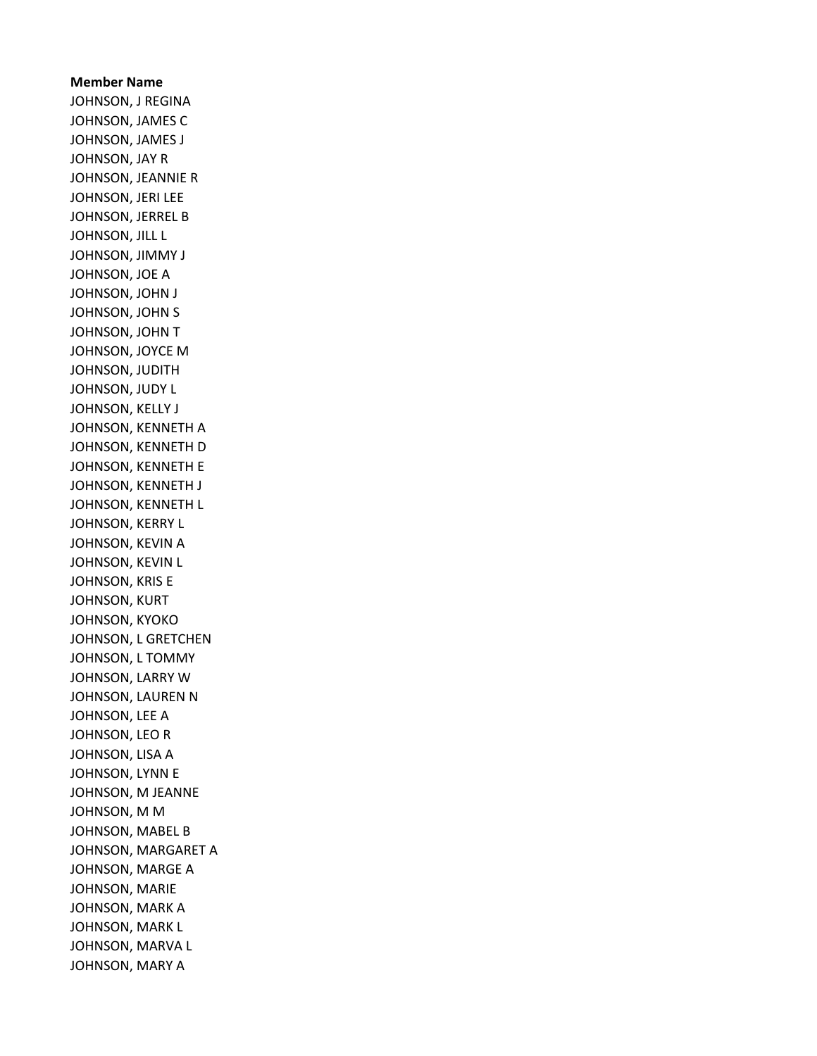## Member Name JOHNSON, J REGINA JOHNSON, JAMES C JOHNSON, JAMES J JOHNSON, JAY R JOHNSON, JEANNIE R JOHNSON, JERI LEE JOHNSON, JERREL B JOHNSON, JILL L JOHNSON, JIMMY J JOHNSON, JOE A JOHNSON, JOHN J JOHNSON, JOHN S JOHNSON, JOHN T JOHNSON, JOYCE M JOHNSON, JUDITH JOHNSON, JUDY L JOHNSON, KELLY J JOHNSON, KENNETH A JOHNSON, KENNETH D JOHNSON, KENNETH E JOHNSON, KENNETH J JOHNSON, KENNETH L JOHNSON, KERRY L JOHNSON, KEVIN A JOHNSON, KEVIN L JOHNSON, KRIS E JOHNSON, KURT JOHNSON, KYOKO JOHNSON, L GRETCHEN JOHNSON, L TOMMY JOHNSON, LARRY W JOHNSON, LAUREN N JOHNSON, LEE A JOHNSON, LEO R JOHNSON, LISA A JOHNSON, LYNN E JOHNSON, M JEANNE JOHNSON, M M JOHNSON, MABEL B JOHNSON, MARGARET A JOHNSON, MARGE A JOHNSON, MARIE JOHNSON, MARK A JOHNSON, MARK L JOHNSON, MARVA L JOHNSON, MARY A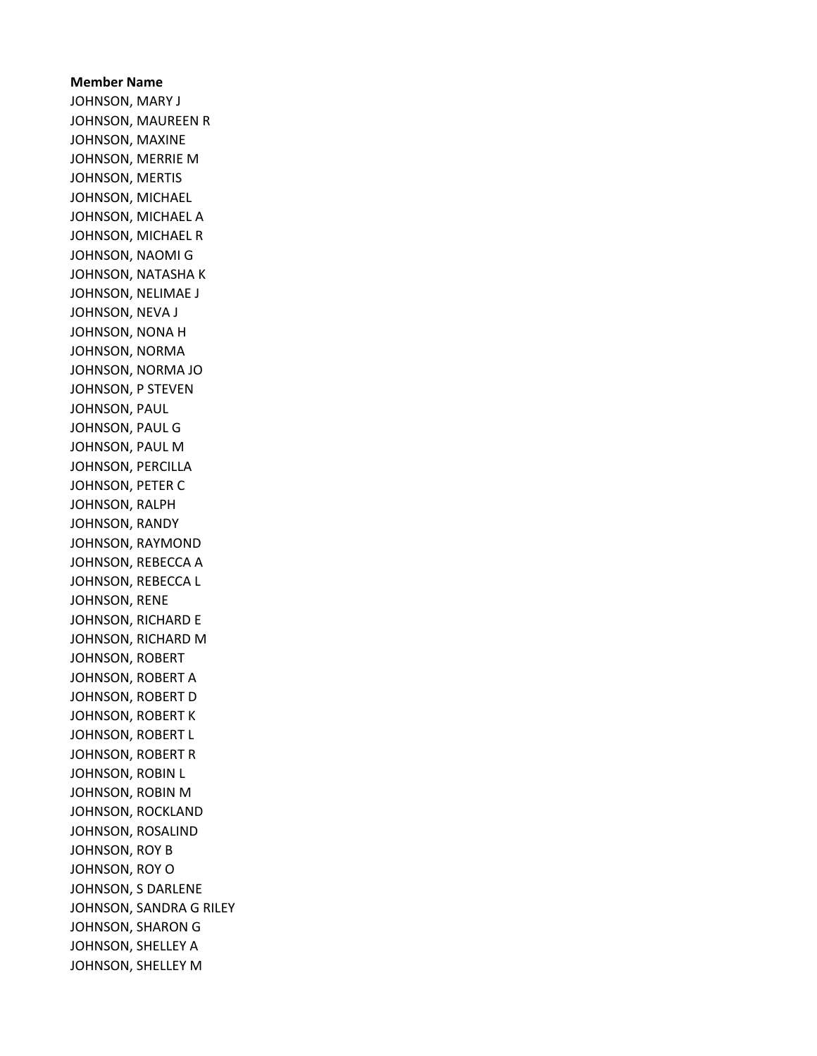## Member Name JOHNSON, MARY J JOHNSON, MAUREEN R JOHNSON, MAXINE JOHNSON, MERRIE M JOHNSON, MERTIS JOHNSON, MICHAEL JOHNSON, MICHAEL A JOHNSON, MICHAEL R JOHNSON, NAOMI G JOHNSON, NATASHA K JOHNSON, NELIMAE J JOHNSON, NEVA J JOHNSON, NONA H JOHNSON, NORMA JOHNSON, NORMA JO JOHNSON, P STEVEN JOHNSON, PAUL JOHNSON, PAUL G JOHNSON, PAUL M JOHNSON, PERCILLA JOHNSON, PETER C JOHNSON, RALPH JOHNSON, RANDY JOHNSON, RAYMOND JOHNSON, REBECCA A JOHNSON, REBECCA L JOHNSON, RENE JOHNSON, RICHARD E JOHNSON, RICHARD M JOHNSON, ROBERT JOHNSON, ROBERT A JOHNSON, ROBERT D JOHNSON, ROBERT K JOHNSON, ROBERT L JOHNSON, ROBERT R JOHNSON, ROBIN L JOHNSON, ROBIN M JOHNSON, ROCKLAND JOHNSON, ROSALIND JOHNSON, ROY B JOHNSON, ROY O JOHNSON, S DARLENE JOHNSON, SANDRA G RILEY JOHNSON, SHARON G JOHNSON, SHELLEY A JOHNSON, SHELLEY M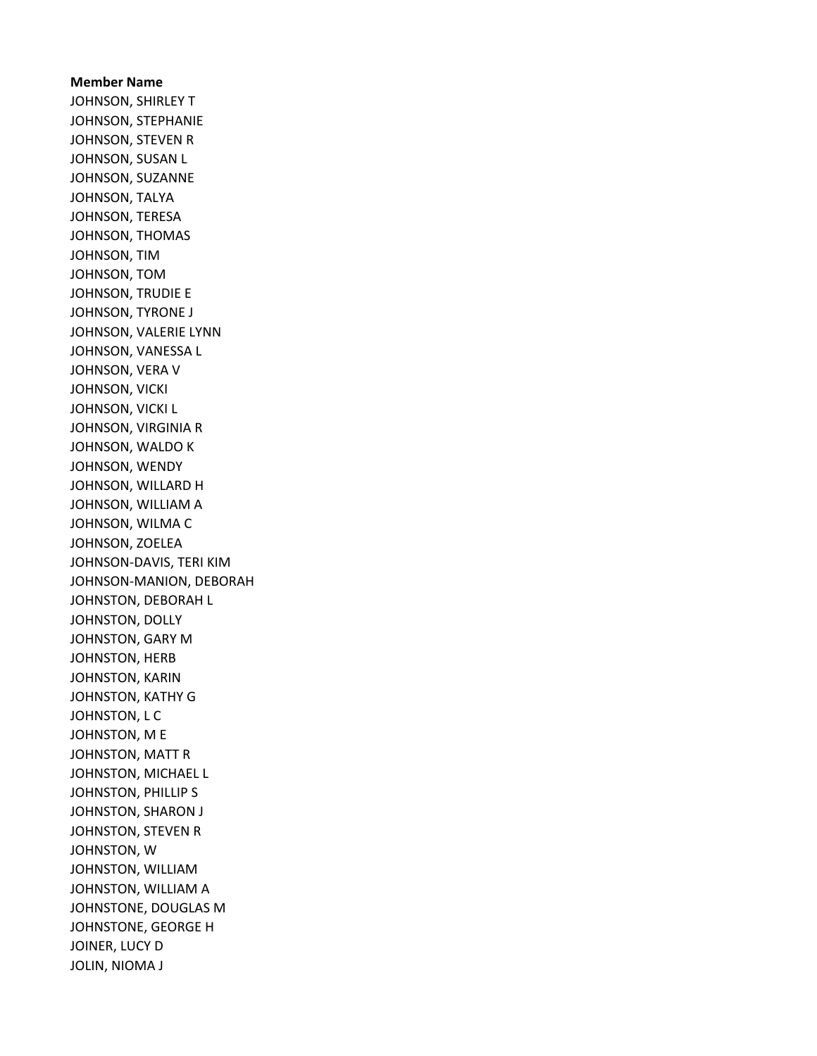Member Name JOHNSON, SHIRLEY T JOHNSON, STEPHANIE JOHNSON, STEVEN R JOHNSON, SUSAN L JOHNSON, SUZANNE JOHNSON, TALYA JOHNSON, TERESA JOHNSON, THOMAS JOHNSON, TIM JOHNSON, TOM JOHNSON, TRUDIE E JOHNSON, TYRONE J JOHNSON, VALERIE LYNN JOHNSON, VANESSA L JOHNSON, VERA V JOHNSON, VICKI JOHNSON, VICKI L JOHNSON, VIRGINIA R JOHNSON, WALDO K JOHNSON, WENDY JOHNSON, WILLARD H JOHNSON, WILLIAM A JOHNSON, WILMA C JOHNSON, ZOELEA JOHNSON-DAVIS, TERI KIM JOHNSON-MANION, DEBORAH JOHNSTON, DEBORAH L JOHNSTON, DOLLY JOHNSTON, GARY M JOHNSTON, HERB JOHNSTON, KARIN JOHNSTON, KATHY G JOHNSTON, L C JOHNSTON, M E JOHNSTON, MATT R JOHNSTON, MICHAEL L JOHNSTON, PHILLIP S JOHNSTON, SHARON J JOHNSTON, STEVEN R JOHNSTON, W JOHNSTON, WILLIAM JOHNSTON, WILLIAM A JOHNSTONE, DOUGLAS M JOHNSTONE, GEORGE H JOINER, LUCY D JOLIN, NIOMA J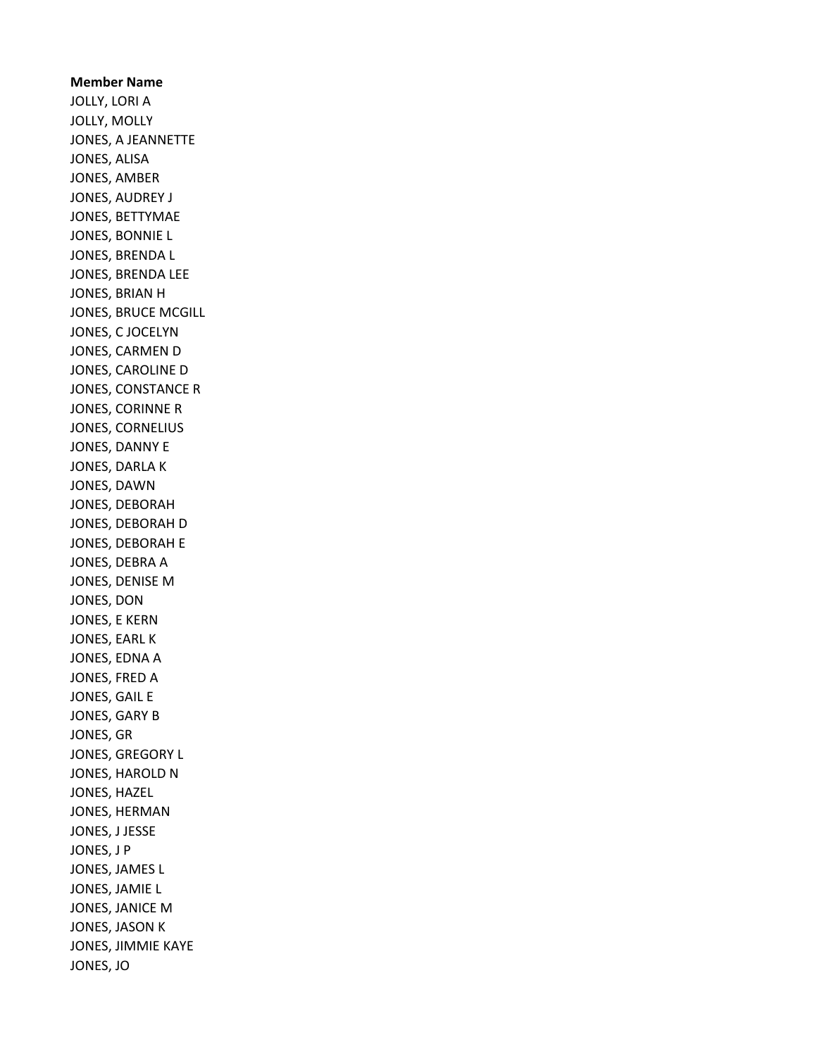Member Name JOLLY, LORI A JOLLY, MOLLY JONES, A JEANNETTE JONES, ALISA JONES, AMBER JONES, AUDREY J JONES, BETTYMAE JONES, BONNIE L JONES, BRENDA L JONES, BRENDA LEE JONES, BRIAN H JONES, BRUCE MCGILL JONES, C JOCELYN JONES, CARMEN D JONES, CAROLINE D JONES, CONSTANCE R JONES, CORINNE R JONES, CORNELIUS JONES, DANNY E JONES, DARLA K JONES, DAWN JONES, DEBORAH JONES, DEBORAH D JONES, DEBORAH E JONES, DEBRA A JONES, DENISE M JONES, DON JONES, E KERN JONES, EARL K JONES, EDNA A JONES, FRED A JONES, GAIL E JONES, GARY B JONES, GR JONES, GREGORY L JONES, HAROLD N JONES, HAZEL JONES, HERMAN JONES, J JESSE JONES, J P JONES, JAMES L JONES, JAMIE L JONES, JANICE M JONES, JASON K JONES, JIMMIE KAYE JONES, JO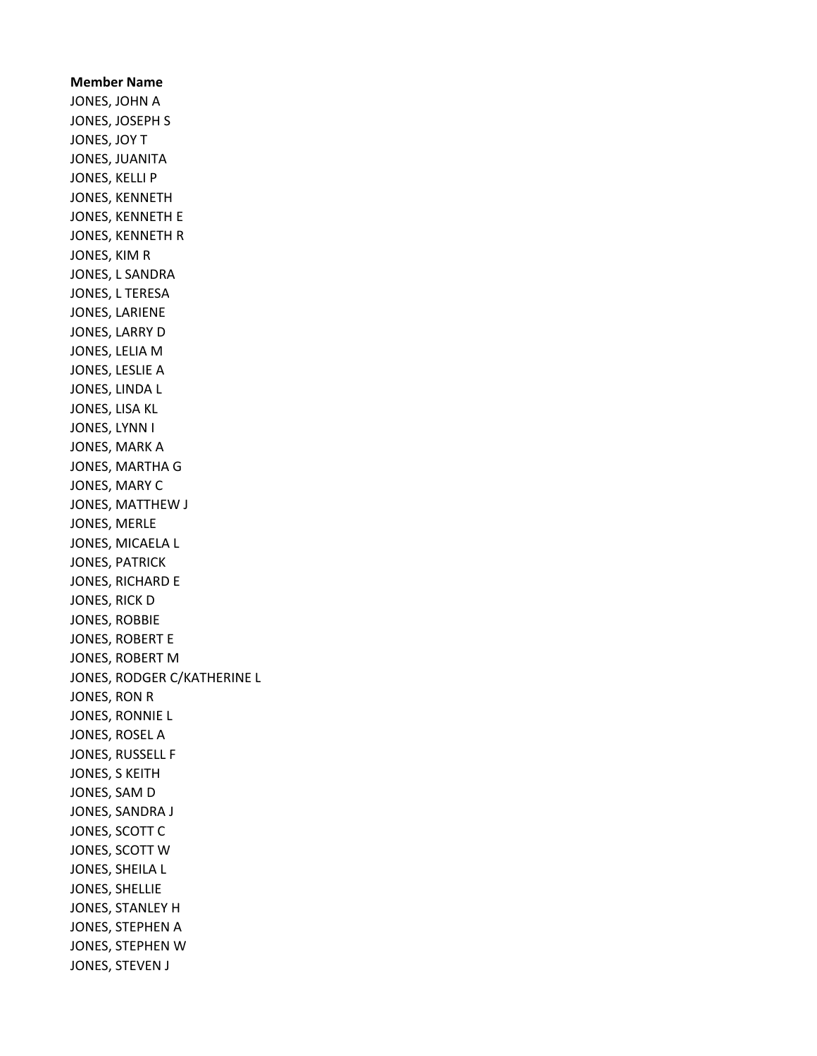Member Name JONES, JOHN A JONES, JOSEPH S JONES, JOY T JONES, JUANITA JONES, KELLI P JONES, KENNETH JONES, KENNETH E JONES, KENNETH R JONES, KIM R JONES, L SANDRA JONES, L TERESA JONES, LARIENE JONES, LARRY D JONES, LELIA M JONES, LESLIE A JONES, LINDA L JONES, LISA KL JONES, LYNN I JONES, MARK A JONES, MARTHA G JONES, MARY C JONES, MATTHEW J JONES, MERLE JONES, MICAELA L JONES, PATRICK JONES, RICHARD E JONES, RICK D JONES, ROBBIE JONES, ROBERT E JONES, ROBERT M JONES, RODGER C/KATHERINE L JONES, RON R JONES, RONNIE L JONES, ROSEL A JONES, RUSSELL F JONES, S KEITH JONES, SAM D JONES, SANDRA J JONES, SCOTT C JONES, SCOTT W JONES, SHEILA L JONES, SHELLIE JONES, STANLEY H JONES, STEPHEN A JONES, STEPHEN W JONES, STEVEN J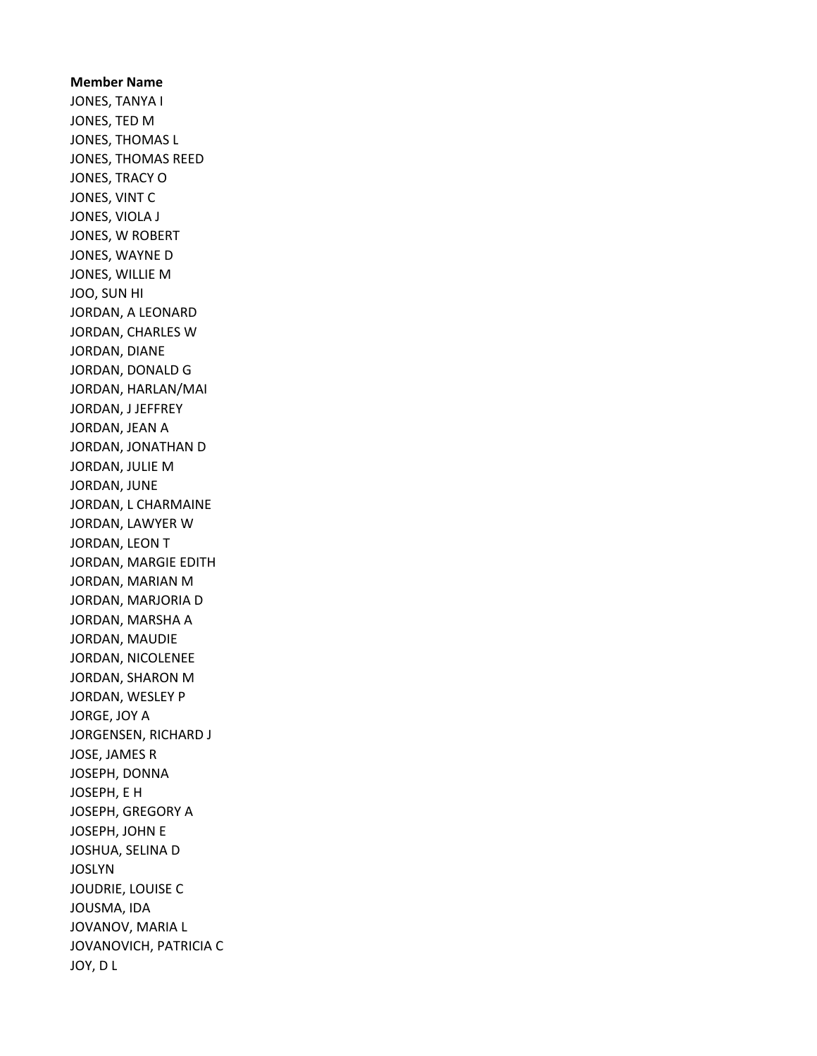## Member Name JONES, TANYA I JONES, TED M JONES, THOMAS L JONES, THOMAS REED JONES, TRACY O JONES, VINT C JONES, VIOLA J JONES, W ROBERT JONES, WAYNE D JONES, WILLIE M JOO, SUN HI JORDAN, A LEONARD JORDAN, CHARLES W JORDAN, DIANE JORDAN, DONALD G JORDAN, HARLAN/MAI JORDAN, J JEFFREY JORDAN, JEAN A JORDAN, JONATHAN D JORDAN, JULIE M JORDAN, JUNE JORDAN, L CHARMAINE JORDAN, LAWYER W JORDAN, LEON T JORDAN, MARGIE EDITH JORDAN, MARIAN M JORDAN, MARJORIA D JORDAN, MARSHA A JORDAN, MAUDIE JORDAN, NICOLENEE JORDAN, SHARON M JORDAN, WESLEY P JORGE, JOY A JORGENSEN, RICHARD J JOSE, JAMES R JOSEPH, DONNA JOSEPH, E H JOSEPH, GREGORY A JOSEPH, JOHN E JOSHUA, SELINA D JOSLYN JOUDRIE, LOUISE C JOUSMA, IDA JOVANOV, MARIA L JOVANOVICH, PATRICIA C JOY, D L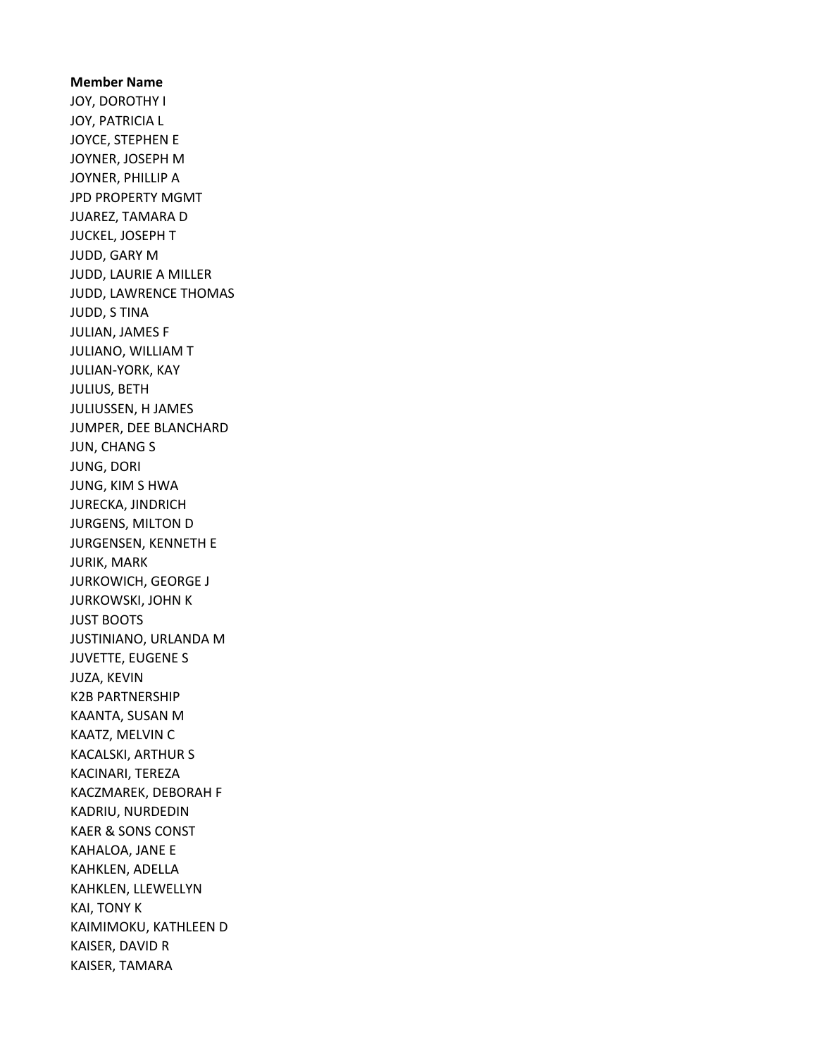## Member Name JOY, DOROTHY I JOY, PATRICIA L JOYCE, STEPHEN E JOYNER, JOSEPH M JOYNER, PHILLIP A JPD PROPERTY MGMT JUAREZ, TAMARA D JUCKEL, JOSEPH T JUDD, GARY M JUDD, LAURIE A MILLER JUDD, LAWRENCE THOMAS JUDD, S TINA JULIAN, JAMES F JULIANO, WILLIAM T JULIAN-YORK, KAY JULIUS, BETH JULIUSSEN, H JAMES JUMPER, DEE BLANCHARD JUN, CHANG S JUNG, DORI JUNG, KIM S HWA JURECKA, JINDRICH JURGENS, MILTON D JURGENSEN, KENNETH E JURIK, MARK JURKOWICH, GEORGE J JURKOWSKI, JOHN K JUST BOOTS JUSTINIANO, URLANDA M JUVETTE, EUGENE S JUZA, KEVIN K2B PARTNERSHIP KAANTA, SUSAN M KAATZ, MELVIN C KACALSKI, ARTHUR S KACINARI, TEREZA KACZMAREK, DEBORAH F KADRIU, NURDEDIN KAER & SONS CONST KAHALOA, JANE E KAHKLEN, ADELLA KAHKLEN, LLEWELLYN KAI, TONY K KAIMIMOKU, KATHLEEN D KAISER, DAVID R KAISER, TAMARA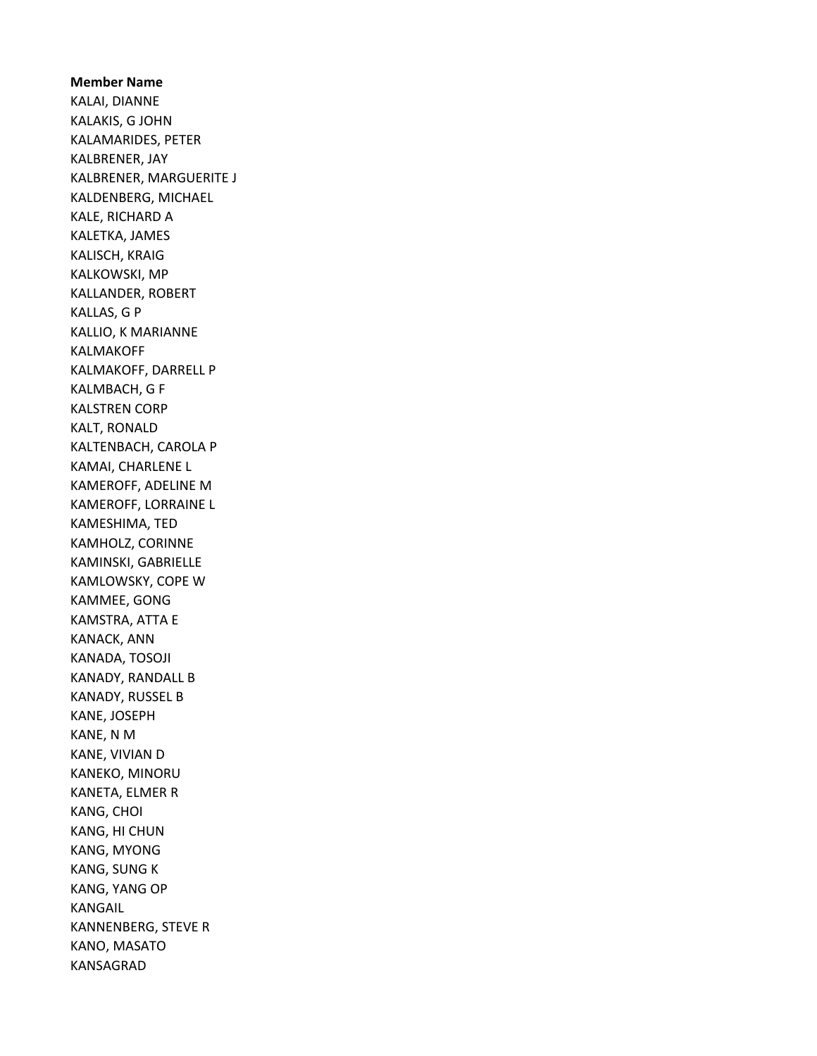Member Name KALAI, DIANNE KALAKIS, G JOHN KALAMARIDES, PETER KALBRENER, JAY KALBRENER, MARGUERITE J KALDENBERG, MICHAEL KALE, RICHARD A KALETKA, JAMES KALISCH, KRAIG KALKOWSKI, MP KALLANDER, ROBERT KALLAS, G P KALLIO, K MARIANNE KALMAKOFF KALMAKOFF, DARRELL P KALMBACH, G F KALSTREN CORP KALT, RONALD KALTENBACH, CAROLA P KAMAI, CHARLENE L KAMEROFF, ADELINE M KAMEROFF, LORRAINE L KAMESHIMA, TED KAMHOLZ, CORINNE KAMINSKI, GABRIELLE KAMLOWSKY, COPE W KAMMEE, GONG KAMSTRA, ATTA E KANACK, ANN KANADA, TOSOJI KANADY, RANDALL B KANADY, RUSSEL B KANE, JOSEPH KANE, N M KANE, VIVIAN D KANEKO, MINORU KANETA, ELMER R KANG, CHOI KANG, HI CHUN KANG, MYONG KANG, SUNG K KANG, YANG OP KANGAIL KANNENBERG, STEVE R KANO, MASATO KANSAGRAD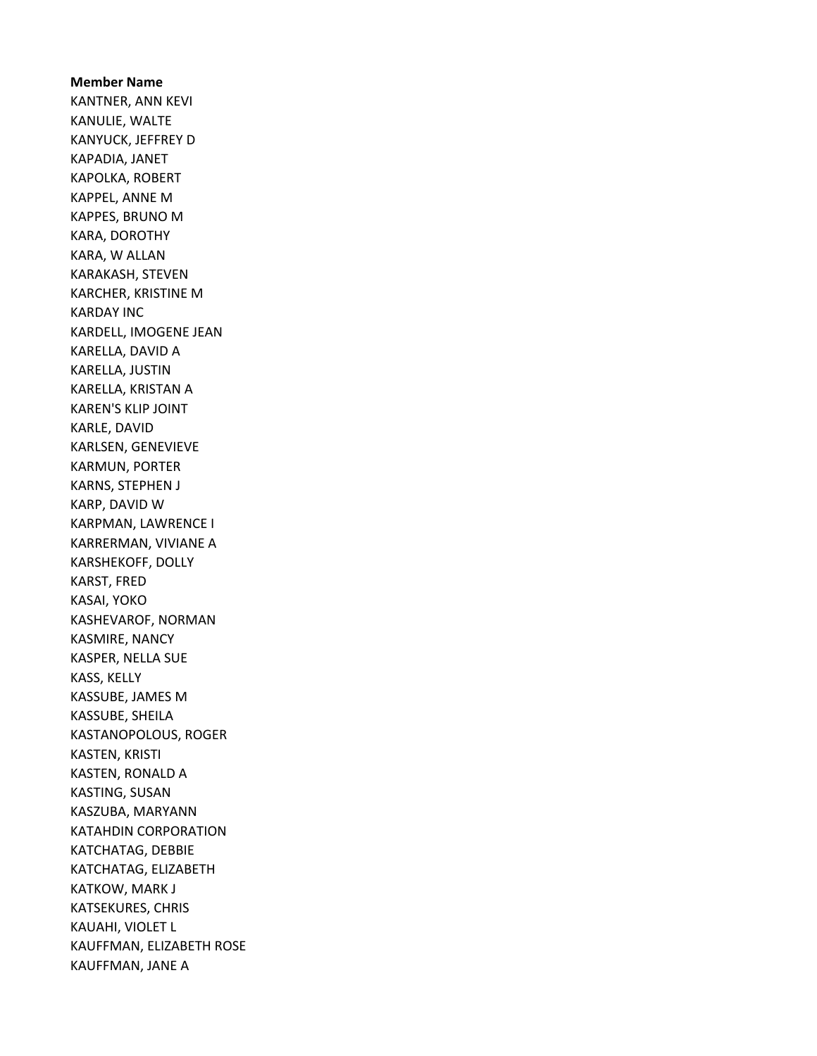Member Name KANTNER, ANN KEVI KANULIE, WALTE KANYUCK, JEFFREY D KAPADIA, JANET KAPOLKA, ROBERT KAPPEL, ANNE M KAPPES, BRUNO M KARA, DOROTHY KARA, W ALLAN KARAKASH, STEVEN KARCHER, KRISTINE M KARDAY INC KARDELL, IMOGENE JEAN KARELLA, DAVID A KARELLA, JUSTIN KARELLA, KRISTAN A KAREN'S KLIP JOINT KARLE, DAVID KARLSEN, GENEVIEVE KARMUN, PORTER KARNS, STEPHEN J KARP, DAVID W KARPMAN, LAWRENCE I KARRERMAN, VIVIANE A KARSHEKOFF, DOLLY KARST, FRED KASAI, YOKO KASHEVAROF, NORMAN KASMIRE, NANCY KASPER, NELLA SUE KASS, KELLY KASSUBE, JAMES M KASSUBE, SHEILA KASTANOPOLOUS, ROGER KASTEN, KRISTI KASTEN, RONALD A KASTING, SUSAN KASZUBA, MARYANN KATAHDIN CORPORATION KATCHATAG, DEBBIE KATCHATAG, ELIZABETH KATKOW, MARK J KATSEKURES, CHRIS KAUAHI, VIOLET L KAUFFMAN, ELIZABETH ROSE KAUFFMAN, JANE A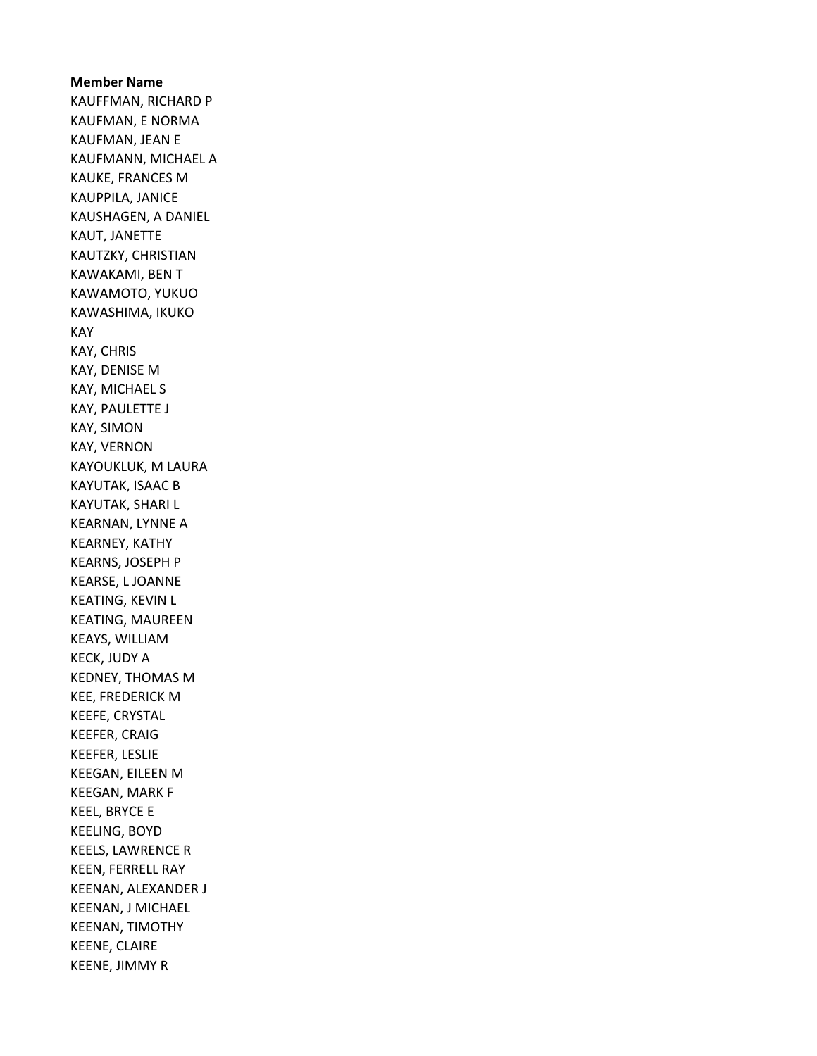Member Name KAUFFMAN, RICHARD P KAUFMAN, E NORMA KAUFMAN, JEAN E KAUFMANN, MICHAEL A KAUKE, FRANCES M KAUPPILA, JANICE KAUSHAGEN, A DANIEL KAUT, JANETTE KAUTZKY, CHRISTIAN KAWAKAMI, BEN T KAWAMOTO, YUKUO KAWASHIMA, IKUKO KAY KAY, CHRIS KAY, DENISE M KAY, MICHAEL S KAY, PAULETTE J KAY, SIMON KAY, VERNON KAYOUKLUK, M LAURA KAYUTAK, ISAAC B KAYUTAK, SHARI L KEARNAN, LYNNE A KEARNEY, KATHY KEARNS, JOSEPH P KEARSE, L JOANNE KEATING, KEVIN L KEATING, MAUREEN KEAYS, WILLIAM KECK, JUDY A KEDNEY, THOMAS M KEE, FREDERICK M KEEFE, CRYSTAL KEEFER, CRAIG KEEFER, LESLIE KEEGAN, EILEEN M KEEGAN, MARK F KEEL, BRYCE E KEELING, BOYD KEELS, LAWRENCE R KEEN, FERRELL RAY KEENAN, ALEXANDER J KEENAN, J MICHAEL KEENAN, TIMOTHY KEENE, CLAIRE KEENE, JIMMY R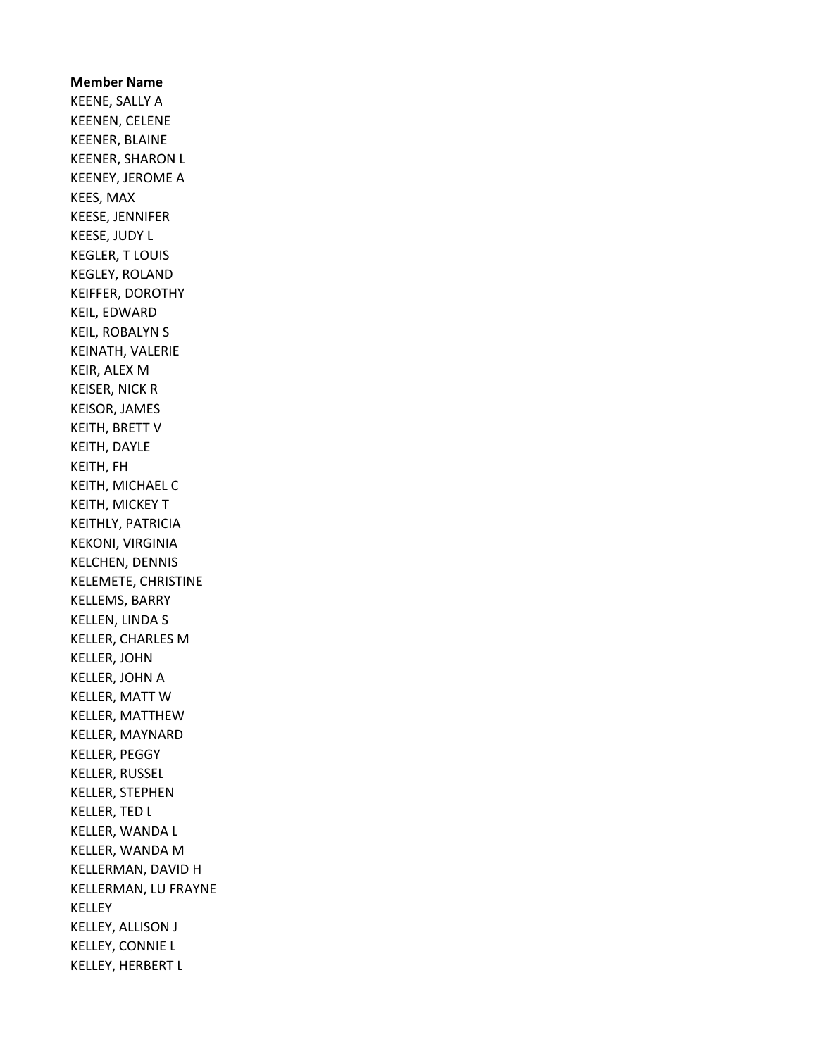Member Name KEENE, SALLY A KEENEN, CELENE KEENER, BLAINE KEENER, SHARON L KEENEY, JEROME A KEES, MAX KEESE, JENNIFER KEESE, JUDY L KEGLER, T LOUIS KEGLEY, ROLAND KEIFFER, DOROTHY KEIL, EDWARD KEIL, ROBALYN S KEINATH, VALERIE KEIR, ALEX M KEISER, NICK R KEISOR, JAMES KEITH, BRETT V KEITH, DAYLE KEITH, FH KEITH, MICHAEL C KEITH, MICKEY T KEITHLY, PATRICIA KEKONI, VIRGINIA KELCHEN, DENNIS KELEMETE, CHRISTINE KELLEMS, BARRY KELLEN, LINDA S KELLER, CHARLES M KELLER, JOHN KELLER, JOHN A KELLER, MATT W KELLER, MATTHEW KELLER, MAYNARD KELLER, PEGGY KELLER, RUSSEL KELLER, STEPHEN KELLER, TED L KELLER, WANDA L KELLER, WANDA M KELLERMAN, DAVID H KELLERMAN, LU FRAYNE KELLEY KELLEY, ALLISON J KELLEY, CONNIE L KELLEY, HERBERT L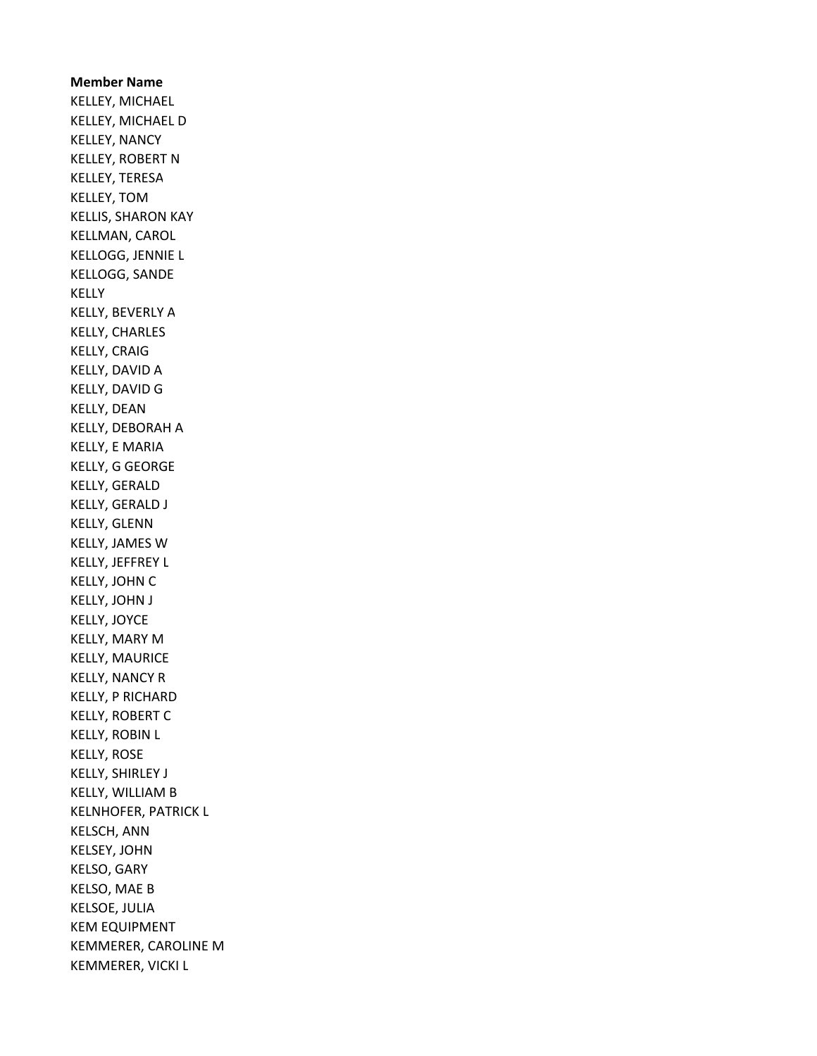Member Name KELLEY, MICHAEL KELLEY, MICHAEL D KELLEY, NANCY KELLEY, ROBERT N KELLEY, TERESA KELLEY, TOM KELLIS, SHARON KAY KELLMAN, CAROL KELLOGG, JENNIE L KELLOGG, SANDE KELLY KELLY, BEVERLY A KELLY, CHARLES KELLY, CRAIG KELLY, DAVID A KELLY, DAVID G KELLY, DEAN KELLY, DEBORAH A KELLY, E MARIA KELLY, G GEORGE KELLY, GERALD KELLY, GERALD J KELLY, GLENN KELLY, JAMES W KELLY, JEFFREY L KELLY, JOHN C KELLY, JOHN J KELLY, JOYCE KELLY, MARY M KELLY, MAURICE KELLY, NANCY R KELLY, P RICHARD KELLY, ROBERT C KELLY, ROBIN L KELLY, ROSE KELLY, SHIRLEY J KELLY, WILLIAM B KELNHOFER, PATRICK L KELSCH, ANN KELSEY, JOHN KELSO, GARY KELSO, MAE B KELSOE, JULIA KEM EQUIPMENT KEMMERER, CAROLINE M KEMMERER, VICKI L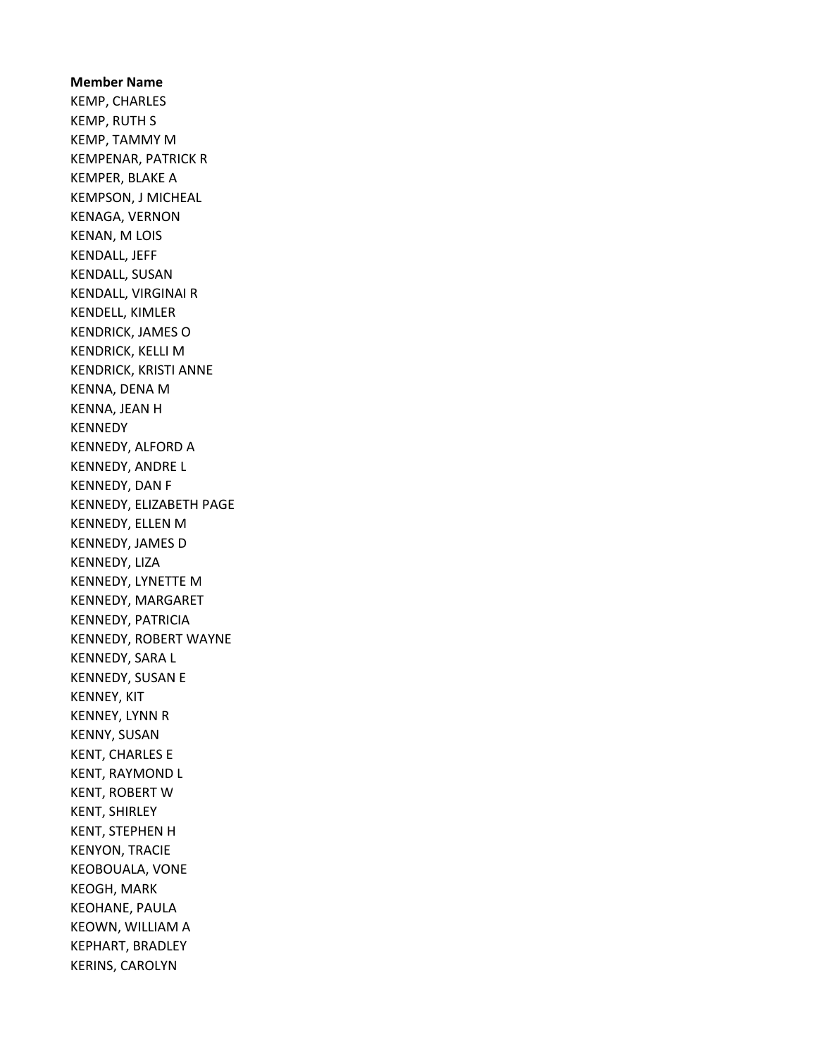Member Name KEMP, CHARLES KEMP, RUTH S KEMP, TAMMY M KEMPENAR, PATRICK R KEMPER, BLAKE A KEMPSON, J MICHEAL KENAGA, VERNON KENAN, M LOIS KENDALL, JEFF KENDALL, SUSAN KENDALL, VIRGINAI R KENDELL, KIMLER KENDRICK, JAMES O KENDRICK, KELLI M KENDRICK, KRISTI ANNE KENNA, DENA M KENNA, JEAN H KENNEDY KENNEDY, ALFORD A KENNEDY, ANDRE L KENNEDY, DAN F KENNEDY, ELIZABETH PAGE KENNEDY, ELLEN M KENNEDY, JAMES D KENNEDY, LIZA KENNEDY, LYNETTE M KENNEDY, MARGARET KENNEDY, PATRICIA KENNEDY, ROBERT WAYNE KENNEDY, SARA L KENNEDY, SUSAN E KENNEY, KIT KENNEY, LYNN R KENNY, SUSAN KENT, CHARLES E KENT, RAYMOND L KENT, ROBERT W KENT, SHIRLEY KENT, STEPHEN H KENYON, TRACIE KEOBOUALA, VONE KEOGH, MARK KEOHANE, PAULA KEOWN, WILLIAM A KEPHART, BRADLEY KERINS, CAROLYN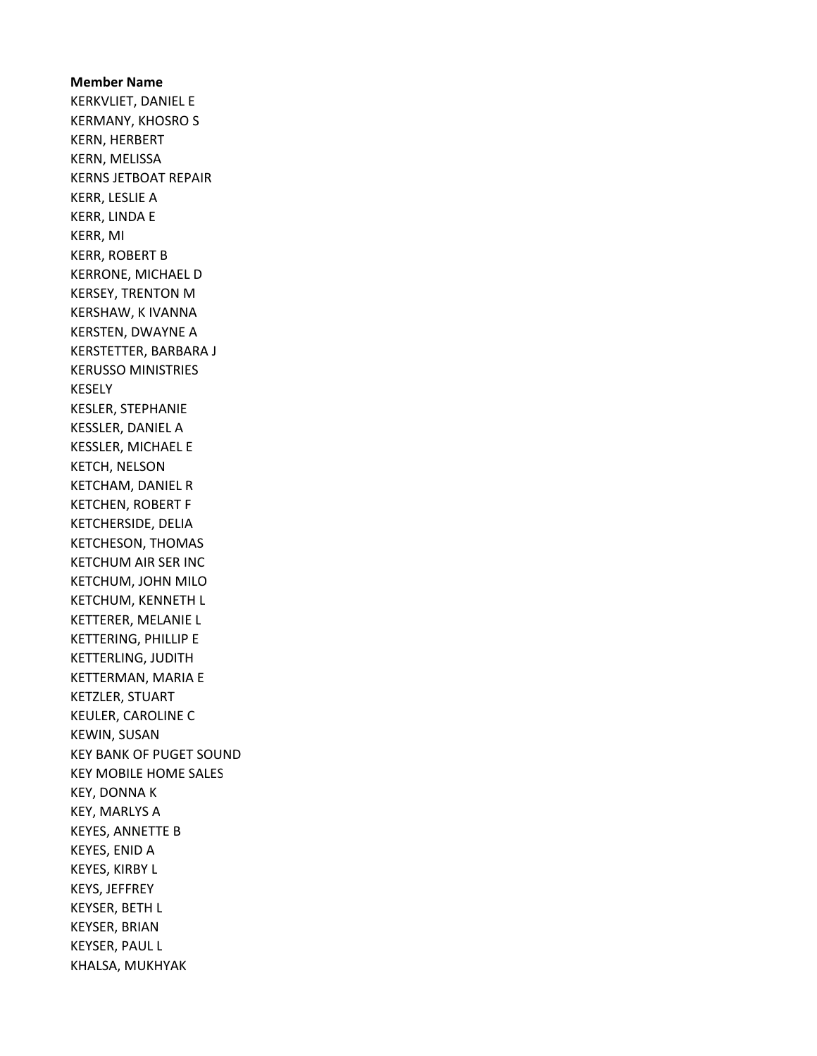Member Name KERKVLIET, DANIEL E KERMANY, KHOSRO S KERN, HERBERT KERN, MELISSA KERNS JETBOAT REPAIR KERR, LESLIE A KERR, LINDA E KERR, MI KERR, ROBERT B KERRONE, MICHAEL D KERSEY, TRENTON M KERSHAW, K IVANNA KERSTEN, DWAYNE A KERSTETTER, BARBARA J KERUSSO MINISTRIES KESELY KESLER, STEPHANIE KESSLER, DANIEL A KESSLER, MICHAEL E KETCH, NELSON KETCHAM, DANIEL R KETCHEN, ROBERT F KETCHERSIDE, DELIA KETCHESON, THOMAS KETCHUM AIR SER INC KETCHUM, JOHN MILO KETCHUM, KENNETH L KETTERER, MELANIE L KETTERING, PHILLIP E KETTERLING, JUDITH KETTERMAN, MARIA E KETZLER, STUART KEULER, CAROLINE C KEWIN, SUSAN KEY BANK OF PUGET SOUND KEY MOBILE HOME SALES KEY, DONNA K KEY, MARLYS A KEYES, ANNETTE B KEYES, ENID A KEYES, KIRBY L KEYS, JEFFREY KEYSER, BETH L KEYSER, BRIAN KEYSER, PAUL L KHALSA, MUKHYAK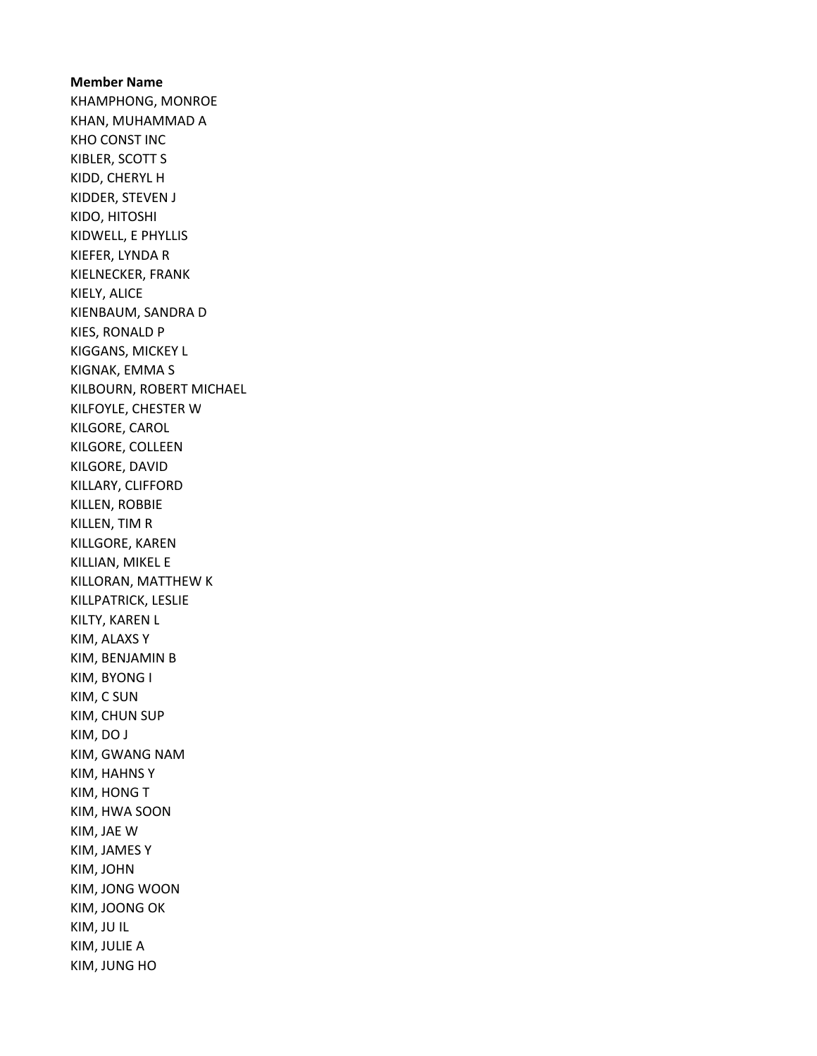Member Name KHAMPHONG, MONROE KHAN, MUHAMMAD A KHO CONST INC KIBLER, SCOTT S KIDD, CHERYL H KIDDER, STEVEN J KIDO, HITOSHI KIDWELL, E PHYLLIS KIEFER, LYNDA R KIELNECKER, FRANK KIELY, ALICE KIENBAUM, SANDRA D KIES, RONALD P KIGGANS, MICKEY L KIGNAK, EMMA S KILBOURN, ROBERT MICHAEL KILFOYLE, CHESTER W KILGORE, CAROL KILGORE, COLLEEN KILGORE, DAVID KILLARY, CLIFFORD KILLEN, ROBBIE KILLEN, TIM R KILLGORE, KAREN KILLIAN, MIKEL E KILLORAN, MATTHEW K KILLPATRICK, LESLIE KILTY, KAREN L KIM, ALAXS Y KIM, BENJAMIN B KIM, BYONG I KIM, C SUN KIM, CHUN SUP KIM, DO J KIM, GWANG NAM KIM, HAHNS Y KIM, HONG T KIM, HWA SOON KIM, JAE W KIM, JAMES Y KIM, JOHN KIM, JONG WOON KIM, JOONG OK KIM, JU IL KIM, JULIE A KIM, JUNG HO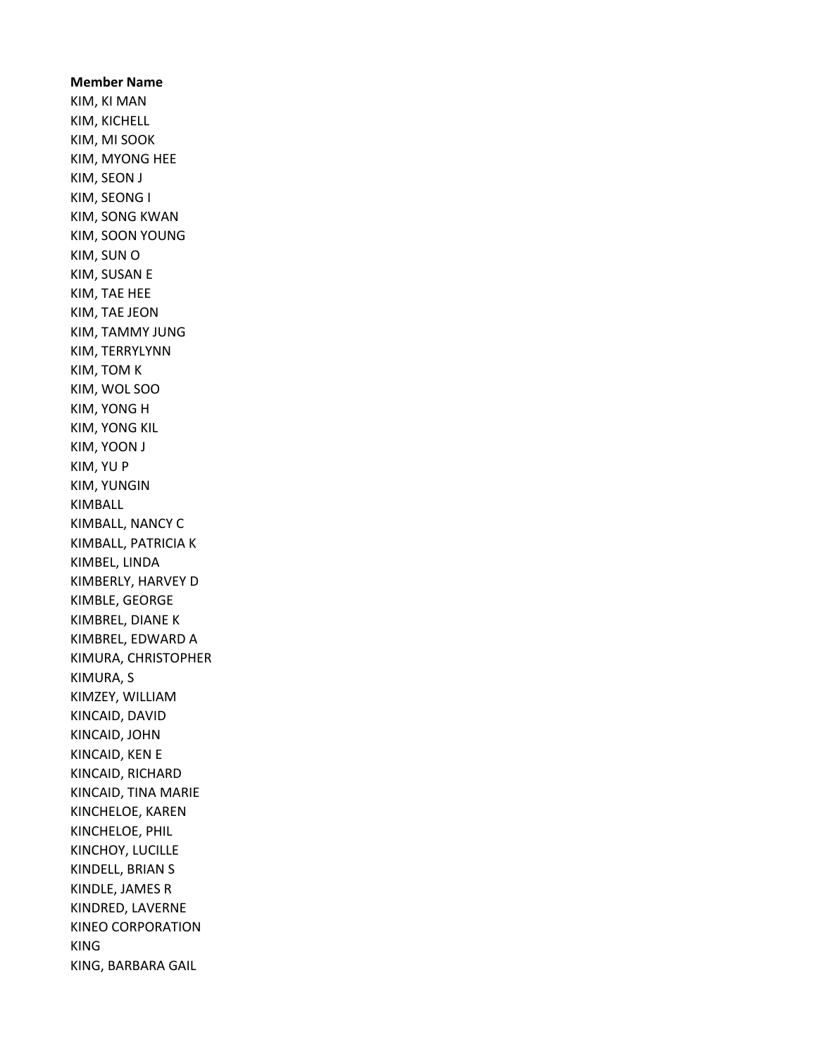Member Name KIM, KI MAN KIM, KICHELL KIM, MI SOOK KIM, MYONG HEE KIM, SEON J KIM, SEONG I KIM, SONG KWAN KIM, SOON YOUNG KIM, SUN O KIM, SUSAN E KIM, TAE HEE KIM, TAE JEON KIM, TAMMY JUNG KIM, TERRYLYNN KIM, TOM K KIM, WOL SOO KIM, YONG H KIM, YONG KIL KIM, YOON J KIM, YU P KIM, YUNGIN KIMBALL KIMBALL, NANCY C KIMBALL, PATRICIA K KIMBEL, LINDA KIMBERLY, HARVEY D KIMBLE, GEORGE KIMBREL, DIANE K KIMBREL, EDWARD A KIMURA, CHRISTOPHER KIMURA, S KIMZEY, WILLIAM KINCAID, DAVID KINCAID, JOHN KINCAID, KEN E KINCAID, RICHARD KINCAID, TINA MARIE KINCHELOE, KAREN KINCHELOE, PHIL KINCHOY, LUCILLE KINDELL, BRIAN S KINDLE, JAMES R KINDRED, LAVERNE KINEO CORPORATION KING KING, BARBARA GAIL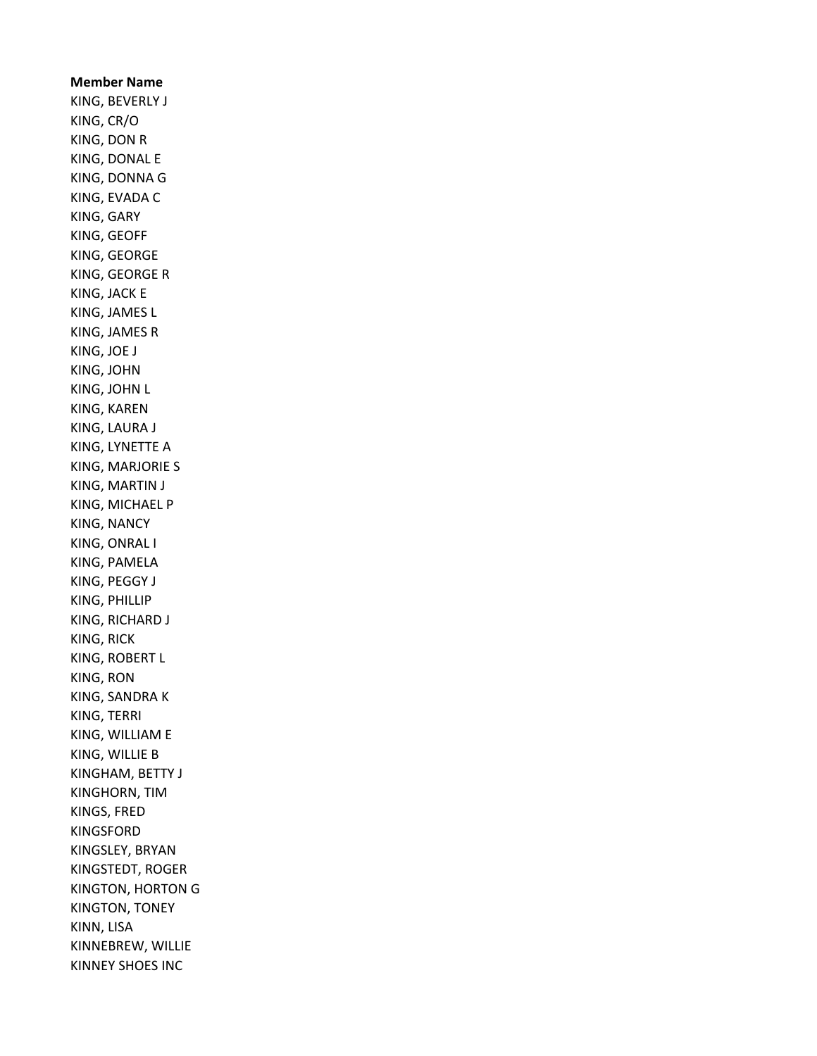Member Name KING, BEVERLY J KING, CR/O KING, DON R KING, DONAL E KING, DONNA G KING, EVADA C KING, GARY KING, GEOFF KING, GEORGE KING, GEORGE R KING, JACK E KING, JAMES L KING, JAMES R KING, JOE J KING, JOHN KING, JOHN L KING, KAREN KING, LAURA J KING, LYNETTE A KING, MARJORIE S KING, MARTIN J KING, MICHAEL P KING, NANCY KING, ONRAL I KING, PAMELA KING, PEGGY J KING, PHILLIP KING, RICHARD J KING, RICK KING, ROBERT L KING, RON KING, SANDRA K KING, TERRI KING, WILLIAM E KING, WILLIE B KINGHAM, BETTY J KINGHORN, TIM KINGS, FRED KINGSFORD KINGSLEY, BRYAN KINGSTEDT, ROGER KINGTON, HORTON G KINGTON, TONEY KINN, LISA KINNEBREW, WILLIE KINNEY SHOES INC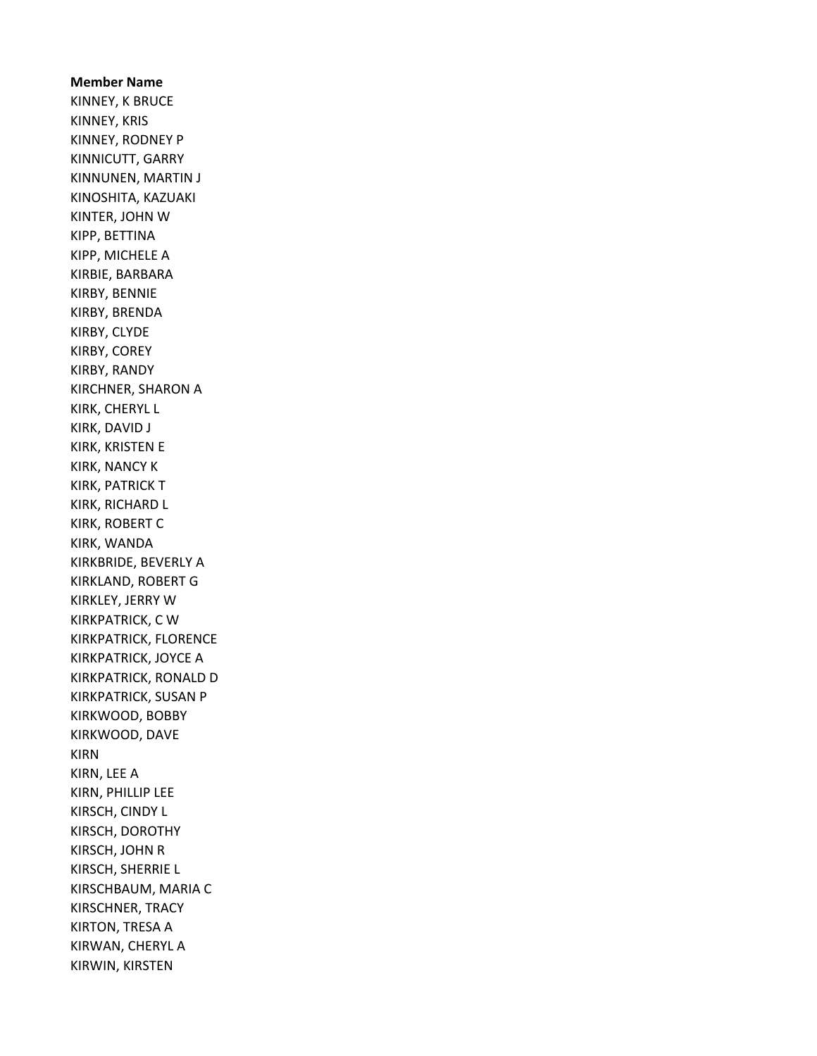Member Name KINNEY, K BRUCE KINNEY, KRIS KINNEY, RODNEY P KINNICUTT, GARRY KINNUNEN, MARTIN J KINOSHITA, KAZUAKI KINTER, JOHN W KIPP, BETTINA KIPP, MICHELE A KIRBIE, BARBARA KIRBY, BENNIE KIRBY, BRENDA KIRBY, CLYDE KIRBY, COREY KIRBY, RANDY KIRCHNER, SHARON A KIRK, CHERYL L KIRK, DAVID J KIRK, KRISTEN E KIRK, NANCY K KIRK, PATRICK T KIRK, RICHARD L KIRK, ROBERT C KIRK, WANDA KIRKBRIDE, BEVERLY A KIRKLAND, ROBERT G KIRKLEY, JERRY W KIRKPATRICK, C W KIRKPATRICK, FLORENCE KIRKPATRICK, JOYCE A KIRKPATRICK, RONALD D KIRKPATRICK, SUSAN P KIRKWOOD, BOBBY KIRKWOOD, DAVE KIRN KIRN, LEE A KIRN, PHILLIP LEE KIRSCH, CINDY L KIRSCH, DOROTHY KIRSCH, JOHN R KIRSCH, SHERRIE L KIRSCHBAUM, MARIA C KIRSCHNER, TRACY KIRTON, TRESA A KIRWAN, CHERYL A KIRWIN, KIRSTEN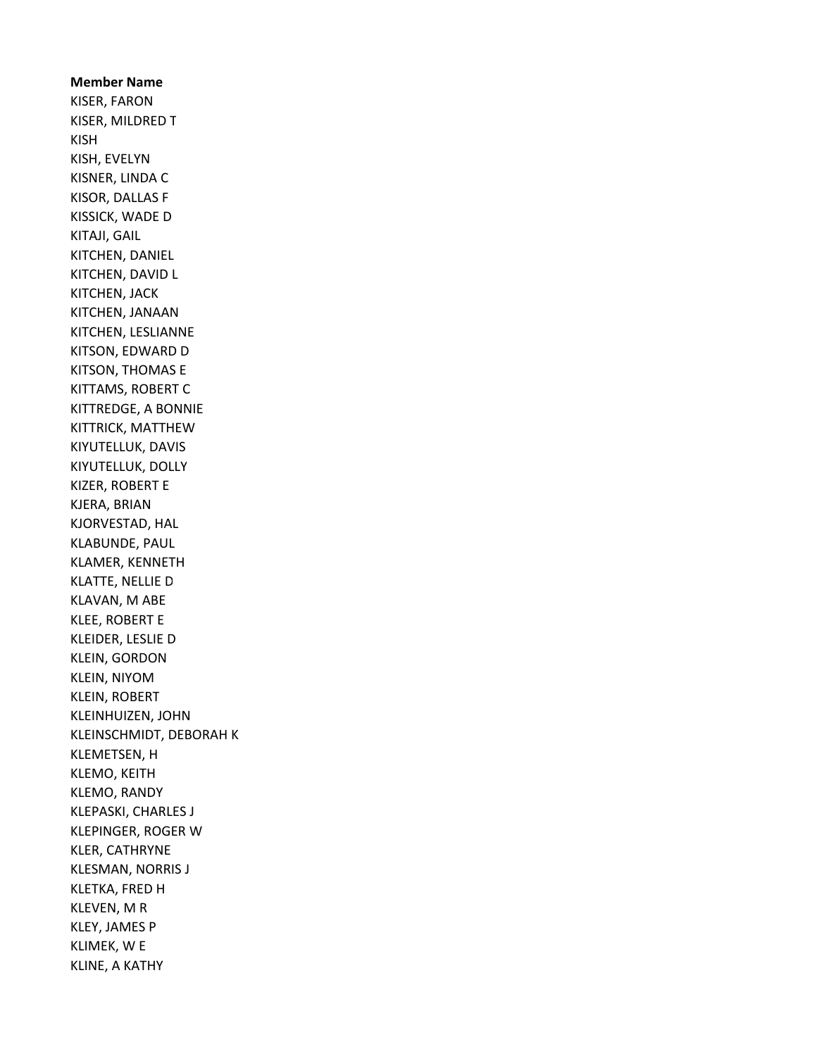Member Name KISER, FARON KISER, MILDRED T KISH KISH, EVELYN KISNER, LINDA C KISOR, DALLAS F KISSICK, WADE D KITAJI, GAIL KITCHEN, DANIEL KITCHEN, DAVID L KITCHEN, JACK KITCHEN, JANAAN KITCHEN, LESLIANNE KITSON, EDWARD D KITSON, THOMAS E KITTAMS, ROBERT C KITTREDGE, A BONNIE KITTRICK, MATTHEW KIYUTELLUK, DAVIS KIYUTELLUK, DOLLY KIZER, ROBERT E KJERA, BRIAN KJORVESTAD, HAL KLABUNDE, PAUL KLAMER, KENNETH KLATTE, NELLIE D KLAVAN, M ABE KLEE, ROBERT E KLEIDER, LESLIE D KLEIN, GORDON KLEIN, NIYOM KLEIN, ROBERT KLEINHUIZEN, JOHN KLEINSCHMIDT, DEBORAH K KLEMETSEN, H KLEMO, KEITH KLEMO, RANDY KLEPASKI, CHARLES J KLEPINGER, ROGER W KLER, CATHRYNE KLESMAN, NORRIS J KLETKA, FRED H KLEVEN, M R KLEY, JAMES P KLIMEK, W E KLINE, A KATHY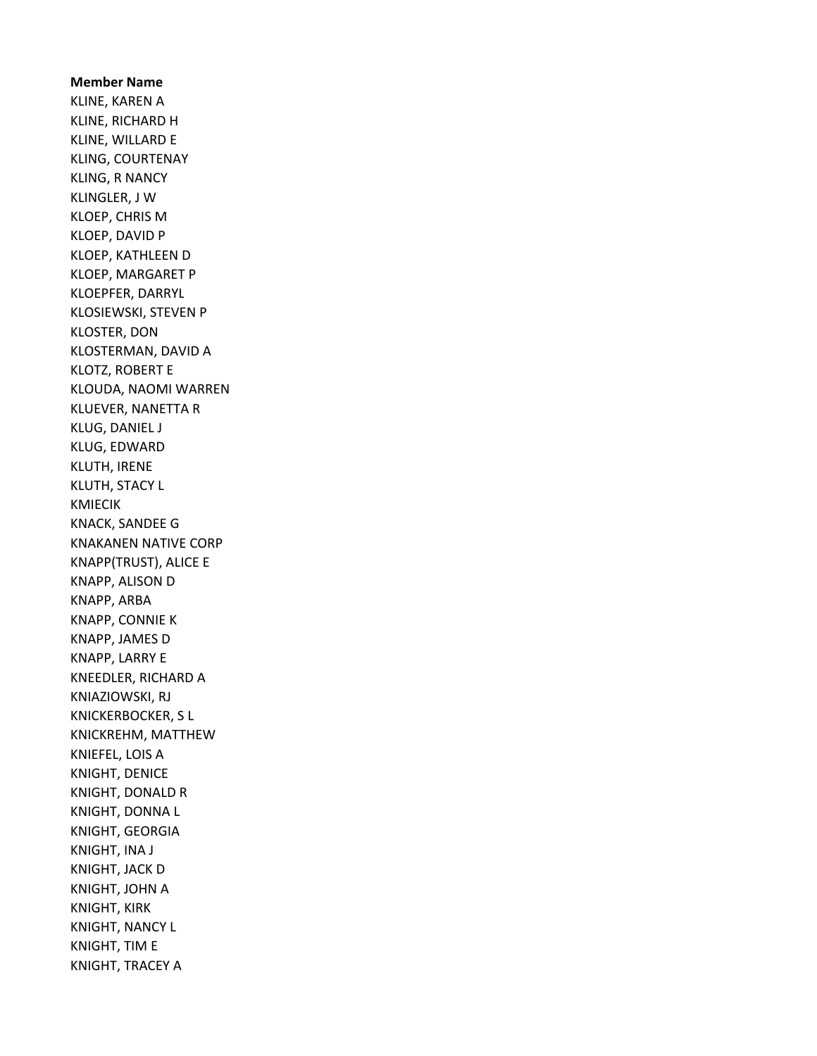Member Name KLINE, KAREN A KLINE, RICHARD H KLINE, WILLARD E KLING, COURTENAY KLING, R NANCY KLINGLER, J W KLOEP, CHRIS M KLOEP, DAVID P KLOEP, KATHLEEN D KLOEP, MARGARET P KLOEPFER, DARRYL KLOSIEWSKI, STEVEN P KLOSTER, DON KLOSTERMAN, DAVID A KLOTZ, ROBERT E KLOUDA, NAOMI WARREN KLUEVER, NANETTA R KLUG, DANIEL J KLUG, EDWARD KLUTH, IRENE KLUTH, STACY L KMIECIK KNACK, SANDEE G KNAKANEN NATIVE CORP KNAPP(TRUST), ALICE E KNAPP, ALISON D KNAPP, ARBA KNAPP, CONNIE K KNAPP, JAMES D KNAPP, LARRY E KNEEDLER, RICHARD A KNIAZIOWSKI, RJ KNICKERBOCKER, S L KNICKREHM, MATTHEW KNIEFEL, LOIS A KNIGHT, DENICE KNIGHT, DONALD R KNIGHT, DONNA L KNIGHT, GEORGIA KNIGHT, INA J KNIGHT, JACK D KNIGHT, JOHN A KNIGHT, KIRK KNIGHT, NANCY L KNIGHT, TIM E KNIGHT, TRACEY A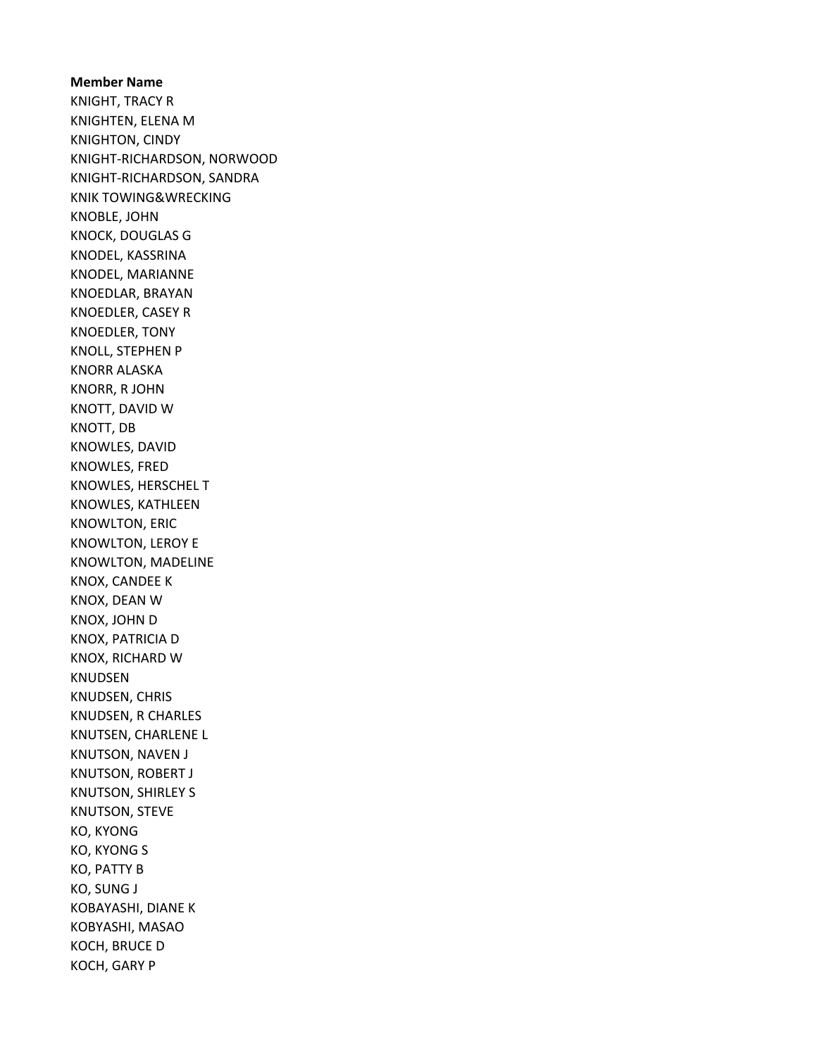Member Name KNIGHT, TRACY R KNIGHTEN, ELENA M KNIGHTON, CINDY KNIGHT-RICHARDSON, NORWOOD KNIGHT-RICHARDSON, SANDRA KNIK TOWING&WRECKING KNOBLE, JOHN KNOCK, DOUGLAS G KNODEL, KASSRINA KNODEL, MARIANNE KNOEDLAR, BRAYAN KNOEDLER, CASEY R KNOEDLER, TONY KNOLL, STEPHEN P KNORR ALASKA KNORR, R JOHN KNOTT, DAVID W KNOTT, DB KNOWLES, DAVID KNOWLES, FRED KNOWLES, HERSCHEL T KNOWLES, KATHLEEN KNOWLTON, ERIC KNOWLTON, LEROY E KNOWLTON, MADELINE KNOX, CANDEE K KNOX, DEAN W KNOX, JOHN D KNOX, PATRICIA D KNOX, RICHARD W KNUDSEN KNUDSEN, CHRIS KNUDSEN, R CHARLES KNUTSEN, CHARLENE L KNUTSON, NAVEN J KNUTSON, ROBERT J KNUTSON, SHIRLEY S KNUTSON, STEVE KO, KYONG KO, KYONG S KO, PATTY B KO, SUNG J KOBAYASHI, DIANE K KOBYASHI, MASAO KOCH, BRUCE D KOCH, GARY P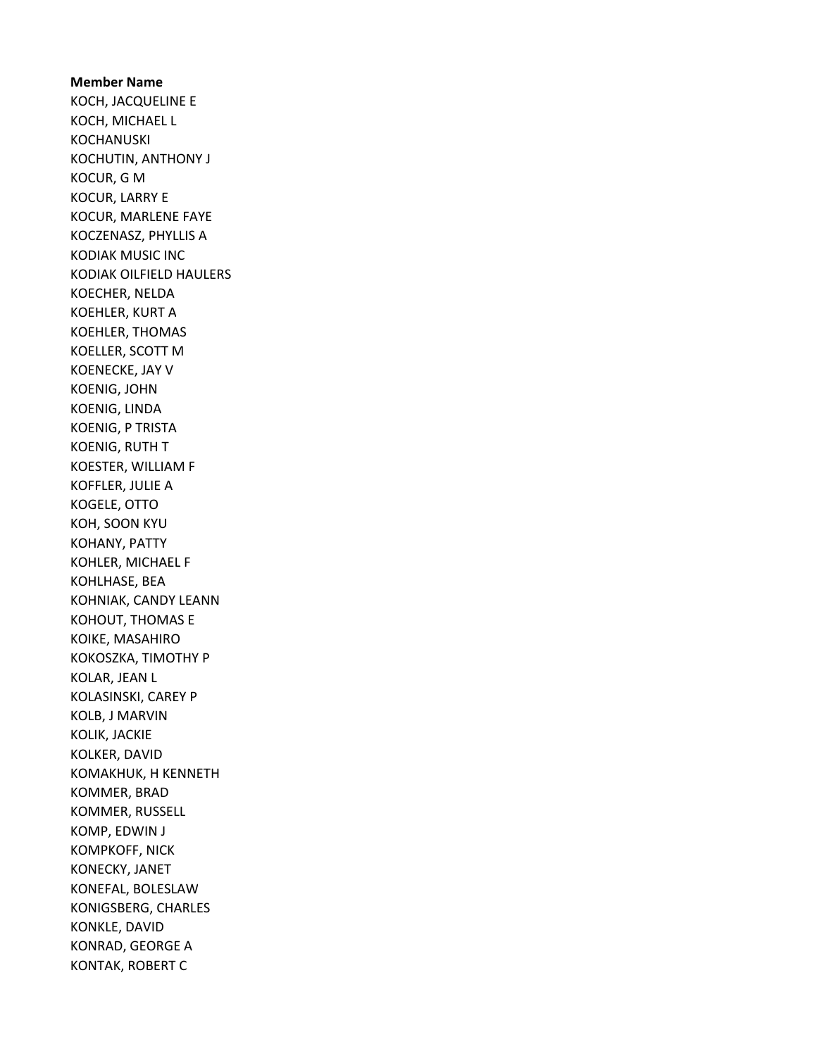Member Name KOCH, JACQUELINE E KOCH, MICHAEL L KOCHANUSKI KOCHUTIN, ANTHONY J KOCUR, G M KOCUR, LARRY E KOCUR, MARLENE FAYE KOCZENASZ, PHYLLIS A KODIAK MUSIC INC KODIAK OILFIELD HAULERS KOECHER, NELDA KOEHLER, KURT A KOEHLER, THOMAS KOELLER, SCOTT M KOENECKE, JAY V KOENIG, JOHN KOENIG, LINDA KOENIG, P TRISTA KOENIG, RUTH T KOESTER, WILLIAM F KOFFLER, JULIE A KOGELE, OTTO KOH, SOON KYU KOHANY, PATTY KOHLER, MICHAEL F KOHLHASE, BEA KOHNIAK, CANDY LEANN KOHOUT, THOMAS E KOIKE, MASAHIRO KOKOSZKA, TIMOTHY P KOLAR, JEAN L KOLASINSKI, CAREY P KOLB, J MARVIN KOLIK, JACKIE KOLKER, DAVID KOMAKHUK, H KENNETH KOMMER, BRAD KOMMER, RUSSELL KOMP, EDWIN J KOMPKOFF, NICK KONECKY, JANET KONEFAL, BOLESLAW KONIGSBERG, CHARLES KONKLE, DAVID KONRAD, GEORGE A KONTAK, ROBERT C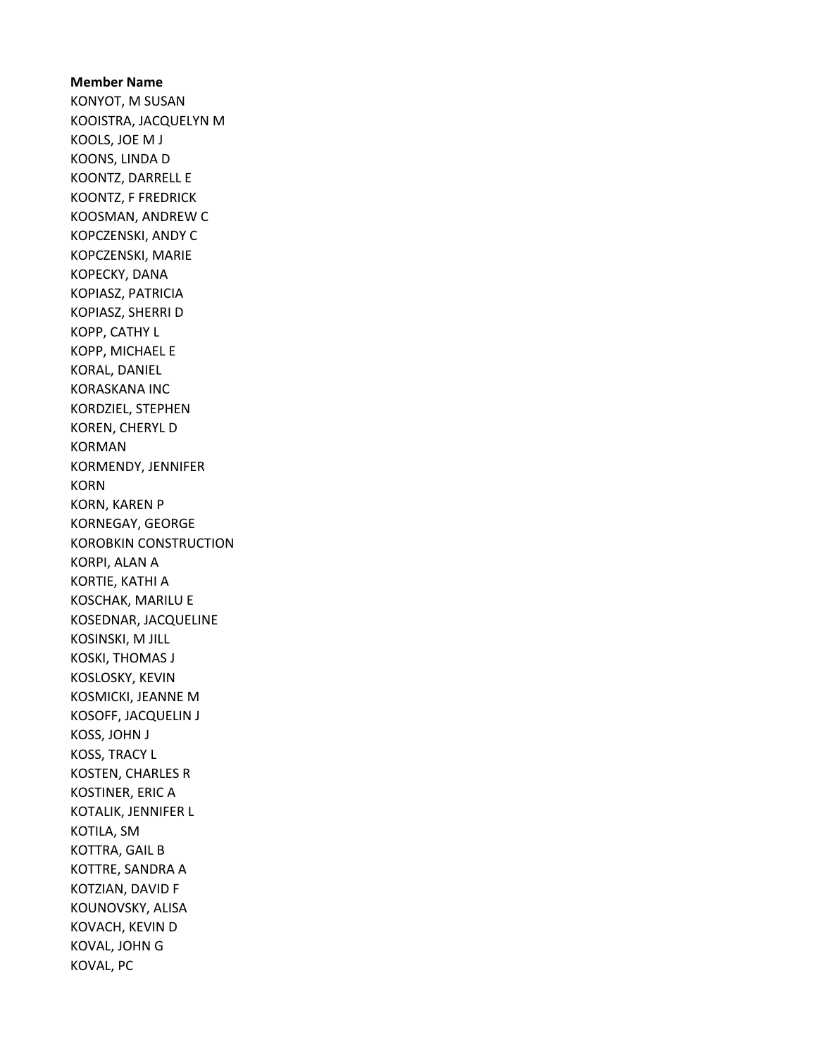# Member Name KONYOT, M SUSAN

KOOISTRA, JACQUELYN M KOOLS, JOE M J KOONS, LINDA D KOONTZ, DARRELL E KOONTZ, F FREDRICK KOOSMAN, ANDREW C KOPCZENSKI, ANDY C KOPCZENSKI, MARIE KOPECKY, DANA KOPIASZ, PATRICIA KOPIASZ, SHERRI D KOPP, CATHY L KOPP, MICHAEL E KORAL, DANIEL KORASKANA INC KORDZIEL, STEPHEN KOREN, CHERYL D KORMAN KORMENDY, JENNIFER KORN KORN, KAREN P KORNEGAY, GEORGE KOROBKIN CONSTRUCTION KORPI, ALAN A KORTIE, KATHI A KOSCHAK, MARILU E KOSEDNAR, JACQUELINE KOSINSKI, M JILL KOSKI, THOMAS J KOSLOSKY, KEVIN KOSMICKI, JEANNE M KOSOFF, JACQUELIN J KOSS, JOHN J KOSS, TRACY L KOSTEN, CHARLES R KOSTINER, ERIC A KOTALIK, JENNIFER L KOTILA, SM KOTTRA, GAIL B KOTTRE, SANDRA A KOTZIAN, DAVID F KOUNOVSKY, ALISA KOVACH, KEVIN D KOVAL, JOHN G KOVAL, PC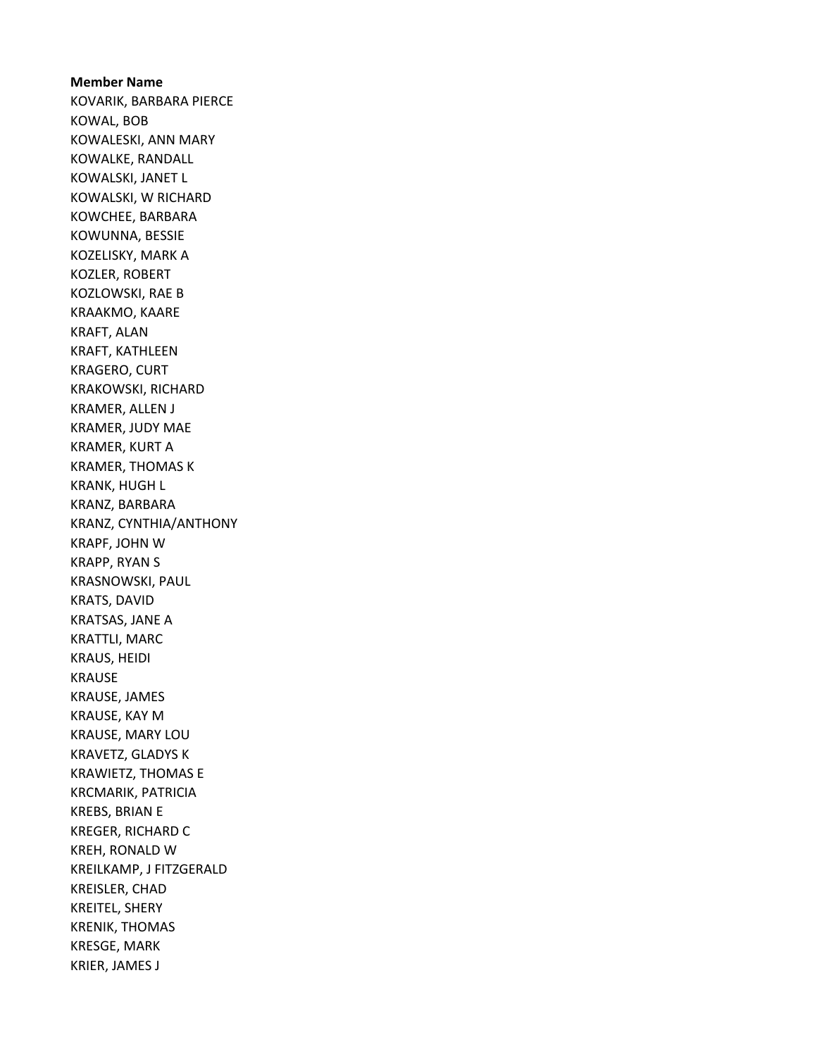Member Name KOVARIK, BARBARA PIERCE KOWAL, BOB KOWALESKI, ANN MARY KOWALKE, RANDALL KOWALSKI, JANET L KOWALSKI, W RICHARD KOWCHEE, BARBARA KOWUNNA, BESSIE KOZELISKY, MARK A KOZLER, ROBERT KOZLOWSKI, RAE B KRAAKMO, KAARE KRAFT, ALAN KRAFT, KATHLEEN KRAGERO, CURT KRAKOWSKI, RICHARD KRAMER, ALLEN J KRAMER, JUDY MAE KRAMER, KURT A KRAMER, THOMAS K KRANK, HUGH L KRANZ, BARBARA KRANZ, CYNTHIA/ANTHONY KRAPF, JOHN W KRAPP, RYAN S KRASNOWSKI, PAUL KRATS, DAVID KRATSAS, JANE A KRATTLI, MARC KRAUS, HEIDI KRAUSE KRAUSE, JAMES KRAUSE, KAY M KRAUSE, MARY LOU KRAVETZ, GLADYS K KRAWIETZ, THOMAS E KRCMARIK, PATRICIA KREBS, BRIAN E KREGER, RICHARD C KREH, RONALD W KREILKAMP, J FITZGERALD KREISLER, CHAD KREITEL, SHERY KRENIK, THOMAS KRESGE, MARK KRIER, JAMES J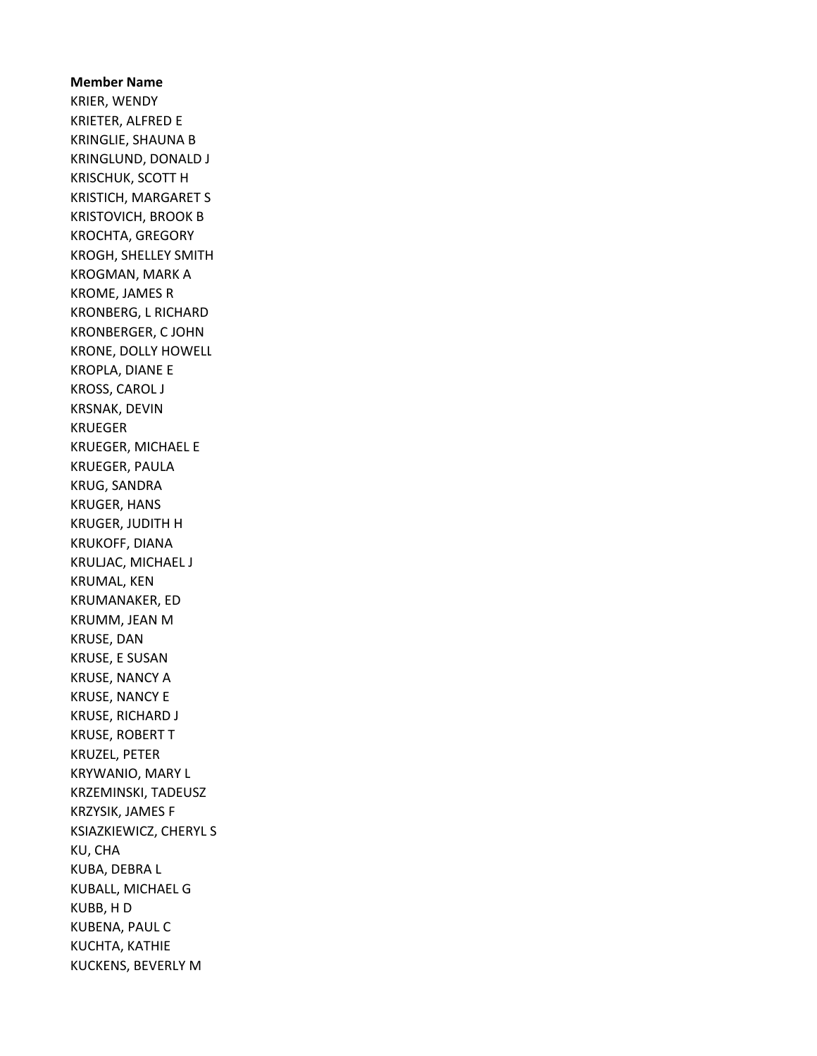Member Name KRIER, WENDY KRIETER, ALFRED E KRINGLIE, SHAUNA B KRINGLUND, DONALD J KRISCHUK, SCOTT H KRISTICH, MARGARET S KRISTOVICH, BROOK B KROCHTA, GREGORY KROGH, SHELLEY SMITH KROGMAN, MARK A KROME, JAMES R KRONBERG, L RICHARD KRONBERGER, C JOHN KRONE, DOLLY HOWELL KROPLA, DIANE E KROSS, CAROL J KRSNAK, DEVIN KRUEGER KRUEGER, MICHAEL E KRUEGER, PAULA KRUG, SANDRA KRUGER, HANS KRUGER, JUDITH H KRUKOFF, DIANA KRULJAC, MICHAEL J KRUMAL, KEN KRUMANAKER, ED KRUMM, JEAN M KRUSE, DAN KRUSE, E SUSAN KRUSE, NANCY A KRUSE, NANCY E KRUSE, RICHARD J KRUSE, ROBERT T KRUZEL, PETER KRYWANIO, MARY L KRZEMINSKI, TADEUSZ KRZYSIK, JAMES F KSIAZKIEWICZ, CHERYL S KU, CHA KUBA, DEBRA L KUBALL, MICHAEL G KUBB, H D KUBENA, PAUL C KUCHTA, KATHIE KUCKENS, BEVERLY M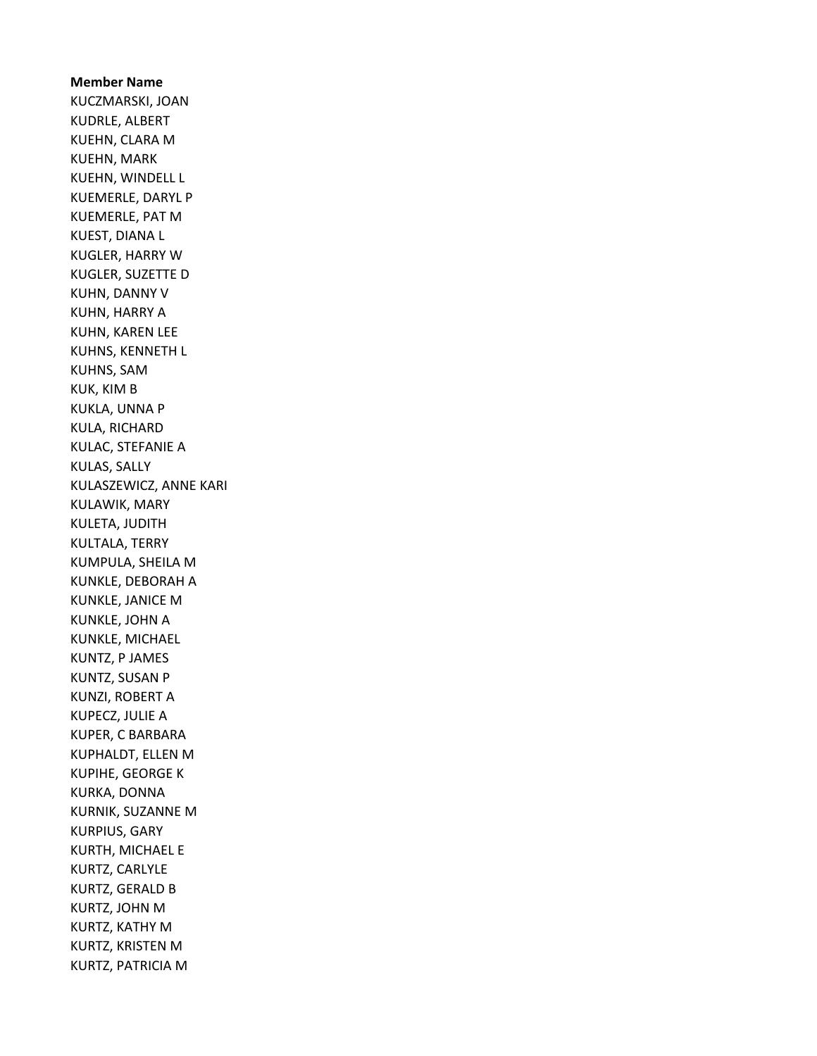Member Name KUCZMARSKI, JOAN KUDRLE, ALBERT KUEHN, CLARA M KUEHN, MARK KUEHN, WINDELL L KUEMERLE, DARYL P KUEMERLE, PAT M KUEST, DIANA L KUGLER, HARRY W KUGLER, SUZETTE D KUHN, DANNY V KUHN, HARRY A KUHN, KAREN LEE KUHNS, KENNETH L KUHNS, SAM KUK, KIM B KUKLA, UNNA P KULA, RICHARD KULAC, STEFANIE A KULAS, SALLY KULASZEWICZ, ANNE KARI KULAWIK, MARY KULETA, JUDITH KULTALA, TERRY KUMPULA, SHEILA M KUNKLE, DEBORAH A KUNKLE, JANICE M KUNKLE, JOHN A KUNKLE, MICHAEL KUNTZ, P JAMES KUNTZ, SUSAN P KUNZI, ROBERT A KUPECZ, JULIE A KUPER, C BARBARA KUPHALDT, ELLEN M KUPIHE, GEORGE K KURKA, DONNA KURNIK, SUZANNE M KURPIUS, GARY KURTH, MICHAEL E KURTZ, CARLYLE KURTZ, GERALD B KURTZ, JOHN M KURTZ, KATHY M KURTZ, KRISTEN M KURTZ, PATRICIA M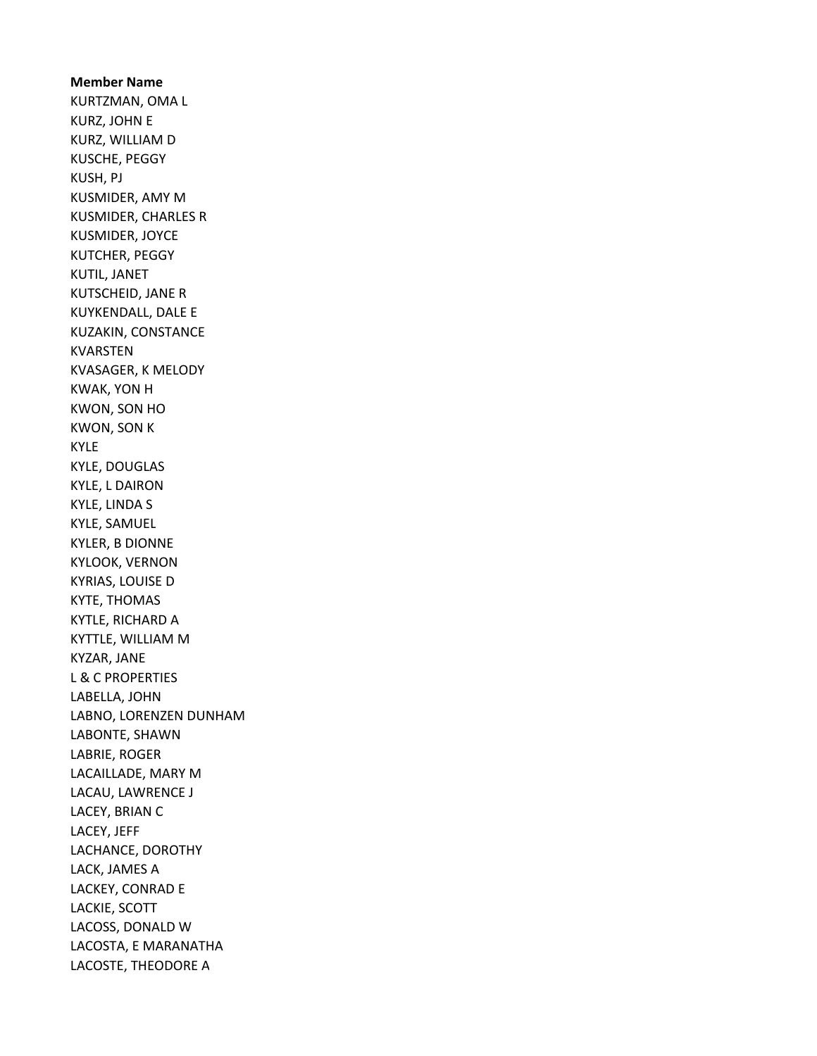Member Name KURTZMAN, OMA L KURZ, JOHN E KURZ, WILLIAM D KUSCHE, PEGGY KUSH, PJ KUSMIDER, AMY M KUSMIDER, CHARLES R KUSMIDER, JOYCE KUTCHER, PEGGY KUTIL, JANET KUTSCHEID, JANE R KUYKENDALL, DALE E KUZAKIN, CONSTANCE KVARSTEN KVASAGER, K MELODY KWAK, YON H KWON, SON HO KWON, SON K KYLE KYLE, DOUGLAS KYLE, L DAIRON KYLE, LINDA S KYLE, SAMUEL KYLER, B DIONNE KYLOOK, VERNON KYRIAS, LOUISE D KYTE, THOMAS KYTLE, RICHARD A KYTTLE, WILLIAM M KYZAR, JANE L & C PROPERTIES LABELLA, JOHN LABNO, LORENZEN DUNHAM LABONTE, SHAWN LABRIE, ROGER LACAILLADE, MARY M LACAU, LAWRENCE J LACEY, BRIAN C LACEY, JEFF LACHANCE, DOROTHY LACK, JAMES A LACKEY, CONRAD E LACKIE, SCOTT LACOSS, DONALD W LACOSTA, E MARANATHA LACOSTE, THEODORE A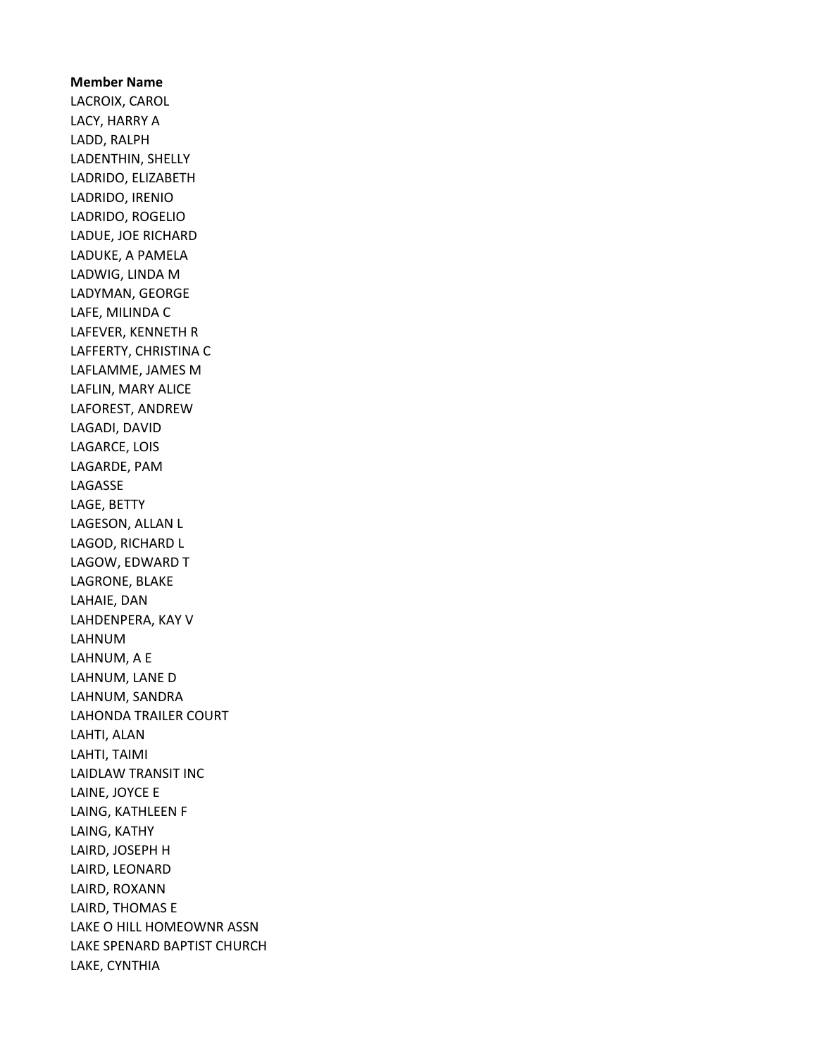Member Name LACROIX, CAROL LACY, HARRY A LADD, RALPH LADENTHIN, SHELLY LADRIDO, ELIZABETH LADRIDO, IRENIO LADRIDO, ROGELIO LADUE, JOE RICHARD LADUKE, A PAMELA LADWIG, LINDA M LADYMAN, GEORGE LAFE, MILINDA C LAFEVER, KENNETH R LAFFERTY, CHRISTINA C LAFLAMME, JAMES M LAFLIN, MARY ALICE LAFOREST, ANDREW LAGADI, DAVID LAGARCE, LOIS LAGARDE, PAM LAGASSE LAGE, BETTY LAGESON, ALLAN L LAGOD, RICHARD L LAGOW, EDWARD T LAGRONE, BLAKE LAHAIE, DAN LAHDENPERA, KAY V LAHNUM LAHNUM, A E LAHNUM, LANE D LAHNUM, SANDRA LAHONDA TRAILER COURT LAHTI, ALAN LAHTI, TAIMI LAIDLAW TRANSIT INC LAINE, JOYCE E LAING, KATHLEEN F LAING, KATHY LAIRD, JOSEPH H LAIRD, LEONARD LAIRD, ROXANN LAIRD, THOMAS E LAKE O HILL HOMEOWNR ASSN LAKE SPENARD BAPTIST CHURCH LAKE, CYNTHIA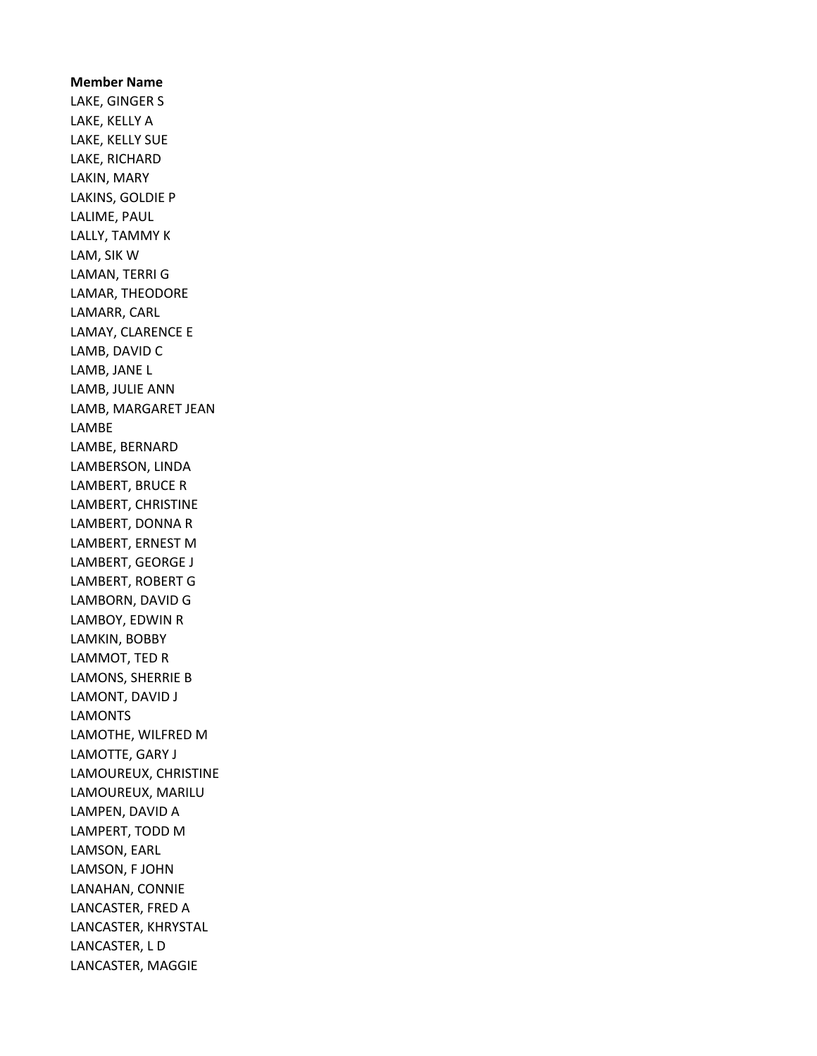Member Name LAKE, GINGER S LAKE, KELLY A LAKE, KELLY SUE LAKE, RICHARD LAKIN, MARY LAKINS, GOLDIE P LALIME, PAUL LALLY, TAMMY K LAM, SIK W LAMAN, TERRI G LAMAR, THEODORE LAMARR, CARL LAMAY, CLARENCE E LAMB, DAVID C LAMB, JANE L LAMB, JULIE ANN LAMB, MARGARET JEAN LAMBE LAMBE, BERNARD LAMBERSON, LINDA LAMBERT, BRUCE R LAMBERT, CHRISTINE LAMBERT, DONNA R LAMBERT, ERNEST M LAMBERT, GEORGE J LAMBERT, ROBERT G LAMBORN, DAVID G LAMBOY, EDWIN R LAMKIN, BOBBY LAMMOT, TED R LAMONS, SHERRIE B LAMONT, DAVID J LAMONTS LAMOTHE, WILFRED M LAMOTTE, GARY J LAMOUREUX, CHRISTINE LAMOUREUX, MARILU LAMPEN, DAVID A LAMPERT, TODD M LAMSON, EARL LAMSON, F JOHN LANAHAN, CONNIE LANCASTER, FRED A LANCASTER, KHRYSTAL LANCASTER, L D LANCASTER, MAGGIE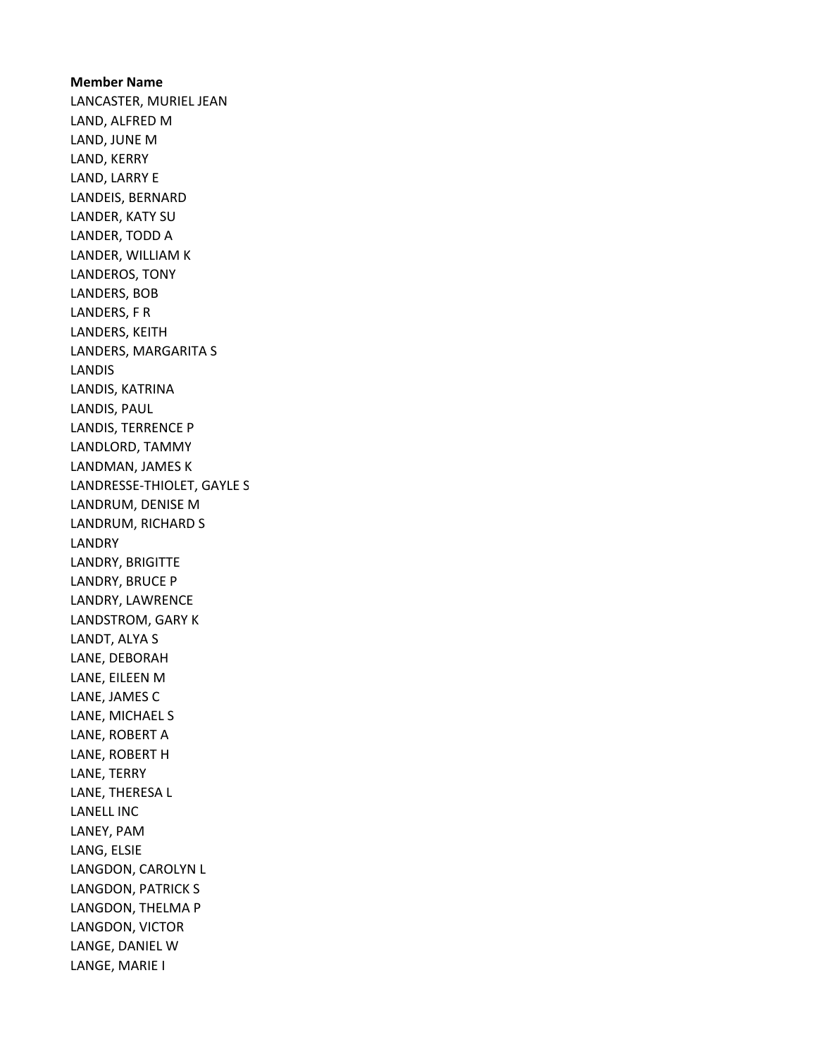Member Name LANCASTER, MURIEL JEAN LAND, ALFRED M LAND, JUNE M LAND, KERRY LAND, LARRY E LANDEIS, BERNARD LANDER, KATY SU LANDER, TODD A LANDER, WILLIAM K LANDEROS, TONY LANDERS, BOB LANDERS, F R LANDERS, KEITH LANDERS, MARGARITA S LANDIS LANDIS, KATRINA LANDIS, PAUL LANDIS, TERRENCE P LANDLORD, TAMMY LANDMAN, JAMES K LANDRESSE-THIOLET, GAYLE S LANDRUM, DENISE M LANDRUM, RICHARD S LANDRY LANDRY, BRIGITTE LANDRY, BRUCE P LANDRY, LAWRENCE LANDSTROM, GARY K LANDT, ALYA S LANE, DEBORAH LANE, EILEEN M LANE, JAMES C LANE, MICHAEL S LANE, ROBERT A LANE, ROBERT H LANE, TERRY LANE, THERESA L LANELL INC LANEY, PAM LANG, ELSIE LANGDON, CAROLYN L LANGDON, PATRICK S LANGDON, THELMA P LANGDON, VICTOR LANGE, DANIEL W LANGE, MARIE I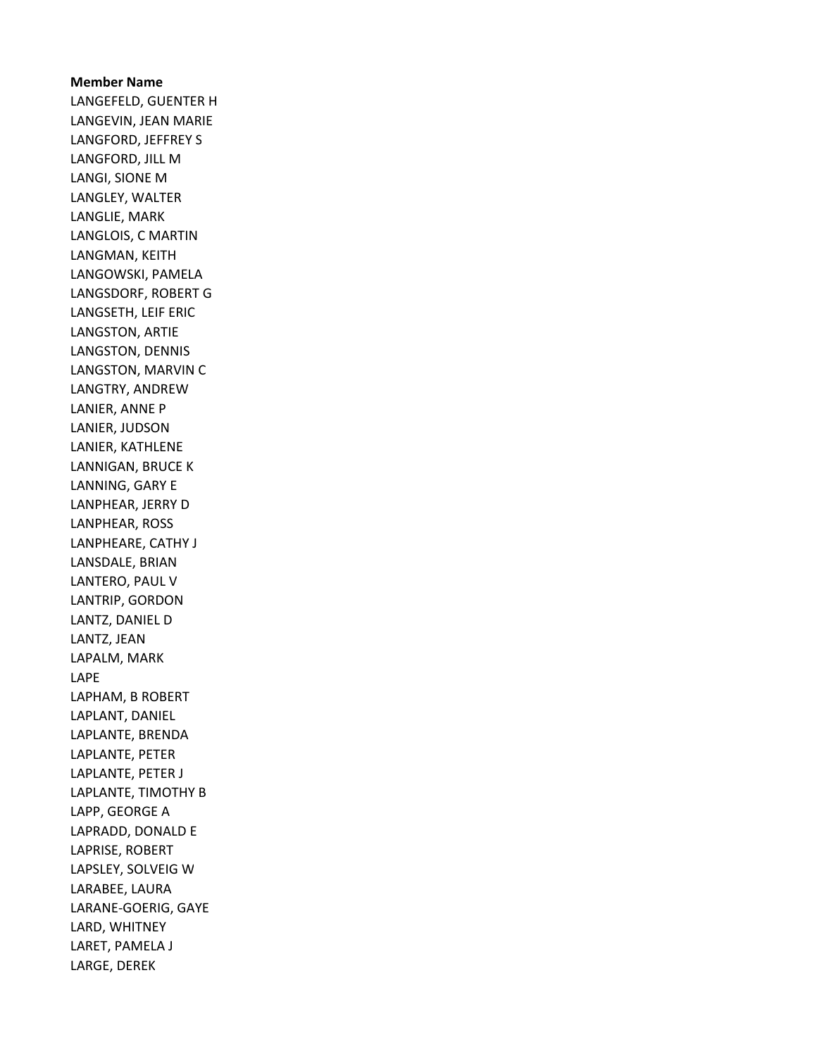## Member Name LANGEFELD, GUENTER H LANGEVIN, JEAN MARIE LANGFORD, JEFFREY S LANGFORD, JILL M LANGI, SIONE M LANGLEY, WALTER LANGLIE, MARK LANGLOIS, C MARTIN LANGMAN, KEITH LANGOWSKI, PAMELA LANGSDORF, ROBERT G LANGSETH, LEIF ERIC LANGSTON, ARTIE LANGSTON, DENNIS LANGSTON, MARVIN C LANGTRY, ANDREW LANIER, ANNE P LANIER, JUDSON LANIER, KATHLENE LANNIGAN, BRUCE K LANNING, GARY E LANPHEAR, JERRY D LANPHEAR, ROSS LANPHEARE, CATHY J LANSDALE, BRIAN LANTERO, PAUL V LANTRIP, GORDON LANTZ, DANIEL D LANTZ, JEAN LAPALM, MARK LAPE LAPHAM, B ROBERT LAPLANT, DANIEL LAPLANTE, BRENDA LAPLANTE, PETER LAPLANTE, PETER J LAPLANTE, TIMOTHY B LAPP, GEORGE A LAPRADD, DONALD E LAPRISE, ROBERT LAPSLEY, SOLVEIG W LARABEE, LAURA LARANE-GOERIG, GAYE LARD, WHITNEY LARET, PAMELA J LARGE, DEREK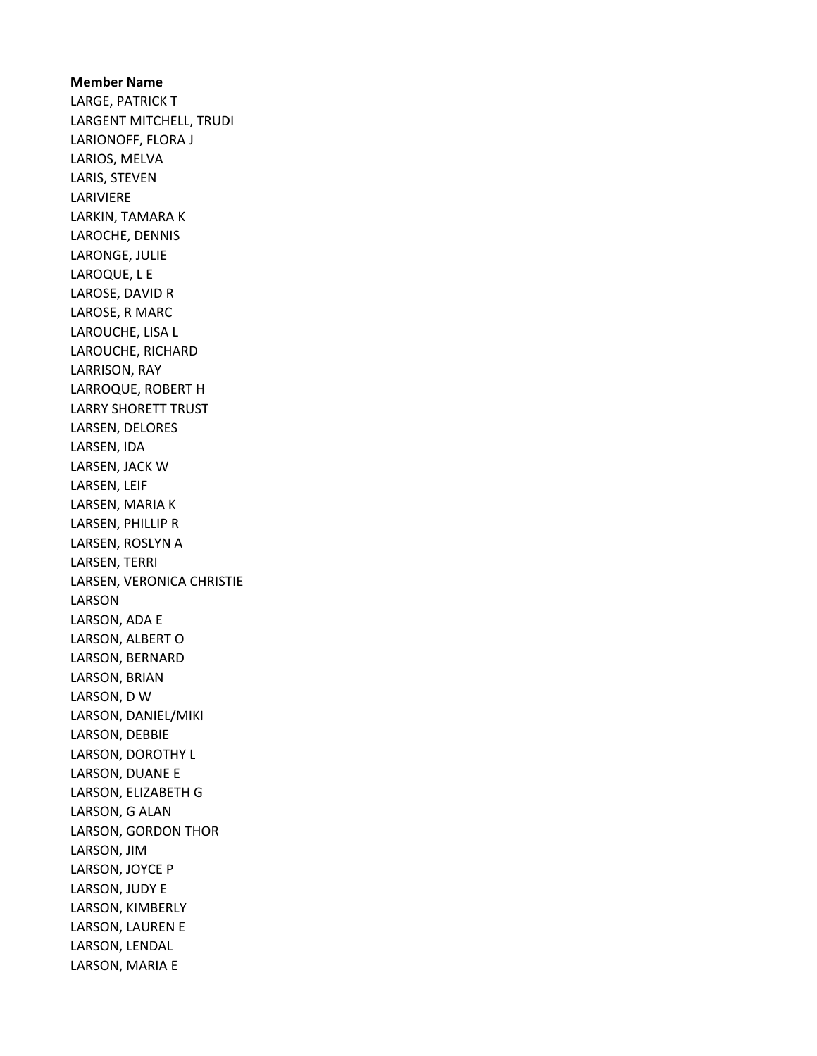Member Name LARGE, PATRICK T LARGENT MITCHELL, TRUDI LARIONOFF, FLORA J LARIOS, MELVA LARIS, STEVEN LARIVIERE LARKIN, TAMARA K LAROCHE, DENNIS LARONGE, JULIE LAROQUE, L E LAROSE, DAVID R LAROSE, R MARC LAROUCHE, LISA L LAROUCHE, RICHARD LARRISON, RAY LARROQUE, ROBERT H LARRY SHORETT TRUST LARSEN, DELORES LARSEN, IDA LARSEN, JACK W LARSEN, LEIF LARSEN, MARIA K LARSEN, PHILLIP R LARSEN, ROSLYN A LARSEN, TERRI LARSEN, VERONICA CHRISTIE LARSON LARSON, ADA E LARSON, ALBERT O LARSON, BERNARD LARSON, BRIAN LARSON, D W LARSON, DANIEL/MIKI LARSON, DEBBIE LARSON, DOROTHY L LARSON, DUANE E LARSON, ELIZABETH G LARSON, G ALAN LARSON, GORDON THOR LARSON, JIM LARSON, JOYCE P LARSON, JUDY E LARSON, KIMBERLY LARSON, LAUREN E LARSON, LENDAL LARSON, MARIA E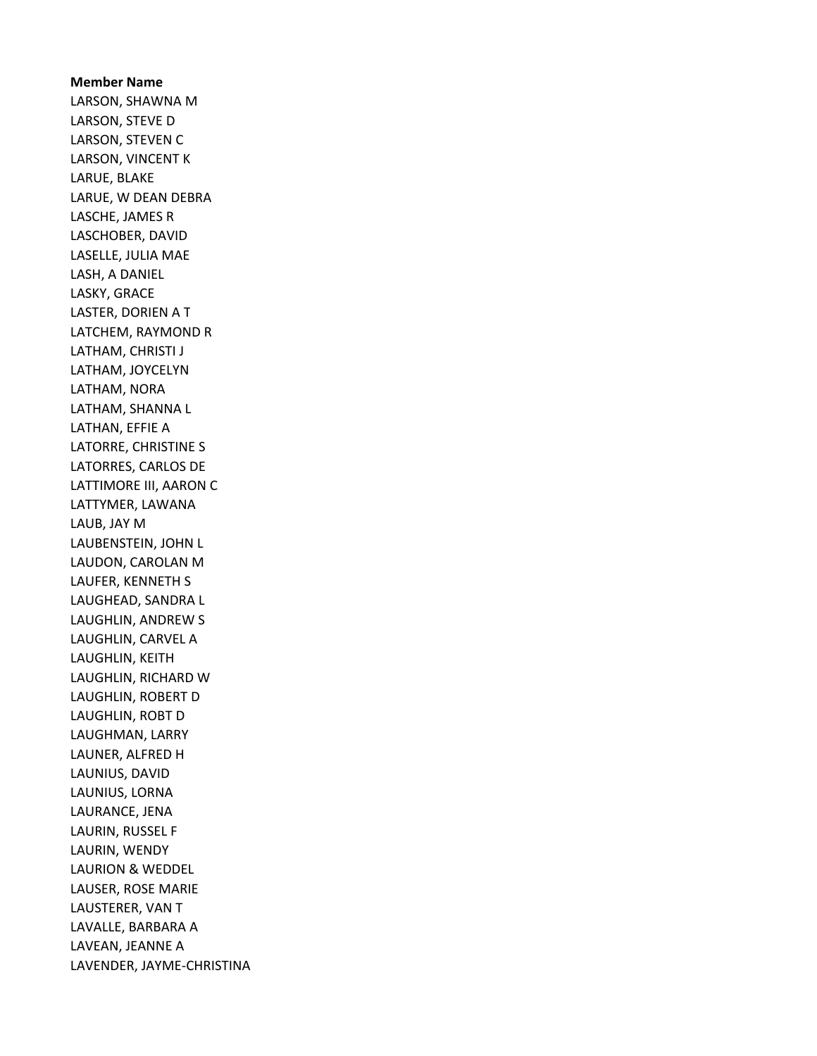Member Name LARSON, SHAWNA M LARSON, STEVE D LARSON, STEVEN C LARSON, VINCENT K LARUE, BLAKE LARUE, W DEAN DEBRA LASCHE, JAMES R LASCHOBER, DAVID LASELLE, JULIA MAE LASH, A DANIEL LASKY, GRACE LASTER, DORIEN A T LATCHEM, RAYMOND R LATHAM, CHRISTI J LATHAM, JOYCELYN LATHAM, NORA LATHAM, SHANNA L LATHAN, EFFIE A LATORRE, CHRISTINE S LATORRES, CARLOS DE LATTIMORE III, AARON C LATTYMER, LAWANA LAUB, JAY M LAUBENSTEIN, JOHN L LAUDON, CAROLAN M LAUFER, KENNETH S LAUGHEAD, SANDRA L LAUGHLIN, ANDREW S LAUGHLIN, CARVEL A LAUGHLIN, KEITH LAUGHLIN, RICHARD W LAUGHLIN, ROBERT D LAUGHLIN, ROBT D LAUGHMAN, LARRY LAUNER, ALFRED H LAUNIUS, DAVID LAUNIUS, LORNA LAURANCE, JENA LAURIN, RUSSEL F LAURIN, WENDY LAURION & WEDDEL LAUSER, ROSE MARIE LAUSTERER, VAN T LAVALLE, BARBARA A LAVEAN, JEANNE A LAVENDER, JAYME-CHRISTINA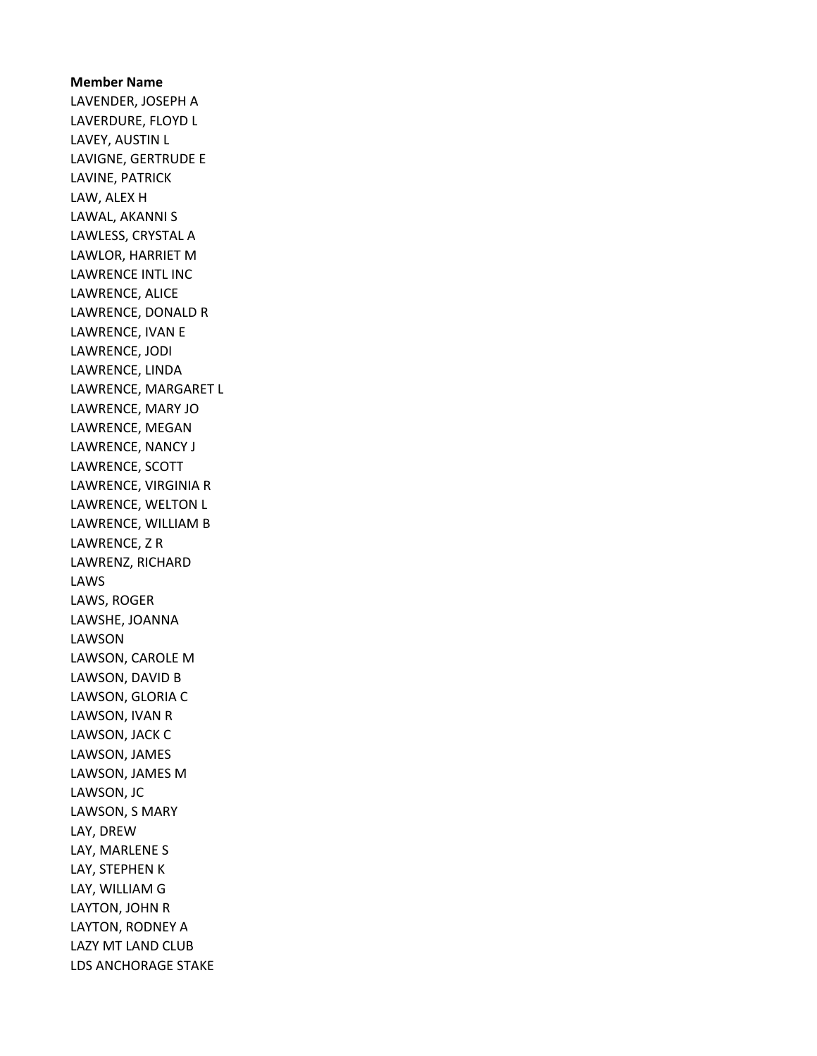Member Name LAVENDER, JOSEPH A LAVERDURE, FLOYD L LAVEY, AUSTIN L LAVIGNE, GERTRUDE E LAVINE, PATRICK LAW, ALEX H LAWAL, AKANNI S LAWLESS, CRYSTAL A LAWLOR, HARRIET M LAWRENCE INTL INC LAWRENCE, ALICE LAWRENCE, DONALD R LAWRENCE, IVAN E LAWRENCE, JODI LAWRENCE, LINDA LAWRENCE, MARGARET L LAWRENCE, MARY JO LAWRENCE, MEGAN LAWRENCE, NANCY J LAWRENCE, SCOTT LAWRENCE, VIRGINIA R LAWRENCE, WELTON L LAWRENCE, WILLIAM B LAWRENCE, Z R LAWRENZ, RICHARD LAWS LAWS, ROGER LAWSHE, JOANNA LAWSON LAWSON, CAROLE M LAWSON, DAVID B LAWSON, GLORIA C LAWSON, IVAN R LAWSON, JACK C LAWSON, JAMES LAWSON, JAMES M LAWSON, JC LAWSON, S MARY LAY, DREW LAY, MARLENE S LAY, STEPHEN K LAY, WILLIAM G LAYTON, JOHN R LAYTON, RODNEY A LAZY MT LAND CLUB LDS ANCHORAGE STAKE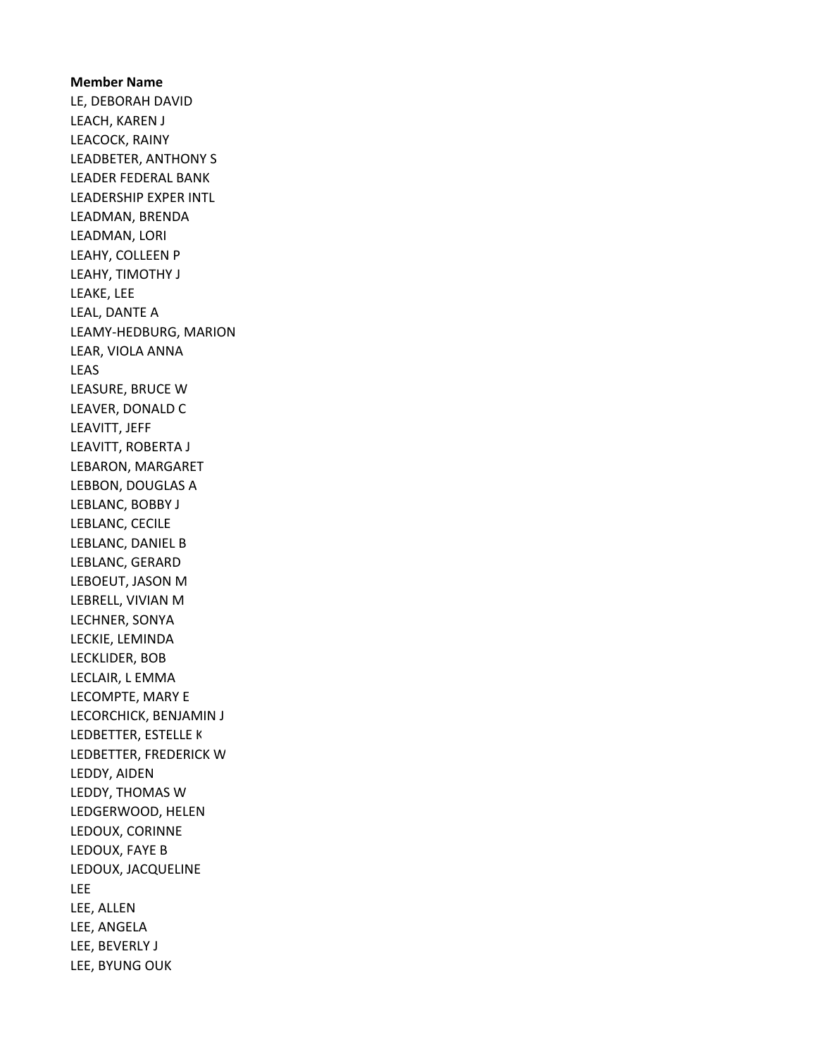Member Name LE, DEBORAH DAVID LEACH, KAREN J LEACOCK, RAINY LEADBETER, ANTHONY S LEADER FEDERAL BANK LEADERSHIP EXPER INTL LEADMAN, BRENDA LEADMAN, LORI LEAHY, COLLEEN P LEAHY, TIMOTHY J LEAKE, LEE LEAL, DANTE A LEAMY-HEDBURG, MARION LEAR, VIOLA ANNA LEAS LEASURE, BRUCE W LEAVER, DONALD C LEAVITT, JEFF LEAVITT, ROBERTA J LEBARON, MARGARET LEBBON, DOUGLAS A LEBLANC, BOBBY J LEBLANC, CECILE LEBLANC, DANIEL B LEBLANC, GERARD LEBOEUT, JASON M LEBRELL, VIVIAN M LECHNER, SONYA LECKIE, LEMINDA LECKLIDER, BOB LECLAIR, L EMMA LECOMPTE, MARY E LECORCHICK, BENJAMIN J LEDBETTER, ESTELLE K LEDBETTER, FREDERICK W LEDDY, AIDEN LEDDY, THOMAS W LEDGERWOOD, HELEN LEDOUX, CORINNE LEDOUX, FAYE B LEDOUX, JACQUELINE LEE LEE, ALLEN LEE, ANGELA LEE, BEVERLY J LEE, BYUNG OUK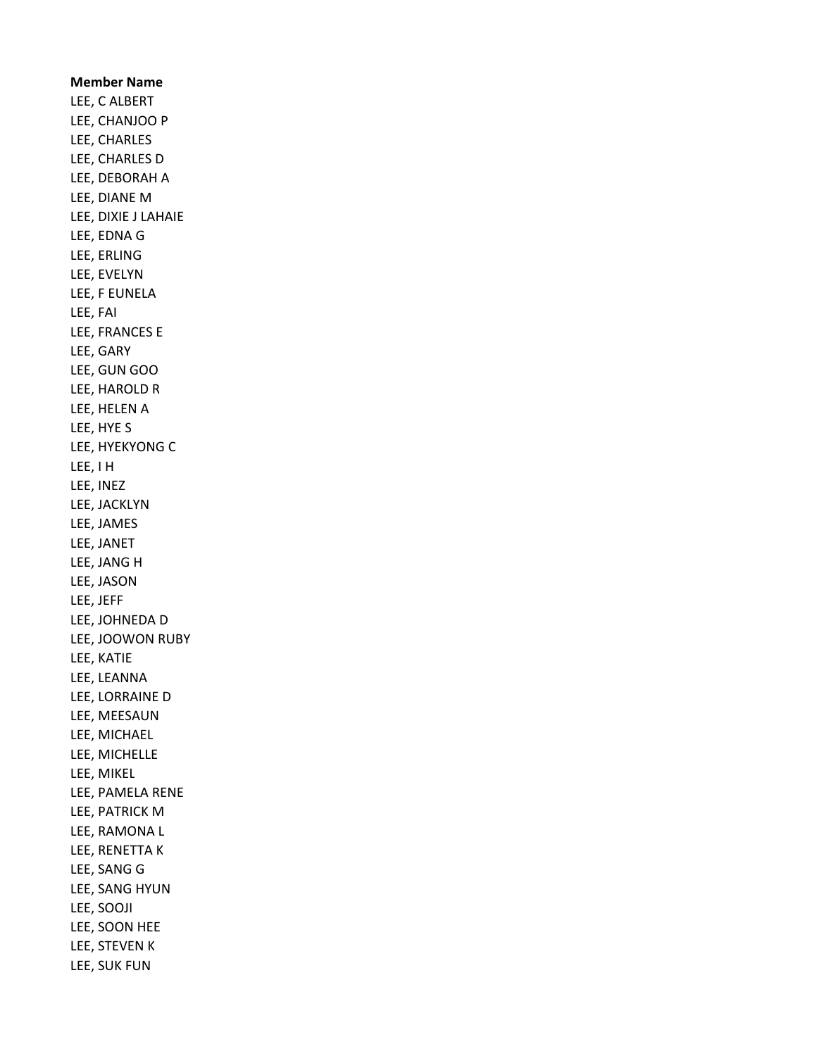Member Name LEE, C ALBERT LEE, CHANJOO P LEE, CHARLES LEE, CHARLES D LEE, DEBORAH A LEE, DIANE M LEE, DIXIE J LAHAIE LEE, EDNA G LEE, ERLING LEE, EVELYN LEE, F EUNELA LEE, FAI LEE, FRANCES E LEE, GARY LEE, GUN GOO LEE, HAROLD R LEE, HELEN A LEE, HYE S LEE, HYEKYONG C LEE, I H LEE, INEZ LEE, JACKLYN LEE, JAMES LEE, JANET LEE, JANG H LEE, JASON LEE, JEFF LEE, JOHNEDA D LEE, JOOWON RUBY LEE, KATIE LEE, LEANNA LEE, LORRAINE D LEE, MEESAUN LEE, MICHAEL LEE, MICHELLE LEE, MIKEL LEE, PAMELA RENE LEE, PATRICK M LEE, RAMONA L LEE, RENETTA K LEE, SANG G LEE, SANG HYUN LEE, SOOJI LEE, SOON HEE LEE, STEVEN K LEE, SUK FUN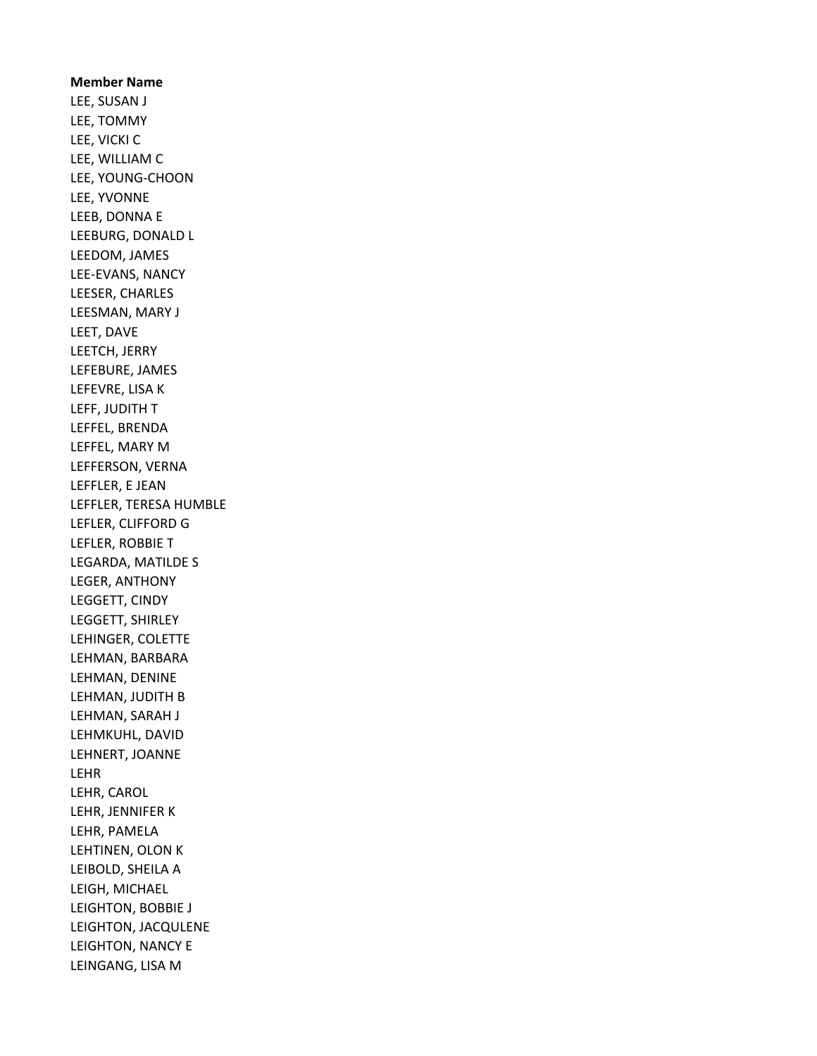Member Name LEE, SUSAN J LEE, TOMMY LEE, VICKI C LEE, WILLIAM C LEE, YOUNG-CHOON LEE, YVONNE LEEB, DONNA E LEEBURG, DONALD L LEEDOM, JAMES LEE-EVANS, NANCY LEESER, CHARLES LEESMAN, MARY J LEET, DAVE LEETCH, JERRY LEFEBURE, JAMES LEFEVRE, LISA K LEFF, JUDITH T LEFFEL, BRENDA LEFFEL, MARY M LEFFERSON, VERNA LEFFLER, E JEAN LEFFLER, TERESA HUMBLE LEFLER, CLIFFORD G LEFLER, ROBBIE T LEGARDA, MATILDE S LEGER, ANTHONY LEGGETT, CINDY LEGGETT, SHIRLEY LEHINGER, COLETTE LEHMAN, BARBARA LEHMAN, DENINE LEHMAN, JUDITH B LEHMAN, SARAH J LEHMKUHL, DAVID LEHNERT, JOANNE LEHR LEHR, CAROL LEHR, JENNIFER K LEHR, PAMELA LEHTINEN, OLON K LEIBOLD, SHEILA A LEIGH, MICHAEL LEIGHTON, BOBBIE J LEIGHTON, JACQULENE LEIGHTON, NANCY E LEINGANG, LISA M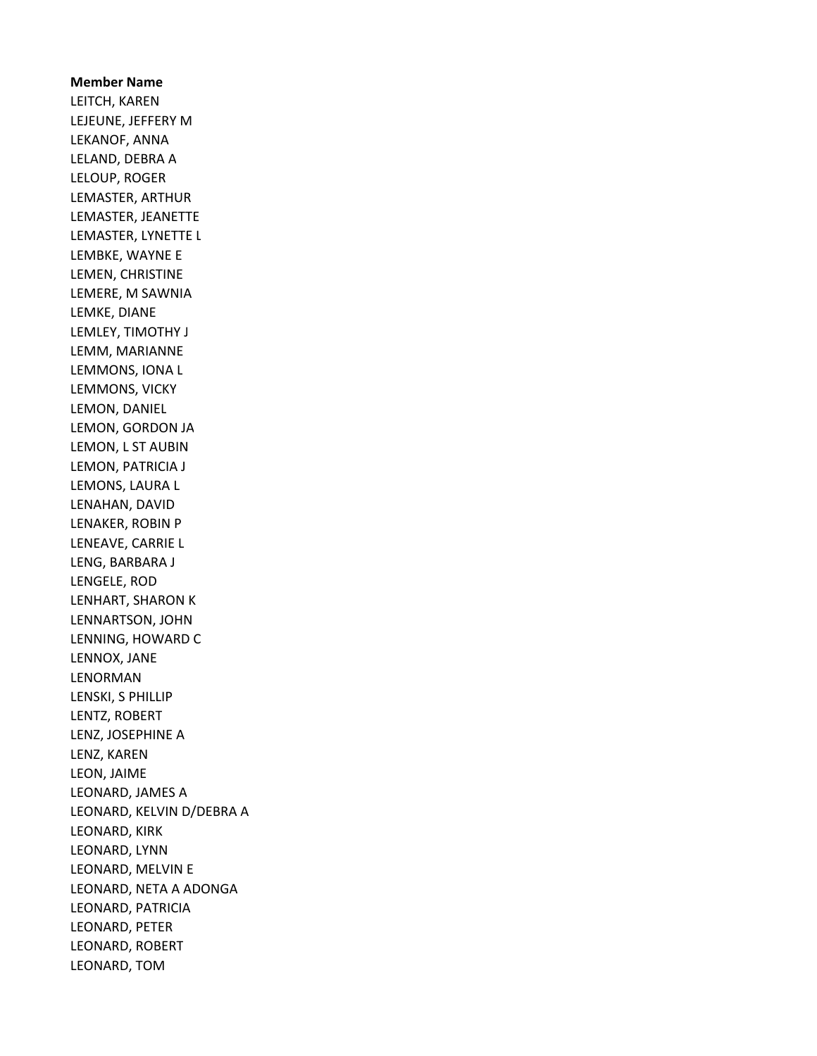Member Name LEITCH, KAREN LEJEUNE, JEFFERY M LEKANOF, ANNA LELAND, DEBRA A LELOUP, ROGER LEMASTER, ARTHUR LEMASTER, JEANETTE LEMASTER, LYNETTE L LEMBKE, WAYNE E LEMEN, CHRISTINE LEMERE, M SAWNIA LEMKE, DIANE LEMLEY, TIMOTHY J LEMM, MARIANNE LEMMONS, IONA L LEMMONS, VICKY LEMON, DANIEL LEMON, GORDON JA LEMON, L ST AUBIN LEMON, PATRICIA J LEMONS, LAURA L LENAHAN, DAVID LENAKER, ROBIN P LENEAVE, CARRIE L LENG, BARBARA J LENGELE, ROD LENHART, SHARON K LENNARTSON, JOHN LENNING, HOWARD C LENNOX, JANE LENORMAN LENSKI, S PHILLIP LENTZ, ROBERT LENZ, JOSEPHINE A LENZ, KAREN LEON, JAIME LEONARD, JAMES A LEONARD, KELVIN D/DEBRA A LEONARD, KIRK LEONARD, LYNN LEONARD, MELVIN E LEONARD, NETA A ADONGA LEONARD, PATRICIA LEONARD, PETER LEONARD, ROBERT LEONARD, TOM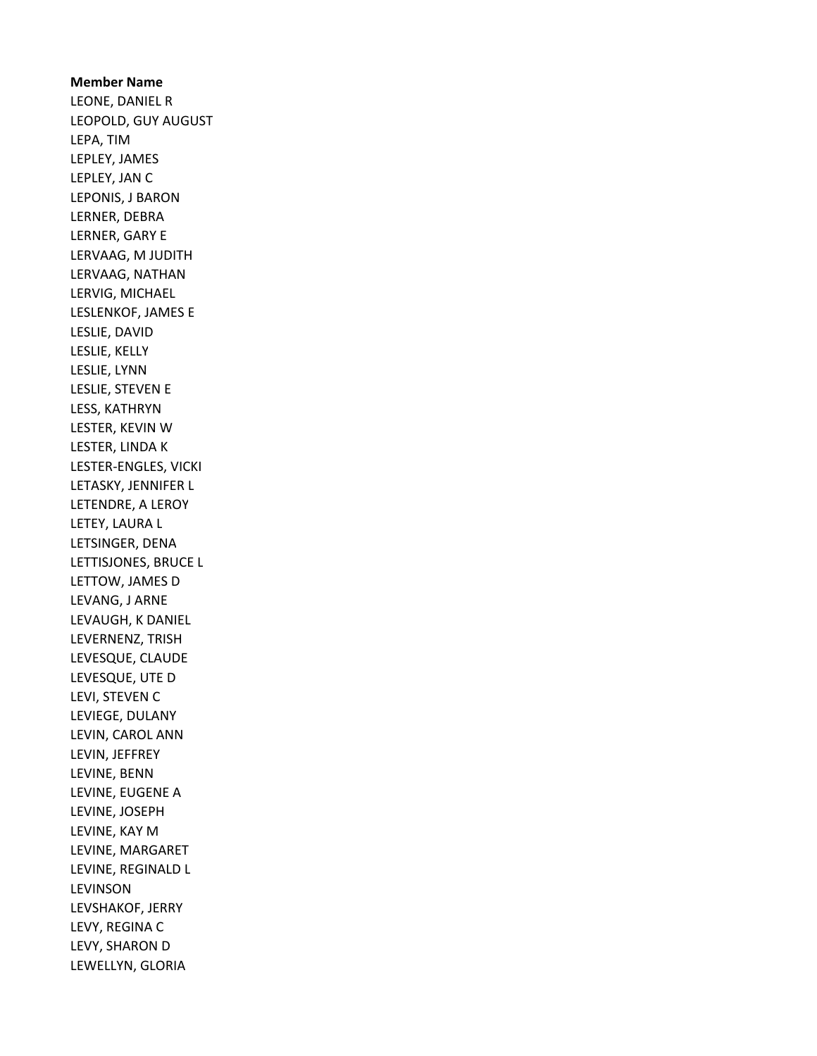Member Name LEONE, DANIEL R LEOPOLD, GUY AUGUST LEPA, TIM LEPLEY, JAMES LEPLEY, JAN C LEPONIS, J BARON LERNER, DEBRA LERNER, GARY E LERVAAG, M JUDITH LERVAAG, NATHAN LERVIG, MICHAEL LESLENKOF, JAMES E LESLIE, DAVID LESLIE, KELLY LESLIE, LYNN LESLIE, STEVEN E LESS, KATHRYN LESTER, KEVIN W LESTER, LINDA K LESTER-ENGLES, VICKI LETASKY, JENNIFER L LETENDRE, A LEROY LETEY, LAURA L LETSINGER, DENA LETTISJONES, BRUCE L LETTOW, JAMES D LEVANG, J ARNE LEVAUGH, K DANIEL LEVERNENZ, TRISH LEVESQUE, CLAUDE LEVESQUE, UTE D LEVI, STEVEN C LEVIEGE, DULANY LEVIN, CAROL ANN LEVIN, JEFFREY LEVINE, BENN LEVINE, EUGENE A LEVINE, JOSEPH LEVINE, KAY M LEVINE, MARGARET LEVINE, REGINALD L LEVINSON LEVSHAKOF, JERRY LEVY, REGINA C LEVY, SHARON D LEWELLYN, GLORIA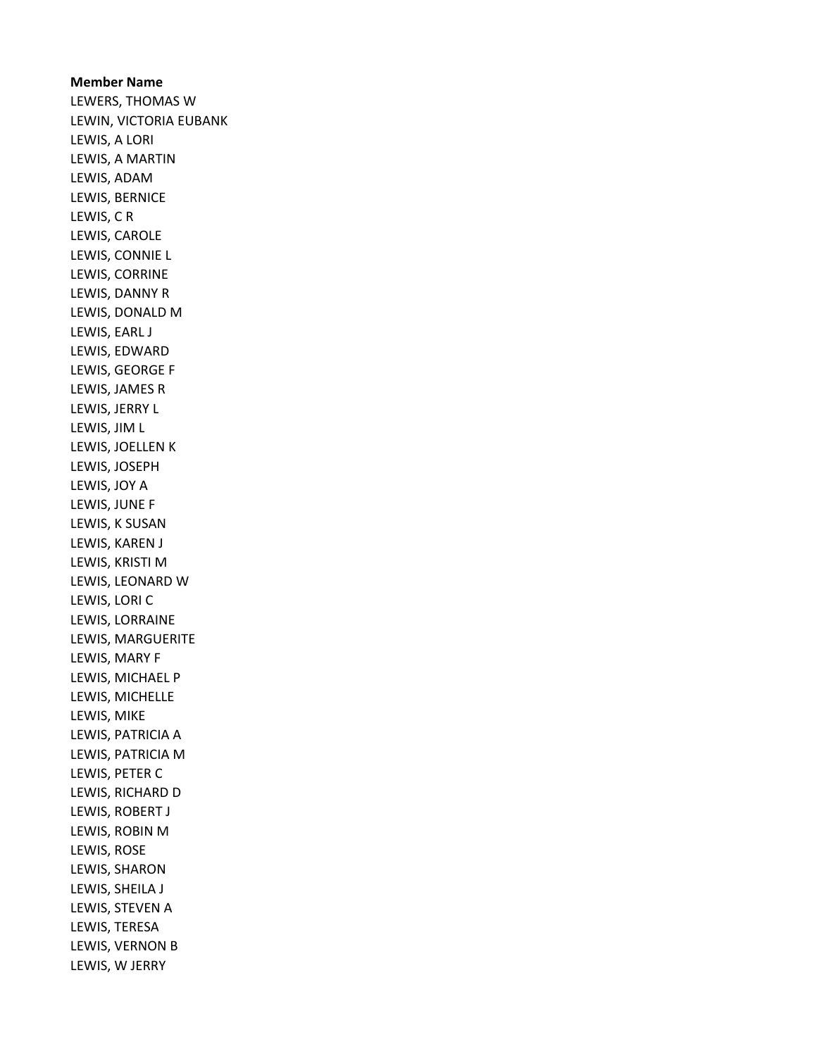## Member Name

LEWERS, THOMAS W LEWIN, VICTORIA EUBANK LEWIS, A LORI LEWIS, A MARTIN LEWIS, ADAM LEWIS, BERNICE LEWIS, C R LEWIS, CAROLE LEWIS, CONNIE L LEWIS, CORRINE LEWIS, DANNY R LEWIS, DONALD M LEWIS, EARL J LEWIS, EDWARD LEWIS, GEORGE F LEWIS, JAMES R LEWIS, JERRY L LEWIS, JIM L LEWIS, JOELLEN K LEWIS, JOSEPH LEWIS, JOY A LEWIS, JUNE F LEWIS, K SUSAN LEWIS, KAREN J LEWIS, KRISTI M LEWIS, LEONARD W LEWIS, LORI C LEWIS, LORRAINE LEWIS, MARGUERITE LEWIS, MARY F LEWIS, MICHAEL P LEWIS, MICHELLE LEWIS, MIKE LEWIS, PATRICIA A LEWIS, PATRICIA M LEWIS, PETER C LEWIS, RICHARD D LEWIS, ROBERT J LEWIS, ROBIN M LEWIS, ROSE LEWIS, SHARON LEWIS, SHEILA J LEWIS, STEVEN A LEWIS, TERESA LEWIS, VERNON B LEWIS, W JERRY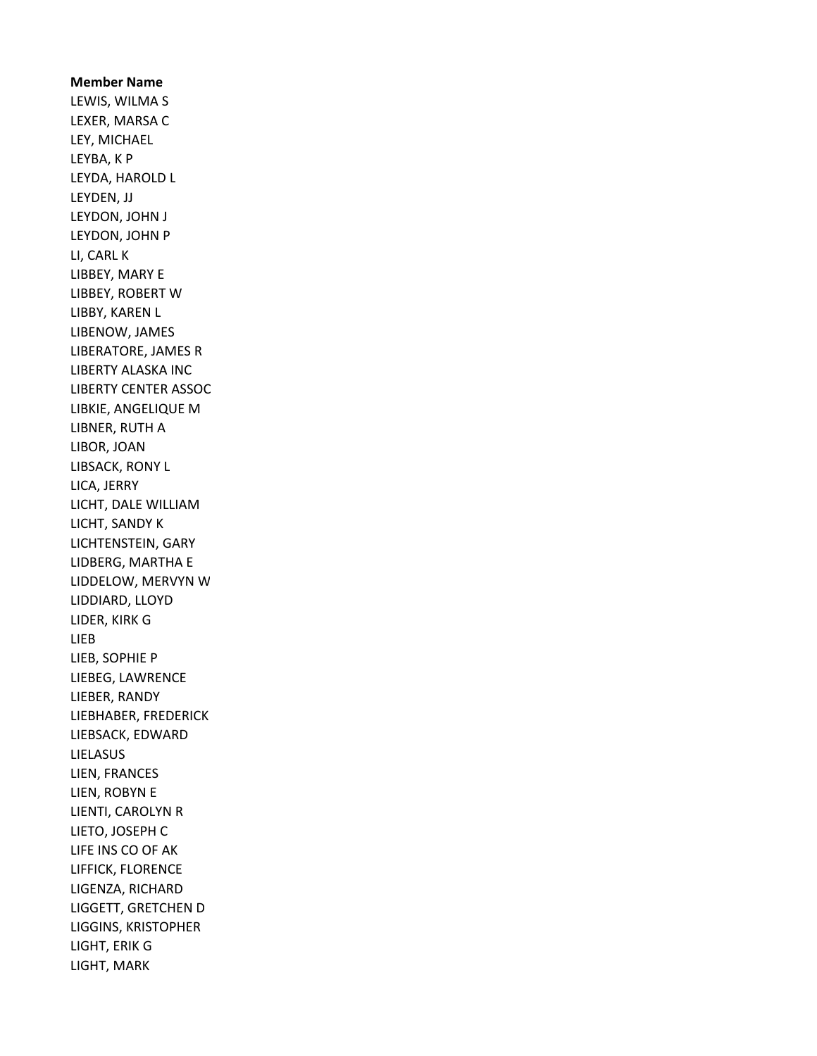## Member Name LEWIS, WILMA S LEXER, MARSA C LEY, MICHAEL LEYBA, K P LEYDA, HAROLD L LEYDEN, JJ LEYDON, JOHN J LEYDON, JOHN P LI, CARL K LIBBEY, MARY E LIBBEY, ROBERT W LIBBY, KAREN L LIBENOW, JAMES LIBERATORE, JAMES R LIBERTY ALASKA INC LIBERTY CENTER ASSOC LIBKIE, ANGELIQUE M LIBNER, RUTH A LIBOR, JOAN LIBSACK, RONY L LICA, JERRY LICHT, DALE WILLIAM LICHT, SANDY K LICHTENSTEIN, GARY LIDBERG, MARTHA E LIDDELOW, MERVYN W LIDDIARD, LLOYD LIDER, KIRK G LIEB LIEB, SOPHIE P LIEBEG, LAWRENCE LIEBER, RANDY LIEBHABER, FREDERICK LIEBSACK, EDWARD LIELASUS LIEN, FRANCES LIEN, ROBYN E LIENTI, CAROLYN R LIETO, JOSEPH C LIFE INS CO OF AK LIFFICK, FLORENCE LIGENZA, RICHARD LIGGETT, GRETCHEN D LIGGINS, KRISTOPHER LIGHT, ERIK G LIGHT, MARK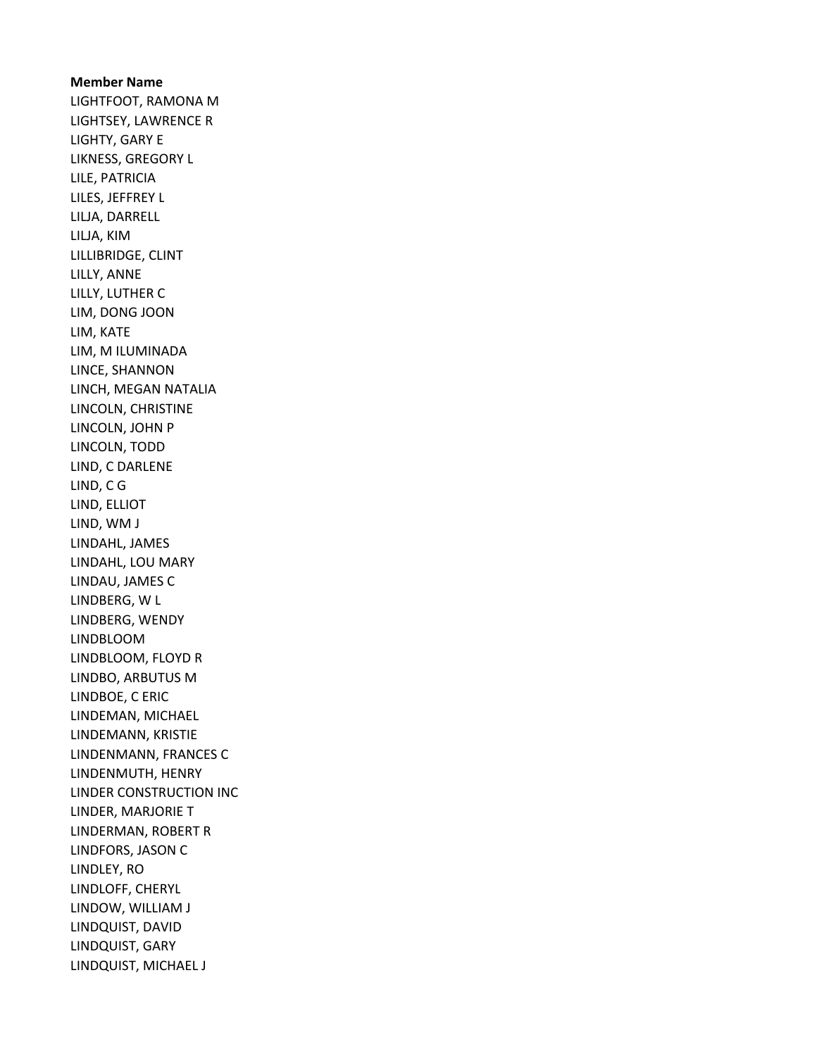Member Name LIGHTFOOT, RAMONA M LIGHTSEY, LAWRENCE R LIGHTY, GARY E LIKNESS, GREGORY L LILE, PATRICIA LILES, JEFFREY L LILJA, DARRELL LILJA, KIM LILLIBRIDGE, CLINT LILLY, ANNE LILLY, LUTHER C LIM, DONG JOON LIM, KATE LIM, M ILUMINADA LINCE, SHANNON LINCH, MEGAN NATALIA LINCOLN, CHRISTINE LINCOLN, JOHN P LINCOLN, TODD LIND, C DARLENE LIND, C G LIND, ELLIOT LIND, WM J LINDAHL, JAMES LINDAHL, LOU MARY LINDAU, JAMES C LINDBERG, W L LINDBERG, WENDY LINDBLOOM LINDBLOOM, FLOYD R LINDBO, ARBUTUS M LINDBOE, C ERIC LINDEMAN, MICHAEL LINDEMANN, KRISTIE LINDENMANN, FRANCES C LINDENMUTH, HENRY LINDER CONSTRUCTION INC LINDER, MARJORIE T LINDERMAN, ROBERT R LINDFORS, JASON C LINDLEY, RO LINDLOFF, CHERYL LINDOW, WILLIAM J LINDQUIST, DAVID LINDQUIST, GARY LINDQUIST, MICHAEL J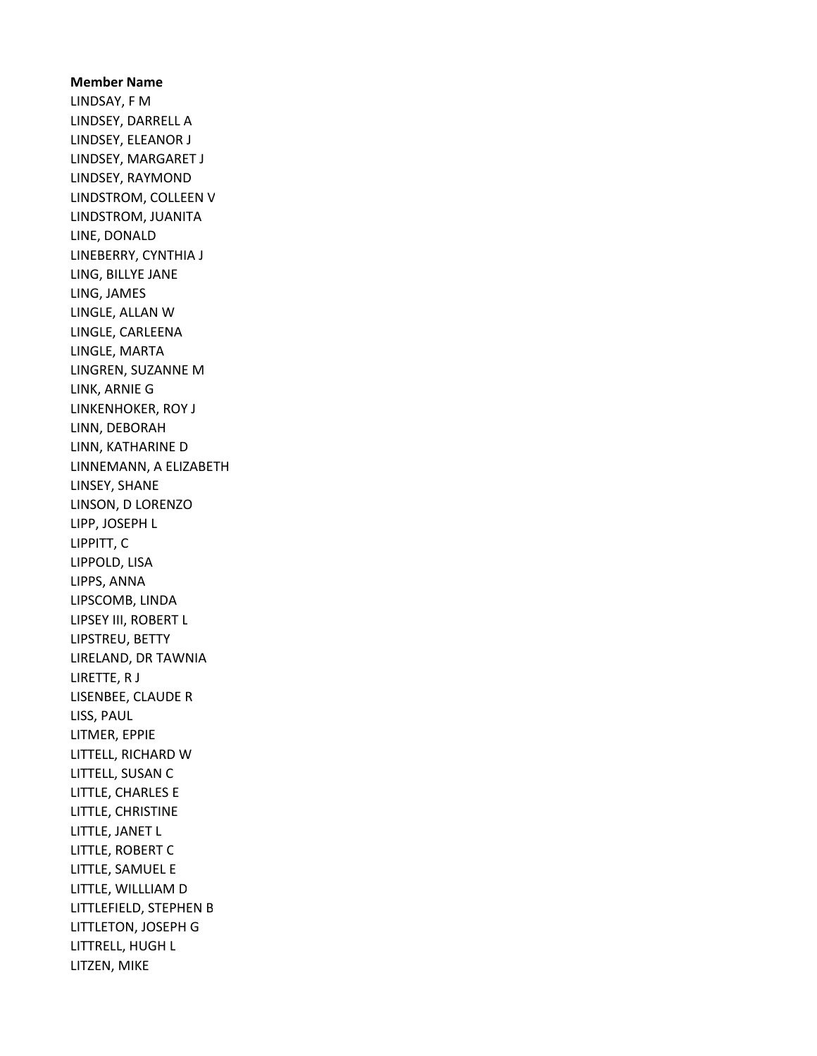Member Name LINDSAY, F M LINDSEY, DARRELL A LINDSEY, ELEANOR J LINDSEY, MARGARET J LINDSEY, RAYMOND LINDSTROM, COLLEEN V LINDSTROM, JUANITA LINE, DONALD LINEBERRY, CYNTHIA J LING, BILLYE JANE LING, JAMES LINGLE, ALLAN W LINGLE, CARLEENA LINGLE, MARTA LINGREN, SUZANNE M LINK, ARNIE G LINKENHOKER, ROY J LINN, DEBORAH LINN, KATHARINE D LINNEMANN, A ELIZABETH LINSEY, SHANE LINSON, D LORENZO LIPP, JOSEPH L LIPPITT, C LIPPOLD, LISA LIPPS, ANNA LIPSCOMB, LINDA LIPSEY III, ROBERT L LIPSTREU, BETTY LIRELAND, DR TAWNIA LIRETTE, R J LISENBEE, CLAUDE R LISS, PAUL LITMER, EPPIE LITTELL, RICHARD W LITTELL, SUSAN C LITTLE, CHARLES E LITTLE, CHRISTINE LITTLE, JANET L LITTLE, ROBERT C LITTLE, SAMUEL E LITTLE, WILLLIAM D LITTLEFIELD, STEPHEN B LITTLETON, JOSEPH G LITTRELL, HUGH L LITZEN, MIKE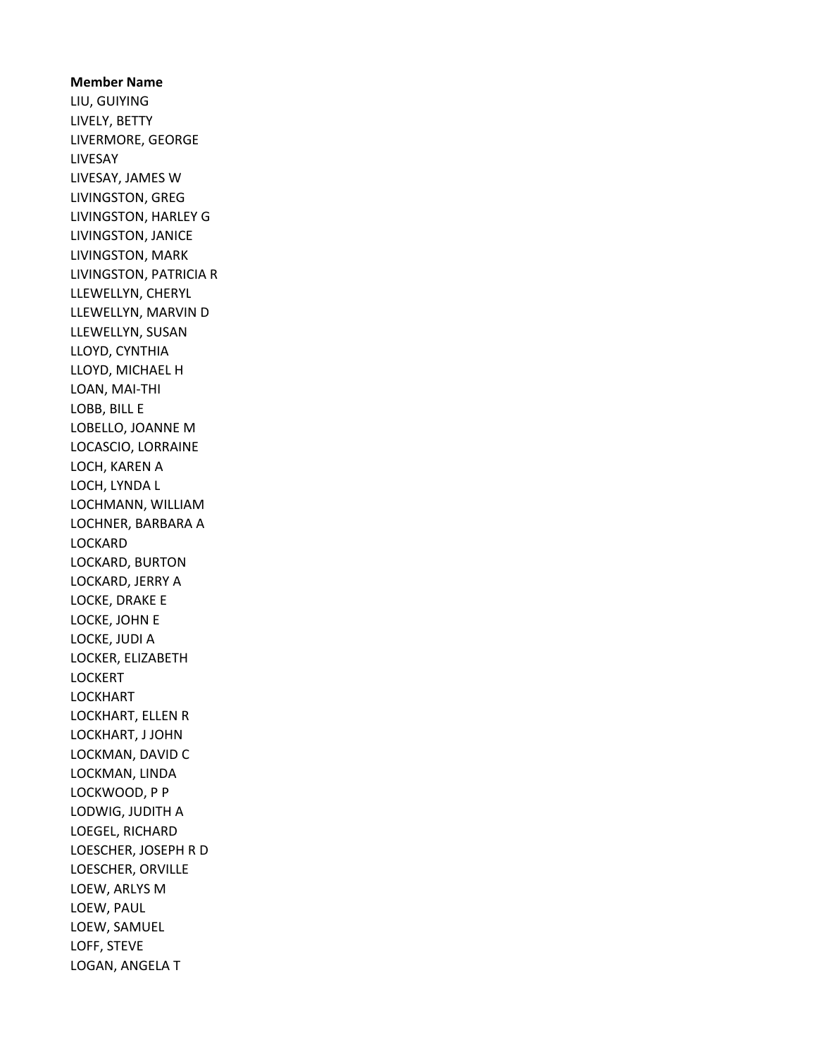Member Name LIU, GUIYING LIVELY, BETTY LIVERMORE, GEORGE LIVESAY LIVESAY, JAMES W LIVINGSTON, GREG LIVINGSTON, HARLEY G LIVINGSTON, JANICE LIVINGSTON, MARK LIVINGSTON, PATRICIA R LLEWELLYN, CHERYL LLEWELLYN, MARVIN D LLEWELLYN, SUSAN LLOYD, CYNTHIA LLOYD, MICHAEL H LOAN, MAI-THI LOBB, BILL E LOBELLO, JOANNE M LOCASCIO, LORRAINE LOCH, KAREN A LOCH, LYNDA L LOCHMANN, WILLIAM LOCHNER, BARBARA A LOCKARD LOCKARD, BURTON LOCKARD, JERRY A LOCKE, DRAKE E LOCKE, JOHN E LOCKE, JUDI A LOCKER, ELIZABETH LOCKERT LOCKHART LOCKHART, ELLEN R LOCKHART, J JOHN LOCKMAN, DAVID C LOCKMAN, LINDA LOCKWOOD, P P LODWIG, JUDITH A LOEGEL, RICHARD LOESCHER, JOSEPH R D LOESCHER, ORVILLE LOEW, ARLYS M LOEW, PAUL LOEW, SAMUEL LOFF, STEVE LOGAN, ANGELA T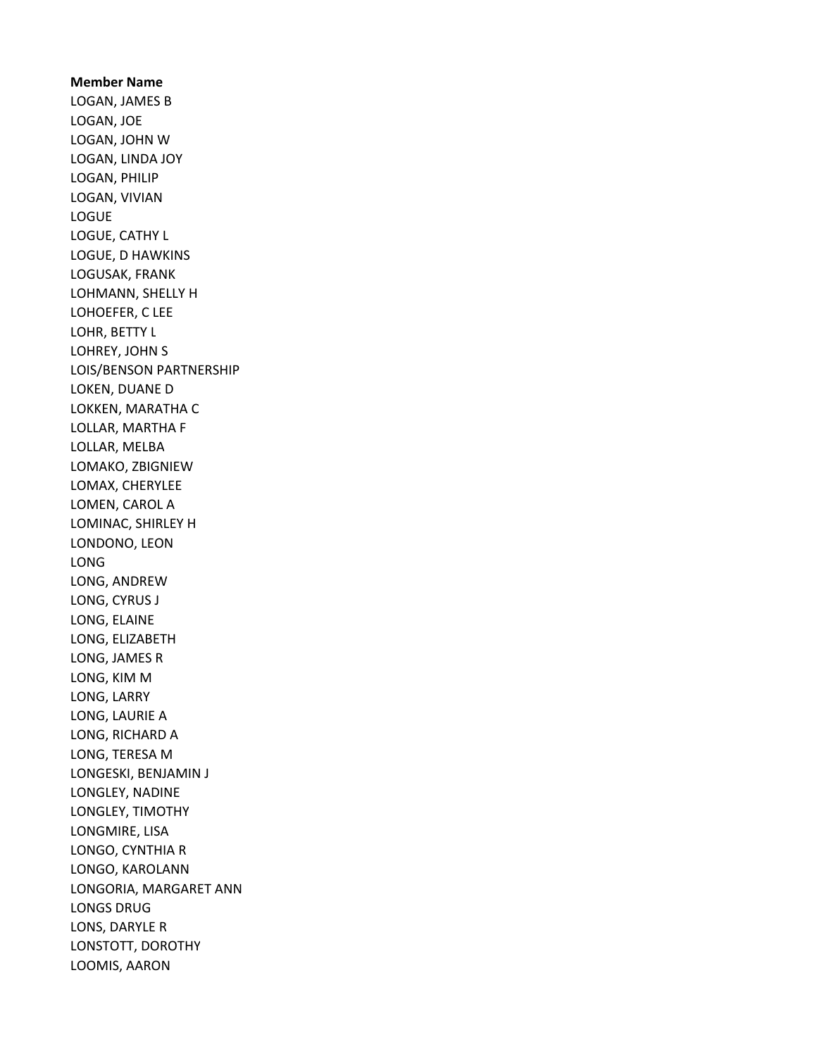Member Name LOGAN, JAMES B LOGAN, JOE LOGAN, JOHN W LOGAN, LINDA JOY LOGAN, PHILIP LOGAN, VIVIAN LOGUE LOGUE, CATHY L LOGUE, D HAWKINS LOGUSAK, FRANK LOHMANN, SHELLY H LOHOEFER, C LEE LOHR, BETTY L LOHREY, JOHN S LOIS/BENSON PARTNERSHIP LOKEN, DUANE D LOKKEN, MARATHA C LOLLAR, MARTHA F LOLLAR, MELBA LOMAKO, ZBIGNIEW LOMAX, CHERYLEE LOMEN, CAROL A LOMINAC, SHIRLEY H LONDONO, LEON LONG LONG, ANDREW LONG, CYRUS J LONG, ELAINE LONG, ELIZABETH LONG, JAMES R LONG, KIM M LONG, LARRY LONG, LAURIE A LONG, RICHARD A LONG, TERESA M LONGESKI, BENJAMIN J LONGLEY, NADINE LONGLEY, TIMOTHY LONGMIRE, LISA LONGO, CYNTHIA R LONGO, KAROLANN LONGORIA, MARGARET ANN LONGS DRUG LONS, DARYLE R LONSTOTT, DOROTHY LOOMIS, AARON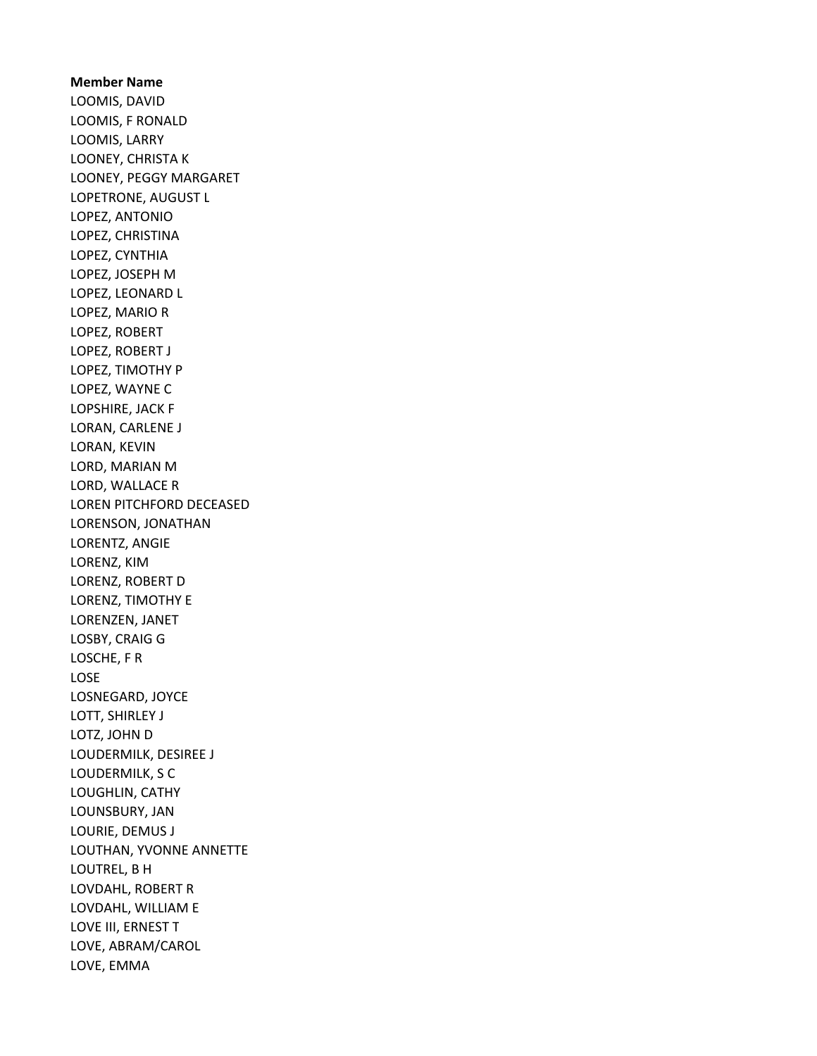Member Name LOOMIS, DAVID LOOMIS, F RONALD LOOMIS, LARRY LOONEY, CHRISTA K LOONEY, PEGGY MARGARET LOPETRONE, AUGUST L LOPEZ, ANTONIO LOPEZ, CHRISTINA LOPEZ, CYNTHIA LOPEZ, JOSEPH M LOPEZ, LEONARD L LOPEZ, MARIO R LOPEZ, ROBERT LOPEZ, ROBERT J LOPEZ, TIMOTHY P LOPEZ, WAYNE C LOPSHIRE, JACK F LORAN, CARLENE J LORAN, KEVIN LORD, MARIAN M LORD, WALLACE R LOREN PITCHFORD DECEASED LORENSON, JONATHAN LORENTZ, ANGIE LORENZ, KIM LORENZ, ROBERT D LORENZ, TIMOTHY E LORENZEN, JANET LOSBY, CRAIG G LOSCHE, F R LOSE LOSNEGARD, JOYCE LOTT, SHIRLEY J LOTZ, JOHN D LOUDERMILK, DESIREE J LOUDERMILK, S C LOUGHLIN, CATHY LOUNSBURY, JAN LOURIE, DEMUS J LOUTHAN, YVONNE ANNETTE LOUTREL, B H LOVDAHL, ROBERT R LOVDAHL, WILLIAM E LOVE III, ERNEST T LOVE, ABRAM/CAROL LOVE, EMMA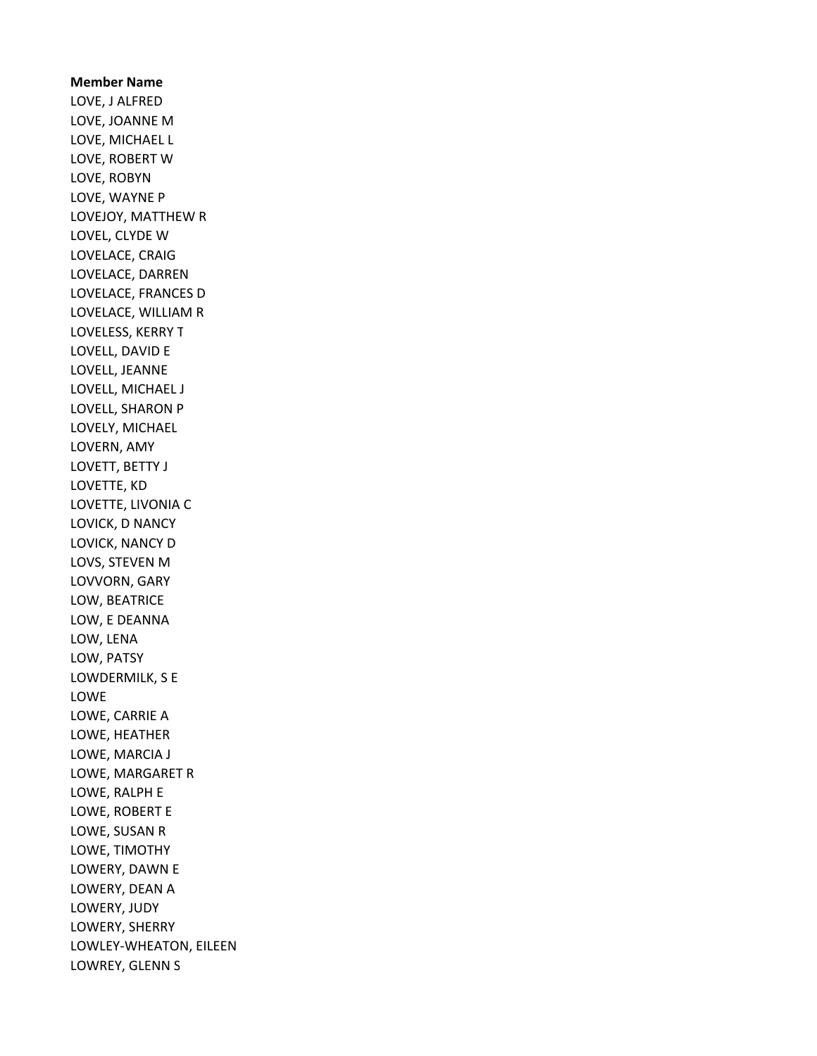Member Name LOVE, J ALFRED LOVE, JOANNE M LOVE, MICHAEL L LOVE, ROBERT W LOVE, ROBYN LOVE, WAYNE P LOVEJOY, MATTHEW R LOVEL, CLYDE W LOVELACE, CRAIG LOVELACE, DARREN LOVELACE, FRANCES D LOVELACE, WILLIAM R LOVELESS, KERRY T LOVELL, DAVID E LOVELL, JEANNE LOVELL, MICHAEL J LOVELL, SHARON P LOVELY, MICHAEL LOVERN, AMY LOVETT, BETTY J LOVETTE, KD LOVETTE, LIVONIA C LOVICK, D NANCY LOVICK, NANCY D LOVS, STEVEN M LOVVORN, GARY LOW, BEATRICE LOW, E DEANNA LOW, LENA LOW, PATSY LOWDERMILK, S E LOWE LOWE, CARRIE A LOWE, HEATHER LOWE, MARCIA J LOWE, MARGARET R LOWE, RALPH E LOWE, ROBERT E LOWE, SUSAN R LOWE, TIMOTHY LOWERY, DAWN E LOWERY, DEAN A LOWERY, JUDY LOWERY, SHERRY LOWLEY-WHEATON, EILEEN LOWREY, GLENN S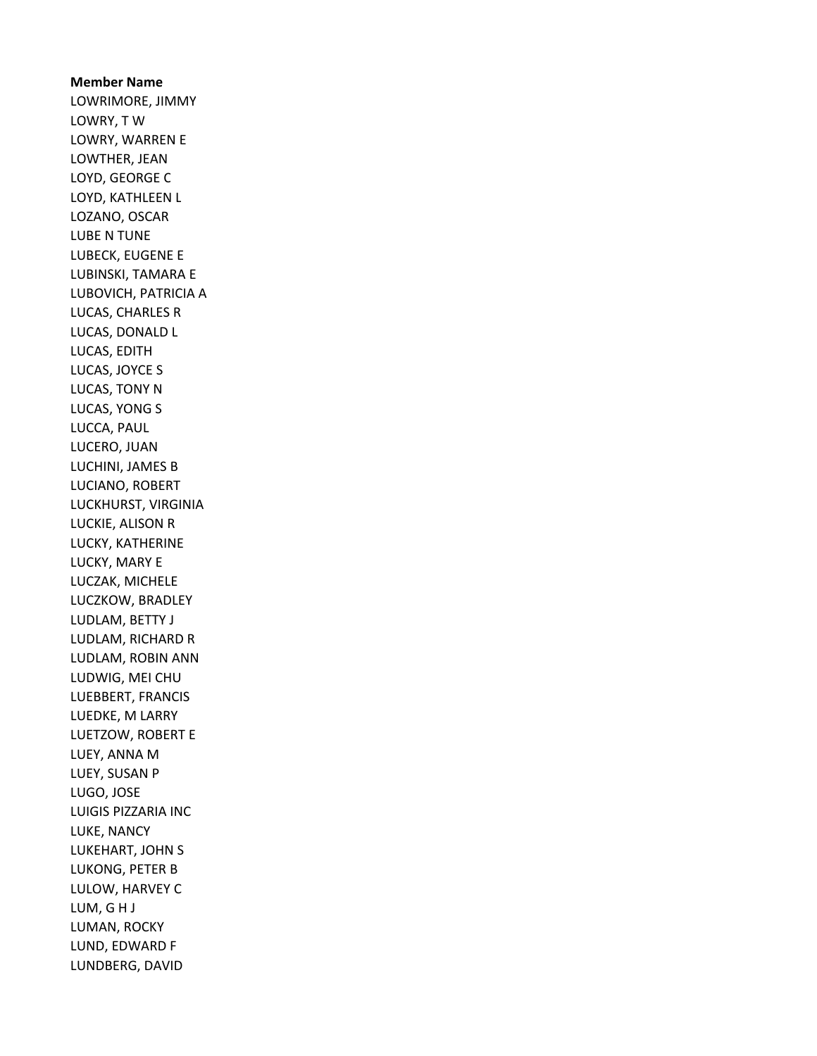Member Name LOWRIMORE, JIMMY LOWRY, T W LOWRY, WARREN E LOWTHER, JEAN LOYD, GEORGE C LOYD, KATHLEEN L LOZANO, OSCAR LUBE N TUNE LUBECK, EUGENE E LUBINSKI, TAMARA E LUBOVICH, PATRICIA A LUCAS, CHARLES R LUCAS, DONALD L LUCAS, EDITH LUCAS, JOYCE S LUCAS, TONY N LUCAS, YONG S LUCCA, PAUL LUCERO, JUAN LUCHINI, JAMES B LUCIANO, ROBERT LUCKHURST, VIRGINIA LUCKIE, ALISON R LUCKY, KATHERINE LUCKY, MARY E LUCZAK, MICHELE LUCZKOW, BRADLEY LUDLAM, BETTY J LUDLAM, RICHARD R LUDLAM, ROBIN ANN LUDWIG, MEI CHU LUEBBERT, FRANCIS LUEDKE, M LARRY LUETZOW, ROBERT E LUEY, ANNA M LUEY, SUSAN P LUGO, JOSE LUIGIS PIZZARIA INC LUKE, NANCY LUKEHART, JOHN S LUKONG, PETER B LULOW, HARVEY C LUM, G H J LUMAN, ROCKY LUND, EDWARD F LUNDBERG, DAVID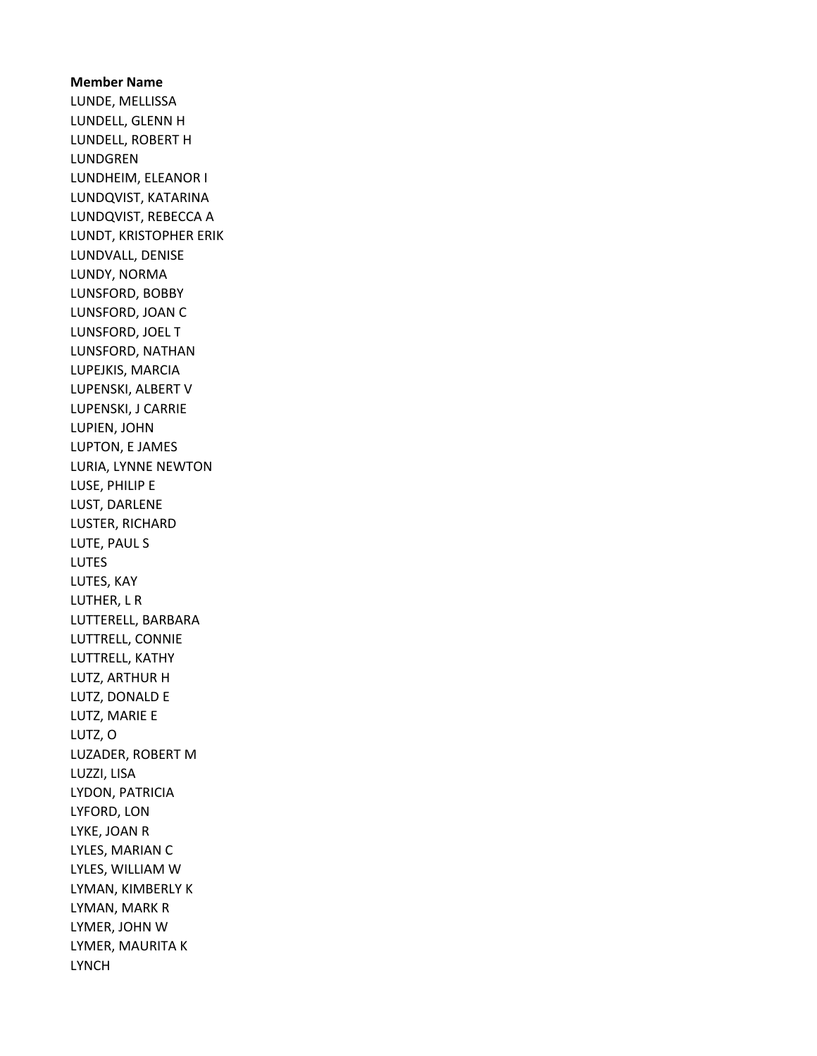Member Name LUNDE, MELLISSA LUNDELL, GLENN H LUNDELL, ROBERT H LUNDGREN LUNDHEIM, ELEANOR I LUNDQVIST, KATARINA LUNDQVIST, REBECCA A LUNDT, KRISTOPHER ERIK LUNDVALL, DENISE LUNDY, NORMA LUNSFORD, BOBBY LUNSFORD, JOAN C LUNSFORD, JOEL T LUNSFORD, NATHAN LUPEJKIS, MARCIA LUPENSKI, ALBERT V LUPENSKI, J CARRIE LUPIEN, JOHN LUPTON, E JAMES LURIA, LYNNE NEWTON LUSE, PHILIP E LUST, DARLENE LUSTER, RICHARD LUTE, PAUL S LUTES LUTES, KAY LUTHER, L R LUTTERELL, BARBARA LUTTRELL, CONNIE LUTTRELL, KATHY LUTZ, ARTHUR H LUTZ, DONALD E LUTZ, MARIE E LUTZ, O LUZADER, ROBERT M LUZZI, LISA LYDON, PATRICIA LYFORD, LON LYKE, JOAN R LYLES, MARIAN C LYLES, WILLIAM W LYMAN, KIMBERLY K LYMAN, MARK R LYMER, JOHN W LYMER, MAURITA K LYNCH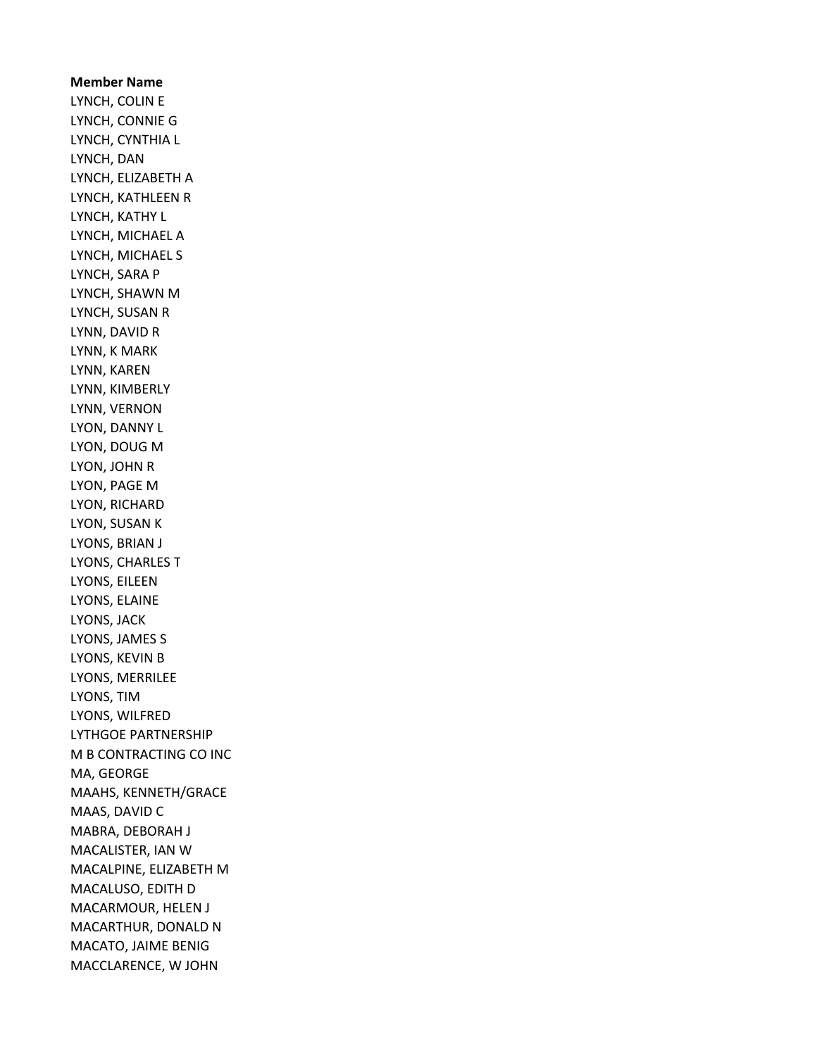Member Name LYNCH, COLIN E LYNCH, CONNIE G LYNCH, CYNTHIA L LYNCH, DAN LYNCH, ELIZABETH A LYNCH, KATHLEEN R LYNCH, KATHY L LYNCH, MICHAEL A LYNCH, MICHAEL S LYNCH, SARA P LYNCH, SHAWN M LYNCH, SUSAN R LYNN, DAVID R LYNN, K MARK LYNN, KAREN LYNN, KIMBERLY LYNN, VERNON LYON, DANNY L LYON, DOUG M LYON, JOHN R LYON, PAGE M LYON, RICHARD LYON, SUSAN K LYONS, BRIAN J LYONS, CHARLES T LYONS, EILEEN LYONS, ELAINE LYONS, JACK LYONS, JAMES S LYONS, KEVIN B LYONS, MERRILEE LYONS, TIM LYONS, WILFRED LYTHGOE PARTNERSHIP M B CONTRACTING CO INC MA, GEORGE MAAHS, KENNETH/GRACE MAAS, DAVID C MABRA, DEBORAH J MACALISTER, IAN W MACALPINE, ELIZABETH M MACALUSO, EDITH D MACARMOUR, HELEN J MACARTHUR, DONALD N MACATO, JAIME BENIG MACCLARENCE, W JOHN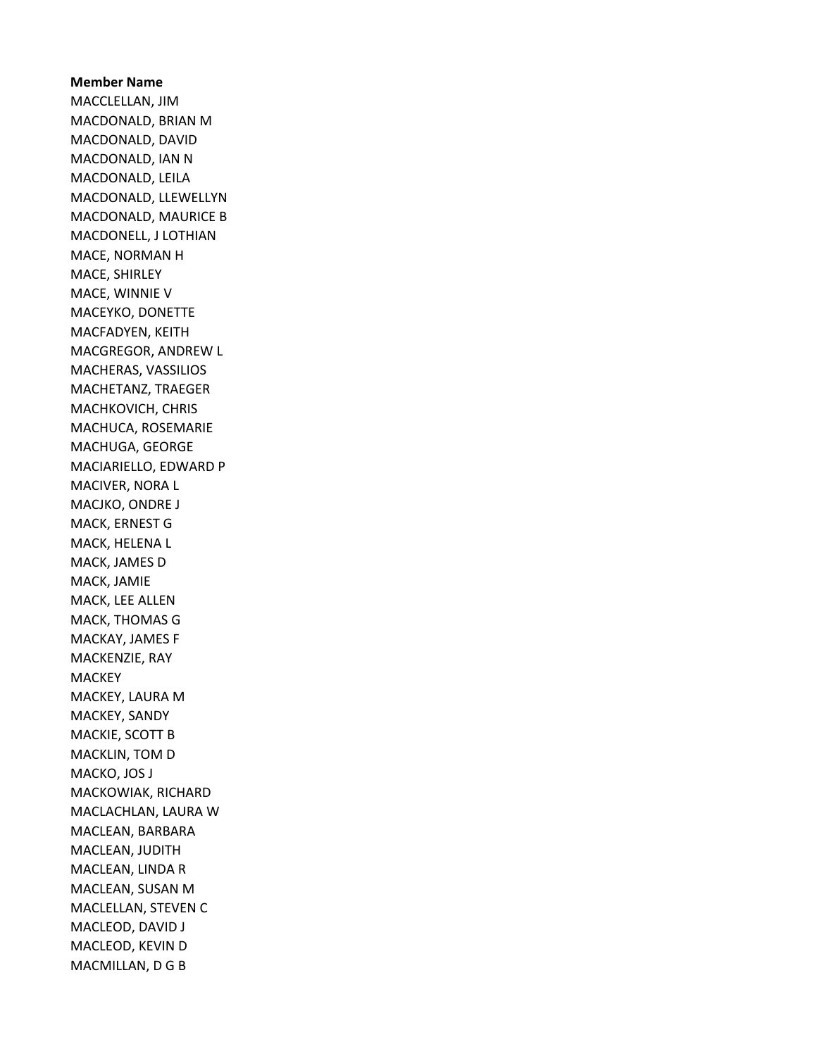Member Name MACCLELLAN, JIM MACDONALD, BRIAN M MACDONALD, DAVID MACDONALD, IAN N MACDONALD, LEILA MACDONALD, LLEWELLYN MACDONALD, MAURICE B MACDONELL, J LOTHIAN MACE, NORMAN H MACE, SHIRLEY MACE, WINNIE V MACEYKO, DONETTE MACFADYEN, KEITH MACGREGOR, ANDREW L MACHERAS, VASSILIOS MACHETANZ, TRAEGER MACHKOVICH, CHRIS MACHUCA, ROSEMARIE MACHUGA, GEORGE MACIARIELLO, EDWARD P MACIVER, NORA L MACJKO, ONDRE J MACK, ERNEST G MACK, HELENA L MACK, JAMES D MACK, JAMIE MACK, LEE ALLEN MACK, THOMAS G MACKAY, JAMES F MACKENZIE, RAY MACKEY MACKEY, LAURA M MACKEY, SANDY MACKIE, SCOTT B MACKLIN, TOM D MACKO, JOS J MACKOWIAK, RICHARD MACLACHLAN, LAURA W MACLEAN, BARBARA MACLEAN, JUDITH MACLEAN, LINDA R MACLEAN, SUSAN M MACLELLAN, STEVEN C MACLEOD, DAVID J MACLEOD, KEVIN D MACMILLAN, D G B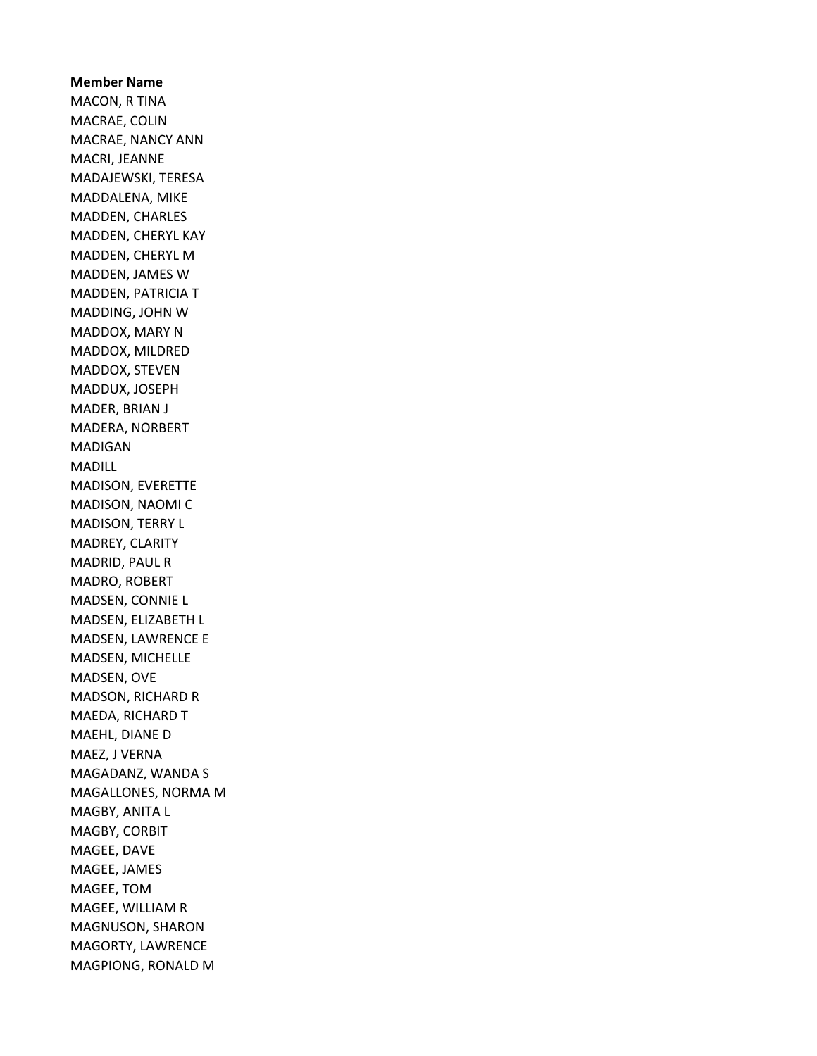Member Name MACON, R TINA MACRAE, COLIN MACRAE, NANCY ANN MACRI, JEANNE MADAJEWSKI, TERESA MADDALENA, MIKE MADDEN, CHARLES MADDEN, CHERYL KAY MADDEN, CHERYL M MADDEN, JAMES W MADDEN, PATRICIA T MADDING, JOHN W MADDOX, MARY N MADDOX, MILDRED MADDOX, STEVEN MADDUX, JOSEPH MADER, BRIAN J MADERA, NORBERT MADIGAN MADILL MADISON, EVERETTE MADISON, NAOMI C MADISON, TERRY L MADREY, CLARITY MADRID, PAUL R MADRO, ROBERT MADSEN, CONNIE L MADSEN, ELIZABETH L MADSEN, LAWRENCE E MADSEN, MICHELLE MADSEN, OVE MADSON, RICHARD R MAEDA, RICHARD T MAEHL, DIANE D MAEZ, J VERNA MAGADANZ, WANDA S MAGALLONES, NORMA M MAGBY, ANITA L MAGBY, CORBIT MAGEE, DAVE MAGEE, JAMES MAGEE, TOM MAGEE, WILLIAM R MAGNUSON, SHARON MAGORTY, LAWRENCE MAGPIONG, RONALD M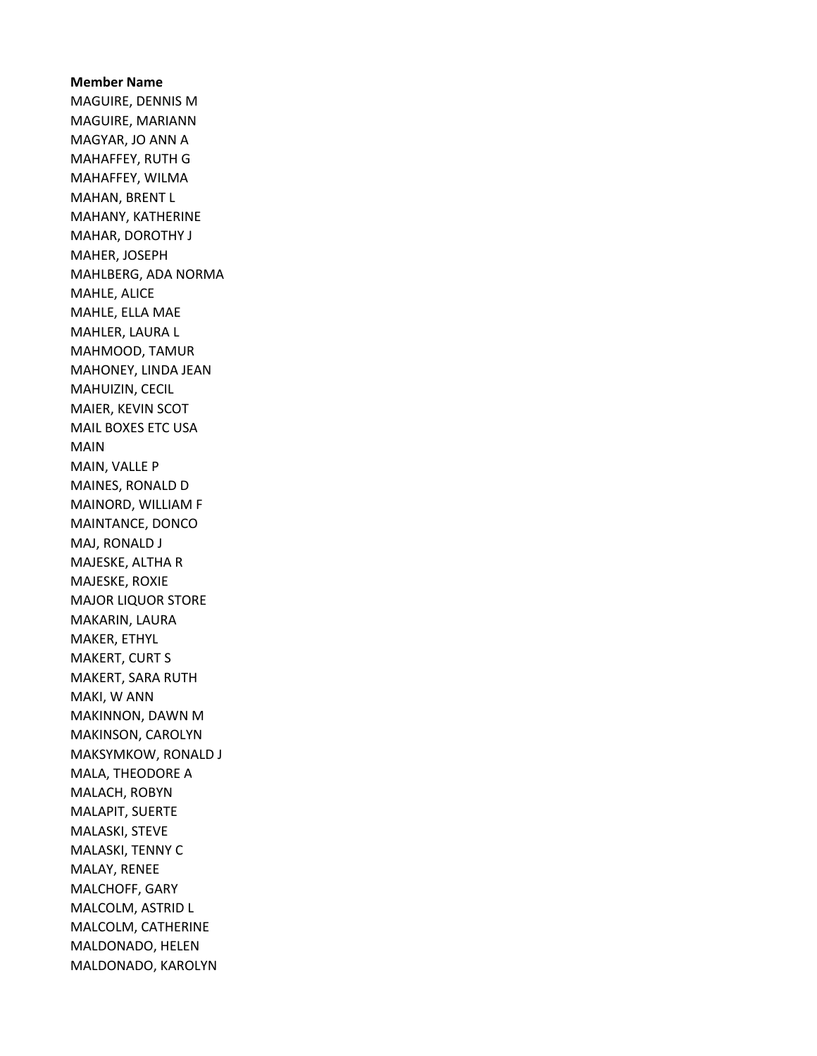Member Name MAGUIRE, DENNIS M MAGUIRE, MARIANN MAGYAR, JO ANN A MAHAFFEY, RUTH G MAHAFFEY, WILMA MAHAN, BRENT L MAHANY, KATHERINE MAHAR, DOROTHY J MAHER, JOSEPH MAHLBERG, ADA NORMA MAHLE, ALICE MAHLE, ELLA MAE MAHLER, LAURA L MAHMOOD, TAMUR MAHONEY, LINDA JEAN MAHUIZIN, CECIL MAIER, KEVIN SCOT MAIL BOXES ETC USA MAIN MAIN, VALLE P MAINES, RONALD D MAINORD, WILLIAM F MAINTANCE, DONCO MAJ, RONALD J MAJESKE, ALTHA R MAJESKE, ROXIE MAJOR LIQUOR STORE MAKARIN, LAURA MAKER, ETHYL MAKERT, CURT S MAKERT, SARA RUTH MAKI, W ANN MAKINNON, DAWN M MAKINSON, CAROLYN MAKSYMKOW, RONALD J MALA, THEODORE A MALACH, ROBYN MALAPIT, SUERTE MALASKI, STEVE MALASKI, TENNY C MALAY, RENEE MALCHOFF, GARY MALCOLM, ASTRID L MALCOLM, CATHERINE MALDONADO, HELEN MALDONADO, KAROLYN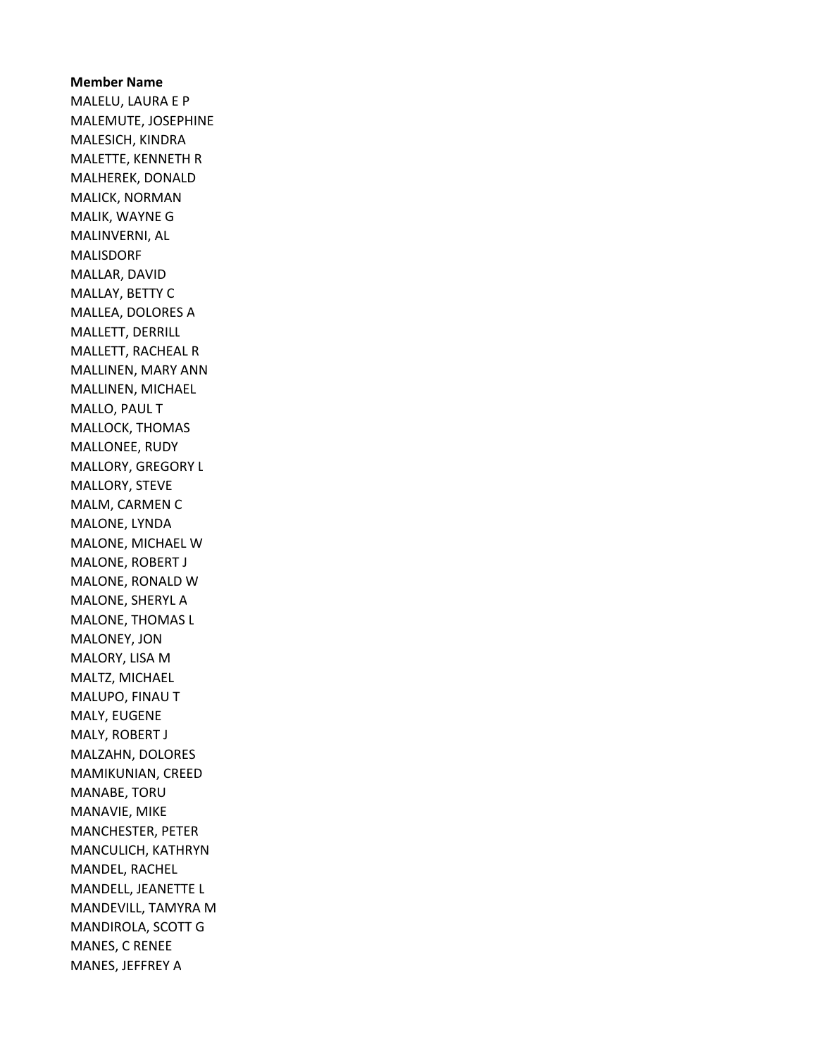Member Name MALELU, LAURA E P MALEMUTE, JOSEPHINE MALESICH, KINDRA MALETTE, KENNETH R MALHEREK, DONALD MALICK, NORMAN MALIK, WAYNE G MALINVERNI, AL MALISDORF MALLAR, DAVID MALLAY, BETTY C MALLEA, DOLORES A MALLETT, DERRILL MALLETT, RACHEAL R MALLINEN, MARY ANN MALLINEN, MICHAEL MALLO, PAUL T MALLOCK, THOMAS MALLONEE, RUDY MALLORY, GREGORY L MALLORY, STEVE MALM, CARMEN C MALONE, LYNDA MALONE, MICHAEL W MALONE, ROBERT J MALONE, RONALD W MALONE, SHERYL A MALONE, THOMAS L MALONEY, JON MALORY, LISA M MALTZ, MICHAEL MALUPO, FINAU T MALY, EUGENE MALY, ROBERT J MALZAHN, DOLORES MAMIKUNIAN, CREED MANABE, TORU MANAVIE, MIKE MANCHESTER, PETER MANCULICH, KATHRYN MANDEL, RACHEL MANDELL, JEANETTE L MANDEVILL, TAMYRA M MANDIROLA, SCOTT G MANES, C RENEE MANES, JEFFREY A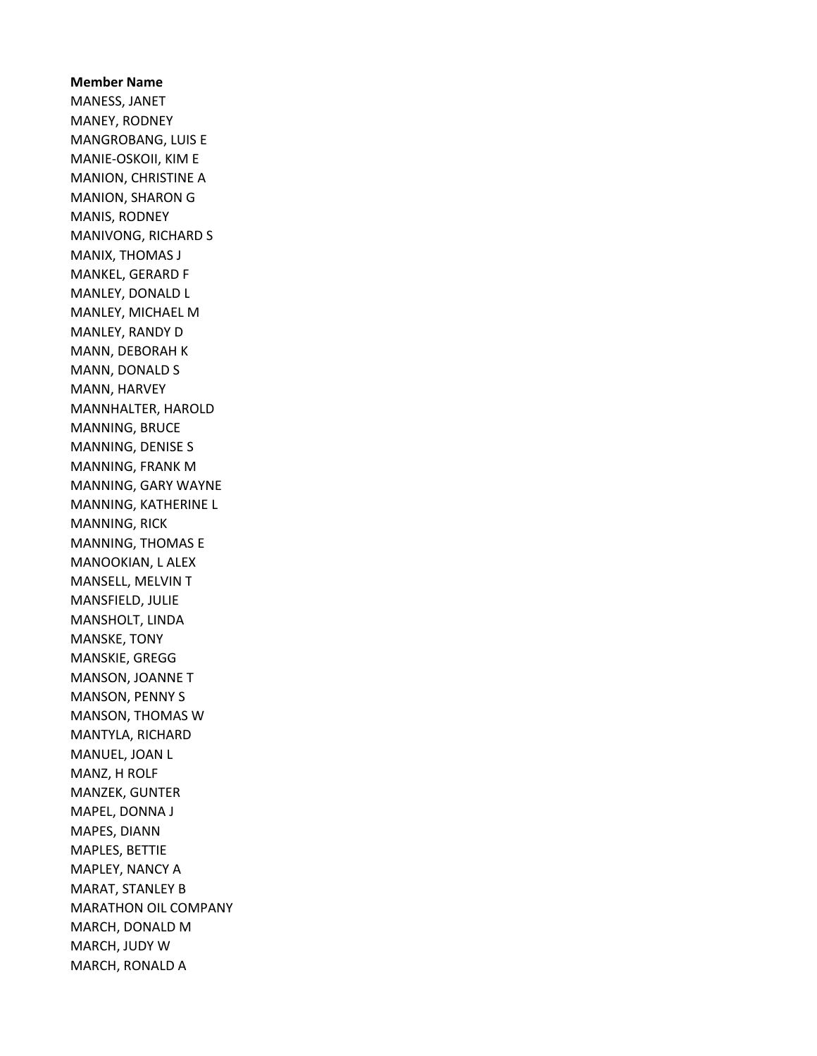Member Name MANESS, JANET MANEY, RODNEY MANGROBANG, LUIS E MANIE-OSKOII, KIM E MANION, CHRISTINE A MANION, SHARON G MANIS, RODNEY MANIVONG, RICHARD S MANIX, THOMAS J MANKEL, GERARD F MANLEY, DONALD L MANLEY, MICHAEL M MANLEY, RANDY D MANN, DEBORAH K MANN, DONALD S MANN, HARVEY MANNHALTER, HAROLD MANNING, BRUCE MANNING, DENISE S MANNING, FRANK M MANNING, GARY WAYNE MANNING, KATHERINE L MANNING, RICK MANNING, THOMAS E MANOOKIAN, L ALEX MANSELL, MELVIN T MANSFIELD, JULIE MANSHOLT, LINDA MANSKE, TONY MANSKIE, GREGG MANSON, JOANNE T MANSON, PENNY S MANSON, THOMAS W MANTYLA, RICHARD MANUEL, JOAN L MANZ, H ROLF MANZEK, GUNTER MAPEL, DONNA J MAPES, DIANN MAPLES, BETTIE MAPLEY, NANCY A MARAT, STANLEY B MARATHON OIL COMPANY MARCH, DONALD M MARCH, JUDY W MARCH, RONALD A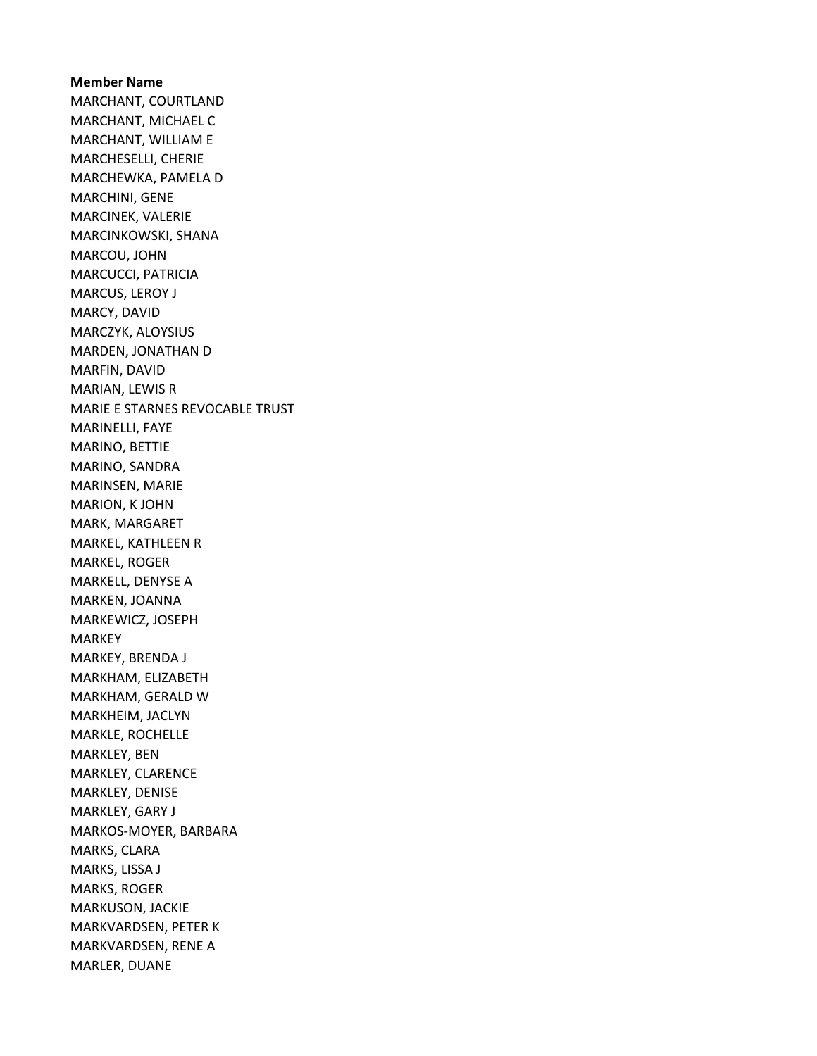Member Name MARCHANT, COURTLAND MARCHANT, MICHAEL C MARCHANT, WILLIAM E MARCHESELLI, CHERIE MARCHEWKA, PAMELA D MARCHINI, GENE MARCINEK, VALERIE MARCINKOWSKI, SHANA MARCOU, JOHN MARCUCCI, PATRICIA MARCUS, LEROY J MARCY, DAVID MARCZYK, ALOYSIUS MARDEN, JONATHAN D MARFIN, DAVID MARIAN, LEWIS R MARIE E STARNES REVOCABLE TRUST MARINELLI, FAYE MARINO, BETTIE MARINO, SANDRA MARINSEN, MARIE MARION, K JOHN MARK, MARGARET MARKEL, KATHLEEN R MARKEL, ROGER MARKELL, DENYSE A MARKEN, JOANNA MARKEWICZ, JOSEPH MARKEY MARKEY, BRENDA J MARKHAM, ELIZABETH MARKHAM, GERALD W MARKHEIM, JACLYN MARKLE, ROCHELLE MARKLEY, BEN MARKLEY, CLARENCE MARKLEY, DENISE MARKLEY, GARY J MARKOS-MOYER, BARBARA MARKS, CLARA MARKS, LISSA J MARKS, ROGER MARKUSON, JACKIE MARKVARDSEN, PETER K MARKVARDSEN, RENE A MARLER, DUANE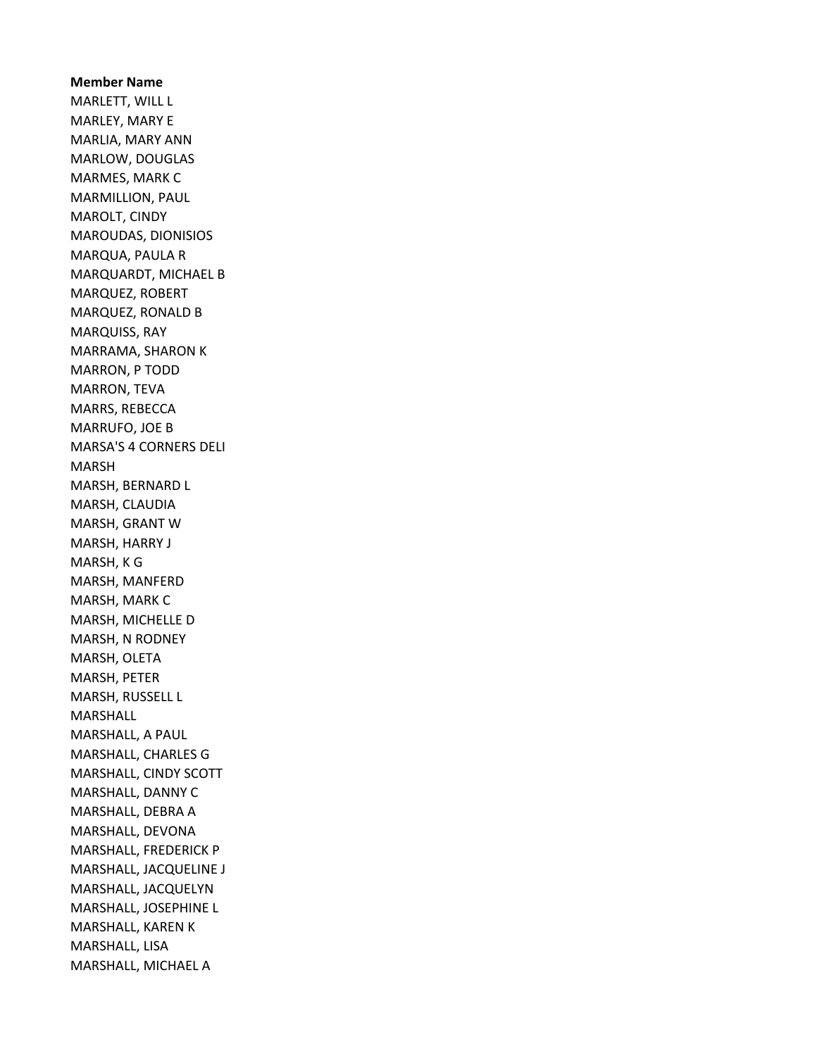Member Name MARLETT, WILL L MARLEY, MARY E MARLIA, MARY ANN MARLOW, DOUGLAS MARMES, MARK C MARMILLION, PAUL MAROLT, CINDY MAROUDAS, DIONISIOS MARQUA, PAULA R MARQUARDT, MICHAEL B MARQUEZ, ROBERT MARQUEZ, RONALD B MARQUISS, RAY MARRAMA, SHARON K MARRON, P TODD MARRON, TEVA MARRS, REBECCA MARRUFO, JOE B MARSA'S 4 CORNERS DELI MARSH MARSH, BERNARD L MARSH, CLAUDIA MARSH, GRANT W MARSH, HARRY J MARSH, K G MARSH, MANFERD MARSH, MARK C MARSH, MICHELLE D MARSH, N RODNEY MARSH, OLETA MARSH, PETER MARSH, RUSSELL L MARSHALL MARSHALL, A PAUL MARSHALL, CHARLES G MARSHALL, CINDY SCOTT MARSHALL, DANNY C MARSHALL, DEBRA A MARSHALL, DEVONA MARSHALL, FREDERICK P MARSHALL, JACQUELINE J MARSHALL, JACQUELYN MARSHALL, JOSEPHINE L MARSHALL, KAREN K MARSHALL, LISA MARSHALL, MICHAEL A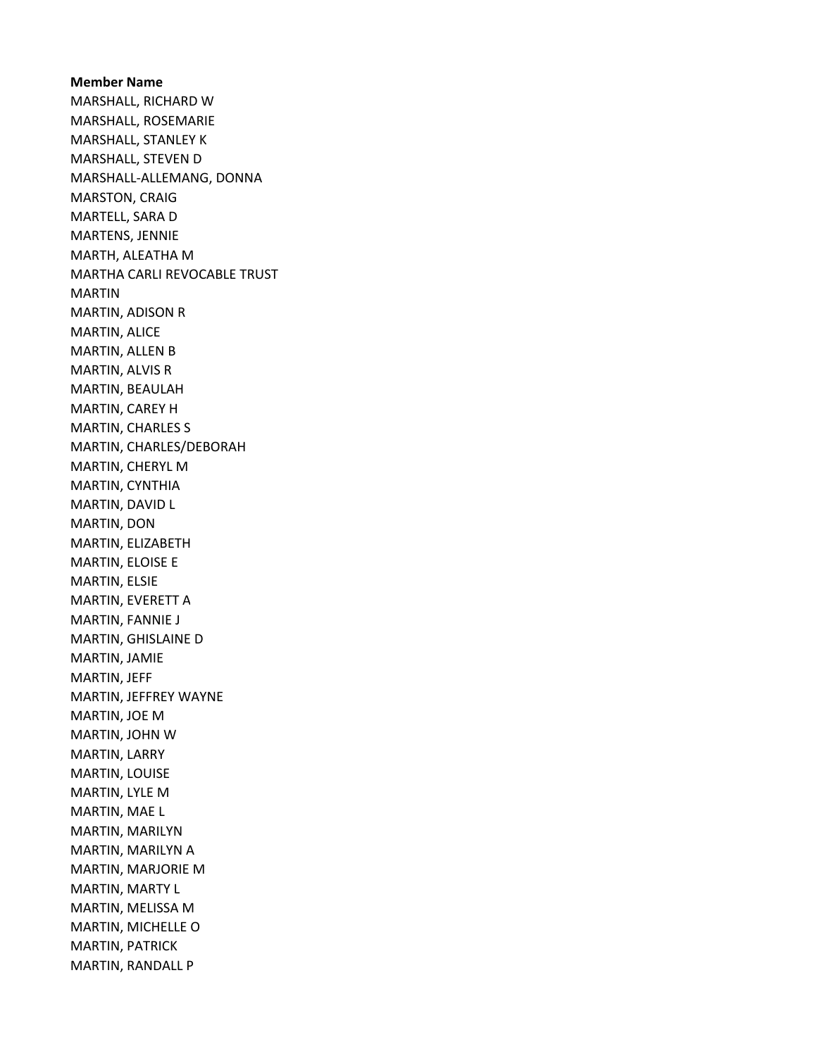Member Name MARSHALL, RICHARD W MARSHALL, ROSEMARIE MARSHALL, STANLEY K MARSHALL, STEVEN D MARSHALL-ALLEMANG, DONNA MARSTON, CRAIG MARTELL, SARA D MARTENS, JENNIE MARTH, ALEATHA M MARTHA CARLI REVOCABLE TRUST MARTIN MARTIN, ADISON R MARTIN, ALICE MARTIN, ALLEN B MARTIN, ALVIS R MARTIN, BEAULAH MARTIN, CAREY H MARTIN, CHARLES S MARTIN, CHARLES/DEBORAH MARTIN, CHERYL M MARTIN, CYNTHIA MARTIN, DAVID L MARTIN, DON MARTIN, ELIZABETH MARTIN, ELOISE E MARTIN, ELSIE MARTIN, EVERETT A MARTIN, FANNIE J MARTIN, GHISLAINE D MARTIN, JAMIE MARTIN, JEFF MARTIN, JEFFREY WAYNE MARTIN, JOE M MARTIN, JOHN W MARTIN, LARRY MARTIN, LOUISE MARTIN, LYLE M MARTIN, MAE L MARTIN, MARILYN MARTIN, MARILYN A MARTIN, MARJORIE M MARTIN, MARTY L MARTIN, MELISSA M MARTIN, MICHELLE O MARTIN, PATRICK MARTIN, RANDALL P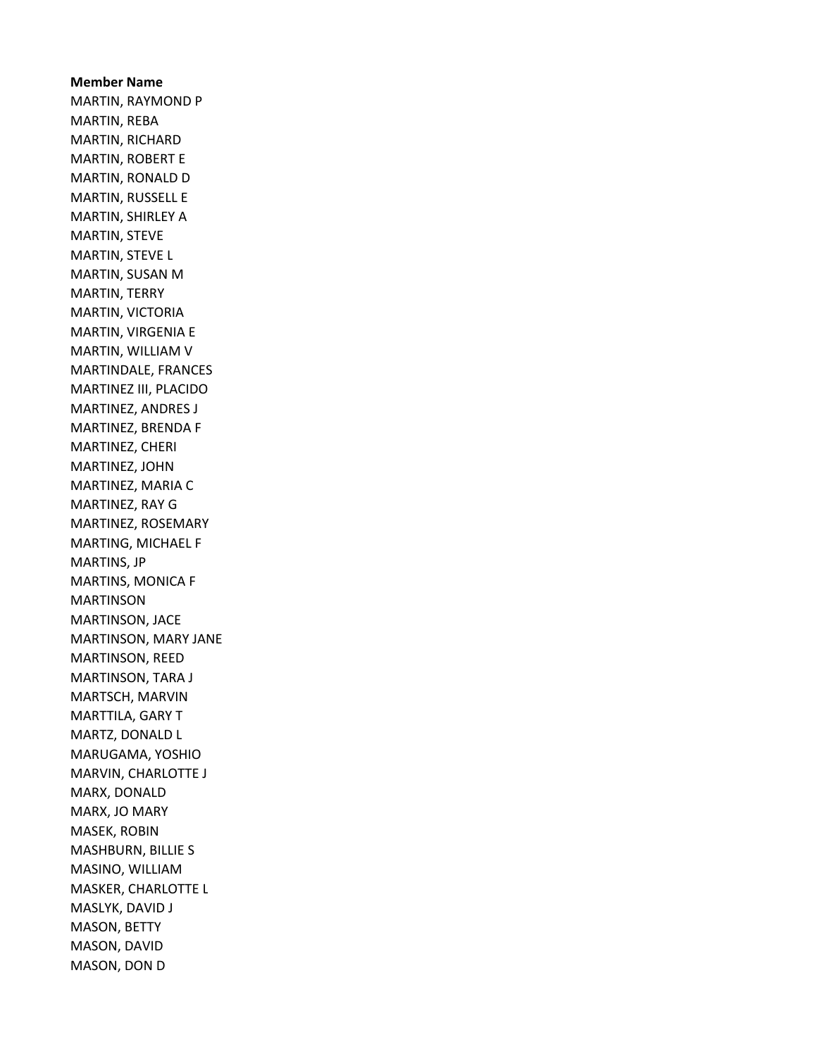Member Name MARTIN, RAYMOND P MARTIN, REBA MARTIN, RICHARD MARTIN, ROBERT E MARTIN, RONALD D MARTIN, RUSSELL E MARTIN, SHIRLEY A MARTIN, STEVE MARTIN, STEVE L MARTIN, SUSAN M MARTIN, TERRY MARTIN, VICTORIA MARTIN, VIRGENIA E MARTIN, WILLIAM V MARTINDALE, FRANCES MARTINEZ III, PLACIDO MARTINEZ, ANDRES J MARTINEZ, BRENDA F MARTINEZ, CHERI MARTINEZ, JOHN MARTINEZ, MARIA C MARTINEZ, RAY G MARTINEZ, ROSEMARY MARTING, MICHAEL F MARTINS, JP MARTINS, MONICA F MARTINSON MARTINSON, JACE MARTINSON, MARY JANE MARTINSON, REED MARTINSON, TARA J MARTSCH, MARVIN MARTTILA, GARY T MARTZ, DONALD L MARUGAMA, YOSHIO MARVIN, CHARLOTTE J MARX, DONALD MARX, JO MARY MASEK, ROBIN MASHBURN, BILLIE S MASINO, WILLIAM MASKER, CHARLOTTE L MASLYK, DAVID J MASON, BETTY MASON, DAVID MASON, DON D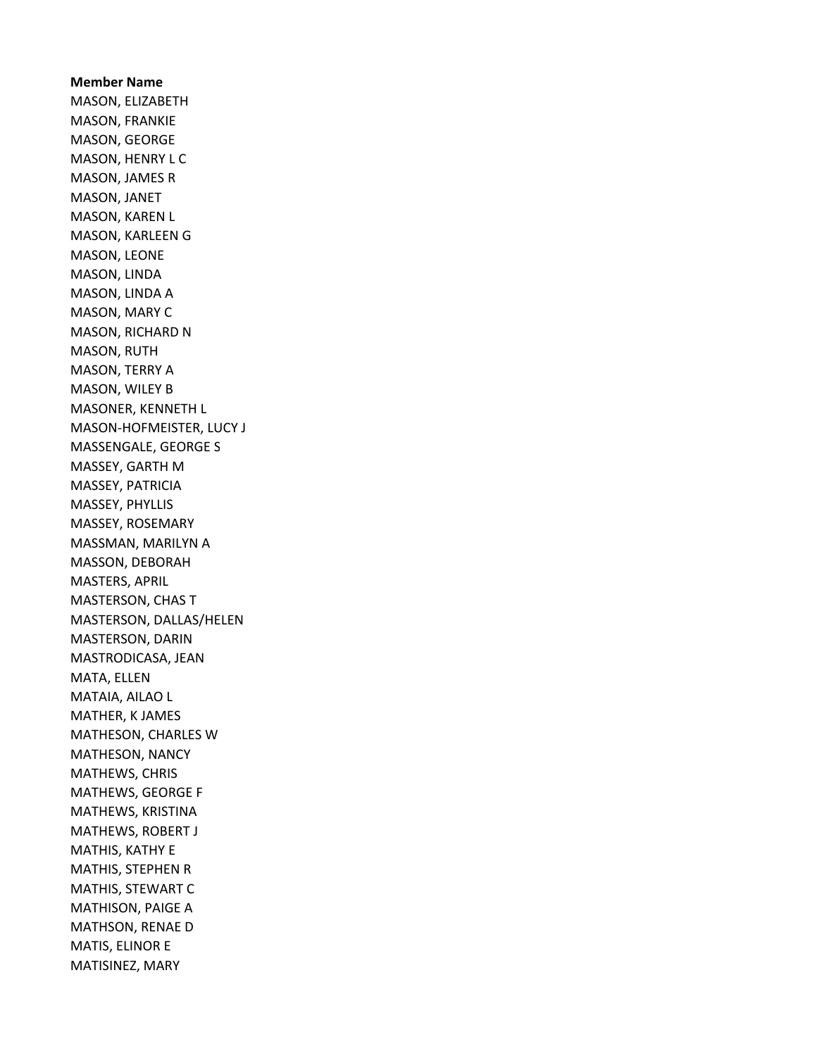Member Name MASON, ELIZABETH MASON, FRANKIE MASON, GEORGE MASON, HENRY L C MASON, JAMES R MASON, JANET MASON, KAREN L MASON, KARLEEN G MASON, LEONE MASON, LINDA MASON, LINDA A MASON, MARY C MASON, RICHARD N MASON, RUTH MASON, TERRY A MASON, WILEY B MASONER, KENNETH L MASON-HOFMEISTER, LUCY J MASSENGALE, GEORGE S MASSEY, GARTH M MASSEY, PATRICIA MASSEY, PHYLLIS MASSEY, ROSEMARY MASSMAN, MARILYN A MASSON, DEBORAH MASTERS, APRIL MASTERSON, CHAS T MASTERSON, DALLAS/HELEN MASTERSON, DARIN MASTRODICASA, JEAN MATA, ELLEN MATAIA, AILAO L MATHER, K JAMES MATHESON, CHARLES W MATHESON, NANCY MATHEWS, CHRIS MATHEWS, GEORGE F MATHEWS, KRISTINA MATHEWS, ROBERT J MATHIS, KATHY E MATHIS, STEPHEN R MATHIS, STEWART C MATHISON, PAIGE A MATHSON, RENAE D MATIS, ELINOR E MATISINEZ, MARY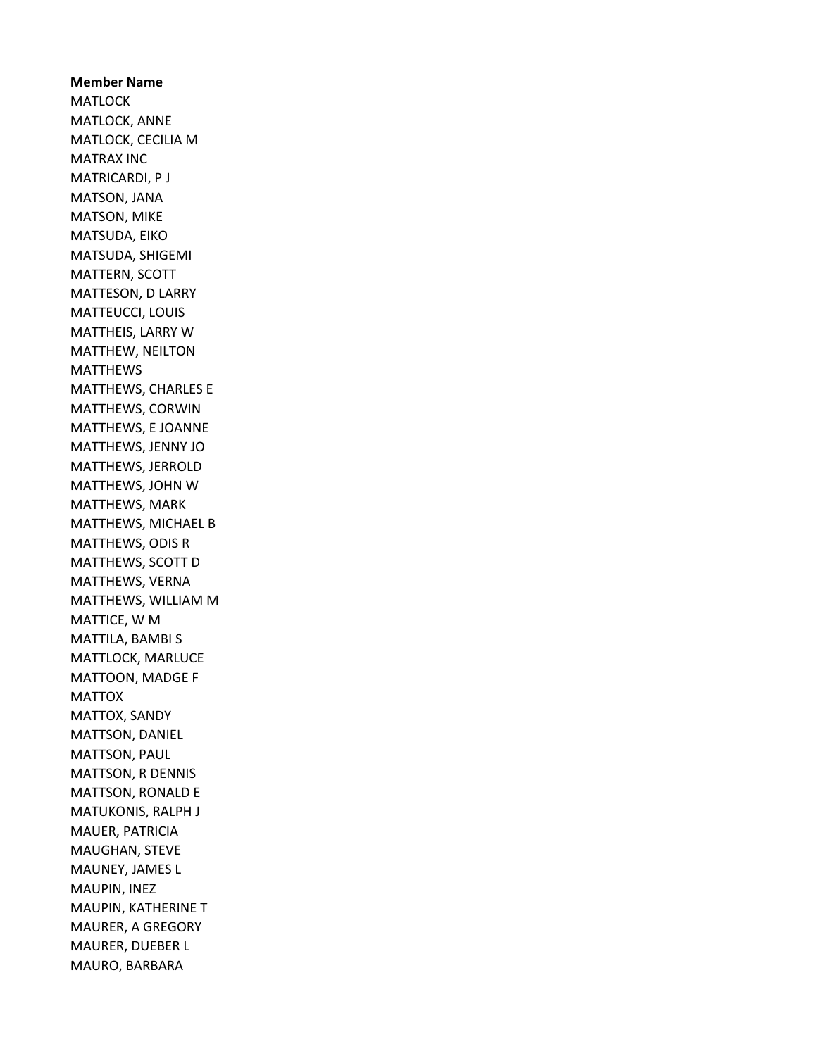Member Name **MATLOCK** MATLOCK, ANNE MATLOCK, CECILIA M MATRAX INC MATRICARDI, P J MATSON, JANA MATSON, MIKE MATSUDA, EIKO MATSUDA, SHIGEMI MATTERN, SCOTT MATTESON, D LARRY MATTEUCCI, LOUIS MATTHEIS, LARRY W MATTHEW, NEILTON MATTHEWS MATTHEWS, CHARLES E MATTHEWS, CORWIN MATTHEWS, E JOANNE MATTHEWS, JENNY JO MATTHEWS, JERROLD MATTHEWS, JOHN W MATTHEWS, MARK MATTHEWS, MICHAEL B MATTHEWS, ODIS R MATTHEWS, SCOTT D MATTHEWS, VERNA MATTHEWS, WILLIAM M MATTICE, W M MATTILA, BAMBI S MATTLOCK, MARLUCE MATTOON, MADGE F MATTOX MATTOX, SANDY MATTSON, DANIEL MATTSON, PAUL MATTSON, R DENNIS MATTSON, RONALD E MATUKONIS, RALPH J MAUER, PATRICIA MAUGHAN, STEVE MAUNEY, JAMES L MAUPIN, INEZ MAUPIN, KATHERINE T MAURER, A GREGORY MAURER, DUEBER L MAURO, BARBARA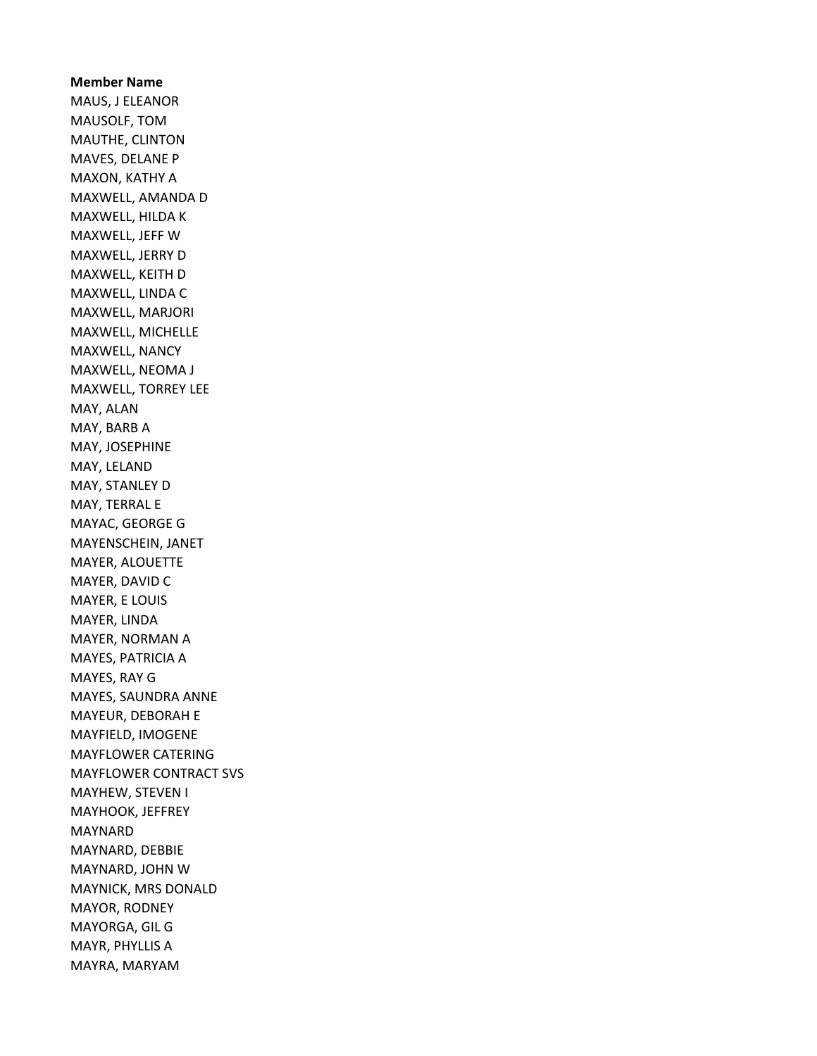Member Name MAUS, J ELEANOR MAUSOLF, TOM MAUTHE, CLINTON MAVES, DELANE P MAXON, KATHY A MAXWELL, AMANDA D MAXWELL, HILDA K MAXWELL, JEFF W MAXWELL, JERRY D MAXWELL, KEITH D MAXWELL, LINDA C MAXWELL, MARJORI MAXWELL, MICHELLE MAXWELL, NANCY MAXWELL, NEOMA J MAXWELL, TORREY LEE MAY, ALAN MAY, BARB A MAY, JOSEPHINE MAY, LELAND MAY, STANLEY D MAY, TERRAL E MAYAC, GEORGE G MAYENSCHEIN, JANET MAYER, ALOUETTE MAYER, DAVID C MAYER, E LOUIS MAYER, LINDA MAYER, NORMAN A MAYES, PATRICIA A MAYES, RAY G MAYES, SAUNDRA ANNE MAYEUR, DEBORAH E MAYFIELD, IMOGENE MAYFLOWER CATERING MAYFLOWER CONTRACT SVS MAYHEW, STEVEN I MAYHOOK, JEFFREY MAYNARD MAYNARD, DEBBIE MAYNARD, JOHN W MAYNICK, MRS DONALD MAYOR, RODNEY MAYORGA, GIL G MAYR, PHYLLIS A MAYRA, MARYAM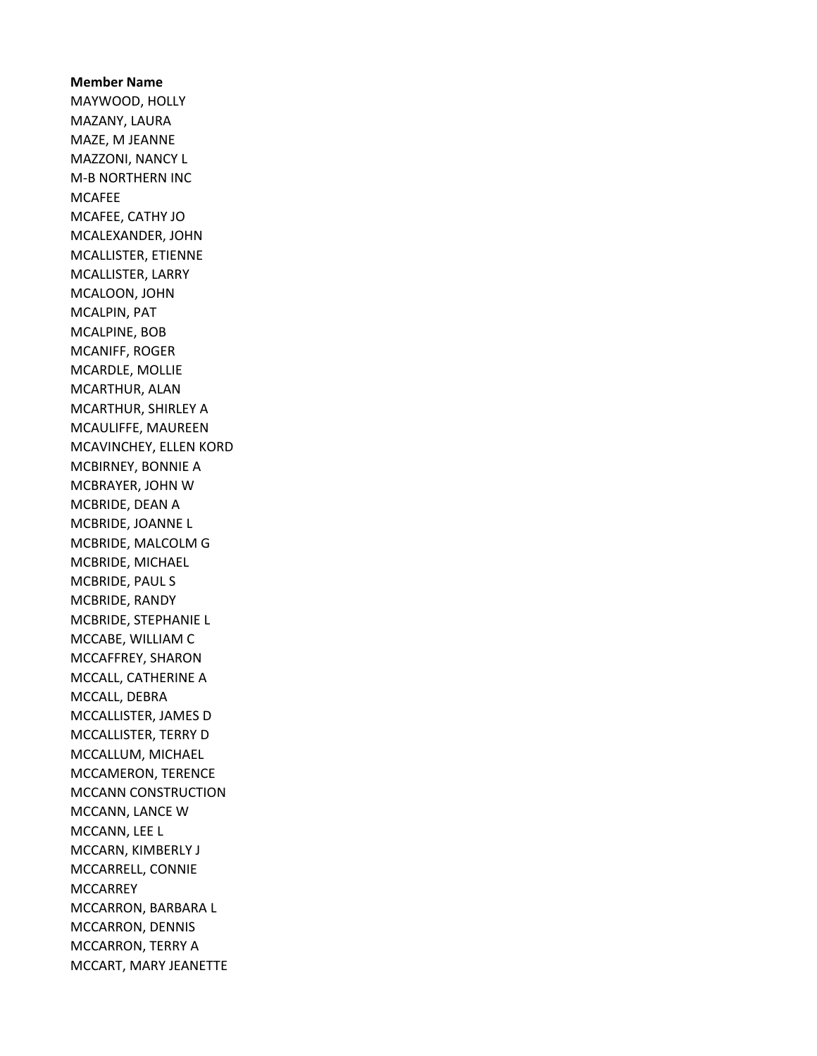Member Name MAYWOOD, HOLLY MAZANY, LAURA MAZE, M JEANNE MAZZONI, NANCY L M-B NORTHERN INC MCAFEE MCAFEE, CATHY JO MCALEXANDER, JOHN MCALLISTER, ETIENNE MCALLISTER, LARRY MCALOON, JOHN MCALPIN, PAT MCALPINE, BOB MCANIFF, ROGER MCARDLE, MOLLIE MCARTHUR, ALAN MCARTHUR, SHIRLEY A MCAULIFFE, MAUREEN MCAVINCHEY, ELLEN KORD MCBIRNEY, BONNIE A MCBRAYER, JOHN W MCBRIDE, DEAN A MCBRIDE, JOANNE L MCBRIDE, MALCOLM G MCBRIDE, MICHAEL MCBRIDE, PAUL S MCBRIDE, RANDY MCBRIDE, STEPHANIE L MCCABE, WILLIAM C MCCAFFREY, SHARON MCCALL, CATHERINE A MCCALL, DEBRA MCCALLISTER, JAMES D MCCALLISTER, TERRY D MCCALLUM, MICHAEL MCCAMERON, TERENCE MCCANN CONSTRUCTION MCCANN, LANCE W MCCANN, LEE L MCCARN, KIMBERLY J MCCARRELL, CONNIE **MCCARREY** MCCARRON, BARBARA L MCCARRON, DENNIS MCCARRON, TERRY A MCCART, MARY JEANETTE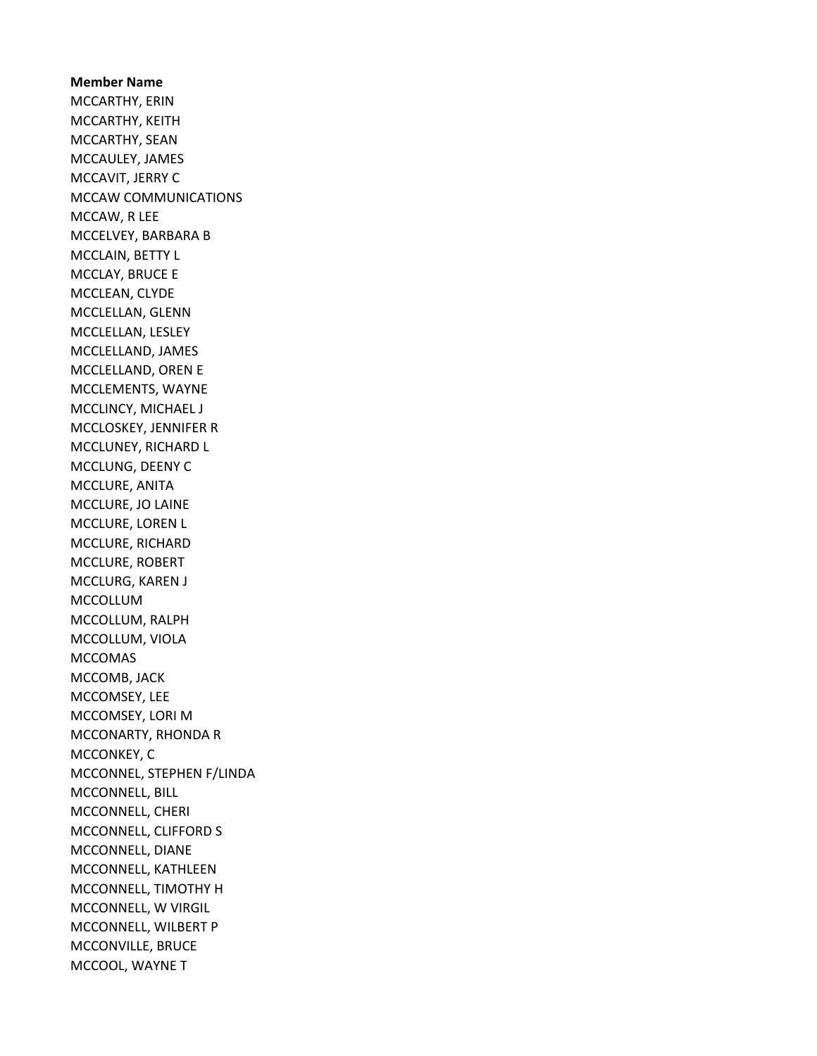Member Name MCCARTHY, ERIN MCCARTHY, KEITH MCCARTHY, SEAN MCCAULEY, JAMES MCCAVIT, JERRY C MCCAW COMMUNICATIONS MCCAW, R LEE MCCELVEY, BARBARA B MCCLAIN, BETTY L MCCLAY, BRUCE E MCCLEAN, CLYDE MCCLELLAN, GLENN MCCLELLAN, LESLEY MCCLELLAND, JAMES MCCLELLAND, OREN E MCCLEMENTS, WAYNE MCCLINCY, MICHAEL J MCCLOSKEY, JENNIFER R MCCLUNEY, RICHARD L MCCLUNG, DEENY C MCCLURE, ANITA MCCLURE, JO LAINE MCCLURE, LOREN L MCCLURE, RICHARD MCCLURE, ROBERT MCCLURG, KAREN J MCCOLLUM MCCOLLUM, RALPH MCCOLLUM, VIOLA MCCOMAS MCCOMB, JACK MCCOMSEY, LEE MCCOMSEY, LORI M MCCONARTY, RHONDA R MCCONKEY, C MCCONNEL, STEPHEN F/LINDA MCCONNELL, BILL MCCONNELL, CHERI MCCONNELL, CLIFFORD S MCCONNELL, DIANE MCCONNELL, KATHLEEN MCCONNELL, TIMOTHY H MCCONNELL, W VIRGIL MCCONNELL, WILBERT P MCCONVILLE, BRUCE MCCOOL, WAYNE T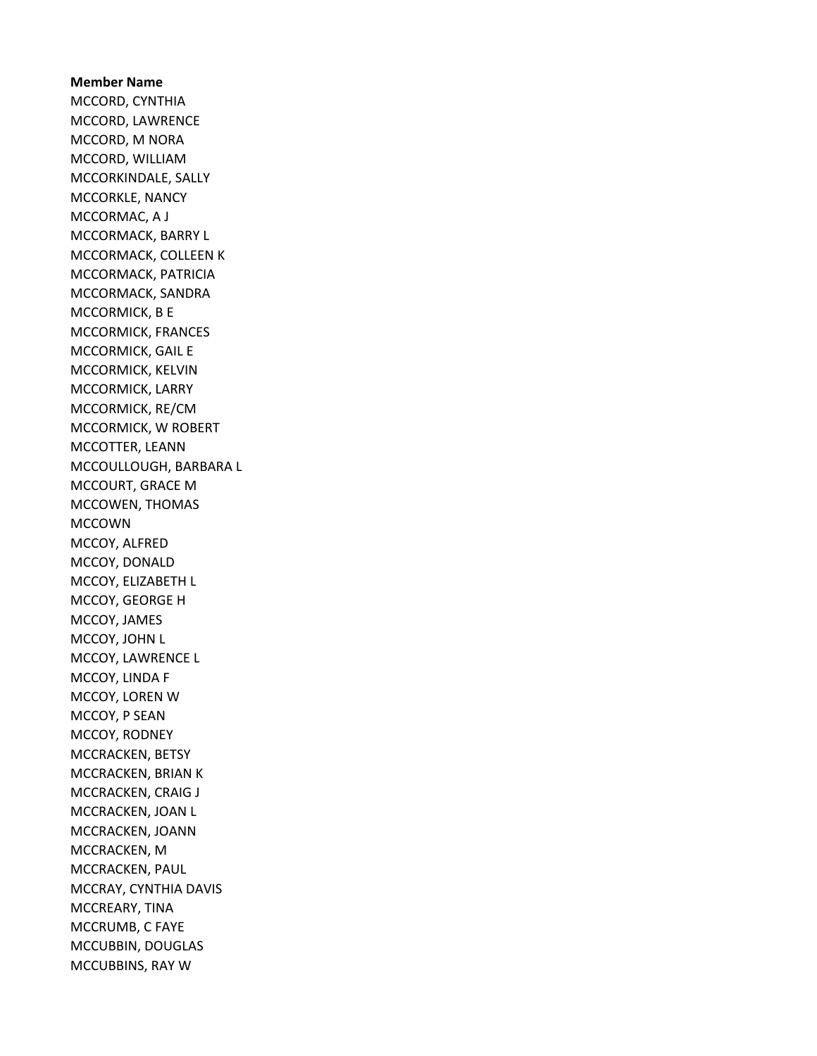Member Name MCCORD, CYNTHIA MCCORD, LAWRENCE MCCORD, M NORA MCCORD, WILLIAM MCCORKINDALE, SALLY MCCORKLE, NANCY MCCORMAC, A J MCCORMACK, BARRY L MCCORMACK, COLLEEN K MCCORMACK, PATRICIA MCCORMACK, SANDRA MCCORMICK, B E MCCORMICK, FRANCES MCCORMICK, GAIL E MCCORMICK, KELVIN MCCORMICK, LARRY MCCORMICK, RE/CM MCCORMICK, W ROBERT MCCOTTER, LEANN MCCOULLOUGH, BARBARA L MCCOURT, GRACE M MCCOWEN, THOMAS MCCOWN MCCOY, ALFRED MCCOY, DONALD MCCOY, ELIZABETH L MCCOY, GEORGE H MCCOY, JAMES MCCOY, JOHN L MCCOY, LAWRENCE L MCCOY, LINDA F MCCOY, LOREN W MCCOY, P SEAN MCCOY, RODNEY MCCRACKEN, BETSY MCCRACKEN, BRIAN K MCCRACKEN, CRAIG J MCCRACKEN, JOAN L MCCRACKEN, JOANN MCCRACKEN, M MCCRACKEN, PAUL MCCRAY, CYNTHIA DAVIS MCCREARY, TINA MCCRUMB, C FAYE MCCUBBIN, DOUGLAS MCCUBBINS, RAY W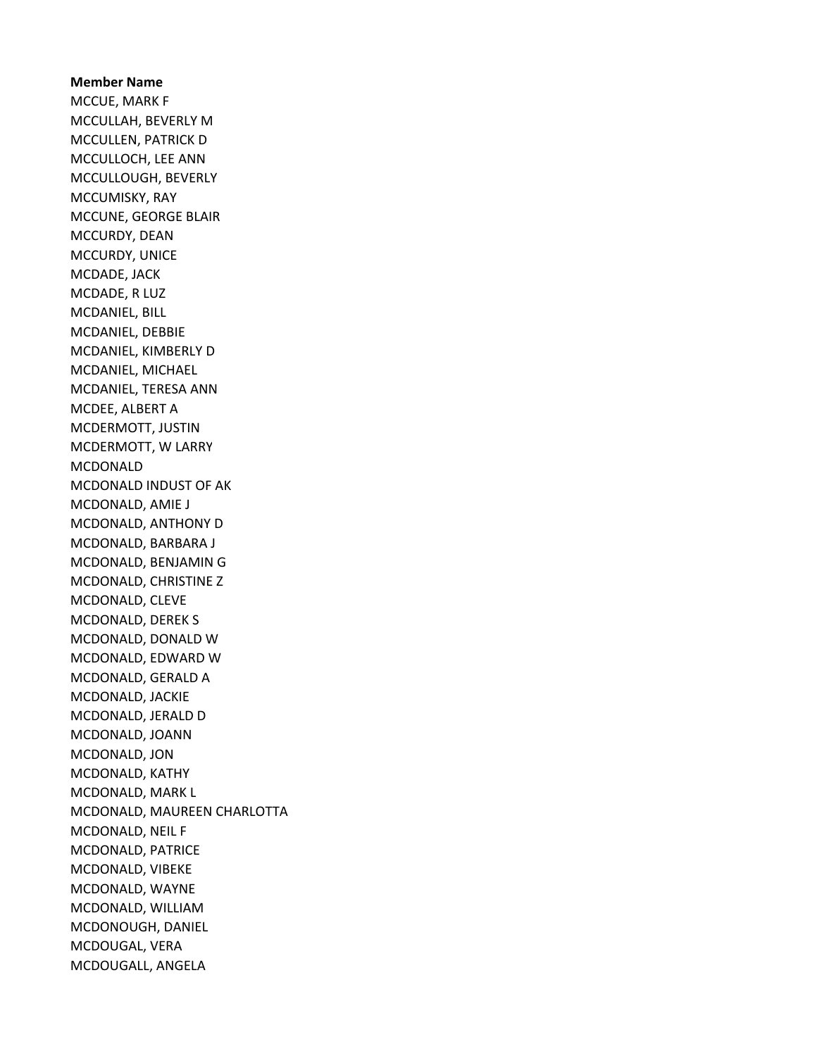Member Name MCCUE, MARK F MCCULLAH, BEVERLY M MCCULLEN, PATRICK D MCCULLOCH, LEE ANN MCCULLOUGH, BEVERLY MCCUMISKY, RAY MCCUNE, GEORGE BLAIR MCCURDY, DEAN MCCURDY, UNICE MCDADE, JACK MCDADE, R LUZ MCDANIEL, BILL MCDANIEL, DEBBIE MCDANIEL, KIMBERLY D MCDANIEL, MICHAEL MCDANIEL, TERESA ANN MCDEE, ALBERT A MCDERMOTT, JUSTIN MCDERMOTT, W LARRY MCDONALD MCDONALD INDUST OF AK MCDONALD, AMIE J MCDONALD, ANTHONY D MCDONALD, BARBARA J MCDONALD, BENJAMIN G MCDONALD, CHRISTINE Z MCDONALD, CLEVE MCDONALD, DEREK S MCDONALD, DONALD W MCDONALD, EDWARD W MCDONALD, GERALD A MCDONALD, JACKIE MCDONALD, JERALD D MCDONALD, JOANN MCDONALD, JON MCDONALD, KATHY MCDONALD, MARK L MCDONALD, MAUREEN CHARLOTTA MCDONALD, NEIL F MCDONALD, PATRICE MCDONALD, VIBEKE MCDONALD, WAYNE MCDONALD, WILLIAM MCDONOUGH, DANIEL MCDOUGAL, VERA MCDOUGALL, ANGELA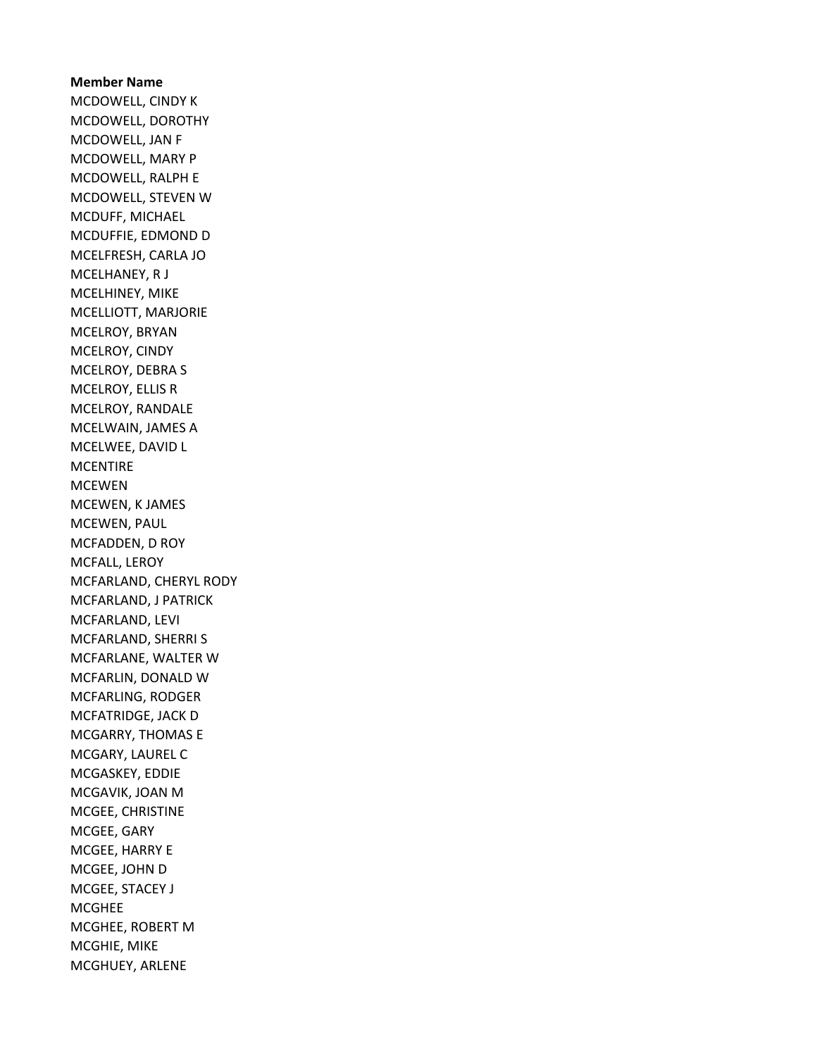Member Name MCDOWELL, CINDY K MCDOWELL, DOROTHY MCDOWELL, JAN F MCDOWELL, MARY P MCDOWELL, RALPH E MCDOWELL, STEVEN W MCDUFF, MICHAEL MCDUFFIE, EDMOND D MCELFRESH, CARLA JO MCELHANEY, R J MCELHINEY, MIKE MCELLIOTT, MARJORIE MCELROY, BRYAN MCELROY, CINDY MCELROY, DEBRA S MCELROY, ELLIS R MCELROY, RANDALE MCELWAIN, JAMES A MCELWEE, DAVID L **MCENTIRE** MCEWEN MCEWEN, K JAMES MCEWEN, PAUL MCFADDEN, D ROY MCFALL, LEROY MCFARLAND, CHERYL RODY MCFARLAND, J PATRICK MCFARLAND, LEVI MCFARLAND, SHERRI S MCFARLANE, WALTER W MCFARLIN, DONALD W MCFARLING, RODGER MCFATRIDGE, JACK D MCGARRY, THOMAS E MCGARY, LAUREL C MCGASKEY, EDDIE MCGAVIK, JOAN M MCGEE, CHRISTINE MCGEE, GARY MCGEE, HARRY E MCGEE, JOHN D MCGEE, STACEY J MCGHEE MCGHEE, ROBERT M MCGHIE, MIKE MCGHUEY, ARLENE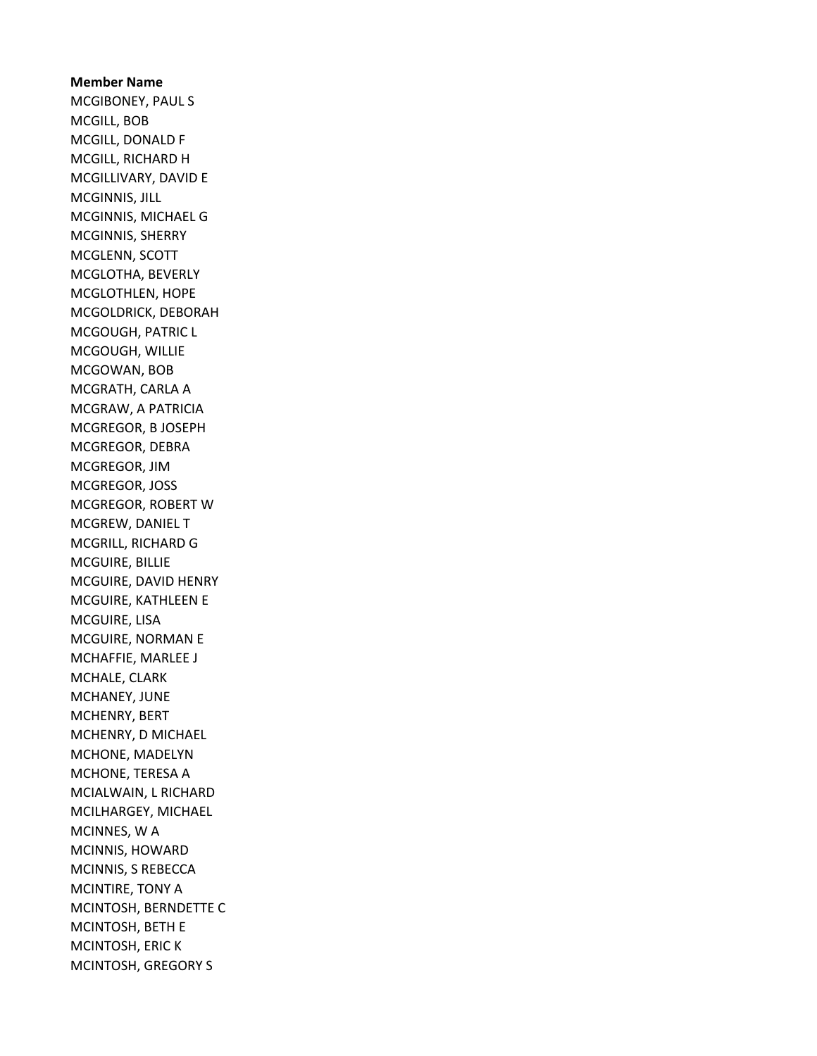Member Name MCGIBONEY, PAUL S MCGILL, BOB MCGILL, DONALD F MCGILL, RICHARD H MCGILLIVARY, DAVID E MCGINNIS, JILL MCGINNIS, MICHAEL G MCGINNIS, SHERRY MCGLENN, SCOTT MCGLOTHA, BEVERLY MCGLOTHLEN, HOPE MCGOLDRICK, DEBORAH MCGOUGH, PATRIC L MCGOUGH, WILLIE MCGOWAN, BOB MCGRATH, CARLA A MCGRAW, A PATRICIA MCGREGOR, B JOSEPH MCGREGOR, DEBRA MCGREGOR, JIM MCGREGOR, JOSS MCGREGOR, ROBERT W MCGREW, DANIEL T MCGRILL, RICHARD G MCGUIRE, BILLIE MCGUIRE, DAVID HENRY MCGUIRE, KATHLEEN E MCGUIRE, LISA MCGUIRE, NORMAN E MCHAFFIE, MARLEE J MCHALE, CLARK MCHANEY, JUNE MCHENRY, BERT MCHENRY, D MICHAEL MCHONE, MADELYN MCHONE, TERESA A MCIALWAIN, L RICHARD MCILHARGEY, MICHAEL MCINNES, W A MCINNIS, HOWARD MCINNIS, S REBECCA MCINTIRE, TONY A MCINTOSH, BERNDETTE C MCINTOSH, BETH E MCINTOSH, ERIC K MCINTOSH, GREGORY S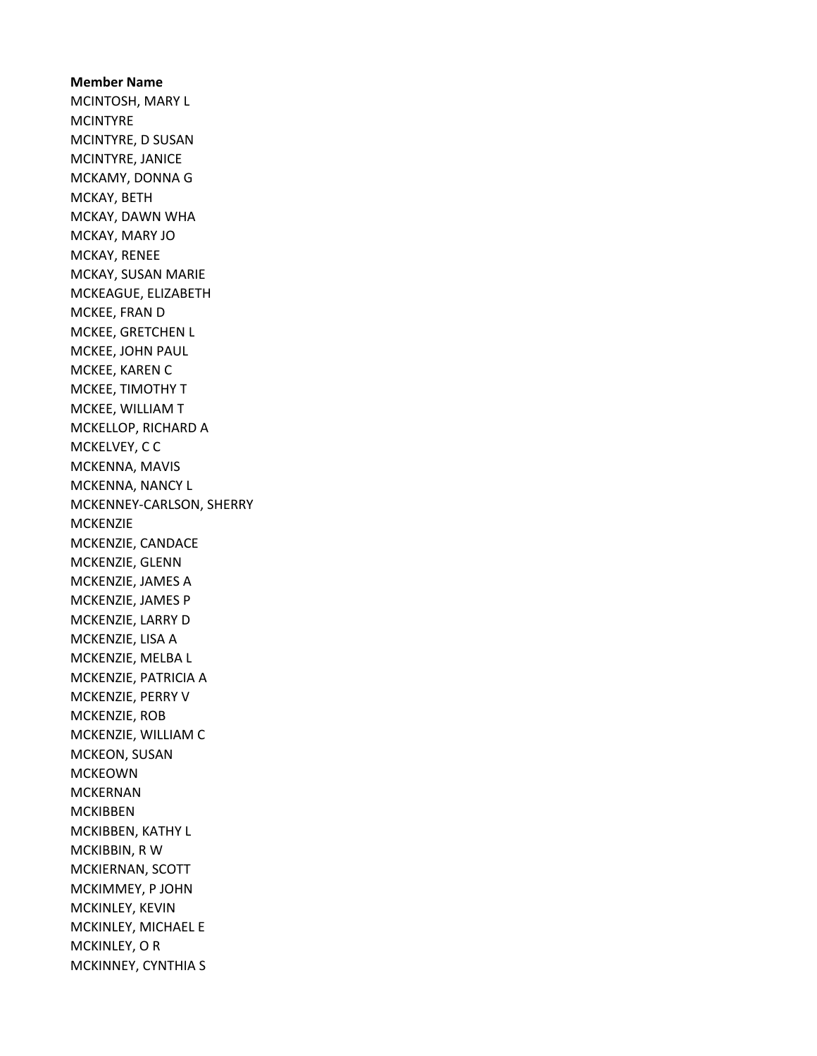Member Name MCINTOSH, MARY L **MCINTYRE** MCINTYRE, D SUSAN MCINTYRE, JANICE MCKAMY, DONNA G MCKAY, BETH MCKAY, DAWN WHA MCKAY, MARY JO MCKAY, RENEE MCKAY, SUSAN MARIE MCKEAGUE, ELIZABETH MCKEE, FRAN D MCKEE, GRETCHEN L MCKEE, JOHN PAUL MCKEE, KAREN C MCKEE, TIMOTHY T MCKEE, WILLIAM T MCKELLOP, RICHARD A MCKELVEY, C C MCKENNA, MAVIS MCKENNA, NANCY L MCKENNEY-CARLSON, SHERRY **MCKENZIE** MCKENZIE, CANDACE MCKENZIE, GLENN MCKENZIE, JAMES A MCKENZIE, JAMES P MCKENZIE, LARRY D MCKENZIE, LISA A MCKENZIE, MELBA L MCKENZIE, PATRICIA A MCKENZIE, PERRY V MCKENZIE, ROB MCKENZIE, WILLIAM C MCKEON, SUSAN MCKEOWN MCKERNAN MCKIBBEN MCKIBBEN, KATHY L MCKIBBIN, R W MCKIERNAN, SCOTT MCKIMMEY, P JOHN MCKINLEY, KEVIN MCKINLEY, MICHAEL E MCKINLEY, O R MCKINNEY, CYNTHIA S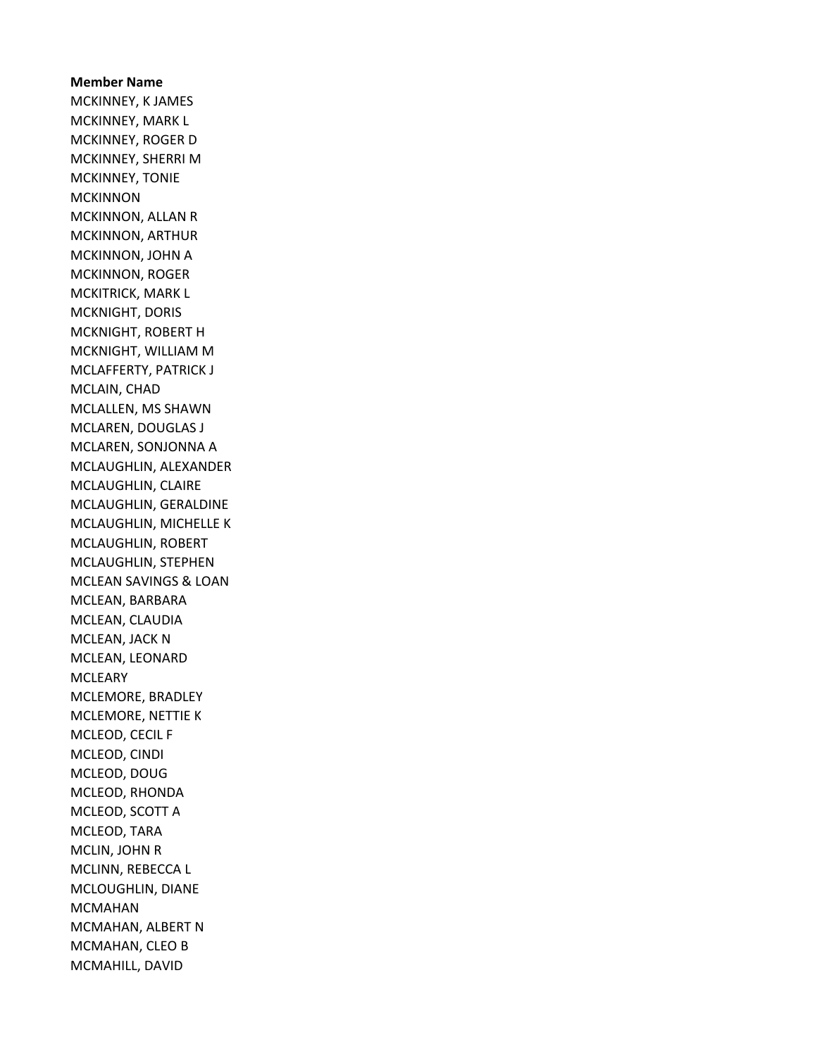Member Name MCKINNEY, K JAMES MCKINNEY, MARK L MCKINNEY, ROGER D MCKINNEY, SHERRI M MCKINNEY, TONIE **MCKINNON** MCKINNON, ALLAN R MCKINNON, ARTHUR MCKINNON, JOHN A MCKINNON, ROGER MCKITRICK, MARK L MCKNIGHT, DORIS MCKNIGHT, ROBERT H MCKNIGHT, WILLIAM M MCLAFFERTY, PATRICK J MCLAIN, CHAD MCLALLEN, MS SHAWN MCLAREN, DOUGLAS J MCLAREN, SONJONNA A MCLAUGHLIN, ALEXANDER MCLAUGHLIN, CLAIRE MCLAUGHLIN, GERALDINE MCLAUGHLIN, MICHELLE K MCLAUGHLIN, ROBERT MCLAUGHLIN, STEPHEN MCLEAN SAVINGS & LOAN MCLEAN, BARBARA MCLEAN, CLAUDIA MCLEAN, JACK N MCLEAN, LEONARD **MCLEARY** MCLEMORE, BRADLEY MCLEMORE, NETTIE K MCLEOD, CECIL F MCLEOD, CINDI MCLEOD, DOUG MCLEOD, RHONDA MCLEOD, SCOTT A MCLEOD, TARA MCLIN, JOHN R MCLINN, REBECCA L MCLOUGHLIN, DIANE MCMAHAN MCMAHAN, ALBERT N MCMAHAN, CLEO B MCMAHILL, DAVID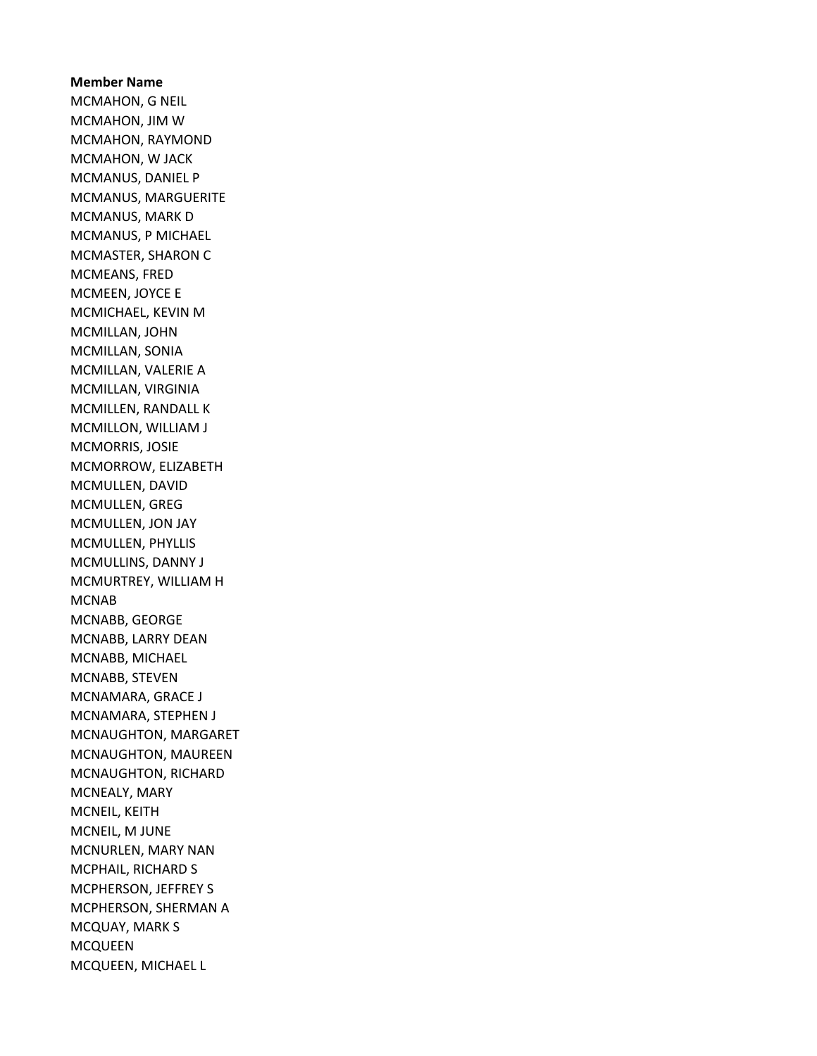## Member Name MCMAHON, G NEIL MCMAHON, JIM W MCMAHON, RAYMOND MCMAHON, W JACK MCMANUS, DANIEL P MCMANUS, MARGUERITE MCMANUS, MARK D MCMANUS, P MICHAEL MCMASTER, SHARON C MCMEANS, FRED MCMEEN, JOYCE E MCMICHAEL, KEVIN M MCMILLAN, JOHN MCMILLAN, SONIA MCMILLAN, VALERIE A MCMILLAN, VIRGINIA MCMILLEN, RANDALL K MCMILLON, WILLIAM J MCMORRIS, JOSIE MCMORROW, ELIZABETH MCMULLEN, DAVID MCMULLEN, GREG MCMULLEN, JON JAY MCMULLEN, PHYLLIS MCMULLINS, DANNY J MCMURTREY, WILLIAM H MCNAB MCNABB, GEORGE MCNABB, LARRY DEAN MCNABB, MICHAEL MCNABB, STEVEN MCNAMARA, GRACE J MCNAMARA, STEPHEN J MCNAUGHTON, MARGARET MCNAUGHTON, MAUREEN MCNAUGHTON, RICHARD MCNEALY, MARY MCNEIL, KEITH MCNEIL, M JUNE MCNURLEN, MARY NAN MCPHAIL, RICHARD S MCPHERSON, JEFFREY S MCPHERSON, SHERMAN A MCQUAY, MARK S MCQUEEN MCQUEEN, MICHAEL L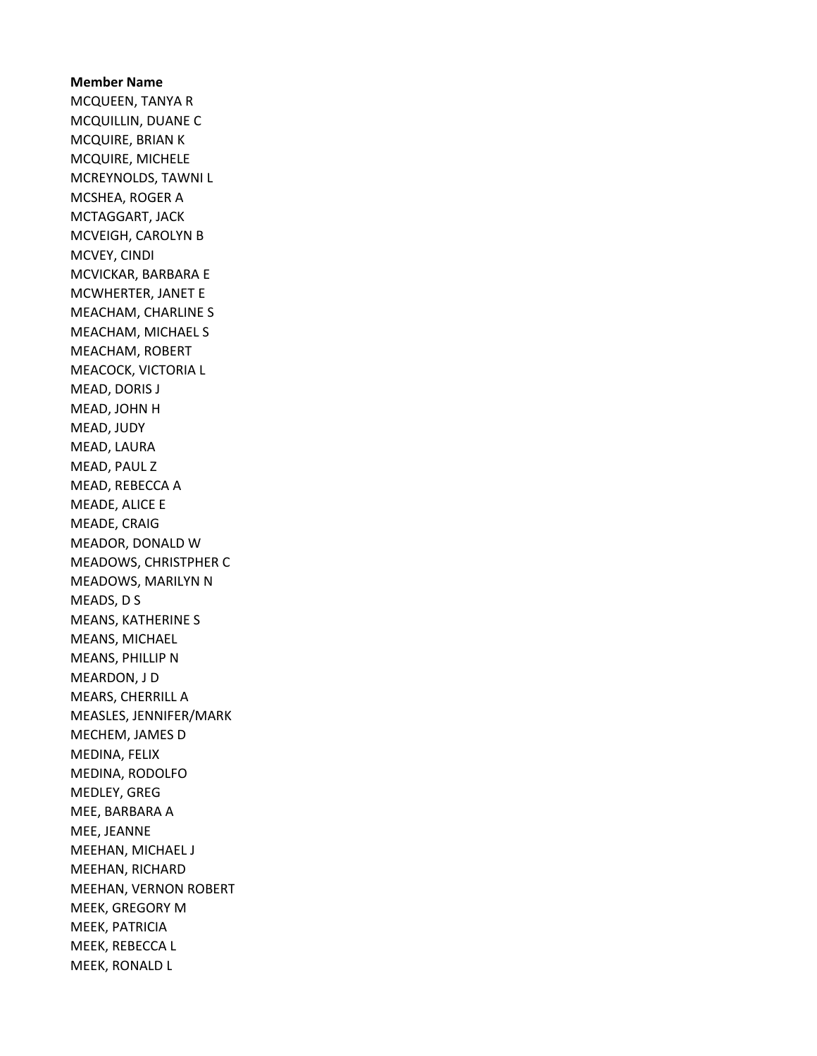Member Name MCQUEEN, TANYA R MCQUILLIN, DUANE C MCQUIRE, BRIAN K MCQUIRE, MICHELE MCREYNOLDS, TAWNI L MCSHEA, ROGER A MCTAGGART, JACK MCVEIGH, CAROLYN B MCVEY, CINDI MCVICKAR, BARBARA E MCWHERTER, JANET E MEACHAM, CHARLINE S MEACHAM, MICHAEL S MEACHAM, ROBERT MEACOCK, VICTORIA L MEAD, DORIS J MEAD, JOHN H MEAD, JUDY MEAD, LAURA MEAD, PAUL Z MEAD, REBECCA A MEADE, ALICE E MEADE, CRAIG MEADOR, DONALD W MEADOWS, CHRISTPHER C MEADOWS, MARILYN N MEADS, D S MEANS, KATHERINE S MEANS, MICHAEL MEANS, PHILLIP N MEARDON, J D MEARS, CHERRILL A MEASLES, JENNIFER/MARK MECHEM, JAMES D MEDINA, FELIX MEDINA, RODOLFO MEDLEY, GREG MEE, BARBARA A MEE, JEANNE MEEHAN, MICHAEL J MEEHAN, RICHARD MEEHAN, VERNON ROBERT MEEK, GREGORY M MEEK, PATRICIA MEEK, REBECCA L MEEK, RONALD L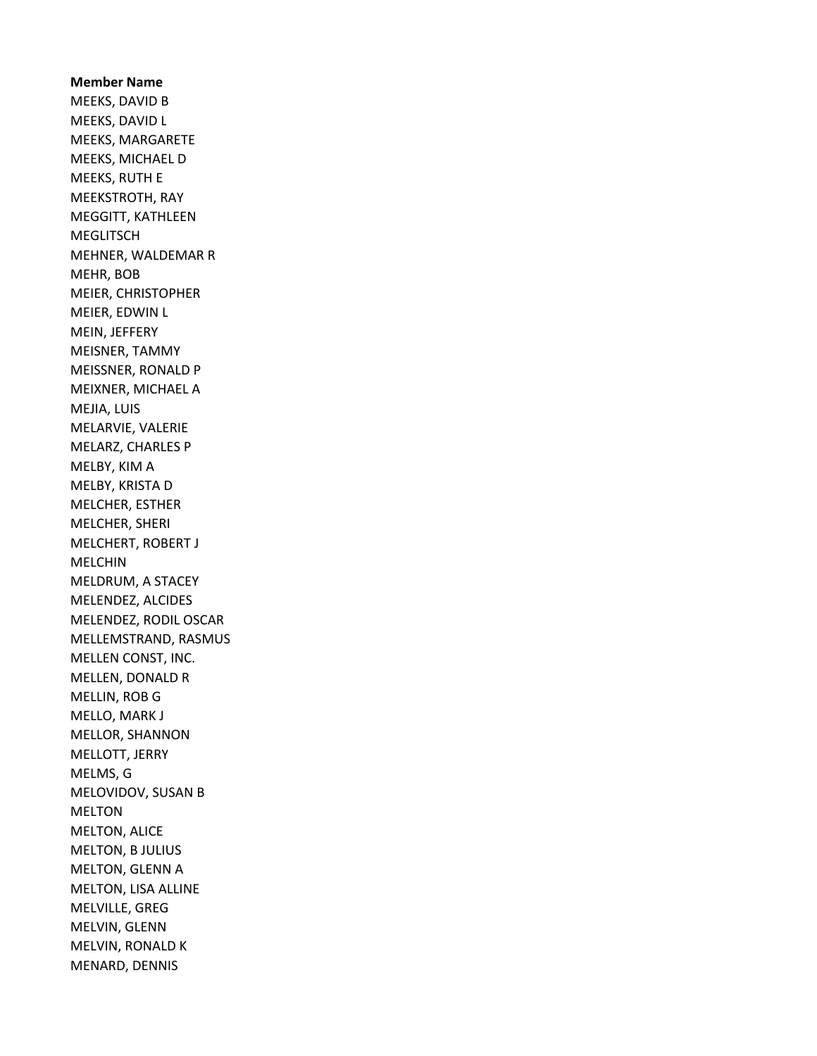Member Name MEEKS, DAVID B MEEKS, DAVID L MEEKS, MARGARETE MEEKS, MICHAEL D MEEKS, RUTH E MEEKSTROTH, RAY MEGGITT, KATHLEEN **MEGLITSCH** MEHNER, WALDEMAR R MEHR, BOB MEIER, CHRISTOPHER MEIER, EDWIN L MEIN, JEFFERY MEISNER, TAMMY MEISSNER, RONALD P MEIXNER, MICHAEL A MEJIA, LUIS MELARVIE, VALERIE MELARZ, CHARLES P MELBY, KIM A MELBY, KRISTA D MELCHER, ESTHER MELCHER, SHERI MELCHERT, ROBERT J MELCHIN MELDRUM, A STACEY MELENDEZ, ALCIDES MELENDEZ, RODIL OSCAR MELLEMSTRAND, RASMUS MELLEN CONST, INC. MELLEN, DONALD R MELLIN, ROB G MELLO, MARK J MELLOR, SHANNON MELLOTT, JERRY MELMS, G MELOVIDOV, SUSAN B MELTON MELTON, ALICE MELTON, B JULIUS MELTON, GLENN A MELTON, LISA ALLINE MELVILLE, GREG MELVIN, GLENN MELVIN, RONALD K MENARD, DENNIS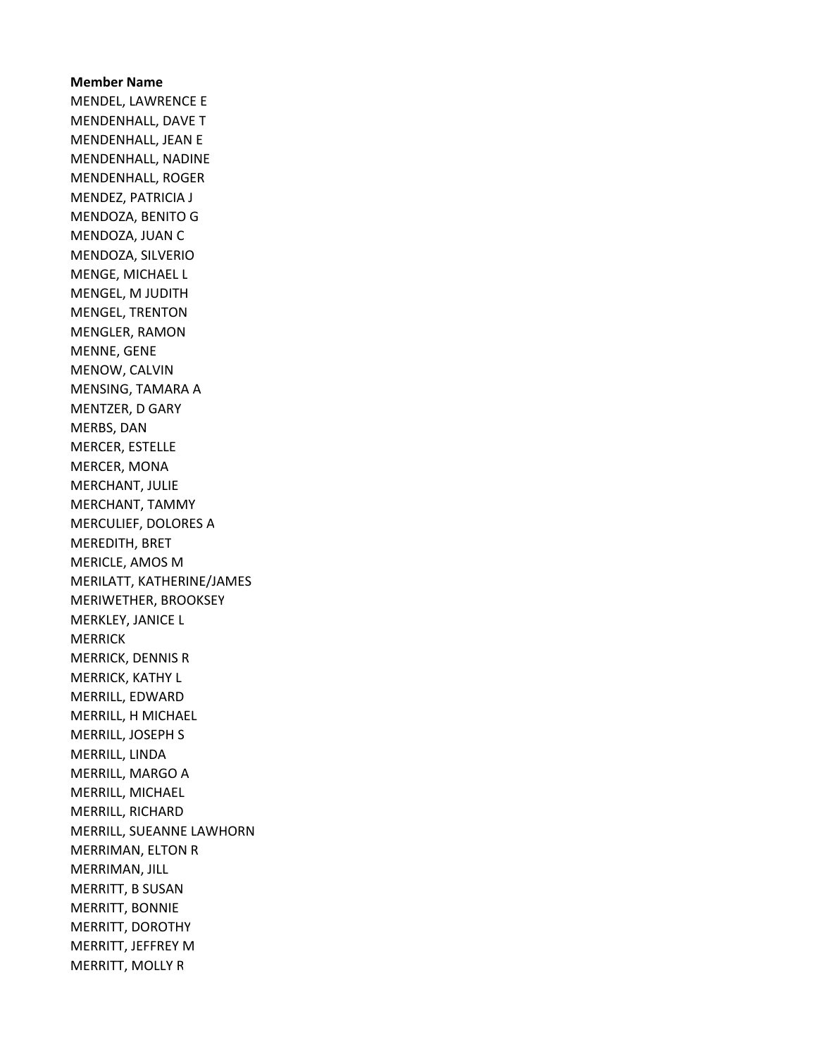Member Name MENDEL, LAWRENCE E MENDENHALL, DAVE T MENDENHALL, JEAN E MENDENHALL, NADINE MENDENHALL, ROGER MENDEZ, PATRICIA J MENDOZA, BENITO G MENDOZA, JUAN C MENDOZA, SILVERIO MENGE, MICHAEL L MENGEL, M JUDITH MENGEL, TRENTON MENGLER, RAMON MENNE, GENE MENOW, CALVIN MENSING, TAMARA A MENTZER, D GARY MERBS, DAN MERCER, ESTELLE MERCER, MONA MERCHANT, JULIE MERCHANT, TAMMY MERCULIEF, DOLORES A MEREDITH, BRET MERICLE, AMOS M MERILATT, KATHERINE/JAMES MERIWETHER, BROOKSEY MERKLEY, JANICE L **MERRICK** MERRICK, DENNIS R MERRICK, KATHY L MERRILL, EDWARD MERRILL, H MICHAEL MERRILL, JOSEPH S MERRILL, LINDA MERRILL, MARGO A MERRILL, MICHAEL MERRILL, RICHARD MERRILL, SUEANNE LAWHORN MERRIMAN, ELTON R MERRIMAN, JILL MERRITT, B SUSAN MERRITT, BONNIE MERRITT, DOROTHY MERRITT, JEFFREY M MERRITT, MOLLY R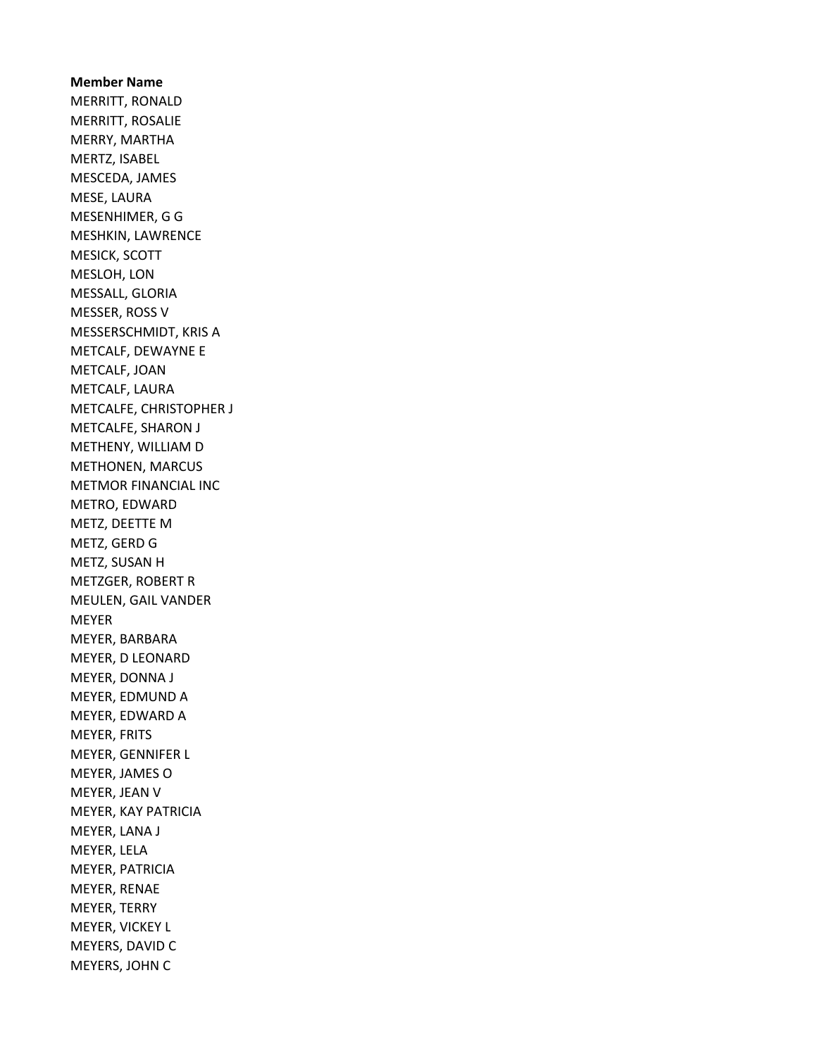Member Name MERRITT, RONALD MERRITT, ROSALIE MERRY, MARTHA MERTZ, ISABEL MESCEDA, JAMES MESE, LAURA MESENHIMER, G G MESHKIN, LAWRENCE MESICK, SCOTT MESLOH, LON MESSALL, GLORIA MESSER, ROSS V MESSERSCHMIDT, KRIS A METCALF, DEWAYNE E METCALF, JOAN METCALF, LAURA METCALFE, CHRISTOPHER J METCALFE, SHARON J METHENY, WILLIAM D METHONEN, MARCUS METMOR FINANCIAL INC METRO, EDWARD METZ, DEETTE M METZ, GERD G METZ, SUSAN H METZGER, ROBERT R MEULEN, GAIL VANDER MEYER MEYER, BARBARA MEYER, D LEONARD MEYER, DONNA J MEYER, EDMUND A MEYER, EDWARD A MEYER, FRITS MEYER, GENNIFER L MEYER, JAMES O MEYER, JEAN V MEYER, KAY PATRICIA MEYER, LANA J MEYER, LELA MEYER, PATRICIA MEYER, RENAE MEYER, TERRY MEYER, VICKEY L MEYERS, DAVID C MEYERS, JOHN C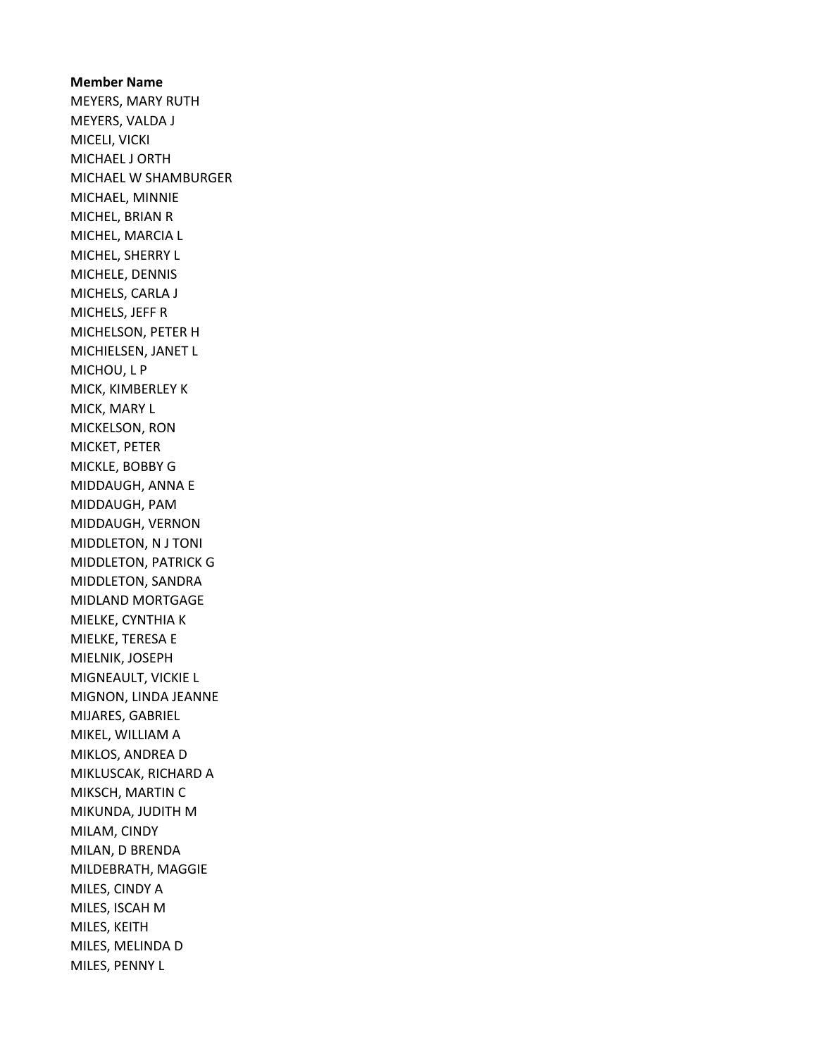Member Name MEYERS, MARY RUTH MEYERS, VALDA J MICELI, VICKI MICHAEL J ORTH MICHAEL W SHAMBURGER MICHAEL, MINNIE MICHEL, BRIAN R MICHEL, MARCIA L MICHEL, SHERRY L MICHELE, DENNIS MICHELS, CARLA J MICHELS, JEFF R MICHELSON, PETER H MICHIELSEN, JANET L MICHOU, L P MICK, KIMBERLEY K MICK, MARY L MICKELSON, RON MICKET, PETER MICKLE, BOBBY G MIDDAUGH, ANNA E MIDDAUGH, PAM MIDDAUGH, VERNON MIDDLETON, N J TONI MIDDLETON, PATRICK G MIDDLETON, SANDRA MIDLAND MORTGAGE MIELKE, CYNTHIA K MIELKE, TERESA E MIELNIK, JOSEPH MIGNEAULT, VICKIE L MIGNON, LINDA JEANNE MIJARES, GABRIEL MIKEL, WILLIAM A MIKLOS, ANDREA D MIKLUSCAK, RICHARD A MIKSCH, MARTIN C MIKUNDA, JUDITH M MILAM, CINDY MILAN, D BRENDA MILDEBRATH, MAGGIE MILES, CINDY A MILES, ISCAH M MILES, KEITH MILES, MELINDA D MILES, PENNY L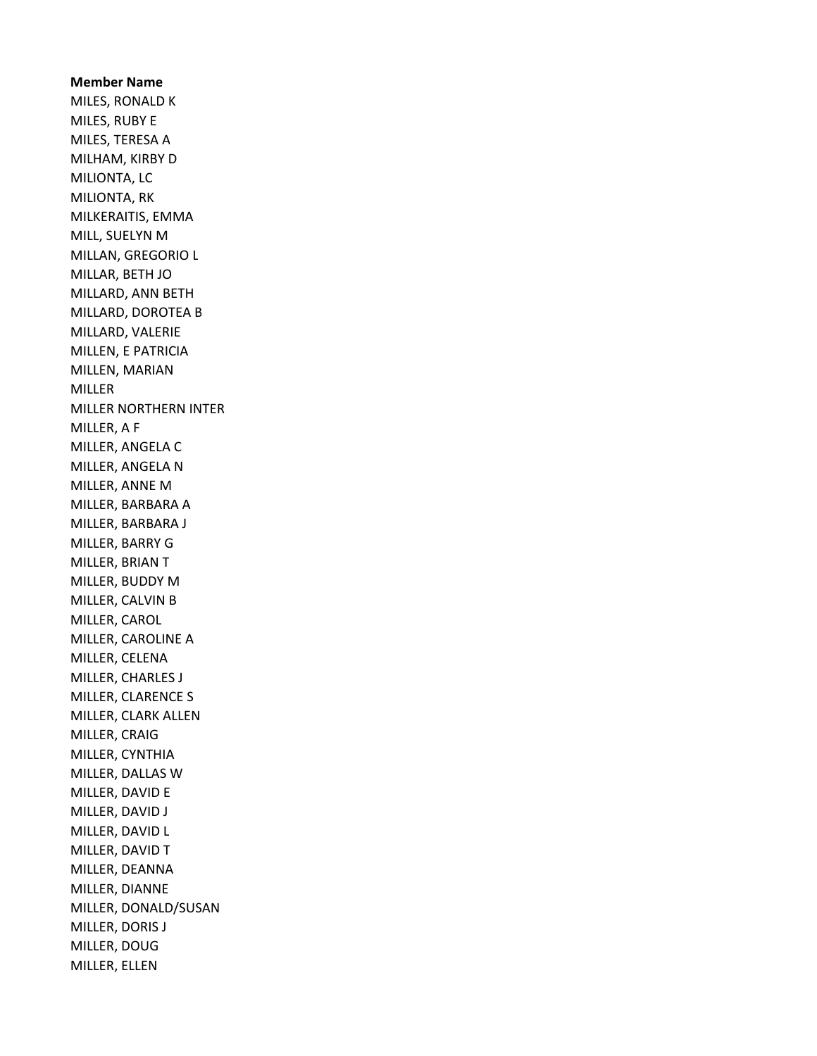Member Name MILES, RONALD K MILES, RUBY E MILES, TERESA A MILHAM, KIRBY D MILIONTA, LC MILIONTA, RK MILKERAITIS, EMMA MILL, SUELYN M MILLAN, GREGORIO L MILLAR, BETH JO MILLARD, ANN BETH MILLARD, DOROTEA B MILLARD, VALERIE MILLEN, E PATRICIA MILLEN, MARIAN MILLER MILLER NORTHERN INTER MILLER, A F MILLER, ANGELA C MILLER, ANGELA N MILLER, ANNE M MILLER, BARBARA A MILLER, BARBARA J MILLER, BARRY G MILLER, BRIAN T MILLER, BUDDY M MILLER, CALVIN B MILLER, CAROL MILLER, CAROLINE A MILLER, CELENA MILLER, CHARLES J MILLER, CLARENCE S MILLER, CLARK ALLEN MILLER, CRAIG MILLER, CYNTHIA MILLER, DALLAS W MILLER, DAVID E MILLER, DAVID J MILLER, DAVID L MILLER, DAVID T MILLER, DEANNA MILLER, DIANNE MILLER, DONALD/SUSAN MILLER, DORIS J MILLER, DOUG MILLER, ELLEN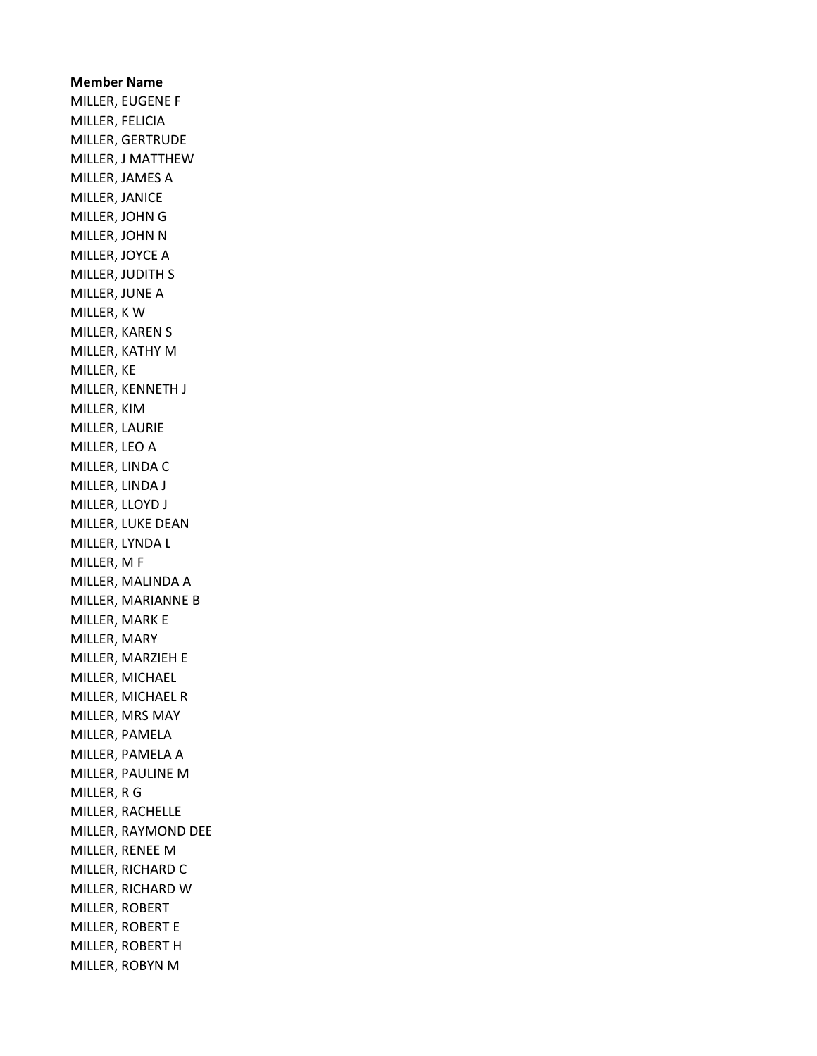Member Name MILLER, EUGENE F MILLER, FELICIA MILLER, GERTRUDE MILLER, J MATTHEW MILLER, JAMES A MILLER, JANICE MILLER, JOHN G MILLER, JOHN N MILLER, JOYCE A MILLER, JUDITH S MILLER, JUNE A MILLER, K W MILLER, KAREN S MILLER, KATHY M MILLER, KE MILLER, KENNETH J MILLER, KIM MILLER, LAURIE MILLER, LEO A MILLER, LINDA C MILLER, LINDA J MILLER, LLOYD J MILLER, LUKE DEAN MILLER, LYNDA L MILLER, M F MILLER, MALINDA A MILLER, MARIANNE B MILLER, MARK E MILLER, MARY MILLER, MARZIEH E MILLER, MICHAEL MILLER, MICHAEL R MILLER, MRS MAY MILLER, PAMELA MILLER, PAMELA A MILLER, PAULINE M MILLER, R G MILLER, RACHELLE MILLER, RAYMOND DEE MILLER, RENEE M MILLER, RICHARD C MILLER, RICHARD W MILLER, ROBERT MILLER, ROBERT E MILLER, ROBERT H MILLER, ROBYN M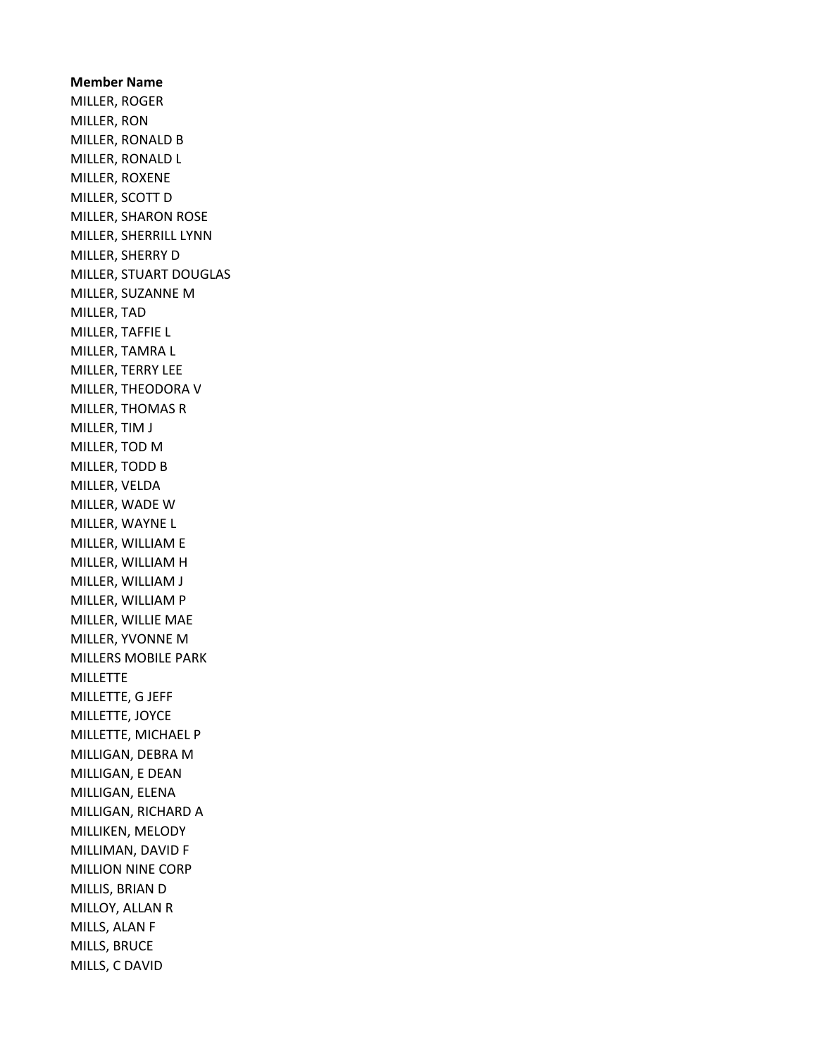Member Name MILLER, ROGER MILLER, RON MILLER, RONALD B MILLER, RONALD L MILLER, ROXENE MILLER, SCOTT D MILLER, SHARON ROSE MILLER, SHERRILL LYNN MILLER, SHERRY D MILLER, STUART DOUGLAS MILLER, SUZANNE M MILLER, TAD MILLER, TAFFIE L MILLER, TAMRA L MILLER, TERRY LEE MILLER, THEODORA V MILLER, THOMAS R MILLER, TIM J MILLER, TOD M MILLER, TODD B MILLER, VELDA MILLER, WADE W MILLER, WAYNE L MILLER, WILLIAM E MILLER, WILLIAM H MILLER, WILLIAM J MILLER, WILLIAM P MILLER, WILLIE MAE MILLER, YVONNE M MILLERS MOBILE PARK **MILLETTE** MILLETTE, G JEFF MILLETTE, JOYCE MILLETTE, MICHAEL P MILLIGAN, DEBRA M MILLIGAN, E DEAN MILLIGAN, ELENA MILLIGAN, RICHARD A MILLIKEN, MELODY MILLIMAN, DAVID F MILLION NINE CORP MILLIS, BRIAN D MILLOY, ALLAN R MILLS, ALAN F MILLS, BRUCE MILLS, C DAVID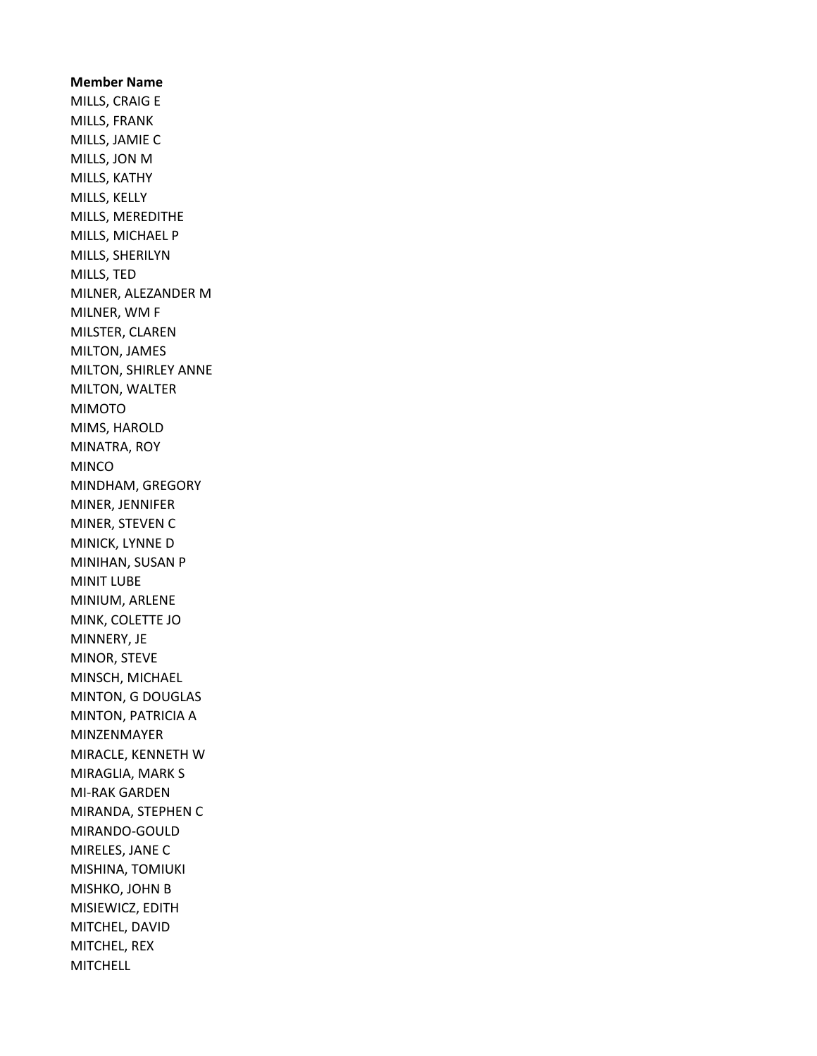Member Name MILLS, CRAIG E MILLS, FRANK MILLS, JAMIE C MILLS, JON M MILLS, KATHY MILLS, KELLY MILLS, MEREDITHE MILLS, MICHAEL P MILLS, SHERILYN MILLS, TED MILNER, ALEZANDER M MILNER, WM F MILSTER, CLAREN MILTON, JAMES MILTON, SHIRLEY ANNE MILTON, WALTER MIMOTO MIMS, HAROLD MINATRA, ROY MINCO MINDHAM, GREGORY MINER, JENNIFER MINER, STEVEN C MINICK, LYNNE D MINIHAN, SUSAN P MINIT LUBE MINIUM, ARLENE MINK, COLETTE JO MINNERY, JE MINOR, STEVE MINSCH, MICHAEL MINTON, G DOUGLAS MINTON, PATRICIA A MINZENMAYER MIRACLE, KENNETH W MIRAGLIA, MARK S MI-RAK GARDEN MIRANDA, STEPHEN C MIRANDO-GOULD MIRELES, JANE C MISHINA, TOMIUKI MISHKO, JOHN B MISIEWICZ, EDITH MITCHEL, DAVID MITCHEL, REX **MITCHELL**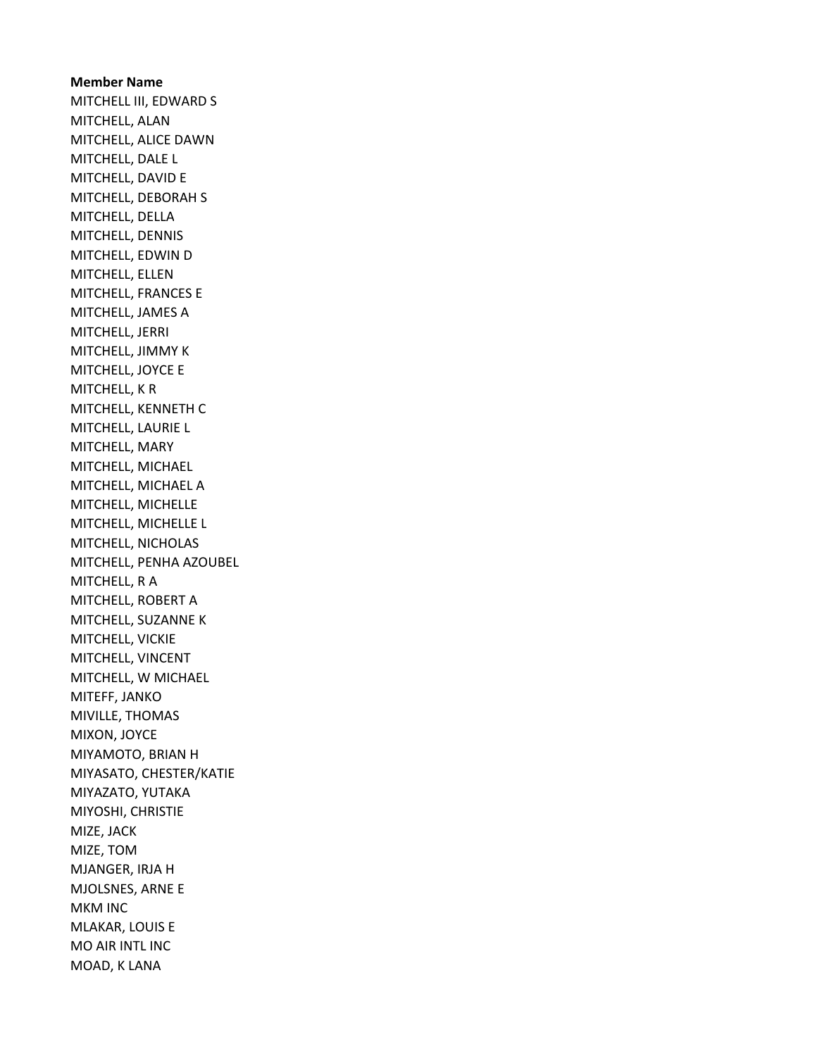Member Name MITCHELL III, EDWARD S MITCHELL, ALAN MITCHELL, ALICE DAWN MITCHELL, DALE L MITCHELL, DAVID E MITCHELL, DEBORAH S MITCHELL, DELLA MITCHELL, DENNIS MITCHELL, EDWIN D MITCHELL, ELLEN MITCHELL, FRANCES E MITCHELL, JAMES A MITCHELL, JERRI MITCHELL, JIMMY K MITCHELL, JOYCE E MITCHELL, K R MITCHELL, KENNETH C MITCHELL, LAURIE L MITCHELL, MARY MITCHELL, MICHAEL MITCHELL, MICHAEL A MITCHELL, MICHELLE MITCHELL, MICHELLE L MITCHELL, NICHOLAS MITCHELL, PENHA AZOUBEL MITCHELL, R A MITCHELL, ROBERT A MITCHELL, SUZANNE K MITCHELL, VICKIE MITCHELL, VINCENT MITCHELL, W MICHAEL MITEFF, JANKO MIVILLE, THOMAS MIXON, JOYCE MIYAMOTO, BRIAN H MIYASATO, CHESTER/KATIE MIYAZATO, YUTAKA MIYOSHI, CHRISTIE MIZE, JACK MIZE, TOM MJANGER, IRJA H MJOLSNES, ARNE E MKM INC MLAKAR, LOUIS E MO AIR INTL INC MOAD, K LANA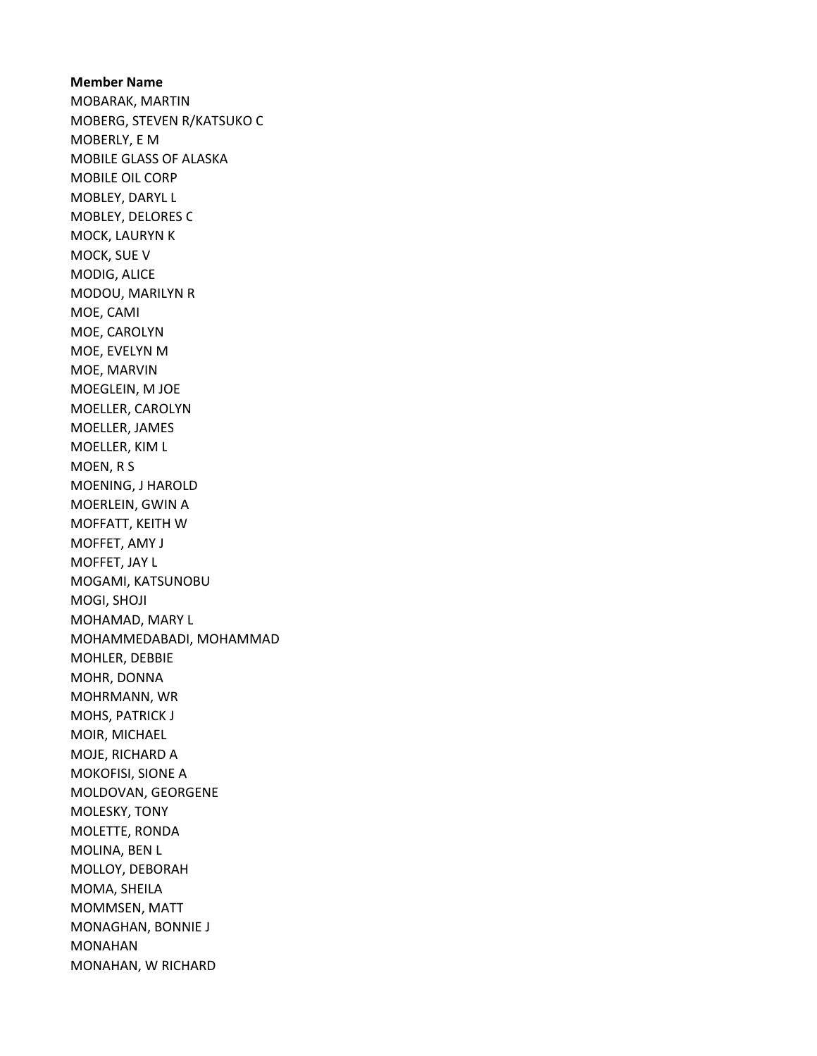Member Name MOBARAK, MARTIN MOBERG, STEVEN R/KATSUKO C MOBERLY, E M MOBILE GLASS OF ALASKA MOBILE OIL CORP MOBLEY, DARYL L MOBLEY, DELORES C MOCK, LAURYN K MOCK, SUE V MODIG, ALICE MODOU, MARILYN R MOE, CAMI MOE, CAROLYN MOE, EVELYN M MOE, MARVIN MOEGLEIN, M JOE MOELLER, CAROLYN MOELLER, JAMES MOELLER, KIM L MOEN, R S MOENING, J HAROLD MOERLEIN, GWIN A MOFFATT, KEITH W MOFFET, AMY J MOFFET, JAY L MOGAMI, KATSUNOBU MOGI, SHOJI MOHAMAD, MARY L MOHAMMEDABADI, MOHAMMAD MOHLER, DEBBIE MOHR, DONNA MOHRMANN, WR MOHS, PATRICK J MOIR, MICHAEL MOJE, RICHARD A MOKOFISI, SIONE A MOLDOVAN, GEORGENE MOLESKY, TONY MOLETTE, RONDA MOLINA, BEN L MOLLOY, DEBORAH MOMA, SHEILA MOMMSEN, MATT MONAGHAN, BONNIE J MONAHAN MONAHAN, W RICHARD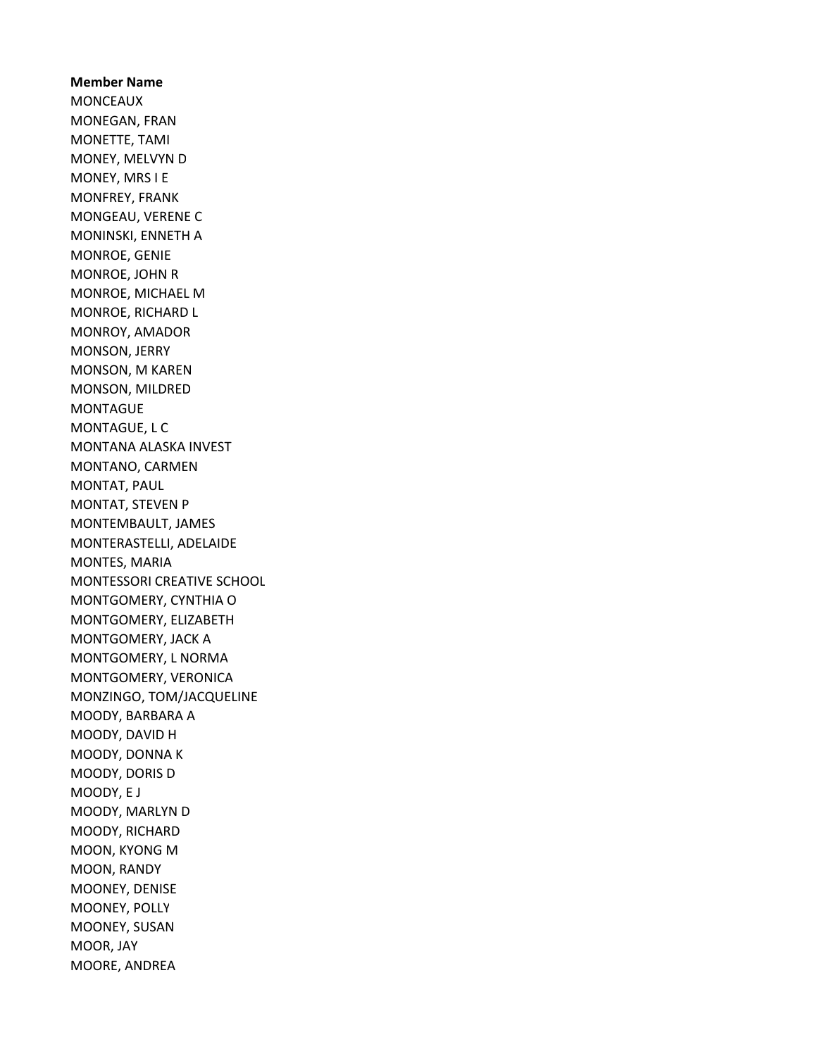Member Name MONCEAUX MONEGAN, FRAN MONETTE, TAMI MONEY, MELVYN D MONEY, MRS I E MONFREY, FRANK MONGEAU, VERENE C MONINSKI, ENNETH A MONROE, GENIE MONROE, JOHN R MONROE, MICHAEL M MONROE, RICHARD L MONROY, AMADOR MONSON, JERRY MONSON, M KAREN MONSON, MILDRED MONTAGUE MONTAGUE, L C MONTANA ALASKA INVEST MONTANO, CARMEN MONTAT, PAUL MONTAT, STEVEN P MONTEMBAULT, JAMES MONTERASTELLI, ADELAIDE MONTES, MARIA MONTESSORI CREATIVE SCHOOL MONTGOMERY, CYNTHIA O MONTGOMERY, ELIZABETH MONTGOMERY, JACK A MONTGOMERY, L NORMA MONTGOMERY, VERONICA MONZINGO, TOM/JACQUELINE MOODY, BARBARA A MOODY, DAVID H MOODY, DONNA K MOODY, DORIS D MOODY, E J MOODY, MARLYN D MOODY, RICHARD MOON, KYONG M MOON, RANDY MOONEY, DENISE MOONEY, POLLY MOONEY, SUSAN MOOR, JAY MOORE, ANDREA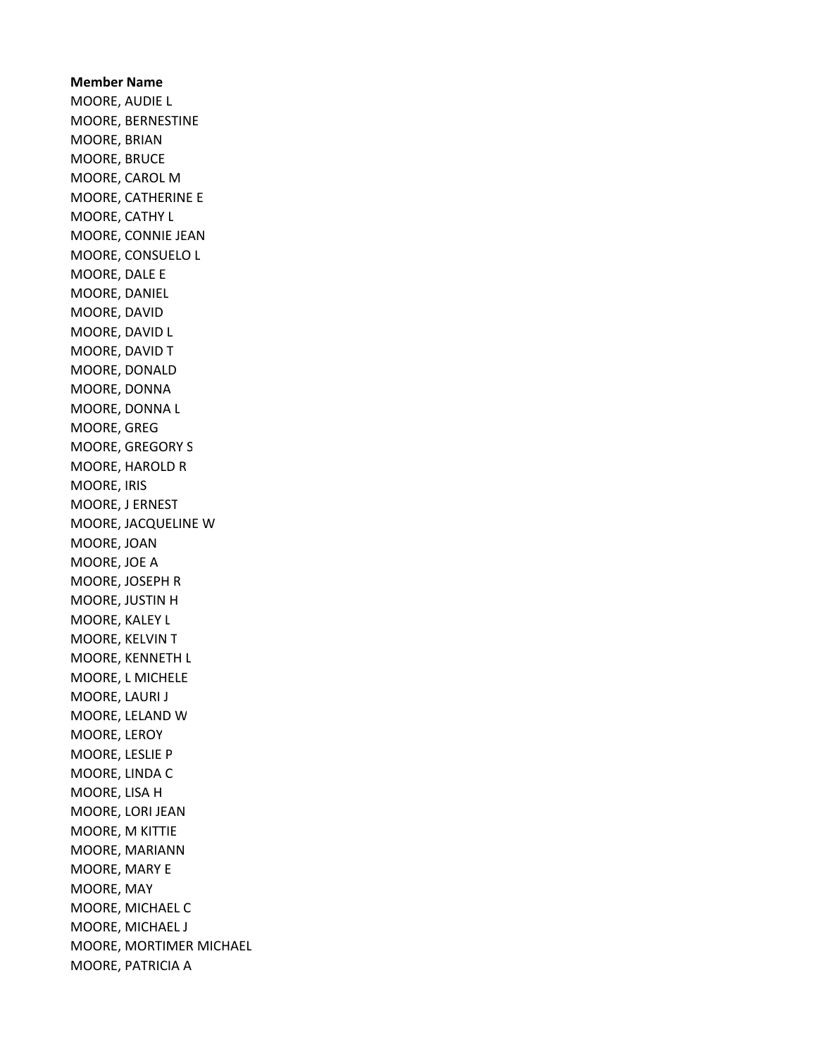Member Name MOORE, AUDIE L MOORE, BERNESTINE MOORE, BRIAN MOORE, BRUCE MOORE, CAROL M MOORE, CATHERINE E MOORE, CATHY L MOORE, CONNIE JEAN MOORE, CONSUELO L MOORE, DALE E MOORE, DANIEL MOORE, DAVID MOORE, DAVID L MOORE, DAVID T MOORE, DONALD MOORE, DONNA MOORE, DONNA L MOORE, GREG MOORE, GREGORY S MOORE, HAROLD R MOORE, IRIS MOORE, J ERNEST MOORE, JACQUELINE W MOORE, JOAN MOORE, JOE A MOORE, JOSEPH R MOORE, JUSTIN H MOORE, KALEY L MOORE, KELVIN T MOORE, KENNETH L MOORE, L MICHELE MOORE, LAURI J MOORE, LELAND W MOORE, LEROY MOORE, LESLIE P MOORE, LINDA C MOORE, LISA H MOORE, LORI JEAN MOORE, M KITTIE MOORE, MARIANN MOORE, MARY E MOORE, MAY MOORE, MICHAEL C MOORE, MICHAEL J MOORE, MORTIMER MICHAEL MOORE, PATRICIA A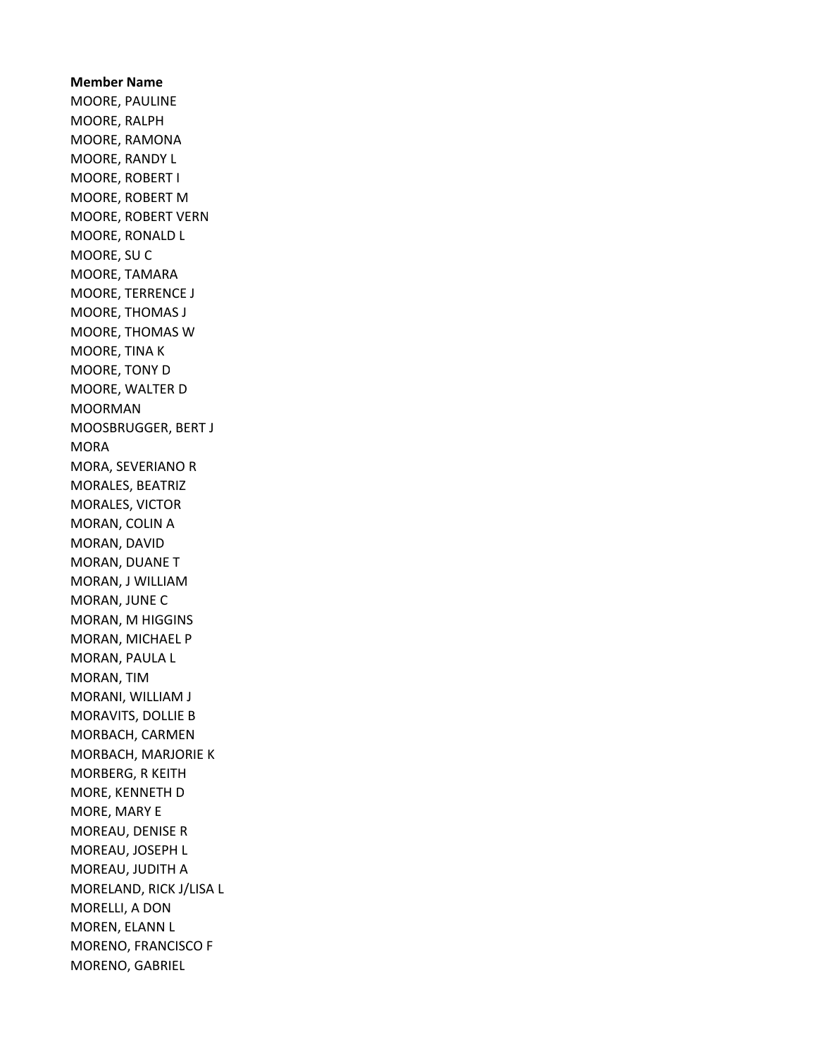Member Name MOORE, PAULINE MOORE, RALPH MOORE, RAMONA MOORE, RANDY L MOORE, ROBERT I MOORE, ROBERT M MOORE, ROBERT VERN MOORE, RONALD L MOORE, SU C MOORE, TAMARA MOORE, TERRENCE J MOORE, THOMAS J MOORE, THOMAS W MOORE, TINA K MOORE, TONY D MOORE, WALTER D MOORMAN MOOSBRUGGER, BERT J MORA MORA, SEVERIANO R MORALES, BEATRIZ MORALES, VICTOR MORAN, COLIN A MORAN, DAVID MORAN, DUANE T MORAN, J WILLIAM MORAN, JUNE C MORAN, M HIGGINS MORAN, MICHAEL P MORAN, PAULA L MORAN, TIM MORANI, WILLIAM J MORAVITS, DOLLIE B MORBACH, CARMEN MORBACH, MARJORIE K MORBERG, R KEITH MORE, KENNETH D MORE, MARY E MOREAU, DENISE R MOREAU, JOSEPH L MOREAU, JUDITH A MORELAND, RICK J/LISA L MORELLI, A DON MOREN, ELANN L MORENO, FRANCISCO F MORENO, GABRIEL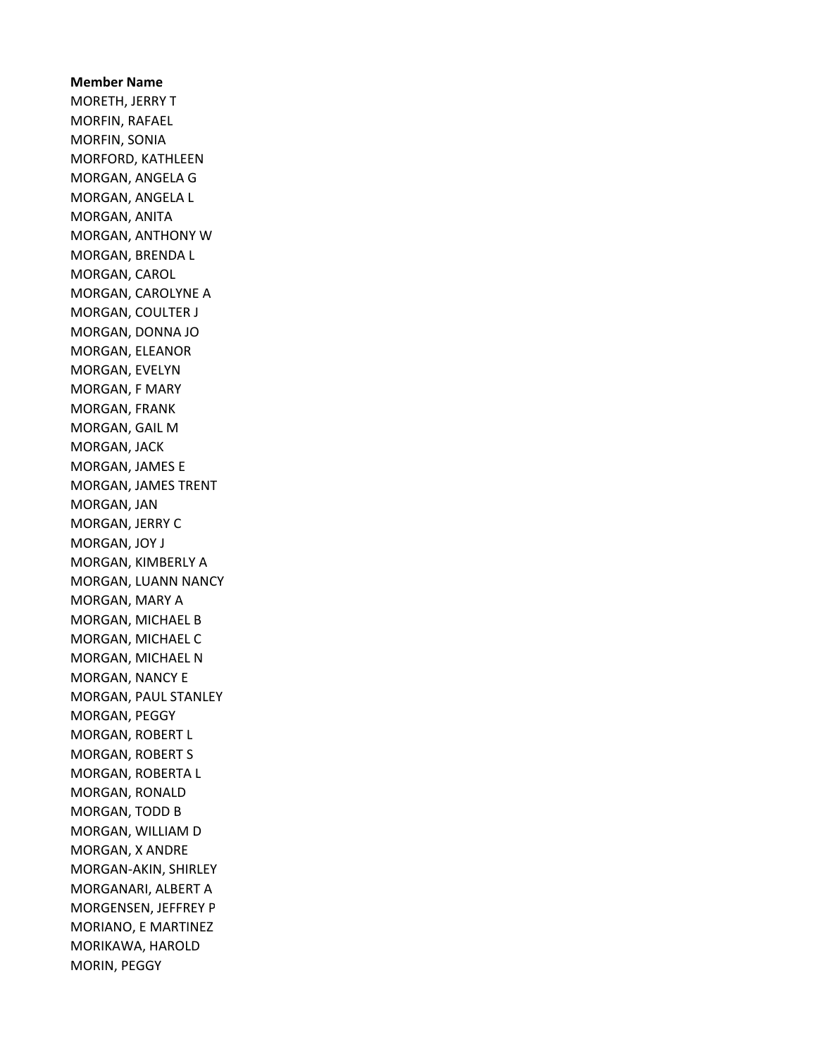Member Name MORETH, JERRY T MORFIN, RAFAEL MORFIN, SONIA MORFORD, KATHLEEN MORGAN, ANGELA G MORGAN, ANGELA L MORGAN, ANITA MORGAN, ANTHONY W MORGAN, BRENDA L MORGAN, CAROL MORGAN, CAROLYNE A MORGAN, COULTER J MORGAN, DONNA JO MORGAN, ELEANOR MORGAN, EVELYN MORGAN, F MARY MORGAN, FRANK MORGAN, GAIL M MORGAN, JACK MORGAN, JAMES E MORGAN, JAMES TRENT MORGAN, JAN MORGAN, JERRY C MORGAN, JOY J MORGAN, KIMBERLY A MORGAN, LUANN NANCY MORGAN, MARY A MORGAN, MICHAEL B MORGAN, MICHAEL C MORGAN, MICHAEL N MORGAN, NANCY E MORGAN, PAUL STANLEY MORGAN, PEGGY MORGAN, ROBERT L MORGAN, ROBERT S MORGAN, ROBERTA L MORGAN, RONALD MORGAN, TODD B MORGAN, WILLIAM D MORGAN, X ANDRE MORGAN-AKIN, SHIRLEY MORGANARI, ALBERT A MORGENSEN, JEFFREY P MORIANO, E MARTINEZ MORIKAWA, HAROLD MORIN, PEGGY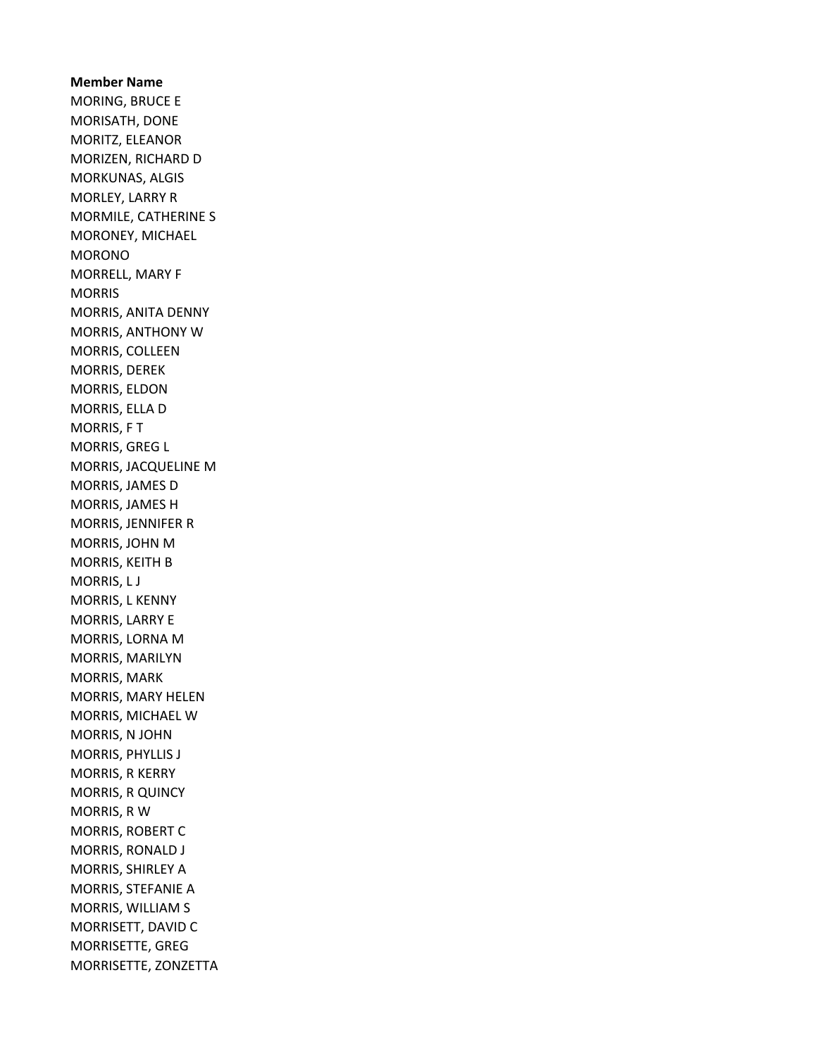Member Name MORING, BRUCE E MORISATH, DONE MORITZ, ELEANOR MORIZEN, RICHARD D MORKUNAS, ALGIS MORLEY, LARRY R MORMILE, CATHERINE S MORONEY, MICHAEL MORONO MORRELL, MARY F MORRIS MORRIS, ANITA DENNY MORRIS, ANTHONY W MORRIS, COLLEEN MORRIS, DEREK MORRIS, ELDON MORRIS, ELLA D MORRIS, F T MORRIS, GREG L MORRIS, JACQUELINE M MORRIS, JAMES D MORRIS, JAMES H MORRIS, JENNIFER R MORRIS, JOHN M MORRIS, KEITH B MORRIS, L J MORRIS, L KENNY MORRIS, LARRY E MORRIS, LORNA M MORRIS, MARILYN MORRIS, MARK MORRIS, MARY HELEN MORRIS, MICHAEL W MORRIS, N JOHN MORRIS, PHYLLIS J MORRIS, R KERRY MORRIS, R QUINCY MORRIS, R W MORRIS, ROBERT C MORRIS, RONALD J MORRIS, SHIRLEY A MORRIS, STEFANIE A MORRIS, WILLIAM S MORRISETT, DAVID C MORRISETTE, GREG MORRISETTE, ZONZETTA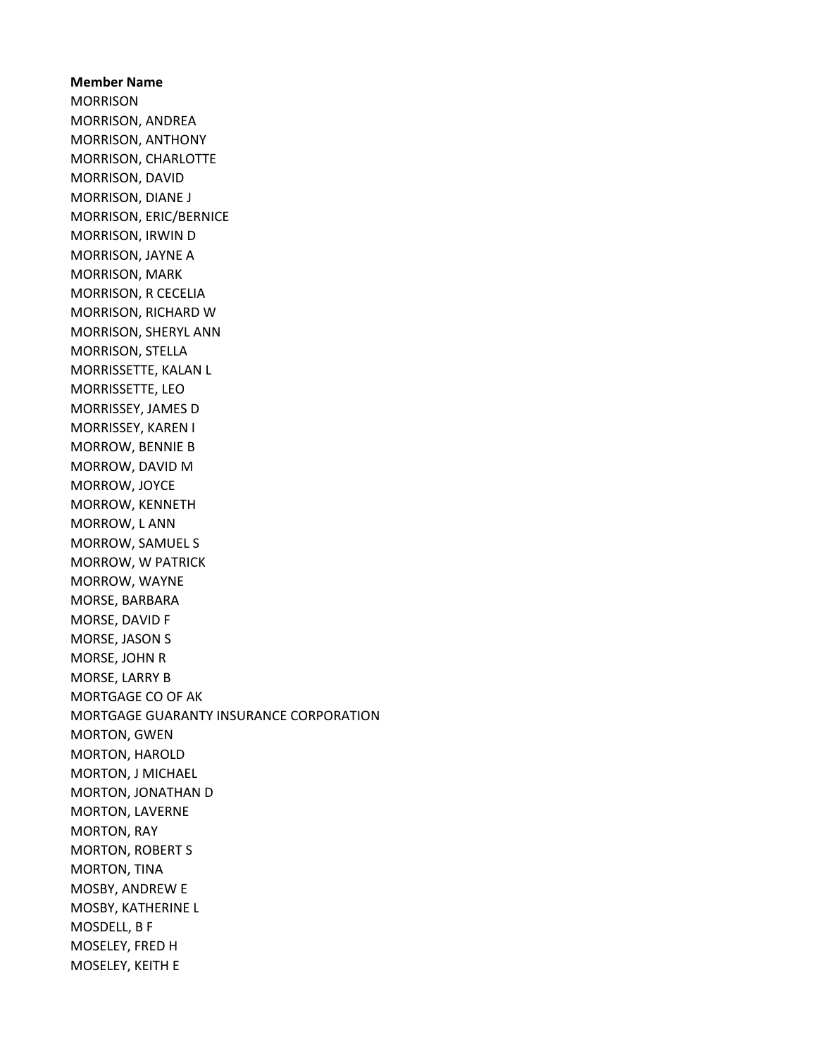Member Name MORRISON MORRISON, ANDREA MORRISON, ANTHONY MORRISON, CHARLOTTE MORRISON, DAVID MORRISON, DIANE J MORRISON, ERIC/BERNICE MORRISON, IRWIN D MORRISON, JAYNE A MORRISON, MARK MORRISON, R CECELIA MORRISON, RICHARD W MORRISON, SHERYL ANN MORRISON, STELLA MORRISSETTE, KALAN L MORRISSETTE, LEO MORRISSEY, JAMES D MORRISSEY, KAREN I MORROW, BENNIE B MORROW, DAVID M MORROW, JOYCE MORROW, KENNETH MORROW, L ANN MORROW, SAMUEL S MORROW, W PATRICK MORROW, WAYNE MORSE, BARBARA MORSE, DAVID F MORSE, JASON S MORSE, JOHN R MORSE, LARRY B MORTGAGE CO OF AK MORTGAGE GUARANTY INSURANCE CORPORATION MORTON, GWEN MORTON, HAROLD MORTON, J MICHAEL MORTON, JONATHAN D MORTON, LAVERNE MORTON, RAY MORTON, ROBERT S MORTON, TINA MOSBY, ANDREW E MOSBY, KATHERINE L MOSDELL, B F MOSELEY, FRED H MOSELEY, KEITH E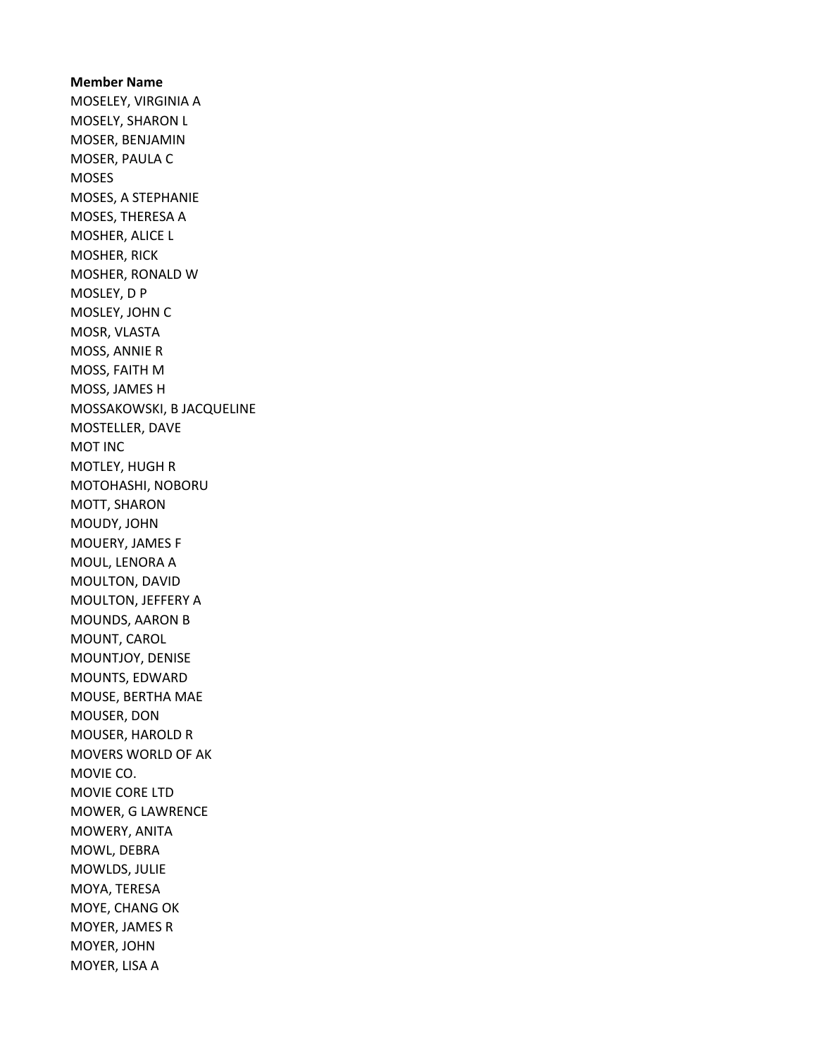Member Name MOSELEY, VIRGINIA A MOSELY, SHARON L MOSER, BENJAMIN MOSER, PAULA C MOSES MOSES, A STEPHANIE MOSES, THERESA A MOSHER, ALICE L MOSHER, RICK MOSHER, RONALD W MOSLEY, D P MOSLEY, JOHN C MOSR, VLASTA MOSS, ANNIE R MOSS, FAITH M MOSS, JAMES H MOSSAKOWSKI, B JACQUELINE MOSTELLER, DAVE MOT INC MOTLEY, HUGH R MOTOHASHI, NOBORU MOTT, SHARON MOUDY, JOHN MOUERY, JAMES F MOUL, LENORA A MOULTON, DAVID MOULTON, JEFFERY A MOUNDS, AARON B MOUNT, CAROL MOUNTJOY, DENISE MOUNTS, EDWARD MOUSE, BERTHA MAE MOUSER, DON MOUSER, HAROLD R MOVERS WORLD OF AK MOVIE CO. MOVIE CORE LTD MOWER, G LAWRENCE MOWERY, ANITA MOWL, DEBRA MOWLDS, JULIE MOYA, TERESA MOYE, CHANG OK MOYER, JAMES R MOYER, JOHN MOYER, LISA A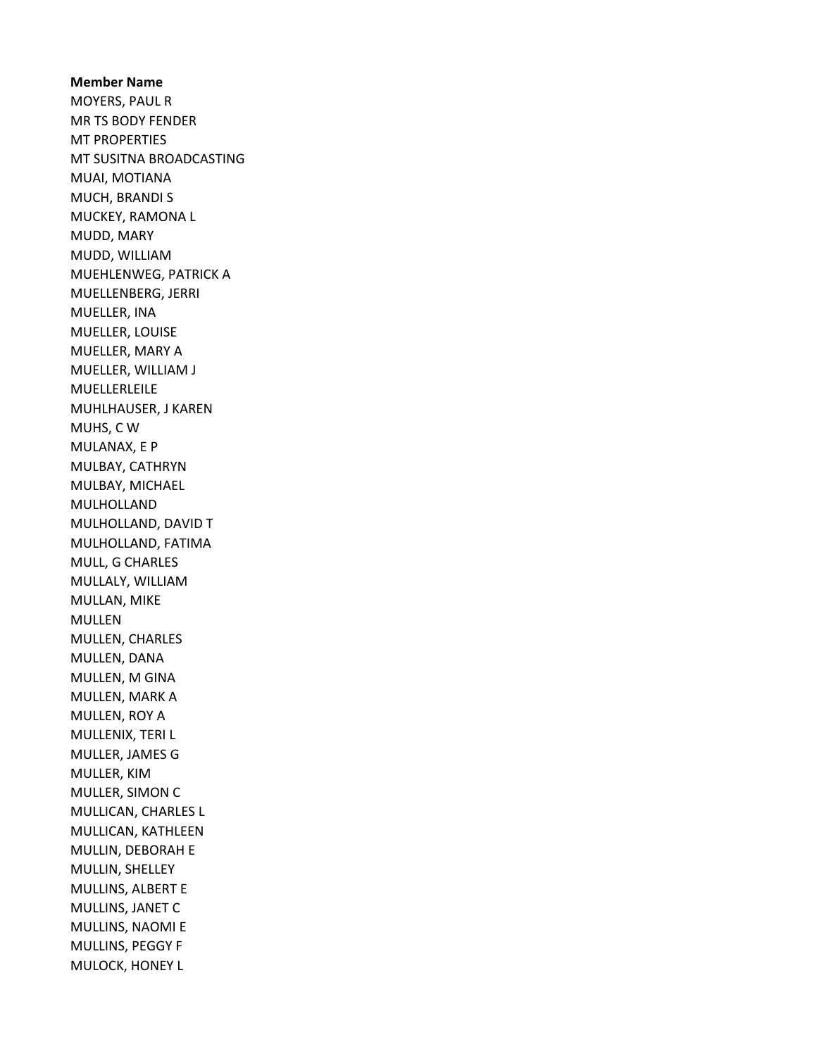Member Name MOYERS, PAUL R MR TS BODY FENDER MT PROPERTIES MT SUSITNA BROADCASTING MUAI, MOTIANA MUCH, BRANDI S MUCKEY, RAMONA L MUDD, MARY MUDD, WILLIAM MUEHLENWEG, PATRICK A MUELLENBERG, JERRI MUELLER, INA MUELLER, LOUISE MUELLER, MARY A MUELLER, WILLIAM J MUELLERLEILE MUHLHAUSER, J KAREN MUHS, C W MULANAX, E P MULBAY, CATHRYN MULBAY, MICHAEL MULHOLLAND MULHOLLAND, DAVID T MULHOLLAND, FATIMA MULL, G CHARLES MULLALY, WILLIAM MULLAN, MIKE MULLEN MULLEN, CHARLES MULLEN, DANA MULLEN, M GINA MULLEN, MARK A MULLEN, ROY A MULLENIX, TERI L MULLER, JAMES G MULLER, KIM MULLER, SIMON C MULLICAN, CHARLES L MULLICAN, KATHLEEN MULLIN, DEBORAH E MULLIN, SHELLEY MULLINS, ALBERT E MULLINS, JANET C MULLINS, NAOMI E MULLINS, PEGGY F MULOCK, HONEY L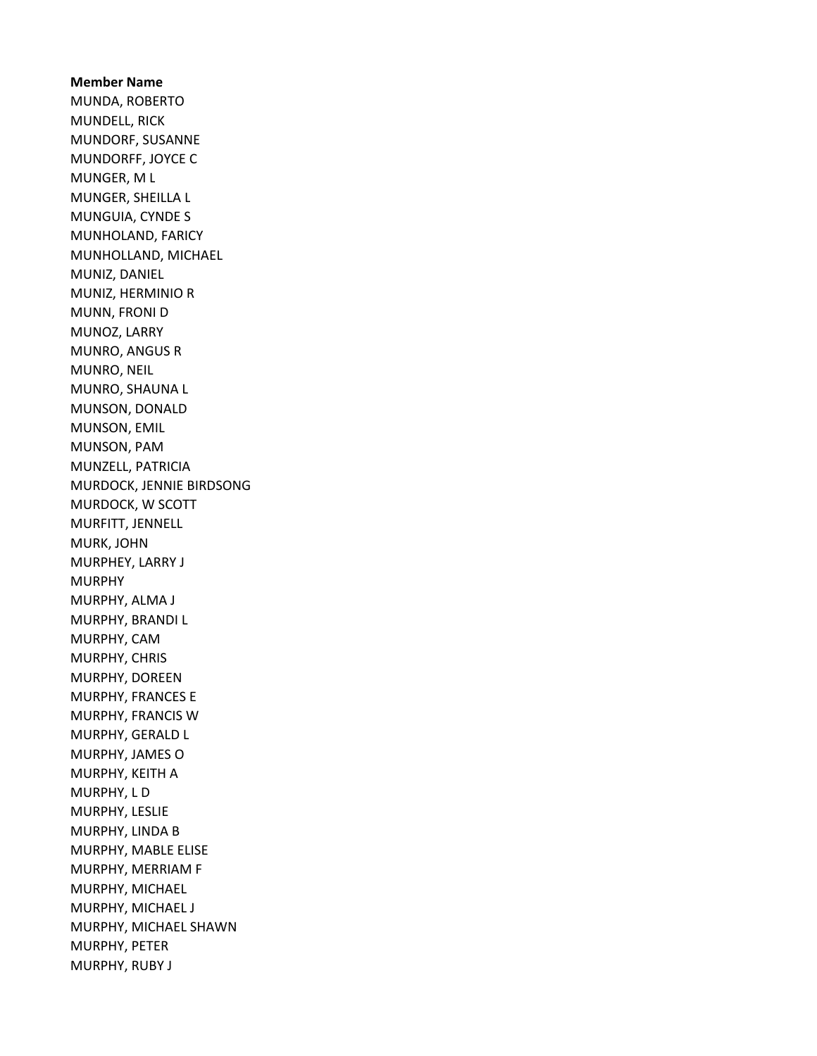Member Name MUNDA, ROBERTO MUNDELL, RICK MUNDORF, SUSANNE MUNDORFF, JOYCE C MUNGER, M L MUNGER, SHEILLA L MUNGUIA, CYNDE S MUNHOLAND, FARICY MUNHOLLAND, MICHAEL MUNIZ, DANIEL MUNIZ, HERMINIO R MUNN, FRONI D MUNOZ, LARRY MUNRO, ANGUS R MUNRO, NEIL MUNRO, SHAUNA L MUNSON, DONALD MUNSON, EMIL MUNSON, PAM MUNZELL, PATRICIA MURDOCK, JENNIE BIRDSONG MURDOCK, W SCOTT MURFITT, JENNELL MURK, JOHN MURPHEY, LARRY J MURPHY MURPHY, ALMA J MURPHY, BRANDI L MURPHY, CAM MURPHY, CHRIS MURPHY, DOREEN MURPHY, FRANCES E MURPHY, FRANCIS W MURPHY, GERALD L MURPHY, JAMES O MURPHY, KEITH A MURPHY, L D MURPHY, LESLIE MURPHY, LINDA B MURPHY, MABLE ELISE MURPHY, MERRIAM F MURPHY, MICHAEL MURPHY, MICHAEL J MURPHY, MICHAEL SHAWN MURPHY, PETER MURPHY, RUBY J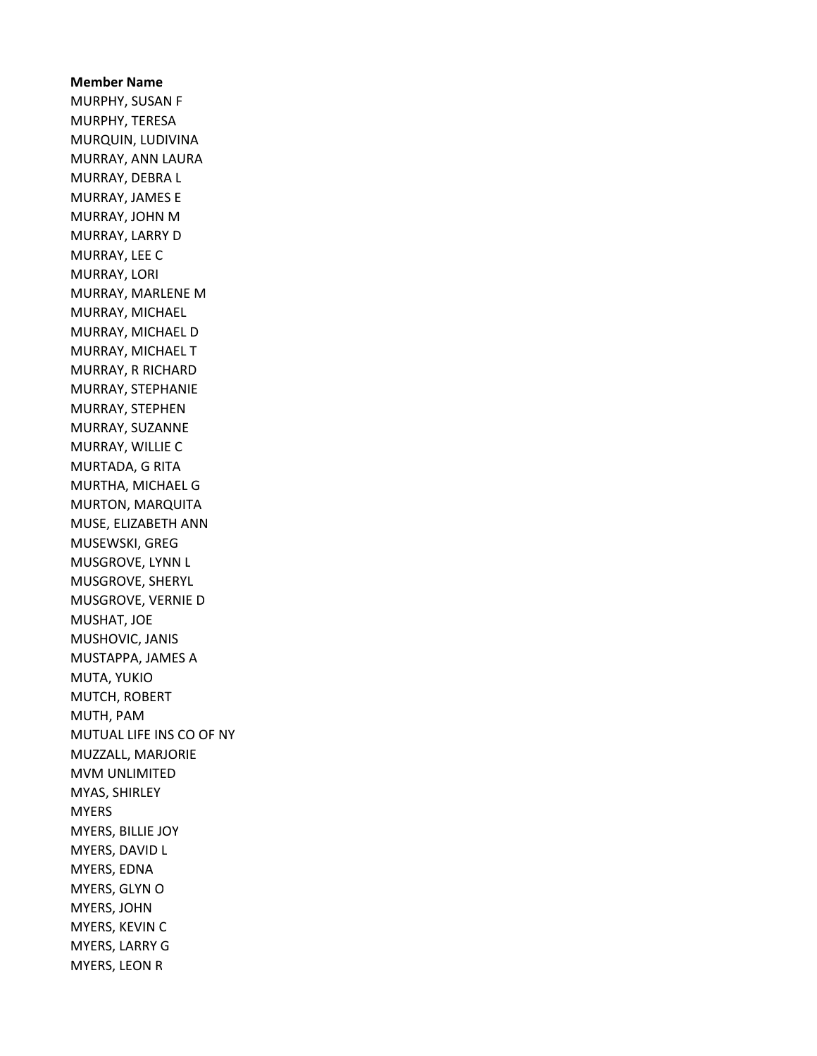Member Name MURPHY, SUSAN F MURPHY, TERESA MURQUIN, LUDIVINA MURRAY, ANN LAURA MURRAY, DEBRA L MURRAY, JAMES E MURRAY, JOHN M MURRAY, LARRY D MURRAY, LEE C MURRAY, LORI MURRAY, MARLENE M MURRAY, MICHAEL MURRAY, MICHAEL D MURRAY, MICHAEL T MURRAY, R RICHARD MURRAY, STEPHANIE MURRAY, STEPHEN MURRAY, SUZANNE MURRAY, WILLIE C MURTADA, G RITA MURTHA, MICHAEL G MURTON, MARQUITA MUSE, ELIZABETH ANN MUSEWSKI, GREG MUSGROVE, LYNN L MUSGROVE, SHERYL MUSGROVE, VERNIE D MUSHAT, JOE MUSHOVIC, JANIS MUSTAPPA, JAMES A MUTA, YUKIO MUTCH, ROBERT MUTH, PAM MUTUAL LIFE INS CO OF NY MUZZALL, MARJORIE MVM UNLIMITED MYAS, SHIRLEY MYERS MYERS, BILLIE JOY MYERS, DAVID L MYERS, EDNA MYERS, GLYN O MYERS, JOHN MYERS, KEVIN C MYERS, LARRY G MYERS, LEON R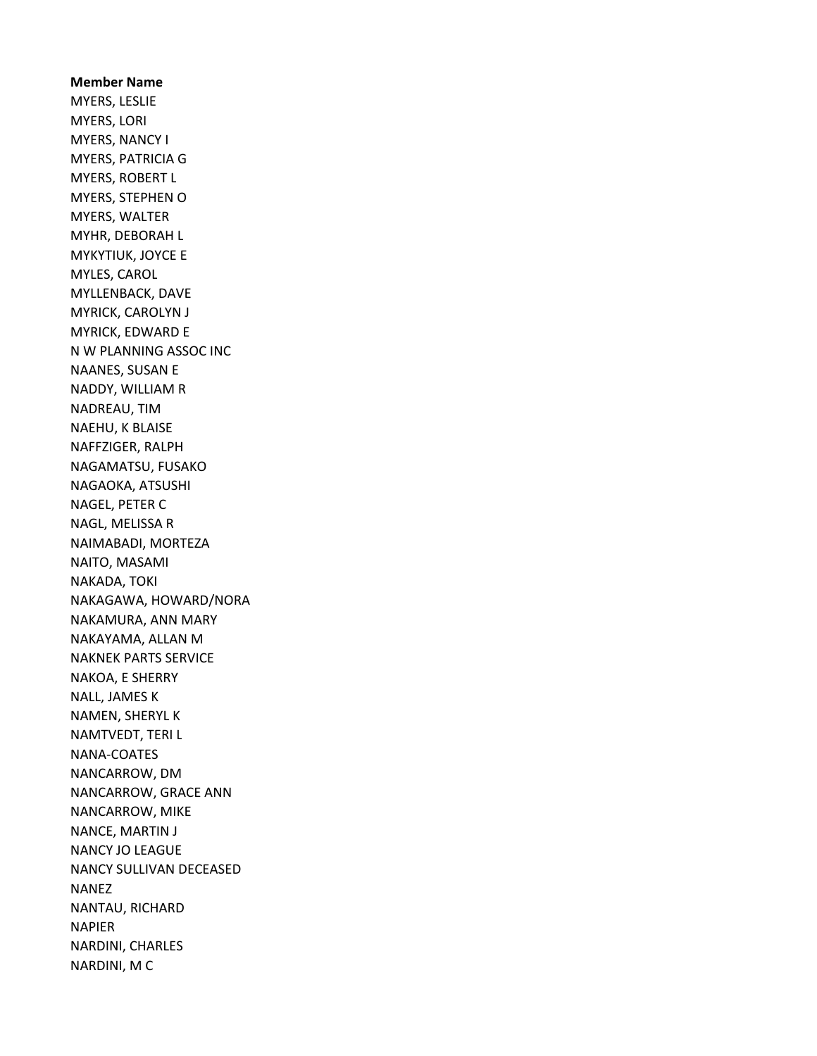Member Name MYERS, LESLIE MYERS, LORI MYERS, NANCY I MYERS, PATRICIA G MYERS, ROBERT L MYERS, STEPHEN O MYERS, WALTER MYHR, DEBORAH L MYKYTIUK, JOYCE E MYLES, CAROL MYLLENBACK, DAVE MYRICK, CAROLYN J MYRICK, EDWARD E N W PLANNING ASSOC INC NAANES, SUSAN E NADDY, WILLIAM R NADREAU, TIM NAEHU, K BLAISE NAFFZIGER, RALPH NAGAMATSU, FUSAKO NAGAOKA, ATSUSHI NAGEL, PETER C NAGL, MELISSA R NAIMABADI, MORTEZA NAITO, MASAMI NAKADA, TOKI NAKAGAWA, HOWARD/NORA NAKAMURA, ANN MARY NAKAYAMA, ALLAN M NAKNEK PARTS SERVICE NAKOA, E SHERRY NALL, JAMES K NAMEN, SHERYL K NAMTVEDT, TERI L NANA-COATES NANCARROW, DM NANCARROW, GRACE ANN NANCARROW, MIKE NANCE, MARTIN J NANCY JO LEAGUE NANCY SULLIVAN DECEASED NANEZ NANTAU, RICHARD NAPIER NARDINI, CHARLES NARDINI, M C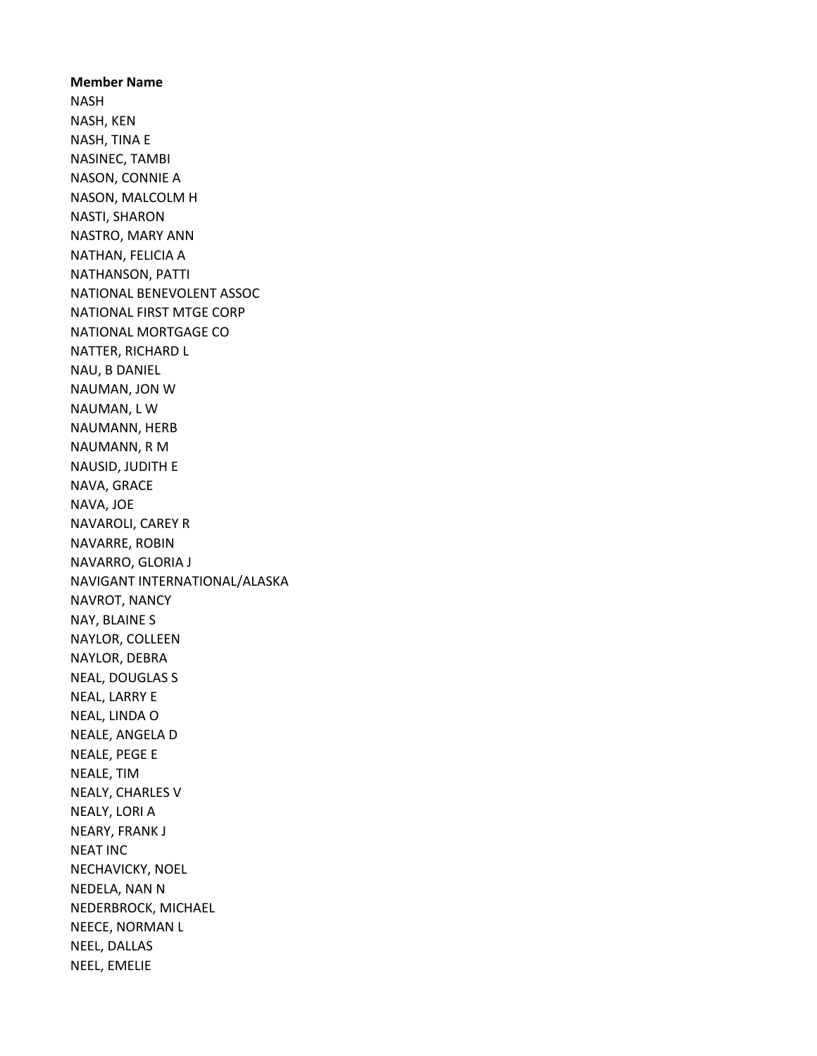Member Name NASH NASH, KEN NASH, TINA E NASINEC, TAMBI NASON, CONNIE A NASON, MALCOLM H NASTI, SHARON NASTRO, MARY ANN NATHAN, FELICIA A NATHANSON, PATTI NATIONAL BENEVOLENT ASSOC NATIONAL FIRST MTGE CORP NATIONAL MORTGAGE CO NATTER, RICHARD L NAU, B DANIEL NAUMAN, JON W NAUMAN, L W NAUMANN, HERB NAUMANN, R M NAUSID, JUDITH E NAVA, GRACE NAVA, JOE NAVAROLI, CAREY R NAVARRE, ROBIN NAVARRO, GLORIA J NAVIGANT INTERNATIONAL/ALASKA NAVROT, NANCY NAY, BLAINE S NAYLOR, COLLEEN NAYLOR, DEBRA NEAL, DOUGLAS S NEAL, LARRY E NEAL, LINDA O NEALE, ANGELA D NEALE, PEGE E NEALE, TIM NEALY, CHARLES V NEALY, LORI A NEARY, FRANK J NEAT INC NECHAVICKY, NOEL NEDELA, NAN N NEDERBROCK, MICHAEL NEECE, NORMAN L NEEL, DALLAS NEEL, EMELIE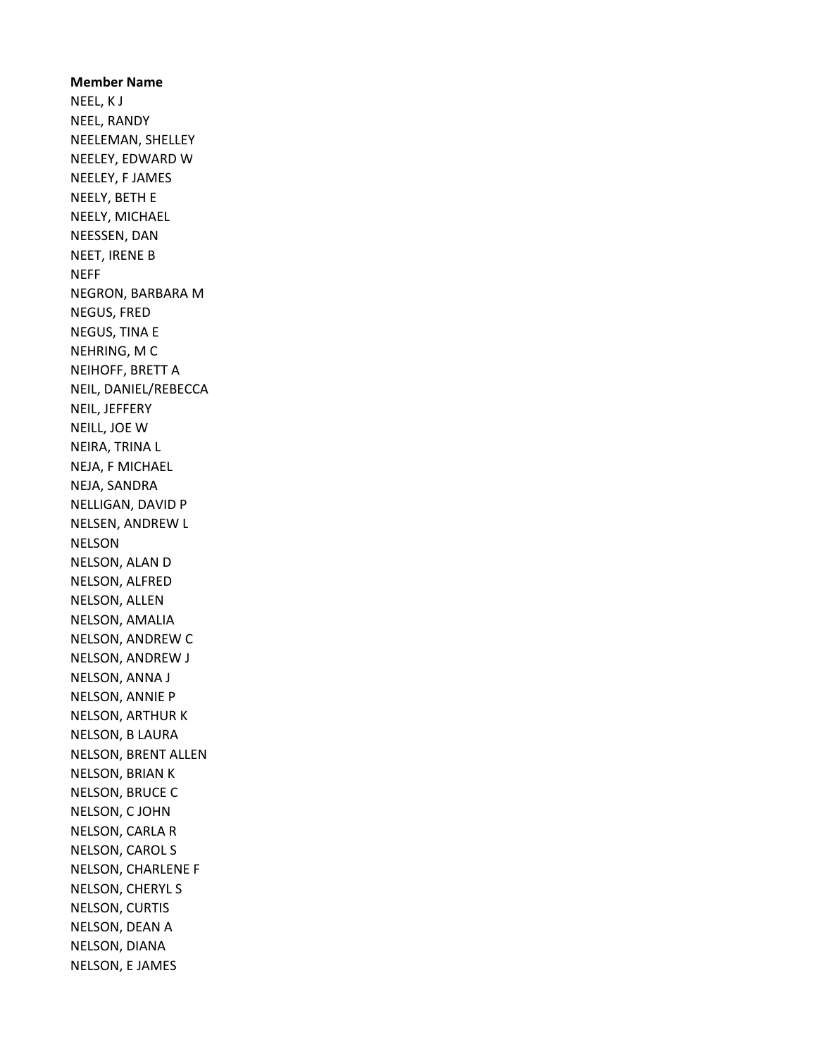Member Name NEEL, K J NEEL, RANDY NEELEMAN, SHELLEY NEELEY, EDWARD W NEELEY, F JAMES NEELY, BETH E NEELY, MICHAEL NEESSEN, DAN NEET, IRENE B **NEFF** NEGRON, BARBARA M NEGUS, FRED NEGUS, TINA E NEHRING, M C NEIHOFF, BRETT A NEIL, DANIEL/REBECCA NEIL, JEFFERY NEILL, JOE W NEIRA, TRINA L NEJA, F MICHAEL NEJA, SANDRA NELLIGAN, DAVID P NELSEN, ANDREW L NELSON NELSON, ALAN D NELSON, ALFRED NELSON, ALLEN NELSON, AMALIA NELSON, ANDREW C NELSON, ANDREW J NELSON, ANNA J NELSON, ANNIE P NELSON, ARTHUR K NELSON, B LAURA NELSON, BRENT ALLEN NELSON, BRIAN K NELSON, BRUCE C NELSON, C JOHN NELSON, CARLA R NELSON, CAROL S NELSON, CHARLENE F NELSON, CHERYL S NELSON, CURTIS NELSON, DEAN A NELSON, DIANA NELSON, E JAMES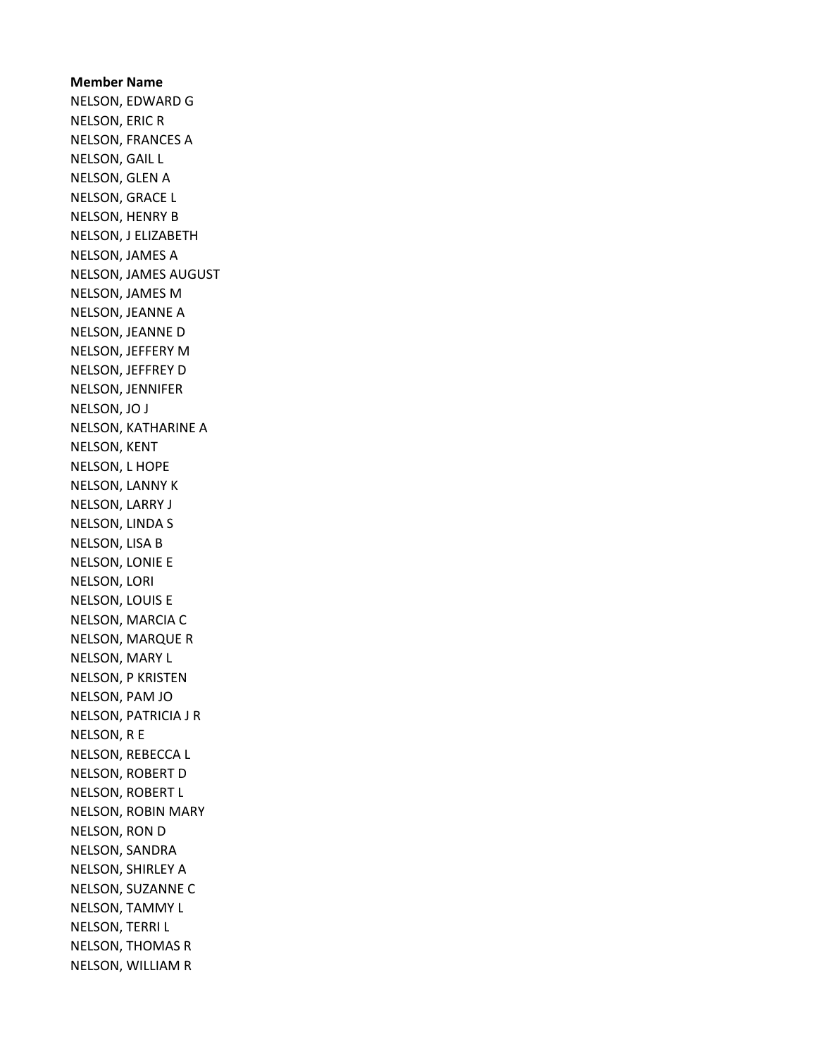Member Name NELSON, EDWARD G NELSON, ERIC R NELSON, FRANCES A NELSON, GAIL L NELSON, GLEN A NELSON, GRACE L NELSON, HENRY B NELSON, J ELIZABETH NELSON, JAMES A NELSON, JAMES AUGUST NELSON, JAMES M NELSON, JEANNE A NELSON, JEANNE D NELSON, JEFFERY M NELSON, JEFFREY D NELSON, JENNIFER NELSON, JO J NELSON, KATHARINE A NELSON, KENT NELSON, L HOPE NELSON, LANNY K NELSON, LARRY J NELSON, LINDA S NELSON, LISA B NELSON, LONIE E NELSON, LORI NELSON, LOUIS E NELSON, MARCIA C NELSON, MARQUE R NELSON, MARY L NELSON, P KRISTEN NELSON, PAM JO NELSON, PATRICIA J R NELSON, R E NELSON, REBECCA L NELSON, ROBERT D NELSON, ROBERT L NELSON, ROBIN MARY NELSON, RON D NELSON, SANDRA NELSON, SHIRLEY A NELSON, SUZANNE C NELSON, TAMMY L NELSON, TERRI L NELSON, THOMAS R NELSON, WILLIAM R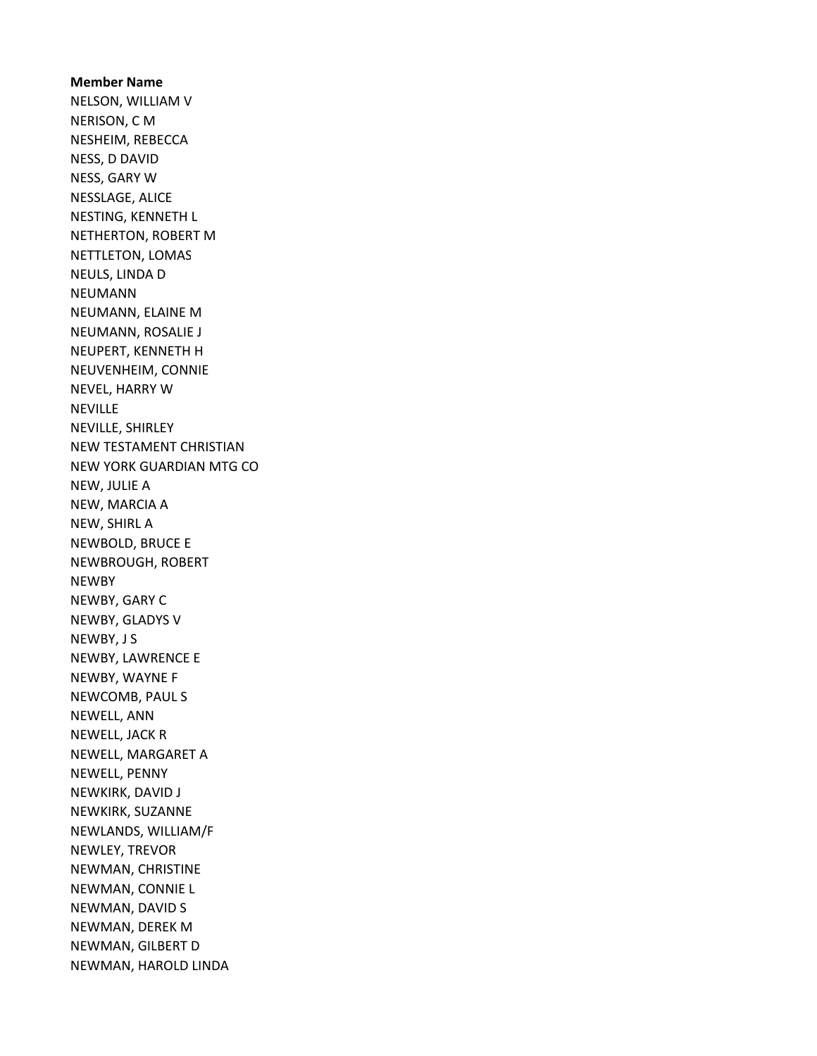Member Name NELSON, WILLIAM V NERISON, C M NESHEIM, REBECCA NESS, D DAVID NESS, GARY W NESSLAGE, ALICE NESTING, KENNETH L NETHERTON, ROBERT M NETTLETON, LOMAS NEULS, LINDA D NEUMANN NEUMANN, ELAINE M NEUMANN, ROSALIE J NEUPERT, KENNETH H NEUVENHEIM, CONNIE NEVEL, HARRY W **NEVILLE** NEVILLE, SHIRLEY NEW TESTAMENT CHRISTIAN NEW YORK GUARDIAN MTG CO NEW, JULIE A NEW, MARCIA A NEW, SHIRL A NEWBOLD, BRUCE E NEWBROUGH, ROBERT NEWBY NEWBY, GARY C NEWBY, GLADYS V NEWBY, J S NEWBY, LAWRENCE E NEWBY, WAYNE F NEWCOMB, PAUL S NEWELL, ANN NEWELL, JACK R NEWELL, MARGARET A NEWELL, PENNY NEWKIRK, DAVID J NEWKIRK, SUZANNE NEWLANDS, WILLIAM/F NEWLEY, TREVOR NEWMAN, CHRISTINE NEWMAN, CONNIE L NEWMAN, DAVID S NEWMAN, DEREK M NEWMAN, GILBERT D NEWMAN, HAROLD LINDA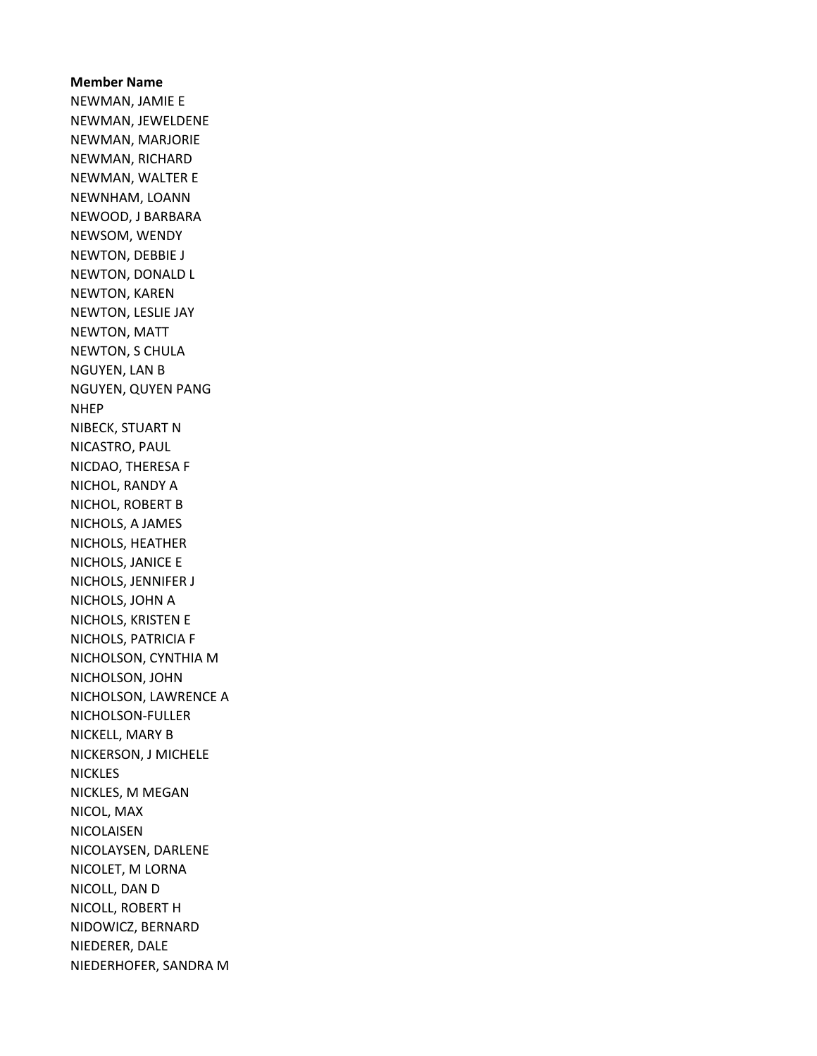Member Name NEWMAN, JAMIE E NEWMAN, JEWELDENE NEWMAN, MARJORIE NEWMAN, RICHARD NEWMAN, WALTER E NEWNHAM, LOANN NEWOOD, J BARBARA NEWSOM, WENDY NEWTON, DEBBIE J NEWTON, DONALD L NEWTON, KAREN NEWTON, LESLIE JAY NEWTON, MATT NEWTON, S CHULA NGUYEN, LAN B NGUYEN, QUYEN PANG NHEP NIBECK, STUART N NICASTRO, PAUL NICDAO, THERESA F NICHOL, RANDY A NICHOL, ROBERT B NICHOLS, A JAMES NICHOLS, HEATHER NICHOLS, JANICE E NICHOLS, JENNIFER J NICHOLS, JOHN A NICHOLS, KRISTEN E NICHOLS, PATRICIA F NICHOLSON, CYNTHIA M NICHOLSON, JOHN NICHOLSON, LAWRENCE A NICHOLSON-FULLER NICKELL, MARY B NICKERSON, J MICHELE NICKLES NICKLES, M MEGAN NICOL, MAX NICOLAISEN NICOLAYSEN, DARLENE NICOLET, M LORNA NICOLL, DAN D NICOLL, ROBERT H NIDOWICZ, BERNARD NIEDERER, DALE NIEDERHOFER, SANDRA M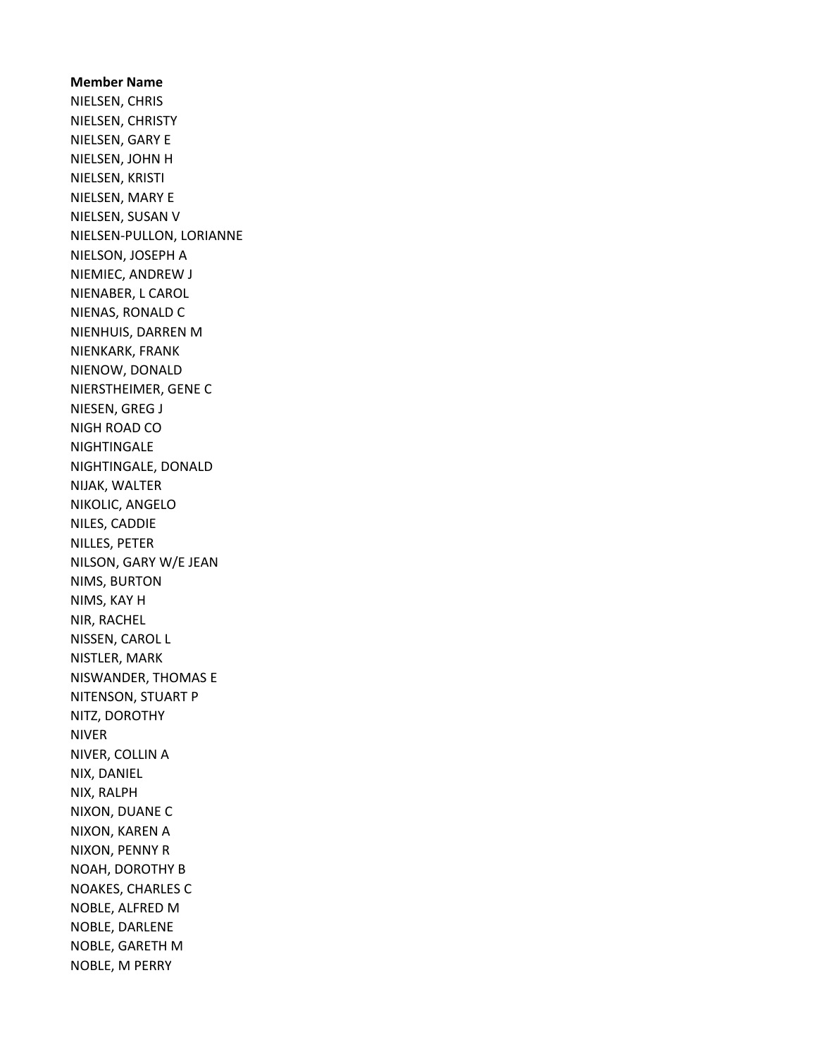Member Name NIELSEN, CHRIS NIELSEN, CHRISTY NIELSEN, GARY E NIELSEN, JOHN H NIELSEN, KRISTI NIELSEN, MARY E NIELSEN, SUSAN V NIELSEN-PULLON, LORIANNE NIELSON, JOSEPH A NIEMIEC, ANDREW J NIENABER, L CAROL NIENAS, RONALD C NIENHUIS, DARREN M NIENKARK, FRANK NIENOW, DONALD NIERSTHEIMER, GENE C NIESEN, GREG J NIGH ROAD CO **NIGHTINGALE** NIGHTINGALE, DONALD NIJAK, WALTER NIKOLIC, ANGELO NILES, CADDIE NILLES, PETER NILSON, GARY W/E JEAN NIMS, BURTON NIMS, KAY H NIR, RACHEL NISSEN, CAROL L NISTLER, MARK NISWANDER, THOMAS E NITENSON, STUART P NITZ, DOROTHY NIVER NIVER, COLLIN A NIX, DANIEL NIX, RALPH NIXON, DUANE C NIXON, KAREN A NIXON, PENNY R NOAH, DOROTHY B NOAKES, CHARLES C NOBLE, ALFRED M NOBLE, DARLENE NOBLE, GARETH M NOBLE, M PERRY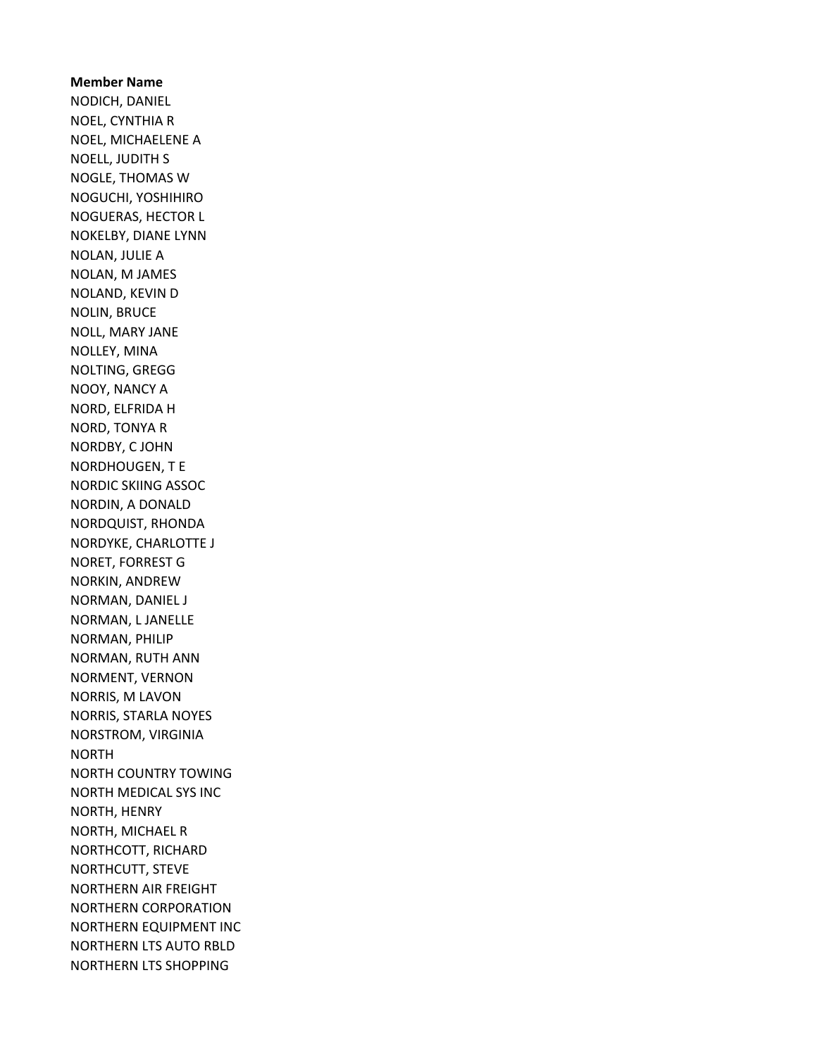## Member Name NODICH, DANIEL NOEL, CYNTHIA R NOEL, MICHAELENE A NOELL, JUDITH S NOGLE, THOMAS W NOGUCHI, YOSHIHIRO NOGUERAS, HECTOR L NOKELBY, DIANE LYNN NOLAN, JULIE A NOLAN, M JAMES NOLAND, KEVIN D NOLIN, BRUCE NOLL, MARY JANE NOLLEY, MINA NOLTING, GREGG NOOY, NANCY A NORD, ELFRIDA H NORD, TONYA R NORDBY, C JOHN NORDHOUGEN, T E NORDIC SKIING ASSOC NORDIN, A DONALD NORDQUIST, RHONDA NORDYKE, CHARLOTTE J NORET, FORREST G NORKIN, ANDREW NORMAN, DANIEL J NORMAN, L JANELLE NORMAN, PHILIP NORMAN, RUTH ANN NORMENT, VERNON NORRIS, M LAVON NORRIS, STARLA NOYES NORSTROM, VIRGINIA NORTH NORTH COUNTRY TOWING NORTH MEDICAL SYS INC NORTH, HENRY NORTH, MICHAEL R NORTHCOTT, RICHARD NORTHCUTT, STEVE NORTHERN AIR FREIGHT NORTHERN CORPORATION NORTHERN EQUIPMENT INC NORTHERN LTS AUTO RBLD NORTHERN LTS SHOPPING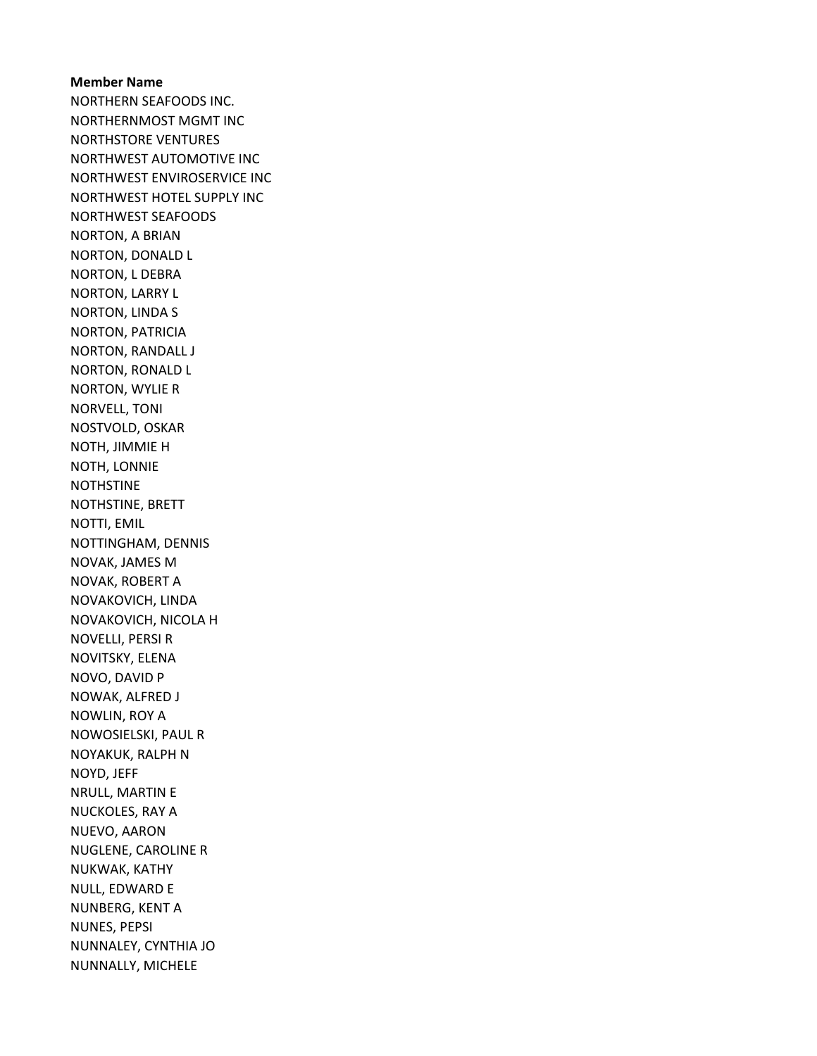Member Name NORTHERN SEAFOODS INC. NORTHERNMOST MGMT INC NORTHSTORE VENTURES NORTHWEST AUTOMOTIVE INC NORTHWEST ENVIROSERVICE INC NORTHWEST HOTEL SUPPLY INC NORTHWEST SEAFOODS NORTON, A BRIAN NORTON, DONALD L NORTON, L DEBRA NORTON, LARRY L NORTON, LINDA S NORTON, PATRICIA NORTON, RANDALL J NORTON, RONALD L NORTON, WYLIE R NORVELL, TONI NOSTVOLD, OSKAR NOTH, JIMMIE H NOTH, LONNIE NOTHSTINE NOTHSTINE, BRETT NOTTI, EMIL NOTTINGHAM, DENNIS NOVAK, JAMES M NOVAK, ROBERT A NOVAKOVICH, LINDA NOVAKOVICH, NICOLA H NOVELLI, PERSI R NOVITSKY, ELENA NOVO, DAVID P NOWAK, ALFRED J NOWLIN, ROY A NOWOSIELSKI, PAUL R NOYAKUK, RALPH N NOYD, JEFF NRULL, MARTIN E NUCKOLES, RAY A NUEVO, AARON NUGLENE, CAROLINE R NUKWAK, KATHY NULL, EDWARD E NUNBERG, KENT A NUNES, PEPSI NUNNALEY, CYNTHIA JO NUNNALLY, MICHELE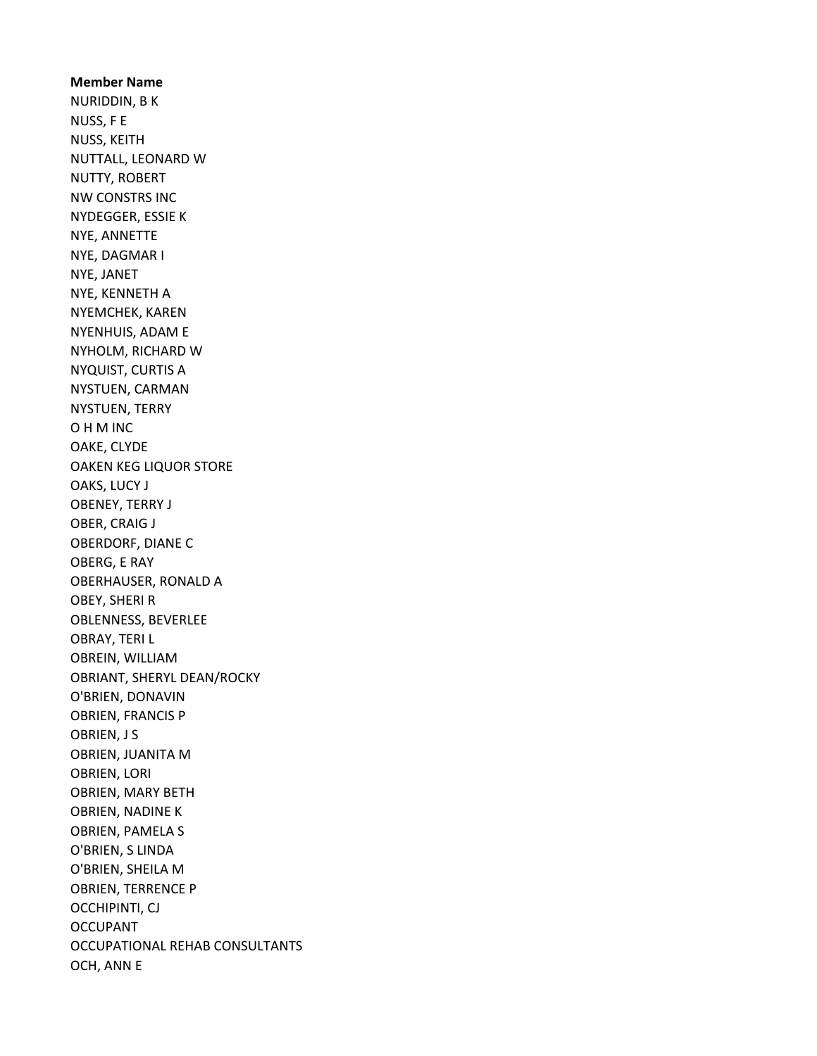Member Name NURIDDIN, B K NUSS, F E NUSS, KEITH NUTTALL, LEONARD W NUTTY, ROBERT NW CONSTRS INC NYDEGGER, ESSIE K NYE, ANNETTE NYE, DAGMAR I NYE, JANET NYE, KENNETH A NYEMCHEK, KAREN NYENHUIS, ADAM E NYHOLM, RICHARD W NYQUIST, CURTIS A NYSTUEN, CARMAN NYSTUEN, TERRY O H M INC OAKE, CLYDE OAKEN KEG LIQUOR STORE OAKS, LUCY J OBENEY, TERRY J OBER, CRAIG J OBERDORF, DIANE C OBERG, E RAY OBERHAUSER, RONALD A OBEY, SHERI R OBLENNESS, BEVERLEE OBRAY, TERI L OBREIN, WILLIAM OBRIANT, SHERYL DEAN/ROCKY O'BRIEN, DONAVIN OBRIEN, FRANCIS P OBRIEN, J S OBRIEN, JUANITA M OBRIEN, LORI OBRIEN, MARY BETH OBRIEN, NADINE K OBRIEN, PAMELA S O'BRIEN, S LINDA O'BRIEN, SHEILA M OBRIEN, TERRENCE P OCCHIPINTI, CJ OCCUPANT OCCUPATIONAL REHAB CONSULTANTS OCH, ANN E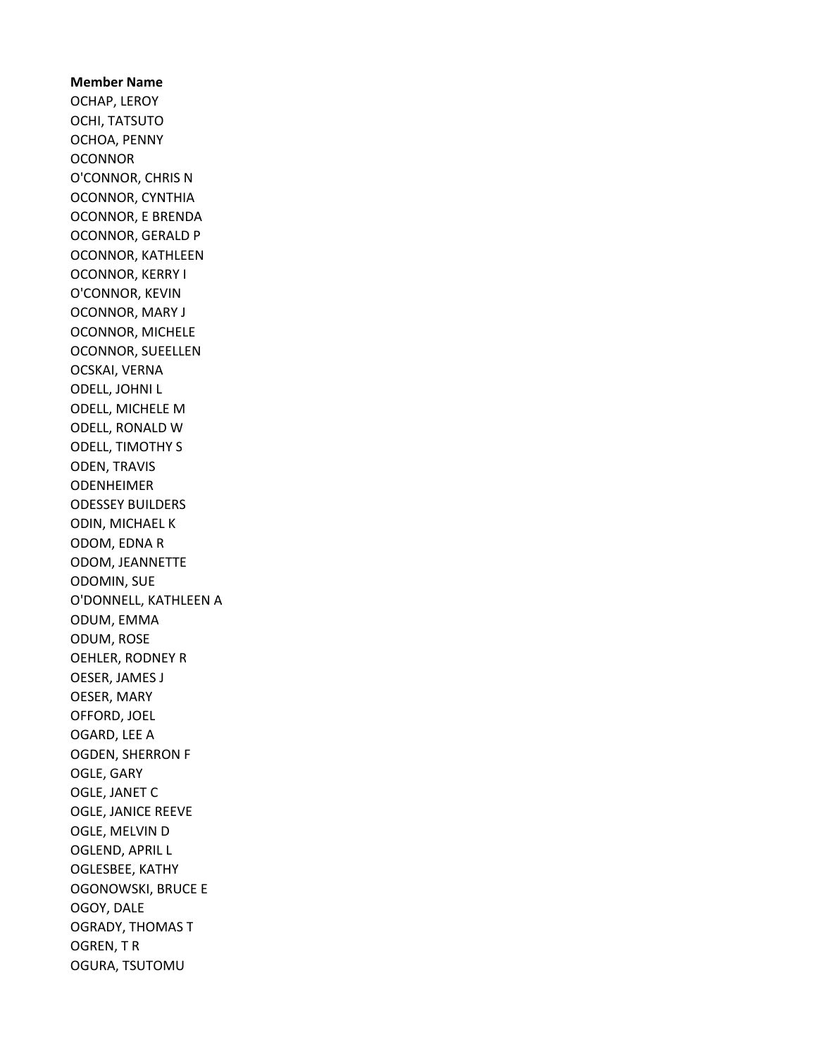Member Name OCHAP, LEROY OCHI, TATSUTO OCHOA, PENNY **OCONNOR** O'CONNOR, CHRIS N OCONNOR, CYNTHIA OCONNOR, E BRENDA OCONNOR, GERALD P OCONNOR, KATHLEEN OCONNOR, KERRY I O'CONNOR, KEVIN OCONNOR, MARY J OCONNOR, MICHELE OCONNOR, SUEELLEN OCSKAI, VERNA ODELL, JOHNI L ODELL, MICHELE M ODELL, RONALD W ODELL, TIMOTHY S ODEN, TRAVIS ODENHEIMER ODESSEY BUILDERS ODIN, MICHAEL K ODOM, EDNA R ODOM, JEANNETTE ODOMIN, SUE O'DONNELL, KATHLEEN A ODUM, EMMA ODUM, ROSE OEHLER, RODNEY R OESER, JAMES J OESER, MARY OFFORD, JOEL OGARD, LEE A OGDEN, SHERRON F OGLE, GARY OGLE, JANET C OGLE, JANICE REEVE OGLE, MELVIN D OGLEND, APRIL L OGLESBEE, KATHY OGONOWSKI, BRUCE E OGOY, DALE OGRADY, THOMAS T OGREN, T R OGURA, TSUTOMU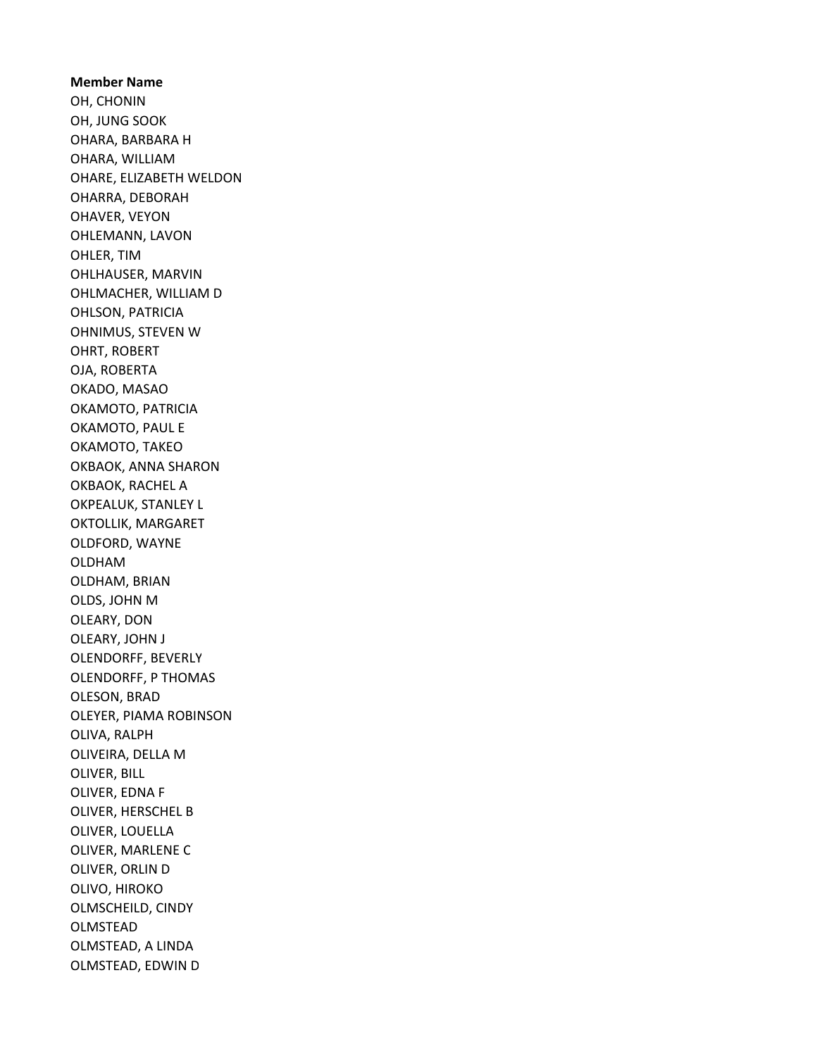Member Name OH, CHONIN OH, JUNG SOOK OHARA, BARBARA H OHARA, WILLIAM OHARE, ELIZABETH WELDON OHARRA, DEBORAH OHAVER, VEYON OHLEMANN, LAVON OHLER, TIM OHLHAUSER, MARVIN OHLMACHER, WILLIAM D OHLSON, PATRICIA OHNIMUS, STEVEN W OHRT, ROBERT OJA, ROBERTA OKADO, MASAO OKAMOTO, PATRICIA OKAMOTO, PAUL E OKAMOTO, TAKEO OKBAOK, ANNA SHARON OKBAOK, RACHEL A OKPEALUK, STANLEY L OKTOLLIK, MARGARET OLDFORD, WAYNE OLDHAM OLDHAM, BRIAN OLDS, JOHN M OLEARY, DON OLEARY, JOHN J OLENDORFF, BEVERLY OLENDORFF, P THOMAS OLESON, BRAD OLEYER, PIAMA ROBINSON OLIVA, RALPH OLIVEIRA, DELLA M OLIVER, BILL OLIVER, EDNA F OLIVER, HERSCHEL B OLIVER, LOUELLA OLIVER, MARLENE C OLIVER, ORLIN D OLIVO, HIROKO OLMSCHEILD, CINDY OLMSTEAD OLMSTEAD, A LINDA OLMSTEAD, EDWIN D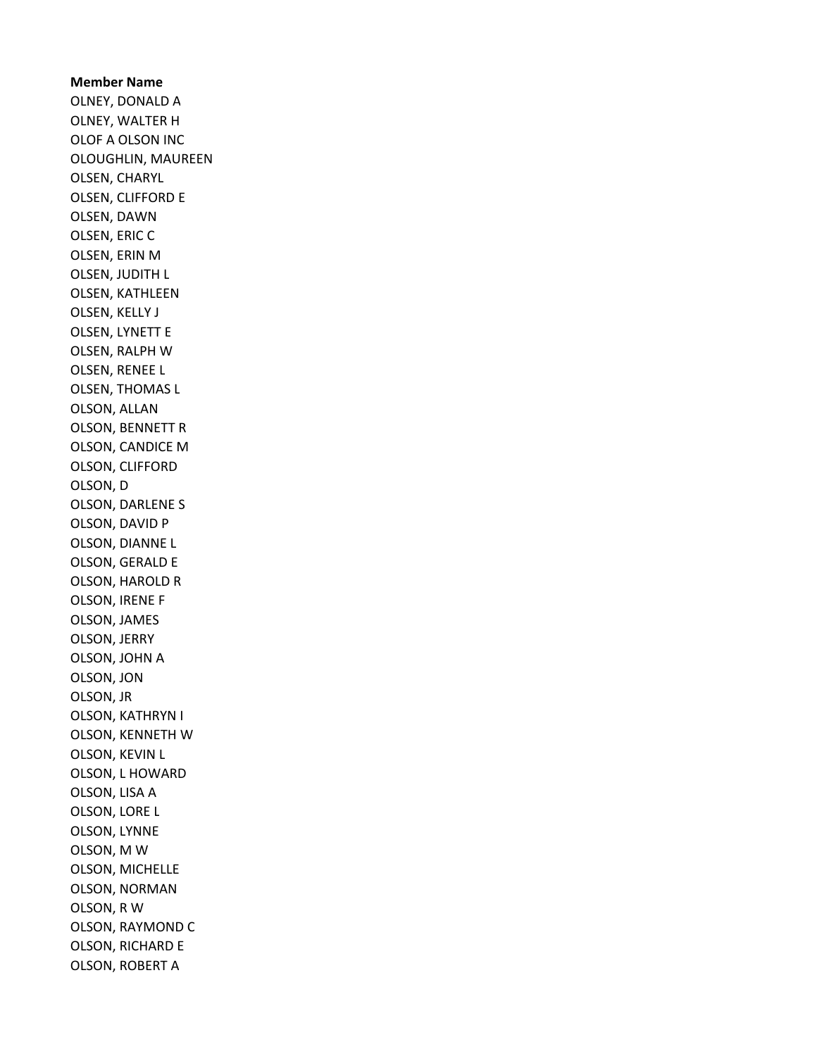## Member Name OLNEY, DONALD A OLNEY, WALTER H OLOF A OLSON INC OLOUGHLIN, MAUREEN OLSEN, CHARYL OLSEN, CLIFFORD E OLSEN, DAWN OLSEN, ERIC C OLSEN, ERIN M OLSEN, JUDITH L OLSEN, KATHLEEN OLSEN, KELLY J OLSEN, LYNETT E OLSEN, RALPH W OLSEN, RENEE L OLSEN, THOMAS L OLSON, ALLAN OLSON, BENNETT R OLSON, CANDICE M OLSON, CLIFFORD OLSON, D OLSON, DARLENE S OLSON, DAVID P OLSON, DIANNE L OLSON, GERALD E OLSON, HAROLD R OLSON, IRENE F OLSON, JAMES OLSON, JERRY OLSON, JOHN A OLSON, JON OLSON, JR OLSON, KATHRYN I OLSON, KENNETH W OLSON, KEVIN L OLSON, L HOWARD OLSON, LISA A OLSON, LORE L OLSON, LYNNE OLSON, M W OLSON, MICHELLE OLSON, NORMAN OLSON, R W OLSON, RAYMOND C OLSON, RICHARD E OLSON, ROBERT A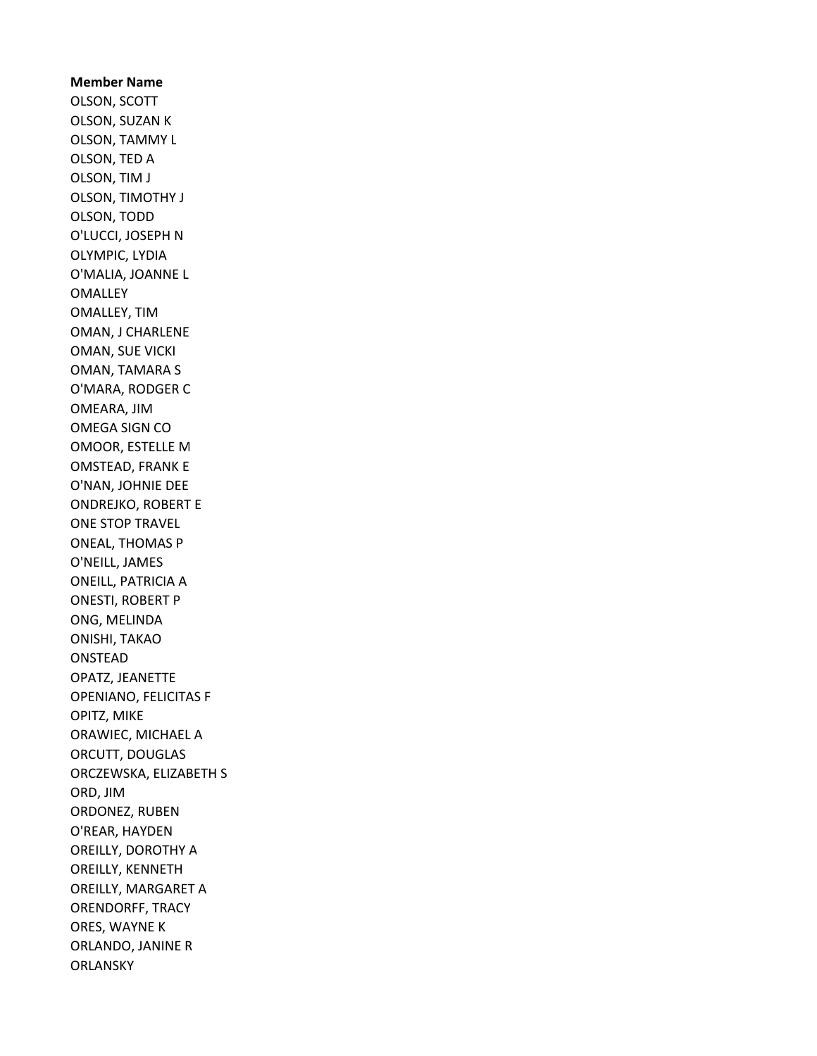Member Name OLSON, SCOTT OLSON, SUZAN K OLSON, TAMMY L OLSON, TED A OLSON, TIM J OLSON, TIMOTHY J OLSON, TODD O'LUCCI, JOSEPH N OLYMPIC, LYDIA O'MALIA, JOANNE L **OMALLEY** OMALLEY, TIM OMAN, J CHARLENE OMAN, SUE VICKI OMAN, TAMARA S O'MARA, RODGER C OMEARA, JIM OMEGA SIGN CO OMOOR, ESTELLE M OMSTEAD, FRANK E O'NAN, JOHNIE DEE ONDREJKO, ROBERT E ONE STOP TRAVEL ONEAL, THOMAS P O'NEILL, JAMES ONEILL, PATRICIA A ONESTI, ROBERT P ONG, MELINDA ONISHI, TAKAO ONSTEAD OPATZ, JEANETTE OPENIANO, FELICITAS F OPITZ, MIKE ORAWIEC, MICHAEL A ORCUTT, DOUGLAS ORCZEWSKA, ELIZABETH S ORD, JIM ORDONEZ, RUBEN O'REAR, HAYDEN OREILLY, DOROTHY A OREILLY, KENNETH OREILLY, MARGARET A ORENDORFF, TRACY ORES, WAYNE K ORLANDO, JANINE R **ORLANSKY**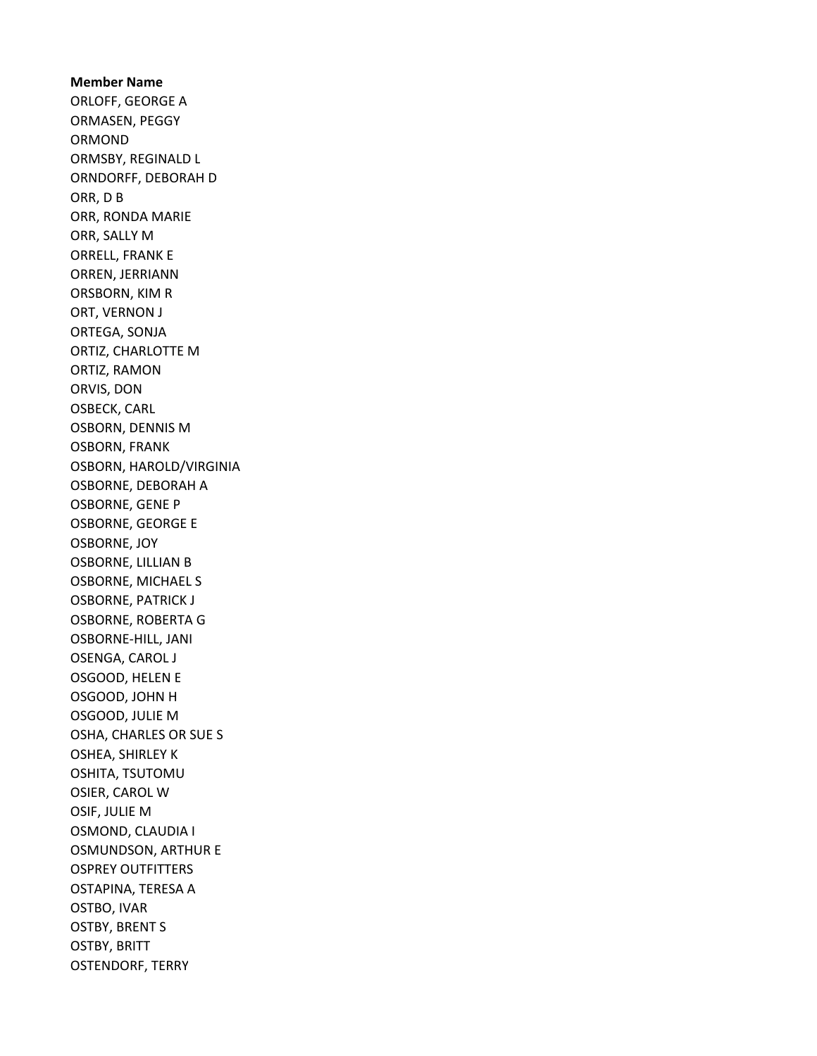Member Name ORLOFF, GEORGE A ORMASEN, PEGGY ORMOND ORMSBY, REGINALD L ORNDORFF, DEBORAH D ORR, D B ORR, RONDA MARIE ORR, SALLY M ORRELL, FRANK E ORREN, JERRIANN ORSBORN, KIM R ORT, VERNON J ORTEGA, SONJA ORTIZ, CHARLOTTE M ORTIZ, RAMON ORVIS, DON OSBECK, CARL OSBORN, DENNIS M OSBORN, FRANK OSBORN, HAROLD/VIRGINIA OSBORNE, DEBORAH A OSBORNE, GENE P OSBORNE, GEORGE E OSBORNE, JOY OSBORNE, LILLIAN B OSBORNE, MICHAEL S OSBORNE, PATRICK J OSBORNE, ROBERTA G OSBORNE-HILL, JANI OSENGA, CAROL J OSGOOD, HELEN E OSGOOD, JOHN H OSGOOD, JULIE M OSHA, CHARLES OR SUE S OSHEA, SHIRLEY K OSHITA, TSUTOMU OSIER, CAROL W OSIF, JULIE M OSMOND, CLAUDIA I OSMUNDSON, ARTHUR E OSPREY OUTFITTERS OSTAPINA, TERESA A OSTBO, IVAR OSTBY, BRENT S OSTBY, BRITT OSTENDORF, TERRY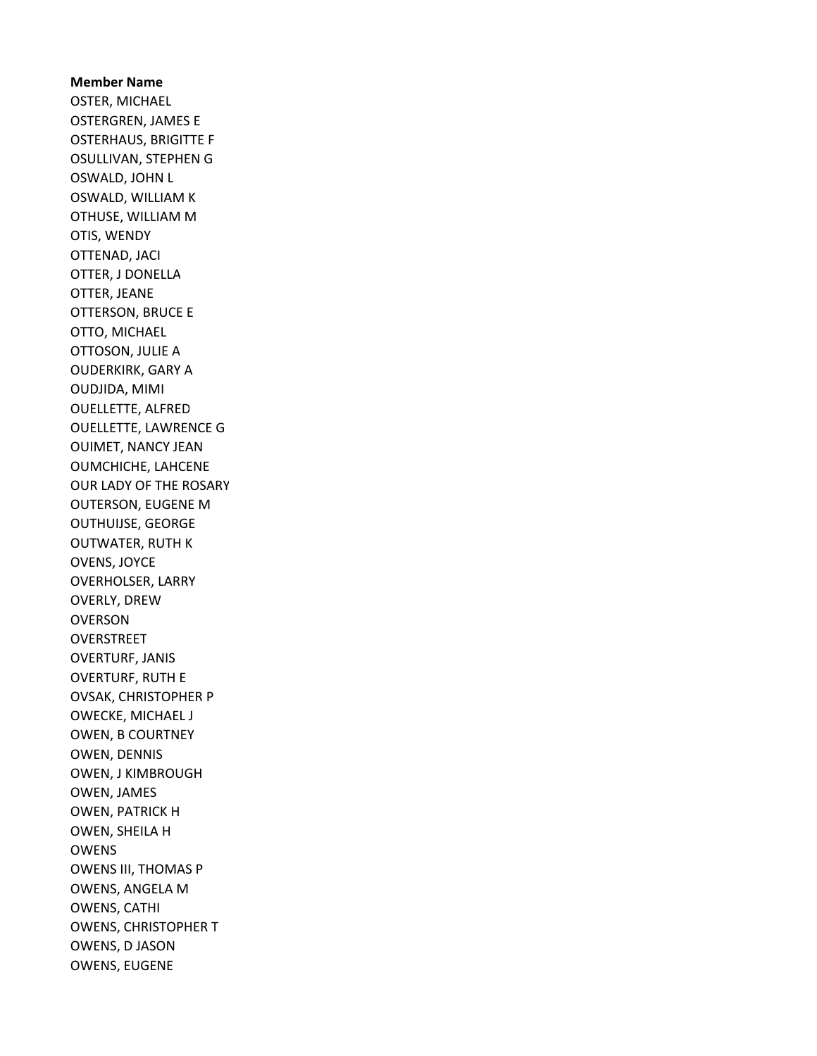Member Name OSTER, MICHAEL OSTERGREN, JAMES E OSTERHAUS, BRIGITTE F OSULLIVAN, STEPHEN G OSWALD, JOHN L OSWALD, WILLIAM K OTHUSE, WILLIAM M OTIS, WENDY OTTENAD, JACI OTTER, J DONELLA OTTER, JEANE OTTERSON, BRUCE E OTTO, MICHAEL OTTOSON, JULIE A OUDERKIRK, GARY A OUDJIDA, MIMI OUELLETTE, ALFRED OUELLETTE, LAWRENCE G OUIMET, NANCY JEAN OUMCHICHE, LAHCENE OUR LADY OF THE ROSARY OUTERSON, EUGENE M OUTHUIJSE, GEORGE OUTWATER, RUTH K OVENS, JOYCE OVERHOLSER, LARRY OVERLY, DREW OVERSON **OVERSTREET** OVERTURF, JANIS OVERTURF, RUTH E OVSAK, CHRISTOPHER P OWECKE, MICHAEL J OWEN, B COURTNEY OWEN, DENNIS OWEN, J KIMBROUGH OWEN, JAMES OWEN, PATRICK H OWEN, SHEILA H OWENS OWENS III, THOMAS P OWENS, ANGELA M OWENS, CATHI OWENS, CHRISTOPHER T OWENS, D JASON OWENS, EUGENE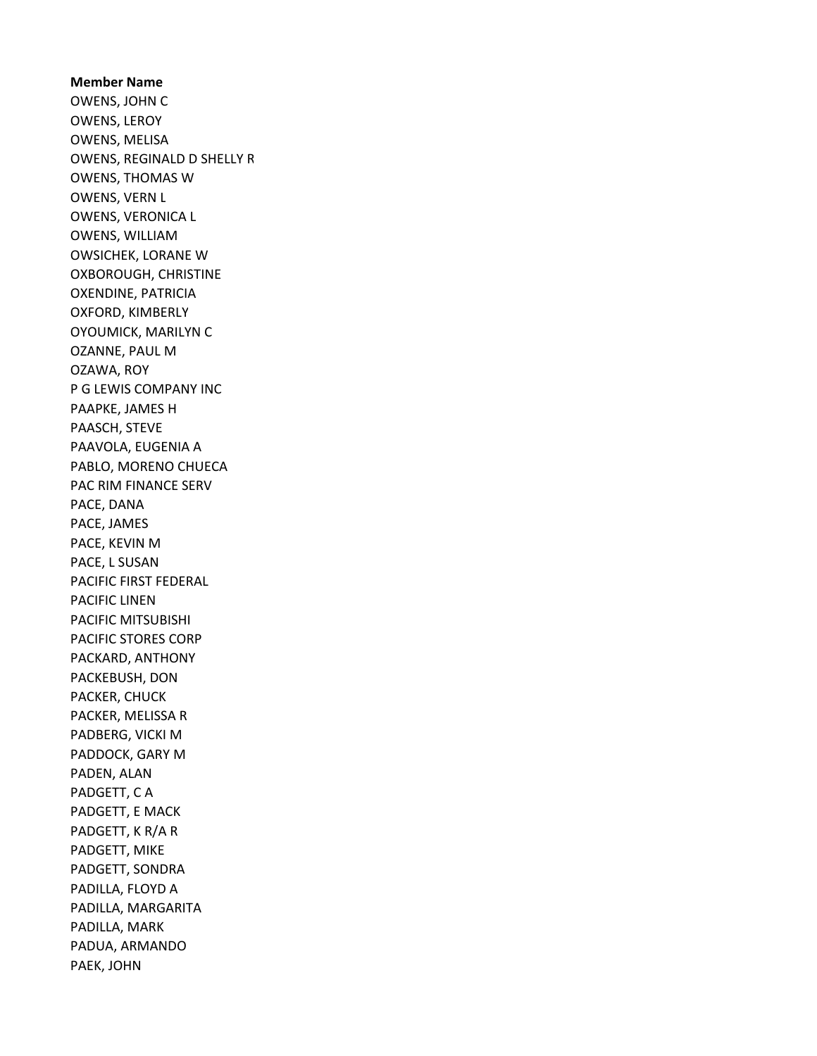#### Member Name

OWENS, JOHN C OWENS, LEROY OWENS, MELISA OWENS, REGINALD D SHELLY R OWENS, THOMAS W OWENS, VERN L OWENS, VERONICA L OWENS, WILLIAM OWSICHEK, LORANE W OXBOROUGH, CHRISTINE OXENDINE, PATRICIA OXFORD, KIMBERLY OYOUMICK, MARILYN C OZANNE, PAUL M OZAWA, ROY P G LEWIS COMPANY INC PAAPKE, JAMES H PAASCH, STEVE PAAVOLA, EUGENIA A PABLO, MORENO CHUECA PAC RIM FINANCE SERV PACE, DANA PACE, JAMES PACE, KEVIN M PACE, L SUSAN PACIFIC FIRST FEDERAL PACIFIC LINEN PACIFIC MITSUBISHI PACIFIC STORES CORP PACKARD, ANTHONY PACKEBUSH, DON PACKER, CHUCK PACKER, MELISSA R PADBERG, VICKI M PADDOCK, GARY M PADEN, ALAN PADGETT, C A PADGETT, E MACK PADGETT, K R/A R PADGETT, MIKE PADGETT, SONDRA PADILLA, FLOYD A PADILLA, MARGARITA PADILLA, MARK PADUA, ARMANDO PAEK, JOHN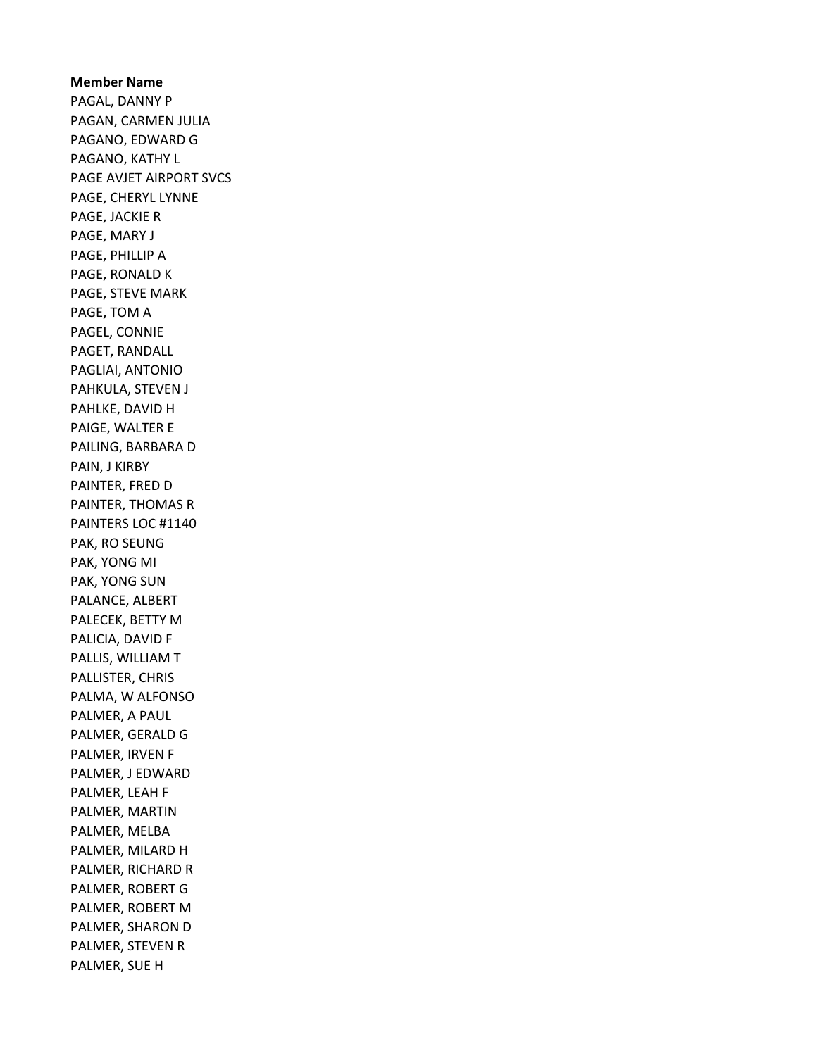Member Name PAGAL, DANNY P PAGAN, CARMEN JULIA PAGANO, EDWARD G PAGANO, KATHY L PAGE AVJET AIRPORT SVCS PAGE, CHERYL LYNNE PAGE, JACKIE R PAGE, MARY J PAGE, PHILLIP A PAGE, RONALD K PAGE, STEVE MARK PAGE, TOM A PAGEL, CONNIE PAGET, RANDALL PAGLIAI, ANTONIO PAHKULA, STEVEN J PAHLKE, DAVID H PAIGE, WALTER E PAILING, BARBARA D PAIN, J KIRBY PAINTER, FRED D PAINTER, THOMAS R PAINTERS LOC #1140 PAK, RO SEUNG PAK, YONG MI PAK, YONG SUN PALANCE, ALBERT PALECEK, BETTY M PALICIA, DAVID F PALLIS, WILLIAM T PALLISTER, CHRIS PALMA, W ALFONSO PALMER, A PAUL PALMER, GERALD G PALMER, IRVEN F PALMER, J EDWARD PALMER, LEAH F PALMER, MARTIN PALMER, MELBA PALMER, MILARD H PALMER, RICHARD R PALMER, ROBERT G PALMER, ROBERT M PALMER, SHARON D PALMER, STEVEN R PALMER, SUE H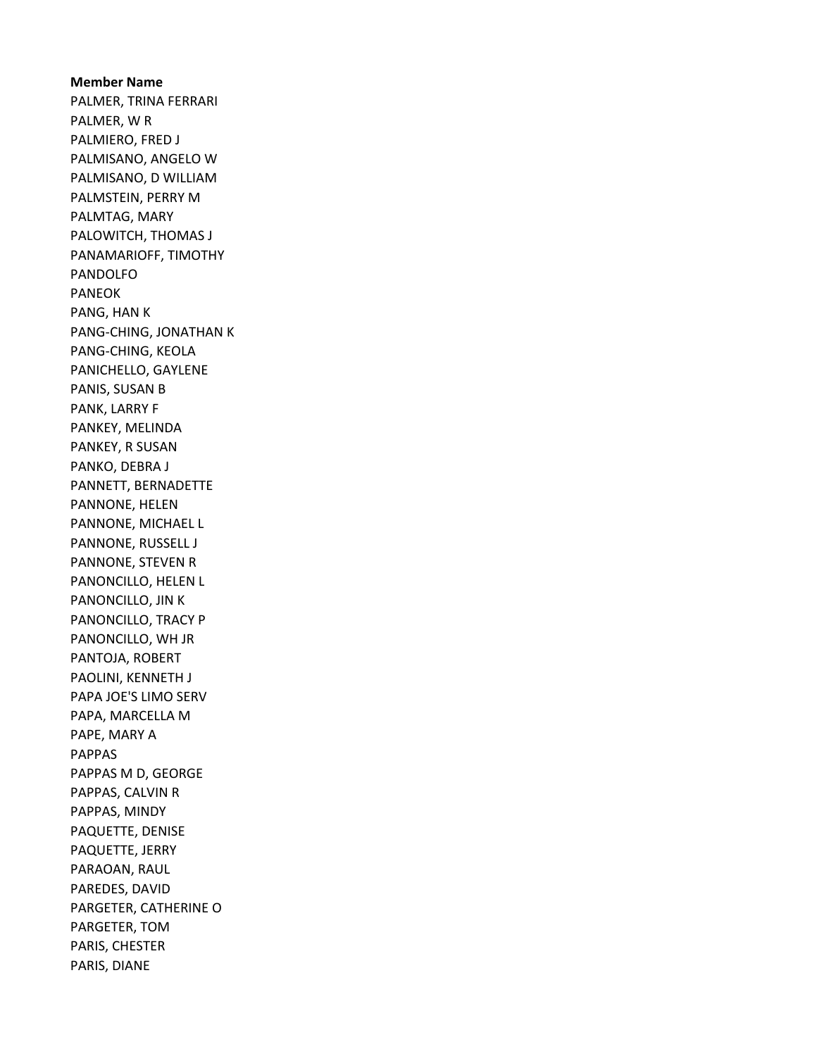Member Name PALMER, TRINA FERRARI PALMER, W R PALMIERO, FRED J PALMISANO, ANGELO W PALMISANO, D WILLIAM PALMSTEIN, PERRY M PALMTAG, MARY PALOWITCH, THOMAS J PANAMARIOFF, TIMOTHY PANDOLFO PANEOK PANG, HAN K PANG-CHING, JONATHAN K PANG-CHING, KEOLA PANICHELLO, GAYLENE PANIS, SUSAN B PANK, LARRY F PANKEY, MELINDA PANKEY, R SUSAN PANKO, DEBRA J PANNETT, BERNADETTE PANNONE, HELEN PANNONE, MICHAEL L PANNONE, RUSSELL J PANNONE, STEVEN R PANONCILLO, HELEN L PANONCILLO, JIN K PANONCILLO, TRACY P PANONCILLO, WH JR PANTOJA, ROBERT PAOLINI, KENNETH J PAPA JOE'S LIMO SERV PAPA, MARCELLA M PAPE, MARY A PAPPAS PAPPAS M D, GEORGE PAPPAS, CALVIN R PAPPAS, MINDY PAQUETTE, DENISE PAQUETTE, JERRY PARAOAN, RAUL PAREDES, DAVID PARGETER, CATHERINE O PARGETER, TOM PARIS, CHESTER PARIS, DIANE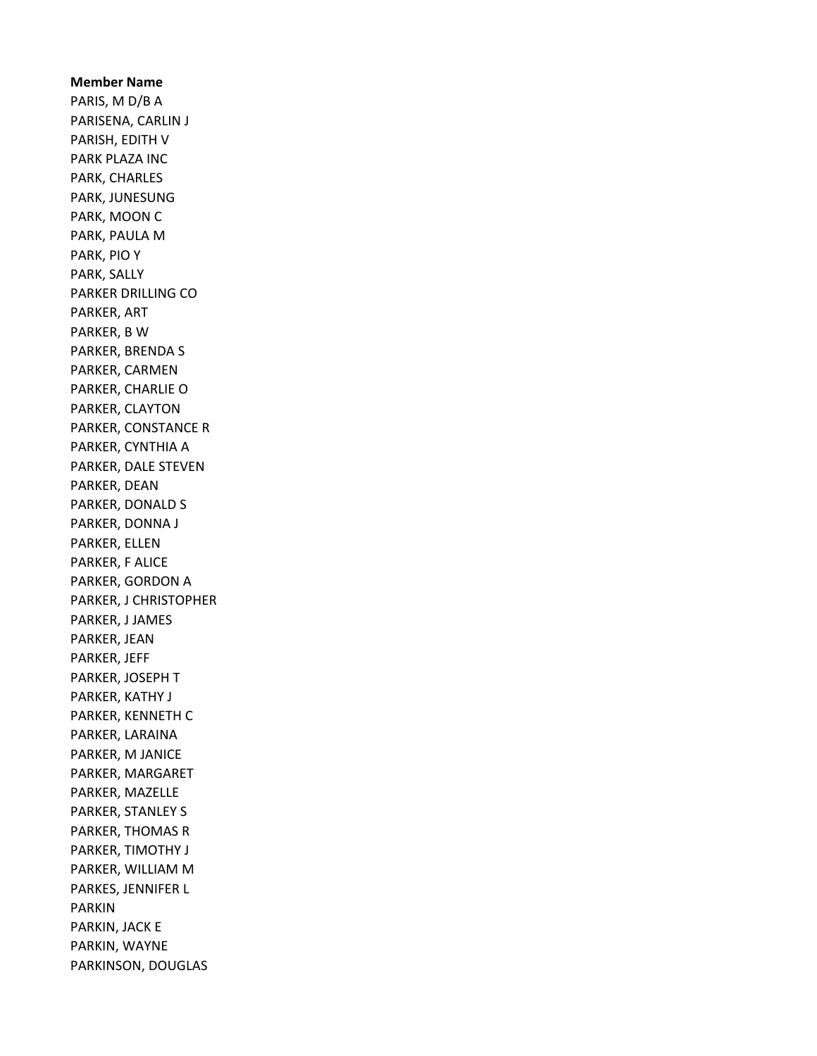# Member Name PARIS, M D/B A PARISENA, CARLIN J PARISH, EDITH V PARK PLAZA INC PARK, CHARLES PARK, JUNESUNG PARK, MOON C PARK, PAULA M PARK, PIO Y PARK, SALLY PARKER DRILLING CO PARKER, ART PARKER, B W PARKER, BRENDA S PARKER, CARMEN PARKER, CHARLIE O PARKER, CLAYTON PARKER, CONSTANCE R PARKER, CYNTHIA A PARKER, DALE STEVEN PARKER, DEAN PARKER, DONALD S PARKER, DONNA J PARKER, ELLEN PARKER, F ALICE PARKER, GORDON A PARKER, J CHRISTOPHER PARKER, J JAMES PARKER, JEAN PARKER, JEFF PARKER, JOSEPH T PARKER, KATHY J PARKER, KENNETH C PARKER, LARAINA PARKER, M JANICE PARKER, MARGARET PARKER, MAZELLE PARKER, STANLEY S PARKER, THOMAS R PARKER, TIMOTHY J PARKER, WILLIAM M PARKES, JENNIFER L PARKIN PARKIN, JACK E PARKIN, WAYNE PARKINSON, DOUGLAS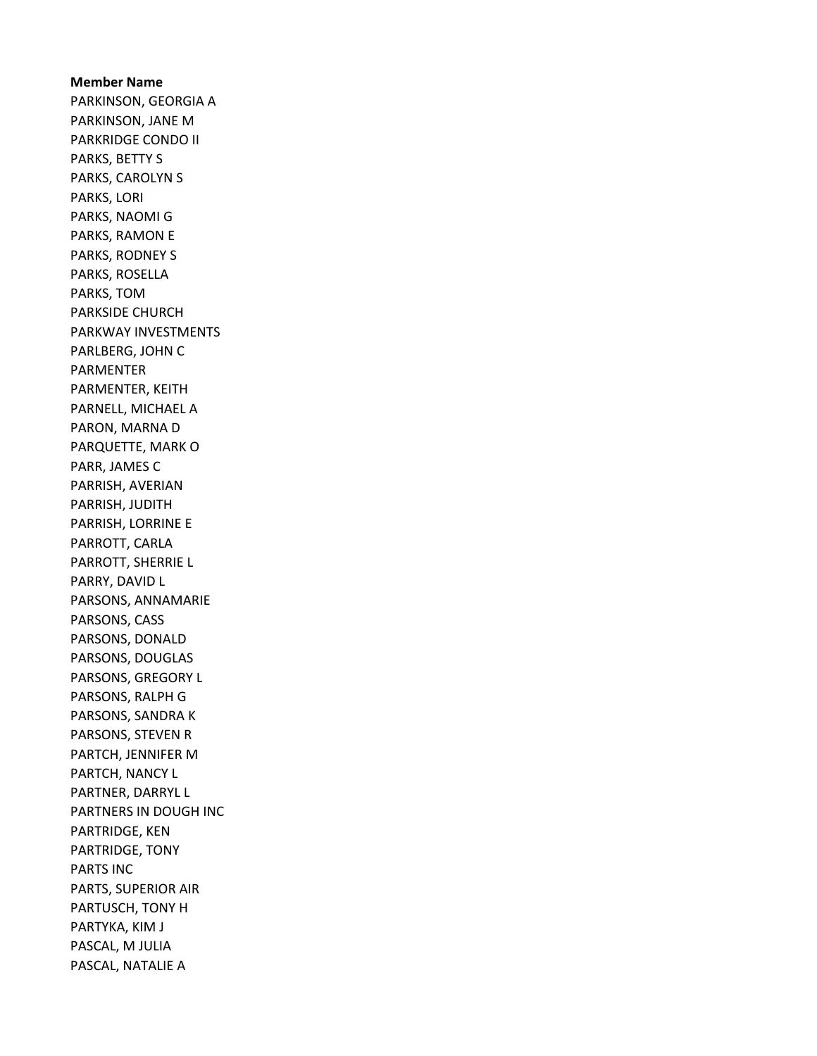Member Name PARKINSON, GEORGIA A PARKINSON, JANE M PARKRIDGE CONDO II PARKS, BETTY S PARKS, CAROLYN S PARKS, LORI PARKS, NAOMI G PARKS, RAMON E PARKS, RODNEY S PARKS, ROSELLA PARKS, TOM PARKSIDE CHURCH PARKWAY INVESTMENTS PARLBERG, JOHN C PARMENTER PARMENTER, KEITH PARNELL, MICHAEL A PARON, MARNA D PARQUETTE, MARK O PARR, JAMES C PARRISH, AVERIAN PARRISH, JUDITH PARRISH, LORRINE E PARROTT, CARLA PARROTT, SHERRIE L PARRY, DAVID L PARSONS, ANNAMARIE PARSONS, CASS PARSONS, DONALD PARSONS, DOUGLAS PARSONS, GREGORY L PARSONS, RALPH G PARSONS, SANDRA K PARSONS, STEVEN R PARTCH, JENNIFER M PARTCH, NANCY L PARTNER, DARRYL L PARTNERS IN DOUGH INC PARTRIDGE, KEN PARTRIDGE, TONY PARTS INC PARTS, SUPERIOR AIR PARTUSCH, TONY H PARTYKA, KIM J PASCAL, M JULIA PASCAL, NATALIE A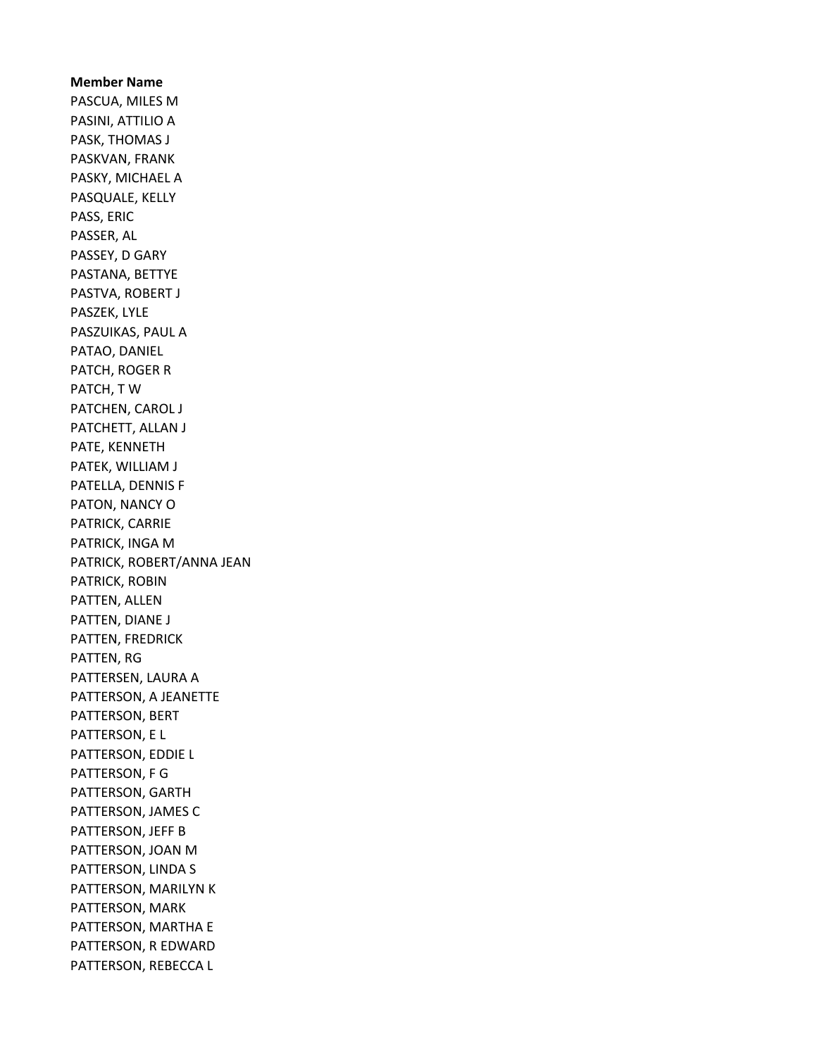Member Name PASCUA, MILES M PASINI, ATTILIO A PASK, THOMAS J PASKVAN, FRANK PASKY, MICHAEL A PASQUALE, KELLY PASS, ERIC PASSER, AL PASSEY, D GARY PASTANA, BETTYE PASTVA, ROBERT J PASZEK, LYLE PASZUIKAS, PAUL A PATAO, DANIEL PATCH, ROGER R PATCH, T W PATCHEN, CAROL J PATCHETT, ALLAN J PATE, KENNETH PATEK, WILLIAM J PATELLA, DENNIS F PATON, NANCY O PATRICK, CARRIE PATRICK, INGA M PATRICK, ROBERT/ANNA JEAN PATRICK, ROBIN PATTEN, ALLEN PATTEN, DIANE J PATTEN, FREDRICK PATTEN, RG PATTERSEN, LAURA A PATTERSON, A JEANETTE PATTERSON, BERT PATTERSON, E L PATTERSON, EDDIE L PATTERSON, F G PATTERSON, GARTH PATTERSON, JAMES C PATTERSON, JEFF B PATTERSON, JOAN M PATTERSON, LINDA S PATTERSON, MARILYN K PATTERSON, MARK PATTERSON, MARTHA E PATTERSON, R EDWARD PATTERSON, REBECCA L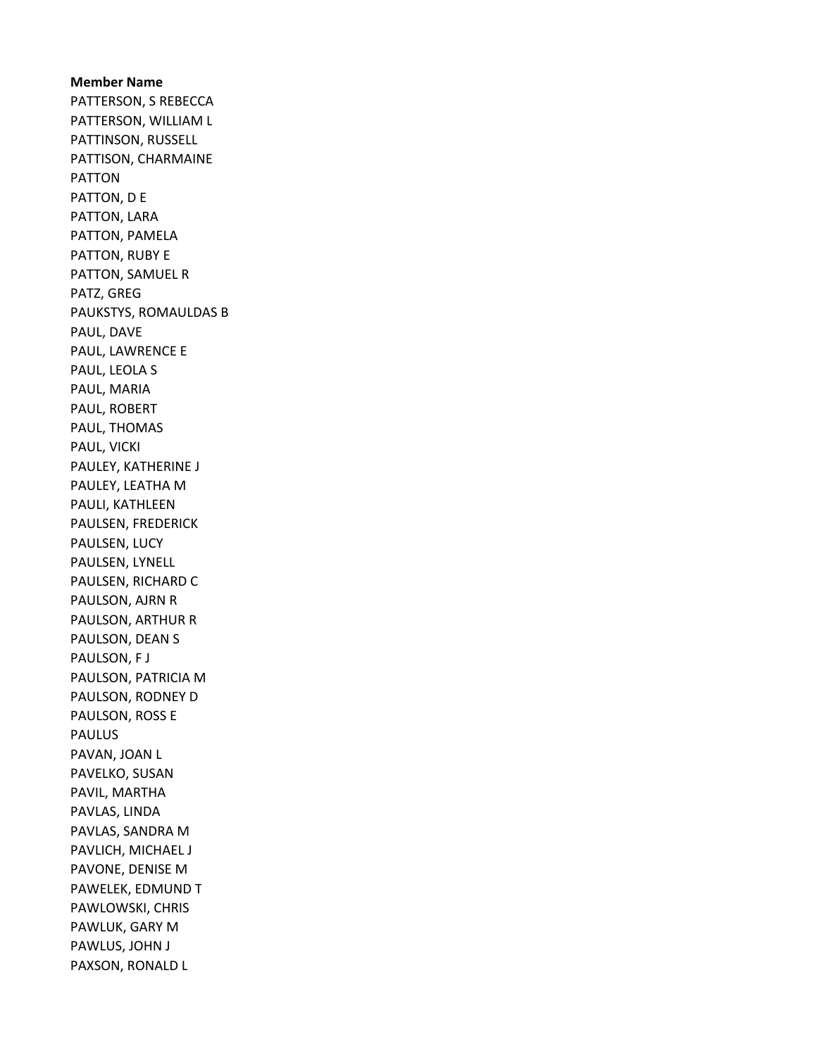Member Name PATTERSON, S REBECCA PATTERSON, WILLIAM L PATTINSON, RUSSELL PATTISON, CHARMAINE PATTON PATTON, D E PATTON, LARA PATTON, PAMELA PATTON, RUBY E PATTON, SAMUEL R PATZ, GREG PAUKSTYS, ROMAULDAS B PAUL, DAVE PAUL, LAWRENCE E PAUL, LEOLA S PAUL, MARIA PAUL, ROBERT PAUL, THOMAS PAUL, VICKI PAULEY, KATHERINE J PAULEY, LEATHA M PAULI, KATHLEEN PAULSEN, FREDERICK PAULSEN, LUCY PAULSEN, LYNELL PAULSEN, RICHARD C PAULSON, AJRN R PAULSON, ARTHUR R PAULSON, DEAN S PAULSON, F J PAULSON, PATRICIA M PAULSON, RODNEY D PAULSON, ROSS E PAULUS PAVAN, JOAN L PAVELKO, SUSAN PAVIL, MARTHA PAVLAS, LINDA PAVLAS, SANDRA M PAVLICH, MICHAEL J PAVONE, DENISE M PAWELEK, EDMUND T PAWLOWSKI, CHRIS PAWLUK, GARY M PAWLUS, JOHN J PAXSON, RONALD L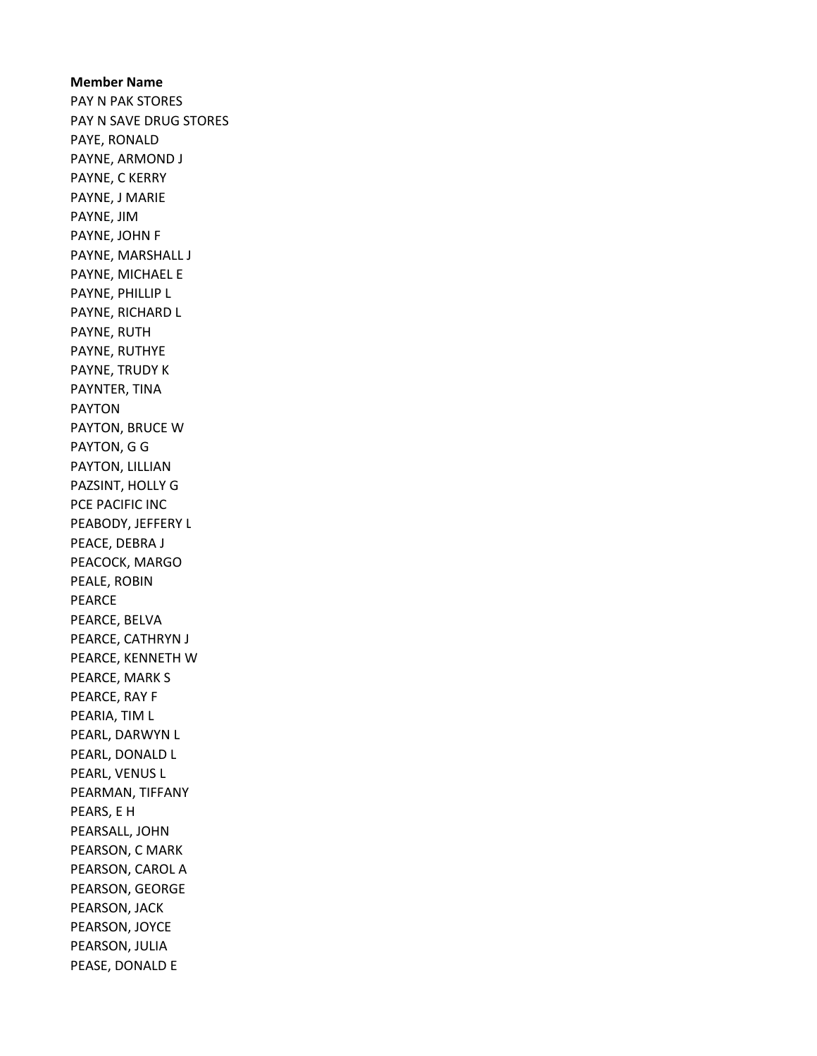# Member Name PAY N PAK STORES PAY N SAVE DRUG STORES PAYE, RONALD PAYNE, ARMOND J PAYNE, C KERRY PAYNE, J MARIE PAYNE, JIM PAYNE, JOHN F PAYNE, MARSHALL J PAYNE, MICHAEL E PAYNE, PHILLIP L PAYNE, RICHARD L PAYNE, RUTH PAYNE, RUTHYE PAYNE, TRUDY K PAYNTER, TINA PAYTON PAYTON, BRUCE W PAYTON, G G PAYTON, LILLIAN PAZSINT, HOLLY G PCE PACIFIC INC PEABODY, JEFFERY L PEACE, DEBRA J PEACOCK, MARGO PEALE, ROBIN PEARCE PEARCE, BELVA PEARCE, CATHRYN J PEARCE, KENNETH W PEARCE, MARK S PEARCE, RAY F PEARIA, TIM L PEARL, DARWYN L PEARL, DONALD L PEARL, VENUS L PEARMAN, TIFFANY PEARS, E H PEARSALL, JOHN PEARSON, C MARK PEARSON, CAROL A PEARSON, GEORGE PEARSON, JACK PEARSON, JOYCE PEARSON, JULIA PEASE, DONALD E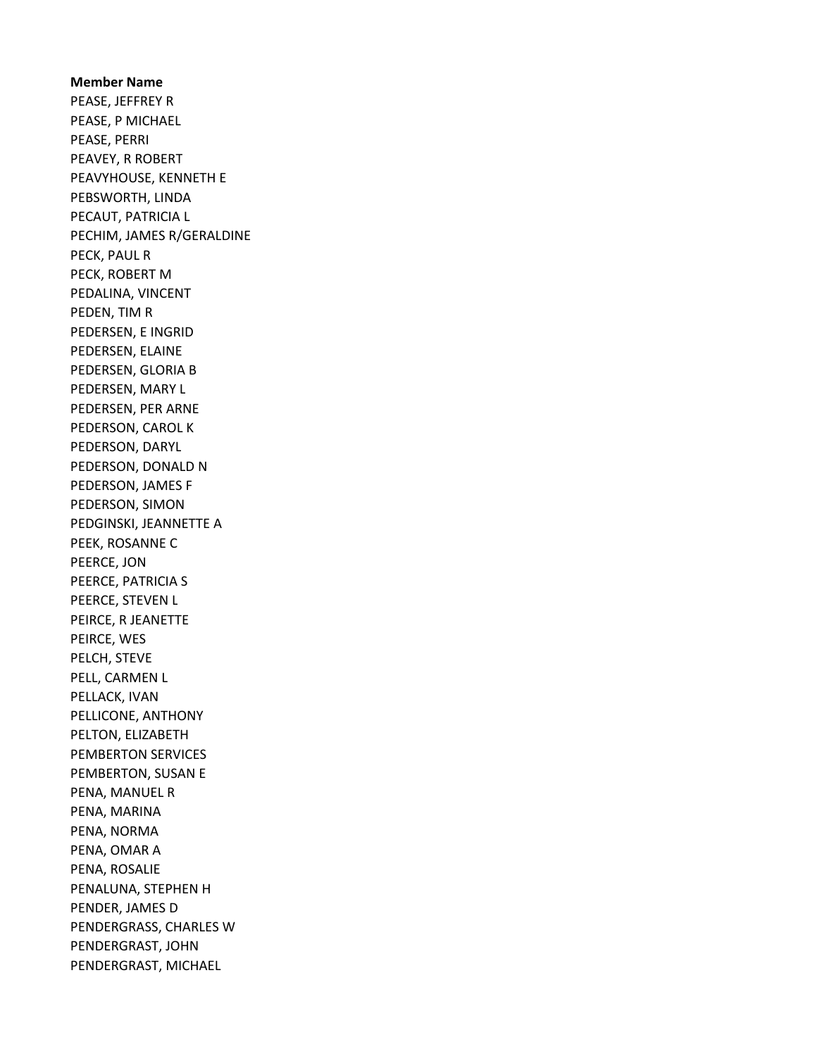Member Name PEASE, JEFFREY R PEASE, P MICHAEL PEASE, PERRI PEAVEY, R ROBERT PEAVYHOUSE, KENNETH E PEBSWORTH, LINDA PECAUT, PATRICIA L PECHIM, JAMES R/GERALDINE PECK, PAUL R PECK, ROBERT M PEDALINA, VINCENT PEDEN, TIM R PEDERSEN, E INGRID PEDERSEN, ELAINE PEDERSEN, GLORIA B PEDERSEN, MARY L PEDERSEN, PER ARNE PEDERSON, CAROL K PEDERSON, DARYL PEDERSON, DONALD N PEDERSON, JAMES F PEDERSON, SIMON PEDGINSKI, JEANNETTE A PEEK, ROSANNE C PEERCE, JON PEERCE, PATRICIA S PEERCE, STEVEN L PEIRCE, R JEANETTE PEIRCE, WES PELCH, STEVE PELL, CARMEN L PELLACK, IVAN PELLICONE, ANTHONY PELTON, ELIZABETH PEMBERTON SERVICES PEMBERTON, SUSAN E PENA, MANUEL R PENA, MARINA PENA, NORMA PENA, OMAR A PENA, ROSALIE PENALUNA, STEPHEN H PENDER, JAMES D PENDERGRASS, CHARLES W PENDERGRAST, JOHN PENDERGRAST, MICHAEL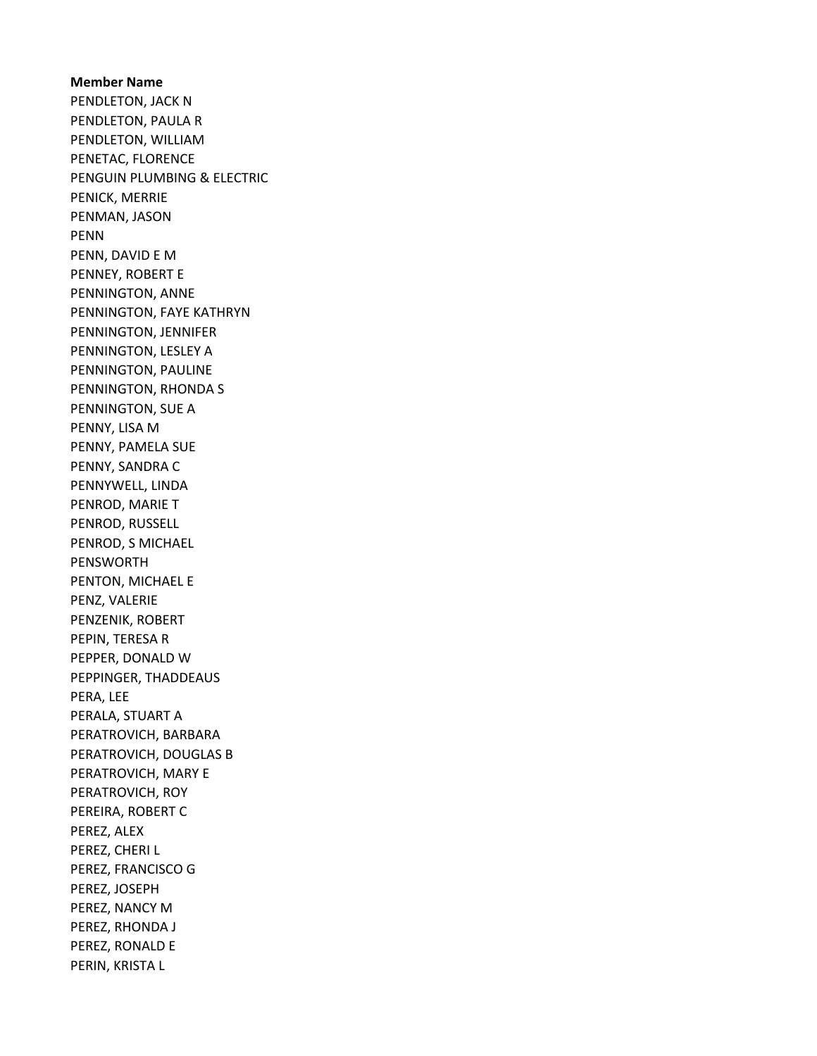Member Name PENDLETON, JACK N PENDLETON, PAULA R PENDLETON, WILLIAM PENETAC, FLORENCE PENGUIN PLUMBING & ELECTRIC PENICK, MERRIE PENMAN, JASON PENN PENN, DAVID E M PENNEY, ROBERT E PENNINGTON, ANNE PENNINGTON, FAYE KATHRYN PENNINGTON, JENNIFER PENNINGTON, LESLEY A PENNINGTON, PAULINE PENNINGTON, RHONDA S PENNINGTON, SUE A PENNY, LISA M PENNY, PAMELA SUE PENNY, SANDRA C PENNYWELL, LINDA PENROD, MARIE T PENROD, RUSSELL PENROD, S MICHAEL PENSWORTH PENTON, MICHAEL E PENZ, VALERIE PENZENIK, ROBERT PEPIN, TERESA R PEPPER, DONALD W PEPPINGER, THADDEAUS PERA, LEE PERALA, STUART A PERATROVICH, BARBARA PERATROVICH, DOUGLAS B PERATROVICH, MARY E PERATROVICH, ROY PEREIRA, ROBERT C PEREZ, ALEX PEREZ, CHERI L PEREZ, FRANCISCO G PEREZ, JOSEPH PEREZ, NANCY M PEREZ, RHONDA J PEREZ, RONALD E PERIN, KRISTA L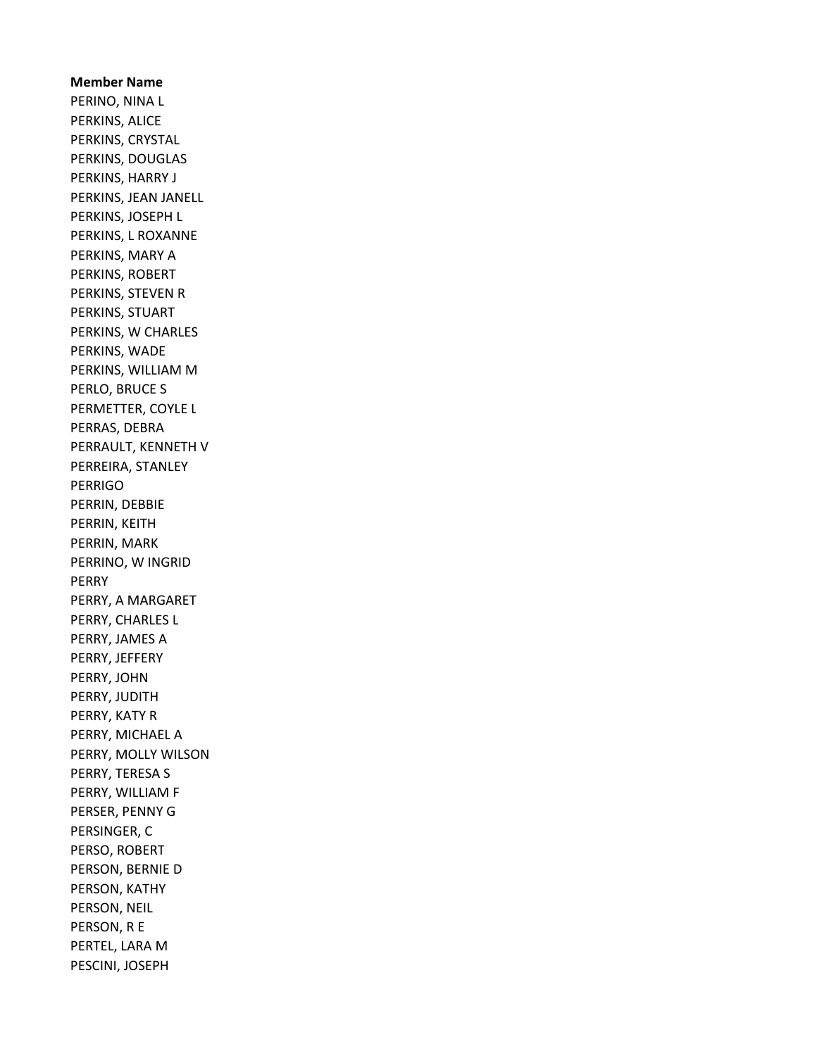Member Name PERINO, NINA L PERKINS, ALICE PERKINS, CRYSTAL PERKINS, DOUGLAS PERKINS, HARRY J PERKINS, JEAN JANELL PERKINS, JOSEPH L PERKINS, L ROXANNE PERKINS, MARY A PERKINS, ROBERT PERKINS, STEVEN R PERKINS, STUART PERKINS, W CHARLES PERKINS, WADE PERKINS, WILLIAM M PERLO, BRUCE S PERMETTER, COYLE L PERRAS, DEBRA PERRAULT, KENNETH V PERREIRA, STANLEY PERRIGO PERRIN, DEBBIE PERRIN, KEITH PERRIN, MARK PERRINO, W INGRID PERRY PERRY, A MARGARET PERRY, CHARLES L PERRY, JAMES A PERRY, JEFFERY PERRY, JOHN PERRY, JUDITH PERRY, KATY R PERRY, MICHAEL A PERRY, MOLLY WILSON PERRY, TERESA S PERRY, WILLIAM F PERSER, PENNY G PERSINGER, C PERSO, ROBERT PERSON, BERNIE D PERSON, KATHY PERSON, NEIL PERSON, R E PERTEL, LARA M PESCINI, JOSEPH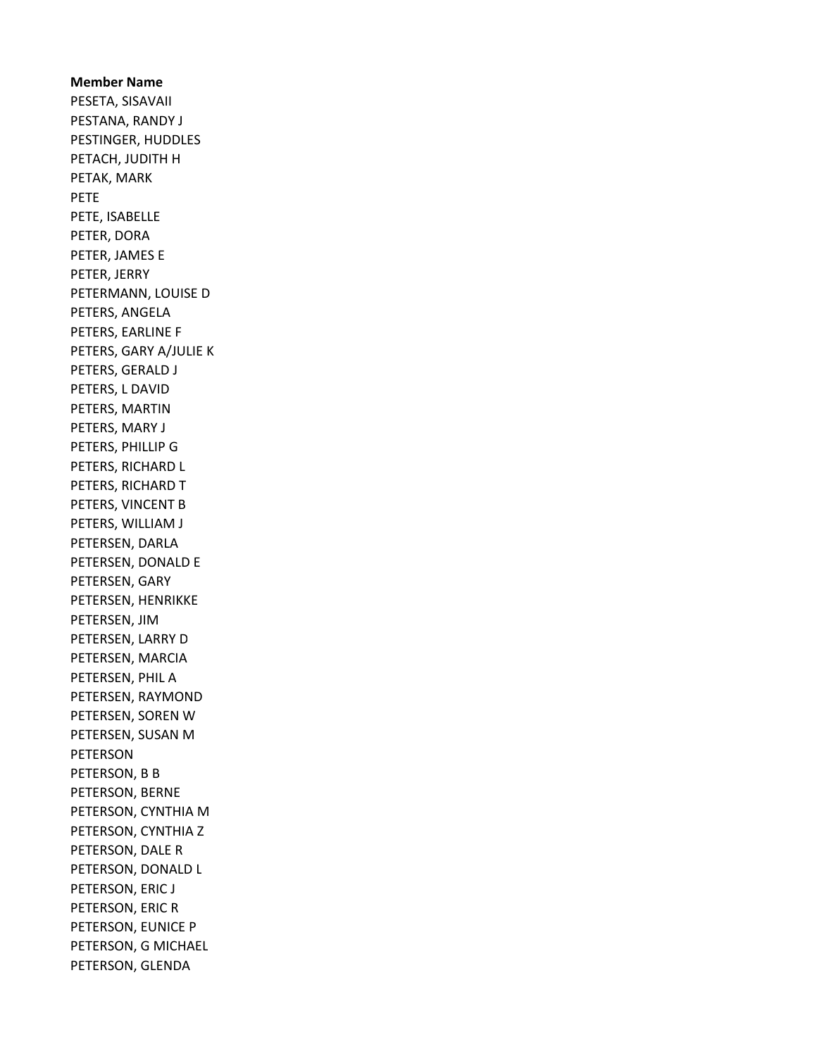Member Name PESETA, SISAVAII PESTANA, RANDY J PESTINGER, HUDDLES PETACH, JUDITH H PETAK, MARK PETE PETE, ISABELLE PETER, DORA PETER, JAMES E PETER, JERRY PETERMANN, LOUISE D PETERS, ANGELA PETERS, EARLINE F PETERS, GARY A/JULIE K PETERS, GERALD J PETERS, L DAVID PETERS, MARTIN PETERS, MARY J PETERS, PHILLIP G PETERS, RICHARD L PETERS, RICHARD T PETERS, VINCENT B PETERS, WILLIAM J PETERSEN, DARLA PETERSEN, DONALD E PETERSEN, GARY PETERSEN, HENRIKKE PETERSEN, JIM PETERSEN, LARRY D PETERSEN, MARCIA PETERSEN, PHIL A PETERSEN, RAYMOND PETERSEN, SOREN W PETERSEN, SUSAN M PETERSON PETERSON, B B PETERSON, BERNE PETERSON, CYNTHIA M PETERSON, CYNTHIA Z PETERSON, DALE R PETERSON, DONALD L PETERSON, ERIC J PETERSON, ERIC R PETERSON, EUNICE P PETERSON, G MICHAEL PETERSON, GLENDA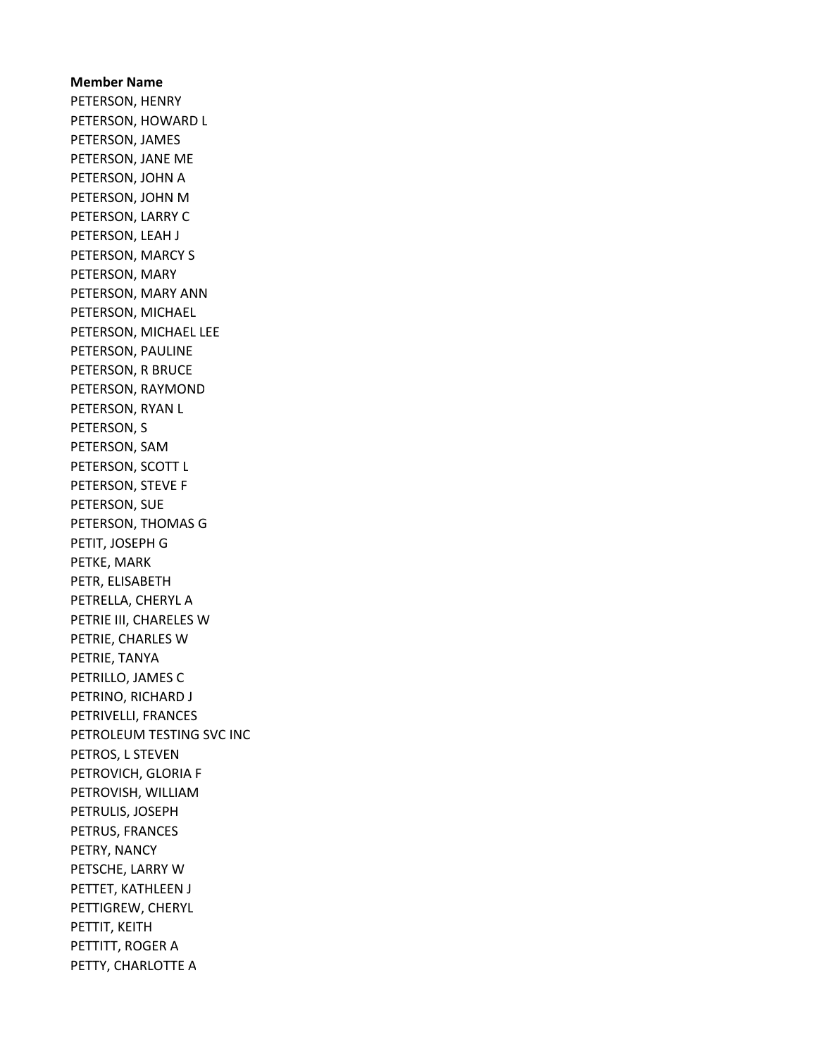Member Name PETERSON, HENRY PETERSON, HOWARD L PETERSON, JAMES PETERSON, JANE ME PETERSON, JOHN A PETERSON, JOHN M PETERSON, LARRY C PETERSON, LEAH J PETERSON, MARCY S PETERSON, MARY PETERSON, MARY ANN PETERSON, MICHAEL PETERSON, MICHAEL LEE PETERSON, PAULINE PETERSON, R BRUCE PETERSON, RAYMOND PETERSON, RYAN L PETERSON, S PETERSON, SAM PETERSON, SCOTT L PETERSON, STEVE F PETERSON, SUE PETERSON, THOMAS G PETIT, JOSEPH G PETKE, MARK PETR, ELISABETH PETRELLA, CHERYL A PETRIE III, CHARELES W PETRIE, CHARLES W PETRIE, TANYA PETRILLO, JAMES C PETRINO, RICHARD J PETRIVELLI, FRANCES PETROLEUM TESTING SVC INC PETROS, L STEVEN PETROVICH, GLORIA F PETROVISH, WILLIAM PETRULIS, JOSEPH PETRUS, FRANCES PETRY, NANCY PETSCHE, LARRY W PETTET, KATHLEEN J PETTIGREW, CHERYL PETTIT, KEITH PETTITT, ROGER A PETTY, CHARLOTTE A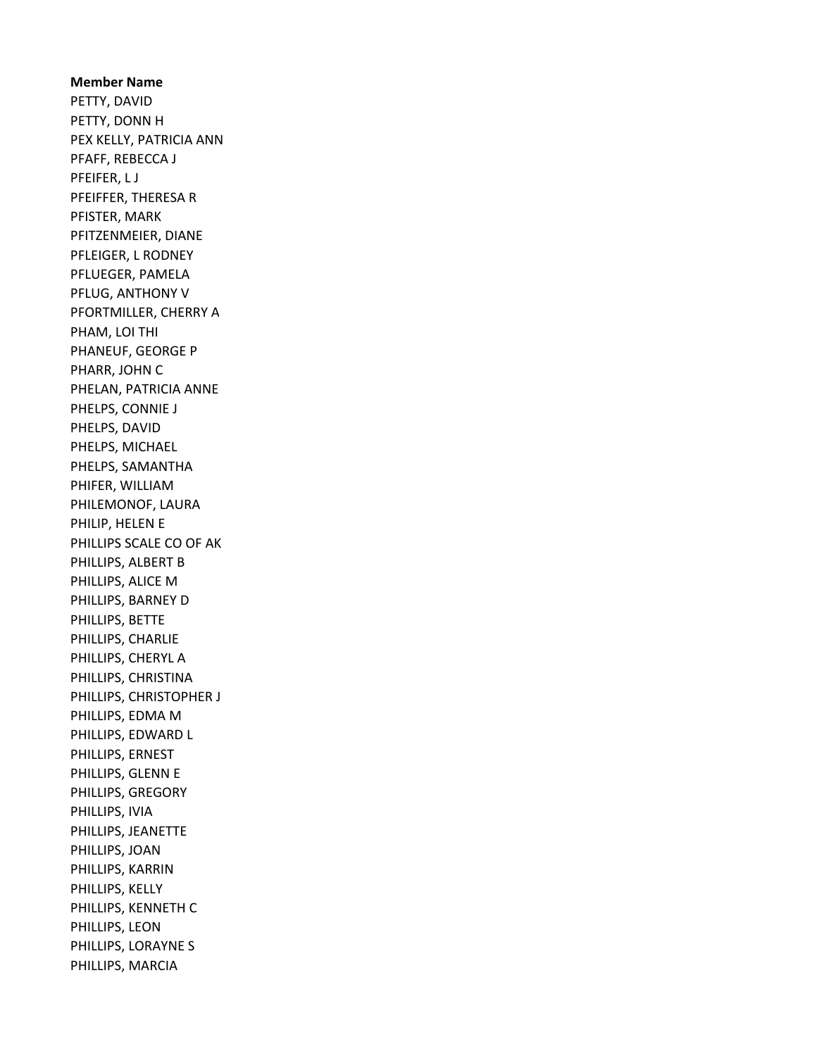# Member Name PETTY, DAVID PETTY, DONN H PEX KELLY, PATRICIA ANN PFAFF, REBECCA J PFEIFER, L J PFEIFFER, THERESA R PFISTER, MARK PFITZENMEIER, DIANE PFLEIGER, L RODNEY PFLUEGER, PAMELA PFLUG, ANTHONY V PFORTMILLER, CHERRY A PHAM, LOI THI PHANEUF, GEORGE P PHARR, JOHN C PHELAN, PATRICIA ANNE PHELPS, CONNIE J PHELPS, DAVID PHELPS, MICHAEL PHELPS, SAMANTHA PHIFER, WILLIAM PHILEMONOF, LAURA PHILIP, HELEN E PHILLIPS SCALE CO OF AK PHILLIPS, ALBERT B PHILLIPS, ALICE M PHILLIPS, BARNEY D PHILLIPS, BETTE PHILLIPS, CHARLIE PHILLIPS, CHERYL A PHILLIPS, CHRISTINA PHILLIPS, CHRISTOPHER J PHILLIPS, EDMA M PHILLIPS, EDWARD L PHILLIPS, ERNEST PHILLIPS, GLENN E PHILLIPS, GREGORY PHILLIPS, IVIA PHILLIPS, JEANETTE PHILLIPS, JOAN PHILLIPS, KARRIN PHILLIPS, KELLY PHILLIPS, KENNETH C PHILLIPS, LEON PHILLIPS, LORAYNE S PHILLIPS, MARCIA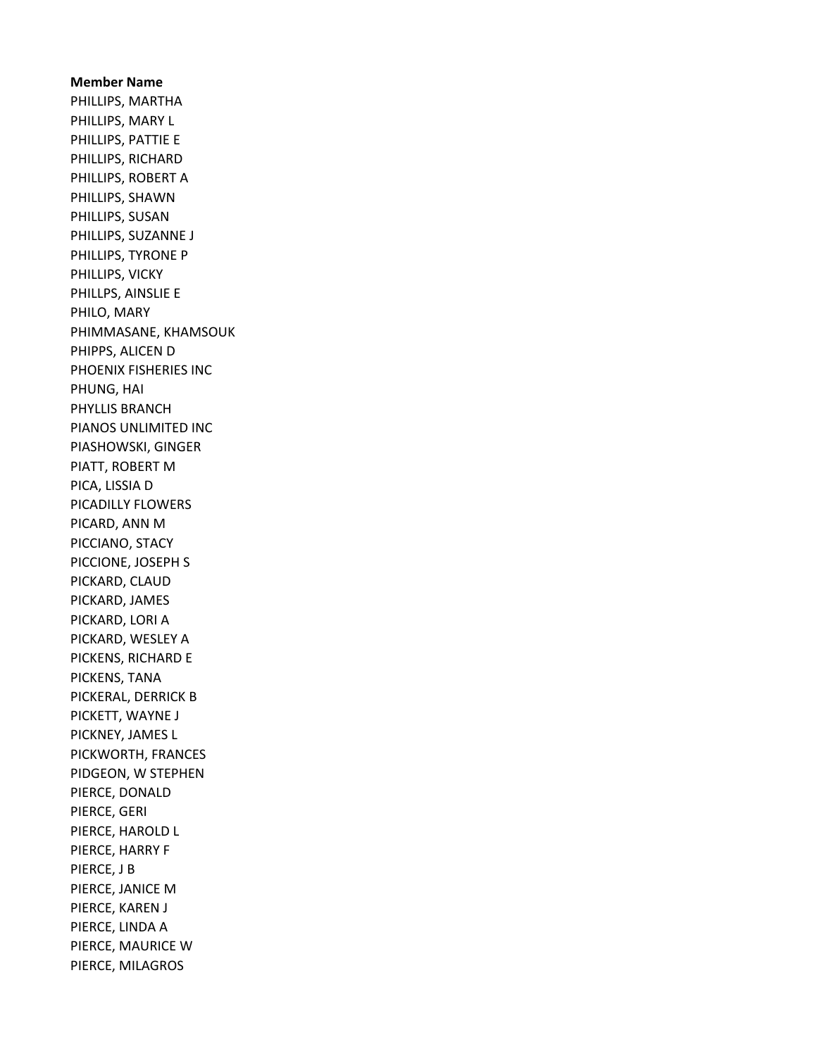Member Name PHILLIPS, MARTHA PHILLIPS, MARY L PHILLIPS, PATTIE E PHILLIPS, RICHARD PHILLIPS, ROBERT A PHILLIPS, SHAWN PHILLIPS, SUSAN PHILLIPS, SUZANNE J PHILLIPS, TYRONE P PHILLIPS, VICKY PHILLPS, AINSLIE E PHILO, MARY PHIMMASANE, KHAMSOUK PHIPPS, ALICEN D PHOENIX FISHERIES INC PHUNG, HAI PHYLLIS BRANCH PIANOS UNLIMITED INC PIASHOWSKI, GINGER PIATT, ROBERT M PICA, LISSIA D PICADILLY FLOWERS PICARD, ANN M PICCIANO, STACY PICCIONE, JOSEPH S PICKARD, CLAUD PICKARD, JAMES PICKARD, LORI A PICKARD, WESLEY A PICKENS, RICHARD E PICKENS, TANA PICKERAL, DERRICK B PICKETT, WAYNE J PICKNEY, JAMES L PICKWORTH, FRANCES PIDGEON, W STEPHEN PIERCE, DONALD PIERCE, GERI PIERCE, HAROLD L PIERCE, HARRY F PIERCE, J B PIERCE, JANICE M PIERCE, KAREN J PIERCE, LINDA A PIERCE, MAURICE W PIERCE, MILAGROS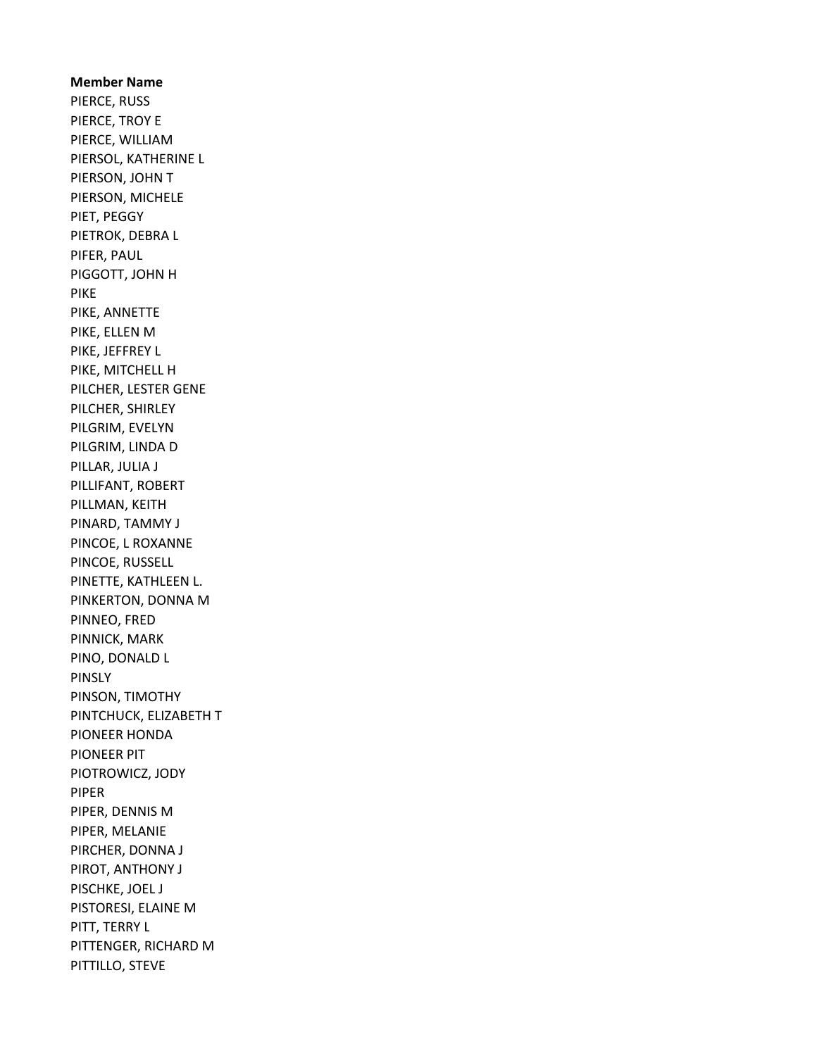Member Name PIERCE, RUSS PIERCE, TROY E PIERCE, WILLIAM PIERSOL, KATHERINE L PIERSON, JOHN T PIERSON, MICHELE PIET, PEGGY PIETROK, DEBRA L PIFER, PAUL PIGGOTT, JOHN H PIKE PIKE, ANNETTE PIKE, ELLEN M PIKE, JEFFREY L PIKE, MITCHELL H PILCHER, LESTER GENE PILCHER, SHIRLEY PILGRIM, EVELYN PILGRIM, LINDA D PILLAR, JULIA J PILLIFANT, ROBERT PILLMAN, KEITH PINARD, TAMMY J PINCOE, L ROXANNE PINCOE, RUSSELL PINETTE, KATHLEEN L. PINKERTON, DONNA M PINNEO, FRED PINNICK, MARK PINO, DONALD L PINSLY PINSON, TIMOTHY PINTCHUCK, ELIZABETH T PIONEER HONDA PIONEER PIT PIOTROWICZ, JODY PIPER PIPER, DENNIS M PIPER, MELANIE PIRCHER, DONNA J PIROT, ANTHONY J PISCHKE, JOEL J PISTORESI, ELAINE M PITT, TERRY L PITTENGER, RICHARD M PITTILLO, STEVE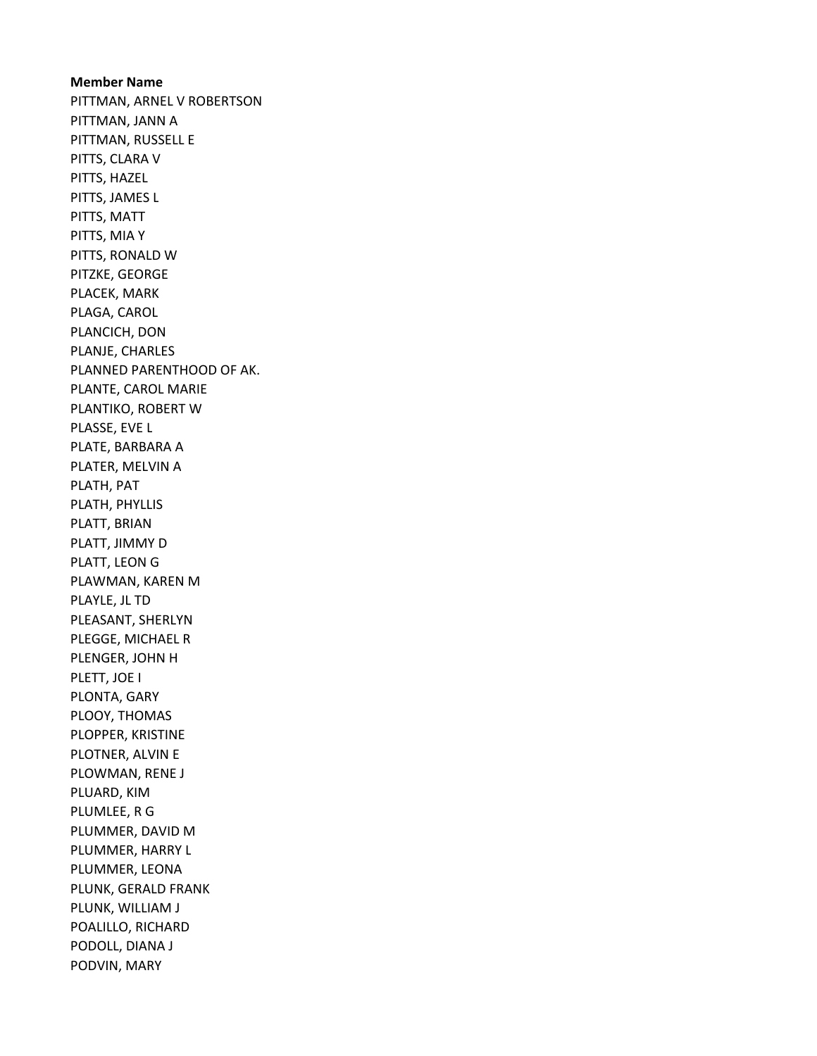Member Name PITTMAN, ARNEL V ROBERTSON PITTMAN, JANN A PITTMAN, RUSSELL E PITTS, CLARA V PITTS, HAZEL PITTS, JAMES L PITTS, MATT PITTS, MIA Y PITTS, RONALD W PITZKE, GEORGE PLACEK, MARK PLAGA, CAROL PLANCICH, DON PLANJE, CHARLES PLANNED PARENTHOOD OF AK. PLANTE, CAROL MARIE PLANTIKO, ROBERT W PLASSE, EVE L PLATE, BARBARA A PLATER, MELVIN A PLATH, PAT PLATH, PHYLLIS PLATT, BRIAN PLATT, JIMMY D PLATT, LEON G PLAWMAN, KAREN M PLAYLE, JL TD PLEASANT, SHERLYN PLEGGE, MICHAEL R PLENGER, JOHN H PLETT, JOE I PLONTA, GARY PLOOY, THOMAS PLOPPER, KRISTINE PLOTNER, ALVIN E PLOWMAN, RENE J PLUARD, KIM PLUMLEE, R G PLUMMER, DAVID M PLUMMER, HARRY L PLUMMER, LEONA PLUNK, GERALD FRANK PLUNK, WILLIAM J POALILLO, RICHARD PODOLL, DIANA J PODVIN, MARY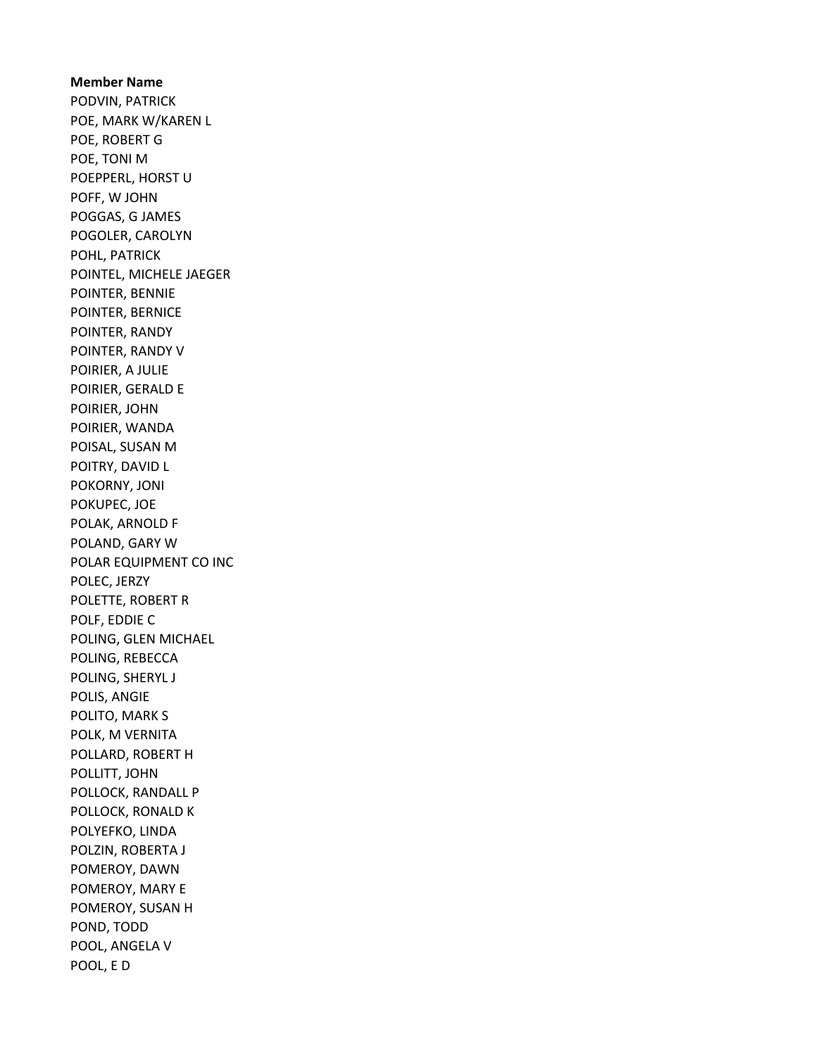Member Name PODVIN, PATRICK POE, MARK W/KAREN L POE, ROBERT G POE, TONI M POEPPERL, HORST U POFF, W JOHN POGGAS, G JAMES POGOLER, CAROLYN POHL, PATRICK POINTEL, MICHELE JAEGER POINTER, BENNIE POINTER, BERNICE POINTER, RANDY POINTER, RANDY V POIRIER, A JULIE POIRIER, GERALD E POIRIER, JOHN POIRIER, WANDA POISAL, SUSAN M POITRY, DAVID L POKORNY, JONI POKUPEC, JOE POLAK, ARNOLD F POLAND, GARY W POLAR EQUIPMENT CO INC POLEC, JERZY POLETTE, ROBERT R POLF, EDDIE C POLING, GLEN MICHAEL POLING, REBECCA POLING, SHERYL J POLIS, ANGIE POLITO, MARK S POLK, M VERNITA POLLARD, ROBERT H POLLITT, JOHN POLLOCK, RANDALL P POLLOCK, RONALD K POLYEFKO, LINDA POLZIN, ROBERTA J POMEROY, DAWN POMEROY, MARY E POMEROY, SUSAN H POND, TODD POOL, ANGELA V POOL, E D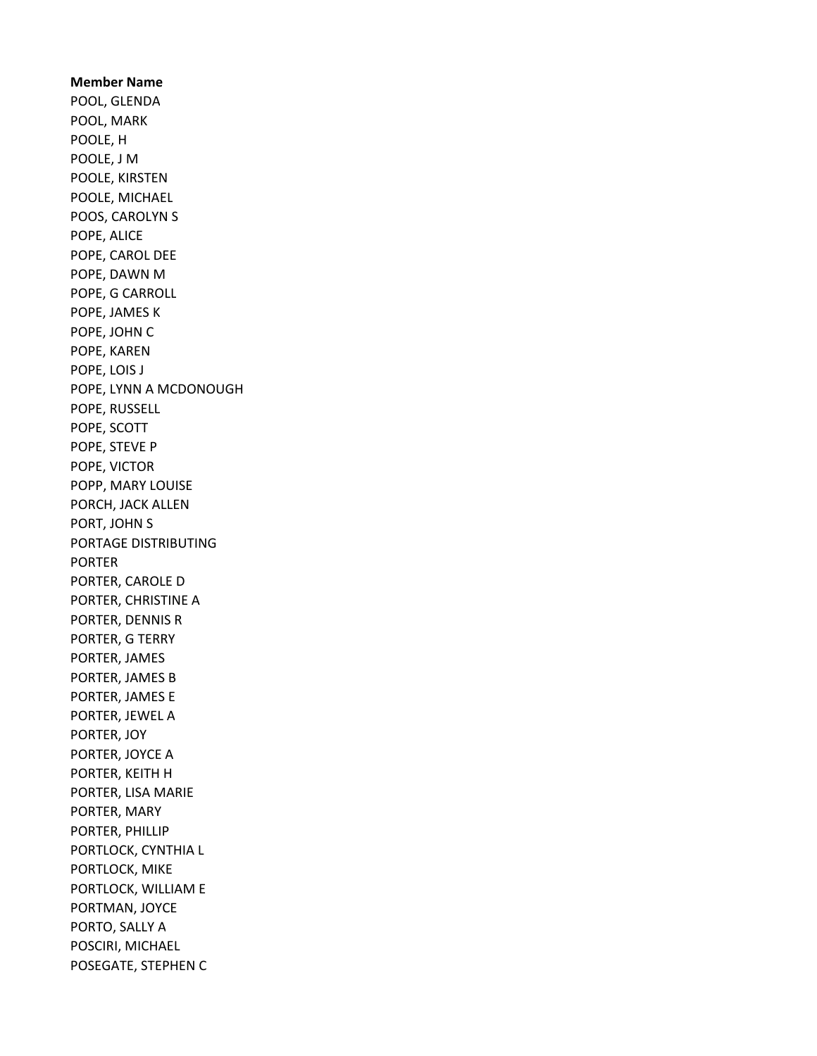Member Name POOL, GLENDA POOL, MARK POOLE, H POOLE, J M POOLE, KIRSTEN POOLE, MICHAEL POOS, CAROLYN S POPE, ALICE POPE, CAROL DEE POPE, DAWN M POPE, G CARROLL POPE, JAMES K POPE, JOHN C POPE, KAREN POPE, LOIS J POPE, LYNN A MCDONOUGH POPE, RUSSELL POPE, SCOTT POPE, STEVE P POPE, VICTOR POPP, MARY LOUISE PORCH, JACK ALLEN PORT, JOHN S PORTAGE DISTRIBUTING PORTER PORTER, CAROLE D PORTER, CHRISTINE A PORTER, DENNIS R PORTER, G TERRY PORTER, JAMES PORTER, JAMES B PORTER, JAMES E PORTER, JEWEL A PORTER, JOY PORTER, JOYCE A PORTER, KEITH H PORTER, LISA MARIE PORTER, MARY PORTER, PHILLIP PORTLOCK, CYNTHIA L PORTLOCK, MIKE PORTLOCK, WILLIAM E PORTMAN, JOYCE PORTO, SALLY A POSCIRI, MICHAEL POSEGATE, STEPHEN C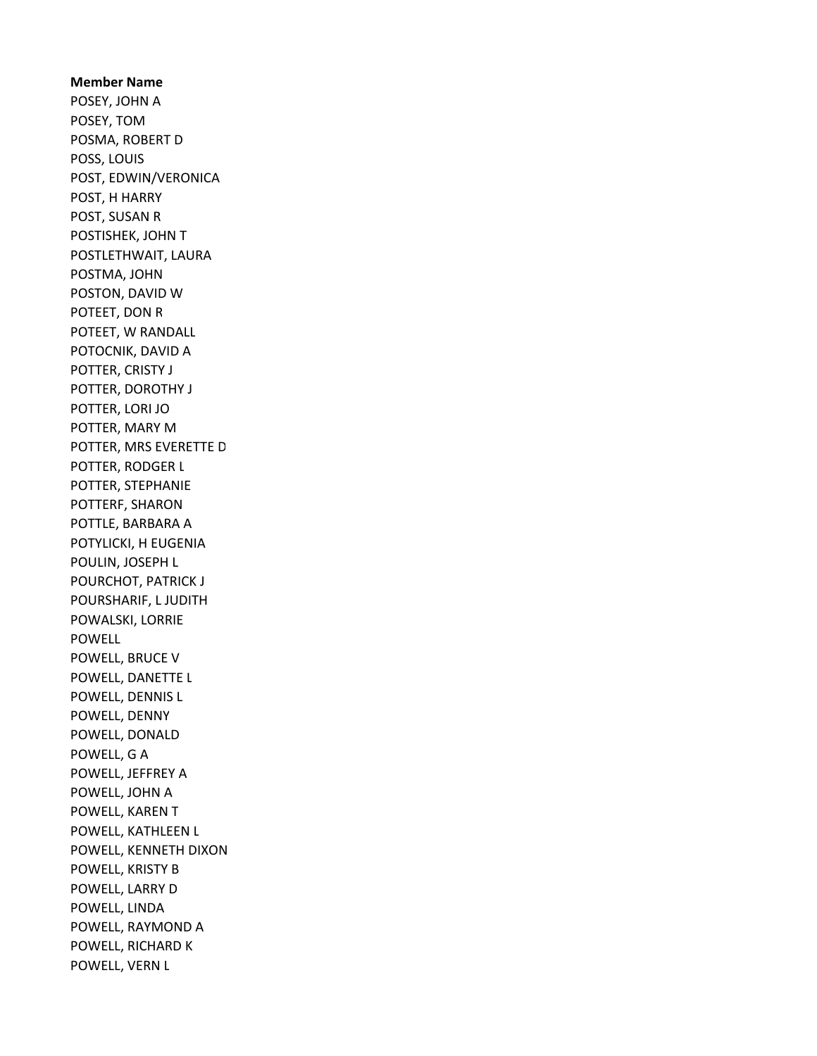Member Name POSEY, JOHN A POSEY, TOM POSMA, ROBERT D POSS, LOUIS POST, EDWIN/VERONICA POST, H HARRY POST, SUSAN R POSTISHEK, JOHN T POSTLETHWAIT, LAURA POSTMA, JOHN POSTON, DAVID W POTEET, DON R POTEET, W RANDALL POTOCNIK, DAVID A POTTER, CRISTY J POTTER, DOROTHY J POTTER, LORI JO POTTER, MARY M POTTER, MRS EVERETTE D POTTER, RODGER L POTTER, STEPHANIE POTTERF, SHARON POTTLE, BARBARA A POTYLICKI, H EUGENIA POULIN, JOSEPH L POURCHOT, PATRICK J POURSHARIF, L JUDITH POWALSKI, LORRIE POWELL POWELL, BRUCE V POWELL, DANETTE L POWELL, DENNIS L POWELL, DENNY POWELL, DONALD POWELL, G A POWELL, JEFFREY A POWELL, JOHN A POWELL, KAREN T POWELL, KATHLEEN L POWELL, KENNETH DIXON POWELL, KRISTY B POWELL, LARRY D POWELL, LINDA POWELL, RAYMOND A POWELL, RICHARD K POWELL, VERN L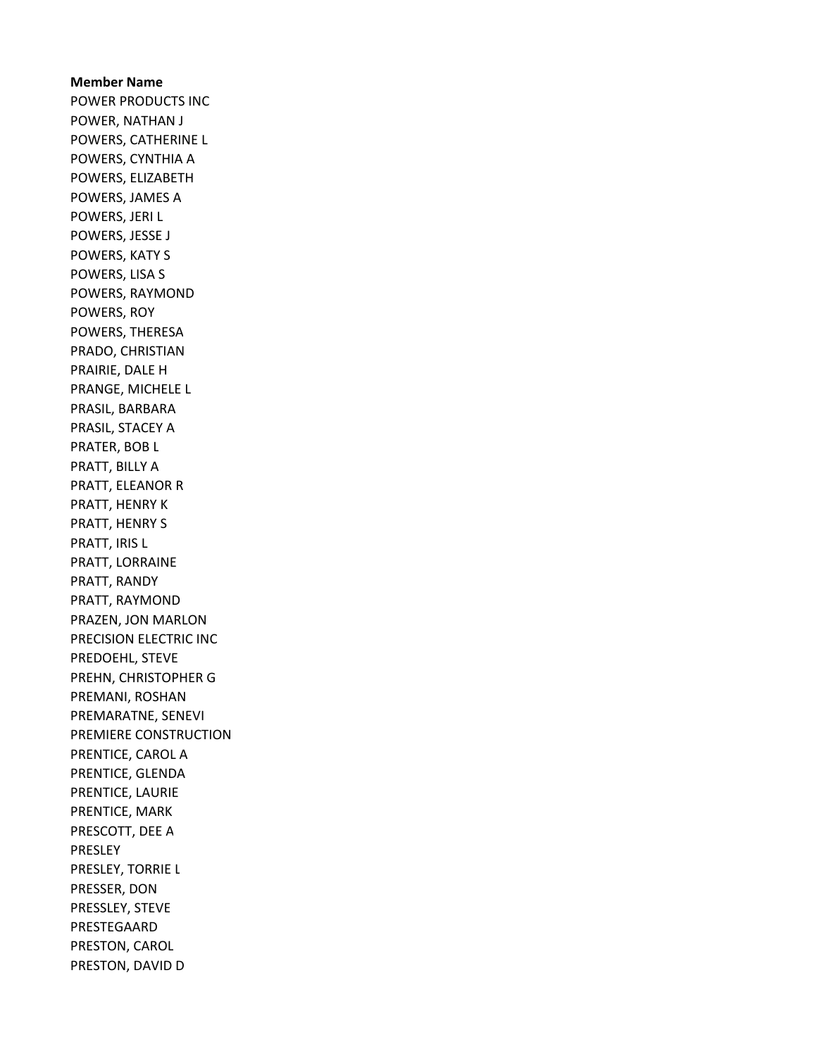Member Name POWER PRODUCTS INC POWER, NATHAN J POWERS, CATHERINE L POWERS, CYNTHIA A POWERS, ELIZABETH POWERS, JAMES A POWERS, JERI L POWERS, JESSE J POWERS, KATY S POWERS, LISA S POWERS, RAYMOND POWERS, ROY POWERS, THERESA PRADO, CHRISTIAN PRAIRIE, DALE H PRANGE, MICHELE L PRASIL, BARBARA PRASIL, STACEY A PRATER, BOB L PRATT, BILLY A PRATT, ELEANOR R PRATT, HENRY K PRATT, HENRY S PRATT, IRIS L PRATT, LORRAINE PRATT, RANDY PRATT, RAYMOND PRAZEN, JON MARLON PRECISION ELECTRIC INC PREDOEHL, STEVE PREHN, CHRISTOPHER G PREMANI, ROSHAN PREMARATNE, SENEVI PREMIERE CONSTRUCTION PRENTICE, CAROL A PRENTICE, GLENDA PRENTICE, LAURIE PRENTICE, MARK PRESCOTT, DEE A PRESLEY PRESLEY, TORRIE L PRESSER, DON PRESSLEY, STEVE PRESTEGAARD PRESTON, CAROL PRESTON, DAVID D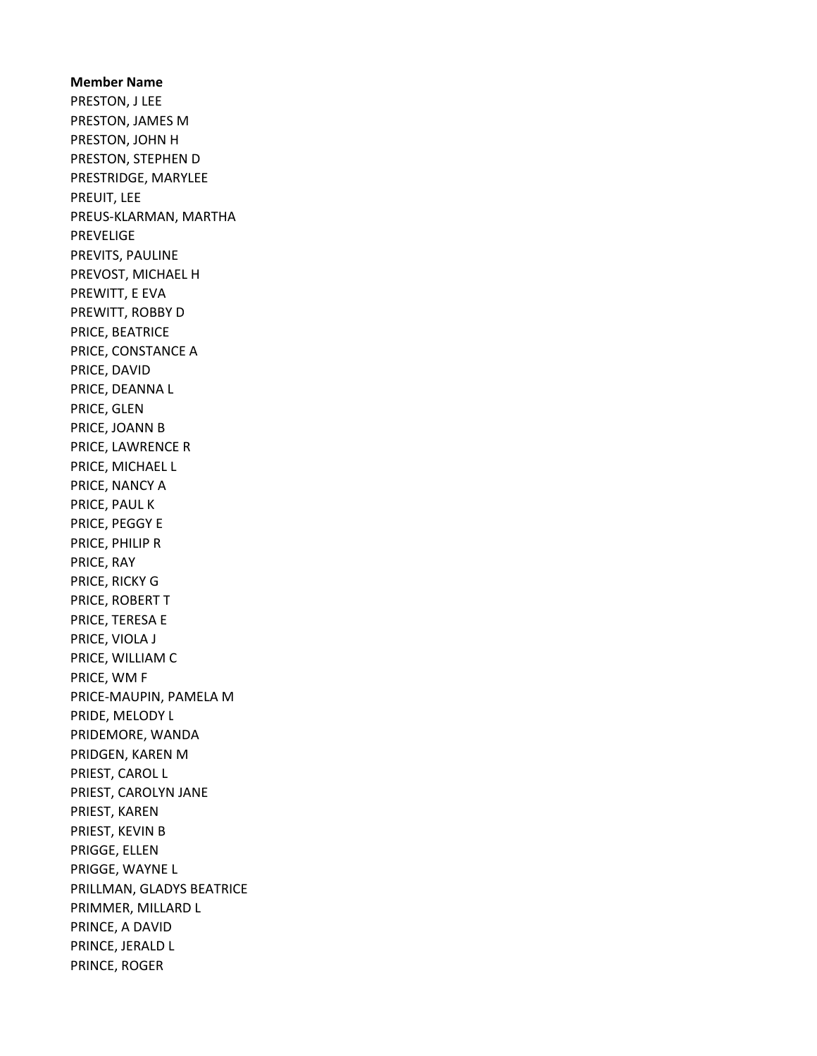Member Name PRESTON, J LEE PRESTON, JAMES M PRESTON, JOHN H PRESTON, STEPHEN D PRESTRIDGE, MARYLEE PREUIT, LEE PREUS-KLARMAN, MARTHA PREVELIGE PREVITS, PAULINE PREVOST, MICHAEL H PREWITT, E EVA PREWITT, ROBBY D PRICE, BEATRICE PRICE, CONSTANCE A PRICE, DAVID PRICE, DEANNA L PRICE, GLEN PRICE, JOANN B PRICE, LAWRENCE R PRICE, MICHAEL L PRICE, NANCY A PRICE, PAUL K PRICE, PEGGY E PRICE, PHILIP R PRICE, RAY PRICE, RICKY G PRICE, ROBERT T PRICE, TERESA E PRICE, VIOLA J PRICE, WILLIAM C PRICE, WM F PRICE-MAUPIN, PAMELA M PRIDE, MELODY L PRIDEMORE, WANDA PRIDGEN, KAREN M PRIEST, CAROL L PRIEST, CAROLYN JANE PRIEST, KAREN PRIEST, KEVIN B PRIGGE, ELLEN PRIGGE, WAYNE L PRILLMAN, GLADYS BEATRICE PRIMMER, MILLARD L PRINCE, A DAVID PRINCE, JERALD L PRINCE, ROGER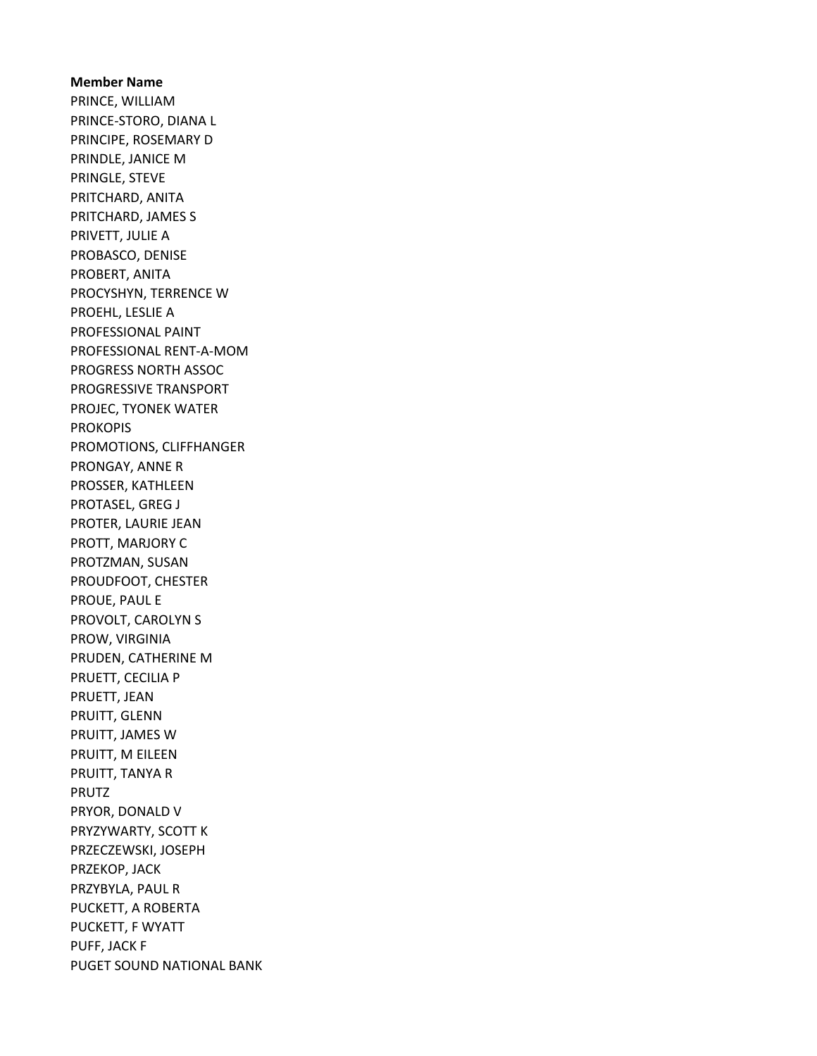# Member Name PRINCE, WILLIAM PRINCE-STORO, DIANA L PRINCIPE, ROSEMARY D PRINDLE, JANICE M PRINGLE, STEVE PRITCHARD, ANITA PRITCHARD, JAMES S PRIVETT, JULIE A PROBASCO, DENISE PROBERT, ANITA PROCYSHYN, TERRENCE W PROEHL, LESLIE A PROFESSIONAL PAINT PROFESSIONAL RENT-A-MOM PROGRESS NORTH ASSOC PROGRESSIVE TRANSPORT PROJEC, TYONEK WATER PROKOPIS PROMOTIONS, CLIFFHANGER PRONGAY, ANNE R PROSSER, KATHLEEN PROTASEL, GREG J PROTER, LAURIE JEAN PROTT, MARJORY C PROTZMAN, SUSAN PROUDFOOT, CHESTER PROUE, PAUL E PROVOLT, CAROLYN S PROW, VIRGINIA PRUDEN, CATHERINE M PRUETT, CECILIA P PRUETT, JEAN PRUITT, GLENN PRUITT, JAMES W PRUITT, M EILEEN PRUITT, TANYA R PRUTZ PRYOR, DONALD V PRYZYWARTY, SCOTT K PRZECZEWSKI, JOSEPH PRZEKOP, JACK PRZYBYLA, PAUL R PUCKETT, A ROBERTA PUCKETT, F WYATT PUFF, JACK F PUGET SOUND NATIONAL BANK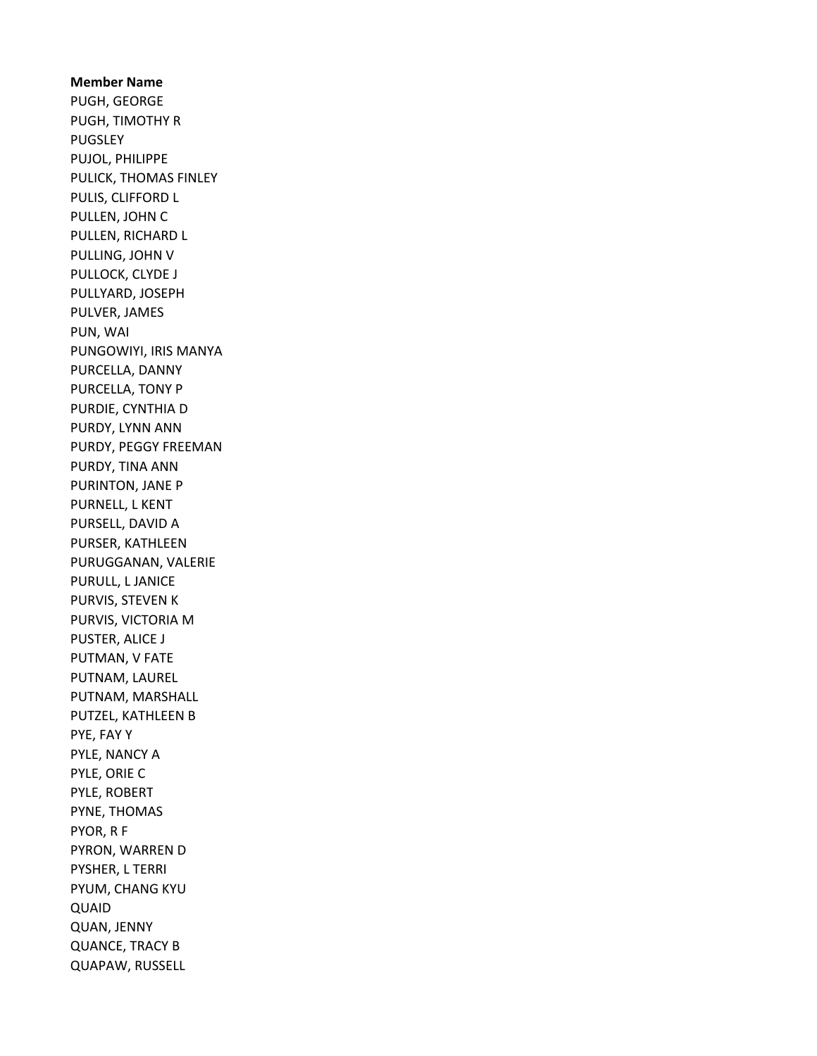Member Name PUGH, GEORGE PUGH, TIMOTHY R PUGSLEY PUJOL, PHILIPPE PULICK, THOMAS FINLEY PULIS, CLIFFORD L PULLEN, JOHN C PULLEN, RICHARD L PULLING, JOHN V PULLOCK, CLYDE J PULLYARD, JOSEPH PULVER, JAMES PUN, WAI PUNGOWIYI, IRIS MANYA PURCELLA, DANNY PURCELLA, TONY P PURDIE, CYNTHIA D PURDY, LYNN ANN PURDY, PEGGY FREEMAN PURDY, TINA ANN PURINTON, JANE P PURNELL, L KENT PURSELL, DAVID A PURSER, KATHLEEN PURUGGANAN, VALERIE PURULL, L JANICE PURVIS, STEVEN K PURVIS, VICTORIA M PUSTER, ALICE J PUTMAN, V FATE PUTNAM, LAUREL PUTNAM, MARSHALL PUTZEL, KATHLEEN B PYE, FAY Y PYLE, NANCY A PYLE, ORIE C PYLE, ROBERT PYNE, THOMAS PYOR, R F PYRON, WARREN D PYSHER, L TERRI PYUM, CHANG KYU QUAID QUAN, JENNY QUANCE, TRACY B QUAPAW, RUSSELL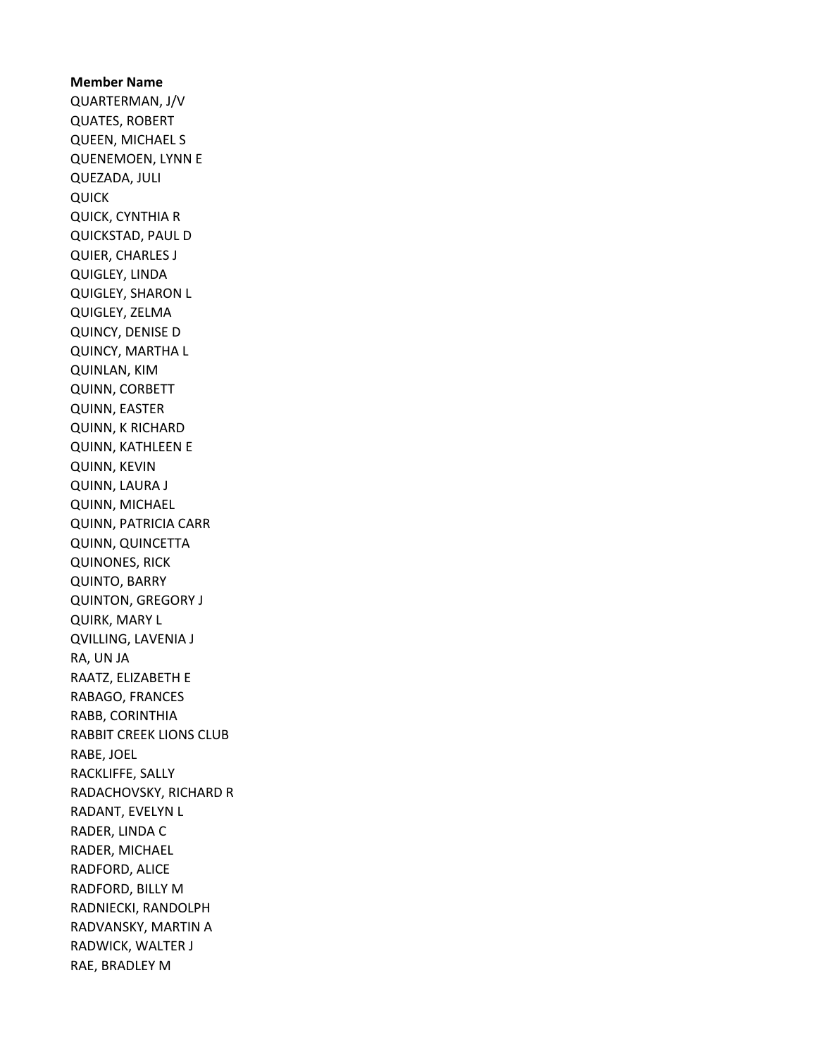Member Name QUARTERMAN, J/V QUATES, ROBERT QUEEN, MICHAEL S QUENEMOEN, LYNN E QUEZADA, JULI QUICK QUICK, CYNTHIA R QUICKSTAD, PAUL D QUIER, CHARLES J QUIGLEY, LINDA QUIGLEY, SHARON L QUIGLEY, ZELMA QUINCY, DENISE D QUINCY, MARTHA L QUINLAN, KIM QUINN, CORBETT QUINN, EASTER QUINN, K RICHARD QUINN, KATHLEEN E QUINN, KEVIN QUINN, LAURA J QUINN, MICHAEL QUINN, PATRICIA CARR QUINN, QUINCETTA QUINONES, RICK QUINTO, BARRY QUINTON, GREGORY J QUIRK, MARY L QVILLING, LAVENIA J RA, UN JA RAATZ, ELIZABETH E RABAGO, FRANCES RABB, CORINTHIA RABBIT CREEK LIONS CLUB RABE, JOEL RACKLIFFE, SALLY RADACHOVSKY, RICHARD R RADANT, EVELYN L RADER, LINDA C RADER, MICHAEL RADFORD, ALICE RADFORD, BILLY M RADNIECKI, RANDOLPH RADVANSKY, MARTIN A RADWICK, WALTER J RAE, BRADLEY M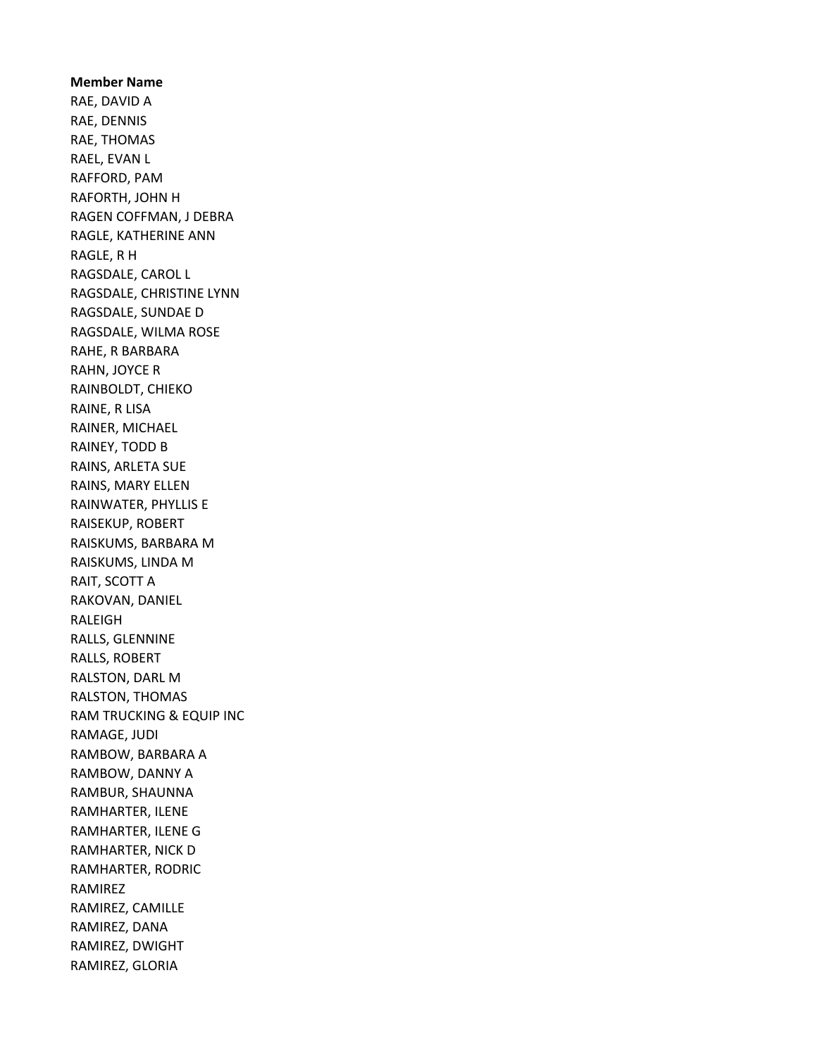Member Name RAE, DAVID A RAE, DENNIS RAE, THOMAS RAEL, EVAN L RAFFORD, PAM RAFORTH, JOHN H RAGEN COFFMAN, J DEBRA RAGLE, KATHERINE ANN RAGLE, R H RAGSDALE, CAROL L RAGSDALE, CHRISTINE LYNN RAGSDALE, SUNDAE D RAGSDALE, WILMA ROSE RAHE, R BARBARA RAHN, JOYCE R RAINBOLDT, CHIEKO RAINE, R LISA RAINER, MICHAEL RAINEY, TODD B RAINS, ARLETA SUE RAINS, MARY ELLEN RAINWATER, PHYLLIS E RAISEKUP, ROBERT RAISKUMS, BARBARA M RAISKUMS, LINDA M RAIT, SCOTT A RAKOVAN, DANIEL RALEIGH RALLS, GLENNINE RALLS, ROBERT RALSTON, DARL M RALSTON, THOMAS RAM TRUCKING & EQUIP INC RAMAGE, JUDI RAMBOW, BARBARA A RAMBOW, DANNY A RAMBUR, SHAUNNA RAMHARTER, ILENE RAMHARTER, ILENE G RAMHARTER, NICK D RAMHARTER, RODRIC RAMIREZ RAMIREZ, CAMILLE RAMIREZ, DANA RAMIREZ, DWIGHT RAMIREZ, GLORIA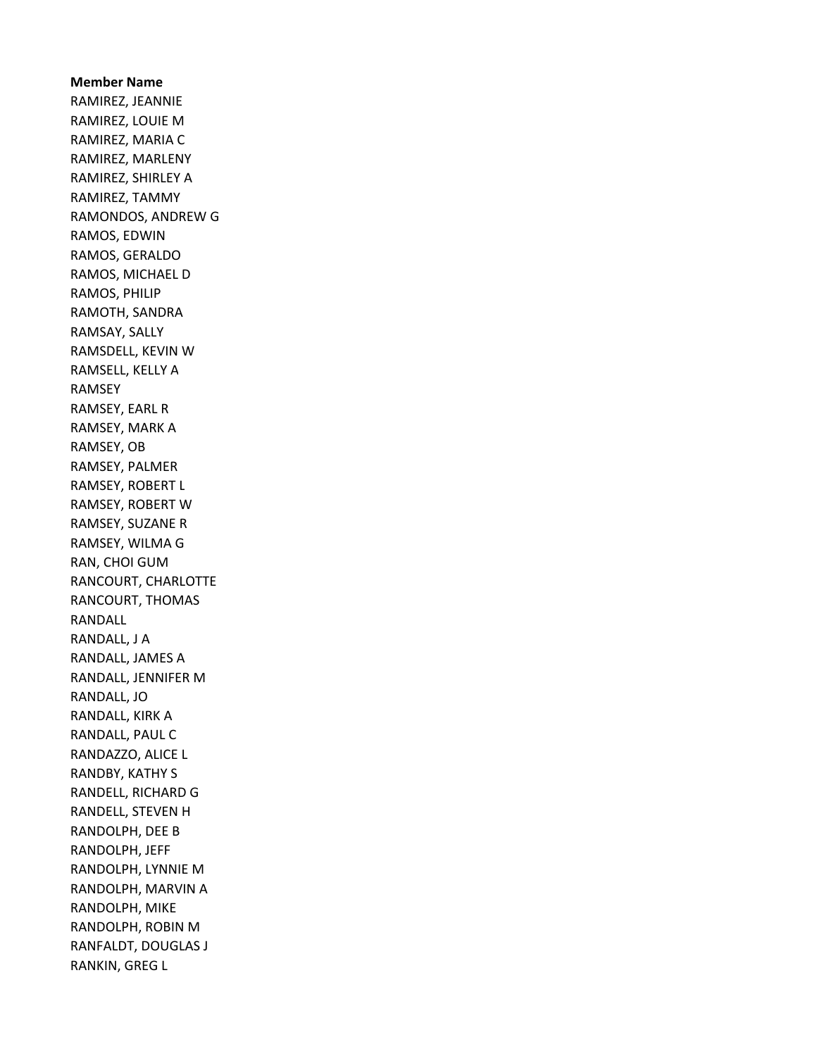Member Name RAMIREZ, JEANNIE RAMIREZ, LOUIE M RAMIREZ, MARIA C RAMIREZ, MARLENY RAMIREZ, SHIRLEY A RAMIREZ, TAMMY RAMONDOS, ANDREW G RAMOS, EDWIN RAMOS, GERALDO RAMOS, MICHAEL D RAMOS, PHILIP RAMOTH, SANDRA RAMSAY, SALLY RAMSDELL, KEVIN W RAMSELL, KELLY A RAMSEY RAMSEY, EARL R RAMSEY, MARK A RAMSEY, OB RAMSEY, PALMER RAMSEY, ROBERT L RAMSEY, ROBERT W RAMSEY, SUZANE R RAMSEY, WILMA G RAN, CHOI GUM RANCOURT, CHARLOTTE RANCOURT, THOMAS RANDALL RANDALL, J A RANDALL, JAMES A RANDALL, JENNIFER M RANDALL, JO RANDALL, KIRK A RANDALL, PAUL C RANDAZZO, ALICE L RANDBY, KATHY S RANDELL, RICHARD G RANDELL, STEVEN H RANDOLPH, DEE B RANDOLPH, JEFF RANDOLPH, LYNNIE M RANDOLPH, MARVIN A RANDOLPH, MIKE RANDOLPH, ROBIN M RANFALDT, DOUGLAS J RANKIN, GREG L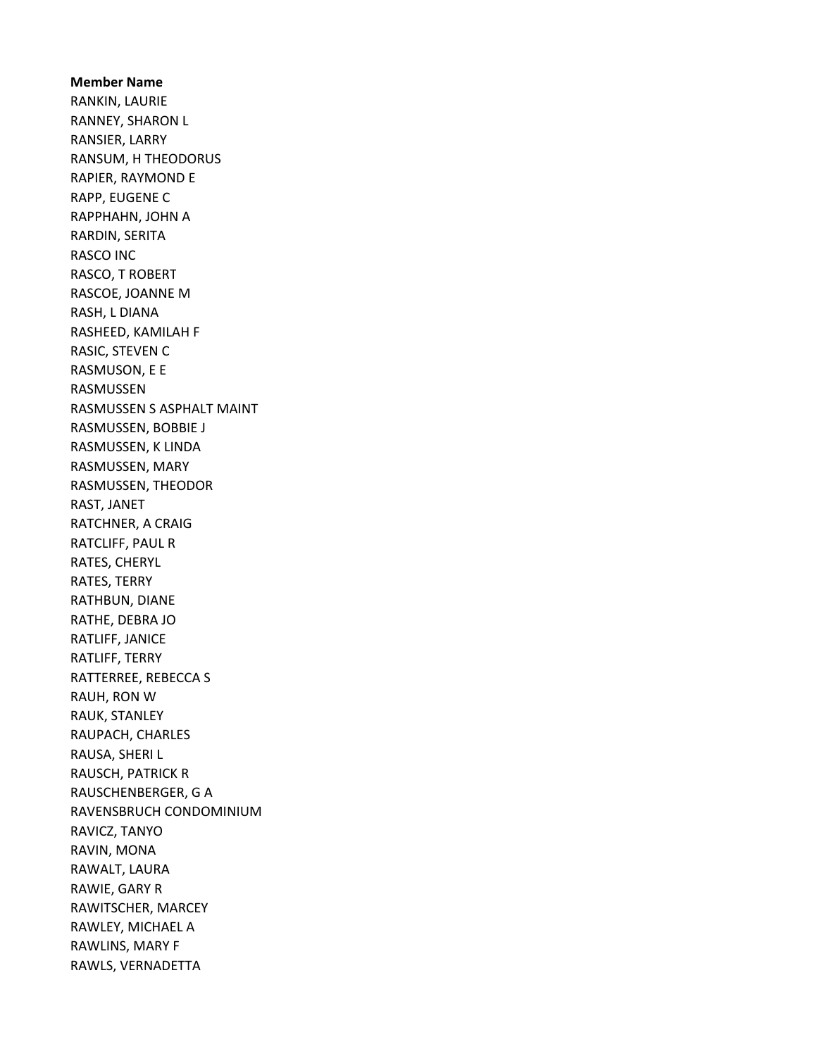Member Name RANKIN, LAURIE RANNEY, SHARON L RANSIER, LARRY RANSUM, H THEODORUS RAPIER, RAYMOND E RAPP, EUGENE C RAPPHAHN, JOHN A RARDIN, SERITA RASCO INC RASCO, T ROBERT RASCOE, JOANNE M RASH, L DIANA RASHEED, KAMILAH F RASIC, STEVEN C RASMUSON, E E RASMUSSEN RASMUSSEN S ASPHALT MAINT RASMUSSEN, BOBBIE J RASMUSSEN, K LINDA RASMUSSEN, MARY RASMUSSEN, THEODOR RAST, JANET RATCHNER, A CRAIG RATCLIFF, PAUL R RATES, CHERYL RATES, TERRY RATHBUN, DIANE RATHE, DEBRA JO RATLIFF, JANICE RATLIFF, TERRY RATTERREE, REBECCA S RAUH, RON W RAUK, STANLEY RAUPACH, CHARLES RAUSA, SHERI L RAUSCH, PATRICK R RAUSCHENBERGER, G A RAVENSBRUCH CONDOMINIUM RAVICZ, TANYO RAVIN, MONA RAWALT, LAURA RAWIE, GARY R RAWITSCHER, MARCEY RAWLEY, MICHAEL A RAWLINS, MARY F RAWLS, VERNADETTA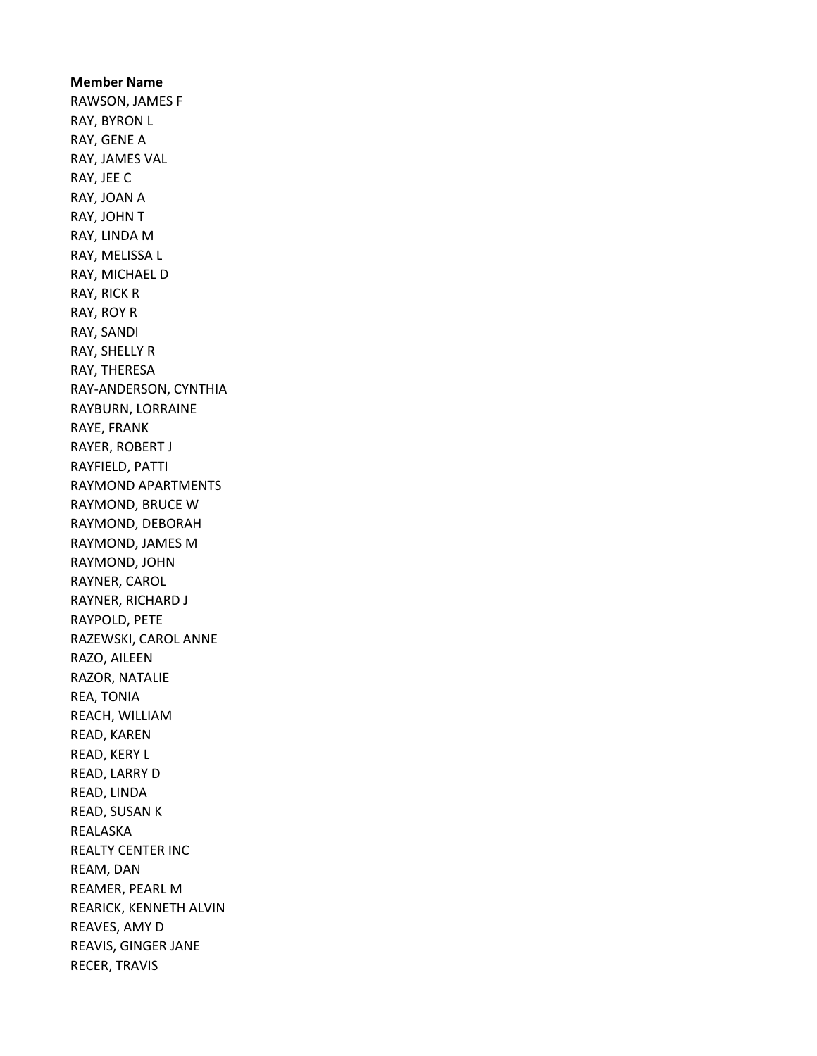Member Name RAWSON, JAMES F RAY, BYRON L RAY, GENE A RAY, JAMES VAL RAY, JEE C RAY, JOAN A RAY, JOHN T RAY, LINDA M RAY, MELISSA L RAY, MICHAEL D RAY, RICK R RAY, ROY R RAY, SANDI RAY, SHELLY R RAY, THERESA RAY-ANDERSON, CYNTHIA RAYBURN, LORRAINE RAYE, FRANK RAYER, ROBERT J RAYFIELD, PATTI RAYMOND APARTMENTS RAYMOND, BRUCE W RAYMOND, DEBORAH RAYMOND, JAMES M RAYMOND, JOHN RAYNER, CAROL RAYNER, RICHARD J RAYPOLD, PETE RAZEWSKI, CAROL ANNE RAZO, AILEEN RAZOR, NATALIE REA, TONIA REACH, WILLIAM READ, KAREN READ, KERY L READ, LARRY D READ, LINDA READ, SUSAN K REALASKA REALTY CENTER INC REAM, DAN REAMER, PEARL M REARICK, KENNETH ALVIN REAVES, AMY D REAVIS, GINGER JANE RECER, TRAVIS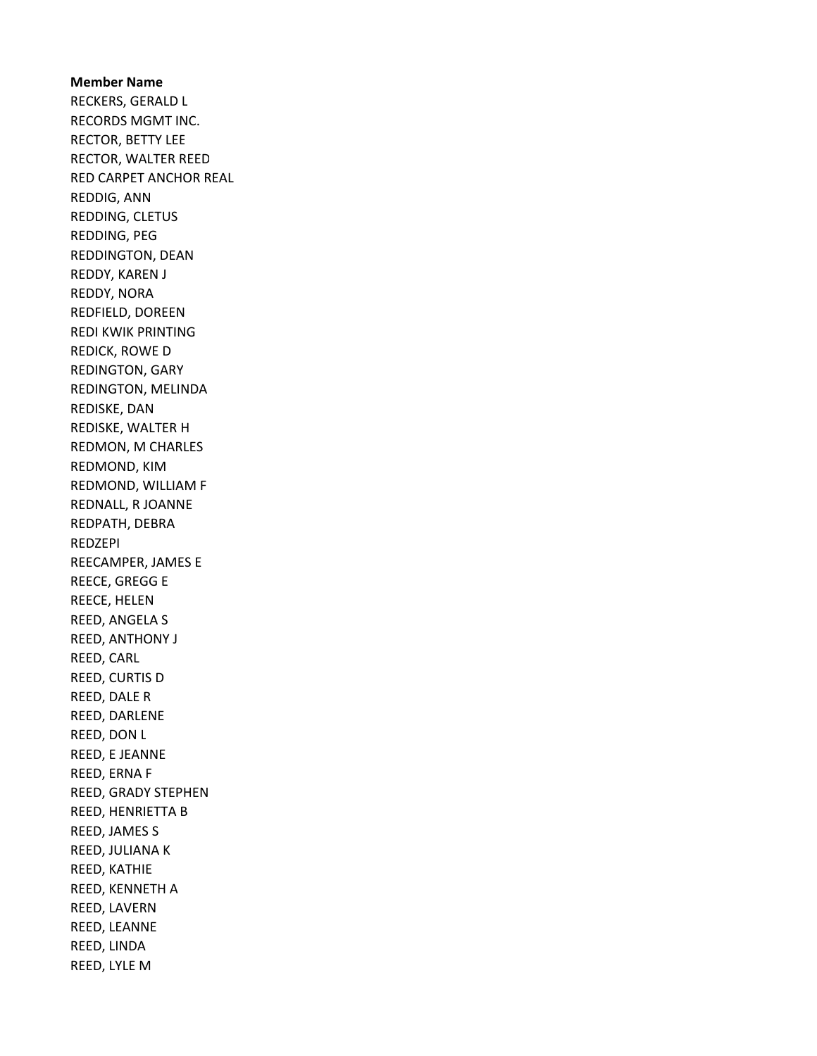Member Name RECKERS, GERALD L RECORDS MGMT INC. RECTOR, BETTY LEE RECTOR, WALTER REED RED CARPET ANCHOR REAL REDDIG, ANN REDDING, CLETUS REDDING, PEG REDDINGTON, DEAN REDDY, KAREN J REDDY, NORA REDFIELD, DOREEN REDI KWIK PRINTING REDICK, ROWE D REDINGTON, GARY REDINGTON, MELINDA REDISKE, DAN REDISKE, WALTER H REDMON, M CHARLES REDMOND, KIM REDMOND, WILLIAM F REDNALL, R JOANNE REDPATH, DEBRA REDZEPI REECAMPER, JAMES E REECE, GREGG E REECE, HELEN REED, ANGELA S REED, ANTHONY J REED, CARL REED, CURTIS D REED, DALE R REED, DARLENE REED, DON L REED, E JEANNE REED, ERNA F REED, GRADY STEPHEN REED, HENRIETTA B REED, JAMES S REED, JULIANA K REED, KATHIE REED, KENNETH A REED, LAVERN REED, LEANNE REED, LINDA REED, LYLE M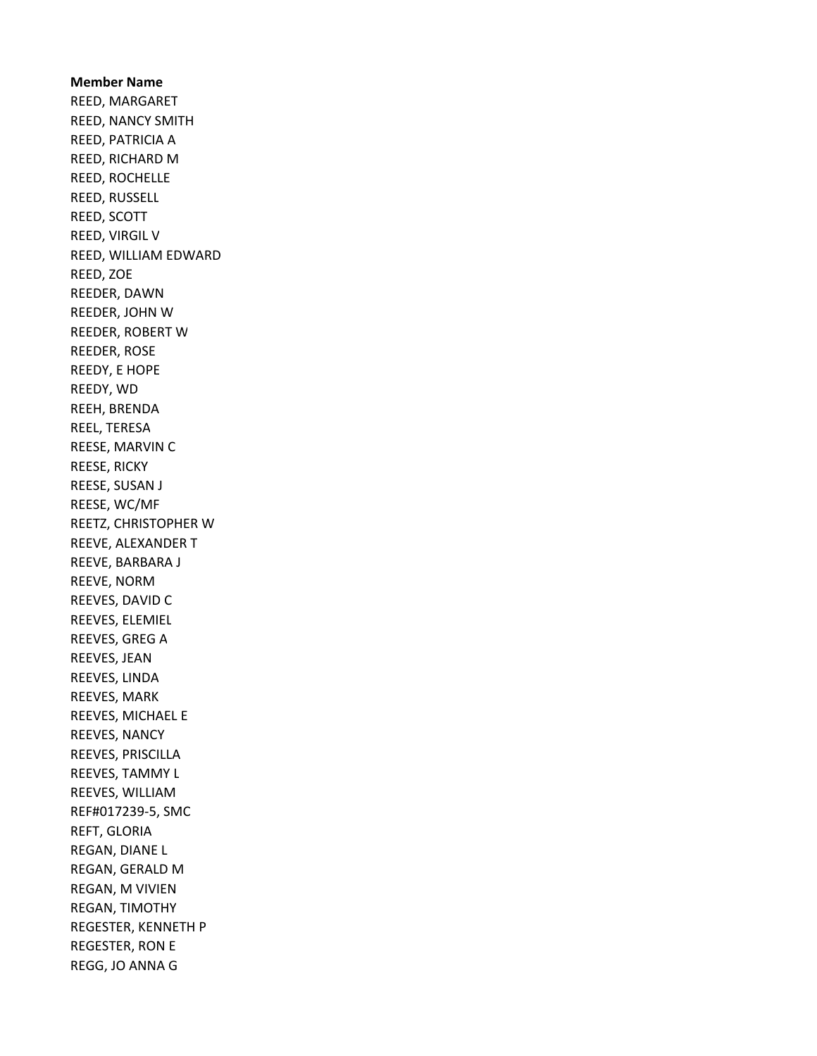Member Name REED, MARGARET REED, NANCY SMITH REED, PATRICIA A REED, RICHARD M REED, ROCHELLE REED, RUSSELL REED, SCOTT REED, VIRGIL V REED, WILLIAM EDWARD REED, ZOE REEDER, DAWN REEDER, JOHN W REEDER, ROBERT W REEDER, ROSE REEDY, E HOPE REEDY, WD REEH, BRENDA REEL, TERESA REESE, MARVIN C REESE, RICKY REESE, SUSAN J REESE, WC/MF REETZ, CHRISTOPHER W REEVE, ALEXANDER T REEVE, BARBARA J REEVE, NORM REEVES, DAVID C REEVES, ELEMIEL REEVES, GREG A REEVES, JEAN REEVES, LINDA REEVES, MARK REEVES, MICHAEL E REEVES, NANCY REEVES, PRISCILLA REEVES, TAMMY L REEVES, WILLIAM REF#017239-5, SMC REFT, GLORIA REGAN, DIANE L REGAN, GERALD M REGAN, M VIVIEN REGAN, TIMOTHY REGESTER, KENNETH P REGESTER, RON E REGG, JO ANNA G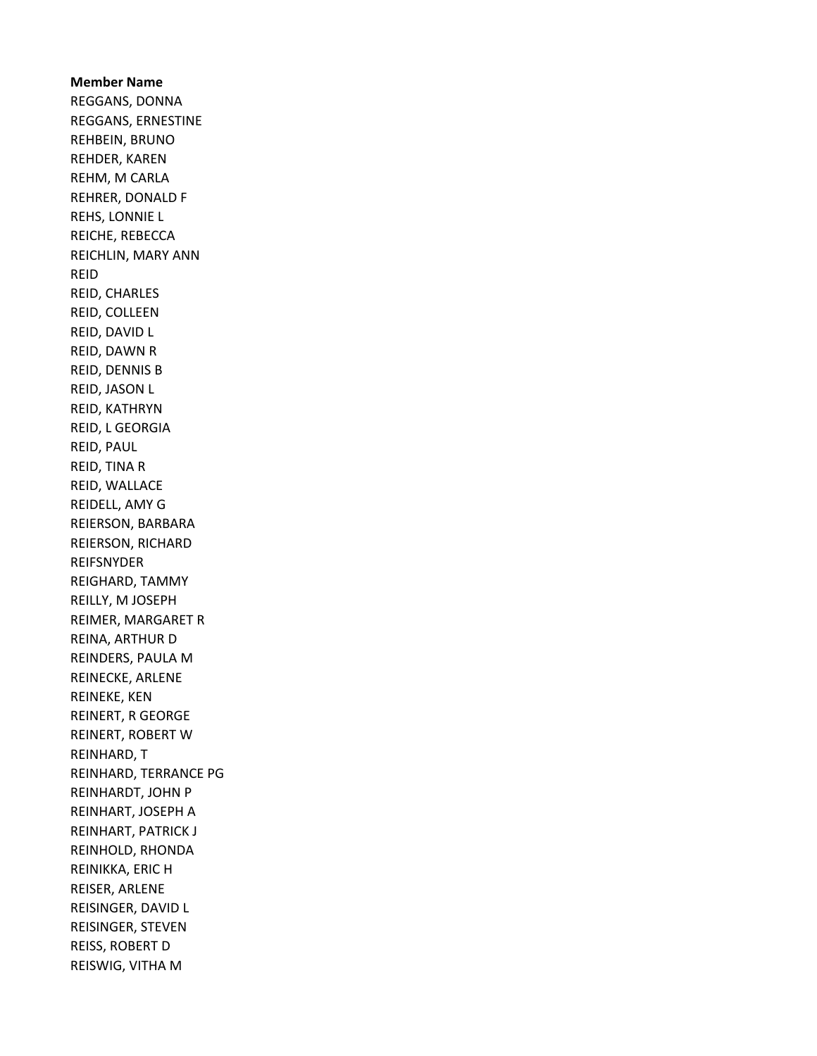Member Name REGGANS, DONNA REGGANS, ERNESTINE REHBEIN, BRUNO REHDER, KAREN REHM, M CARLA REHRER, DONALD F REHS, LONNIE L REICHE, REBECCA REICHLIN, MARY ANN REID REID, CHARLES REID, COLLEEN REID, DAVID L REID, DAWN R REID, DENNIS B REID, JASON L REID, KATHRYN REID, L GEORGIA REID, PAUL REID, TINA R REID, WALLACE REIDELL, AMY G REIERSON, BARBARA REIERSON, RICHARD REIFSNYDER REIGHARD, TAMMY REILLY, M JOSEPH REIMER, MARGARET R REINA, ARTHUR D REINDERS, PAULA M REINECKE, ARLENE REINEKE, KEN REINERT, R GEORGE REINERT, ROBERT W REINHARD, T REINHARD, TERRANCE PG REINHARDT, JOHN P REINHART, JOSEPH A REINHART, PATRICK J REINHOLD, RHONDA REINIKKA, ERIC H REISER, ARLENE REISINGER, DAVID L REISINGER, STEVEN REISS, ROBERT D REISWIG, VITHA M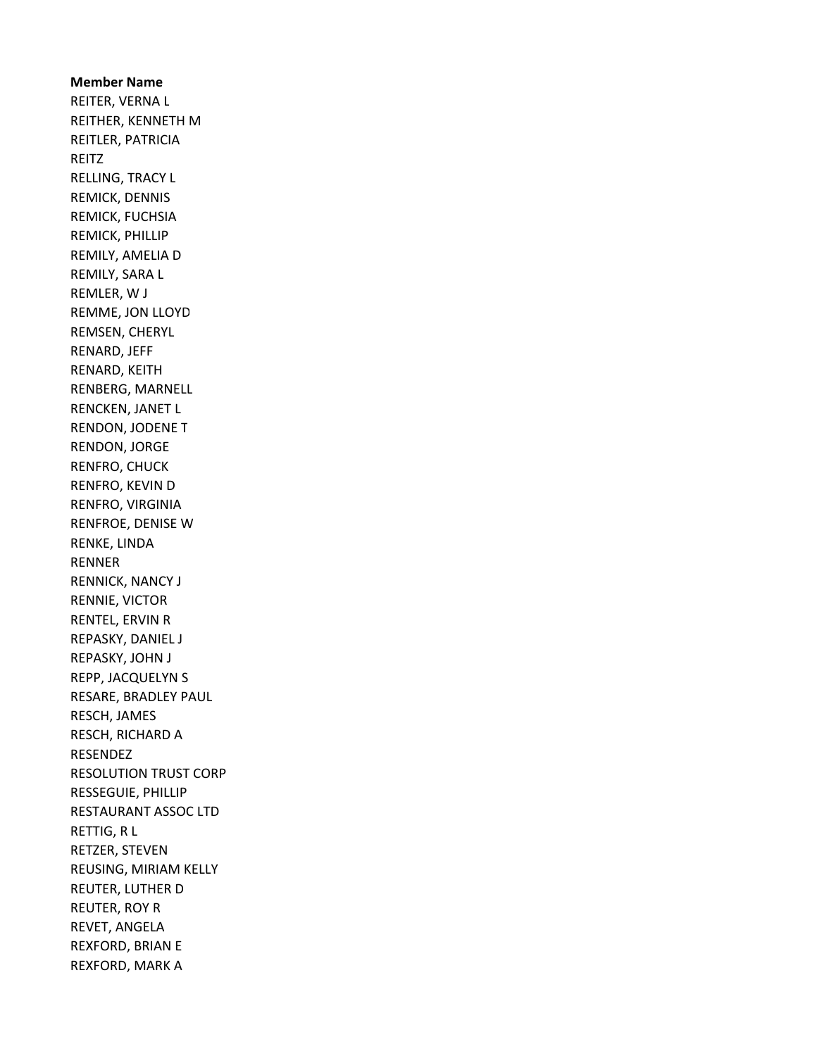Member Name REITER, VERNA L REITHER, KENNETH M REITLER, PATRICIA REITZ RELLING, TRACY L REMICK, DENNIS REMICK, FUCHSIA REMICK, PHILLIP REMILY, AMELIA D REMILY, SARA L REMLER, W J REMME, JON LLOYD REMSEN, CHERYL RENARD, JEFF RENARD, KEITH RENBERG, MARNELL RENCKEN, JANET L RENDON, JODENE T RENDON, JORGE RENFRO, CHUCK RENFRO, KEVIN D RENFRO, VIRGINIA RENFROE, DENISE W RENKE, LINDA RENNER RENNICK, NANCY J RENNIE, VICTOR RENTEL, ERVIN R REPASKY, DANIEL J REPASKY, JOHN J REPP, JACQUELYN S RESARE, BRADLEY PAUL RESCH, JAMES RESCH, RICHARD A RESENDEZ RESOLUTION TRUST CORP RESSEGUIE, PHILLIP RESTAURANT ASSOC LTD RETTIG, R L RETZER, STEVEN REUSING, MIRIAM KELLY REUTER, LUTHER D REUTER, ROY R REVET, ANGELA REXFORD, BRIAN E REXFORD, MARK A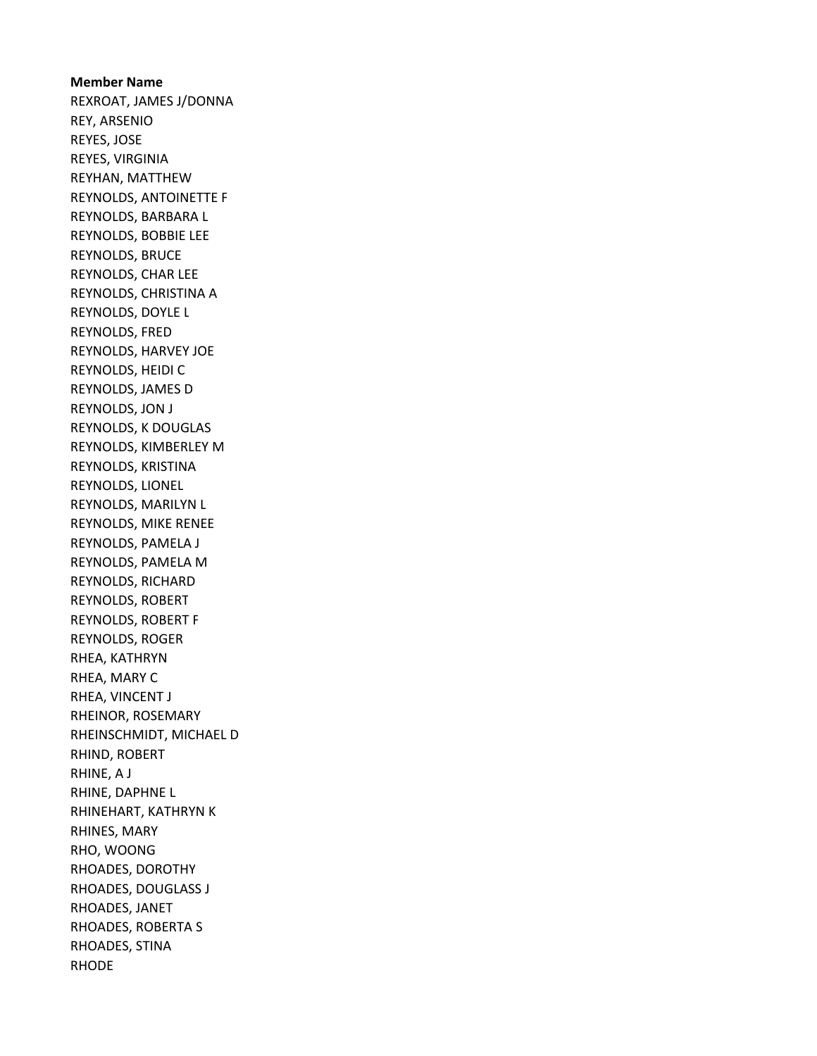Member Name REXROAT, JAMES J/DONNA REY, ARSENIO REYES, JOSE REYES, VIRGINIA REYHAN, MATTHEW REYNOLDS, ANTOINETTE F REYNOLDS, BARBARA L REYNOLDS, BOBBIE LEE REYNOLDS, BRUCE REYNOLDS, CHAR LEE REYNOLDS, CHRISTINA A REYNOLDS, DOYLE L REYNOLDS, FRED REYNOLDS, HARVEY JOE REYNOLDS, HEIDI C REYNOLDS, JAMES D REYNOLDS, JON J REYNOLDS, K DOUGLAS REYNOLDS, KIMBERLEY M REYNOLDS, KRISTINA REYNOLDS, LIONEL REYNOLDS, MARILYN L REYNOLDS, MIKE RENEE REYNOLDS, PAMELA J REYNOLDS, PAMELA M REYNOLDS, RICHARD REYNOLDS, ROBERT REYNOLDS, ROBERT F REYNOLDS, ROGER RHEA, KATHRYN RHEA, MARY C RHEA, VINCENT J RHEINOR, ROSEMARY RHEINSCHMIDT, MICHAEL D RHIND, ROBERT RHINE, A J RHINE, DAPHNE L RHINEHART, KATHRYN K RHINES, MARY RHO, WOONG RHOADES, DOROTHY RHOADES, DOUGLASS J RHOADES, JANET RHOADES, ROBERTA S RHOADES, STINA RHODE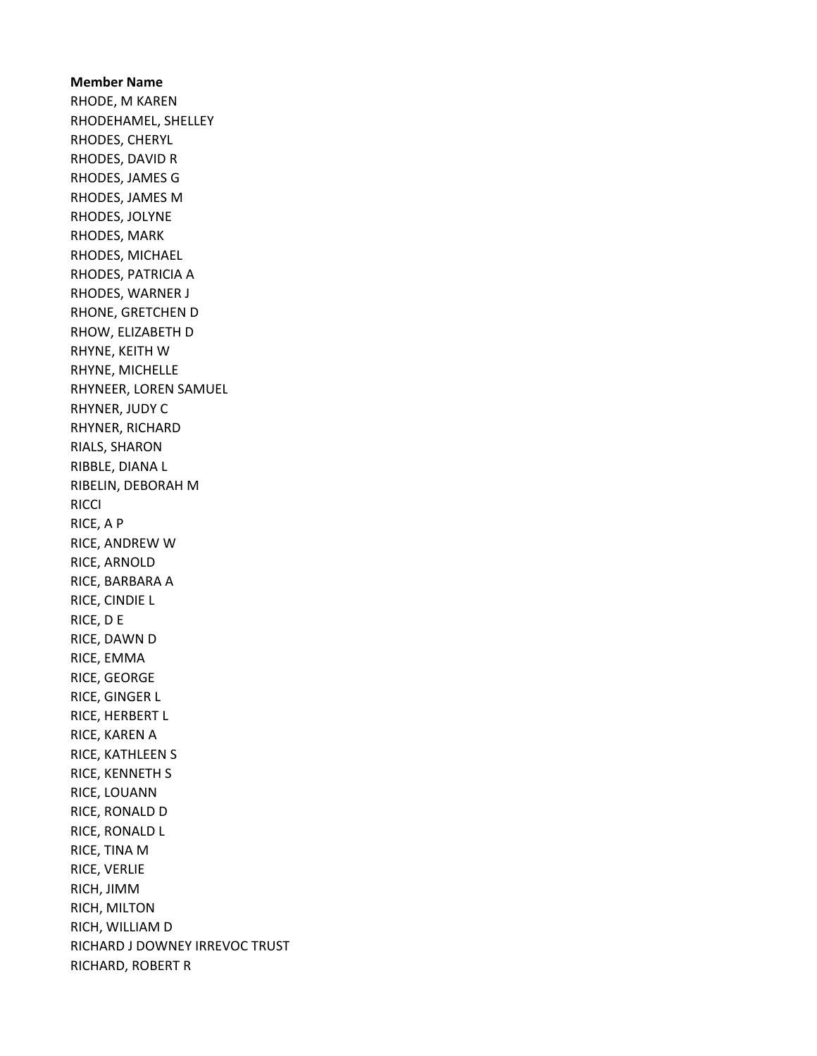Member Name RHODE, M KAREN RHODEHAMEL, SHELLEY RHODES, CHERYL RHODES, DAVID R RHODES, JAMES G RHODES, JAMES M RHODES, JOLYNE RHODES, MARK RHODES, MICHAEL RHODES, PATRICIA A RHODES, WARNER J RHONE, GRETCHEN D RHOW, ELIZABETH D RHYNE, KEITH W RHYNE, MICHELLE RHYNEER, LOREN SAMUEL RHYNER, JUDY C RHYNER, RICHARD RIALS, SHARON RIBBLE, DIANA L RIBELIN, DEBORAH M **RICCI** RICE, A P RICE, ANDREW W RICE, ARNOLD RICE, BARBARA A RICE, CINDIE L RICE, D E RICE, DAWN D RICE, EMMA RICE, GEORGE RICE, GINGER L RICE, HERBERT L RICE, KAREN A RICE, KATHLEEN S RICE, KENNETH S RICE, LOUANN RICE, RONALD D RICE, RONALD L RICE, TINA M RICE, VERLIE RICH, JIMM RICH, MILTON RICH, WILLIAM D RICHARD J DOWNEY IRREVOC TRUST RICHARD, ROBERT R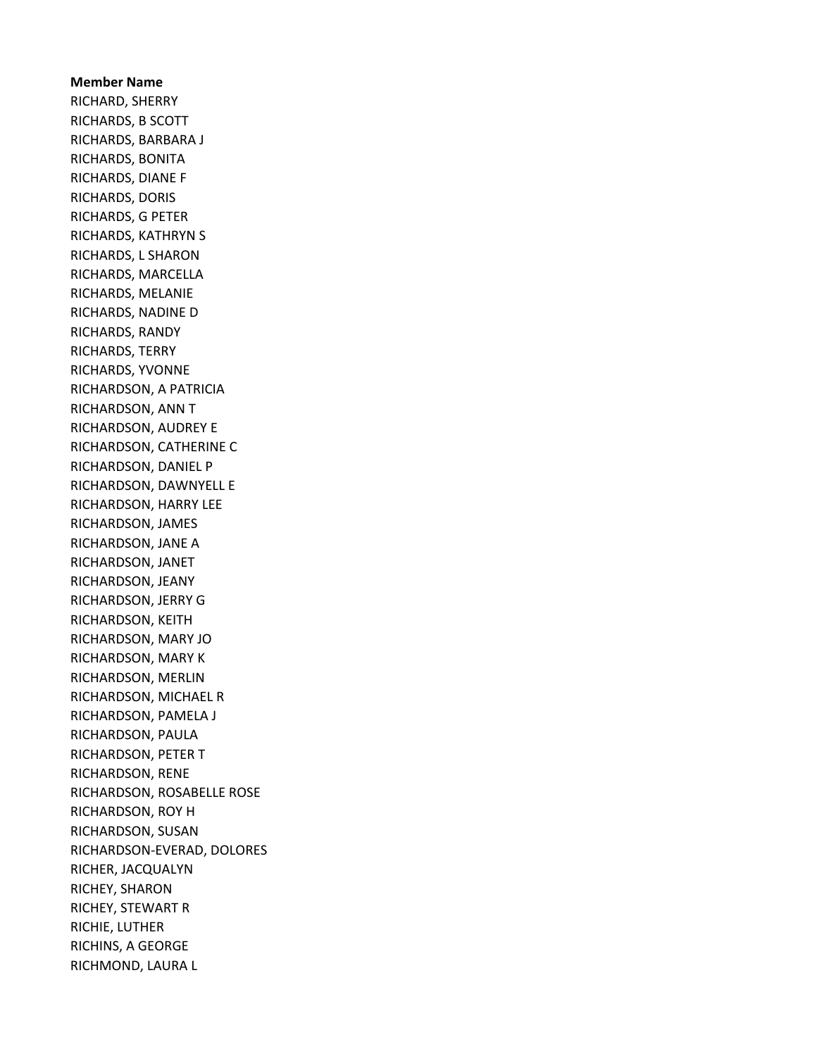# Member Name RICHARD, SHERRY RICHARDS, B SCOTT RICHARDS, BARBARA J RICHARDS, BONITA RICHARDS, DIANE F RICHARDS, DORIS RICHARDS, G PETER RICHARDS, KATHRYN S RICHARDS, L SHARON RICHARDS, MARCELLA RICHARDS, MELANIE RICHARDS, NADINE D RICHARDS, RANDY RICHARDS, TERRY RICHARDS, YVONNE RICHARDSON, A PATRICIA RICHARDSON, ANN T RICHARDSON, AUDREY E RICHARDSON, CATHERINE C RICHARDSON, DANIEL P RICHARDSON, DAWNYELL E RICHARDSON, HARRY LEE RICHARDSON, JAMES RICHARDSON, JANE A RICHARDSON, JANET RICHARDSON, JEANY RICHARDSON, JERRY G RICHARDSON, KEITH RICHARDSON, MARY JO RICHARDSON, MARY K RICHARDSON, MERLIN RICHARDSON, MICHAEL R RICHARDSON, PAMELA J RICHARDSON, PAULA RICHARDSON, PETER T RICHARDSON, RENE RICHARDSON, ROSABELLE ROSE RICHARDSON, ROY H RICHARDSON, SUSAN RICHARDSON-EVERAD, DOLORES RICHER, JACQUALYN RICHEY, SHARON RICHEY, STEWART R RICHIE, LUTHER RICHINS, A GEORGE RICHMOND, LAURA L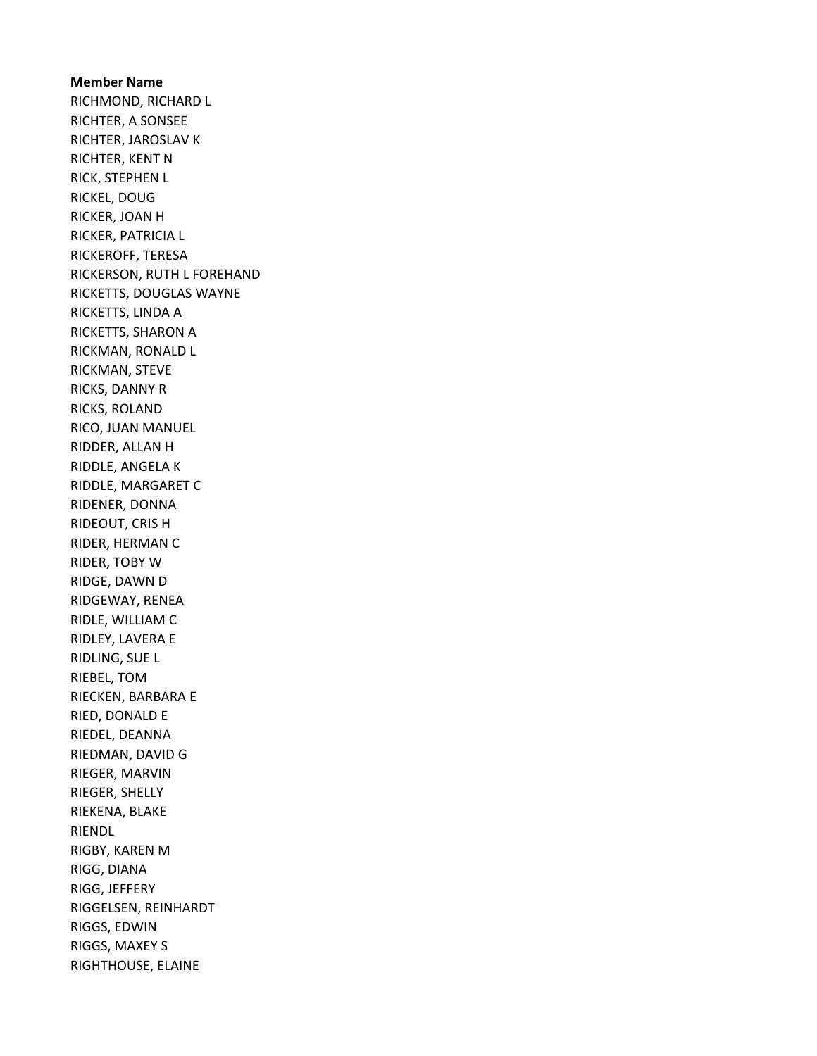Member Name RICHMOND, RICHARD L RICHTER, A SONSEE RICHTER, JAROSLAV K RICHTER, KENT N RICK, STEPHEN L RICKEL, DOUG RICKER, JOAN H RICKER, PATRICIA L RICKEROFF, TERESA RICKERSON, RUTH L FOREHAND RICKETTS, DOUGLAS WAYNE RICKETTS, LINDA A RICKETTS, SHARON A RICKMAN, RONALD L RICKMAN, STEVE RICKS, DANNY R RICKS, ROLAND RICO, JUAN MANUEL RIDDER, ALLAN H RIDDLE, ANGELA K RIDDLE, MARGARET C RIDENER, DONNA RIDEOUT, CRIS H RIDER, HERMAN C RIDER, TOBY W RIDGE, DAWN D RIDGEWAY, RENEA RIDLE, WILLIAM C RIDLEY, LAVERA E RIDLING, SUE L RIEBEL, TOM RIECKEN, BARBARA E RIED, DONALD E RIEDEL, DEANNA RIEDMAN, DAVID G RIEGER, MARVIN RIEGER, SHELLY RIEKENA, BLAKE RIENDL RIGBY, KAREN M RIGG, DIANA RIGG, JEFFERY RIGGELSEN, REINHARDT RIGGS, EDWIN RIGGS, MAXEY S RIGHTHOUSE, ELAINE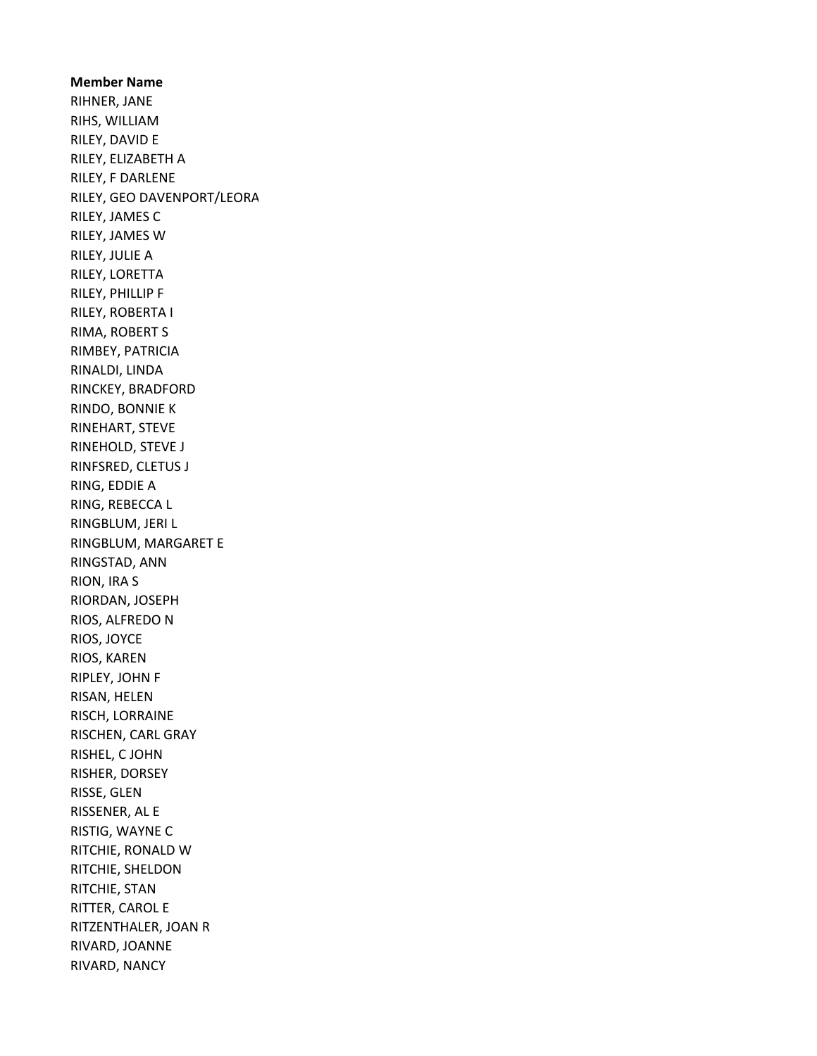Member Name RIHNER, JANE RIHS, WILLIAM RILEY, DAVID E RILEY, ELIZABETH A RILEY, F DARLENE RILEY, GEO DAVENPORT/LEORA RILEY, JAMES C RILEY, JAMES W RILEY, JULIE A RILEY, LORETTA RILEY, PHILLIP F RILEY, ROBERTA I RIMA, ROBERT S RIMBEY, PATRICIA RINALDI, LINDA RINCKEY, BRADFORD RINDO, BONNIE K RINEHART, STEVE RINEHOLD, STEVE J RINFSRED, CLETUS J RING, EDDIE A RING, REBECCA L RINGBLUM, JERI L RINGBLUM, MARGARET E RINGSTAD, ANN RION, IRA S RIORDAN, JOSEPH RIOS, ALFREDO N RIOS, JOYCE RIOS, KAREN RIPLEY, JOHN F RISAN, HELEN RISCH, LORRAINE RISCHEN, CARL GRAY RISHEL, C JOHN RISHER, DORSEY RISSE, GLEN RISSENER, AL E RISTIG, WAYNE C RITCHIE, RONALD W RITCHIE, SHELDON RITCHIE, STAN RITTER, CAROL E RITZENTHALER, JOAN R RIVARD, JOANNE RIVARD, NANCY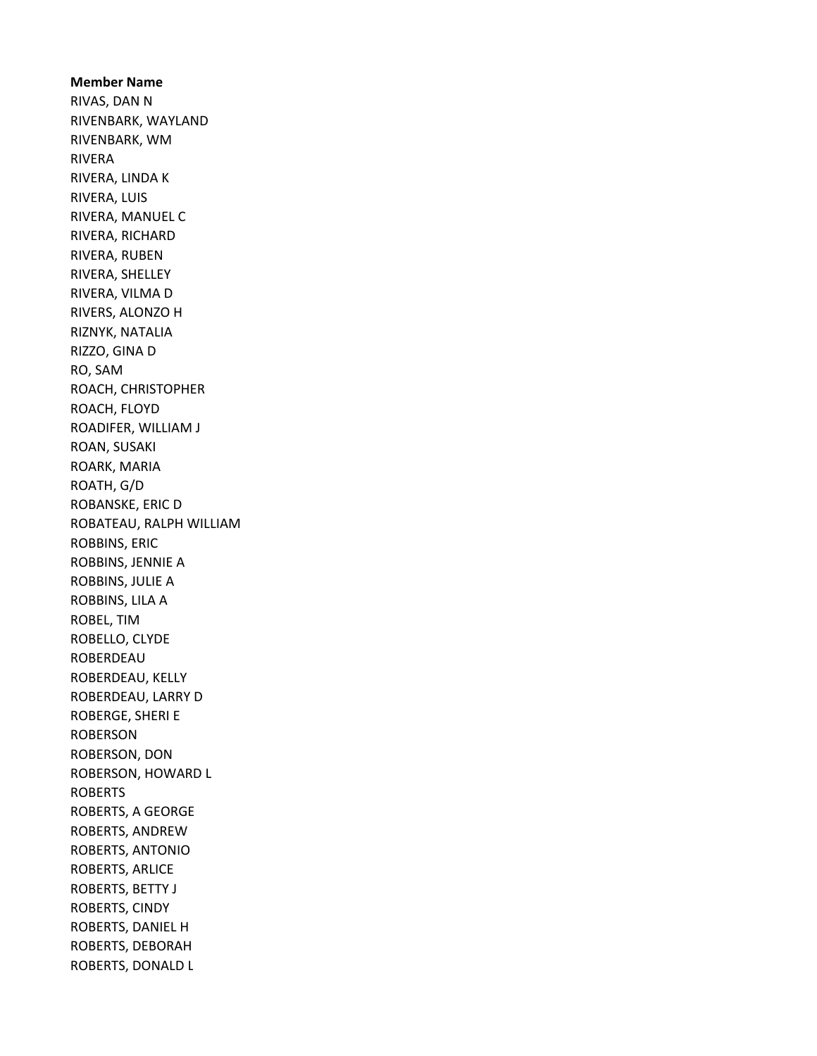Member Name RIVAS, DAN N RIVENBARK, WAYLAND RIVENBARK, WM RIVERA RIVERA, LINDA K RIVERA, LUIS RIVERA, MANUEL C RIVERA, RICHARD RIVERA, RUBEN RIVERA, SHELLEY RIVERA, VILMA D RIVERS, ALONZO H RIZNYK, NATALIA RIZZO, GINA D RO, SAM ROACH, CHRISTOPHER ROACH, FLOYD ROADIFER, WILLIAM J ROAN, SUSAKI ROARK, MARIA ROATH, G/D ROBANSKE, ERIC D ROBATEAU, RALPH WILLIAM ROBBINS, ERIC ROBBINS, JENNIE A ROBBINS, JULIE A ROBBINS, LILA A ROBEL, TIM ROBELLO, CLYDE ROBERDEAU ROBERDEAU, KELLY ROBERDEAU, LARRY D ROBERGE, SHERI E ROBERSON ROBERSON, DON ROBERSON, HOWARD L ROBERTS ROBERTS, A GEORGE ROBERTS, ANDREW ROBERTS, ANTONIO ROBERTS, ARLICE ROBERTS, BETTY J ROBERTS, CINDY ROBERTS, DANIEL H ROBERTS, DEBORAH ROBERTS, DONALD L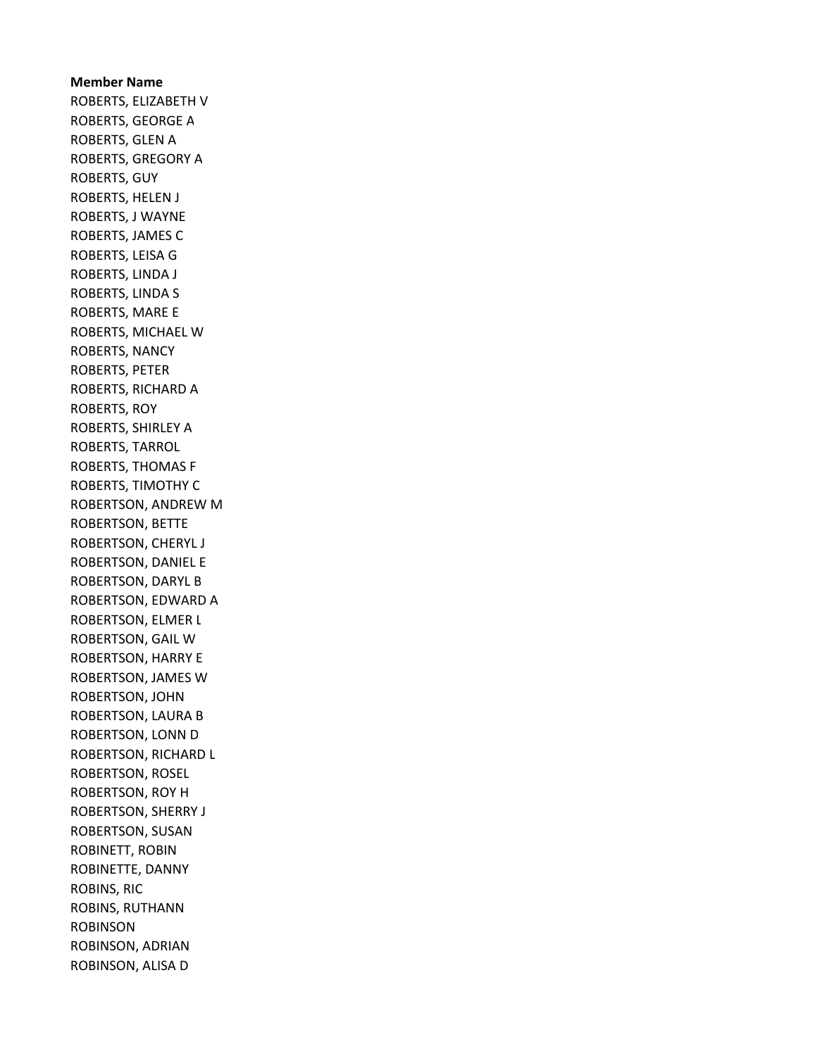# Member Name ROBERTS, ELIZABETH V ROBERTS, GEORGE A ROBERTS, GLEN A ROBERTS, GREGORY A ROBERTS, GUY ROBERTS, HELEN J ROBERTS, J WAYNE ROBERTS, JAMES C ROBERTS, LEISA G ROBERTS, LINDA J ROBERTS, LINDA S ROBERTS, MARE E ROBERTS, MICHAEL W ROBERTS, NANCY ROBERTS, PETER ROBERTS, RICHARD A ROBERTS, ROY ROBERTS, SHIRLEY A ROBERTS, TARROL ROBERTS, THOMAS F ROBERTS, TIMOTHY C ROBERTSON, ANDREW M ROBERTSON, BETTE ROBERTSON, CHERYL J ROBERTSON, DANIEL E ROBERTSON, DARYL B ROBERTSON, EDWARD A ROBERTSON, ELMER L ROBERTSON, GAIL W ROBERTSON, HARRY E ROBERTSON, JAMES W ROBERTSON, JOHN ROBERTSON, LAURA B ROBERTSON, LONN D ROBERTSON, RICHARD L ROBERTSON, ROSEL ROBERTSON, ROY H ROBERTSON, SHERRY J ROBERTSON, SUSAN ROBINETT, ROBIN ROBINETTE, DANNY ROBINS, RIC ROBINS, RUTHANN ROBINSON ROBINSON, ADRIAN ROBINSON, ALISA D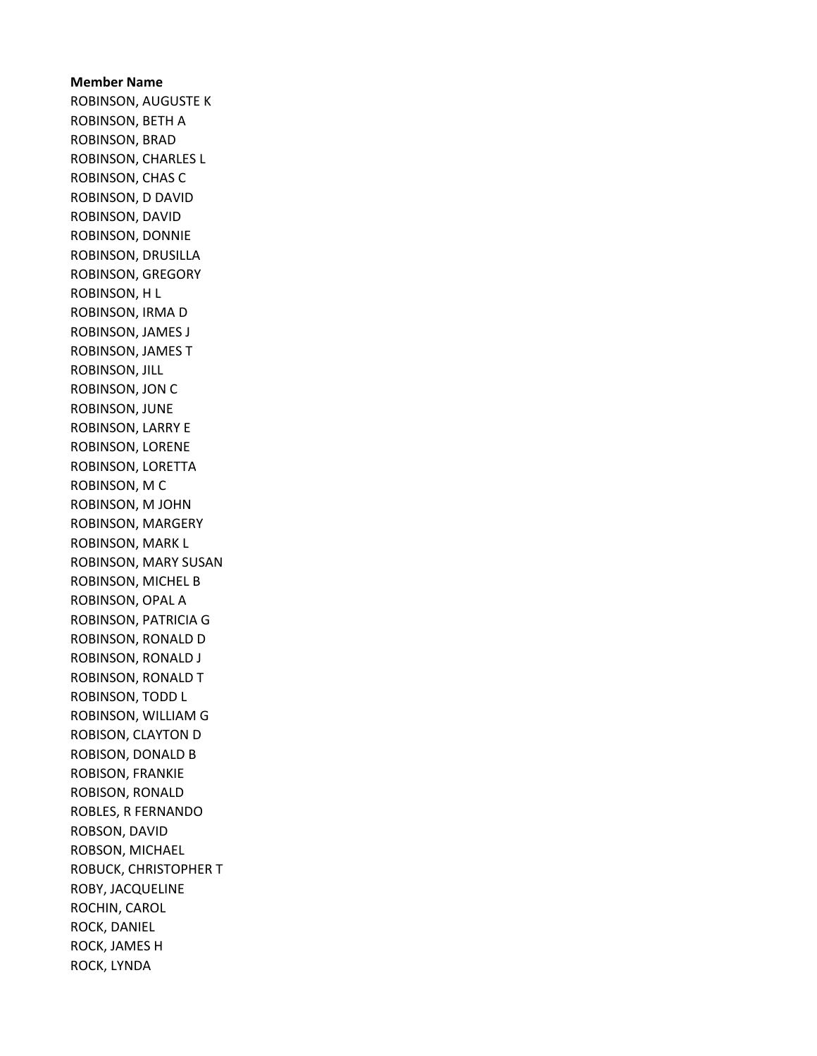Member Name ROBINSON, AUGUSTE K ROBINSON, BETH A ROBINSON, BRAD ROBINSON, CHARLES L ROBINSON, CHAS C ROBINSON, D DAVID ROBINSON, DAVID ROBINSON, DONNIE ROBINSON, DRUSILLA ROBINSON, GREGORY ROBINSON, H L ROBINSON, IRMA D ROBINSON, JAMES J ROBINSON, JAMES T ROBINSON, JILL ROBINSON, JON C ROBINSON, JUNE ROBINSON, LARRY E ROBINSON, LORENE ROBINSON, LORETTA ROBINSON, M C ROBINSON, M JOHN ROBINSON, MARGERY ROBINSON, MARK L ROBINSON, MARY SUSAN ROBINSON, MICHEL B ROBINSON, OPAL A ROBINSON, PATRICIA G ROBINSON, RONALD D ROBINSON, RONALD J ROBINSON, RONALD T ROBINSON, TODD L ROBINSON, WILLIAM G ROBISON, CLAYTON D ROBISON, DONALD B ROBISON, FRANKIE ROBISON, RONALD ROBLES, R FERNANDO ROBSON, DAVID ROBSON, MICHAEL ROBUCK, CHRISTOPHER T ROBY, JACQUELINE ROCHIN, CAROL ROCK, DANIEL ROCK, JAMES H ROCK, LYNDA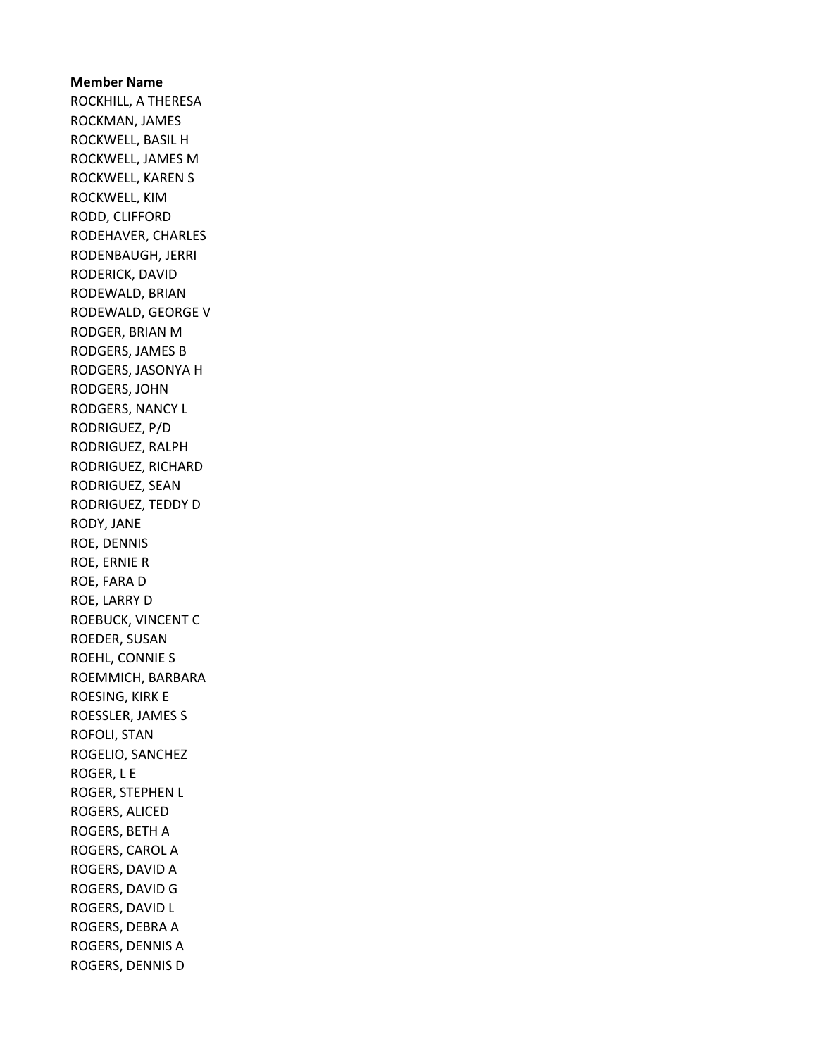Member Name ROCKHILL, A THERESA ROCKMAN, JAMES ROCKWELL, BASIL H ROCKWELL, JAMES M ROCKWELL, KAREN S ROCKWELL, KIM RODD, CLIFFORD RODEHAVER, CHARLES RODENBAUGH, JERRI RODERICK, DAVID RODEWALD, BRIAN RODEWALD, GEORGE V RODGER, BRIAN M RODGERS, JAMES B RODGERS, JASONYA H RODGERS, JOHN RODGERS, NANCY L RODRIGUEZ, P/D RODRIGUEZ, RALPH RODRIGUEZ, RICHARD RODRIGUEZ, SEAN RODRIGUEZ, TEDDY D RODY, JANE ROE, DENNIS ROE, ERNIE R ROE, FARA D ROE, LARRY D ROEBUCK, VINCENT C ROEDER, SUSAN ROEHL, CONNIE S ROEMMICH, BARBARA ROESING, KIRK E ROESSLER, JAMES S ROFOLI, STAN ROGELIO, SANCHEZ ROGER, L E ROGER, STEPHEN L ROGERS, ALICED ROGERS, BETH A ROGERS, CAROL A ROGERS, DAVID A ROGERS, DAVID G ROGERS, DAVID L ROGERS, DEBRA A ROGERS, DENNIS A ROGERS, DENNIS D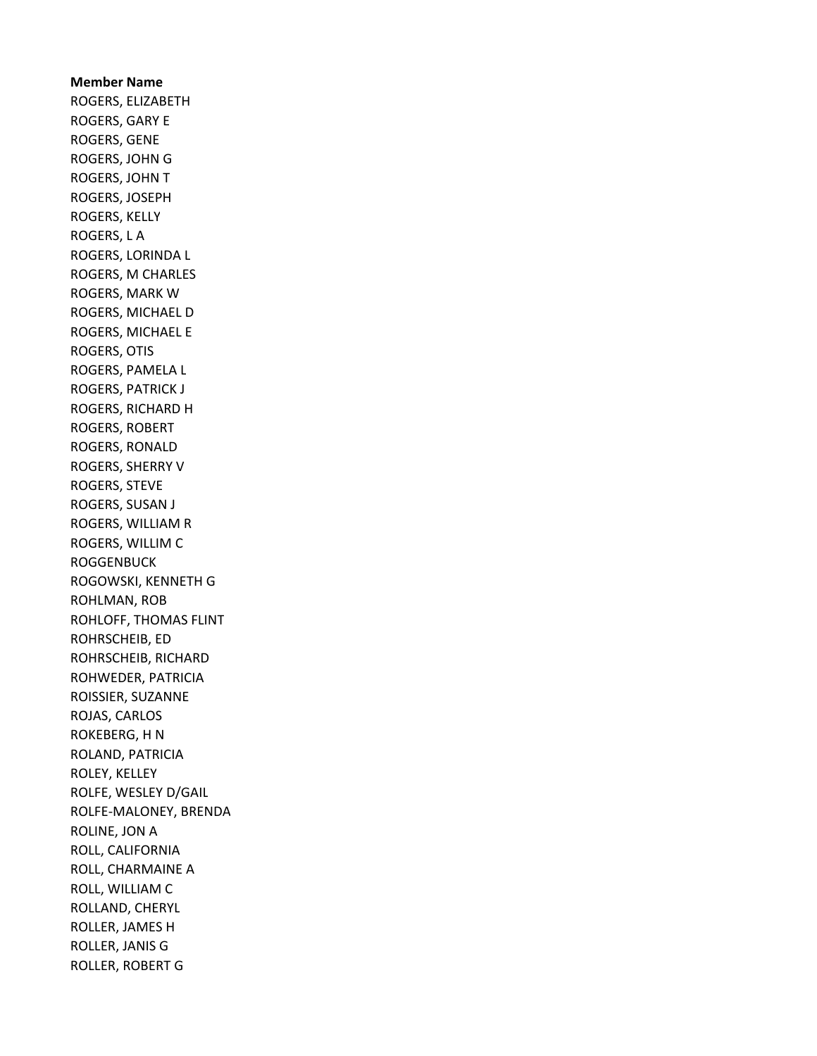Member Name ROGERS, ELIZABETH ROGERS, GARY E ROGERS, GENE ROGERS, JOHN G ROGERS, JOHN T ROGERS, JOSEPH ROGERS, KELLY ROGERS, L A ROGERS, LORINDA L ROGERS, M CHARLES ROGERS, MARK W ROGERS, MICHAEL D ROGERS, MICHAEL E ROGERS, OTIS ROGERS, PAMELA L ROGERS, PATRICK J ROGERS, RICHARD H ROGERS, ROBERT ROGERS, RONALD ROGERS, SHERRY V ROGERS, STEVE ROGERS, SUSAN J ROGERS, WILLIAM R ROGERS, WILLIM C **ROGGENBUCK** ROGOWSKI, KENNETH G ROHLMAN, ROB ROHLOFF, THOMAS FLINT ROHRSCHEIB, ED ROHRSCHEIB, RICHARD ROHWEDER, PATRICIA ROISSIER, SUZANNE ROJAS, CARLOS ROKEBERG, H N ROLAND, PATRICIA ROLEY, KELLEY ROLFE, WESLEY D/GAIL ROLFE-MALONEY, BRENDA ROLINE, JON A ROLL, CALIFORNIA ROLL, CHARMAINE A ROLL, WILLIAM C ROLLAND, CHERYL ROLLER, JAMES H ROLLER, JANIS G ROLLER, ROBERT G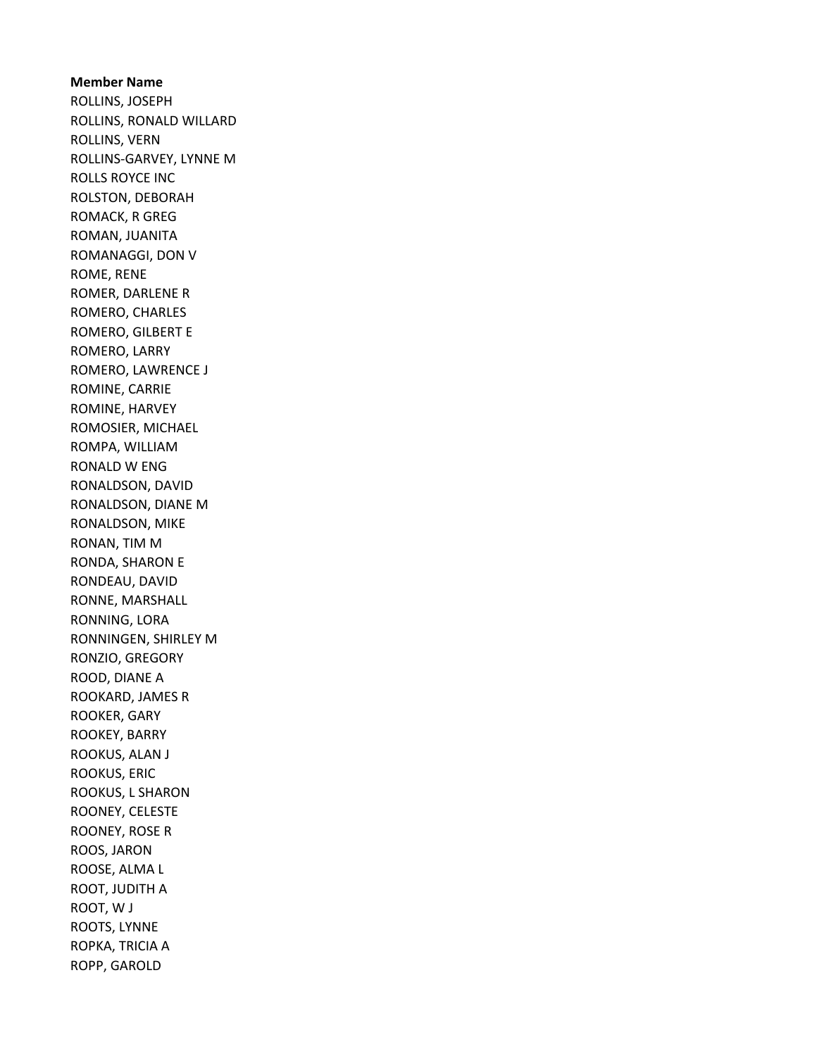#### Member Name

ROLLINS, JOSEPH ROLLINS, RONALD WILLARD ROLLINS, VERN ROLLINS-GARVEY, LYNNE M ROLLS ROYCE INC ROLSTON, DEBORAH ROMACK, R GREG ROMAN, JUANITA ROMANAGGI, DON V ROME, RENE ROMER, DARLENE R ROMERO, CHARLES ROMERO, GILBERT E ROMERO, LARRY ROMERO, LAWRENCE J ROMINE, CARRIE ROMINE, HARVEY ROMOSIER, MICHAEL ROMPA, WILLIAM RONALD W ENG RONALDSON, DAVID RONALDSON, DIANE M RONALDSON, MIKE RONAN, TIM M RONDA, SHARON E RONDEAU, DAVID RONNE, MARSHALL RONNING, LORA RONNINGEN, SHIRLEY M RONZIO, GREGORY ROOD, DIANE A ROOKARD, JAMES R ROOKER, GARY ROOKEY, BARRY ROOKUS, ALAN J ROOKUS, ERIC ROOKUS, L SHARON ROONEY, CELESTE ROONEY, ROSE R ROOS, JARON ROOSE, ALMA L ROOT, JUDITH A ROOT, W J ROOTS, LYNNE ROPKA, TRICIA A ROPP, GAROLD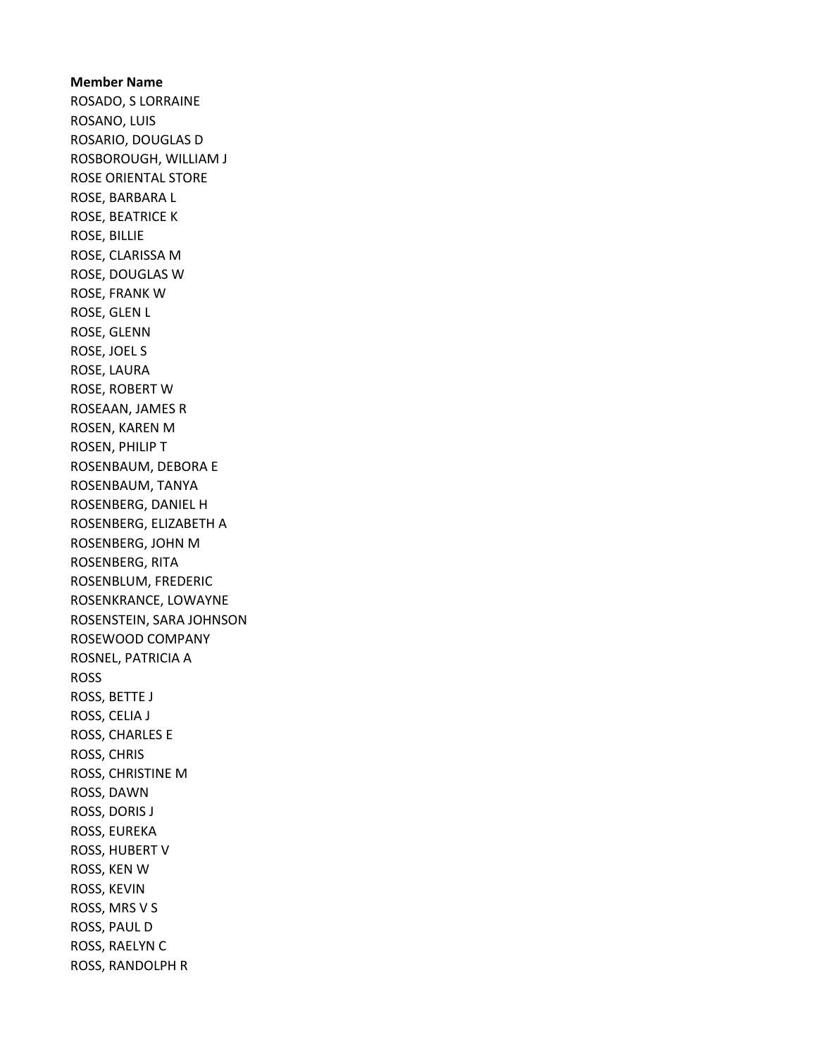Member Name ROSADO, S LORRAINE ROSANO, LUIS ROSARIO, DOUGLAS D ROSBOROUGH, WILLIAM J ROSE ORIENTAL STORE ROSE, BARBARA L ROSE, BEATRICE K ROSE, BILLIE ROSE, CLARISSA M ROSE, DOUGLAS W ROSE, FRANK W ROSE, GLEN L ROSE, GLENN ROSE, JOEL S ROSE, LAURA ROSE, ROBERT W ROSEAAN, JAMES R ROSEN, KAREN M ROSEN, PHILIP T ROSENBAUM, DEBORA E ROSENBAUM, TANYA ROSENBERG, DANIEL H ROSENBERG, ELIZABETH A ROSENBERG, JOHN M ROSENBERG, RITA ROSENBLUM, FREDERIC ROSENKRANCE, LOWAYNE ROSENSTEIN, SARA JOHNSON ROSEWOOD COMPANY ROSNEL, PATRICIA A ROSS ROSS, BETTE J ROSS, CELIA J ROSS, CHARLES E ROSS, CHRIS ROSS, CHRISTINE M ROSS, DAWN ROSS, DORIS J ROSS, EUREKA ROSS, HUBERT V ROSS, KEN W ROSS, KEVIN ROSS, MRS V S ROSS, PAUL D ROSS, RAELYN C ROSS, RANDOLPH R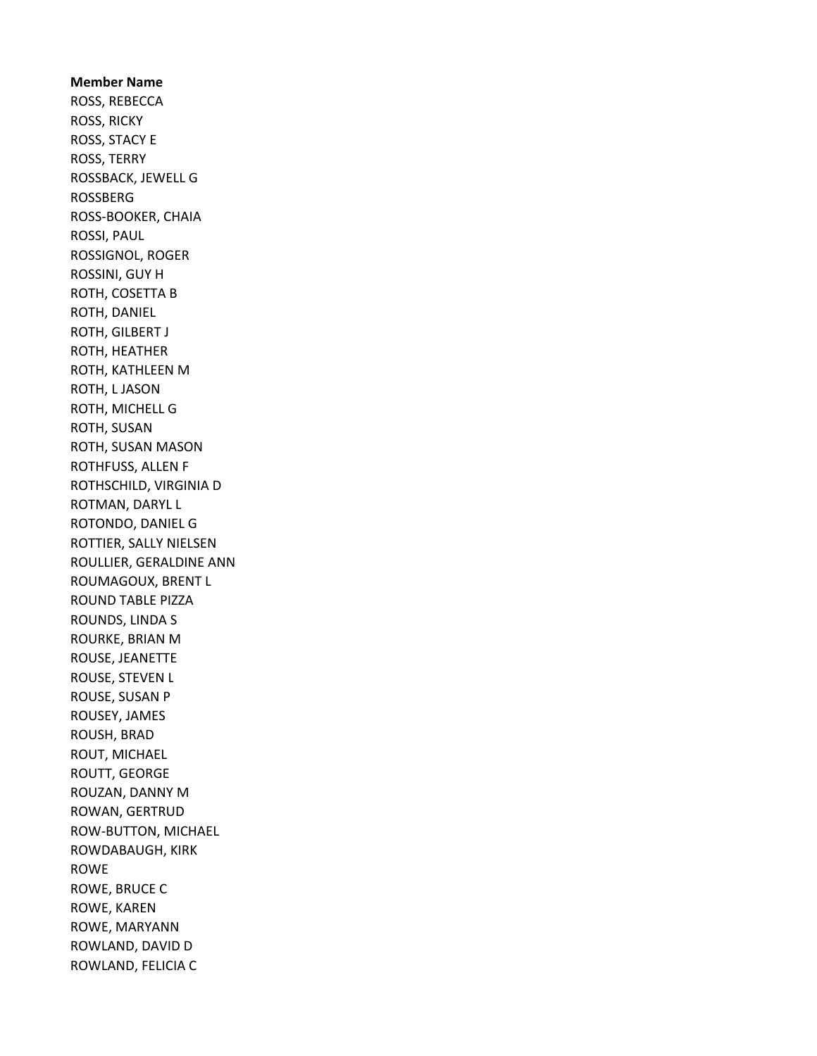Member Name ROSS, REBECCA ROSS, RICKY ROSS, STACY E ROSS, TERRY ROSSBACK, JEWELL G ROSSBERG ROSS-BOOKER, CHAIA ROSSI, PAUL ROSSIGNOL, ROGER ROSSINI, GUY H ROTH, COSETTA B ROTH, DANIEL ROTH, GILBERT J ROTH, HEATHER ROTH, KATHLEEN M ROTH, L JASON ROTH, MICHELL G ROTH, SUSAN ROTH, SUSAN MASON ROTHFUSS, ALLEN F ROTHSCHILD, VIRGINIA D ROTMAN, DARYL L ROTONDO, DANIEL G ROTTIER, SALLY NIELSEN ROULLIER, GERALDINE ANN ROUMAGOUX, BRENT L ROUND TABLE PIZZA ROUNDS, LINDA S ROURKE, BRIAN M ROUSE, JEANETTE ROUSE, STEVEN L ROUSE, SUSAN P ROUSEY, JAMES ROUSH, BRAD ROUT, MICHAEL ROUTT, GEORGE ROUZAN, DANNY M ROWAN, GERTRUD ROW-BUTTON, MICHAEL ROWDABAUGH, KIRK ROWE ROWE, BRUCE C ROWE, KAREN ROWE, MARYANN ROWLAND, DAVID D ROWLAND, FELICIA C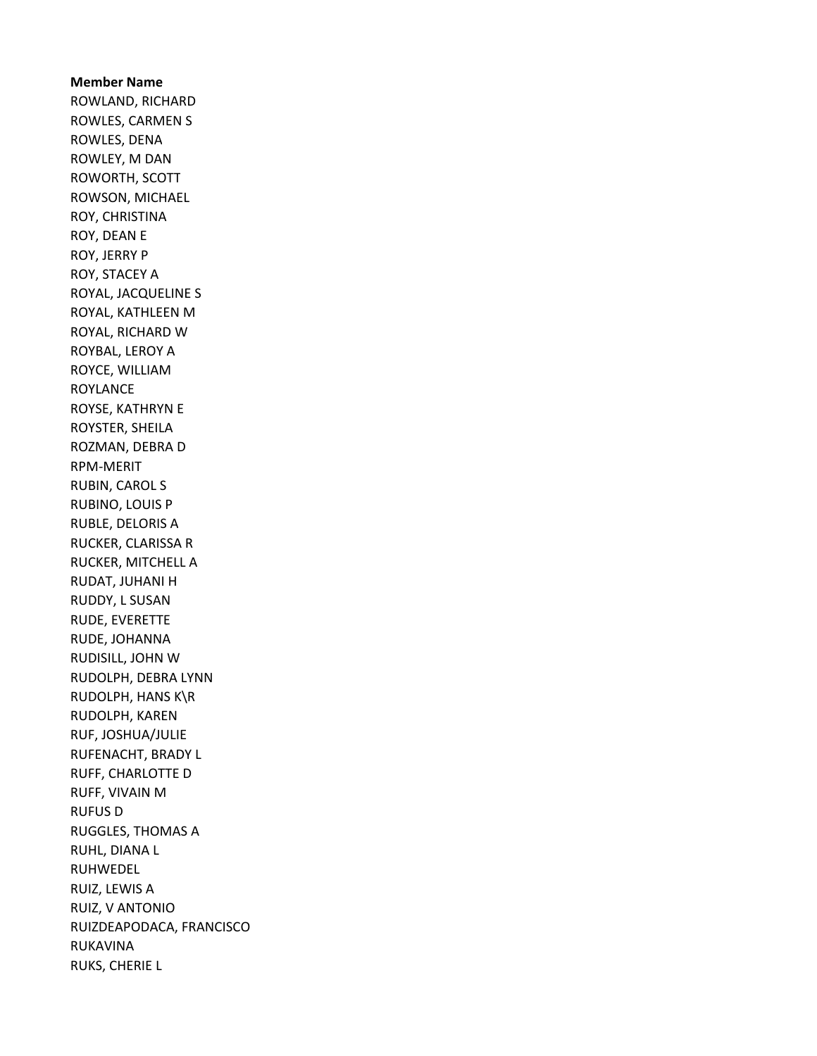Member Name ROWLAND, RICHARD ROWLES, CARMEN S ROWLES, DENA ROWLEY, M DAN ROWORTH, SCOTT ROWSON, MICHAEL ROY, CHRISTINA ROY, DEAN E ROY, JERRY P ROY, STACEY A ROYAL, JACQUELINE S ROYAL, KATHLEEN M ROYAL, RICHARD W ROYBAL, LEROY A ROYCE, WILLIAM ROYLANCE ROYSE, KATHRYN E ROYSTER, SHEILA ROZMAN, DEBRA D RPM-MERIT RUBIN, CAROL S RUBINO, LOUIS P RUBLE, DELORIS A RUCKER, CLARISSA R RUCKER, MITCHELL A RUDAT, JUHANI H RUDDY, L SUSAN RUDE, EVERETTE RUDE, JOHANNA RUDISILL, JOHN W RUDOLPH, DEBRA LYNN RUDOLPH, HANS K\R RUDOLPH, KAREN RUF, JOSHUA/JULIE RUFENACHT, BRADY L RUFF, CHARLOTTE D RUFF, VIVAIN M RUFUS D RUGGLES, THOMAS A RUHL, DIANA L RUHWEDEL RUIZ, LEWIS A RUIZ, V ANTONIO RUIZDEAPODACA, FRANCISCO RUKAVINA RUKS, CHERIE L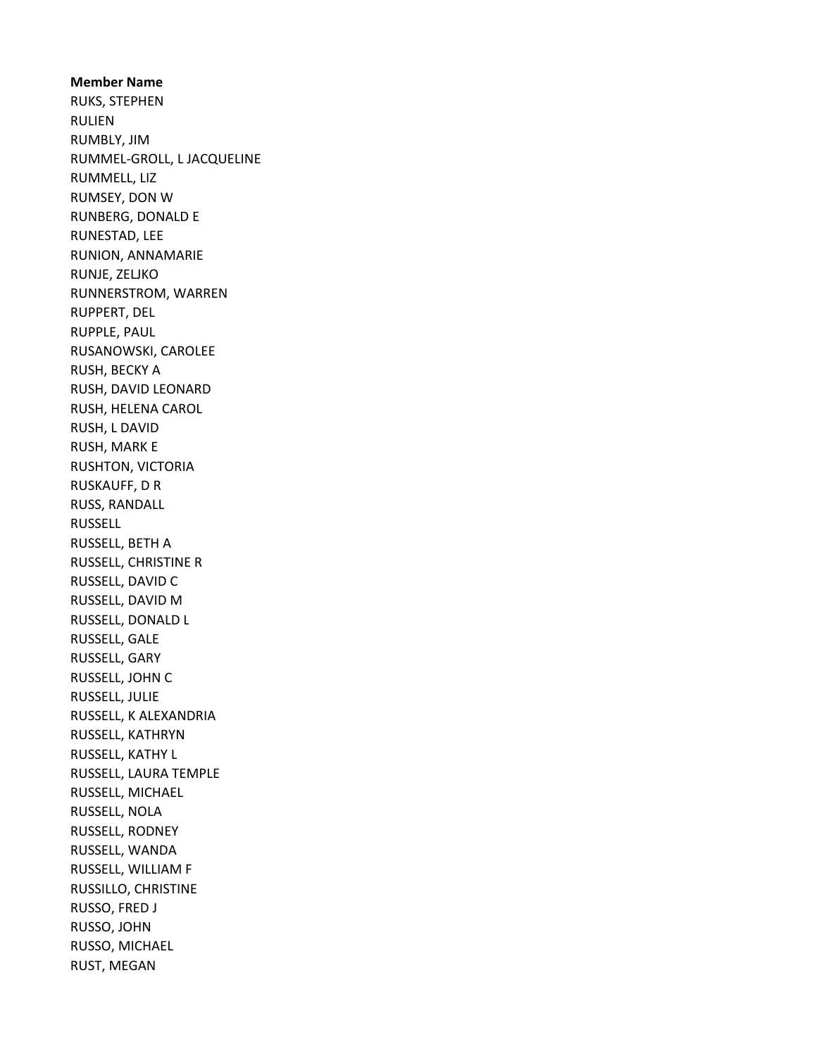#### Member Name

RUKS, STEPHEN RULIEN RUMBLY, JIM RUMMEL-GROLL, L JACQUELINE RUMMELL, LIZ RUMSEY, DON W RUNBERG, DONALD E RUNESTAD, LEE RUNION, ANNAMARIE RUNJE, ZELJKO RUNNERSTROM, WARREN RUPPERT, DEL RUPPLE, PAUL RUSANOWSKI, CAROLEE RUSH, BECKY A RUSH, DAVID LEONARD RUSH, HELENA CAROL RUSH, L DAVID RUSH, MARK E RUSHTON, VICTORIA RUSKAUFF, D R RUSS, RANDALL RUSSELL RUSSELL, BETH A RUSSELL, CHRISTINE R RUSSELL, DAVID C RUSSELL, DAVID M RUSSELL, DONALD L RUSSELL, GALE RUSSELL, GARY RUSSELL, JOHN C RUSSELL, JULIE RUSSELL, K ALEXANDRIA RUSSELL, KATHRYN RUSSELL, KATHY L RUSSELL, LAURA TEMPLE RUSSELL, MICHAEL RUSSELL, NOLA RUSSELL, RODNEY RUSSELL, WANDA RUSSELL, WILLIAM F RUSSILLO, CHRISTINE RUSSO, FRED J RUSSO, JOHN RUSSO, MICHAEL RUST, MEGAN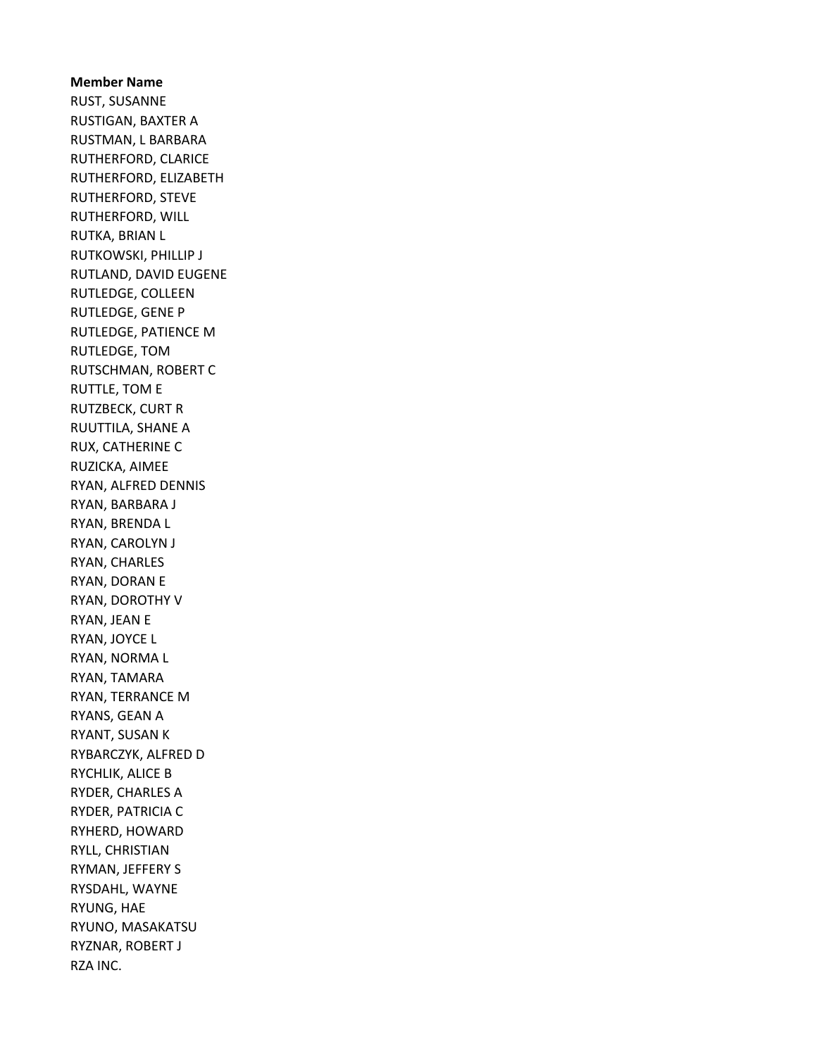Member Name RUST, SUSANNE RUSTIGAN, BAXTER A RUSTMAN, L BARBARA RUTHERFORD, CLARICE RUTHERFORD, ELIZABETH RUTHERFORD, STEVE RUTHERFORD, WILL RUTKA, BRIAN L RUTKOWSKI, PHILLIP J RUTLAND, DAVID EUGENE RUTLEDGE, COLLEEN RUTLEDGE, GENE P RUTLEDGE, PATIENCE M RUTLEDGE, TOM RUTSCHMAN, ROBERT C RUTTLE, TOM E RUTZBECK, CURT R RUUTTILA, SHANE A RUX, CATHERINE C RUZICKA, AIMEE RYAN, ALFRED DENNIS RYAN, BARBARA J RYAN, BRENDA L RYAN, CAROLYN J RYAN, CHARLES RYAN, DORAN E RYAN, DOROTHY V RYAN, JEAN E RYAN, JOYCE L RYAN, NORMA L RYAN, TAMARA RYAN, TERRANCE M RYANS, GEAN A RYANT, SUSAN K RYBARCZYK, ALFRED D RYCHLIK, ALICE B RYDER, CHARLES A RYDER, PATRICIA C RYHERD, HOWARD RYLL, CHRISTIAN RYMAN, JEFFERY S RYSDAHL, WAYNE RYUNG, HAE RYUNO, MASAKATSU RYZNAR, ROBERT J RZA INC.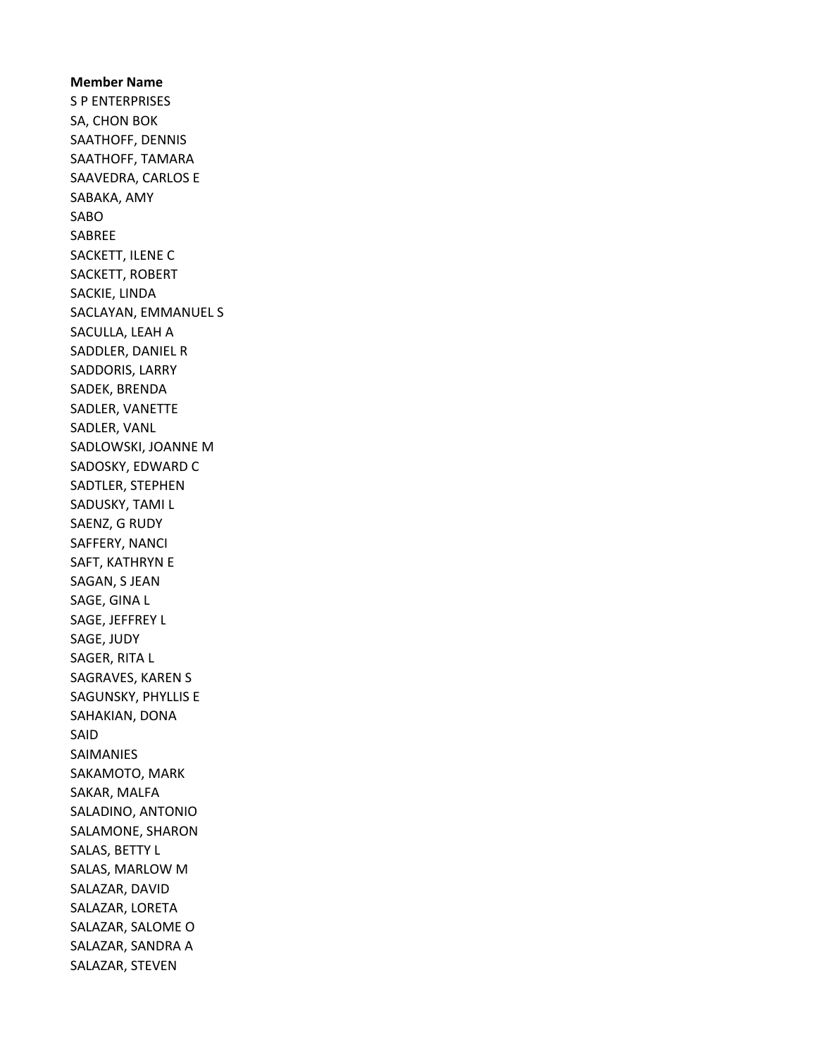Member Name S P ENTERPRISES SA, CHON BOK SAATHOFF, DENNIS SAATHOFF, TAMARA SAAVEDRA, CARLOS E SABAKA, AMY SABO SABREE SACKETT, ILENE C SACKETT, ROBERT SACKIE, LINDA SACLAYAN, EMMANUEL S SACULLA, LEAH A SADDLER, DANIEL R SADDORIS, LARRY SADEK, BRENDA SADLER, VANETTE SADLER, VANL SADLOWSKI, JOANNE M SADOSKY, EDWARD C SADTLER, STEPHEN SADUSKY, TAMI L SAENZ, G RUDY SAFFERY, NANCI SAFT, KATHRYN E SAGAN, S JEAN SAGE, GINA L SAGE, JEFFREY L SAGE, JUDY SAGER, RITA L SAGRAVES, KAREN S SAGUNSKY, PHYLLIS E SAHAKIAN, DONA SAID SAIMANIES SAKAMOTO, MARK SAKAR, MALFA SALADINO, ANTONIO SALAMONE, SHARON SALAS, BETTY L SALAS, MARLOW M SALAZAR, DAVID SALAZAR, LORETA SALAZAR, SALOME O SALAZAR, SANDRA A SALAZAR, STEVEN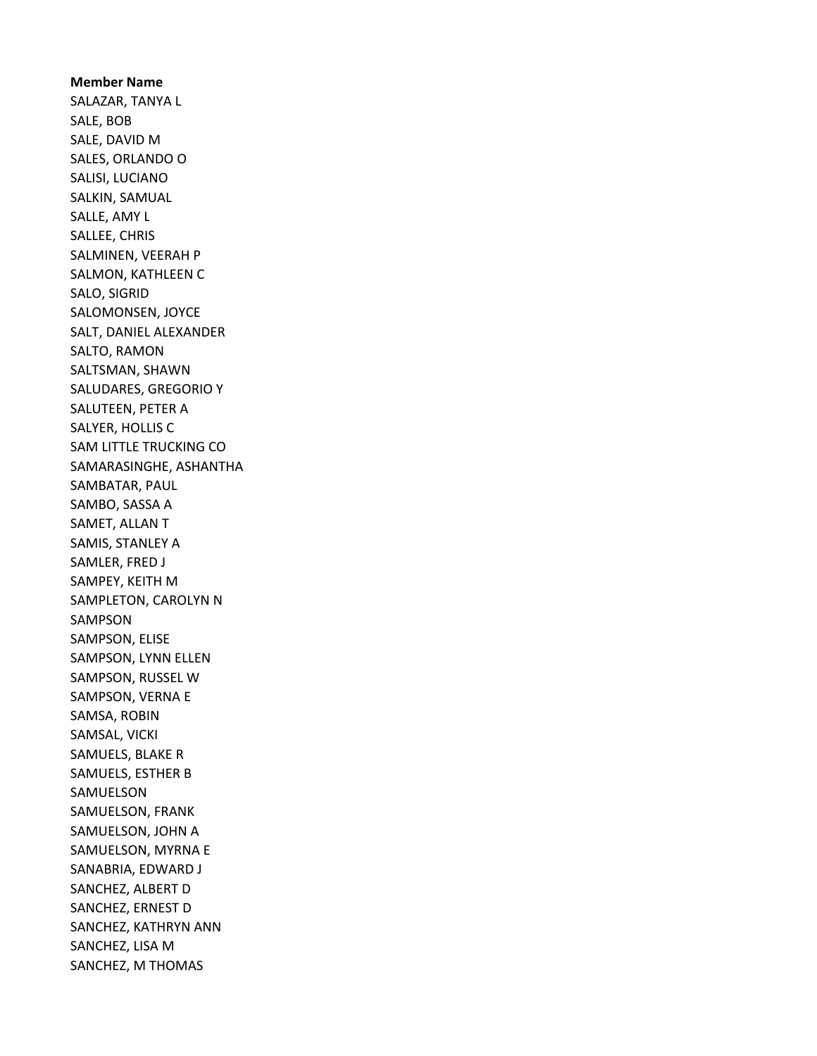Member Name SALAZAR, TANYA L SALE, BOB SALE, DAVID M SALES, ORLANDO O SALISI, LUCIANO SALKIN, SAMUAL SALLE, AMY L SALLEE, CHRIS SALMINEN, VEERAH P SALMON, KATHLEEN C SALO, SIGRID SALOMONSEN, JOYCE SALT, DANIEL ALEXANDER SALTO, RAMON SALTSMAN, SHAWN SALUDARES, GREGORIO Y SALUTEEN, PETER A SALYER, HOLLIS C SAM LITTLE TRUCKING CO SAMARASINGHE, ASHANTHA SAMBATAR, PAUL SAMBO, SASSA A SAMET, ALLAN T SAMIS, STANLEY A SAMLER, FRED J SAMPEY, KEITH M SAMPLETON, CAROLYN N SAMPSON SAMPSON, ELISE SAMPSON, LYNN ELLEN SAMPSON, RUSSEL W SAMPSON, VERNA E SAMSA, ROBIN SAMSAL, VICKI SAMUELS, BLAKE R SAMUELS, ESTHER B SAMUELSON SAMUELSON, FRANK SAMUELSON, JOHN A SAMUELSON, MYRNA E SANABRIA, EDWARD J SANCHEZ, ALBERT D SANCHEZ, ERNEST D SANCHEZ, KATHRYN ANN SANCHEZ, LISA M SANCHEZ, M THOMAS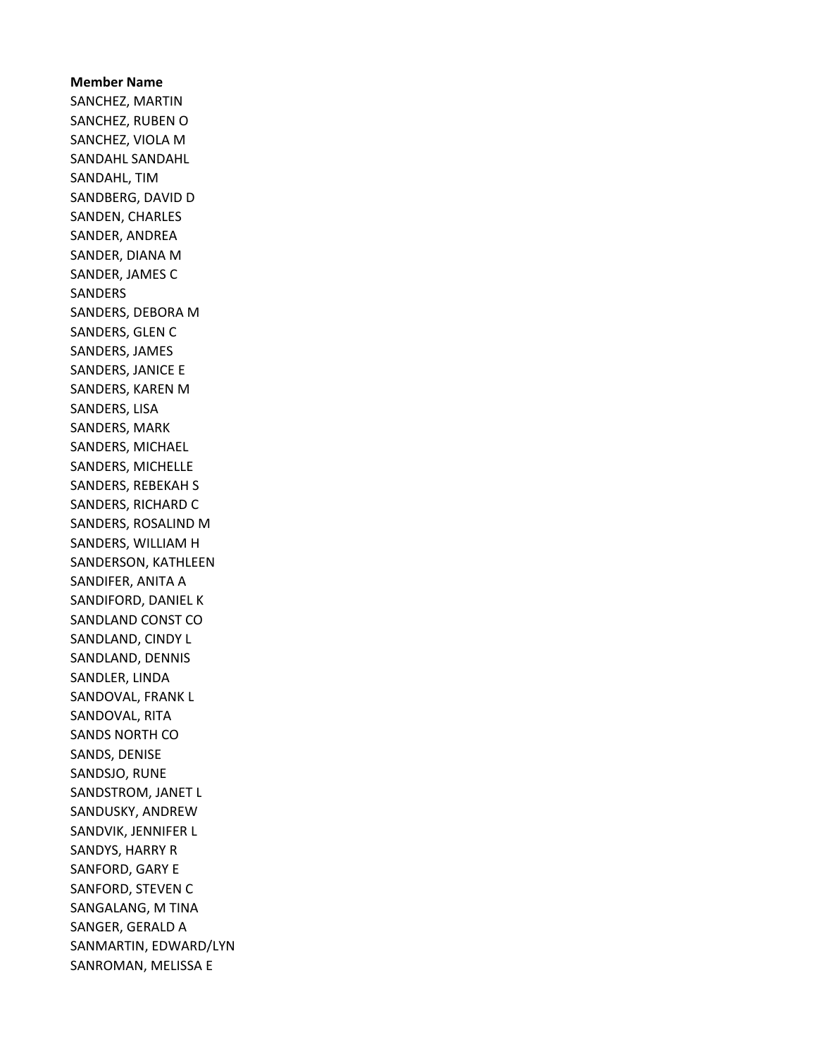Member Name SANCHEZ, MARTIN SANCHEZ, RUBEN O SANCHEZ, VIOLA M SANDAHL SANDAHL SANDAHL, TIM SANDBERG, DAVID D SANDEN, CHARLES SANDER, ANDREA SANDER, DIANA M SANDER, JAMES C SANDERS SANDERS, DEBORA M SANDERS, GLEN C SANDERS, JAMES SANDERS, JANICE E SANDERS, KAREN M SANDERS, LISA SANDERS, MARK SANDERS, MICHAEL SANDERS, MICHELLE SANDERS, REBEKAH S SANDERS, RICHARD C SANDERS, ROSALIND M SANDERS, WILLIAM H SANDERSON, KATHLEEN SANDIFER, ANITA A SANDIFORD, DANIEL K SANDLAND CONST CO SANDLAND, CINDY L SANDLAND, DENNIS SANDLER, LINDA SANDOVAL, FRANK L SANDOVAL, RITA SANDS NORTH CO SANDS, DENISE SANDSJO, RUNE SANDSTROM, JANET L SANDUSKY, ANDREW SANDVIK, JENNIFER L SANDYS, HARRY R SANFORD, GARY E SANFORD, STEVEN C SANGALANG, M TINA SANGER, GERALD A SANMARTIN, EDWARD/LYN SANROMAN, MELISSA E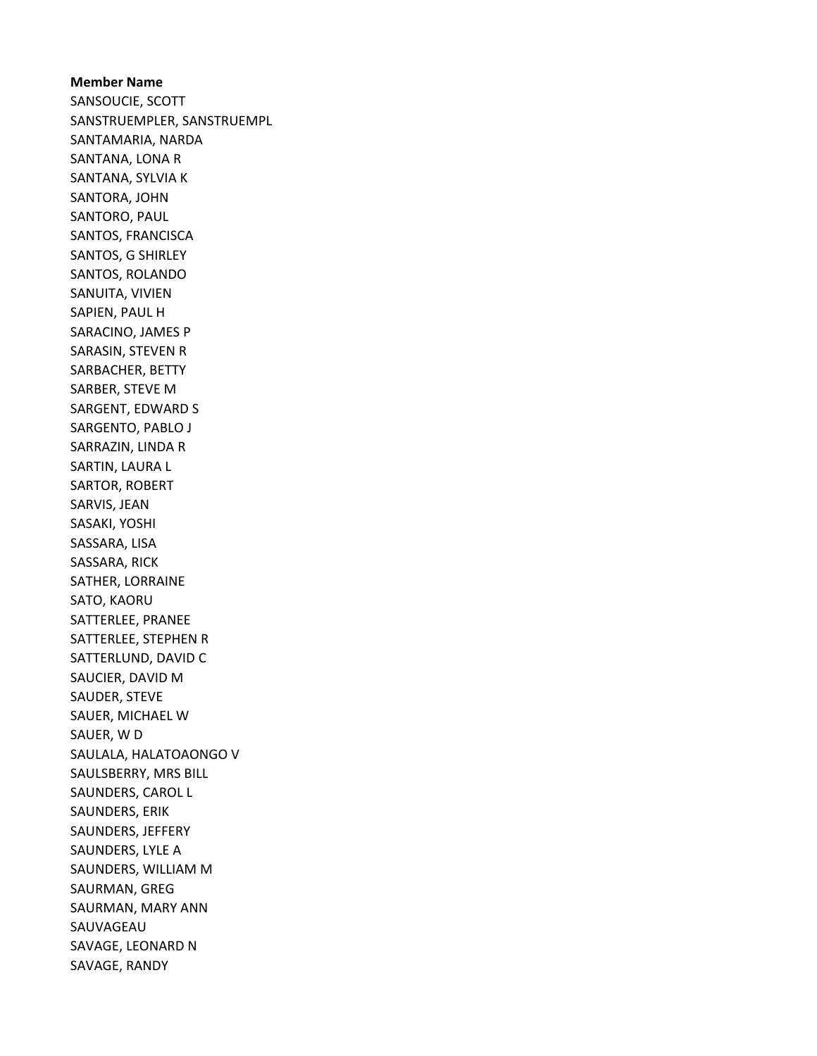Member Name SANSOUCIE, SCOTT SANSTRUEMPLER, SANSTRUEMPL SANTAMARIA, NARDA SANTANA, LONA R SANTANA, SYLVIA K SANTORA, JOHN SANTORO, PAUL SANTOS, FRANCISCA SANTOS, G SHIRLEY SANTOS, ROLANDO SANUITA, VIVIEN SAPIEN, PAUL H SARACINO, JAMES P SARASIN, STEVEN R SARBACHER, BETTY SARBER, STEVE M SARGENT, EDWARD S SARGENTO, PABLO J SARRAZIN, LINDA R SARTIN, LAURA L SARTOR, ROBERT SARVIS, JEAN SASAKI, YOSHI SASSARA, LISA SASSARA, RICK SATHER, LORRAINE SATO, KAORU SATTERLEE, PRANEE SATTERLEE, STEPHEN R SATTERLUND, DAVID C SAUCIER, DAVID M SAUDER, STEVE SAUER, MICHAEL W SAUER, W D SAULALA, HALATOAONGO V SAULSBERRY, MRS BILL SAUNDERS, CAROL L SAUNDERS, ERIK SAUNDERS, JEFFERY SAUNDERS, LYLE A SAUNDERS, WILLIAM M SAURMAN, GREG SAURMAN, MARY ANN SAUVAGEAU SAVAGE, LEONARD N SAVAGE, RANDY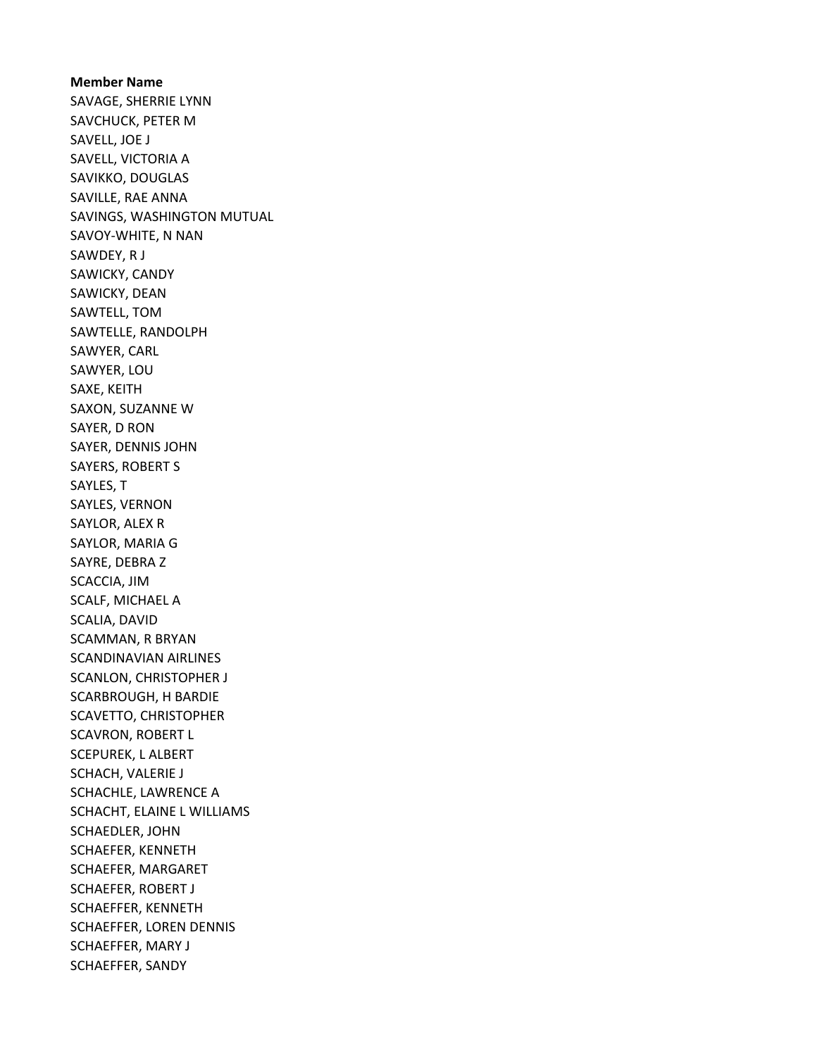Member Name SAVAGE, SHERRIE LYNN SAVCHUCK, PETER M SAVELL, JOE J SAVELL, VICTORIA A SAVIKKO, DOUGLAS SAVILLE, RAE ANNA SAVINGS, WASHINGTON MUTUAL SAVOY-WHITE, N NAN SAWDEY, R J SAWICKY, CANDY SAWICKY, DEAN SAWTELL, TOM SAWTELLE, RANDOLPH SAWYER, CARL SAWYER, LOU SAXE, KEITH SAXON, SUZANNE W SAYER, D RON SAYER, DENNIS JOHN SAYERS, ROBERT S SAYLES, T SAYLES, VERNON SAYLOR, ALEX R SAYLOR, MARIA G SAYRE, DEBRA Z SCACCIA, JIM SCALF, MICHAEL A SCALIA, DAVID SCAMMAN, R BRYAN SCANDINAVIAN AIRLINES SCANLON, CHRISTOPHER J SCARBROUGH, H BARDIE SCAVETTO, CHRISTOPHER SCAVRON, ROBERT L SCEPUREK, L ALBERT SCHACH, VALERIE J SCHACHLE, LAWRENCE A SCHACHT, ELAINE L WILLIAMS SCHAEDLER, JOHN SCHAEFER, KENNETH SCHAEFER, MARGARET SCHAEFER, ROBERT J SCHAEFFER, KENNETH SCHAEFFER, LOREN DENNIS SCHAEFFER, MARY J SCHAEFFER, SANDY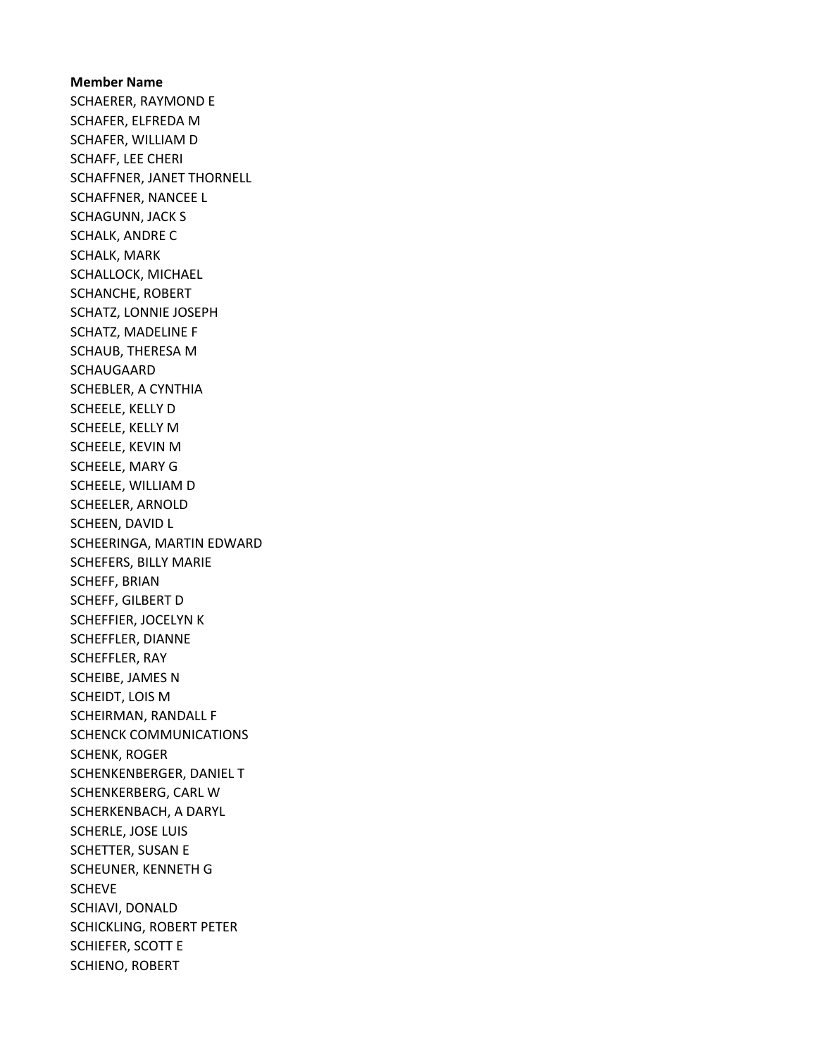Member Name SCHAERER, RAYMOND E SCHAFER, ELFREDA M SCHAFER, WILLIAM D SCHAFF, LEE CHERI SCHAFFNER, JANET THORNELL SCHAFFNER, NANCEE L SCHAGUNN, JACK S SCHALK, ANDRE C SCHALK, MARK SCHALLOCK, MICHAEL SCHANCHE, ROBERT SCHATZ, LONNIE JOSEPH SCHATZ, MADELINE F SCHAUB, THERESA M SCHAUGAARD SCHEBLER, A CYNTHIA SCHEELE, KELLY D SCHEELE, KELLY M SCHEELE, KEVIN M SCHEELE, MARY G SCHEELE, WILLIAM D SCHEELER, ARNOLD SCHEEN, DAVID L SCHEERINGA, MARTIN EDWARD SCHEFERS, BILLY MARIE SCHEFF, BRIAN SCHEFF, GILBERT D SCHEFFIER, JOCELYN K SCHEFFLER, DIANNE SCHEFFLER, RAY SCHEIBE, JAMES N SCHEIDT, LOIS M SCHEIRMAN, RANDALL F SCHENCK COMMUNICATIONS SCHENK, ROGER SCHENKENBERGER, DANIEL T SCHENKERBERG, CARL W SCHERKENBACH, A DARYL SCHERLE, JOSE LUIS SCHETTER, SUSAN E SCHEUNER, KENNETH G SCHEVE SCHIAVI, DONALD SCHICKLING, ROBERT PETER SCHIEFER, SCOTT E SCHIENO, ROBERT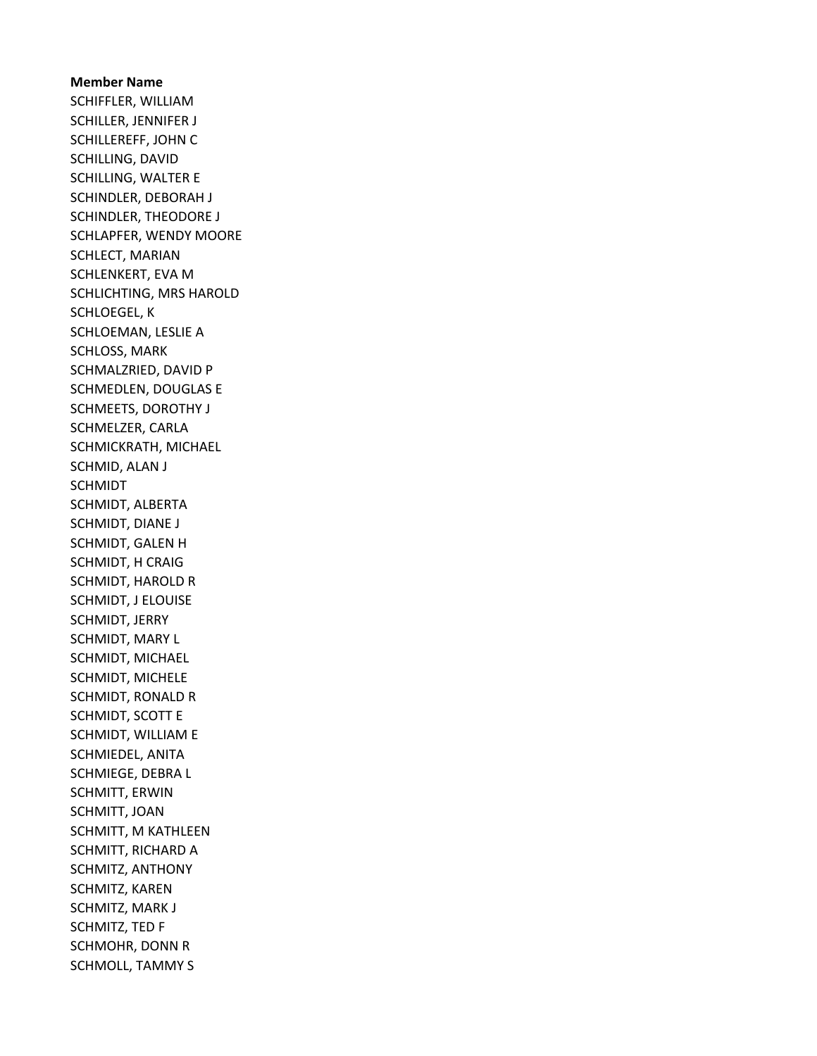# Member Name SCHIFFLER, WILLIAM SCHILLER, JENNIFER J SCHILLEREFF, JOHN C SCHILLING, DAVID SCHILLING, WALTER E SCHINDLER, DEBORAH J SCHINDLER, THEODORE J SCHLAPFER, WENDY MOORE SCHLECT, MARIAN SCHLENKERT, EVA M SCHLICHTING, MRS HAROLD SCHLOEGEL, K SCHLOEMAN, LESLIE A SCHLOSS, MARK SCHMALZRIED, DAVID P SCHMEDLEN, DOUGLAS E SCHMEETS, DOROTHY J SCHMELZER, CARLA SCHMICKRATH, MICHAEL SCHMID, ALAN J SCHMIDT SCHMIDT, ALBERTA SCHMIDT, DIANE J SCHMIDT, GALEN H SCHMIDT, H CRAIG SCHMIDT, HAROLD R SCHMIDT, J ELOUISE SCHMIDT, JERRY SCHMIDT, MARY L SCHMIDT, MICHAEL SCHMIDT, MICHELE SCHMIDT, RONALD R SCHMIDT, SCOTT E SCHMIDT, WILLIAM E SCHMIEDEL, ANITA SCHMIEGE, DEBRA L SCHMITT, ERWIN SCHMITT, JOAN SCHMITT, M KATHLEEN SCHMITT, RICHARD A SCHMITZ, ANTHONY SCHMITZ, KAREN SCHMITZ, MARK J SCHMITZ, TED F SCHMOHR, DONN R SCHMOLL, TAMMY S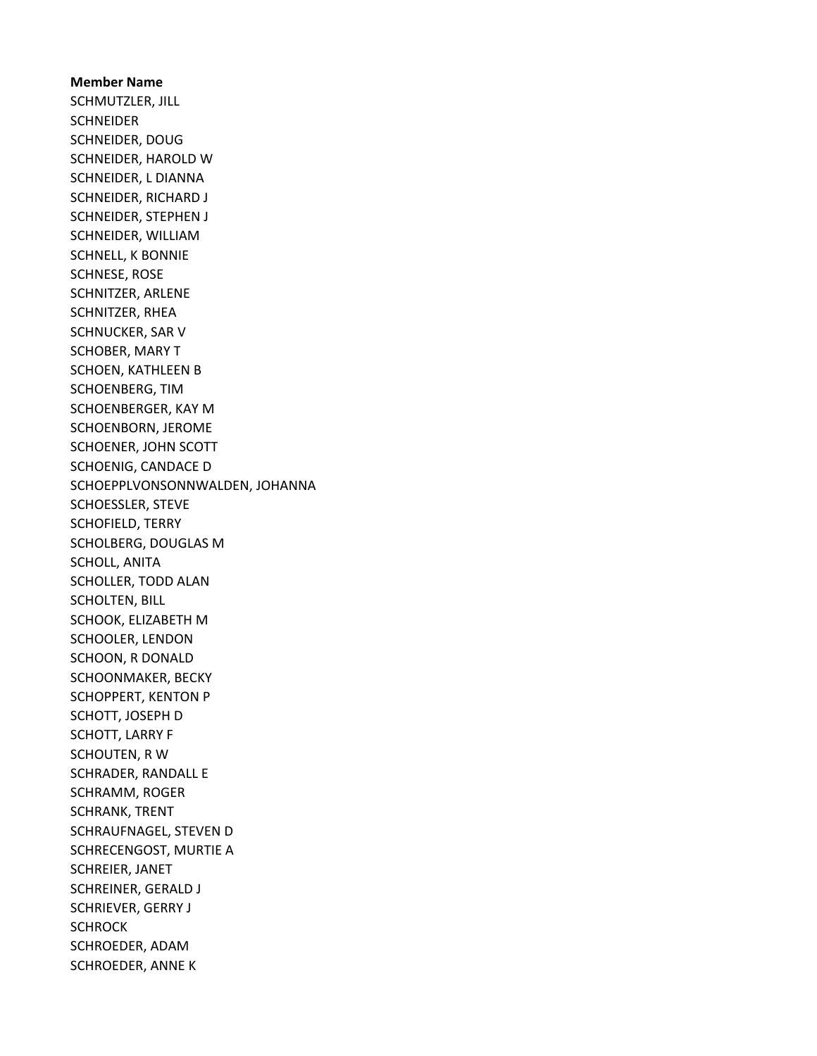Member Name SCHMUTZLER, JILL **SCHNEIDER** SCHNEIDER, DOUG SCHNEIDER, HAROLD W SCHNEIDER, L DIANNA SCHNEIDER, RICHARD J SCHNEIDER, STEPHEN J SCHNEIDER, WILLIAM SCHNELL, K BONNIE SCHNESE, ROSE SCHNITZER, ARLENE SCHNITZER, RHEA SCHNUCKER, SAR V SCHOBER, MARY T SCHOEN, KATHLEEN B SCHOENBERG, TIM SCHOENBERGER, KAY M SCHOENBORN, JEROME SCHOENER, JOHN SCOTT SCHOENIG, CANDACE D SCHOEPPLVONSONNWALDEN, JOHANNA SCHOESSLER, STEVE SCHOFIELD, TERRY SCHOLBERG, DOUGLAS M SCHOLL, ANITA SCHOLLER, TODD ALAN SCHOLTEN, BILL SCHOOK, ELIZABETH M SCHOOLER, LENDON SCHOON, R DONALD SCHOONMAKER, BECKY SCHOPPERT, KENTON P SCHOTT, JOSEPH D SCHOTT, LARRY F SCHOUTEN, R W SCHRADER, RANDALL E SCHRAMM, ROGER SCHRANK, TRENT SCHRAUFNAGEL, STEVEN D SCHRECENGOST, MURTIE A SCHREIER, JANET SCHREINER, GERALD J SCHRIEVER, GERRY J **SCHROCK** SCHROEDER, ADAM SCHROEDER, ANNE K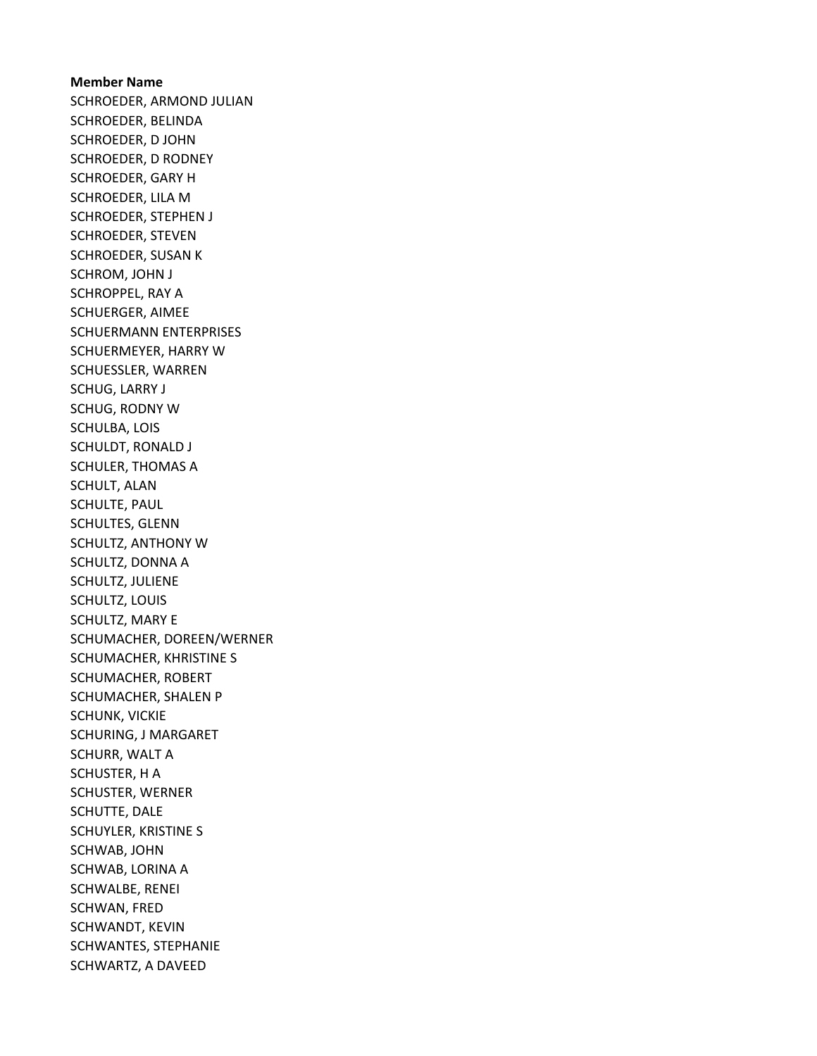Member Name SCHROEDER, ARMOND JULIAN SCHROEDER, BELINDA SCHROEDER, D JOHN SCHROEDER, D RODNEY SCHROEDER, GARY H SCHROEDER, LILA M SCHROEDER, STEPHEN J SCHROEDER, STEVEN SCHROEDER, SUSAN K SCHROM, JOHN J SCHROPPEL, RAY A SCHUERGER, AIMEE SCHUERMANN ENTERPRISES SCHUERMEYER, HARRY W SCHUESSLER, WARREN SCHUG, LARRY J SCHUG, RODNY W SCHULBA, LOIS SCHULDT, RONALD J SCHULER, THOMAS A SCHULT, ALAN SCHULTE, PAUL SCHULTES, GLENN SCHULTZ, ANTHONY W SCHULTZ, DONNA A SCHULTZ, JULIENE SCHULTZ, LOUIS SCHULTZ, MARY E SCHUMACHER, DOREEN/WERNER SCHUMACHER, KHRISTINE S SCHUMACHER, ROBERT SCHUMACHER, SHALEN P SCHUNK, VICKIE SCHURING, J MARGARET SCHURR, WALT A SCHUSTER, H A SCHUSTER, WERNER SCHUTTE, DALE SCHUYLER, KRISTINE S SCHWAB, JOHN SCHWAB, LORINA A SCHWALBE, RENEI SCHWAN, FRED SCHWANDT, KEVIN SCHWANTES, STEPHANIE SCHWARTZ, A DAVEED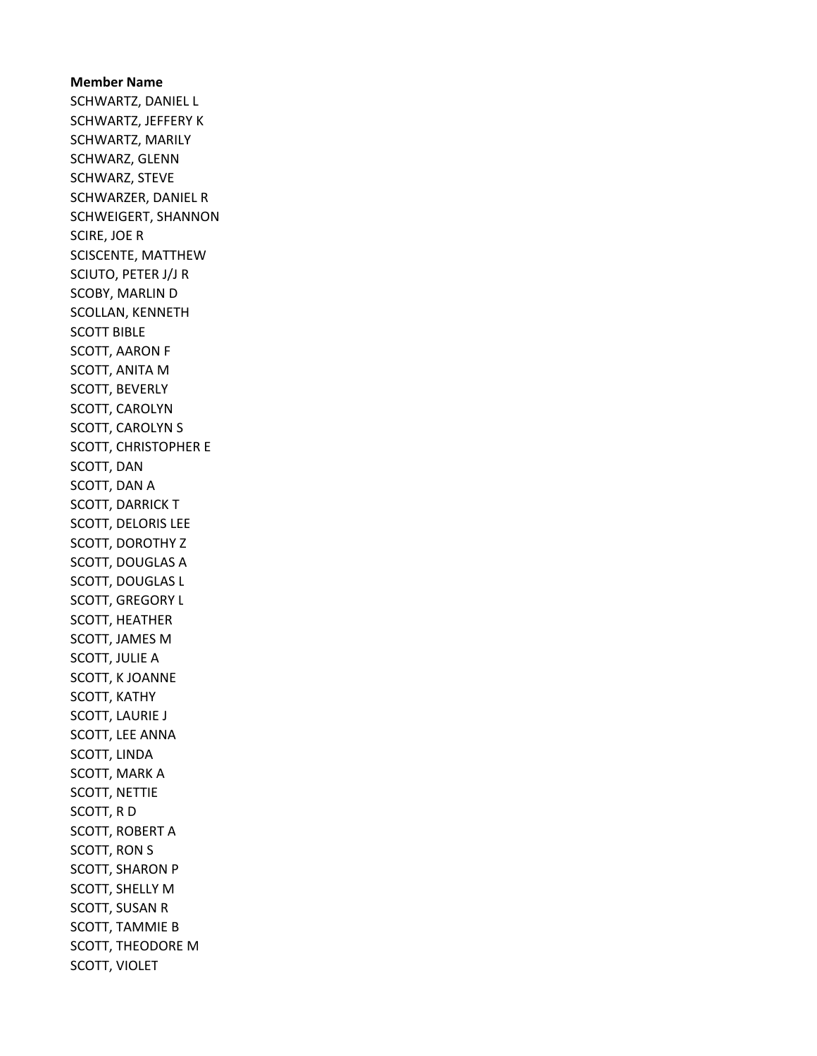Member Name SCHWARTZ, DANIEL L SCHWARTZ, JEFFERY K SCHWARTZ, MARILY SCHWARZ, GLENN SCHWARZ, STEVE SCHWARZER, DANIEL R SCHWEIGERT, SHANNON SCIRE, JOE R SCISCENTE, MATTHEW SCIUTO, PETER J/J R SCOBY, MARLIN D SCOLLAN, KENNETH SCOTT BIBLE SCOTT, AARON F SCOTT, ANITA M SCOTT, BEVERLY SCOTT, CAROLYN SCOTT, CAROLYN S SCOTT, CHRISTOPHER E SCOTT, DAN SCOTT, DAN A SCOTT, DARRICK T SCOTT, DELORIS LEE SCOTT, DOROTHY Z SCOTT, DOUGLAS A SCOTT, DOUGLAS L SCOTT, GREGORY L SCOTT, HEATHER SCOTT, JAMES M SCOTT, JULIE A SCOTT, K JOANNE SCOTT, KATHY SCOTT, LAURIE J SCOTT, LEE ANNA SCOTT, LINDA SCOTT, MARK A SCOTT, NETTIE SCOTT, R D SCOTT, ROBERT A SCOTT, RON S SCOTT, SHARON P SCOTT, SHELLY M SCOTT, SUSAN R SCOTT, TAMMIE B SCOTT, THEODORE M SCOTT, VIOLET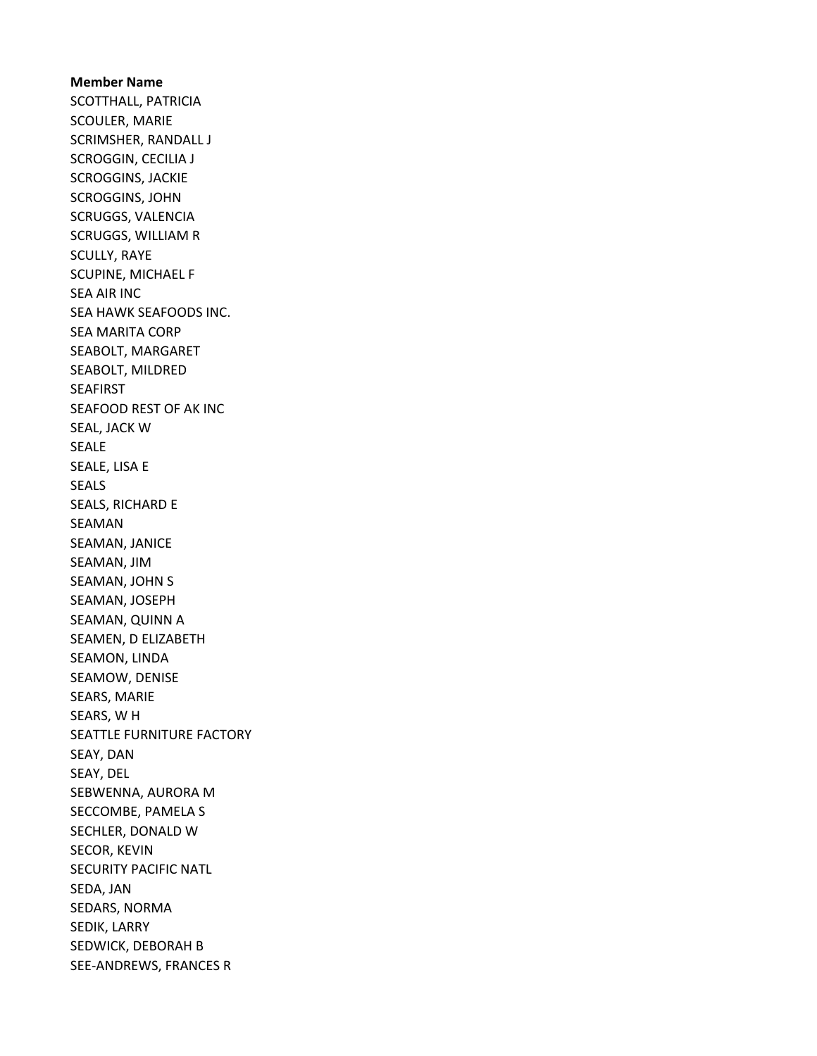Member Name SCOTTHALL, PATRICIA SCOULER, MARIE SCRIMSHER, RANDALL J SCROGGIN, CECILIA J SCROGGINS, JACKIE SCROGGINS, JOHN SCRUGGS, VALENCIA SCRUGGS, WILLIAM R SCULLY, RAYE SCUPINE, MICHAEL F SEA AIR INC SEA HAWK SEAFOODS INC. SEA MARITA CORP SEABOLT, MARGARET SEABOLT, MILDRED SEAFIRST SEAFOOD REST OF AK INC SEAL, JACK W SEALE SEALE, LISA E SEALS SEALS, RICHARD E SEAMAN SEAMAN, JANICE SEAMAN, JIM SEAMAN, JOHN S SEAMAN, JOSEPH SEAMAN, QUINN A SEAMEN, D ELIZABETH SEAMON, LINDA SEAMOW, DENISE SEARS, MARIE SEARS, W H SEATTLE FURNITURE FACTORY SEAY, DAN SEAY, DEL SEBWENNA, AURORA M SECCOMBE, PAMELA S SECHLER, DONALD W SECOR, KEVIN SECURITY PACIFIC NATL SEDA, JAN SEDARS, NORMA SEDIK, LARRY SEDWICK, DEBORAH B SEE-ANDREWS, FRANCES R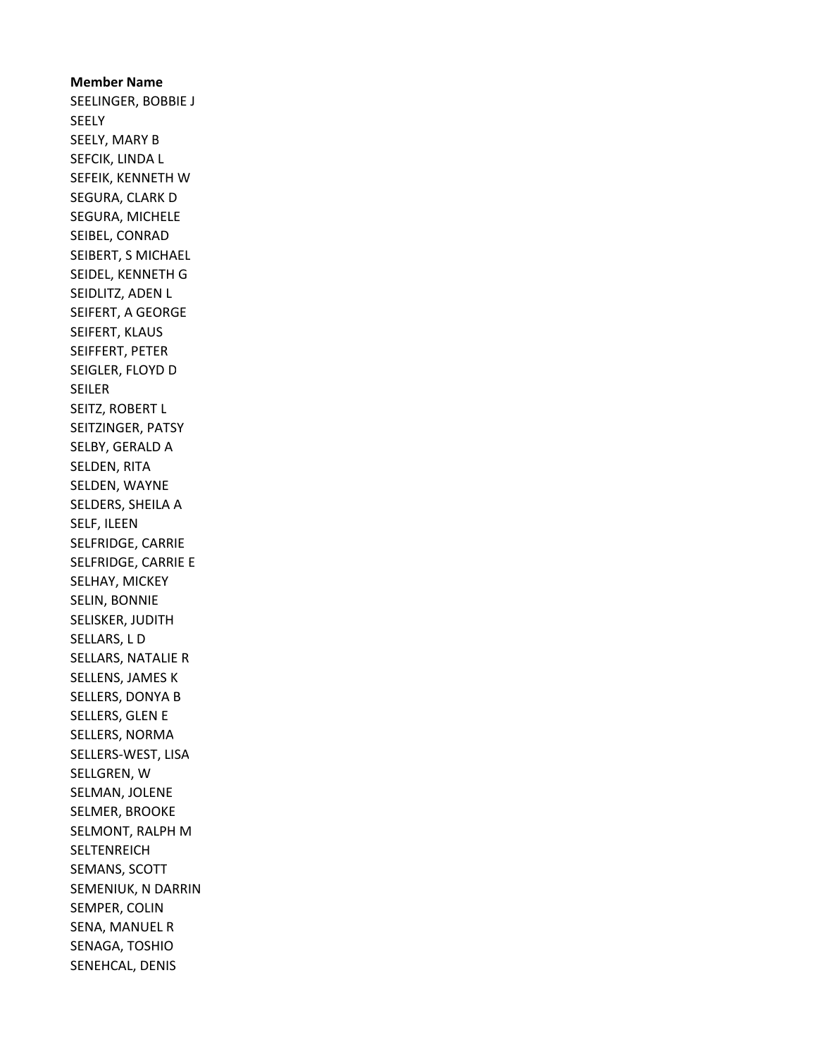Member Name SEELINGER, BOBBIE J SEELY SEELY, MARY B SEFCIK, LINDA L SEFEIK, KENNETH W SEGURA, CLARK D SEGURA, MICHELE SEIBEL, CONRAD SEIBERT, S MICHAEL SEIDEL, KENNETH G SEIDLITZ, ADEN L SEIFERT, A GEORGE SEIFERT, KLAUS SEIFFERT, PETER SEIGLER, FLOYD D SEILER SEITZ, ROBERT L SEITZINGER, PATSY SELBY, GERALD A SELDEN, RITA SELDEN, WAYNE SELDERS, SHEILA A SELF, ILEEN SELFRIDGE, CARRIE SELFRIDGE, CARRIE E SELHAY, MICKEY SELIN, BONNIE SELISKER, JUDITH SELLARS, L D SELLARS, NATALIE R SELLENS, JAMES K SELLERS, DONYA B SELLERS, GLEN E SELLERS, NORMA SELLERS-WEST, LISA SELLGREN, W SELMAN, JOLENE SELMER, BROOKE SELMONT, RALPH M **SELTENREICH** SEMANS, SCOTT SEMENIUK, N DARRIN SEMPER, COLIN SENA, MANUEL R SENAGA, TOSHIO SENEHCAL, DENIS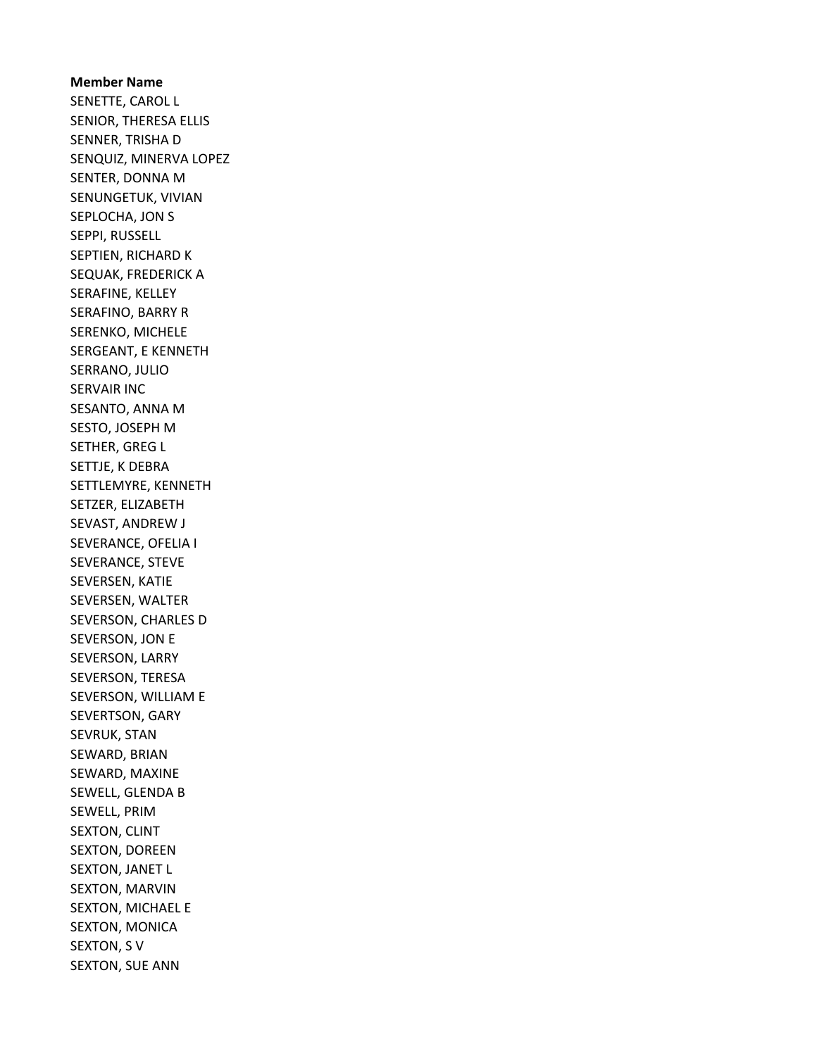Member Name SENETTE, CAROL L SENIOR, THERESA ELLIS SENNER, TRISHA D SENQUIZ, MINERVA LOPEZ SENTER, DONNA M SENUNGETUK, VIVIAN SEPLOCHA, JON S SEPPI, RUSSELL SEPTIEN, RICHARD K SEQUAK, FREDERICK A SERAFINE, KELLEY SERAFINO, BARRY R SERENKO, MICHELE SERGEANT, E KENNETH SERRANO, JULIO SERVAIR INC SESANTO, ANNA M SESTO, JOSEPH M SETHER, GREG L SETTJE, K DEBRA SETTLEMYRE, KENNETH SETZER, ELIZABETH SEVAST, ANDREW J SEVERANCE, OFELIA I SEVERANCE, STEVE SEVERSEN, KATIE SEVERSEN, WALTER SEVERSON, CHARLES D SEVERSON, JON E SEVERSON, LARRY SEVERSON, TERESA SEVERSON, WILLIAM E SEVERTSON, GARY SEVRUK, STAN SEWARD, BRIAN SEWARD, MAXINE SEWELL, GLENDA B SEWELL, PRIM SEXTON, CLINT SEXTON, DOREEN SEXTON, JANET L SEXTON, MARVIN SEXTON, MICHAEL E SEXTON, MONICA SEXTON, S V SEXTON, SUE ANN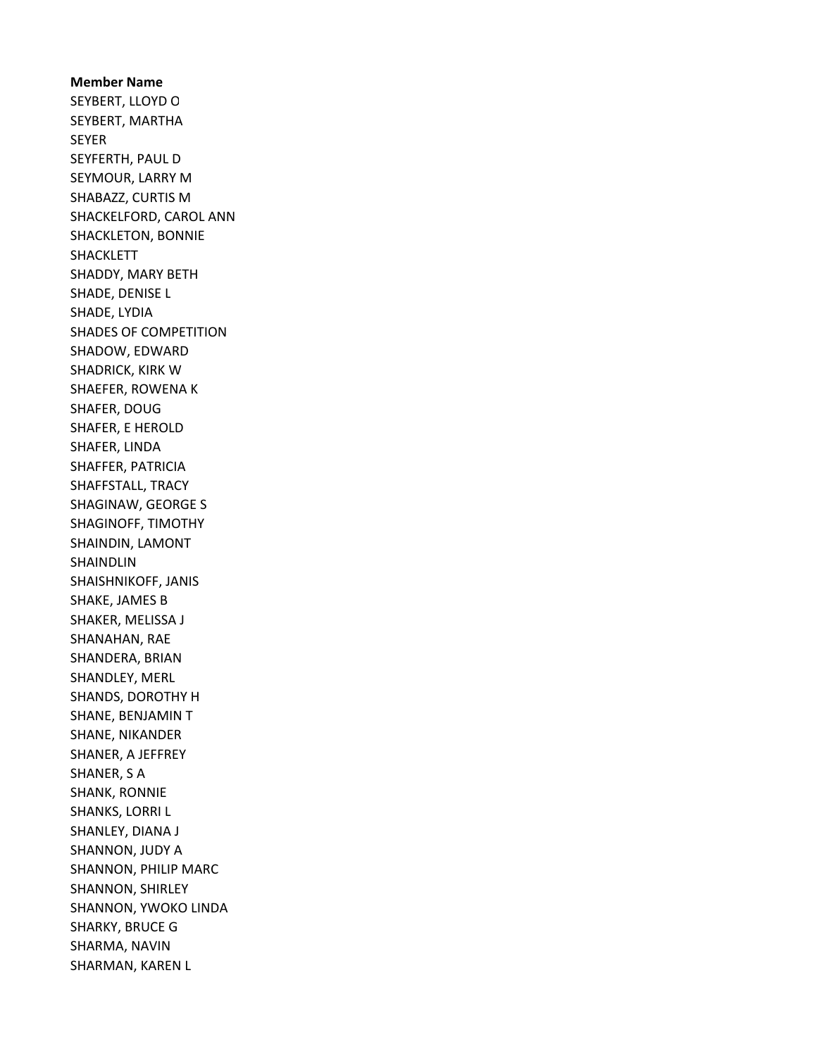Member Name SEYBERT, LLOYD O SEYBERT, MARTHA SEYER SEYFERTH, PAUL D SEYMOUR, LARRY M SHABAZZ, CURTIS M SHACKELFORD, CAROL ANN SHACKLETON, BONNIE SHACKLETT SHADDY, MARY BETH SHADE, DENISE L SHADE, LYDIA SHADES OF COMPETITION SHADOW, EDWARD SHADRICK, KIRK W SHAEFER, ROWENA K SHAFER, DOUG SHAFER, E HEROLD SHAFER, LINDA SHAFFER, PATRICIA SHAFFSTALL, TRACY SHAGINAW, GEORGE S SHAGINOFF, TIMOTHY SHAINDIN, LAMONT SHAINDLIN SHAISHNIKOFF, JANIS SHAKE, JAMES B SHAKER, MELISSA J SHANAHAN, RAE SHANDERA, BRIAN SHANDLEY, MERL SHANDS, DOROTHY H SHANE, BENJAMIN T SHANE, NIKANDER SHANER, A JEFFREY SHANER, S A SHANK, RONNIE SHANKS, LORRI L SHANLEY, DIANA J SHANNON, JUDY A SHANNON, PHILIP MARC SHANNON, SHIRLEY SHANNON, YWOKO LINDA SHARKY, BRUCE G SHARMA, NAVIN SHARMAN, KAREN L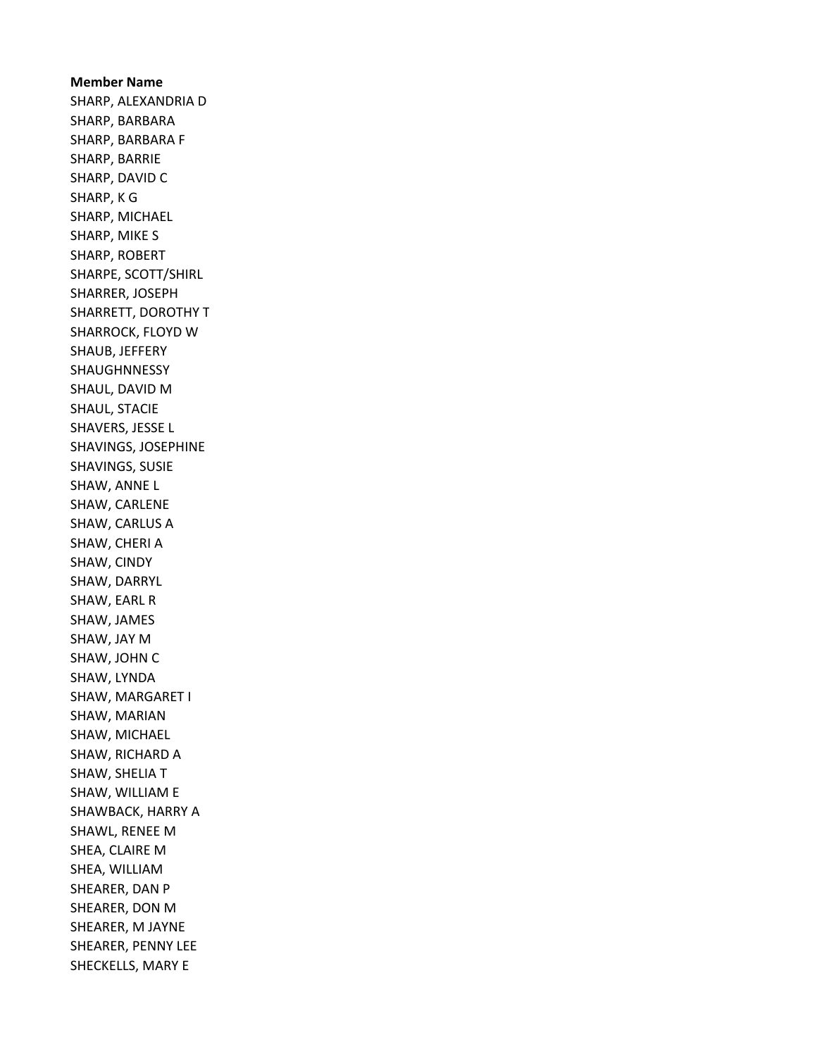Member Name SHARP, ALEXANDRIA D SHARP, BARBARA SHARP, BARBARA F SHARP, BARRIE SHARP, DAVID C SHARP, K G SHARP, MICHAEL SHARP, MIKE S SHARP, ROBERT SHARPE, SCOTT/SHIRL SHARRER, JOSEPH SHARRETT, DOROTHY T SHARROCK, FLOYD W SHAUB, JEFFERY SHAUGHNNESSY SHAUL, DAVID M SHAUL, STACIE SHAVERS, JESSE L SHAVINGS, JOSEPHINE SHAVINGS, SUSIE SHAW, ANNE L SHAW, CARLENE SHAW, CARLUS A SHAW, CHERI A SHAW, CINDY SHAW, DARRYL SHAW, EARL R SHAW, JAMES SHAW, JAY M SHAW, JOHN C SHAW, LYNDA SHAW, MARGARET I SHAW, MARIAN SHAW, MICHAEL SHAW, RICHARD A SHAW, SHELIA T SHAW, WILLIAM E SHAWBACK, HARRY A SHAWL, RENEE M SHEA, CLAIRE M SHEA, WILLIAM SHEARER, DAN P SHEARER, DON M SHEARER, M JAYNE SHEARER, PENNY LEE SHECKELLS, MARY E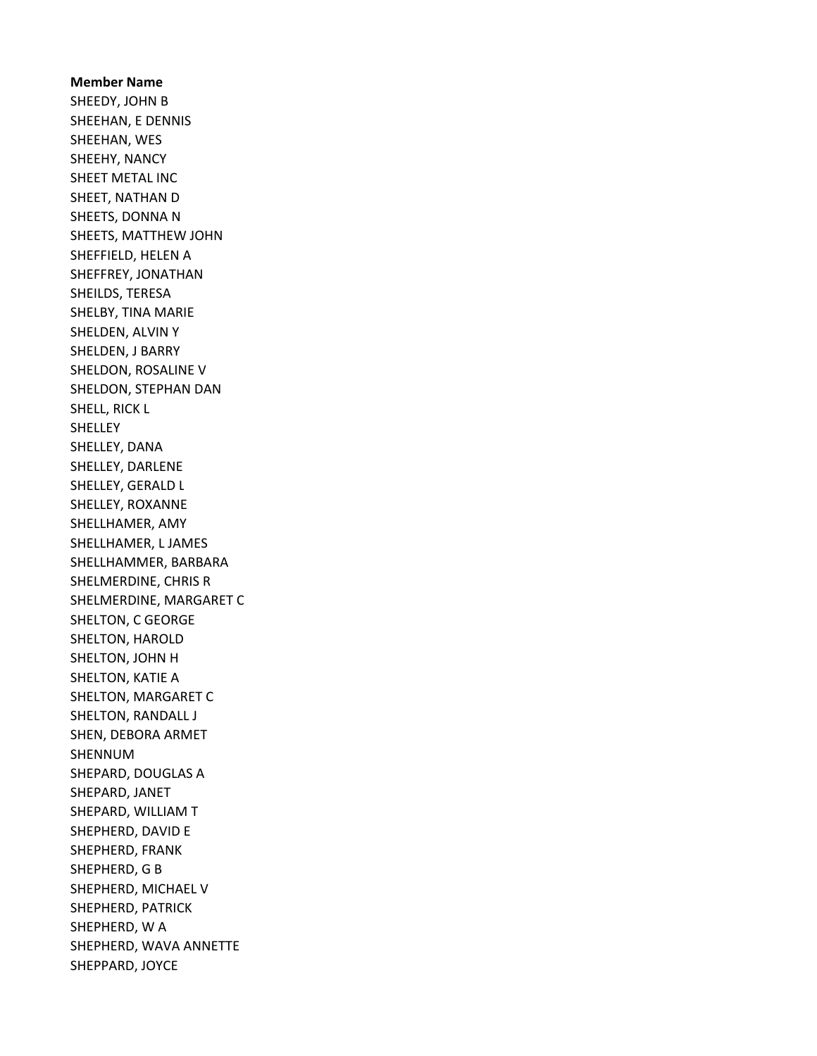Member Name SHEEDY, JOHN B SHEEHAN, E DENNIS SHEEHAN, WES SHEEHY, NANCY SHEET METAL INC SHEET, NATHAN D SHEETS, DONNA N SHEETS, MATTHEW JOHN SHEFFIELD, HELEN A SHEFFREY, JONATHAN SHEILDS, TERESA SHELBY, TINA MARIE SHELDEN, ALVIN Y SHELDEN, J BARRY SHELDON, ROSALINE V SHELDON, STEPHAN DAN SHELL, RICK L **SHELLEY** SHELLEY, DANA SHELLEY, DARLENE SHELLEY, GERALD L SHELLEY, ROXANNE SHELLHAMER, AMY SHELLHAMER, L JAMES SHELLHAMMER, BARBARA SHELMERDINE, CHRIS R SHELMERDINE, MARGARET C SHELTON, C GEORGE SHELTON, HAROLD SHELTON, JOHN H SHELTON, KATIE A SHELTON, MARGARET C SHELTON, RANDALL J SHEN, DEBORA ARMET SHENNUM SHEPARD, DOUGLAS A SHEPARD, JANET SHEPARD, WILLIAM T SHEPHERD, DAVID E SHEPHERD, FRANK SHEPHERD, G B SHEPHERD, MICHAEL V SHEPHERD, PATRICK SHEPHERD, W A SHEPHERD, WAVA ANNETTE SHEPPARD, JOYCE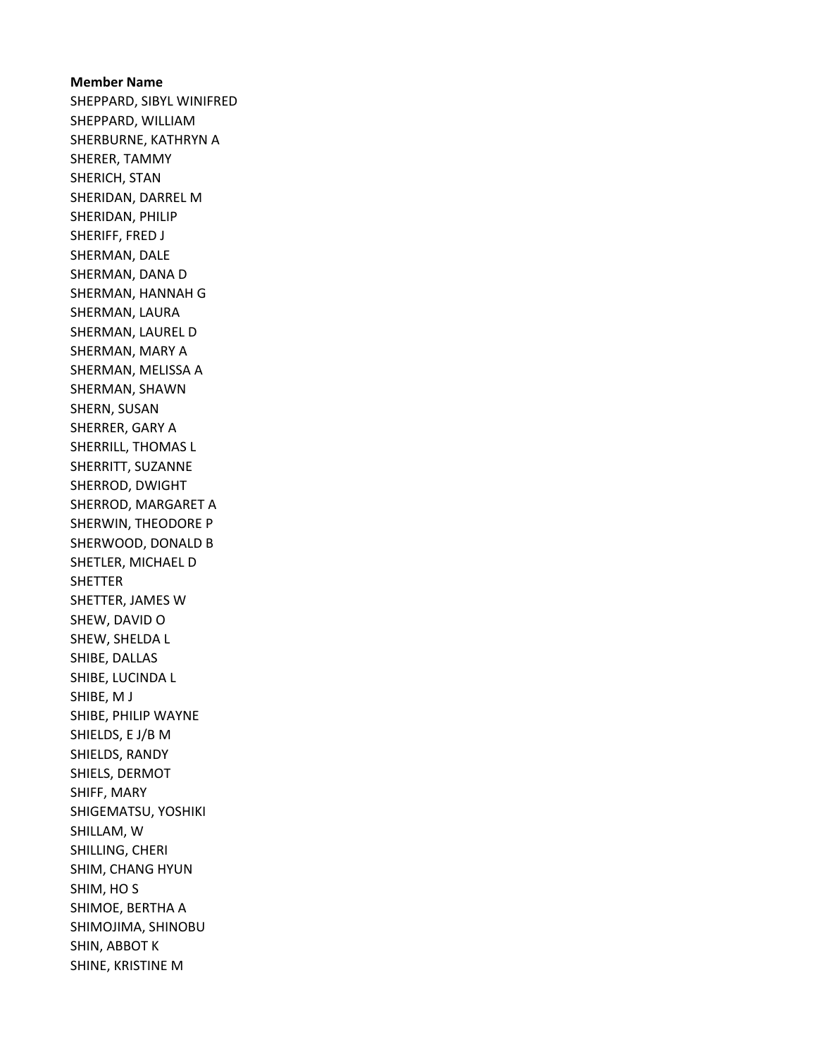Member Name SHEPPARD, SIBYL WINIFRED SHEPPARD, WILLIAM SHERBURNE, KATHRYN A SHERER, TAMMY SHERICH, STAN SHERIDAN, DARREL M SHERIDAN, PHILIP SHERIFF, FRED J SHERMAN, DALE SHERMAN, DANA D SHERMAN, HANNAH G SHERMAN, LAURA SHERMAN, LAUREL D SHERMAN, MARY A SHERMAN, MELISSA A SHERMAN, SHAWN SHERN, SUSAN SHERRER, GARY A SHERRILL, THOMAS L SHERRITT, SUZANNE SHERROD, DWIGHT SHERROD, MARGARET A SHERWIN, THEODORE P SHERWOOD, DONALD B SHETLER, MICHAEL D SHETTER SHETTER, JAMES W SHEW, DAVID O SHEW, SHELDA L SHIBE, DALLAS SHIBE, LUCINDA L SHIBE, M J SHIBE, PHILIP WAYNE SHIELDS, E J/B M SHIELDS, RANDY SHIELS, DERMOT SHIFF, MARY SHIGEMATSU, YOSHIKI SHILLAM, W SHILLING, CHERI SHIM, CHANG HYUN SHIM, HO S SHIMOE, BERTHA A SHIMOJIMA, SHINOBU SHIN, ABBOT K SHINE, KRISTINE M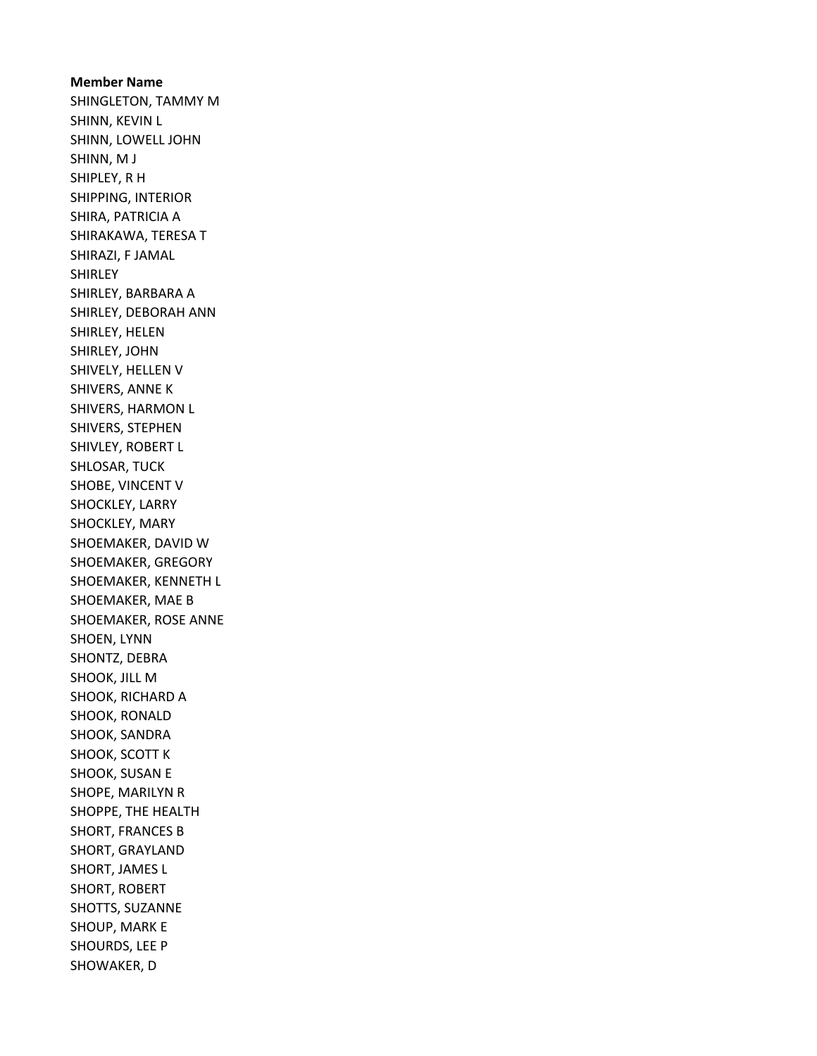Member Name SHINGLETON, TAMMY M SHINN, KEVIN L SHINN, LOWELL JOHN SHINN, M J SHIPLEY, R H SHIPPING, INTERIOR SHIRA, PATRICIA A SHIRAKAWA, TERESA T SHIRAZI, F JAMAL **SHIRLEY** SHIRLEY, BARBARA A SHIRLEY, DEBORAH ANN SHIRLEY, HELEN SHIRLEY, JOHN SHIVELY, HELLEN V SHIVERS, ANNE K SHIVERS, HARMON L SHIVERS, STEPHEN SHIVLEY, ROBERT L SHLOSAR, TUCK SHOBE, VINCENT V SHOCKLEY, LARRY SHOCKLEY, MARY SHOEMAKER, DAVID W SHOEMAKER, GREGORY SHOEMAKER, KENNETH L SHOEMAKER, MAE B SHOEMAKER, ROSE ANNE SHOEN, LYNN SHONTZ, DEBRA SHOOK, JILL M SHOOK, RICHARD A SHOOK, RONALD SHOOK, SANDRA SHOOK, SCOTT K SHOOK, SUSAN E SHOPE, MARILYN R SHOPPE, THE HEALTH SHORT, FRANCES B SHORT, GRAYLAND SHORT, JAMES L SHORT, ROBERT SHOTTS, SUZANNE SHOUP, MARK E SHOURDS, LEE P SHOWAKER, D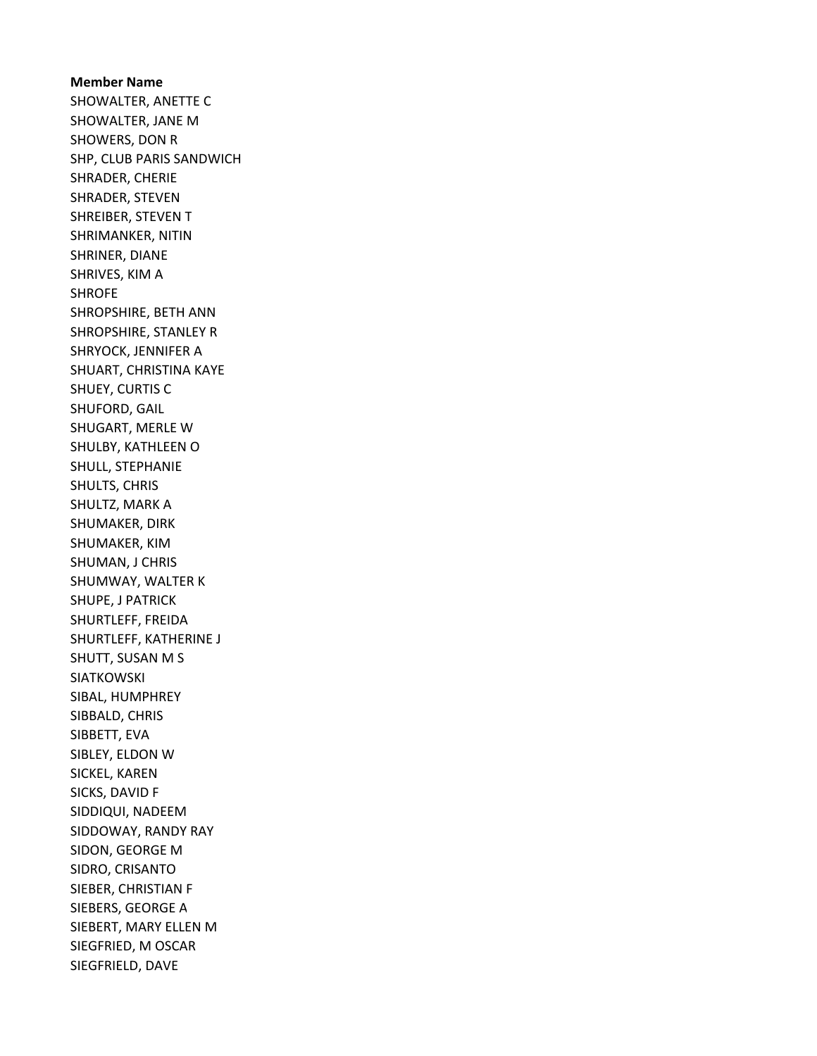Member Name SHOWALTER, ANETTE C SHOWALTER, JANE M SHOWERS, DON R SHP, CLUB PARIS SANDWICH SHRADER, CHERIE SHRADER, STEVEN SHREIBER, STEVEN T SHRIMANKER, NITIN SHRINER, DIANE SHRIVES, KIM A SHROFE SHROPSHIRE, BETH ANN SHROPSHIRE, STANLEY R SHRYOCK, JENNIFER A SHUART, CHRISTINA KAYE SHUEY, CURTIS C SHUFORD, GAIL SHUGART, MERLE W SHULBY, KATHLEEN O SHULL, STEPHANIE SHULTS, CHRIS SHULTZ, MARK A SHUMAKER, DIRK SHUMAKER, KIM SHUMAN, J CHRIS SHUMWAY, WALTER K SHUPE, J PATRICK SHURTLEFF, FREIDA SHURTLEFF, KATHERINE J SHUTT, SUSAN M S SIATKOWSKI SIBAL, HUMPHREY SIBBALD, CHRIS SIBBETT, EVA SIBLEY, ELDON W SICKEL, KAREN SICKS, DAVID F SIDDIQUI, NADEEM SIDDOWAY, RANDY RAY SIDON, GEORGE M SIDRO, CRISANTO SIEBER, CHRISTIAN F SIEBERS, GEORGE A SIEBERT, MARY ELLEN M SIEGFRIED, M OSCAR SIEGFRIELD, DAVE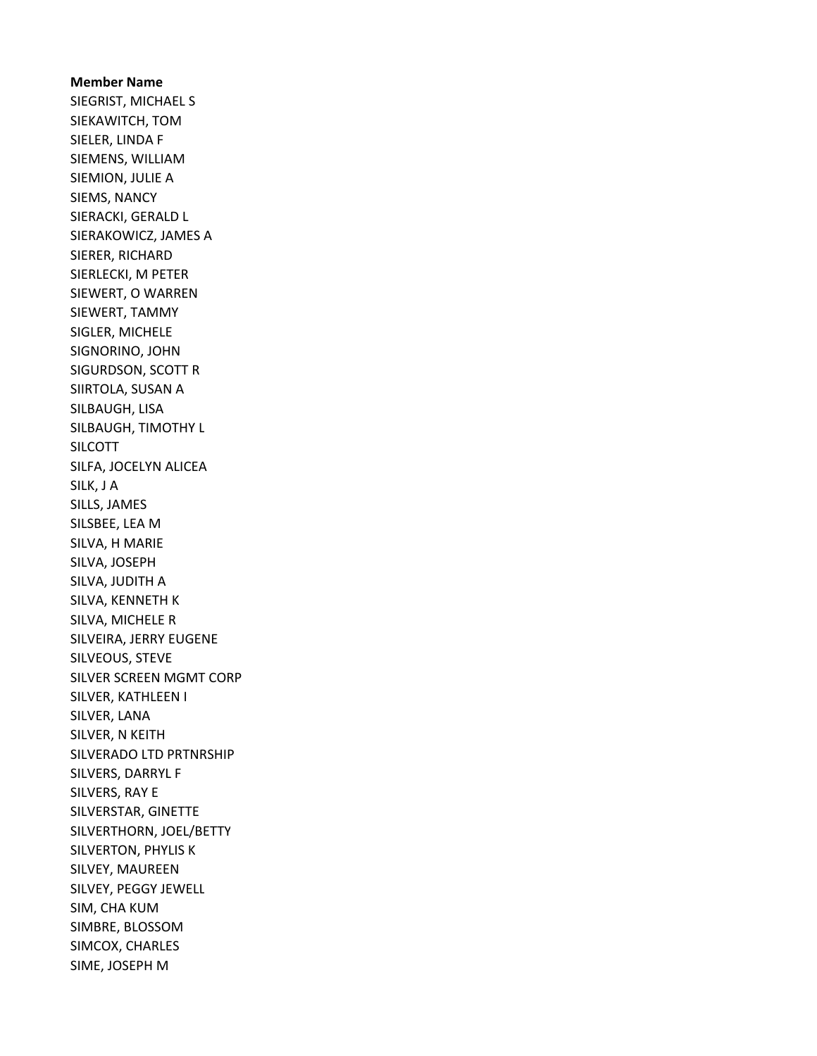Member Name SIEGRIST, MICHAEL S SIEKAWITCH, TOM SIELER, LINDA F SIEMENS, WILLIAM SIEMION, JULIE A SIEMS, NANCY SIERACKI, GERALD L SIERAKOWICZ, JAMES A SIERER, RICHARD SIERLECKI, M PETER SIEWERT, O WARREN SIEWERT, TAMMY SIGLER, MICHELE SIGNORINO, JOHN SIGURDSON, SCOTT R SIIRTOLA, SUSAN A SILBAUGH, LISA SILBAUGH, TIMOTHY L SILCOTT SILFA, JOCELYN ALICEA SILK, J A SILLS, JAMES SILSBEE, LEA M SILVA, H MARIE SILVA, JOSEPH SILVA, JUDITH A SILVA, KENNETH K SILVA, MICHELE R SILVEIRA, JERRY EUGENE SILVEOUS, STEVE SILVER SCREEN MGMT CORP SILVER, KATHLEEN I SILVER, LANA SILVER, N KEITH SILVERADO LTD PRTNRSHIP SILVERS, DARRYL F SILVERS, RAY E SILVERSTAR, GINETTE SILVERTHORN, JOEL/BETTY SILVERTON, PHYLIS K SILVEY, MAUREEN SILVEY, PEGGY JEWELL SIM, CHA KUM SIMBRE, BLOSSOM SIMCOX, CHARLES SIME, JOSEPH M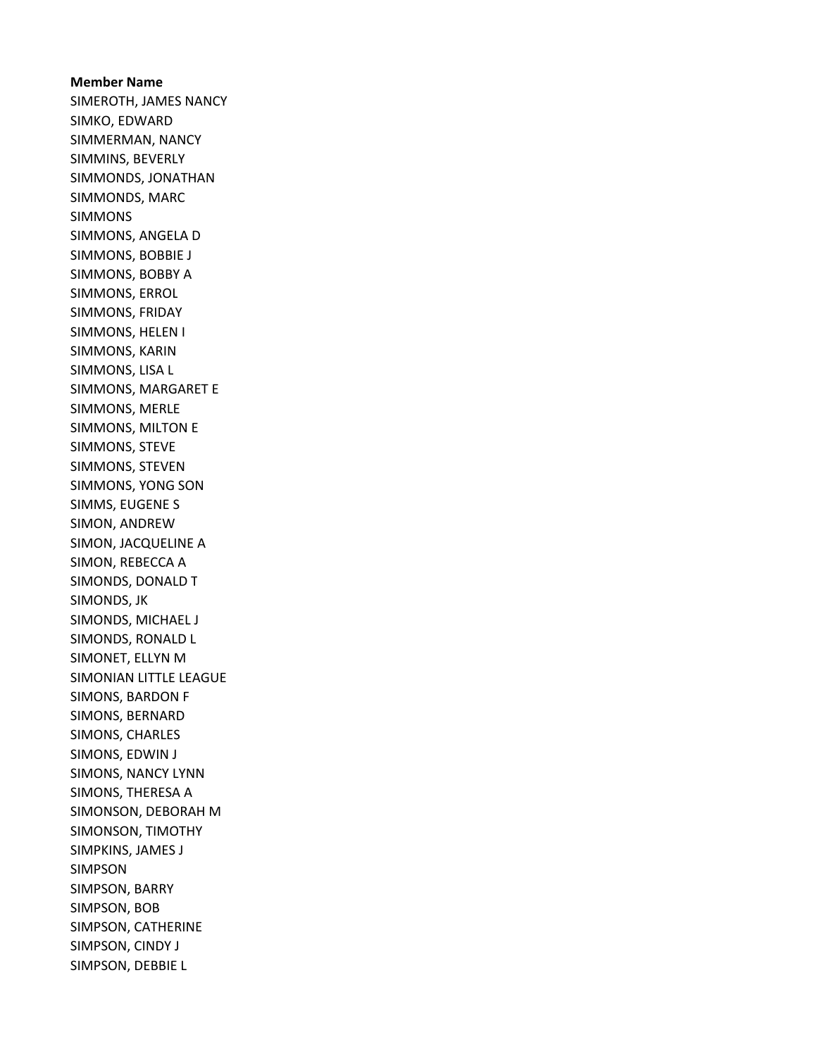Member Name SIMEROTH, JAMES NANCY SIMKO, EDWARD SIMMERMAN, NANCY SIMMINS, BEVERLY SIMMONDS, JONATHAN SIMMONDS, MARC SIMMONS SIMMONS, ANGELA D SIMMONS, BOBBIE J SIMMONS, BOBBY A SIMMONS, ERROL SIMMONS, FRIDAY SIMMONS, HELEN I SIMMONS, KARIN SIMMONS, LISA L SIMMONS, MARGARET E SIMMONS, MERLE SIMMONS, MILTON E SIMMONS, STEVE SIMMONS, STEVEN SIMMONS, YONG SON SIMMS, EUGENE S SIMON, ANDREW SIMON, JACQUELINE A SIMON, REBECCA A SIMONDS, DONALD T SIMONDS, JK SIMONDS, MICHAEL J SIMONDS, RONALD L SIMONET, ELLYN M SIMONIAN LITTLE LEAGUE SIMONS, BARDON F SIMONS, BERNARD SIMONS, CHARLES SIMONS, EDWIN J SIMONS, NANCY LYNN SIMONS, THERESA A SIMONSON, DEBORAH M SIMONSON, TIMOTHY SIMPKINS, JAMES J SIMPSON SIMPSON, BARRY SIMPSON, BOB SIMPSON, CATHERINE SIMPSON, CINDY J SIMPSON, DEBBIE L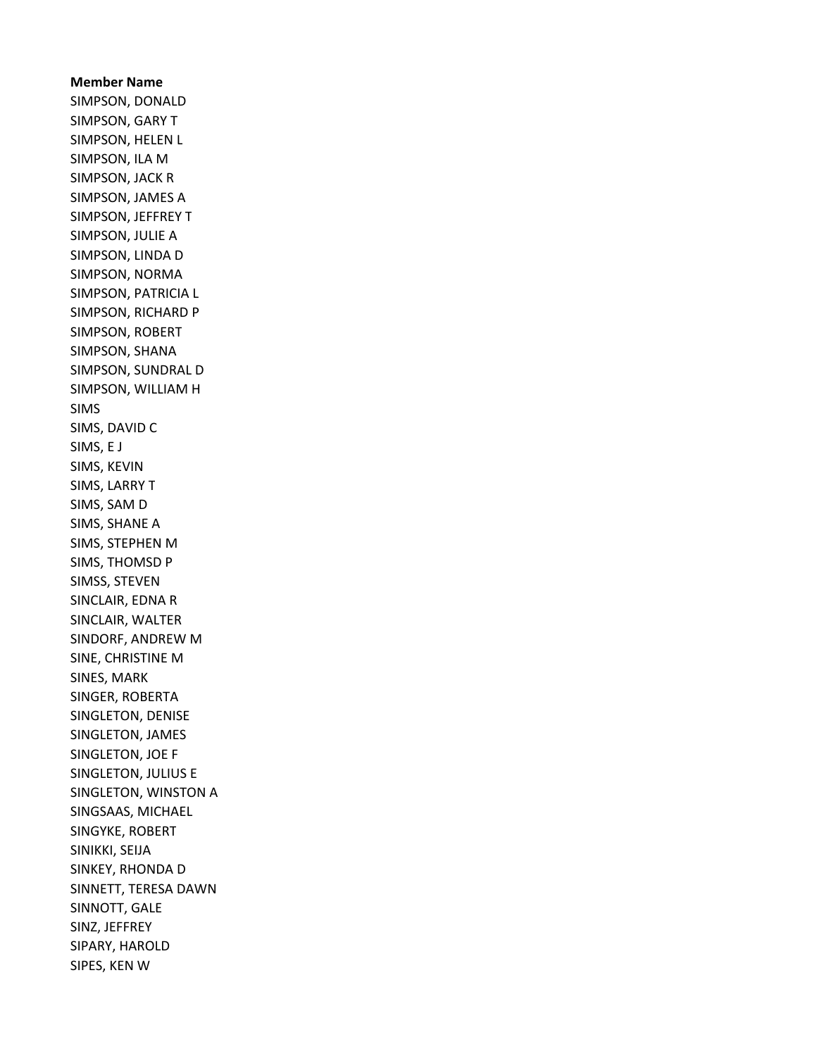Member Name SIMPSON, DONALD SIMPSON, GARY T SIMPSON, HELEN L SIMPSON, ILA M SIMPSON, JACK R SIMPSON, JAMES A SIMPSON, JEFFREY T SIMPSON, JULIE A SIMPSON, LINDA D SIMPSON, NORMA SIMPSON, PATRICIA L SIMPSON, RICHARD P SIMPSON, ROBERT SIMPSON, SHANA SIMPSON, SUNDRAL D SIMPSON, WILLIAM H SIMS SIMS, DAVID C SIMS, E J SIMS, KEVIN SIMS, LARRY T SIMS, SAM D SIMS, SHANE A SIMS, STEPHEN M SIMS, THOMSD P SIMSS, STEVEN SINCLAIR, EDNA R SINCLAIR, WALTER SINDORF, ANDREW M SINE, CHRISTINE M SINES, MARK SINGER, ROBERTA SINGLETON, DENISE SINGLETON, JAMES SINGLETON, JOE F SINGLETON, JULIUS E SINGLETON, WINSTON A SINGSAAS, MICHAEL SINGYKE, ROBERT SINIKKI, SEIJA SINKEY, RHONDA D SINNETT, TERESA DAWN SINNOTT, GALE SINZ, JEFFREY SIPARY, HAROLD SIPES, KEN W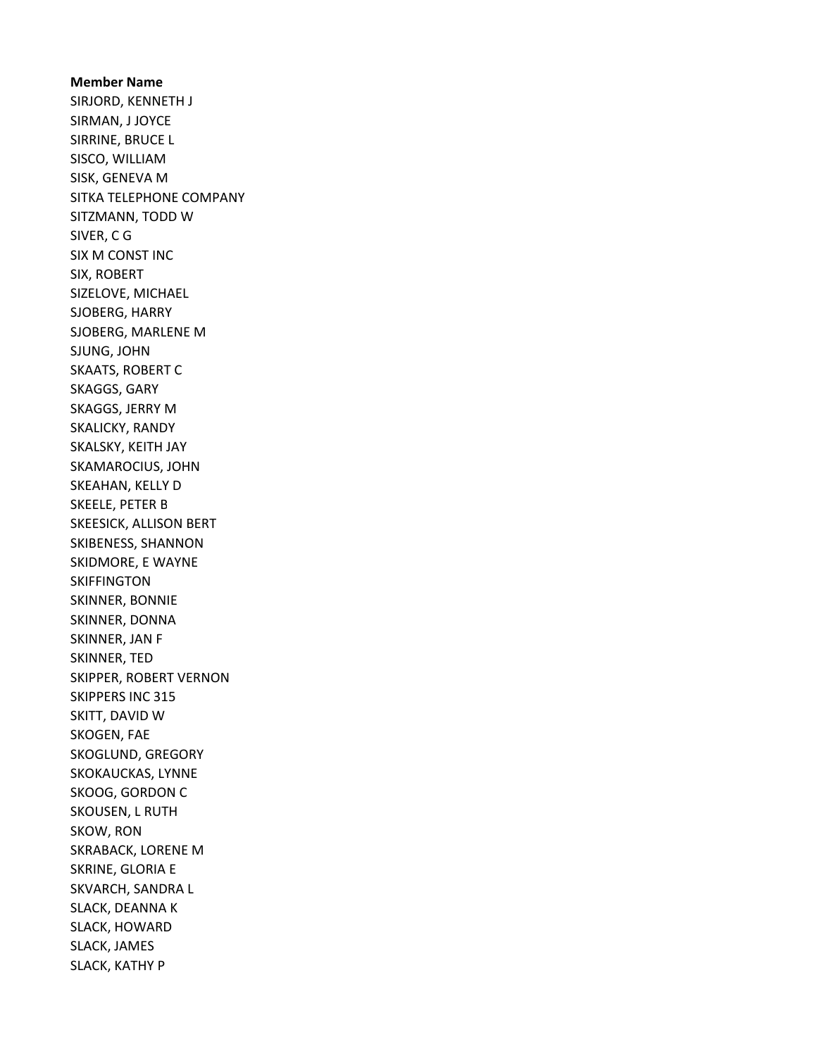Member Name SIRJORD, KENNETH J SIRMAN, J JOYCE SIRRINE, BRUCE L SISCO, WILLIAM SISK, GENEVA M SITKA TELEPHONE COMPANY SITZMANN, TODD W SIVER, C G SIX M CONST INC SIX, ROBERT SIZELOVE, MICHAEL SJOBERG, HARRY SJOBERG, MARLENE M SJUNG, JOHN SKAATS, ROBERT C SKAGGS, GARY SKAGGS, JERRY M SKALICKY, RANDY SKALSKY, KEITH JAY SKAMAROCIUS, JOHN SKEAHAN, KELLY D SKEELE, PETER B SKEESICK, ALLISON BERT SKIBENESS, SHANNON SKIDMORE, E WAYNE SKIFFINGTON SKINNER, BONNIE SKINNER, DONNA SKINNER, JAN F SKINNER, TED SKIPPER, ROBERT VERNON SKIPPERS INC 315 SKITT, DAVID W SKOGEN, FAE SKOGLUND, GREGORY SKOKAUCKAS, LYNNE SKOOG, GORDON C SKOUSEN, L RUTH SKOW, RON SKRABACK, LORENE M SKRINE, GLORIA E SKVARCH, SANDRA L SLACK, DEANNA K SLACK, HOWARD SLACK, JAMES SLACK, KATHY P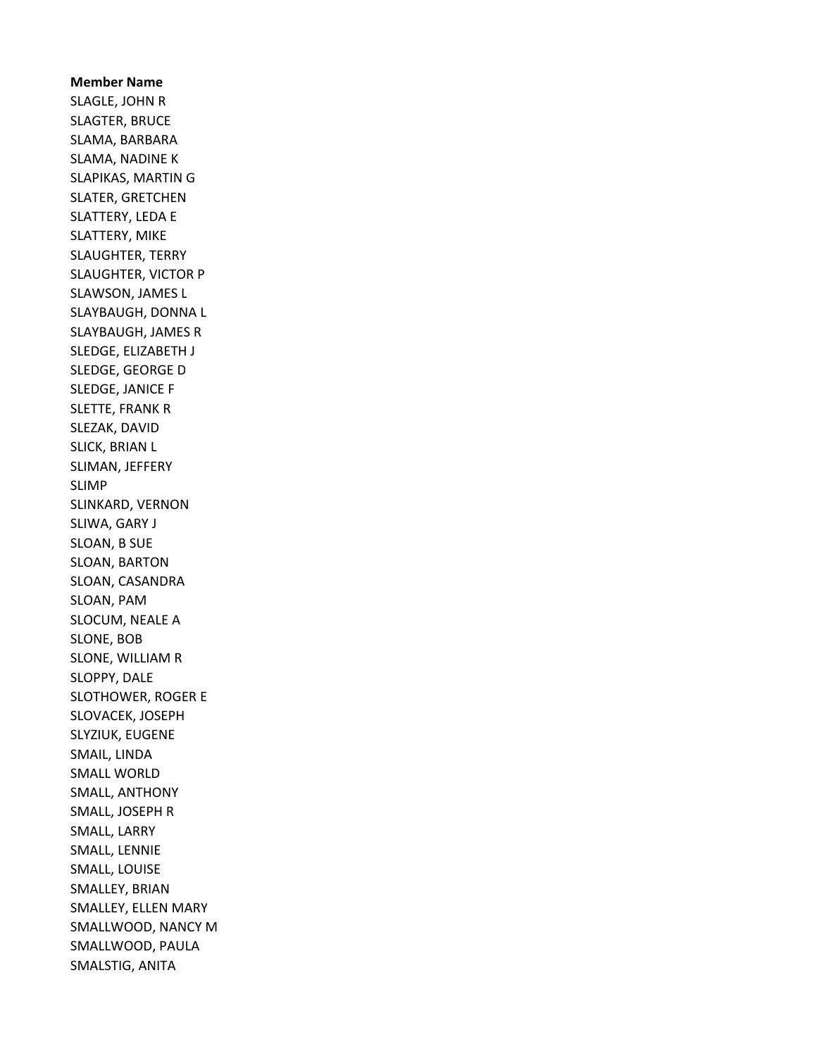Member Name SLAGLE, JOHN R SLAGTER, BRUCE SLAMA, BARBARA SLAMA, NADINE K SLAPIKAS, MARTIN G SLATER, GRETCHEN SLATTERY, LEDA E SLATTERY, MIKE SLAUGHTER, TERRY SLAUGHTER, VICTOR P SLAWSON, JAMES L SLAYBAUGH, DONNA L SLAYBAUGH, JAMES R SLEDGE, ELIZABETH J SLEDGE, GEORGE D SLEDGE, JANICE F SLETTE, FRANK R SLEZAK, DAVID SLICK, BRIAN L SLIMAN, JEFFERY SLIMP SLINKARD, VERNON SLIWA, GARY J SLOAN, B SUE SLOAN, BARTON SLOAN, CASANDRA SLOAN, PAM SLOCUM, NEALE A SLONE, BOB SLONE, WILLIAM R SLOPPY, DALE SLOTHOWER, ROGER E SLOVACEK, JOSEPH SLYZIUK, EUGENE SMAIL, LINDA SMALL WORLD SMALL, ANTHONY SMALL, JOSEPH R SMALL, LARRY SMALL, LENNIE SMALL, LOUISE SMALLEY, BRIAN SMALLEY, ELLEN MARY SMALLWOOD, NANCY M SMALLWOOD, PAULA SMALSTIG, ANITA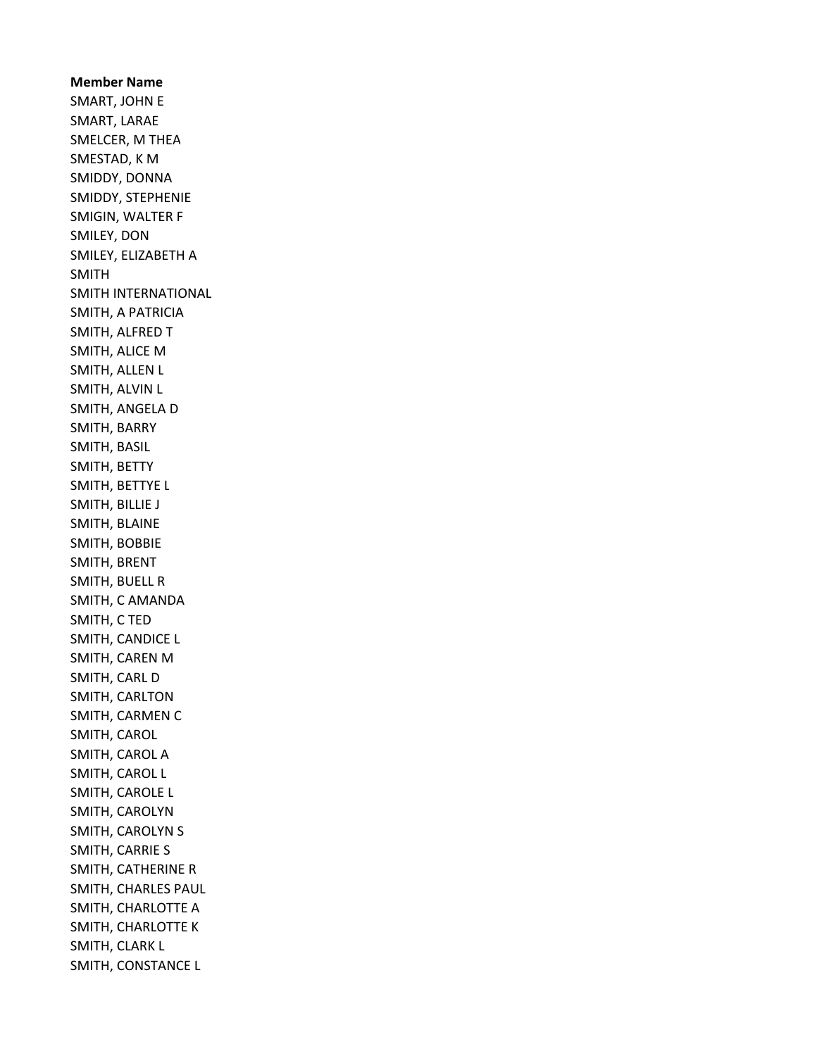Member Name SMART, JOHN E SMART, LARAE SMELCER, M THEA SMESTAD, K M SMIDDY, DONNA SMIDDY, STEPHENIE SMIGIN, WALTER F SMILEY, DON SMILEY, ELIZABETH A SMITH SMITH INTERNATIONAL SMITH, A PATRICIA SMITH, ALFRED T SMITH, ALICE M SMITH, ALLEN L SMITH, ALVIN L SMITH, ANGELA D SMITH, BARRY SMITH, BASIL SMITH, BETTY SMITH, BETTYE L SMITH, BILLIE J SMITH, BLAINE SMITH, BOBBIE SMITH, BRENT SMITH, BUELL R SMITH, C AMANDA SMITH, C TED SMITH, CANDICE L SMITH, CAREN M SMITH, CARL D SMITH, CARLTON SMITH, CARMEN C SMITH, CAROL SMITH, CAROL A SMITH, CAROL L SMITH, CAROLE L SMITH, CAROLYN SMITH, CAROLYN S SMITH, CARRIE S SMITH, CATHERINE R SMITH, CHARLES PAUL SMITH, CHARLOTTE A SMITH, CHARLOTTE K SMITH, CLARK L SMITH, CONSTANCE L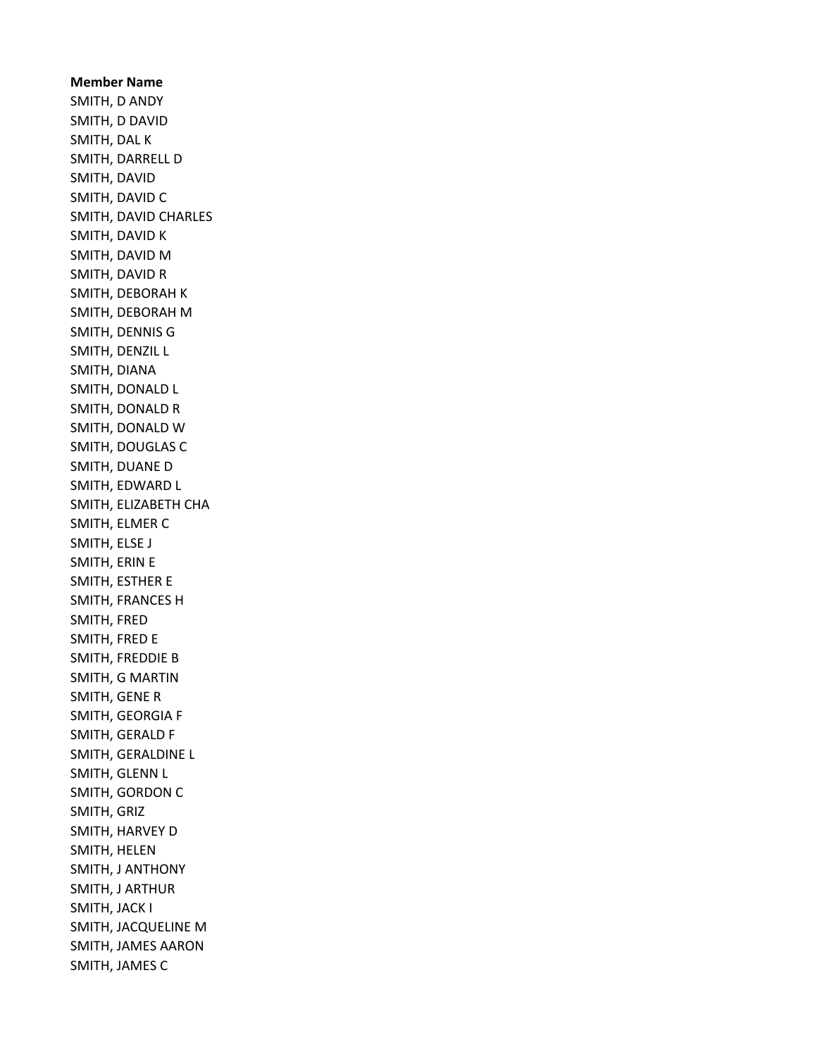Member Name SMITH, D ANDY SMITH, D DAVID SMITH, DAL K SMITH, DARRELL D SMITH, DAVID SMITH, DAVID C SMITH, DAVID CHARLES SMITH, DAVID K SMITH, DAVID M SMITH, DAVID R SMITH, DEBORAH K SMITH, DEBORAH M SMITH, DENNIS G SMITH, DENZIL L SMITH, DIANA SMITH, DONALD L SMITH, DONALD R SMITH, DONALD W SMITH, DOUGLAS C SMITH, DUANE D SMITH, EDWARD L SMITH, ELIZABETH CHA SMITH, ELMER C SMITH, ELSE J SMITH, ERIN E SMITH, ESTHER E SMITH, FRANCES H SMITH, FRED SMITH, FRED E SMITH, FREDDIE B SMITH, G MARTIN SMITH, GENE R SMITH, GEORGIA F SMITH, GERALD F SMITH, GERALDINE L SMITH, GLENN L SMITH, GORDON C SMITH, GRIZ SMITH, HARVEY D SMITH, HELEN SMITH, J ANTHONY SMITH, J ARTHUR SMITH, JACK I SMITH, JACQUELINE M SMITH, JAMES AARON SMITH, JAMES C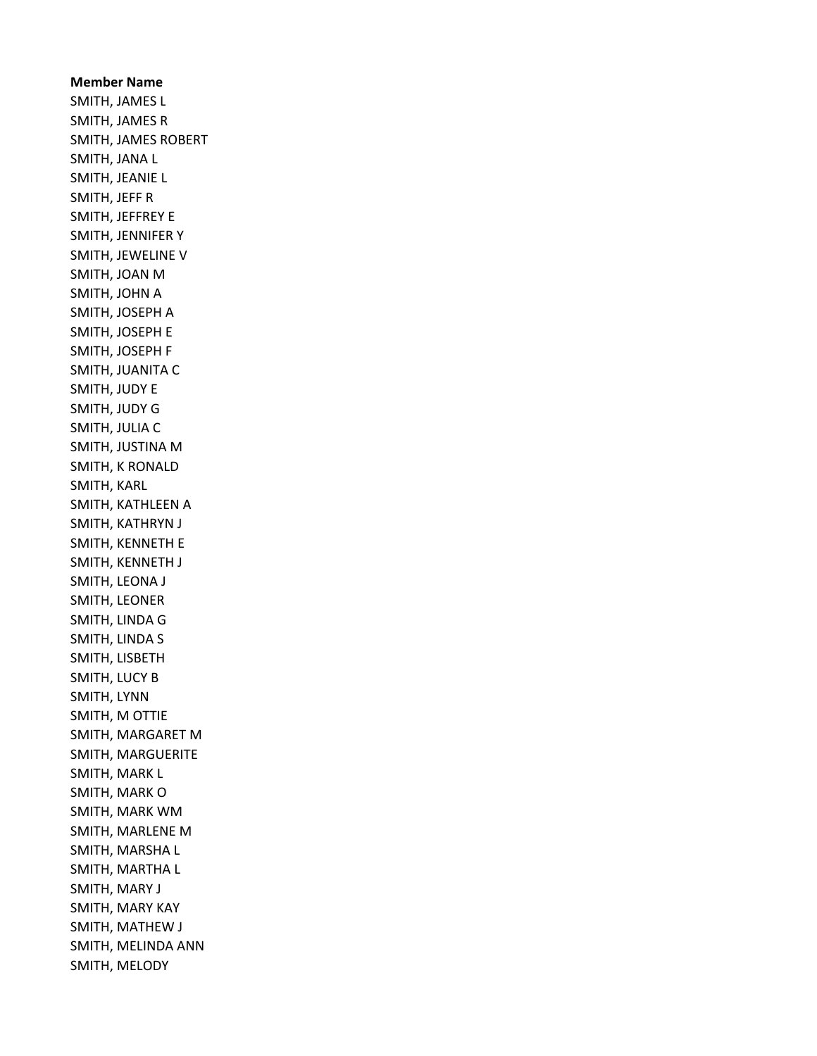Member Name SMITH, JAMES L SMITH, JAMES R SMITH, JAMES ROBERT SMITH, JANA L SMITH, JEANIE L SMITH, JEFF R SMITH, JEFFREY E SMITH, JENNIFER Y SMITH, JEWELINE V SMITH, JOAN M SMITH, JOHN A SMITH, JOSEPH A SMITH, JOSEPH E SMITH, JOSEPH F SMITH, JUANITA C SMITH, JUDY E SMITH, JUDY G SMITH, JULIA C SMITH, JUSTINA M SMITH, K RONALD SMITH, KARL SMITH, KATHLEEN A SMITH, KATHRYN J SMITH, KENNETH E SMITH, KENNETH J SMITH, LEONA J SMITH, LEONER SMITH, LINDA G SMITH, LINDA S SMITH, LISBETH SMITH, LUCY B SMITH, LYNN SMITH, M OTTIE SMITH, MARGARET M SMITH, MARGUERITE SMITH, MARK L SMITH, MARK O SMITH, MARK WM SMITH, MARLENE M SMITH, MARSHA L SMITH, MARTHA L SMITH, MARY J SMITH, MARY KAY SMITH, MATHEW J SMITH, MELINDA ANN SMITH, MELODY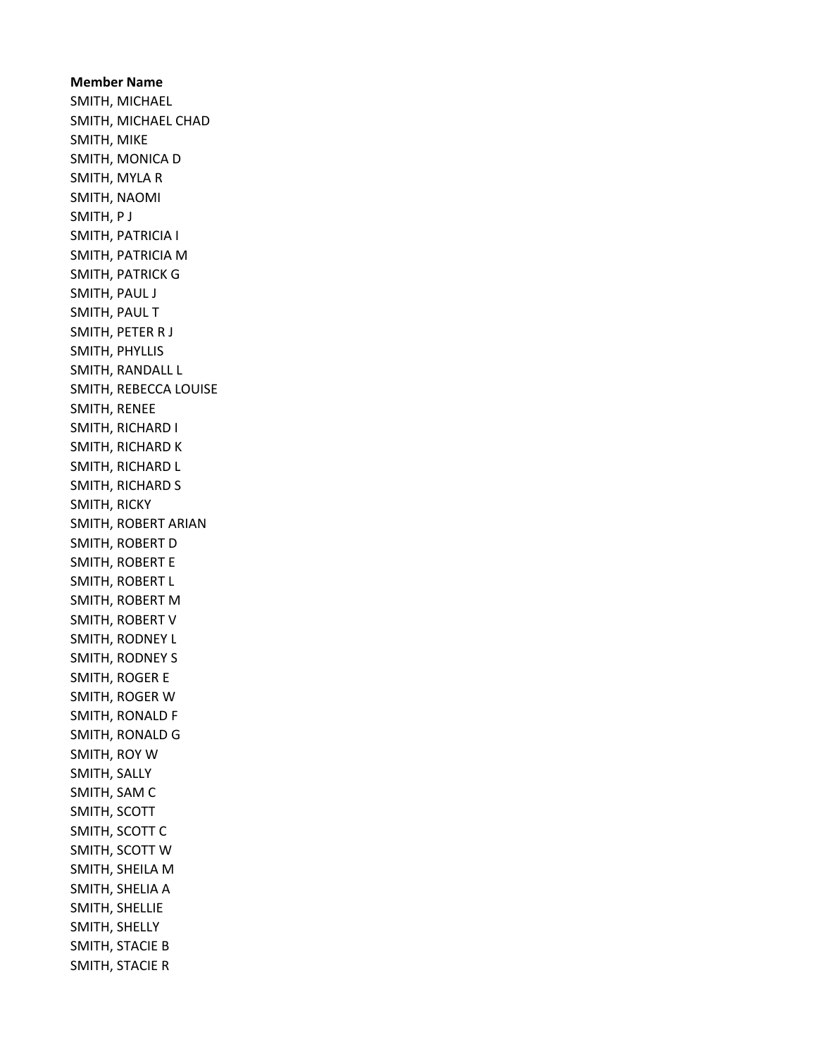Member Name SMITH, MICHAEL SMITH, MICHAEL CHAD SMITH, MIKE SMITH, MONICA D SMITH, MYLA R SMITH, NAOMI SMITH, P J SMITH, PATRICIA I SMITH, PATRICIA M SMITH, PATRICK G SMITH, PAUL J SMITH, PAUL T SMITH, PETER R J SMITH, PHYLLIS SMITH, RANDALL L SMITH, REBECCA LOUISE SMITH, RENEE SMITH, RICHARD I SMITH, RICHARD K SMITH, RICHARD L SMITH, RICHARD S SMITH, RICKY SMITH, ROBERT ARIAN SMITH, ROBERT D SMITH, ROBERT E SMITH, ROBERT L SMITH, ROBERT M SMITH, ROBERT V SMITH, RODNEY L SMITH, RODNEY S SMITH, ROGER E SMITH, ROGER W SMITH, RONALD F SMITH, RONALD G SMITH, ROY W SMITH, SALLY SMITH, SAM C SMITH, SCOTT SMITH, SCOTT C SMITH, SCOTT W SMITH, SHEILA M SMITH, SHELIA A SMITH, SHELLIE SMITH, SHELLY SMITH, STACIE B SMITH, STACIE R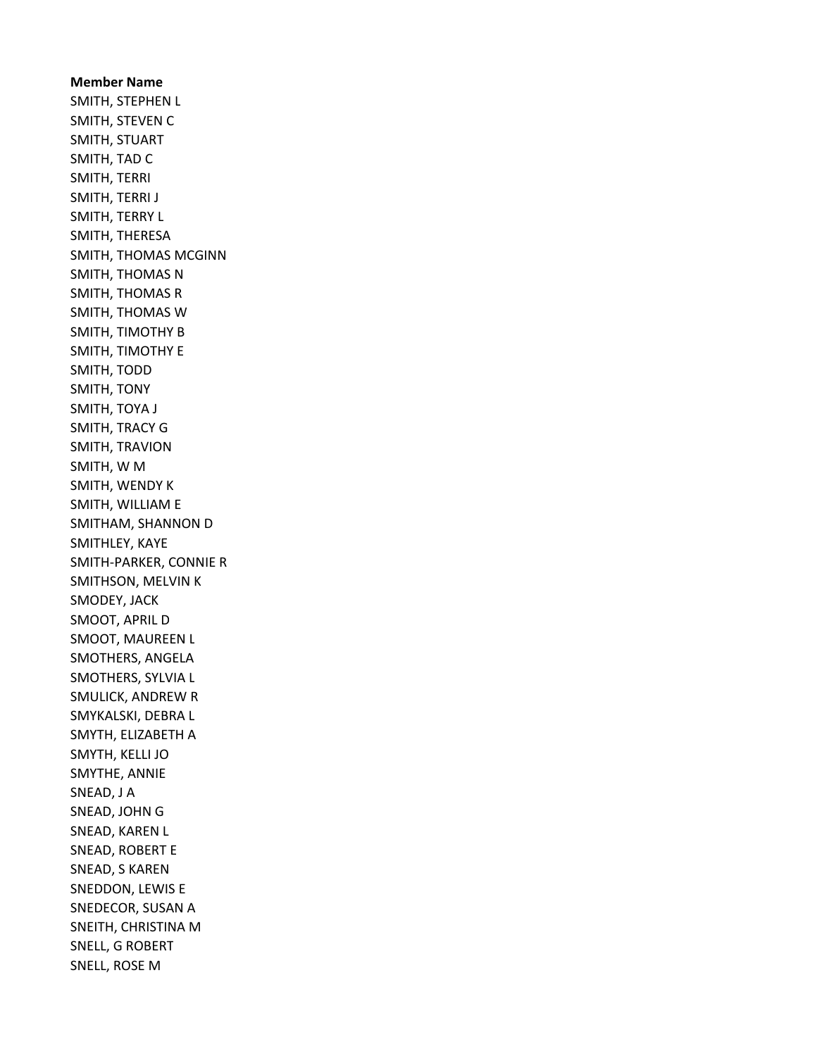Member Name SMITH, STEPHEN L SMITH, STEVEN C SMITH, STUART SMITH, TAD C SMITH, TERRI SMITH, TERRI J SMITH, TERRY L SMITH, THERESA SMITH, THOMAS MCGINN SMITH, THOMAS N SMITH, THOMAS R SMITH, THOMAS W SMITH, TIMOTHY B SMITH, TIMOTHY E SMITH, TODD SMITH, TONY SMITH, TOYA J SMITH, TRACY G SMITH, TRAVION SMITH, W M SMITH, WENDY K SMITH, WILLIAM E SMITHAM, SHANNON D SMITHLEY, KAYE SMITH-PARKER, CONNIE R SMITHSON, MELVIN K SMODEY, JACK SMOOT, APRIL D SMOOT, MAUREEN L SMOTHERS, ANGELA SMOTHERS, SYLVIA L SMULICK, ANDREW R SMYKALSKI, DEBRA L SMYTH, ELIZABETH A SMYTH, KELLI JO SMYTHE, ANNIE SNEAD, J A SNEAD, JOHN G SNEAD, KAREN L SNEAD, ROBERT E SNEAD, S KAREN SNEDDON, LEWIS E SNEDECOR, SUSAN A SNEITH, CHRISTINA M SNELL, G ROBERT SNELL, ROSE M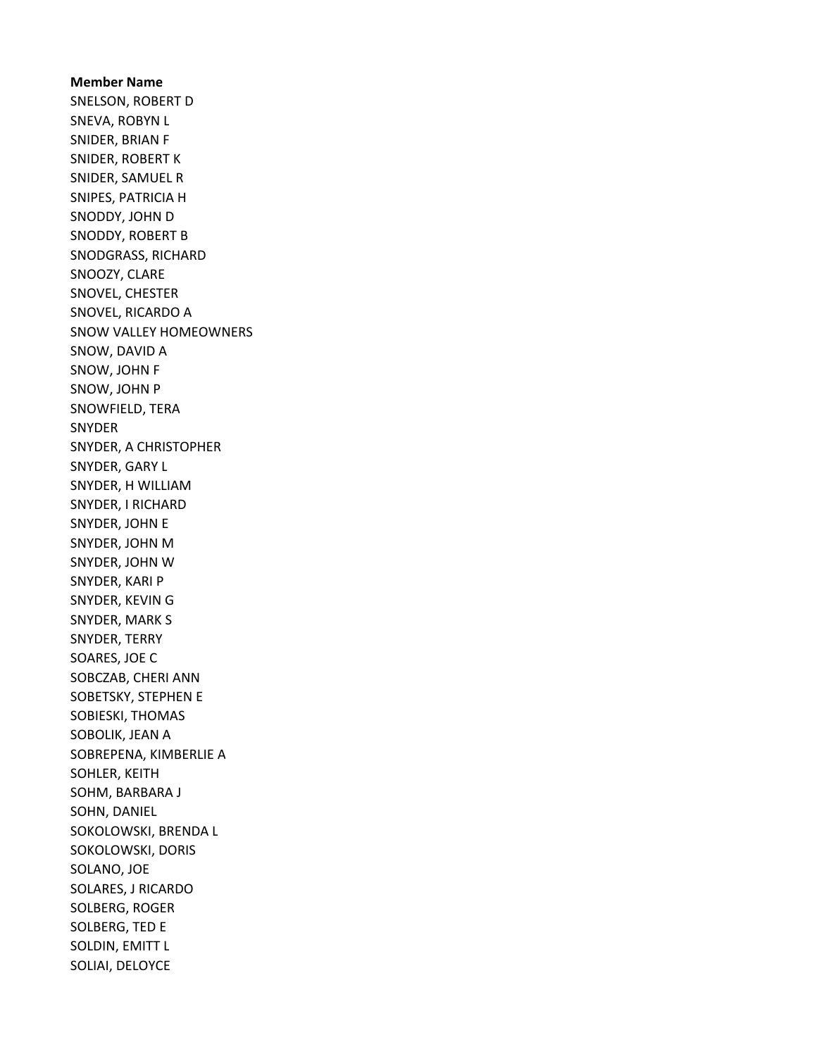Member Name SNELSON, ROBERT D SNEVA, ROBYN L SNIDER, BRIAN F SNIDER, ROBERT K SNIDER, SAMUEL R SNIPES, PATRICIA H SNODDY, JOHN D SNODDY, ROBERT B SNODGRASS, RICHARD SNOOZY, CLARE SNOVEL, CHESTER SNOVEL, RICARDO A SNOW VALLEY HOMEOWNERS SNOW, DAVID A SNOW, JOHN F SNOW, JOHN P SNOWFIELD, TERA SNYDER SNYDER, A CHRISTOPHER SNYDER, GARY L SNYDER, H WILLIAM SNYDER, I RICHARD SNYDER, JOHN E SNYDER, JOHN M SNYDER, JOHN W SNYDER, KARI P SNYDER, KEVIN G SNYDER, MARK S SNYDER, TERRY SOARES, JOE C SOBCZAB, CHERI ANN SOBETSKY, STEPHEN E SOBIESKI, THOMAS SOBOLIK, JEAN A SOBREPENA, KIMBERLIE A SOHLER, KEITH SOHM, BARBARA J SOHN, DANIEL SOKOLOWSKI, BRENDA L SOKOLOWSKI, DORIS SOLANO, JOE SOLARES, J RICARDO SOLBERG, ROGER SOLBERG, TED E SOLDIN, EMITT L SOLIAI, DELOYCE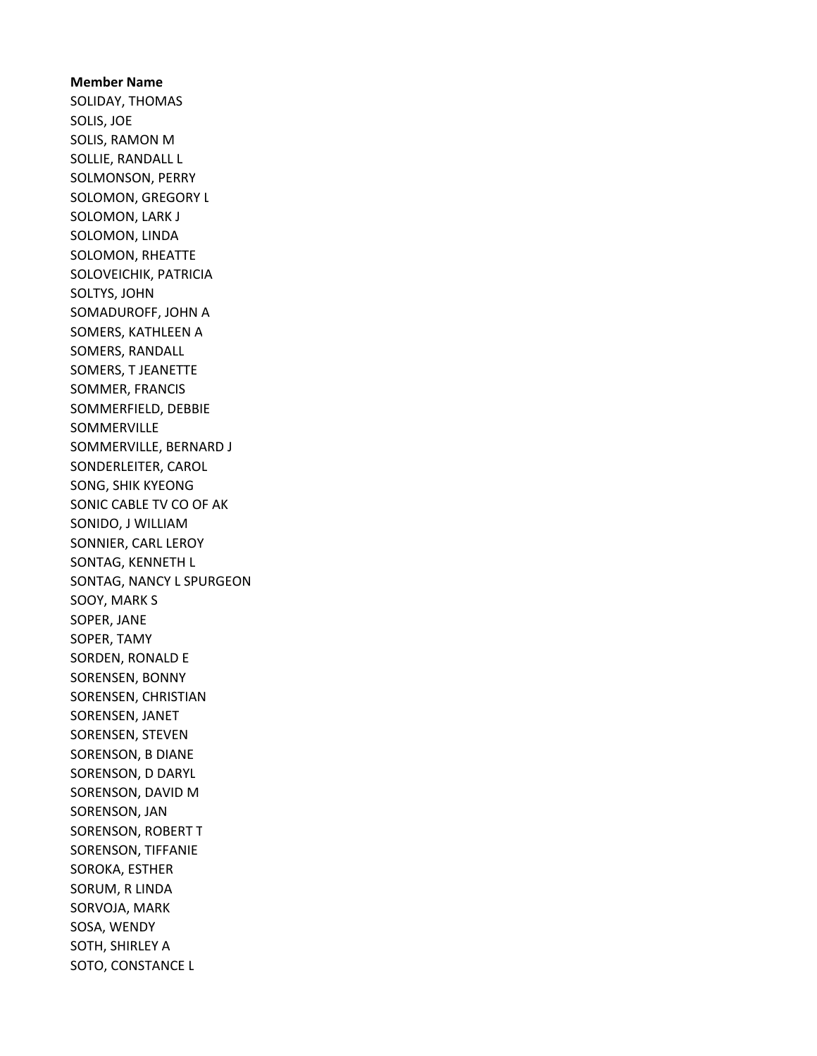Member Name SOLIDAY, THOMAS SOLIS, JOE SOLIS, RAMON M SOLLIE, RANDALL L SOLMONSON, PERRY SOLOMON, GREGORY L SOLOMON, LARK J SOLOMON, LINDA SOLOMON, RHEATTE SOLOVEICHIK, PATRICIA SOLTYS, JOHN SOMADUROFF, JOHN A SOMERS, KATHLEEN A SOMERS, RANDALL SOMERS, T JEANETTE SOMMER, FRANCIS SOMMERFIELD, DEBBIE SOMMERVILLE SOMMERVILLE, BERNARD J SONDERLEITER, CAROL SONG, SHIK KYEONG SONIC CABLE TV CO OF AK SONIDO, J WILLIAM SONNIER, CARL LEROY SONTAG, KENNETH L SONTAG, NANCY L SPURGEON SOOY, MARK S SOPER, JANE SOPER, TAMY SORDEN, RONALD E SORENSEN, BONNY SORENSEN, CHRISTIAN SORENSEN, JANET SORENSEN, STEVEN SORENSON, B DIANE SORENSON, D DARYL SORENSON, DAVID M SORENSON, JAN SORENSON, ROBERT T SORENSON, TIFFANIE SOROKA, ESTHER SORUM, R LINDA SORVOJA, MARK SOSA, WENDY SOTH, SHIRLEY A SOTO, CONSTANCE L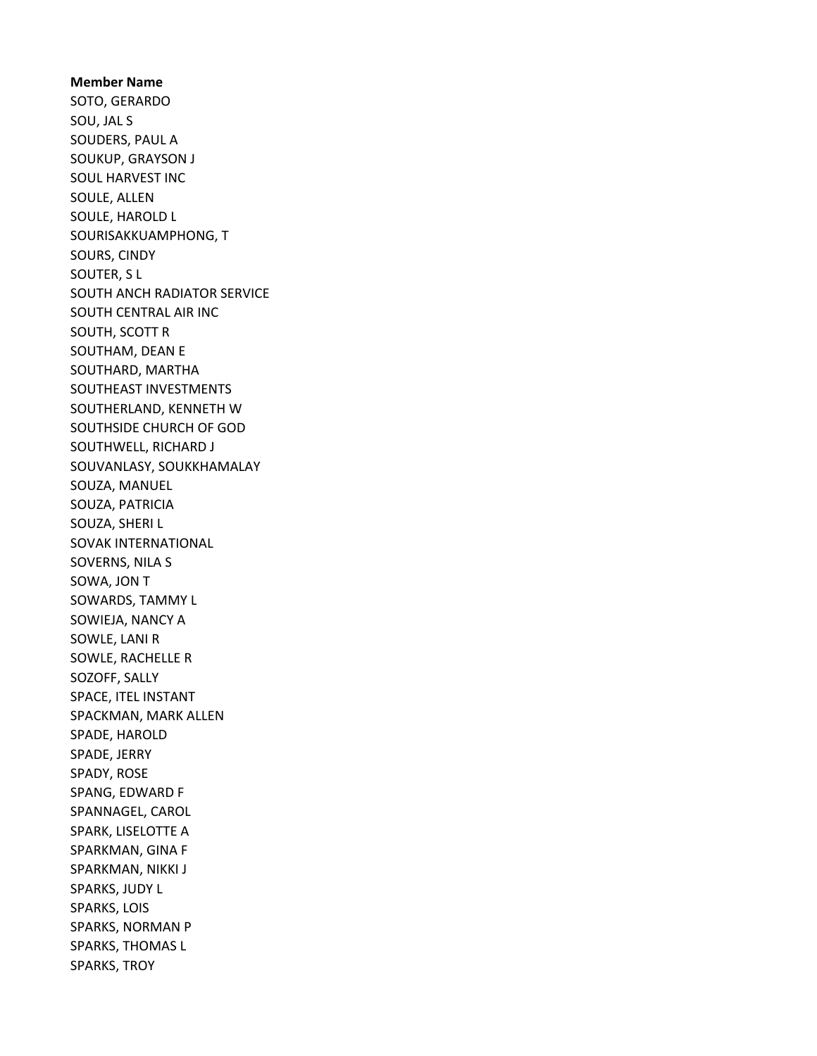Member Name SOTO, GERARDO SOU, JAL S SOUDERS, PAUL A SOUKUP, GRAYSON J SOUL HARVEST INC SOULE, ALLEN SOULE, HAROLD L SOURISAKKUAMPHONG, T SOURS, CINDY SOUTER, S L SOUTH ANCH RADIATOR SERVICE SOUTH CENTRAL AIR INC SOUTH, SCOTT R SOUTHAM, DEAN E SOUTHARD, MARTHA SOUTHEAST INVESTMENTS SOUTHERLAND, KENNETH W SOUTHSIDE CHURCH OF GOD SOUTHWELL, RICHARD J SOUVANLASY, SOUKKHAMALAY SOUZA, MANUEL SOUZA, PATRICIA SOUZA, SHERI L SOVAK INTERNATIONAL SOVERNS, NILA S SOWA, JON T SOWARDS, TAMMY L SOWIEJA, NANCY A SOWLE, LANI R SOWLE, RACHELLE R SOZOFF, SALLY SPACE, ITEL INSTANT SPACKMAN, MARK ALLEN SPADE, HAROLD SPADE, JERRY SPADY, ROSE SPANG, EDWARD F SPANNAGEL, CAROL SPARK, LISELOTTE A SPARKMAN, GINA F SPARKMAN, NIKKI J SPARKS, JUDY L SPARKS, LOIS SPARKS, NORMAN P SPARKS, THOMAS L SPARKS, TROY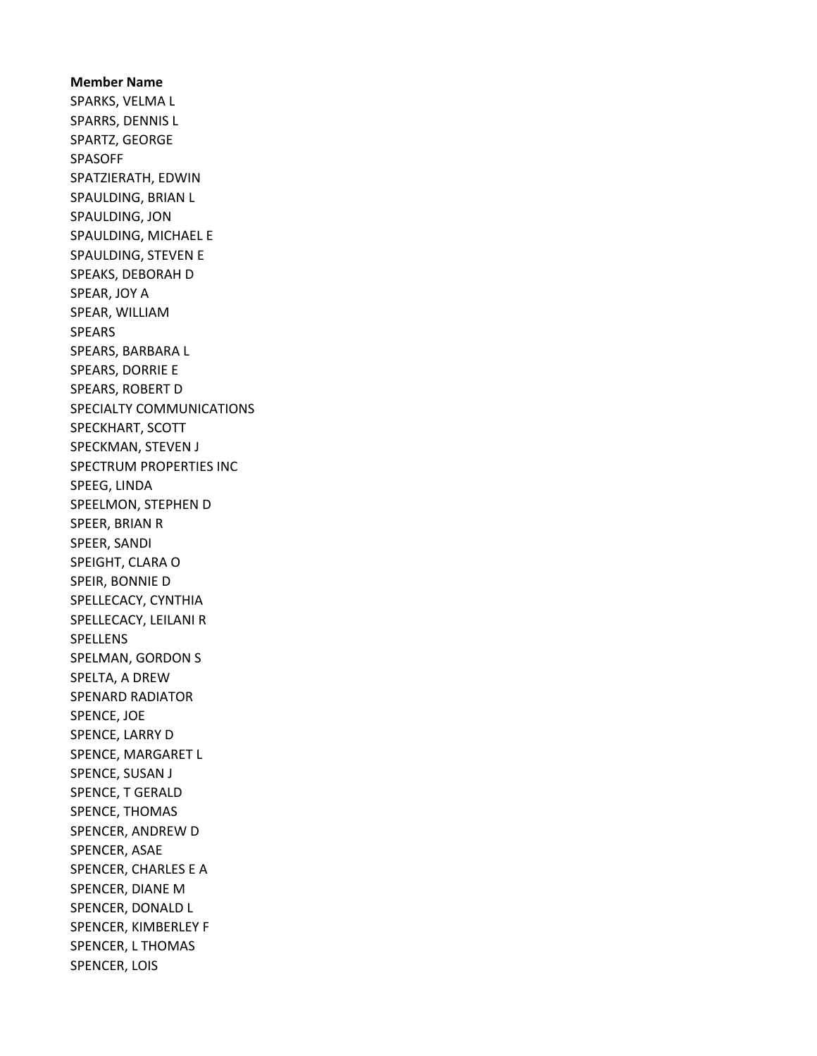Member Name SPARKS, VELMA L SPARRS, DENNIS L SPARTZ, GEORGE SPASOFF SPATZIERATH, EDWIN SPAULDING, BRIAN L SPAULDING, JON SPAULDING, MICHAEL E SPAULDING, STEVEN E SPEAKS, DEBORAH D SPEAR, JOY A SPEAR, WILLIAM SPEARS SPEARS, BARBARA L SPEARS, DORRIE E SPEARS, ROBERT D SPECIALTY COMMUNICATIONS SPECKHART, SCOTT SPECKMAN, STEVEN J SPECTRUM PROPERTIES INC SPEEG, LINDA SPEELMON, STEPHEN D SPEER, BRIAN R SPEER, SANDI SPEIGHT, CLARA O SPEIR, BONNIE D SPELLECACY, CYNTHIA SPELLECACY, LEILANI R SPELLENS SPELMAN, GORDON S SPELTA, A DREW SPENARD RADIATOR SPENCE, JOE SPENCE, LARRY D SPENCE, MARGARET L SPENCE, SUSAN J SPENCE, T GERALD SPENCE, THOMAS SPENCER, ANDREW D SPENCER, ASAE SPENCER, CHARLES E A SPENCER, DIANE M SPENCER, DONALD L SPENCER, KIMBERLEY F SPENCER, L THOMAS SPENCER, LOIS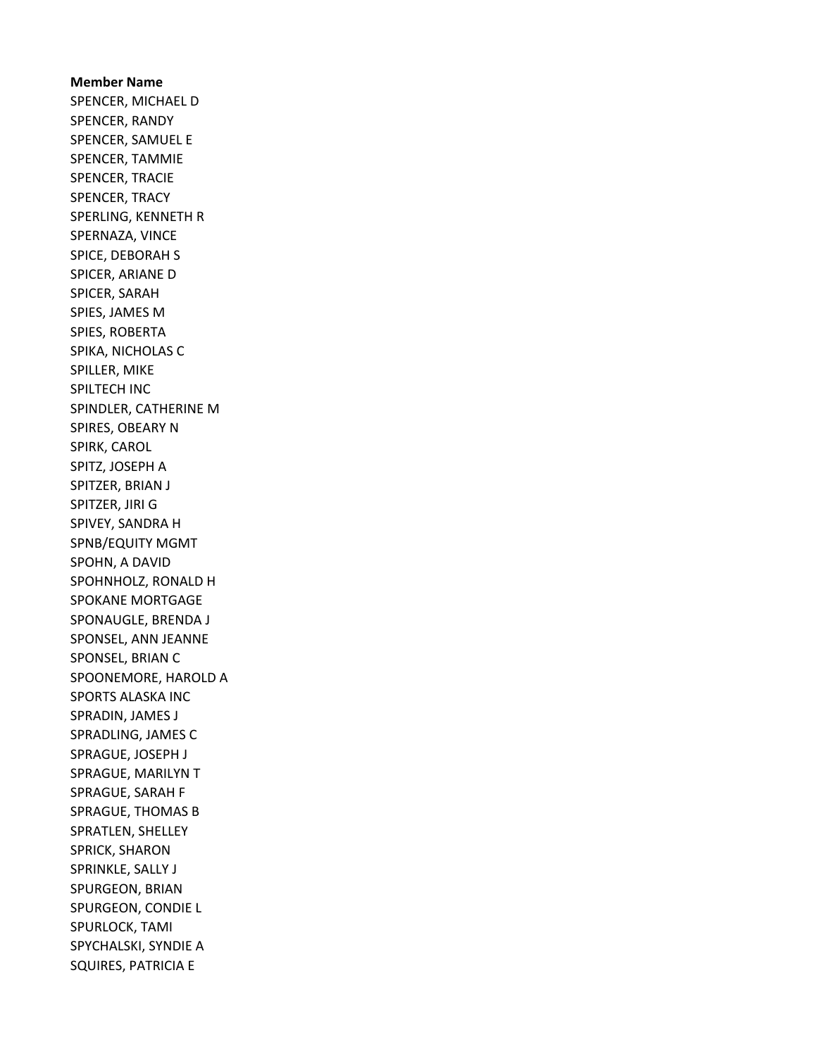Member Name SPENCER, MICHAEL D SPENCER, RANDY SPENCER, SAMUEL E SPENCER, TAMMIE SPENCER, TRACIE SPENCER, TRACY SPERLING, KENNETH R SPERNAZA, VINCE SPICE, DEBORAH S SPICER, ARIANE D SPICER, SARAH SPIES, JAMES M SPIES, ROBERTA SPIKA, NICHOLAS C SPILLER, MIKE SPILTECH INC SPINDLER, CATHERINE M SPIRES, OBEARY N SPIRK, CAROL SPITZ, JOSEPH A SPITZER, BRIAN J SPITZER, JIRI G SPIVEY, SANDRA H SPNB/EQUITY MGMT SPOHN, A DAVID SPOHNHOLZ, RONALD H SPOKANE MORTGAGE SPONAUGLE, BRENDA J SPONSEL, ANN JEANNE SPONSEL, BRIAN C SPOONEMORE, HAROLD A SPORTS ALASKA INC SPRADIN, JAMES J SPRADLING, JAMES C SPRAGUE, JOSEPH J SPRAGUE, MARILYN T SPRAGUE, SARAH F SPRAGUE, THOMAS B SPRATLEN, SHELLEY SPRICK, SHARON SPRINKLE, SALLY J SPURGEON, BRIAN SPURGEON, CONDIE L SPURLOCK, TAMI SPYCHALSKI, SYNDIE A SQUIRES, PATRICIA E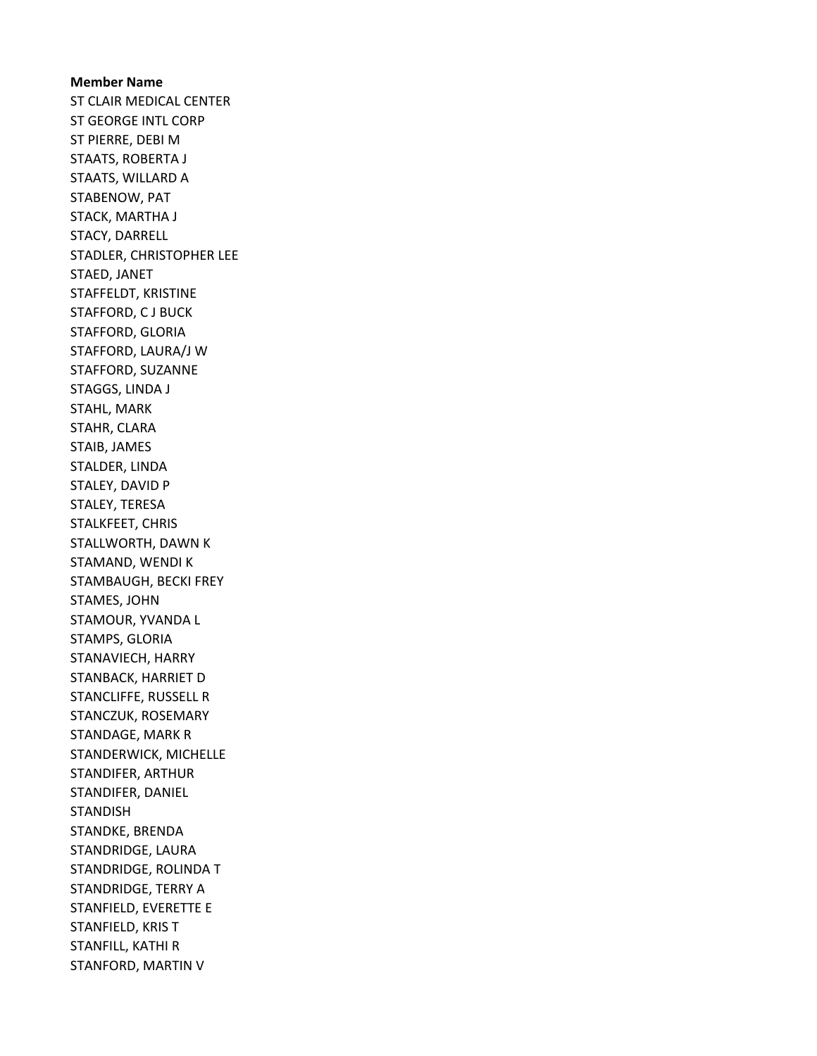Member Name ST CLAIR MEDICAL CENTER ST GEORGE INTL CORP ST PIERRE, DEBI M STAATS, ROBERTA J STAATS, WILLARD A STABENOW, PAT STACK, MARTHA J STACY, DARRELL STADLER, CHRISTOPHER LEE STAED, JANET STAFFELDT, KRISTINE STAFFORD, C J BUCK STAFFORD, GLORIA STAFFORD, LAURA/J W STAFFORD, SUZANNE STAGGS, LINDA J STAHL, MARK STAHR, CLARA STAIB, JAMES STALDER, LINDA STALEY, DAVID P STALEY, TERESA STALKFEET, CHRIS STALLWORTH, DAWN K STAMAND, WENDI K STAMBAUGH, BECKI FREY STAMES, JOHN STAMOUR, YVANDA L STAMPS, GLORIA STANAVIECH, HARRY STANBACK, HARRIET D STANCLIFFE, RUSSELL R STANCZUK, ROSEMARY STANDAGE, MARK R STANDERWICK, MICHELLE STANDIFER, ARTHUR STANDIFER, DANIEL STANDISH STANDKE, BRENDA STANDRIDGE, LAURA STANDRIDGE, ROLINDA T STANDRIDGE, TERRY A STANFIELD, EVERETTE E STANFIELD, KRIS T STANFILL, KATHI R STANFORD, MARTIN V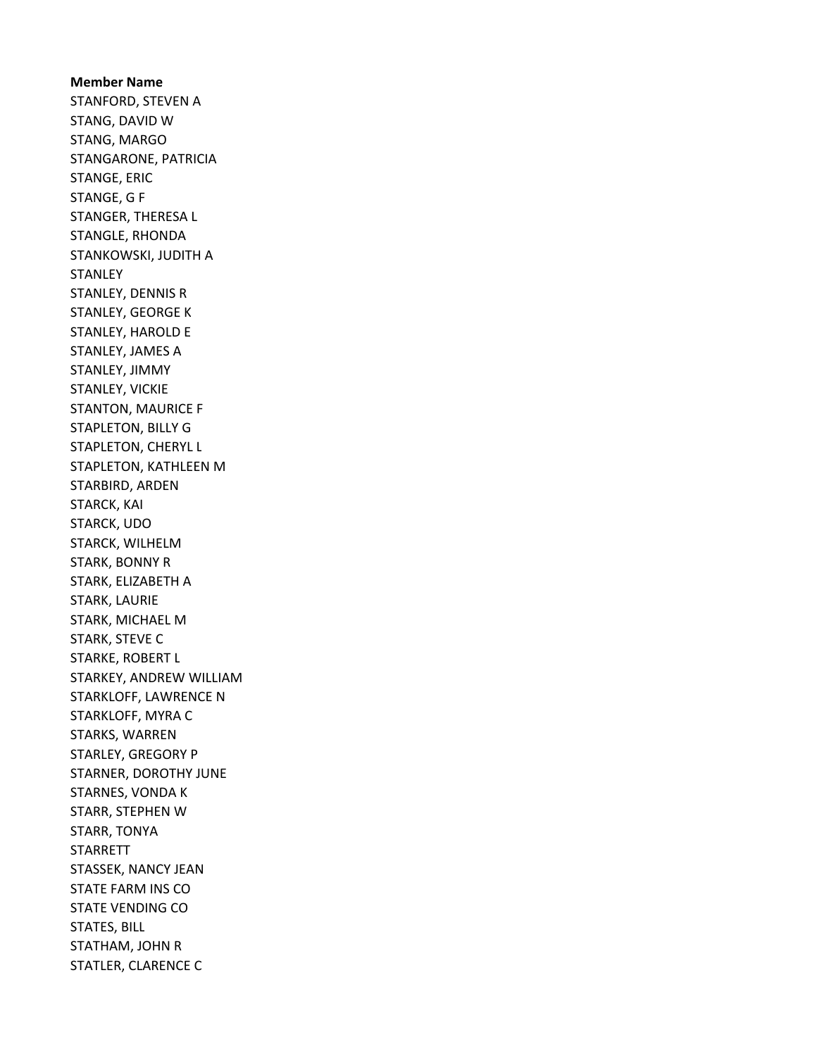Member Name STANFORD, STEVEN A STANG, DAVID W STANG, MARGO STANGARONE, PATRICIA STANGE, ERIC STANGE, G F STANGER, THERESA L STANGLE, RHONDA STANKOWSKI, JUDITH A **STANLEY** STANLEY, DENNIS R STANLEY, GEORGE K STANLEY, HAROLD E STANLEY, JAMES A STANLEY, JIMMY STANLEY, VICKIE STANTON, MAURICE F STAPLETON, BILLY G STAPLETON, CHERYL L STAPLETON, KATHLEEN M STARBIRD, ARDEN STARCK, KAI STARCK, UDO STARCK, WILHELM STARK, BONNY R STARK, ELIZABETH A STARK, LAURIE STARK, MICHAEL M STARK, STEVE C STARKE, ROBERT L STARKEY, ANDREW WILLIAM STARKLOFF, LAWRENCE N STARKLOFF, MYRA C STARKS, WARREN STARLEY, GREGORY P STARNER, DOROTHY JUNE STARNES, VONDA K STARR, STEPHEN W STARR, TONYA STARRETT STASSEK, NANCY JEAN STATE FARM INS CO STATE VENDING CO STATES, BILL STATHAM, JOHN R STATLER, CLARENCE C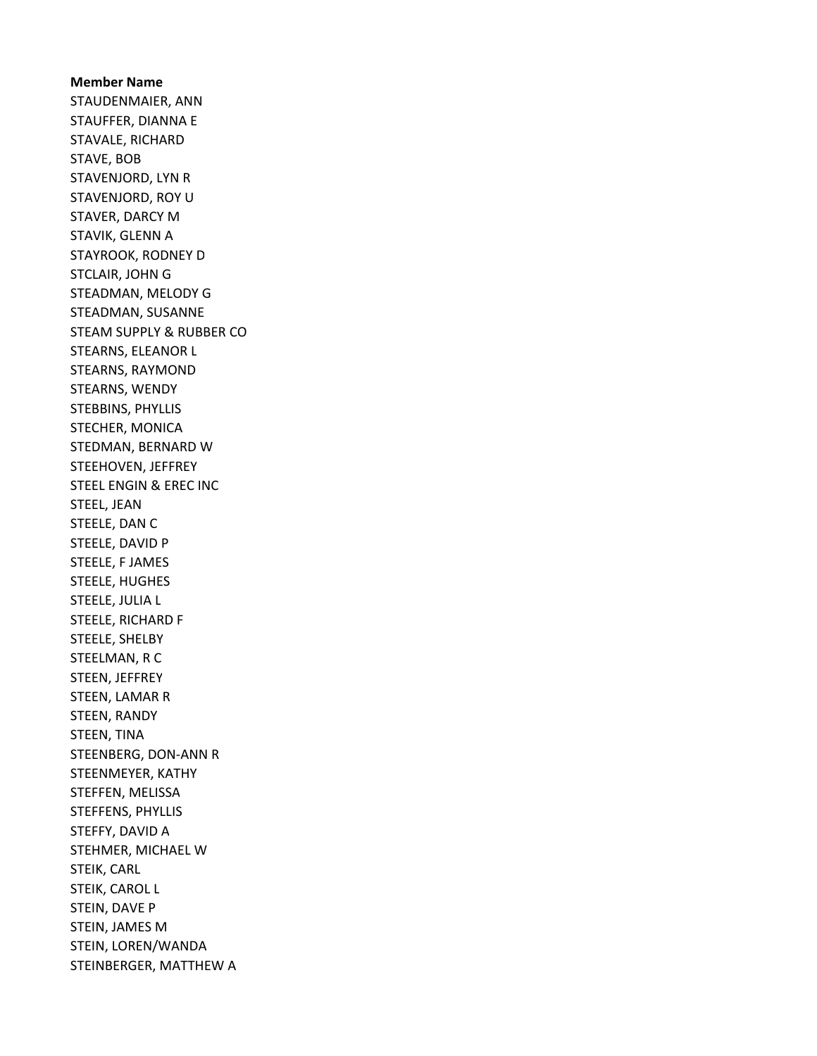Member Name STAUDENMAIER, ANN STAUFFER, DIANNA E STAVALE, RICHARD STAVE, BOB STAVENJORD, LYN R STAVENJORD, ROY U STAVER, DARCY M STAVIK, GLENN A STAYROOK, RODNEY D STCLAIR, JOHN G STEADMAN, MELODY G STEADMAN, SUSANNE STEAM SUPPLY & RUBBER CO STEARNS, ELEANOR L STEARNS, RAYMOND STEARNS, WENDY STEBBINS, PHYLLIS STECHER, MONICA STEDMAN, BERNARD W STEEHOVEN, JEFFREY STEEL ENGIN & EREC INC STEEL, JEAN STEELE, DAN C STEELE, DAVID P STEELE, F JAMES STEELE, HUGHES STEELE, JULIA L STEELE, RICHARD F STEELE, SHELBY STEELMAN, R C STEEN, JEFFREY STEEN, LAMAR R STEEN, RANDY STEEN, TINA STEENBERG, DON-ANN R STEENMEYER, KATHY STEFFEN, MELISSA STEFFENS, PHYLLIS STEFFY, DAVID A STEHMER, MICHAEL W STEIK, CARL STEIK, CAROL L STEIN, DAVE P STEIN, JAMES M STEIN, LOREN/WANDA STEINBERGER, MATTHEW A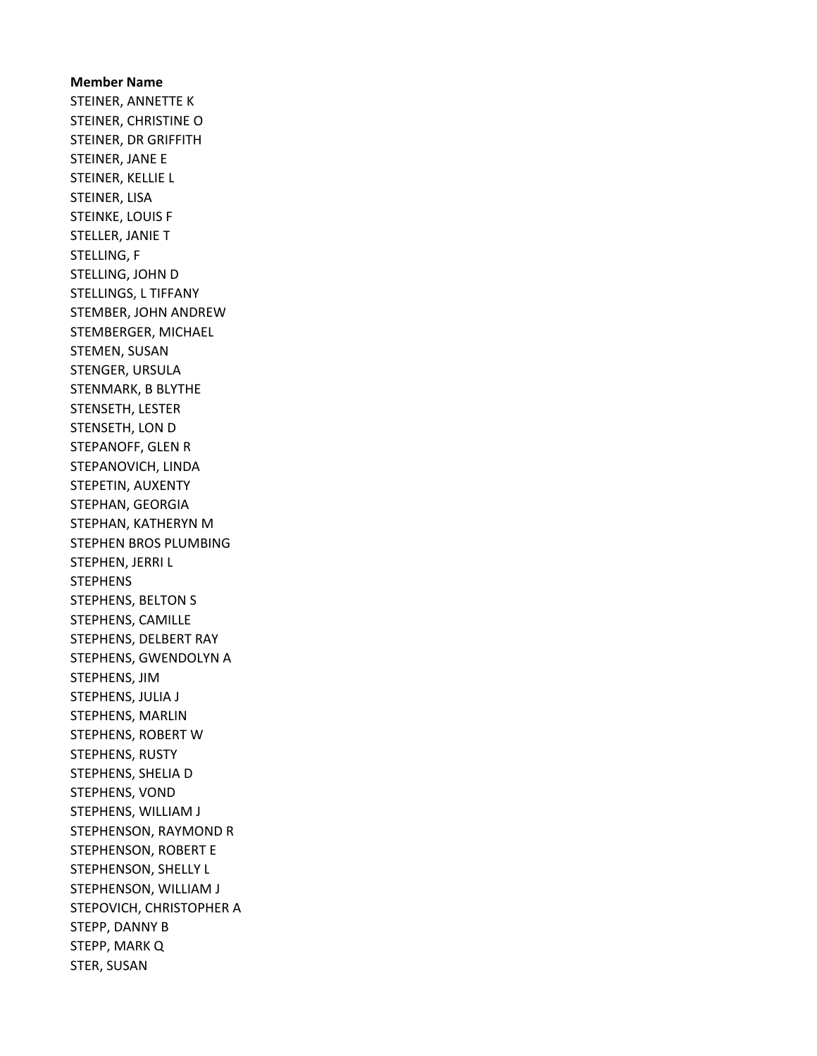Member Name STEINER, ANNETTE K STEINER, CHRISTINE O STEINER, DR GRIFFITH STEINER, JANE E STEINER, KELLIE L STEINER, LISA STEINKE, LOUIS F STELLER, JANIE T STELLING, F STELLING, JOHN D STELLINGS, L TIFFANY STEMBER, JOHN ANDREW STEMBERGER, MICHAEL STEMEN, SUSAN STENGER, URSULA STENMARK, B BLYTHE STENSETH, LESTER STENSETH, LON D STEPANOFF, GLEN R STEPANOVICH, LINDA STEPETIN, AUXENTY STEPHAN, GEORGIA STEPHAN, KATHERYN M STEPHEN BROS PLUMBING STEPHEN, JERRI L **STEPHENS** STEPHENS, BELTON S STEPHENS, CAMILLE STEPHENS, DELBERT RAY STEPHENS, GWENDOLYN A STEPHENS, JIM STEPHENS, JULIA J STEPHENS, MARLIN STEPHENS, ROBERT W STEPHENS, RUSTY STEPHENS, SHELIA D STEPHENS, VOND STEPHENS, WILLIAM J STEPHENSON, RAYMOND R STEPHENSON, ROBERT E STEPHENSON, SHELLY L STEPHENSON, WILLIAM J STEPOVICH, CHRISTOPHER A STEPP, DANNY B STEPP, MARK Q STER, SUSAN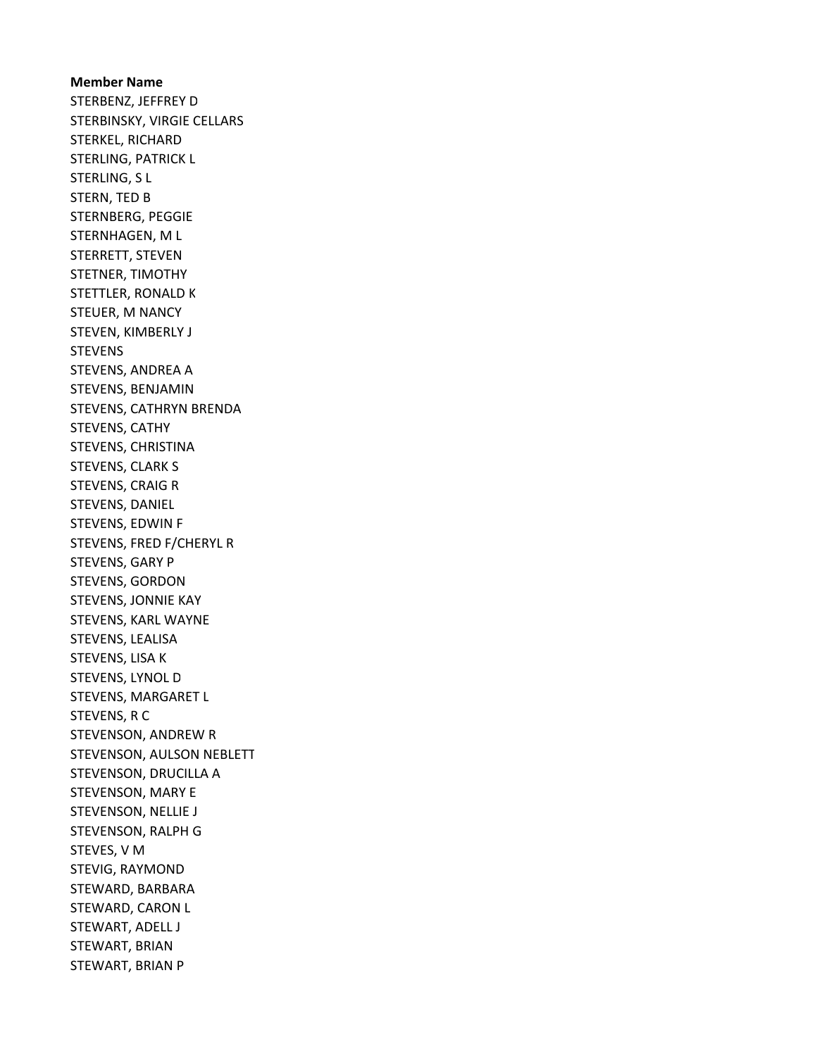## Member Name STERBENZ, JEFFREY D STERBINSKY, VIRGIE CELLARS STERKEL, RICHARD STERLING, PATRICK L STERLING, S L STERN, TED B STERNBERG, PEGGIE STERNHAGEN, M L STERRETT, STEVEN STETNER, TIMOTHY STETTLER, RONALD K STEUER, M NANCY STEVEN, KIMBERLY J STEVENS STEVENS, ANDREA A STEVENS, BENJAMIN STEVENS, CATHRYN BRENDA STEVENS, CATHY STEVENS, CHRISTINA STEVENS, CLARK S STEVENS, CRAIG R STEVENS, DANIEL STEVENS, EDWIN F STEVENS, FRED F/CHERYL R STEVENS, GARY P STEVENS, GORDON STEVENS, JONNIE KAY STEVENS, KARL WAYNE STEVENS, LEALISA STEVENS, LISA K STEVENS, LYNOL D STEVENS, MARGARET L STEVENS, R C STEVENSON, ANDREW R STEVENSON, AULSON NEBLETT STEVENSON, DRUCILLA A STEVENSON, MARY E STEVENSON, NELLIE J STEVENSON, RALPH G STEVES, V M STEVIG, RAYMOND STEWARD, BARBARA STEWARD, CARON L STEWART, ADELL J STEWART, BRIAN STEWART, BRIAN P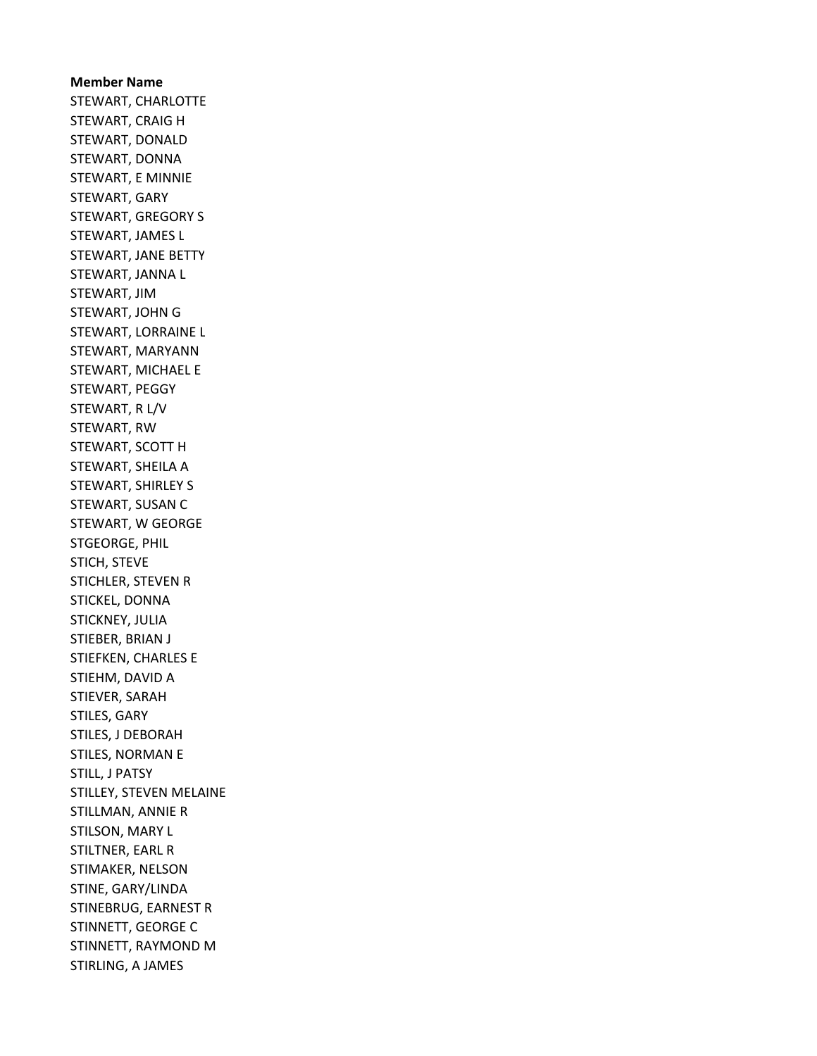Member Name STEWART, CHARLOTTE STEWART, CRAIG H STEWART, DONALD STEWART, DONNA STEWART, E MINNIE STEWART, GARY STEWART, GREGORY S STEWART, JAMES L STEWART, JANE BETTY STEWART, JANNA L STEWART, JIM STEWART, JOHN G STEWART, LORRAINE L STEWART, MARYANN STEWART, MICHAEL E STEWART, PEGGY STEWART, R L/V STEWART, RW STEWART, SCOTT H STEWART, SHEILA A STEWART, SHIRLEY S STEWART, SUSAN C STEWART, W GEORGE STGEORGE, PHIL STICH, STEVE STICHLER, STEVEN R STICKEL, DONNA STICKNEY, JULIA STIEBER, BRIAN J STIEFKEN, CHARLES E STIEHM, DAVID A STIEVER, SARAH STILES, GARY STILES, J DEBORAH STILES, NORMAN E STILL, J PATSY STILLEY, STEVEN MELAINE STILLMAN, ANNIE R STILSON, MARY L STILTNER, EARL R STIMAKER, NELSON STINE, GARY/LINDA STINEBRUG, EARNEST R STINNETT, GEORGE C STINNETT, RAYMOND M STIRLING, A JAMES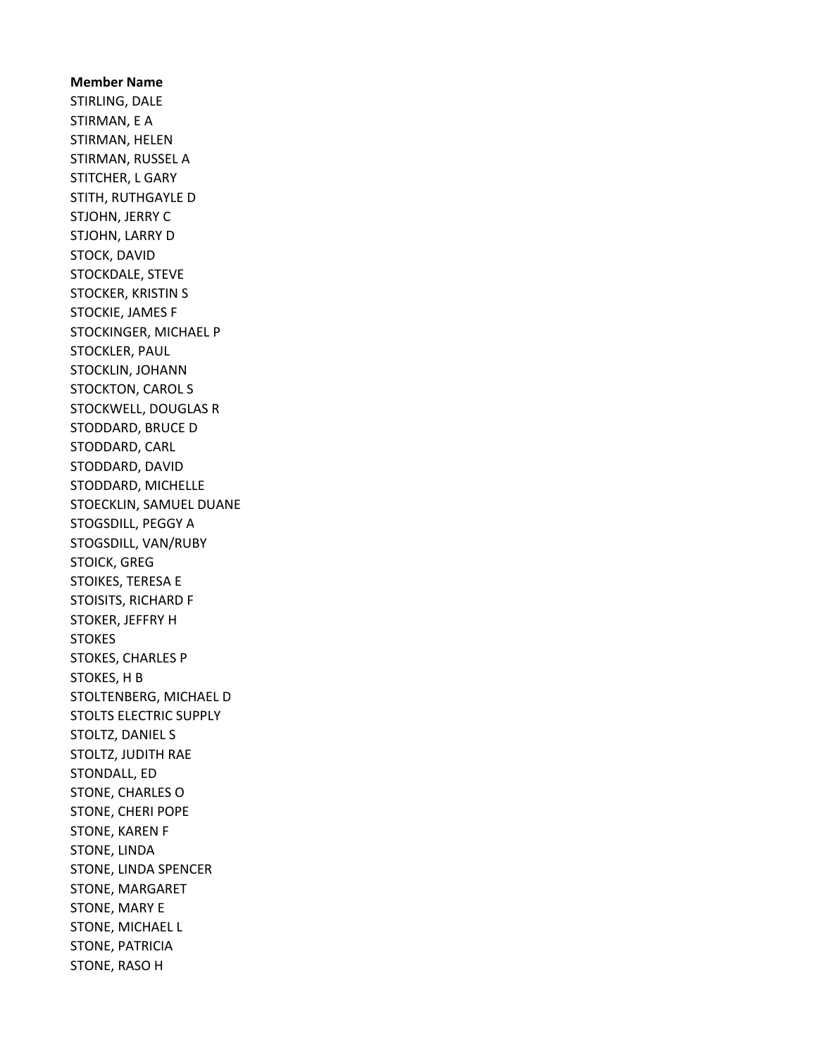Member Name STIRLING, DALE STIRMAN, E A STIRMAN, HELEN STIRMAN, RUSSEL A STITCHER, L GARY STITH, RUTHGAYLE D STJOHN, JERRY C STJOHN, LARRY D STOCK, DAVID STOCKDALE, STEVE STOCKER, KRISTIN S STOCKIE, JAMES F STOCKINGER, MICHAEL P STOCKLER, PAUL STOCKLIN, JOHANN STOCKTON, CAROL S STOCKWELL, DOUGLAS R STODDARD, BRUCE D STODDARD, CARL STODDARD, DAVID STODDARD, MICHELLE STOECKLIN, SAMUEL DUANE STOGSDILL, PEGGY A STOGSDILL, VAN/RUBY STOICK, GREG STOIKES, TERESA E STOISITS, RICHARD F STOKER, JEFFRY H STOKES STOKES, CHARLES P STOKES, H B STOLTENBERG, MICHAEL D STOLTS ELECTRIC SUPPLY STOLTZ, DANIEL S STOLTZ, JUDITH RAE STONDALL, ED STONE, CHARLES O STONE, CHERI POPE STONE, KAREN F STONE, LINDA STONE, LINDA SPENCER STONE, MARGARET STONE, MARY E STONE, MICHAEL L STONE, PATRICIA STONE, RASO H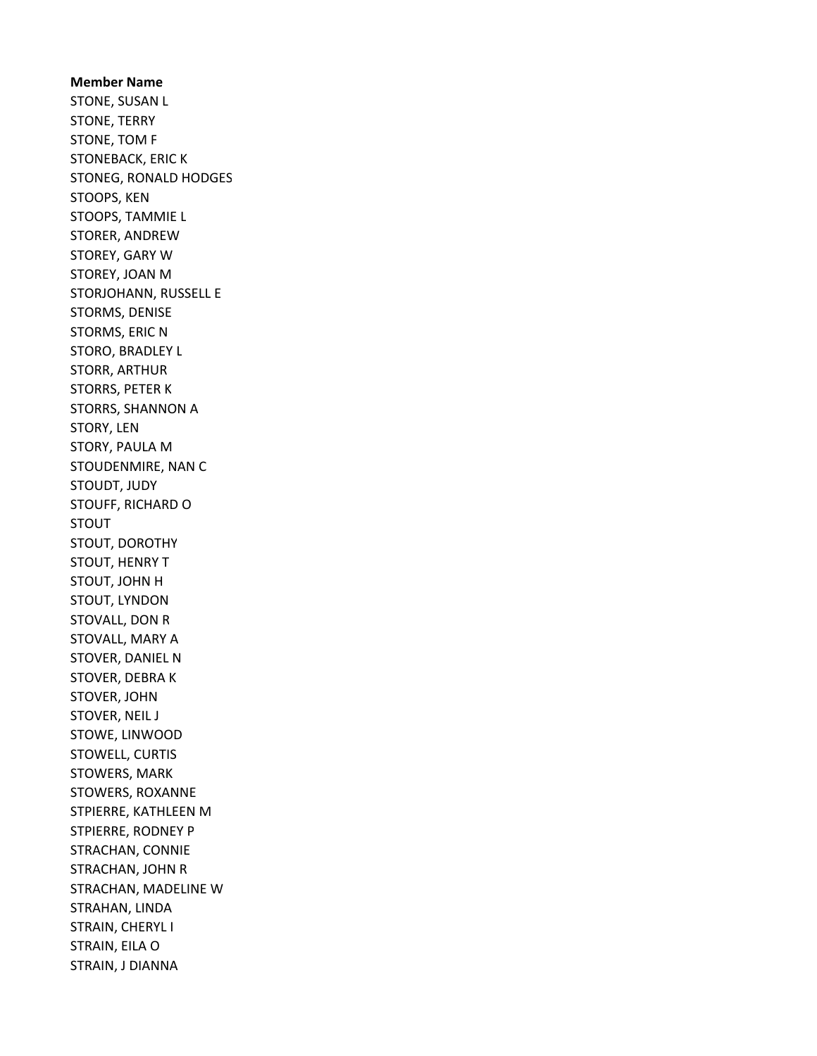Member Name STONE, SUSAN L STONE, TERRY STONE, TOM F STONEBACK, ERIC K STONEG, RONALD HODGES STOOPS, KEN STOOPS, TAMMIE L STORER, ANDREW STOREY, GARY W STOREY, JOAN M STORJOHANN, RUSSELL E STORMS, DENISE STORMS, ERIC N STORO, BRADLEY L STORR, ARTHUR STORRS, PETER K STORRS, SHANNON A STORY, LEN STORY, PAULA M STOUDENMIRE, NAN C STOUDT, JUDY STOUFF, RICHARD O STOUT STOUT, DOROTHY STOUT, HENRY T STOUT, JOHN H STOUT, LYNDON STOVALL, DON R STOVALL, MARY A STOVER, DANIEL N STOVER, DEBRA K STOVER, JOHN STOVER, NEIL J STOWE, LINWOOD STOWELL, CURTIS STOWERS, MARK STOWERS, ROXANNE STPIERRE, KATHLEEN M STPIERRE, RODNEY P STRACHAN, CONNIE STRACHAN, JOHN R STRACHAN, MADELINE W STRAHAN, LINDA STRAIN, CHERYL I STRAIN, EILA O STRAIN, J DIANNA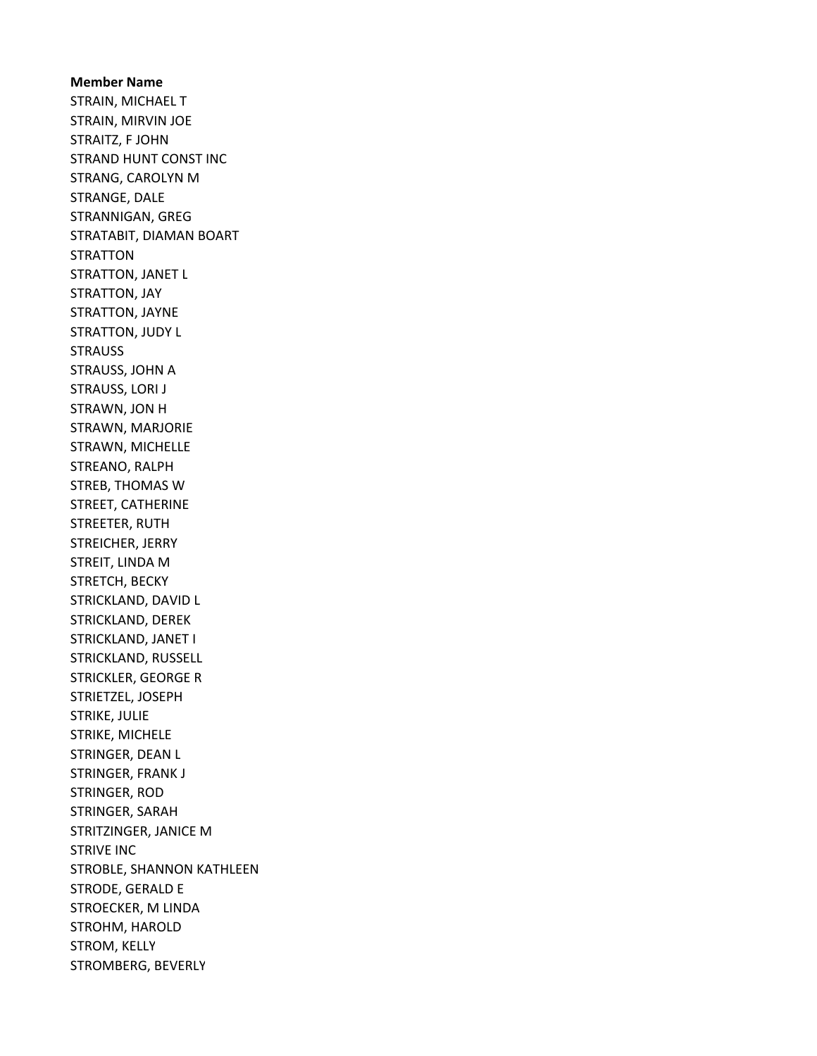Member Name STRAIN, MICHAEL T STRAIN, MIRVIN JOE STRAITZ, F JOHN STRAND HUNT CONST INC STRANG, CAROLYN M STRANGE, DALE STRANNIGAN, GREG STRATABIT, DIAMAN BOART **STRATTON** STRATTON, JANET L STRATTON, JAY STRATTON, JAYNE STRATTON, JUDY L **STRAUSS** STRAUSS, JOHN A STRAUSS, LORI J STRAWN, JON H STRAWN, MARJORIE STRAWN, MICHELLE STREANO, RALPH STREB, THOMAS W STREET, CATHERINE STREETER, RUTH STREICHER, JERRY STREIT, LINDA M STRETCH, BECKY STRICKLAND, DAVID L STRICKLAND, DEREK STRICKLAND, JANET I STRICKLAND, RUSSELL STRICKLER, GEORGE R STRIETZEL, JOSEPH STRIKE, JULIE STRIKE, MICHELE STRINGER, DEAN L STRINGER, FRANK J STRINGER, ROD STRINGER, SARAH STRITZINGER, JANICE M STRIVE INC STROBLE, SHANNON KATHLEEN STRODE, GERALD E STROECKER, M LINDA STROHM, HAROLD STROM, KELLY STROMBERG, BEVERLY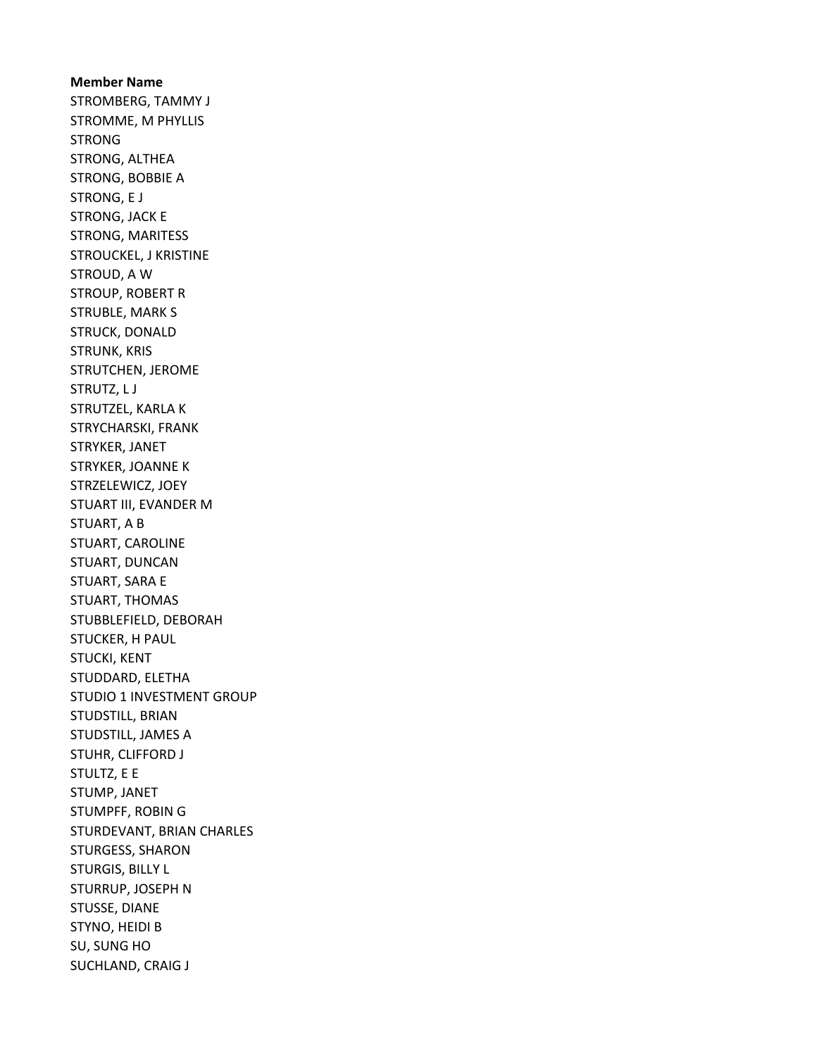Member Name STROMBERG, TAMMY J STROMME, M PHYLLIS STRONG STRONG, ALTHEA STRONG, BOBBIE A STRONG, E J STRONG, JACK E STRONG, MARITESS STROUCKEL, J KRISTINE STROUD, A W STROUP, ROBERT R STRUBLE, MARK S STRUCK, DONALD STRUNK, KRIS STRUTCHEN, JEROME STRUTZ, L J STRUTZEL, KARLA K STRYCHARSKI, FRANK STRYKER, JANET STRYKER, JOANNE K STRZELEWICZ, JOEY STUART III, EVANDER M STUART, A B STUART, CAROLINE STUART, DUNCAN STUART, SARA E STUART, THOMAS STUBBLEFIELD, DEBORAH STUCKER, H PAUL STUCKI, KENT STUDDARD, ELETHA STUDIO 1 INVESTMENT GROUP STUDSTILL, BRIAN STUDSTILL, JAMES A STUHR, CLIFFORD J STULTZ, E E STUMP, JANET STUMPFF, ROBIN G STURDEVANT, BRIAN CHARLES STURGESS, SHARON STURGIS, BILLY L STURRUP, JOSEPH N STUSSE, DIANE STYNO, HEIDI B SU, SUNG HO SUCHLAND, CRAIG J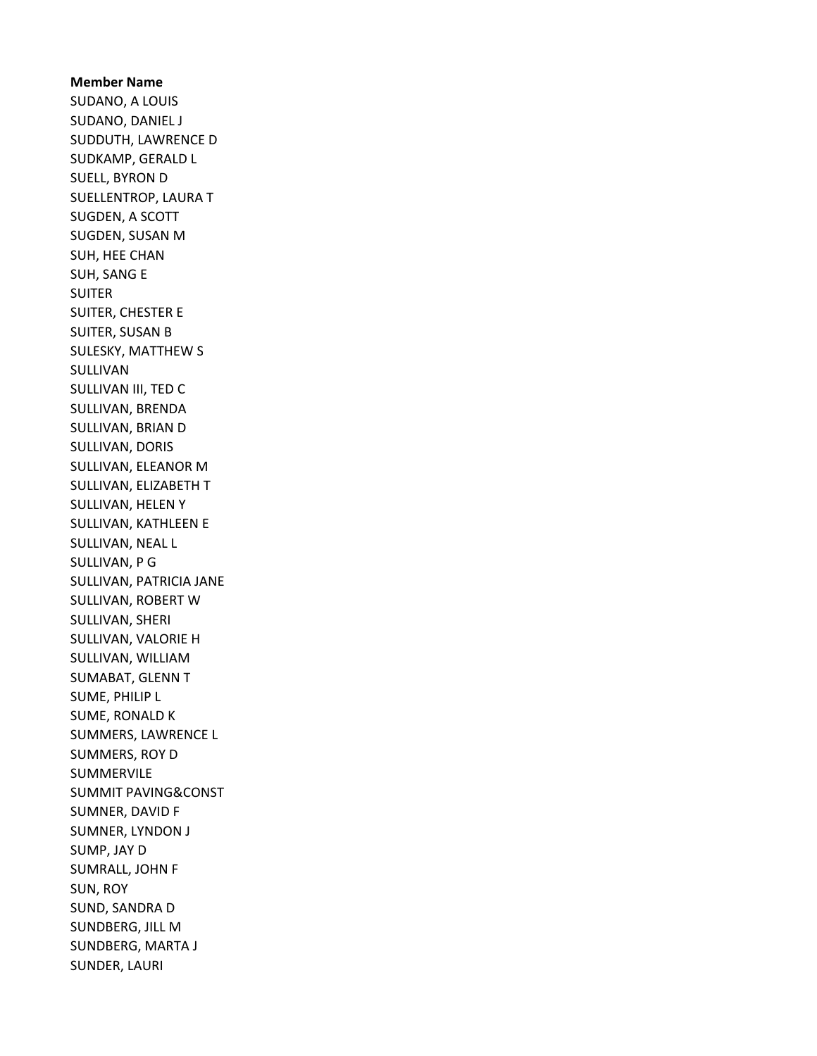Member Name SUDANO, A LOUIS SUDANO, DANIEL J SUDDUTH, LAWRENCE D SUDKAMP, GERALD L SUELL, BYRON D SUELLENTROP, LAURA T SUGDEN, A SCOTT SUGDEN, SUSAN M SUH, HEE CHAN SUH, SANG E SUITER SUITER, CHESTER E SUITER, SUSAN B SULESKY, MATTHEW S SULLIVAN SULLIVAN III, TED C SULLIVAN, BRENDA SULLIVAN, BRIAN D SULLIVAN, DORIS SULLIVAN, ELEANOR M SULLIVAN, ELIZABETH T SULLIVAN, HELEN Y SULLIVAN, KATHLEEN E SULLIVAN, NEAL L SULLIVAN, P G SULLIVAN, PATRICIA JANE SULLIVAN, ROBERT W SULLIVAN, SHERI SULLIVAN, VALORIE H SULLIVAN, WILLIAM SUMABAT, GLENN T SUME, PHILIP L SUME, RONALD K SUMMERS, LAWRENCE L SUMMERS, ROY D SUMMERVILE SUMMIT PAVING&CONST SUMNER, DAVID F SUMNER, LYNDON J SUMP, JAY D SUMRALL, JOHN F SUN, ROY SUND, SANDRA D SUNDBERG, JILL M SUNDBERG, MARTA J SUNDER, LAURI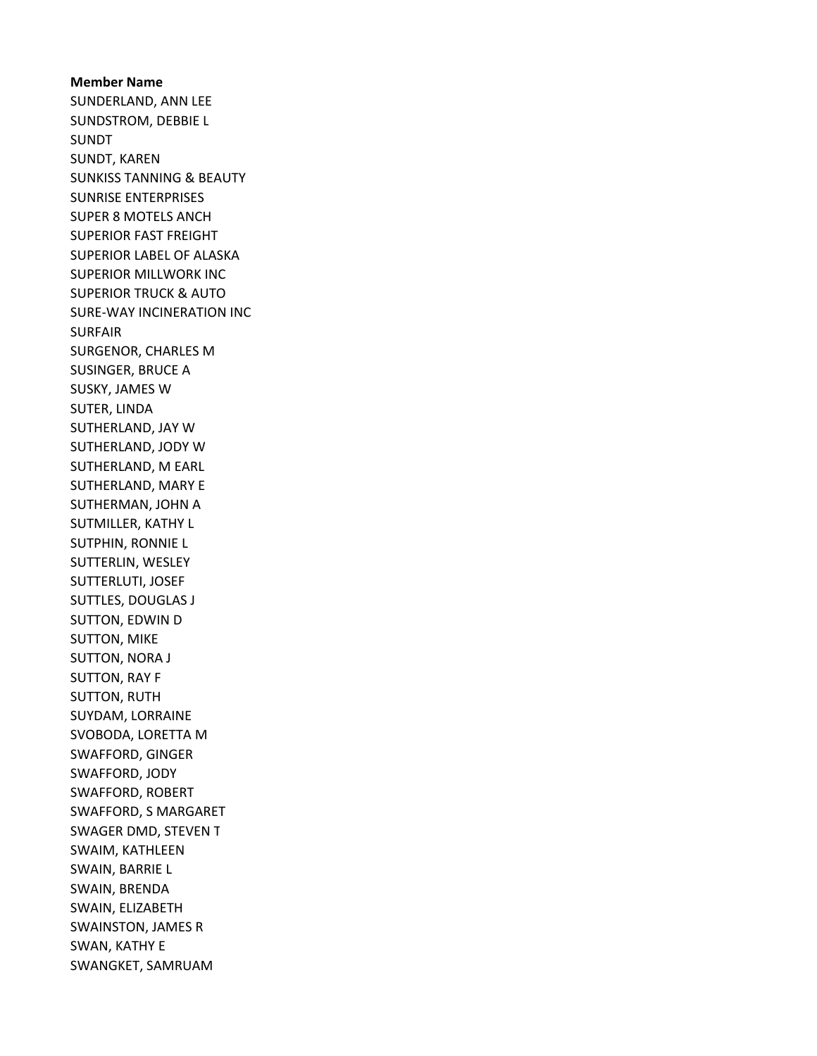Member Name SUNDERLAND, ANN LEE SUNDSTROM, DEBBIE L SUNDT SUNDT, KAREN SUNKISS TANNING & BEAUTY SUNRISE ENTERPRISES SUPER 8 MOTELS ANCH SUPERIOR FAST FREIGHT SUPERIOR LABEL OF ALASKA SUPERIOR MILLWORK INC SUPERIOR TRUCK & AUTO SURE-WAY INCINERATION INC SURFAIR SURGENOR, CHARLES M SUSINGER, BRUCE A SUSKY, JAMES W SUTER, LINDA SUTHERLAND, JAY W SUTHERLAND, JODY W SUTHERLAND, M EARL SUTHERLAND, MARY E SUTHERMAN, JOHN A SUTMILLER, KATHY L SUTPHIN, RONNIE L SUTTERLIN, WESLEY SUTTERLUTI, JOSEF SUTTLES, DOUGLAS J SUTTON, EDWIN D SUTTON, MIKE SUTTON, NORA J SUTTON, RAY F SUTTON, RUTH SUYDAM, LORRAINE SVOBODA, LORETTA M SWAFFORD, GINGER SWAFFORD, JODY SWAFFORD, ROBERT SWAFFORD, S MARGARET SWAGER DMD, STEVEN T SWAIM, KATHLEEN SWAIN, BARRIE L SWAIN, BRENDA SWAIN, ELIZABETH SWAINSTON, JAMES R SWAN, KATHY E SWANGKET, SAMRUAM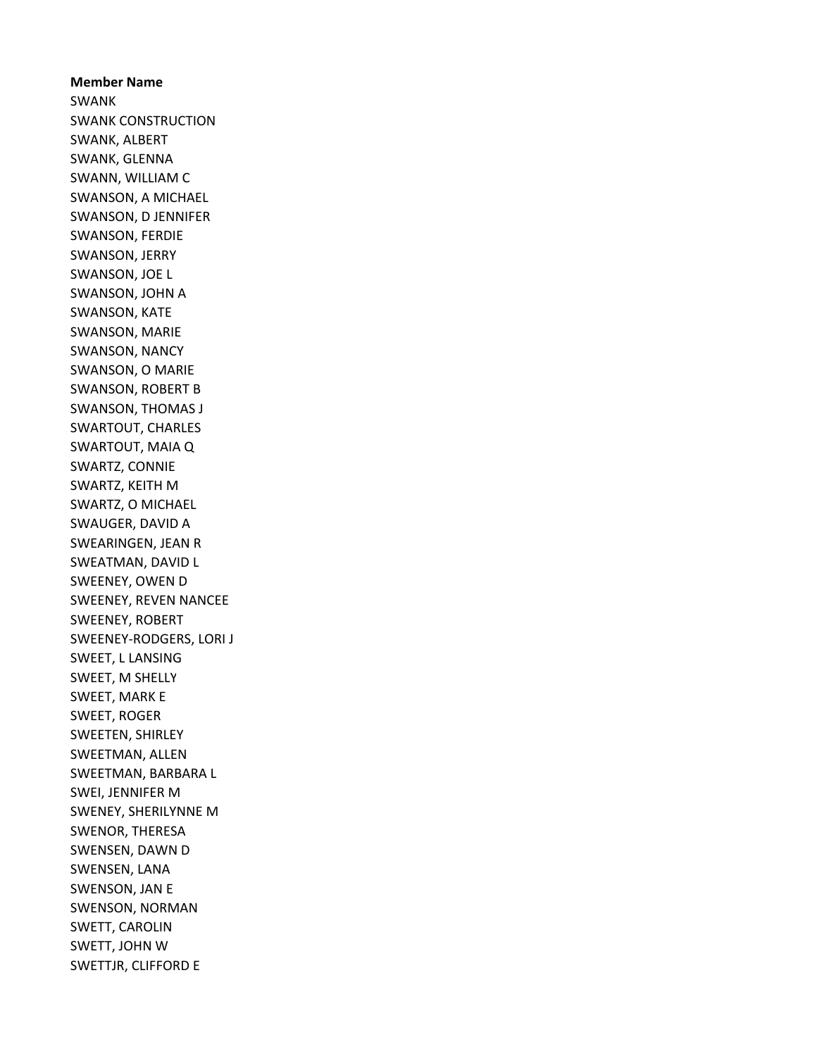Member Name SWANK SWANK CONSTRUCTION SWANK, ALBERT SWANK, GLENNA SWANN, WILLIAM C SWANSON, A MICHAEL SWANSON, D JENNIFER SWANSON, FERDIE SWANSON, JERRY SWANSON, JOE L SWANSON, JOHN A SWANSON, KATE SWANSON, MARIE SWANSON, NANCY SWANSON, O MARIE SWANSON, ROBERT B SWANSON, THOMAS J SWARTOUT, CHARLES SWARTOUT, MAIA Q SWARTZ, CONNIE SWARTZ, KEITH M SWARTZ, O MICHAEL SWAUGER, DAVID A SWEARINGEN, JEAN R SWEATMAN, DAVID L SWEENEY, OWEN D SWEENEY, REVEN NANCEE SWEENEY, ROBERT SWEENEY-RODGERS, LORI J SWEET, L LANSING SWEET, M SHELLY SWEET, MARK E SWEET, ROGER SWEETEN, SHIRLEY SWEETMAN, ALLEN SWEETMAN, BARBARA L SWEI, JENNIFER M SWENEY, SHERILYNNE M SWENOR, THERESA SWENSEN, DAWN D SWENSEN, LANA SWENSON, JAN E SWENSON, NORMAN SWETT, CAROLIN SWETT, JOHN W SWETTJR, CLIFFORD E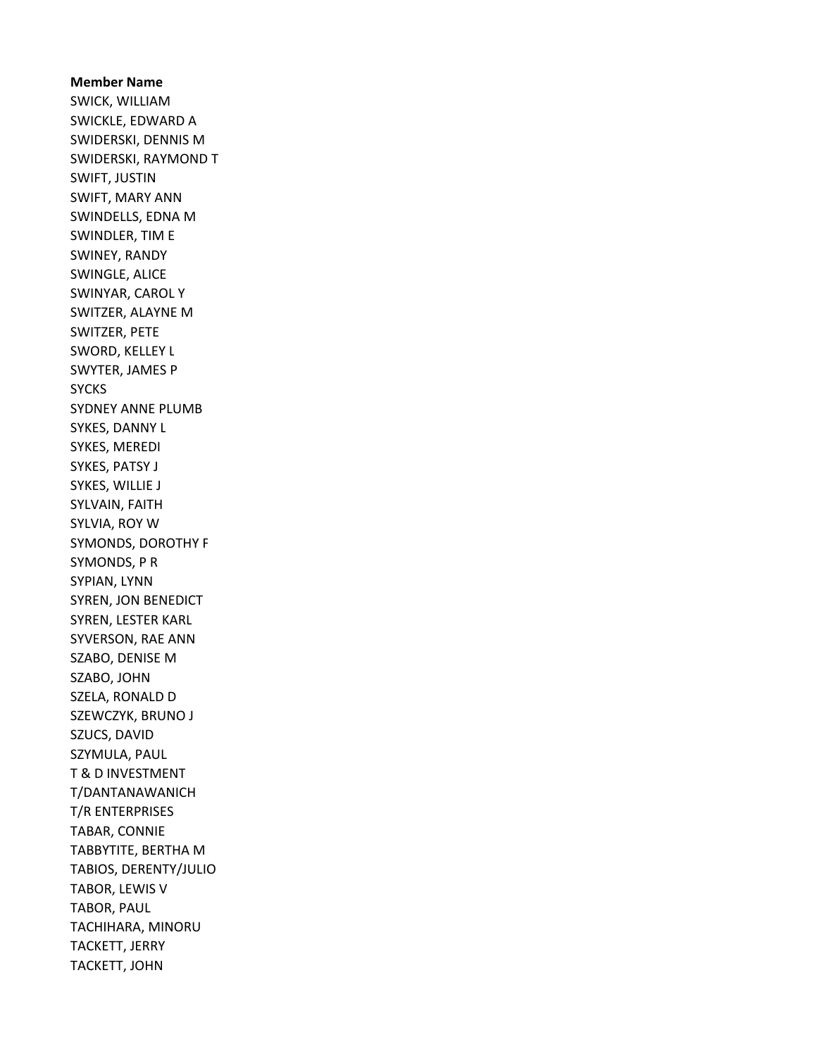Member Name SWICK, WILLIAM SWICKLE, EDWARD A SWIDERSKI, DENNIS M SWIDERSKI, RAYMOND T SWIFT, JUSTIN SWIFT, MARY ANN SWINDELLS, EDNA M SWINDLER, TIM E SWINEY, RANDY SWINGLE, ALICE SWINYAR, CAROL Y SWITZER, ALAYNE M SWITZER, PETE SWORD, KELLEY L SWYTER, JAMES P SYCKS SYDNEY ANNE PLUMB SYKES, DANNY L SYKES, MEREDI SYKES, PATSY J SYKES, WILLIE J SYLVAIN, FAITH SYLVIA, ROY W SYMONDS, DOROTHY F SYMONDS, P R SYPIAN, LYNN SYREN, JON BENEDICT SYREN, LESTER KARL SYVERSON, RAE ANN SZABO, DENISE M SZABO, JOHN SZELA, RONALD D SZEWCZYK, BRUNO J SZUCS, DAVID SZYMULA, PAUL T & D INVESTMENT T/DANTANAWANICH T/R ENTERPRISES TABAR, CONNIE TABBYTITE, BERTHA M TABIOS, DERENTY/JULIO TABOR, LEWIS V TABOR, PAUL TACHIHARA, MINORU TACKETT, JERRY TACKETT, JOHN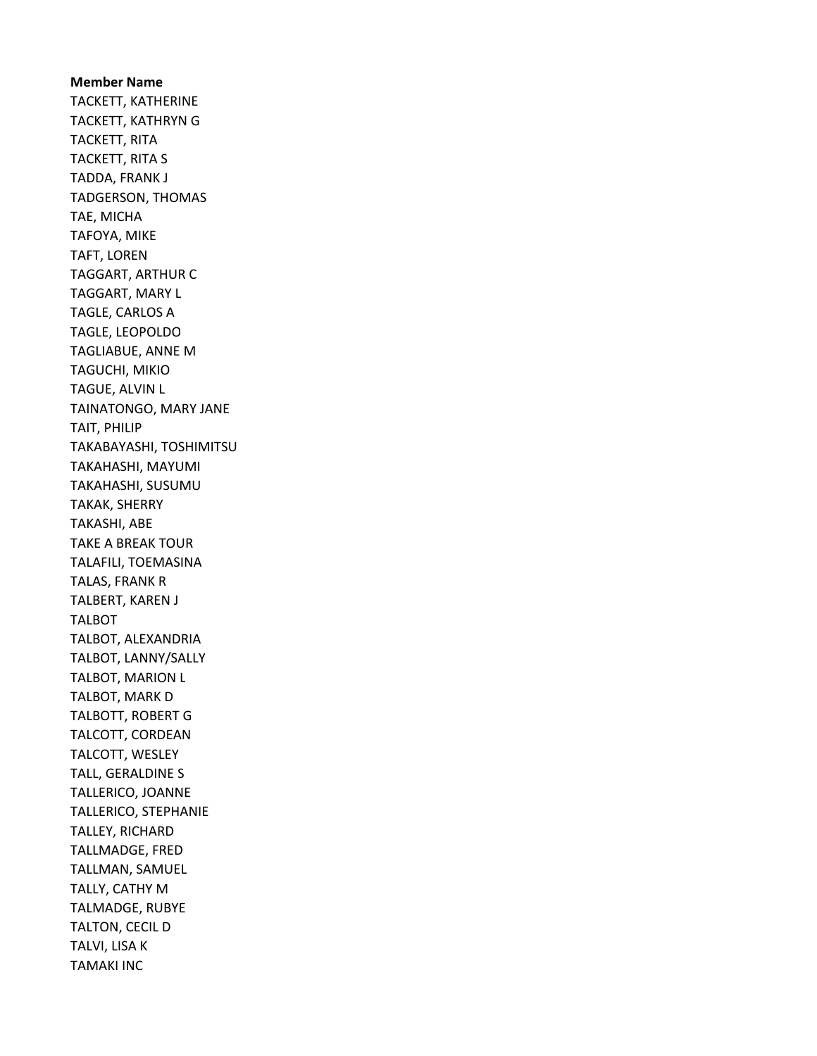Member Name TACKETT, KATHERINE TACKETT, KATHRYN G TACKETT, RITA TACKETT, RITA S TADDA, FRANK J TADGERSON, THOMAS TAE, MICHA TAFOYA, MIKE TAFT, LOREN TAGGART, ARTHUR C TAGGART, MARY L TAGLE, CARLOS A TAGLE, LEOPOLDO TAGLIABUE, ANNE M TAGUCHI, MIKIO TAGUE, ALVIN L TAINATONGO, MARY JANE TAIT, PHILIP TAKABAYASHI, TOSHIMITSU TAKAHASHI, MAYUMI TAKAHASHI, SUSUMU TAKAK, SHERRY TAKASHI, ABE TAKE A BREAK TOUR TALAFILI, TOEMASINA TALAS, FRANK R TALBERT, KAREN J TALBOT TALBOT, ALEXANDRIA TALBOT, LANNY/SALLY TALBOT, MARION L TALBOT, MARK D TALBOTT, ROBERT G TALCOTT, CORDEAN TALCOTT, WESLEY TALL, GERALDINE S TALLERICO, JOANNE TALLERICO, STEPHANIE TALLEY, RICHARD TALLMADGE, FRED TALLMAN, SAMUEL TALLY, CATHY M TALMADGE, RUBYE TALTON, CECIL D TALVI, LISA K TAMAKI INC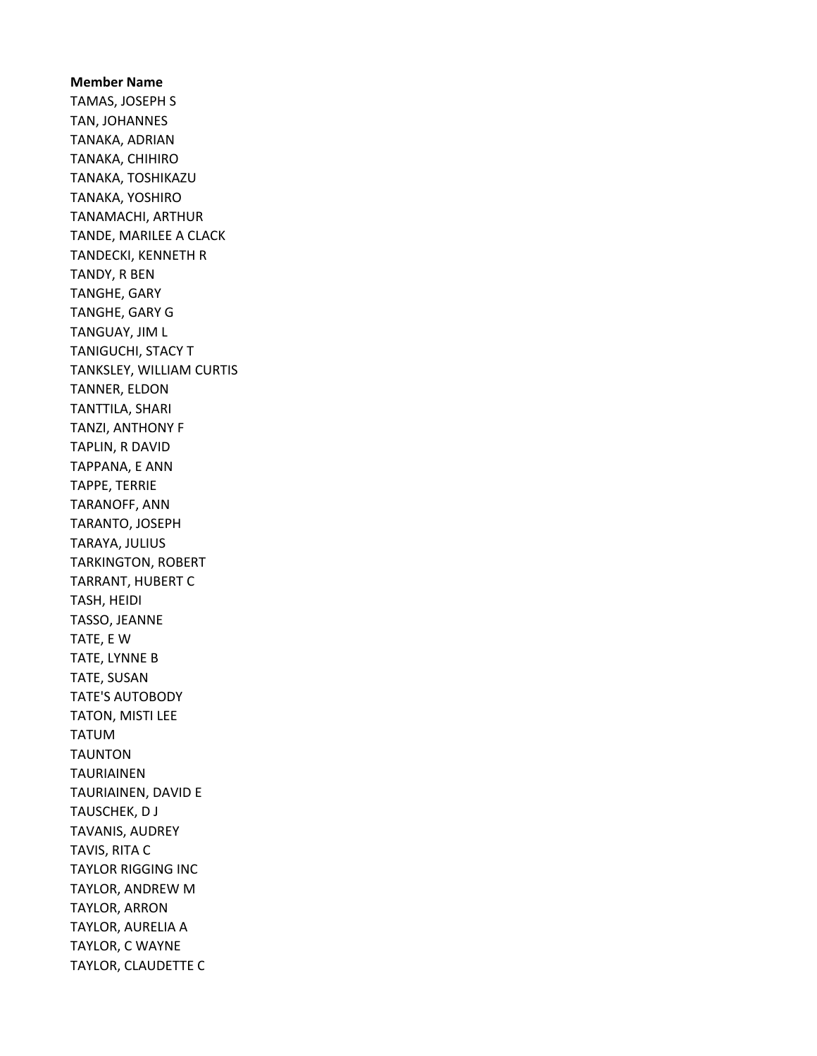Member Name TAMAS, JOSEPH S TAN, JOHANNES TANAKA, ADRIAN TANAKA, CHIHIRO TANAKA, TOSHIKAZU TANAKA, YOSHIRO TANAMACHI, ARTHUR TANDE, MARILEE A CLACK TANDECKI, KENNETH R TANDY, R BEN TANGHE, GARY TANGHE, GARY G TANGUAY, JIM L TANIGUCHI, STACY T TANKSLEY, WILLIAM CURTIS TANNER, ELDON TANTTILA, SHARI TANZI, ANTHONY F TAPLIN, R DAVID TAPPANA, E ANN TAPPE, TERRIE TARANOFF, ANN TARANTO, JOSEPH TARAYA, JULIUS TARKINGTON, ROBERT TARRANT, HUBERT C TASH, HEIDI TASSO, JEANNE TATE, E W TATE, LYNNE B TATE, SUSAN TATE'S AUTOBODY TATON, MISTI LEE TATUM TAUNTON TAURIAINEN TAURIAINEN, DAVID E TAUSCHEK, D J TAVANIS, AUDREY TAVIS, RITA C TAYLOR RIGGING INC TAYLOR, ANDREW M TAYLOR, ARRON TAYLOR, AURELIA A TAYLOR, C WAYNE TAYLOR, CLAUDETTE C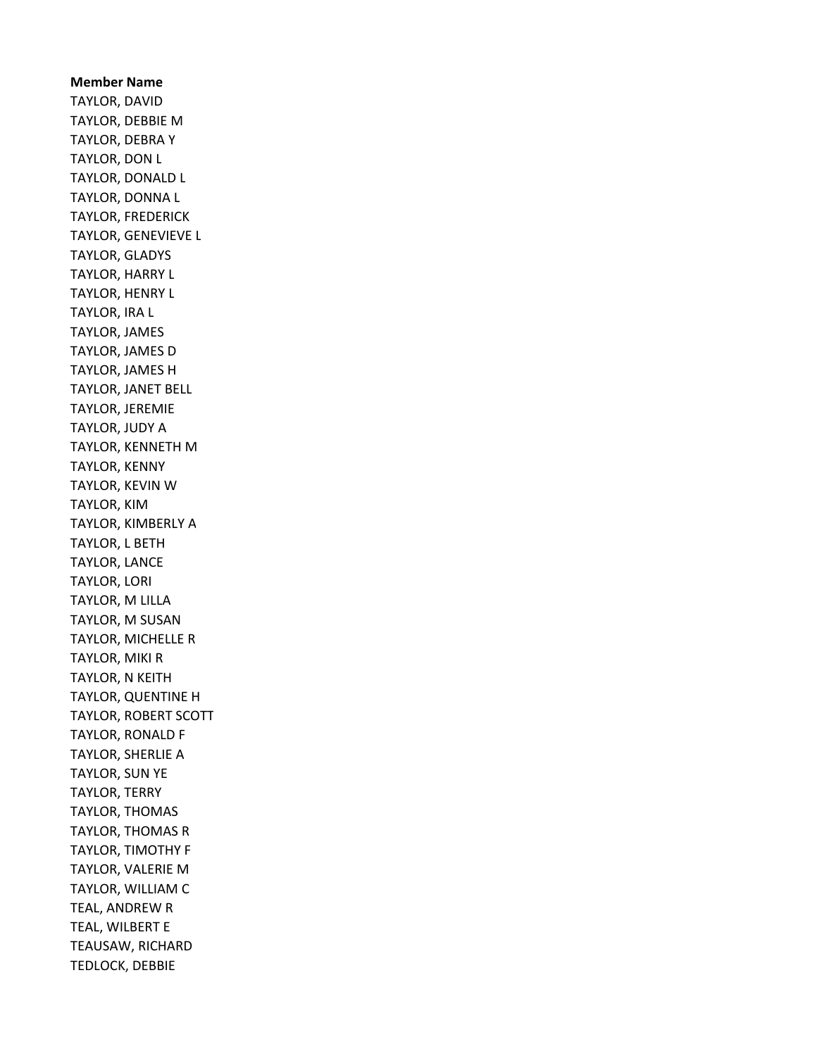Member Name TAYLOR, DAVID TAYLOR, DEBBIE M TAYLOR, DEBRA Y TAYLOR, DON L TAYLOR, DONALD L TAYLOR, DONNA L TAYLOR, FREDERICK TAYLOR, GENEVIEVE L TAYLOR, GLADYS TAYLOR, HARRY L TAYLOR, HENRY L TAYLOR, IRA L TAYLOR, JAMES TAYLOR, JAMES D TAYLOR, JAMES H TAYLOR, JANET BELL TAYLOR, JEREMIE TAYLOR, JUDY A TAYLOR, KENNETH M TAYLOR, KENNY TAYLOR, KEVIN W TAYLOR, KIM TAYLOR, KIMBERLY A TAYLOR, L BETH TAYLOR, LANCE TAYLOR, LORI TAYLOR, M LILLA TAYLOR, M SUSAN TAYLOR, MICHELLE R TAYLOR, MIKI R TAYLOR, N KEITH TAYLOR, QUENTINE H TAYLOR, ROBERT SCOTT TAYLOR, RONALD F TAYLOR, SHERLIE A TAYLOR, SUN YE TAYLOR, TERRY TAYLOR, THOMAS TAYLOR, THOMAS R TAYLOR, TIMOTHY F TAYLOR, VALERIE M TAYLOR, WILLIAM C TEAL, ANDREW R TEAL, WILBERT E TEAUSAW, RICHARD TEDLOCK, DEBBIE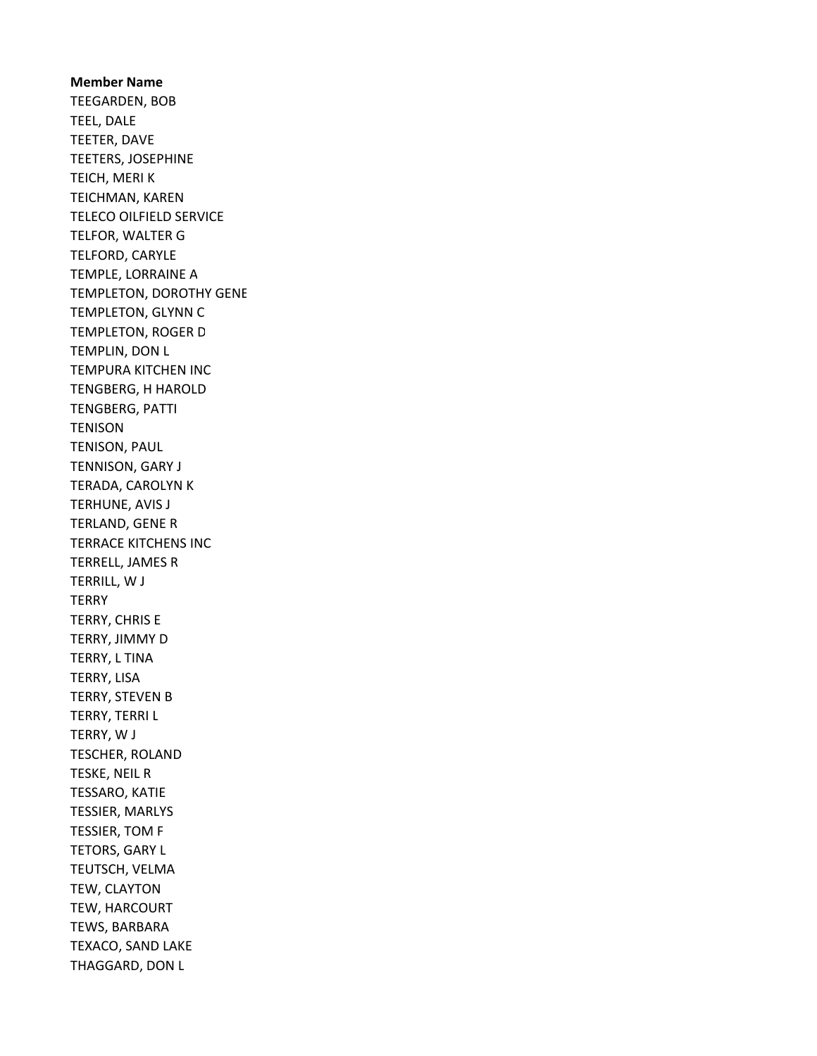Member Name TEEGARDEN, BOB TEEL, DALE TEETER, DAVE TEETERS, JOSEPHINE TEICH, MERI K TEICHMAN, KAREN TELECO OILFIELD SERVICE TELFOR, WALTER G TELFORD, CARYLE TEMPLE, LORRAINE A TEMPLETON, DOROTHY GENE TEMPLETON, GLYNN C TEMPLETON, ROGER D TEMPLIN, DON L TEMPURA KITCHEN INC TENGBERG, H HAROLD TENGBERG, PATTI **TENISON** TENISON, PAUL TENNISON, GARY J TERADA, CAROLYN K TERHUNE, AVIS J TERLAND, GENE R TERRACE KITCHENS INC TERRELL, JAMES R TERRILL, W J **TERRY** TERRY, CHRIS E TERRY, JIMMY D TERRY, L TINA TERRY, LISA TERRY, STEVEN B TERRY, TERRI L TERRY, W J TESCHER, ROLAND TESKE, NEIL R TESSARO, KATIE TESSIER, MARLYS TESSIER, TOM F TETORS, GARY L TEUTSCH, VELMA TEW, CLAYTON TEW, HARCOURT TEWS, BARBARA TEXACO, SAND LAKE THAGGARD, DON L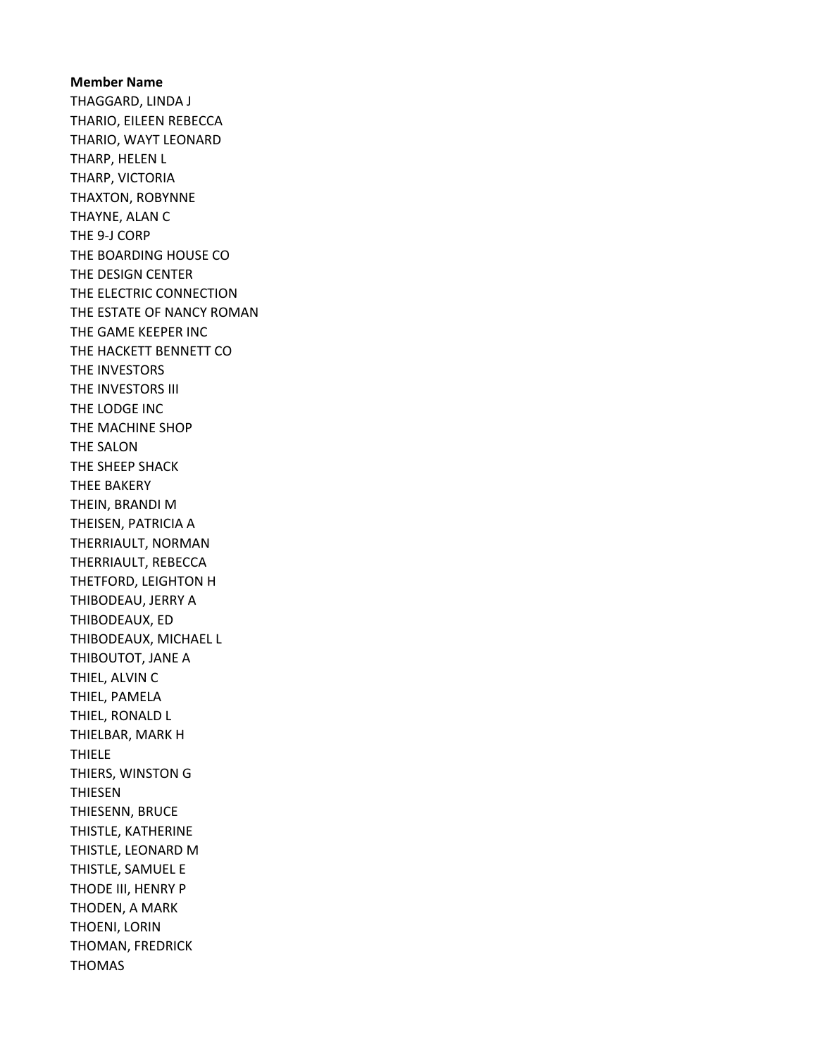Member Name THAGGARD, LINDA J THARIO, EILEEN REBECCA THARIO, WAYT LEONARD THARP, HELEN L THARP, VICTORIA THAXTON, ROBYNNE THAYNE, ALAN C THE 9-J CORP THE BOARDING HOUSE CO THE DESIGN CENTER THE ELECTRIC CONNECTION THE ESTATE OF NANCY ROMAN THE GAME KEEPER INC THE HACKETT BENNETT CO THE INVESTORS THE INVESTORS III THE LODGE INC THE MACHINE SHOP THE SALON THE SHEEP SHACK THEE BAKERY THEIN, BRANDI M THEISEN, PATRICIA A THERRIAULT, NORMAN THERRIAULT, REBECCA THETFORD, LEIGHTON H THIBODEAU, JERRY A THIBODEAUX, ED THIBODEAUX, MICHAEL L THIBOUTOT, JANE A THIEL, ALVIN C THIEL, PAMELA THIEL, RONALD L THIELBAR, MARK H THIELE THIERS, WINSTON G THIESEN THIESENN, BRUCE THISTLE, KATHERINE THISTLE, LEONARD M THISTLE, SAMUEL E THODE III, HENRY P THODEN, A MARK THOENI, LORIN THOMAN, FREDRICK THOMAS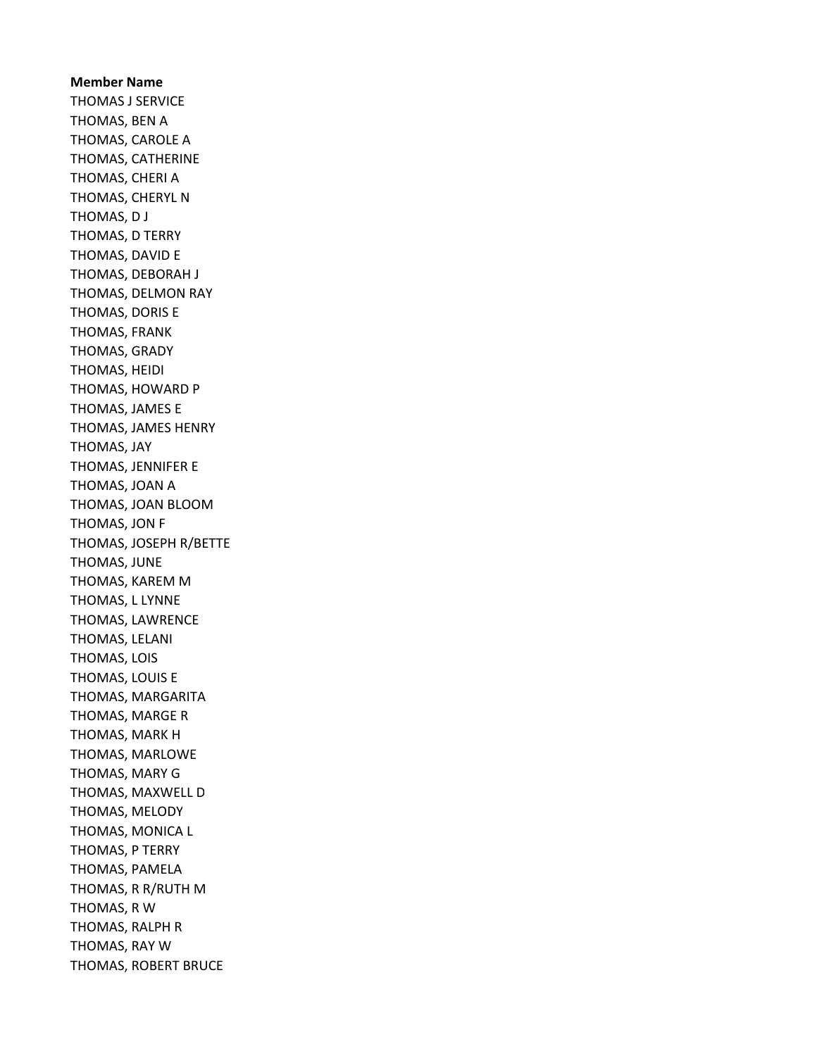Member Name THOMAS J SERVICE THOMAS, BEN A THOMAS, CAROLE A THOMAS, CATHERINE THOMAS, CHERI A THOMAS, CHERYL N THOMAS, D J THOMAS, D TERRY THOMAS, DAVID E THOMAS, DEBORAH J THOMAS, DELMON RAY THOMAS, DORIS E THOMAS, FRANK THOMAS, GRADY THOMAS, HEIDI THOMAS, HOWARD P THOMAS, JAMES E THOMAS, JAMES HENRY THOMAS, JAY THOMAS, JENNIFER E THOMAS, JOAN A THOMAS, JOAN BLOOM THOMAS, JON F THOMAS, JOSEPH R/BETTE THOMAS, JUNE THOMAS, KAREM M THOMAS, L LYNNE THOMAS, LAWRENCE THOMAS, LELANI THOMAS, LOIS THOMAS, LOUIS E THOMAS, MARGARITA THOMAS, MARGE R THOMAS, MARK H THOMAS, MARLOWE THOMAS, MARY G THOMAS, MAXWELL D THOMAS, MELODY THOMAS, MONICA L THOMAS, P TERRY THOMAS, PAMELA THOMAS, R R/RUTH M THOMAS, R W THOMAS, RALPH R THOMAS, RAY W THOMAS, ROBERT BRUCE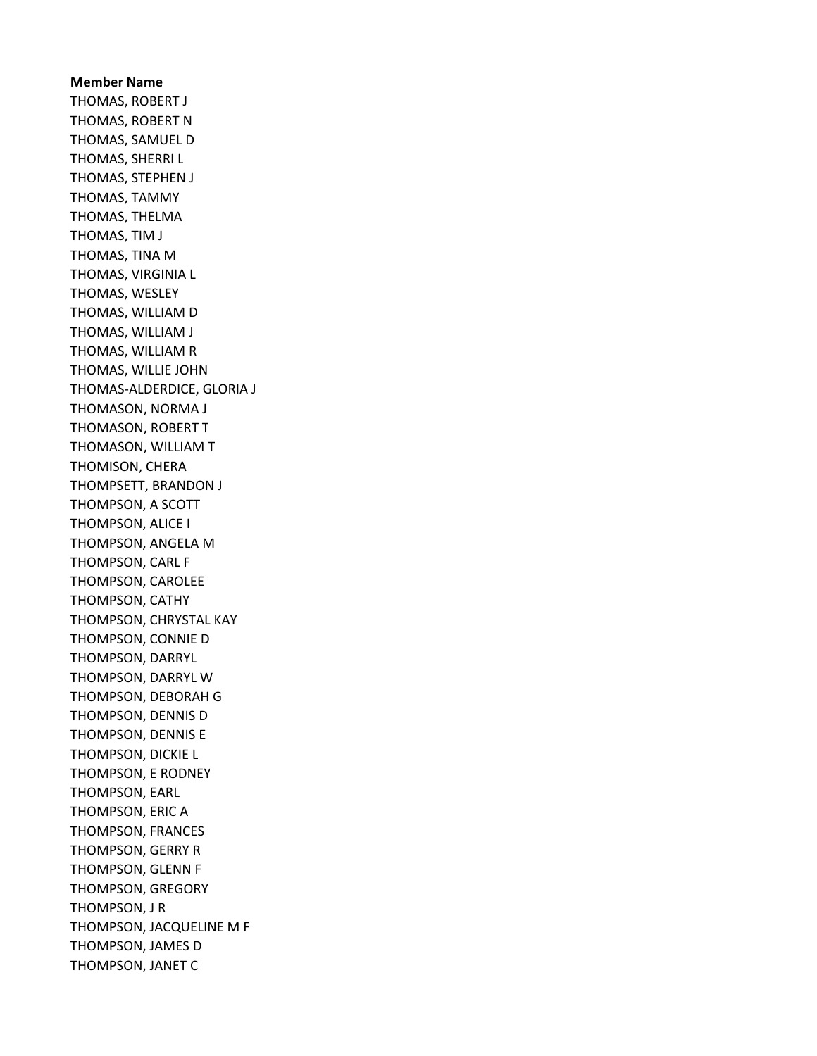Member Name THOMAS, ROBERT J THOMAS, ROBERT N THOMAS, SAMUEL D THOMAS, SHERRI L THOMAS, STEPHEN J THOMAS, TAMMY THOMAS, THELMA THOMAS, TIM J THOMAS, TINA M THOMAS, VIRGINIA L THOMAS, WESLEY THOMAS, WILLIAM D THOMAS, WILLIAM J THOMAS, WILLIAM R THOMAS, WILLIE JOHN THOMAS-ALDERDICE, GLORIA J THOMASON, NORMA J THOMASON, ROBERT T THOMASON, WILLIAM T THOMISON, CHERA THOMPSETT, BRANDON J THOMPSON, A SCOTT THOMPSON, ALICE I THOMPSON, ANGELA M THOMPSON, CARL F THOMPSON, CAROLEE THOMPSON, CATHY THOMPSON, CHRYSTAL KAY THOMPSON, CONNIE D THOMPSON, DARRYL THOMPSON, DARRYL W THOMPSON, DEBORAH G THOMPSON, DENNIS D THOMPSON, DENNIS E THOMPSON, DICKIE L THOMPSON, E RODNEY THOMPSON, EARL THOMPSON, ERIC A THOMPSON, FRANCES THOMPSON, GERRY R THOMPSON, GLENN F THOMPSON, GREGORY THOMPSON, J R THOMPSON, JACQUELINE M F THOMPSON, JAMES D THOMPSON, JANET C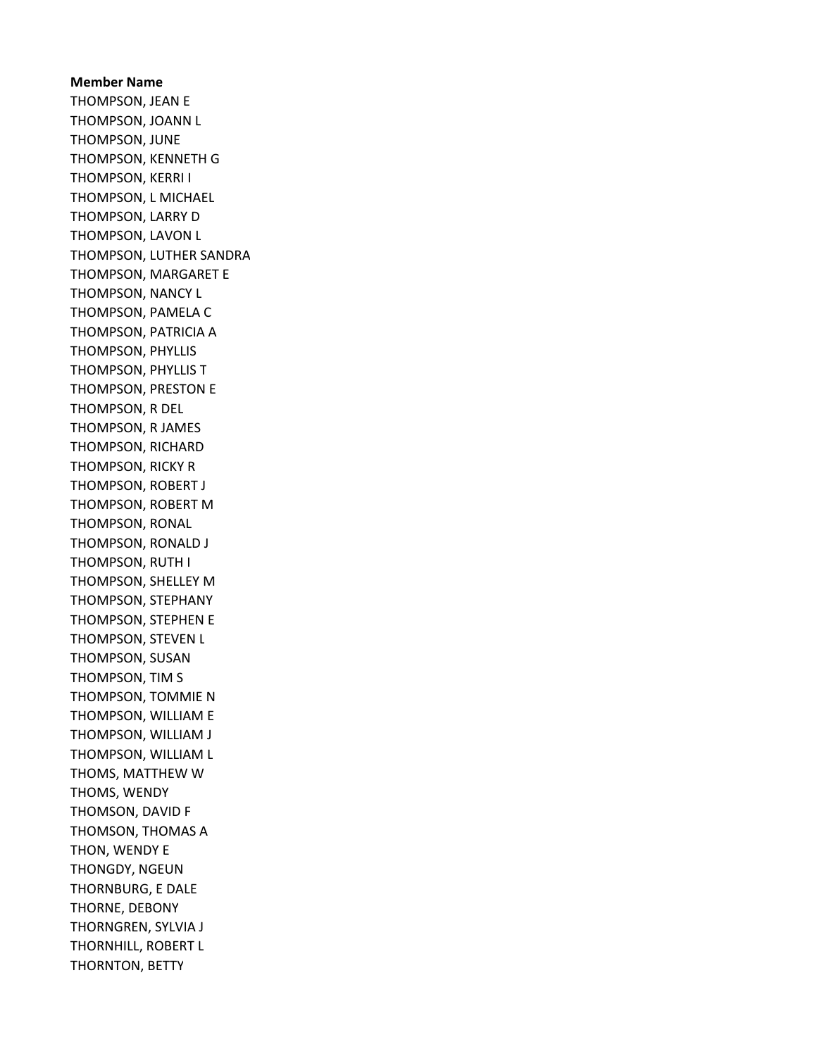Member Name THOMPSON, JEAN E THOMPSON, JOANN L THOMPSON, JUNE THOMPSON, KENNETH G THOMPSON, KERRI I THOMPSON, L MICHAEL THOMPSON, LARRY D THOMPSON, LAVON L THOMPSON, LUTHER SANDRA THOMPSON, MARGARET E THOMPSON, NANCY L THOMPSON, PAMELA C THOMPSON, PATRICIA A THOMPSON, PHYLLIS THOMPSON, PHYLLIS T THOMPSON, PRESTON E THOMPSON, R DEL THOMPSON, R JAMES THOMPSON, RICHARD THOMPSON, RICKY R THOMPSON, ROBERT J THOMPSON, ROBERT M THOMPSON, RONAL THOMPSON, RONALD J THOMPSON, RUTH I THOMPSON, SHELLEY M THOMPSON, STEPHANY THOMPSON, STEPHEN E THOMPSON, STEVEN L THOMPSON, SUSAN THOMPSON, TIM S THOMPSON, TOMMIE N THOMPSON, WILLIAM E THOMPSON, WILLIAM J THOMPSON, WILLIAM L THOMS, MATTHEW W THOMS, WENDY THOMSON, DAVID F THOMSON, THOMAS A THON, WENDY E THONGDY, NGEUN THORNBURG, E DALE THORNE, DEBONY THORNGREN, SYLVIA J THORNHILL, ROBERT L THORNTON, BETTY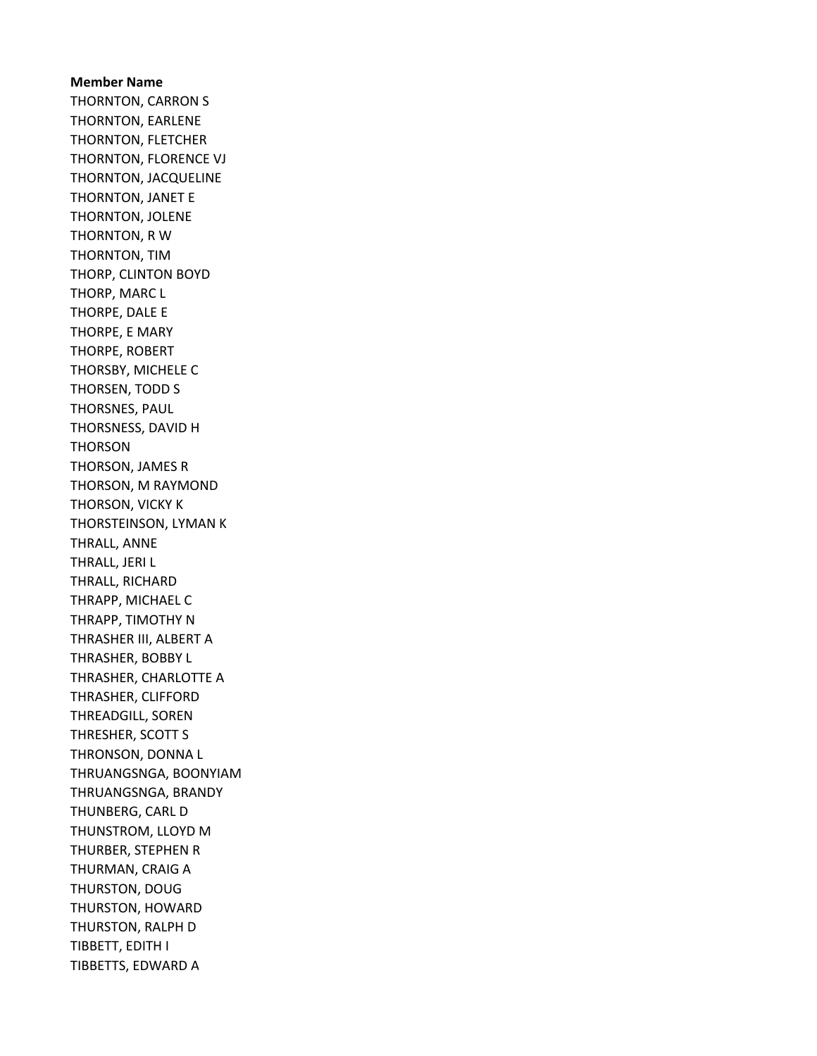Member Name THORNTON, CARRON S THORNTON, EARLENE THORNTON, FLETCHER THORNTON, FLORENCE VJ THORNTON, JACQUELINE THORNTON, JANET E THORNTON, JOLENE THORNTON, R W THORNTON, TIM THORP, CLINTON BOYD THORP, MARC L THORPE, DALE E THORPE, E MARY THORPE, ROBERT THORSBY, MICHELE C THORSEN, TODD S THORSNES, PAUL THORSNESS, DAVID H THORSON THORSON, JAMES R THORSON, M RAYMOND THORSON, VICKY K THORSTEINSON, LYMAN K THRALL, ANNE THRALL, JERI L THRALL, RICHARD THRAPP, MICHAEL C THRAPP, TIMOTHY N THRASHER III, ALBERT A THRASHER, BOBBY L THRASHER, CHARLOTTE A THRASHER, CLIFFORD THREADGILL, SOREN THRESHER, SCOTT S THRONSON, DONNA L THRUANGSNGA, BOONYIAM THRUANGSNGA, BRANDY THUNBERG, CARL D THUNSTROM, LLOYD M THURBER, STEPHEN R THURMAN, CRAIG A THURSTON, DOUG THURSTON, HOWARD THURSTON, RALPH D TIBBETT, EDITH I TIBBETTS, EDWARD A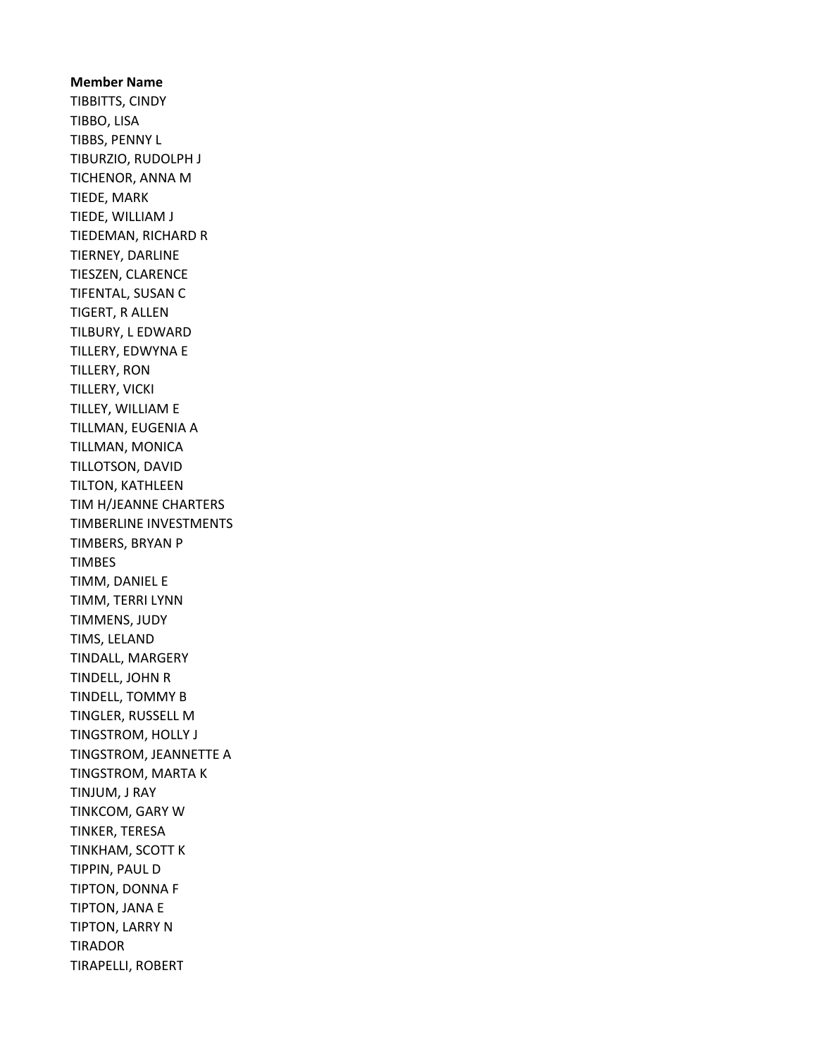# Member Name TIBBITTS, CINDY TIBBO, LISA TIBBS, PENNY L TIBURZIO, RUDOLPH J TICHENOR, ANNA M TIEDE, MARK TIEDE, WILLIAM J TIEDEMAN, RICHARD R TIERNEY, DARLINE TIESZEN, CLARENCE TIFENTAL, SUSAN C TIGERT, R ALLEN TILBURY, L EDWARD TILLERY, EDWYNA E TILLERY, RON TILLERY, VICKI TILLEY, WILLIAM E TILLMAN, EUGENIA A TILLMAN, MONICA TILLOTSON, DAVID TILTON, KATHLEEN TIM H/JEANNE CHARTERS TIMBERLINE INVESTMENTS TIMBERS, BRYAN P TIMBES TIMM, DANIEL E TIMM, TERRI LYNN TIMMENS, JUDY TIMS, LELAND TINDALL, MARGERY TINDELL, JOHN R TINDELL, TOMMY B TINGLER, RUSSELL M TINGSTROM, HOLLY J TINGSTROM, JEANNETTE A TINGSTROM, MARTA K TINJUM, J RAY TINKCOM, GARY W TINKER, TERESA TINKHAM, SCOTT K TIPPIN, PAUL D TIPTON, DONNA F TIPTON, JANA E TIPTON, LARRY N TIRADOR TIRAPELLI, ROBERT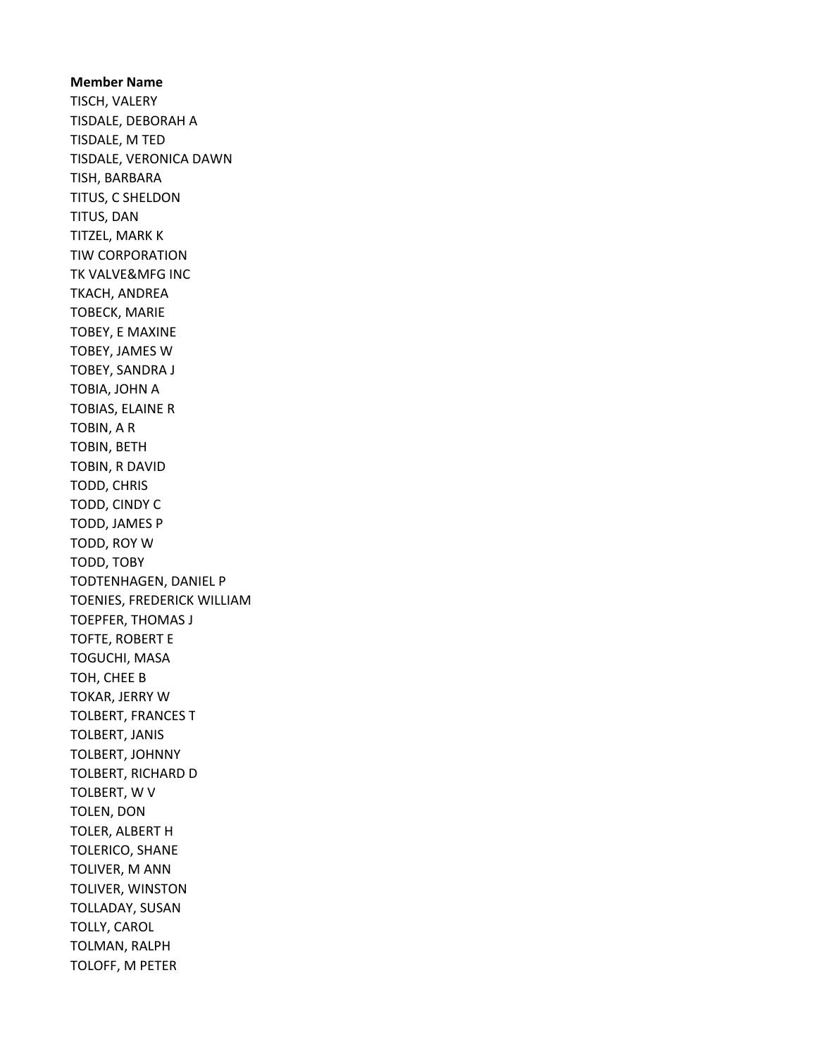Member Name TISCH, VALERY TISDALE, DEBORAH A TISDALE, M TED TISDALE, VERONICA DAWN TISH, BARBARA TITUS, C SHELDON TITUS, DAN TITZEL, MARK K TIW CORPORATION TK VALVE&MFG INC TKACH, ANDREA TOBECK, MARIE TOBEY, E MAXINE TOBEY, JAMES W TOBEY, SANDRA J TOBIA, JOHN A TOBIAS, ELAINE R TOBIN, A R TOBIN, BETH TOBIN, R DAVID TODD, CHRIS TODD, CINDY C TODD, JAMES P TODD, ROY W TODD, TOBY TODTENHAGEN, DANIEL P TOENIES, FREDERICK WILLIAM TOEPFER, THOMAS J TOFTE, ROBERT E TOGUCHI, MASA TOH, CHEE B TOKAR, JERRY W TOLBERT, FRANCES T TOLBERT, JANIS TOLBERT, JOHNNY TOLBERT, RICHARD D TOLBERT, W V TOLEN, DON TOLER, ALBERT H TOLERICO, SHANE TOLIVER, M ANN TOLIVER, WINSTON TOLLADAY, SUSAN TOLLY, CAROL TOLMAN, RALPH TOLOFF, M PETER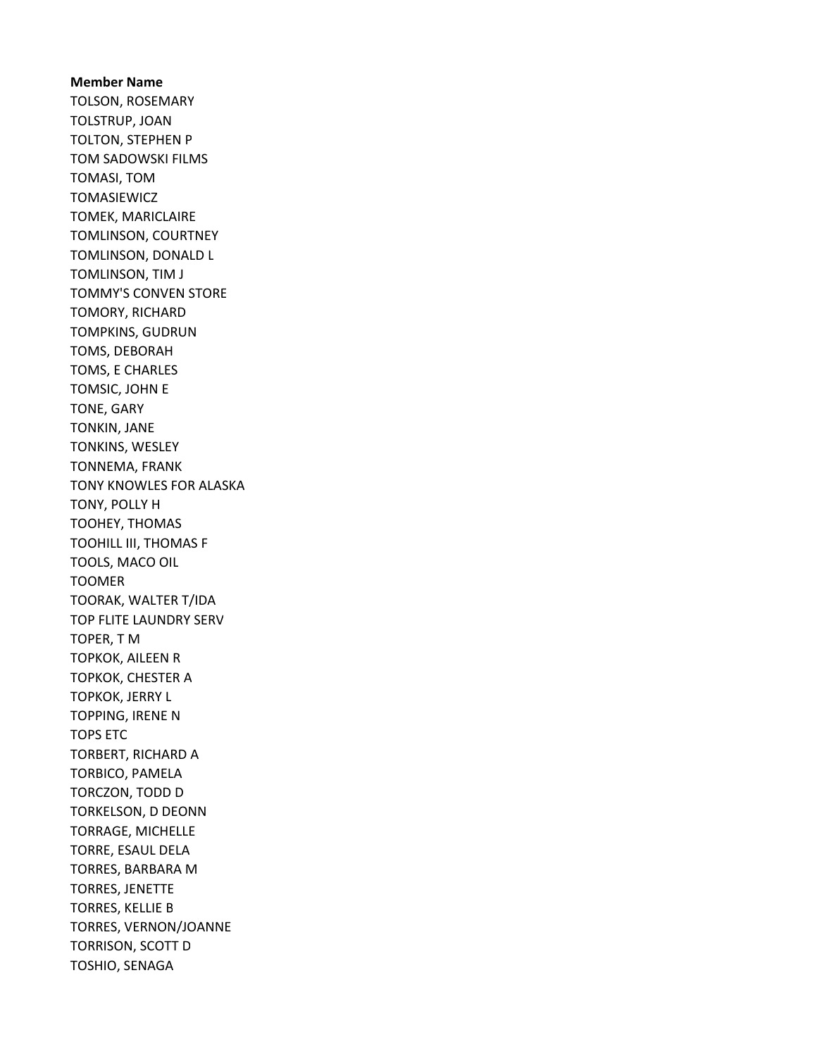Member Name TOLSON, ROSEMARY TOLSTRUP, JOAN TOLTON, STEPHEN P TOM SADOWSKI FILMS TOMASI, TOM TOMASIEWICZ TOMEK, MARICLAIRE TOMLINSON, COURTNEY TOMLINSON, DONALD L TOMLINSON, TIM J TOMMY'S CONVEN STORE TOMORY, RICHARD TOMPKINS, GUDRUN TOMS, DEBORAH TOMS, E CHARLES TOMSIC, JOHN E TONE, GARY TONKIN, JANE TONKINS, WESLEY TONNEMA, FRANK TONY KNOWLES FOR ALASKA TONY, POLLY H TOOHEY, THOMAS TOOHILL III, THOMAS F TOOLS, MACO OIL TOOMER TOORAK, WALTER T/IDA TOP FLITE LAUNDRY SERV TOPER, T M TOPKOK, AILEEN R TOPKOK, CHESTER A TOPKOK, JERRY L TOPPING, IRENE N TOPS ETC TORBERT, RICHARD A TORBICO, PAMELA TORCZON, TODD D TORKELSON, D DEONN TORRAGE, MICHELLE TORRE, ESAUL DELA TORRES, BARBARA M TORRES, JENETTE TORRES, KELLIE B TORRES, VERNON/JOANNE TORRISON, SCOTT D TOSHIO, SENAGA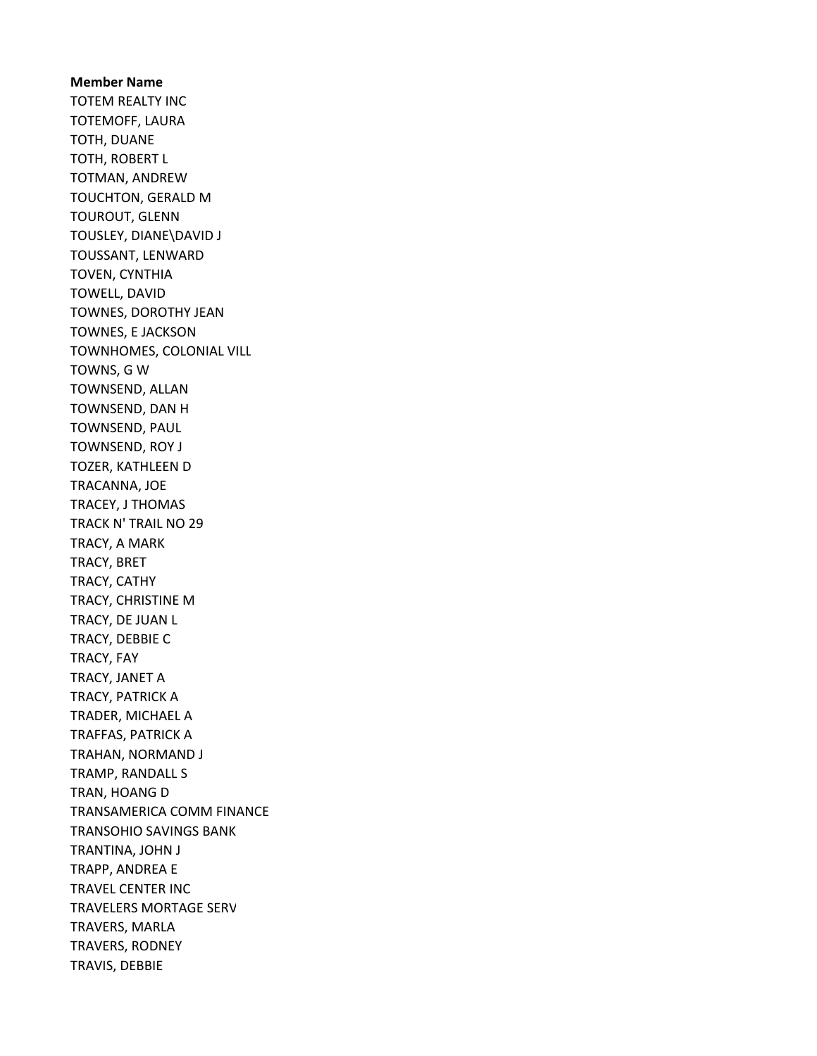Member Name TOTEM REALTY INC TOTEMOFF, LAURA TOTH, DUANE TOTH, ROBERT L TOTMAN, ANDREW TOUCHTON, GERALD M TOUROUT, GLENN TOUSLEY, DIANE\DAVID J TOUSSANT, LENWARD TOVEN, CYNTHIA TOWELL, DAVID TOWNES, DOROTHY JEAN TOWNES, E JACKSON TOWNHOMES, COLONIAL VILL TOWNS, G W TOWNSEND, ALLAN TOWNSEND, DAN H TOWNSEND, PAUL TOWNSEND, ROY J TOZER, KATHLEEN D TRACANNA, JOE TRACEY, J THOMAS TRACK N' TRAIL NO 29 TRACY, A MARK TRACY, BRET TRACY, CATHY TRACY, CHRISTINE M TRACY, DE JUAN L TRACY, DEBBIE C TRACY, FAY TRACY, JANET A TRACY, PATRICK A TRADER, MICHAEL A TRAFFAS, PATRICK A TRAHAN, NORMAND J TRAMP, RANDALL S TRAN, HOANG D TRANSAMERICA COMM FINANCE TRANSOHIO SAVINGS BANK TRANTINA, JOHN J TRAPP, ANDREA E TRAVEL CENTER INC TRAVELERS MORTAGE SERV TRAVERS, MARLA TRAVERS, RODNEY TRAVIS, DEBBIE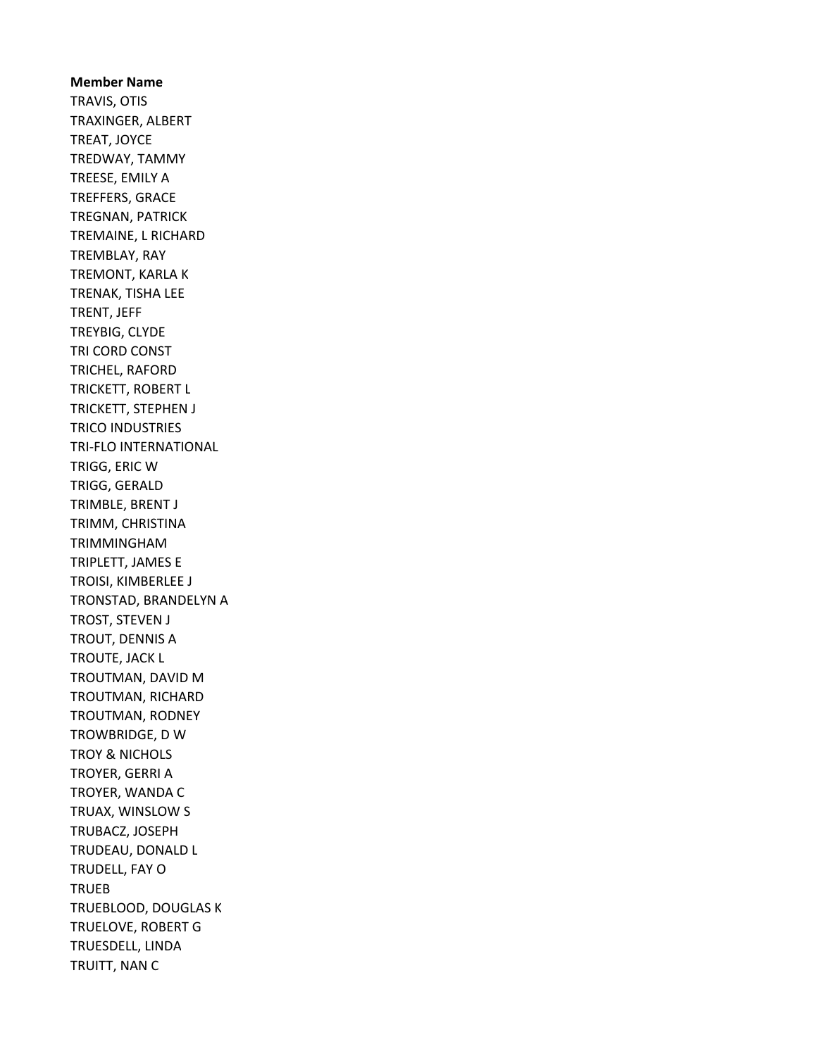Member Name TRAVIS, OTIS TRAXINGER, ALBERT TREAT, JOYCE TREDWAY, TAMMY TREESE, EMILY A TREFFERS, GRACE TREGNAN, PATRICK TREMAINE, L RICHARD TREMBLAY, RAY TREMONT, KARLA K TRENAK, TISHA LEE TRENT, JEFF TREYBIG, CLYDE TRI CORD CONST TRICHEL, RAFORD TRICKETT, ROBERT L TRICKETT, STEPHEN J TRICO INDUSTRIES TRI-FLO INTERNATIONAL TRIGG, ERIC W TRIGG, GERALD TRIMBLE, BRENT J TRIMM, CHRISTINA TRIMMINGHAM TRIPLETT, JAMES E TROISI, KIMBERLEE J TRONSTAD, BRANDELYN A TROST, STEVEN J TROUT, DENNIS A TROUTE, JACK L TROUTMAN, DAVID M TROUTMAN, RICHARD TROUTMAN, RODNEY TROWBRIDGE, D W TROY & NICHOLS TROYER, GERRI A TROYER, WANDA C TRUAX, WINSLOW S TRUBACZ, JOSEPH TRUDEAU, DONALD L TRUDELL, FAY O **TRUEB** TRUEBLOOD, DOUGLAS K TRUELOVE, ROBERT G TRUESDELL, LINDA TRUITT, NAN C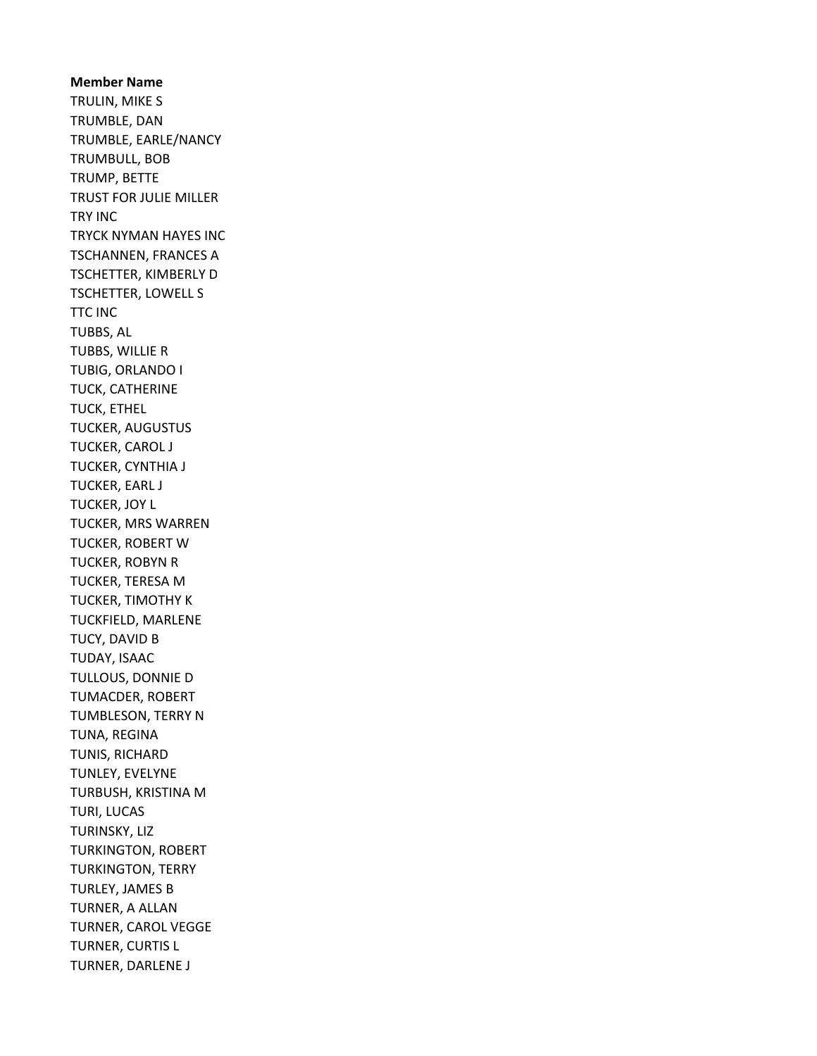Member Name TRULIN, MIKE S TRUMBLE, DAN TRUMBLE, EARLE/NANCY TRUMBULL, BOB TRUMP, BETTE TRUST FOR JULIE MILLER TRY INC TRYCK NYMAN HAYES INC TSCHANNEN, FRANCES A TSCHETTER, KIMBERLY D TSCHETTER, LOWELL S TTC INC TUBBS, AL TUBBS, WILLIE R TUBIG, ORLANDO I TUCK, CATHERINE TUCK, ETHEL TUCKER, AUGUSTUS TUCKER, CAROL J TUCKER, CYNTHIA J TUCKER, EARL J TUCKER, JOY L TUCKER, MRS WARREN TUCKER, ROBERT W TUCKER, ROBYN R TUCKER, TERESA M TUCKER, TIMOTHY K TUCKFIELD, MARLENE TUCY, DAVID B TUDAY, ISAAC TULLOUS, DONNIE D TUMACDER, ROBERT TUMBLESON, TERRY N TUNA, REGINA TUNIS, RICHARD TUNLEY, EVELYNE TURBUSH, KRISTINA M TURI, LUCAS TURINSKY, LIZ TURKINGTON, ROBERT TURKINGTON, TERRY TURLEY, JAMES B TURNER, A ALLAN TURNER, CAROL VEGGE TURNER, CURTIS L TURNER, DARLENE J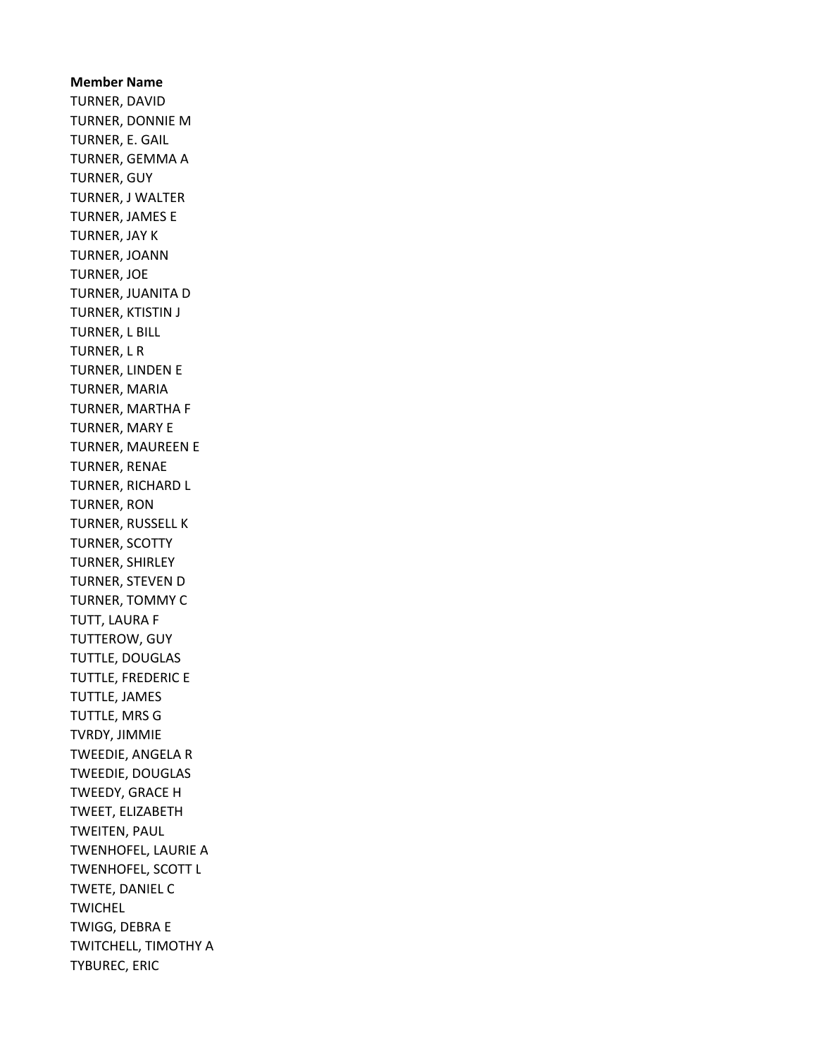Member Name TURNER, DAVID TURNER, DONNIE M TURNER, E. GAIL TURNER, GEMMA A TURNER, GUY TURNER, J WALTER TURNER, JAMES E TURNER, JAY K TURNER, JOANN TURNER, JOE TURNER, JUANITA D TURNER, KTISTIN J TURNER, L BILL TURNER, L R TURNER, LINDEN E TURNER, MARIA TURNER, MARTHA F TURNER, MARY E TURNER, MAUREEN E TURNER, RENAE TURNER, RICHARD L TURNER, RON TURNER, RUSSELL K TURNER, SCOTTY TURNER, SHIRLEY TURNER, STEVEN D TURNER, TOMMY C TUTT, LAURA F TUTTEROW, GUY TUTTLE, DOUGLAS TUTTLE, FREDERIC E TUTTLE, JAMES TUTTLE, MRS G TVRDY, JIMMIE TWEEDIE, ANGELA R TWEEDIE, DOUGLAS TWEEDY, GRACE H TWEET, ELIZABETH TWEITEN, PAUL TWENHOFEL, LAURIE A TWENHOFEL, SCOTT L TWETE, DANIEL C TWICHEL TWIGG, DEBRA E TWITCHELL, TIMOTHY A TYBUREC, ERIC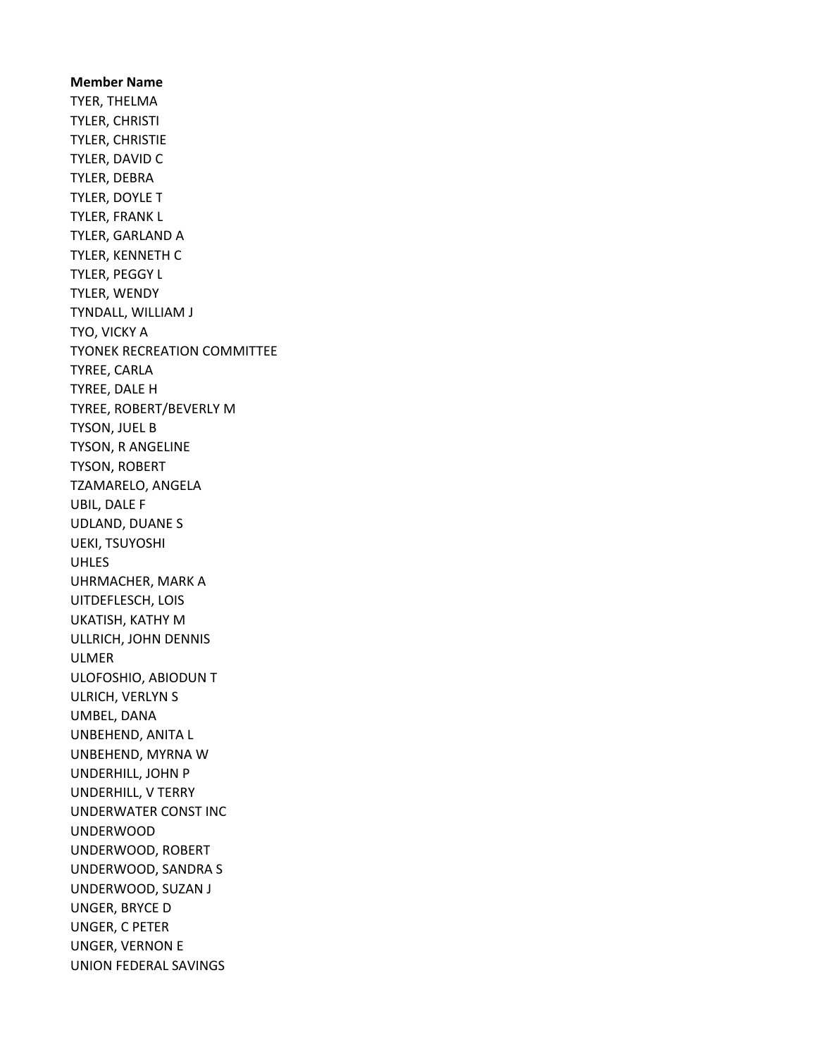Member Name TYER, THELMA TYLER, CHRISTI TYLER, CHRISTIE TYLER, DAVID C TYLER, DEBRA TYLER, DOYLE T TYLER, FRANK L TYLER, GARLAND A TYLER, KENNETH C TYLER, PEGGY L TYLER, WENDY TYNDALL, WILLIAM J TYO, VICKY A TYONEK RECREATION COMMITTEE TYREE, CARLA TYREE, DALE H TYREE, ROBERT/BEVERLY M TYSON, JUEL B TYSON, R ANGELINE TYSON, ROBERT TZAMARELO, ANGELA UBIL, DALE F UDLAND, DUANE S UEKI, TSUYOSHI UHLES UHRMACHER, MARK A UITDEFLESCH, LOIS UKATISH, KATHY M ULLRICH, JOHN DENNIS ULMER ULOFOSHIO, ABIODUN T ULRICH, VERLYN S UMBEL, DANA UNBEHEND, ANITA L UNBEHEND, MYRNA W UNDERHILL, JOHN P UNDERHILL, V TERRY UNDERWATER CONST INC UNDERWOOD UNDERWOOD, ROBERT UNDERWOOD, SANDRA S UNDERWOOD, SUZAN J UNGER, BRYCE D UNGER, C PETER UNGER, VERNON E UNION FEDERAL SAVINGS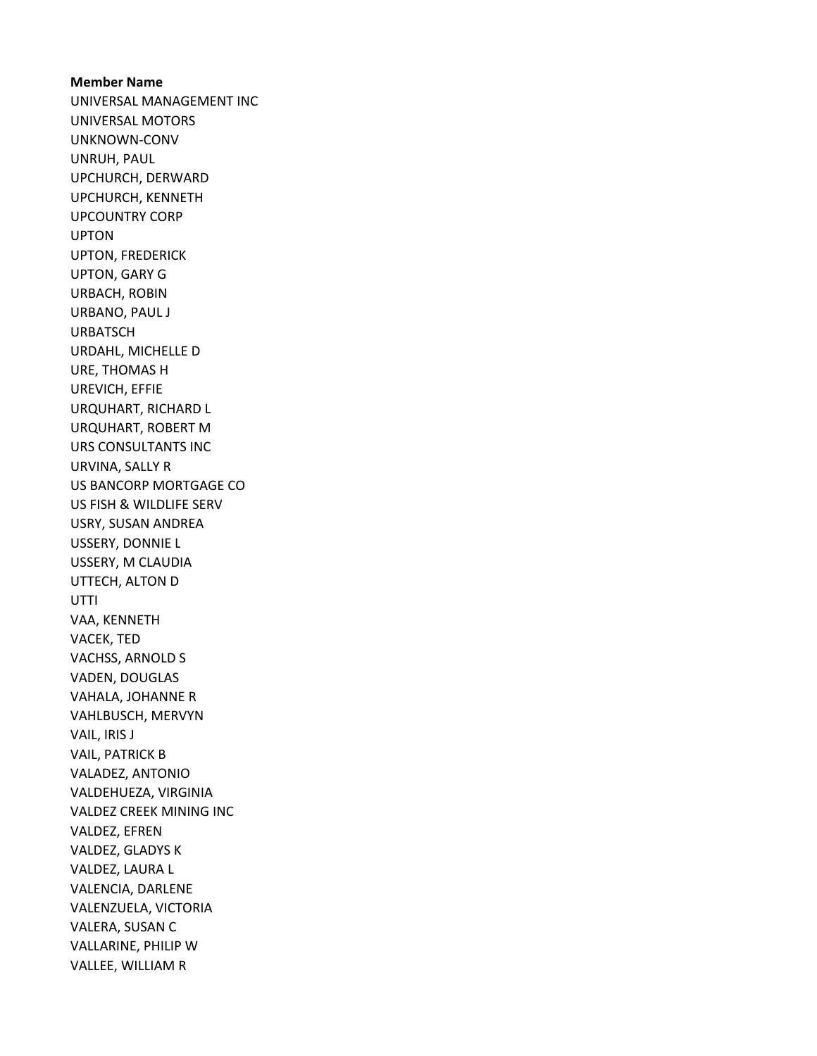Member Name UNIVERSAL MANAGEMENT INC UNIVERSAL MOTORS UNKNOWN-CONV UNRUH, PAUL UPCHURCH, DERWARD UPCHURCH, KENNETH UPCOUNTRY CORP UPTON UPTON, FREDERICK UPTON, GARY G URBACH, ROBIN URBANO, PAUL J URBATSCH URDAHL, MICHELLE D URE, THOMAS H UREVICH, EFFIE URQUHART, RICHARD L URQUHART, ROBERT M URS CONSULTANTS INC URVINA, SALLY R US BANCORP MORTGAGE CO US FISH & WILDLIFE SERV USRY, SUSAN ANDREA USSERY, DONNIE L USSERY, M CLAUDIA UTTECH, ALTON D UTTI VAA, KENNETH VACEK, TED VACHSS, ARNOLD S VADEN, DOUGLAS VAHALA, JOHANNE R VAHLBUSCH, MERVYN VAIL, IRIS J VAIL, PATRICK B VALADEZ, ANTONIO VALDEHUEZA, VIRGINIA VALDEZ CREEK MINING INC VALDEZ, EFREN VALDEZ, GLADYS K VALDEZ, LAURA L VALENCIA, DARLENE VALENZUELA, VICTORIA VALERA, SUSAN C VALLARINE, PHILIP W VALLEE, WILLIAM R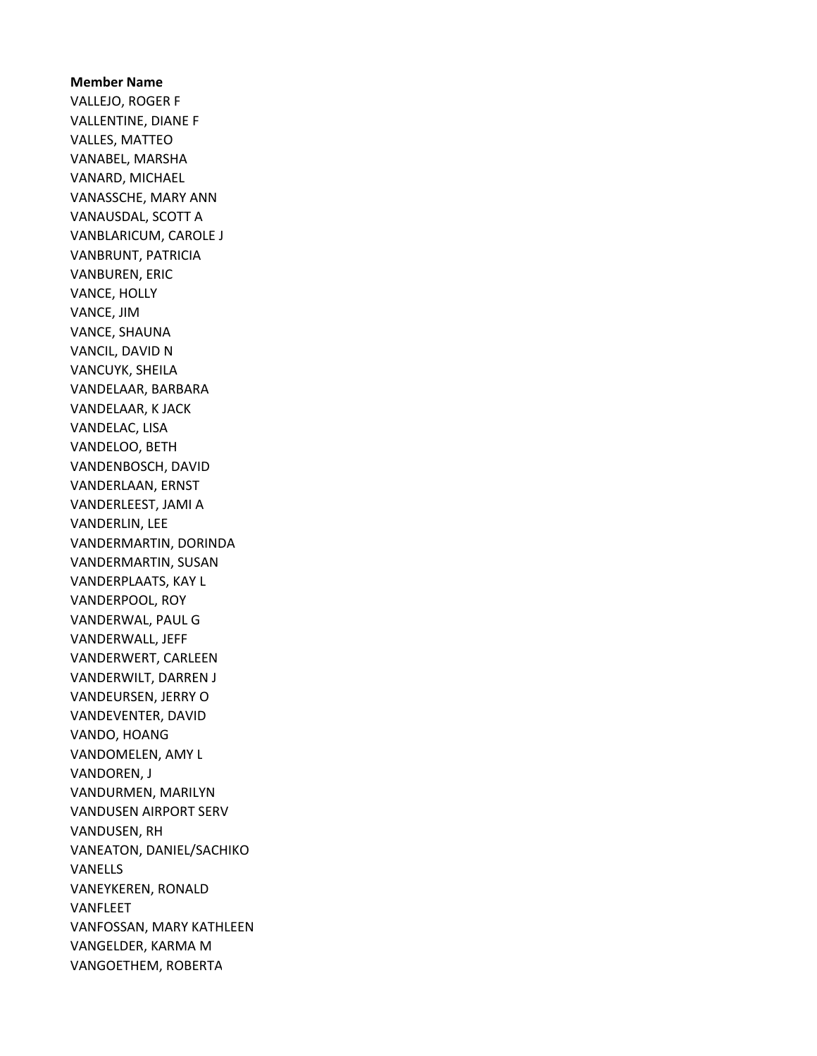Member Name VALLEJO, ROGER F VALLENTINE, DIANE F VALLES, MATTEO VANABEL, MARSHA VANARD, MICHAEL VANASSCHE, MARY ANN VANAUSDAL, SCOTT A VANBLARICUM, CAROLE J VANBRUNT, PATRICIA VANBUREN, ERIC VANCE, HOLLY VANCE, JIM VANCE, SHAUNA VANCIL, DAVID N VANCUYK, SHEILA VANDELAAR, BARBARA VANDELAAR, K JACK VANDELAC, LISA VANDELOO, BETH VANDENBOSCH, DAVID VANDERLAAN, ERNST VANDERLEEST, JAMI A VANDERLIN, LEE VANDERMARTIN, DORINDA VANDERMARTIN, SUSAN VANDERPLAATS, KAY L VANDERPOOL, ROY VANDERWAL, PAUL G VANDERWALL, JEFF VANDERWERT, CARLEEN VANDERWILT, DARREN J VANDEURSEN, JERRY O VANDEVENTER, DAVID VANDO, HOANG VANDOMELEN, AMY L VANDOREN, J VANDURMEN, MARILYN VANDUSEN AIRPORT SERV VANDUSEN, RH VANEATON, DANIEL/SACHIKO VANELLS VANEYKEREN, RONALD VANFLEET VANFOSSAN, MARY KATHLEEN VANGELDER, KARMA M VANGOETHEM, ROBERTA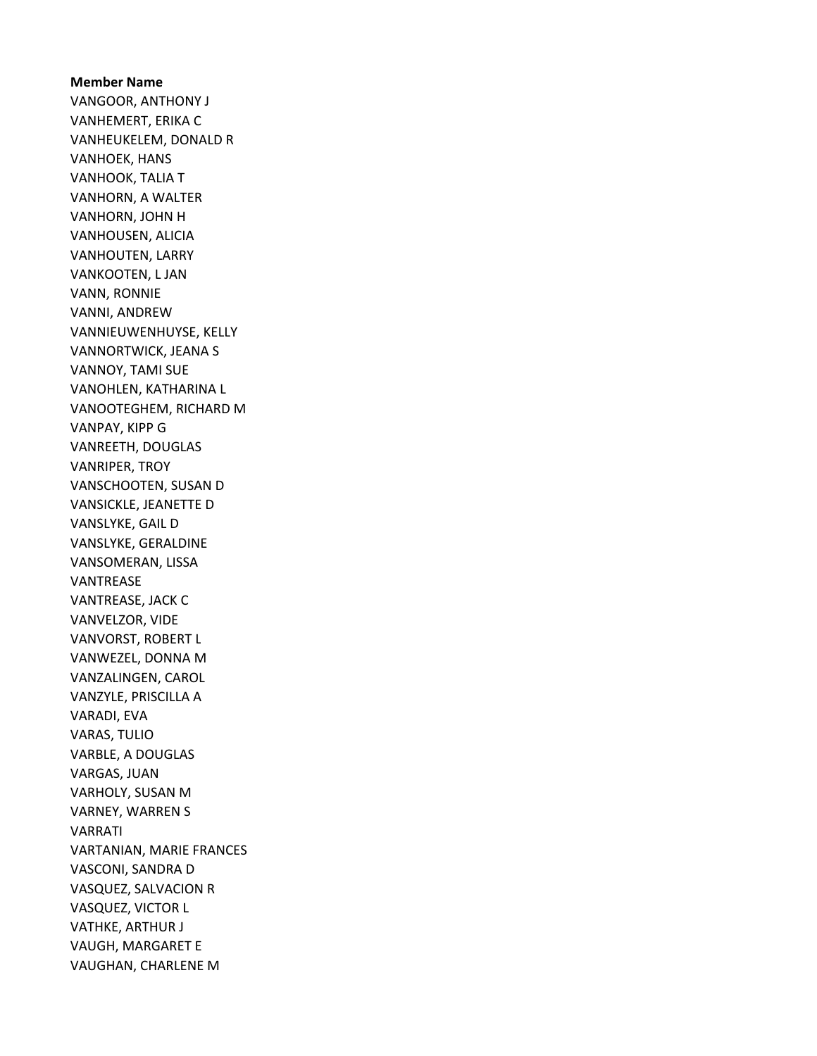# Member Name VANGOOR, ANTHONY J VANHEMERT, ERIKA C VANHEUKELEM, DONALD R VANHOEK, HANS VANHOOK, TALIA T VANHORN, A WALTER VANHORN, JOHN H VANHOUSEN, ALICIA VANHOUTEN, LARRY VANKOOTEN, L JAN VANN, RONNIE VANNI, ANDREW VANNIEUWENHUYSE, KELLY VANNORTWICK, JEANA S VANNOY, TAMI SUE VANOHLEN, KATHARINA L VANOOTEGHEM, RICHARD M VANPAY, KIPP G VANREETH, DOUGLAS VANRIPER, TROY VANSCHOOTEN, SUSAN D VANSICKLE, JEANETTE D VANSLYKE, GAIL D VANSLYKE, GERALDINE VANSOMERAN, LISSA VANTREASE VANTREASE, JACK C VANVELZOR, VIDE VANVORST, ROBERT L VANWEZEL, DONNA M VANZALINGEN, CAROL VANZYLE, PRISCILLA A VARADI, EVA VARAS, TULIO VARBLE, A DOUGLAS VARGAS, JUAN VARHOLY, SUSAN M VARNEY, WARREN S VARRATI VARTANIAN, MARIE FRANCES VASCONI, SANDRA D VASQUEZ, SALVACION R VASQUEZ, VICTOR L VATHKE, ARTHUR J VAUGH, MARGARET E VAUGHAN, CHARLENE M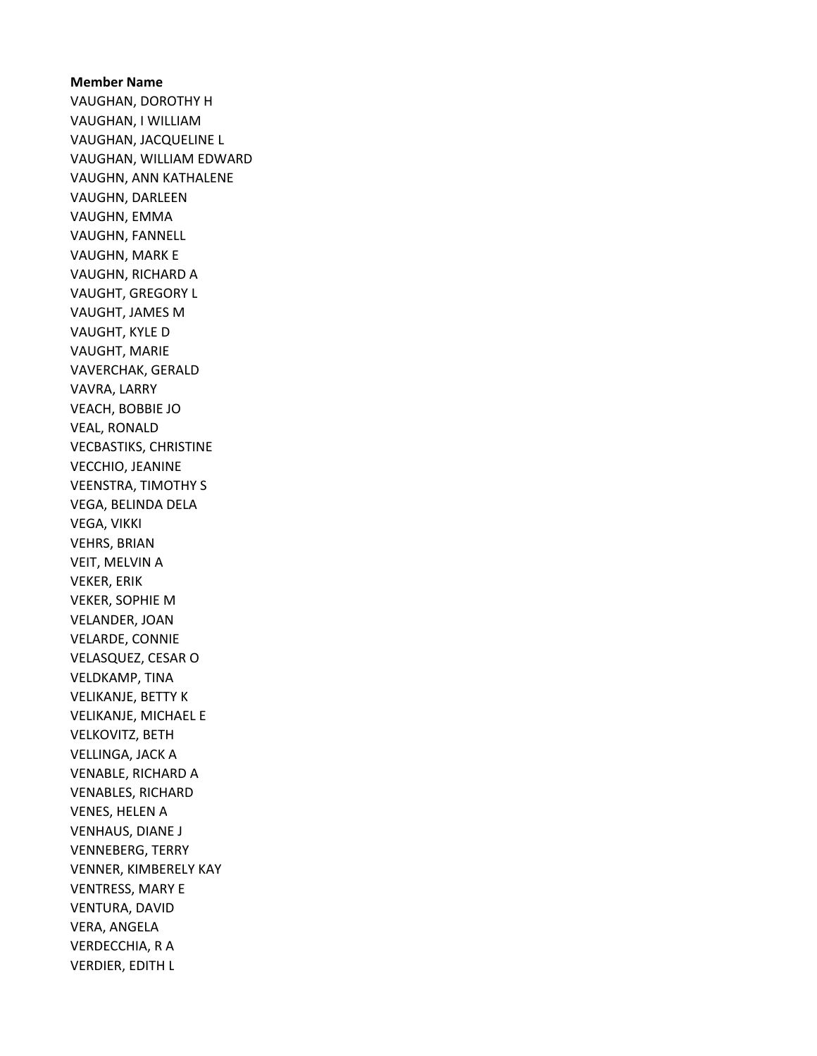# Member Name VAUGHAN, DOROTHY H VAUGHAN, I WILLIAM VAUGHAN, JACQUELINE L VAUGHAN, WILLIAM EDWARD VAUGHN, ANN KATHALENE VAUGHN, DARLEEN VAUGHN, EMMA VAUGHN, FANNELL VAUGHN, MARK E VAUGHN, RICHARD A VAUGHT, GREGORY L VAUGHT, JAMES M VAUGHT, KYLE D VAUGHT, MARIE VAVERCHAK, GERALD VAVRA, LARRY VEACH, BOBBIE JO VEAL, RONALD VECBASTIKS, CHRISTINE VECCHIO, JEANINE VEENSTRA, TIMOTHY S VEGA, BELINDA DELA VEGA, VIKKI VEHRS, BRIAN VEIT, MELVIN A VEKER, ERIK VEKER, SOPHIE M VELANDER, JOAN VELARDE, CONNIE VELASQUEZ, CESAR O VELDKAMP, TINA VELIKANJE, BETTY K VELIKANJE, MICHAEL E VELKOVITZ, BETH VELLINGA, JACK A VENABLE, RICHARD A VENABLES, RICHARD VENES, HELEN A VENHAUS, DIANE J VENNEBERG, TERRY VENNER, KIMBERELY KAY VENTRESS, MARY E VENTURA, DAVID VERA, ANGELA VERDECCHIA, R A VERDIER, EDITH L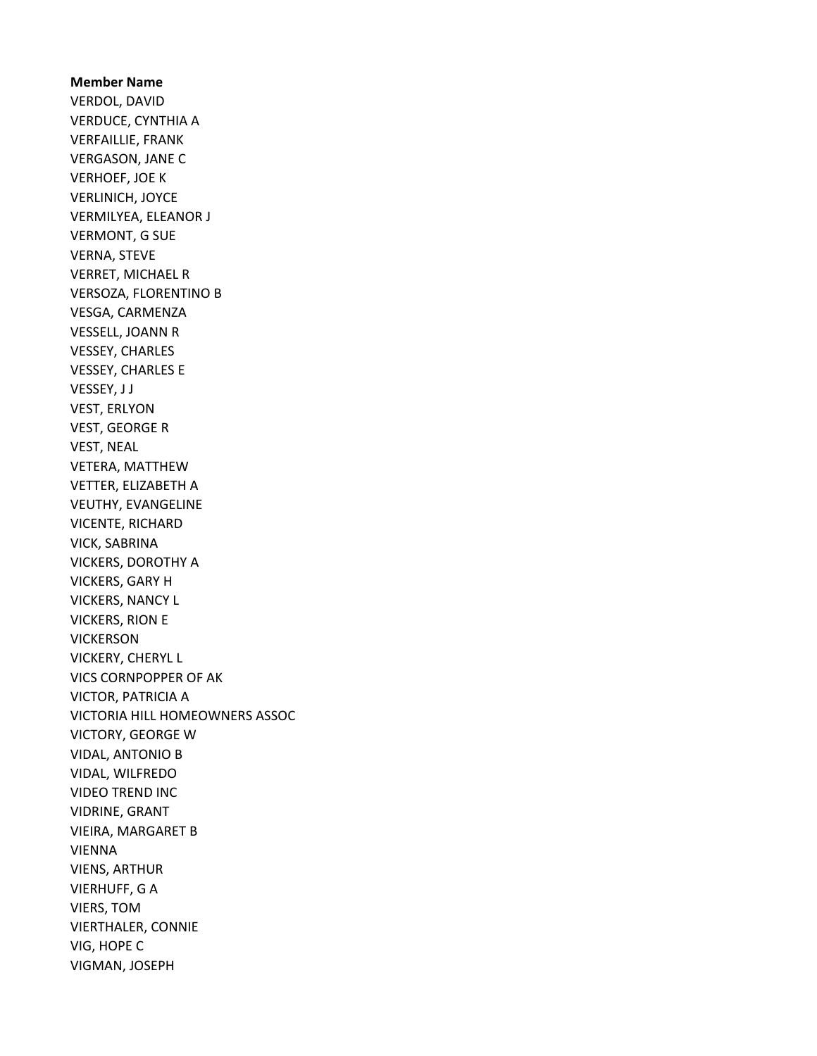Member Name VERDOL, DAVID VERDUCE, CYNTHIA A VERFAILLIE, FRANK VERGASON, JANE C VERHOEF, JOE K VERLINICH, JOYCE VERMILYEA, ELEANOR J VERMONT, G SUE VERNA, STEVE VERRET, MICHAEL R VERSOZA, FLORENTINO B VESGA, CARMENZA VESSELL, JOANN R VESSEY, CHARLES VESSEY, CHARLES E VESSEY, J J VEST, ERLYON VEST, GEORGE R VEST, NEAL VETERA, MATTHEW VETTER, ELIZABETH A VEUTHY, EVANGELINE VICENTE, RICHARD VICK, SABRINA VICKERS, DOROTHY A VICKERS, GARY H VICKERS, NANCY L VICKERS, RION E VICKERSON VICKERY, CHERYL L VICS CORNPOPPER OF AK VICTOR, PATRICIA A VICTORIA HILL HOMEOWNERS ASSOC VICTORY, GEORGE W VIDAL, ANTONIO B VIDAL, WILFREDO VIDEO TREND INC VIDRINE, GRANT VIEIRA, MARGARET B VIENNA VIENS, ARTHUR VIERHUFF, G A VIERS, TOM VIERTHALER, CONNIE VIG, HOPE C VIGMAN, JOSEPH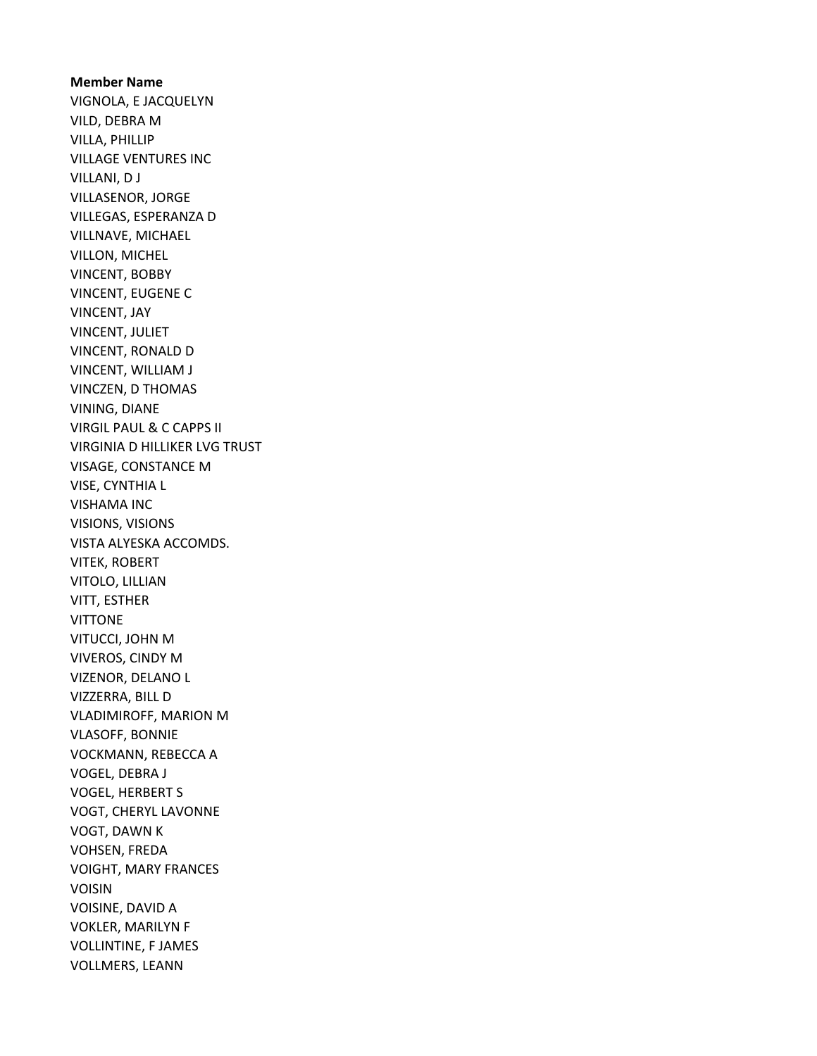Member Name VIGNOLA, E JACQUELYN VILD, DEBRA M VILLA, PHILLIP VILLAGE VENTURES INC VILLANI, D J VILLASENOR, JORGE VILLEGAS, ESPERANZA D VILLNAVE, MICHAEL VILLON, MICHEL VINCENT, BOBBY VINCENT, EUGENE C VINCENT, JAY VINCENT, JULIET VINCENT, RONALD D VINCENT, WILLIAM J VINCZEN, D THOMAS VINING, DIANE VIRGIL PAUL & C CAPPS II VIRGINIA D HILLIKER LVG TRUST VISAGE, CONSTANCE M VISE, CYNTHIA L VISHAMA INC VISIONS, VISIONS VISTA ALYESKA ACCOMDS. VITEK, ROBERT VITOLO, LILLIAN VITT, ESTHER **VITTONE** VITUCCI, JOHN M VIVEROS, CINDY M VIZENOR, DELANO L VIZZERRA, BILL D VLADIMIROFF, MARION M VLASOFF, BONNIE VOCKMANN, REBECCA A VOGEL, DEBRA J VOGEL, HERBERT S VOGT, CHERYL LAVONNE VOGT, DAWN K VOHSEN, FREDA VOIGHT, MARY FRANCES VOISIN VOISINE, DAVID A VOKLER, MARILYN F VOLLINTINE, F JAMES VOLLMERS, LEANN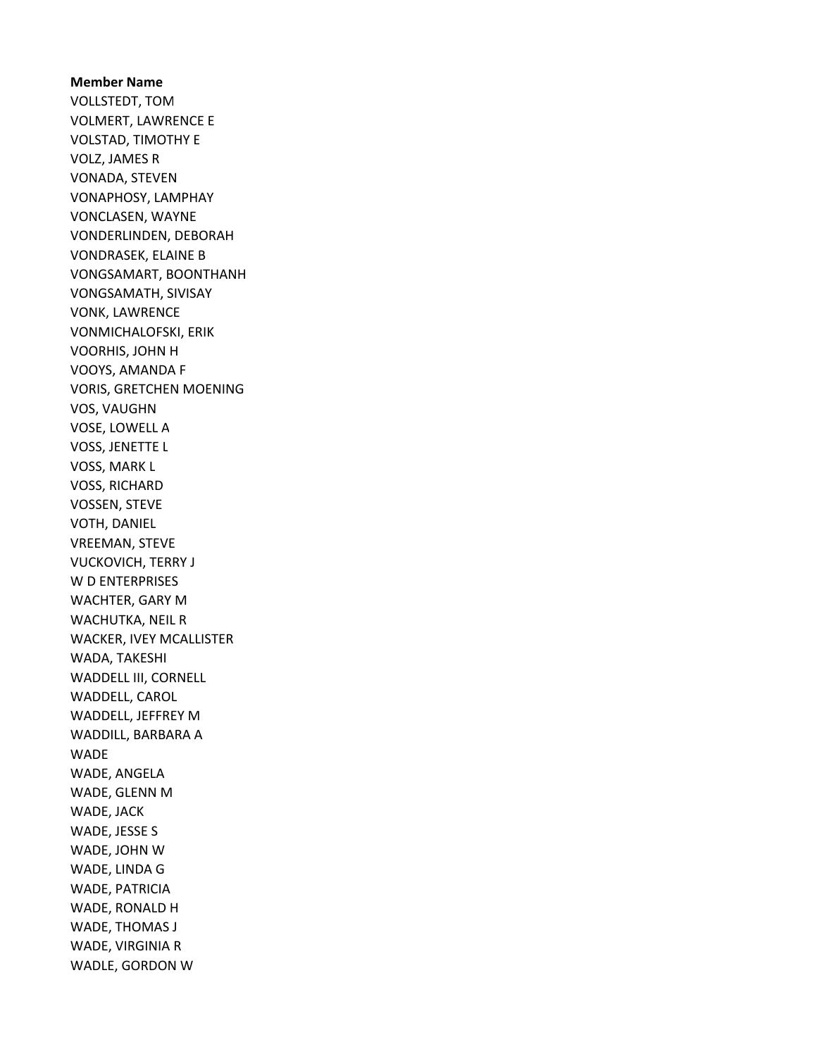Member Name VOLLSTEDT, TOM VOLMERT, LAWRENCE E VOLSTAD, TIMOTHY E VOLZ, JAMES R VONADA, STEVEN VONAPHOSY, LAMPHAY VONCLASEN, WAYNE VONDERLINDEN, DEBORAH VONDRASEK, ELAINE B VONGSAMART, BOONTHANH VONGSAMATH, SIVISAY VONK, LAWRENCE VONMICHALOFSKI, ERIK VOORHIS, JOHN H VOOYS, AMANDA F VORIS, GRETCHEN MOENING VOS, VAUGHN VOSE, LOWELL A VOSS, JENETTE L VOSS, MARK L VOSS, RICHARD VOSSEN, STEVE VOTH, DANIEL VREEMAN, STEVE VUCKOVICH, TERRY J W D ENTERPRISES WACHTER, GARY M WACHUTKA, NEIL R WACKER, IVEY MCALLISTER WADA, TAKESHI WADDELL III, CORNELL WADDELL, CAROL WADDELL, JEFFREY M WADDILL, BARBARA A WADE WADE, ANGELA WADE, GLENN M WADE, JACK WADE, JESSE S WADE, JOHN W WADE, LINDA G WADE, PATRICIA WADE, RONALD H WADE, THOMAS J WADE, VIRGINIA R WADLE, GORDON W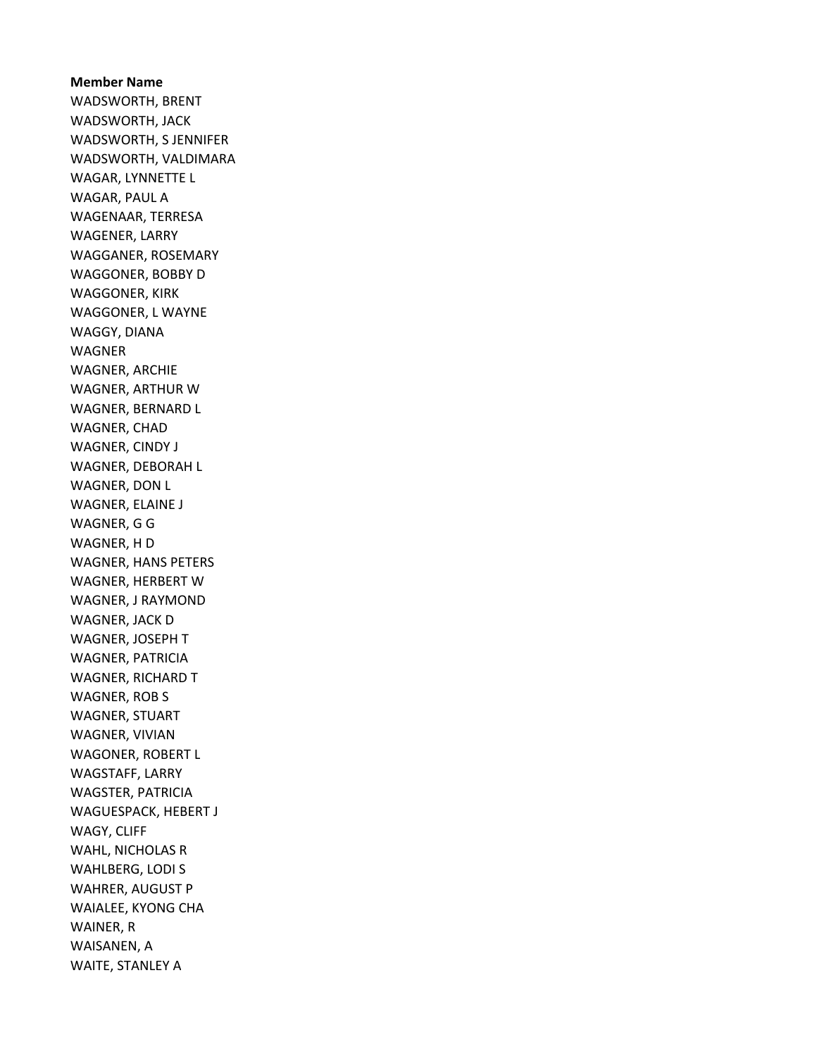# Member Name WADSWORTH, BRENT WADSWORTH, JACK WADSWORTH, S JENNIFER WADSWORTH, VALDIMARA WAGAR, LYNNETTE L WAGAR, PAUL A WAGENAAR, TERRESA WAGENER, LARRY WAGGANER, ROSEMARY WAGGONER, BOBBY D WAGGONER, KIRK WAGGONER, L WAYNE WAGGY, DIANA WAGNER WAGNER, ARCHIE WAGNER, ARTHUR W WAGNER, BERNARD L WAGNER, CHAD WAGNER, CINDY J WAGNER, DEBORAH L WAGNER, DON L WAGNER, ELAINE J WAGNER, G G WAGNER, H D WAGNER, HANS PETERS WAGNER, HERBERT W WAGNER, J RAYMOND WAGNER, JACK D WAGNER, JOSEPH T WAGNER, PATRICIA WAGNER, RICHARD T WAGNER, ROB S WAGNER, STUART WAGNER, VIVIAN WAGONER, ROBERT L WAGSTAFF, LARRY WAGSTER, PATRICIA WAGUESPACK, HEBERT J WAGY, CLIFF WAHL, NICHOLAS R WAHLBERG, LODI S WAHRER, AUGUST P WAIALEE, KYONG CHA WAINER, R WAISANEN, A WAITE, STANLEY A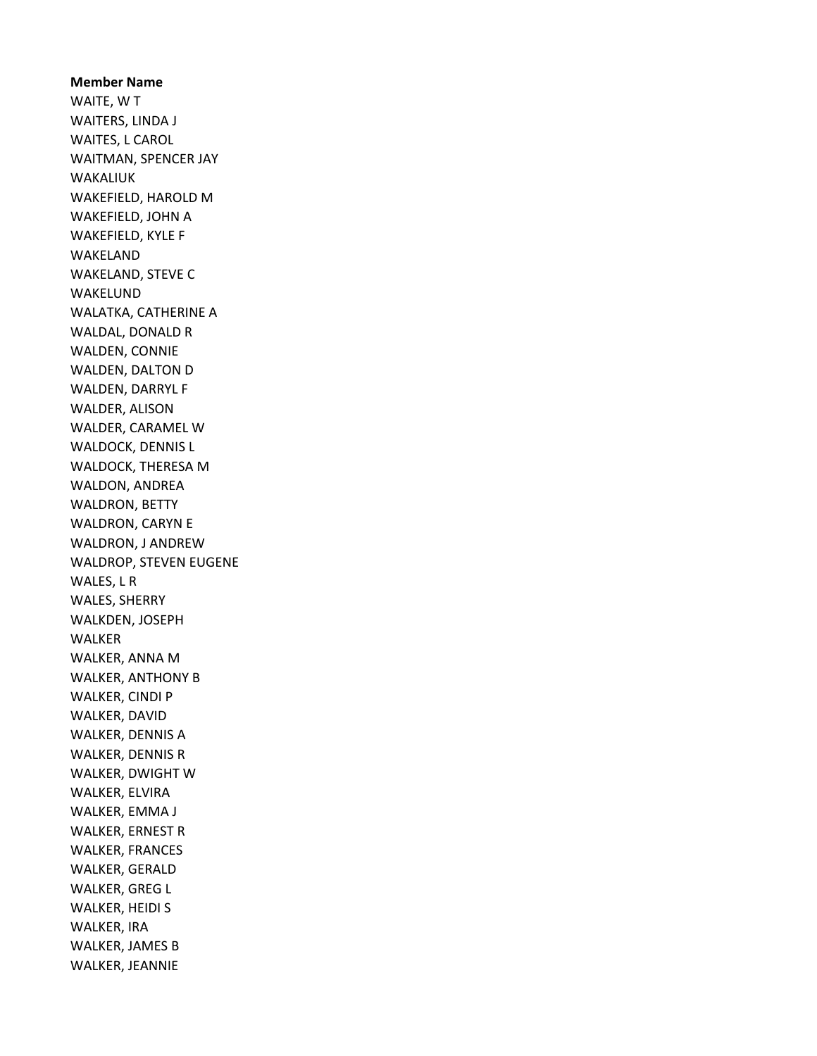Member Name WAITE, W T WAITERS, LINDA J WAITES, L CAROL WAITMAN, SPENCER JAY WAKALIUK WAKEFIELD, HAROLD M WAKEFIELD, JOHN A WAKEFIELD, KYLE F WAKELAND WAKELAND, STEVE C WAKELUND WALATKA, CATHERINE A WALDAL, DONALD R WALDEN, CONNIE WALDEN, DALTON D WALDEN, DARRYL F WALDER, ALISON WALDER, CARAMEL W WALDOCK, DENNIS L WALDOCK, THERESA M WALDON, ANDREA WALDRON, BETTY WALDRON, CARYN E WALDRON, J ANDREW WALDROP, STEVEN EUGENE WALES, L R WALES, SHERRY WALKDEN, JOSEPH WALKER WALKER, ANNA M WALKER, ANTHONY B WALKER, CINDI P WALKER, DAVID WALKER, DENNIS A WALKER, DENNIS R WALKER, DWIGHT W WALKER, ELVIRA WALKER, EMMA J WALKER, ERNEST R WALKER, FRANCES WALKER, GERALD WALKER, GREG L WALKER, HEIDI S WALKER, IRA WALKER, JAMES B WALKER, JEANNIE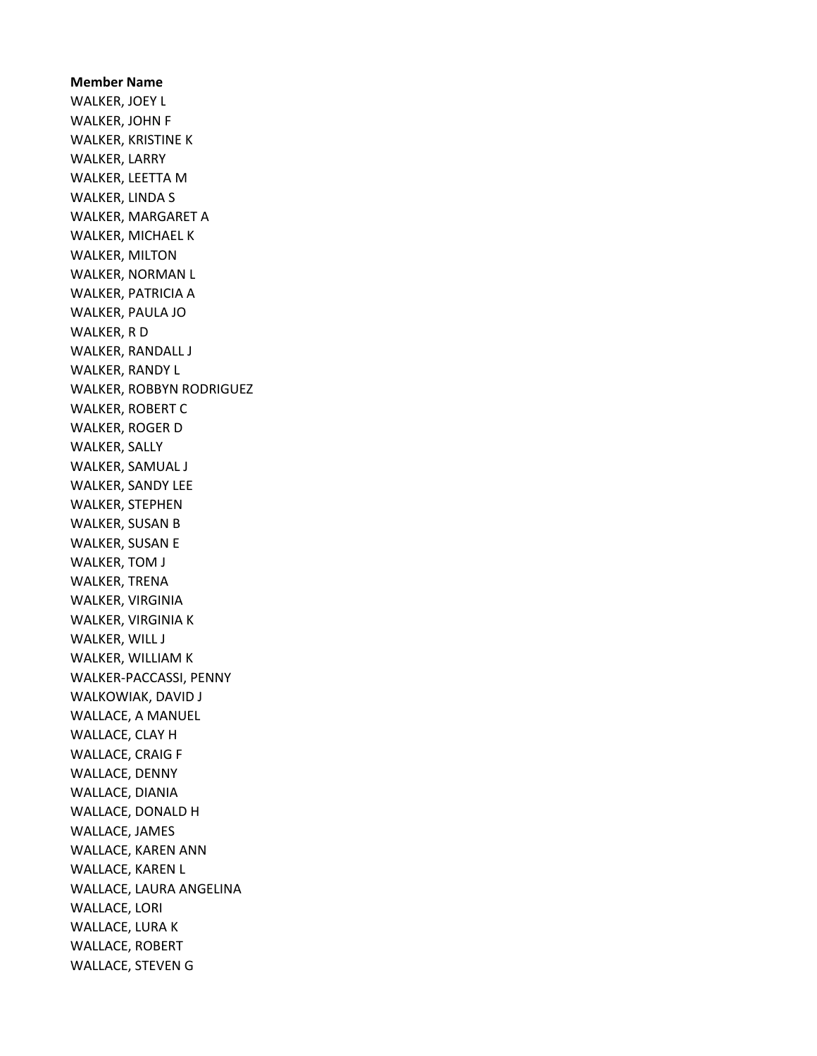Member Name WALKER, JOEY L WALKER, JOHN F WALKER, KRISTINE K WALKER, LARRY WALKER, LEETTA M WALKER, LINDA S WALKER, MARGARET A WALKER, MICHAEL K WALKER, MILTON WALKER, NORMAN L WALKER, PATRICIA A WALKER, PAULA JO WALKER, R D WALKER, RANDALL J WALKER, RANDY L WALKER, ROBBYN RODRIGUEZ WALKER, ROBERT C WALKER, ROGER D WALKER, SALLY WALKER, SAMUAL J WALKER, SANDY LEE WALKER, STEPHEN WALKER, SUSAN B WALKER, SUSAN E WALKER, TOM J WALKER, TRENA WALKER, VIRGINIA WALKER, VIRGINIA K WALKER, WILL J WALKER, WILLIAM K WALKER-PACCASSI, PENNY WALKOWIAK, DAVID J WALLACE, A MANUEL WALLACE, CLAY H WALLACE, CRAIG F WALLACE, DENNY WALLACE, DIANIA WALLACE, DONALD H WALLACE, JAMES WALLACE, KAREN ANN WALLACE, KAREN L WALLACE, LAURA ANGELINA WALLACE, LORI WALLACE, LURA K WALLACE, ROBERT WALLACE, STEVEN G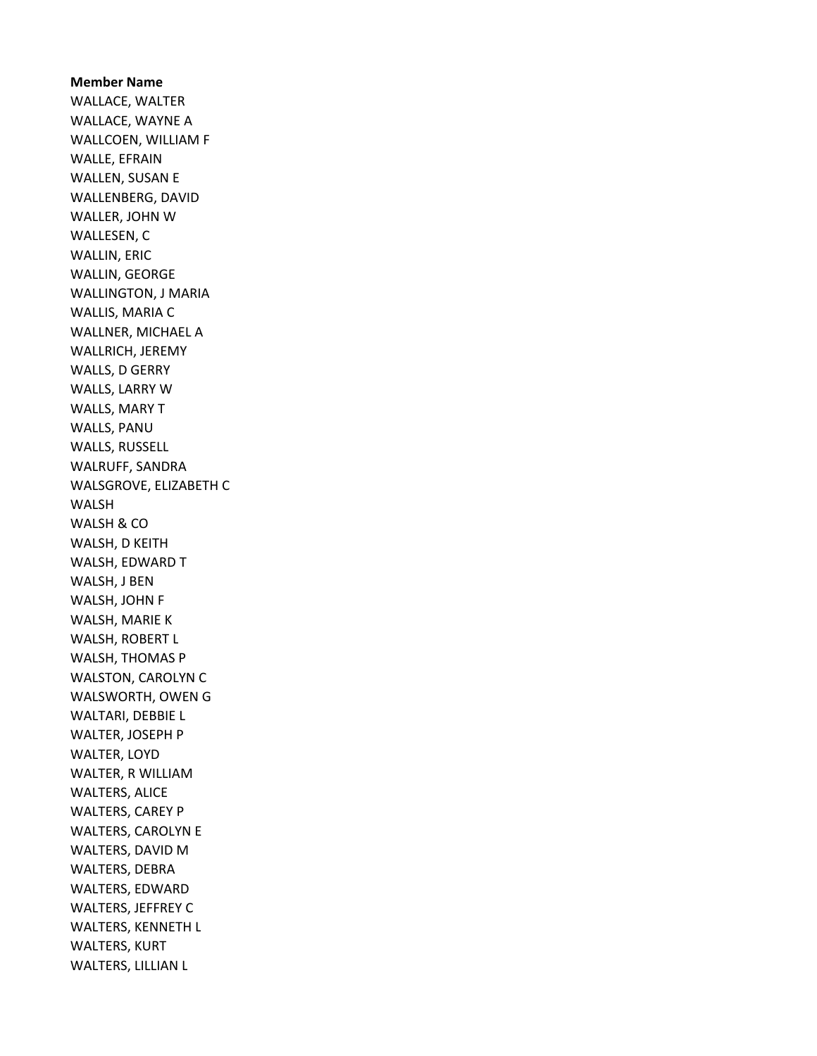Member Name WALLACE, WALTER WALLACE, WAYNE A WALLCOEN, WILLIAM F WALLE, EFRAIN WALLEN, SUSAN E WALLENBERG, DAVID WALLER, JOHN W WALLESEN, C WALLIN, ERIC WALLIN, GEORGE WALLINGTON, J MARIA WALLIS, MARIA C WALLNER, MICHAEL A WALLRICH, JEREMY WALLS, D GERRY WALLS, LARRY W WALLS, MARY T WALLS, PANU WALLS, RUSSELL WALRUFF, SANDRA WALSGROVE, ELIZABETH C WALSH WALSH & CO WALSH, D KEITH WALSH, EDWARD T WALSH, J BEN WALSH, JOHN F WALSH, MARIE K WALSH, ROBERT L WALSH, THOMAS P WALSTON, CAROLYN C WALSWORTH, OWEN G WALTARI, DEBBIE L WALTER, JOSEPH P WALTER, LOYD WALTER, R WILLIAM WALTERS, ALICE WALTERS, CAREY P WALTERS, CAROLYN E WALTERS, DAVID M WALTERS, DEBRA WALTERS, EDWARD WALTERS, JEFFREY C WALTERS, KENNETH L WALTERS, KURT WALTERS, LILLIAN L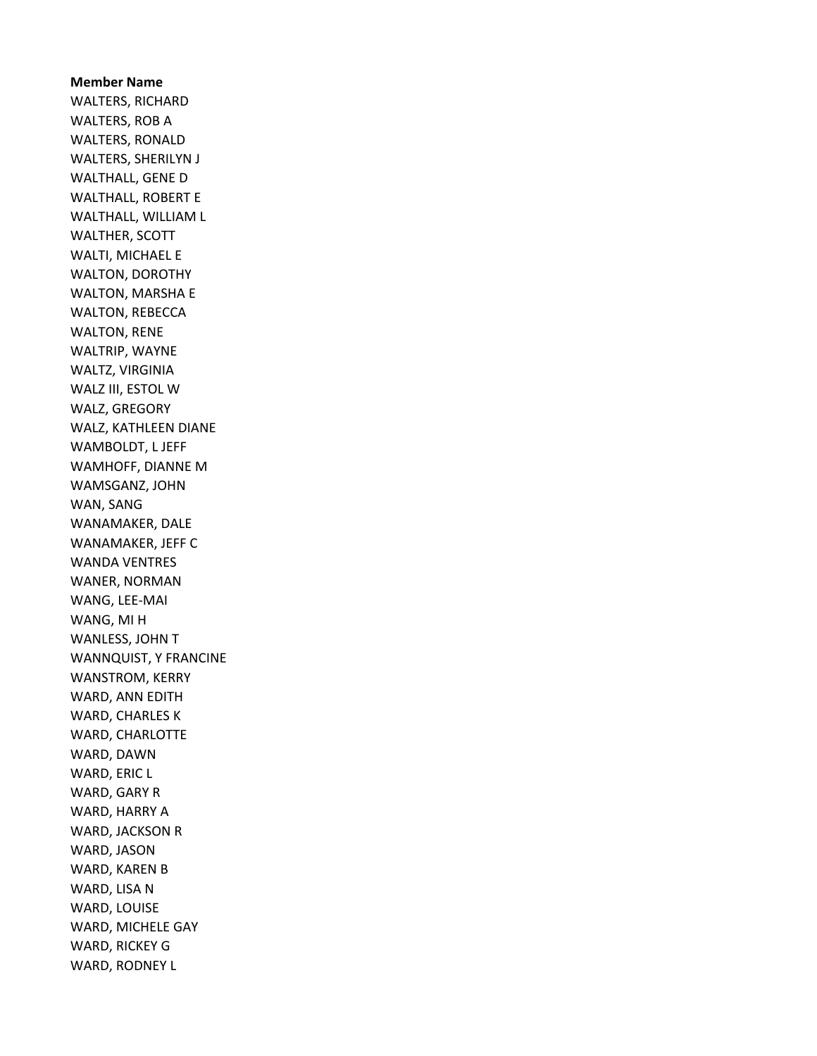Member Name WALTERS, RICHARD WALTERS, ROB A WALTERS, RONALD WALTERS, SHERILYN J WALTHALL, GENE D WALTHALL, ROBERT E WALTHALL, WILLIAM L WALTHER, SCOTT WALTI, MICHAEL E WALTON, DOROTHY WALTON, MARSHA E WALTON, REBECCA WALTON, RENE WALTRIP, WAYNE WALTZ, VIRGINIA WALZ III, ESTOL W WALZ, GREGORY WALZ, KATHLEEN DIANE WAMBOLDT, L JEFF WAMHOFF, DIANNE M WAMSGANZ, JOHN WAN, SANG WANAMAKER, DALE WANAMAKER, JEFF C WANDA VENTRES WANER, NORMAN WANG, LEE-MAI WANG, MI H WANLESS, JOHN T WANNQUIST, Y FRANCINE WANSTROM, KERRY WARD, ANN EDITH WARD, CHARLES K WARD, CHARLOTTE WARD, DAWN WARD, ERIC L WARD, GARY R WARD, HARRY A WARD, JACKSON R WARD, JASON WARD, KAREN B WARD, LISA N WARD, LOUISE WARD, MICHELE GAY WARD, RICKEY G WARD, RODNEY L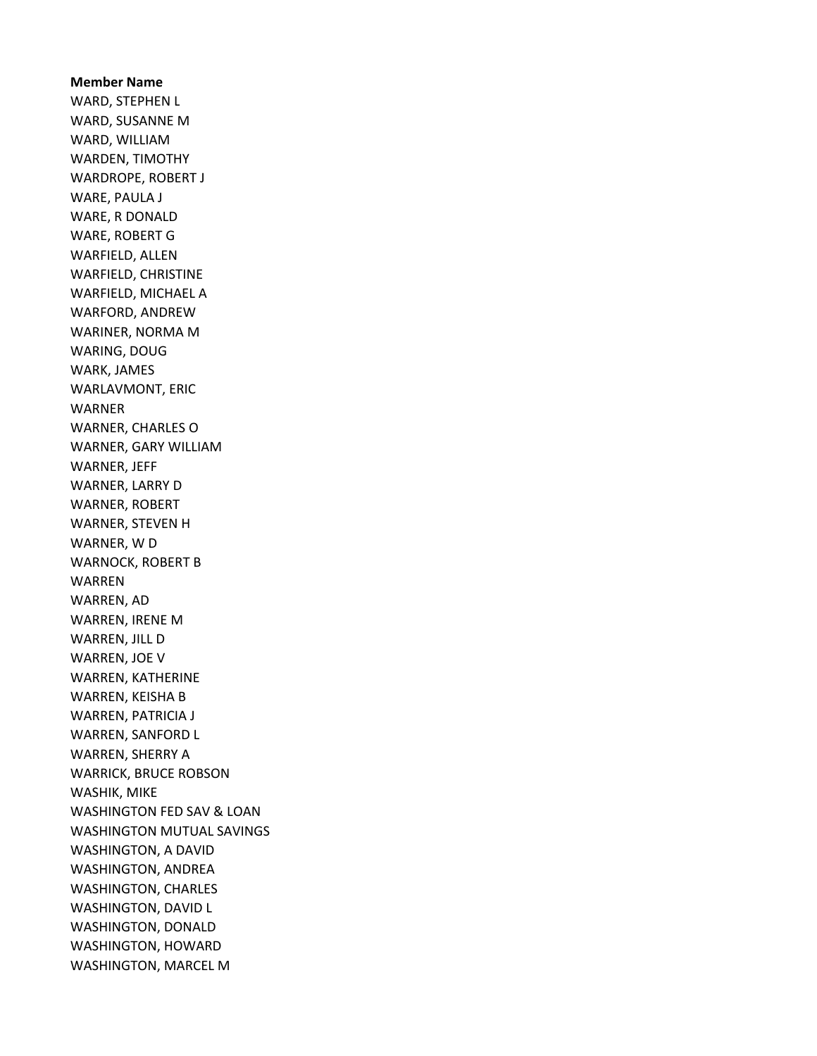# Member Name WARD, STEPHEN L WARD, SUSANNE M WARD, WILLIAM WARDEN, TIMOTHY WARDROPE, ROBERT J WARE, PAULA J WARE, R DONALD WARE, ROBERT G WARFIELD, ALLEN WARFIELD, CHRISTINE WARFIELD, MICHAEL A WARFORD, ANDREW WARINER, NORMA M WARING, DOUG WARK, JAMES WARLAVMONT, ERIC WARNER WARNER, CHARLES O WARNER, GARY WILLIAM WARNER, JEFF WARNER, LARRY D WARNER, ROBERT WARNER, STEVEN H WARNER, W D WARNOCK, ROBERT B WARREN WARREN, AD WARREN, IRENE M WARREN, JILL D WARREN, JOE V WARREN, KATHERINE WARREN, KEISHA B WARREN, PATRICIA J WARREN, SANFORD L WARREN, SHERRY A WARRICK, BRUCE ROBSON WASHIK, MIKE WASHINGTON FED SAV & LOAN WASHINGTON MUTUAL SAVINGS WASHINGTON, A DAVID WASHINGTON, ANDREA WASHINGTON, CHARLES WASHINGTON, DAVID L WASHINGTON, DONALD WASHINGTON, HOWARD WASHINGTON, MARCEL M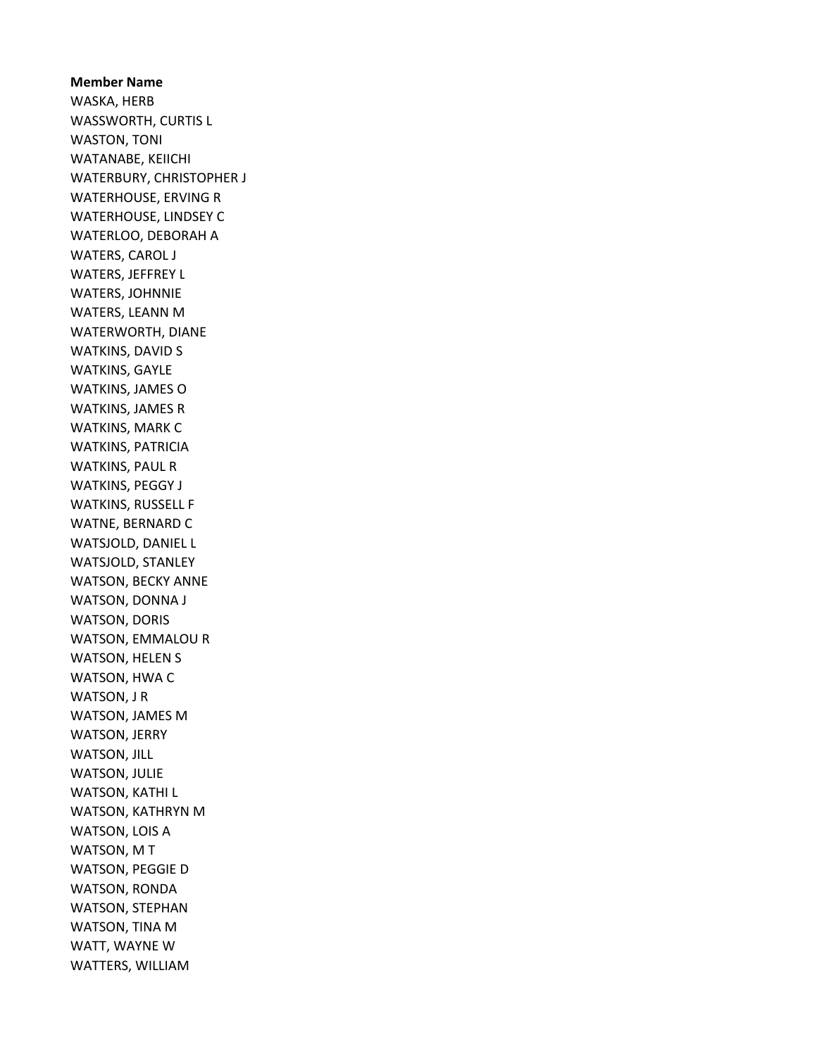Member Name WASKA, HERB WASSWORTH, CURTIS L WASTON, TONI WATANABE, KEIICHI WATERBURY, CHRISTOPHER J WATERHOUSE, ERVING R WATERHOUSE, LINDSEY C WATERLOO, DEBORAH A WATERS, CAROL J WATERS, JEFFREY L WATERS, JOHNNIE WATERS, LEANN M WATERWORTH, DIANE WATKINS, DAVID S WATKINS, GAYLE WATKINS, JAMES O WATKINS, JAMES R WATKINS, MARK C WATKINS, PATRICIA WATKINS, PAUL R WATKINS, PEGGY J WATKINS, RUSSELL F WATNE, BERNARD C WATSJOLD, DANIEL L WATSJOLD, STANLEY WATSON, BECKY ANNE WATSON, DONNA J WATSON, DORIS WATSON, EMMALOU R WATSON, HELEN S WATSON, HWA C WATSON, J R WATSON, JAMES M WATSON, JERRY WATSON, JILL WATSON, JULIE WATSON, KATHI L WATSON, KATHRYN M WATSON, LOIS A WATSON, M T WATSON, PEGGIE D WATSON, RONDA WATSON, STEPHAN WATSON, TINA M WATT, WAYNE W WATTERS, WILLIAM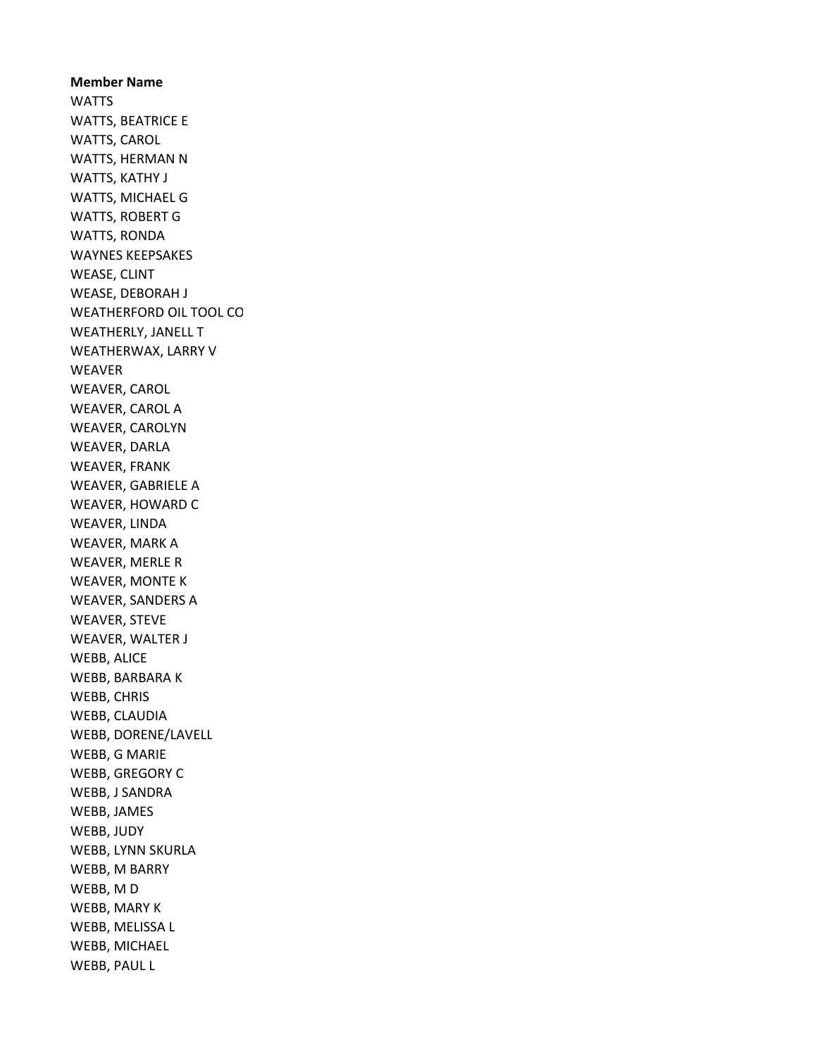Member Name **WATTS** WATTS, BEATRICE E WATTS, CAROL WATTS, HERMAN N WATTS, KATHY J WATTS, MICHAEL G WATTS, ROBERT G WATTS, RONDA WAYNES KEEPSAKES WEASE, CLINT WEASE, DEBORAH J WEATHERFORD OIL TOOL CO WEATHERLY, JANELL T WEATHERWAX, LARRY V WEAVER WEAVER, CAROL WEAVER, CAROL A WEAVER, CAROLYN WEAVER, DARLA WEAVER, FRANK WEAVER, GABRIELE A WEAVER, HOWARD C WEAVER, LINDA WEAVER, MARK A WEAVER, MERLE R WEAVER, MONTE K WEAVER, SANDERS A WEAVER, STEVE WEAVER, WALTER J WEBB, ALICE WEBB, BARBARA K WEBB, CHRIS WEBB, CLAUDIA WEBB, DORENE/LAVELL WEBB, G MARIE WEBB, GREGORY C WEBB, J SANDRA WEBB, JAMES WEBB, JUDY WEBB, LYNN SKURLA WEBB, M BARRY WEBB, M D WEBB, MARY K WEBB, MELISSA L WEBB, MICHAEL WEBB, PAUL L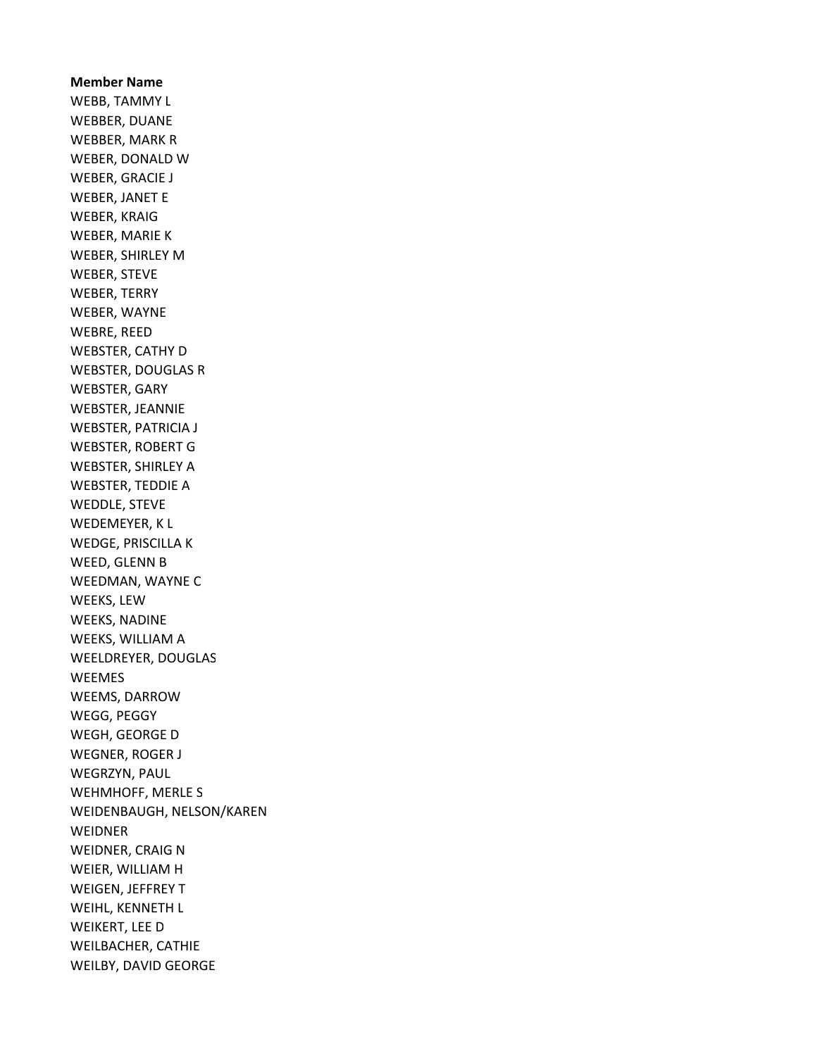Member Name WEBB, TAMMY L WEBBER, DUANE WEBBER, MARK R WEBER, DONALD W WEBER, GRACIE J WEBER, JANET E WEBER, KRAIG WEBER, MARIE K WEBER, SHIRLEY M WEBER, STEVE WEBER, TERRY WEBER, WAYNE WEBRE, REED WEBSTER, CATHY D WEBSTER, DOUGLAS R WEBSTER, GARY WEBSTER, JEANNIE WEBSTER, PATRICIA J WEBSTER, ROBERT G WEBSTER, SHIRLEY A WEBSTER, TEDDIE A WEDDLE, STEVE WEDEMEYER, K L WEDGE, PRISCILLA K WEED, GLENN B WEEDMAN, WAYNE C WEEKS, LEW WEEKS, NADINE WEEKS, WILLIAM A WEELDREYER, DOUGLAS WEEMES WEEMS, DARROW WEGG, PEGGY WEGH, GEORGE D WEGNER, ROGER J WEGRZYN, PAUL WEHMHOFF, MERLE S WEIDENBAUGH, NELSON/KAREN **WEIDNER** WEIDNER, CRAIG N WEIER, WILLIAM H WEIGEN, JEFFREY T WEIHL, KENNETH L WEIKERT, LEE D WEILBACHER, CATHIE WEILBY, DAVID GEORGE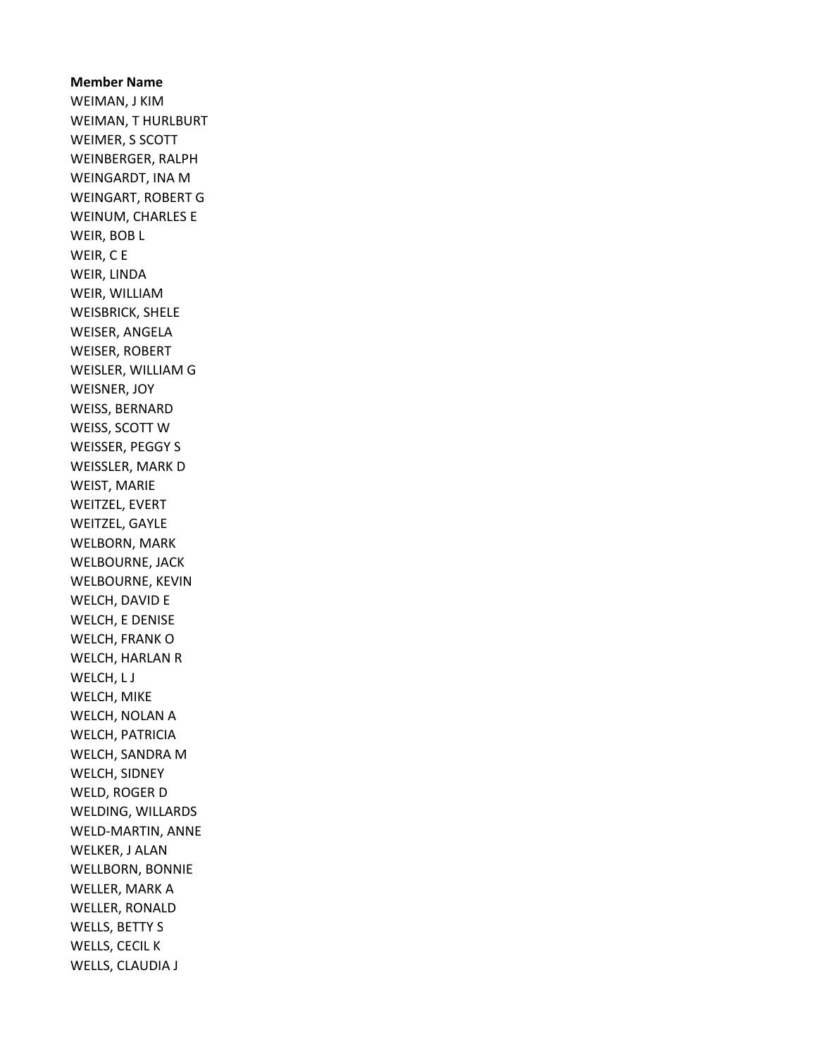Member Name WEIMAN, J KIM WEIMAN, T HURLBURT WEIMER, S SCOTT WEINBERGER, RALPH WEINGARDT, INA M WEINGART, ROBERT G WEINUM, CHARLES E WEIR, BOB L WEIR, C E WEIR, LINDA WEIR, WILLIAM WEISBRICK, SHELE WEISER, ANGELA WEISER, ROBERT WEISLER, WILLIAM G WEISNER, JOY WEISS, BERNARD WEISS, SCOTT W WEISSER, PEGGY S WEISSLER, MARK D WEIST, MARIE WEITZEL, EVERT WEITZEL, GAYLE WELBORN, MARK WELBOURNE, JACK WELBOURNE, KEVIN WELCH, DAVID E WELCH, E DENISE WELCH, FRANK O WELCH, HARLAN R WELCH, L J WELCH, MIKE WELCH, NOLAN A WELCH, PATRICIA WELCH, SANDRA M WELCH, SIDNEY WELD, ROGER D WELDING, WILLARDS WELD-MARTIN, ANNE WELKER, J ALAN WELLBORN, BONNIE WELLER, MARK A WELLER, RONALD WELLS, BETTY S WELLS, CECIL K WELLS, CLAUDIA J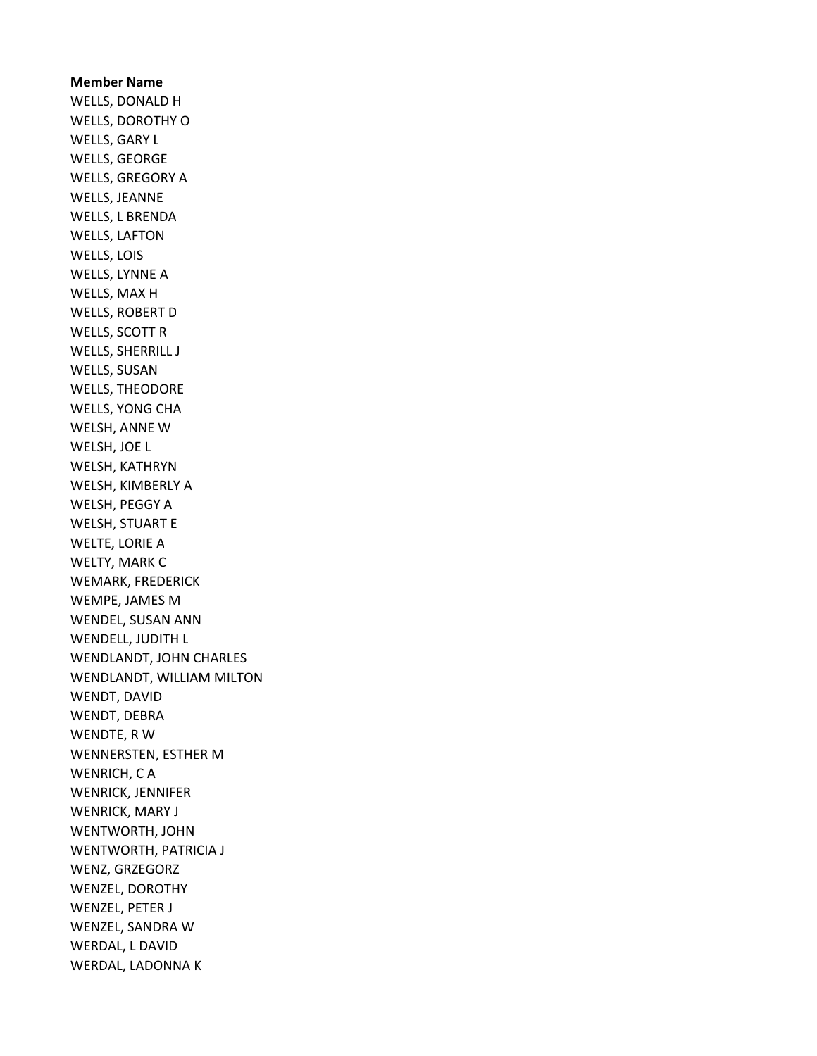Member Name WELLS, DONALD H WELLS, DOROTHY O WELLS, GARY L WELLS, GEORGE WELLS, GREGORY A WELLS, JEANNE WELLS, L BRENDA WELLS, LAFTON WELLS, LOIS WELLS, LYNNE A WELLS, MAX H WELLS, ROBERT D WELLS, SCOTT R WELLS, SHERRILL J WELLS, SUSAN WELLS, THEODORE WELLS, YONG CHA WELSH, ANNE W WELSH, JOE L WELSH, KATHRYN WELSH, KIMBERLY A WELSH, PEGGY A WELSH, STUART E WELTE, LORIE A WELTY, MARK C WEMARK, FREDERICK WEMPE, JAMES M WENDEL, SUSAN ANN WENDELL, JUDITH L WENDLANDT, JOHN CHARLES WENDLANDT, WILLIAM MILTON WENDT, DAVID WENDT, DEBRA WENDTE, R W WENNERSTEN, ESTHER M WENRICH, C A WENRICK, JENNIFER WENRICK, MARY J WENTWORTH, JOHN WENTWORTH, PATRICIA J WENZ, GRZEGORZ WENZEL, DOROTHY WENZEL, PETER J WENZEL, SANDRA W WERDAL, L DAVID WERDAL, LADONNA K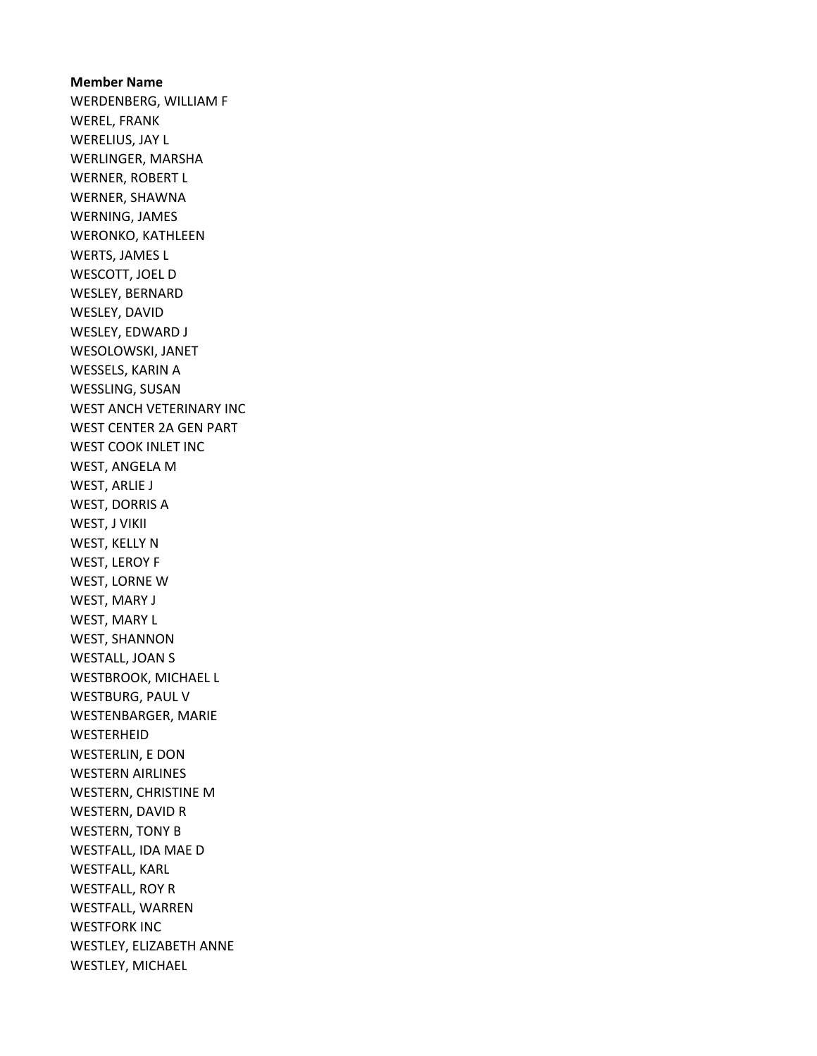Member Name WERDENBERG, WILLIAM F WEREL, FRANK WERELIUS, JAY L WERLINGER, MARSHA WERNER, ROBERT L WERNER, SHAWNA WERNING, JAMES WERONKO, KATHLEEN WERTS, JAMES L WESCOTT, JOEL D WESLEY, BERNARD WESLEY, DAVID WESLEY, EDWARD J WESOLOWSKI, JANET WESSELS, KARIN A WESSLING, SUSAN WEST ANCH VETERINARY INC WEST CENTER 2A GEN PART WEST COOK INLET INC WEST, ANGELA M WEST, ARLIE J WEST, DORRIS A WEST, J VIKII WEST, KELLY N WEST, LEROY F WEST, LORNE W WEST, MARY J WEST, MARY L WEST, SHANNON WESTALL, JOAN S WESTBROOK, MICHAEL L WESTBURG, PAUL V WESTENBARGER, MARIE **WESTERHEID** WESTERLIN, E DON WESTERN AIRLINES WESTERN, CHRISTINE M WESTERN, DAVID R WESTERN, TONY B WESTFALL, IDA MAE D WESTFALL, KARL WESTFALL, ROY R WESTFALL, WARREN WESTFORK INC WESTLEY, ELIZABETH ANNE WESTLEY, MICHAEL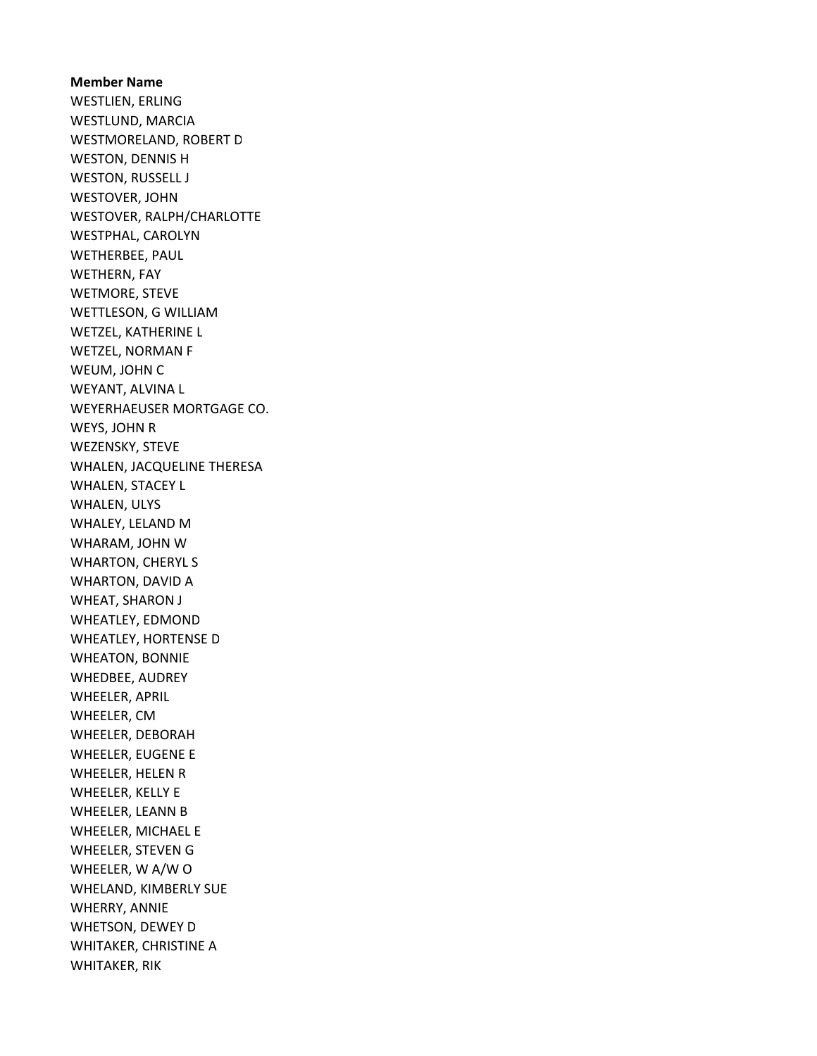Member Name WESTLIEN, ERLING WESTLUND, MARCIA WESTMORELAND, ROBERT D WESTON, DENNIS H WESTON, RUSSELL J WESTOVER, JOHN WESTOVER, RALPH/CHARLOTTE WESTPHAL, CAROLYN WETHERBEE, PAUL WETHERN, FAY WETMORE, STEVE WETTLESON, G WILLIAM WETZEL, KATHERINE L WETZEL, NORMAN F WEUM, JOHN C WEYANT, ALVINA L WEYERHAEUSER MORTGAGE CO. WEYS, JOHN R WEZENSKY, STEVE WHALEN, JACQUELINE THERESA WHALEN, STACEY L WHALEN, ULYS WHALEY, LELAND M WHARAM, JOHN W WHARTON, CHERYL S WHARTON, DAVID A WHEAT, SHARON J WHEATLEY, EDMOND WHEATLEY, HORTENSE D WHEATON, BONNIE WHEDBEE, AUDREY WHEELER, APRIL WHEELER, CM WHEELER, DEBORAH WHEELER, EUGENE E WHEELER, HELEN R WHEELER, KELLY E WHEELER, LEANN B WHEELER, MICHAEL E WHEELER, STEVEN G WHEELER, W A/W O WHELAND, KIMBERLY SUE WHERRY, ANNIE WHETSON, DEWEY D WHITAKER, CHRISTINE A WHITAKER, RIK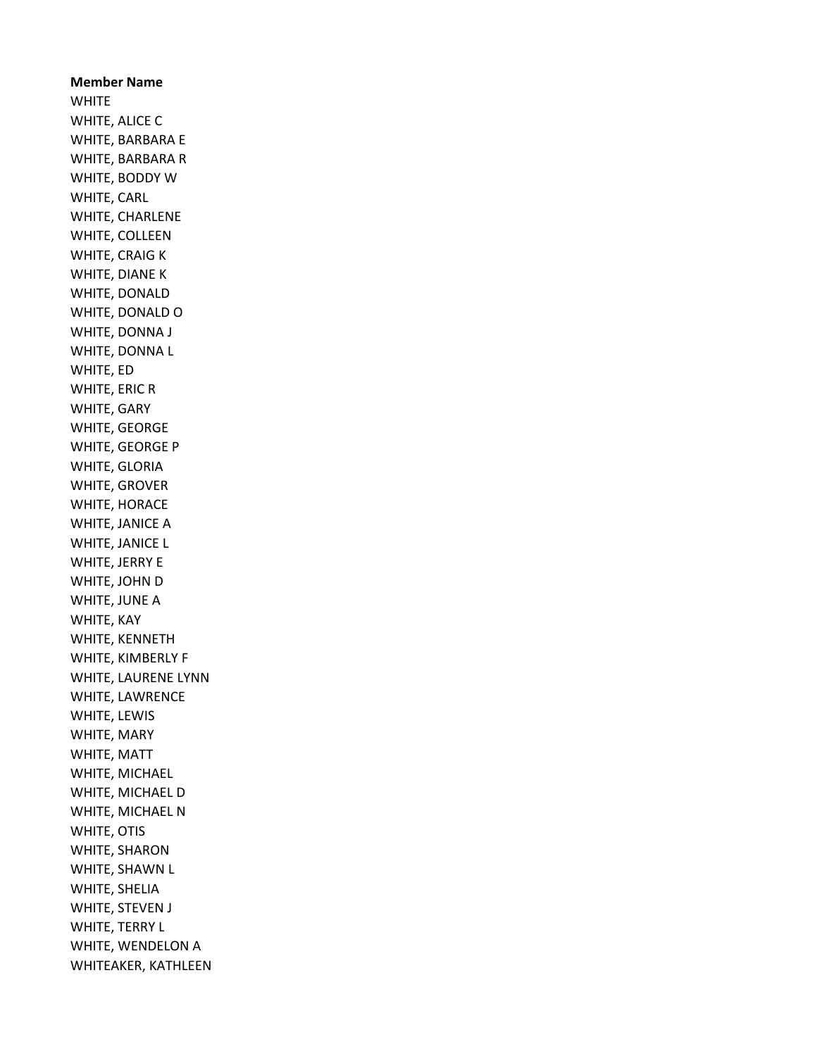Member Name **WHITE** WHITE, ALICE C WHITE, BARBARA E WHITE, BARBARA R WHITE, BODDY W WHITE, CARL WHITE, CHARLENE WHITE, COLLEEN WHITE, CRAIG K WHITE, DIANE K WHITE, DONALD WHITE, DONALD O WHITE, DONNA J WHITE, DONNA L WHITE, ED WHITE, ERIC R WHITE, GARY WHITE, GEORGE WHITE, GEORGE P WHITE, GLORIA WHITE, GROVER WHITE, HORACE WHITE, JANICE A WHITE, JANICE L WHITE, JERRY E WHITE, JOHN D WHITE, JUNE A WHITE, KAY WHITE, KENNETH WHITE, KIMBERLY F WHITE, LAURENE LYNN WHITE, LAWRENCE WHITE, LEWIS WHITE, MARY WHITE, MATT WHITE, MICHAEL WHITE, MICHAEL D WHITE, MICHAEL N WHITE, OTIS WHITE, SHARON WHITE, SHAWN L WHITE, SHELIA WHITE, STEVEN J WHITE, TERRY L WHITE, WENDELON A WHITEAKER, KATHLEEN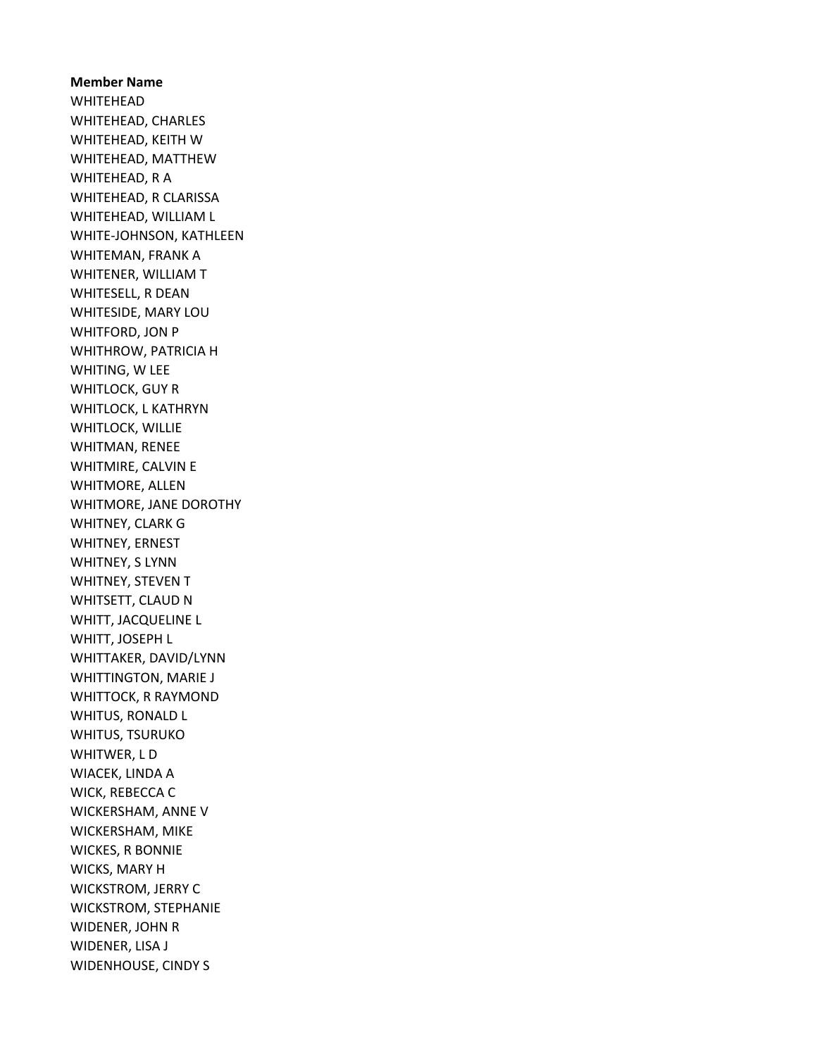Member Name WHITEHEAD WHITEHEAD, CHARLES WHITEHEAD, KEITH W WHITEHEAD, MATTHEW WHITEHEAD, R A WHITEHEAD, R CLARISSA WHITEHEAD, WILLIAM L WHITE-JOHNSON, KATHLEEN WHITEMAN, FRANK A WHITENER, WILLIAM T WHITESELL, R DEAN WHITESIDE, MARY LOU WHITFORD, JON P WHITHROW, PATRICIA H WHITING, W LEE WHITLOCK, GUY R WHITLOCK, L KATHRYN WHITLOCK, WILLIE WHITMAN, RENEE WHITMIRE, CALVIN E WHITMORE, ALLEN WHITMORE, JANE DOROTHY WHITNEY, CLARK G WHITNEY, ERNEST WHITNEY, S LYNN WHITNEY, STEVEN T WHITSETT, CLAUD N WHITT, JACQUELINE L WHITT, JOSEPH L WHITTAKER, DAVID/LYNN WHITTINGTON, MARIE J WHITTOCK, R RAYMOND WHITUS, RONALD L WHITUS, TSURUKO WHITWER, L D WIACEK, LINDA A WICK, REBECCA C WICKERSHAM, ANNE V WICKERSHAM, MIKE WICKES, R BONNIE WICKS, MARY H WICKSTROM, JERRY C WICKSTROM, STEPHANIE WIDENER, JOHN R WIDENER, LISA J WIDENHOUSE, CINDY S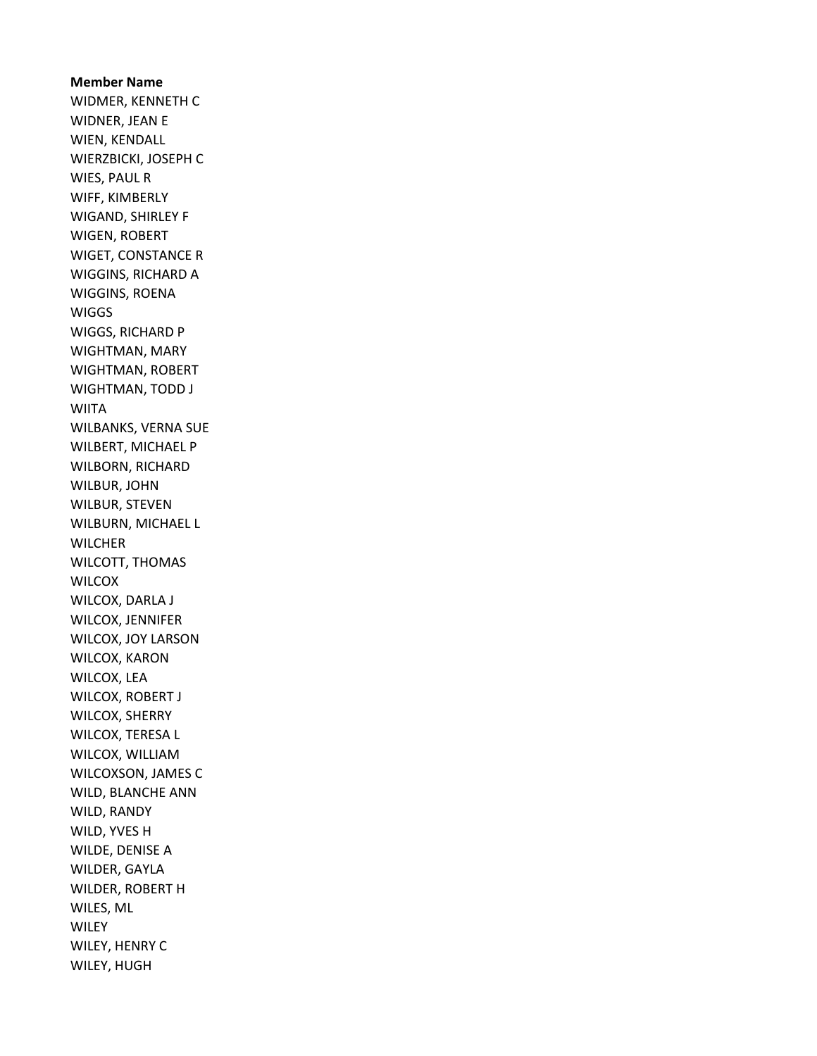Member Name WIDMER, KENNETH C WIDNER, JEAN E WIEN, KENDALL WIERZBICKI, JOSEPH C WIES, PAUL R WIFF, KIMBERLY WIGAND, SHIRLEY F WIGEN, ROBERT WIGET, CONSTANCE R WIGGINS, RICHARD A WIGGINS, ROENA **WIGGS** WIGGS, RICHARD P WIGHTMAN, MARY WIGHTMAN, ROBERT WIGHTMAN, TODD J WIITA WILBANKS, VERNA SUE WILBERT, MICHAEL P WILBORN, RICHARD WILBUR, JOHN WILBUR, STEVEN WILBURN, MICHAEL L **WILCHER** WILCOTT, THOMAS **WILCOX** WILCOX, DARLA J WILCOX, JENNIFER WILCOX, JOY LARSON WILCOX, KARON WILCOX, LEA WILCOX, ROBERT J WILCOX, SHERRY WILCOX, TERESA L WILCOX, WILLIAM WILCOXSON, JAMES C WILD, BLANCHE ANN WILD, RANDY WILD, YVES H WILDE, DENISE A WILDER, GAYLA WILDER, ROBERT H WILES, ML **WILEY** WILEY, HENRY C WILEY, HUGH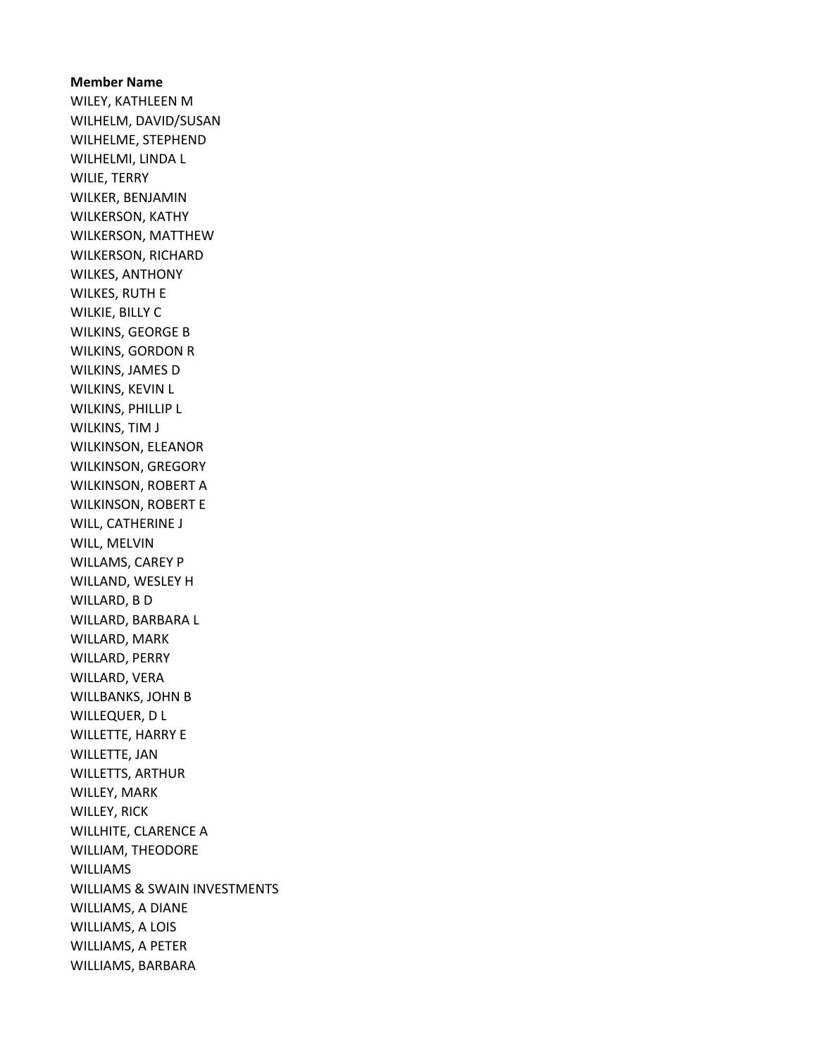Member Name WILEY, KATHLEEN M WILHELM, DAVID/SUSAN WILHELME, STEPHEND WILHELMI, LINDA L WILIE, TERRY WILKER, BENJAMIN WILKERSON, KATHY WILKERSON, MATTHEW WILKERSON, RICHARD WILKES, ANTHONY WILKES, RUTH E WILKIE, BILLY C WILKINS, GEORGE B WILKINS, GORDON R WILKINS, JAMES D WILKINS, KEVIN L WILKINS, PHILLIP L WILKINS, TIM J WILKINSON, ELEANOR WILKINSON, GREGORY WILKINSON, ROBERT A WILKINSON, ROBERT E WILL, CATHERINE J WILL, MELVIN WILLAMS, CAREY P WILLAND, WESLEY H WILLARD, B D WILLARD, BARBARA L WILLARD, MARK WILLARD, PERRY WILLARD, VERA WILLBANKS, JOHN B WILLEQUER, D L WILLETTE, HARRY E WILLETTE, JAN WILLETTS, ARTHUR WILLEY, MARK WILLEY, RICK WILLHITE, CLARENCE A WILLIAM, THEODORE WILLIAMS WILLIAMS & SWAIN INVESTMENTS WILLIAMS, A DIANE WILLIAMS, A LOIS WILLIAMS, A PETER WILLIAMS, BARBARA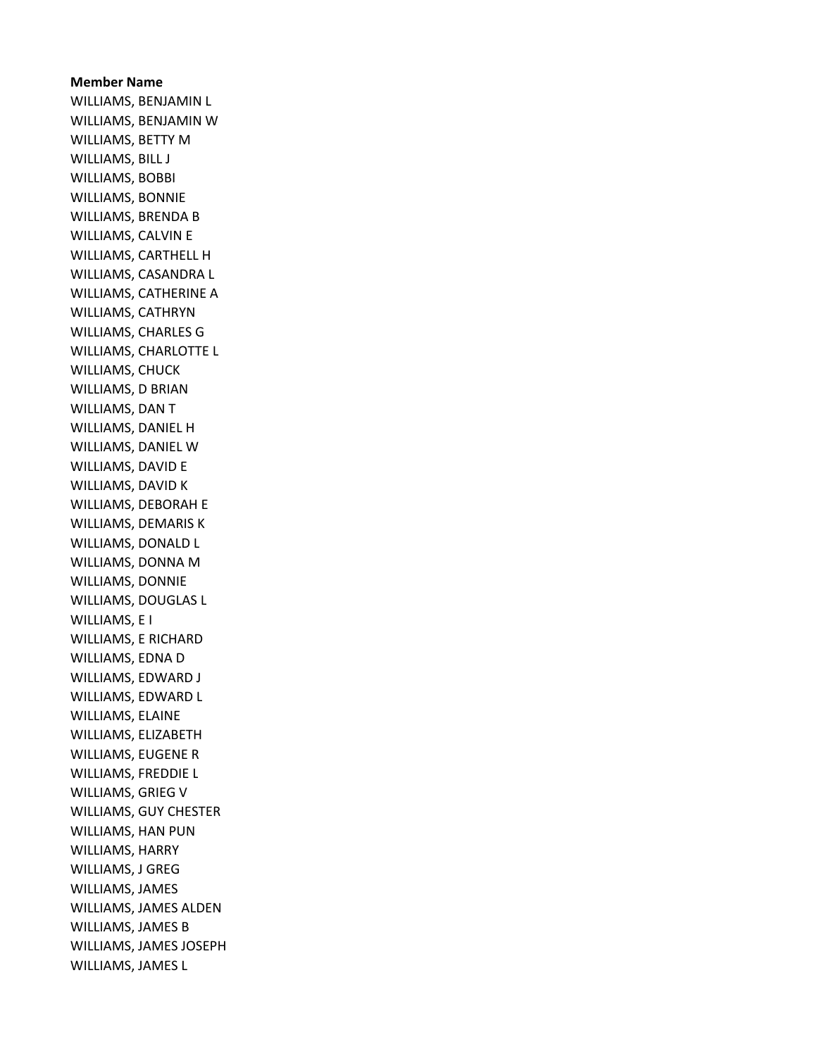#### Member Name

WILLIAMS, BENJAMIN L WILLIAMS, BENJAMIN W WILLIAMS, BETTY M WILLIAMS, BILL J WILLIAMS, BOBBI WILLIAMS, BONNIE WILLIAMS, BRENDA B WILLIAMS, CALVIN E WILLIAMS, CARTHELL H WILLIAMS, CASANDRA L WILLIAMS, CATHERINE A WILLIAMS, CATHRYN WILLIAMS, CHARLES G WILLIAMS, CHARLOTTE L WILLIAMS, CHUCK WILLIAMS, D BRIAN WILLIAMS, DAN T WILLIAMS, DANIEL H WILLIAMS, DANIEL W WILLIAMS, DAVID E WILLIAMS, DAVID K WILLIAMS, DEBORAH E WILLIAMS, DEMARIS K WILLIAMS, DONALD L WILLIAMS, DONNA M WILLIAMS, DONNIE WILLIAMS, DOUGLAS L WILLIAMS, E I WILLIAMS, E RICHARD WILLIAMS, EDNA D WILLIAMS, EDWARD J WILLIAMS, EDWARD L WILLIAMS, ELAINE WILLIAMS, ELIZABETH WILLIAMS, EUGENE R WILLIAMS, FREDDIE L WILLIAMS, GRIEG V WILLIAMS, GUY CHESTER WILLIAMS, HAN PUN WILLIAMS, HARRY WILLIAMS, J GREG WILLIAMS, JAMES WILLIAMS, JAMES ALDEN WILLIAMS, JAMES B WILLIAMS, JAMES JOSEPH WILLIAMS, JAMES L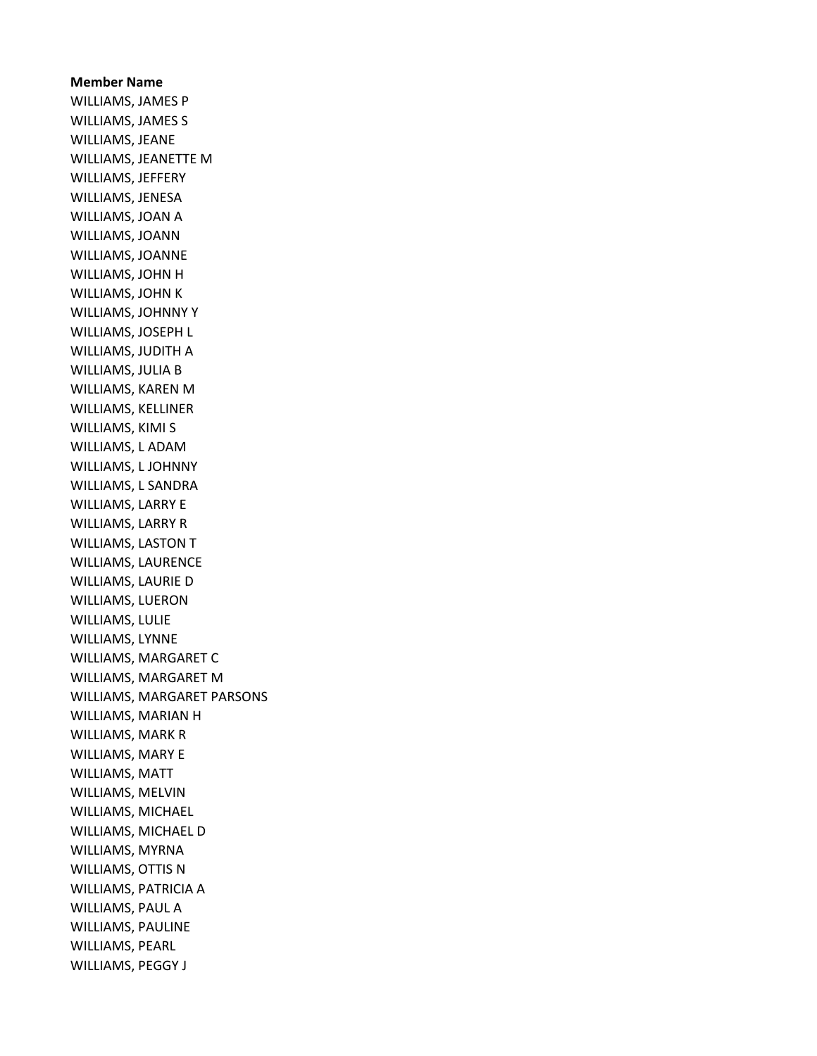# Member Name WILLIAMS, JAMES P WILLIAMS, JAMES S WILLIAMS, JEANE WILLIAMS, JEANETTE M WILLIAMS, JEFFERY WILLIAMS, JENESA WILLIAMS, JOAN A WILLIAMS, JOANN WILLIAMS, JOANNE WILLIAMS, JOHN H WILLIAMS, JOHN K WILLIAMS, JOHNNY Y WILLIAMS, JOSEPH L WILLIAMS, JUDITH A WILLIAMS, JULIA B WILLIAMS, KAREN M WILLIAMS, KELLINER WILLIAMS, KIMI S WILLIAMS, L ADAM WILLIAMS, L JOHNNY WILLIAMS, L SANDRA WILLIAMS, LARRY E WILLIAMS, LARRY R WILLIAMS, LASTON T WILLIAMS, LAURENCE WILLIAMS, LAURIE D WILLIAMS, LUERON WILLIAMS, LULIE WILLIAMS, LYNNE WILLIAMS, MARGARET C WILLIAMS, MARGARET M WILLIAMS, MARGARET PARSONS WILLIAMS, MARIAN H WILLIAMS, MARK R WILLIAMS, MARY E WILLIAMS, MATT WILLIAMS, MELVIN WILLIAMS, MICHAEL WILLIAMS, MICHAEL D WILLIAMS, MYRNA WILLIAMS, OTTIS N WILLIAMS, PATRICIA A WILLIAMS, PAUL A WILLIAMS, PAULINE WILLIAMS, PEARL WILLIAMS, PEGGY J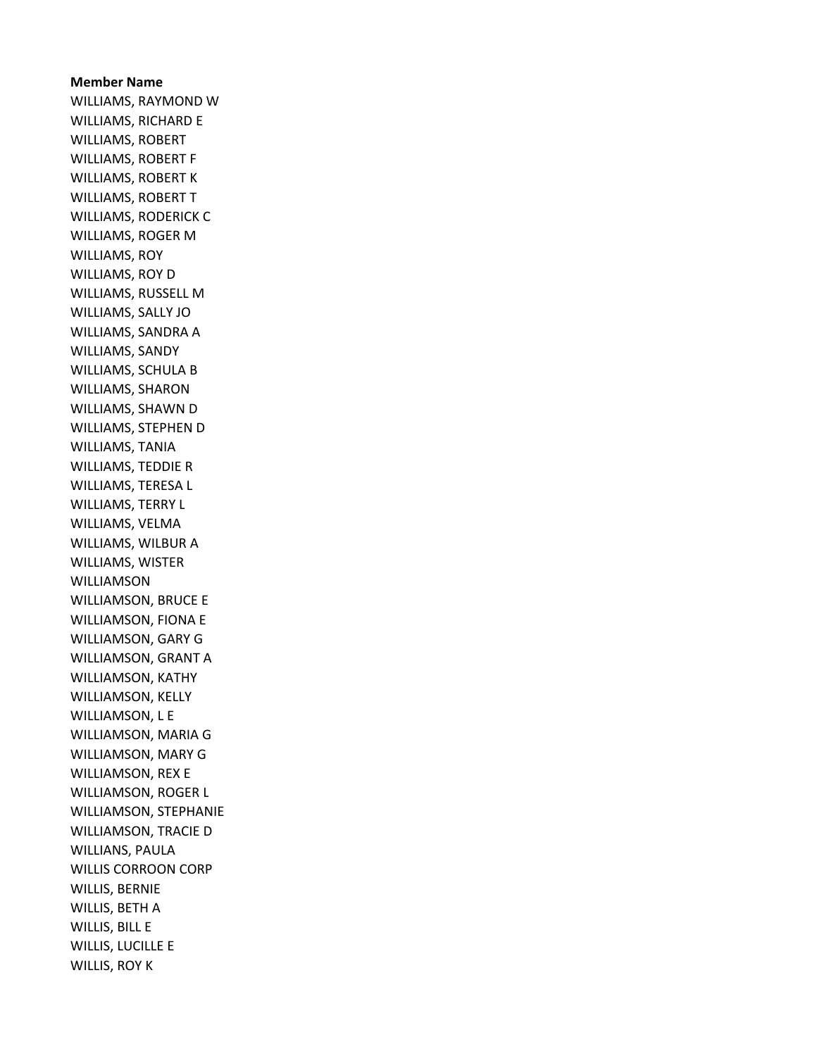# Member Name WILLIAMS, RAYMOND W WILLIAMS, RICHARD E WILLIAMS, ROBERT WILLIAMS, ROBERT F WILLIAMS, ROBERT K WILLIAMS, ROBERT T WILLIAMS, RODERICK C WILLIAMS, ROGER M WILLIAMS, ROY WILLIAMS, ROY D WILLIAMS, RUSSELL M WILLIAMS, SALLY JO WILLIAMS, SANDRA A WILLIAMS, SANDY WILLIAMS, SCHULA B WILLIAMS, SHARON WILLIAMS, SHAWN D WILLIAMS, STEPHEN D WILLIAMS, TANIA WILLIAMS, TEDDIE R WILLIAMS, TERESA L WILLIAMS, TERRY L WILLIAMS, VELMA WILLIAMS, WILBUR A WILLIAMS, WISTER WILLIAMSON WILLIAMSON, BRUCE E WILLIAMSON, FIONA E WILLIAMSON, GARY G WILLIAMSON, GRANT A WILLIAMSON, KATHY WILLIAMSON, KELLY WILLIAMSON, L E WILLIAMSON, MARIA G WILLIAMSON, MARY G WILLIAMSON, REX E WILLIAMSON, ROGER L WILLIAMSON, STEPHANIE WILLIAMSON, TRACIE D WILLIANS, PAULA WILLIS CORROON CORP WILLIS, BERNIE WILLIS, BETH A WILLIS, BILL E WILLIS, LUCILLE E WILLIS, ROY K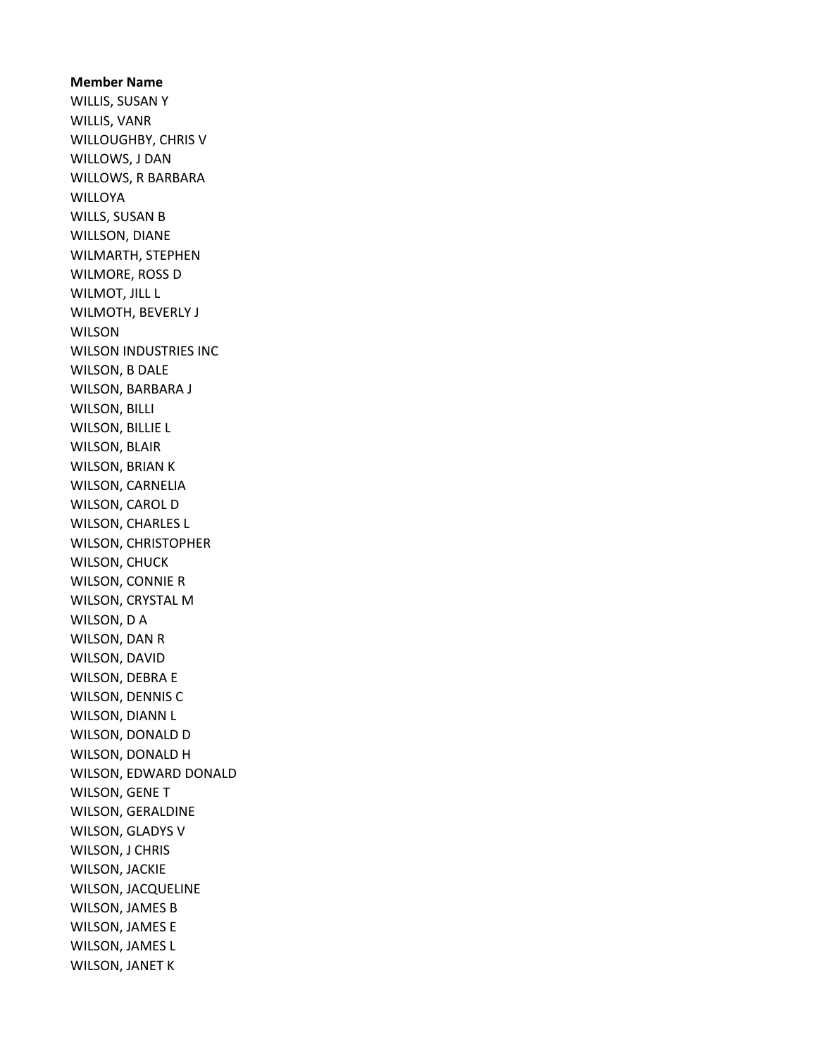Member Name WILLIS, SUSAN Y WILLIS, VANR WILLOUGHBY, CHRIS V WILLOWS, J DAN WILLOWS, R BARBARA **WILLOYA** WILLS, SUSAN B WILLSON, DIANE WILMARTH, STEPHEN WILMORE, ROSS D WILMOT, JILL L WILMOTH, BEVERLY J WILSON WILSON INDUSTRIES INC WILSON, B DALE WILSON, BARBARA J WILSON, BILLI WILSON, BILLIE L WILSON, BLAIR WILSON, BRIAN K WILSON, CARNELIA WILSON, CAROL D WILSON, CHARLES L WILSON, CHRISTOPHER WILSON, CHUCK WILSON, CONNIE R WILSON, CRYSTAL M WILSON, D A WILSON, DAN R WILSON, DAVID WILSON, DEBRA E WILSON, DENNIS C WILSON, DIANN L WILSON, DONALD D WILSON, DONALD H WILSON, EDWARD DONALD WILSON, GENE T WILSON, GERALDINE WILSON, GLADYS V WILSON, J CHRIS WILSON, JACKIE WILSON, JACQUELINE WILSON, JAMES B WILSON, JAMES E WILSON, JAMES L WILSON, JANET K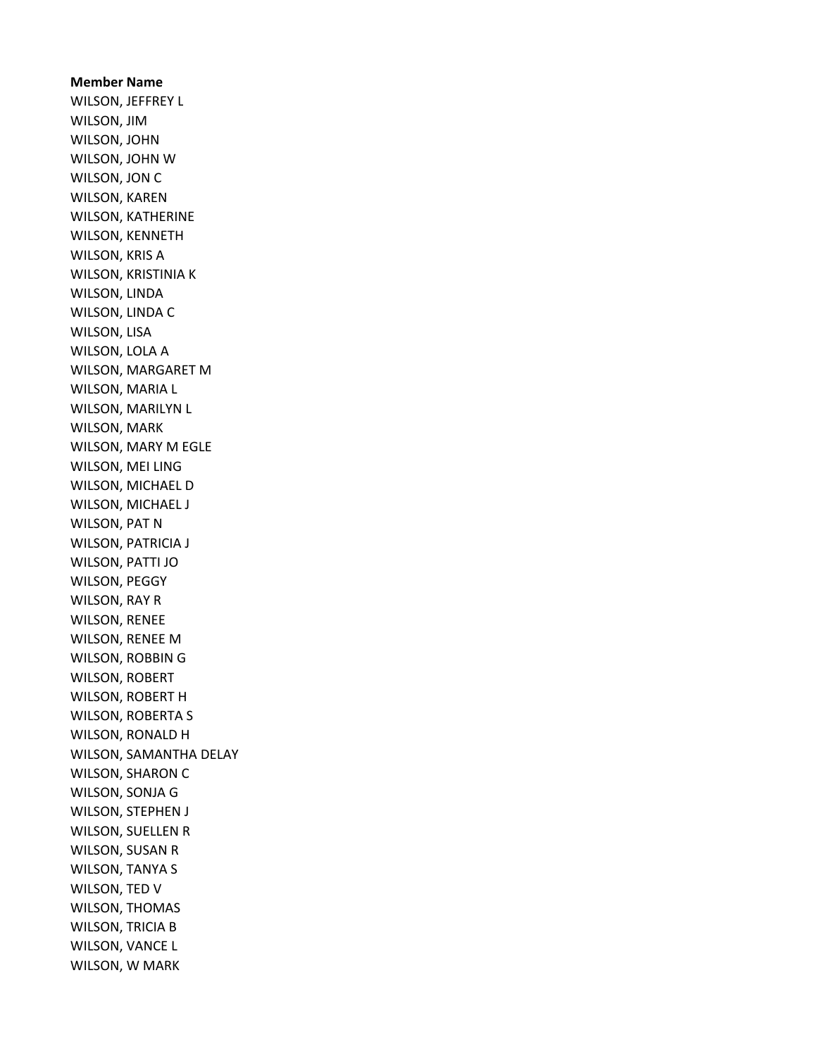Member Name WILSON, JEFFREY L WILSON, JIM WILSON, JOHN WILSON, JOHN W WILSON, JON C WILSON, KAREN WILSON, KATHERINE WILSON, KENNETH WILSON, KRIS A WILSON, KRISTINIA K WILSON, LINDA WILSON, LINDA C WILSON, LISA WILSON, LOLA A WILSON, MARGARET M WILSON, MARIA L WILSON, MARILYN L WILSON, MARK WILSON, MARY M EGLE WILSON, MEI LING WILSON, MICHAEL D WILSON, MICHAEL J WILSON, PAT N WILSON, PATRICIA J WILSON, PATTI JO WILSON, PEGGY WILSON, RAY R WILSON, RENEE WILSON, RENEE M WILSON, ROBBIN G WILSON, ROBERT WILSON, ROBERT H WILSON, ROBERTA S WILSON, RONALD H WILSON, SAMANTHA DELAY WILSON, SHARON C WILSON, SONJA G WILSON, STEPHEN J WILSON, SUELLEN R WILSON, SUSAN R WILSON, TANYA S WILSON, TED V WILSON, THOMAS WILSON, TRICIA B WILSON, VANCE L WILSON, W MARK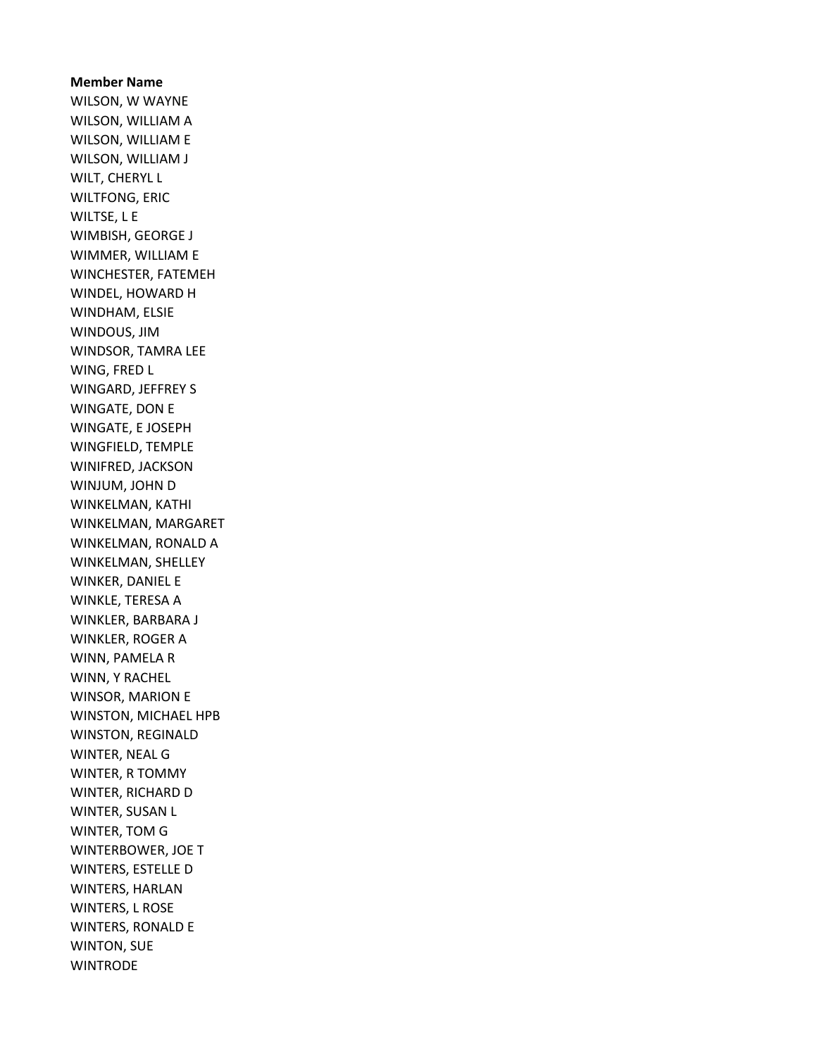Member Name WILSON, W WAYNE WILSON, WILLIAM A WILSON, WILLIAM E WILSON, WILLIAM J WILT, CHERYL L WILTFONG, ERIC WILTSE, L E WIMBISH, GEORGE J WIMMER, WILLIAM E WINCHESTER, FATEMEH WINDEL, HOWARD H WINDHAM, ELSIE WINDOUS, JIM WINDSOR, TAMRA LEE WING, FRED L WINGARD, JEFFREY S WINGATE, DON E WINGATE, E JOSEPH WINGFIELD, TEMPLE WINIFRED, JACKSON WINJUM, JOHN D WINKELMAN, KATHI WINKELMAN, MARGARET WINKELMAN, RONALD A WINKELMAN, SHELLEY WINKER, DANIEL E WINKLE, TERESA A WINKLER, BARBARA J WINKLER, ROGER A WINN, PAMELA R WINN, Y RACHEL WINSOR, MARION E WINSTON, MICHAEL HPB WINSTON, REGINALD WINTER, NEAL G WINTER, R TOMMY WINTER, RICHARD D WINTER, SUSAN L WINTER, TOM G WINTERBOWER, JOE T WINTERS, ESTELLE D WINTERS, HARLAN WINTERS, L ROSE WINTERS, RONALD E WINTON, SUE **WINTRODE**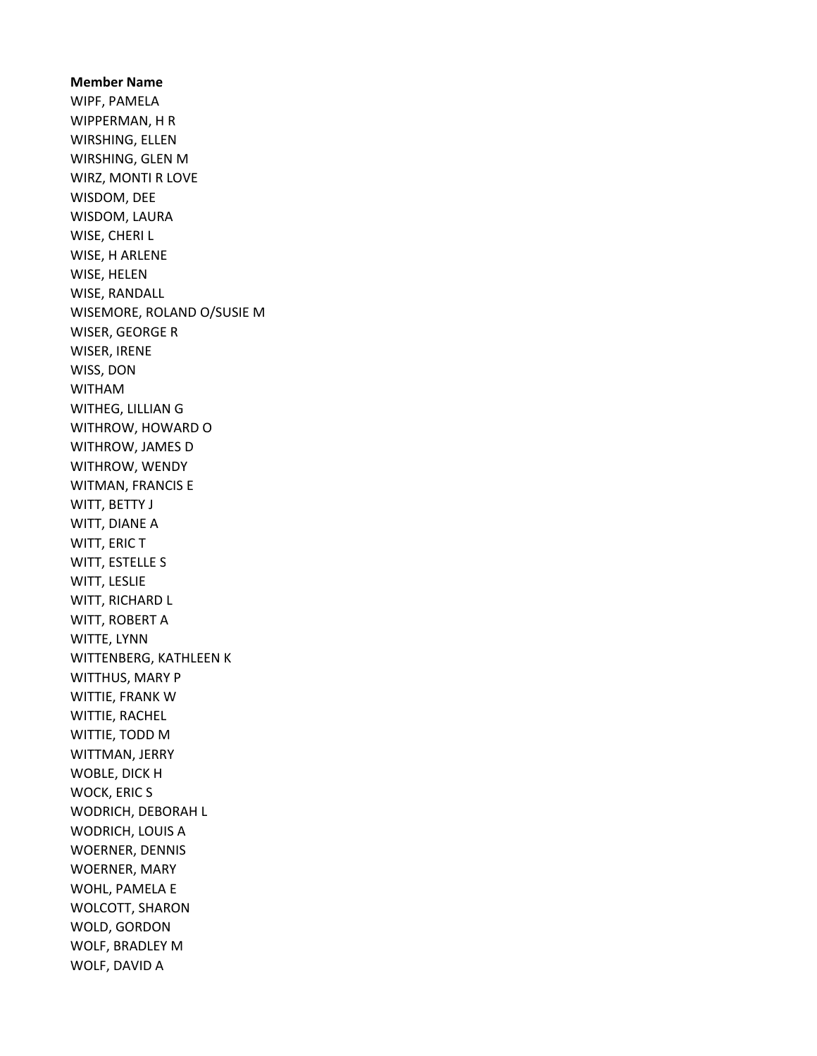Member Name WIPF, PAMELA WIPPERMAN, H R WIRSHING, ELLEN WIRSHING, GLEN M WIRZ, MONTI R LOVE WISDOM, DEE WISDOM, LAURA WISE, CHERI L WISE, H ARLENE WISE, HELEN WISE, RANDALL WISEMORE, ROLAND O/SUSIE M WISER, GEORGE R WISER, IRENE WISS, DON WITHAM WITHEG, LILLIAN G WITHROW, HOWARD O WITHROW, JAMES D WITHROW, WENDY WITMAN, FRANCIS E WITT, BETTY J WITT, DIANE A WITT, ERIC T WITT, ESTELLE S WITT, LESLIE WITT, RICHARD L WITT, ROBERT A WITTE, LYNN WITTENBERG, KATHLEEN K WITTHUS, MARY P WITTIE, FRANK W WITTIE, RACHEL WITTIE, TODD M WITTMAN, JERRY WOBLE, DICK H WOCK, ERIC S WODRICH, DEBORAH L WODRICH, LOUIS A WOERNER, DENNIS WOERNER, MARY WOHL, PAMELA E WOLCOTT, SHARON WOLD, GORDON WOLF, BRADLEY M WOLF, DAVID A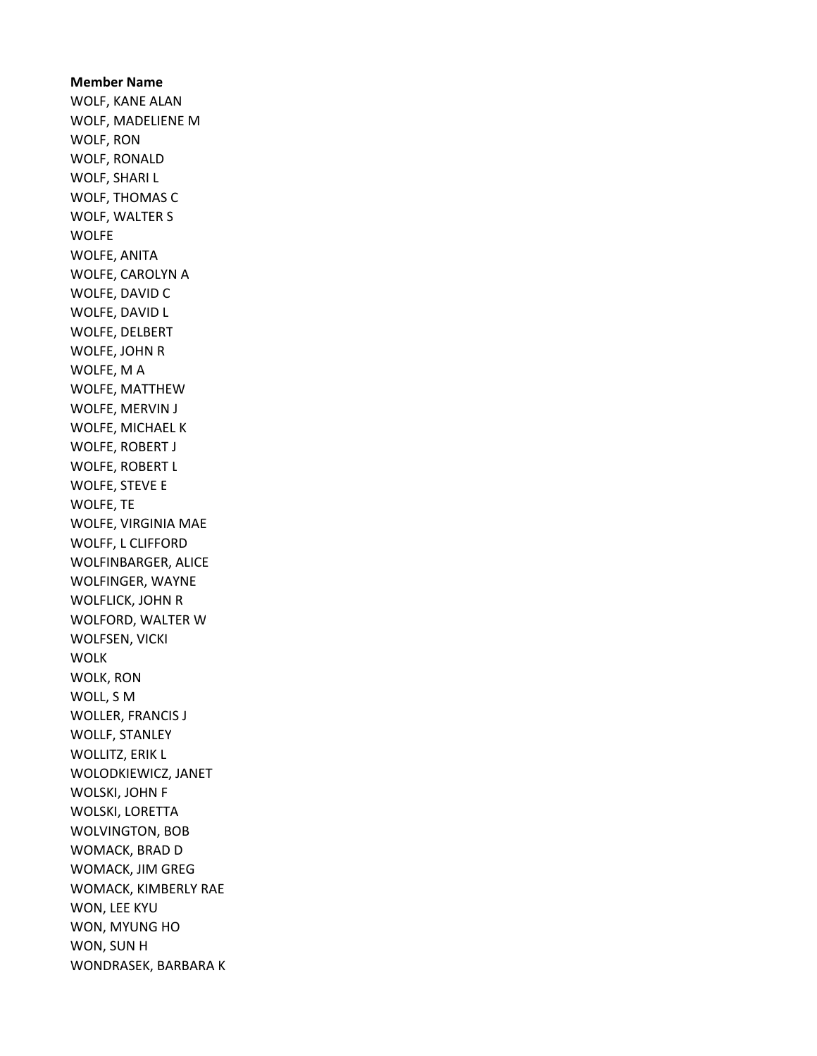Member Name WOLF, KANE ALAN WOLF, MADELIENE M WOLF, RON WOLF, RONALD WOLF, SHARI L WOLF, THOMAS C WOLF, WALTER S WOLFE WOLFE, ANITA WOLFE, CAROLYN A WOLFE, DAVID C WOLFE, DAVID L WOLFE, DELBERT WOLFE, JOHN R WOLFE, M A WOLFE, MATTHEW WOLFE, MERVIN J WOLFE, MICHAEL K WOLFE, ROBERT J WOLFE, ROBERT L WOLFE, STEVE E WOLFE, TE WOLFE, VIRGINIA MAE WOLFF, L CLIFFORD WOLFINBARGER, ALICE WOLFINGER, WAYNE WOLFLICK, JOHN R WOLFORD, WALTER W WOLFSEN, VICKI WOLK WOLK, RON WOLL, S M WOLLER, FRANCIS J WOLLF, STANLEY WOLLITZ, ERIK L WOLODKIEWICZ, JANET WOLSKI, JOHN F WOLSKI, LORETTA WOLVINGTON, BOB WOMACK, BRAD D WOMACK, JIM GREG WOMACK, KIMBERLY RAE WON, LEE KYU WON, MYUNG HO WON, SUN H WONDRASEK, BARBARA K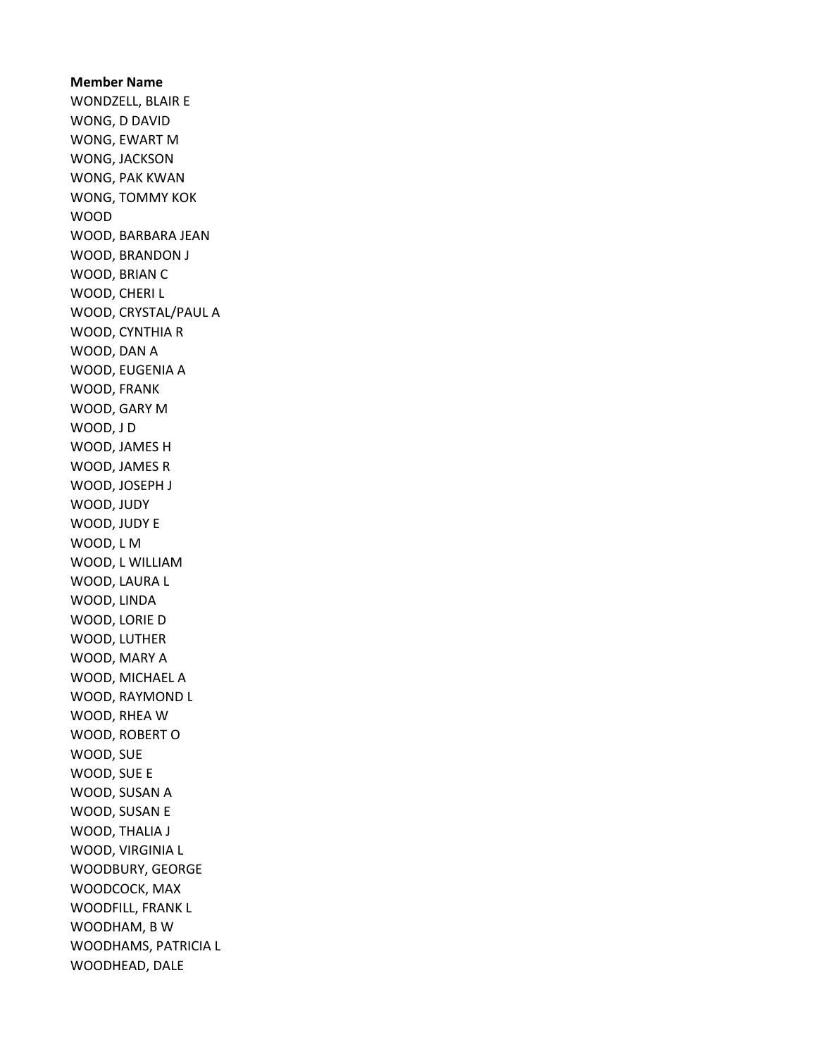Member Name WONDZELL, BLAIR E WONG, D DAVID WONG, EWART M WONG, JACKSON WONG, PAK KWAN WONG, TOMMY KOK WOOD WOOD, BARBARA JEAN WOOD, BRANDON J WOOD, BRIAN C WOOD, CHERI L WOOD, CRYSTAL/PAUL A WOOD, CYNTHIA R WOOD, DAN A WOOD, EUGENIA A WOOD, FRANK WOOD, GARY M WOOD, J D WOOD, JAMES H WOOD, JAMES R WOOD, JOSEPH J WOOD, JUDY WOOD, JUDY E WOOD, L M WOOD, L WILLIAM WOOD, LAURA L WOOD, LINDA WOOD, LORIE D WOOD, LUTHER WOOD, MARY A WOOD, MICHAEL A WOOD, RAYMOND L WOOD, RHEA W WOOD, ROBERT O WOOD, SUE WOOD, SUE E WOOD, SUSAN A WOOD, SUSAN E WOOD, THALIA J WOOD, VIRGINIA L WOODBURY, GEORGE WOODCOCK, MAX WOODFILL, FRANK L WOODHAM, B W WOODHAMS, PATRICIA L WOODHEAD, DALE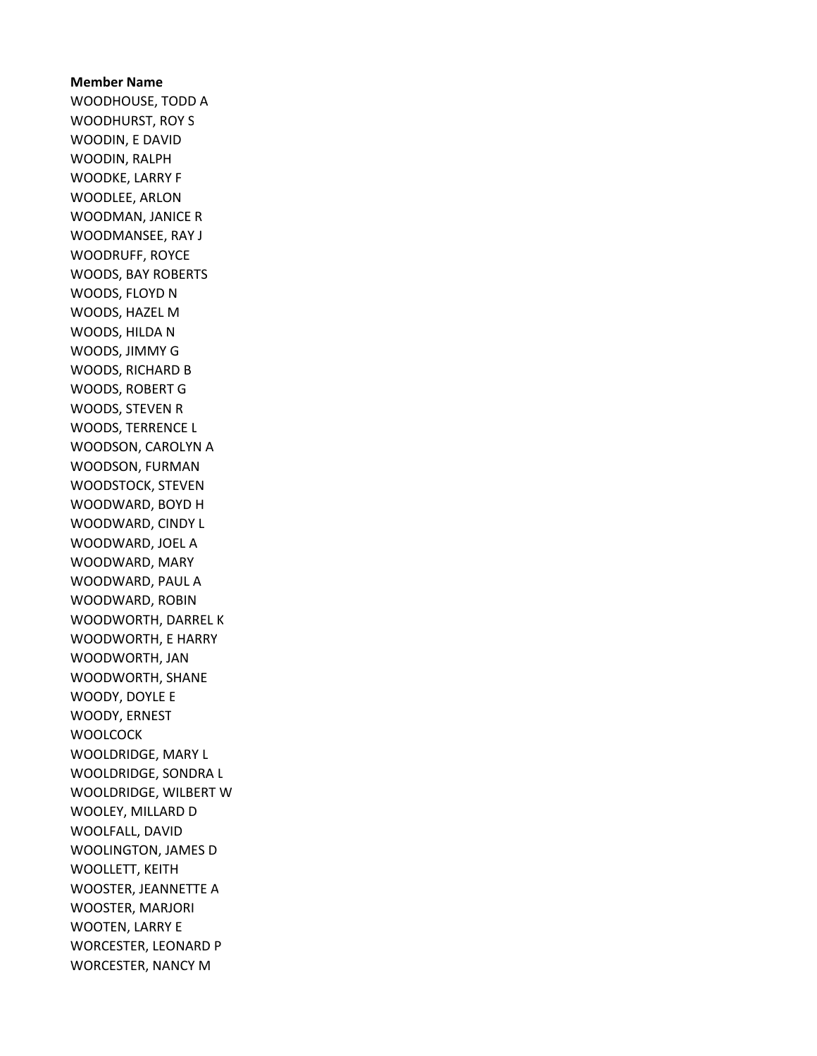Member Name WOODHOUSE, TODD A WOODHURST, ROY S WOODIN, E DAVID WOODIN, RALPH WOODKE, LARRY F WOODLEE, ARLON WOODMAN, JANICE R WOODMANSEE, RAY J WOODRUFF, ROYCE WOODS, BAY ROBERTS WOODS, FLOYD N WOODS, HAZEL M WOODS, HILDA N WOODS, JIMMY G WOODS, RICHARD B WOODS, ROBERT G WOODS, STEVEN R WOODS, TERRENCE L WOODSON, CAROLYN A WOODSON, FURMAN WOODSTOCK, STEVEN WOODWARD, BOYD H WOODWARD, CINDY L WOODWARD, JOEL A WOODWARD, MARY WOODWARD, PAUL A WOODWARD, ROBIN WOODWORTH, DARREL K WOODWORTH, E HARRY WOODWORTH, JAN WOODWORTH, SHANE WOODY, DOYLE E WOODY, ERNEST **WOOLCOCK** WOOLDRIDGE, MARY L WOOLDRIDGE, SONDRA L WOOLDRIDGE, WILBERT W WOOLEY, MILLARD D WOOLFALL, DAVID WOOLINGTON, JAMES D WOOLLETT, KEITH WOOSTER, JEANNETTE A WOOSTER, MARJORI WOOTEN, LARRY E WORCESTER, LEONARD P WORCESTER, NANCY M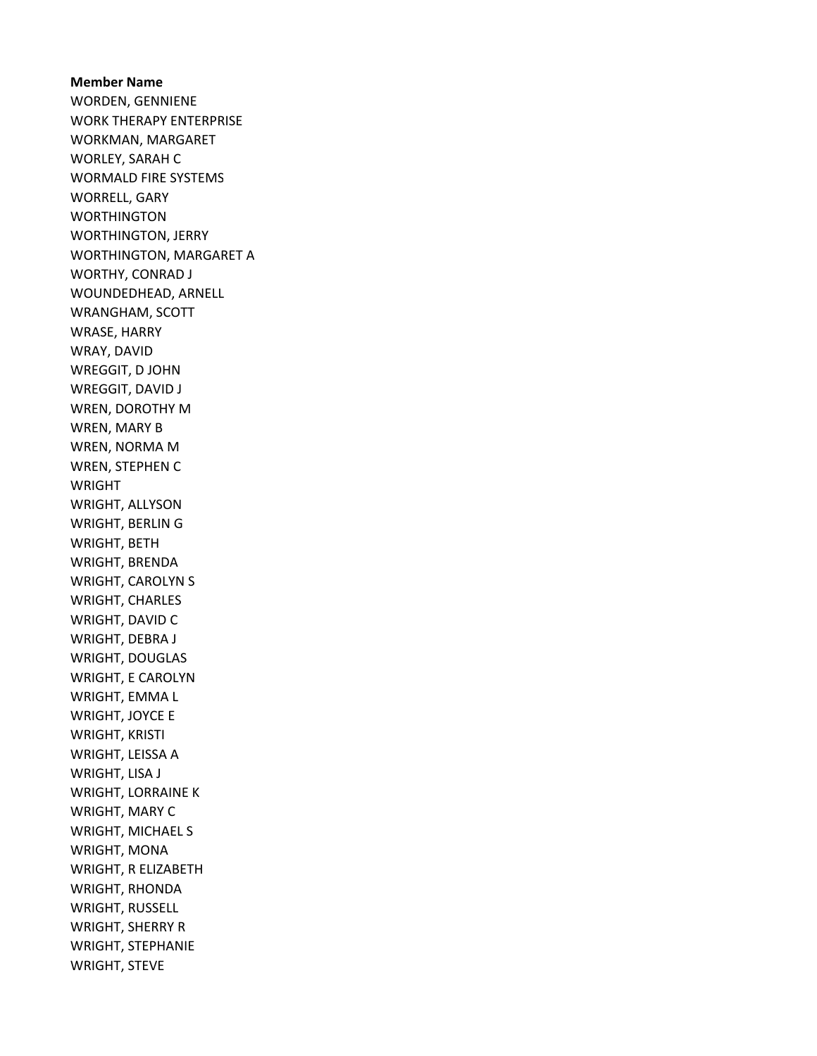Member Name WORDEN, GENNIENE WORK THERAPY ENTERPRISE WORKMAN, MARGARET WORLEY, SARAH C WORMALD FIRE SYSTEMS WORRELL, GARY **WORTHINGTON** WORTHINGTON, JERRY WORTHINGTON, MARGARET A WORTHY, CONRAD J WOUNDEDHEAD, ARNELL WRANGHAM, SCOTT WRASE, HARRY WRAY, DAVID WREGGIT, D JOHN WREGGIT, DAVID J WREN, DOROTHY M WREN, MARY B WREN, NORMA M WREN, STEPHEN C WRIGHT WRIGHT, ALLYSON WRIGHT, BERLIN G WRIGHT, BETH WRIGHT, BRENDA WRIGHT, CAROLYN S WRIGHT, CHARLES WRIGHT, DAVID C WRIGHT, DEBRA J WRIGHT, DOUGLAS WRIGHT, E CAROLYN WRIGHT, EMMA L WRIGHT, JOYCE E WRIGHT, KRISTI WRIGHT, LEISSA A WRIGHT, LISA J WRIGHT, LORRAINE K WRIGHT, MARY C WRIGHT, MICHAEL S WRIGHT, MONA WRIGHT, R ELIZABETH WRIGHT, RHONDA WRIGHT, RUSSELL WRIGHT, SHERRY R WRIGHT, STEPHANIE WRIGHT, STEVE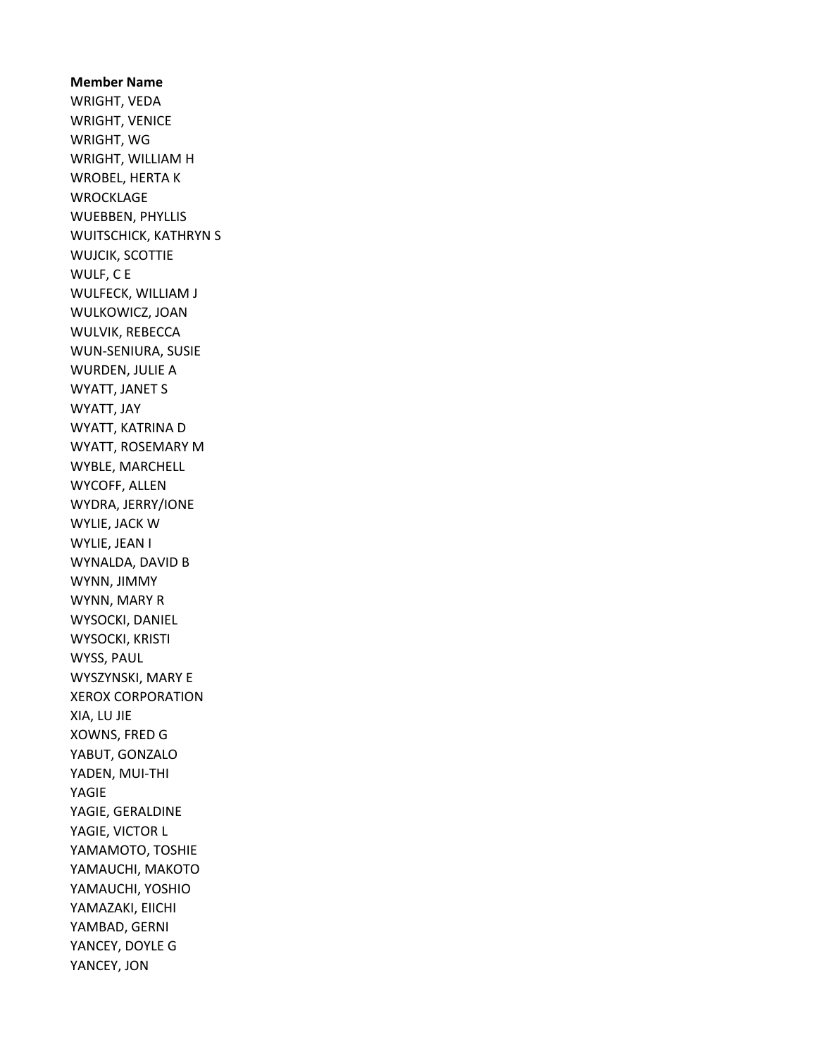Member Name WRIGHT, VEDA WRIGHT, VENICE WRIGHT, WG WRIGHT, WILLIAM H WROBEL, HERTA K WROCKLAGE WUEBBEN, PHYLLIS WUITSCHICK, KATHRYN S WUJCIK, SCOTTIE WULF, C E WULFECK, WILLIAM J WULKOWICZ, JOAN WULVIK, REBECCA WUN-SENIURA, SUSIE WURDEN, JULIE A WYATT, JANET S WYATT, JAY WYATT, KATRINA D WYATT, ROSEMARY M WYBLE, MARCHELL WYCOFF, ALLEN WYDRA, JERRY/IONE WYLIE, JACK W WYLIE, JEAN I WYNALDA, DAVID B WYNN, JIMMY WYNN, MARY R WYSOCKI, DANIEL WYSOCKI, KRISTI WYSS, PAUL WYSZYNSKI, MARY E XEROX CORPORATION XIA, LU JIE XOWNS, FRED G YABUT, GONZALO YADEN, MUI-THI YAGIE YAGIE, GERALDINE YAGIE, VICTOR L YAMAMOTO, TOSHIE YAMAUCHI, MAKOTO YAMAUCHI, YOSHIO YAMAZAKI, EIICHI YAMBAD, GERNI YANCEY, DOYLE G YANCEY, JON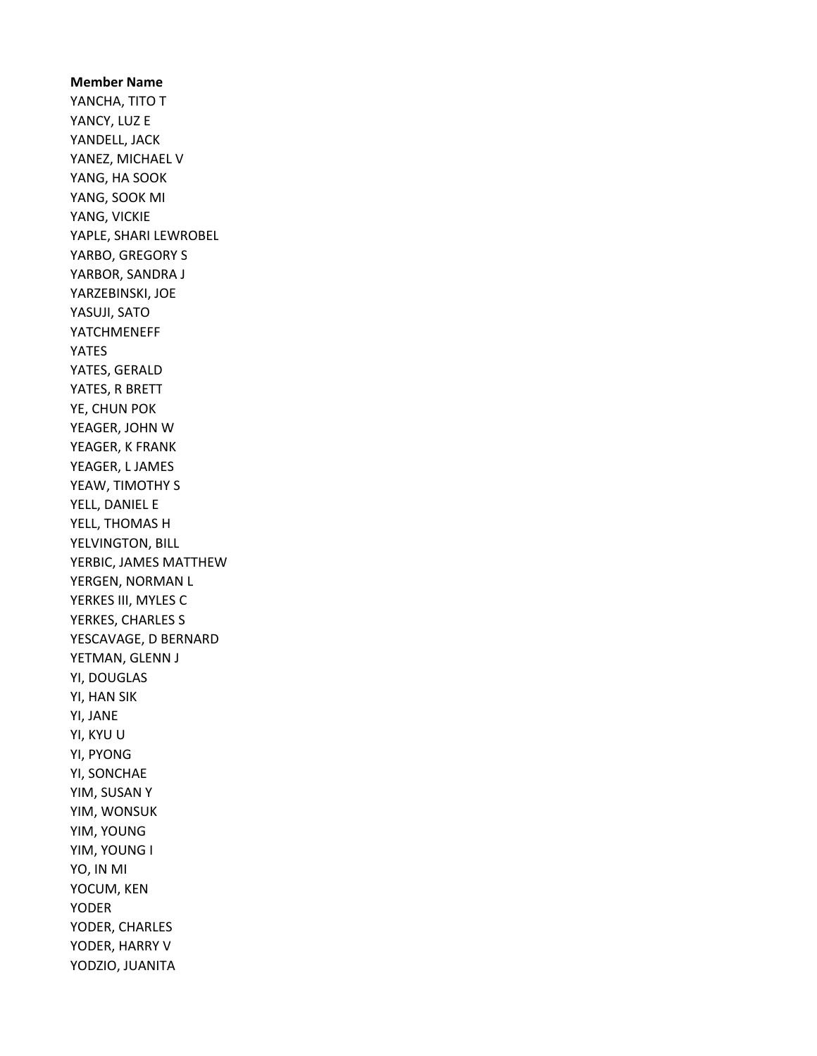Member Name YANCHA, TITO T YANCY, LUZ E YANDELL, JACK YANEZ, MICHAEL V YANG, HA SOOK YANG, SOOK MI YANG, VICKIE YAPLE, SHARI LEWROBEL YARBO, GREGORY S YARBOR, SANDRA J YARZEBINSKI, JOE YASUJI, SATO YATCHMENEFF YATES YATES, GERALD YATES, R BRETT YE, CHUN POK YEAGER, JOHN W YEAGER, K FRANK YEAGER, L JAMES YEAW, TIMOTHY S YELL, DANIEL E YELL, THOMAS H YELVINGTON, BILL YERBIC, JAMES MATTHEW YERGEN, NORMAN L YERKES III, MYLES C YERKES, CHARLES S YESCAVAGE, D BERNARD YETMAN, GLENN J YI, DOUGLAS YI, HAN SIK YI, JANE YI, KYU U YI, PYONG YI, SONCHAE YIM, SUSAN Y YIM, WONSUK YIM, YOUNG YIM, YOUNG I YO, IN MI YOCUM, KEN YODER YODER, CHARLES YODER, HARRY V YODZIO, JUANITA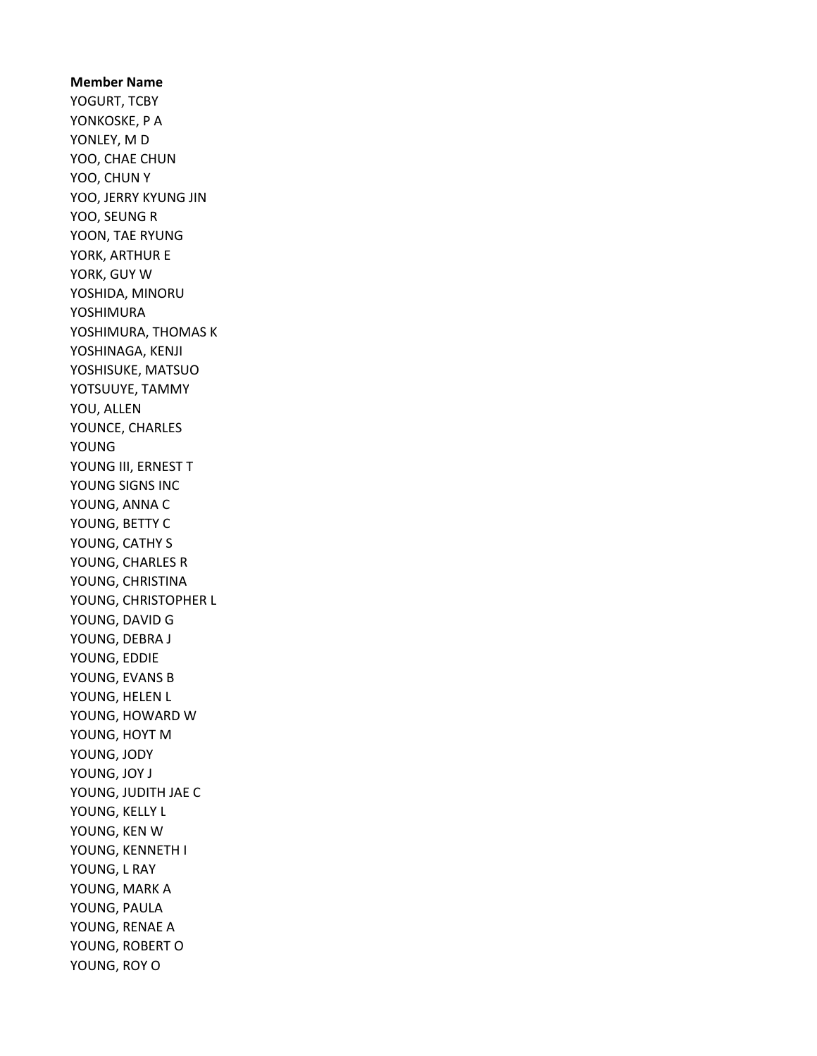Member Name YOGURT, TCBY YONKOSKE, P A YONLEY, M D YOO, CHAE CHUN YOO, CHUN Y YOO, JERRY KYUNG JIN YOO, SEUNG R YOON, TAE RYUNG YORK, ARTHUR E YORK, GUY W YOSHIDA, MINORU YOSHIMURA YOSHIMURA, THOMAS K YOSHINAGA, KENJI YOSHISUKE, MATSUO YOTSUUYE, TAMMY YOU, ALLEN YOUNCE, CHARLES YOUNG YOUNG III, ERNEST T YOUNG SIGNS INC YOUNG, ANNA C YOUNG, BETTY C YOUNG, CATHY S YOUNG, CHARLES R YOUNG, CHRISTINA YOUNG, CHRISTOPHER L YOUNG, DAVID G YOUNG, DEBRA J YOUNG, EDDIE YOUNG, EVANS B YOUNG, HELEN L YOUNG, HOWARD W YOUNG, HOYT M YOUNG, JODY YOUNG, JOY J YOUNG, JUDITH JAE C YOUNG, KELLY L YOUNG, KEN W YOUNG, KENNETH I YOUNG, L RAY YOUNG, MARK A YOUNG, PAULA YOUNG, RENAE A YOUNG, ROBERT O YOUNG, ROY O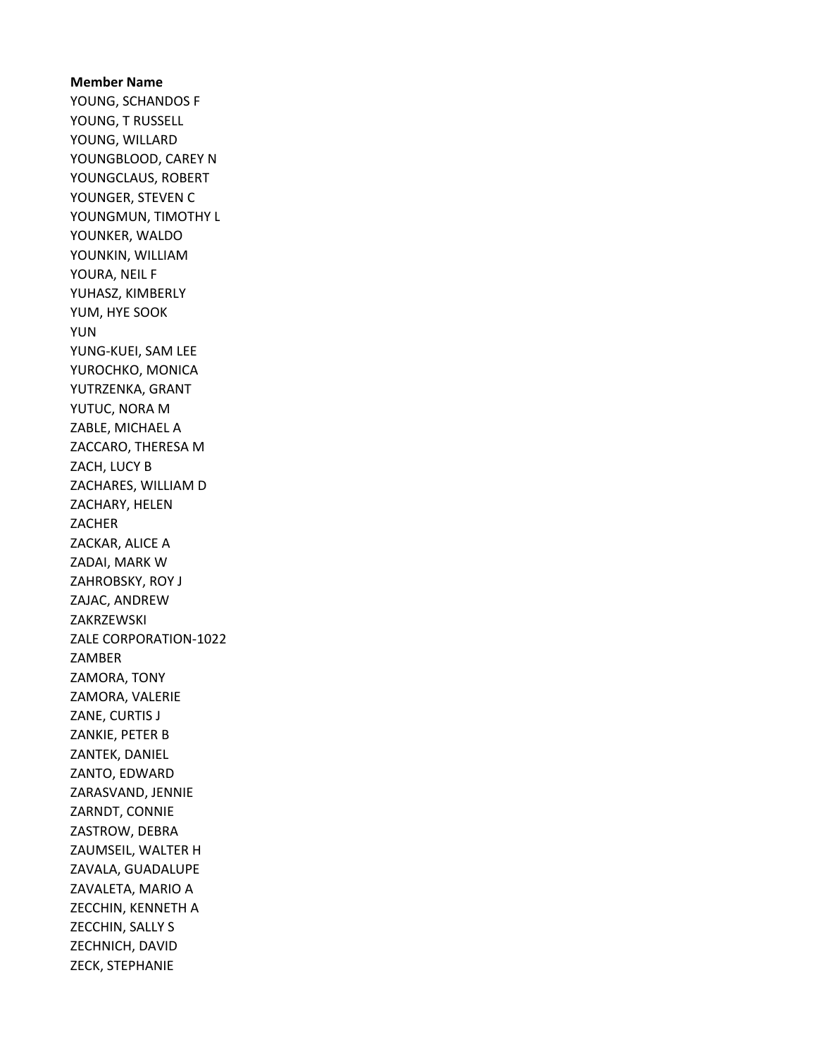Member Name YOUNG, SCHANDOS F YOUNG, T RUSSELL YOUNG, WILLARD YOUNGBLOOD, CAREY N YOUNGCLAUS, ROBERT YOUNGER, STEVEN C YOUNGMUN, TIMOTHY L YOUNKER, WALDO YOUNKIN, WILLIAM YOURA, NEIL F YUHASZ, KIMBERLY YUM, HYE SOOK YUN YUNG-KUEI, SAM LEE YUROCHKO, MONICA YUTRZENKA, GRANT YUTUC, NORA M ZABLE, MICHAEL A ZACCARO, THERESA M ZACH, LUCY B ZACHARES, WILLIAM D ZACHARY, HELEN ZACHER ZACKAR, ALICE A ZADAI, MARK W ZAHROBSKY, ROY J ZAJAC, ANDREW ZAKRZEWSKI ZALE CORPORATION-1022 ZAMBER ZAMORA, TONY ZAMORA, VALERIE ZANE, CURTIS J ZANKIE, PETER B ZANTEK, DANIEL ZANTO, EDWARD ZARASVAND, JENNIE ZARNDT, CONNIE ZASTROW, DEBRA ZAUMSEIL, WALTER H ZAVALA, GUADALUPE ZAVALETA, MARIO A ZECCHIN, KENNETH A ZECCHIN, SALLY S ZECHNICH, DAVID ZECK, STEPHANIE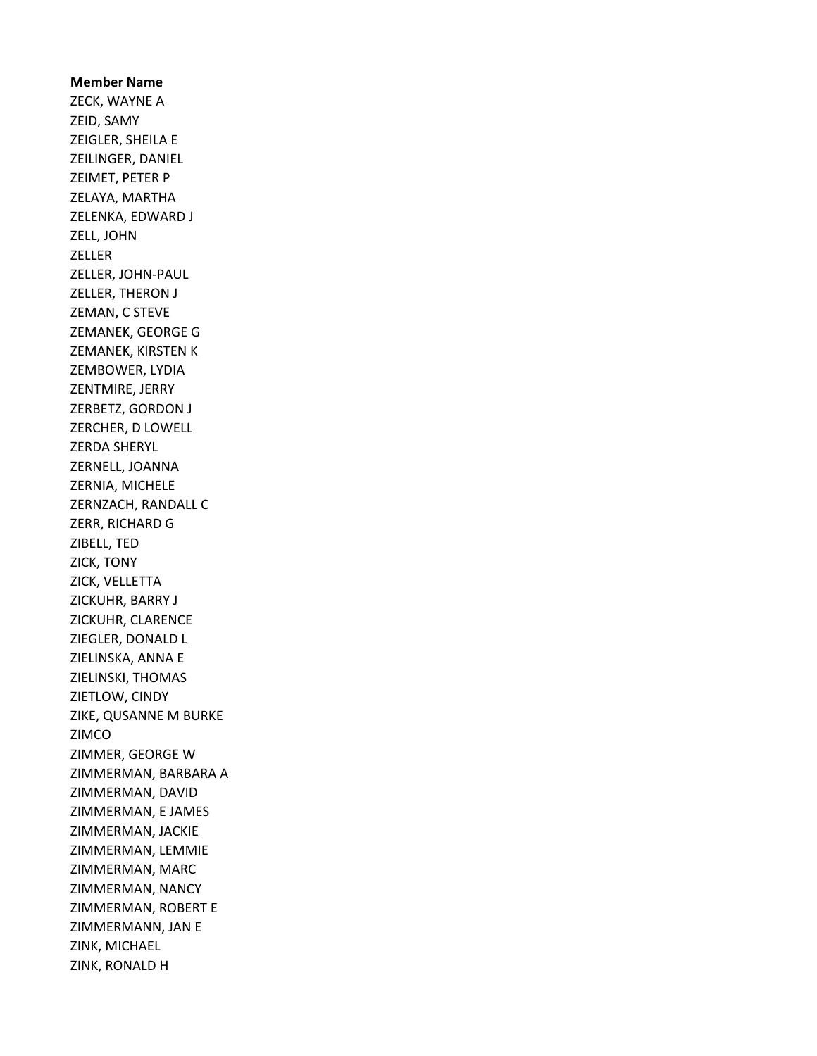Member Name ZECK, WAYNE A ZEID, SAMY ZEIGLER, SHEILA E ZEILINGER, DANIEL ZEIMET, PETER P ZELAYA, MARTHA ZELENKA, EDWARD J ZELL, JOHN ZELLER ZELLER, JOHN-PAUL ZELLER, THERON J ZEMAN, C STEVE ZEMANEK, GEORGE G ZEMANEK, KIRSTEN K ZEMBOWER, LYDIA ZENTMIRE, JERRY ZERBETZ, GORDON J ZERCHER, D LOWELL ZERDA SHERYL ZERNELL, JOANNA ZERNIA, MICHELE ZERNZACH, RANDALL C ZERR, RICHARD G ZIBELL, TED ZICK, TONY ZICK, VELLETTA ZICKUHR, BARRY J ZICKUHR, CLARENCE ZIEGLER, DONALD L ZIELINSKA, ANNA E ZIELINSKI, THOMAS ZIETLOW, CINDY ZIKE, QUSANNE M BURKE ZIMCO ZIMMER, GEORGE W ZIMMERMAN, BARBARA A ZIMMERMAN, DAVID ZIMMERMAN, E JAMES ZIMMERMAN, JACKIE ZIMMERMAN, LEMMIE ZIMMERMAN, MARC ZIMMERMAN, NANCY ZIMMERMAN, ROBERT E ZIMMERMANN, JAN E ZINK, MICHAEL ZINK, RONALD H